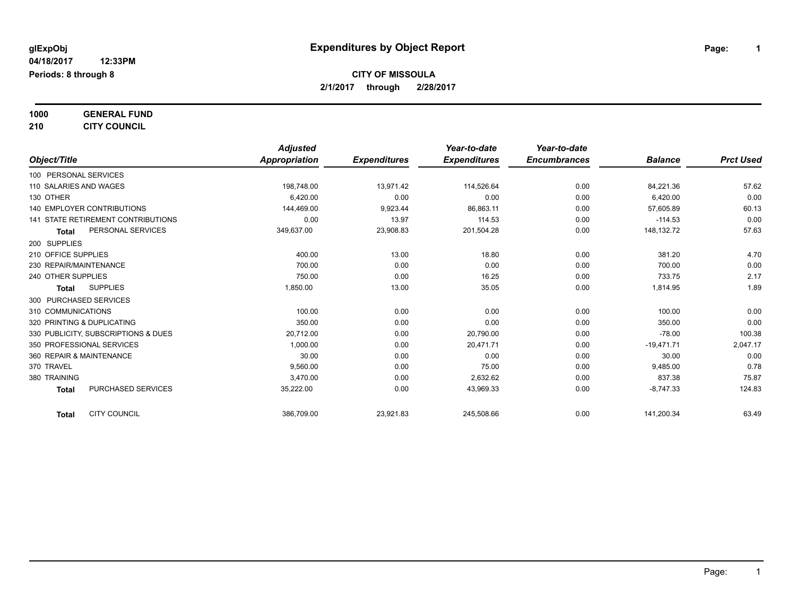**1000 GENERAL FUND**

**210 CITY COUNCIL**

|                                           | <b>Adjusted</b> |                     | Year-to-date        | Year-to-date        |                |                  |
|-------------------------------------------|-----------------|---------------------|---------------------|---------------------|----------------|------------------|
| Object/Title                              | Appropriation   | <b>Expenditures</b> | <b>Expenditures</b> | <b>Encumbrances</b> | <b>Balance</b> | <b>Prct Used</b> |
| 100 PERSONAL SERVICES                     |                 |                     |                     |                     |                |                  |
| 110 SALARIES AND WAGES                    | 198,748.00      | 13,971.42           | 114,526.64          | 0.00                | 84,221.36      | 57.62            |
| 130 OTHER                                 | 6,420.00        | 0.00                | 0.00                | 0.00                | 6,420.00       | 0.00             |
| 140 EMPLOYER CONTRIBUTIONS                | 144,469.00      | 9,923.44            | 86,863.11           | 0.00                | 57,605.89      | 60.13            |
| <b>141 STATE RETIREMENT CONTRIBUTIONS</b> | 0.00            | 13.97               | 114.53              | 0.00                | $-114.53$      | 0.00             |
| PERSONAL SERVICES<br><b>Total</b>         | 349,637.00      | 23,908.83           | 201,504.28          | 0.00                | 148,132.72     | 57.63            |
| 200 SUPPLIES                              |                 |                     |                     |                     |                |                  |
| 210 OFFICE SUPPLIES                       | 400.00          | 13.00               | 18.80               | 0.00                | 381.20         | 4.70             |
| 230 REPAIR/MAINTENANCE                    | 700.00          | 0.00                | 0.00                | 0.00                | 700.00         | 0.00             |
| 240 OTHER SUPPLIES                        | 750.00          | 0.00                | 16.25               | 0.00                | 733.75         | 2.17             |
| <b>SUPPLIES</b><br><b>Total</b>           | 1,850.00        | 13.00               | 35.05               | 0.00                | 1,814.95       | 1.89             |
| 300 PURCHASED SERVICES                    |                 |                     |                     |                     |                |                  |
| 310 COMMUNICATIONS                        | 100.00          | 0.00                | 0.00                | 0.00                | 100.00         | 0.00             |
| 320 PRINTING & DUPLICATING                | 350.00          | 0.00                | 0.00                | 0.00                | 350.00         | 0.00             |
| 330 PUBLICITY, SUBSCRIPTIONS & DUES       | 20,712.00       | 0.00                | 20,790.00           | 0.00                | $-78.00$       | 100.38           |
| 350 PROFESSIONAL SERVICES                 | 1.000.00        | 0.00                | 20.471.71           | 0.00                | $-19,471.71$   | 2,047.17         |
| 360 REPAIR & MAINTENANCE                  | 30.00           | 0.00                | 0.00                | 0.00                | 30.00          | 0.00             |
| 370 TRAVEL                                | 9.560.00        | 0.00                | 75.00               | 0.00                | 9,485.00       | 0.78             |
| 380 TRAINING                              | 3.470.00        | 0.00                | 2,632.62            | 0.00                | 837.38         | 75.87            |
| PURCHASED SERVICES<br><b>Total</b>        | 35,222.00       | 0.00                | 43,969.33           | 0.00                | $-8.747.33$    | 124.83           |
| <b>CITY COUNCIL</b><br><b>Total</b>       | 386,709.00      | 23,921.83           | 245,508.66          | 0.00                | 141,200.34     | 63.49            |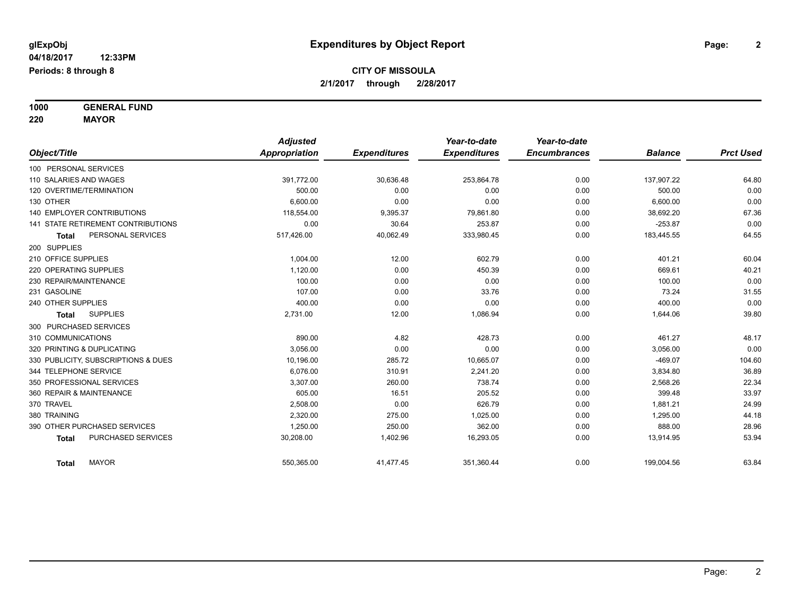**1000 GENERAL FUND**

**220 MAYOR** *Object/Title Adjusted Appropriation Expenditures Year-to-date Expenditures Year-to-date Encumbrances Balance Prct Used* 100 PERSONAL SERVICES 110 SALARIES AND WAGES 391,772.00 30,636.48 253,864.78 0.00 137,907.22 64.80 120 OVERTIME/TERMINATION 500.00 0.00 0.00 0.00 500.00 0.00 130 OTHER 6,600.00 0.00 0.00 0.00 6,600.00 0.00 140 EMPLOYER CONTRIBUTIONS 167.36 (18.554.00 118,554.00 9,395.37 19,861.80 0.00 38,692.20 38,692.20 113,554.00 141 STATE RETIREMENT CONTRIBUTIONS 0.00 30.64 253.87 0.00 -253.87 0.00 **Total** PERSONAL SERVICES 64.55 517,426.00 517,426.00 40,062.49 333,980.45 533,980.45 0.00 183,445.55 64.55 200 SUPPLIES 210 OFFICE SUPPLIES 1,004.00 12.00 602.79 0.00 401.21 60.04 220 OPERATING SUPPLIES 200 21 1,120.00 0.00 450.39 0.00 450.39 0.00 669.61 40.21  $230$  REPAIR/MAINTENANCE  $\hphantom{-}0.00$   $\hphantom{-}0.00$   $\hphantom{-}0.00$   $\hphantom{-}0.00$   $\hphantom{-}0.00$   $\hphantom{-}0.00$   $\hphantom{-}0.00$ 231 GASOLINE 107.00 0.00 33.76 0.00 73.24 31.55 240 OTHER SUPPLIES 400.00 0.00 0.00 0.00 400.00 0.00 **Total** SUPPLIES 2,731.00 12.00 1,086.94 0.00 1,644.06 39.80 300 PURCHASED SERVICES 310 COMMUNICATIONS 890.00 4.82 428.73 0.00 461.27 48.17 320 PRINTING & DUPLICATING 3,056.00 0.00 0.00 0.00 3,056.00 0.00 330 PUBLICITY, SUBSCRIPTIONS & DUES 285.72 10.665.07 104.60 344 TELEPHONE SERVICE 6,076.00 310.91 2,241.20 0.00 3,834.80 36.89 350 PROFESSIONAL SERVICES 3,307.00 260.00 738.74 0.00 2,568.26 22.34 360 REPAIR & MAINTENANCE 605.00 16.51 205.52 0.00 399.48 33.97 370 TRAVEL 2,508.00 0.00 626.79 0.00 1,881.21 24.99 380 TRAINING 2,320.00 275.00 1,025.00 0.00 1,295.00 44.18 390 OTHER PURCHASED SERVICES 1.250.00 250.00 362.00 28.96 **Total** PURCHASED SERVICES 30,208.00 1,402.96 16,293.05 0.00 13,914.95 53.94

**Total** MAYOR 550,365.00 41,477.45 351,360.44 0.00 199,004.56 63.84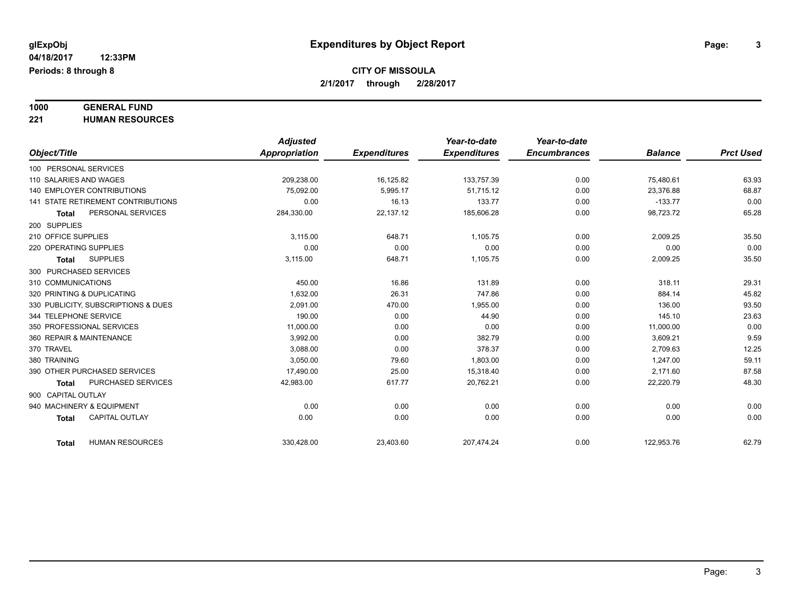# **1000 GENERAL FUND**

**221 HUMAN RESOURCES**

|                                        | <b>Adjusted</b> |                     | Year-to-date        | Year-to-date        |                |                  |
|----------------------------------------|-----------------|---------------------|---------------------|---------------------|----------------|------------------|
| Object/Title                           | Appropriation   | <b>Expenditures</b> | <b>Expenditures</b> | <b>Encumbrances</b> | <b>Balance</b> | <b>Prct Used</b> |
| 100 PERSONAL SERVICES                  |                 |                     |                     |                     |                |                  |
| 110 SALARIES AND WAGES                 | 209,238.00      | 16,125.82           | 133,757.39          | 0.00                | 75,480.61      | 63.93            |
| 140 EMPLOYER CONTRIBUTIONS             | 75,092.00       | 5,995.17            | 51,715.12           | 0.00                | 23,376.88      | 68.87            |
| 141 STATE RETIREMENT CONTRIBUTIONS     | 0.00            | 16.13               | 133.77              | 0.00                | $-133.77$      | 0.00             |
| PERSONAL SERVICES<br><b>Total</b>      | 284,330.00      | 22,137.12           | 185,606.28          | 0.00                | 98,723.72      | 65.28            |
| 200 SUPPLIES                           |                 |                     |                     |                     |                |                  |
| 210 OFFICE SUPPLIES                    | 3.115.00        | 648.71              | 1,105.75            | 0.00                | 2,009.25       | 35.50            |
| 220 OPERATING SUPPLIES                 | 0.00            | 0.00                | 0.00                | 0.00                | 0.00           | 0.00             |
| <b>SUPPLIES</b><br><b>Total</b>        | 3,115.00        | 648.71              | 1,105.75            | 0.00                | 2,009.25       | 35.50            |
| 300 PURCHASED SERVICES                 |                 |                     |                     |                     |                |                  |
| 310 COMMUNICATIONS                     | 450.00          | 16.86               | 131.89              | 0.00                | 318.11         | 29.31            |
| 320 PRINTING & DUPLICATING             | 1,632.00        | 26.31               | 747.86              | 0.00                | 884.14         | 45.82            |
| 330 PUBLICITY, SUBSCRIPTIONS & DUES    | 2.091.00        | 470.00              | 1,955.00            | 0.00                | 136.00         | 93.50            |
| 344 TELEPHONE SERVICE                  | 190.00          | 0.00                | 44.90               | 0.00                | 145.10         | 23.63            |
| 350 PROFESSIONAL SERVICES              | 11,000.00       | 0.00                | 0.00                | 0.00                | 11,000.00      | 0.00             |
| 360 REPAIR & MAINTENANCE               | 3,992.00        | 0.00                | 382.79              | 0.00                | 3,609.21       | 9.59             |
| 370 TRAVEL                             | 3,088.00        | 0.00                | 378.37              | 0.00                | 2,709.63       | 12.25            |
| 380 TRAINING                           | 3,050.00        | 79.60               | 1,803.00            | 0.00                | 1,247.00       | 59.11            |
| 390 OTHER PURCHASED SERVICES           | 17,490.00       | 25.00               | 15,318.40           | 0.00                | 2,171.60       | 87.58            |
| PURCHASED SERVICES<br><b>Total</b>     | 42,983.00       | 617.77              | 20,762.21           | 0.00                | 22,220.79      | 48.30            |
| 900 CAPITAL OUTLAY                     |                 |                     |                     |                     |                |                  |
| 940 MACHINERY & EQUIPMENT              | 0.00            | 0.00                | 0.00                | 0.00                | 0.00           | 0.00             |
| <b>CAPITAL OUTLAY</b><br><b>Total</b>  | 0.00            | 0.00                | 0.00                | 0.00                | 0.00           | 0.00             |
|                                        |                 |                     |                     |                     |                |                  |
| <b>HUMAN RESOURCES</b><br><b>Total</b> | 330,428.00      | 23,403.60           | 207,474.24          | 0.00                | 122,953.76     | 62.79            |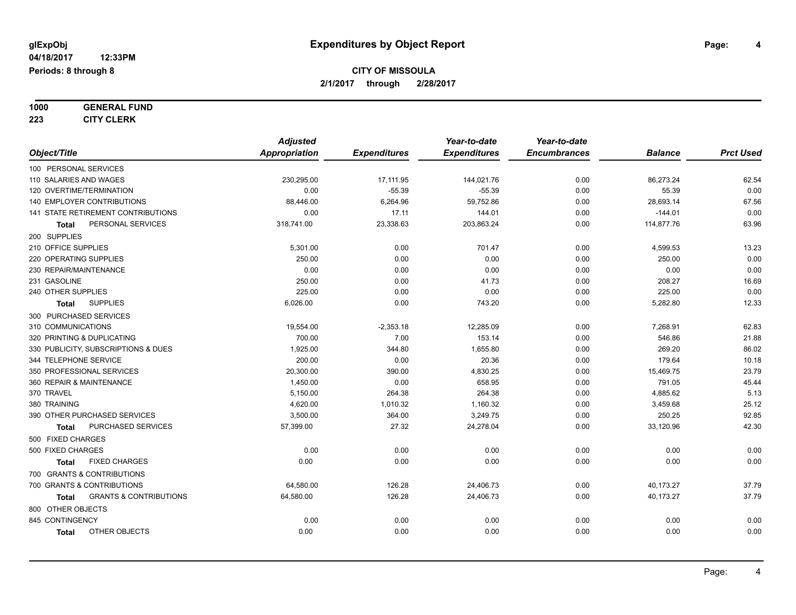# **1000 GENERAL FUND**

**223 CITY CLERK**

|                                            | <b>Adjusted</b>      |                     | Year-to-date        | Year-to-date        |                |                  |
|--------------------------------------------|----------------------|---------------------|---------------------|---------------------|----------------|------------------|
| Object/Title                               | <b>Appropriation</b> | <b>Expenditures</b> | <b>Expenditures</b> | <b>Encumbrances</b> | <b>Balance</b> | <b>Prct Used</b> |
| 100 PERSONAL SERVICES                      |                      |                     |                     |                     |                |                  |
| 110 SALARIES AND WAGES                     | 230,295.00           | 17,111.95           | 144,021.76          | 0.00                | 86,273.24      | 62.54            |
| 120 OVERTIME/TERMINATION                   | 0.00                 | $-55.39$            | $-55.39$            | 0.00                | 55.39          | 0.00             |
| 140 EMPLOYER CONTRIBUTIONS                 | 88,446.00            | 6,264.96            | 59,752.86           | 0.00                | 28,693.14      | 67.56            |
| 141 STATE RETIREMENT CONTRIBUTIONS         | 0.00                 | 17.11               | 144.01              | 0.00                | $-144.01$      | 0.00             |
| PERSONAL SERVICES<br>Total                 | 318,741.00           | 23,338.63           | 203,863.24          | 0.00                | 114,877.76     | 63.96            |
| 200 SUPPLIES                               |                      |                     |                     |                     |                |                  |
| 210 OFFICE SUPPLIES                        | 5,301.00             | 0.00                | 701.47              | 0.00                | 4,599.53       | 13.23            |
| 220 OPERATING SUPPLIES                     | 250.00               | 0.00                | 0.00                | 0.00                | 250.00         | 0.00             |
| 230 REPAIR/MAINTENANCE                     | 0.00                 | 0.00                | 0.00                | 0.00                | 0.00           | 0.00             |
| 231 GASOLINE                               | 250.00               | 0.00                | 41.73               | 0.00                | 208.27         | 16.69            |
| 240 OTHER SUPPLIES                         | 225.00               | 0.00                | 0.00                | 0.00                | 225.00         | 0.00             |
| <b>SUPPLIES</b><br>Total                   | 6,026.00             | 0.00                | 743.20              | 0.00                | 5,282.80       | 12.33            |
| 300 PURCHASED SERVICES                     |                      |                     |                     |                     |                |                  |
| 310 COMMUNICATIONS                         | 19,554.00            | $-2,353.18$         | 12,285.09           | 0.00                | 7,268.91       | 62.83            |
| 320 PRINTING & DUPLICATING                 | 700.00               | 7.00                | 153.14              | 0.00                | 546.86         | 21.88            |
| 330 PUBLICITY, SUBSCRIPTIONS & DUES        | 1,925.00             | 344.80              | 1,655.80            | 0.00                | 269.20         | 86.02            |
| 344 TELEPHONE SERVICE                      | 200.00               | 0.00                | 20.36               | 0.00                | 179.64         | 10.18            |
| 350 PROFESSIONAL SERVICES                  | 20,300.00            | 390.00              | 4,830.25            | 0.00                | 15,469.75      | 23.79            |
| 360 REPAIR & MAINTENANCE                   | 1,450.00             | 0.00                | 658.95              | 0.00                | 791.05         | 45.44            |
| 370 TRAVEL                                 | 5,150.00             | 264.38              | 264.38              | 0.00                | 4,885.62       | 5.13             |
| 380 TRAINING                               | 4,620.00             | 1,010.32            | 1,160.32            | 0.00                | 3,459.68       | 25.12            |
| 390 OTHER PURCHASED SERVICES               | 3,500.00             | 364.00              | 3,249.75            | 0.00                | 250.25         | 92.85            |
| PURCHASED SERVICES<br>Total                | 57,399.00            | 27.32               | 24,278.04           | 0.00                | 33,120.96      | 42.30            |
| 500 FIXED CHARGES                          |                      |                     |                     |                     |                |                  |
| 500 FIXED CHARGES                          | 0.00                 | 0.00                | 0.00                | 0.00                | 0.00           | 0.00             |
| <b>FIXED CHARGES</b><br>Total              | 0.00                 | 0.00                | 0.00                | 0.00                | 0.00           | 0.00             |
| 700 GRANTS & CONTRIBUTIONS                 |                      |                     |                     |                     |                |                  |
| 700 GRANTS & CONTRIBUTIONS                 | 64,580.00            | 126.28              | 24,406.73           | 0.00                | 40,173.27      | 37.79            |
| <b>GRANTS &amp; CONTRIBUTIONS</b><br>Total | 64,580.00            | 126.28              | 24,406.73           | 0.00                | 40,173.27      | 37.79            |
| 800 OTHER OBJECTS                          |                      |                     |                     |                     |                |                  |
| 845 CONTINGENCY                            | 0.00                 | 0.00                | 0.00                | 0.00                | 0.00           | 0.00             |
| OTHER OBJECTS<br><b>Total</b>              | 0.00                 | 0.00                | 0.00                | 0.00                | 0.00           | 0.00             |
|                                            |                      |                     |                     |                     |                |                  |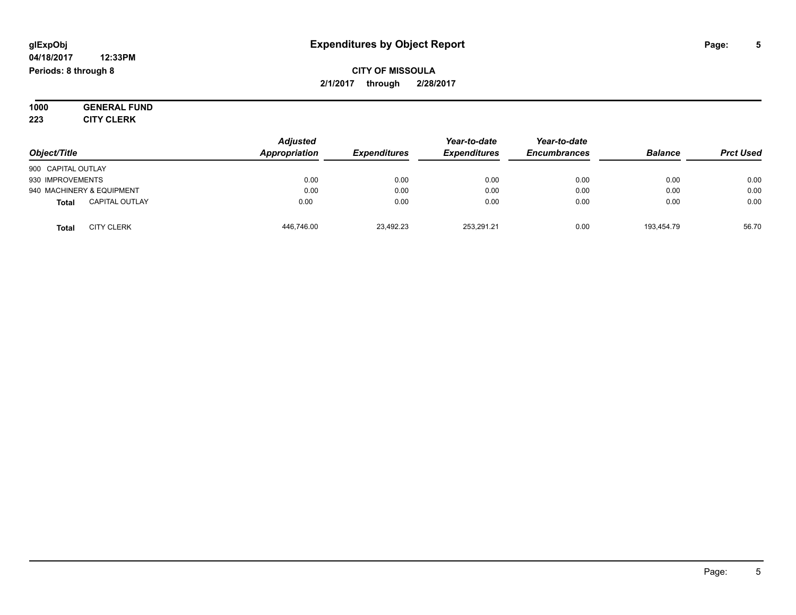#### **04/18/2017 12:33PM Periods: 8 through 8**

### **CITY OF MISSOULA 2/1/2017 through 2/28/2017**

**1000 GENERAL FUND 223 CITY CLERK**

| Object/Title       |                           | <b>Adjusted</b><br>Appropriation | <b>Expenditures</b> | Year-to-date<br><b>Expenditures</b> | Year-to-date<br><b>Encumbrances</b> | <b>Balance</b> | <b>Prct Used</b> |
|--------------------|---------------------------|----------------------------------|---------------------|-------------------------------------|-------------------------------------|----------------|------------------|
| 900 CAPITAL OUTLAY |                           |                                  |                     |                                     |                                     |                |                  |
| 930 IMPROVEMENTS   |                           | 0.00                             | 0.00                | 0.00                                | 0.00                                | 0.00           | 0.00             |
|                    | 940 MACHINERY & EQUIPMENT | 0.00                             | 0.00                | 0.00                                | 0.00                                | 0.00           | 0.00             |
| <b>Total</b>       | <b>CAPITAL OUTLAY</b>     | 0.00                             | 0.00                | 0.00                                | 0.00                                | 0.00           | 0.00             |
| <b>Total</b>       | <b>CITY CLERK</b>         | 446.746.00                       | 23,492.23           | 253.291.21                          | 0.00                                | 193,454.79     | 56.70            |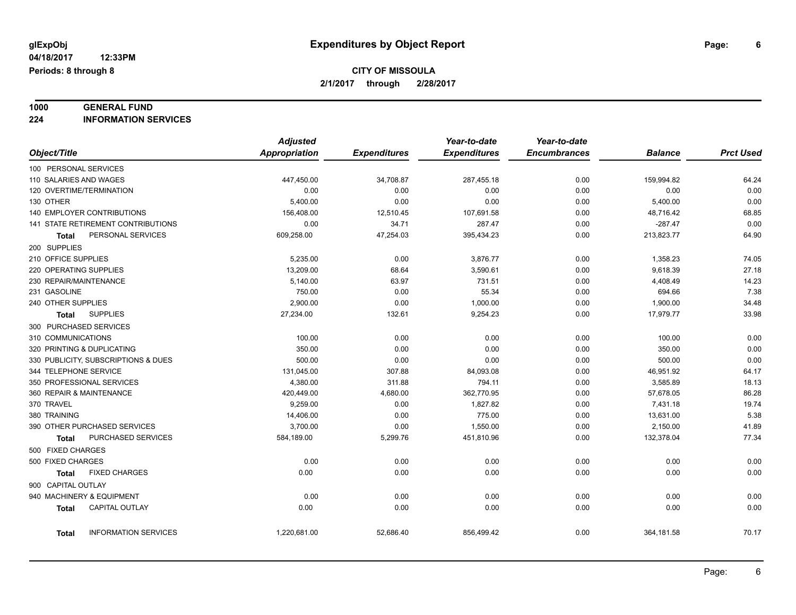# **1000 GENERAL FUND**

**224 INFORMATION SERVICES**

|                                             | <b>Adjusted</b> |                     | Year-to-date        | Year-to-date        |                |                  |
|---------------------------------------------|-----------------|---------------------|---------------------|---------------------|----------------|------------------|
| Object/Title                                | Appropriation   | <b>Expenditures</b> | <b>Expenditures</b> | <b>Encumbrances</b> | <b>Balance</b> | <b>Prct Used</b> |
| 100 PERSONAL SERVICES                       |                 |                     |                     |                     |                |                  |
| 110 SALARIES AND WAGES                      | 447,450.00      | 34,708.87           | 287,455.18          | 0.00                | 159,994.82     | 64.24            |
| 120 OVERTIME/TERMINATION                    | 0.00            | 0.00                | 0.00                | 0.00                | 0.00           | 0.00             |
| 130 OTHER                                   | 5,400.00        | 0.00                | 0.00                | 0.00                | 5,400.00       | 0.00             |
| 140 EMPLOYER CONTRIBUTIONS                  | 156,408.00      | 12,510.45           | 107,691.58          | 0.00                | 48,716.42      | 68.85            |
| <b>141 STATE RETIREMENT CONTRIBUTIONS</b>   | 0.00            | 34.71               | 287.47              | 0.00                | $-287.47$      | 0.00             |
| PERSONAL SERVICES<br><b>Total</b>           | 609,258.00      | 47,254.03           | 395,434.23          | 0.00                | 213,823.77     | 64.90            |
| 200 SUPPLIES                                |                 |                     |                     |                     |                |                  |
| 210 OFFICE SUPPLIES                         | 5,235.00        | 0.00                | 3,876.77            | 0.00                | 1,358.23       | 74.05            |
| 220 OPERATING SUPPLIES                      | 13,209.00       | 68.64               | 3,590.61            | 0.00                | 9,618.39       | 27.18            |
| 230 REPAIR/MAINTENANCE                      | 5,140.00        | 63.97               | 731.51              | 0.00                | 4,408.49       | 14.23            |
| 231 GASOLINE                                | 750.00          | 0.00                | 55.34               | 0.00                | 694.66         | 7.38             |
| 240 OTHER SUPPLIES                          | 2,900.00        | 0.00                | 1,000.00            | 0.00                | 1,900.00       | 34.48            |
| <b>SUPPLIES</b><br><b>Total</b>             | 27,234.00       | 132.61              | 9,254.23            | 0.00                | 17,979.77      | 33.98            |
| 300 PURCHASED SERVICES                      |                 |                     |                     |                     |                |                  |
| 310 COMMUNICATIONS                          | 100.00          | 0.00                | 0.00                | 0.00                | 100.00         | 0.00             |
| 320 PRINTING & DUPLICATING                  | 350.00          | 0.00                | 0.00                | 0.00                | 350.00         | 0.00             |
| 330 PUBLICITY, SUBSCRIPTIONS & DUES         | 500.00          | 0.00                | 0.00                | 0.00                | 500.00         | 0.00             |
| 344 TELEPHONE SERVICE                       | 131,045.00      | 307.88              | 84,093.08           | 0.00                | 46,951.92      | 64.17            |
| 350 PROFESSIONAL SERVICES                   | 4,380.00        | 311.88              | 794.11              | 0.00                | 3,585.89       | 18.13            |
| 360 REPAIR & MAINTENANCE                    | 420,449.00      | 4,680.00            | 362,770.95          | 0.00                | 57,678.05      | 86.28            |
| 370 TRAVEL                                  | 9,259.00        | 0.00                | 1,827.82            | 0.00                | 7,431.18       | 19.74            |
| 380 TRAINING                                | 14,406.00       | 0.00                | 775.00              | 0.00                | 13,631.00      | 5.38             |
| 390 OTHER PURCHASED SERVICES                | 3,700.00        | 0.00                | 1,550.00            | 0.00                | 2,150.00       | 41.89            |
| PURCHASED SERVICES<br><b>Total</b>          | 584,189.00      | 5,299.76            | 451,810.96          | 0.00                | 132,378.04     | 77.34            |
| 500 FIXED CHARGES                           |                 |                     |                     |                     |                |                  |
| 500 FIXED CHARGES                           | 0.00            | 0.00                | 0.00                | 0.00                | 0.00           | 0.00             |
| <b>FIXED CHARGES</b><br><b>Total</b>        | 0.00            | 0.00                | 0.00                | 0.00                | 0.00           | 0.00             |
| 900 CAPITAL OUTLAY                          |                 |                     |                     |                     |                |                  |
| 940 MACHINERY & EQUIPMENT                   | 0.00            | 0.00                | 0.00                | 0.00                | 0.00           | 0.00             |
| <b>CAPITAL OUTLAY</b><br><b>Total</b>       | 0.00            | 0.00                | 0.00                | 0.00                | 0.00           | 0.00             |
|                                             |                 |                     |                     |                     |                |                  |
| <b>INFORMATION SERVICES</b><br><b>Total</b> | 1,220,681.00    | 52,686.40           | 856,499.42          | 0.00                | 364,181.58     | 70.17            |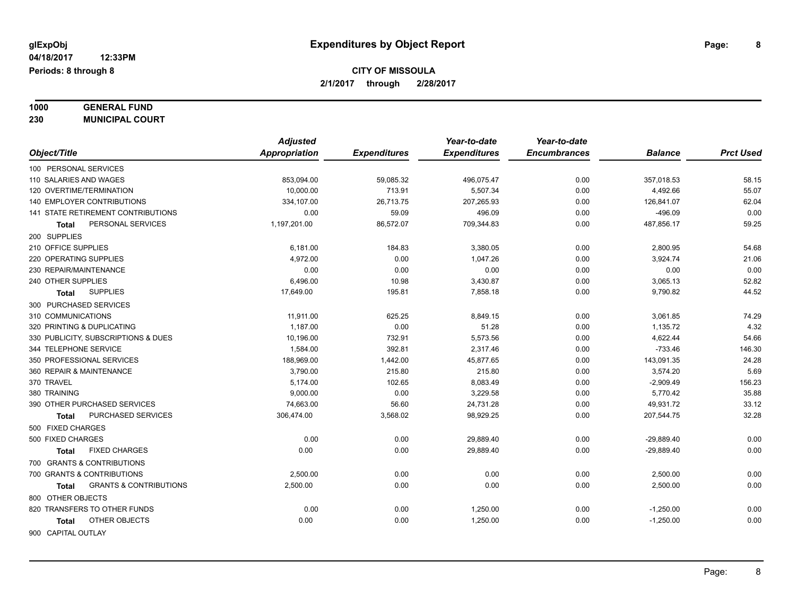#### **1000 GENERAL FUND 230 MUNICIPAL COURT**

|                                            | <b>Adjusted</b> |                     | Year-to-date        | Year-to-date        |                |                  |
|--------------------------------------------|-----------------|---------------------|---------------------|---------------------|----------------|------------------|
| Object/Title                               | Appropriation   | <b>Expenditures</b> | <b>Expenditures</b> | <b>Encumbrances</b> | <b>Balance</b> | <b>Prct Used</b> |
| 100 PERSONAL SERVICES                      |                 |                     |                     |                     |                |                  |
| 110 SALARIES AND WAGES                     | 853,094.00      | 59,085.32           | 496,075.47          | 0.00                | 357,018.53     | 58.15            |
| 120 OVERTIME/TERMINATION                   | 10,000.00       | 713.91              | 5,507.34            | 0.00                | 4,492.66       | 55.07            |
| 140 EMPLOYER CONTRIBUTIONS                 | 334,107.00      | 26,713.75           | 207,265.93          | 0.00                | 126,841.07     | 62.04            |
| <b>141 STATE RETIREMENT CONTRIBUTIONS</b>  | 0.00            | 59.09               | 496.09              | 0.00                | $-496.09$      | 0.00             |
| PERSONAL SERVICES<br>Total                 | 1,197,201.00    | 86,572.07           | 709,344.83          | 0.00                | 487,856.17     | 59.25            |
| 200 SUPPLIES                               |                 |                     |                     |                     |                |                  |
| 210 OFFICE SUPPLIES                        | 6,181.00        | 184.83              | 3,380.05            | 0.00                | 2,800.95       | 54.68            |
| 220 OPERATING SUPPLIES                     | 4,972.00        | 0.00                | 1,047.26            | 0.00                | 3,924.74       | 21.06            |
| 230 REPAIR/MAINTENANCE                     | 0.00            | 0.00                | 0.00                | 0.00                | 0.00           | 0.00             |
| 240 OTHER SUPPLIES                         | 6,496.00        | 10.98               | 3,430.87            | 0.00                | 3,065.13       | 52.82            |
| <b>SUPPLIES</b><br><b>Total</b>            | 17,649.00       | 195.81              | 7,858.18            | 0.00                | 9,790.82       | 44.52            |
| 300 PURCHASED SERVICES                     |                 |                     |                     |                     |                |                  |
| 310 COMMUNICATIONS                         | 11,911.00       | 625.25              | 8,849.15            | 0.00                | 3,061.85       | 74.29            |
| 320 PRINTING & DUPLICATING                 | 1,187.00        | 0.00                | 51.28               | 0.00                | 1,135.72       | 4.32             |
| 330 PUBLICITY, SUBSCRIPTIONS & DUES        | 10,196.00       | 732.91              | 5,573.56            | 0.00                | 4,622.44       | 54.66            |
| 344 TELEPHONE SERVICE                      | 1,584.00        | 392.81              | 2,317.46            | 0.00                | $-733.46$      | 146.30           |
| 350 PROFESSIONAL SERVICES                  | 188,969.00      | 1,442.00            | 45,877.65           | 0.00                | 143,091.35     | 24.28            |
| 360 REPAIR & MAINTENANCE                   | 3,790.00        | 215.80              | 215.80              | 0.00                | 3,574.20       | 5.69             |
| 370 TRAVEL                                 | 5,174.00        | 102.65              | 8,083.49            | 0.00                | $-2,909.49$    | 156.23           |
| 380 TRAINING                               | 9,000.00        | 0.00                | 3,229.58            | 0.00                | 5,770.42       | 35.88            |
| 390 OTHER PURCHASED SERVICES               | 74,663.00       | 56.60               | 24,731.28           | 0.00                | 49,931.72      | 33.12            |
| PURCHASED SERVICES<br>Total                | 306,474.00      | 3,568.02            | 98,929.25           | 0.00                | 207,544.75     | 32.28            |
| 500 FIXED CHARGES                          |                 |                     |                     |                     |                |                  |
| 500 FIXED CHARGES                          | 0.00            | 0.00                | 29,889.40           | 0.00                | $-29,889.40$   | 0.00             |
| <b>FIXED CHARGES</b><br><b>Total</b>       | 0.00            | 0.00                | 29,889.40           | 0.00                | $-29,889.40$   | 0.00             |
| 700 GRANTS & CONTRIBUTIONS                 |                 |                     |                     |                     |                |                  |
| 700 GRANTS & CONTRIBUTIONS                 | 2,500.00        | 0.00                | 0.00                | 0.00                | 2,500.00       | 0.00             |
| <b>GRANTS &amp; CONTRIBUTIONS</b><br>Total | 2,500.00        | 0.00                | 0.00                | 0.00                | 2,500.00       | 0.00             |
| 800 OTHER OBJECTS                          |                 |                     |                     |                     |                |                  |
| 820 TRANSFERS TO OTHER FUNDS               | 0.00            | 0.00                | 1,250.00            | 0.00                | $-1,250.00$    | 0.00             |
| OTHER OBJECTS<br>Total                     | 0.00            | 0.00                | 1,250.00            | 0.00                | $-1,250.00$    | 0.00             |
| 900 CAPITAL OUTLAY                         |                 |                     |                     |                     |                |                  |
|                                            |                 |                     |                     |                     |                |                  |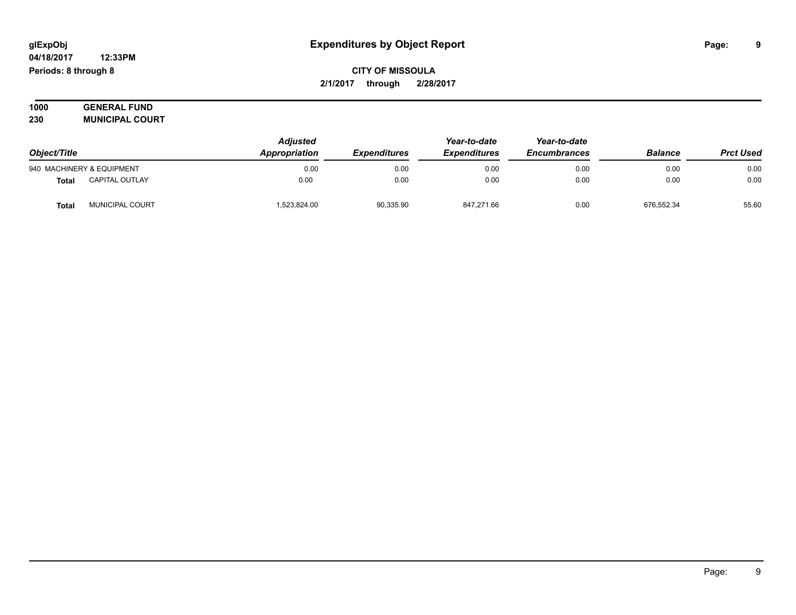#### **04/18/2017 12:33PM Periods: 8 through 8**

### **CITY OF MISSOULA 2/1/2017 through 2/28/2017**

| 1000 | <b>GENERAL FUND</b>    |  |
|------|------------------------|--|
| 230  | <b>MUNICIPAL COURT</b> |  |

| Object/Title |                           | <b>Adjusted</b><br>Appropriation | <b>Expenditures</b> | Year-to-date<br><b>Expenditures</b> | Year-to-date<br><b>Encumbrances</b> | <b>Balance</b> | <b>Prct Used</b> |
|--------------|---------------------------|----------------------------------|---------------------|-------------------------------------|-------------------------------------|----------------|------------------|
|              | 940 MACHINERY & EQUIPMENT | 0.00                             | 0.00                | 0.00                                | 0.00                                | 0.00           | 0.00             |
| <b>Total</b> | <b>CAPITAL OUTLAY</b>     | 0.00                             | 0.00                | 0.00                                | 0.00                                | 0.00           | 0.00             |
| <b>Total</b> | MUNICIPAL COURT           | 1,523,824.00                     | 90,335.90           | 847,271.66                          | 0.00                                | 676,552.34     | 55.60            |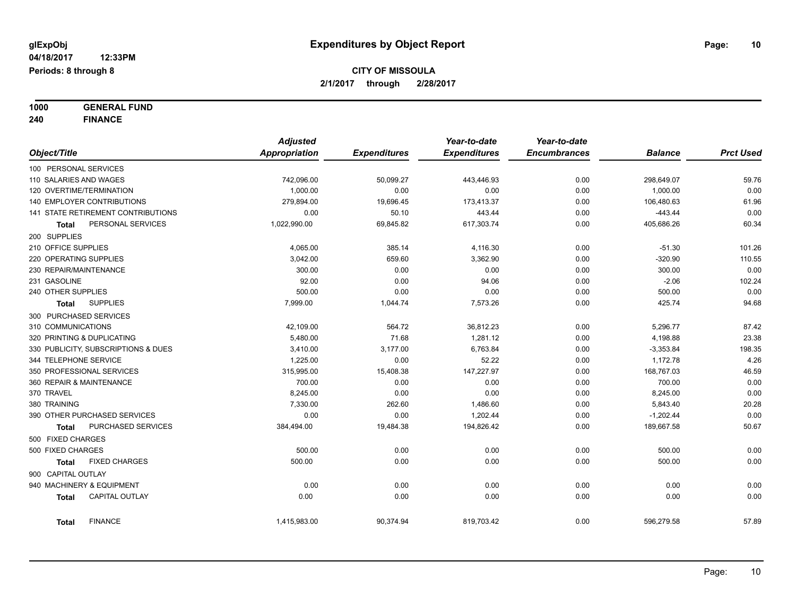**1000 GENERAL FUND**

**240 FINANCE**

|                        |                                     | <b>Adjusted</b> |                     | Year-to-date        | Year-to-date        |                |                  |
|------------------------|-------------------------------------|-----------------|---------------------|---------------------|---------------------|----------------|------------------|
| Object/Title           |                                     | Appropriation   | <b>Expenditures</b> | <b>Expenditures</b> | <b>Encumbrances</b> | <b>Balance</b> | <b>Prct Used</b> |
| 100 PERSONAL SERVICES  |                                     |                 |                     |                     |                     |                |                  |
| 110 SALARIES AND WAGES |                                     | 742,096.00      | 50,099.27           | 443,446.93          | 0.00                | 298,649.07     | 59.76            |
|                        | 120 OVERTIME/TERMINATION            | 1,000.00        | 0.00                | 0.00                | 0.00                | 1,000.00       | 0.00             |
|                        | <b>140 EMPLOYER CONTRIBUTIONS</b>   | 279,894.00      | 19,696.45           | 173,413.37          | 0.00                | 106,480.63     | 61.96            |
|                        | 141 STATE RETIREMENT CONTRIBUTIONS  | 0.00            | 50.10               | 443.44              | 0.00                | $-443.44$      | 0.00             |
| Total                  | PERSONAL SERVICES                   | 1,022,990.00    | 69,845.82           | 617,303.74          | 0.00                | 405,686.26     | 60.34            |
| 200 SUPPLIES           |                                     |                 |                     |                     |                     |                |                  |
| 210 OFFICE SUPPLIES    |                                     | 4,065.00        | 385.14              | 4,116.30            | 0.00                | $-51.30$       | 101.26           |
| 220 OPERATING SUPPLIES |                                     | 3,042.00        | 659.60              | 3,362.90            | 0.00                | $-320.90$      | 110.55           |
| 230 REPAIR/MAINTENANCE |                                     | 300.00          | 0.00                | 0.00                | 0.00                | 300.00         | 0.00             |
| 231 GASOLINE           |                                     | 92.00           | 0.00                | 94.06               | 0.00                | $-2.06$        | 102.24           |
| 240 OTHER SUPPLIES     |                                     | 500.00          | 0.00                | 0.00                | 0.00                | 500.00         | 0.00             |
| Total                  | <b>SUPPLIES</b>                     | 7,999.00        | 1,044.74            | 7,573.26            | 0.00                | 425.74         | 94.68            |
| 300 PURCHASED SERVICES |                                     |                 |                     |                     |                     |                |                  |
| 310 COMMUNICATIONS     |                                     | 42,109.00       | 564.72              | 36,812.23           | 0.00                | 5,296.77       | 87.42            |
|                        | 320 PRINTING & DUPLICATING          | 5,480.00        | 71.68               | 1,281.12            | 0.00                | 4,198.88       | 23.38            |
|                        | 330 PUBLICITY, SUBSCRIPTIONS & DUES | 3,410.00        | 3,177.00            | 6,763.84            | 0.00                | $-3,353.84$    | 198.35           |
| 344 TELEPHONE SERVICE  |                                     | 1,225.00        | 0.00                | 52.22               | 0.00                | 1,172.78       | 4.26             |
|                        | 350 PROFESSIONAL SERVICES           | 315,995.00      | 15,408.38           | 147,227.97          | 0.00                | 168,767.03     | 46.59            |
|                        | 360 REPAIR & MAINTENANCE            | 700.00          | 0.00                | 0.00                | 0.00                | 700.00         | 0.00             |
| 370 TRAVEL             |                                     | 8,245.00        | 0.00                | 0.00                | 0.00                | 8,245.00       | 0.00             |
| 380 TRAINING           |                                     | 7,330.00        | 262.60              | 1,486.60            | 0.00                | 5,843.40       | 20.28            |
|                        | 390 OTHER PURCHASED SERVICES        | 0.00            | 0.00                | 1,202.44            | 0.00                | $-1,202.44$    | 0.00             |
| Total                  | <b>PURCHASED SERVICES</b>           | 384,494.00      | 19,484.38           | 194,826.42          | 0.00                | 189,667.58     | 50.67            |
| 500 FIXED CHARGES      |                                     |                 |                     |                     |                     |                |                  |
| 500 FIXED CHARGES      |                                     | 500.00          | 0.00                | 0.00                | 0.00                | 500.00         | 0.00             |
| Total                  | <b>FIXED CHARGES</b>                | 500.00          | 0.00                | 0.00                | 0.00                | 500.00         | 0.00             |
| 900 CAPITAL OUTLAY     |                                     |                 |                     |                     |                     |                |                  |
|                        | 940 MACHINERY & EQUIPMENT           | 0.00            | 0.00                | 0.00                | 0.00                | 0.00           | 0.00             |
| <b>Total</b>           | <b>CAPITAL OUTLAY</b>               | 0.00            | 0.00                | 0.00                | 0.00                | 0.00           | 0.00             |
| <b>Total</b>           | <b>FINANCE</b>                      | 1,415,983.00    | 90,374.94           | 819,703.42          | 0.00                | 596,279.58     | 57.89            |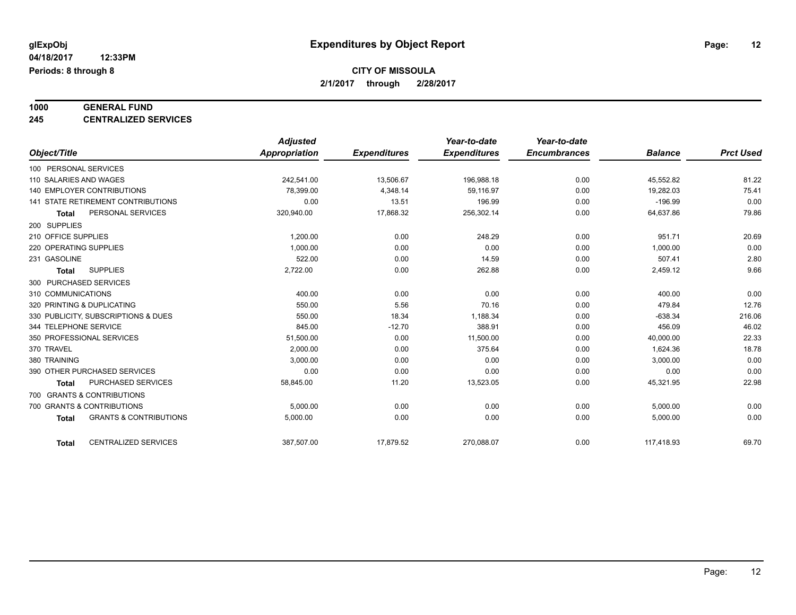# **1000 GENERAL FUND**

**245 CENTRALIZED SERVICES**

|                                                   | <b>Adjusted</b> |                     | Year-to-date        | Year-to-date        |                |                  |
|---------------------------------------------------|-----------------|---------------------|---------------------|---------------------|----------------|------------------|
| Object/Title                                      | Appropriation   | <b>Expenditures</b> | <b>Expenditures</b> | <b>Encumbrances</b> | <b>Balance</b> | <b>Prct Used</b> |
| 100 PERSONAL SERVICES                             |                 |                     |                     |                     |                |                  |
| 110 SALARIES AND WAGES                            | 242.541.00      | 13,506.67           | 196,988.18          | 0.00                | 45,552.82      | 81.22            |
| <b>140 EMPLOYER CONTRIBUTIONS</b>                 | 78,399.00       | 4,348.14            | 59.116.97           | 0.00                | 19,282.03      | 75.41            |
| 141 STATE RETIREMENT CONTRIBUTIONS                | 0.00            | 13.51               | 196.99              | 0.00                | $-196.99$      | 0.00             |
| PERSONAL SERVICES<br><b>Total</b>                 | 320,940.00      | 17,868.32           | 256,302.14          | 0.00                | 64,637.86      | 79.86            |
| 200 SUPPLIES                                      |                 |                     |                     |                     |                |                  |
| 210 OFFICE SUPPLIES                               | 1,200.00        | 0.00                | 248.29              | 0.00                | 951.71         | 20.69            |
| 220 OPERATING SUPPLIES                            | 1,000.00        | 0.00                | 0.00                | 0.00                | 1,000.00       | 0.00             |
| 231 GASOLINE                                      | 522.00          | 0.00                | 14.59               | 0.00                | 507.41         | 2.80             |
| <b>SUPPLIES</b><br><b>Total</b>                   | 2,722.00        | 0.00                | 262.88              | 0.00                | 2,459.12       | 9.66             |
| 300 PURCHASED SERVICES                            |                 |                     |                     |                     |                |                  |
| 310 COMMUNICATIONS                                | 400.00          | 0.00                | 0.00                | 0.00                | 400.00         | 0.00             |
| 320 PRINTING & DUPLICATING                        | 550.00          | 5.56                | 70.16               | 0.00                | 479.84         | 12.76            |
| 330 PUBLICITY, SUBSCRIPTIONS & DUES               | 550.00          | 18.34               | 1,188.34            | 0.00                | $-638.34$      | 216.06           |
| 344 TELEPHONE SERVICE                             | 845.00          | $-12.70$            | 388.91              | 0.00                | 456.09         | 46.02            |
| 350 PROFESSIONAL SERVICES                         | 51,500.00       | 0.00                | 11,500.00           | 0.00                | 40,000.00      | 22.33            |
| 370 TRAVEL                                        | 2,000.00        | 0.00                | 375.64              | 0.00                | 1,624.36       | 18.78            |
| 380 TRAINING                                      | 3,000.00        | 0.00                | 0.00                | 0.00                | 3,000.00       | 0.00             |
| 390 OTHER PURCHASED SERVICES                      | 0.00            | 0.00                | 0.00                | 0.00                | 0.00           | 0.00             |
| <b>PURCHASED SERVICES</b><br><b>Total</b>         | 58,845.00       | 11.20               | 13,523.05           | 0.00                | 45,321.95      | 22.98            |
| 700 GRANTS & CONTRIBUTIONS                        |                 |                     |                     |                     |                |                  |
| 700 GRANTS & CONTRIBUTIONS                        | 5,000.00        | 0.00                | 0.00                | 0.00                | 5,000.00       | 0.00             |
| <b>GRANTS &amp; CONTRIBUTIONS</b><br><b>Total</b> | 5,000.00        | 0.00                | 0.00                | 0.00                | 5,000.00       | 0.00             |
|                                                   |                 |                     |                     |                     |                | 69.70            |
| <b>CENTRALIZED SERVICES</b><br><b>Total</b>       | 387,507.00      | 17,879.52           | 270,088.07          | 0.00                | 117,418.93     |                  |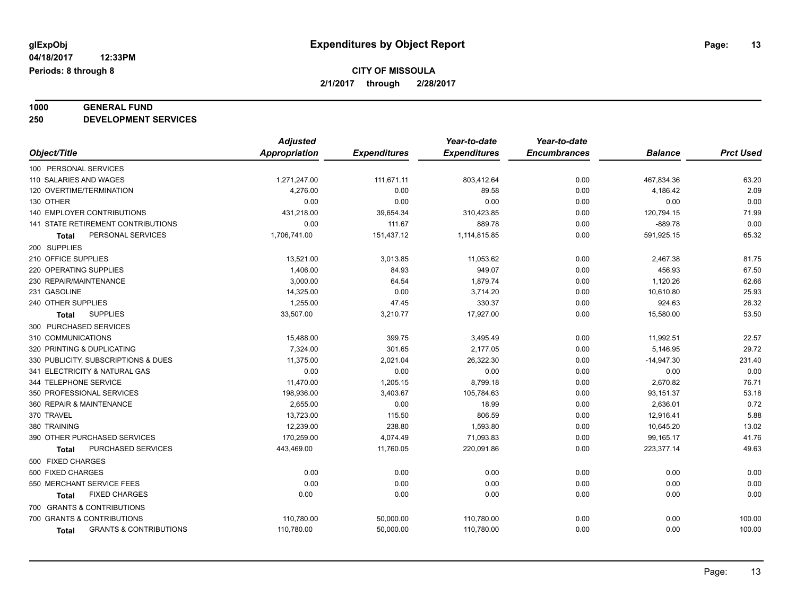# **1000 GENERAL FUND**

**250 DEVELOPMENT SERVICES**

|                                            | <b>Adjusted</b> |                     | Year-to-date        | Year-to-date        |                |                  |
|--------------------------------------------|-----------------|---------------------|---------------------|---------------------|----------------|------------------|
| Object/Title                               | Appropriation   | <b>Expenditures</b> | <b>Expenditures</b> | <b>Encumbrances</b> | <b>Balance</b> | <b>Prct Used</b> |
| 100 PERSONAL SERVICES                      |                 |                     |                     |                     |                |                  |
| 110 SALARIES AND WAGES                     | 1,271,247.00    | 111,671.11          | 803,412.64          | 0.00                | 467,834.36     | 63.20            |
| 120 OVERTIME/TERMINATION                   | 4,276.00        | 0.00                | 89.58               | 0.00                | 4,186.42       | 2.09             |
| 130 OTHER                                  | 0.00            | 0.00                | 0.00                | 0.00                | 0.00           | 0.00             |
| <b>140 EMPLOYER CONTRIBUTIONS</b>          | 431,218.00      | 39,654.34           | 310,423.85          | 0.00                | 120,794.15     | 71.99            |
| 141 STATE RETIREMENT CONTRIBUTIONS         | 0.00            | 111.67              | 889.78              | 0.00                | $-889.78$      | 0.00             |
| PERSONAL SERVICES<br>Total                 | 1,706,741.00    | 151,437.12          | 1,114,815.85        | 0.00                | 591,925.15     | 65.32            |
| 200 SUPPLIES                               |                 |                     |                     |                     |                |                  |
| 210 OFFICE SUPPLIES                        | 13,521.00       | 3,013.85            | 11,053.62           | 0.00                | 2,467.38       | 81.75            |
| 220 OPERATING SUPPLIES                     | 1,406.00        | 84.93               | 949.07              | 0.00                | 456.93         | 67.50            |
| 230 REPAIR/MAINTENANCE                     | 3,000.00        | 64.54               | 1,879.74            | 0.00                | 1,120.26       | 62.66            |
| 231 GASOLINE                               | 14,325.00       | 0.00                | 3,714.20            | 0.00                | 10,610.80      | 25.93            |
| 240 OTHER SUPPLIES                         | 1,255.00        | 47.45               | 330.37              | 0.00                | 924.63         | 26.32            |
| <b>SUPPLIES</b><br><b>Total</b>            | 33,507.00       | 3,210.77            | 17,927.00           | 0.00                | 15,580.00      | 53.50            |
| 300 PURCHASED SERVICES                     |                 |                     |                     |                     |                |                  |
| 310 COMMUNICATIONS                         | 15,488.00       | 399.75              | 3,495.49            | 0.00                | 11,992.51      | 22.57            |
| 320 PRINTING & DUPLICATING                 | 7,324.00        | 301.65              | 2,177.05            | 0.00                | 5,146.95       | 29.72            |
| 330 PUBLICITY, SUBSCRIPTIONS & DUES        | 11.375.00       | 2,021.04            | 26,322.30           | 0.00                | $-14,947.30$   | 231.40           |
| 341 ELECTRICITY & NATURAL GAS              | 0.00            | 0.00                | 0.00                | 0.00                | 0.00           | 0.00             |
| 344 TELEPHONE SERVICE                      | 11,470.00       | 1,205.15            | 8,799.18            | 0.00                | 2,670.82       | 76.71            |
| 350 PROFESSIONAL SERVICES                  | 198,936.00      | 3,403.67            | 105,784.63          | 0.00                | 93,151.37      | 53.18            |
| 360 REPAIR & MAINTENANCE                   | 2,655.00        | 0.00                | 18.99               | 0.00                | 2,636.01       | 0.72             |
| 370 TRAVEL                                 | 13,723.00       | 115.50              | 806.59              | 0.00                | 12,916.41      | 5.88             |
| 380 TRAINING                               | 12,239.00       | 238.80              | 1,593.80            | 0.00                | 10,645.20      | 13.02            |
| 390 OTHER PURCHASED SERVICES               | 170,259.00      | 4,074.49            | 71,093.83           | 0.00                | 99,165.17      | 41.76            |
| PURCHASED SERVICES<br><b>Total</b>         | 443,469.00      | 11,760.05           | 220,091.86          | 0.00                | 223,377.14     | 49.63            |
| 500 FIXED CHARGES                          |                 |                     |                     |                     |                |                  |
| 500 FIXED CHARGES                          | 0.00            | 0.00                | 0.00                | 0.00                | 0.00           | 0.00             |
| 550 MERCHANT SERVICE FEES                  | 0.00            | 0.00                | 0.00                | 0.00                | 0.00           | 0.00             |
| <b>FIXED CHARGES</b><br>Total              | 0.00            | 0.00                | 0.00                | 0.00                | 0.00           | 0.00             |
| 700 GRANTS & CONTRIBUTIONS                 |                 |                     |                     |                     |                |                  |
| 700 GRANTS & CONTRIBUTIONS                 | 110,780.00      | 50,000.00           | 110,780.00          | 0.00                | 0.00           | 100.00           |
| <b>GRANTS &amp; CONTRIBUTIONS</b><br>Total | 110,780.00      | 50,000.00           | 110,780.00          | 0.00                | 0.00           | 100.00           |
|                                            |                 |                     |                     |                     |                |                  |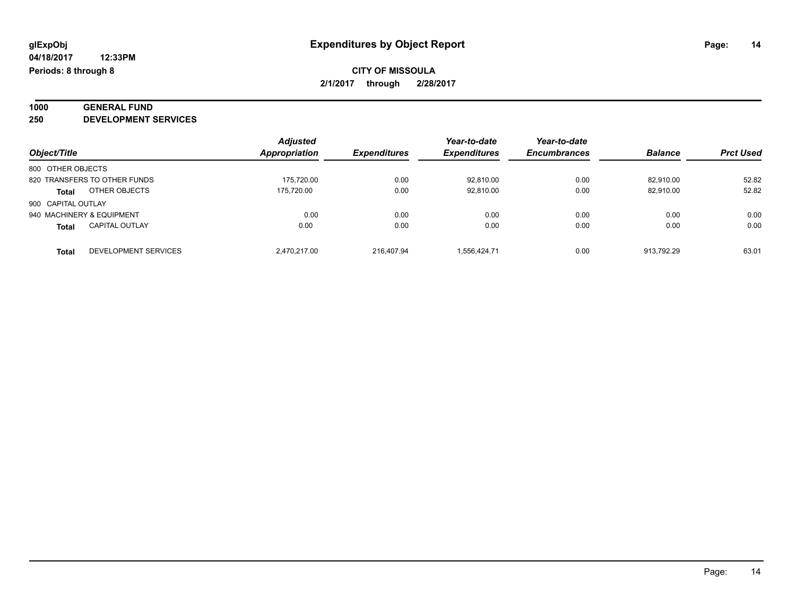# **1000 GENERAL FUND**

**250 DEVELOPMENT SERVICES**

|                                       | <b>Adjusted</b>      |                     | Year-to-date        | Year-to-date        |                |                  |
|---------------------------------------|----------------------|---------------------|---------------------|---------------------|----------------|------------------|
| Object/Title                          | <b>Appropriation</b> | <b>Expenditures</b> | <b>Expenditures</b> | <b>Encumbrances</b> | <b>Balance</b> | <b>Prct Used</b> |
| 800 OTHER OBJECTS                     |                      |                     |                     |                     |                |                  |
| 820 TRANSFERS TO OTHER FUNDS          | 175.720.00           | 0.00                | 92,810.00           | 0.00                | 82.910.00      | 52.82            |
| OTHER OBJECTS<br><b>Total</b>         | 175.720.00           | 0.00                | 92.810.00           | 0.00                | 82.910.00      | 52.82            |
| 900 CAPITAL OUTLAY                    |                      |                     |                     |                     |                |                  |
| 940 MACHINERY & EQUIPMENT             | 0.00                 | 0.00                | 0.00                | 0.00                | 0.00           | 0.00             |
| <b>CAPITAL OUTLAY</b><br><b>Total</b> | 0.00                 | 0.00                | 0.00                | 0.00                | 0.00           | 0.00             |
| DEVELOPMENT SERVICES<br><b>Total</b>  | 2.470.217.00         | 216.407.94          | 1.556.424.71        | 0.00                | 913.792.29     | 63.01            |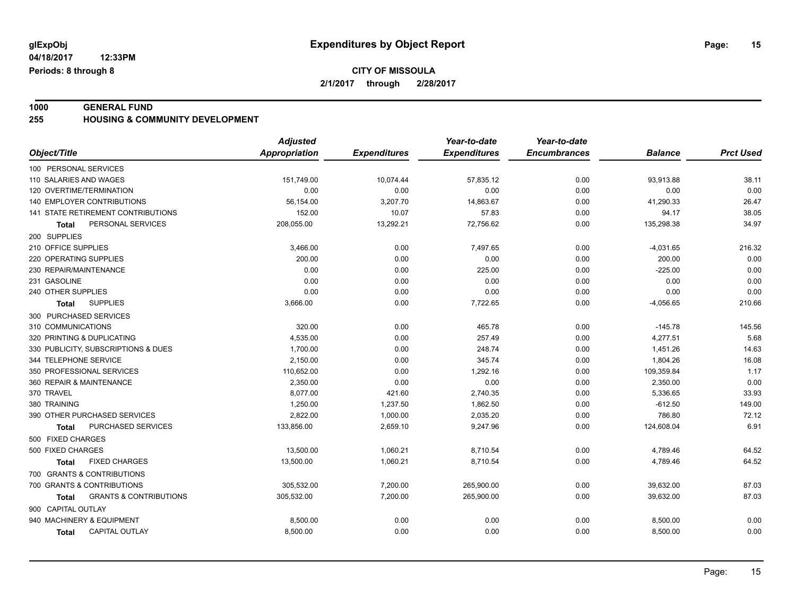**04/18/2017 12:33PM Periods: 8 through 8**

#### **CITY OF MISSOULA 2/1/2017 through 2/28/2017**

**1000 GENERAL FUND 255 HOUSING & COMMUNITY DEVELOPMENT**

|                                            | <b>Adjusted</b>      |                     | Year-to-date        | Year-to-date        |                |                  |
|--------------------------------------------|----------------------|---------------------|---------------------|---------------------|----------------|------------------|
| Object/Title                               | <b>Appropriation</b> | <b>Expenditures</b> | <b>Expenditures</b> | <b>Encumbrances</b> | <b>Balance</b> | <b>Prct Used</b> |
| 100 PERSONAL SERVICES                      |                      |                     |                     |                     |                |                  |
| 110 SALARIES AND WAGES                     | 151,749.00           | 10,074.44           | 57,835.12           | 0.00                | 93,913.88      | 38.11            |
| 120 OVERTIME/TERMINATION                   | 0.00                 | 0.00                | 0.00                | 0.00                | 0.00           | 0.00             |
| 140 EMPLOYER CONTRIBUTIONS                 | 56,154.00            | 3,207.70            | 14,863.67           | 0.00                | 41,290.33      | 26.47            |
| 141 STATE RETIREMENT CONTRIBUTIONS         | 152.00               | 10.07               | 57.83               | 0.00                | 94.17          | 38.05            |
| PERSONAL SERVICES<br><b>Total</b>          | 208,055.00           | 13,292.21           | 72,756.62           | 0.00                | 135,298.38     | 34.97            |
| 200 SUPPLIES                               |                      |                     |                     |                     |                |                  |
| 210 OFFICE SUPPLIES                        | 3,466.00             | 0.00                | 7,497.65            | 0.00                | $-4,031.65$    | 216.32           |
| 220 OPERATING SUPPLIES                     | 200.00               | 0.00                | 0.00                | 0.00                | 200.00         | 0.00             |
| 230 REPAIR/MAINTENANCE                     | 0.00                 | 0.00                | 225.00              | 0.00                | $-225.00$      | 0.00             |
| 231 GASOLINE                               | 0.00                 | 0.00                | 0.00                | 0.00                | 0.00           | 0.00             |
| 240 OTHER SUPPLIES                         | 0.00                 | 0.00                | 0.00                | 0.00                | 0.00           | 0.00             |
| <b>SUPPLIES</b><br>Total                   | 3,666.00             | 0.00                | 7,722.65            | 0.00                | $-4,056.65$    | 210.66           |
| 300 PURCHASED SERVICES                     |                      |                     |                     |                     |                |                  |
| 310 COMMUNICATIONS                         | 320.00               | 0.00                | 465.78              | 0.00                | $-145.78$      | 145.56           |
| 320 PRINTING & DUPLICATING                 | 4,535.00             | 0.00                | 257.49              | 0.00                | 4,277.51       | 5.68             |
| 330 PUBLICITY, SUBSCRIPTIONS & DUES        | 1,700.00             | 0.00                | 248.74              | 0.00                | 1,451.26       | 14.63            |
| 344 TELEPHONE SERVICE                      | 2,150.00             | 0.00                | 345.74              | 0.00                | 1,804.26       | 16.08            |
| 350 PROFESSIONAL SERVICES                  | 110,652.00           | 0.00                | 1,292.16            | 0.00                | 109,359.84     | 1.17             |
| 360 REPAIR & MAINTENANCE                   | 2.350.00             | 0.00                | 0.00                | 0.00                | 2,350.00       | 0.00             |
| 370 TRAVEL                                 | 8.077.00             | 421.60              | 2,740.35            | 0.00                | 5,336.65       | 33.93            |
| 380 TRAINING                               | 1,250.00             | 1,237.50            | 1,862.50            | 0.00                | $-612.50$      | 149.00           |
| 390 OTHER PURCHASED SERVICES               | 2,822.00             | 1,000.00            | 2,035.20            | 0.00                | 786.80         | 72.12            |
| PURCHASED SERVICES<br>Total                | 133,856.00           | 2,659.10            | 9,247.96            | 0.00                | 124,608.04     | 6.91             |
| 500 FIXED CHARGES                          |                      |                     |                     |                     |                |                  |
| 500 FIXED CHARGES                          | 13,500.00            | 1,060.21            | 8,710.54            | 0.00                | 4,789.46       | 64.52            |
| <b>FIXED CHARGES</b><br><b>Total</b>       | 13,500.00            | 1,060.21            | 8,710.54            | 0.00                | 4,789.46       | 64.52            |
| 700 GRANTS & CONTRIBUTIONS                 |                      |                     |                     |                     |                |                  |
| 700 GRANTS & CONTRIBUTIONS                 | 305,532.00           | 7,200.00            | 265,900.00          | 0.00                | 39,632.00      | 87.03            |
| <b>GRANTS &amp; CONTRIBUTIONS</b><br>Total | 305,532.00           | 7,200.00            | 265,900.00          | 0.00                | 39,632.00      | 87.03            |
| 900 CAPITAL OUTLAY                         |                      |                     |                     |                     |                |                  |
| 940 MACHINERY & EQUIPMENT                  | 8,500.00             | 0.00                | 0.00                | 0.00                | 8,500.00       | 0.00             |
| <b>CAPITAL OUTLAY</b><br><b>Total</b>      | 8,500.00             | 0.00                | 0.00                | 0.00                | 8,500.00       | 0.00             |
|                                            |                      |                     |                     |                     |                |                  |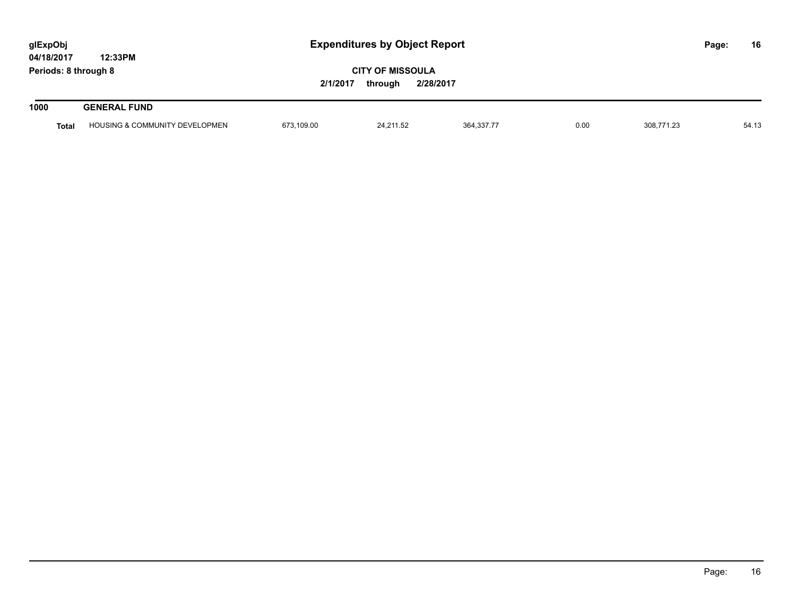| glExpObj<br>04/18/2017 | 12:33PM                                   |                                                             | <b>Expenditures by Object Report</b> |            |      |            |  | 16    |
|------------------------|-------------------------------------------|-------------------------------------------------------------|--------------------------------------|------------|------|------------|--|-------|
| Periods: 8 through 8   |                                           | <b>CITY OF MISSOULA</b><br>2/1/2017<br>2/28/2017<br>through |                                      |            |      |            |  |       |
| 1000                   | <b>GENERAL FUND</b>                       |                                                             |                                      |            |      |            |  |       |
| <b>Total</b>           | <b>HOUSING &amp; COMMUNITY DEVELOPMEN</b> | 673,109.00                                                  | 24,211.52                            | 364,337.77 | 0.00 | 308,771.23 |  | 54.13 |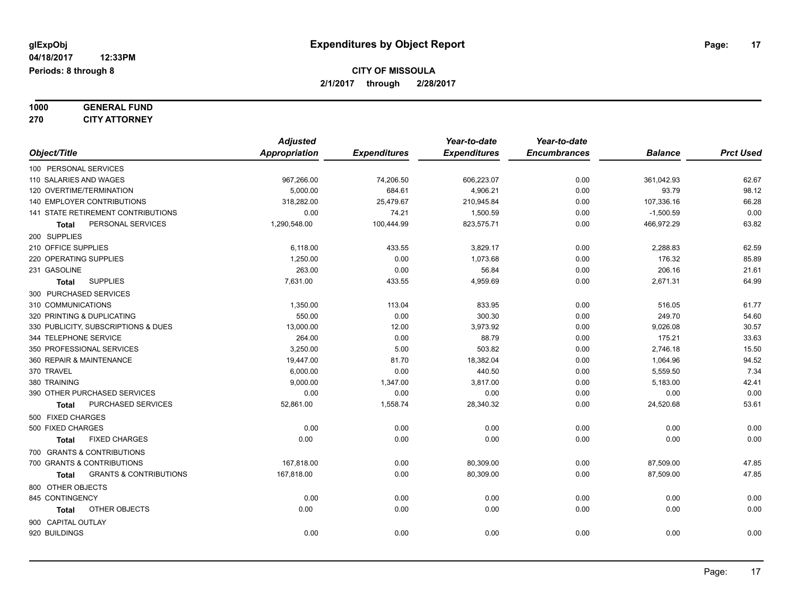#### **1000 GENERAL FUND 270 CITY ATTORNEY**

| Object/Title                                      | <b>Adjusted</b><br><b>Appropriation</b> | <b>Expenditures</b> | Year-to-date<br><b>Expenditures</b> | Year-to-date<br><b>Encumbrances</b> | <b>Balance</b>      | <b>Prct Used</b> |
|---------------------------------------------------|-----------------------------------------|---------------------|-------------------------------------|-------------------------------------|---------------------|------------------|
| 100 PERSONAL SERVICES                             |                                         |                     |                                     |                                     |                     |                  |
| 110 SALARIES AND WAGES                            |                                         |                     |                                     |                                     |                     |                  |
| 120 OVERTIME/TERMINATION                          | 967,266.00<br>5,000.00                  | 74,206.50<br>684.61 | 606,223.07<br>4,906.21              | 0.00<br>0.00                        | 361,042.93<br>93.79 | 62.67<br>98.12   |
| 140 EMPLOYER CONTRIBUTIONS                        | 318,282.00                              | 25,479.67           | 210,945.84                          | 0.00                                | 107,336.16          | 66.28            |
| 141 STATE RETIREMENT CONTRIBUTIONS                | 0.00                                    | 74.21               | 1,500.59                            | 0.00                                | $-1,500.59$         | 0.00             |
| PERSONAL SERVICES<br>Total                        | 1,290,548.00                            | 100,444.99          | 823,575.71                          | 0.00                                | 466,972.29          | 63.82            |
| 200 SUPPLIES                                      |                                         |                     |                                     |                                     |                     |                  |
| 210 OFFICE SUPPLIES                               | 6,118.00                                | 433.55              | 3,829.17                            | 0.00                                | 2,288.83            | 62.59            |
| 220 OPERATING SUPPLIES                            | 1,250.00                                | 0.00                | 1,073.68                            | 0.00                                | 176.32              | 85.89            |
| 231 GASOLINE                                      | 263.00                                  | 0.00                | 56.84                               | 0.00                                | 206.16              | 21.61            |
| <b>SUPPLIES</b><br>Total                          | 7.631.00                                | 433.55              | 4.959.69                            | 0.00                                | 2,671.31            | 64.99            |
| 300 PURCHASED SERVICES                            |                                         |                     |                                     |                                     |                     |                  |
| 310 COMMUNICATIONS                                | 1,350.00                                | 113.04              | 833.95                              | 0.00                                | 516.05              | 61.77            |
| 320 PRINTING & DUPLICATING                        | 550.00                                  | 0.00                | 300.30                              | 0.00                                | 249.70              | 54.60            |
| 330 PUBLICITY, SUBSCRIPTIONS & DUES               | 13,000.00                               | 12.00               | 3,973.92                            | 0.00                                | 9,026.08            | 30.57            |
| 344 TELEPHONE SERVICE                             | 264.00                                  | 0.00                | 88.79                               | 0.00                                | 175.21              | 33.63            |
| 350 PROFESSIONAL SERVICES                         | 3,250.00                                | 5.00                | 503.82                              | 0.00                                | 2,746.18            | 15.50            |
| 360 REPAIR & MAINTENANCE                          | 19,447.00                               | 81.70               | 18,382.04                           | 0.00                                | 1,064.96            | 94.52            |
| 370 TRAVEL                                        | 6,000.00                                | 0.00                | 440.50                              | 0.00                                | 5,559.50            | 7.34             |
| 380 TRAINING                                      | 9,000.00                                | 1,347.00            | 3,817.00                            | 0.00                                | 5,183.00            | 42.41            |
| 390 OTHER PURCHASED SERVICES                      | 0.00                                    | 0.00                | 0.00                                | 0.00                                | 0.00                | 0.00             |
| PURCHASED SERVICES<br><b>Total</b>                | 52,861.00                               | 1,558.74            | 28,340.32                           | 0.00                                | 24,520.68           | 53.61            |
| 500 FIXED CHARGES                                 |                                         |                     |                                     |                                     |                     |                  |
| 500 FIXED CHARGES                                 | 0.00                                    | 0.00                | 0.00                                | 0.00                                | 0.00                | 0.00             |
| <b>FIXED CHARGES</b><br><b>Total</b>              | 0.00                                    | 0.00                | 0.00                                | 0.00                                | 0.00                | 0.00             |
| 700 GRANTS & CONTRIBUTIONS                        |                                         |                     |                                     |                                     |                     |                  |
| 700 GRANTS & CONTRIBUTIONS                        | 167.818.00                              | 0.00                | 80,309.00                           | 0.00                                | 87,509.00           | 47.85            |
| <b>GRANTS &amp; CONTRIBUTIONS</b><br><b>Total</b> | 167,818.00                              | 0.00                | 80,309.00                           | 0.00                                | 87,509.00           | 47.85            |
|                                                   |                                         |                     |                                     |                                     |                     |                  |
| 800 OTHER OBJECTS                                 |                                         |                     |                                     |                                     |                     |                  |
| 845 CONTINGENCY<br>OTHER OBJECTS                  | 0.00<br>0.00                            | 0.00<br>0.00        | 0.00<br>0.00                        | 0.00                                | 0.00<br>0.00        | 0.00<br>0.00     |
| Total                                             |                                         |                     |                                     | 0.00                                |                     |                  |
| 900 CAPITAL OUTLAY                                |                                         |                     |                                     |                                     |                     |                  |
| 920 BUILDINGS                                     | 0.00                                    | 0.00                | 0.00                                | 0.00                                | 0.00                | 0.00             |
|                                                   |                                         |                     |                                     |                                     |                     |                  |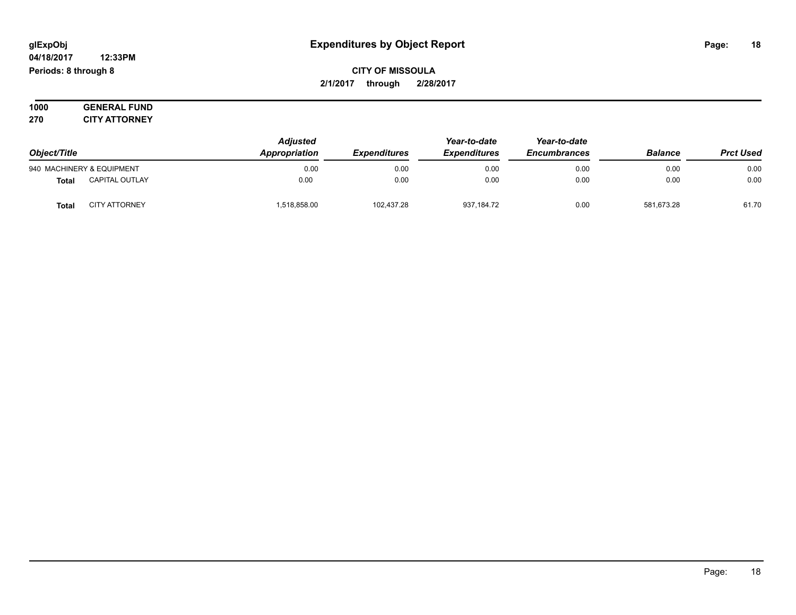#### **04/18/2017 12:33PM Periods: 8 through 8**

### **CITY OF MISSOULA 2/1/2017 through 2/28/2017**

**1000 GENERAL FUND 270 CITY ATTORNEY**

|              |                           | <b>Adjusted</b>     |                     | Year-to-date                          | Year-to-date |                  |       |
|--------------|---------------------------|---------------------|---------------------|---------------------------------------|--------------|------------------|-------|
| Object/Title | Appropriation             | <b>Expenditures</b> | <b>Expenditures</b> | <b>Balance</b><br><b>Encumbrances</b> |              | <b>Prct Used</b> |       |
|              | 940 MACHINERY & EQUIPMENT | 0.00                | 0.00                | 0.00                                  | 0.00         | 0.00             | 0.00  |
| <b>Total</b> | <b>CAPITAL OUTLAY</b>     | 0.00                | 0.00                | 0.00                                  | 0.00         | 0.00             | 0.00  |
| <b>Total</b> | <b>CITY ATTORNEY</b>      | 518,858.00          | 102.437.28          | 937,184.72                            | 0.00         | 581.673.28       | 61.70 |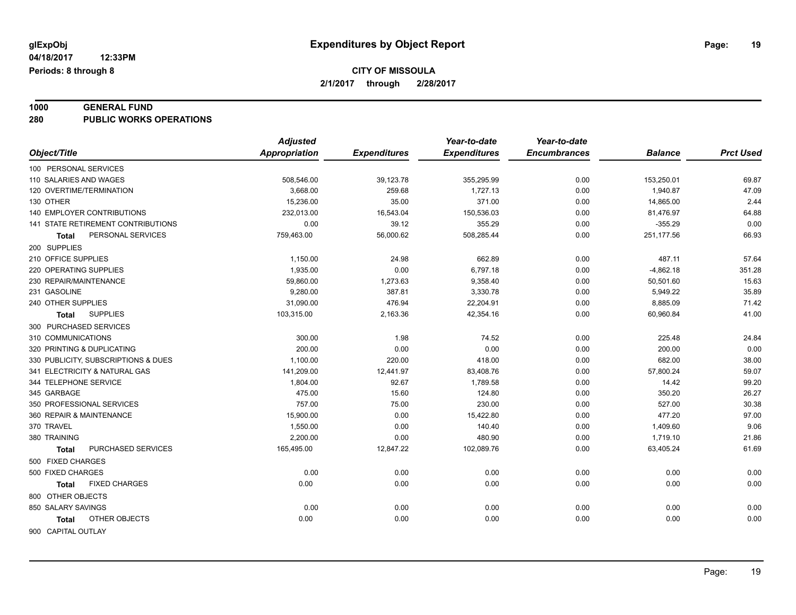# **1000 GENERAL FUND**

**280 PUBLIC WORKS OPERATIONS**

| <b>Appropriation</b><br><b>Expenditures</b><br>Object/Title<br><b>Expenditures</b><br><b>Encumbrances</b><br><b>Balance</b><br>100 PERSONAL SERVICES<br>110 SALARIES AND WAGES<br>508,546.00<br>39,123.78<br>355,295.99<br>0.00<br>153,250.01<br>120 OVERTIME/TERMINATION<br>3,668.00<br>259.68<br>1,727.13<br>0.00<br>1,940.87 | <b>Prct Used</b><br>69.87<br>47.09<br>2.44<br>64.88<br>0.00<br>66.93 |
|---------------------------------------------------------------------------------------------------------------------------------------------------------------------------------------------------------------------------------------------------------------------------------------------------------------------------------|----------------------------------------------------------------------|
|                                                                                                                                                                                                                                                                                                                                 |                                                                      |
|                                                                                                                                                                                                                                                                                                                                 |                                                                      |
|                                                                                                                                                                                                                                                                                                                                 |                                                                      |
|                                                                                                                                                                                                                                                                                                                                 |                                                                      |
| 130 OTHER<br>15,236.00<br>35.00<br>371.00<br>0.00<br>14,865.00                                                                                                                                                                                                                                                                  |                                                                      |
| <b>140 EMPLOYER CONTRIBUTIONS</b><br>232,013.00<br>16,543.04<br>150,536.03<br>0.00<br>81,476.97                                                                                                                                                                                                                                 |                                                                      |
| 141 STATE RETIREMENT CONTRIBUTIONS<br>0.00<br>355.29<br>39.12<br>0.00<br>$-355.29$                                                                                                                                                                                                                                              |                                                                      |
| 251,177.56<br>PERSONAL SERVICES<br>759,463.00<br>56,000.62<br>508,285.44<br>0.00<br>Total                                                                                                                                                                                                                                       |                                                                      |
| 200 SUPPLIES                                                                                                                                                                                                                                                                                                                    |                                                                      |
| 210 OFFICE SUPPLIES<br>1,150.00<br>24.98<br>662.89<br>0.00<br>487.11                                                                                                                                                                                                                                                            | 57.64                                                                |
| 1,935.00<br>0.00<br>6,797.18<br>$-4,862.18$<br>220 OPERATING SUPPLIES<br>0.00                                                                                                                                                                                                                                                   | 351.28                                                               |
| 59,860.00<br>1,273.63<br>230 REPAIR/MAINTENANCE<br>9,358.40<br>0.00<br>50,501.60                                                                                                                                                                                                                                                | 15.63                                                                |
| 231 GASOLINE<br>9,280.00<br>387.81<br>3,330.78<br>0.00<br>5,949.22                                                                                                                                                                                                                                                              | 35.89                                                                |
| 476.94<br>240 OTHER SUPPLIES<br>31,090.00<br>22,204.91<br>0.00<br>8,885.09                                                                                                                                                                                                                                                      | 71.42                                                                |
| <b>SUPPLIES</b><br>103,315.00<br>2,163.36<br>42,354.16<br>0.00<br>60,960.84<br><b>Total</b>                                                                                                                                                                                                                                     | 41.00                                                                |
| 300 PURCHASED SERVICES                                                                                                                                                                                                                                                                                                          |                                                                      |
| 310 COMMUNICATIONS<br>300.00<br>1.98<br>74.52<br>0.00<br>225.48                                                                                                                                                                                                                                                                 | 24.84                                                                |
| 200.00<br>0.00<br>0.00<br>320 PRINTING & DUPLICATING<br>0.00<br>200.00                                                                                                                                                                                                                                                          | 0.00                                                                 |
| 330 PUBLICITY, SUBSCRIPTIONS & DUES<br>1,100.00<br>220.00<br>418.00<br>0.00<br>682.00                                                                                                                                                                                                                                           | 38.00                                                                |
| 141,209.00<br>12,441.97<br>341 ELECTRICITY & NATURAL GAS<br>83,408.76<br>0.00<br>57,800.24                                                                                                                                                                                                                                      | 59.07                                                                |
| 344 TELEPHONE SERVICE<br>1,804.00<br>92.67<br>0.00<br>14.42<br>1,789.58                                                                                                                                                                                                                                                         | 99.20                                                                |
| 475.00<br>345 GARBAGE<br>15.60<br>350.20<br>124.80<br>0.00                                                                                                                                                                                                                                                                      | 26.27                                                                |
| 757.00<br>350 PROFESSIONAL SERVICES<br>75.00<br>230.00<br>0.00<br>527.00                                                                                                                                                                                                                                                        | 30.38                                                                |
| 360 REPAIR & MAINTENANCE<br>15,900.00<br>0.00<br>15,422.80<br>0.00<br>477.20                                                                                                                                                                                                                                                    | 97.00                                                                |
| 370 TRAVEL<br>1,550.00<br>0.00<br>140.40<br>0.00<br>1,409.60                                                                                                                                                                                                                                                                    | 9.06                                                                 |
| 2,200.00<br>380 TRAINING<br>0.00<br>480.90<br>0.00<br>1,719.10                                                                                                                                                                                                                                                                  | 21.86                                                                |
| PURCHASED SERVICES<br>165,495.00<br>12,847.22<br>102,089.76<br>63,405.24<br>0.00<br><b>Total</b>                                                                                                                                                                                                                                | 61.69                                                                |
| 500 FIXED CHARGES                                                                                                                                                                                                                                                                                                               |                                                                      |
| 0.00<br>0.00<br>500 FIXED CHARGES<br>0.00<br>0.00<br>0.00                                                                                                                                                                                                                                                                       | 0.00                                                                 |
| 0.00<br><b>FIXED CHARGES</b><br>0.00<br>0.00<br>0.00<br>0.00<br>Total                                                                                                                                                                                                                                                           | 0.00                                                                 |
| 800 OTHER OBJECTS                                                                                                                                                                                                                                                                                                               |                                                                      |
| 850 SALARY SAVINGS<br>0.00<br>0.00<br>0.00<br>0.00<br>0.00                                                                                                                                                                                                                                                                      | 0.00                                                                 |
| OTHER OBJECTS<br>0.00<br>0.00<br>0.00<br>0.00<br>0.00<br>Total                                                                                                                                                                                                                                                                  | 0.00                                                                 |
| 900 CAPITAL OUTLAY                                                                                                                                                                                                                                                                                                              |                                                                      |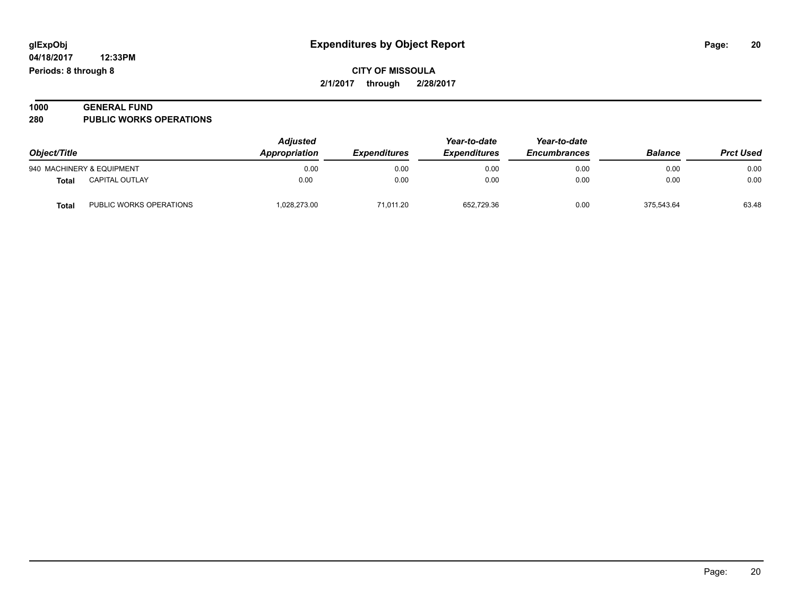**04/18/2017 12:33PM Periods: 8 through 8**

**CITY OF MISSOULA 2/1/2017 through 2/28/2017**

| 1000 | <b>GENERAL FUND</b>            |  |
|------|--------------------------------|--|
| 280  | <b>PUBLIC WORKS OPERATIONS</b> |  |

| Object/Title |                           | <b>Adjusted</b><br><b>Appropriation</b> | <i><b>Expenditures</b></i> | Year-to-date<br><b>Expenditures</b> | Year-to-date<br><b>Encumbrances</b> | <b>Balance</b> | <b>Prct Used</b> |
|--------------|---------------------------|-----------------------------------------|----------------------------|-------------------------------------|-------------------------------------|----------------|------------------|
|              | 940 MACHINERY & EQUIPMENT | 0.00                                    | 0.00                       | 0.00                                | 0.00                                | 0.00           | 0.00             |
| Total        | <b>CAPITAL OUTLAY</b>     | 0.00                                    | 0.00                       | 0.00                                | 0.00                                | 0.00           | 0.00             |
| <b>Total</b> | PUBLIC WORKS OPERATIONS   | 1,028,273.00                            | 71,011.20                  | 652.729.36                          | 0.00                                | 375.543.64     | 63.48            |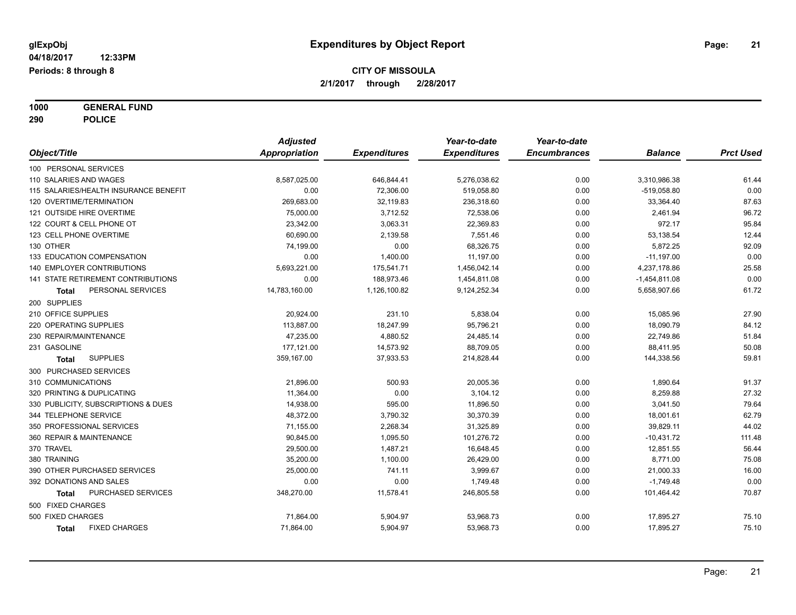**1000 GENERAL FUND 290 POLICE**

|                                       | <b>Adjusted</b>      |                     | Year-to-date        | Year-to-date        |                 |                  |
|---------------------------------------|----------------------|---------------------|---------------------|---------------------|-----------------|------------------|
| Object/Title                          | <b>Appropriation</b> | <b>Expenditures</b> | <b>Expenditures</b> | <b>Encumbrances</b> | <b>Balance</b>  | <b>Prct Used</b> |
| 100 PERSONAL SERVICES                 |                      |                     |                     |                     |                 |                  |
| 110 SALARIES AND WAGES                | 8,587,025.00         | 646,844.41          | 5,276,038.62        | 0.00                | 3,310,986.38    | 61.44            |
| 115 SALARIES/HEALTH INSURANCE BENEFIT | 0.00                 | 72,306.00           | 519,058.80          | 0.00                | $-519,058.80$   | 0.00             |
| 120 OVERTIME/TERMINATION              | 269,683.00           | 32,119.83           | 236,318.60          | 0.00                | 33,364.40       | 87.63            |
| 121 OUTSIDE HIRE OVERTIME             | 75,000.00            | 3,712.52            | 72,538.06           | 0.00                | 2,461.94        | 96.72            |
| 122 COURT & CELL PHONE OT             | 23,342.00            | 3,063.31            | 22,369.83           | 0.00                | 972.17          | 95.84            |
| 123 CELL PHONE OVERTIME               | 60,690.00            | 2,139.58            | 7,551.46            | 0.00                | 53,138.54       | 12.44            |
| 130 OTHER                             | 74,199.00            | 0.00                | 68,326.75           | 0.00                | 5,872.25        | 92.09            |
| 133 EDUCATION COMPENSATION            | 0.00                 | 1,400.00            | 11,197.00           | 0.00                | $-11,197.00$    | 0.00             |
| 140 EMPLOYER CONTRIBUTIONS            | 5,693,221.00         | 175,541.71          | 1,456,042.14        | 0.00                | 4,237,178.86    | 25.58            |
| 141 STATE RETIREMENT CONTRIBUTIONS    | 0.00                 | 188,973.46          | 1,454,811.08        | 0.00                | $-1,454,811.08$ | 0.00             |
| PERSONAL SERVICES<br>Total            | 14,783,160.00        | 1,126,100.82        | 9,124,252.34        | 0.00                | 5,658,907.66    | 61.72            |
| 200 SUPPLIES                          |                      |                     |                     |                     |                 |                  |
| 210 OFFICE SUPPLIES                   | 20,924.00            | 231.10              | 5,838.04            | 0.00                | 15,085.96       | 27.90            |
| 220 OPERATING SUPPLIES                | 113,887.00           | 18,247.99           | 95,796.21           | 0.00                | 18,090.79       | 84.12            |
| 230 REPAIR/MAINTENANCE                | 47,235.00            | 4,880.52            | 24,485.14           | 0.00                | 22,749.86       | 51.84            |
| 231 GASOLINE                          | 177,121.00           | 14,573.92           | 88,709.05           | 0.00                | 88,411.95       | 50.08            |
| <b>SUPPLIES</b><br><b>Total</b>       | 359,167.00           | 37,933.53           | 214,828.44          | 0.00                | 144,338.56      | 59.81            |
| 300 PURCHASED SERVICES                |                      |                     |                     |                     |                 |                  |
| 310 COMMUNICATIONS                    | 21,896.00            | 500.93              | 20,005.36           | 0.00                | 1,890.64        | 91.37            |
| 320 PRINTING & DUPLICATING            | 11,364.00            | 0.00                | 3,104.12            | 0.00                | 8,259.88        | 27.32            |
| 330 PUBLICITY, SUBSCRIPTIONS & DUES   | 14,938.00            | 595.00              | 11,896.50           | 0.00                | 3,041.50        | 79.64            |
| 344 TELEPHONE SERVICE                 | 48,372.00            | 3,790.32            | 30,370.39           | 0.00                | 18,001.61       | 62.79            |
| 350 PROFESSIONAL SERVICES             | 71,155.00            | 2,268.34            | 31,325.89           | 0.00                | 39,829.11       | 44.02            |
| 360 REPAIR & MAINTENANCE              | 90,845.00            | 1,095.50            | 101,276.72          | 0.00                | $-10,431.72$    | 111.48           |
| 370 TRAVEL                            | 29,500.00            | 1,487.21            | 16,648.45           | 0.00                | 12,851.55       | 56.44            |
| 380 TRAINING                          | 35,200.00            | 1,100.00            | 26,429.00           | 0.00                | 8,771.00        | 75.08            |
| 390 OTHER PURCHASED SERVICES          | 25,000.00            | 741.11              | 3,999.67            | 0.00                | 21,000.33       | 16.00            |
| 392 DONATIONS AND SALES               | 0.00                 | 0.00                | 1,749.48            | 0.00                | $-1,749.48$     | 0.00             |
| PURCHASED SERVICES<br>Total           | 348,270.00           | 11,578.41           | 246,805.58          | 0.00                | 101,464.42      | 70.87            |
| 500 FIXED CHARGES                     |                      |                     |                     |                     |                 |                  |
| 500 FIXED CHARGES                     | 71,864.00            | 5,904.97            | 53,968.73           | 0.00                | 17,895.27       | 75.10            |
| <b>FIXED CHARGES</b><br><b>Total</b>  | 71,864.00            | 5,904.97            | 53,968.73           | 0.00                | 17,895.27       | 75.10            |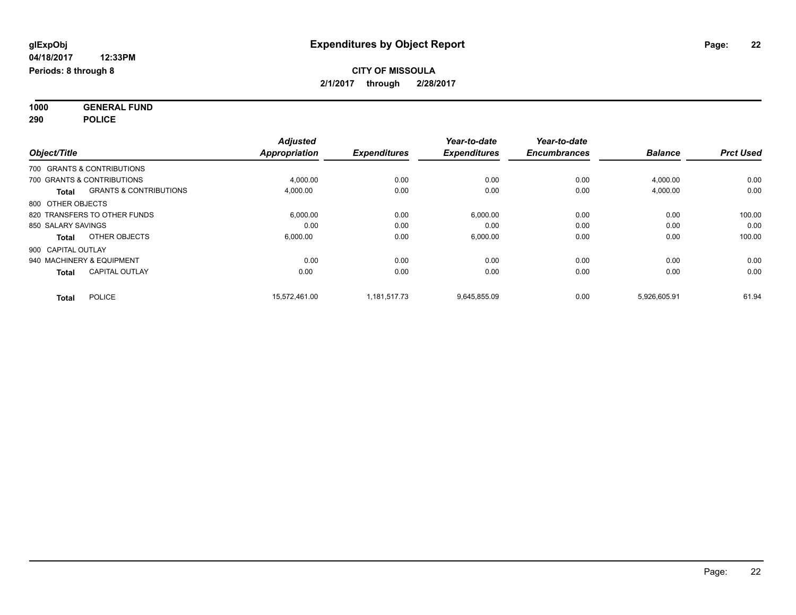**1000 GENERAL FUND 290 POLICE**

|                    |                                   | <b>Adjusted</b>      |                     | Year-to-date        | Year-to-date        |                |                  |
|--------------------|-----------------------------------|----------------------|---------------------|---------------------|---------------------|----------------|------------------|
| Object/Title       |                                   | <b>Appropriation</b> | <b>Expenditures</b> | <b>Expenditures</b> | <b>Encumbrances</b> | <b>Balance</b> | <b>Prct Used</b> |
|                    | 700 GRANTS & CONTRIBUTIONS        |                      |                     |                     |                     |                |                  |
|                    | 700 GRANTS & CONTRIBUTIONS        | 4,000.00             | 0.00                | 0.00                | 0.00                | 4,000.00       | 0.00             |
| <b>Total</b>       | <b>GRANTS &amp; CONTRIBUTIONS</b> | 4,000.00             | 0.00                | 0.00                | 0.00                | 4,000.00       | 0.00             |
| 800 OTHER OBJECTS  |                                   |                      |                     |                     |                     |                |                  |
|                    | 820 TRANSFERS TO OTHER FUNDS      | 6,000.00             | 0.00                | 6,000.00            | 0.00                | 0.00           | 100.00           |
| 850 SALARY SAVINGS |                                   | 0.00                 | 0.00                | 0.00                | 0.00                | 0.00           | 0.00             |
| <b>Total</b>       | OTHER OBJECTS                     | 6,000.00             | 0.00                | 6,000.00            | 0.00                | 0.00           | 100.00           |
| 900 CAPITAL OUTLAY |                                   |                      |                     |                     |                     |                |                  |
|                    | 940 MACHINERY & EQUIPMENT         | 0.00                 | 0.00                | 0.00                | 0.00                | 0.00           | 0.00             |
| <b>Total</b>       | <b>CAPITAL OUTLAY</b>             | 0.00                 | 0.00                | 0.00                | 0.00                | 0.00           | 0.00             |
| <b>Total</b>       | <b>POLICE</b>                     | 15.572.461.00        | 1,181,517.73        | 9,645,855.09        | 0.00                | 5,926,605.91   | 61.94            |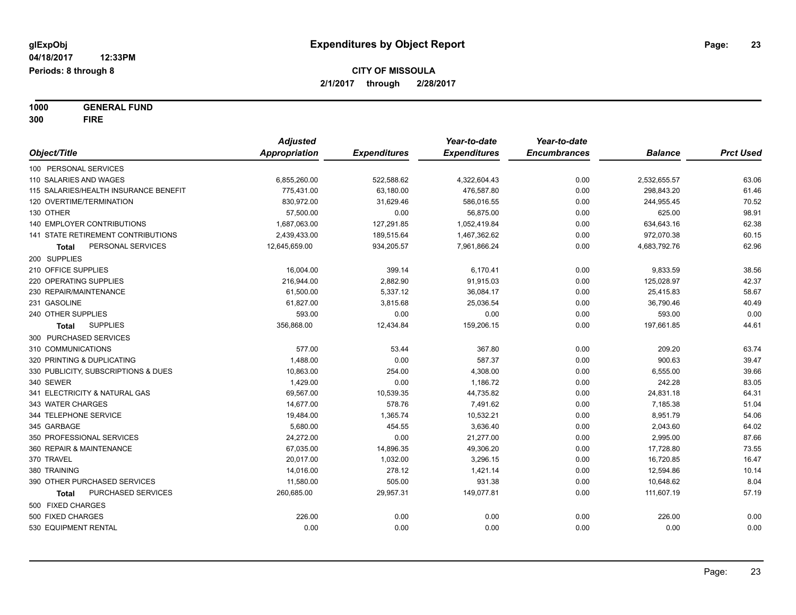**1000 GENERAL FUND 300 FIRE**

|                                       | <b>Adjusted</b> |                     | Year-to-date        | Year-to-date        |                |                  |
|---------------------------------------|-----------------|---------------------|---------------------|---------------------|----------------|------------------|
| Object/Title                          | Appropriation   | <b>Expenditures</b> | <b>Expenditures</b> | <b>Encumbrances</b> | <b>Balance</b> | <b>Prct Used</b> |
| 100 PERSONAL SERVICES                 |                 |                     |                     |                     |                |                  |
| 110 SALARIES AND WAGES                | 6,855,260.00    | 522,588.62          | 4,322,604.43        | 0.00                | 2,532,655.57   | 63.06            |
| 115 SALARIES/HEALTH INSURANCE BENEFIT | 775,431.00      | 63,180.00           | 476,587.80          | 0.00                | 298,843.20     | 61.46            |
| 120 OVERTIME/TERMINATION              | 830,972.00      | 31,629.46           | 586,016.55          | 0.00                | 244,955.45     | 70.52            |
| 130 OTHER                             | 57,500.00       | 0.00                | 56,875.00           | 0.00                | 625.00         | 98.91            |
| <b>140 EMPLOYER CONTRIBUTIONS</b>     | 1,687,063.00    | 127,291.85          | 1,052,419.84        | 0.00                | 634,643.16     | 62.38            |
| 141 STATE RETIREMENT CONTRIBUTIONS    | 2,439,433.00    | 189,515.64          | 1,467,362.62        | 0.00                | 972,070.38     | 60.15            |
| PERSONAL SERVICES<br>Total            | 12,645,659.00   | 934,205.57          | 7,961,866.24        | 0.00                | 4,683,792.76   | 62.96            |
| 200 SUPPLIES                          |                 |                     |                     |                     |                |                  |
| 210 OFFICE SUPPLIES                   | 16,004.00       | 399.14              | 6,170.41            | 0.00                | 9,833.59       | 38.56            |
| 220 OPERATING SUPPLIES                | 216,944.00      | 2,882.90            | 91,915.03           | 0.00                | 125,028.97     | 42.37            |
| 230 REPAIR/MAINTENANCE                | 61,500.00       | 5,337.12            | 36,084.17           | 0.00                | 25,415.83      | 58.67            |
| 231 GASOLINE                          | 61,827.00       | 3,815.68            | 25,036.54           | 0.00                | 36,790.46      | 40.49            |
| 240 OTHER SUPPLIES                    | 593.00          | 0.00                | 0.00                | 0.00                | 593.00         | 0.00             |
| <b>SUPPLIES</b><br>Total              | 356,868.00      | 12,434.84           | 159,206.15          | 0.00                | 197,661.85     | 44.61            |
| 300 PURCHASED SERVICES                |                 |                     |                     |                     |                |                  |
| 310 COMMUNICATIONS                    | 577.00          | 53.44               | 367.80              | 0.00                | 209.20         | 63.74            |
| 320 PRINTING & DUPLICATING            | 1,488.00        | 0.00                | 587.37              | 0.00                | 900.63         | 39.47            |
| 330 PUBLICITY, SUBSCRIPTIONS & DUES   | 10,863.00       | 254.00              | 4,308.00            | 0.00                | 6,555.00       | 39.66            |
| 340 SEWER                             | 1,429.00        | 0.00                | 1,186.72            | 0.00                | 242.28         | 83.05            |
| 341 ELECTRICITY & NATURAL GAS         | 69,567.00       | 10,539.35           | 44,735.82           | 0.00                | 24,831.18      | 64.31            |
| 343 WATER CHARGES                     | 14,677.00       | 578.76              | 7,491.62            | 0.00                | 7,185.38       | 51.04            |
| 344 TELEPHONE SERVICE                 | 19,484.00       | 1,365.74            | 10,532.21           | 0.00                | 8,951.79       | 54.06            |
| 345 GARBAGE                           | 5,680.00        | 454.55              | 3,636.40            | 0.00                | 2,043.60       | 64.02            |
| 350 PROFESSIONAL SERVICES             | 24,272.00       | 0.00                | 21,277.00           | 0.00                | 2,995.00       | 87.66            |
| 360 REPAIR & MAINTENANCE              | 67,035.00       | 14,896.35           | 49,306.20           | 0.00                | 17,728.80      | 73.55            |
| 370 TRAVEL                            | 20,017.00       | 1,032.00            | 3,296.15            | 0.00                | 16,720.85      | 16.47            |
| 380 TRAINING                          | 14,016.00       | 278.12              | 1,421.14            | 0.00                | 12,594.86      | 10.14            |
| 390 OTHER PURCHASED SERVICES          | 11,580.00       | 505.00              | 931.38              | 0.00                | 10,648.62      | 8.04             |
| PURCHASED SERVICES<br>Total           | 260,685.00      | 29,957.31           | 149,077.81          | 0.00                | 111,607.19     | 57.19            |
| 500 FIXED CHARGES                     |                 |                     |                     |                     |                |                  |
| 500 FIXED CHARGES                     | 226.00          | 0.00                | 0.00                | 0.00                | 226.00         | 0.00             |
| 530 EQUIPMENT RENTAL                  | 0.00            | 0.00                | 0.00                | 0.00                | 0.00           | 0.00             |
|                                       |                 |                     |                     |                     |                |                  |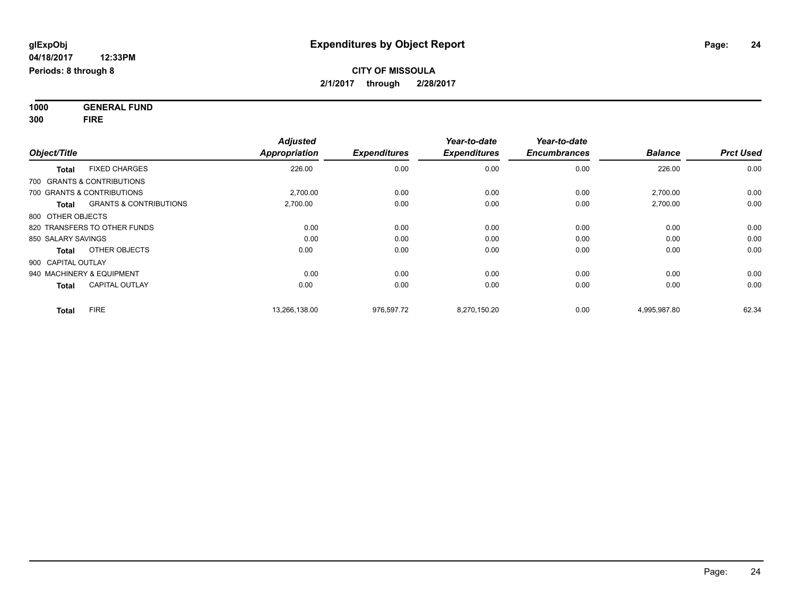**1000 GENERAL FUND 300 FIRE**

| Object/Title                                      | <b>Adjusted</b><br><b>Appropriation</b> | <b>Expenditures</b> | Year-to-date<br><b>Expenditures</b> | Year-to-date<br><b>Encumbrances</b> | <b>Balance</b> | <b>Prct Used</b> |
|---------------------------------------------------|-----------------------------------------|---------------------|-------------------------------------|-------------------------------------|----------------|------------------|
| <b>FIXED CHARGES</b><br><b>Total</b>              | 226.00                                  | 0.00                | 0.00                                | 0.00                                | 226.00         | 0.00             |
| 700 GRANTS & CONTRIBUTIONS                        |                                         |                     |                                     |                                     |                |                  |
| 700 GRANTS & CONTRIBUTIONS                        | 2,700.00                                | 0.00                | 0.00                                | 0.00                                | 2,700.00       | 0.00             |
| <b>GRANTS &amp; CONTRIBUTIONS</b><br><b>Total</b> | 2,700.00                                | 0.00                | 0.00                                | 0.00                                | 2,700.00       | 0.00             |
| 800 OTHER OBJECTS                                 |                                         |                     |                                     |                                     |                |                  |
| 820 TRANSFERS TO OTHER FUNDS                      | 0.00                                    | 0.00                | 0.00                                | 0.00                                | 0.00           | 0.00             |
| 850 SALARY SAVINGS                                | 0.00                                    | 0.00                | 0.00                                | 0.00                                | 0.00           | 0.00             |
| OTHER OBJECTS<br>Total                            | 0.00                                    | 0.00                | 0.00                                | 0.00                                | 0.00           | 0.00             |
| 900 CAPITAL OUTLAY                                |                                         |                     |                                     |                                     |                |                  |
| 940 MACHINERY & EQUIPMENT                         | 0.00                                    | 0.00                | 0.00                                | 0.00                                | 0.00           | 0.00             |
| <b>CAPITAL OUTLAY</b><br><b>Total</b>             | 0.00                                    | 0.00                | 0.00                                | 0.00                                | 0.00           | 0.00             |
| <b>FIRE</b><br><b>Total</b>                       | 13,266,138.00                           | 976,597.72          | 8,270,150.20                        | 0.00                                | 4,995,987.80   | 62.34            |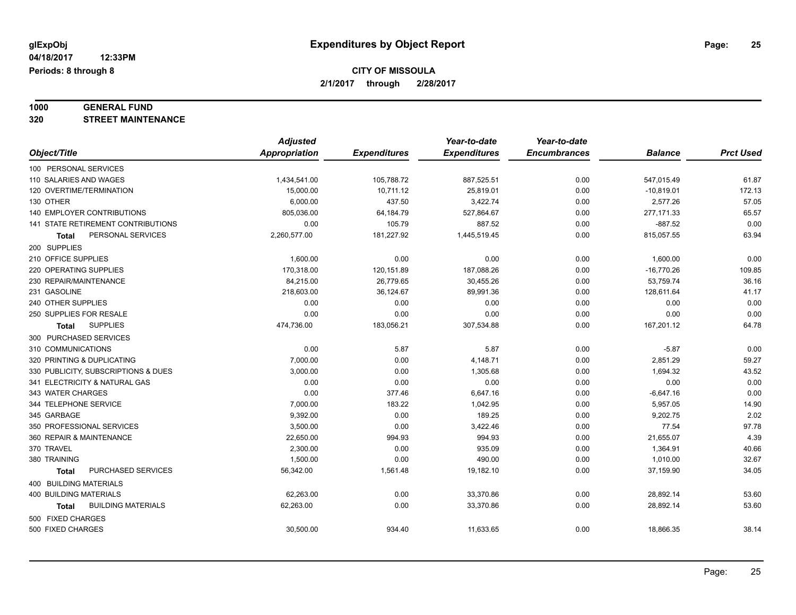# **1000 GENERAL FUND**

**320 STREET MAINTENANCE**

|                                           | <b>Adjusted</b>      |                     | Year-to-date        | Year-to-date        |                |                  |
|-------------------------------------------|----------------------|---------------------|---------------------|---------------------|----------------|------------------|
| Object/Title                              | <b>Appropriation</b> | <b>Expenditures</b> | <b>Expenditures</b> | <b>Encumbrances</b> | <b>Balance</b> | <b>Prct Used</b> |
| 100 PERSONAL SERVICES                     |                      |                     |                     |                     |                |                  |
| 110 SALARIES AND WAGES                    | 1,434,541.00         | 105,788.72          | 887,525.51          | 0.00                | 547,015.49     | 61.87            |
| 120 OVERTIME/TERMINATION                  | 15,000.00            | 10,711.12           | 25,819.01           | 0.00                | $-10,819.01$   | 172.13           |
| 130 OTHER                                 | 6,000.00             | 437.50              | 3,422.74            | 0.00                | 2,577.26       | 57.05            |
| <b>140 EMPLOYER CONTRIBUTIONS</b>         | 805,036.00           | 64,184.79           | 527,864.67          | 0.00                | 277, 171.33    | 65.57            |
| 141 STATE RETIREMENT CONTRIBUTIONS        | 0.00                 | 105.79              | 887.52              | 0.00                | $-887.52$      | 0.00             |
| PERSONAL SERVICES<br>Total                | 2,260,577.00         | 181,227.92          | 1,445,519.45        | 0.00                | 815,057.55     | 63.94            |
| 200 SUPPLIES                              |                      |                     |                     |                     |                |                  |
| 210 OFFICE SUPPLIES                       | 1,600.00             | 0.00                | 0.00                | 0.00                | 1,600.00       | 0.00             |
| 220 OPERATING SUPPLIES                    | 170,318.00           | 120,151.89          | 187,088.26          | 0.00                | $-16,770.26$   | 109.85           |
| 230 REPAIR/MAINTENANCE                    | 84,215.00            | 26,779.65           | 30,455.26           | 0.00                | 53,759.74      | 36.16            |
| 231 GASOLINE                              | 218,603.00           | 36,124.67           | 89,991.36           | 0.00                | 128,611.64     | 41.17            |
| 240 OTHER SUPPLIES                        | 0.00                 | 0.00                | 0.00                | 0.00                | 0.00           | 0.00             |
| 250 SUPPLIES FOR RESALE                   | 0.00                 | 0.00                | 0.00                | 0.00                | 0.00           | 0.00             |
| <b>SUPPLIES</b><br><b>Total</b>           | 474,736.00           | 183,056.21          | 307,534.88          | 0.00                | 167,201.12     | 64.78            |
| 300 PURCHASED SERVICES                    |                      |                     |                     |                     |                |                  |
| 310 COMMUNICATIONS                        | 0.00                 | 5.87                | 5.87                | 0.00                | $-5.87$        | 0.00             |
| 320 PRINTING & DUPLICATING                | 7,000.00             | 0.00                | 4,148.71            | 0.00                | 2,851.29       | 59.27            |
| 330 PUBLICITY, SUBSCRIPTIONS & DUES       | 3,000.00             | 0.00                | 1,305.68            | 0.00                | 1,694.32       | 43.52            |
| 341 ELECTRICITY & NATURAL GAS             | 0.00                 | 0.00                | 0.00                | 0.00                | 0.00           | 0.00             |
| 343 WATER CHARGES                         | 0.00                 | 377.46              | 6,647.16            | 0.00                | $-6,647.16$    | 0.00             |
| 344 TELEPHONE SERVICE                     | 7,000.00             | 183.22              | 1,042.95            | 0.00                | 5,957.05       | 14.90            |
| 345 GARBAGE                               | 9,392.00             | 0.00                | 189.25              | 0.00                | 9,202.75       | 2.02             |
| 350 PROFESSIONAL SERVICES                 | 3,500.00             | 0.00                | 3,422.46            | 0.00                | 77.54          | 97.78            |
| 360 REPAIR & MAINTENANCE                  | 22,650.00            | 994.93              | 994.93              | 0.00                | 21,655.07      | 4.39             |
| 370 TRAVEL                                | 2,300.00             | 0.00                | 935.09              | 0.00                | 1,364.91       | 40.66            |
| 380 TRAINING                              | 1,500.00             | 0.00                | 490.00              | 0.00                | 1,010.00       | 32.67            |
| PURCHASED SERVICES<br>Total               | 56,342.00            | 1,561.48            | 19,182.10           | 0.00                | 37,159.90      | 34.05            |
| 400 BUILDING MATERIALS                    |                      |                     |                     |                     |                |                  |
| <b>400 BUILDING MATERIALS</b>             | 62,263.00            | 0.00                | 33,370.86           | 0.00                | 28,892.14      | 53.60            |
| <b>BUILDING MATERIALS</b><br><b>Total</b> | 62,263.00            | 0.00                | 33,370.86           | 0.00                | 28,892.14      | 53.60            |
| 500 FIXED CHARGES                         |                      |                     |                     |                     |                |                  |
| 500 FIXED CHARGES                         | 30,500.00            | 934.40              | 11,633.65           | 0.00                | 18,866.35      | 38.14            |
|                                           |                      |                     |                     |                     |                |                  |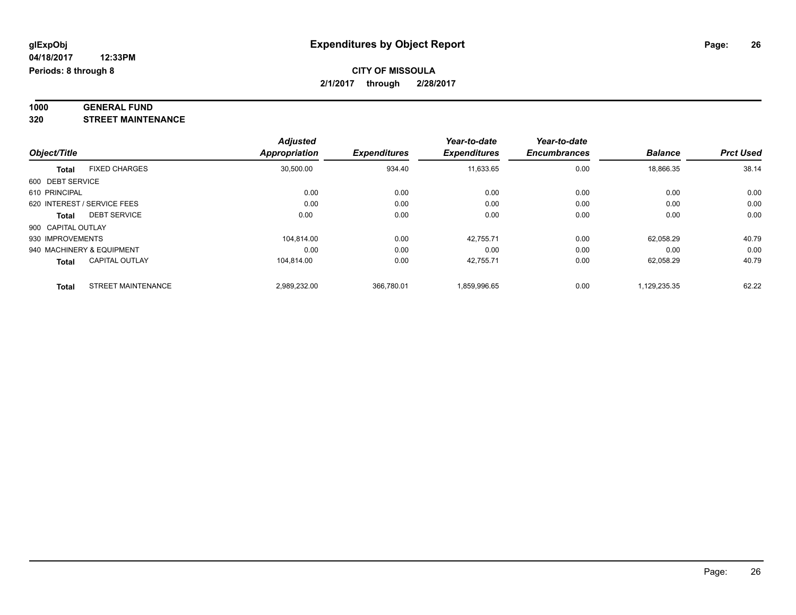#### **1000 GENERAL FUND 320 STREET MAINTENANCE**

|                    |                             | <b>Adjusted</b>      |                     | Year-to-date        | Year-to-date        |                |                  |
|--------------------|-----------------------------|----------------------|---------------------|---------------------|---------------------|----------------|------------------|
| Object/Title       |                             | <b>Appropriation</b> | <b>Expenditures</b> | <b>Expenditures</b> | <b>Encumbrances</b> | <b>Balance</b> | <b>Prct Used</b> |
| <b>Total</b>       | <b>FIXED CHARGES</b>        | 30,500.00            | 934.40              | 11,633.65           | 0.00                | 18,866.35      | 38.14            |
| 600 DEBT SERVICE   |                             |                      |                     |                     |                     |                |                  |
| 610 PRINCIPAL      |                             | 0.00                 | 0.00                | 0.00                | 0.00                | 0.00           | 0.00             |
|                    | 620 INTEREST / SERVICE FEES | 0.00                 | 0.00                | 0.00                | 0.00                | 0.00           | 0.00             |
| Total              | <b>DEBT SERVICE</b>         | 0.00                 | 0.00                | 0.00                | 0.00                | 0.00           | 0.00             |
| 900 CAPITAL OUTLAY |                             |                      |                     |                     |                     |                |                  |
| 930 IMPROVEMENTS   |                             | 104.814.00           | 0.00                | 42.755.71           | 0.00                | 62.058.29      | 40.79            |
|                    | 940 MACHINERY & EQUIPMENT   | 0.00                 | 0.00                | 0.00                | 0.00                | 0.00           | 0.00             |
| Total              | <b>CAPITAL OUTLAY</b>       | 104.814.00           | 0.00                | 42,755.71           | 0.00                | 62,058.29      | 40.79            |
| <b>Total</b>       | <b>STREET MAINTENANCE</b>   | 2.989.232.00         | 366.780.01          | 1.859.996.65        | 0.00                | 1.129.235.35   | 62.22            |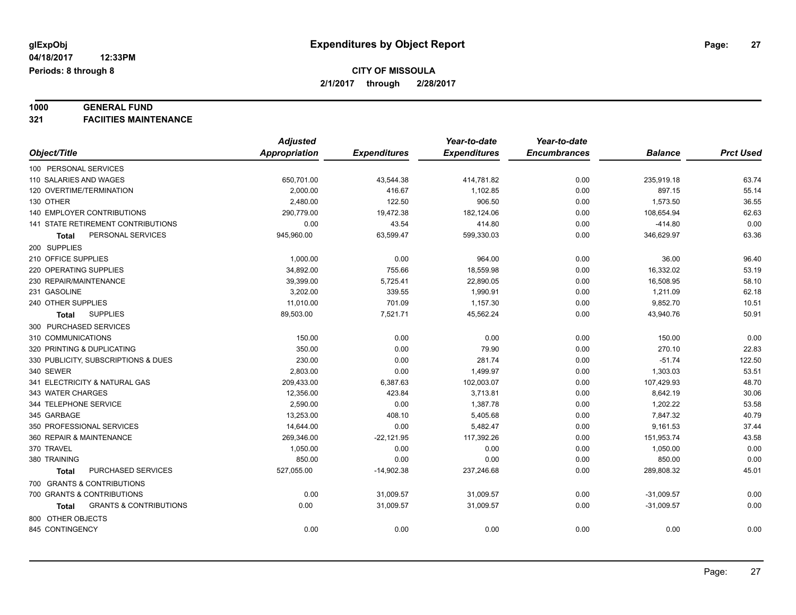# **1000 GENERAL FUND**

**321 FACIITIES MAINTENANCE**

|                                                   | <b>Adjusted</b> |                     | Year-to-date        | Year-to-date        |                |                  |
|---------------------------------------------------|-----------------|---------------------|---------------------|---------------------|----------------|------------------|
| Object/Title                                      | Appropriation   | <b>Expenditures</b> | <b>Expenditures</b> | <b>Encumbrances</b> | <b>Balance</b> | <b>Prct Used</b> |
| 100 PERSONAL SERVICES                             |                 |                     |                     |                     |                |                  |
| 110 SALARIES AND WAGES                            | 650,701.00      | 43,544.38           | 414,781.82          | 0.00                | 235,919.18     | 63.74            |
| 120 OVERTIME/TERMINATION                          | 2,000.00        | 416.67              | 1,102.85            | 0.00                | 897.15         | 55.14            |
| 130 OTHER                                         | 2,480.00        | 122.50              | 906.50              | 0.00                | 1,573.50       | 36.55            |
| 140 EMPLOYER CONTRIBUTIONS                        | 290,779.00      | 19,472.38           | 182,124.06          | 0.00                | 108,654.94     | 62.63            |
| 141 STATE RETIREMENT CONTRIBUTIONS                | 0.00            | 43.54               | 414.80              | 0.00                | $-414.80$      | 0.00             |
| PERSONAL SERVICES<br><b>Total</b>                 | 945,960.00      | 63,599.47           | 599,330.03          | 0.00                | 346,629.97     | 63.36            |
| 200 SUPPLIES                                      |                 |                     |                     |                     |                |                  |
| 210 OFFICE SUPPLIES                               | 1,000.00        | 0.00                | 964.00              | 0.00                | 36.00          | 96.40            |
| 220 OPERATING SUPPLIES                            | 34,892.00       | 755.66              | 18,559.98           | 0.00                | 16,332.02      | 53.19            |
| 230 REPAIR/MAINTENANCE                            | 39,399.00       | 5,725.41            | 22,890.05           | 0.00                | 16,508.95      | 58.10            |
| 231 GASOLINE                                      | 3,202.00        | 339.55              | 1,990.91            | 0.00                | 1,211.09       | 62.18            |
| 240 OTHER SUPPLIES                                | 11,010.00       | 701.09              | 1,157.30            | 0.00                | 9,852.70       | 10.51            |
| <b>SUPPLIES</b><br><b>Total</b>                   | 89,503.00       | 7,521.71            | 45,562.24           | 0.00                | 43,940.76      | 50.91            |
| 300 PURCHASED SERVICES                            |                 |                     |                     |                     |                |                  |
| 310 COMMUNICATIONS                                | 150.00          | 0.00                | 0.00                | 0.00                | 150.00         | 0.00             |
| 320 PRINTING & DUPLICATING                        | 350.00          | 0.00                | 79.90               | 0.00                | 270.10         | 22.83            |
| 330 PUBLICITY, SUBSCRIPTIONS & DUES               | 230.00          | 0.00                | 281.74              | 0.00                | $-51.74$       | 122.50           |
| 340 SEWER                                         | 2,803.00        | 0.00                | 1,499.97            | 0.00                | 1,303.03       | 53.51            |
| 341 ELECTRICITY & NATURAL GAS                     | 209,433.00      | 6,387.63            | 102,003.07          | 0.00                | 107,429.93     | 48.70            |
| 343 WATER CHARGES                                 | 12,356.00       | 423.84              | 3,713.81            | 0.00                | 8,642.19       | 30.06            |
| 344 TELEPHONE SERVICE                             | 2.590.00        | 0.00                | 1,387.78            | 0.00                | 1,202.22       | 53.58            |
| 345 GARBAGE                                       | 13,253.00       | 408.10              | 5,405.68            | 0.00                | 7,847.32       | 40.79            |
| 350 PROFESSIONAL SERVICES                         | 14,644.00       | 0.00                | 5,482.47            | 0.00                | 9,161.53       | 37.44            |
| 360 REPAIR & MAINTENANCE                          | 269,346.00      | $-22,121.95$        | 117,392.26          | 0.00                | 151,953.74     | 43.58            |
| 370 TRAVEL                                        | 1.050.00        | 0.00                | 0.00                | 0.00                | 1,050.00       | 0.00             |
| 380 TRAINING                                      | 850.00          | 0.00                | 0.00                | 0.00                | 850.00         | 0.00             |
| PURCHASED SERVICES<br><b>Total</b>                | 527,055.00      | $-14,902.38$        | 237,246.68          | 0.00                | 289,808.32     | 45.01            |
| 700 GRANTS & CONTRIBUTIONS                        |                 |                     |                     |                     |                |                  |
| 700 GRANTS & CONTRIBUTIONS                        | 0.00            | 31,009.57           | 31,009.57           | 0.00                | $-31,009.57$   | 0.00             |
| <b>GRANTS &amp; CONTRIBUTIONS</b><br><b>Total</b> | 0.00            | 31,009.57           | 31,009.57           | 0.00                | $-31,009.57$   | 0.00             |
| 800 OTHER OBJECTS                                 |                 |                     |                     |                     |                |                  |
| 845 CONTINGENCY                                   | 0.00            | 0.00                | 0.00                | 0.00                | 0.00           | 0.00             |
|                                                   |                 |                     |                     |                     |                |                  |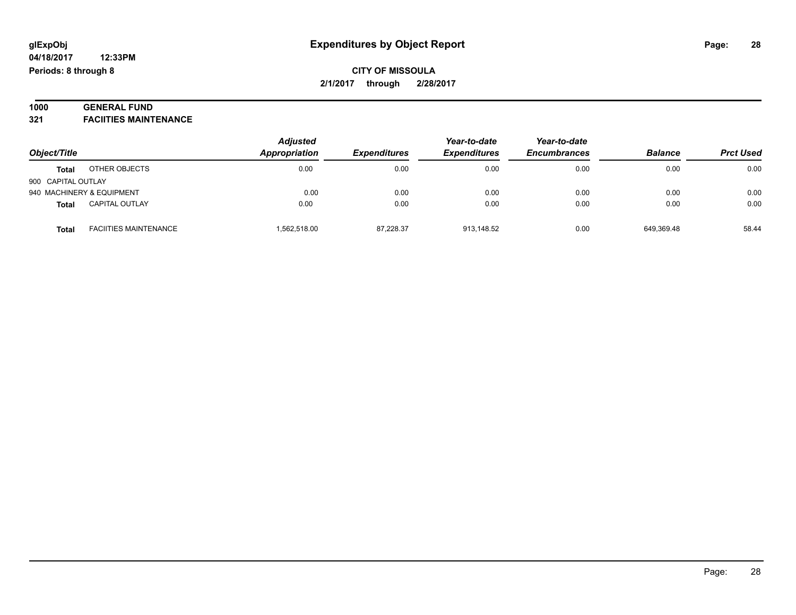#### **1000 GENERAL FUND 321 FACIITIES MAINTENANCE**

| Object/Title       |                              | <b>Adjusted</b> | <b>Expenditures</b> | Year-to-date<br><b>Expenditures</b> | Year-to-date<br><b>Encumbrances</b> | <b>Balance</b> | <b>Prct Used</b> |
|--------------------|------------------------------|-----------------|---------------------|-------------------------------------|-------------------------------------|----------------|------------------|
|                    |                              | Appropriation   |                     |                                     |                                     |                |                  |
| <b>Total</b>       | OTHER OBJECTS                | 0.00            | 0.00                | 0.00                                | 0.00                                | 0.00           | 0.00             |
| 900 CAPITAL OUTLAY |                              |                 |                     |                                     |                                     |                |                  |
|                    | 940 MACHINERY & EQUIPMENT    | 0.00            | 0.00                | 0.00                                | 0.00                                | 0.00           | 0.00             |
| <b>Total</b>       | <b>CAPITAL OUTLAY</b>        | 0.00            | 0.00                | 0.00                                | 0.00                                | 0.00           | 0.00             |
| <b>Total</b>       | <b>FACIITIES MAINTENANCE</b> | 1,562,518.00    | 87,228.37           | 913,148.52                          | 0.00                                | 649,369.48     | 58.44            |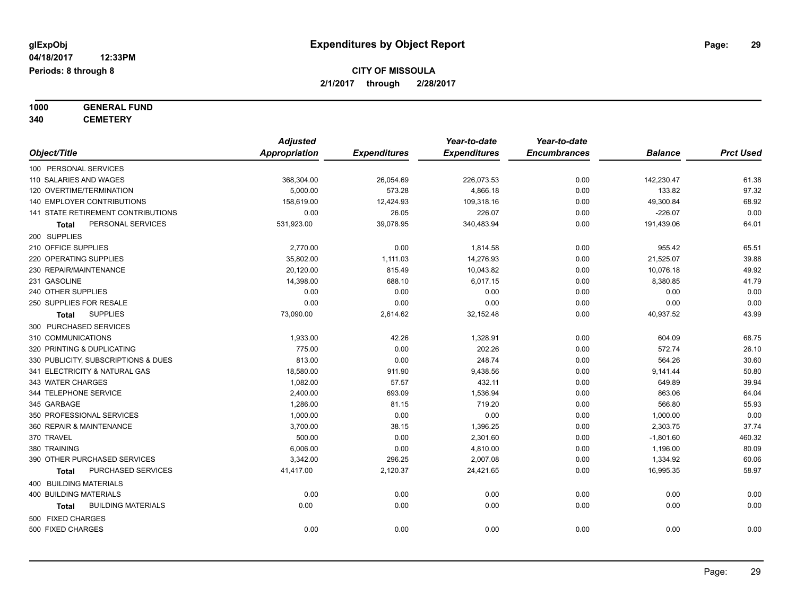**1000 GENERAL FUND**

**340 CEMETERY**

|                                           | <b>Adjusted</b>      |                     | Year-to-date        | Year-to-date        |                |                  |
|-------------------------------------------|----------------------|---------------------|---------------------|---------------------|----------------|------------------|
| Object/Title                              | <b>Appropriation</b> | <b>Expenditures</b> | <b>Expenditures</b> | <b>Encumbrances</b> | <b>Balance</b> | <b>Prct Used</b> |
| 100 PERSONAL SERVICES                     |                      |                     |                     |                     |                |                  |
| 110 SALARIES AND WAGES                    | 368,304.00           | 26,054.69           | 226,073.53          | 0.00                | 142,230.47     | 61.38            |
| 120 OVERTIME/TERMINATION                  | 5,000.00             | 573.28              | 4,866.18            | 0.00                | 133.82         | 97.32            |
| 140 EMPLOYER CONTRIBUTIONS                | 158,619.00           | 12,424.93           | 109,318.16          | 0.00                | 49,300.84      | 68.92            |
| <b>141 STATE RETIREMENT CONTRIBUTIONS</b> | 0.00                 | 26.05               | 226.07              | 0.00                | $-226.07$      | 0.00             |
| PERSONAL SERVICES<br>Total                | 531,923.00           | 39,078.95           | 340,483.94          | 0.00                | 191,439.06     | 64.01            |
| 200 SUPPLIES                              |                      |                     |                     |                     |                |                  |
| 210 OFFICE SUPPLIES                       | 2,770.00             | 0.00                | 1,814.58            | 0.00                | 955.42         | 65.51            |
| 220 OPERATING SUPPLIES                    | 35,802.00            | 1,111.03            | 14,276.93           | 0.00                | 21,525.07      | 39.88            |
| 230 REPAIR/MAINTENANCE                    | 20,120.00            | 815.49              | 10,043.82           | 0.00                | 10,076.18      | 49.92            |
| 231 GASOLINE                              | 14,398.00            | 688.10              | 6,017.15            | 0.00                | 8,380.85       | 41.79            |
| 240 OTHER SUPPLIES                        | 0.00                 | 0.00                | 0.00                | 0.00                | 0.00           | 0.00             |
| 250 SUPPLIES FOR RESALE                   | 0.00                 | 0.00                | 0.00                | 0.00                | 0.00           | 0.00             |
| <b>SUPPLIES</b><br><b>Total</b>           | 73,090.00            | 2,614.62            | 32,152.48           | 0.00                | 40,937.52      | 43.99            |
| 300 PURCHASED SERVICES                    |                      |                     |                     |                     |                |                  |
| 310 COMMUNICATIONS                        | 1,933.00             | 42.26               | 1,328.91            | 0.00                | 604.09         | 68.75            |
| 320 PRINTING & DUPLICATING                | 775.00               | 0.00                | 202.26              | 0.00                | 572.74         | 26.10            |
| 330 PUBLICITY, SUBSCRIPTIONS & DUES       | 813.00               | 0.00                | 248.74              | 0.00                | 564.26         | 30.60            |
| 341 ELECTRICITY & NATURAL GAS             | 18,580.00            | 911.90              | 9,438.56            | 0.00                | 9,141.44       | 50.80            |
| 343 WATER CHARGES                         | 1,082.00             | 57.57               | 432.11              | 0.00                | 649.89         | 39.94            |
| 344 TELEPHONE SERVICE                     | 2,400.00             | 693.09              | 1,536.94            | 0.00                | 863.06         | 64.04            |
| 345 GARBAGE                               | 1,286.00             | 81.15               | 719.20              | 0.00                | 566.80         | 55.93            |
| 350 PROFESSIONAL SERVICES                 | 1,000.00             | 0.00                | 0.00                | 0.00                | 1,000.00       | 0.00             |
| 360 REPAIR & MAINTENANCE                  | 3,700.00             | 38.15               | 1,396.25            | 0.00                | 2,303.75       | 37.74            |
| 370 TRAVEL                                | 500.00               | 0.00                | 2,301.60            | 0.00                | $-1,801.60$    | 460.32           |
| 380 TRAINING                              | 6,006.00             | 0.00                | 4,810.00            | 0.00                | 1,196.00       | 80.09            |
| 390 OTHER PURCHASED SERVICES              | 3,342.00             | 296.25              | 2,007.08            | 0.00                | 1,334.92       | 60.06            |
| PURCHASED SERVICES<br>Total               | 41,417.00            | 2,120.37            | 24,421.65           | 0.00                | 16,995.35      | 58.97            |
| 400 BUILDING MATERIALS                    |                      |                     |                     |                     |                |                  |
| <b>400 BUILDING MATERIALS</b>             | 0.00                 | 0.00                | 0.00                | 0.00                | 0.00           | 0.00             |
| <b>BUILDING MATERIALS</b><br>Total        | 0.00                 | 0.00                | 0.00                | 0.00                | 0.00           | 0.00             |
| 500 FIXED CHARGES                         |                      |                     |                     |                     |                |                  |
| 500 FIXED CHARGES                         | 0.00                 | 0.00                | 0.00                | 0.00                | 0.00           | 0.00             |
|                                           |                      |                     |                     |                     |                |                  |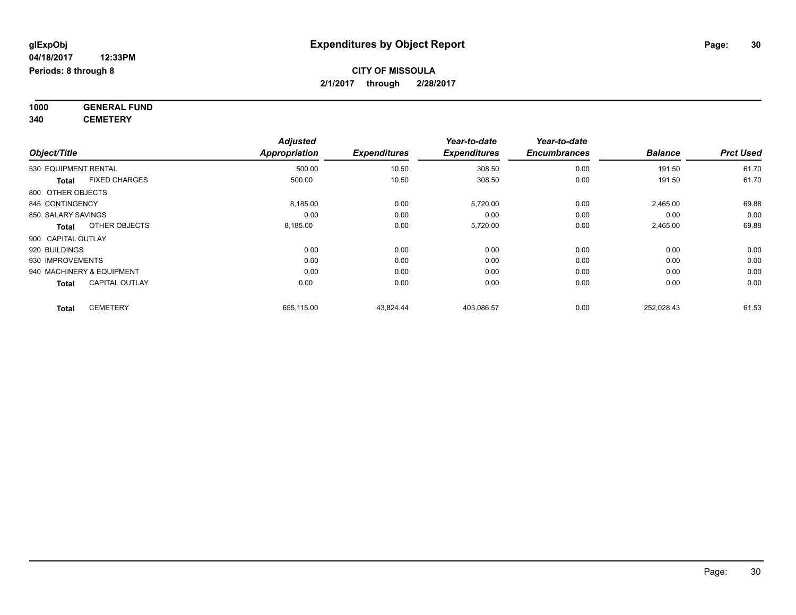**1000 GENERAL FUND 340 CEMETERY**

*Object/Title Adjusted Appropriation Expenditures Year-to-date Expenditures Year-to-date Encumbrances Balance Prct Used* 530 EQUIPMENT RENTAL 500.00 10.50 308.50 0.00 191.50 61.70 **Total** FIXED CHARGES 500.00 10.50 308.50 0.00 191.50 61.70 800 OTHER OBJECTS 845 CONTINGENCY 8,185.00 0.00 5,720.00 0.00 2,465.00 69.88 850 SALARY SAVINGS 0.00 0.00 0.00 0.00 0.00 0.00 **Total** OTHER OBJECTS 8,185.00 0.00 5,720.00 0.00 2,465.00 69.88 900 CAPITAL OUTLAY 920 BUILDINGS 0.00 0.00 0.00 0.00 0.00 0.00 930 IMPROVEMENTS 0.00 0.00 0.00 0.00 0.00 0.00 940 MACHINERY & EQUIPMENT 0.00 0.00 0.00 0.00 0.00 0.00 **Total** CAPITAL OUTLAY 0.00 0.00 0.00 0.00 0.00 0.00 **Total** CEMETERY 655,115.00 43,824.44 403,086.57 0.00 252,028.43 61.53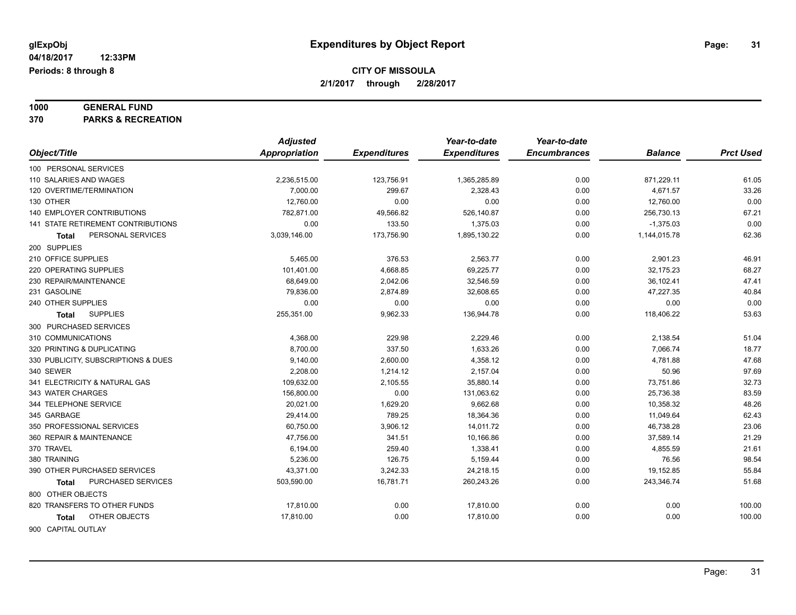# **1000 GENERAL FUND**

**370 PARKS & RECREATION**

|                                     | <b>Adjusted</b> |                     | Year-to-date        | Year-to-date        |                |                  |
|-------------------------------------|-----------------|---------------------|---------------------|---------------------|----------------|------------------|
| Object/Title                        | Appropriation   | <b>Expenditures</b> | <b>Expenditures</b> | <b>Encumbrances</b> | <b>Balance</b> | <b>Prct Used</b> |
| 100 PERSONAL SERVICES               |                 |                     |                     |                     |                |                  |
| 110 SALARIES AND WAGES              | 2,236,515.00    | 123,756.91          | 1,365,285.89        | 0.00                | 871,229.11     | 61.05            |
| 120 OVERTIME/TERMINATION            | 7,000.00        | 299.67              | 2,328.43            | 0.00                | 4,671.57       | 33.26            |
| 130 OTHER                           | 12,760.00       | 0.00                | 0.00                | 0.00                | 12,760.00      | 0.00             |
| 140 EMPLOYER CONTRIBUTIONS          | 782,871.00      | 49,566.82           | 526,140.87          | 0.00                | 256,730.13     | 67.21            |
| 141 STATE RETIREMENT CONTRIBUTIONS  | 0.00            | 133.50              | 1,375.03            | 0.00                | $-1,375.03$    | 0.00             |
| PERSONAL SERVICES<br>Total          | 3,039,146.00    | 173,756.90          | 1,895,130.22        | 0.00                | 1,144,015.78   | 62.36            |
| 200 SUPPLIES                        |                 |                     |                     |                     |                |                  |
| 210 OFFICE SUPPLIES                 | 5,465.00        | 376.53              | 2,563.77            | 0.00                | 2,901.23       | 46.91            |
| 220 OPERATING SUPPLIES              | 101,401.00      | 4,668.85            | 69,225.77           | 0.00                | 32,175.23      | 68.27            |
| 230 REPAIR/MAINTENANCE              | 68,649.00       | 2,042.06            | 32,546.59           | 0.00                | 36,102.41      | 47.41            |
| 231 GASOLINE                        | 79,836.00       | 2,874.89            | 32,608.65           | 0.00                | 47,227.35      | 40.84            |
| 240 OTHER SUPPLIES                  | 0.00            | 0.00                | 0.00                | 0.00                | 0.00           | 0.00             |
| <b>SUPPLIES</b><br>Total            | 255,351.00      | 9,962.33            | 136,944.78          | 0.00                | 118,406.22     | 53.63            |
| 300 PURCHASED SERVICES              |                 |                     |                     |                     |                |                  |
| 310 COMMUNICATIONS                  | 4,368.00        | 229.98              | 2,229.46            | 0.00                | 2,138.54       | 51.04            |
| 320 PRINTING & DUPLICATING          | 8,700.00        | 337.50              | 1,633.26            | 0.00                | 7,066.74       | 18.77            |
| 330 PUBLICITY, SUBSCRIPTIONS & DUES | 9,140.00        | 2,600.00            | 4,358.12            | 0.00                | 4,781.88       | 47.68            |
| 340 SEWER                           | 2,208.00        | 1,214.12            | 2,157.04            | 0.00                | 50.96          | 97.69            |
| 341 ELECTRICITY & NATURAL GAS       | 109,632.00      | 2,105.55            | 35,880.14           | 0.00                | 73,751.86      | 32.73            |
| 343 WATER CHARGES                   | 156,800.00      | 0.00                | 131,063.62          | 0.00                | 25,736.38      | 83.59            |
| 344 TELEPHONE SERVICE               | 20,021.00       | 1,629.20            | 9,662.68            | 0.00                | 10,358.32      | 48.26            |
| 345 GARBAGE                         | 29,414.00       | 789.25              | 18,364.36           | 0.00                | 11,049.64      | 62.43            |
| 350 PROFESSIONAL SERVICES           | 60,750.00       | 3,906.12            | 14,011.72           | 0.00                | 46,738.28      | 23.06            |
| 360 REPAIR & MAINTENANCE            | 47,756.00       | 341.51              | 10,166.86           | 0.00                | 37,589.14      | 21.29            |
| 370 TRAVEL                          | 6,194.00        | 259.40              | 1,338.41            | 0.00                | 4,855.59       | 21.61            |
| 380 TRAINING                        | 5,236.00        | 126.75              | 5,159.44            | 0.00                | 76.56          | 98.54            |
| 390 OTHER PURCHASED SERVICES        | 43,371.00       | 3,242.33            | 24,218.15           | 0.00                | 19,152.85      | 55.84            |
| PURCHASED SERVICES<br>Total         | 503,590.00      | 16,781.71           | 260,243.26          | 0.00                | 243,346.74     | 51.68            |
| 800 OTHER OBJECTS                   |                 |                     |                     |                     |                |                  |
| 820 TRANSFERS TO OTHER FUNDS        | 17,810.00       | 0.00                | 17,810.00           | 0.00                | 0.00           | 100.00           |
| OTHER OBJECTS<br>Total              | 17,810.00       | 0.00                | 17,810.00           | 0.00                | 0.00           | 100.00           |
| 900 CAPITAL OUTLAY                  |                 |                     |                     |                     |                |                  |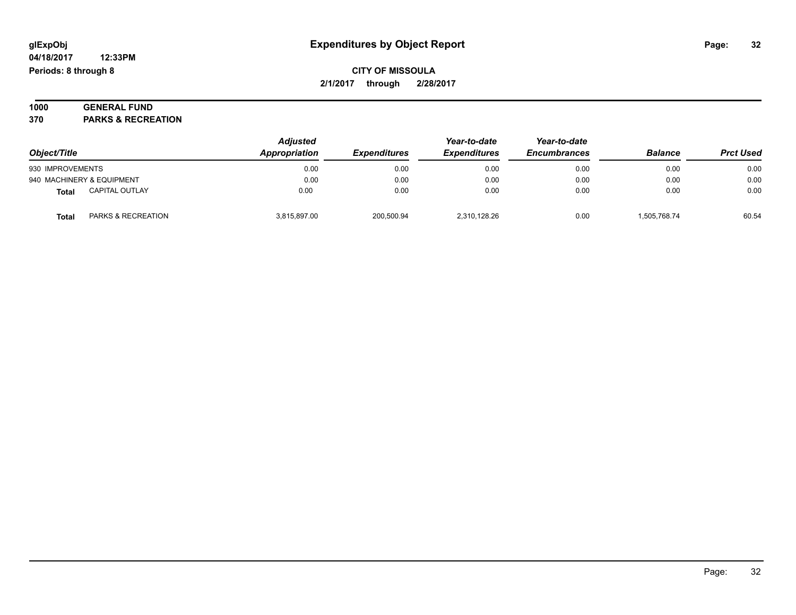#### **1000 GENERAL FUND 370 PARKS & RECREATION**

|                           |                               | <b>Adjusted</b> |                     | Year-to-date        | Year-to-date        |                |                  |
|---------------------------|-------------------------------|-----------------|---------------------|---------------------|---------------------|----------------|------------------|
| Object/Title              |                               | Appropriation   | <b>Expenditures</b> | <b>Expenditures</b> | <b>Encumbrances</b> | <b>Balance</b> | <b>Prct Used</b> |
| 930 IMPROVEMENTS          |                               | 0.00            | 0.00                | 0.00                | 0.00                | 0.00           | 0.00             |
| 940 MACHINERY & EQUIPMENT |                               | 0.00            | 0.00                | 0.00                | 0.00                | 0.00           | 0.00             |
| <b>Total</b>              | CAPITAL OUTLAY                | 0.00            | 0.00                | 0.00                | 0.00                | 0.00           | 0.00             |
| <b>Total</b>              | <b>PARKS &amp; RECREATION</b> | 3.815.897.00    | 200.500.94          | 2.310.128.26        | 0.00                | 1.505.768.74   | 60.54            |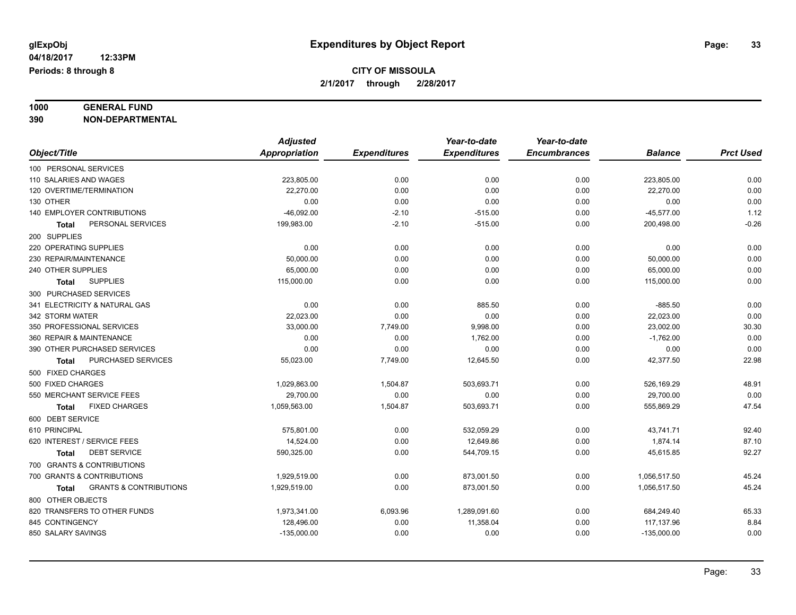# **1000 GENERAL FUND**

**390 NON-DEPARTMENTAL**

|                                                   | <b>Adjusted</b> |                     | Year-to-date        | Year-to-date        |                |                  |
|---------------------------------------------------|-----------------|---------------------|---------------------|---------------------|----------------|------------------|
| Object/Title                                      | Appropriation   | <b>Expenditures</b> | <b>Expenditures</b> | <b>Encumbrances</b> | <b>Balance</b> | <b>Prct Used</b> |
| 100 PERSONAL SERVICES                             |                 |                     |                     |                     |                |                  |
| 110 SALARIES AND WAGES                            | 223,805.00      | 0.00                | 0.00                | 0.00                | 223,805.00     | 0.00             |
| 120 OVERTIME/TERMINATION                          | 22,270.00       | 0.00                | 0.00                | 0.00                | 22,270.00      | 0.00             |
| 130 OTHER                                         | 0.00            | 0.00                | 0.00                | 0.00                | 0.00           | 0.00             |
| <b>140 EMPLOYER CONTRIBUTIONS</b>                 | $-46,092.00$    | $-2.10$             | $-515.00$           | 0.00                | $-45,577.00$   | 1.12             |
| PERSONAL SERVICES<br>Total                        | 199,983.00      | $-2.10$             | $-515.00$           | 0.00                | 200,498.00     | $-0.26$          |
| 200 SUPPLIES                                      |                 |                     |                     |                     |                |                  |
| 220 OPERATING SUPPLIES                            | 0.00            | 0.00                | 0.00                | 0.00                | 0.00           | 0.00             |
| 230 REPAIR/MAINTENANCE                            | 50,000.00       | 0.00                | 0.00                | 0.00                | 50,000.00      | 0.00             |
| 240 OTHER SUPPLIES                                | 65,000.00       | 0.00                | 0.00                | 0.00                | 65,000.00      | 0.00             |
| <b>SUPPLIES</b><br><b>Total</b>                   | 115,000.00      | 0.00                | 0.00                | 0.00                | 115,000.00     | 0.00             |
| 300 PURCHASED SERVICES                            |                 |                     |                     |                     |                |                  |
| 341 ELECTRICITY & NATURAL GAS                     | 0.00            | 0.00                | 885.50              | 0.00                | $-885.50$      | 0.00             |
| 342 STORM WATER                                   | 22,023.00       | 0.00                | 0.00                | 0.00                | 22,023.00      | 0.00             |
| 350 PROFESSIONAL SERVICES                         | 33,000.00       | 7,749.00            | 9,998.00            | 0.00                | 23,002.00      | 30.30            |
| 360 REPAIR & MAINTENANCE                          | 0.00            | 0.00                | 1,762.00            | 0.00                | $-1,762.00$    | 0.00             |
| 390 OTHER PURCHASED SERVICES                      | 0.00            | 0.00                | 0.00                | 0.00                | 0.00           | 0.00             |
| PURCHASED SERVICES<br>Total                       | 55,023.00       | 7,749.00            | 12,645.50           | 0.00                | 42,377.50      | 22.98            |
| 500 FIXED CHARGES                                 |                 |                     |                     |                     |                |                  |
| 500 FIXED CHARGES                                 | 1.029.863.00    | 1,504.87            | 503.693.71          | 0.00                | 526,169.29     | 48.91            |
| 550 MERCHANT SERVICE FEES                         | 29,700.00       | 0.00                | 0.00                | 0.00                | 29,700.00      | 0.00             |
| <b>FIXED CHARGES</b><br><b>Total</b>              | 1,059,563.00    | 1,504.87            | 503,693.71          | 0.00                | 555,869.29     | 47.54            |
| 600 DEBT SERVICE                                  |                 |                     |                     |                     |                |                  |
| 610 PRINCIPAL                                     | 575,801.00      | 0.00                | 532,059.29          | 0.00                | 43,741.71      | 92.40            |
| 620 INTEREST / SERVICE FEES                       | 14,524.00       | 0.00                | 12,649.86           | 0.00                | 1,874.14       | 87.10            |
| <b>DEBT SERVICE</b><br><b>Total</b>               | 590,325.00      | 0.00                | 544,709.15          | 0.00                | 45,615.85      | 92.27            |
| 700 GRANTS & CONTRIBUTIONS                        |                 |                     |                     |                     |                |                  |
| 700 GRANTS & CONTRIBUTIONS                        | 1,929,519.00    | 0.00                | 873,001.50          | 0.00                | 1,056,517.50   | 45.24            |
| <b>GRANTS &amp; CONTRIBUTIONS</b><br><b>Total</b> | 1,929,519.00    | 0.00                | 873,001.50          | 0.00                | 1,056,517.50   | 45.24            |
| 800 OTHER OBJECTS                                 |                 |                     |                     |                     |                |                  |
| 820 TRANSFERS TO OTHER FUNDS                      | 1,973,341.00    | 6,093.96            | 1,289,091.60        | 0.00                | 684,249.40     | 65.33            |
| 845 CONTINGENCY                                   | 128,496.00      | 0.00                | 11,358.04           | 0.00                | 117,137.96     | 8.84             |
| 850 SALARY SAVINGS                                | $-135,000.00$   | 0.00                | 0.00                | 0.00                | $-135,000.00$  | 0.00             |
|                                                   |                 |                     |                     |                     |                |                  |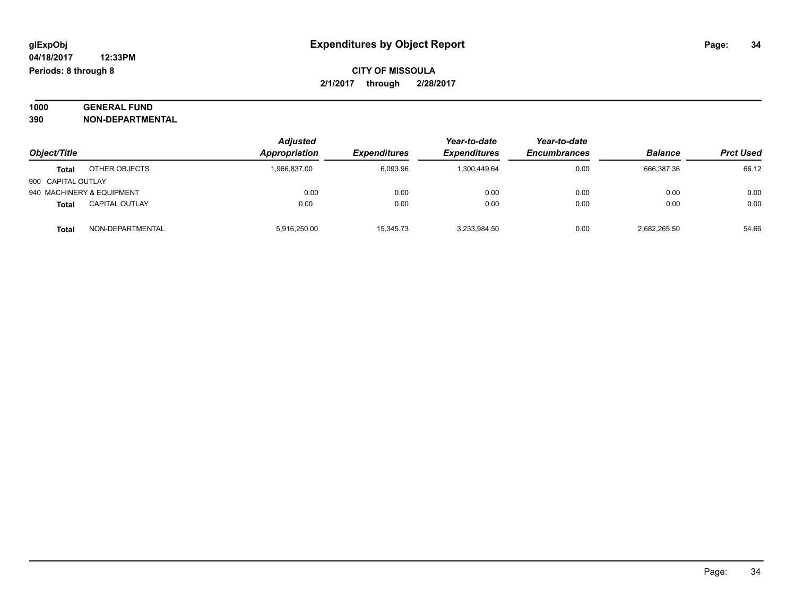#### **1000 GENERAL FUND 390 NON-DEPARTMENTAL**

|                                | <b>Adjusted</b> | Year-to-date        | Year-to-date        |                     |                |                  |
|--------------------------------|-----------------|---------------------|---------------------|---------------------|----------------|------------------|
| Object/Title                   | Appropriation   | <b>Expenditures</b> | <b>Expenditures</b> | <b>Encumbrances</b> | <b>Balance</b> | <b>Prct Used</b> |
| OTHER OBJECTS<br>Total         | 1,966,837.00    | 6.093.96            | 1,300,449.64        | 0.00                | 666,387.36     | 66.12            |
| 900 CAPITAL OUTLAY             |                 |                     |                     |                     |                |                  |
| 940 MACHINERY & EQUIPMENT      | 0.00            | 0.00                | 0.00                | 0.00                | 0.00           | 0.00             |
| <b>CAPITAL OUTLAY</b><br>Total | 0.00            | 0.00                | 0.00                | 0.00                | 0.00           | 0.00             |
| NON-DEPARTMENTAL<br>Total      | 5,916,250.00    | 15,345.73           | 3,233,984.50        | 0.00                | 2,682,265.50   | 54.66            |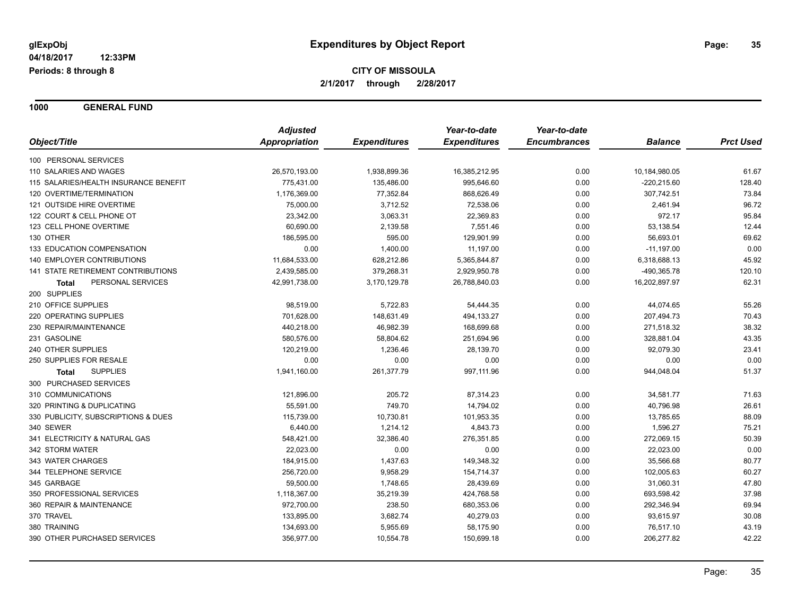**1000 GENERAL FUND**

|                                       | <b>Adjusted</b> |                     | Year-to-date        | Year-to-date        |                |                  |
|---------------------------------------|-----------------|---------------------|---------------------|---------------------|----------------|------------------|
| Object/Title                          | Appropriation   | <b>Expenditures</b> | <b>Expenditures</b> | <b>Encumbrances</b> | <b>Balance</b> | <b>Prct Used</b> |
| 100 PERSONAL SERVICES                 |                 |                     |                     |                     |                |                  |
| 110 SALARIES AND WAGES                | 26,570,193.00   | 1,938,899.36        | 16,385,212.95       | 0.00                | 10,184,980.05  | 61.67            |
| 115 SALARIES/HEALTH INSURANCE BENEFIT | 775,431.00      | 135,486.00          | 995,646.60          | 0.00                | $-220,215.60$  | 128.40           |
| 120 OVERTIME/TERMINATION              | 1,176,369.00    | 77,352.84           | 868,626.49          | 0.00                | 307,742.51     | 73.84            |
| 121 OUTSIDE HIRE OVERTIME             | 75,000.00       | 3,712.52            | 72,538.06           | 0.00                | 2,461.94       | 96.72            |
| 122 COURT & CELL PHONE OT             | 23,342.00       | 3,063.31            | 22,369.83           | 0.00                | 972.17         | 95.84            |
| 123 CELL PHONE OVERTIME               | 60,690.00       | 2,139.58            | 7,551.46            | 0.00                | 53,138.54      | 12.44            |
| 130 OTHER                             | 186,595.00      | 595.00              | 129,901.99          | 0.00                | 56,693.01      | 69.62            |
| 133 EDUCATION COMPENSATION            | 0.00            | 1,400.00            | 11,197.00           | 0.00                | $-11,197.00$   | 0.00             |
| 140 EMPLOYER CONTRIBUTIONS            | 11,684,533.00   | 628,212.86          | 5,365,844.87        | 0.00                | 6,318,688.13   | 45.92            |
| 141 STATE RETIREMENT CONTRIBUTIONS    | 2,439,585.00    | 379,268.31          | 2,929,950.78        | 0.00                | -490,365.78    | 120.10           |
| PERSONAL SERVICES<br>Total            | 42,991,738.00   | 3,170,129.78        | 26,788,840.03       | 0.00                | 16,202,897.97  | 62.31            |
| 200 SUPPLIES                          |                 |                     |                     |                     |                |                  |
| 210 OFFICE SUPPLIES                   | 98,519.00       | 5,722.83            | 54,444.35           | 0.00                | 44,074.65      | 55.26            |
| 220 OPERATING SUPPLIES                | 701,628.00      | 148,631.49          | 494,133.27          | 0.00                | 207,494.73     | 70.43            |
| 230 REPAIR/MAINTENANCE                | 440,218.00      | 46,982.39           | 168,699.68          | 0.00                | 271,518.32     | 38.32            |
| 231 GASOLINE                          | 580,576.00      | 58,804.62           | 251,694.96          | 0.00                | 328,881.04     | 43.35            |
| 240 OTHER SUPPLIES                    | 120,219.00      | 1,236.46            | 28,139.70           | 0.00                | 92,079.30      | 23.41            |
| 250 SUPPLIES FOR RESALE               | 0.00            | 0.00                | 0.00                | 0.00                | 0.00           | 0.00             |
| <b>SUPPLIES</b><br>Total              | 1,941,160.00    | 261,377.79          | 997,111.96          | 0.00                | 944,048.04     | 51.37            |
| 300 PURCHASED SERVICES                |                 |                     |                     |                     |                |                  |
| 310 COMMUNICATIONS                    | 121,896.00      | 205.72              | 87,314.23           | 0.00                | 34,581.77      | 71.63            |
| 320 PRINTING & DUPLICATING            | 55,591.00       | 749.70              | 14,794.02           | 0.00                | 40,796.98      | 26.61            |
| 330 PUBLICITY, SUBSCRIPTIONS & DUES   | 115,739.00      | 10,730.81           | 101,953.35          | 0.00                | 13,785.65      | 88.09            |
| 340 SEWER                             | 6,440.00        | 1,214.12            | 4,843.73            | 0.00                | 1,596.27       | 75.21            |
| 341 ELECTRICITY & NATURAL GAS         | 548,421.00      | 32,386.40           | 276,351.85          | 0.00                | 272,069.15     | 50.39            |
| 342 STORM WATER                       | 22,023.00       | 0.00                | 0.00                | 0.00                | 22,023.00      | 0.00             |
| 343 WATER CHARGES                     | 184,915.00      | 1,437.63            | 149,348.32          | 0.00                | 35,566.68      | 80.77            |
| 344 TELEPHONE SERVICE                 | 256,720.00      | 9,958.29            | 154,714.37          | 0.00                | 102,005.63     | 60.27            |
| 345 GARBAGE                           | 59,500.00       | 1,748.65            | 28,439.69           | 0.00                | 31,060.31      | 47.80            |
| 350 PROFESSIONAL SERVICES             | 1,118,367.00    | 35,219.39           | 424,768.58          | 0.00                | 693,598.42     | 37.98            |
| 360 REPAIR & MAINTENANCE              | 972,700.00      | 238.50              | 680,353.06          | 0.00                | 292,346.94     | 69.94            |
| 370 TRAVEL                            | 133,895.00      | 3,682.74            | 40,279.03           | 0.00                | 93,615.97      | 30.08            |
| 380 TRAINING                          | 134,693.00      | 5,955.69            | 58,175.90           | 0.00                | 76,517.10      | 43.19            |
| 390 OTHER PURCHASED SERVICES          | 356,977.00      | 10,554.78           | 150,699.18          | 0.00                | 206,277.82     | 42.22            |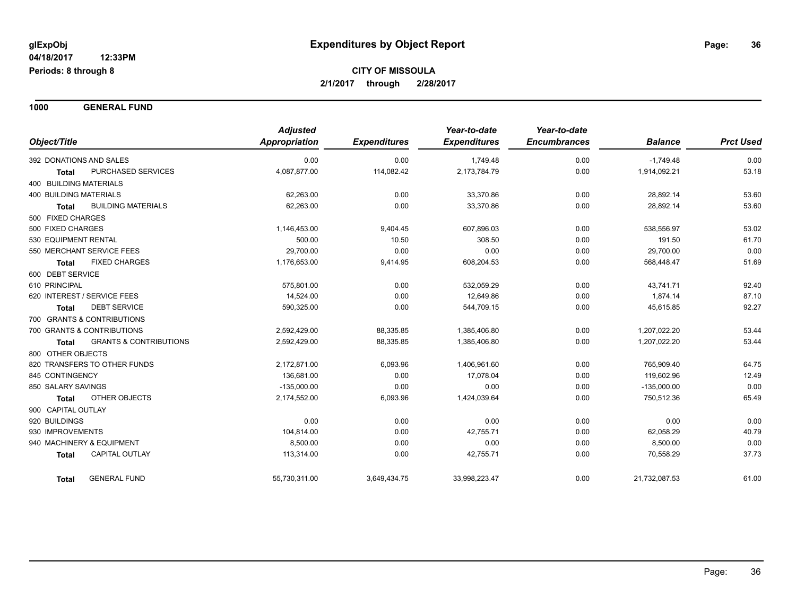**1000 GENERAL FUND**

|                                                   | <b>Adjusted</b> |                     | Year-to-date        | Year-to-date        |                |                  |
|---------------------------------------------------|-----------------|---------------------|---------------------|---------------------|----------------|------------------|
| Object/Title                                      | Appropriation   | <b>Expenditures</b> | <b>Expenditures</b> | <b>Encumbrances</b> | <b>Balance</b> | <b>Prct Used</b> |
| 392 DONATIONS AND SALES                           | 0.00            | 0.00                | 1,749.48            | 0.00                | $-1,749.48$    | 0.00             |
| PURCHASED SERVICES<br><b>Total</b>                | 4,087,877.00    | 114,082.42          | 2,173,784.79        | 0.00                | 1,914,092.21   | 53.18            |
| 400 BUILDING MATERIALS                            |                 |                     |                     |                     |                |                  |
| <b>400 BUILDING MATERIALS</b>                     | 62,263.00       | 0.00                | 33,370.86           | 0.00                | 28,892.14      | 53.60            |
| <b>BUILDING MATERIALS</b><br>Total                | 62,263.00       | 0.00                | 33,370.86           | 0.00                | 28,892.14      | 53.60            |
| 500 FIXED CHARGES                                 |                 |                     |                     |                     |                |                  |
| 500 FIXED CHARGES                                 | 1,146,453.00    | 9,404.45            | 607,896.03          | 0.00                | 538,556.97     | 53.02            |
| 530 EQUIPMENT RENTAL                              | 500.00          | 10.50               | 308.50              | 0.00                | 191.50         | 61.70            |
| 550 MERCHANT SERVICE FEES                         | 29,700.00       | 0.00                | 0.00                | 0.00                | 29,700.00      | 0.00             |
| <b>FIXED CHARGES</b><br><b>Total</b>              | 1,176,653.00    | 9,414.95            | 608,204.53          | 0.00                | 568,448.47     | 51.69            |
| 600 DEBT SERVICE                                  |                 |                     |                     |                     |                |                  |
| 610 PRINCIPAL                                     | 575,801.00      | 0.00                | 532.059.29          | 0.00                | 43,741.71      | 92.40            |
| 620 INTEREST / SERVICE FEES                       | 14,524.00       | 0.00                | 12,649.86           | 0.00                | 1,874.14       | 87.10            |
| <b>DEBT SERVICE</b><br><b>Total</b>               | 590,325.00      | 0.00                | 544,709.15          | 0.00                | 45,615.85      | 92.27            |
| 700 GRANTS & CONTRIBUTIONS                        |                 |                     |                     |                     |                |                  |
| 700 GRANTS & CONTRIBUTIONS                        | 2,592,429.00    | 88,335.85           | 1,385,406.80        | 0.00                | 1,207,022.20   | 53.44            |
| <b>GRANTS &amp; CONTRIBUTIONS</b><br><b>Total</b> | 2,592,429.00    | 88,335.85           | 1,385,406.80        | 0.00                | 1,207,022.20   | 53.44            |
| 800 OTHER OBJECTS                                 |                 |                     |                     |                     |                |                  |
| 820 TRANSFERS TO OTHER FUNDS                      | 2,172,871.00    | 6,093.96            | 1,406,961.60        | 0.00                | 765,909.40     | 64.75            |
| 845 CONTINGENCY                                   | 136,681.00      | 0.00                | 17,078.04           | 0.00                | 119,602.96     | 12.49            |
| 850 SALARY SAVINGS                                | $-135,000.00$   | 0.00                | 0.00                | 0.00                | $-135,000.00$  | 0.00             |
| OTHER OBJECTS<br><b>Total</b>                     | 2,174,552.00    | 6,093.96            | 1,424,039.64        | 0.00                | 750,512.36     | 65.49            |
| 900 CAPITAL OUTLAY                                |                 |                     |                     |                     |                |                  |
| 920 BUILDINGS                                     | 0.00            | 0.00                | 0.00                | 0.00                | 0.00           | 0.00             |
| 930 IMPROVEMENTS                                  | 104,814.00      | 0.00                | 42,755.71           | 0.00                | 62,058.29      | 40.79            |
| 940 MACHINERY & EQUIPMENT                         | 8,500.00        | 0.00                | 0.00                | 0.00                | 8,500.00       | 0.00             |
| <b>CAPITAL OUTLAY</b><br><b>Total</b>             | 113,314.00      | 0.00                | 42,755.71           | 0.00                | 70,558.29      | 37.73            |
| <b>GENERAL FUND</b><br>Total                      | 55,730,311.00   | 3,649,434.75        | 33,998,223.47       | 0.00                | 21,732,087.53  | 61.00            |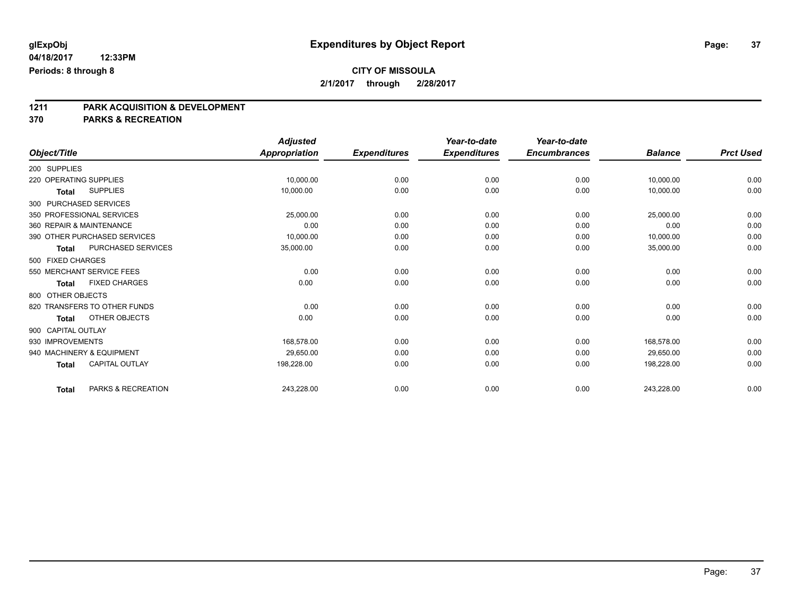# **1211 PARK ACQUISITION & DEVELOPMENT**

#### **370 PARKS & RECREATION**

|                           |                              | <b>Adjusted</b>      |                     | Year-to-date        | Year-to-date        |                |                  |
|---------------------------|------------------------------|----------------------|---------------------|---------------------|---------------------|----------------|------------------|
| Object/Title              |                              | <b>Appropriation</b> | <b>Expenditures</b> | <b>Expenditures</b> | <b>Encumbrances</b> | <b>Balance</b> | <b>Prct Used</b> |
| 200 SUPPLIES              |                              |                      |                     |                     |                     |                |                  |
| 220 OPERATING SUPPLIES    |                              | 10,000.00            | 0.00                | 0.00                | 0.00                | 10,000.00      | 0.00             |
| <b>Total</b>              | <b>SUPPLIES</b>              | 10,000.00            | 0.00                | 0.00                | 0.00                | 10,000.00      | 0.00             |
| 300 PURCHASED SERVICES    |                              |                      |                     |                     |                     |                |                  |
| 350 PROFESSIONAL SERVICES |                              | 25,000.00            | 0.00                | 0.00                | 0.00                | 25,000.00      | 0.00             |
| 360 REPAIR & MAINTENANCE  |                              | 0.00                 | 0.00                | 0.00                | 0.00                | 0.00           | 0.00             |
|                           | 390 OTHER PURCHASED SERVICES | 10,000.00            | 0.00                | 0.00                | 0.00                | 10,000.00      | 0.00             |
| Total                     | PURCHASED SERVICES           | 35,000.00            | 0.00                | 0.00                | 0.00                | 35,000.00      | 0.00             |
| 500 FIXED CHARGES         |                              |                      |                     |                     |                     |                |                  |
| 550 MERCHANT SERVICE FEES |                              | 0.00                 | 0.00                | 0.00                | 0.00                | 0.00           | 0.00             |
| Total                     | <b>FIXED CHARGES</b>         | 0.00                 | 0.00                | 0.00                | 0.00                | 0.00           | 0.00             |
| 800 OTHER OBJECTS         |                              |                      |                     |                     |                     |                |                  |
|                           | 820 TRANSFERS TO OTHER FUNDS | 0.00                 | 0.00                | 0.00                | 0.00                | 0.00           | 0.00             |
| Total                     | OTHER OBJECTS                | 0.00                 | 0.00                | 0.00                | 0.00                | 0.00           | 0.00             |
| 900 CAPITAL OUTLAY        |                              |                      |                     |                     |                     |                |                  |
| 930 IMPROVEMENTS          |                              | 168.578.00           | 0.00                | 0.00                | 0.00                | 168,578.00     | 0.00             |
| 940 MACHINERY & EQUIPMENT |                              | 29.650.00            | 0.00                | 0.00                | 0.00                | 29.650.00      | 0.00             |
| <b>Total</b>              | <b>CAPITAL OUTLAY</b>        | 198,228.00           | 0.00                | 0.00                | 0.00                | 198,228.00     | 0.00             |
| <b>Total</b>              | PARKS & RECREATION           | 243,228.00           | 0.00                | 0.00                | 0.00                | 243,228.00     | 0.00             |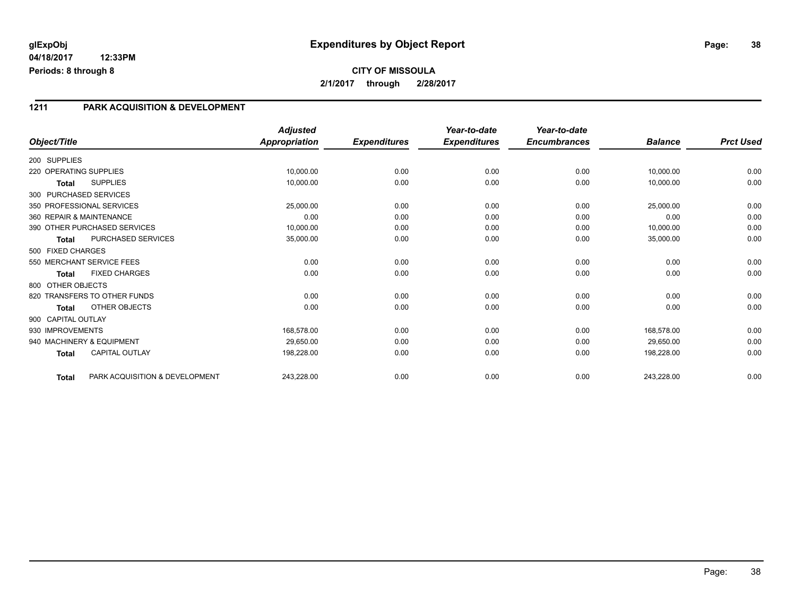## **glExpObj Expenditures by Object Report Page: 38**

**04/18/2017 12:33PM Periods: 8 through 8**

#### **1211 PARK ACQUISITION & DEVELOPMENT**

|                        |                                | <b>Adjusted</b>      |                     | Year-to-date        | Year-to-date        |                |                  |
|------------------------|--------------------------------|----------------------|---------------------|---------------------|---------------------|----------------|------------------|
| Object/Title           |                                | <b>Appropriation</b> | <b>Expenditures</b> | <b>Expenditures</b> | <b>Encumbrances</b> | <b>Balance</b> | <b>Prct Used</b> |
| 200 SUPPLIES           |                                |                      |                     |                     |                     |                |                  |
| 220 OPERATING SUPPLIES |                                | 10,000.00            | 0.00                | 0.00                | 0.00                | 10,000.00      | 0.00             |
| <b>Total</b>           | <b>SUPPLIES</b>                | 10,000.00            | 0.00                | 0.00                | 0.00                | 10,000.00      | 0.00             |
|                        | 300 PURCHASED SERVICES         |                      |                     |                     |                     |                |                  |
|                        | 350 PROFESSIONAL SERVICES      | 25,000.00            | 0.00                | 0.00                | 0.00                | 25,000.00      | 0.00             |
|                        | 360 REPAIR & MAINTENANCE       | 0.00                 | 0.00                | 0.00                | 0.00                | 0.00           | 0.00             |
|                        | 390 OTHER PURCHASED SERVICES   | 10,000.00            | 0.00                | 0.00                | 0.00                | 10,000.00      | 0.00             |
| <b>Total</b>           | PURCHASED SERVICES             | 35,000.00            | 0.00                | 0.00                | 0.00                | 35,000.00      | 0.00             |
| 500 FIXED CHARGES      |                                |                      |                     |                     |                     |                |                  |
|                        | 550 MERCHANT SERVICE FEES      | 0.00                 | 0.00                | 0.00                | 0.00                | 0.00           | 0.00             |
| Total                  | <b>FIXED CHARGES</b>           | 0.00                 | 0.00                | 0.00                | 0.00                | 0.00           | 0.00             |
| 800 OTHER OBJECTS      |                                |                      |                     |                     |                     |                |                  |
|                        | 820 TRANSFERS TO OTHER FUNDS   | 0.00                 | 0.00                | 0.00                | 0.00                | 0.00           | 0.00             |
| Total                  | OTHER OBJECTS                  | 0.00                 | 0.00                | 0.00                | 0.00                | 0.00           | 0.00             |
| 900 CAPITAL OUTLAY     |                                |                      |                     |                     |                     |                |                  |
| 930 IMPROVEMENTS       |                                | 168,578.00           | 0.00                | 0.00                | 0.00                | 168,578.00     | 0.00             |
|                        | 940 MACHINERY & EQUIPMENT      | 29,650.00            | 0.00                | 0.00                | 0.00                | 29,650.00      | 0.00             |
| <b>Total</b>           | <b>CAPITAL OUTLAY</b>          | 198,228.00           | 0.00                | 0.00                | 0.00                | 198,228.00     | 0.00             |
| <b>Total</b>           | PARK ACQUISITION & DEVELOPMENT | 243,228.00           | 0.00                | 0.00                | 0.00                | 243,228.00     | 0.00             |

Page: 38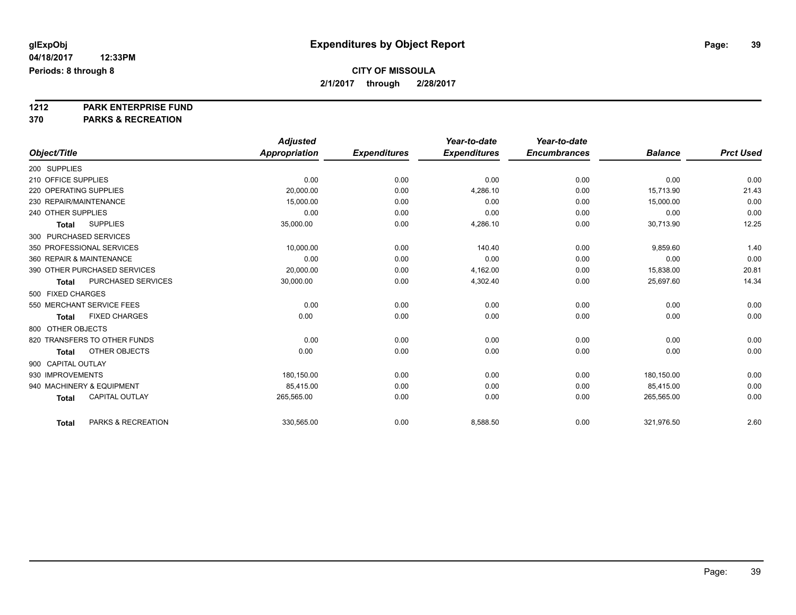# **1212 PARK ENTERPRISE FUND**

**370 PARKS & RECREATION**

|                          |                              | <b>Adjusted</b>      |                     | Year-to-date        | Year-to-date        |                |                  |
|--------------------------|------------------------------|----------------------|---------------------|---------------------|---------------------|----------------|------------------|
| Object/Title             |                              | <b>Appropriation</b> | <b>Expenditures</b> | <b>Expenditures</b> | <b>Encumbrances</b> | <b>Balance</b> | <b>Prct Used</b> |
| 200 SUPPLIES             |                              |                      |                     |                     |                     |                |                  |
| 210 OFFICE SUPPLIES      |                              | 0.00                 | 0.00                | 0.00                | 0.00                | 0.00           | 0.00             |
| 220 OPERATING SUPPLIES   |                              | 20,000.00            | 0.00                | 4,286.10            | 0.00                | 15,713.90      | 21.43            |
| 230 REPAIR/MAINTENANCE   |                              | 15,000.00            | 0.00                | 0.00                | 0.00                | 15,000.00      | 0.00             |
| 240 OTHER SUPPLIES       |                              | 0.00                 | 0.00                | 0.00                | 0.00                | 0.00           | 0.00             |
| <b>Total</b>             | <b>SUPPLIES</b>              | 35,000.00            | 0.00                | 4,286.10            | 0.00                | 30,713.90      | 12.25            |
| 300 PURCHASED SERVICES   |                              |                      |                     |                     |                     |                |                  |
|                          | 350 PROFESSIONAL SERVICES    | 10,000.00            | 0.00                | 140.40              | 0.00                | 9,859.60       | 1.40             |
| 360 REPAIR & MAINTENANCE |                              | 0.00                 | 0.00                | 0.00                | 0.00                | 0.00           | 0.00             |
|                          | 390 OTHER PURCHASED SERVICES | 20.000.00            | 0.00                | 4,162.00            | 0.00                | 15,838.00      | 20.81            |
| <b>Total</b>             | PURCHASED SERVICES           | 30,000.00            | 0.00                | 4,302.40            | 0.00                | 25,697.60      | 14.34            |
| 500 FIXED CHARGES        |                              |                      |                     |                     |                     |                |                  |
|                          | 550 MERCHANT SERVICE FEES    | 0.00                 | 0.00                | 0.00                | 0.00                | 0.00           | 0.00             |
| <b>Total</b>             | <b>FIXED CHARGES</b>         | 0.00                 | 0.00                | 0.00                | 0.00                | 0.00           | 0.00             |
| 800 OTHER OBJECTS        |                              |                      |                     |                     |                     |                |                  |
|                          | 820 TRANSFERS TO OTHER FUNDS | 0.00                 | 0.00                | 0.00                | 0.00                | 0.00           | 0.00             |
| Total                    | <b>OTHER OBJECTS</b>         | 0.00                 | 0.00                | 0.00                | 0.00                | 0.00           | 0.00             |
| 900 CAPITAL OUTLAY       |                              |                      |                     |                     |                     |                |                  |
| 930 IMPROVEMENTS         |                              | 180,150.00           | 0.00                | 0.00                | 0.00                | 180,150.00     | 0.00             |
|                          | 940 MACHINERY & EQUIPMENT    | 85,415.00            | 0.00                | 0.00                | 0.00                | 85,415.00      | 0.00             |
| <b>Total</b>             | <b>CAPITAL OUTLAY</b>        | 265,565.00           | 0.00                | 0.00                | 0.00                | 265,565.00     | 0.00             |
| <b>Total</b>             | PARKS & RECREATION           | 330,565.00           | 0.00                | 8,588.50            | 0.00                | 321,976.50     | 2.60             |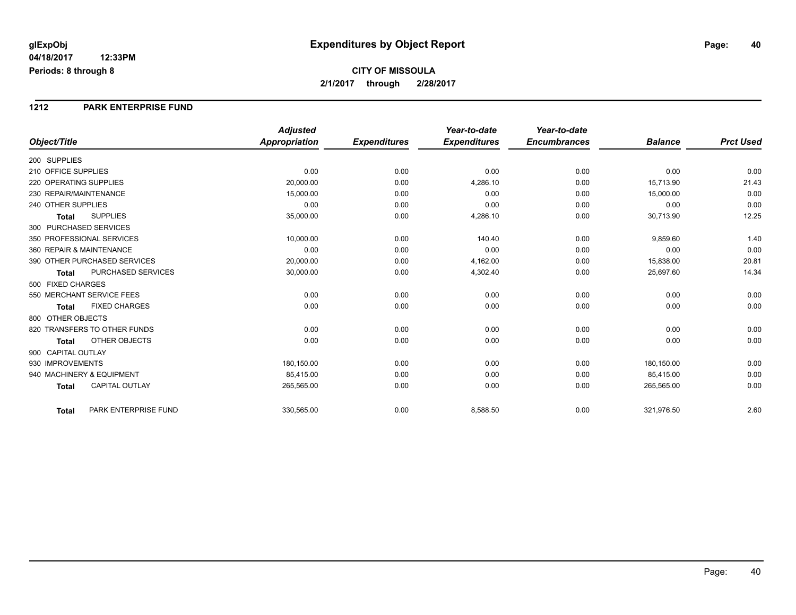**CITY OF MISSOULA 2/1/2017 through 2/28/2017**

#### **1212 PARK ENTERPRISE FUND**

|                                       | <b>Adjusted</b>      |                     | Year-to-date        | Year-to-date        |                |                  |
|---------------------------------------|----------------------|---------------------|---------------------|---------------------|----------------|------------------|
| Object/Title                          | <b>Appropriation</b> | <b>Expenditures</b> | <b>Expenditures</b> | <b>Encumbrances</b> | <b>Balance</b> | <b>Prct Used</b> |
| 200 SUPPLIES                          |                      |                     |                     |                     |                |                  |
| 210 OFFICE SUPPLIES                   | 0.00                 | 0.00                | 0.00                | 0.00                | 0.00           | 0.00             |
| 220 OPERATING SUPPLIES                | 20,000.00            | 0.00                | 4,286.10            | 0.00                | 15,713.90      | 21.43            |
| 230 REPAIR/MAINTENANCE                | 15,000.00            | 0.00                | 0.00                | 0.00                | 15,000.00      | 0.00             |
| 240 OTHER SUPPLIES                    | 0.00                 | 0.00                | 0.00                | 0.00                | 0.00           | 0.00             |
| <b>SUPPLIES</b><br><b>Total</b>       | 35,000.00            | 0.00                | 4,286.10            | 0.00                | 30,713.90      | 12.25            |
| 300 PURCHASED SERVICES                |                      |                     |                     |                     |                |                  |
| 350 PROFESSIONAL SERVICES             | 10,000.00            | 0.00                | 140.40              | 0.00                | 9,859.60       | 1.40             |
| 360 REPAIR & MAINTENANCE              | 0.00                 | 0.00                | 0.00                | 0.00                | 0.00           | 0.00             |
| 390 OTHER PURCHASED SERVICES          | 20,000.00            | 0.00                | 4,162.00            | 0.00                | 15,838.00      | 20.81            |
| PURCHASED SERVICES<br><b>Total</b>    | 30,000.00            | 0.00                | 4,302.40            | 0.00                | 25,697.60      | 14.34            |
| 500 FIXED CHARGES                     |                      |                     |                     |                     |                |                  |
| 550 MERCHANT SERVICE FEES             | 0.00                 | 0.00                | 0.00                | 0.00                | 0.00           | 0.00             |
| <b>FIXED CHARGES</b><br><b>Total</b>  | 0.00                 | 0.00                | 0.00                | 0.00                | 0.00           | 0.00             |
| 800 OTHER OBJECTS                     |                      |                     |                     |                     |                |                  |
| 820 TRANSFERS TO OTHER FUNDS          | 0.00                 | 0.00                | 0.00                | 0.00                | 0.00           | 0.00             |
| <b>OTHER OBJECTS</b><br><b>Total</b>  | 0.00                 | 0.00                | 0.00                | 0.00                | 0.00           | 0.00             |
| 900 CAPITAL OUTLAY                    |                      |                     |                     |                     |                |                  |
| 930 IMPROVEMENTS                      | 180,150.00           | 0.00                | 0.00                | 0.00                | 180,150.00     | 0.00             |
| 940 MACHINERY & EQUIPMENT             | 85.415.00            | 0.00                | 0.00                | 0.00                | 85,415.00      | 0.00             |
| <b>CAPITAL OUTLAY</b><br><b>Total</b> | 265,565.00           | 0.00                | 0.00                | 0.00                | 265,565.00     | 0.00             |
| PARK ENTERPRISE FUND<br>Total         | 330,565.00           | 0.00                | 8,588.50            | 0.00                | 321,976.50     | 2.60             |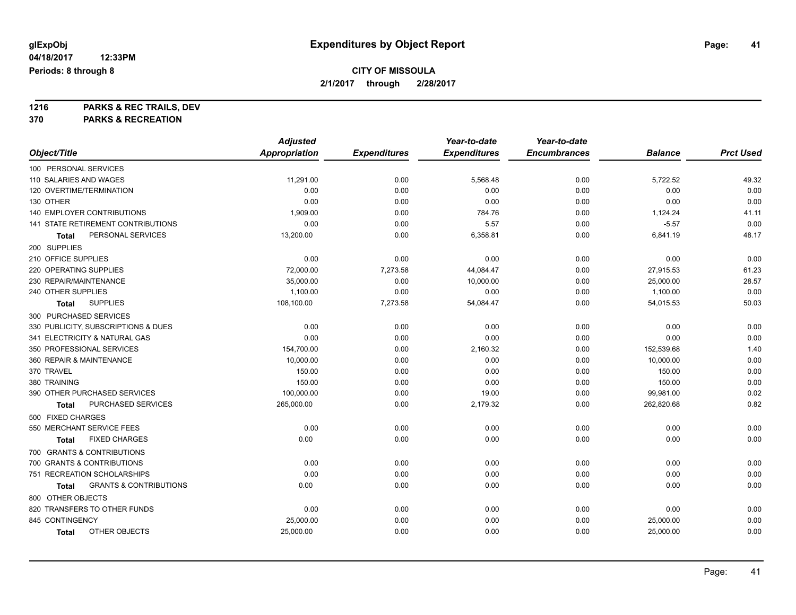**1216 PARKS & REC TRAILS, DEV**

**370 PARKS & RECREATION**

|                                                   | <b>Adjusted</b>      |                     | Year-to-date        | Year-to-date        |                |                  |
|---------------------------------------------------|----------------------|---------------------|---------------------|---------------------|----------------|------------------|
| Object/Title                                      | <b>Appropriation</b> | <b>Expenditures</b> | <b>Expenditures</b> | <b>Encumbrances</b> | <b>Balance</b> | <b>Prct Used</b> |
| 100 PERSONAL SERVICES                             |                      |                     |                     |                     |                |                  |
| 110 SALARIES AND WAGES                            | 11,291.00            | 0.00                | 5,568.48            | 0.00                | 5,722.52       | 49.32            |
| 120 OVERTIME/TERMINATION                          | 0.00                 | 0.00                | 0.00                | 0.00                | 0.00           | 0.00             |
| 130 OTHER                                         | 0.00                 | 0.00                | 0.00                | 0.00                | 0.00           | 0.00             |
| 140 EMPLOYER CONTRIBUTIONS                        | 1,909.00             | 0.00                | 784.76              | 0.00                | 1,124.24       | 41.11            |
| 141 STATE RETIREMENT CONTRIBUTIONS                | 0.00                 | 0.00                | 5.57                | 0.00                | $-5.57$        | 0.00             |
| PERSONAL SERVICES<br>Total                        | 13,200.00            | 0.00                | 6,358.81            | 0.00                | 6,841.19       | 48.17            |
| 200 SUPPLIES                                      |                      |                     |                     |                     |                |                  |
| 210 OFFICE SUPPLIES                               | 0.00                 | 0.00                | 0.00                | 0.00                | 0.00           | 0.00             |
| 220 OPERATING SUPPLIES                            | 72,000.00            | 7,273.58            | 44,084.47           | 0.00                | 27,915.53      | 61.23            |
| 230 REPAIR/MAINTENANCE                            | 35,000.00            | 0.00                | 10,000.00           | 0.00                | 25,000.00      | 28.57            |
| 240 OTHER SUPPLIES                                | 1,100.00             | 0.00                | 0.00                | 0.00                | 1,100.00       | 0.00             |
| <b>SUPPLIES</b><br>Total                          | 108,100.00           | 7,273.58            | 54,084.47           | 0.00                | 54,015.53      | 50.03            |
| 300 PURCHASED SERVICES                            |                      |                     |                     |                     |                |                  |
| 330 PUBLICITY, SUBSCRIPTIONS & DUES               | 0.00                 | 0.00                | 0.00                | 0.00                | 0.00           | 0.00             |
| 341 ELECTRICITY & NATURAL GAS                     | 0.00                 | 0.00                | 0.00                | 0.00                | 0.00           | 0.00             |
| 350 PROFESSIONAL SERVICES                         | 154,700.00           | 0.00                | 2,160.32            | 0.00                | 152,539.68     | 1.40             |
| 360 REPAIR & MAINTENANCE                          | 10,000.00            | 0.00                | 0.00                | 0.00                | 10,000.00      | 0.00             |
| 370 TRAVEL                                        | 150.00               | 0.00                | 0.00                | 0.00                | 150.00         | 0.00             |
| 380 TRAINING                                      | 150.00               | 0.00                | 0.00                | 0.00                | 150.00         | 0.00             |
| 390 OTHER PURCHASED SERVICES                      | 100,000.00           | 0.00                | 19.00               | 0.00                | 99,981.00      | 0.02             |
| PURCHASED SERVICES<br>Total                       | 265,000.00           | 0.00                | 2,179.32            | 0.00                | 262,820.68     | 0.82             |
| 500 FIXED CHARGES                                 |                      |                     |                     |                     |                |                  |
| 550 MERCHANT SERVICE FEES                         | 0.00                 | 0.00                | 0.00                | 0.00                | 0.00           | 0.00             |
| <b>FIXED CHARGES</b><br>Total                     | 0.00                 | 0.00                | 0.00                | 0.00                | 0.00           | 0.00             |
| 700 GRANTS & CONTRIBUTIONS                        |                      |                     |                     |                     |                |                  |
| 700 GRANTS & CONTRIBUTIONS                        | 0.00                 | 0.00                | 0.00                | 0.00                | 0.00           | 0.00             |
| 751 RECREATION SCHOLARSHIPS                       | 0.00                 | 0.00                | 0.00                | 0.00                | 0.00           | 0.00             |
| <b>GRANTS &amp; CONTRIBUTIONS</b><br><b>Total</b> | 0.00                 | 0.00                | 0.00                | 0.00                | 0.00           | 0.00             |
| 800 OTHER OBJECTS                                 |                      |                     |                     |                     |                |                  |
| 820 TRANSFERS TO OTHER FUNDS                      | 0.00                 | 0.00                | 0.00                | 0.00                | 0.00           | 0.00             |
| 845 CONTINGENCY                                   | 25,000.00            | 0.00                | 0.00                | 0.00                | 25,000.00      | 0.00             |
| OTHER OBJECTS<br><b>Total</b>                     | 25,000.00            | 0.00                | 0.00                | 0.00                | 25,000.00      | 0.00             |
|                                                   |                      |                     |                     |                     |                |                  |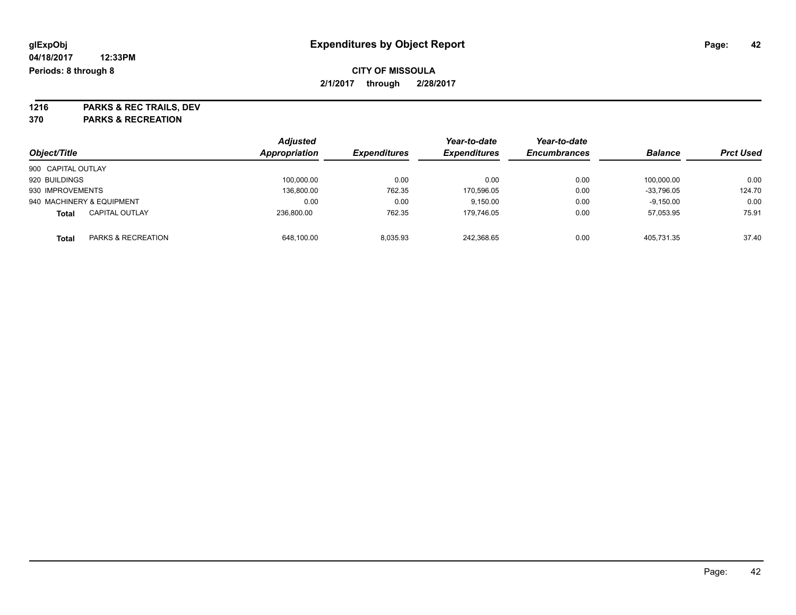**1216 PARKS & REC TRAILS, DEV 370 PARKS & RECREATION**

|                    |                           | <b>Adjusted</b> |                     | Year-to-date        | Year-to-date        |                |                  |
|--------------------|---------------------------|-----------------|---------------------|---------------------|---------------------|----------------|------------------|
| Object/Title       |                           | Appropriation   | <b>Expenditures</b> | <b>Expenditures</b> | <b>Encumbrances</b> | <b>Balance</b> | <b>Prct Used</b> |
| 900 CAPITAL OUTLAY |                           |                 |                     |                     |                     |                |                  |
| 920 BUILDINGS      |                           | 100,000.00      | 0.00                | 0.00                | 0.00                | 100.000.00     | 0.00             |
| 930 IMPROVEMENTS   |                           | 136,800.00      | 762.35              | 170,596.05          | 0.00                | $-33,796.05$   | 124.70           |
|                    | 940 MACHINERY & EQUIPMENT | 0.00            | 0.00                | 9,150.00            | 0.00                | $-9,150.00$    | 0.00             |
| <b>Total</b>       | <b>CAPITAL OUTLAY</b>     | 236.800.00      | 762.35              | 179,746.05          | 0.00                | 57,053.95      | 75.91            |
| <b>Total</b>       | PARKS & RECREATION        | 648.100.00      | 8.035.93            | 242.368.65          | 0.00                | 405.731.35     | 37.40            |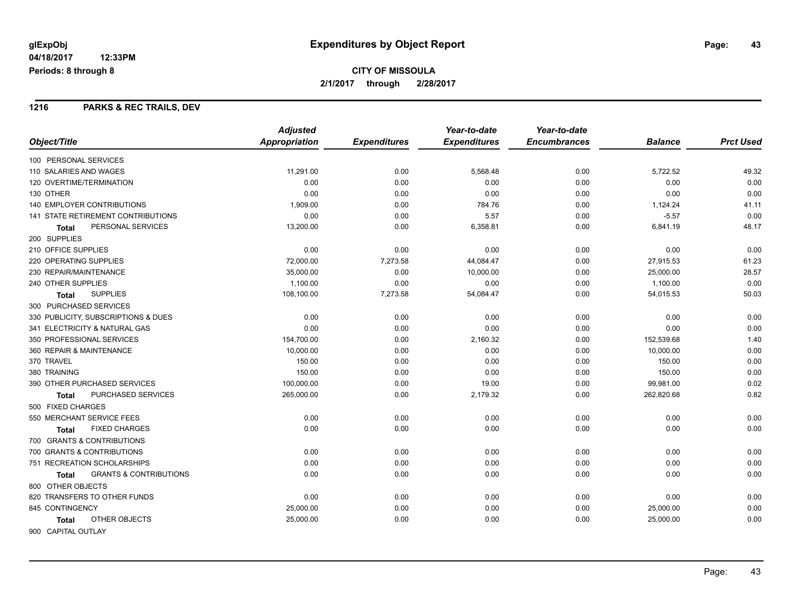## **CITY OF MISSOULA 2/1/2017 through 2/28/2017**

#### **1216 PARKS & REC TRAILS, DEV**

|                                                   | <b>Adjusted</b> |                     | Year-to-date        | Year-to-date        |                |                  |
|---------------------------------------------------|-----------------|---------------------|---------------------|---------------------|----------------|------------------|
| Object/Title                                      | Appropriation   | <b>Expenditures</b> | <b>Expenditures</b> | <b>Encumbrances</b> | <b>Balance</b> | <b>Prct Used</b> |
| 100 PERSONAL SERVICES                             |                 |                     |                     |                     |                |                  |
| 110 SALARIES AND WAGES                            | 11,291.00       | 0.00                | 5,568.48            | 0.00                | 5,722.52       | 49.32            |
| 120 OVERTIME/TERMINATION                          | 0.00            | 0.00                | 0.00                | 0.00                | 0.00           | 0.00             |
| 130 OTHER                                         | 0.00            | 0.00                | 0.00                | 0.00                | 0.00           | 0.00             |
| <b>140 EMPLOYER CONTRIBUTIONS</b>                 | 1.909.00        | 0.00                | 784.76              | 0.00                | 1,124.24       | 41.11            |
| 141 STATE RETIREMENT CONTRIBUTIONS                | 0.00            | 0.00                | 5.57                | 0.00                | $-5.57$        | 0.00             |
| PERSONAL SERVICES<br>Total                        | 13,200.00       | 0.00                | 6,358.81            | 0.00                | 6,841.19       | 48.17            |
| 200 SUPPLIES                                      |                 |                     |                     |                     |                |                  |
| 210 OFFICE SUPPLIES                               | 0.00            | 0.00                | 0.00                | 0.00                | 0.00           | 0.00             |
| 220 OPERATING SUPPLIES                            | 72,000.00       | 7,273.58            | 44,084.47           | 0.00                | 27,915.53      | 61.23            |
| 230 REPAIR/MAINTENANCE                            | 35,000.00       | 0.00                | 10,000.00           | 0.00                | 25,000.00      | 28.57            |
| 240 OTHER SUPPLIES                                | 1,100.00        | 0.00                | 0.00                | 0.00                | 1,100.00       | 0.00             |
| <b>SUPPLIES</b><br><b>Total</b>                   | 108,100.00      | 7,273.58            | 54,084.47           | 0.00                | 54,015.53      | 50.03            |
| 300 PURCHASED SERVICES                            |                 |                     |                     |                     |                |                  |
| 330 PUBLICITY, SUBSCRIPTIONS & DUES               | 0.00            | 0.00                | 0.00                | 0.00                | 0.00           | 0.00             |
| 341 ELECTRICITY & NATURAL GAS                     | 0.00            | 0.00                | 0.00                | 0.00                | 0.00           | 0.00             |
| 350 PROFESSIONAL SERVICES                         | 154,700.00      | 0.00                | 2,160.32            | 0.00                | 152,539.68     | 1.40             |
| 360 REPAIR & MAINTENANCE                          | 10,000.00       | 0.00                | 0.00                | 0.00                | 10,000.00      | 0.00             |
| 370 TRAVEL                                        | 150.00          | 0.00                | 0.00                | 0.00                | 150.00         | 0.00             |
| 380 TRAINING                                      | 150.00          | 0.00                | 0.00                | 0.00                | 150.00         | 0.00             |
| 390 OTHER PURCHASED SERVICES                      | 100,000.00      | 0.00                | 19.00               | 0.00                | 99,981.00      | 0.02             |
| <b>PURCHASED SERVICES</b><br>Total                | 265,000.00      | 0.00                | 2,179.32            | 0.00                | 262,820.68     | 0.82             |
| 500 FIXED CHARGES                                 |                 |                     |                     |                     |                |                  |
| 550 MERCHANT SERVICE FEES                         | 0.00            | 0.00                | 0.00                | 0.00                | 0.00           | 0.00             |
| <b>FIXED CHARGES</b><br><b>Total</b>              | 0.00            | 0.00                | 0.00                | 0.00                | 0.00           | 0.00             |
| 700 GRANTS & CONTRIBUTIONS                        |                 |                     |                     |                     |                |                  |
| 700 GRANTS & CONTRIBUTIONS                        | 0.00            | 0.00                | 0.00                | 0.00                | 0.00           | 0.00             |
| 751 RECREATION SCHOLARSHIPS                       | 0.00            | 0.00                | 0.00                | 0.00                | 0.00           | 0.00             |
| <b>GRANTS &amp; CONTRIBUTIONS</b><br><b>Total</b> | 0.00            | 0.00                | 0.00                | 0.00                | 0.00           | 0.00             |
| 800 OTHER OBJECTS                                 |                 |                     |                     |                     |                |                  |
| 820 TRANSFERS TO OTHER FUNDS                      | 0.00            | 0.00                | 0.00                | 0.00                | 0.00           | 0.00             |
| 845 CONTINGENCY                                   | 25,000.00       | 0.00                | 0.00                | 0.00                | 25,000.00      | 0.00             |
| OTHER OBJECTS<br><b>Total</b>                     | 25,000.00       | 0.00                | 0.00                | 0.00                | 25,000.00      | 0.00             |
| 900 CAPITAL OUTLAY                                |                 |                     |                     |                     |                |                  |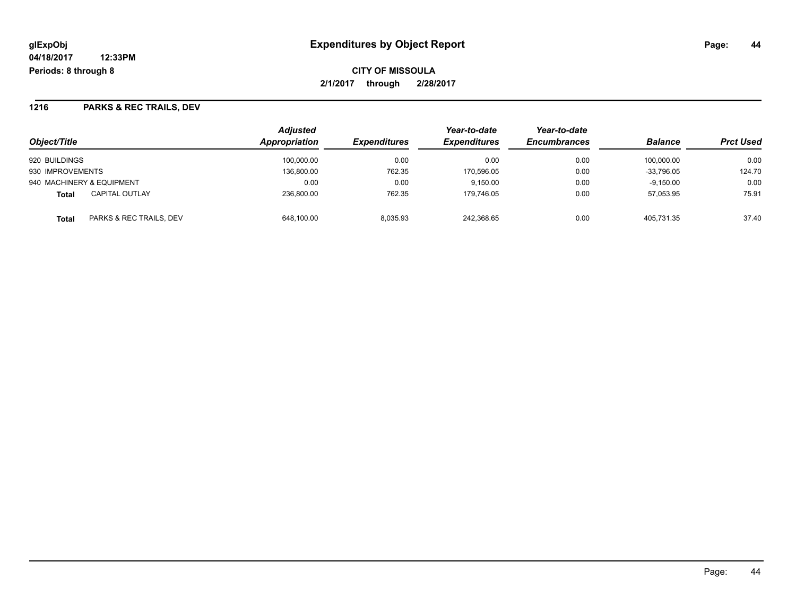**CITY OF MISSOULA 2/1/2017 through 2/28/2017**

### **1216 PARKS & REC TRAILS, DEV**

| Object/Title                            | <b>Adjusted</b><br>Appropriation | <b>Expenditures</b> | Year-to-date<br><b>Expenditures</b> | Year-to-date<br><b>Encumbrances</b> | <b>Balance</b> | <b>Prct Used</b> |
|-----------------------------------------|----------------------------------|---------------------|-------------------------------------|-------------------------------------|----------------|------------------|
| 920 BUILDINGS                           | 100.000.00                       | 0.00                | 0.00                                | 0.00                                | 100.000.00     | 0.00             |
| 930 IMPROVEMENTS                        | 136.800.00                       | 762.35              | 170.596.05                          | 0.00                                | $-33.796.05$   | 124.70           |
| 940 MACHINERY & EQUIPMENT               | 0.00                             | 0.00                | 9.150.00                            | 0.00                                | $-9.150.00$    | 0.00             |
| <b>CAPITAL OUTLAY</b><br><b>Total</b>   | 236.800.00                       | 762.35              | 179.746.05                          | 0.00                                | 57,053.95      | 75.91            |
| PARKS & REC TRAILS, DEV<br><b>Total</b> | 648,100.00                       | 8,035.93            | 242,368.65                          | 0.00                                | 405.731.35     | 37.40            |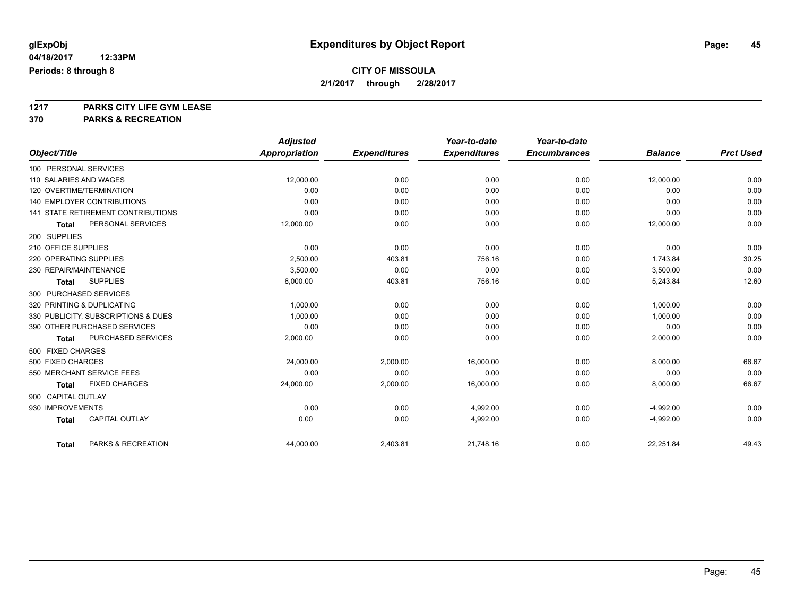# **1217 PARKS CITY LIFE GYM LEASE**

## **370 PARKS & RECREATION**

|                                           | <b>Adjusted</b>      |                     | Year-to-date        | Year-to-date        |                |                  |
|-------------------------------------------|----------------------|---------------------|---------------------|---------------------|----------------|------------------|
| Object/Title                              | <b>Appropriation</b> | <b>Expenditures</b> | <b>Expenditures</b> | <b>Encumbrances</b> | <b>Balance</b> | <b>Prct Used</b> |
| 100 PERSONAL SERVICES                     |                      |                     |                     |                     |                |                  |
| 110 SALARIES AND WAGES                    | 12,000.00            | 0.00                | 0.00                | 0.00                | 12,000.00      | 0.00             |
| 120 OVERTIME/TERMINATION                  | 0.00                 | 0.00                | 0.00                | 0.00                | 0.00           | 0.00             |
| <b>140 EMPLOYER CONTRIBUTIONS</b>         | 0.00                 | 0.00                | 0.00                | 0.00                | 0.00           | 0.00             |
| <b>141 STATE RETIREMENT CONTRIBUTIONS</b> | 0.00                 | 0.00                | 0.00                | 0.00                | 0.00           | 0.00             |
| PERSONAL SERVICES<br><b>Total</b>         | 12,000.00            | 0.00                | 0.00                | 0.00                | 12,000.00      | 0.00             |
| 200 SUPPLIES                              |                      |                     |                     |                     |                |                  |
| 210 OFFICE SUPPLIES                       | 0.00                 | 0.00                | 0.00                | 0.00                | 0.00           | 0.00             |
| 220 OPERATING SUPPLIES                    | 2.500.00             | 403.81              | 756.16              | 0.00                | 1.743.84       | 30.25            |
| 230 REPAIR/MAINTENANCE                    | 3,500.00             | 0.00                | 0.00                | 0.00                | 3,500.00       | 0.00             |
| <b>SUPPLIES</b><br><b>Total</b>           | 6,000.00             | 403.81              | 756.16              | 0.00                | 5,243.84       | 12.60            |
| 300 PURCHASED SERVICES                    |                      |                     |                     |                     |                |                  |
| 320 PRINTING & DUPLICATING                | 1,000.00             | 0.00                | 0.00                | 0.00                | 1,000.00       | 0.00             |
| 330 PUBLICITY, SUBSCRIPTIONS & DUES       | 1,000.00             | 0.00                | 0.00                | 0.00                | 1,000.00       | 0.00             |
| 390 OTHER PURCHASED SERVICES              | 0.00                 | 0.00                | 0.00                | 0.00                | 0.00           | 0.00             |
| PURCHASED SERVICES<br><b>Total</b>        | 2,000.00             | 0.00                | 0.00                | 0.00                | 2,000.00       | 0.00             |
| 500 FIXED CHARGES                         |                      |                     |                     |                     |                |                  |
| 500 FIXED CHARGES                         | 24,000.00            | 2,000.00            | 16,000.00           | 0.00                | 8,000.00       | 66.67            |
| 550 MERCHANT SERVICE FEES                 | 0.00                 | 0.00                | 0.00                | 0.00                | 0.00           | 0.00             |
| <b>FIXED CHARGES</b><br><b>Total</b>      | 24,000.00            | 2,000.00            | 16,000.00           | 0.00                | 8,000.00       | 66.67            |
| 900 CAPITAL OUTLAY                        |                      |                     |                     |                     |                |                  |
| 930 IMPROVEMENTS                          | 0.00                 | 0.00                | 4,992.00            | 0.00                | $-4,992.00$    | 0.00             |
| <b>CAPITAL OUTLAY</b><br><b>Total</b>     | 0.00                 | 0.00                | 4,992.00            | 0.00                | $-4,992.00$    | 0.00             |
|                                           |                      |                     |                     |                     |                |                  |
| PARKS & RECREATION<br><b>Total</b>        | 44,000.00            | 2,403.81            | 21,748.16           | 0.00                | 22,251.84      | 49.43            |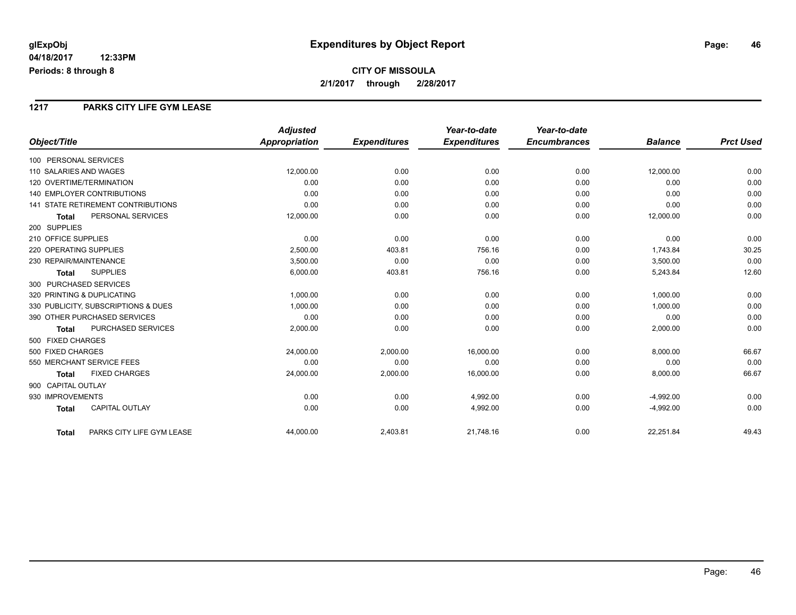## **CITY OF MISSOULA 2/1/2017 through 2/28/2017**

#### **1217 PARKS CITY LIFE GYM LEASE**

|                                           | <b>Adjusted</b>      |                     | Year-to-date        | Year-to-date        |                |                  |
|-------------------------------------------|----------------------|---------------------|---------------------|---------------------|----------------|------------------|
| Object/Title                              | <b>Appropriation</b> | <b>Expenditures</b> | <b>Expenditures</b> | <b>Encumbrances</b> | <b>Balance</b> | <b>Prct Used</b> |
| 100 PERSONAL SERVICES                     |                      |                     |                     |                     |                |                  |
| 110 SALARIES AND WAGES                    | 12,000.00            | 0.00                | 0.00                | 0.00                | 12,000.00      | 0.00             |
| 120 OVERTIME/TERMINATION                  | 0.00                 | 0.00                | 0.00                | 0.00                | 0.00           | 0.00             |
| <b>140 EMPLOYER CONTRIBUTIONS</b>         | 0.00                 | 0.00                | 0.00                | 0.00                | 0.00           | 0.00             |
| <b>141 STATE RETIREMENT CONTRIBUTIONS</b> | 0.00                 | 0.00                | 0.00                | 0.00                | 0.00           | 0.00             |
| PERSONAL SERVICES<br><b>Total</b>         | 12,000.00            | 0.00                | 0.00                | 0.00                | 12,000.00      | 0.00             |
| 200 SUPPLIES                              |                      |                     |                     |                     |                |                  |
| 210 OFFICE SUPPLIES                       | 0.00                 | 0.00                | 0.00                | 0.00                | 0.00           | 0.00             |
| 220 OPERATING SUPPLIES                    | 2,500.00             | 403.81              | 756.16              | 0.00                | 1,743.84       | 30.25            |
| 230 REPAIR/MAINTENANCE                    | 3,500.00             | 0.00                | 0.00                | 0.00                | 3,500.00       | 0.00             |
| <b>SUPPLIES</b><br><b>Total</b>           | 6,000.00             | 403.81              | 756.16              | 0.00                | 5,243.84       | 12.60            |
| 300 PURCHASED SERVICES                    |                      |                     |                     |                     |                |                  |
| 320 PRINTING & DUPLICATING                | 1,000.00             | 0.00                | 0.00                | 0.00                | 1,000.00       | 0.00             |
| 330 PUBLICITY, SUBSCRIPTIONS & DUES       | 1,000.00             | 0.00                | 0.00                | 0.00                | 1,000.00       | 0.00             |
| 390 OTHER PURCHASED SERVICES              | 0.00                 | 0.00                | 0.00                | 0.00                | 0.00           | 0.00             |
| PURCHASED SERVICES<br><b>Total</b>        | 2,000.00             | 0.00                | 0.00                | 0.00                | 2,000.00       | 0.00             |
| 500 FIXED CHARGES                         |                      |                     |                     |                     |                |                  |
| 500 FIXED CHARGES                         | 24,000.00            | 2,000.00            | 16,000.00           | 0.00                | 8,000.00       | 66.67            |
| 550 MERCHANT SERVICE FEES                 | 0.00                 | 0.00                | 0.00                | 0.00                | 0.00           | 0.00             |
| <b>FIXED CHARGES</b><br><b>Total</b>      | 24,000.00            | 2,000.00            | 16,000.00           | 0.00                | 8,000.00       | 66.67            |
| 900 CAPITAL OUTLAY                        |                      |                     |                     |                     |                |                  |
| 930 IMPROVEMENTS                          | 0.00                 | 0.00                | 4,992.00            | 0.00                | $-4,992.00$    | 0.00             |
| <b>CAPITAL OUTLAY</b><br><b>Total</b>     | 0.00                 | 0.00                | 4,992.00            | 0.00                | $-4,992.00$    | 0.00             |
| PARKS CITY LIFE GYM LEASE<br><b>Total</b> | 44,000.00            | 2,403.81            | 21,748.16           | 0.00                | 22,251.84      | 49.43            |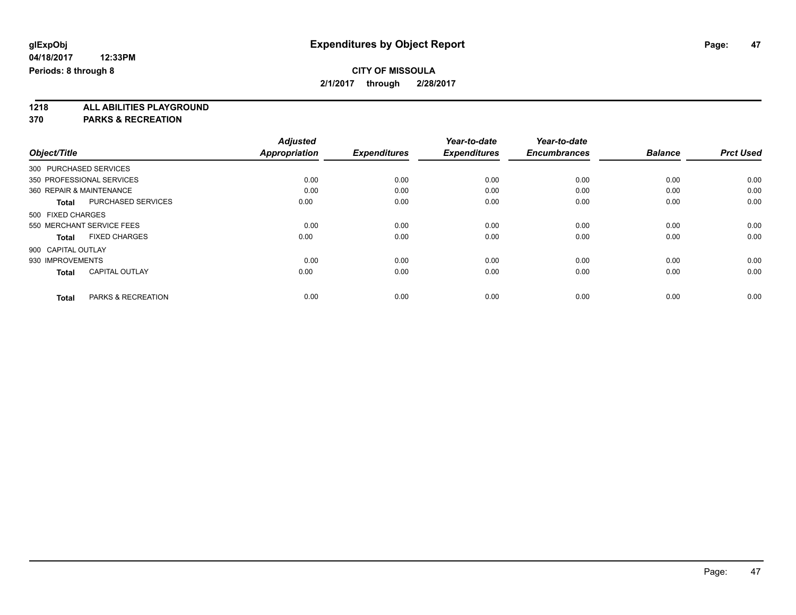**1218 ALL ABILITIES PLAYGROUND**

**370 PARKS & RECREATION**

|                                       | <b>Adjusted</b>      |                     | Year-to-date        | Year-to-date        |                |                  |
|---------------------------------------|----------------------|---------------------|---------------------|---------------------|----------------|------------------|
| Object/Title                          | <b>Appropriation</b> | <b>Expenditures</b> | <b>Expenditures</b> | <b>Encumbrances</b> | <b>Balance</b> | <b>Prct Used</b> |
| 300 PURCHASED SERVICES                |                      |                     |                     |                     |                |                  |
| 350 PROFESSIONAL SERVICES             | 0.00                 | 0.00                | 0.00                | 0.00                | 0.00           | 0.00             |
| 360 REPAIR & MAINTENANCE              | 0.00                 | 0.00                | 0.00                | 0.00                | 0.00           | 0.00             |
| <b>PURCHASED SERVICES</b><br>Total    | 0.00                 | 0.00                | 0.00                | 0.00                | 0.00           | 0.00             |
| 500 FIXED CHARGES                     |                      |                     |                     |                     |                |                  |
| 550 MERCHANT SERVICE FEES             | 0.00                 | 0.00                | 0.00                | 0.00                | 0.00           | 0.00             |
| <b>FIXED CHARGES</b><br><b>Total</b>  | 0.00                 | 0.00                | 0.00                | 0.00                | 0.00           | 0.00             |
| 900 CAPITAL OUTLAY                    |                      |                     |                     |                     |                |                  |
| 930 IMPROVEMENTS                      | 0.00                 | 0.00                | 0.00                | 0.00                | 0.00           | 0.00             |
| <b>CAPITAL OUTLAY</b><br><b>Total</b> | 0.00                 | 0.00                | 0.00                | 0.00                | 0.00           | 0.00             |
|                                       |                      |                     |                     |                     |                |                  |
| PARKS & RECREATION<br><b>Total</b>    | 0.00                 | 0.00                | 0.00                | 0.00                | 0.00           | 0.00             |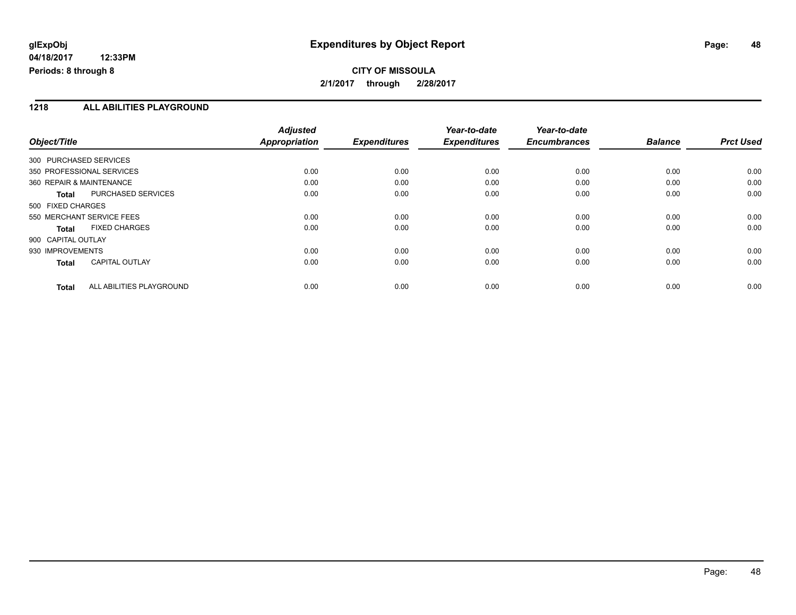## **CITY OF MISSOULA 2/1/2017 through 2/28/2017**

#### **1218 ALL ABILITIES PLAYGROUND**

|                           |                          | <b>Adjusted</b> |                     | Year-to-date        | Year-to-date        |                |                  |
|---------------------------|--------------------------|-----------------|---------------------|---------------------|---------------------|----------------|------------------|
| Object/Title              |                          | Appropriation   | <b>Expenditures</b> | <b>Expenditures</b> | <b>Encumbrances</b> | <b>Balance</b> | <b>Prct Used</b> |
| 300 PURCHASED SERVICES    |                          |                 |                     |                     |                     |                |                  |
| 350 PROFESSIONAL SERVICES |                          | 0.00            | 0.00                | 0.00                | 0.00                | 0.00           | 0.00             |
| 360 REPAIR & MAINTENANCE  |                          | 0.00            | 0.00                | 0.00                | 0.00                | 0.00           | 0.00             |
| <b>Total</b>              | PURCHASED SERVICES       | 0.00            | 0.00                | 0.00                | 0.00                | 0.00           | 0.00             |
| 500 FIXED CHARGES         |                          |                 |                     |                     |                     |                |                  |
| 550 MERCHANT SERVICE FEES |                          | 0.00            | 0.00                | 0.00                | 0.00                | 0.00           | 0.00             |
| Total                     | <b>FIXED CHARGES</b>     | 0.00            | 0.00                | 0.00                | 0.00                | 0.00           | 0.00             |
| 900 CAPITAL OUTLAY        |                          |                 |                     |                     |                     |                |                  |
| 930 IMPROVEMENTS          |                          | 0.00            | 0.00                | 0.00                | 0.00                | 0.00           | 0.00             |
| <b>Total</b>              | <b>CAPITAL OUTLAY</b>    | 0.00            | 0.00                | 0.00                | 0.00                | 0.00           | 0.00             |
| <b>Total</b>              | ALL ABILITIES PLAYGROUND | 0.00            | 0.00                | 0.00                | 0.00                | 0.00           | 0.00             |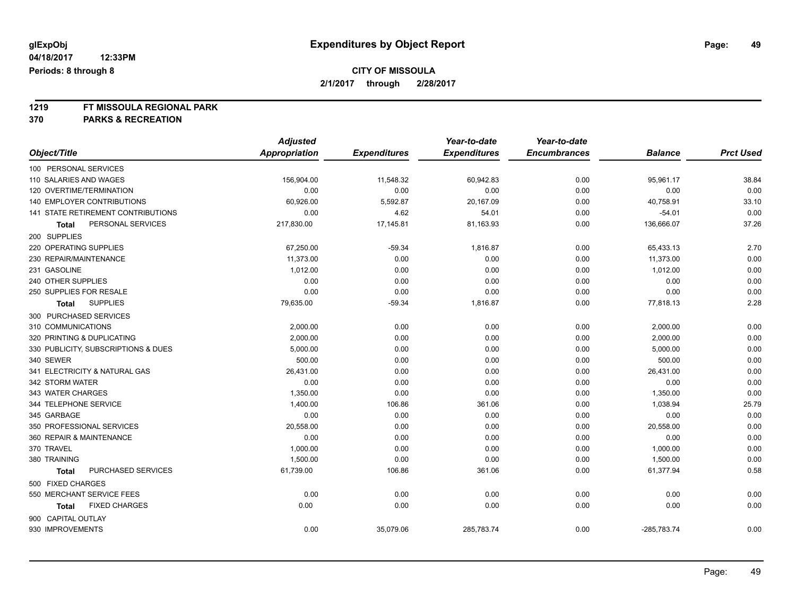# **1219 FT MISSOULA REGIONAL PARK**

## **370 PARKS & RECREATION**

|                                     | <b>Adjusted</b>      |                     | Year-to-date        | Year-to-date        |                |                  |
|-------------------------------------|----------------------|---------------------|---------------------|---------------------|----------------|------------------|
| Object/Title                        | <b>Appropriation</b> | <b>Expenditures</b> | <b>Expenditures</b> | <b>Encumbrances</b> | <b>Balance</b> | <b>Prct Used</b> |
| 100 PERSONAL SERVICES               |                      |                     |                     |                     |                |                  |
| 110 SALARIES AND WAGES              | 156,904.00           | 11,548.32           | 60,942.83           | 0.00                | 95,961.17      | 38.84            |
| 120 OVERTIME/TERMINATION            | 0.00                 | 0.00                | 0.00                | 0.00                | 0.00           | 0.00             |
| 140 EMPLOYER CONTRIBUTIONS          | 60,926.00            | 5,592.87            | 20,167.09           | 0.00                | 40,758.91      | 33.10            |
| 141 STATE RETIREMENT CONTRIBUTIONS  | 0.00                 | 4.62                | 54.01               | 0.00                | $-54.01$       | 0.00             |
| PERSONAL SERVICES<br>Total          | 217,830.00           | 17,145.81           | 81,163.93           | 0.00                | 136,666.07     | 37.26            |
| 200 SUPPLIES                        |                      |                     |                     |                     |                |                  |
| 220 OPERATING SUPPLIES              | 67,250.00            | $-59.34$            | 1,816.87            | 0.00                | 65,433.13      | 2.70             |
| 230 REPAIR/MAINTENANCE              | 11,373.00            | 0.00                | 0.00                | 0.00                | 11,373.00      | 0.00             |
| 231 GASOLINE                        | 1,012.00             | 0.00                | 0.00                | 0.00                | 1,012.00       | 0.00             |
| 240 OTHER SUPPLIES                  | 0.00                 | 0.00                | 0.00                | 0.00                | 0.00           | 0.00             |
| 250 SUPPLIES FOR RESALE             | 0.00                 | 0.00                | 0.00                | 0.00                | 0.00           | 0.00             |
| <b>SUPPLIES</b><br><b>Total</b>     | 79,635.00            | $-59.34$            | 1,816.87            | 0.00                | 77,818.13      | 2.28             |
| 300 PURCHASED SERVICES              |                      |                     |                     |                     |                |                  |
| 310 COMMUNICATIONS                  | 2,000.00             | 0.00                | 0.00                | 0.00                | 2,000.00       | 0.00             |
| 320 PRINTING & DUPLICATING          | 2,000.00             | 0.00                | 0.00                | 0.00                | 2,000.00       | 0.00             |
| 330 PUBLICITY, SUBSCRIPTIONS & DUES | 5,000.00             | 0.00                | 0.00                | 0.00                | 5,000.00       | 0.00             |
| 340 SEWER                           | 500.00               | 0.00                | 0.00                | 0.00                | 500.00         | 0.00             |
| 341 ELECTRICITY & NATURAL GAS       | 26,431.00            | 0.00                | 0.00                | 0.00                | 26,431.00      | 0.00             |
| 342 STORM WATER                     | 0.00                 | 0.00                | 0.00                | 0.00                | 0.00           | 0.00             |
| 343 WATER CHARGES                   | 1,350.00             | 0.00                | 0.00                | 0.00                | 1,350.00       | 0.00             |
| 344 TELEPHONE SERVICE               | 1,400.00             | 106.86              | 361.06              | 0.00                | 1,038.94       | 25.79            |
| 345 GARBAGE                         | 0.00                 | 0.00                | 0.00                | 0.00                | 0.00           | 0.00             |
| 350 PROFESSIONAL SERVICES           | 20,558.00            | 0.00                | 0.00                | 0.00                | 20,558.00      | 0.00             |
| 360 REPAIR & MAINTENANCE            | 0.00                 | 0.00                | 0.00                | 0.00                | 0.00           | 0.00             |
| 370 TRAVEL                          | 1,000.00             | 0.00                | 0.00                | 0.00                | 1,000.00       | 0.00             |
| 380 TRAINING                        | 1,500.00             | 0.00                | 0.00                | 0.00                | 1,500.00       | 0.00             |
| PURCHASED SERVICES<br><b>Total</b>  | 61,739.00            | 106.86              | 361.06              | 0.00                | 61,377.94      | 0.58             |
| 500 FIXED CHARGES                   |                      |                     |                     |                     |                |                  |
| 550 MERCHANT SERVICE FEES           | 0.00                 | 0.00                | 0.00                | 0.00                | 0.00           | 0.00             |
| <b>FIXED CHARGES</b><br>Total       | 0.00                 | 0.00                | 0.00                | 0.00                | 0.00           | 0.00             |
| 900 CAPITAL OUTLAY                  |                      |                     |                     |                     |                |                  |
| 930 IMPROVEMENTS                    | 0.00                 | 35,079.06           | 285,783.74          | 0.00                | $-285,783.74$  | 0.00             |
|                                     |                      |                     |                     |                     |                |                  |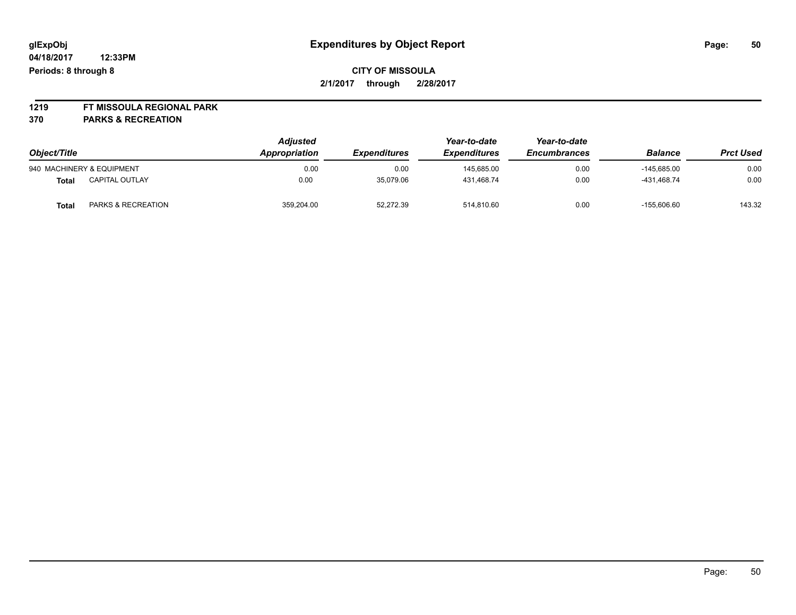# **1219 FT MISSOULA REGIONAL PARK**

**370 PARKS & RECREATION**

| Object/Title |                           | <b>Adjusted</b><br>Appropriation | <i><b>Expenditures</b></i> | Year-to-date<br><b>Expenditures</b> | Year-to-date<br><b>Encumbrances</b> | <b>Balance</b> | <b>Prct Used</b> |
|--------------|---------------------------|----------------------------------|----------------------------|-------------------------------------|-------------------------------------|----------------|------------------|
|              | 940 MACHINERY & EQUIPMENT | 0.00                             | 0.00                       | 145.685.00                          | 0.00                                | $-145.685.00$  | 0.00             |
| Total        | <b>CAPITAL OUTLAY</b>     | 0.00                             | 35,079.06                  | 431.468.74                          | 0.00                                | -431.468.74    | 0.00             |
| <b>Total</b> | PARKS & RECREATION        | 359,204.00                       | 52,272.39                  | 514,810.60                          | 0.00                                | $-155.606.60$  | 143.32           |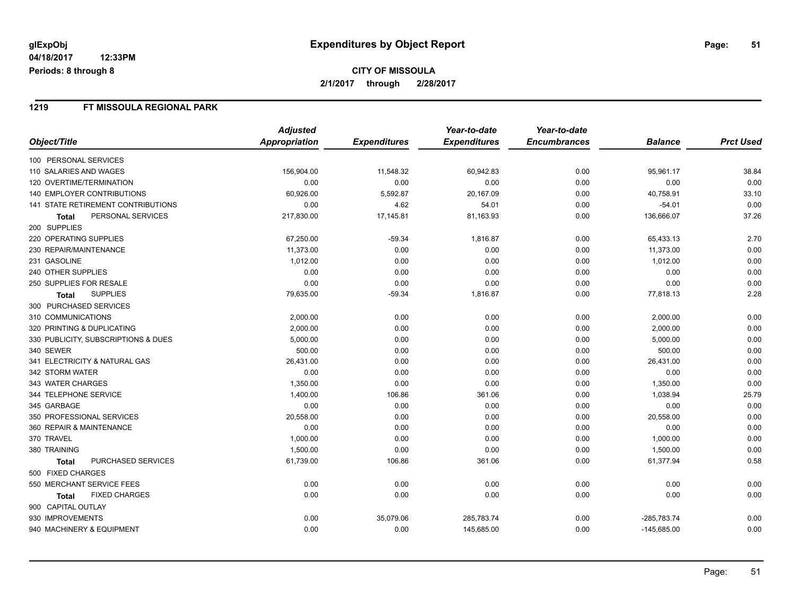## **CITY OF MISSOULA 2/1/2017 through 2/28/2017**

#### **1219 FT MISSOULA REGIONAL PARK**

|                                           | <b>Adjusted</b>      |                     | Year-to-date        | Year-to-date        |                |                  |
|-------------------------------------------|----------------------|---------------------|---------------------|---------------------|----------------|------------------|
| Object/Title                              | <b>Appropriation</b> | <b>Expenditures</b> | <b>Expenditures</b> | <b>Encumbrances</b> | <b>Balance</b> | <b>Prct Used</b> |
| 100 PERSONAL SERVICES                     |                      |                     |                     |                     |                |                  |
| 110 SALARIES AND WAGES                    | 156,904.00           | 11,548.32           | 60,942.83           | 0.00                | 95,961.17      | 38.84            |
| 120 OVERTIME/TERMINATION                  | 0.00                 | 0.00                | 0.00                | 0.00                | 0.00           | 0.00             |
| <b>140 EMPLOYER CONTRIBUTIONS</b>         | 60,926.00            | 5,592.87            | 20,167.09           | 0.00                | 40,758.91      | 33.10            |
| <b>141 STATE RETIREMENT CONTRIBUTIONS</b> | 0.00                 | 4.62                | 54.01               | 0.00                | $-54.01$       | 0.00             |
| PERSONAL SERVICES<br>Total                | 217,830.00           | 17,145.81           | 81,163.93           | 0.00                | 136,666.07     | 37.26            |
| 200 SUPPLIES                              |                      |                     |                     |                     |                |                  |
| 220 OPERATING SUPPLIES                    | 67,250.00            | $-59.34$            | 1,816.87            | 0.00                | 65,433.13      | 2.70             |
| 230 REPAIR/MAINTENANCE                    | 11,373.00            | 0.00                | 0.00                | 0.00                | 11,373.00      | 0.00             |
| 231 GASOLINE                              | 1,012.00             | 0.00                | 0.00                | 0.00                | 1,012.00       | 0.00             |
| 240 OTHER SUPPLIES                        | 0.00                 | 0.00                | 0.00                | 0.00                | 0.00           | 0.00             |
| 250 SUPPLIES FOR RESALE                   | 0.00                 | 0.00                | 0.00                | 0.00                | 0.00           | 0.00             |
| <b>SUPPLIES</b><br><b>Total</b>           | 79,635.00            | $-59.34$            | 1,816.87            | 0.00                | 77,818.13      | 2.28             |
| 300 PURCHASED SERVICES                    |                      |                     |                     |                     |                |                  |
| 310 COMMUNICATIONS                        | 2,000.00             | 0.00                | 0.00                | 0.00                | 2,000.00       | 0.00             |
| 320 PRINTING & DUPLICATING                | 2,000.00             | 0.00                | 0.00                | 0.00                | 2,000.00       | 0.00             |
| 330 PUBLICITY, SUBSCRIPTIONS & DUES       | 5,000.00             | 0.00                | 0.00                | 0.00                | 5,000.00       | 0.00             |
| 340 SEWER                                 | 500.00               | 0.00                | 0.00                | 0.00                | 500.00         | 0.00             |
| 341 ELECTRICITY & NATURAL GAS             | 26,431.00            | 0.00                | 0.00                | 0.00                | 26,431.00      | 0.00             |
| 342 STORM WATER                           | 0.00                 | 0.00                | 0.00                | 0.00                | 0.00           | 0.00             |
| 343 WATER CHARGES                         | 1,350.00             | 0.00                | 0.00                | 0.00                | 1,350.00       | 0.00             |
| 344 TELEPHONE SERVICE                     | 1,400.00             | 106.86              | 361.06              | 0.00                | 1,038.94       | 25.79            |
| 345 GARBAGE                               | 0.00                 | 0.00                | 0.00                | 0.00                | 0.00           | 0.00             |
| 350 PROFESSIONAL SERVICES                 | 20,558.00            | 0.00                | 0.00                | 0.00                | 20,558.00      | 0.00             |
| 360 REPAIR & MAINTENANCE                  | 0.00                 | 0.00                | 0.00                | 0.00                | 0.00           | 0.00             |
| 370 TRAVEL                                | 1,000.00             | 0.00                | 0.00                | 0.00                | 1,000.00       | 0.00             |
| 380 TRAINING                              | 1,500.00             | 0.00                | 0.00                | 0.00                | 1,500.00       | 0.00             |
| PURCHASED SERVICES<br><b>Total</b>        | 61,739.00            | 106.86              | 361.06              | 0.00                | 61,377.94      | 0.58             |
| 500 FIXED CHARGES                         |                      |                     |                     |                     |                |                  |
| 550 MERCHANT SERVICE FEES                 | 0.00                 | 0.00                | 0.00                | 0.00                | 0.00           | 0.00             |
| <b>FIXED CHARGES</b><br>Total             | 0.00                 | 0.00                | 0.00                | 0.00                | 0.00           | 0.00             |
| 900 CAPITAL OUTLAY                        |                      |                     |                     |                     |                |                  |
| 930 IMPROVEMENTS                          | 0.00                 | 35,079.06           | 285,783.74          | 0.00                | $-285,783.74$  | 0.00             |
| 940 MACHINERY & EQUIPMENT                 | 0.00                 | 0.00                | 145,685.00          | 0.00                | $-145,685.00$  | 0.00             |

Page: 51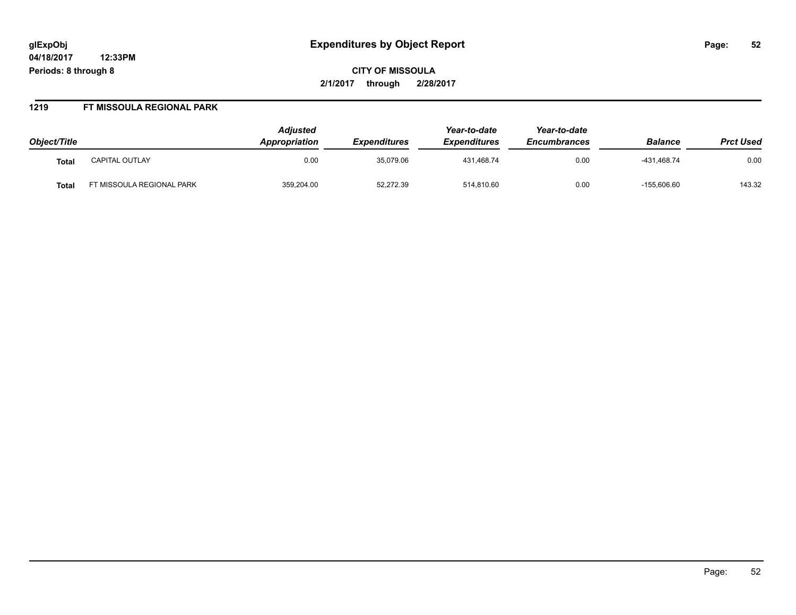## **glExpObj Expenditures by Object Report Page: 52**

**04/18/2017 12:33PM Periods: 8 through 8**

**CITY OF MISSOULA 2/1/2017 through 2/28/2017**

#### **1219 FT MISSOULA REGIONAL PARK**

| Object/Title      |                           | <b>Adjusted</b><br><b>Appropriation</b> | <i><b>Expenditures</b></i> | Year-to-date<br><b>Expenditures</b> | Year-to-date<br><b>Encumbrances</b> | <b>Balance</b> | <b>Prct Used</b> |
|-------------------|---------------------------|-----------------------------------------|----------------------------|-------------------------------------|-------------------------------------|----------------|------------------|
| Tota <sub>l</sub> | <b>CAPITAL OUTLAY</b>     | 0.00                                    | 35,079.06                  | 431.468.74                          | 0.00                                | -431.468.74    | 0.00             |
| Tota.             | FT MISSOULA REGIONAL PARK | 359,204.00                              | 52,272.39                  | 514,810.60                          | 0.00                                | $-155,606.60$  | 143.32           |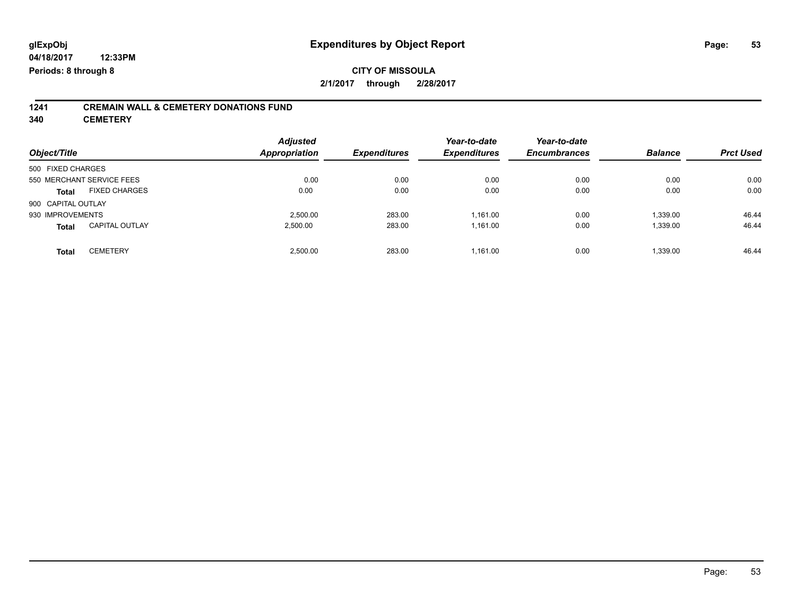### **CITY OF MISSOULA 2/1/2017 through 2/28/2017**

# **1241 CREMAIN WALL & CEMETERY DONATIONS FUND**

**340 CEMETERY**

| Object/Title                          | <b>Adjusted</b><br><b>Appropriation</b> | <b>Expenditures</b> | Year-to-date<br><b>Expenditures</b> | Year-to-date<br><b>Encumbrances</b> | <b>Balance</b> | <b>Prct Used</b> |
|---------------------------------------|-----------------------------------------|---------------------|-------------------------------------|-------------------------------------|----------------|------------------|
| 500 FIXED CHARGES                     |                                         |                     |                                     |                                     |                |                  |
| 550 MERCHANT SERVICE FEES             | 0.00                                    | 0.00                | 0.00                                | 0.00                                | 0.00           | 0.00             |
| <b>FIXED CHARGES</b><br><b>Total</b>  | 0.00                                    | 0.00                | 0.00                                | 0.00                                | 0.00           | 0.00             |
| 900 CAPITAL OUTLAY                    |                                         |                     |                                     |                                     |                |                  |
| 930 IMPROVEMENTS                      | 2.500.00                                | 283.00              | 1.161.00                            | 0.00                                | 1,339.00       | 46.44            |
| <b>CAPITAL OUTLAY</b><br><b>Total</b> | 2.500.00                                | 283.00              | 1.161.00                            | 0.00                                | 1,339.00       | 46.44            |
| <b>CEMETERY</b><br><b>Total</b>       | 2.500.00                                | 283.00              | 1.161.00                            | 0.00                                | 1,339.00       | 46.44            |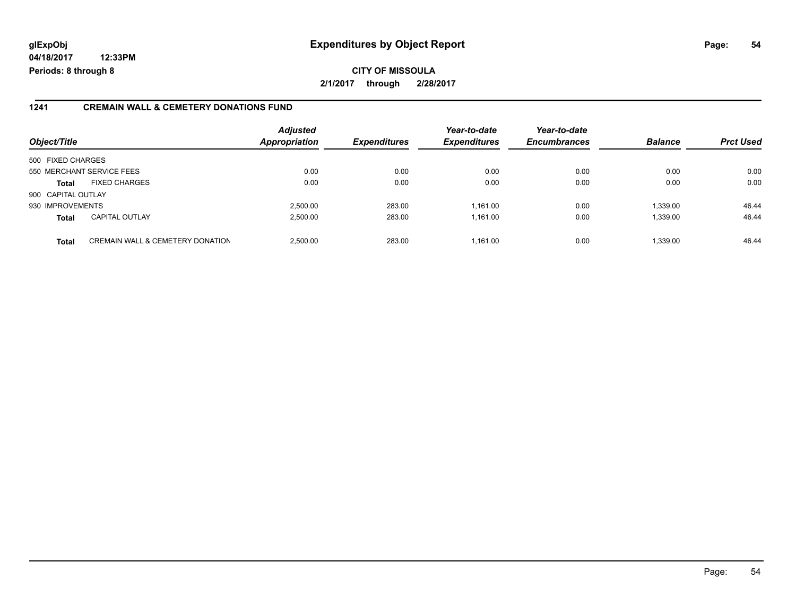## **glExpObj Expenditures by Object Report Page: 54**

**04/18/2017 12:33PM Periods: 8 through 8**

**CITY OF MISSOULA 2/1/2017 through 2/28/2017**

#### **1241 CREMAIN WALL & CEMETERY DONATIONS FUND**

| Object/Title       |                                             | <b>Adjusted</b><br><b>Appropriation</b> | <b>Expenditures</b> | Year-to-date<br><b>Expenditures</b> | Year-to-date<br><b>Encumbrances</b> | <b>Balance</b> | <b>Prct Used</b> |
|--------------------|---------------------------------------------|-----------------------------------------|---------------------|-------------------------------------|-------------------------------------|----------------|------------------|
| 500 FIXED CHARGES  |                                             |                                         |                     |                                     |                                     |                |                  |
|                    | 550 MERCHANT SERVICE FEES                   | 0.00                                    | 0.00                | 0.00                                | 0.00                                | 0.00           | 0.00             |
| <b>Total</b>       | <b>FIXED CHARGES</b>                        | 0.00                                    | 0.00                | 0.00                                | 0.00                                | 0.00           | 0.00             |
| 900 CAPITAL OUTLAY |                                             |                                         |                     |                                     |                                     |                |                  |
| 930 IMPROVEMENTS   |                                             | 2.500.00                                | 283.00              | 1.161.00                            | 0.00                                | 1,339.00       | 46.44            |
| <b>Total</b>       | <b>CAPITAL OUTLAY</b>                       | 2.500.00                                | 283.00              | 1.161.00                            | 0.00                                | 1.339.00       | 46.44            |
| <b>Total</b>       | <b>CREMAIN WALL &amp; CEMETERY DONATION</b> | 2,500.00                                | 283.00              | 1.161.00                            | 0.00                                | 1,339.00       | 46.44            |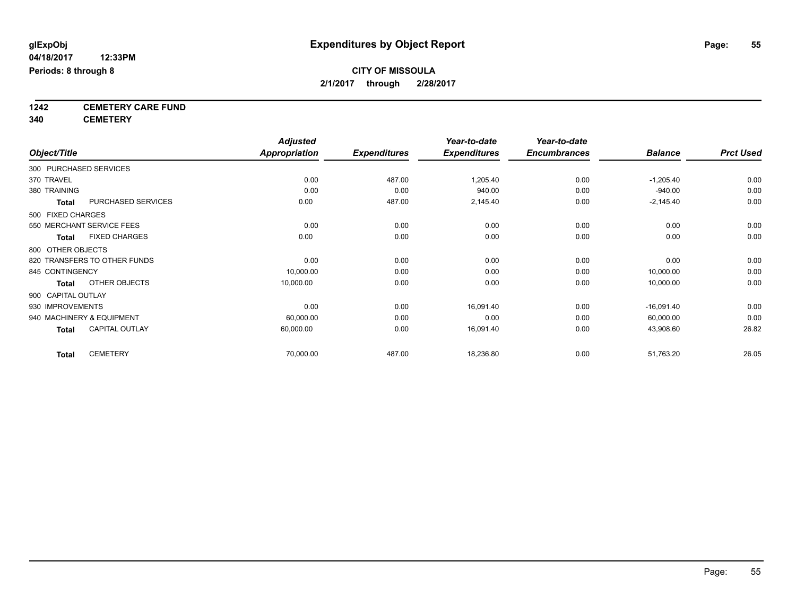**1242 CEMETERY CARE FUND**

**340 CEMETERY**

|                                       | <b>Adjusted</b> |                     | Year-to-date        | Year-to-date        |                |                  |
|---------------------------------------|-----------------|---------------------|---------------------|---------------------|----------------|------------------|
| Object/Title                          | Appropriation   | <b>Expenditures</b> | <b>Expenditures</b> | <b>Encumbrances</b> | <b>Balance</b> | <b>Prct Used</b> |
| 300 PURCHASED SERVICES                |                 |                     |                     |                     |                |                  |
| 370 TRAVEL                            | 0.00            | 487.00              | 1,205.40            | 0.00                | $-1,205.40$    | 0.00             |
| 380 TRAINING                          | 0.00            | 0.00                | 940.00              | 0.00                | $-940.00$      | 0.00             |
| PURCHASED SERVICES<br><b>Total</b>    | 0.00            | 487.00              | 2,145.40            | 0.00                | $-2,145.40$    | 0.00             |
| 500 FIXED CHARGES                     |                 |                     |                     |                     |                |                  |
| 550 MERCHANT SERVICE FEES             | 0.00            | 0.00                | 0.00                | 0.00                | 0.00           | 0.00             |
| <b>FIXED CHARGES</b><br><b>Total</b>  | 0.00            | 0.00                | 0.00                | 0.00                | 0.00           | 0.00             |
| 800 OTHER OBJECTS                     |                 |                     |                     |                     |                |                  |
| 820 TRANSFERS TO OTHER FUNDS          | 0.00            | 0.00                | 0.00                | 0.00                | 0.00           | 0.00             |
| 845 CONTINGENCY                       | 10,000.00       | 0.00                | 0.00                | 0.00                | 10,000.00      | 0.00             |
| OTHER OBJECTS<br><b>Total</b>         | 10,000.00       | 0.00                | 0.00                | 0.00                | 10,000.00      | 0.00             |
| 900 CAPITAL OUTLAY                    |                 |                     |                     |                     |                |                  |
| 930 IMPROVEMENTS                      | 0.00            | 0.00                | 16,091.40           | 0.00                | $-16,091.40$   | 0.00             |
| 940 MACHINERY & EQUIPMENT             | 60,000.00       | 0.00                | 0.00                | 0.00                | 60,000.00      | 0.00             |
| <b>CAPITAL OUTLAY</b><br><b>Total</b> | 60,000.00       | 0.00                | 16,091.40           | 0.00                | 43,908.60      | 26.82            |
| <b>CEMETERY</b><br><b>Total</b>       | 70,000.00       | 487.00              | 18,236.80           | 0.00                | 51,763.20      | 26.05            |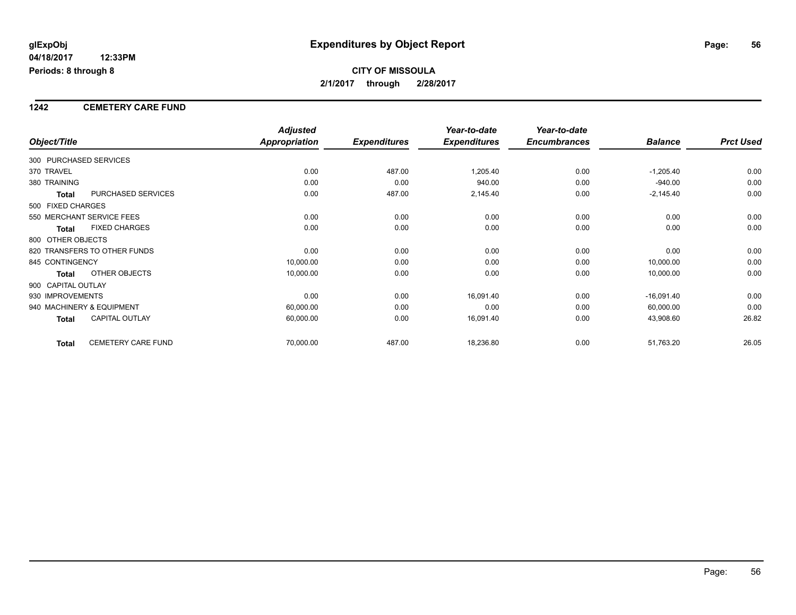## **CITY OF MISSOULA 2/1/2017 through 2/28/2017**

#### **1242 CEMETERY CARE FUND**

|                        |                              | <b>Adjusted</b> |                     | Year-to-date        | Year-to-date        |                |                  |
|------------------------|------------------------------|-----------------|---------------------|---------------------|---------------------|----------------|------------------|
| Object/Title           |                              | Appropriation   | <b>Expenditures</b> | <b>Expenditures</b> | <b>Encumbrances</b> | <b>Balance</b> | <b>Prct Used</b> |
| 300 PURCHASED SERVICES |                              |                 |                     |                     |                     |                |                  |
| 370 TRAVEL             |                              | 0.00            | 487.00              | 1,205.40            | 0.00                | $-1,205.40$    | 0.00             |
| 380 TRAINING           |                              | 0.00            | 0.00                | 940.00              | 0.00                | $-940.00$      | 0.00             |
| <b>Total</b>           | PURCHASED SERVICES           | 0.00            | 487.00              | 2,145.40            | 0.00                | $-2,145.40$    | 0.00             |
| 500 FIXED CHARGES      |                              |                 |                     |                     |                     |                |                  |
|                        | 550 MERCHANT SERVICE FEES    | 0.00            | 0.00                | 0.00                | 0.00                | 0.00           | 0.00             |
| <b>Total</b>           | <b>FIXED CHARGES</b>         | 0.00            | 0.00                | 0.00                | 0.00                | 0.00           | 0.00             |
| 800 OTHER OBJECTS      |                              |                 |                     |                     |                     |                |                  |
|                        | 820 TRANSFERS TO OTHER FUNDS | 0.00            | 0.00                | 0.00                | 0.00                | 0.00           | 0.00             |
| 845 CONTINGENCY        |                              | 10,000.00       | 0.00                | 0.00                | 0.00                | 10,000.00      | 0.00             |
| <b>Total</b>           | OTHER OBJECTS                | 10,000.00       | 0.00                | 0.00                | 0.00                | 10,000.00      | 0.00             |
| 900 CAPITAL OUTLAY     |                              |                 |                     |                     |                     |                |                  |
| 930 IMPROVEMENTS       |                              | 0.00            | 0.00                | 16,091.40           | 0.00                | $-16,091.40$   | 0.00             |
|                        | 940 MACHINERY & EQUIPMENT    | 60,000.00       | 0.00                | 0.00                | 0.00                | 60,000.00      | 0.00             |
| <b>Total</b>           | <b>CAPITAL OUTLAY</b>        | 60,000.00       | 0.00                | 16,091.40           | 0.00                | 43,908.60      | 26.82            |
| <b>Total</b>           | CEMETERY CARE FUND           | 70,000.00       | 487.00              | 18,236.80           | 0.00                | 51,763.20      | 26.05            |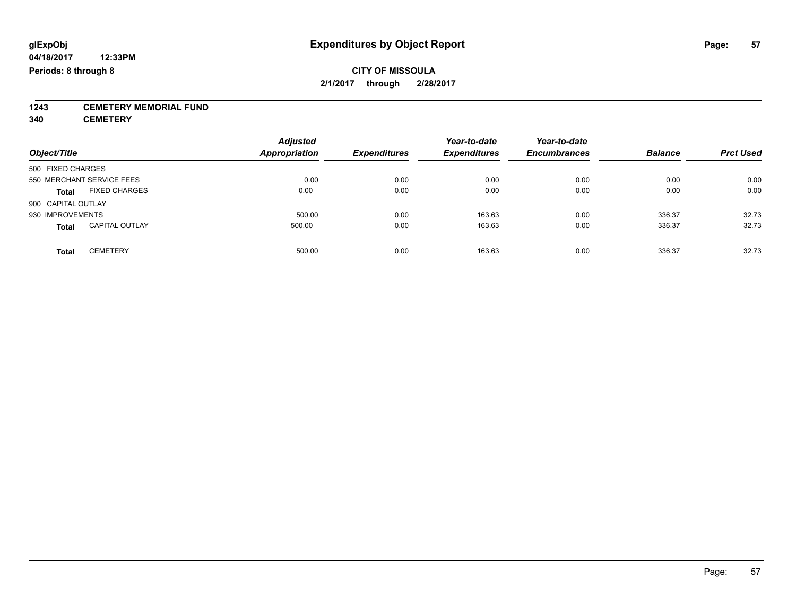**1243 CEMETERY MEMORIAL FUND**

**340 CEMETERY**

| Object/Title                          | <b>Adjusted</b><br><b>Appropriation</b> | <b>Expenditures</b> | Year-to-date<br><b>Expenditures</b> | Year-to-date<br><b>Encumbrances</b> | <b>Balance</b> | <b>Prct Used</b> |
|---------------------------------------|-----------------------------------------|---------------------|-------------------------------------|-------------------------------------|----------------|------------------|
| 500 FIXED CHARGES                     |                                         |                     |                                     |                                     |                |                  |
| 550 MERCHANT SERVICE FEES             | 0.00                                    | 0.00                | 0.00                                | 0.00                                | 0.00           | 0.00             |
| <b>FIXED CHARGES</b><br><b>Total</b>  | 0.00                                    | 0.00                | 0.00                                | 0.00                                | 0.00           | 0.00             |
| 900 CAPITAL OUTLAY                    |                                         |                     |                                     |                                     |                |                  |
| 930 IMPROVEMENTS                      | 500.00                                  | 0.00                | 163.63                              | 0.00                                | 336.37         | 32.73            |
| <b>CAPITAL OUTLAY</b><br><b>Total</b> | 500.00                                  | 0.00                | 163.63                              | 0.00                                | 336.37         | 32.73            |
| <b>CEMETERY</b><br>Total              | 500.00                                  | 0.00                | 163.63                              | 0.00                                | 336.37         | 32.73            |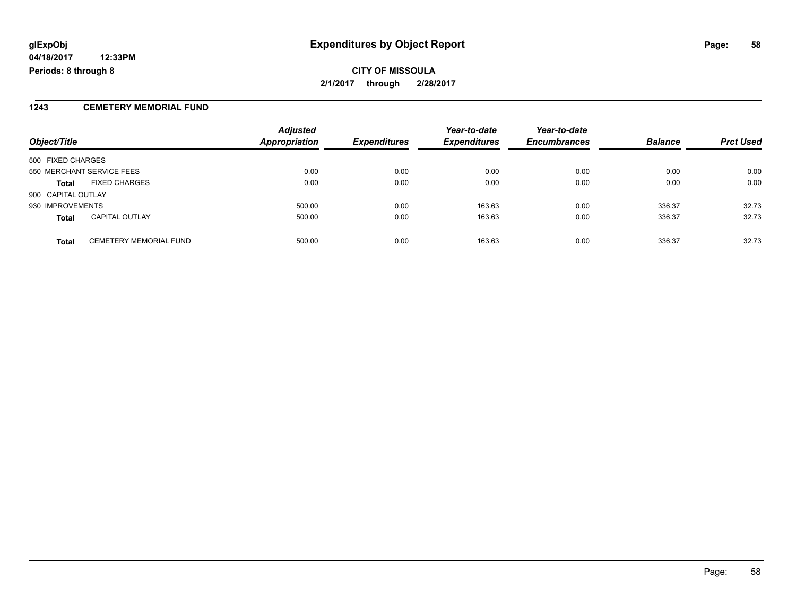**CITY OF MISSOULA 2/1/2017 through 2/28/2017**

#### **1243 CEMETERY MEMORIAL FUND**

| Object/Title                                  | <b>Adjusted</b><br><b>Appropriation</b> | <b>Expenditures</b> | Year-to-date<br><b>Expenditures</b> | Year-to-date<br><b>Encumbrances</b> | <b>Balance</b> | <b>Prct Used</b> |
|-----------------------------------------------|-----------------------------------------|---------------------|-------------------------------------|-------------------------------------|----------------|------------------|
| 500 FIXED CHARGES                             |                                         |                     |                                     |                                     |                |                  |
| 550 MERCHANT SERVICE FEES                     | 0.00                                    | 0.00                | 0.00                                | 0.00                                | 0.00           | 0.00             |
| <b>FIXED CHARGES</b><br><b>Total</b>          | 0.00                                    | 0.00                | 0.00                                | 0.00                                | 0.00           | 0.00             |
| 900 CAPITAL OUTLAY                            |                                         |                     |                                     |                                     |                |                  |
| 930 IMPROVEMENTS                              | 500.00                                  | 0.00                | 163.63                              | 0.00                                | 336.37         | 32.73            |
| <b>CAPITAL OUTLAY</b><br><b>Total</b>         | 500.00                                  | 0.00                | 163.63                              | 0.00                                | 336.37         | 32.73            |
| <b>CEMETERY MEMORIAL FUND</b><br><b>Total</b> | 500.00                                  | 0.00                | 163.63                              | 0.00                                | 336.37         | 32.73            |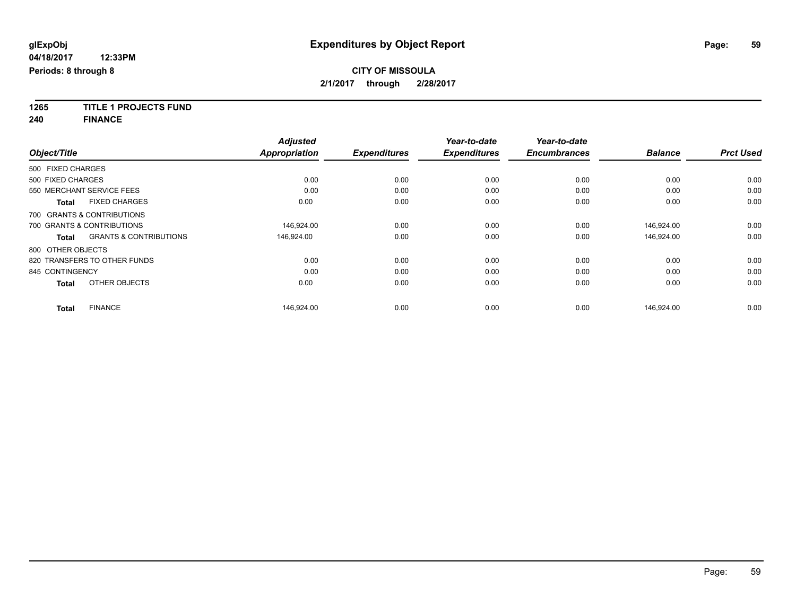**1265 TITLE 1 PROJECTS FUND**

**240 FINANCE**

|                   |                                   | <b>Adjusted</b>      |                     | Year-to-date        | Year-to-date        |                |                  |
|-------------------|-----------------------------------|----------------------|---------------------|---------------------|---------------------|----------------|------------------|
| Object/Title      |                                   | <b>Appropriation</b> | <b>Expenditures</b> | <b>Expenditures</b> | <b>Encumbrances</b> | <b>Balance</b> | <b>Prct Used</b> |
| 500 FIXED CHARGES |                                   |                      |                     |                     |                     |                |                  |
| 500 FIXED CHARGES |                                   | 0.00                 | 0.00                | 0.00                | 0.00                | 0.00           | 0.00             |
|                   | 550 MERCHANT SERVICE FEES         | 0.00                 | 0.00                | 0.00                | 0.00                | 0.00           | 0.00             |
| <b>Total</b>      | <b>FIXED CHARGES</b>              | 0.00                 | 0.00                | 0.00                | 0.00                | 0.00           | 0.00             |
|                   | 700 GRANTS & CONTRIBUTIONS        |                      |                     |                     |                     |                |                  |
|                   | 700 GRANTS & CONTRIBUTIONS        | 146,924.00           | 0.00                | 0.00                | 0.00                | 146,924.00     | 0.00             |
| <b>Total</b>      | <b>GRANTS &amp; CONTRIBUTIONS</b> | 146,924.00           | 0.00                | 0.00                | 0.00                | 146,924.00     | 0.00             |
| 800 OTHER OBJECTS |                                   |                      |                     |                     |                     |                |                  |
|                   | 820 TRANSFERS TO OTHER FUNDS      | 0.00                 | 0.00                | 0.00                | 0.00                | 0.00           | 0.00             |
| 845 CONTINGENCY   |                                   | 0.00                 | 0.00                | 0.00                | 0.00                | 0.00           | 0.00             |
| <b>Total</b>      | OTHER OBJECTS                     | 0.00                 | 0.00                | 0.00                | 0.00                | 0.00           | 0.00             |
| <b>Total</b>      | <b>FINANCE</b>                    | 146,924.00           | 0.00                | 0.00                | 0.00                | 146.924.00     | 0.00             |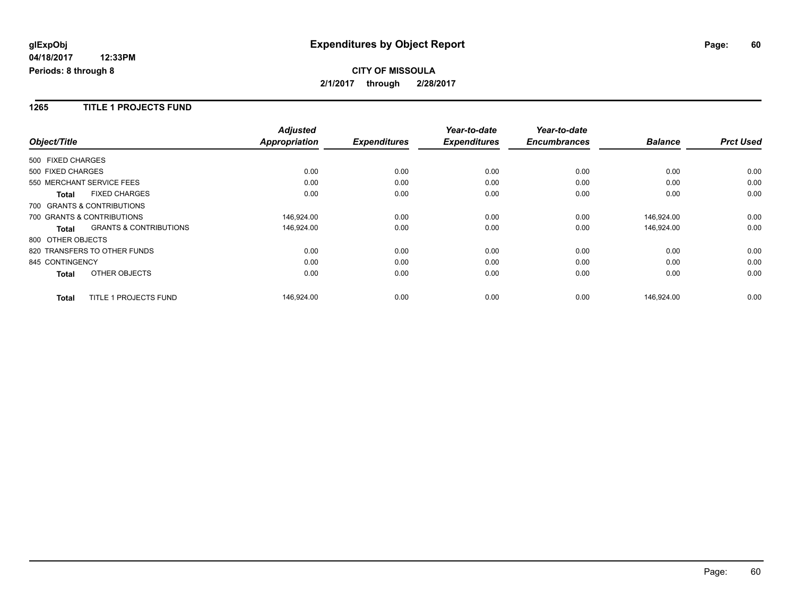## **CITY OF MISSOULA 2/1/2017 through 2/28/2017**

#### **1265 TITLE 1 PROJECTS FUND**

|                   |                                   | <b>Adjusted</b>      |                     | Year-to-date        | Year-to-date        |                |                  |
|-------------------|-----------------------------------|----------------------|---------------------|---------------------|---------------------|----------------|------------------|
| Object/Title      |                                   | <b>Appropriation</b> | <b>Expenditures</b> | <b>Expenditures</b> | <b>Encumbrances</b> | <b>Balance</b> | <b>Prct Used</b> |
| 500 FIXED CHARGES |                                   |                      |                     |                     |                     |                |                  |
| 500 FIXED CHARGES |                                   | 0.00                 | 0.00                | 0.00                | 0.00                | 0.00           | 0.00             |
|                   | 550 MERCHANT SERVICE FEES         | 0.00                 | 0.00                | 0.00                | 0.00                | 0.00           | 0.00             |
| <b>Total</b>      | <b>FIXED CHARGES</b>              | 0.00                 | 0.00                | 0.00                | 0.00                | 0.00           | 0.00             |
|                   | 700 GRANTS & CONTRIBUTIONS        |                      |                     |                     |                     |                |                  |
|                   | 700 GRANTS & CONTRIBUTIONS        | 146,924.00           | 0.00                | 0.00                | 0.00                | 146,924.00     | 0.00             |
| <b>Total</b>      | <b>GRANTS &amp; CONTRIBUTIONS</b> | 146,924.00           | 0.00                | 0.00                | 0.00                | 146,924.00     | 0.00             |
| 800 OTHER OBJECTS |                                   |                      |                     |                     |                     |                |                  |
|                   | 820 TRANSFERS TO OTHER FUNDS      | 0.00                 | 0.00                | 0.00                | 0.00                | 0.00           | 0.00             |
| 845 CONTINGENCY   |                                   | 0.00                 | 0.00                | 0.00                | 0.00                | 0.00           | 0.00             |
| <b>Total</b>      | OTHER OBJECTS                     | 0.00                 | 0.00                | 0.00                | 0.00                | 0.00           | 0.00             |
| <b>Total</b>      | <b>TITLE 1 PROJECTS FUND</b>      | 146,924.00           | 0.00                | 0.00                | 0.00                | 146,924.00     | 0.00             |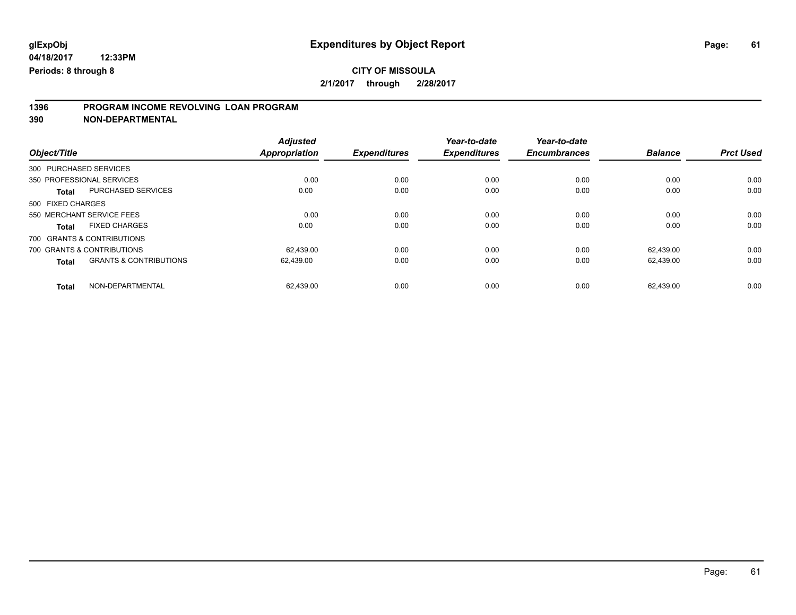# **1396 PROGRAM INCOME REVOLVING LOAN PROGRAM**

**390 NON-DEPARTMENTAL**

| Object/Title      |                                   | <b>Adjusted</b><br><b>Appropriation</b> | <b>Expenditures</b> | Year-to-date<br><b>Expenditures</b> | Year-to-date<br><b>Encumbrances</b> | <b>Balance</b> | <b>Prct Used</b> |
|-------------------|-----------------------------------|-----------------------------------------|---------------------|-------------------------------------|-------------------------------------|----------------|------------------|
|                   | 300 PURCHASED SERVICES            |                                         |                     |                                     |                                     |                |                  |
|                   | 350 PROFESSIONAL SERVICES         | 0.00                                    | 0.00                | 0.00                                | 0.00                                | 0.00           | 0.00             |
| <b>Total</b>      | PURCHASED SERVICES                | 0.00                                    | 0.00                | 0.00                                | 0.00                                | 0.00           | 0.00             |
| 500 FIXED CHARGES |                                   |                                         |                     |                                     |                                     |                |                  |
|                   | 550 MERCHANT SERVICE FEES         | 0.00                                    | 0.00                | 0.00                                | 0.00                                | 0.00           | 0.00             |
| <b>Total</b>      | <b>FIXED CHARGES</b>              | 0.00                                    | 0.00                | 0.00                                | 0.00                                | 0.00           | 0.00             |
|                   | 700 GRANTS & CONTRIBUTIONS        |                                         |                     |                                     |                                     |                |                  |
|                   | 700 GRANTS & CONTRIBUTIONS        | 62.439.00                               | 0.00                | 0.00                                | 0.00                                | 62.439.00      | 0.00             |
| <b>Total</b>      | <b>GRANTS &amp; CONTRIBUTIONS</b> | 62,439.00                               | 0.00                | 0.00                                | 0.00                                | 62.439.00      | 0.00             |
| Total             | NON-DEPARTMENTAL                  | 62.439.00                               | 0.00                | 0.00                                | 0.00                                | 62.439.00      | 0.00             |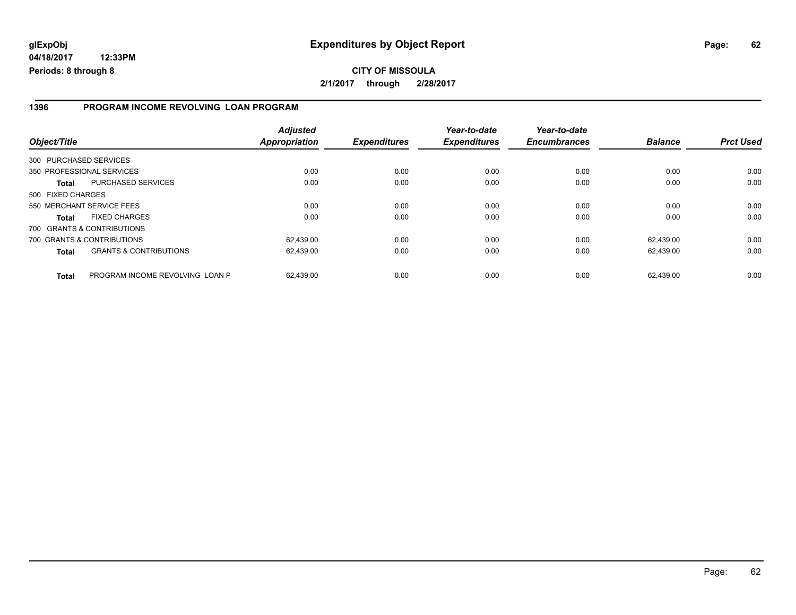#### **1396 PROGRAM INCOME REVOLVING LOAN PROGRAM**

| Object/Title           |                                   | <b>Adjusted</b><br><b>Appropriation</b> | <b>Expenditures</b> | Year-to-date<br><b>Expenditures</b> | Year-to-date<br><b>Encumbrances</b> | <b>Balance</b> | <b>Prct Used</b> |
|------------------------|-----------------------------------|-----------------------------------------|---------------------|-------------------------------------|-------------------------------------|----------------|------------------|
| 300 PURCHASED SERVICES |                                   |                                         |                     |                                     |                                     |                |                  |
|                        | 350 PROFESSIONAL SERVICES         | 0.00                                    | 0.00                | 0.00                                | 0.00                                | 0.00           | 0.00             |
| <b>Total</b>           | PURCHASED SERVICES                | 0.00                                    | 0.00                | 0.00                                | 0.00                                | 0.00           | 0.00             |
| 500 FIXED CHARGES      |                                   |                                         |                     |                                     |                                     |                |                  |
|                        | 550 MERCHANT SERVICE FEES         | 0.00                                    | 0.00                | 0.00                                | 0.00                                | 0.00           | 0.00             |
| <b>Total</b>           | <b>FIXED CHARGES</b>              | 0.00                                    | 0.00                | 0.00                                | 0.00                                | 0.00           | 0.00             |
|                        | 700 GRANTS & CONTRIBUTIONS        |                                         |                     |                                     |                                     |                |                  |
|                        | 700 GRANTS & CONTRIBUTIONS        | 62.439.00                               | 0.00                | 0.00                                | 0.00                                | 62.439.00      | 0.00             |
| <b>Total</b>           | <b>GRANTS &amp; CONTRIBUTIONS</b> | 62,439.00                               | 0.00                | 0.00                                | 0.00                                | 62,439.00      | 0.00             |
| <b>Total</b>           | PROGRAM INCOME REVOLVING LOAN P   | 62.439.00                               | 0.00                | 0.00                                | 0.00                                | 62.439.00      | 0.00             |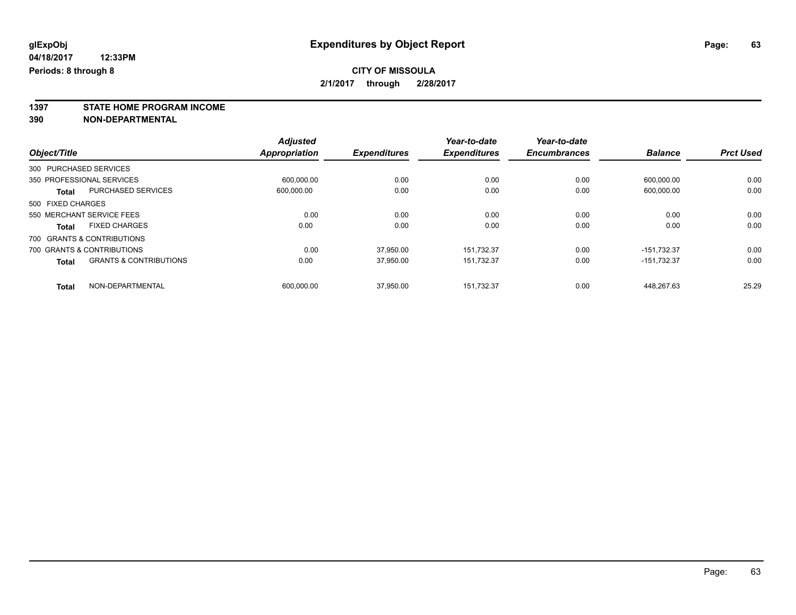**1397 STATE HOME PROGRAM INCOME**

**390 NON-DEPARTMENTAL**

|                   |                                   | <b>Adjusted</b>      |                     | Year-to-date        | Year-to-date        |                |                  |
|-------------------|-----------------------------------|----------------------|---------------------|---------------------|---------------------|----------------|------------------|
| Object/Title      |                                   | <b>Appropriation</b> | <b>Expenditures</b> | <b>Expenditures</b> | <b>Encumbrances</b> | <b>Balance</b> | <b>Prct Used</b> |
|                   | 300 PURCHASED SERVICES            |                      |                     |                     |                     |                |                  |
|                   | 350 PROFESSIONAL SERVICES         | 600.000.00           | 0.00                | 0.00                | 0.00                | 600.000.00     | 0.00             |
| <b>Total</b>      | <b>PURCHASED SERVICES</b>         | 600.000.00           | 0.00                | 0.00                | 0.00                | 600,000.00     | 0.00             |
| 500 FIXED CHARGES |                                   |                      |                     |                     |                     |                |                  |
|                   | 550 MERCHANT SERVICE FEES         | 0.00                 | 0.00                | 0.00                | 0.00                | 0.00           | 0.00             |
| <b>Total</b>      | <b>FIXED CHARGES</b>              | 0.00                 | 0.00                | 0.00                | 0.00                | 0.00           | 0.00             |
|                   | 700 GRANTS & CONTRIBUTIONS        |                      |                     |                     |                     |                |                  |
|                   | 700 GRANTS & CONTRIBUTIONS        | 0.00                 | 37.950.00           | 151.732.37          | 0.00                | $-151.732.37$  | 0.00             |
| <b>Total</b>      | <b>GRANTS &amp; CONTRIBUTIONS</b> | 0.00                 | 37,950.00           | 151.732.37          | 0.00                | $-151.732.37$  | 0.00             |
| <b>Total</b>      | NON-DEPARTMENTAL                  | 600.000.00           | 37.950.00           | 151.732.37          | 0.00                | 448.267.63     | 25.29            |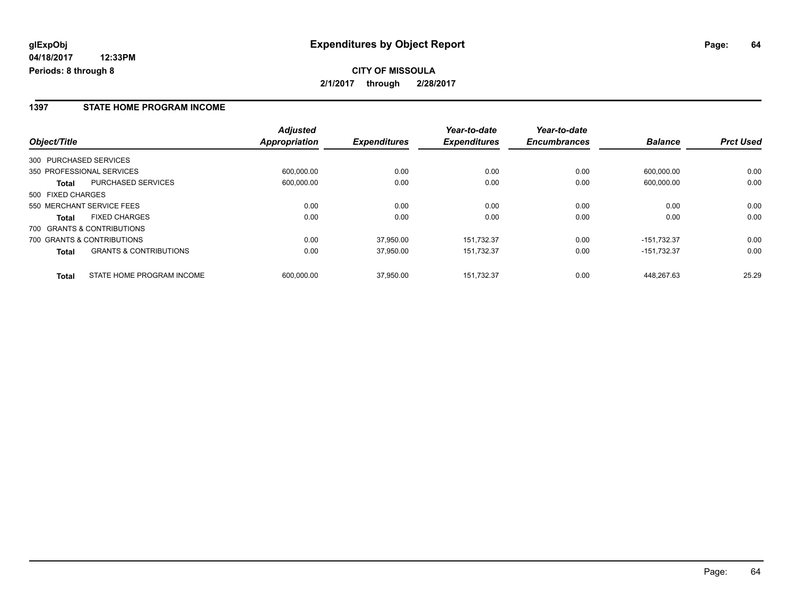**CITY OF MISSOULA 2/1/2017 through 2/28/2017**

#### **1397 STATE HOME PROGRAM INCOME**

|                                                   | <b>Adjusted</b> |                     | Year-to-date        | Year-to-date        |                |                  |
|---------------------------------------------------|-----------------|---------------------|---------------------|---------------------|----------------|------------------|
| Object/Title                                      | Appropriation   | <b>Expenditures</b> | <b>Expenditures</b> | <b>Encumbrances</b> | <b>Balance</b> | <b>Prct Used</b> |
| 300 PURCHASED SERVICES                            |                 |                     |                     |                     |                |                  |
| 350 PROFESSIONAL SERVICES                         | 600.000.00      | 0.00                | 0.00                | 0.00                | 600.000.00     | 0.00             |
| <b>PURCHASED SERVICES</b><br>Total                | 600,000.00      | 0.00                | 0.00                | 0.00                | 600,000.00     | 0.00             |
| 500 FIXED CHARGES                                 |                 |                     |                     |                     |                |                  |
| 550 MERCHANT SERVICE FEES                         | 0.00            | 0.00                | 0.00                | 0.00                | 0.00           | 0.00             |
| <b>FIXED CHARGES</b><br><b>Total</b>              | 0.00            | 0.00                | 0.00                | 0.00                | 0.00           | 0.00             |
| 700 GRANTS & CONTRIBUTIONS                        |                 |                     |                     |                     |                |                  |
| 700 GRANTS & CONTRIBUTIONS                        | 0.00            | 37.950.00           | 151.732.37          | 0.00                | $-151.732.37$  | 0.00             |
| <b>GRANTS &amp; CONTRIBUTIONS</b><br><b>Total</b> | 0.00            | 37.950.00           | 151.732.37          | 0.00                | $-151.732.37$  | 0.00             |
| STATE HOME PROGRAM INCOME<br><b>Total</b>         | 600.000.00      | 37.950.00           | 151.732.37          | 0.00                | 448.267.63     | 25.29            |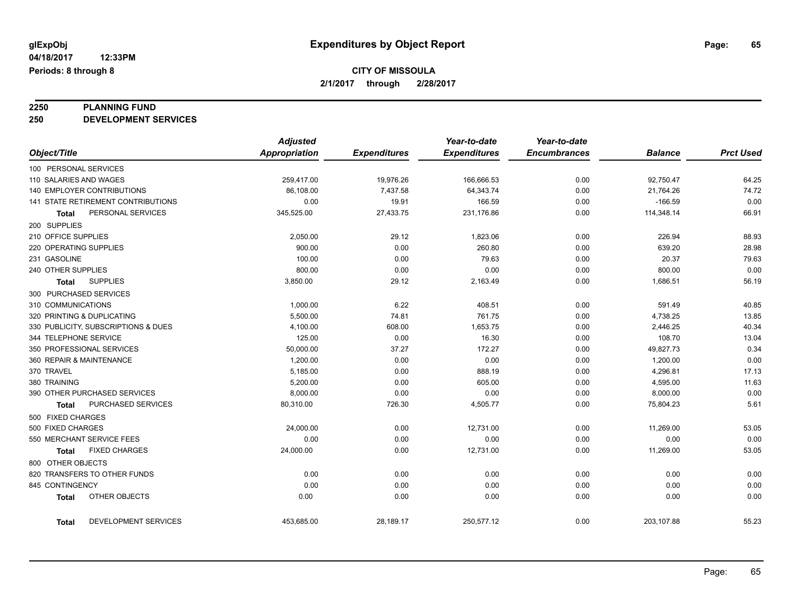# **2250 PLANNING FUND**

**250 DEVELOPMENT SERVICES**

|                                           | <b>Adjusted</b>      |                     | Year-to-date        | Year-to-date        |                |                  |
|-------------------------------------------|----------------------|---------------------|---------------------|---------------------|----------------|------------------|
| Object/Title                              | <b>Appropriation</b> | <b>Expenditures</b> | <b>Expenditures</b> | <b>Encumbrances</b> | <b>Balance</b> | <b>Prct Used</b> |
| 100 PERSONAL SERVICES                     |                      |                     |                     |                     |                |                  |
| 110 SALARIES AND WAGES                    | 259,417.00           | 19,976.26           | 166,666.53          | 0.00                | 92,750.47      | 64.25            |
| <b>140 EMPLOYER CONTRIBUTIONS</b>         | 86.108.00            | 7,437.58            | 64,343.74           | 0.00                | 21,764.26      | 74.72            |
| <b>141 STATE RETIREMENT CONTRIBUTIONS</b> | 0.00                 | 19.91               | 166.59              | 0.00                | $-166.59$      | 0.00             |
| PERSONAL SERVICES<br>Total                | 345,525.00           | 27,433.75           | 231,176.86          | 0.00                | 114,348.14     | 66.91            |
| 200 SUPPLIES                              |                      |                     |                     |                     |                |                  |
| 210 OFFICE SUPPLIES                       | 2,050.00             | 29.12               | 1,823.06            | 0.00                | 226.94         | 88.93            |
| 220 OPERATING SUPPLIES                    | 900.00               | 0.00                | 260.80              | 0.00                | 639.20         | 28.98            |
| 231 GASOLINE                              | 100.00               | 0.00                | 79.63               | 0.00                | 20.37          | 79.63            |
| 240 OTHER SUPPLIES                        | 800.00               | 0.00                | 0.00                | 0.00                | 800.00         | 0.00             |
| <b>SUPPLIES</b><br>Total                  | 3,850.00             | 29.12               | 2,163.49            | 0.00                | 1,686.51       | 56.19            |
| 300 PURCHASED SERVICES                    |                      |                     |                     |                     |                |                  |
| 310 COMMUNICATIONS                        | 1,000.00             | 6.22                | 408.51              | 0.00                | 591.49         | 40.85            |
| 320 PRINTING & DUPLICATING                | 5,500.00             | 74.81               | 761.75              | 0.00                | 4,738.25       | 13.85            |
| 330 PUBLICITY, SUBSCRIPTIONS & DUES       | 4,100.00             | 608.00              | 1,653.75            | 0.00                | 2,446.25       | 40.34            |
| 344 TELEPHONE SERVICE                     | 125.00               | 0.00                | 16.30               | 0.00                | 108.70         | 13.04            |
| 350 PROFESSIONAL SERVICES                 | 50,000.00            | 37.27               | 172.27              | 0.00                | 49,827.73      | 0.34             |
| 360 REPAIR & MAINTENANCE                  | 1,200.00             | 0.00                | 0.00                | 0.00                | 1,200.00       | 0.00             |
| 370 TRAVEL                                | 5,185.00             | 0.00                | 888.19              | 0.00                | 4,296.81       | 17.13            |
| 380 TRAINING                              | 5,200.00             | 0.00                | 605.00              | 0.00                | 4,595.00       | 11.63            |
| 390 OTHER PURCHASED SERVICES              | 8,000.00             | 0.00                | 0.00                | 0.00                | 8,000.00       | 0.00             |
| PURCHASED SERVICES<br>Total               | 80,310.00            | 726.30              | 4,505.77            | 0.00                | 75,804.23      | 5.61             |
| 500 FIXED CHARGES                         |                      |                     |                     |                     |                |                  |
| 500 FIXED CHARGES                         | 24,000.00            | 0.00                | 12,731.00           | 0.00                | 11,269.00      | 53.05            |
| 550 MERCHANT SERVICE FEES                 | 0.00                 | 0.00                | 0.00                | 0.00                | 0.00           | 0.00             |
| <b>FIXED CHARGES</b><br>Total             | 24,000.00            | 0.00                | 12,731.00           | 0.00                | 11,269.00      | 53.05            |
| 800 OTHER OBJECTS                         |                      |                     |                     |                     |                |                  |
| 820 TRANSFERS TO OTHER FUNDS              | 0.00                 | 0.00                | 0.00                | 0.00                | 0.00           | 0.00             |
| 845 CONTINGENCY                           | 0.00                 | 0.00                | 0.00                | 0.00                | 0.00           | 0.00             |
| OTHER OBJECTS<br><b>Total</b>             | 0.00                 | 0.00                | 0.00                | 0.00                | 0.00           | 0.00             |
| DEVELOPMENT SERVICES<br>Total             | 453,685.00           | 28,189.17           | 250,577.12          | 0.00                | 203,107.88     | 55.23            |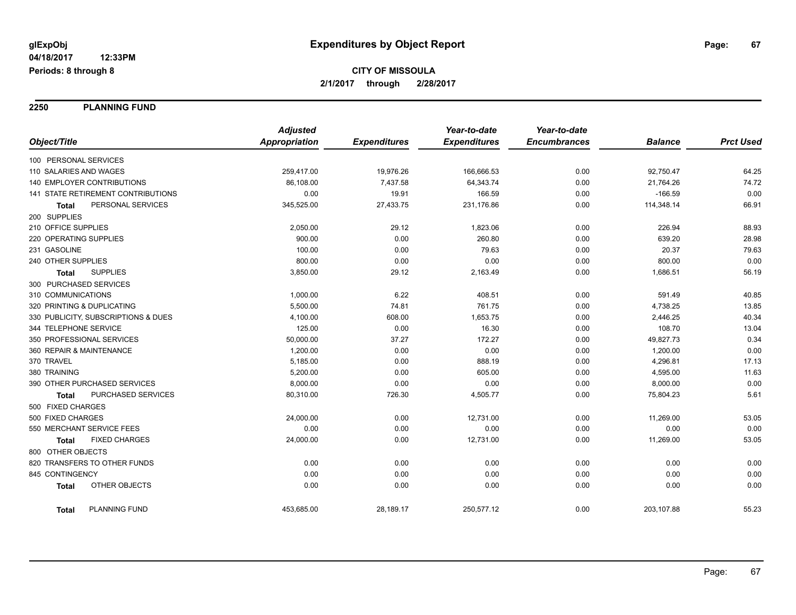**2250 PLANNING FUND**

|                                      | <b>Adjusted</b>      |                     | Year-to-date        | Year-to-date        |                |                  |
|--------------------------------------|----------------------|---------------------|---------------------|---------------------|----------------|------------------|
| Object/Title                         | <b>Appropriation</b> | <b>Expenditures</b> | <b>Expenditures</b> | <b>Encumbrances</b> | <b>Balance</b> | <b>Prct Used</b> |
| 100 PERSONAL SERVICES                |                      |                     |                     |                     |                |                  |
| 110 SALARIES AND WAGES               | 259,417.00           | 19,976.26           | 166,666.53          | 0.00                | 92,750.47      | 64.25            |
| 140 EMPLOYER CONTRIBUTIONS           | 86,108.00            | 7,437.58            | 64,343.74           | 0.00                | 21,764.26      | 74.72            |
| 141 STATE RETIREMENT CONTRIBUTIONS   | 0.00                 | 19.91               | 166.59              | 0.00                | $-166.59$      | 0.00             |
| PERSONAL SERVICES<br>Total           | 345,525.00           | 27,433.75           | 231,176.86          | 0.00                | 114,348.14     | 66.91            |
| 200 SUPPLIES                         |                      |                     |                     |                     |                |                  |
| 210 OFFICE SUPPLIES                  | 2,050.00             | 29.12               | 1,823.06            | 0.00                | 226.94         | 88.93            |
| 220 OPERATING SUPPLIES               | 900.00               | 0.00                | 260.80              | 0.00                | 639.20         | 28.98            |
| 231 GASOLINE                         | 100.00               | 0.00                | 79.63               | 0.00                | 20.37          | 79.63            |
| 240 OTHER SUPPLIES                   | 800.00               | 0.00                | 0.00                | 0.00                | 800.00         | 0.00             |
| <b>SUPPLIES</b><br>Total             | 3,850.00             | 29.12               | 2,163.49            | 0.00                | 1,686.51       | 56.19            |
| 300 PURCHASED SERVICES               |                      |                     |                     |                     |                |                  |
| 310 COMMUNICATIONS                   | 1,000.00             | 6.22                | 408.51              | 0.00                | 591.49         | 40.85            |
| 320 PRINTING & DUPLICATING           | 5,500.00             | 74.81               | 761.75              | 0.00                | 4,738.25       | 13.85            |
| 330 PUBLICITY, SUBSCRIPTIONS & DUES  | 4,100.00             | 608.00              | 1,653.75            | 0.00                | 2,446.25       | 40.34            |
| 344 TELEPHONE SERVICE                | 125.00               | 0.00                | 16.30               | 0.00                | 108.70         | 13.04            |
| 350 PROFESSIONAL SERVICES            | 50,000.00            | 37.27               | 172.27              | 0.00                | 49,827.73      | 0.34             |
| 360 REPAIR & MAINTENANCE             | 1,200.00             | 0.00                | 0.00                | 0.00                | 1,200.00       | 0.00             |
| 370 TRAVEL                           | 5,185.00             | 0.00                | 888.19              | 0.00                | 4,296.81       | 17.13            |
| 380 TRAINING                         | 5,200.00             | 0.00                | 605.00              | 0.00                | 4,595.00       | 11.63            |
| 390 OTHER PURCHASED SERVICES         | 8,000.00             | 0.00                | 0.00                | 0.00                | 8,000.00       | 0.00             |
| PURCHASED SERVICES<br>Total          | 80,310.00            | 726.30              | 4,505.77            | 0.00                | 75,804.23      | 5.61             |
| 500 FIXED CHARGES                    |                      |                     |                     |                     |                |                  |
| 500 FIXED CHARGES                    | 24,000.00            | 0.00                | 12,731.00           | 0.00                | 11,269.00      | 53.05            |
| 550 MERCHANT SERVICE FEES            | 0.00                 | 0.00                | 0.00                | 0.00                | 0.00           | 0.00             |
| <b>FIXED CHARGES</b><br><b>Total</b> | 24,000.00            | 0.00                | 12,731.00           | 0.00                | 11,269.00      | 53.05            |
| 800 OTHER OBJECTS                    |                      |                     |                     |                     |                |                  |
| 820 TRANSFERS TO OTHER FUNDS         | 0.00                 | 0.00                | 0.00                | 0.00                | 0.00           | 0.00             |
| 845 CONTINGENCY                      | 0.00                 | 0.00                | 0.00                | 0.00                | 0.00           | 0.00             |
| <b>OTHER OBJECTS</b><br><b>Total</b> | 0.00                 | 0.00                | 0.00                | 0.00                | 0.00           | 0.00             |
| <b>PLANNING FUND</b><br><b>Total</b> | 453,685.00           | 28,189.17           | 250,577.12          | 0.00                | 203,107.88     | 55.23            |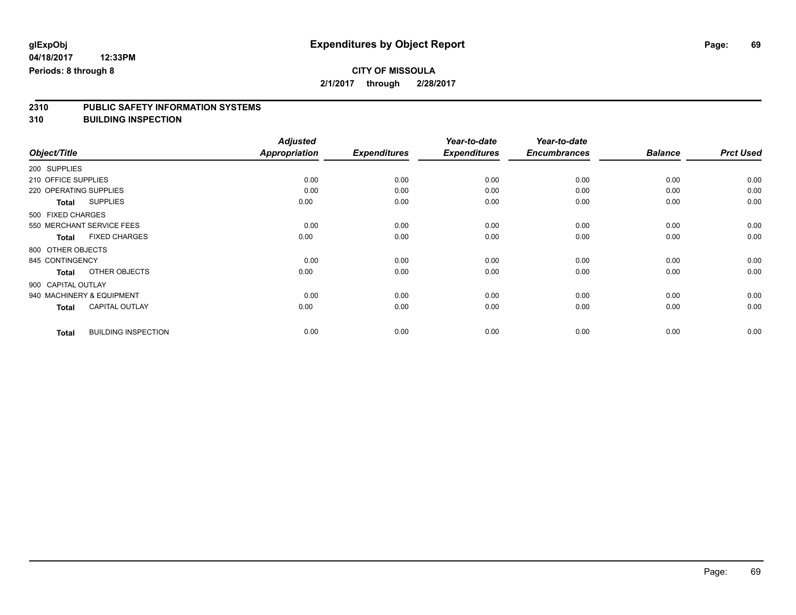### **CITY OF MISSOULA 2/1/2017 through 2/28/2017**

# **2310 PUBLIC SAFETY INFORMATION SYSTEMS**

**310 BUILDING INSPECTION**

|              |                                            | <b>Adjusted</b> |                     | Year-to-date        | Year-to-date        |                |                  |
|--------------|--------------------------------------------|-----------------|---------------------|---------------------|---------------------|----------------|------------------|
| Object/Title |                                            | Appropriation   | <b>Expenditures</b> | <b>Expenditures</b> | <b>Encumbrances</b> | <b>Balance</b> | <b>Prct Used</b> |
|              | 200 SUPPLIES                               |                 |                     |                     |                     |                |                  |
|              | 210 OFFICE SUPPLIES                        | 0.00            | 0.00                | 0.00                | 0.00                | 0.00           | 0.00             |
|              | 220 OPERATING SUPPLIES                     | 0.00            | 0.00                | 0.00                | 0.00                | 0.00           | 0.00             |
|              | <b>SUPPLIES</b><br><b>Total</b>            | 0.00            | 0.00                | 0.00                | 0.00                | 0.00           | 0.00             |
|              | 500 FIXED CHARGES                          |                 |                     |                     |                     |                |                  |
|              | 550 MERCHANT SERVICE FEES                  | 0.00            | 0.00                | 0.00                | 0.00                | 0.00           | 0.00             |
|              | <b>FIXED CHARGES</b><br><b>Total</b>       | 0.00            | 0.00                | 0.00                | 0.00                | 0.00           | 0.00             |
|              | 800 OTHER OBJECTS                          |                 |                     |                     |                     |                |                  |
|              | 845 CONTINGENCY                            | 0.00            | 0.00                | 0.00                | 0.00                | 0.00           | 0.00             |
|              | OTHER OBJECTS<br><b>Total</b>              | 0.00            | 0.00                | 0.00                | 0.00                | 0.00           | 0.00             |
|              | 900 CAPITAL OUTLAY                         |                 |                     |                     |                     |                |                  |
|              | 940 MACHINERY & EQUIPMENT                  | 0.00            | 0.00                | 0.00                | 0.00                | 0.00           | 0.00             |
|              | <b>CAPITAL OUTLAY</b><br><b>Total</b>      | 0.00            | 0.00                | 0.00                | 0.00                | 0.00           | 0.00             |
|              | <b>BUILDING INSPECTION</b><br><b>Total</b> | 0.00            | 0.00                | 0.00                | 0.00                | 0.00           | 0.00             |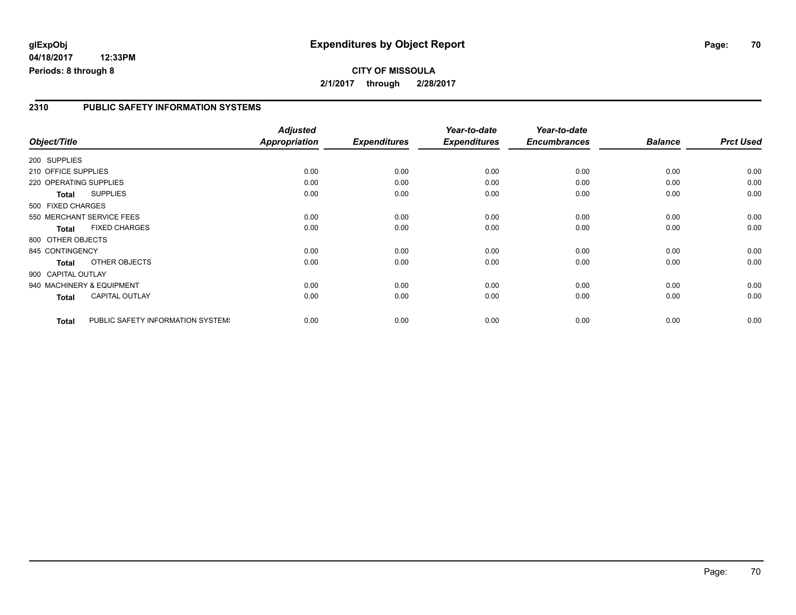## **glExpObj Expenditures by Object Report Page: 70**

**04/18/2017 12:33PM Periods: 8 through 8**

#### **2310 PUBLIC SAFETY INFORMATION SYSTEMS**

|                        |                                   | <b>Adjusted</b> |                     | Year-to-date        | Year-to-date        |                |                  |
|------------------------|-----------------------------------|-----------------|---------------------|---------------------|---------------------|----------------|------------------|
| Object/Title           |                                   | Appropriation   | <b>Expenditures</b> | <b>Expenditures</b> | <b>Encumbrances</b> | <b>Balance</b> | <b>Prct Used</b> |
| 200 SUPPLIES           |                                   |                 |                     |                     |                     |                |                  |
| 210 OFFICE SUPPLIES    |                                   | 0.00            | 0.00                | 0.00                | 0.00                | 0.00           | 0.00             |
| 220 OPERATING SUPPLIES |                                   | 0.00            | 0.00                | 0.00                | 0.00                | 0.00           | 0.00             |
| Total                  | <b>SUPPLIES</b>                   | 0.00            | 0.00                | 0.00                | 0.00                | 0.00           | 0.00             |
| 500 FIXED CHARGES      |                                   |                 |                     |                     |                     |                |                  |
|                        | 550 MERCHANT SERVICE FEES         | 0.00            | 0.00                | 0.00                | 0.00                | 0.00           | 0.00             |
| <b>Total</b>           | <b>FIXED CHARGES</b>              | 0.00            | 0.00                | 0.00                | 0.00                | 0.00           | 0.00             |
| 800 OTHER OBJECTS      |                                   |                 |                     |                     |                     |                |                  |
| 845 CONTINGENCY        |                                   | 0.00            | 0.00                | 0.00                | 0.00                | 0.00           | 0.00             |
| <b>Total</b>           | OTHER OBJECTS                     | 0.00            | 0.00                | 0.00                | 0.00                | 0.00           | 0.00             |
| 900 CAPITAL OUTLAY     |                                   |                 |                     |                     |                     |                |                  |
|                        | 940 MACHINERY & EQUIPMENT         | 0.00            | 0.00                | 0.00                | 0.00                | 0.00           | 0.00             |
| Total                  | <b>CAPITAL OUTLAY</b>             | 0.00            | 0.00                | 0.00                | 0.00                | 0.00           | 0.00             |
| <b>Total</b>           | PUBLIC SAFETY INFORMATION SYSTEM! | 0.00            | 0.00                | 0.00                | 0.00                | 0.00           | 0.00             |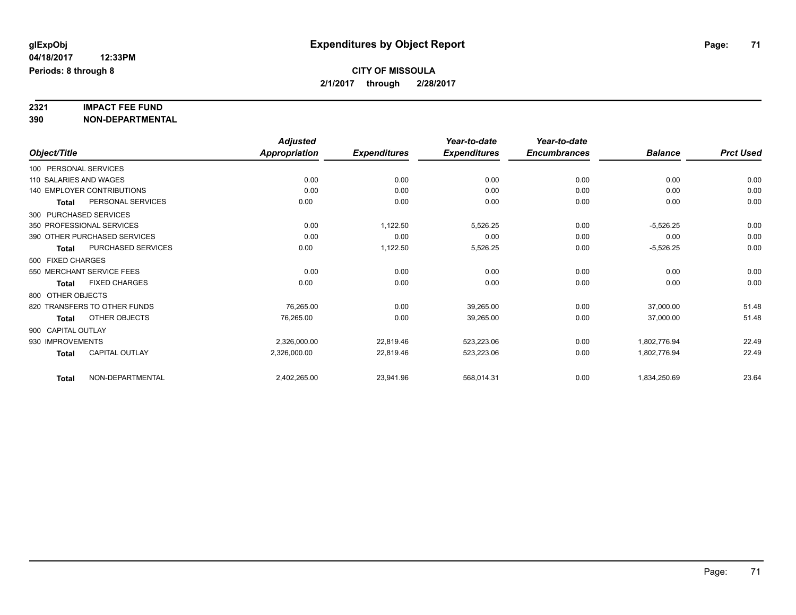# **2321 IMPACT FEE FUND**

**390 NON-DEPARTMENTAL**

|                                           | <b>Adjusted</b>      |                     | Year-to-date        | Year-to-date        |                |                  |
|-------------------------------------------|----------------------|---------------------|---------------------|---------------------|----------------|------------------|
| Object/Title                              | <b>Appropriation</b> | <b>Expenditures</b> | <b>Expenditures</b> | <b>Encumbrances</b> | <b>Balance</b> | <b>Prct Used</b> |
| 100 PERSONAL SERVICES                     |                      |                     |                     |                     |                |                  |
| 110 SALARIES AND WAGES                    | 0.00                 | 0.00                | 0.00                | 0.00                | 0.00           | 0.00             |
| <b>140 EMPLOYER CONTRIBUTIONS</b>         | 0.00                 | 0.00                | 0.00                | 0.00                | 0.00           | 0.00             |
| PERSONAL SERVICES<br><b>Total</b>         | 0.00                 | 0.00                | 0.00                | 0.00                | 0.00           | 0.00             |
| 300 PURCHASED SERVICES                    |                      |                     |                     |                     |                |                  |
| 350 PROFESSIONAL SERVICES                 | 0.00                 | 1,122.50            | 5,526.25            | 0.00                | $-5,526.25$    | 0.00             |
| 390 OTHER PURCHASED SERVICES              | 0.00                 | 0.00                | 0.00                | 0.00                | 0.00           | 0.00             |
| <b>PURCHASED SERVICES</b><br><b>Total</b> | 0.00                 | 1,122.50            | 5,526.25            | 0.00                | $-5,526.25$    | 0.00             |
| 500 FIXED CHARGES                         |                      |                     |                     |                     |                |                  |
| 550 MERCHANT SERVICE FEES                 | 0.00                 | 0.00                | 0.00                | 0.00                | 0.00           | 0.00             |
| <b>FIXED CHARGES</b><br><b>Total</b>      | 0.00                 | 0.00                | 0.00                | 0.00                | 0.00           | 0.00             |
| 800 OTHER OBJECTS                         |                      |                     |                     |                     |                |                  |
| 820 TRANSFERS TO OTHER FUNDS              | 76,265.00            | 0.00                | 39,265.00           | 0.00                | 37,000.00      | 51.48            |
| OTHER OBJECTS<br>Total                    | 76,265.00            | 0.00                | 39,265.00           | 0.00                | 37,000.00      | 51.48            |
| 900 CAPITAL OUTLAY                        |                      |                     |                     |                     |                |                  |
| 930 IMPROVEMENTS                          | 2,326,000.00         | 22,819.46           | 523,223.06          | 0.00                | 1,802,776.94   | 22.49            |
| <b>CAPITAL OUTLAY</b><br><b>Total</b>     | 2,326,000.00         | 22,819.46           | 523,223.06          | 0.00                | 1,802,776.94   | 22.49            |
| NON-DEPARTMENTAL<br><b>Total</b>          | 2,402,265.00         | 23,941.96           | 568,014.31          | 0.00                | 1,834,250.69   | 23.64            |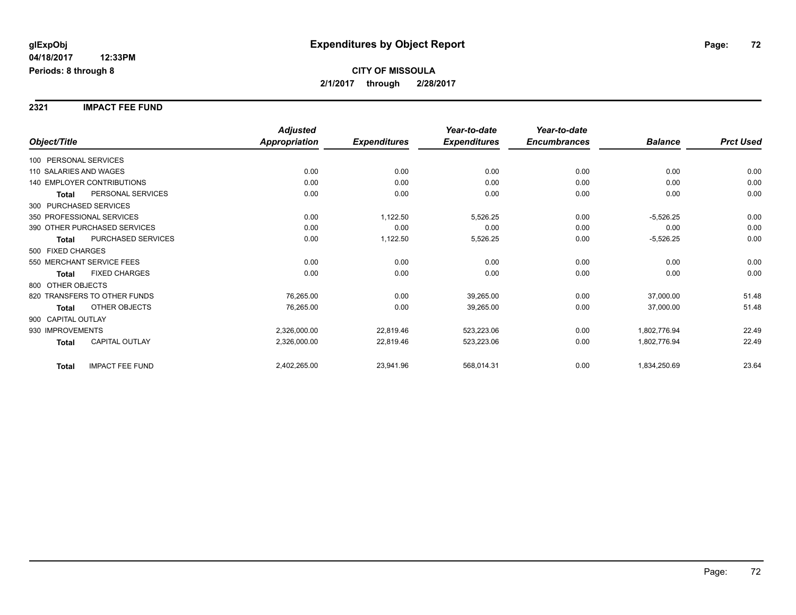#### **2321 IMPACT FEE FUND**

|                                        | <b>Adjusted</b>      |                     | Year-to-date        | Year-to-date        |                |                  |
|----------------------------------------|----------------------|---------------------|---------------------|---------------------|----------------|------------------|
| Object/Title                           | <b>Appropriation</b> | <b>Expenditures</b> | <b>Expenditures</b> | <b>Encumbrances</b> | <b>Balance</b> | <b>Prct Used</b> |
| 100 PERSONAL SERVICES                  |                      |                     |                     |                     |                |                  |
| 110 SALARIES AND WAGES                 | 0.00                 | 0.00                | 0.00                | 0.00                | 0.00           | 0.00             |
| 140 EMPLOYER CONTRIBUTIONS             | 0.00                 | 0.00                | 0.00                | 0.00                | 0.00           | 0.00             |
| PERSONAL SERVICES<br><b>Total</b>      | 0.00                 | 0.00                | 0.00                | 0.00                | 0.00           | 0.00             |
| 300 PURCHASED SERVICES                 |                      |                     |                     |                     |                |                  |
| 350 PROFESSIONAL SERVICES              | 0.00                 | 1,122.50            | 5,526.25            | 0.00                | $-5,526.25$    | 0.00             |
| 390 OTHER PURCHASED SERVICES           | 0.00                 | 0.00                | 0.00                | 0.00                | 0.00           | 0.00             |
| PURCHASED SERVICES<br><b>Total</b>     | 0.00                 | 1,122.50            | 5,526.25            | 0.00                | $-5,526.25$    | 0.00             |
| 500 FIXED CHARGES                      |                      |                     |                     |                     |                |                  |
| 550 MERCHANT SERVICE FEES              | 0.00                 | 0.00                | 0.00                | 0.00                | 0.00           | 0.00             |
| <b>FIXED CHARGES</b><br>Total          | 0.00                 | 0.00                | 0.00                | 0.00                | 0.00           | 0.00             |
| 800 OTHER OBJECTS                      |                      |                     |                     |                     |                |                  |
| 820 TRANSFERS TO OTHER FUNDS           | 76,265.00            | 0.00                | 39,265.00           | 0.00                | 37,000.00      | 51.48            |
| OTHER OBJECTS<br><b>Total</b>          | 76,265.00            | 0.00                | 39,265.00           | 0.00                | 37,000.00      | 51.48            |
| 900 CAPITAL OUTLAY                     |                      |                     |                     |                     |                |                  |
| 930 IMPROVEMENTS                       | 2,326,000.00         | 22,819.46           | 523,223.06          | 0.00                | 1,802,776.94   | 22.49            |
| <b>CAPITAL OUTLAY</b><br><b>Total</b>  | 2,326,000.00         | 22,819.46           | 523,223.06          | 0.00                | 1,802,776.94   | 22.49            |
| <b>IMPACT FEE FUND</b><br><b>Total</b> | 2,402,265.00         | 23,941.96           | 568,014.31          | 0.00                | 1,834,250.69   | 23.64            |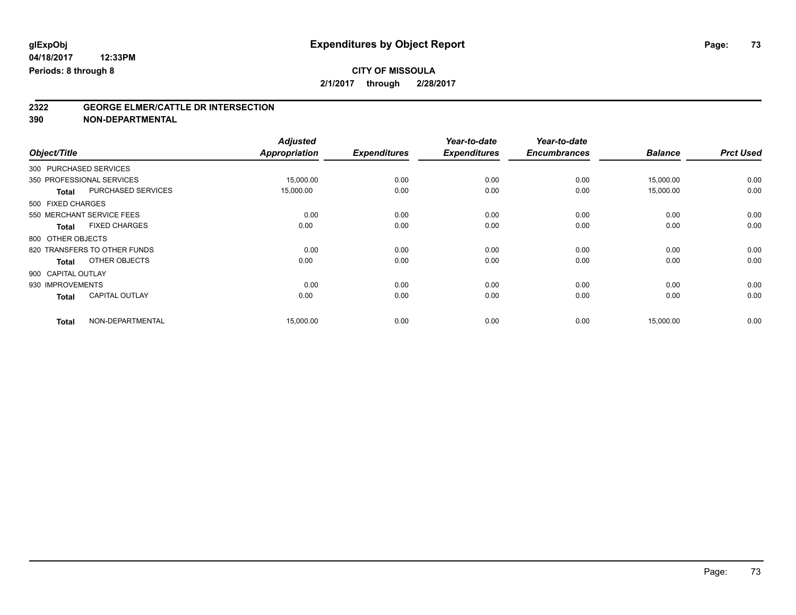### **CITY OF MISSOULA 2/1/2017 through 2/28/2017**

# **2322 GEORGE ELMER/CATTLE DR INTERSECTION**

| Object/Title                 |                       | <b>Adjusted</b><br><b>Appropriation</b> | <b>Expenditures</b> | Year-to-date<br><b>Expenditures</b> | Year-to-date<br><b>Encumbrances</b> | <b>Balance</b> | <b>Prct Used</b> |
|------------------------------|-----------------------|-----------------------------------------|---------------------|-------------------------------------|-------------------------------------|----------------|------------------|
|                              |                       |                                         |                     |                                     |                                     |                |                  |
| 300 PURCHASED SERVICES       |                       |                                         |                     |                                     |                                     |                |                  |
| 350 PROFESSIONAL SERVICES    |                       | 15,000.00                               | 0.00                | 0.00                                | 0.00                                | 15,000.00      | 0.00             |
| <b>Total</b>                 | PURCHASED SERVICES    | 15,000.00                               | 0.00                | 0.00                                | 0.00                                | 15,000.00      | 0.00             |
| 500 FIXED CHARGES            |                       |                                         |                     |                                     |                                     |                |                  |
| 550 MERCHANT SERVICE FEES    |                       | 0.00                                    | 0.00                | 0.00                                | 0.00                                | 0.00           | 0.00             |
| <b>Total</b>                 | <b>FIXED CHARGES</b>  | 0.00                                    | 0.00                | 0.00                                | 0.00                                | 0.00           | 0.00             |
| 800 OTHER OBJECTS            |                       |                                         |                     |                                     |                                     |                |                  |
| 820 TRANSFERS TO OTHER FUNDS |                       | 0.00                                    | 0.00                | 0.00                                | 0.00                                | 0.00           | 0.00             |
| <b>Total</b>                 | OTHER OBJECTS         | 0.00                                    | 0.00                | 0.00                                | 0.00                                | 0.00           | 0.00             |
| 900 CAPITAL OUTLAY           |                       |                                         |                     |                                     |                                     |                |                  |
| 930 IMPROVEMENTS             |                       | 0.00                                    | 0.00                | 0.00                                | 0.00                                | 0.00           | 0.00             |
| <b>Total</b>                 | <b>CAPITAL OUTLAY</b> | 0.00                                    | 0.00                | 0.00                                | 0.00                                | 0.00           | 0.00             |
| <b>Total</b>                 | NON-DEPARTMENTAL      | 15,000.00                               | 0.00                | 0.00                                | 0.00                                | 15,000.00      | 0.00             |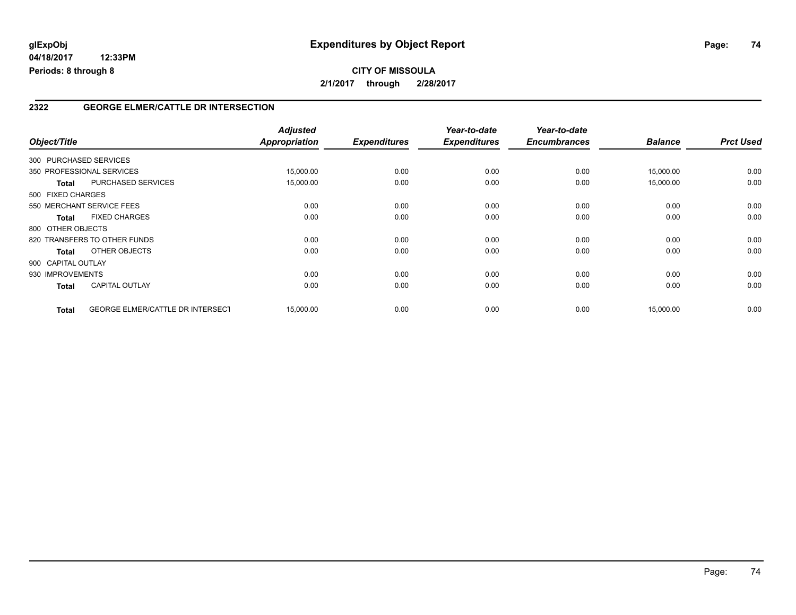#### **2322 GEORGE ELMER/CATTLE DR INTERSECTION**

| Object/Title       |                                         | <b>Adjusted</b><br><b>Appropriation</b> | <b>Expenditures</b> | Year-to-date<br><b>Expenditures</b> | Year-to-date<br><b>Encumbrances</b> | <b>Balance</b> | <b>Prct Used</b> |
|--------------------|-----------------------------------------|-----------------------------------------|---------------------|-------------------------------------|-------------------------------------|----------------|------------------|
|                    | 300 PURCHASED SERVICES                  |                                         |                     |                                     |                                     |                |                  |
|                    | 350 PROFESSIONAL SERVICES               | 15,000.00                               | 0.00                | 0.00                                | 0.00                                | 15,000.00      | 0.00             |
| <b>Total</b>       | PURCHASED SERVICES                      | 15,000.00                               | 0.00                | 0.00                                | 0.00                                | 15,000.00      | 0.00             |
| 500 FIXED CHARGES  |                                         |                                         |                     |                                     |                                     |                |                  |
|                    | 550 MERCHANT SERVICE FEES               | 0.00                                    | 0.00                | 0.00                                | 0.00                                | 0.00           | 0.00             |
| <b>Total</b>       | <b>FIXED CHARGES</b>                    | 0.00                                    | 0.00                | 0.00                                | 0.00                                | 0.00           | 0.00             |
| 800 OTHER OBJECTS  |                                         |                                         |                     |                                     |                                     |                |                  |
|                    | 820 TRANSFERS TO OTHER FUNDS            | 0.00                                    | 0.00                | 0.00                                | 0.00                                | 0.00           | 0.00             |
| Total              | OTHER OBJECTS                           | 0.00                                    | 0.00                | 0.00                                | 0.00                                | 0.00           | 0.00             |
| 900 CAPITAL OUTLAY |                                         |                                         |                     |                                     |                                     |                |                  |
| 930 IMPROVEMENTS   |                                         | 0.00                                    | 0.00                | 0.00                                | 0.00                                | 0.00           | 0.00             |
| <b>Total</b>       | <b>CAPITAL OUTLAY</b>                   | 0.00                                    | 0.00                | 0.00                                | 0.00                                | 0.00           | 0.00             |
| <b>Total</b>       | <b>GEORGE ELMER/CATTLE DR INTERSECT</b> | 15,000.00                               | 0.00                | 0.00                                | 0.00                                | 15,000.00      | 0.00             |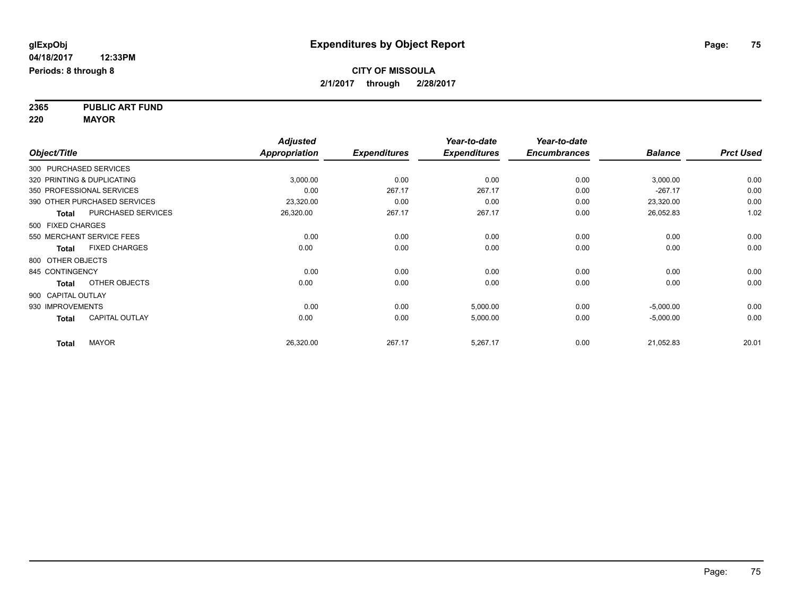**2365 PUBLIC ART FUND 220 MAYOR**

|                    |                              | <b>Adjusted</b>      |                     | Year-to-date        | Year-to-date        |                |                  |
|--------------------|------------------------------|----------------------|---------------------|---------------------|---------------------|----------------|------------------|
| Object/Title       |                              | <b>Appropriation</b> | <b>Expenditures</b> | <b>Expenditures</b> | <b>Encumbrances</b> | <b>Balance</b> | <b>Prct Used</b> |
|                    | 300 PURCHASED SERVICES       |                      |                     |                     |                     |                |                  |
|                    | 320 PRINTING & DUPLICATING   | 3,000.00             | 0.00                | 0.00                | 0.00                | 3,000.00       | 0.00             |
|                    | 350 PROFESSIONAL SERVICES    | 0.00                 | 267.17              | 267.17              | 0.00                | $-267.17$      | 0.00             |
|                    | 390 OTHER PURCHASED SERVICES | 23,320.00            | 0.00                | 0.00                | 0.00                | 23,320.00      | 0.00             |
| Total              | PURCHASED SERVICES           | 26,320.00            | 267.17              | 267.17              | 0.00                | 26,052.83      | 1.02             |
| 500 FIXED CHARGES  |                              |                      |                     |                     |                     |                |                  |
|                    | 550 MERCHANT SERVICE FEES    | 0.00                 | 0.00                | 0.00                | 0.00                | 0.00           | 0.00             |
| <b>Total</b>       | <b>FIXED CHARGES</b>         | 0.00                 | 0.00                | 0.00                | 0.00                | 0.00           | 0.00             |
| 800 OTHER OBJECTS  |                              |                      |                     |                     |                     |                |                  |
| 845 CONTINGENCY    |                              | 0.00                 | 0.00                | 0.00                | 0.00                | 0.00           | 0.00             |
| <b>Total</b>       | OTHER OBJECTS                | 0.00                 | 0.00                | 0.00                | 0.00                | 0.00           | 0.00             |
| 900 CAPITAL OUTLAY |                              |                      |                     |                     |                     |                |                  |
| 930 IMPROVEMENTS   |                              | 0.00                 | 0.00                | 5,000.00            | 0.00                | $-5,000.00$    | 0.00             |
| <b>Total</b>       | <b>CAPITAL OUTLAY</b>        | 0.00                 | 0.00                | 5,000.00            | 0.00                | $-5,000.00$    | 0.00             |
| <b>Total</b>       | <b>MAYOR</b>                 | 26,320.00            | 267.17              | 5,267.17            | 0.00                | 21,052.83      | 20.01            |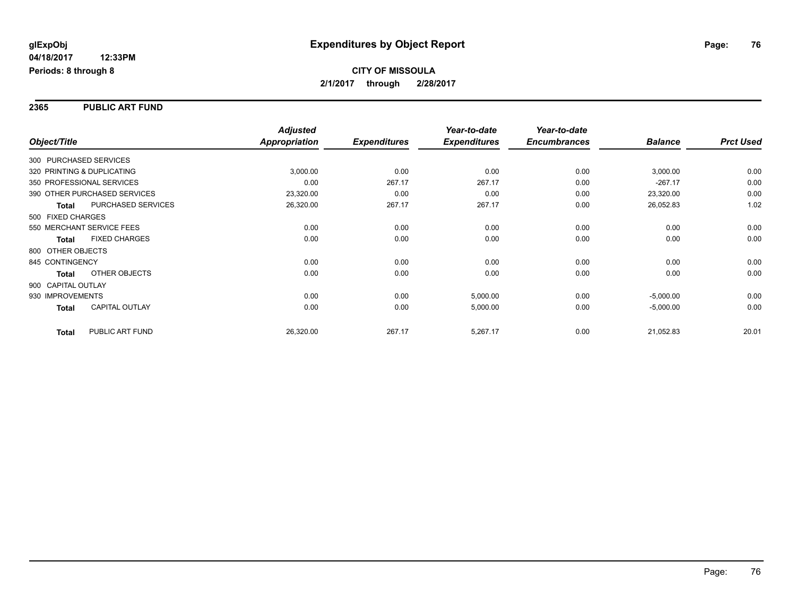#### **2365 PUBLIC ART FUND**

|                    |                              | <b>Adjusted</b>      |                     | Year-to-date        | Year-to-date        |                |                  |
|--------------------|------------------------------|----------------------|---------------------|---------------------|---------------------|----------------|------------------|
| Object/Title       |                              | <b>Appropriation</b> | <b>Expenditures</b> | <b>Expenditures</b> | <b>Encumbrances</b> | <b>Balance</b> | <b>Prct Used</b> |
|                    | 300 PURCHASED SERVICES       |                      |                     |                     |                     |                |                  |
|                    | 320 PRINTING & DUPLICATING   | 3,000.00             | 0.00                | 0.00                | 0.00                | 3,000.00       | 0.00             |
|                    | 350 PROFESSIONAL SERVICES    | 0.00                 | 267.17              | 267.17              | 0.00                | $-267.17$      | 0.00             |
|                    | 390 OTHER PURCHASED SERVICES | 23,320.00            | 0.00                | 0.00                | 0.00                | 23,320.00      | 0.00             |
| <b>Total</b>       | PURCHASED SERVICES           | 26,320.00            | 267.17              | 267.17              | 0.00                | 26,052.83      | 1.02             |
| 500 FIXED CHARGES  |                              |                      |                     |                     |                     |                |                  |
|                    | 550 MERCHANT SERVICE FEES    | 0.00                 | 0.00                | 0.00                | 0.00                | 0.00           | 0.00             |
| <b>Total</b>       | <b>FIXED CHARGES</b>         | 0.00                 | 0.00                | 0.00                | 0.00                | 0.00           | 0.00             |
| 800 OTHER OBJECTS  |                              |                      |                     |                     |                     |                |                  |
| 845 CONTINGENCY    |                              | 0.00                 | 0.00                | 0.00                | 0.00                | 0.00           | 0.00             |
| <b>Total</b>       | OTHER OBJECTS                | 0.00                 | 0.00                | 0.00                | 0.00                | 0.00           | 0.00             |
| 900 CAPITAL OUTLAY |                              |                      |                     |                     |                     |                |                  |
| 930 IMPROVEMENTS   |                              | 0.00                 | 0.00                | 5,000.00            | 0.00                | $-5,000.00$    | 0.00             |
| <b>Total</b>       | <b>CAPITAL OUTLAY</b>        | 0.00                 | 0.00                | 5,000.00            | 0.00                | $-5,000.00$    | 0.00             |
|                    |                              |                      |                     |                     |                     |                |                  |
| <b>Total</b>       | PUBLIC ART FUND              | 26,320.00            | 267.17              | 5,267.17            | 0.00                | 21,052.83      | 20.01            |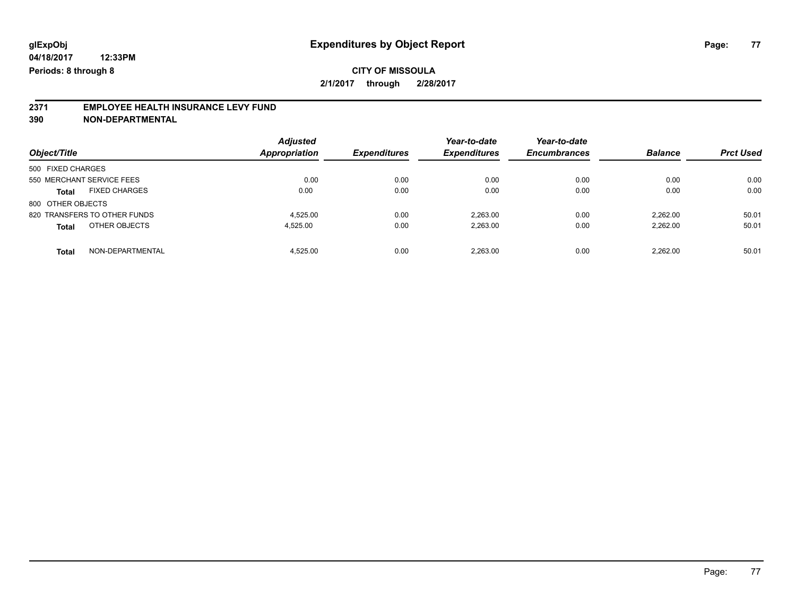### **CITY OF MISSOULA 2/1/2017 through 2/28/2017**

# **2371 EMPLOYEE HEALTH INSURANCE LEVY FUND**

| Object/Title                         | <b>Adjusted</b><br>Appropriation | <b>Expenditures</b> | Year-to-date<br><b>Expenditures</b> | Year-to-date<br><b>Encumbrances</b> | <b>Balance</b> | <b>Prct Used</b> |
|--------------------------------------|----------------------------------|---------------------|-------------------------------------|-------------------------------------|----------------|------------------|
| 500 FIXED CHARGES                    |                                  |                     |                                     |                                     |                |                  |
| 550 MERCHANT SERVICE FEES            | 0.00                             | 0.00                | 0.00                                | 0.00                                | 0.00           | 0.00             |
| <b>FIXED CHARGES</b><br><b>Total</b> | 0.00                             | 0.00                | 0.00                                | 0.00                                | 0.00           | 0.00             |
| 800 OTHER OBJECTS                    |                                  |                     |                                     |                                     |                |                  |
| 820 TRANSFERS TO OTHER FUNDS         | 4.525.00                         | 0.00                | 2.263.00                            | 0.00                                | 2.262.00       | 50.01            |
| OTHER OBJECTS<br><b>Total</b>        | 4.525.00                         | 0.00                | 2,263.00                            | 0.00                                | 2.262.00       | 50.01            |
| NON-DEPARTMENTAL<br><b>Total</b>     | 4.525.00                         | 0.00                | 2.263.00                            | 0.00                                | 2.262.00       | 50.01            |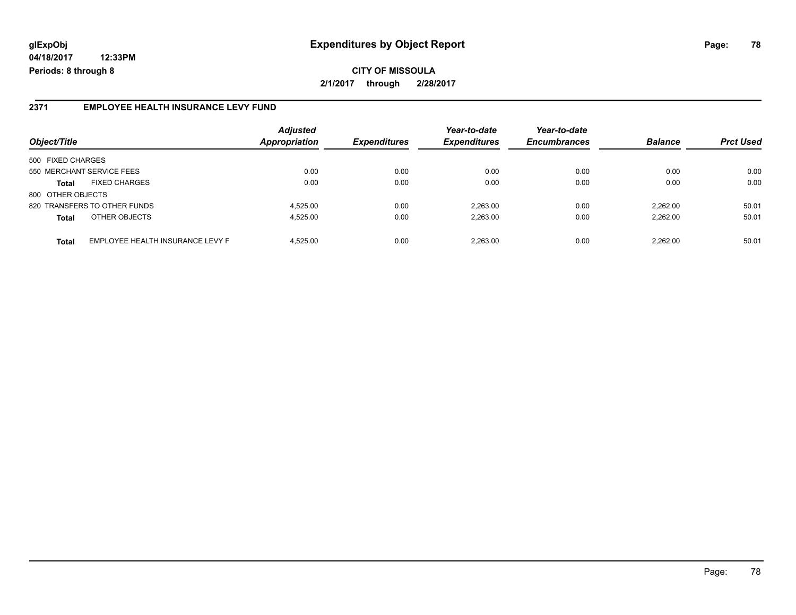# **glExpObj Expenditures by Object Report Page: 78**

**04/18/2017 12:33PM Periods: 8 through 8**

#### **2371 EMPLOYEE HEALTH INSURANCE LEVY FUND**

| Object/Title              |                                  | <b>Adjusted</b><br>Appropriation | <b>Expenditures</b> | Year-to-date<br><b>Expenditures</b> | Year-to-date<br><b>Encumbrances</b> | <b>Balance</b> | <b>Prct Used</b> |
|---------------------------|----------------------------------|----------------------------------|---------------------|-------------------------------------|-------------------------------------|----------------|------------------|
| 500 FIXED CHARGES         |                                  |                                  |                     |                                     |                                     |                |                  |
| 550 MERCHANT SERVICE FEES |                                  | 0.00                             | 0.00                | 0.00                                | 0.00                                | 0.00           | 0.00             |
| <b>Total</b>              | <b>FIXED CHARGES</b>             | 0.00                             | 0.00                | 0.00                                | 0.00                                | 0.00           | 0.00             |
| 800 OTHER OBJECTS         |                                  |                                  |                     |                                     |                                     |                |                  |
|                           | 820 TRANSFERS TO OTHER FUNDS     | 4.525.00                         | 0.00                | 2.263.00                            | 0.00                                | 2.262.00       | 50.01            |
| <b>Total</b>              | OTHER OBJECTS                    | 4.525.00                         | 0.00                | 2.263.00                            | 0.00                                | 2.262.00       | 50.01            |
| <b>Total</b>              | EMPLOYEE HEALTH INSURANCE LEVY F | 4.525.00                         | 0.00                | 2.263.00                            | 0.00                                | 2.262.00       | 50.01            |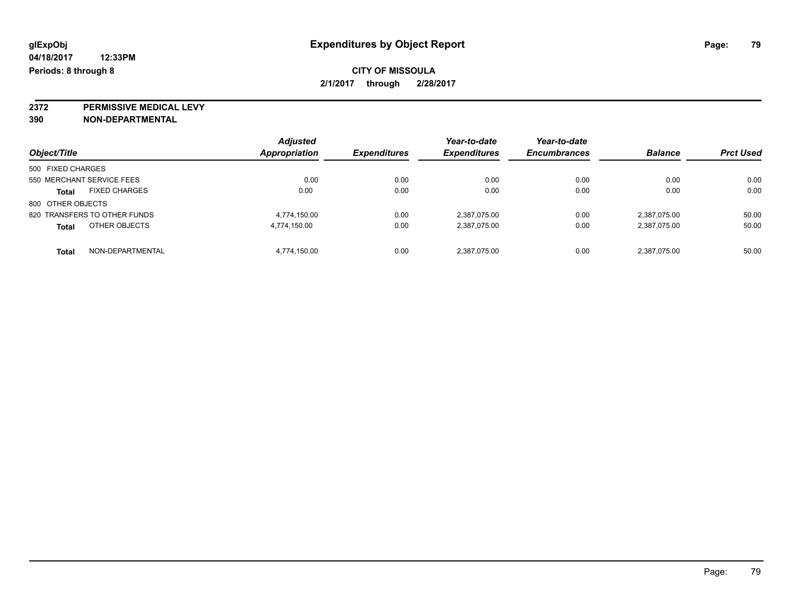**2372 PERMISSIVE MEDICAL LEVY**

| Object/Title                         | <b>Adjusted</b><br><b>Appropriation</b> | <b>Expenditures</b> | Year-to-date<br><b>Expenditures</b> | Year-to-date<br><b>Encumbrances</b> | <b>Balance</b> | <b>Prct Used</b> |
|--------------------------------------|-----------------------------------------|---------------------|-------------------------------------|-------------------------------------|----------------|------------------|
| 500 FIXED CHARGES                    |                                         |                     |                                     |                                     |                |                  |
| 550 MERCHANT SERVICE FEES            | 0.00                                    | 0.00                | 0.00                                | 0.00                                | 0.00           | 0.00             |
| <b>FIXED CHARGES</b><br><b>Total</b> | 0.00                                    | 0.00                | 0.00                                | 0.00                                | 0.00           | 0.00             |
| 800 OTHER OBJECTS                    |                                         |                     |                                     |                                     |                |                  |
| 820 TRANSFERS TO OTHER FUNDS         | 4.774.150.00                            | 0.00                | 2,387,075.00                        | 0.00                                | 2.387.075.00   | 50.00            |
| OTHER OBJECTS<br><b>Total</b>        | 4,774,150.00                            | 0.00                | 2,387,075.00                        | 0.00                                | 2,387,075.00   | 50.00            |
| NON-DEPARTMENTAL<br>Total            | 4.774.150.00                            | 0.00                | 2,387,075.00                        | 0.00                                | 2,387,075.00   | 50.00            |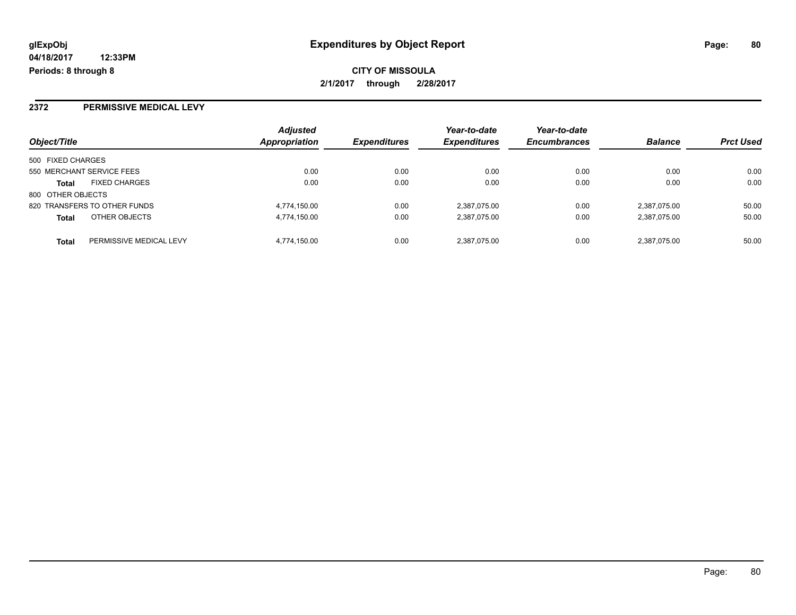**CITY OF MISSOULA 2/1/2017 through 2/28/2017**

### **2372 PERMISSIVE MEDICAL LEVY**

| Object/Title                            | <b>Adjusted</b><br>Appropriation | <b>Expenditures</b> | Year-to-date<br><b>Expenditures</b> | Year-to-date<br><b>Encumbrances</b> | <b>Balance</b> | <b>Prct Used</b> |
|-----------------------------------------|----------------------------------|---------------------|-------------------------------------|-------------------------------------|----------------|------------------|
|                                         |                                  |                     |                                     |                                     |                |                  |
| 500 FIXED CHARGES                       |                                  |                     |                                     |                                     |                |                  |
| 550 MERCHANT SERVICE FEES               | 0.00                             | 0.00                | 0.00                                | 0.00                                | 0.00           | 0.00             |
| <b>FIXED CHARGES</b><br><b>Total</b>    | 0.00                             | 0.00                | 0.00                                | 0.00                                | 0.00           | 0.00             |
| 800 OTHER OBJECTS                       |                                  |                     |                                     |                                     |                |                  |
| 820 TRANSFERS TO OTHER FUNDS            | 4,774,150.00                     | 0.00                | 2,387,075.00                        | 0.00                                | 2,387,075.00   | 50.00            |
| OTHER OBJECTS<br><b>Total</b>           | 4,774,150.00                     | 0.00                | 2,387,075.00                        | 0.00                                | 2,387,075.00   | 50.00            |
| PERMISSIVE MEDICAL LEVY<br><b>Total</b> | 4,774,150.00                     | 0.00                | 2,387,075.00                        | 0.00                                | 2,387,075.00   | 50.00            |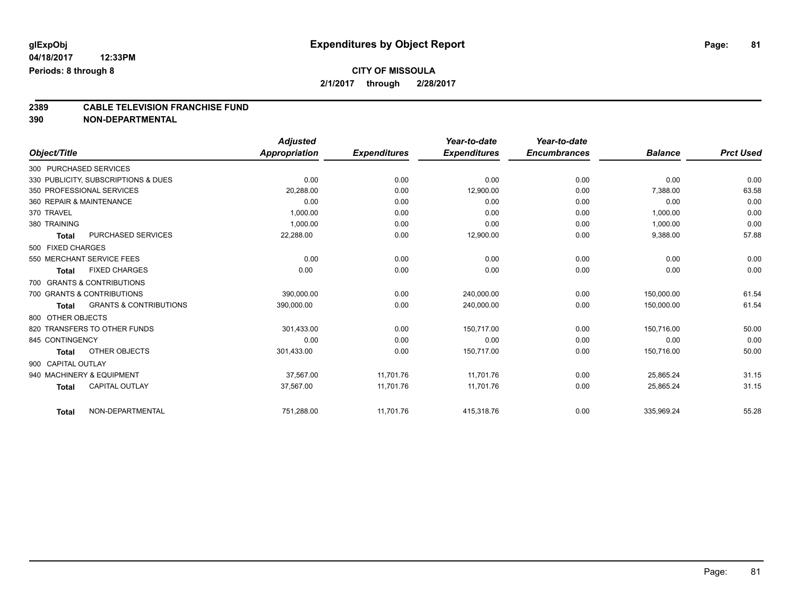### **CITY OF MISSOULA 2/1/2017 through 2/28/2017**

# **2389 CABLE TELEVISION FRANCHISE FUND**

|                    |                                     | <b>Adjusted</b> |                     | Year-to-date        | Year-to-date        |                |                  |
|--------------------|-------------------------------------|-----------------|---------------------|---------------------|---------------------|----------------|------------------|
| Object/Title       |                                     | Appropriation   | <b>Expenditures</b> | <b>Expenditures</b> | <b>Encumbrances</b> | <b>Balance</b> | <b>Prct Used</b> |
|                    | 300 PURCHASED SERVICES              |                 |                     |                     |                     |                |                  |
|                    | 330 PUBLICITY, SUBSCRIPTIONS & DUES | 0.00            | 0.00                | 0.00                | 0.00                | 0.00           | 0.00             |
|                    | 350 PROFESSIONAL SERVICES           | 20,288.00       | 0.00                | 12,900.00           | 0.00                | 7,388.00       | 63.58            |
|                    | 360 REPAIR & MAINTENANCE            | 0.00            | 0.00                | 0.00                | 0.00                | 0.00           | 0.00             |
| 370 TRAVEL         |                                     | 1,000.00        | 0.00                | 0.00                | 0.00                | 1,000.00       | 0.00             |
| 380 TRAINING       |                                     | 1,000.00        | 0.00                | 0.00                | 0.00                | 1,000.00       | 0.00             |
| <b>Total</b>       | <b>PURCHASED SERVICES</b>           | 22,288.00       | 0.00                | 12,900.00           | 0.00                | 9,388.00       | 57.88            |
| 500 FIXED CHARGES  |                                     |                 |                     |                     |                     |                |                  |
|                    | 550 MERCHANT SERVICE FEES           | 0.00            | 0.00                | 0.00                | 0.00                | 0.00           | 0.00             |
| <b>Total</b>       | <b>FIXED CHARGES</b>                | 0.00            | 0.00                | 0.00                | 0.00                | 0.00           | 0.00             |
|                    | 700 GRANTS & CONTRIBUTIONS          |                 |                     |                     |                     |                |                  |
|                    | 700 GRANTS & CONTRIBUTIONS          | 390,000.00      | 0.00                | 240,000.00          | 0.00                | 150,000.00     | 61.54            |
| <b>Total</b>       | <b>GRANTS &amp; CONTRIBUTIONS</b>   | 390,000.00      | 0.00                | 240,000.00          | 0.00                | 150,000.00     | 61.54            |
| 800 OTHER OBJECTS  |                                     |                 |                     |                     |                     |                |                  |
|                    | 820 TRANSFERS TO OTHER FUNDS        | 301,433.00      | 0.00                | 150,717.00          | 0.00                | 150,716.00     | 50.00            |
| 845 CONTINGENCY    |                                     | 0.00            | 0.00                | 0.00                | 0.00                | 0.00           | 0.00             |
| <b>Total</b>       | OTHER OBJECTS                       | 301,433.00      | 0.00                | 150,717.00          | 0.00                | 150,716.00     | 50.00            |
| 900 CAPITAL OUTLAY |                                     |                 |                     |                     |                     |                |                  |
|                    | 940 MACHINERY & EQUIPMENT           | 37,567.00       | 11,701.76           | 11,701.76           | 0.00                | 25,865.24      | 31.15            |
| <b>Total</b>       | <b>CAPITAL OUTLAY</b>               | 37,567.00       | 11,701.76           | 11,701.76           | 0.00                | 25,865.24      | 31.15            |
| <b>Total</b>       | NON-DEPARTMENTAL                    | 751,288.00      | 11,701.76           | 415,318.76          | 0.00                | 335,969.24     | 55.28            |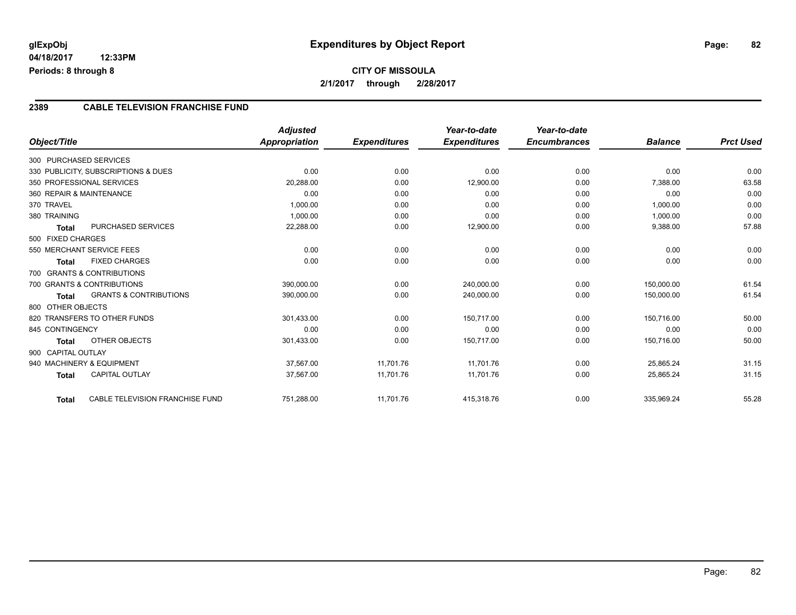#### **2389 CABLE TELEVISION FRANCHISE FUND**

|                    |                                     | <b>Adjusted</b>      |                     | Year-to-date        | Year-to-date        |                |                  |
|--------------------|-------------------------------------|----------------------|---------------------|---------------------|---------------------|----------------|------------------|
| Object/Title       |                                     | <b>Appropriation</b> | <b>Expenditures</b> | <b>Expenditures</b> | <b>Encumbrances</b> | <b>Balance</b> | <b>Prct Used</b> |
|                    | 300 PURCHASED SERVICES              |                      |                     |                     |                     |                |                  |
|                    | 330 PUBLICITY, SUBSCRIPTIONS & DUES | 0.00                 | 0.00                | 0.00                | 0.00                | 0.00           | 0.00             |
|                    | 350 PROFESSIONAL SERVICES           | 20,288.00            | 0.00                | 12,900.00           | 0.00                | 7,388.00       | 63.58            |
|                    | 360 REPAIR & MAINTENANCE            | 0.00                 | 0.00                | 0.00                | 0.00                | 0.00           | 0.00             |
| 370 TRAVEL         |                                     | 1,000.00             | 0.00                | 0.00                | 0.00                | 1,000.00       | 0.00             |
| 380 TRAINING       |                                     | 1,000.00             | 0.00                | 0.00                | 0.00                | 1,000.00       | 0.00             |
| <b>Total</b>       | <b>PURCHASED SERVICES</b>           | 22,288.00            | 0.00                | 12,900.00           | 0.00                | 9,388.00       | 57.88            |
| 500 FIXED CHARGES  |                                     |                      |                     |                     |                     |                |                  |
|                    | 550 MERCHANT SERVICE FEES           | 0.00                 | 0.00                | 0.00                | 0.00                | 0.00           | 0.00             |
| <b>Total</b>       | <b>FIXED CHARGES</b>                | 0.00                 | 0.00                | 0.00                | 0.00                | 0.00           | 0.00             |
|                    | 700 GRANTS & CONTRIBUTIONS          |                      |                     |                     |                     |                |                  |
|                    | 700 GRANTS & CONTRIBUTIONS          | 390,000.00           | 0.00                | 240,000.00          | 0.00                | 150,000.00     | 61.54            |
| <b>Total</b>       | <b>GRANTS &amp; CONTRIBUTIONS</b>   | 390,000.00           | 0.00                | 240,000.00          | 0.00                | 150,000.00     | 61.54            |
| 800 OTHER OBJECTS  |                                     |                      |                     |                     |                     |                |                  |
|                    | 820 TRANSFERS TO OTHER FUNDS        | 301,433.00           | 0.00                | 150,717.00          | 0.00                | 150,716.00     | 50.00            |
| 845 CONTINGENCY    |                                     | 0.00                 | 0.00                | 0.00                | 0.00                | 0.00           | 0.00             |
| <b>Total</b>       | OTHER OBJECTS                       | 301,433.00           | 0.00                | 150,717.00          | 0.00                | 150,716.00     | 50.00            |
| 900 CAPITAL OUTLAY |                                     |                      |                     |                     |                     |                |                  |
|                    | 940 MACHINERY & EQUIPMENT           | 37,567.00            | 11,701.76           | 11,701.76           | 0.00                | 25,865.24      | 31.15            |
| <b>Total</b>       | <b>CAPITAL OUTLAY</b>               | 37,567.00            | 11,701.76           | 11,701.76           | 0.00                | 25,865.24      | 31.15            |
|                    |                                     |                      |                     |                     |                     |                |                  |
| <b>Total</b>       | CABLE TELEVISION FRANCHISE FUND     | 751,288.00           | 11,701.76           | 415,318.76          | 0.00                | 335,969.24     | 55.28            |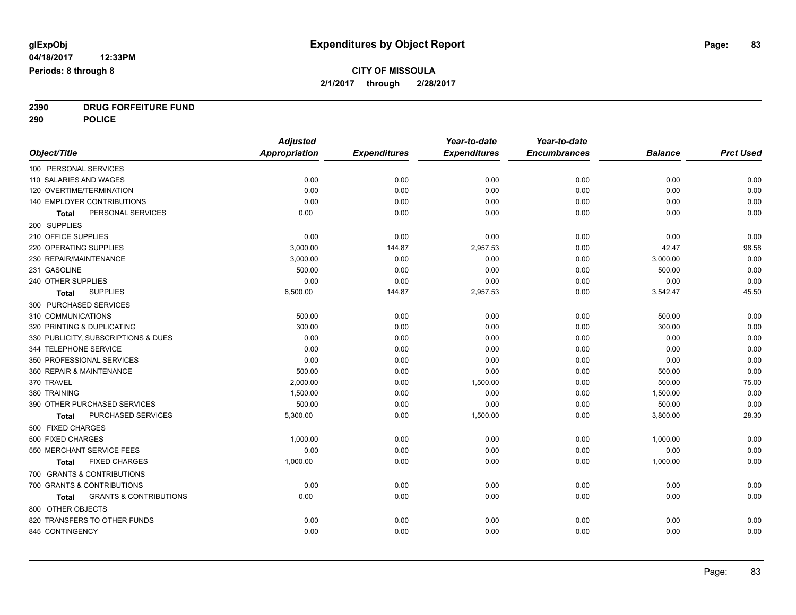**2390 DRUG FORFEITURE FUND**

**290 POLICE**

|                                                   | <b>Adjusted</b>      |                     | Year-to-date        | Year-to-date        |                |                  |
|---------------------------------------------------|----------------------|---------------------|---------------------|---------------------|----------------|------------------|
| Object/Title                                      | <b>Appropriation</b> | <b>Expenditures</b> | <b>Expenditures</b> | <b>Encumbrances</b> | <b>Balance</b> | <b>Prct Used</b> |
| 100 PERSONAL SERVICES                             |                      |                     |                     |                     |                |                  |
| 110 SALARIES AND WAGES                            | 0.00                 | 0.00                | 0.00                | 0.00                | 0.00           | 0.00             |
| 120 OVERTIME/TERMINATION                          | 0.00                 | 0.00                | 0.00                | 0.00                | 0.00           | 0.00             |
| 140 EMPLOYER CONTRIBUTIONS                        | 0.00                 | 0.00                | 0.00                | 0.00                | 0.00           | 0.00             |
| PERSONAL SERVICES<br>Total                        | 0.00                 | 0.00                | 0.00                | 0.00                | 0.00           | 0.00             |
| 200 SUPPLIES                                      |                      |                     |                     |                     |                |                  |
| 210 OFFICE SUPPLIES                               | 0.00                 | 0.00                | 0.00                | 0.00                | 0.00           | 0.00             |
| 220 OPERATING SUPPLIES                            | 3,000.00             | 144.87              | 2,957.53            | 0.00                | 42.47          | 98.58            |
| 230 REPAIR/MAINTENANCE                            | 3,000.00             | 0.00                | 0.00                | 0.00                | 3,000.00       | 0.00             |
| 231 GASOLINE                                      | 500.00               | 0.00                | 0.00                | 0.00                | 500.00         | 0.00             |
| 240 OTHER SUPPLIES                                | 0.00                 | 0.00                | 0.00                | 0.00                | 0.00           | 0.00             |
| <b>SUPPLIES</b><br><b>Total</b>                   | 6,500.00             | 144.87              | 2,957.53            | 0.00                | 3,542.47       | 45.50            |
| 300 PURCHASED SERVICES                            |                      |                     |                     |                     |                |                  |
| 310 COMMUNICATIONS                                | 500.00               | 0.00                | 0.00                | 0.00                | 500.00         | 0.00             |
| 320 PRINTING & DUPLICATING                        | 300.00               | 0.00                | 0.00                | 0.00                | 300.00         | 0.00             |
| 330 PUBLICITY, SUBSCRIPTIONS & DUES               | 0.00                 | 0.00                | 0.00                | 0.00                | 0.00           | 0.00             |
| 344 TELEPHONE SERVICE                             | 0.00                 | 0.00                | 0.00                | 0.00                | 0.00           | 0.00             |
| 350 PROFESSIONAL SERVICES                         | 0.00                 | 0.00                | 0.00                | 0.00                | 0.00           | 0.00             |
| 360 REPAIR & MAINTENANCE                          | 500.00               | 0.00                | 0.00                | 0.00                | 500.00         | 0.00             |
| 370 TRAVEL                                        | 2,000.00             | 0.00                | 1,500.00            | 0.00                | 500.00         | 75.00            |
| 380 TRAINING                                      | 1,500.00             | 0.00                | 0.00                | 0.00                | 1,500.00       | 0.00             |
| 390 OTHER PURCHASED SERVICES                      | 500.00               | 0.00                | 0.00                | 0.00                | 500.00         | 0.00             |
| PURCHASED SERVICES<br>Total                       | 5,300.00             | 0.00                | 1,500.00            | 0.00                | 3,800.00       | 28.30            |
| 500 FIXED CHARGES                                 |                      |                     |                     |                     |                |                  |
| 500 FIXED CHARGES                                 | 1,000.00             | 0.00                | 0.00                | 0.00                | 1,000.00       | 0.00             |
| 550 MERCHANT SERVICE FEES                         | 0.00                 | 0.00                | 0.00                | 0.00                | 0.00           | 0.00             |
| <b>FIXED CHARGES</b><br><b>Total</b>              | 1,000.00             | 0.00                | 0.00                | 0.00                | 1,000.00       | 0.00             |
| 700 GRANTS & CONTRIBUTIONS                        |                      |                     |                     |                     |                |                  |
| 700 GRANTS & CONTRIBUTIONS                        | 0.00                 | 0.00                | 0.00                | 0.00                | 0.00           | 0.00             |
| <b>GRANTS &amp; CONTRIBUTIONS</b><br><b>Total</b> | 0.00                 | 0.00                | 0.00                | 0.00                | 0.00           | 0.00             |
| 800 OTHER OBJECTS                                 |                      |                     |                     |                     |                |                  |
| 820 TRANSFERS TO OTHER FUNDS                      | 0.00                 | 0.00                | 0.00                | 0.00                | 0.00           | 0.00             |
| 845 CONTINGENCY                                   | 0.00                 | 0.00                | 0.00                | 0.00                | 0.00           | 0.00             |
|                                                   |                      |                     |                     |                     |                |                  |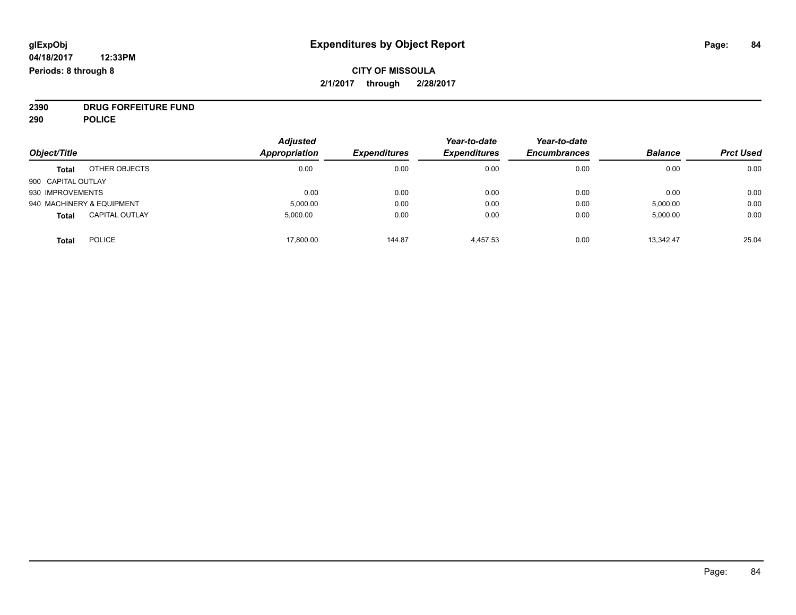# **CITY OF MISSOULA 2/1/2017 through 2/28/2017**

**2390 DRUG FORFEITURE FUND**

**290 POLICE**

|                    |                           | <b>Adjusted</b> |                     | Year-to-date        | Year-to-date        |                |                  |
|--------------------|---------------------------|-----------------|---------------------|---------------------|---------------------|----------------|------------------|
| Object/Title       |                           | Appropriation   | <b>Expenditures</b> | <b>Expenditures</b> | <b>Encumbrances</b> | <b>Balance</b> | <b>Prct Used</b> |
| <b>Total</b>       | OTHER OBJECTS             | 0.00            | 0.00                | 0.00                | 0.00                | 0.00           | 0.00             |
| 900 CAPITAL OUTLAY |                           |                 |                     |                     |                     |                |                  |
| 930 IMPROVEMENTS   |                           | 0.00            | 0.00                | 0.00                | 0.00                | 0.00           | 0.00             |
|                    | 940 MACHINERY & EQUIPMENT | 5,000.00        | 0.00                | 0.00                | 0.00                | 5,000.00       | 0.00             |
| <b>Total</b>       | <b>CAPITAL OUTLAY</b>     | 5,000.00        | 0.00                | 0.00                | 0.00                | 5,000.00       | 0.00             |
| <b>Total</b>       | <b>POLICE</b>             | 17,800.00       | 144.87              | 4,457.53            | 0.00                | 13,342.47      | 25.04            |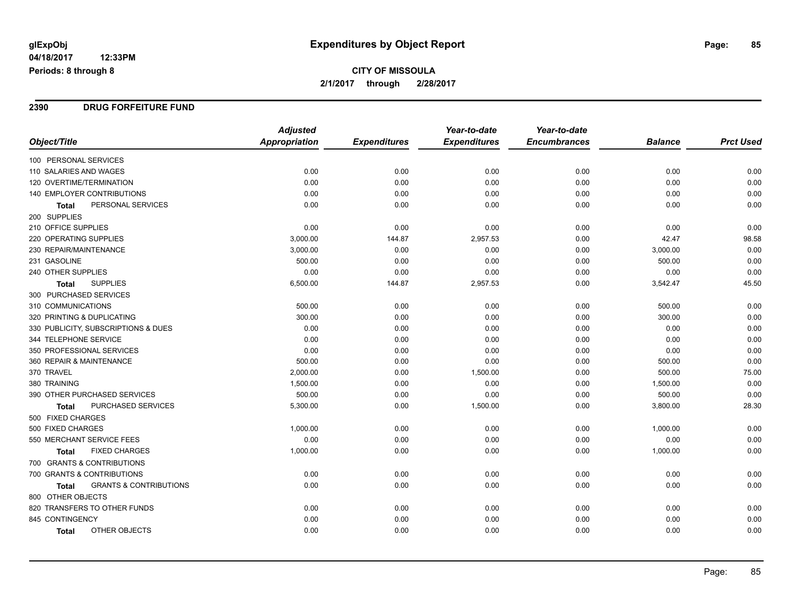# **CITY OF MISSOULA 2/1/2017 through 2/28/2017**

#### **2390 DRUG FORFEITURE FUND**

|                                                   | <b>Adjusted</b>      |                     | Year-to-date        | Year-to-date        |                |                  |
|---------------------------------------------------|----------------------|---------------------|---------------------|---------------------|----------------|------------------|
| Object/Title                                      | <b>Appropriation</b> | <b>Expenditures</b> | <b>Expenditures</b> | <b>Encumbrances</b> | <b>Balance</b> | <b>Prct Used</b> |
| 100 PERSONAL SERVICES                             |                      |                     |                     |                     |                |                  |
| 110 SALARIES AND WAGES                            | 0.00                 | 0.00                | 0.00                | 0.00                | 0.00           | 0.00             |
| 120 OVERTIME/TERMINATION                          | 0.00                 | 0.00                | 0.00                | 0.00                | 0.00           | 0.00             |
| <b>140 EMPLOYER CONTRIBUTIONS</b>                 | 0.00                 | 0.00                | 0.00                | 0.00                | 0.00           | 0.00             |
| PERSONAL SERVICES<br>Total                        | 0.00                 | 0.00                | 0.00                | 0.00                | 0.00           | 0.00             |
| 200 SUPPLIES                                      |                      |                     |                     |                     |                |                  |
| 210 OFFICE SUPPLIES                               | 0.00                 | 0.00                | 0.00                | 0.00                | 0.00           | 0.00             |
| 220 OPERATING SUPPLIES                            | 3,000.00             | 144.87              | 2,957.53            | 0.00                | 42.47          | 98.58            |
| 230 REPAIR/MAINTENANCE                            | 3,000.00             | 0.00                | 0.00                | 0.00                | 3,000.00       | 0.00             |
| 231 GASOLINE                                      | 500.00               | 0.00                | 0.00                | 0.00                | 500.00         | 0.00             |
| 240 OTHER SUPPLIES                                | 0.00                 | 0.00                | 0.00                | 0.00                | 0.00           | 0.00             |
| <b>SUPPLIES</b><br><b>Total</b>                   | 6,500.00             | 144.87              | 2,957.53            | 0.00                | 3,542.47       | 45.50            |
| 300 PURCHASED SERVICES                            |                      |                     |                     |                     |                |                  |
| 310 COMMUNICATIONS                                | 500.00               | 0.00                | 0.00                | 0.00                | 500.00         | 0.00             |
| 320 PRINTING & DUPLICATING                        | 300.00               | 0.00                | 0.00                | 0.00                | 300.00         | 0.00             |
| 330 PUBLICITY, SUBSCRIPTIONS & DUES               | 0.00                 | 0.00                | 0.00                | 0.00                | 0.00           | 0.00             |
| 344 TELEPHONE SERVICE                             | 0.00                 | 0.00                | 0.00                | 0.00                | 0.00           | 0.00             |
| 350 PROFESSIONAL SERVICES                         | 0.00                 | 0.00                | 0.00                | 0.00                | 0.00           | 0.00             |
| 360 REPAIR & MAINTENANCE                          | 500.00               | 0.00                | 0.00                | 0.00                | 500.00         | 0.00             |
| 370 TRAVEL                                        | 2,000.00             | 0.00                | 1,500.00            | 0.00                | 500.00         | 75.00            |
| 380 TRAINING                                      | 1,500.00             | 0.00                | 0.00                | 0.00                | 1,500.00       | 0.00             |
| 390 OTHER PURCHASED SERVICES                      | 500.00               | 0.00                | 0.00                | 0.00                | 500.00         | 0.00             |
| PURCHASED SERVICES<br>Total                       | 5,300.00             | 0.00                | 1,500.00            | 0.00                | 3,800.00       | 28.30            |
| 500 FIXED CHARGES                                 |                      |                     |                     |                     |                |                  |
| 500 FIXED CHARGES                                 | 1,000.00             | 0.00                | 0.00                | 0.00                | 1,000.00       | 0.00             |
| 550 MERCHANT SERVICE FEES                         | 0.00                 | 0.00                | 0.00                | 0.00                | 0.00           | 0.00             |
| <b>FIXED CHARGES</b><br><b>Total</b>              | 1,000.00             | 0.00                | 0.00                | 0.00                | 1,000.00       | 0.00             |
| 700 GRANTS & CONTRIBUTIONS                        |                      |                     |                     |                     |                |                  |
| 700 GRANTS & CONTRIBUTIONS                        | 0.00                 | 0.00                | 0.00                | 0.00                | 0.00           | 0.00             |
| <b>GRANTS &amp; CONTRIBUTIONS</b><br><b>Total</b> | 0.00                 | 0.00                | 0.00                | 0.00                | 0.00           | 0.00             |
| 800 OTHER OBJECTS                                 |                      |                     |                     |                     |                |                  |
| 820 TRANSFERS TO OTHER FUNDS                      | 0.00                 | 0.00                | 0.00                | 0.00                | 0.00           | 0.00             |
| 845 CONTINGENCY                                   | 0.00                 | 0.00                | 0.00                | 0.00                | 0.00           | 0.00             |
| OTHER OBJECTS<br>Total                            | 0.00                 | 0.00                | 0.00                | 0.00                | 0.00           | 0.00             |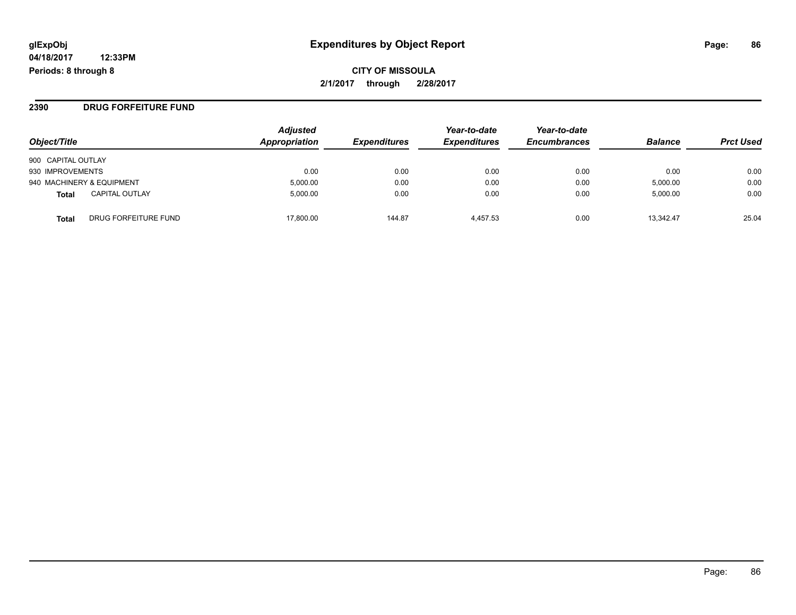**CITY OF MISSOULA 2/1/2017 through 2/28/2017**

**2390 DRUG FORFEITURE FUND**

| Object/Title                          | Adjusted<br>Appropriation | <b>Expenditures</b> | Year-to-date<br><b>Expenditures</b> | Year-to-date<br><b>Encumbrances</b> | <b>Balance</b> | <b>Prct Used</b> |
|---------------------------------------|---------------------------|---------------------|-------------------------------------|-------------------------------------|----------------|------------------|
| 900 CAPITAL OUTLAY                    |                           |                     |                                     |                                     |                |                  |
| 930 IMPROVEMENTS                      | 0.00                      | 0.00                | 0.00                                | 0.00                                | 0.00           | 0.00             |
| 940 MACHINERY & EQUIPMENT             | 5,000.00                  | 0.00                | 0.00                                | 0.00                                | 5,000.00       | 0.00             |
| <b>CAPITAL OUTLAY</b><br><b>Total</b> | 5.000.00                  | 0.00                | 0.00                                | 0.00                                | 5,000.00       | 0.00             |
| DRUG FORFEITURE FUND<br>Total         | 17.800.00                 | 144.87              | 4.457.53                            | 0.00                                | 13.342.47      | 25.04            |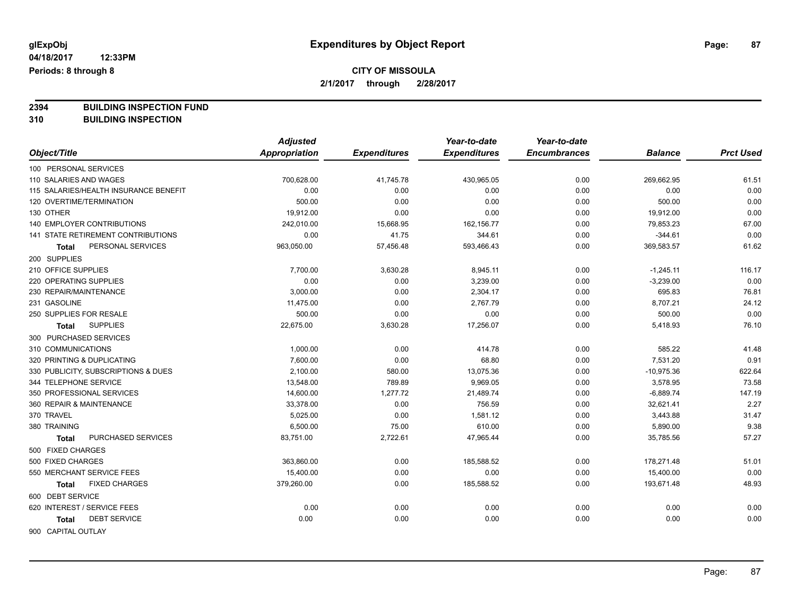**2394 BUILDING INSPECTION FUND**

**310 BUILDING INSPECTION**

|                                       | <b>Adjusted</b> |                     | Year-to-date        | Year-to-date        |                |                  |
|---------------------------------------|-----------------|---------------------|---------------------|---------------------|----------------|------------------|
| Object/Title                          | Appropriation   | <b>Expenditures</b> | <b>Expenditures</b> | <b>Encumbrances</b> | <b>Balance</b> | <b>Prct Used</b> |
| 100 PERSONAL SERVICES                 |                 |                     |                     |                     |                |                  |
| 110 SALARIES AND WAGES                | 700,628.00      | 41,745.78           | 430,965.05          | 0.00                | 269,662.95     | 61.51            |
| 115 SALARIES/HEALTH INSURANCE BENEFIT | 0.00            | 0.00                | 0.00                | 0.00                | 0.00           | 0.00             |
| 120 OVERTIME/TERMINATION              | 500.00          | 0.00                | 0.00                | 0.00                | 500.00         | 0.00             |
| 130 OTHER                             | 19,912.00       | 0.00                | 0.00                | 0.00                | 19,912.00      | 0.00             |
| <b>140 EMPLOYER CONTRIBUTIONS</b>     | 242,010.00      | 15,668.95           | 162,156.77          | 0.00                | 79,853.23      | 67.00            |
| 141 STATE RETIREMENT CONTRIBUTIONS    | 0.00            | 41.75               | 344.61              | 0.00                | $-344.61$      | 0.00             |
| PERSONAL SERVICES<br>Total            | 963,050.00      | 57,456.48           | 593,466.43          | 0.00                | 369,583.57     | 61.62            |
| 200 SUPPLIES                          |                 |                     |                     |                     |                |                  |
| 210 OFFICE SUPPLIES                   | 7,700.00        | 3,630.28            | 8,945.11            | 0.00                | $-1,245.11$    | 116.17           |
| 220 OPERATING SUPPLIES                | 0.00            | 0.00                | 3,239.00            | 0.00                | $-3,239.00$    | 0.00             |
| 230 REPAIR/MAINTENANCE                | 3,000.00        | 0.00                | 2,304.17            | 0.00                | 695.83         | 76.81            |
| 231 GASOLINE                          | 11,475.00       | 0.00                | 2,767.79            | 0.00                | 8,707.21       | 24.12            |
| 250 SUPPLIES FOR RESALE               | 500.00          | 0.00                | 0.00                | 0.00                | 500.00         | 0.00             |
| <b>SUPPLIES</b><br><b>Total</b>       | 22,675.00       | 3,630.28            | 17,256.07           | 0.00                | 5,418.93       | 76.10            |
| 300 PURCHASED SERVICES                |                 |                     |                     |                     |                |                  |
| 310 COMMUNICATIONS                    | 1,000.00        | 0.00                | 414.78              | 0.00                | 585.22         | 41.48            |
| 320 PRINTING & DUPLICATING            | 7,600.00        | 0.00                | 68.80               | 0.00                | 7,531.20       | 0.91             |
| 330 PUBLICITY, SUBSCRIPTIONS & DUES   | 2,100.00        | 580.00              | 13,075.36           | 0.00                | $-10,975.36$   | 622.64           |
| 344 TELEPHONE SERVICE                 | 13,548.00       | 789.89              | 9,969.05            | 0.00                | 3,578.95       | 73.58            |
| 350 PROFESSIONAL SERVICES             | 14,600.00       | 1,277.72            | 21,489.74           | 0.00                | $-6,889.74$    | 147.19           |
| 360 REPAIR & MAINTENANCE              | 33,378.00       | 0.00                | 756.59              | 0.00                | 32,621.41      | 2.27             |
| 370 TRAVEL                            | 5,025.00        | 0.00                | 1,581.12            | 0.00                | 3,443.88       | 31.47            |
| 380 TRAINING                          | 6,500.00        | 75.00               | 610.00              | 0.00                | 5,890.00       | 9.38             |
| PURCHASED SERVICES<br>Total           | 83,751.00       | 2,722.61            | 47,965.44           | 0.00                | 35,785.56      | 57.27            |
| 500 FIXED CHARGES                     |                 |                     |                     |                     |                |                  |
| 500 FIXED CHARGES                     | 363,860.00      | 0.00                | 185,588.52          | 0.00                | 178,271.48     | 51.01            |
| 550 MERCHANT SERVICE FEES             | 15,400.00       | 0.00                | 0.00                | 0.00                | 15,400.00      | 0.00             |
| <b>FIXED CHARGES</b><br><b>Total</b>  | 379,260.00      | 0.00                | 185,588.52          | 0.00                | 193,671.48     | 48.93            |
| 600 DEBT SERVICE                      |                 |                     |                     |                     |                |                  |
| 620 INTEREST / SERVICE FEES           | 0.00            | 0.00                | 0.00                | 0.00                | 0.00           | 0.00             |
| <b>DEBT SERVICE</b><br>Total          | 0.00            | 0.00                | 0.00                | 0.00                | 0.00           | 0.00             |
| 900 CAPITAL OUTLAY                    |                 |                     |                     |                     |                |                  |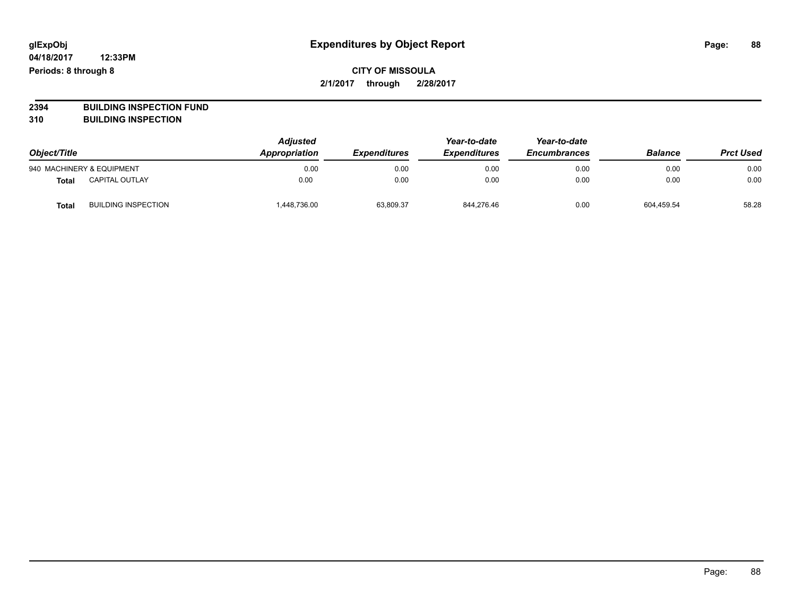**2394 BUILDING INSPECTION FUND**

**310 BUILDING INSPECTION**

| Object/Title |                            | <b>Adjusted</b><br>Appropriation | <b>Expenditures</b> | Year-to-date<br><b>Expenditures</b> | Year-to-date<br><b>Encumbrances</b> | <b>Balance</b> | <b>Prct Used</b> |
|--------------|----------------------------|----------------------------------|---------------------|-------------------------------------|-------------------------------------|----------------|------------------|
|              | 940 MACHINERY & EQUIPMENT  | 0.00                             | 0.00                | 0.00                                | 0.00                                | 0.00           | 0.00             |
| Total        | <b>CAPITAL OUTLAY</b>      | 0.00                             | 0.00                | 0.00                                | 0.00                                | 0.00           | 0.00             |
| Total        | <b>BUILDING INSPECTION</b> | 448,736.00                       | 63,809.37           | 844,276.46                          | 0.00                                | 604.459.54     | 58.28            |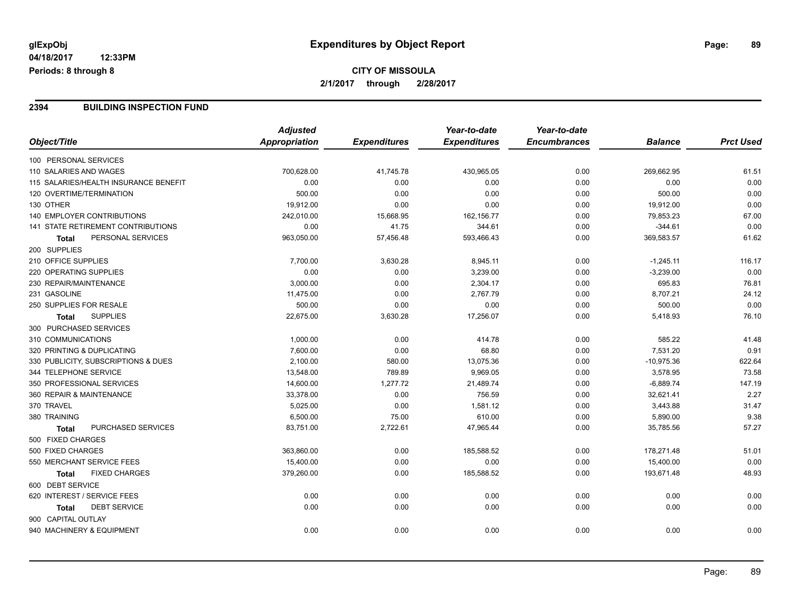# **CITY OF MISSOULA 2/1/2017 through 2/28/2017**

#### **2394 BUILDING INSPECTION FUND**

|                                           | <b>Adjusted</b>      |                     | Year-to-date        | Year-to-date        |                |                  |
|-------------------------------------------|----------------------|---------------------|---------------------|---------------------|----------------|------------------|
| Object/Title                              | <b>Appropriation</b> | <b>Expenditures</b> | <b>Expenditures</b> | <b>Encumbrances</b> | <b>Balance</b> | <b>Prct Used</b> |
| 100 PERSONAL SERVICES                     |                      |                     |                     |                     |                |                  |
| 110 SALARIES AND WAGES                    | 700,628.00           | 41,745.78           | 430,965.05          | 0.00                | 269,662.95     | 61.51            |
| 115 SALARIES/HEALTH INSURANCE BENEFIT     | 0.00                 | 0.00                | 0.00                | 0.00                | 0.00           | 0.00             |
| 120 OVERTIME/TERMINATION                  | 500.00               | 0.00                | 0.00                | 0.00                | 500.00         | 0.00             |
| 130 OTHER                                 | 19,912.00            | 0.00                | 0.00                | 0.00                | 19,912.00      | 0.00             |
| 140 EMPLOYER CONTRIBUTIONS                | 242,010.00           | 15,668.95           | 162,156.77          | 0.00                | 79,853.23      | 67.00            |
| <b>141 STATE RETIREMENT CONTRIBUTIONS</b> | 0.00                 | 41.75               | 344.61              | 0.00                | $-344.61$      | 0.00             |
| PERSONAL SERVICES<br><b>Total</b>         | 963,050.00           | 57,456.48           | 593,466.43          | 0.00                | 369,583.57     | 61.62            |
| 200 SUPPLIES                              |                      |                     |                     |                     |                |                  |
| 210 OFFICE SUPPLIES                       | 7,700.00             | 3,630.28            | 8,945.11            | 0.00                | $-1,245.11$    | 116.17           |
| 220 OPERATING SUPPLIES                    | 0.00                 | 0.00                | 3,239.00            | 0.00                | $-3,239.00$    | 0.00             |
| 230 REPAIR/MAINTENANCE                    | 3,000.00             | 0.00                | 2,304.17            | 0.00                | 695.83         | 76.81            |
| 231 GASOLINE                              | 11,475.00            | 0.00                | 2,767.79            | 0.00                | 8,707.21       | 24.12            |
| 250 SUPPLIES FOR RESALE                   | 500.00               | 0.00                | 0.00                | 0.00                | 500.00         | 0.00             |
| <b>SUPPLIES</b><br><b>Total</b>           | 22,675.00            | 3,630.28            | 17,256.07           | 0.00                | 5,418.93       | 76.10            |
| 300 PURCHASED SERVICES                    |                      |                     |                     |                     |                |                  |
| 310 COMMUNICATIONS                        | 1,000.00             | 0.00                | 414.78              | 0.00                | 585.22         | 41.48            |
| 320 PRINTING & DUPLICATING                | 7,600.00             | 0.00                | 68.80               | 0.00                | 7,531.20       | 0.91             |
| 330 PUBLICITY, SUBSCRIPTIONS & DUES       | 2,100.00             | 580.00              | 13,075.36           | 0.00                | $-10,975.36$   | 622.64           |
| 344 TELEPHONE SERVICE                     | 13,548.00            | 789.89              | 9,969.05            | 0.00                | 3,578.95       | 73.58            |
| 350 PROFESSIONAL SERVICES                 | 14,600.00            | 1,277.72            | 21,489.74           | 0.00                | $-6,889.74$    | 147.19           |
| 360 REPAIR & MAINTENANCE                  | 33,378.00            | 0.00                | 756.59              | 0.00                | 32,621.41      | 2.27             |
| 370 TRAVEL                                | 5,025.00             | 0.00                | 1,581.12            | 0.00                | 3,443.88       | 31.47            |
| 380 TRAINING                              | 6,500.00             | 75.00               | 610.00              | 0.00                | 5,890.00       | 9.38             |
| PURCHASED SERVICES<br><b>Total</b>        | 83,751.00            | 2,722.61            | 47,965.44           | 0.00                | 35,785.56      | 57.27            |
| 500 FIXED CHARGES                         |                      |                     |                     |                     |                |                  |
| 500 FIXED CHARGES                         | 363,860.00           | 0.00                | 185,588.52          | 0.00                | 178,271.48     | 51.01            |
| 550 MERCHANT SERVICE FEES                 | 15,400.00            | 0.00                | 0.00                | 0.00                | 15,400.00      | 0.00             |
| <b>FIXED CHARGES</b><br>Total             | 379,260.00           | 0.00                | 185,588.52          | 0.00                | 193,671.48     | 48.93            |
| 600 DEBT SERVICE                          |                      |                     |                     |                     |                |                  |
| 620 INTEREST / SERVICE FEES               | 0.00                 | 0.00                | 0.00                | 0.00                | 0.00           | 0.00             |
| <b>DEBT SERVICE</b><br>Total              | 0.00                 | 0.00                | 0.00                | 0.00                | 0.00           | 0.00             |
| 900 CAPITAL OUTLAY                        |                      |                     |                     |                     |                |                  |
| 940 MACHINERY & EQUIPMENT                 | 0.00                 | 0.00                | 0.00                | 0.00                | 0.00           | 0.00             |
|                                           |                      |                     |                     |                     |                |                  |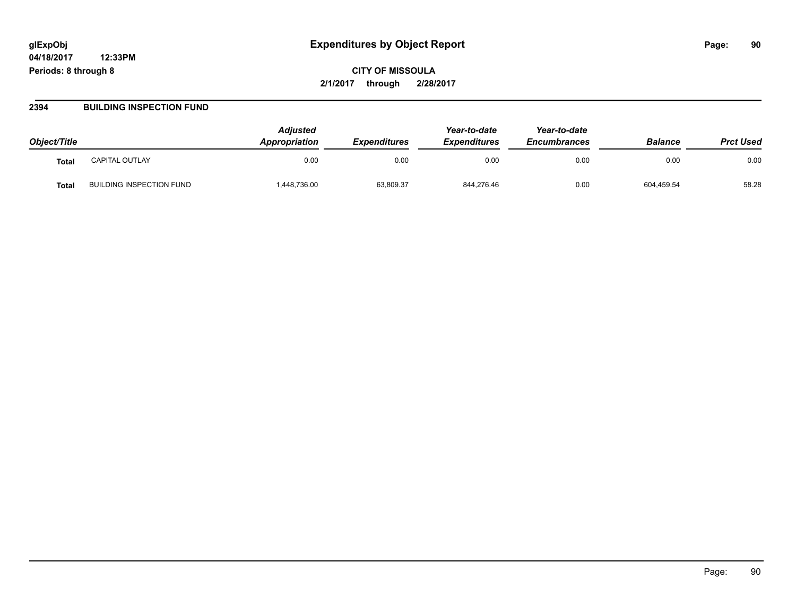# **glExpObj Expenditures by Object Report Page: 90**

**04/18/2017 12:33PM Periods: 8 through 8**

**2394 BUILDING INSPECTION FUND**

| Object/Title |                          | <b>Adiusted</b><br>Appropriation | <b>Expenditures</b> | Year-to-date<br><b>Expenditures</b> | Year-to-date<br><b>Encumbrances</b> | <b>Balance</b> | <b>Prct Used</b> |
|--------------|--------------------------|----------------------------------|---------------------|-------------------------------------|-------------------------------------|----------------|------------------|
| <b>Total</b> | CAPITAL OUTLAY           | 0.00                             | 0.00                | 0.00                                | 0.00                                | 0.00           | 0.00             |
| <b>Total</b> | BUILDING INSPECTION FUND | ,448,736.00                      | 63,809.37           | 844,276.46                          | 0.00                                | 604,459.54     | 58.28            |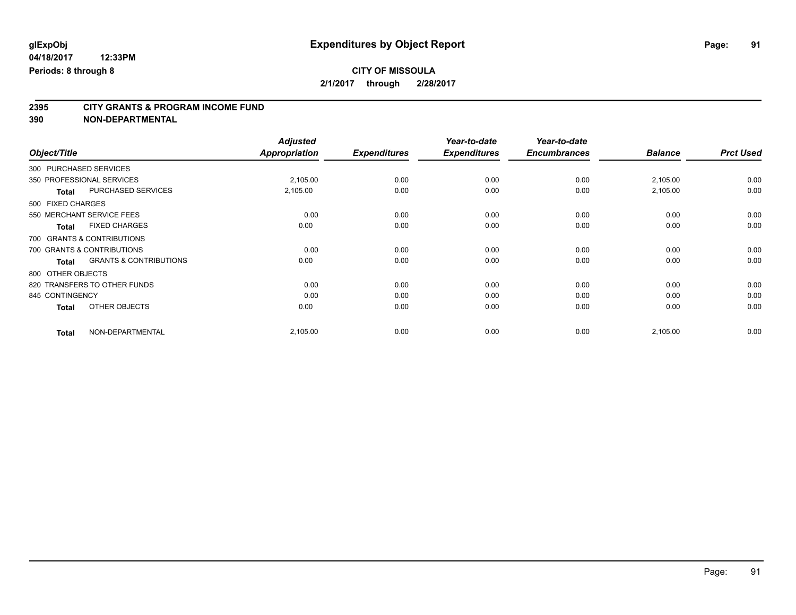# **2395 CITY GRANTS & PROGRAM INCOME FUND**

| Object/Title                 |                                   | <b>Adjusted</b><br><b>Appropriation</b> | <b>Expenditures</b> | Year-to-date<br><b>Expenditures</b> | Year-to-date<br><b>Encumbrances</b> | <b>Balance</b> | <b>Prct Used</b> |
|------------------------------|-----------------------------------|-----------------------------------------|---------------------|-------------------------------------|-------------------------------------|----------------|------------------|
| 300 PURCHASED SERVICES       |                                   |                                         |                     |                                     |                                     |                |                  |
| 350 PROFESSIONAL SERVICES    |                                   | 2,105.00                                | 0.00                | 0.00                                | 0.00                                | 2,105.00       | 0.00             |
| <b>Total</b>                 | PURCHASED SERVICES                | 2,105.00                                | 0.00                | 0.00                                | 0.00                                | 2,105.00       | 0.00             |
| 500 FIXED CHARGES            |                                   |                                         |                     |                                     |                                     |                |                  |
| 550 MERCHANT SERVICE FEES    |                                   | 0.00                                    | 0.00                | 0.00                                | 0.00                                | 0.00           | 0.00             |
| <b>Total</b>                 | <b>FIXED CHARGES</b>              | 0.00                                    | 0.00                | 0.00                                | 0.00                                | 0.00           | 0.00             |
| 700 GRANTS & CONTRIBUTIONS   |                                   |                                         |                     |                                     |                                     |                |                  |
| 700 GRANTS & CONTRIBUTIONS   |                                   | 0.00                                    | 0.00                | 0.00                                | 0.00                                | 0.00           | 0.00             |
| <b>Total</b>                 | <b>GRANTS &amp; CONTRIBUTIONS</b> | 0.00                                    | 0.00                | 0.00                                | 0.00                                | 0.00           | 0.00             |
| 800 OTHER OBJECTS            |                                   |                                         |                     |                                     |                                     |                |                  |
| 820 TRANSFERS TO OTHER FUNDS |                                   | 0.00                                    | 0.00                | 0.00                                | 0.00                                | 0.00           | 0.00             |
| 845 CONTINGENCY              |                                   | 0.00                                    | 0.00                | 0.00                                | 0.00                                | 0.00           | 0.00             |
| <b>Total</b>                 | OTHER OBJECTS                     | 0.00                                    | 0.00                | 0.00                                | 0.00                                | 0.00           | 0.00             |
| <b>Total</b>                 | NON-DEPARTMENTAL                  | 2,105.00                                | 0.00                | 0.00                                | 0.00                                | 2,105.00       | 0.00             |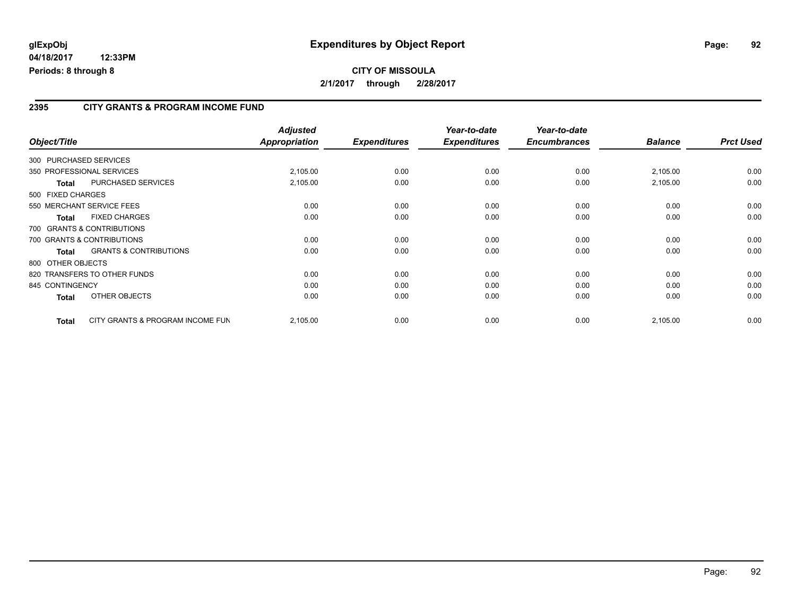#### **2395 CITY GRANTS & PROGRAM INCOME FUND**

| Object/Title           |                                   | <b>Adjusted</b><br><b>Appropriation</b> | <b>Expenditures</b> | Year-to-date<br><b>Expenditures</b> | Year-to-date<br><b>Encumbrances</b> | <b>Balance</b> | <b>Prct Used</b> |
|------------------------|-----------------------------------|-----------------------------------------|---------------------|-------------------------------------|-------------------------------------|----------------|------------------|
| 300 PURCHASED SERVICES |                                   |                                         |                     |                                     |                                     |                |                  |
|                        | 350 PROFESSIONAL SERVICES         | 2,105.00                                | 0.00                | 0.00                                | 0.00                                | 2,105.00       | 0.00             |
| <b>Total</b>           | <b>PURCHASED SERVICES</b>         | 2,105.00                                | 0.00                | 0.00                                | 0.00                                | 2,105.00       | 0.00             |
| 500 FIXED CHARGES      |                                   |                                         |                     |                                     |                                     |                |                  |
|                        | 550 MERCHANT SERVICE FEES         | 0.00                                    | 0.00                | 0.00                                | 0.00                                | 0.00           | 0.00             |
| <b>Total</b>           | <b>FIXED CHARGES</b>              | 0.00                                    | 0.00                | 0.00                                | 0.00                                | 0.00           | 0.00             |
|                        | 700 GRANTS & CONTRIBUTIONS        |                                         |                     |                                     |                                     |                |                  |
|                        | 700 GRANTS & CONTRIBUTIONS        | 0.00                                    | 0.00                | 0.00                                | 0.00                                | 0.00           | 0.00             |
| Total                  | <b>GRANTS &amp; CONTRIBUTIONS</b> | 0.00                                    | 0.00                | 0.00                                | 0.00                                | 0.00           | 0.00             |
| 800 OTHER OBJECTS      |                                   |                                         |                     |                                     |                                     |                |                  |
|                        | 820 TRANSFERS TO OTHER FUNDS      | 0.00                                    | 0.00                | 0.00                                | 0.00                                | 0.00           | 0.00             |
| 845 CONTINGENCY        |                                   | 0.00                                    | 0.00                | 0.00                                | 0.00                                | 0.00           | 0.00             |
| <b>Total</b>           | OTHER OBJECTS                     | 0.00                                    | 0.00                | 0.00                                | 0.00                                | 0.00           | 0.00             |
| <b>Total</b>           | CITY GRANTS & PROGRAM INCOME FUN  | 2,105.00                                | 0.00                | 0.00                                | 0.00                                | 2,105.00       | 0.00             |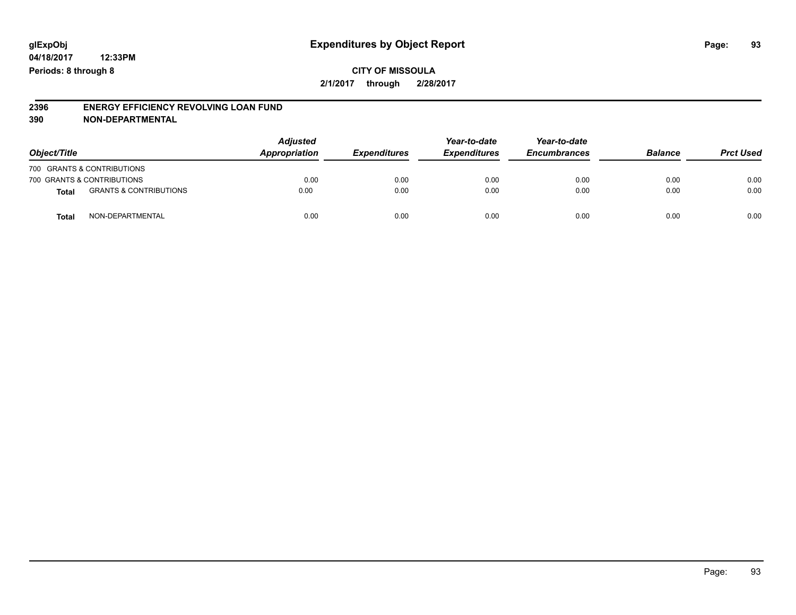# **2396 ENERGY EFFICIENCY REVOLVING LOAN FUND**

| Object/Title |                                   | <b>Adjusted</b><br>Appropriation | <b>Expenditures</b> | Year-to-date<br><b>Expenditures</b> | Year-to-date<br><b>Encumbrances</b> | <b>Balance</b> | <b>Prct Used</b> |
|--------------|-----------------------------------|----------------------------------|---------------------|-------------------------------------|-------------------------------------|----------------|------------------|
|              | 700 GRANTS & CONTRIBUTIONS        |                                  |                     |                                     |                                     |                |                  |
|              | 700 GRANTS & CONTRIBUTIONS        | 0.00                             | 0.00                | 0.00                                | 0.00                                | 0.00           | 0.00             |
| <b>Total</b> | <b>GRANTS &amp; CONTRIBUTIONS</b> | 0.00                             | 0.00                | 0.00                                | 0.00                                | 0.00           | 0.00             |
| Tota         | NON-DEPARTMENTAL                  | 0.00                             | 0.00                | 0.00                                | 0.00                                | 0.00           | 0.00             |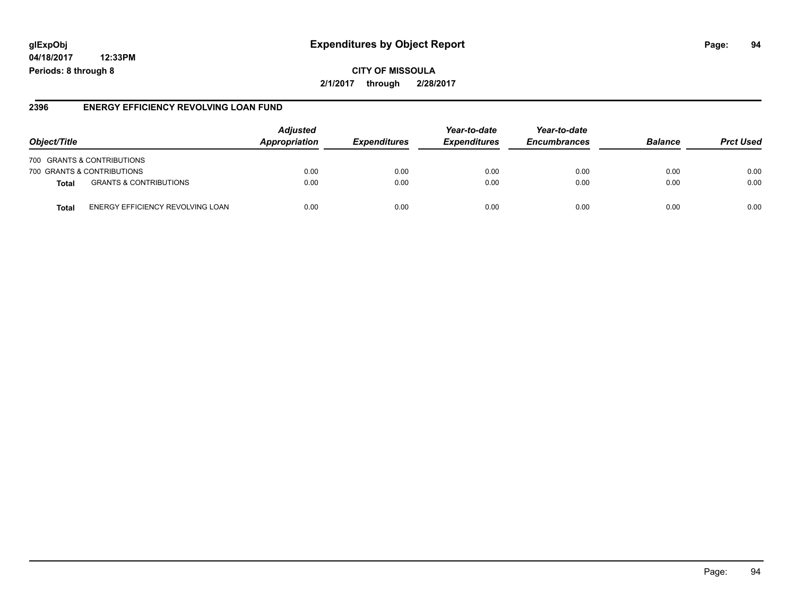# **glExpObj Expenditures by Object Report Page: 94**

**04/18/2017 12:33PM Periods: 8 through 8**

**2/1/2017 through 2/28/2017**

#### **2396 ENERGY EFFICIENCY REVOLVING LOAN FUND**

| Object/Title                                      | <b>Adjusted</b><br><b>Appropriation</b> | <b>Expenditures</b> | Year-to-date<br><b>Expenditures</b> | Year-to-date<br><b>Encumbrances</b> | <b>Balance</b> | <b>Prct Used</b> |
|---------------------------------------------------|-----------------------------------------|---------------------|-------------------------------------|-------------------------------------|----------------|------------------|
| 700 GRANTS & CONTRIBUTIONS                        |                                         |                     |                                     |                                     |                |                  |
| 700 GRANTS & CONTRIBUTIONS                        | 0.00                                    | 0.00                | 0.00                                | 0.00                                | 0.00           | 0.00             |
| <b>GRANTS &amp; CONTRIBUTIONS</b><br><b>Total</b> | 0.00                                    | 0.00                | 0.00                                | 0.00                                | 0.00           | 0.00             |
| ENERGY EFFICIENCY REVOLVING LOAN<br>Total         | 0.00                                    | 0.00                | 0.00                                | 0.00                                | 0.00           | 0.00             |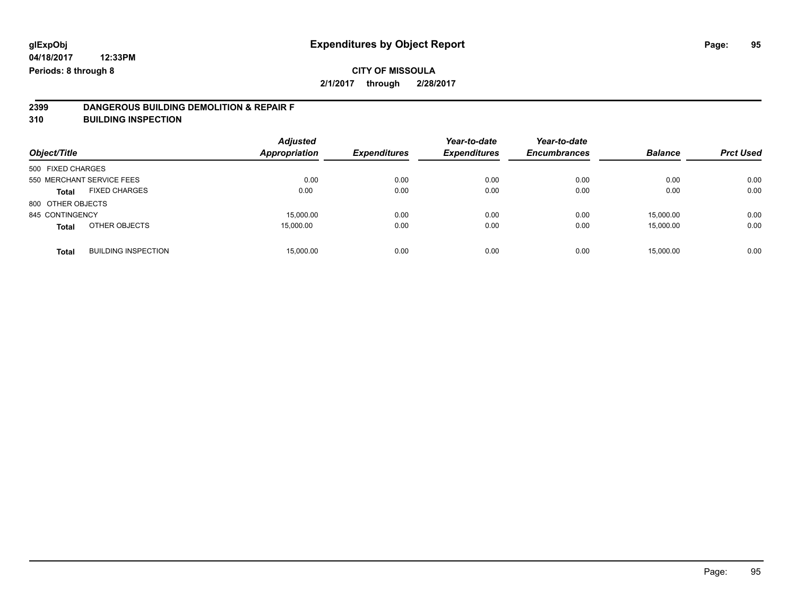# **2399 DANGEROUS BUILDING DEMOLITION & REPAIR F**

**310 BUILDING INSPECTION**

| Object/Title      |                            | <b>Adjusted</b><br>Appropriation | <b>Expenditures</b> | Year-to-date<br><b>Expenditures</b> | Year-to-date<br><b>Encumbrances</b> | <b>Balance</b> | <b>Prct Used</b> |
|-------------------|----------------------------|----------------------------------|---------------------|-------------------------------------|-------------------------------------|----------------|------------------|
| 500 FIXED CHARGES |                            |                                  |                     |                                     |                                     |                |                  |
|                   | 550 MERCHANT SERVICE FEES  | 0.00                             | 0.00                | 0.00                                | 0.00                                | 0.00           | 0.00             |
| <b>Total</b>      | <b>FIXED CHARGES</b>       | 0.00                             | 0.00                | 0.00                                | 0.00                                | 0.00           | 0.00             |
| 800 OTHER OBJECTS |                            |                                  |                     |                                     |                                     |                |                  |
| 845 CONTINGENCY   |                            | 15,000.00                        | 0.00                | 0.00                                | 0.00                                | 15,000.00      | 0.00             |
| <b>Total</b>      | OTHER OBJECTS              | 15,000.00                        | 0.00                | 0.00                                | 0.00                                | 15,000.00      | 0.00             |
| <b>Total</b>      | <b>BUILDING INSPECTION</b> | 15.000.00                        | 0.00                | 0.00                                | 0.00                                | 15.000.00      | 0.00             |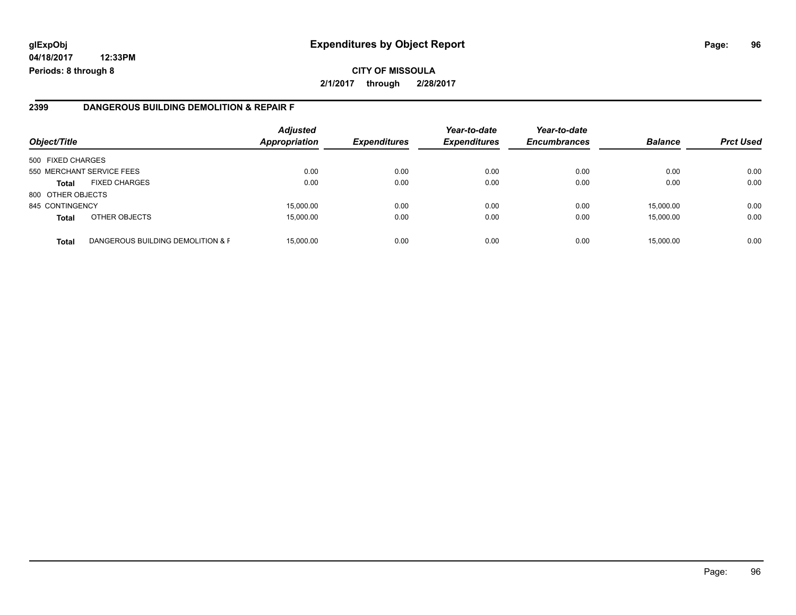# **glExpObj Expenditures by Object Report Page: 96**

**04/18/2017 12:33PM Periods: 8 through 8**

#### **2399 DANGEROUS BUILDING DEMOLITION & REPAIR F**

| Object/Title      |                                   | <b>Adjusted</b><br><b>Appropriation</b> | <b>Expenditures</b> | Year-to-date<br><b>Expenditures</b> | Year-to-date<br><b>Encumbrances</b> | <b>Balance</b> | <b>Prct Used</b> |
|-------------------|-----------------------------------|-----------------------------------------|---------------------|-------------------------------------|-------------------------------------|----------------|------------------|
| 500 FIXED CHARGES |                                   |                                         |                     |                                     |                                     |                |                  |
|                   | 550 MERCHANT SERVICE FEES         | 0.00                                    | 0.00                | 0.00                                | 0.00                                | 0.00           | 0.00             |
| <b>Total</b>      | <b>FIXED CHARGES</b>              | 0.00                                    | 0.00                | 0.00                                | 0.00                                | 0.00           | 0.00             |
| 800 OTHER OBJECTS |                                   |                                         |                     |                                     |                                     |                |                  |
| 845 CONTINGENCY   |                                   | 15,000.00                               | 0.00                | 0.00                                | 0.00                                | 15.000.00      | 0.00             |
| <b>Total</b>      | OTHER OBJECTS                     | 15,000.00                               | 0.00                | 0.00                                | 0.00                                | 15,000.00      | 0.00             |
| <b>Total</b>      | DANGEROUS BUILDING DEMOLITION & F | 15,000.00                               | 0.00                | 0.00                                | 0.00                                | 15,000.00      | 0.00             |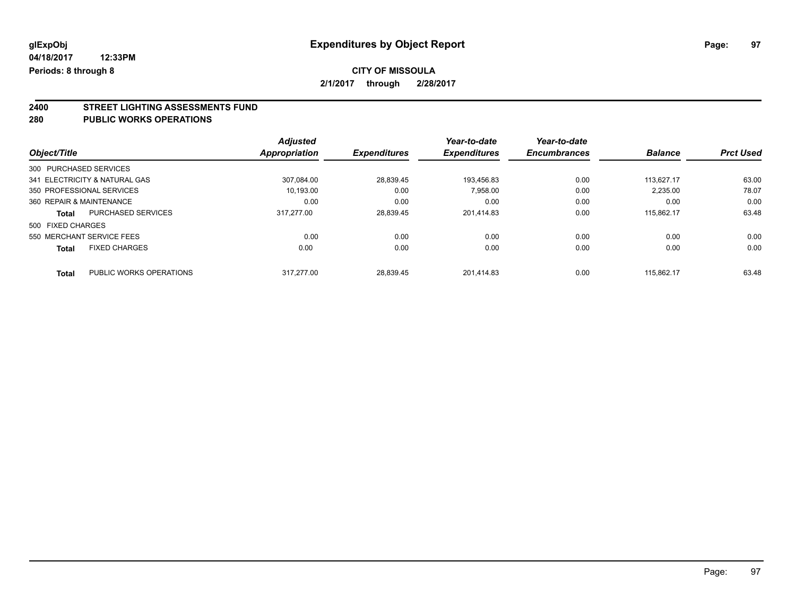# **CITY OF MISSOULA**

**2/1/2017 through 2/28/2017**

# **2400 STREET LIGHTING ASSESSMENTS FUND**

#### **280 PUBLIC WORKS OPERATIONS**

|                          |                               | <b>Adjusted</b>      |                     | Year-to-date        | Year-to-date        |                |                  |
|--------------------------|-------------------------------|----------------------|---------------------|---------------------|---------------------|----------------|------------------|
| Object/Title             |                               | <b>Appropriation</b> | <b>Expenditures</b> | <b>Expenditures</b> | <b>Encumbrances</b> | <b>Balance</b> | <b>Prct Used</b> |
| 300 PURCHASED SERVICES   |                               |                      |                     |                     |                     |                |                  |
|                          | 341 ELECTRICITY & NATURAL GAS | 307.084.00           | 28,839.45           | 193.456.83          | 0.00                | 113.627.17     | 63.00            |
|                          | 350 PROFESSIONAL SERVICES     | 10,193.00            | 0.00                | 7,958.00            | 0.00                | 2,235.00       | 78.07            |
| 360 REPAIR & MAINTENANCE |                               | 0.00                 | 0.00                | 0.00                | 0.00                | 0.00           | 0.00             |
| <b>Total</b>             | PURCHASED SERVICES            | 317.277.00           | 28,839.45           | 201.414.83          | 0.00                | 115.862.17     | 63.48            |
| 500 FIXED CHARGES        |                               |                      |                     |                     |                     |                |                  |
|                          | 550 MERCHANT SERVICE FEES     | 0.00                 | 0.00                | 0.00                | 0.00                | 0.00           | 0.00             |
| <b>Total</b>             | <b>FIXED CHARGES</b>          | 0.00                 | 0.00                | 0.00                | 0.00                | 0.00           | 0.00             |
| <b>Total</b>             | PUBLIC WORKS OPERATIONS       | 317.277.00           | 28.839.45           | 201.414.83          | 0.00                | 115.862.17     | 63.48            |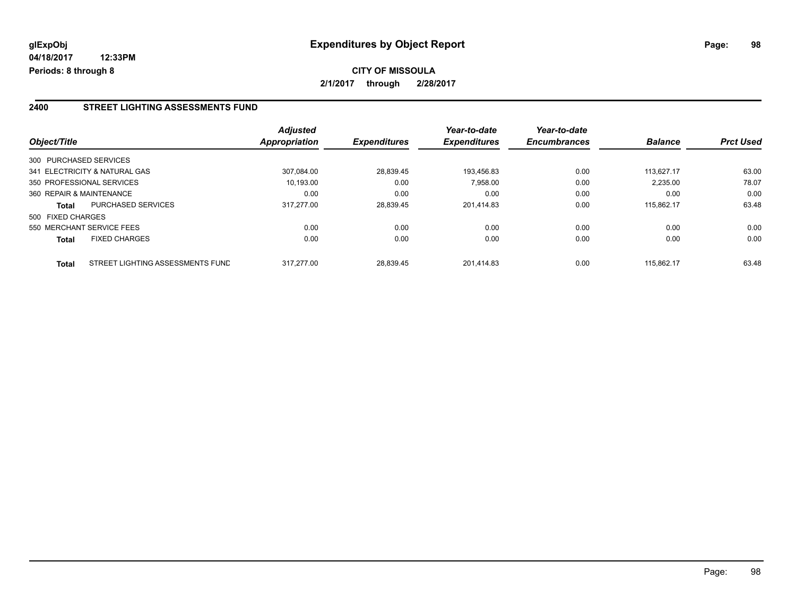#### **2400 STREET LIGHTING ASSESSMENTS FUND**

| Object/Title           |                                  | <b>Adjusted</b><br>Appropriation | <b>Expenditures</b> | Year-to-date<br><b>Expenditures</b> | Year-to-date<br><b>Encumbrances</b> | <b>Balance</b> | <b>Prct Used</b> |
|------------------------|----------------------------------|----------------------------------|---------------------|-------------------------------------|-------------------------------------|----------------|------------------|
| 300 PURCHASED SERVICES |                                  |                                  |                     |                                     |                                     |                |                  |
|                        | 341 ELECTRICITY & NATURAL GAS    | 307.084.00                       | 28,839.45           | 193.456.83                          | 0.00                                | 113.627.17     | 63.00            |
|                        | 350 PROFESSIONAL SERVICES        | 10.193.00                        | 0.00                | 7,958.00                            | 0.00                                | 2,235.00       | 78.07            |
|                        | 360 REPAIR & MAINTENANCE         | 0.00                             | 0.00                | 0.00                                | 0.00                                | 0.00           | 0.00             |
| <b>Total</b>           | <b>PURCHASED SERVICES</b>        | 317.277.00                       | 28,839.45           | 201.414.83                          | 0.00                                | 115.862.17     | 63.48            |
| 500 FIXED CHARGES      |                                  |                                  |                     |                                     |                                     |                |                  |
|                        | 550 MERCHANT SERVICE FEES        | 0.00                             | 0.00                | 0.00                                | 0.00                                | 0.00           | 0.00             |
| <b>Total</b>           | <b>FIXED CHARGES</b>             | 0.00                             | 0.00                | 0.00                                | 0.00                                | 0.00           | 0.00             |
| <b>Total</b>           | STREET LIGHTING ASSESSMENTS FUND | 317.277.00                       | 28.839.45           | 201.414.83                          | 0.00                                | 115.862.17     | 63.48            |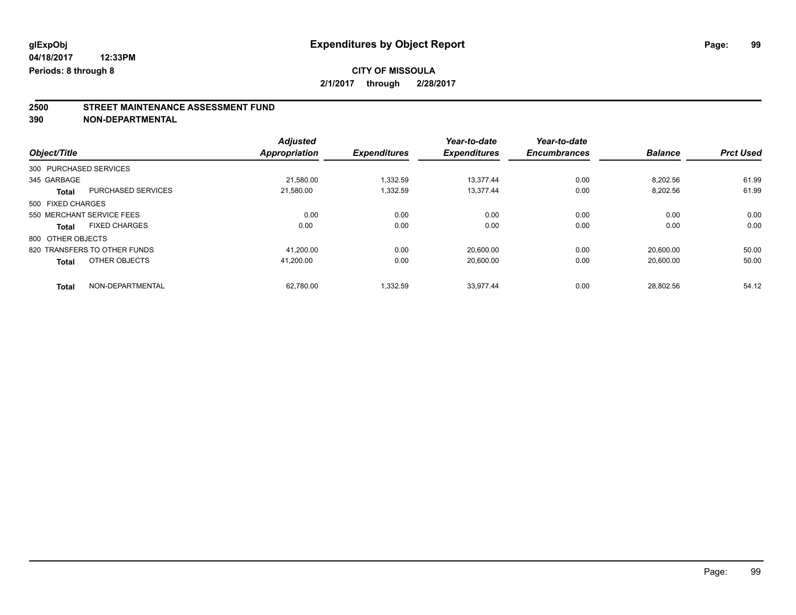### **CITY OF MISSOULA 2/1/2017 through 2/28/2017**

**2500 STREET MAINTENANCE ASSESSMENT FUND**

|                           |                              | <b>Adjusted</b>      |                     | Year-to-date        | Year-to-date        |                |                  |
|---------------------------|------------------------------|----------------------|---------------------|---------------------|---------------------|----------------|------------------|
| Object/Title              |                              | <b>Appropriation</b> | <b>Expenditures</b> | <b>Expenditures</b> | <b>Encumbrances</b> | <b>Balance</b> | <b>Prct Used</b> |
| 300 PURCHASED SERVICES    |                              |                      |                     |                     |                     |                |                  |
| 345 GARBAGE               |                              | 21.580.00            | 1.332.59            | 13.377.44           | 0.00                | 8.202.56       | 61.99            |
| <b>Total</b>              | <b>PURCHASED SERVICES</b>    | 21.580.00            | 1,332.59            | 13.377.44           | 0.00                | 8,202.56       | 61.99            |
| 500 FIXED CHARGES         |                              |                      |                     |                     |                     |                |                  |
| 550 MERCHANT SERVICE FEES |                              | 0.00                 | 0.00                | 0.00                | 0.00                | 0.00           | 0.00             |
| <b>Total</b>              | <b>FIXED CHARGES</b>         | 0.00                 | 0.00                | 0.00                | 0.00                | 0.00           | 0.00             |
| 800 OTHER OBJECTS         |                              |                      |                     |                     |                     |                |                  |
|                           | 820 TRANSFERS TO OTHER FUNDS | 41.200.00            | 0.00                | 20.600.00           | 0.00                | 20.600.00      | 50.00            |
| <b>Total</b>              | OTHER OBJECTS                | 41.200.00            | 0.00                | 20.600.00           | 0.00                | 20.600.00      | 50.00            |
| <b>Total</b>              | NON-DEPARTMENTAL             | 62.780.00            | 1.332.59            | 33.977.44           | 0.00                | 28.802.56      | 54.12            |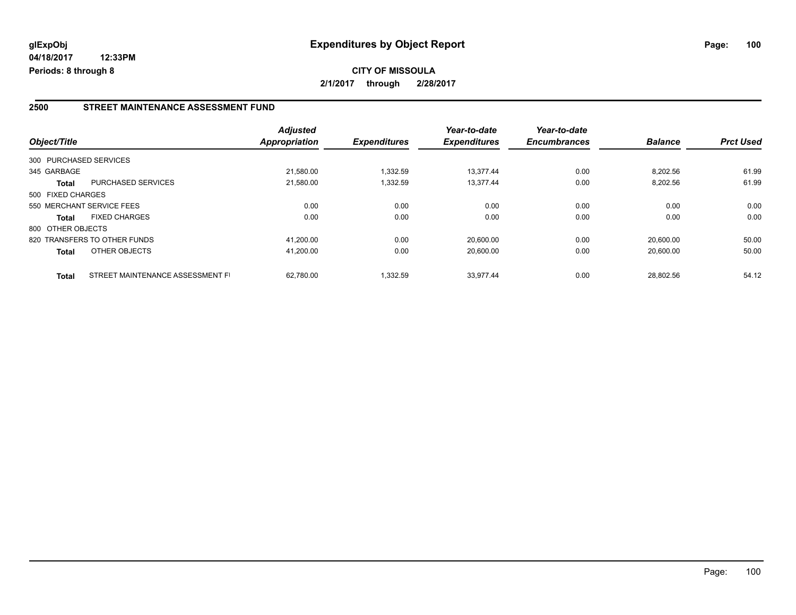#### **2500 STREET MAINTENANCE ASSESSMENT FUND**

| Object/Title           |                                  | <b>Adjusted</b><br>Appropriation | <b>Expenditures</b> | Year-to-date<br><b>Expenditures</b> | Year-to-date<br><b>Encumbrances</b> | <b>Balance</b> | <b>Prct Used</b> |
|------------------------|----------------------------------|----------------------------------|---------------------|-------------------------------------|-------------------------------------|----------------|------------------|
| 300 PURCHASED SERVICES |                                  |                                  |                     |                                     |                                     |                |                  |
| 345 GARBAGE            |                                  | 21.580.00                        | 1.332.59            | 13.377.44                           | 0.00                                | 8,202.56       | 61.99            |
| <b>Total</b>           | <b>PURCHASED SERVICES</b>        | 21,580.00                        | 1,332.59            | 13,377.44                           | 0.00                                | 8,202.56       | 61.99            |
| 500 FIXED CHARGES      |                                  |                                  |                     |                                     |                                     |                |                  |
|                        | 550 MERCHANT SERVICE FEES        | 0.00                             | 0.00                | 0.00                                | 0.00                                | 0.00           | 0.00             |
| <b>Total</b>           | <b>FIXED CHARGES</b>             | 0.00                             | 0.00                | 0.00                                | 0.00                                | 0.00           | 0.00             |
| 800 OTHER OBJECTS      |                                  |                                  |                     |                                     |                                     |                |                  |
|                        | 820 TRANSFERS TO OTHER FUNDS     | 41.200.00                        | 0.00                | 20.600.00                           | 0.00                                | 20.600.00      | 50.00            |
| <b>Total</b>           | OTHER OBJECTS                    | 41,200.00                        | 0.00                | 20,600.00                           | 0.00                                | 20,600.00      | 50.00            |
| <b>Total</b>           | STREET MAINTENANCE ASSESSMENT FI | 62.780.00                        | 1,332.59            | 33.977.44                           | 0.00                                | 28.802.56      | 54.12            |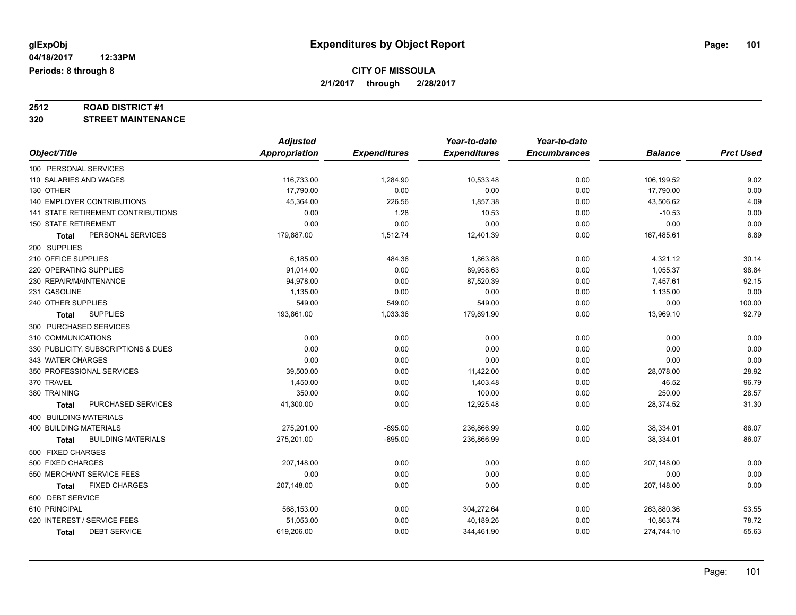# **2512 ROAD DISTRICT #1**

#### **320 STREET MAINTENANCE**

|                                           | <b>Adjusted</b> |                     | Year-to-date        | Year-to-date        |                |                  |
|-------------------------------------------|-----------------|---------------------|---------------------|---------------------|----------------|------------------|
| Object/Title                              | Appropriation   | <b>Expenditures</b> | <b>Expenditures</b> | <b>Encumbrances</b> | <b>Balance</b> | <b>Prct Used</b> |
| 100 PERSONAL SERVICES                     |                 |                     |                     |                     |                |                  |
| 110 SALARIES AND WAGES                    | 116,733.00      | 1,284.90            | 10,533.48           | 0.00                | 106,199.52     | 9.02             |
| 130 OTHER                                 | 17,790.00       | 0.00                | 0.00                | 0.00                | 17,790.00      | 0.00             |
| 140 EMPLOYER CONTRIBUTIONS                | 45,364.00       | 226.56              | 1,857.38            | 0.00                | 43,506.62      | 4.09             |
| 141 STATE RETIREMENT CONTRIBUTIONS        | 0.00            | 1.28                | 10.53               | 0.00                | $-10.53$       | 0.00             |
| <b>150 STATE RETIREMENT</b>               | 0.00            | 0.00                | 0.00                | 0.00                | 0.00           | 0.00             |
| PERSONAL SERVICES<br>Total                | 179,887.00      | 1,512.74            | 12,401.39           | 0.00                | 167,485.61     | 6.89             |
| 200 SUPPLIES                              |                 |                     |                     |                     |                |                  |
| 210 OFFICE SUPPLIES                       | 6,185.00        | 484.36              | 1,863.88            | 0.00                | 4,321.12       | 30.14            |
| 220 OPERATING SUPPLIES                    | 91,014.00       | 0.00                | 89,958.63           | 0.00                | 1,055.37       | 98.84            |
| 230 REPAIR/MAINTENANCE                    | 94,978.00       | 0.00                | 87,520.39           | 0.00                | 7,457.61       | 92.15            |
| 231 GASOLINE                              | 1,135.00        | 0.00                | 0.00                | 0.00                | 1,135.00       | 0.00             |
| 240 OTHER SUPPLIES                        | 549.00          | 549.00              | 549.00              | 0.00                | 0.00           | 100.00           |
| <b>SUPPLIES</b><br>Total                  | 193,861.00      | 1,033.36            | 179,891.90          | 0.00                | 13,969.10      | 92.79            |
| 300 PURCHASED SERVICES                    |                 |                     |                     |                     |                |                  |
| 310 COMMUNICATIONS                        | 0.00            | 0.00                | 0.00                | 0.00                | 0.00           | 0.00             |
| 330 PUBLICITY, SUBSCRIPTIONS & DUES       | 0.00            | 0.00                | 0.00                | 0.00                | 0.00           | 0.00             |
| 343 WATER CHARGES                         | 0.00            | 0.00                | 0.00                | 0.00                | 0.00           | 0.00             |
| 350 PROFESSIONAL SERVICES                 | 39,500.00       | 0.00                | 11,422.00           | 0.00                | 28,078.00      | 28.92            |
| 370 TRAVEL                                | 1,450.00        | 0.00                | 1,403.48            | 0.00                | 46.52          | 96.79            |
| 380 TRAINING                              | 350.00          | 0.00                | 100.00              | 0.00                | 250.00         | 28.57            |
| PURCHASED SERVICES<br>Total               | 41,300.00       | 0.00                | 12,925.48           | 0.00                | 28,374.52      | 31.30            |
| <b>400 BUILDING MATERIALS</b>             |                 |                     |                     |                     |                |                  |
| <b>400 BUILDING MATERIALS</b>             | 275,201.00      | $-895.00$           | 236,866.99          | 0.00                | 38,334.01      | 86.07            |
| <b>BUILDING MATERIALS</b><br><b>Total</b> | 275,201.00      | $-895.00$           | 236,866.99          | 0.00                | 38,334.01      | 86.07            |
| 500 FIXED CHARGES                         |                 |                     |                     |                     |                |                  |
| 500 FIXED CHARGES                         | 207,148.00      | 0.00                | 0.00                | 0.00                | 207,148.00     | 0.00             |
| 550 MERCHANT SERVICE FEES                 | 0.00            | 0.00                | 0.00                | 0.00                | 0.00           | 0.00             |
| <b>FIXED CHARGES</b><br>Total             | 207,148.00      | 0.00                | 0.00                | 0.00                | 207,148.00     | 0.00             |
| 600 DEBT SERVICE                          |                 |                     |                     |                     |                |                  |
| 610 PRINCIPAL                             | 568,153.00      | 0.00                | 304,272.64          | 0.00                | 263,880.36     | 53.55            |
| 620 INTEREST / SERVICE FEES               | 51,053.00       | 0.00                | 40,189.26           | 0.00                | 10,863.74      | 78.72            |
| <b>DEBT SERVICE</b><br><b>Total</b>       | 619,206.00      | 0.00                | 344,461.90          | 0.00                | 274,744.10     | 55.63            |
|                                           |                 |                     |                     |                     |                |                  |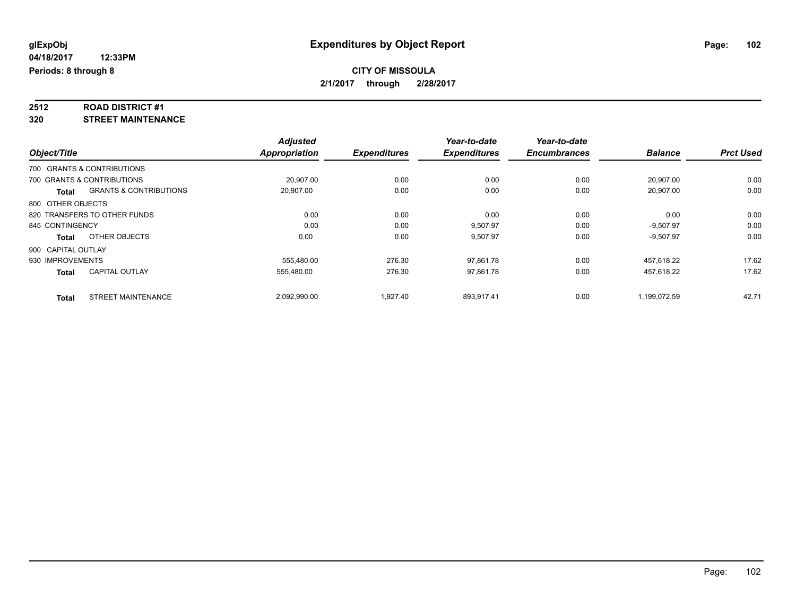# **2512 ROAD DISTRICT #1**

**320 STREET MAINTENANCE**

|                    |                                   | <b>Adjusted</b>      |                     | Year-to-date        | Year-to-date        |                |                  |
|--------------------|-----------------------------------|----------------------|---------------------|---------------------|---------------------|----------------|------------------|
| Object/Title       |                                   | <b>Appropriation</b> | <b>Expenditures</b> | <b>Expenditures</b> | <b>Encumbrances</b> | <b>Balance</b> | <b>Prct Used</b> |
|                    | 700 GRANTS & CONTRIBUTIONS        |                      |                     |                     |                     |                |                  |
|                    | 700 GRANTS & CONTRIBUTIONS        | 20.907.00            | 0.00                | 0.00                | 0.00                | 20,907.00      | 0.00             |
| <b>Total</b>       | <b>GRANTS &amp; CONTRIBUTIONS</b> | 20,907.00            | 0.00                | 0.00                | 0.00                | 20,907.00      | 0.00             |
| 800 OTHER OBJECTS  |                                   |                      |                     |                     |                     |                |                  |
|                    | 820 TRANSFERS TO OTHER FUNDS      | 0.00                 | 0.00                | 0.00                | 0.00                | 0.00           | 0.00             |
| 845 CONTINGENCY    |                                   | 0.00                 | 0.00                | 9.507.97            | 0.00                | $-9.507.97$    | 0.00             |
| <b>Total</b>       | OTHER OBJECTS                     | 0.00                 | 0.00                | 9,507.97            | 0.00                | $-9,507.97$    | 0.00             |
| 900 CAPITAL OUTLAY |                                   |                      |                     |                     |                     |                |                  |
| 930 IMPROVEMENTS   |                                   | 555.480.00           | 276.30              | 97,861.78           | 0.00                | 457.618.22     | 17.62            |
| <b>Total</b>       | <b>CAPITAL OUTLAY</b>             | 555.480.00           | 276.30              | 97,861.78           | 0.00                | 457,618.22     | 17.62            |
| <b>Total</b>       | <b>STREET MAINTENANCE</b>         | 2,092,990.00         | 1,927.40            | 893,917.41          | 0.00                | 1,199,072.59   | 42.71            |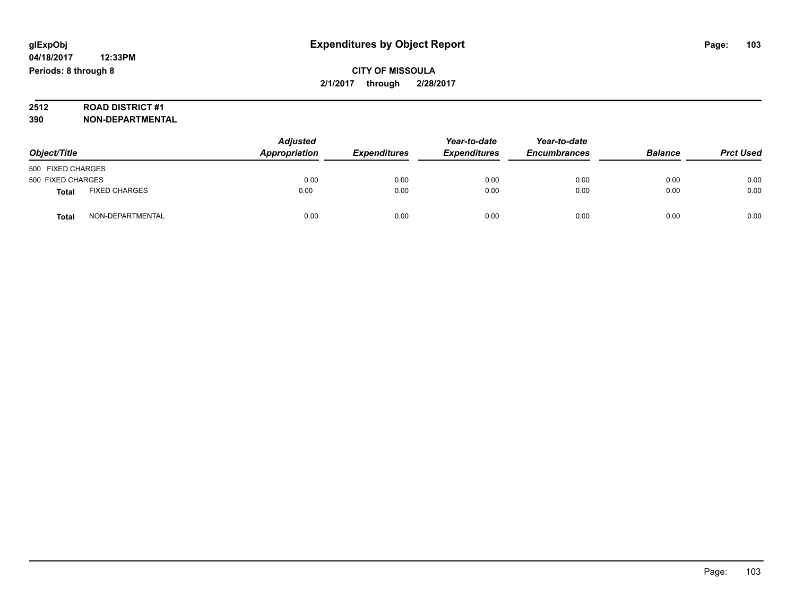# **CITY OF MISSOULA 2/1/2017 through 2/28/2017**

# **2512 ROAD DISTRICT #1**

| Object/Title      |                      | <b>Adjusted</b><br>Appropriation | <b>Expenditures</b> | Year-to-date<br><b>Expenditures</b> | Year-to-date<br><b>Encumbrances</b> | <b>Balance</b> | <b>Prct Used</b> |
|-------------------|----------------------|----------------------------------|---------------------|-------------------------------------|-------------------------------------|----------------|------------------|
| 500 FIXED CHARGES |                      |                                  |                     |                                     |                                     |                |                  |
| 500 FIXED CHARGES |                      | 0.00                             | 0.00                | 0.00                                | 0.00                                | 0.00           | 0.00             |
| <b>Total</b>      | <b>FIXED CHARGES</b> | 0.00                             | 0.00                | 0.00                                | 0.00                                | 0.00           | 0.00             |
| <b>Total</b>      | NON-DEPARTMENTAL     | 0.00                             | 0.00                | 0.00                                | 0.00                                | 0.00           | 0.00             |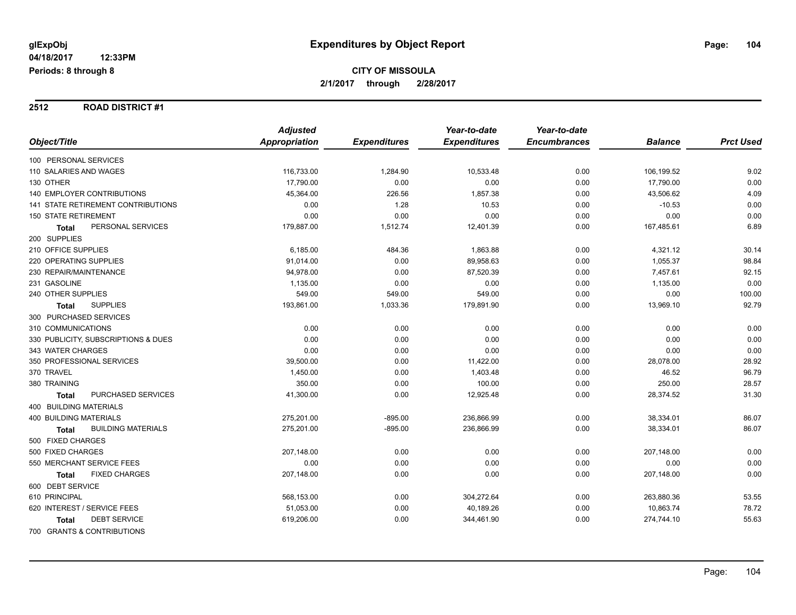#### **2512 ROAD DISTRICT #1**

|                                     | <b>Adjusted</b> |                     | Year-to-date        | Year-to-date        |                |                  |
|-------------------------------------|-----------------|---------------------|---------------------|---------------------|----------------|------------------|
| Object/Title                        | Appropriation   | <b>Expenditures</b> | <b>Expenditures</b> | <b>Encumbrances</b> | <b>Balance</b> | <b>Prct Used</b> |
| 100 PERSONAL SERVICES               |                 |                     |                     |                     |                |                  |
| 110 SALARIES AND WAGES              | 116,733.00      | 1,284.90            | 10,533.48           | 0.00                | 106,199.52     | 9.02             |
| 130 OTHER                           | 17,790.00       | 0.00                | 0.00                | 0.00                | 17,790.00      | 0.00             |
| <b>140 EMPLOYER CONTRIBUTIONS</b>   | 45,364.00       | 226.56              | 1,857.38            | 0.00                | 43,506.62      | 4.09             |
| 141 STATE RETIREMENT CONTRIBUTIONS  | 0.00            | 1.28                | 10.53               | 0.00                | $-10.53$       | 0.00             |
| 150 STATE RETIREMENT                | 0.00            | 0.00                | 0.00                | 0.00                | 0.00           | 0.00             |
| PERSONAL SERVICES<br><b>Total</b>   | 179,887.00      | 1,512.74            | 12,401.39           | 0.00                | 167,485.61     | 6.89             |
| 200 SUPPLIES                        |                 |                     |                     |                     |                |                  |
| 210 OFFICE SUPPLIES                 | 6,185.00        | 484.36              | 1,863.88            | 0.00                | 4,321.12       | 30.14            |
| 220 OPERATING SUPPLIES              | 91,014.00       | 0.00                | 89,958.63           | 0.00                | 1,055.37       | 98.84            |
| 230 REPAIR/MAINTENANCE              | 94,978.00       | 0.00                | 87,520.39           | 0.00                | 7,457.61       | 92.15            |
| 231 GASOLINE                        | 1,135.00        | 0.00                | 0.00                | 0.00                | 1,135.00       | 0.00             |
| 240 OTHER SUPPLIES                  | 549.00          | 549.00              | 549.00              | 0.00                | 0.00           | 100.00           |
| <b>SUPPLIES</b><br><b>Total</b>     | 193,861.00      | 1,033.36            | 179,891.90          | 0.00                | 13,969.10      | 92.79            |
| 300 PURCHASED SERVICES              |                 |                     |                     |                     |                |                  |
| 310 COMMUNICATIONS                  | 0.00            | 0.00                | 0.00                | 0.00                | 0.00           | 0.00             |
| 330 PUBLICITY, SUBSCRIPTIONS & DUES | 0.00            | 0.00                | 0.00                | 0.00                | 0.00           | 0.00             |
| 343 WATER CHARGES                   | 0.00            | 0.00                | 0.00                | 0.00                | 0.00           | 0.00             |
| 350 PROFESSIONAL SERVICES           | 39,500.00       | 0.00                | 11,422.00           | 0.00                | 28,078.00      | 28.92            |
| 370 TRAVEL                          | 1,450.00        | 0.00                | 1,403.48            | 0.00                | 46.52          | 96.79            |
| 380 TRAINING                        | 350.00          | 0.00                | 100.00              | 0.00                | 250.00         | 28.57            |
| PURCHASED SERVICES<br><b>Total</b>  | 41,300.00       | 0.00                | 12,925.48           | 0.00                | 28,374.52      | 31.30            |
| 400 BUILDING MATERIALS              |                 |                     |                     |                     |                |                  |
| <b>400 BUILDING MATERIALS</b>       | 275,201.00      | $-895.00$           | 236,866.99          | 0.00                | 38,334.01      | 86.07            |
| <b>BUILDING MATERIALS</b><br>Total  | 275,201.00      | $-895.00$           | 236,866.99          | 0.00                | 38,334.01      | 86.07            |
| 500 FIXED CHARGES                   |                 |                     |                     |                     |                |                  |
| 500 FIXED CHARGES                   | 207,148.00      | 0.00                | 0.00                | 0.00                | 207,148.00     | 0.00             |
| 550 MERCHANT SERVICE FEES           | 0.00            | 0.00                | 0.00                | 0.00                | 0.00           | 0.00             |
| <b>FIXED CHARGES</b><br>Total       | 207,148.00      | 0.00                | 0.00                | 0.00                | 207,148.00     | 0.00             |
| 600 DEBT SERVICE                    |                 |                     |                     |                     |                |                  |
| 610 PRINCIPAL                       | 568,153.00      | 0.00                | 304,272.64          | 0.00                | 263,880.36     | 53.55            |
| 620 INTEREST / SERVICE FEES         | 51,053.00       | 0.00                | 40,189.26           | 0.00                | 10,863.74      | 78.72            |
| <b>DEBT SERVICE</b><br><b>Total</b> | 619,206.00      | 0.00                | 344,461.90          | 0.00                | 274,744.10     | 55.63            |
| 700 GRANTS & CONTRIBUTIONS          |                 |                     |                     |                     |                |                  |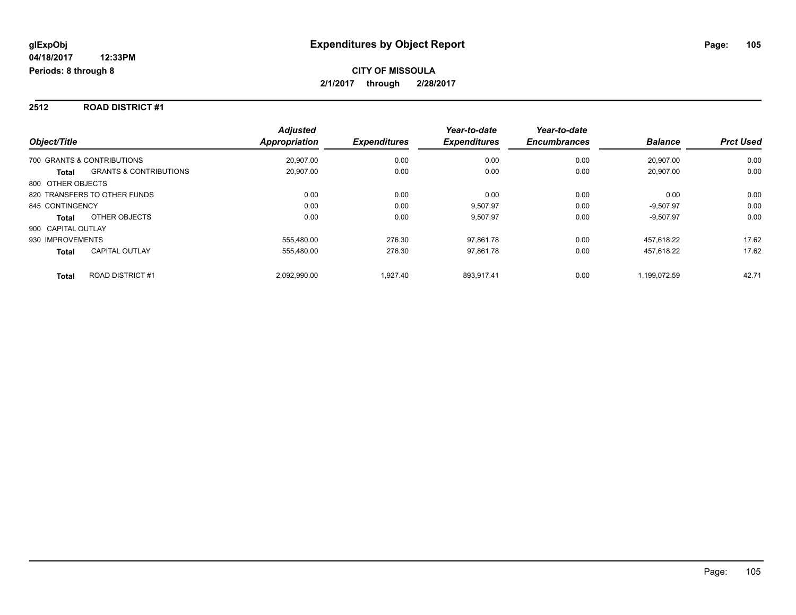#### **2512 ROAD DISTRICT #1**

| Object/Title                                      | <b>Adjusted</b><br>Appropriation | <b>Expenditures</b> | Year-to-date<br><b>Expenditures</b> | Year-to-date<br><b>Encumbrances</b> | <b>Balance</b> | <b>Prct Used</b> |
|---------------------------------------------------|----------------------------------|---------------------|-------------------------------------|-------------------------------------|----------------|------------------|
| 700 GRANTS & CONTRIBUTIONS                        | 20.907.00                        | 0.00                | 0.00                                | 0.00                                | 20.907.00      | 0.00             |
| <b>GRANTS &amp; CONTRIBUTIONS</b><br><b>Total</b> | 20,907.00                        | 0.00                | 0.00                                | 0.00                                | 20.907.00      | 0.00             |
| 800 OTHER OBJECTS                                 |                                  |                     |                                     |                                     |                |                  |
| 820 TRANSFERS TO OTHER FUNDS                      | 0.00                             | 0.00                | 0.00                                | 0.00                                | 0.00           | 0.00             |
| 845 CONTINGENCY                                   | 0.00                             | 0.00                | 9,507.97                            | 0.00                                | $-9.507.97$    | 0.00             |
| OTHER OBJECTS<br><b>Total</b>                     | 0.00                             | 0.00                | 9,507.97                            | 0.00                                | $-9,507.97$    | 0.00             |
| 900 CAPITAL OUTLAY                                |                                  |                     |                                     |                                     |                |                  |
| 930 IMPROVEMENTS                                  | 555.480.00                       | 276.30              | 97,861.78                           | 0.00                                | 457.618.22     | 17.62            |
| <b>CAPITAL OUTLAY</b><br><b>Total</b>             | 555.480.00                       | 276.30              | 97,861.78                           | 0.00                                | 457,618.22     | 17.62            |
| <b>ROAD DISTRICT#1</b><br><b>Total</b>            | 2,092,990.00                     | 1.927.40            | 893.917.41                          | 0.00                                | 1,199,072.59   | 42.71            |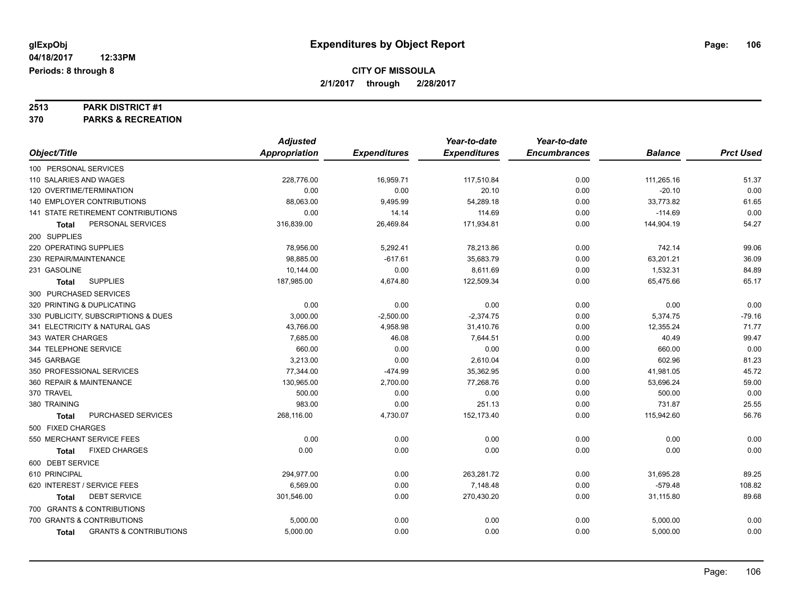# **2513 PARK DISTRICT #1**

**370 PARKS & RECREATION**

|                                                   | <b>Adjusted</b>      |                     | Year-to-date        | Year-to-date        |                |                  |
|---------------------------------------------------|----------------------|---------------------|---------------------|---------------------|----------------|------------------|
| Object/Title                                      | <b>Appropriation</b> | <b>Expenditures</b> | <b>Expenditures</b> | <b>Encumbrances</b> | <b>Balance</b> | <b>Prct Used</b> |
| 100 PERSONAL SERVICES                             |                      |                     |                     |                     |                |                  |
| 110 SALARIES AND WAGES                            | 228,776.00           | 16,959.71           | 117,510.84          | 0.00                | 111,265.16     | 51.37            |
| 120 OVERTIME/TERMINATION                          | 0.00                 | 0.00                | 20.10               | 0.00                | $-20.10$       | 0.00             |
| <b>140 EMPLOYER CONTRIBUTIONS</b>                 | 88,063.00            | 9,495.99            | 54,289.18           | 0.00                | 33,773.82      | 61.65            |
| 141 STATE RETIREMENT CONTRIBUTIONS                | 0.00                 | 14.14               | 114.69              | 0.00                | $-114.69$      | 0.00             |
| PERSONAL SERVICES<br>Total                        | 316,839.00           | 26,469.84           | 171,934.81          | 0.00                | 144,904.19     | 54.27            |
| 200 SUPPLIES                                      |                      |                     |                     |                     |                |                  |
| 220 OPERATING SUPPLIES                            | 78,956.00            | 5,292.41            | 78,213.86           | 0.00                | 742.14         | 99.06            |
| 230 REPAIR/MAINTENANCE                            | 98.885.00            | $-617.61$           | 35,683.79           | 0.00                | 63,201.21      | 36.09            |
| 231 GASOLINE                                      | 10,144.00            | 0.00                | 8,611.69            | 0.00                | 1,532.31       | 84.89            |
| <b>SUPPLIES</b><br>Total                          | 187,985.00           | 4,674.80            | 122,509.34          | 0.00                | 65,475.66      | 65.17            |
| 300 PURCHASED SERVICES                            |                      |                     |                     |                     |                |                  |
| 320 PRINTING & DUPLICATING                        | 0.00                 | 0.00                | 0.00                | 0.00                | 0.00           | 0.00             |
| 330 PUBLICITY, SUBSCRIPTIONS & DUES               | 3,000.00             | $-2,500.00$         | $-2,374.75$         | 0.00                | 5,374.75       | $-79.16$         |
| 341 ELECTRICITY & NATURAL GAS                     | 43,766.00            | 4,958.98            | 31,410.76           | 0.00                | 12,355.24      | 71.77            |
| 343 WATER CHARGES                                 | 7,685.00             | 46.08               | 7,644.51            | 0.00                | 40.49          | 99.47            |
| 344 TELEPHONE SERVICE                             | 660.00               | 0.00                | 0.00                | 0.00                | 660.00         | 0.00             |
| 345 GARBAGE                                       | 3,213.00             | 0.00                | 2,610.04            | 0.00                | 602.96         | 81.23            |
| 350 PROFESSIONAL SERVICES                         | 77,344.00            | $-474.99$           | 35,362.95           | 0.00                | 41,981.05      | 45.72            |
| 360 REPAIR & MAINTENANCE                          | 130,965.00           | 2,700.00            | 77,268.76           | 0.00                | 53,696.24      | 59.00            |
| 370 TRAVEL                                        | 500.00               | 0.00                | 0.00                | 0.00                | 500.00         | 0.00             |
| 380 TRAINING                                      | 983.00               | 0.00                | 251.13              | 0.00                | 731.87         | 25.55            |
| PURCHASED SERVICES<br><b>Total</b>                | 268,116.00           | 4,730.07            | 152,173.40          | 0.00                | 115,942.60     | 56.76            |
| 500 FIXED CHARGES                                 |                      |                     |                     |                     |                |                  |
| 550 MERCHANT SERVICE FEES                         | 0.00                 | 0.00                | 0.00                | 0.00                | 0.00           | 0.00             |
| <b>FIXED CHARGES</b><br><b>Total</b>              | 0.00                 | 0.00                | 0.00                | 0.00                | 0.00           | 0.00             |
| 600 DEBT SERVICE                                  |                      |                     |                     |                     |                |                  |
| 610 PRINCIPAL                                     | 294,977.00           | 0.00                | 263,281.72          | 0.00                | 31,695.28      | 89.25            |
| 620 INTEREST / SERVICE FEES                       | 6,569.00             | 0.00                | 7,148.48            | 0.00                | $-579.48$      | 108.82           |
| <b>DEBT SERVICE</b><br><b>Total</b>               | 301,546.00           | 0.00                | 270,430.20          | 0.00                | 31,115.80      | 89.68            |
| 700 GRANTS & CONTRIBUTIONS                        |                      |                     |                     |                     |                |                  |
| 700 GRANTS & CONTRIBUTIONS                        | 5,000.00             | 0.00                | 0.00                | 0.00                | 5,000.00       | 0.00             |
| <b>GRANTS &amp; CONTRIBUTIONS</b><br><b>Total</b> | 5,000.00             | 0.00                | 0.00                | 0.00                | 5,000.00       | 0.00             |
|                                                   |                      |                     |                     |                     |                |                  |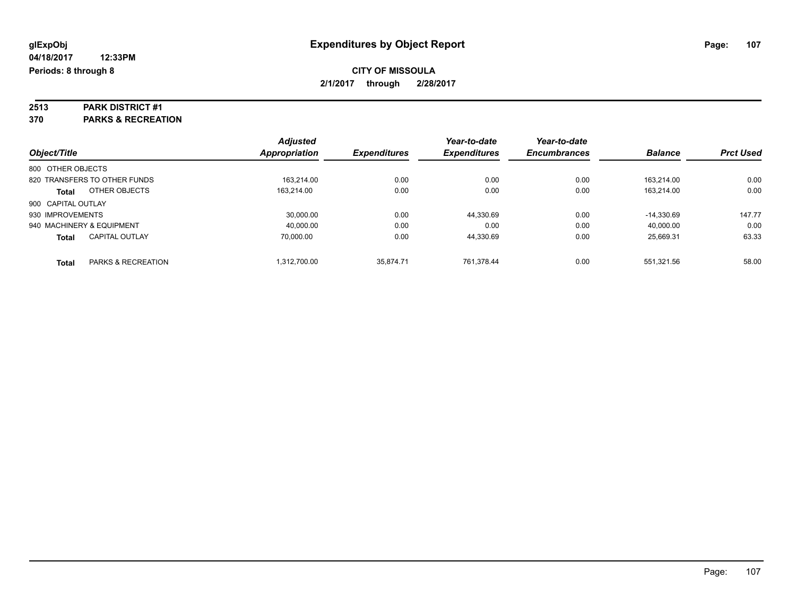# **2513 PARK DISTRICT #1**

**370 PARKS & RECREATION**

| Object/Title              |                               | <b>Adjusted</b>      | <b>Expenditures</b> | Year-to-date<br><b>Expenditures</b> | Year-to-date<br><b>Encumbrances</b> | <b>Balance</b> | <b>Prct Used</b> |
|---------------------------|-------------------------------|----------------------|---------------------|-------------------------------------|-------------------------------------|----------------|------------------|
|                           |                               | <b>Appropriation</b> |                     |                                     |                                     |                |                  |
| 800 OTHER OBJECTS         |                               |                      |                     |                                     |                                     |                |                  |
|                           | 820 TRANSFERS TO OTHER FUNDS  | 163.214.00           | 0.00                | 0.00                                | 0.00                                | 163.214.00     | 0.00             |
| <b>Total</b>              | OTHER OBJECTS                 | 163.214.00           | 0.00                | 0.00                                | 0.00                                | 163.214.00     | 0.00             |
| 900 CAPITAL OUTLAY        |                               |                      |                     |                                     |                                     |                |                  |
| 930 IMPROVEMENTS          |                               | 30.000.00            | 0.00                | 44,330.69                           | 0.00                                | $-14.330.69$   | 147.77           |
| 940 MACHINERY & EQUIPMENT |                               | 40.000.00            | 0.00                | 0.00                                | 0.00                                | 40.000.00      | 0.00             |
| <b>Total</b>              | <b>CAPITAL OUTLAY</b>         | 70.000.00            | 0.00                | 44.330.69                           | 0.00                                | 25.669.31      | 63.33            |
| <b>Total</b>              | <b>PARKS &amp; RECREATION</b> | 1.312.700.00         | 35.874.71           | 761.378.44                          | 0.00                                | 551.321.56     | 58.00            |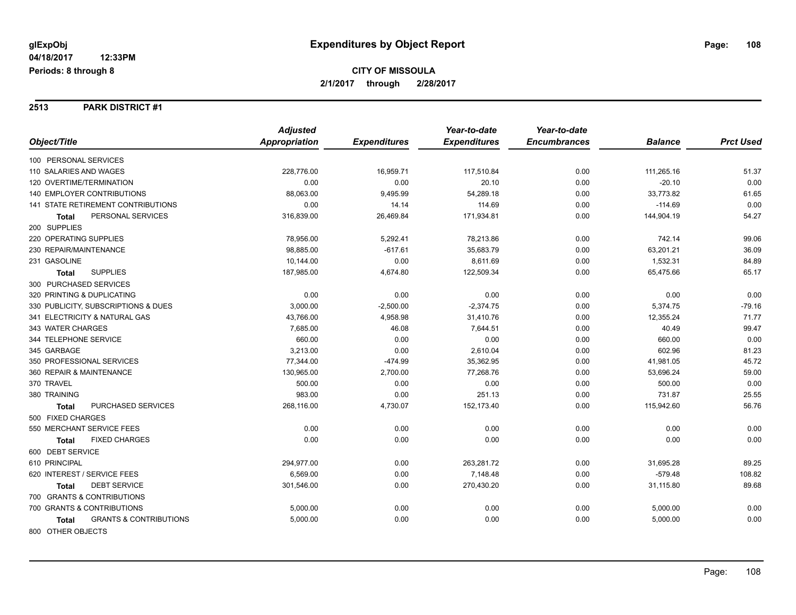#### **2513 PARK DISTRICT #1**

|                                                   | <b>Adjusted</b> |                     | Year-to-date        | Year-to-date        |                |                  |
|---------------------------------------------------|-----------------|---------------------|---------------------|---------------------|----------------|------------------|
| Object/Title                                      | Appropriation   | <b>Expenditures</b> | <b>Expenditures</b> | <b>Encumbrances</b> | <b>Balance</b> | <b>Prct Used</b> |
| 100 PERSONAL SERVICES                             |                 |                     |                     |                     |                |                  |
| 110 SALARIES AND WAGES                            | 228,776.00      | 16,959.71           | 117,510.84          | 0.00                | 111,265.16     | 51.37            |
| 120 OVERTIME/TERMINATION                          | 0.00            | 0.00                | 20.10               | 0.00                | $-20.10$       | 0.00             |
| <b>140 EMPLOYER CONTRIBUTIONS</b>                 | 88,063.00       | 9,495.99            | 54,289.18           | 0.00                | 33,773.82      | 61.65            |
| <b>141 STATE RETIREMENT CONTRIBUTIONS</b>         | 0.00            | 14.14               | 114.69              | 0.00                | $-114.69$      | 0.00             |
| PERSONAL SERVICES<br><b>Total</b>                 | 316,839.00      | 26,469.84           | 171,934.81          | 0.00                | 144,904.19     | 54.27            |
| 200 SUPPLIES                                      |                 |                     |                     |                     |                |                  |
| 220 OPERATING SUPPLIES                            | 78,956.00       | 5,292.41            | 78,213.86           | 0.00                | 742.14         | 99.06            |
| 230 REPAIR/MAINTENANCE                            | 98,885.00       | $-617.61$           | 35,683.79           | 0.00                | 63,201.21      | 36.09            |
| 231 GASOLINE                                      | 10,144.00       | 0.00                | 8,611.69            | 0.00                | 1,532.31       | 84.89            |
| <b>SUPPLIES</b><br>Total                          | 187,985.00      | 4,674.80            | 122,509.34          | 0.00                | 65,475.66      | 65.17            |
| 300 PURCHASED SERVICES                            |                 |                     |                     |                     |                |                  |
| 320 PRINTING & DUPLICATING                        | 0.00            | 0.00                | 0.00                | 0.00                | 0.00           | 0.00             |
| 330 PUBLICITY, SUBSCRIPTIONS & DUES               | 3,000.00        | $-2,500.00$         | $-2,374.75$         | 0.00                | 5,374.75       | $-79.16$         |
| 341 ELECTRICITY & NATURAL GAS                     | 43,766.00       | 4,958.98            | 31,410.76           | 0.00                | 12,355.24      | 71.77            |
| 343 WATER CHARGES                                 | 7,685.00        | 46.08               | 7,644.51            | 0.00                | 40.49          | 99.47            |
| 344 TELEPHONE SERVICE                             | 660.00          | 0.00                | 0.00                | 0.00                | 660.00         | 0.00             |
| 345 GARBAGE                                       | 3,213.00        | 0.00                | 2,610.04            | 0.00                | 602.96         | 81.23            |
| 350 PROFESSIONAL SERVICES                         | 77,344.00       | $-474.99$           | 35,362.95           | 0.00                | 41,981.05      | 45.72            |
| 360 REPAIR & MAINTENANCE                          | 130,965.00      | 2,700.00            | 77,268.76           | 0.00                | 53,696.24      | 59.00            |
| 370 TRAVEL                                        | 500.00          | 0.00                | 0.00                | 0.00                | 500.00         | 0.00             |
| 380 TRAINING                                      | 983.00          | 0.00                | 251.13              | 0.00                | 731.87         | 25.55            |
| PURCHASED SERVICES<br><b>Total</b>                | 268,116.00      | 4,730.07            | 152,173.40          | 0.00                | 115,942.60     | 56.76            |
| 500 FIXED CHARGES                                 |                 |                     |                     |                     |                |                  |
| 550 MERCHANT SERVICE FEES                         | 0.00            | 0.00                | 0.00                | 0.00                | 0.00           | 0.00             |
| <b>FIXED CHARGES</b><br><b>Total</b>              | 0.00            | 0.00                | 0.00                | 0.00                | 0.00           | 0.00             |
| 600 DEBT SERVICE                                  |                 |                     |                     |                     |                |                  |
| 610 PRINCIPAL                                     | 294,977.00      | 0.00                | 263,281.72          | 0.00                | 31,695.28      | 89.25            |
| 620 INTEREST / SERVICE FEES                       | 6,569.00        | 0.00                | 7,148.48            | 0.00                | $-579.48$      | 108.82           |
| <b>DEBT SERVICE</b><br><b>Total</b>               | 301,546.00      | 0.00                | 270,430.20          | 0.00                | 31,115.80      | 89.68            |
| 700 GRANTS & CONTRIBUTIONS                        |                 |                     |                     |                     |                |                  |
| 700 GRANTS & CONTRIBUTIONS                        | 5,000.00        | 0.00                | 0.00                | 0.00                | 5,000.00       | 0.00             |
| <b>GRANTS &amp; CONTRIBUTIONS</b><br><b>Total</b> | 5,000.00        | 0.00                | 0.00                | 0.00                | 5,000.00       | 0.00             |
| 800 OTHER OBJECTS                                 |                 |                     |                     |                     |                |                  |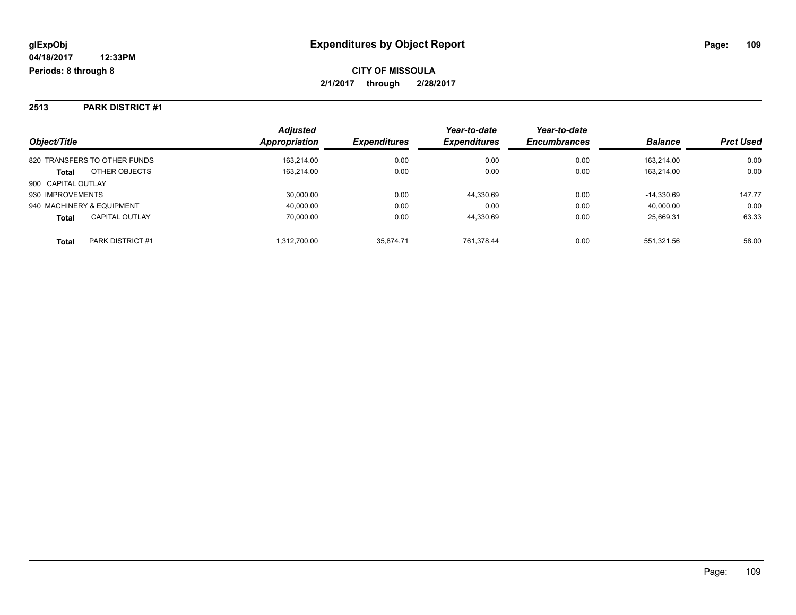#### **2513 PARK DISTRICT #1**

| Object/Title                          | <b>Adjusted</b><br>Appropriation | <b>Expenditures</b> | Year-to-date<br><b>Expenditures</b> | Year-to-date<br><b>Encumbrances</b> | <b>Balance</b> | <b>Prct Used</b> |
|---------------------------------------|----------------------------------|---------------------|-------------------------------------|-------------------------------------|----------------|------------------|
| 820 TRANSFERS TO OTHER FUNDS          | 163.214.00                       | 0.00                | 0.00                                | 0.00                                | 163.214.00     | 0.00             |
| OTHER OBJECTS<br><b>Total</b>         | 163,214.00                       | 0.00                | 0.00                                | 0.00                                | 163.214.00     | 0.00             |
| 900 CAPITAL OUTLAY                    |                                  |                     |                                     |                                     |                |                  |
| 930 IMPROVEMENTS                      | 30,000.00                        | 0.00                | 44,330.69                           | 0.00                                | $-14.330.69$   | 147.77           |
| 940 MACHINERY & EQUIPMENT             | 40,000.00                        | 0.00                | 0.00                                | 0.00                                | 40,000.00      | 0.00             |
| <b>CAPITAL OUTLAY</b><br><b>Total</b> | 70,000.00                        | 0.00                | 44.330.69                           | 0.00                                | 25.669.31      | 63.33            |
| PARK DISTRICT #1<br><b>Total</b>      | 1,312,700.00                     | 35.874.71           | 761.378.44                          | 0.00                                | 551,321.56     | 58.00            |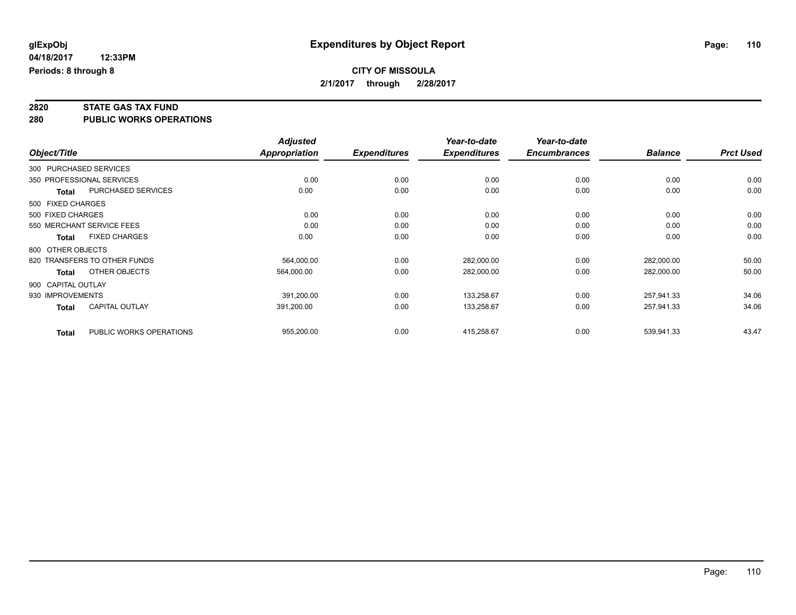# **2820 STATE GAS TAX FUND**

**280 PUBLIC WORKS OPERATIONS**

|                        |                              | <b>Adjusted</b>      |                     | Year-to-date        | Year-to-date        |                |                  |
|------------------------|------------------------------|----------------------|---------------------|---------------------|---------------------|----------------|------------------|
| Object/Title           |                              | <b>Appropriation</b> | <b>Expenditures</b> | <b>Expenditures</b> | <b>Encumbrances</b> | <b>Balance</b> | <b>Prct Used</b> |
| 300 PURCHASED SERVICES |                              |                      |                     |                     |                     |                |                  |
|                        | 350 PROFESSIONAL SERVICES    | 0.00                 | 0.00                | 0.00                | 0.00                | 0.00           | 0.00             |
| <b>Total</b>           | <b>PURCHASED SERVICES</b>    | 0.00                 | 0.00                | 0.00                | 0.00                | 0.00           | 0.00             |
| 500 FIXED CHARGES      |                              |                      |                     |                     |                     |                |                  |
| 500 FIXED CHARGES      |                              | 0.00                 | 0.00                | 0.00                | 0.00                | 0.00           | 0.00             |
|                        | 550 MERCHANT SERVICE FEES    | 0.00                 | 0.00                | 0.00                | 0.00                | 0.00           | 0.00             |
| <b>Total</b>           | <b>FIXED CHARGES</b>         | 0.00                 | 0.00                | 0.00                | 0.00                | 0.00           | 0.00             |
| 800 OTHER OBJECTS      |                              |                      |                     |                     |                     |                |                  |
|                        | 820 TRANSFERS TO OTHER FUNDS | 564,000.00           | 0.00                | 282,000.00          | 0.00                | 282,000.00     | 50.00            |
| Total                  | OTHER OBJECTS                | 564,000.00           | 0.00                | 282,000.00          | 0.00                | 282,000.00     | 50.00            |
| 900 CAPITAL OUTLAY     |                              |                      |                     |                     |                     |                |                  |
| 930 IMPROVEMENTS       |                              | 391,200.00           | 0.00                | 133,258.67          | 0.00                | 257,941.33     | 34.06            |
| <b>Total</b>           | CAPITAL OUTLAY               | 391,200.00           | 0.00                | 133,258.67          | 0.00                | 257,941.33     | 34.06            |
| <b>Total</b>           | PUBLIC WORKS OPERATIONS      | 955,200.00           | 0.00                | 415,258.67          | 0.00                | 539,941.33     | 43.47            |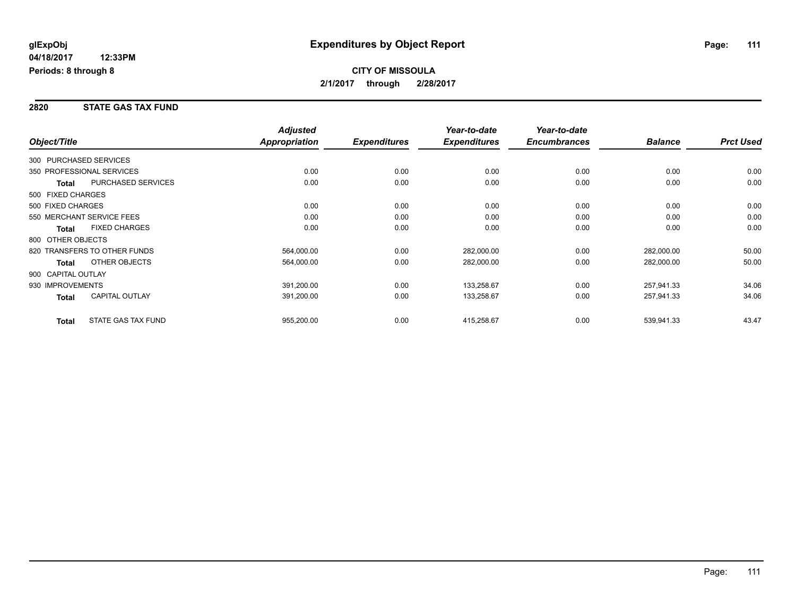#### **2820 STATE GAS TAX FUND**

|                        |                              | <b>Adjusted</b>      |                     | Year-to-date        | Year-to-date        |                |                  |
|------------------------|------------------------------|----------------------|---------------------|---------------------|---------------------|----------------|------------------|
| Object/Title           |                              | <b>Appropriation</b> | <b>Expenditures</b> | <b>Expenditures</b> | <b>Encumbrances</b> | <b>Balance</b> | <b>Prct Used</b> |
| 300 PURCHASED SERVICES |                              |                      |                     |                     |                     |                |                  |
|                        | 350 PROFESSIONAL SERVICES    | 0.00                 | 0.00                | 0.00                | 0.00                | 0.00           | 0.00             |
| <b>Total</b>           | <b>PURCHASED SERVICES</b>    | 0.00                 | 0.00                | 0.00                | 0.00                | 0.00           | 0.00             |
| 500 FIXED CHARGES      |                              |                      |                     |                     |                     |                |                  |
| 500 FIXED CHARGES      |                              | 0.00                 | 0.00                | 0.00                | 0.00                | 0.00           | 0.00             |
|                        | 550 MERCHANT SERVICE FEES    | 0.00                 | 0.00                | 0.00                | 0.00                | 0.00           | 0.00             |
| Total                  | <b>FIXED CHARGES</b>         | 0.00                 | 0.00                | 0.00                | 0.00                | 0.00           | 0.00             |
| 800 OTHER OBJECTS      |                              |                      |                     |                     |                     |                |                  |
|                        | 820 TRANSFERS TO OTHER FUNDS | 564,000.00           | 0.00                | 282,000.00          | 0.00                | 282,000.00     | 50.00            |
| Total                  | OTHER OBJECTS                | 564,000.00           | 0.00                | 282,000.00          | 0.00                | 282,000.00     | 50.00            |
| 900 CAPITAL OUTLAY     |                              |                      |                     |                     |                     |                |                  |
| 930 IMPROVEMENTS       |                              | 391,200.00           | 0.00                | 133,258.67          | 0.00                | 257,941.33     | 34.06            |
| Total                  | <b>CAPITAL OUTLAY</b>        | 391,200.00           | 0.00                | 133,258.67          | 0.00                | 257,941.33     | 34.06            |
| <b>Total</b>           | <b>STATE GAS TAX FUND</b>    | 955,200.00           | 0.00                | 415,258.67          | 0.00                | 539,941.33     | 43.47            |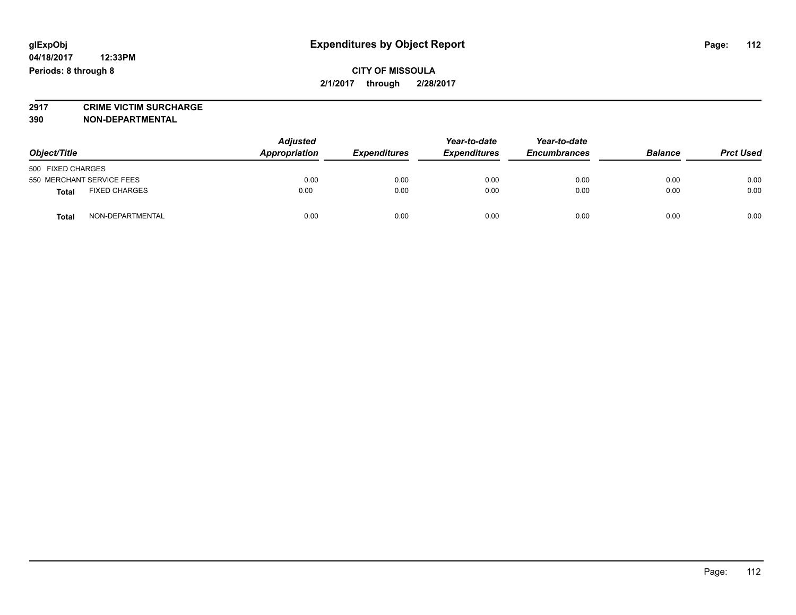# **2917 CRIME VICTIM SURCHARGE**

**390 NON-DEPARTMENTAL**

| Object/Title                         |                  | <b>Adjusted</b><br>Appropriation | <b>Expenditures</b> | Year-to-date<br><b>Expenditures</b> | Year-to-date<br><b>Encumbrances</b> | <b>Balance</b> | <b>Prct Used</b> |
|--------------------------------------|------------------|----------------------------------|---------------------|-------------------------------------|-------------------------------------|----------------|------------------|
| 500 FIXED CHARGES                    |                  |                                  |                     |                                     |                                     |                |                  |
| 550 MERCHANT SERVICE FEES            |                  | 0.00                             | 0.00                | 0.00                                | 0.00                                | 0.00           | 0.00             |
| <b>FIXED CHARGES</b><br><b>Total</b> |                  | 0.00                             | 0.00                | 0.00                                | 0.00                                | 0.00           | 0.00             |
| <b>Total</b>                         | NON-DEPARTMENTAL | 0.00                             | 0.00                | 0.00                                | 0.00                                | 0.00           | 0.00             |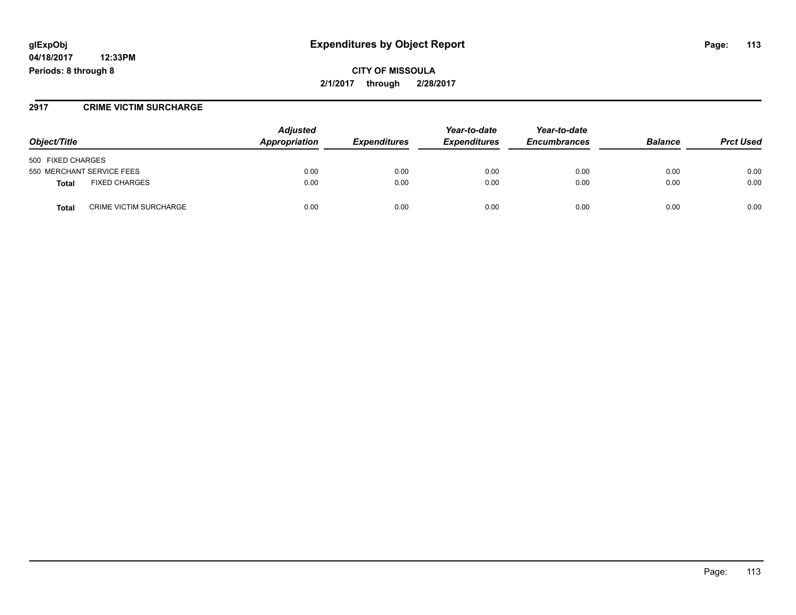## **glExpObj Expenditures by Object Report Page: 113**

**04/18/2017 12:33PM Periods: 8 through 8**

**CITY OF MISSOULA 2/1/2017 through 2/28/2017**

#### **2917 CRIME VICTIM SURCHARGE**

| Object/Title                                  | <b>Adjusted</b><br>Appropriation | <i><b>Expenditures</b></i> | Year-to-date<br><b>Expenditures</b> | Year-to-date<br><b>Encumbrances</b> | <b>Balance</b> | <b>Prct Used</b> |
|-----------------------------------------------|----------------------------------|----------------------------|-------------------------------------|-------------------------------------|----------------|------------------|
| 500 FIXED CHARGES                             |                                  |                            |                                     |                                     |                |                  |
| 550 MERCHANT SERVICE FEES                     | 0.00                             | 0.00                       | 0.00                                | 0.00                                | 0.00           | 0.00             |
| <b>FIXED CHARGES</b><br><b>Total</b>          | 0.00                             | 0.00                       | 0.00                                | 0.00                                | 0.00           | 0.00             |
| <b>CRIME VICTIM SURCHARGE</b><br><b>Total</b> | 0.00                             | 0.00                       | 0.00                                | 0.00                                | 0.00           | 0.00             |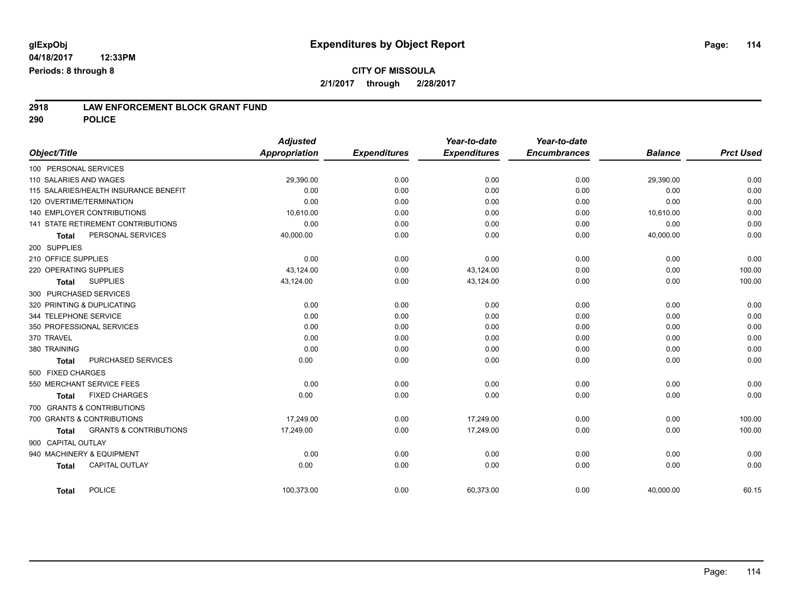# **2918 LAW ENFORCEMENT BLOCK GRANT FUND**

**290 POLICE**

| Object/Title        |                                       | <b>Adjusted</b><br><b>Appropriation</b> | <b>Expenditures</b> | Year-to-date<br><b>Expenditures</b> | Year-to-date<br><b>Encumbrances</b> | <b>Balance</b> | <b>Prct Used</b> |
|---------------------|---------------------------------------|-----------------------------------------|---------------------|-------------------------------------|-------------------------------------|----------------|------------------|
|                     | 100 PERSONAL SERVICES                 |                                         |                     |                                     |                                     |                |                  |
|                     | 110 SALARIES AND WAGES                | 29,390.00                               | 0.00                | 0.00                                | 0.00                                | 29,390.00      | 0.00             |
|                     | 115 SALARIES/HEALTH INSURANCE BENEFIT | 0.00                                    | 0.00                | 0.00                                | 0.00                                | 0.00           | 0.00             |
|                     | 120 OVERTIME/TERMINATION              | 0.00                                    | 0.00                | 0.00                                | 0.00                                | 0.00           | 0.00             |
|                     | <b>140 EMPLOYER CONTRIBUTIONS</b>     | 10.610.00                               | 0.00                | 0.00                                | 0.00                                | 10,610.00      | 0.00             |
|                     | 141 STATE RETIREMENT CONTRIBUTIONS    | 0.00                                    | 0.00                | 0.00                                | 0.00                                | 0.00           | 0.00             |
| <b>Total</b>        | PERSONAL SERVICES                     | 40,000.00                               | 0.00                | 0.00                                | 0.00                                | 40,000.00      | 0.00             |
| 200 SUPPLIES        |                                       |                                         |                     |                                     |                                     |                |                  |
| 210 OFFICE SUPPLIES |                                       | 0.00                                    | 0.00                | 0.00                                | 0.00                                | 0.00           | 0.00             |
|                     | 220 OPERATING SUPPLIES                | 43.124.00                               | 0.00                | 43,124.00                           | 0.00                                | 0.00           | 100.00           |
| <b>Total</b>        | <b>SUPPLIES</b>                       | 43,124.00                               | 0.00                | 43,124.00                           | 0.00                                | 0.00           | 100.00           |
|                     | 300 PURCHASED SERVICES                |                                         |                     |                                     |                                     |                |                  |
|                     | 320 PRINTING & DUPLICATING            | 0.00                                    | 0.00                | 0.00                                | 0.00                                | 0.00           | 0.00             |
|                     | 344 TELEPHONE SERVICE                 | 0.00                                    | 0.00                | 0.00                                | 0.00                                | 0.00           | 0.00             |
|                     | 350 PROFESSIONAL SERVICES             | 0.00                                    | 0.00                | 0.00                                | 0.00                                | 0.00           | 0.00             |
| 370 TRAVEL          |                                       | 0.00                                    | 0.00                | 0.00                                | 0.00                                | 0.00           | 0.00             |
| 380 TRAINING        |                                       | 0.00                                    | 0.00                | 0.00                                | 0.00                                | 0.00           | 0.00             |
| <b>Total</b>        | <b>PURCHASED SERVICES</b>             | 0.00                                    | 0.00                | 0.00                                | 0.00                                | 0.00           | 0.00             |
| 500 FIXED CHARGES   |                                       |                                         |                     |                                     |                                     |                |                  |
|                     | 550 MERCHANT SERVICE FEES             | 0.00                                    | 0.00                | 0.00                                | 0.00                                | 0.00           | 0.00             |
| <b>Total</b>        | <b>FIXED CHARGES</b>                  | 0.00                                    | 0.00                | 0.00                                | 0.00                                | 0.00           | 0.00             |
|                     | 700 GRANTS & CONTRIBUTIONS            |                                         |                     |                                     |                                     |                |                  |
|                     | 700 GRANTS & CONTRIBUTIONS            | 17.249.00                               | 0.00                | 17.249.00                           | 0.00                                | 0.00           | 100.00           |
| <b>Total</b>        | <b>GRANTS &amp; CONTRIBUTIONS</b>     | 17,249.00                               | 0.00                | 17,249.00                           | 0.00                                | 0.00           | 100.00           |
| 900 CAPITAL OUTLAY  |                                       |                                         |                     |                                     |                                     |                |                  |
|                     | 940 MACHINERY & EQUIPMENT             | 0.00                                    | 0.00                | 0.00                                | 0.00                                | 0.00           | 0.00             |
| <b>Total</b>        | <b>CAPITAL OUTLAY</b>                 | 0.00                                    | 0.00                | 0.00                                | 0.00                                | 0.00           | 0.00             |
|                     |                                       |                                         |                     |                                     |                                     |                |                  |
| <b>Total</b>        | POLICE                                | 100,373.00                              | 0.00                | 60,373.00                           | 0.00                                | 40,000.00      | 60.15            |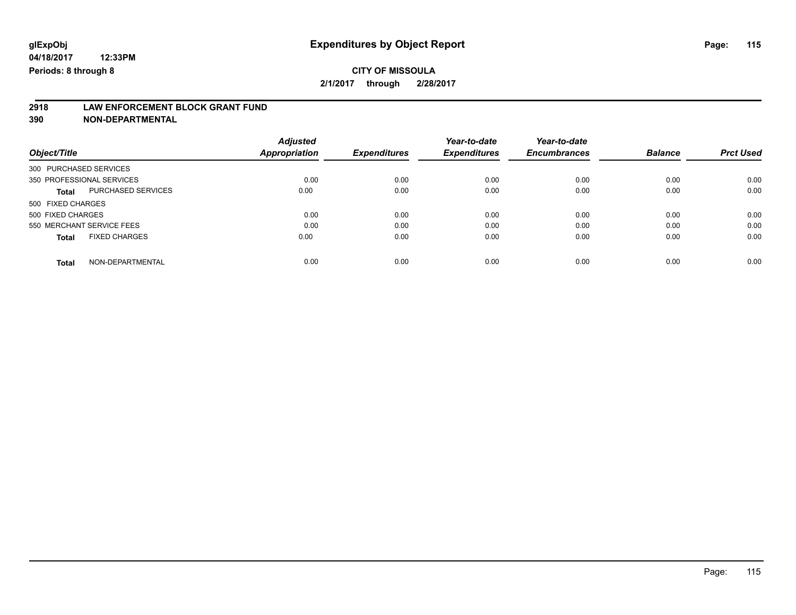# **2918 LAW ENFORCEMENT BLOCK GRANT FUND**

**390 NON-DEPARTMENTAL**

|                                           | <b>Adjusted</b> |                     | Year-to-date        | Year-to-date        |                |                  |
|-------------------------------------------|-----------------|---------------------|---------------------|---------------------|----------------|------------------|
| Object/Title                              | Appropriation   | <b>Expenditures</b> | <b>Expenditures</b> | <b>Encumbrances</b> | <b>Balance</b> | <b>Prct Used</b> |
| 300 PURCHASED SERVICES                    |                 |                     |                     |                     |                |                  |
| 350 PROFESSIONAL SERVICES                 | 0.00            | 0.00                | 0.00                | 0.00                | 0.00           | 0.00             |
| <b>PURCHASED SERVICES</b><br><b>Total</b> | 0.00            | 0.00                | 0.00                | 0.00                | 0.00           | 0.00             |
| 500 FIXED CHARGES                         |                 |                     |                     |                     |                |                  |
| 500 FIXED CHARGES                         | 0.00            | 0.00                | 0.00                | 0.00                | 0.00           | 0.00             |
| 550 MERCHANT SERVICE FEES                 | 0.00            | 0.00                | 0.00                | 0.00                | 0.00           | 0.00             |
| <b>FIXED CHARGES</b><br><b>Total</b>      | 0.00            | 0.00                | 0.00                | 0.00                | 0.00           | 0.00             |
| NON-DEPARTMENTAL<br><b>Total</b>          | 0.00            | 0.00                | 0.00                | 0.00                | 0.00           | 0.00             |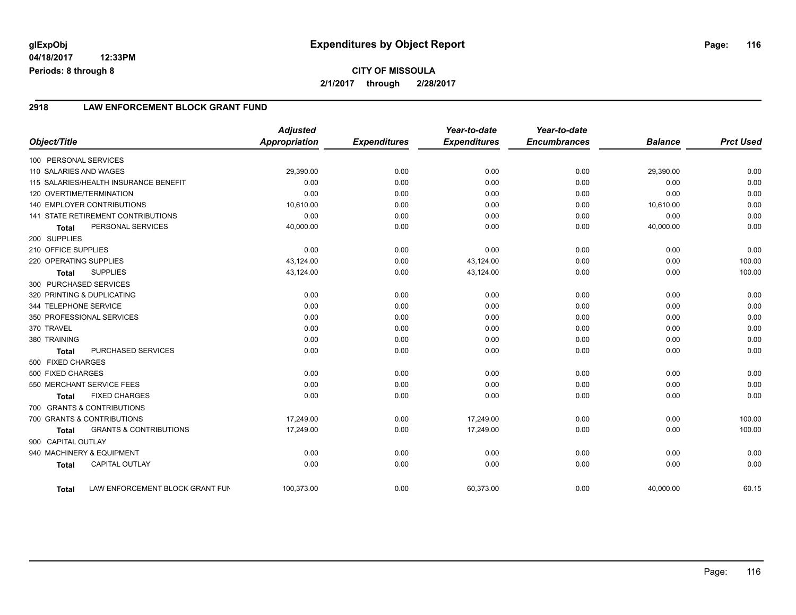#### **2918 LAW ENFORCEMENT BLOCK GRANT FUND**

|                        |                                           | <b>Adjusted</b>      |                     | Year-to-date        | Year-to-date        |                |                  |
|------------------------|-------------------------------------------|----------------------|---------------------|---------------------|---------------------|----------------|------------------|
| Object/Title           |                                           | <b>Appropriation</b> | <b>Expenditures</b> | <b>Expenditures</b> | <b>Encumbrances</b> | <b>Balance</b> | <b>Prct Used</b> |
| 100 PERSONAL SERVICES  |                                           |                      |                     |                     |                     |                |                  |
| 110 SALARIES AND WAGES |                                           | 29,390.00            | 0.00                | 0.00                | 0.00                | 29,390.00      | 0.00             |
|                        | 115 SALARIES/HEALTH INSURANCE BENEFIT     | 0.00                 | 0.00                | 0.00                | 0.00                | 0.00           | 0.00             |
|                        | 120 OVERTIME/TERMINATION                  | 0.00                 | 0.00                | 0.00                | 0.00                | 0.00           | 0.00             |
|                        | <b>140 EMPLOYER CONTRIBUTIONS</b>         | 10,610.00            | 0.00                | 0.00                | 0.00                | 10,610.00      | 0.00             |
|                        | <b>141 STATE RETIREMENT CONTRIBUTIONS</b> | 0.00                 | 0.00                | 0.00                | 0.00                | 0.00           | 0.00             |
| <b>Total</b>           | PERSONAL SERVICES                         | 40,000.00            | 0.00                | 0.00                | 0.00                | 40,000.00      | 0.00             |
| 200 SUPPLIES           |                                           |                      |                     |                     |                     |                |                  |
| 210 OFFICE SUPPLIES    |                                           | 0.00                 | 0.00                | 0.00                | 0.00                | 0.00           | 0.00             |
| 220 OPERATING SUPPLIES |                                           | 43,124.00            | 0.00                | 43,124.00           | 0.00                | 0.00           | 100.00           |
| <b>Total</b>           | <b>SUPPLIES</b>                           | 43,124.00            | 0.00                | 43,124.00           | 0.00                | 0.00           | 100.00           |
|                        | 300 PURCHASED SERVICES                    |                      |                     |                     |                     |                |                  |
|                        | 320 PRINTING & DUPLICATING                | 0.00                 | 0.00                | 0.00                | 0.00                | 0.00           | 0.00             |
| 344 TELEPHONE SERVICE  |                                           | 0.00                 | 0.00                | 0.00                | 0.00                | 0.00           | 0.00             |
|                        | 350 PROFESSIONAL SERVICES                 | 0.00                 | 0.00                | 0.00                | 0.00                | 0.00           | 0.00             |
| 370 TRAVEL             |                                           | 0.00                 | 0.00                | 0.00                | 0.00                | 0.00           | 0.00             |
| 380 TRAINING           |                                           | 0.00                 | 0.00                | 0.00                | 0.00                | 0.00           | 0.00             |
| <b>Total</b>           | PURCHASED SERVICES                        | 0.00                 | 0.00                | 0.00                | 0.00                | 0.00           | 0.00             |
| 500 FIXED CHARGES      |                                           |                      |                     |                     |                     |                |                  |
| 500 FIXED CHARGES      |                                           | 0.00                 | 0.00                | 0.00                | 0.00                | 0.00           | 0.00             |
|                        | 550 MERCHANT SERVICE FEES                 | 0.00                 | 0.00                | 0.00                | 0.00                | 0.00           | 0.00             |
| <b>Total</b>           | <b>FIXED CHARGES</b>                      | 0.00                 | 0.00                | 0.00                | 0.00                | 0.00           | 0.00             |
|                        | 700 GRANTS & CONTRIBUTIONS                |                      |                     |                     |                     |                |                  |
|                        | 700 GRANTS & CONTRIBUTIONS                | 17,249.00            | 0.00                | 17.249.00           | 0.00                | 0.00           | 100.00           |
| <b>Total</b>           | <b>GRANTS &amp; CONTRIBUTIONS</b>         | 17,249.00            | 0.00                | 17,249.00           | 0.00                | 0.00           | 100.00           |
| 900 CAPITAL OUTLAY     |                                           |                      |                     |                     |                     |                |                  |
|                        | 940 MACHINERY & EQUIPMENT                 | 0.00                 | 0.00                | 0.00                | 0.00                | 0.00           | 0.00             |
| <b>Total</b>           | CAPITAL OUTLAY                            | 0.00                 | 0.00                | 0.00                | 0.00                | 0.00           | 0.00             |
| <b>Total</b>           | LAW ENFORCEMENT BLOCK GRANT FUN           | 100,373.00           | 0.00                | 60,373.00           | 0.00                | 40,000.00      | 60.15            |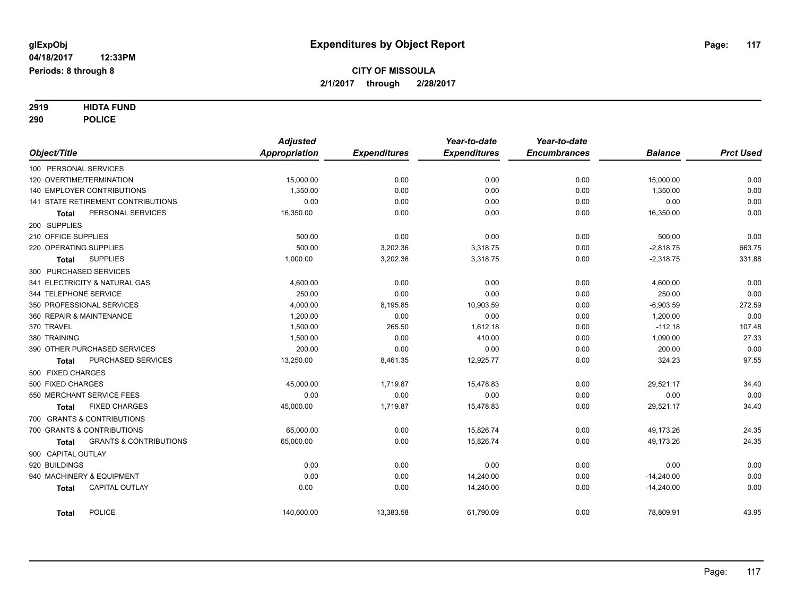# **2919 HIDTA FUND**

**290 POLICE**

|                                            | <b>Adjusted</b>      |                     | Year-to-date        | Year-to-date        |                |                  |
|--------------------------------------------|----------------------|---------------------|---------------------|---------------------|----------------|------------------|
| Object/Title                               | <b>Appropriation</b> | <b>Expenditures</b> | <b>Expenditures</b> | <b>Encumbrances</b> | <b>Balance</b> | <b>Prct Used</b> |
| 100 PERSONAL SERVICES                      |                      |                     |                     |                     |                |                  |
| 120 OVERTIME/TERMINATION                   | 15,000.00            | 0.00                | 0.00                | 0.00                | 15,000.00      | 0.00             |
| 140 EMPLOYER CONTRIBUTIONS                 | 1,350.00             | 0.00                | 0.00                | 0.00                | 1,350.00       | 0.00             |
| <b>141 STATE RETIREMENT CONTRIBUTIONS</b>  | 0.00                 | 0.00                | 0.00                | 0.00                | 0.00           | 0.00             |
| PERSONAL SERVICES<br><b>Total</b>          | 16,350.00            | 0.00                | 0.00                | 0.00                | 16,350.00      | 0.00             |
| 200 SUPPLIES                               |                      |                     |                     |                     |                |                  |
| 210 OFFICE SUPPLIES                        | 500.00               | 0.00                | 0.00                | 0.00                | 500.00         | 0.00             |
| 220 OPERATING SUPPLIES                     | 500.00               | 3,202.36            | 3,318.75            | 0.00                | $-2,818.75$    | 663.75           |
| <b>SUPPLIES</b><br>Total                   | 1,000.00             | 3,202.36            | 3,318.75            | 0.00                | $-2,318.75$    | 331.88           |
| 300 PURCHASED SERVICES                     |                      |                     |                     |                     |                |                  |
| 341 ELECTRICITY & NATURAL GAS              | 4,600.00             | 0.00                | 0.00                | 0.00                | 4,600.00       | 0.00             |
| 344 TELEPHONE SERVICE                      | 250.00               | 0.00                | 0.00                | 0.00                | 250.00         | 0.00             |
| 350 PROFESSIONAL SERVICES                  | 4,000.00             | 8,195.85            | 10,903.59           | 0.00                | $-6,903.59$    | 272.59           |
| 360 REPAIR & MAINTENANCE                   | 1,200.00             | 0.00                | 0.00                | 0.00                | 1,200.00       | 0.00             |
| 370 TRAVEL                                 | 1,500.00             | 265.50              | 1,612.18            | 0.00                | $-112.18$      | 107.48           |
| 380 TRAINING                               | 1,500.00             | 0.00                | 410.00              | 0.00                | 1,090.00       | 27.33            |
| 390 OTHER PURCHASED SERVICES               | 200.00               | 0.00                | 0.00                | 0.00                | 200.00         | 0.00             |
| PURCHASED SERVICES<br>Total                | 13,250.00            | 8,461.35            | 12,925.77           | 0.00                | 324.23         | 97.55            |
| 500 FIXED CHARGES                          |                      |                     |                     |                     |                |                  |
| 500 FIXED CHARGES                          | 45,000.00            | 1,719.87            | 15,478.83           | 0.00                | 29,521.17      | 34.40            |
| 550 MERCHANT SERVICE FEES                  | 0.00                 | 0.00                | 0.00                | 0.00                | 0.00           | 0.00             |
| <b>FIXED CHARGES</b><br><b>Total</b>       | 45,000.00            | 1,719.87            | 15,478.83           | 0.00                | 29,521.17      | 34.40            |
| 700 GRANTS & CONTRIBUTIONS                 |                      |                     |                     |                     |                |                  |
| 700 GRANTS & CONTRIBUTIONS                 | 65,000.00            | 0.00                | 15,826.74           | 0.00                | 49,173.26      | 24.35            |
| <b>GRANTS &amp; CONTRIBUTIONS</b><br>Total | 65,000.00            | 0.00                | 15,826.74           | 0.00                | 49,173.26      | 24.35            |
| 900 CAPITAL OUTLAY                         |                      |                     |                     |                     |                |                  |
| 920 BUILDINGS                              | 0.00                 | 0.00                | 0.00                | 0.00                | 0.00           | 0.00             |
| 940 MACHINERY & EQUIPMENT                  | 0.00                 | 0.00                | 14,240.00           | 0.00                | $-14,240.00$   | 0.00             |
| <b>CAPITAL OUTLAY</b><br><b>Total</b>      | 0.00                 | 0.00                | 14,240.00           | 0.00                | $-14,240.00$   | 0.00             |
| <b>POLICE</b><br><b>Total</b>              | 140,600.00           | 13,383.58           | 61,790.09           | 0.00                | 78,809.91      | 43.95            |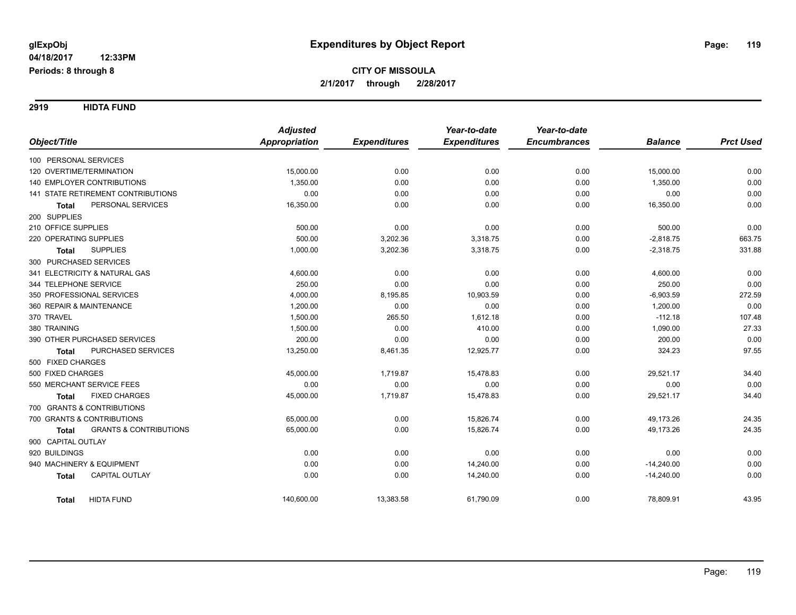**2919 HIDTA FUND**

|                                                   | <b>Adjusted</b>      |                     | Year-to-date        | Year-to-date        |                |                  |
|---------------------------------------------------|----------------------|---------------------|---------------------|---------------------|----------------|------------------|
| Object/Title                                      | <b>Appropriation</b> | <b>Expenditures</b> | <b>Expenditures</b> | <b>Encumbrances</b> | <b>Balance</b> | <b>Prct Used</b> |
| 100 PERSONAL SERVICES                             |                      |                     |                     |                     |                |                  |
| 120 OVERTIME/TERMINATION                          | 15,000.00            | 0.00                | 0.00                | 0.00                | 15,000.00      | 0.00             |
| 140 EMPLOYER CONTRIBUTIONS                        | 1,350.00             | 0.00                | 0.00                | 0.00                | 1,350.00       | 0.00             |
| 141 STATE RETIREMENT CONTRIBUTIONS                | 0.00                 | 0.00                | 0.00                | 0.00                | 0.00           | 0.00             |
| PERSONAL SERVICES<br><b>Total</b>                 | 16,350.00            | 0.00                | 0.00                | 0.00                | 16,350.00      | 0.00             |
| 200 SUPPLIES                                      |                      |                     |                     |                     |                |                  |
| 210 OFFICE SUPPLIES                               | 500.00               | 0.00                | 0.00                | 0.00                | 500.00         | 0.00             |
| 220 OPERATING SUPPLIES                            | 500.00               | 3,202.36            | 3,318.75            | 0.00                | $-2,818.75$    | 663.75           |
| <b>SUPPLIES</b><br><b>Total</b>                   | 1,000.00             | 3,202.36            | 3,318.75            | 0.00                | $-2,318.75$    | 331.88           |
| 300 PURCHASED SERVICES                            |                      |                     |                     |                     |                |                  |
| 341 ELECTRICITY & NATURAL GAS                     | 4,600.00             | 0.00                | 0.00                | 0.00                | 4,600.00       | 0.00             |
| 344 TELEPHONE SERVICE                             | 250.00               | 0.00                | 0.00                | 0.00                | 250.00         | 0.00             |
| 350 PROFESSIONAL SERVICES                         | 4,000.00             | 8,195.85            | 10,903.59           | 0.00                | $-6,903.59$    | 272.59           |
| 360 REPAIR & MAINTENANCE                          | 1,200.00             | 0.00                | 0.00                | 0.00                | 1,200.00       | 0.00             |
| 370 TRAVEL                                        | 1,500.00             | 265.50              | 1,612.18            | 0.00                | $-112.18$      | 107.48           |
| 380 TRAINING                                      | 1,500.00             | 0.00                | 410.00              | 0.00                | 1,090.00       | 27.33            |
| 390 OTHER PURCHASED SERVICES                      | 200.00               | 0.00                | 0.00                | 0.00                | 200.00         | 0.00             |
| PURCHASED SERVICES<br><b>Total</b>                | 13,250.00            | 8,461.35            | 12,925.77           | 0.00                | 324.23         | 97.55            |
| 500 FIXED CHARGES                                 |                      |                     |                     |                     |                |                  |
| 500 FIXED CHARGES                                 | 45,000.00            | 1,719.87            | 15,478.83           | 0.00                | 29,521.17      | 34.40            |
| 550 MERCHANT SERVICE FEES                         | 0.00                 | 0.00                | 0.00                | 0.00                | 0.00           | 0.00             |
| <b>FIXED CHARGES</b><br><b>Total</b>              | 45,000.00            | 1,719.87            | 15,478.83           | 0.00                | 29,521.17      | 34.40            |
| 700 GRANTS & CONTRIBUTIONS                        |                      |                     |                     |                     |                |                  |
| 700 GRANTS & CONTRIBUTIONS                        | 65,000.00            | 0.00                | 15,826.74           | 0.00                | 49,173.26      | 24.35            |
| <b>GRANTS &amp; CONTRIBUTIONS</b><br><b>Total</b> | 65,000.00            | 0.00                | 15,826.74           | 0.00                | 49,173.26      | 24.35            |
| 900 CAPITAL OUTLAY                                |                      |                     |                     |                     |                |                  |
| 920 BUILDINGS                                     | 0.00                 | 0.00                | 0.00                | 0.00                | 0.00           | 0.00             |
| 940 MACHINERY & EQUIPMENT                         | 0.00                 | 0.00                | 14,240.00           | 0.00                | $-14,240.00$   | 0.00             |
| CAPITAL OUTLAY<br><b>Total</b>                    | 0.00                 | 0.00                | 14,240.00           | 0.00                | $-14,240.00$   | 0.00             |
| <b>HIDTA FUND</b><br><b>Total</b>                 | 140,600.00           | 13,383.58           | 61,790.09           | 0.00                | 78,809.91      | 43.95            |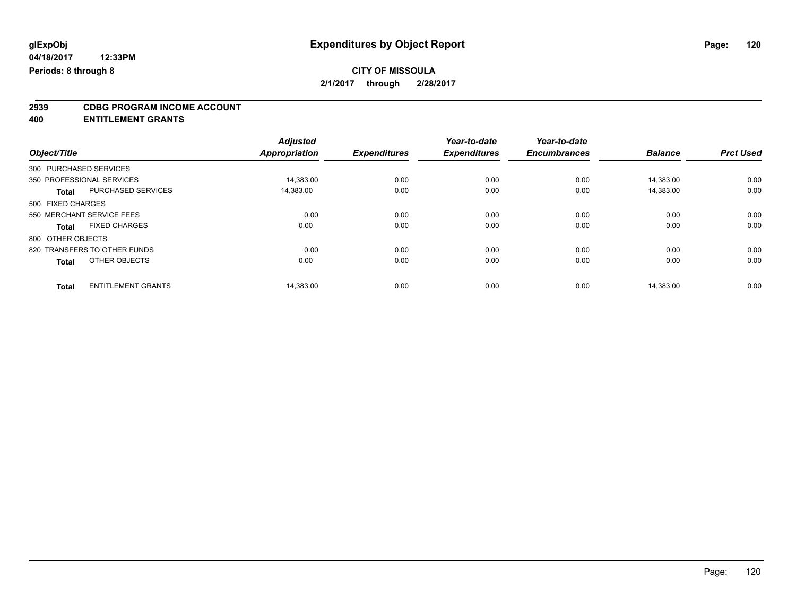# **2939 CDBG PROGRAM INCOME ACCOUNT**

**400 ENTITLEMENT GRANTS**

|                                           | <b>Adjusted</b>      |                     | Year-to-date        | Year-to-date        |                |                  |
|-------------------------------------------|----------------------|---------------------|---------------------|---------------------|----------------|------------------|
| Object/Title                              | <b>Appropriation</b> | <b>Expenditures</b> | <b>Expenditures</b> | <b>Encumbrances</b> | <b>Balance</b> | <b>Prct Used</b> |
| 300 PURCHASED SERVICES                    |                      |                     |                     |                     |                |                  |
| 350 PROFESSIONAL SERVICES                 | 14,383.00            | 0.00                | 0.00                | 0.00                | 14.383.00      | 0.00             |
| PURCHASED SERVICES<br><b>Total</b>        | 14,383.00            | 0.00                | 0.00                | 0.00                | 14,383.00      | 0.00             |
| 500 FIXED CHARGES                         |                      |                     |                     |                     |                |                  |
| 550 MERCHANT SERVICE FEES                 | 0.00                 | 0.00                | 0.00                | 0.00                | 0.00           | 0.00             |
| <b>FIXED CHARGES</b><br><b>Total</b>      | 0.00                 | 0.00                | 0.00                | 0.00                | 0.00           | 0.00             |
| 800 OTHER OBJECTS                         |                      |                     |                     |                     |                |                  |
| 820 TRANSFERS TO OTHER FUNDS              | 0.00                 | 0.00                | 0.00                | 0.00                | 0.00           | 0.00             |
| OTHER OBJECTS<br><b>Total</b>             | 0.00                 | 0.00                | 0.00                | 0.00                | 0.00           | 0.00             |
| <b>ENTITLEMENT GRANTS</b><br><b>Total</b> | 14.383.00            | 0.00                | 0.00                | 0.00                | 14.383.00      | 0.00             |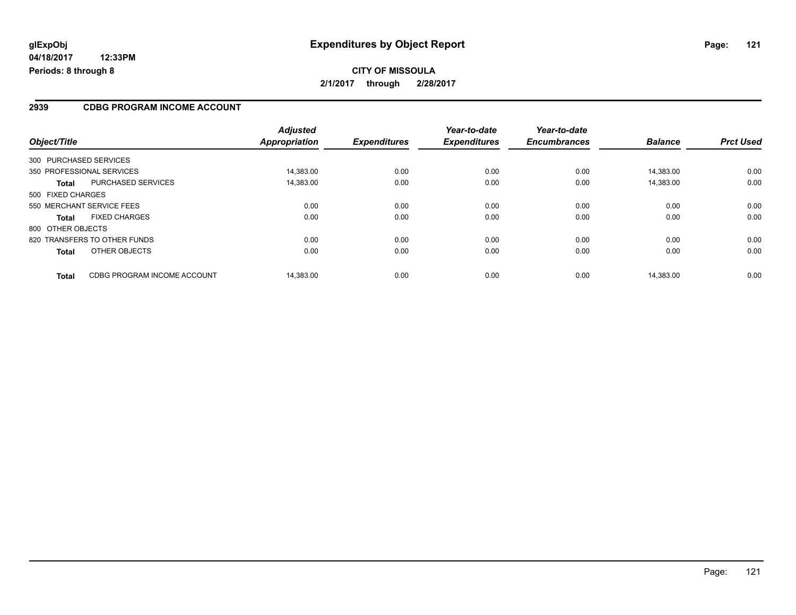## **CITY OF MISSOULA 2/1/2017 through 2/28/2017**

#### **2939 CDBG PROGRAM INCOME ACCOUNT**

| Object/Title              |                              | <b>Adjusted</b><br>Appropriation | <b>Expenditures</b> | Year-to-date<br><b>Expenditures</b> | Year-to-date<br><b>Encumbrances</b> | <b>Balance</b> | <b>Prct Used</b> |
|---------------------------|------------------------------|----------------------------------|---------------------|-------------------------------------|-------------------------------------|----------------|------------------|
| 300 PURCHASED SERVICES    |                              |                                  |                     |                                     |                                     |                |                  |
| 350 PROFESSIONAL SERVICES |                              | 14.383.00                        | 0.00                | 0.00                                | 0.00                                | 14.383.00      | 0.00             |
| <b>Total</b>              | <b>PURCHASED SERVICES</b>    | 14,383.00                        | 0.00                | 0.00                                | 0.00                                | 14,383.00      | 0.00             |
| 500 FIXED CHARGES         |                              |                                  |                     |                                     |                                     |                |                  |
| 550 MERCHANT SERVICE FEES |                              | 0.00                             | 0.00                | 0.00                                | 0.00                                | 0.00           | 0.00             |
| <b>Total</b>              | <b>FIXED CHARGES</b>         | 0.00                             | 0.00                | 0.00                                | 0.00                                | 0.00           | 0.00             |
| 800 OTHER OBJECTS         |                              |                                  |                     |                                     |                                     |                |                  |
|                           | 820 TRANSFERS TO OTHER FUNDS | 0.00                             | 0.00                | 0.00                                | 0.00                                | 0.00           | 0.00             |
| <b>Total</b>              | OTHER OBJECTS                | 0.00                             | 0.00                | 0.00                                | 0.00                                | 0.00           | 0.00             |
| <b>Total</b>              | CDBG PROGRAM INCOME ACCOUNT  | 14.383.00                        | 0.00                | 0.00                                | 0.00                                | 14.383.00      | 0.00             |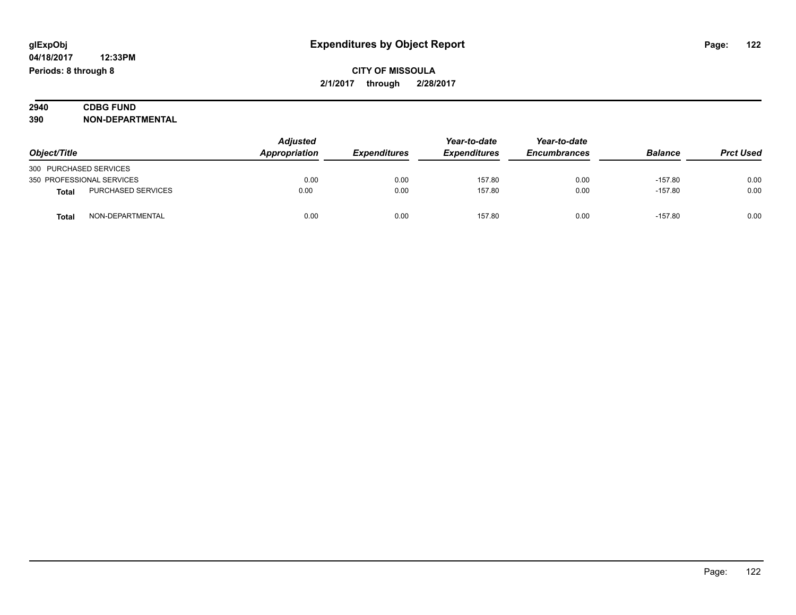## **CITY OF MISSOULA 2/1/2017 through 2/28/2017**

## **2940 CDBG FUND**<br> **390 NON-DEPART 390 NON-DEPARTMENTAL**

| Object/Title           |                           | <b>Adjusted</b> |                     | Year-to-date        | Year-to-date<br><b>Encumbrances</b> | <b>Balance</b> |                  |
|------------------------|---------------------------|-----------------|---------------------|---------------------|-------------------------------------|----------------|------------------|
|                        |                           | Appropriation   | <b>Expenditures</b> | <b>Expenditures</b> |                                     |                | <b>Prct Used</b> |
| 300 PURCHASED SERVICES |                           |                 |                     |                     |                                     |                |                  |
|                        | 350 PROFESSIONAL SERVICES | 0.00            | 0.00                | 157.80              | 0.00                                | $-157.80$      | 0.00             |
| <b>Total</b>           | PURCHASED SERVICES        | 0.00            | 0.00                | 157.80              | 0.00                                | $-157.80$      | 0.00             |
| <b>Total</b>           | NON-DEPARTMENTAL          | 0.00            | 0.00                | 157.80              | 0.00                                | $-157.80$      | 0.00             |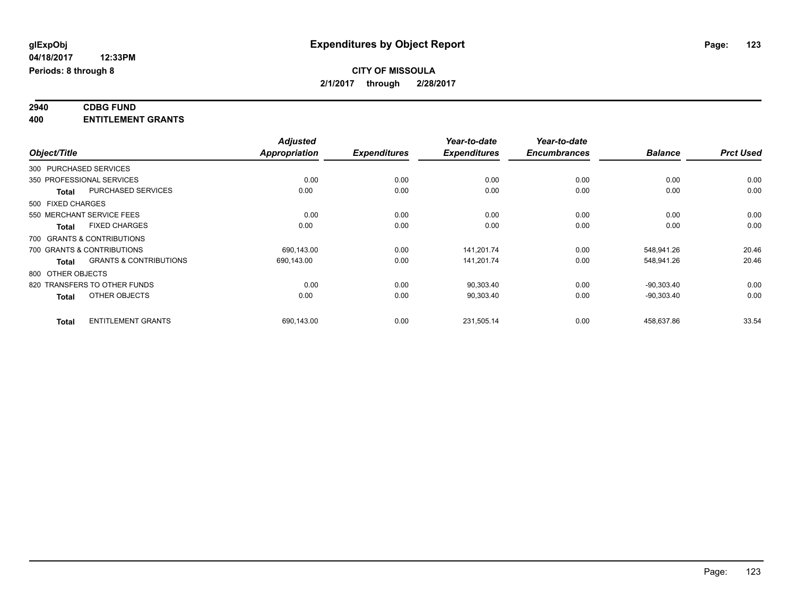#### **2940 CDBG FUND 400 ENTITLEMENT GRANTS**

|                                                   | <b>Adjusted</b>      |                     | Year-to-date        | Year-to-date        |                |                  |
|---------------------------------------------------|----------------------|---------------------|---------------------|---------------------|----------------|------------------|
| Object/Title                                      | <b>Appropriation</b> | <b>Expenditures</b> | <b>Expenditures</b> | <b>Encumbrances</b> | <b>Balance</b> | <b>Prct Used</b> |
| 300 PURCHASED SERVICES                            |                      |                     |                     |                     |                |                  |
| 350 PROFESSIONAL SERVICES                         | 0.00                 | 0.00                | 0.00                | 0.00                | 0.00           | 0.00             |
| PURCHASED SERVICES<br><b>Total</b>                | 0.00                 | 0.00                | 0.00                | 0.00                | 0.00           | 0.00             |
| 500 FIXED CHARGES                                 |                      |                     |                     |                     |                |                  |
| 550 MERCHANT SERVICE FEES                         | 0.00                 | 0.00                | 0.00                | 0.00                | 0.00           | 0.00             |
| <b>FIXED CHARGES</b><br>Total                     | 0.00                 | 0.00                | 0.00                | 0.00                | 0.00           | 0.00             |
| 700 GRANTS & CONTRIBUTIONS                        |                      |                     |                     |                     |                |                  |
| 700 GRANTS & CONTRIBUTIONS                        | 690,143.00           | 0.00                | 141,201.74          | 0.00                | 548,941.26     | 20.46            |
| <b>GRANTS &amp; CONTRIBUTIONS</b><br><b>Total</b> | 690,143.00           | 0.00                | 141,201.74          | 0.00                | 548,941.26     | 20.46            |
| 800 OTHER OBJECTS                                 |                      |                     |                     |                     |                |                  |
| 820 TRANSFERS TO OTHER FUNDS                      | 0.00                 | 0.00                | 90,303.40           | 0.00                | $-90,303.40$   | 0.00             |
| OTHER OBJECTS<br><b>Total</b>                     | 0.00                 | 0.00                | 90,303.40           | 0.00                | $-90,303.40$   | 0.00             |
| <b>ENTITLEMENT GRANTS</b><br><b>Total</b>         | 690,143.00           | 0.00                | 231,505.14          | 0.00                | 458,637.86     | 33.54            |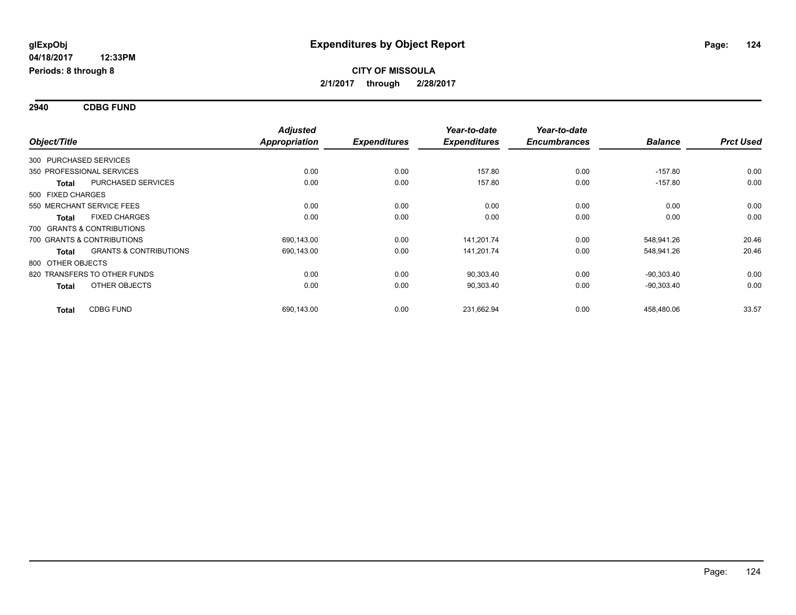**2940 CDBG FUND**

| Object/Title                 |                                   | <b>Adjusted</b><br><b>Appropriation</b> | <b>Expenditures</b> | Year-to-date<br><b>Expenditures</b> | Year-to-date<br><b>Encumbrances</b> | <b>Balance</b> | <b>Prct Used</b> |
|------------------------------|-----------------------------------|-----------------------------------------|---------------------|-------------------------------------|-------------------------------------|----------------|------------------|
| 300 PURCHASED SERVICES       |                                   |                                         |                     |                                     |                                     |                |                  |
| 350 PROFESSIONAL SERVICES    |                                   | 0.00                                    | 0.00                | 157.80                              | 0.00                                | $-157.80$      | 0.00             |
| <b>Total</b>                 | <b>PURCHASED SERVICES</b>         | 0.00                                    | 0.00                | 157.80                              | 0.00                                | $-157.80$      | 0.00             |
| 500 FIXED CHARGES            |                                   |                                         |                     |                                     |                                     |                |                  |
| 550 MERCHANT SERVICE FEES    |                                   | 0.00                                    | 0.00                | 0.00                                | 0.00                                | 0.00           | 0.00             |
| <b>Total</b>                 | <b>FIXED CHARGES</b>              | 0.00                                    | 0.00                | 0.00                                | 0.00                                | 0.00           | 0.00             |
| 700 GRANTS & CONTRIBUTIONS   |                                   |                                         |                     |                                     |                                     |                |                  |
| 700 GRANTS & CONTRIBUTIONS   |                                   | 690,143.00                              | 0.00                | 141,201.74                          | 0.00                                | 548,941.26     | 20.46            |
| <b>Total</b>                 | <b>GRANTS &amp; CONTRIBUTIONS</b> | 690,143.00                              | 0.00                | 141,201.74                          | 0.00                                | 548,941.26     | 20.46            |
| 800 OTHER OBJECTS            |                                   |                                         |                     |                                     |                                     |                |                  |
| 820 TRANSFERS TO OTHER FUNDS |                                   | 0.00                                    | 0.00                | 90,303.40                           | 0.00                                | $-90,303.40$   | 0.00             |
| <b>Total</b>                 | OTHER OBJECTS                     | 0.00                                    | 0.00                | 90,303.40                           | 0.00                                | $-90,303.40$   | 0.00             |
| <b>Total</b>                 | <b>CDBG FUND</b>                  | 690,143.00                              | 0.00                | 231,662.94                          | 0.00                                | 458,480.06     | 33.57            |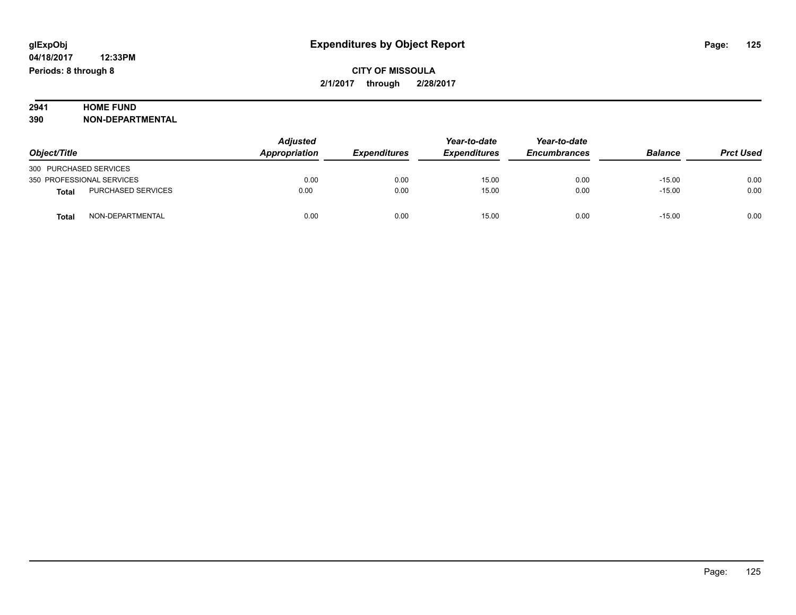# **2941 HOME FUND<br>390 NON-DEPART**

**390 NON-DEPARTMENTAL**

| Object/Title                       | <b>Adjusted</b><br>Appropriation | <b>Expenditures</b> | Year-to-date<br><b>Expenditures</b> | Year-to-date<br><b>Encumbrances</b> | <b>Balance</b> | <b>Prct Used</b> |
|------------------------------------|----------------------------------|---------------------|-------------------------------------|-------------------------------------|----------------|------------------|
| 300 PURCHASED SERVICES             |                                  |                     |                                     |                                     |                |                  |
| 350 PROFESSIONAL SERVICES          | 0.00                             | 0.00                | 15.00                               | 0.00                                | $-15.00$       | 0.00             |
| PURCHASED SERVICES<br><b>Total</b> | 0.00                             | 0.00                | 15.00                               | 0.00                                | $-15.00$       | 0.00             |
| NON-DEPARTMENTAL<br>Total          | 0.00                             | 0.00                | 15.00                               | 0.00                                | $-15.00$       | 0.00             |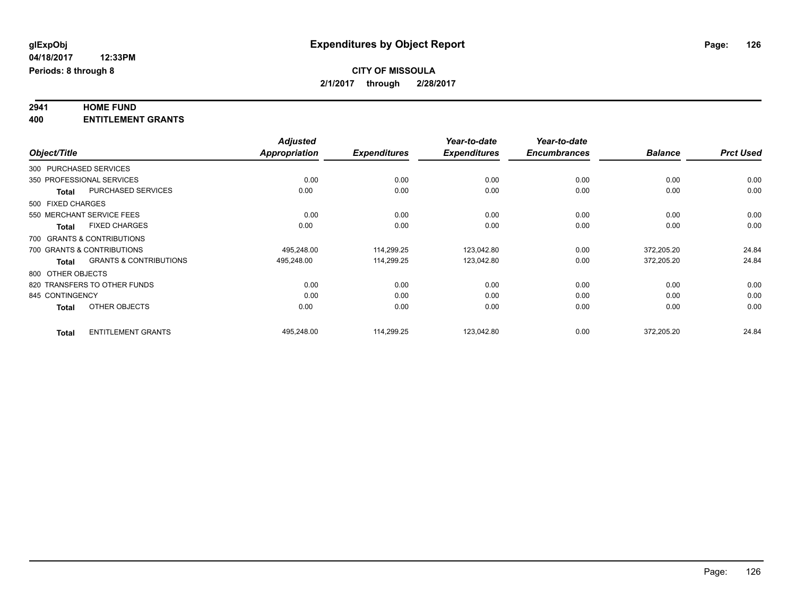# **2941 HOME FUND**

**400 ENTITLEMENT GRANTS**

|              |                                                   | <b>Adjusted</b>      |                     | Year-to-date        | Year-to-date        |                |                  |
|--------------|---------------------------------------------------|----------------------|---------------------|---------------------|---------------------|----------------|------------------|
| Object/Title |                                                   | <b>Appropriation</b> | <b>Expenditures</b> | <b>Expenditures</b> | <b>Encumbrances</b> | <b>Balance</b> | <b>Prct Used</b> |
|              | 300 PURCHASED SERVICES                            |                      |                     |                     |                     |                |                  |
|              | 350 PROFESSIONAL SERVICES                         | 0.00                 | 0.00                | 0.00                | 0.00                | 0.00           | 0.00             |
|              | PURCHASED SERVICES<br><b>Total</b>                | 0.00                 | 0.00                | 0.00                | 0.00                | 0.00           | 0.00             |
|              | 500 FIXED CHARGES                                 |                      |                     |                     |                     |                |                  |
|              | 550 MERCHANT SERVICE FEES                         | 0.00                 | 0.00                | 0.00                | 0.00                | 0.00           | 0.00             |
|              | <b>FIXED CHARGES</b><br><b>Total</b>              | 0.00                 | 0.00                | 0.00                | 0.00                | 0.00           | 0.00             |
|              | 700 GRANTS & CONTRIBUTIONS                        |                      |                     |                     |                     |                |                  |
|              | 700 GRANTS & CONTRIBUTIONS                        | 495,248.00           | 114,299.25          | 123,042.80          | 0.00                | 372,205.20     | 24.84            |
|              | <b>GRANTS &amp; CONTRIBUTIONS</b><br><b>Total</b> | 495,248.00           | 114,299.25          | 123,042.80          | 0.00                | 372,205.20     | 24.84            |
|              | 800 OTHER OBJECTS                                 |                      |                     |                     |                     |                |                  |
|              | 820 TRANSFERS TO OTHER FUNDS                      | 0.00                 | 0.00                | 0.00                | 0.00                | 0.00           | 0.00             |
|              | 845 CONTINGENCY                                   | 0.00                 | 0.00                | 0.00                | 0.00                | 0.00           | 0.00             |
|              | OTHER OBJECTS<br><b>Total</b>                     | 0.00                 | 0.00                | 0.00                | 0.00                | 0.00           | 0.00             |
|              | <b>ENTITLEMENT GRANTS</b><br><b>Total</b>         | 495,248.00           | 114.299.25          | 123,042.80          | 0.00                | 372,205.20     | 24.84            |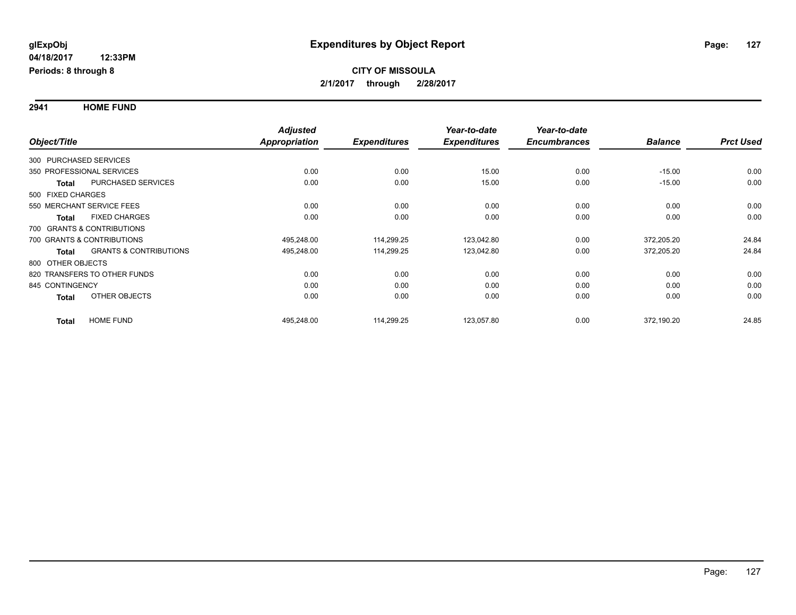**2941 HOME FUND**

|              |                                            | <b>Adjusted</b>      |                     | Year-to-date        | Year-to-date        |                |                  |
|--------------|--------------------------------------------|----------------------|---------------------|---------------------|---------------------|----------------|------------------|
| Object/Title |                                            | <b>Appropriation</b> | <b>Expenditures</b> | <b>Expenditures</b> | <b>Encumbrances</b> | <b>Balance</b> | <b>Prct Used</b> |
|              | 300 PURCHASED SERVICES                     |                      |                     |                     |                     |                |                  |
|              | 350 PROFESSIONAL SERVICES                  | 0.00                 | 0.00                | 15.00               | 0.00                | $-15.00$       | 0.00             |
|              | <b>PURCHASED SERVICES</b><br><b>Total</b>  | 0.00                 | 0.00                | 15.00               | 0.00                | $-15.00$       | 0.00             |
|              | 500 FIXED CHARGES                          |                      |                     |                     |                     |                |                  |
|              | 550 MERCHANT SERVICE FEES                  | 0.00                 | 0.00                | 0.00                | 0.00                | 0.00           | 0.00             |
|              | <b>FIXED CHARGES</b><br><b>Total</b>       | 0.00                 | 0.00                | 0.00                | 0.00                | 0.00           | 0.00             |
|              | 700 GRANTS & CONTRIBUTIONS                 |                      |                     |                     |                     |                |                  |
|              | 700 GRANTS & CONTRIBUTIONS                 | 495,248.00           | 114,299.25          | 123,042.80          | 0.00                | 372,205.20     | 24.84            |
|              | <b>GRANTS &amp; CONTRIBUTIONS</b><br>Total | 495,248.00           | 114,299.25          | 123,042.80          | 0.00                | 372,205.20     | 24.84            |
|              | 800 OTHER OBJECTS                          |                      |                     |                     |                     |                |                  |
|              | 820 TRANSFERS TO OTHER FUNDS               | 0.00                 | 0.00                | 0.00                | 0.00                | 0.00           | 0.00             |
|              | 845 CONTINGENCY                            | 0.00                 | 0.00                | 0.00                | 0.00                | 0.00           | 0.00             |
|              | OTHER OBJECTS<br><b>Total</b>              | 0.00                 | 0.00                | 0.00                | 0.00                | 0.00           | 0.00             |
|              | <b>HOME FUND</b><br><b>Total</b>           | 495,248.00           | 114,299.25          | 123,057.80          | 0.00                | 372,190.20     | 24.85            |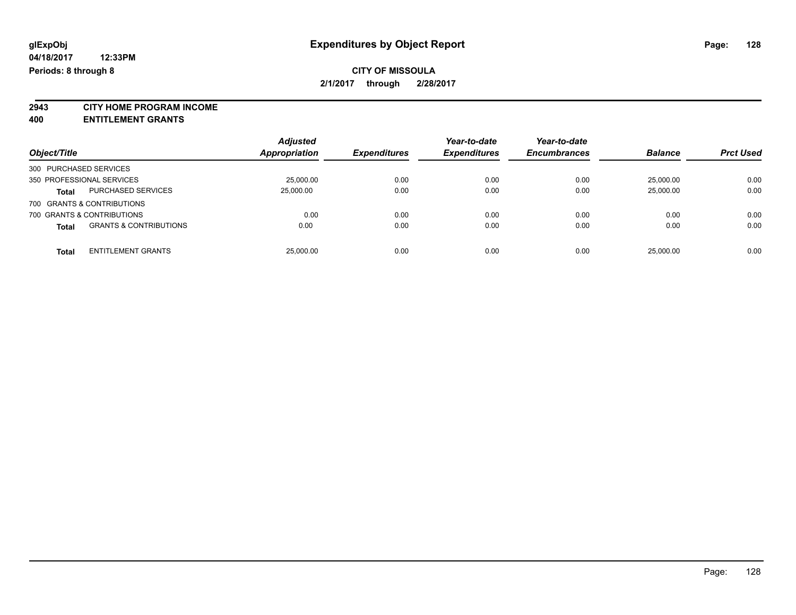**2943 CITY HOME PROGRAM INCOME**

**400 ENTITLEMENT GRANTS**

| Object/Title                               | <b>Adjusted</b><br><b>Appropriation</b> | <b>Expenditures</b> | Year-to-date<br><b>Expenditures</b> | Year-to-date<br><b>Encumbrances</b> | <b>Balance</b> | <b>Prct Used</b> |
|--------------------------------------------|-----------------------------------------|---------------------|-------------------------------------|-------------------------------------|----------------|------------------|
| 300 PURCHASED SERVICES                     |                                         |                     |                                     |                                     |                |                  |
| 350 PROFESSIONAL SERVICES                  | 25,000.00                               | 0.00                | 0.00                                | 0.00                                | 25.000.00      | 0.00             |
| <b>PURCHASED SERVICES</b><br><b>Total</b>  | 25,000.00                               | 0.00                | 0.00                                | 0.00                                | 25,000.00      | 0.00             |
| 700 GRANTS & CONTRIBUTIONS                 |                                         |                     |                                     |                                     |                |                  |
| 700 GRANTS & CONTRIBUTIONS                 | 0.00                                    | 0.00                | 0.00                                | 0.00                                | 0.00           | 0.00             |
| <b>GRANTS &amp; CONTRIBUTIONS</b><br>Total | 0.00                                    | 0.00                | 0.00                                | 0.00                                | 0.00           | 0.00             |
| <b>ENTITLEMENT GRANTS</b><br><b>Total</b>  | 25,000.00                               | 0.00                | 0.00                                | 0.00                                | 25.000.00      | 0.00             |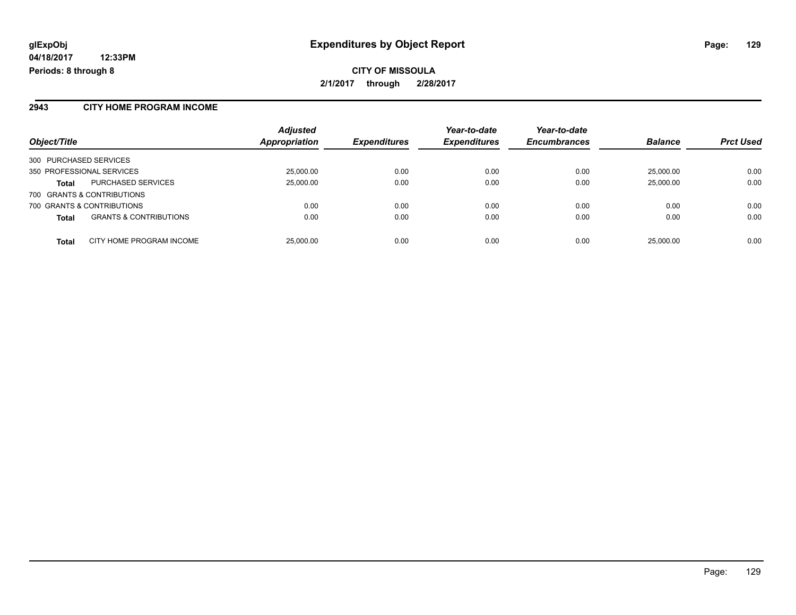#### **2943 CITY HOME PROGRAM INCOME**

| Object/Title                                      | <b>Adjusted</b><br>Appropriation | <b>Expenditures</b> | Year-to-date<br><b>Expenditures</b> | Year-to-date<br><b>Encumbrances</b> | <b>Balance</b> | <b>Prct Used</b> |
|---------------------------------------------------|----------------------------------|---------------------|-------------------------------------|-------------------------------------|----------------|------------------|
| 300 PURCHASED SERVICES                            |                                  |                     |                                     |                                     |                |                  |
| 350 PROFESSIONAL SERVICES                         | 25,000.00                        | 0.00                | 0.00                                | 0.00                                | 25,000.00      | 0.00             |
| PURCHASED SERVICES<br><b>Total</b>                | 25,000.00                        | 0.00                | 0.00                                | 0.00                                | 25,000.00      | 0.00             |
| 700 GRANTS & CONTRIBUTIONS                        |                                  |                     |                                     |                                     |                |                  |
| 700 GRANTS & CONTRIBUTIONS                        | 0.00                             | 0.00                | 0.00                                | 0.00                                | 0.00           | 0.00             |
| <b>GRANTS &amp; CONTRIBUTIONS</b><br><b>Total</b> | 0.00                             | 0.00                | 0.00                                | 0.00                                | 0.00           | 0.00             |
| CITY HOME PROGRAM INCOME<br><b>Total</b>          | 25,000.00                        | 0.00                | 0.00                                | 0.00                                | 25,000.00      | 0.00             |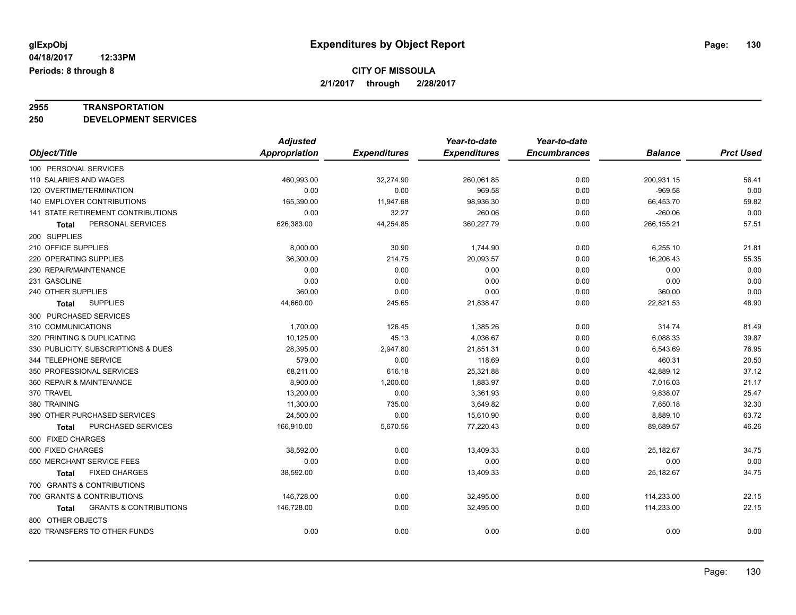# **2955 TRANSPORTATION**

**250 DEVELOPMENT SERVICES**

|                                                   | <b>Adjusted</b>      |                     | Year-to-date        | Year-to-date        |                |                  |
|---------------------------------------------------|----------------------|---------------------|---------------------|---------------------|----------------|------------------|
| Object/Title                                      | <b>Appropriation</b> | <b>Expenditures</b> | <b>Expenditures</b> | <b>Encumbrances</b> | <b>Balance</b> | <b>Prct Used</b> |
| 100 PERSONAL SERVICES                             |                      |                     |                     |                     |                |                  |
| 110 SALARIES AND WAGES                            | 460,993.00           | 32,274.90           | 260,061.85          | 0.00                | 200,931.15     | 56.41            |
| 120 OVERTIME/TERMINATION                          | 0.00                 | 0.00                | 969.58              | 0.00                | $-969.58$      | 0.00             |
| 140 EMPLOYER CONTRIBUTIONS                        | 165,390.00           | 11,947.68           | 98,936.30           | 0.00                | 66,453.70      | 59.82            |
| 141 STATE RETIREMENT CONTRIBUTIONS                | 0.00                 | 32.27               | 260.06              | 0.00                | $-260.06$      | 0.00             |
| PERSONAL SERVICES<br><b>Total</b>                 | 626,383.00           | 44,254.85           | 360,227.79          | 0.00                | 266,155.21     | 57.51            |
| 200 SUPPLIES                                      |                      |                     |                     |                     |                |                  |
| 210 OFFICE SUPPLIES                               | 8,000.00             | 30.90               | 1,744.90            | 0.00                | 6,255.10       | 21.81            |
| 220 OPERATING SUPPLIES                            | 36,300.00            | 214.75              | 20,093.57           | 0.00                | 16,206.43      | 55.35            |
| 230 REPAIR/MAINTENANCE                            | 0.00                 | 0.00                | 0.00                | 0.00                | 0.00           | 0.00             |
| 231 GASOLINE                                      | 0.00                 | 0.00                | 0.00                | 0.00                | 0.00           | 0.00             |
| 240 OTHER SUPPLIES                                | 360.00               | 0.00                | 0.00                | 0.00                | 360.00         | 0.00             |
| <b>SUPPLIES</b><br>Total                          | 44,660.00            | 245.65              | 21,838.47           | 0.00                | 22,821.53      | 48.90            |
| 300 PURCHASED SERVICES                            |                      |                     |                     |                     |                |                  |
| 310 COMMUNICATIONS                                | 1,700.00             | 126.45              | 1,385.26            | 0.00                | 314.74         | 81.49            |
| 320 PRINTING & DUPLICATING                        | 10,125.00            | 45.13               | 4,036.67            | 0.00                | 6,088.33       | 39.87            |
| 330 PUBLICITY, SUBSCRIPTIONS & DUES               | 28,395.00            | 2,947.80            | 21,851.31           | 0.00                | 6,543.69       | 76.95            |
| 344 TELEPHONE SERVICE                             | 579.00               | 0.00                | 118.69              | 0.00                | 460.31         | 20.50            |
| 350 PROFESSIONAL SERVICES                         | 68,211.00            | 616.18              | 25,321.88           | 0.00                | 42,889.12      | 37.12            |
| 360 REPAIR & MAINTENANCE                          | 8,900.00             | 1,200.00            | 1,883.97            | 0.00                | 7,016.03       | 21.17            |
| 370 TRAVEL                                        | 13,200.00            | 0.00                | 3,361.93            | 0.00                | 9,838.07       | 25.47            |
| 380 TRAINING                                      | 11,300.00            | 735.00              | 3,649.82            | 0.00                | 7,650.18       | 32.30            |
| 390 OTHER PURCHASED SERVICES                      | 24,500.00            | 0.00                | 15,610.90           | 0.00                | 8,889.10       | 63.72            |
| PURCHASED SERVICES<br><b>Total</b>                | 166,910.00           | 5,670.56            | 77,220.43           | 0.00                | 89,689.57      | 46.26            |
| 500 FIXED CHARGES                                 |                      |                     |                     |                     |                |                  |
| 500 FIXED CHARGES                                 | 38,592.00            | 0.00                | 13,409.33           | 0.00                | 25,182.67      | 34.75            |
| 550 MERCHANT SERVICE FEES                         | 0.00                 | 0.00                | 0.00                | 0.00                | 0.00           | 0.00             |
| <b>FIXED CHARGES</b><br><b>Total</b>              | 38,592.00            | 0.00                | 13,409.33           | 0.00                | 25,182.67      | 34.75            |
| 700 GRANTS & CONTRIBUTIONS                        |                      |                     |                     |                     |                |                  |
| 700 GRANTS & CONTRIBUTIONS                        | 146,728.00           | 0.00                | 32,495.00           | 0.00                | 114,233.00     | 22.15            |
| <b>GRANTS &amp; CONTRIBUTIONS</b><br><b>Total</b> | 146,728.00           | 0.00                | 32,495.00           | 0.00                | 114,233.00     | 22.15            |
| 800 OTHER OBJECTS                                 |                      |                     |                     |                     |                |                  |
| 820 TRANSFERS TO OTHER FUNDS                      | 0.00                 | 0.00                | 0.00                | 0.00                | 0.00           | 0.00             |
|                                                   |                      |                     |                     |                     |                |                  |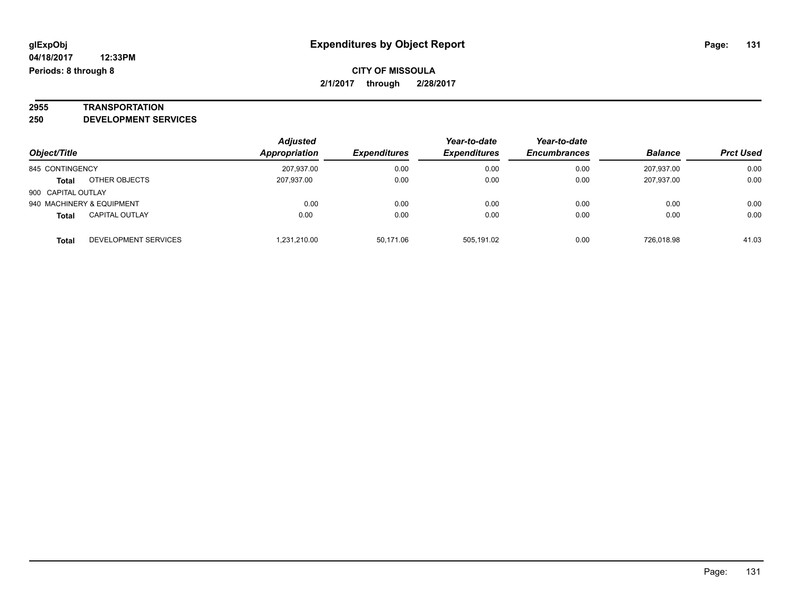# **2955 TRANSPORTATION**

**250 DEVELOPMENT SERVICES**

|                    |                           | <b>Adjusted</b> |                     | Year-to-date        | Year-to-date        |                |                  |
|--------------------|---------------------------|-----------------|---------------------|---------------------|---------------------|----------------|------------------|
| Object/Title       |                           | Appropriation   | <b>Expenditures</b> | <b>Expenditures</b> | <b>Encumbrances</b> | <b>Balance</b> | <b>Prct Used</b> |
| 845 CONTINGENCY    |                           | 207.937.00      | 0.00                | 0.00                | 0.00                | 207.937.00     | 0.00             |
| <b>Total</b>       | OTHER OBJECTS             | 207,937.00      | 0.00                | 0.00                | 0.00                | 207.937.00     | 0.00             |
| 900 CAPITAL OUTLAY |                           |                 |                     |                     |                     |                |                  |
|                    | 940 MACHINERY & EQUIPMENT | 0.00            | 0.00                | 0.00                | 0.00                | 0.00           | 0.00             |
| <b>Total</b>       | <b>CAPITAL OUTLAY</b>     | 0.00            | 0.00                | 0.00                | 0.00                | 0.00           | 0.00             |
| <b>Total</b>       | DEVELOPMENT SERVICES      | 1.231.210.00    | 50.171.06           | 505.191.02          | 0.00                | 726.018.98     | 41.03            |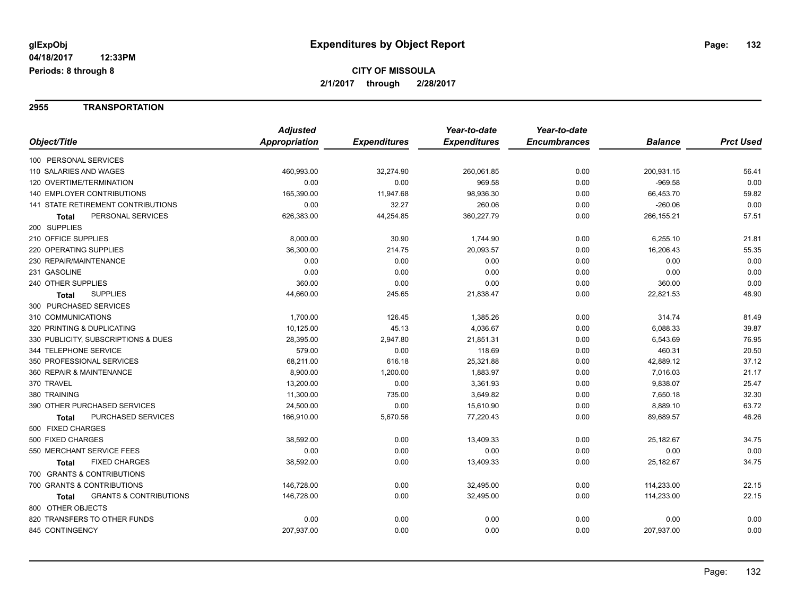#### **2955 TRANSPORTATION**

|                                            | <b>Adjusted</b> |                     | Year-to-date        | Year-to-date        |                |                  |
|--------------------------------------------|-----------------|---------------------|---------------------|---------------------|----------------|------------------|
| Object/Title                               | Appropriation   | <b>Expenditures</b> | <b>Expenditures</b> | <b>Encumbrances</b> | <b>Balance</b> | <b>Prct Used</b> |
| 100 PERSONAL SERVICES                      |                 |                     |                     |                     |                |                  |
| 110 SALARIES AND WAGES                     | 460,993.00      | 32,274.90           | 260,061.85          | 0.00                | 200,931.15     | 56.41            |
| 120 OVERTIME/TERMINATION                   | 0.00            | 0.00                | 969.58              | 0.00                | $-969.58$      | 0.00             |
| <b>140 EMPLOYER CONTRIBUTIONS</b>          | 165,390.00      | 11,947.68           | 98,936.30           | 0.00                | 66,453.70      | 59.82            |
| <b>141 STATE RETIREMENT CONTRIBUTIONS</b>  | 0.00            | 32.27               | 260.06              | 0.00                | $-260.06$      | 0.00             |
| PERSONAL SERVICES<br>Total                 | 626,383.00      | 44,254.85           | 360,227.79          | 0.00                | 266,155.21     | 57.51            |
| 200 SUPPLIES                               |                 |                     |                     |                     |                |                  |
| 210 OFFICE SUPPLIES                        | 8,000.00        | 30.90               | 1,744.90            | 0.00                | 6,255.10       | 21.81            |
| 220 OPERATING SUPPLIES                     | 36,300.00       | 214.75              | 20,093.57           | 0.00                | 16,206.43      | 55.35            |
| 230 REPAIR/MAINTENANCE                     | 0.00            | 0.00                | 0.00                | 0.00                | 0.00           | 0.00             |
| 231 GASOLINE                               | 0.00            | 0.00                | 0.00                | 0.00                | 0.00           | 0.00             |
| 240 OTHER SUPPLIES                         | 360.00          | 0.00                | 0.00                | 0.00                | 360.00         | 0.00             |
| <b>SUPPLIES</b><br><b>Total</b>            | 44,660.00       | 245.65              | 21,838.47           | 0.00                | 22,821.53      | 48.90            |
| 300 PURCHASED SERVICES                     |                 |                     |                     |                     |                |                  |
| 310 COMMUNICATIONS                         | 1,700.00        | 126.45              | 1,385.26            | 0.00                | 314.74         | 81.49            |
| 320 PRINTING & DUPLICATING                 | 10,125.00       | 45.13               | 4,036.67            | 0.00                | 6,088.33       | 39.87            |
| 330 PUBLICITY, SUBSCRIPTIONS & DUES        | 28,395.00       | 2,947.80            | 21,851.31           | 0.00                | 6,543.69       | 76.95            |
| 344 TELEPHONE SERVICE                      | 579.00          | 0.00                | 118.69              | 0.00                | 460.31         | 20.50            |
| 350 PROFESSIONAL SERVICES                  | 68,211.00       | 616.18              | 25,321.88           | 0.00                | 42,889.12      | 37.12            |
| 360 REPAIR & MAINTENANCE                   | 8,900.00        | 1,200.00            | 1,883.97            | 0.00                | 7,016.03       | 21.17            |
| 370 TRAVEL                                 | 13,200.00       | 0.00                | 3,361.93            | 0.00                | 9,838.07       | 25.47            |
| 380 TRAINING                               | 11,300.00       | 735.00              | 3,649.82            | 0.00                | 7,650.18       | 32.30            |
| 390 OTHER PURCHASED SERVICES               | 24,500.00       | 0.00                | 15,610.90           | 0.00                | 8,889.10       | 63.72            |
| PURCHASED SERVICES<br><b>Total</b>         | 166,910.00      | 5,670.56            | 77,220.43           | 0.00                | 89,689.57      | 46.26            |
| 500 FIXED CHARGES                          |                 |                     |                     |                     |                |                  |
| 500 FIXED CHARGES                          | 38,592.00       | 0.00                | 13,409.33           | 0.00                | 25,182.67      | 34.75            |
| 550 MERCHANT SERVICE FEES                  | 0.00            | 0.00                | 0.00                | 0.00                | 0.00           | 0.00             |
| <b>FIXED CHARGES</b><br>Total              | 38,592.00       | 0.00                | 13,409.33           | 0.00                | 25,182.67      | 34.75            |
| 700 GRANTS & CONTRIBUTIONS                 |                 |                     |                     |                     |                |                  |
| 700 GRANTS & CONTRIBUTIONS                 | 146,728.00      | 0.00                | 32,495.00           | 0.00                | 114,233.00     | 22.15            |
| <b>GRANTS &amp; CONTRIBUTIONS</b><br>Total | 146,728.00      | 0.00                | 32,495.00           | 0.00                | 114,233.00     | 22.15            |
| 800 OTHER OBJECTS                          |                 |                     |                     |                     |                |                  |
| 820 TRANSFERS TO OTHER FUNDS               | 0.00            | 0.00                | 0.00                | 0.00                | 0.00           | 0.00             |
| 845 CONTINGENCY                            | 207,937.00      | 0.00                | 0.00                | 0.00                | 207,937.00     | 0.00             |
|                                            |                 |                     |                     |                     |                |                  |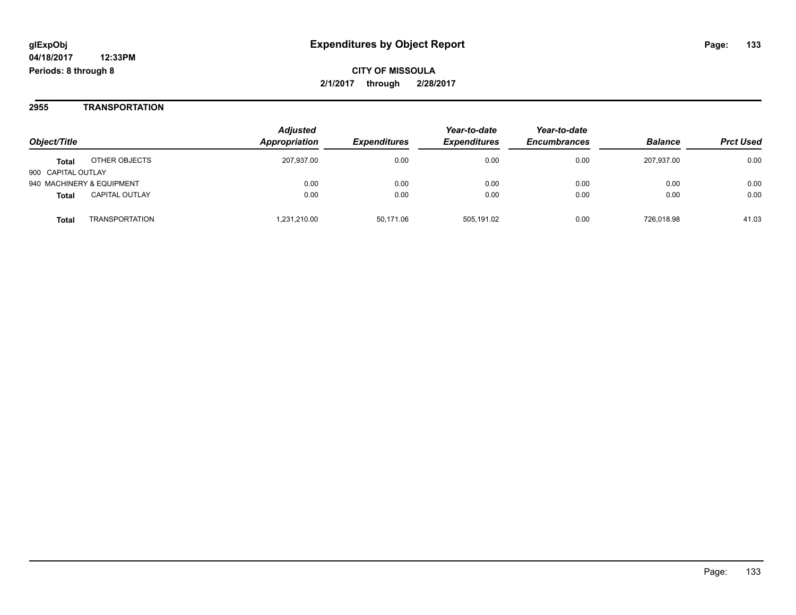#### **2955 TRANSPORTATION**

| Object/Title                          | <b>Adjusted</b><br>Appropriation | <b>Expenditures</b> | Year-to-date<br><b>Expenditures</b> | Year-to-date<br><b>Encumbrances</b> | <b>Balance</b> | <b>Prct Used</b> |
|---------------------------------------|----------------------------------|---------------------|-------------------------------------|-------------------------------------|----------------|------------------|
| OTHER OBJECTS<br><b>Total</b>         | 207,937.00                       | 0.00                | 0.00                                | 0.00                                | 207.937.00     | 0.00             |
| 900 CAPITAL OUTLAY                    |                                  |                     |                                     |                                     |                |                  |
| 940 MACHINERY & EQUIPMENT             | 0.00                             | 0.00                | 0.00                                | 0.00                                | 0.00           | 0.00             |
| <b>CAPITAL OUTLAY</b><br><b>Total</b> | 0.00                             | 0.00                | 0.00                                | 0.00                                | 0.00           | 0.00             |
| TRANSPORTATION<br>Total               | 1.231.210.00                     | 50.171.06           | 505.191.02                          | 0.00                                | 726.018.98     | 41.03            |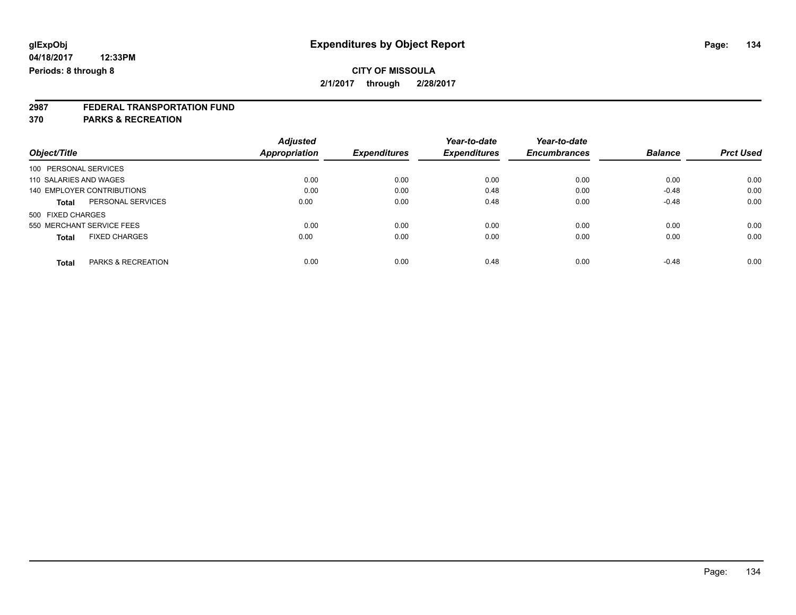# **2987 FEDERAL TRANSPORTATION FUND**

**370 PARKS & RECREATION**

|                                               | <b>Adjusted</b> |                     | Year-to-date        | Year-to-date<br><b>Encumbrances</b> | <b>Balance</b> | <b>Prct Used</b> |
|-----------------------------------------------|-----------------|---------------------|---------------------|-------------------------------------|----------------|------------------|
| Object/Title                                  | Appropriation   | <b>Expenditures</b> | <b>Expenditures</b> |                                     |                |                  |
| 100 PERSONAL SERVICES                         |                 |                     |                     |                                     |                |                  |
| 110 SALARIES AND WAGES                        | 0.00            | 0.00                | 0.00                | 0.00                                | 0.00           | 0.00             |
| 140 EMPLOYER CONTRIBUTIONS                    | 0.00            | 0.00                | 0.48                | 0.00                                | $-0.48$        | 0.00             |
| PERSONAL SERVICES<br><b>Total</b>             | 0.00            | 0.00                | 0.48                | 0.00                                | $-0.48$        | 0.00             |
| 500 FIXED CHARGES                             |                 |                     |                     |                                     |                |                  |
| 550 MERCHANT SERVICE FEES                     | 0.00            | 0.00                | 0.00                | 0.00                                | 0.00           | 0.00             |
| <b>FIXED CHARGES</b><br><b>Total</b>          | 0.00            | 0.00                | 0.00                | 0.00                                | 0.00           | 0.00             |
| <b>PARKS &amp; RECREATION</b><br><b>Total</b> | 0.00            | 0.00                | 0.48                | 0.00                                | $-0.48$        | 0.00             |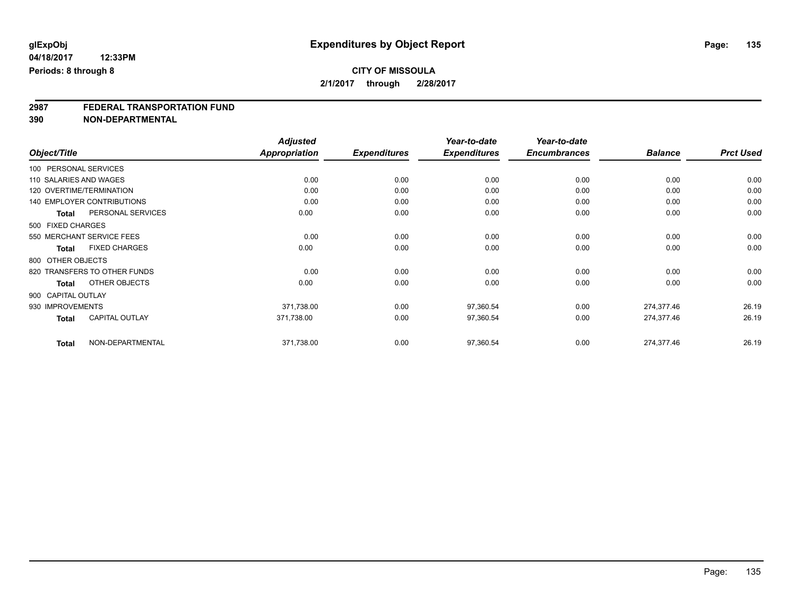# **2987 FEDERAL TRANSPORTATION FUND**

**390 NON-DEPARTMENTAL**

|                                      | <b>Adjusted</b>      |                     | Year-to-date        | Year-to-date        |                |                  |
|--------------------------------------|----------------------|---------------------|---------------------|---------------------|----------------|------------------|
| Object/Title                         | <b>Appropriation</b> | <b>Expenditures</b> | <b>Expenditures</b> | <b>Encumbrances</b> | <b>Balance</b> | <b>Prct Used</b> |
| 100 PERSONAL SERVICES                |                      |                     |                     |                     |                |                  |
| 110 SALARIES AND WAGES               | 0.00                 | 0.00                | 0.00                | 0.00                | 0.00           | 0.00             |
| 120 OVERTIME/TERMINATION             | 0.00                 | 0.00                | 0.00                | 0.00                | 0.00           | 0.00             |
| 140 EMPLOYER CONTRIBUTIONS           | 0.00                 | 0.00                | 0.00                | 0.00                | 0.00           | 0.00             |
| PERSONAL SERVICES<br>Total           | 0.00                 | 0.00                | 0.00                | 0.00                | 0.00           | 0.00             |
| 500 FIXED CHARGES                    |                      |                     |                     |                     |                |                  |
| 550 MERCHANT SERVICE FEES            | 0.00                 | 0.00                | 0.00                | 0.00                | 0.00           | 0.00             |
| <b>FIXED CHARGES</b><br><b>Total</b> | 0.00                 | 0.00                | 0.00                | 0.00                | 0.00           | 0.00             |
| 800 OTHER OBJECTS                    |                      |                     |                     |                     |                |                  |
| 820 TRANSFERS TO OTHER FUNDS         | 0.00                 | 0.00                | 0.00                | 0.00                | 0.00           | 0.00             |
| OTHER OBJECTS<br><b>Total</b>        | 0.00                 | 0.00                | 0.00                | 0.00                | 0.00           | 0.00             |
| 900 CAPITAL OUTLAY                   |                      |                     |                     |                     |                |                  |
| 930 IMPROVEMENTS                     | 371,738.00           | 0.00                | 97,360.54           | 0.00                | 274,377.46     | 26.19            |
| <b>CAPITAL OUTLAY</b><br>Total       | 371,738.00           | 0.00                | 97,360.54           | 0.00                | 274,377.46     | 26.19            |
| NON-DEPARTMENTAL<br><b>Total</b>     | 371,738.00           | 0.00                | 97,360.54           | 0.00                | 274,377.46     | 26.19            |

Page: 135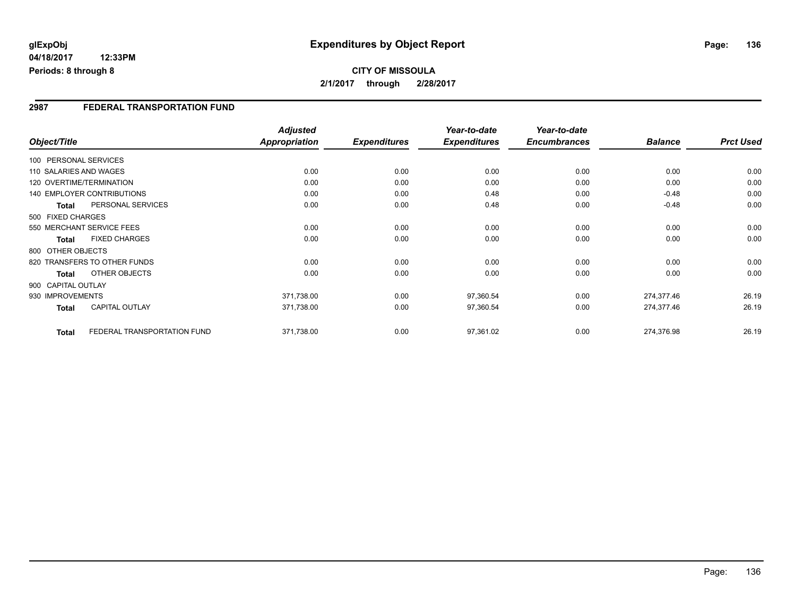### **2987 FEDERAL TRANSPORTATION FUND**

|                    |              |                                   | <b>Adjusted</b>      |                     | Year-to-date        | Year-to-date        |                |                  |
|--------------------|--------------|-----------------------------------|----------------------|---------------------|---------------------|---------------------|----------------|------------------|
| Object/Title       |              |                                   | <b>Appropriation</b> | <b>Expenditures</b> | <b>Expenditures</b> | <b>Encumbrances</b> | <b>Balance</b> | <b>Prct Used</b> |
|                    |              | 100 PERSONAL SERVICES             |                      |                     |                     |                     |                |                  |
|                    |              | 110 SALARIES AND WAGES            | 0.00                 | 0.00                | 0.00                | 0.00                | 0.00           | 0.00             |
|                    |              | 120 OVERTIME/TERMINATION          | 0.00                 | 0.00                | 0.00                | 0.00                | 0.00           | 0.00             |
|                    |              | <b>140 EMPLOYER CONTRIBUTIONS</b> | 0.00                 | 0.00                | 0.48                | 0.00                | $-0.48$        | 0.00             |
|                    | <b>Total</b> | PERSONAL SERVICES                 | 0.00                 | 0.00                | 0.48                | 0.00                | $-0.48$        | 0.00             |
| 500 FIXED CHARGES  |              |                                   |                      |                     |                     |                     |                |                  |
|                    |              | 550 MERCHANT SERVICE FEES         | 0.00                 | 0.00                | 0.00                | 0.00                | 0.00           | 0.00             |
|                    | <b>Total</b> | <b>FIXED CHARGES</b>              | 0.00                 | 0.00                | 0.00                | 0.00                | 0.00           | 0.00             |
| 800 OTHER OBJECTS  |              |                                   |                      |                     |                     |                     |                |                  |
|                    |              | 820 TRANSFERS TO OTHER FUNDS      | 0.00                 | 0.00                | 0.00                | 0.00                | 0.00           | 0.00             |
|                    | Total        | OTHER OBJECTS                     | 0.00                 | 0.00                | 0.00                | 0.00                | 0.00           | 0.00             |
| 900 CAPITAL OUTLAY |              |                                   |                      |                     |                     |                     |                |                  |
| 930 IMPROVEMENTS   |              |                                   | 371,738.00           | 0.00                | 97,360.54           | 0.00                | 274,377.46     | 26.19            |
|                    | Total        | <b>CAPITAL OUTLAY</b>             | 371,738.00           | 0.00                | 97,360.54           | 0.00                | 274,377.46     | 26.19            |
|                    |              |                                   |                      |                     |                     |                     |                |                  |
|                    | <b>Total</b> | FEDERAL TRANSPORTATION FUND       | 371,738.00           | 0.00                | 97,361.02           | 0.00                | 274,376.98     | 26.19            |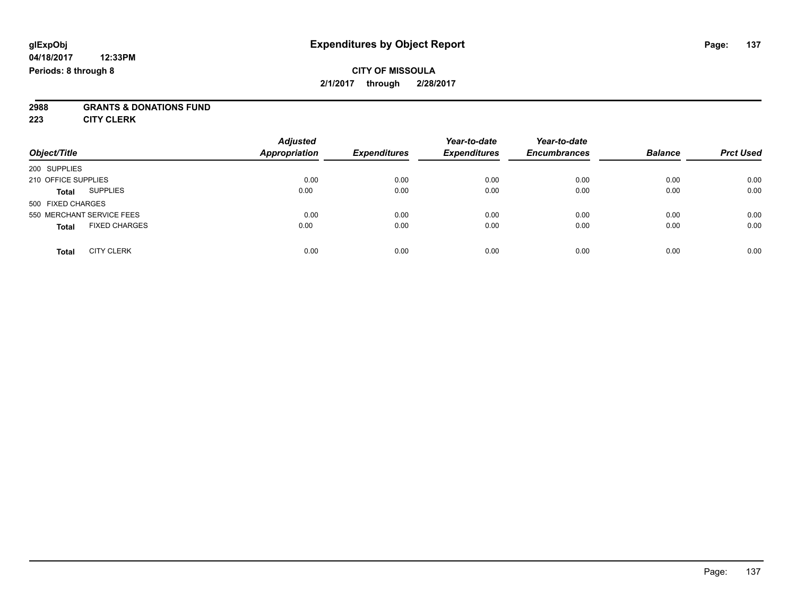### **CITY OF MISSOULA 2/1/2017 through 2/28/2017**

# **2988 GRANTS & DONATIONS FUND**

**223 CITY CLERK**

| Object/Title                         | <b>Adjusted</b><br>Appropriation | <b>Expenditures</b> | Year-to-date<br><b>Expenditures</b> | Year-to-date<br><b>Encumbrances</b> | <b>Balance</b> | <b>Prct Used</b> |
|--------------------------------------|----------------------------------|---------------------|-------------------------------------|-------------------------------------|----------------|------------------|
| 200 SUPPLIES                         |                                  |                     |                                     |                                     |                |                  |
| 210 OFFICE SUPPLIES                  | 0.00                             | 0.00                | 0.00                                | 0.00                                | 0.00           | 0.00             |
| <b>SUPPLIES</b><br><b>Total</b>      | 0.00                             | 0.00                | 0.00                                | 0.00                                | 0.00           | 0.00             |
| 500 FIXED CHARGES                    |                                  |                     |                                     |                                     |                |                  |
| 550 MERCHANT SERVICE FEES            | 0.00                             | 0.00                | 0.00                                | 0.00                                | 0.00           | 0.00             |
| <b>FIXED CHARGES</b><br><b>Total</b> | 0.00                             | 0.00                | 0.00                                | 0.00                                | 0.00           | 0.00             |
| <b>CITY CLERK</b><br><b>Total</b>    | 0.00                             | 0.00                | 0.00                                | 0.00                                | 0.00           | 0.00             |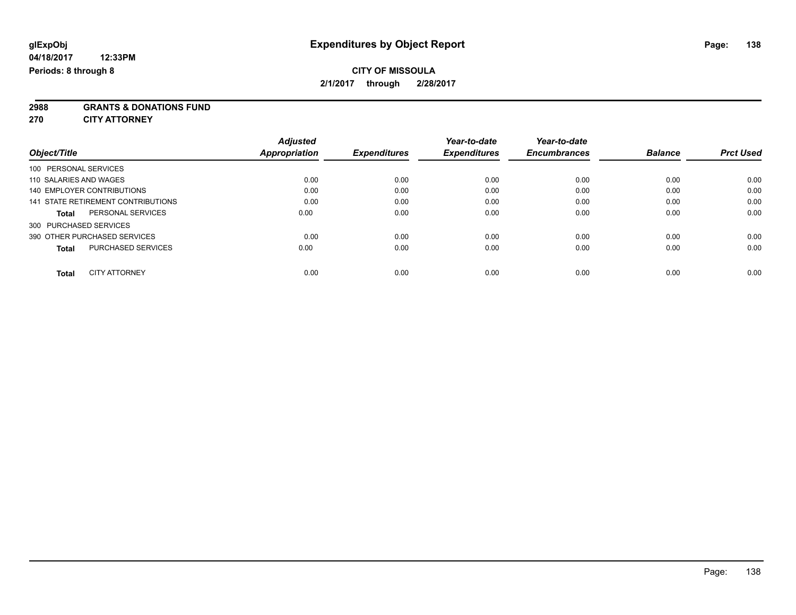**2988 GRANTS & DONATIONS FUND**

**270 CITY ATTORNEY**

|                                           |                      | <b>Adjusted</b> |                     | Year-to-date        | Year-to-date        |                |                  |
|-------------------------------------------|----------------------|-----------------|---------------------|---------------------|---------------------|----------------|------------------|
| Object/Title                              | <b>Appropriation</b> |                 | <b>Expenditures</b> | <b>Expenditures</b> | <b>Encumbrances</b> | <b>Balance</b> | <b>Prct Used</b> |
| 100 PERSONAL SERVICES                     |                      |                 |                     |                     |                     |                |                  |
| 110 SALARIES AND WAGES                    |                      | 0.00            | 0.00                | 0.00                | 0.00                | 0.00           | 0.00             |
| 140 EMPLOYER CONTRIBUTIONS                |                      | 0.00            | 0.00                | 0.00                | 0.00                | 0.00           | 0.00             |
| 141 STATE RETIREMENT CONTRIBUTIONS        |                      | 0.00            | 0.00                | 0.00                | 0.00                | 0.00           | 0.00             |
| PERSONAL SERVICES<br><b>Total</b>         |                      | 0.00            | 0.00                | 0.00                | 0.00                | 0.00           | 0.00             |
| 300 PURCHASED SERVICES                    |                      |                 |                     |                     |                     |                |                  |
| 390 OTHER PURCHASED SERVICES              |                      | 0.00            | 0.00                | 0.00                | 0.00                | 0.00           | 0.00             |
| <b>PURCHASED SERVICES</b><br><b>Total</b> |                      | 0.00            | 0.00                | 0.00                | 0.00                | 0.00           | 0.00             |
| <b>CITY ATTORNEY</b><br><b>Total</b>      |                      | 0.00            | 0.00                | 0.00                | 0.00                | 0.00           | 0.00             |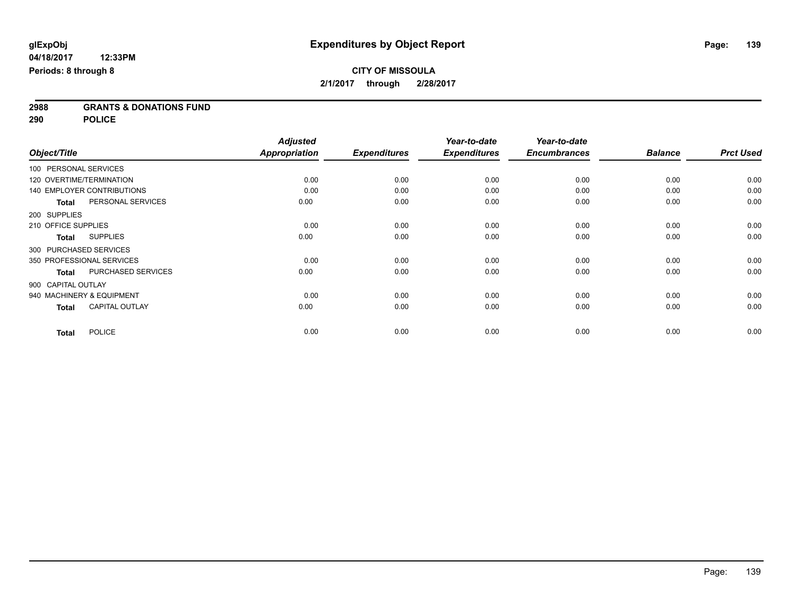**2988 GRANTS & DONATIONS FUND**

**290 POLICE**

|                               |                           | <b>Adjusted</b>      |                     | Year-to-date        | Year-to-date        |                |                  |
|-------------------------------|---------------------------|----------------------|---------------------|---------------------|---------------------|----------------|------------------|
| Object/Title                  |                           | <b>Appropriation</b> | <b>Expenditures</b> | <b>Expenditures</b> | <b>Encumbrances</b> | <b>Balance</b> | <b>Prct Used</b> |
| 100 PERSONAL SERVICES         |                           |                      |                     |                     |                     |                |                  |
| 120 OVERTIME/TERMINATION      |                           | 0.00                 | 0.00                | 0.00                | 0.00                | 0.00           | 0.00             |
| 140 EMPLOYER CONTRIBUTIONS    |                           | 0.00                 | 0.00                | 0.00                | 0.00                | 0.00           | 0.00             |
| <b>Total</b>                  | PERSONAL SERVICES         | 0.00                 | 0.00                | 0.00                | 0.00                | 0.00           | 0.00             |
| 200 SUPPLIES                  |                           |                      |                     |                     |                     |                |                  |
| 210 OFFICE SUPPLIES           |                           | 0.00                 | 0.00                | 0.00                | 0.00                | 0.00           | 0.00             |
| <b>SUPPLIES</b><br>Total      |                           | 0.00                 | 0.00                | 0.00                | 0.00                | 0.00           | 0.00             |
| 300 PURCHASED SERVICES        |                           |                      |                     |                     |                     |                |                  |
| 350 PROFESSIONAL SERVICES     |                           | 0.00                 | 0.00                | 0.00                | 0.00                | 0.00           | 0.00             |
| <b>Total</b>                  | <b>PURCHASED SERVICES</b> | 0.00                 | 0.00                | 0.00                | 0.00                | 0.00           | 0.00             |
| 900 CAPITAL OUTLAY            |                           |                      |                     |                     |                     |                |                  |
| 940 MACHINERY & EQUIPMENT     |                           | 0.00                 | 0.00                | 0.00                | 0.00                | 0.00           | 0.00             |
| <b>Total</b>                  | <b>CAPITAL OUTLAY</b>     | 0.00                 | 0.00                | 0.00                | 0.00                | 0.00           | 0.00             |
| <b>POLICE</b><br><b>Total</b> |                           | 0.00                 | 0.00                | 0.00                | 0.00                | 0.00           | 0.00             |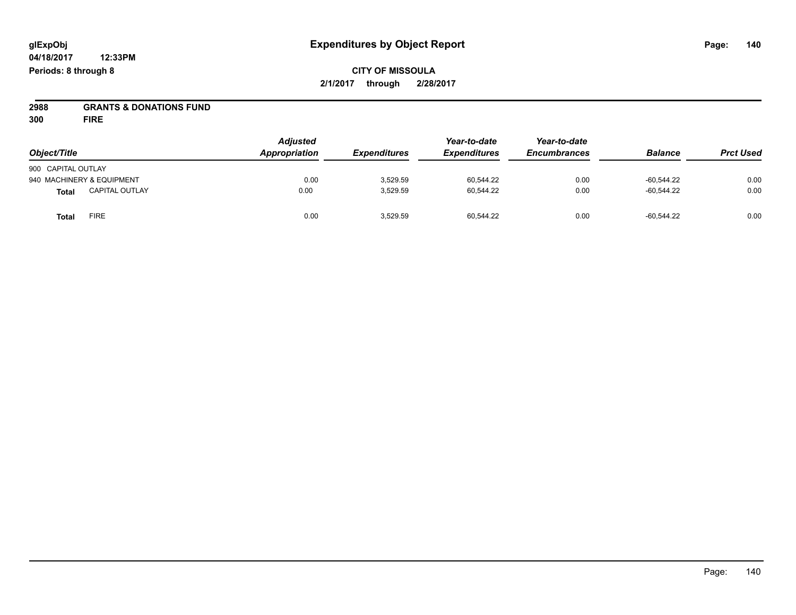## **CITY OF MISSOULA 2/1/2017 through 2/28/2017**

# **2988 GRANTS & DONATIONS FUND**

**300 FIRE**

|                                       | <b>Adjusted</b> |                     |                     | Year-to-date        |                |                  |
|---------------------------------------|-----------------|---------------------|---------------------|---------------------|----------------|------------------|
| Object/Title                          | Appropriation   | <b>Expenditures</b> | <b>Expenditures</b> | <b>Encumbrances</b> | <b>Balance</b> | <b>Prct Used</b> |
| 900 CAPITAL OUTLAY                    |                 |                     |                     |                     |                |                  |
| 940 MACHINERY & EQUIPMENT             | 0.00            | 3.529.59            | 60,544.22           | 0.00                | $-60.544.22$   | 0.00             |
| <b>CAPITAL OUTLAY</b><br><b>Total</b> | 0.00            | 3,529.59            | 60,544.22           | 0.00                | $-60.544.22$   | 0.00             |
| FIRE<br>Total                         | 0.00            | 3.529.59            | 60.544.22           | 0.00                | $-60.544.22$   | 0.00             |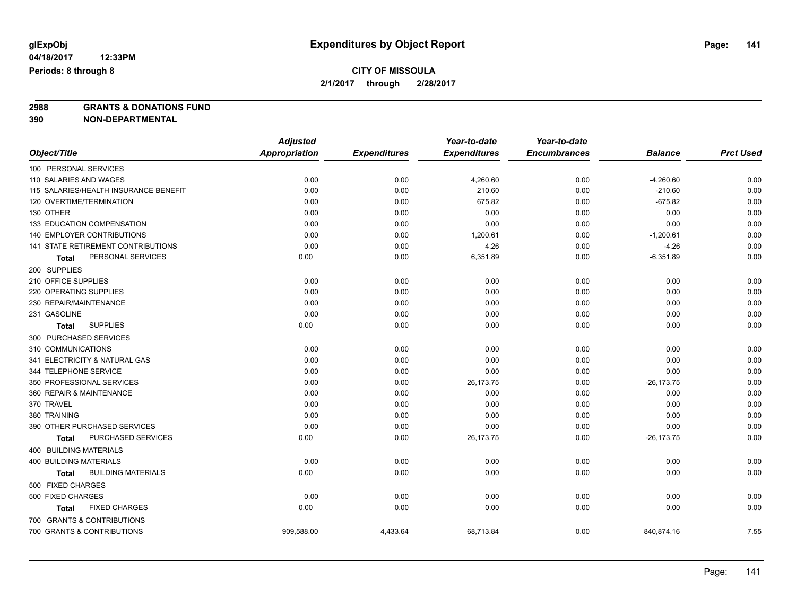# **2988 GRANTS & DONATIONS FUND**

**390 NON-DEPARTMENTAL**

**04/18/2017**

|                                           | <b>Adjusted</b>      |                     | Year-to-date        | Year-to-date        |                |                  |
|-------------------------------------------|----------------------|---------------------|---------------------|---------------------|----------------|------------------|
| Object/Title                              | <b>Appropriation</b> | <b>Expenditures</b> | <b>Expenditures</b> | <b>Encumbrances</b> | <b>Balance</b> | <b>Prct Used</b> |
| 100 PERSONAL SERVICES                     |                      |                     |                     |                     |                |                  |
| 110 SALARIES AND WAGES                    | 0.00                 | 0.00                | 4,260.60            | 0.00                | $-4,260.60$    | 0.00             |
| 115 SALARIES/HEALTH INSURANCE BENEFIT     | 0.00                 | 0.00                | 210.60              | 0.00                | $-210.60$      | 0.00             |
| 120 OVERTIME/TERMINATION                  | 0.00                 | 0.00                | 675.82              | 0.00                | $-675.82$      | 0.00             |
| 130 OTHER                                 | 0.00                 | 0.00                | 0.00                | 0.00                | 0.00           | 0.00             |
| 133 EDUCATION COMPENSATION                | 0.00                 | 0.00                | 0.00                | 0.00                | 0.00           | 0.00             |
| 140 EMPLOYER CONTRIBUTIONS                | 0.00                 | 0.00                | 1,200.61            | 0.00                | $-1,200.61$    | 0.00             |
| 141 STATE RETIREMENT CONTRIBUTIONS        | 0.00                 | 0.00                | 4.26                | 0.00                | $-4.26$        | 0.00             |
| PERSONAL SERVICES<br>Total                | 0.00                 | 0.00                | 6,351.89            | 0.00                | $-6,351.89$    | 0.00             |
| 200 SUPPLIES                              |                      |                     |                     |                     |                |                  |
| 210 OFFICE SUPPLIES                       | 0.00                 | 0.00                | 0.00                | 0.00                | 0.00           | 0.00             |
| 220 OPERATING SUPPLIES                    | 0.00                 | 0.00                | 0.00                | 0.00                | 0.00           | 0.00             |
| 230 REPAIR/MAINTENANCE                    | 0.00                 | 0.00                | 0.00                | 0.00                | 0.00           | 0.00             |
| 231 GASOLINE                              | 0.00                 | 0.00                | 0.00                | 0.00                | 0.00           | 0.00             |
| <b>SUPPLIES</b><br>Total                  | 0.00                 | 0.00                | 0.00                | 0.00                | 0.00           | 0.00             |
| 300 PURCHASED SERVICES                    |                      |                     |                     |                     |                |                  |
| 310 COMMUNICATIONS                        | 0.00                 | 0.00                | 0.00                | 0.00                | 0.00           | 0.00             |
| 341 ELECTRICITY & NATURAL GAS             | 0.00                 | 0.00                | 0.00                | 0.00                | 0.00           | 0.00             |
| 344 TELEPHONE SERVICE                     | 0.00                 | 0.00                | 0.00                | 0.00                | 0.00           | 0.00             |
| 350 PROFESSIONAL SERVICES                 | 0.00                 | 0.00                | 26,173.75           | 0.00                | $-26, 173.75$  | 0.00             |
| 360 REPAIR & MAINTENANCE                  | 0.00                 | 0.00                | 0.00                | 0.00                | 0.00           | 0.00             |
| 370 TRAVEL                                | 0.00                 | 0.00                | 0.00                | 0.00                | 0.00           | 0.00             |
| 380 TRAINING                              | 0.00                 | 0.00                | 0.00                | 0.00                | 0.00           | 0.00             |
| 390 OTHER PURCHASED SERVICES              | 0.00                 | 0.00                | 0.00                | 0.00                | 0.00           | 0.00             |
| PURCHASED SERVICES<br>Total               | 0.00                 | 0.00                | 26,173.75           | 0.00                | $-26, 173.75$  | 0.00             |
| 400 BUILDING MATERIALS                    |                      |                     |                     |                     |                |                  |
| <b>400 BUILDING MATERIALS</b>             | 0.00                 | 0.00                | 0.00                | 0.00                | 0.00           | 0.00             |
| <b>BUILDING MATERIALS</b><br><b>Total</b> | 0.00                 | 0.00                | 0.00                | 0.00                | 0.00           | 0.00             |
| 500 FIXED CHARGES                         |                      |                     |                     |                     |                |                  |
| 500 FIXED CHARGES                         | 0.00                 | 0.00                | 0.00                | 0.00                | 0.00           | 0.00             |
| <b>FIXED CHARGES</b><br>Total             | 0.00                 | 0.00                | 0.00                | 0.00                | 0.00           | 0.00             |
| 700 GRANTS & CONTRIBUTIONS                |                      |                     |                     |                     |                |                  |
| 700 GRANTS & CONTRIBUTIONS                | 909,588.00           | 4,433.64            | 68,713.84           | 0.00                | 840,874.16     | 7.55             |
|                                           |                      |                     |                     |                     |                |                  |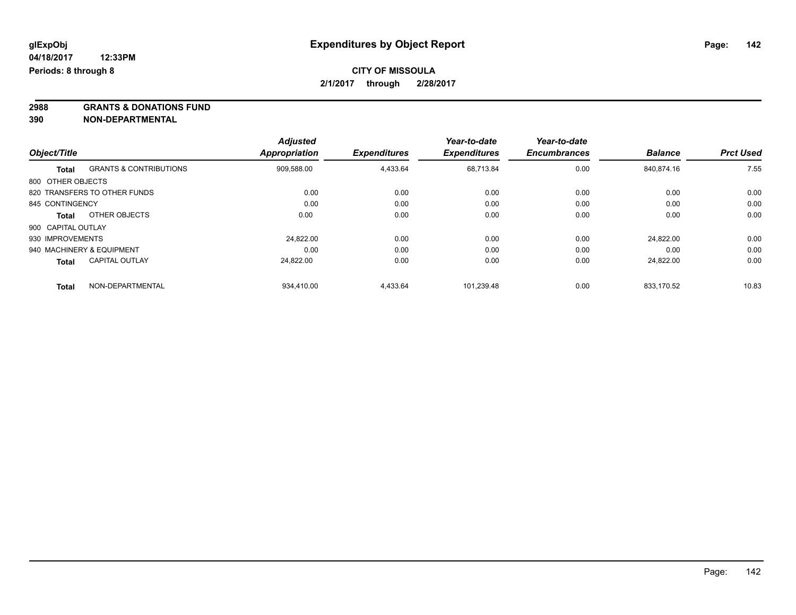**2988 GRANTS & DONATIONS FUND**

**390 NON-DEPARTMENTAL**

|                    |                                   | <b>Adjusted</b> |                     | Year-to-date        | Year-to-date        |                |                  |
|--------------------|-----------------------------------|-----------------|---------------------|---------------------|---------------------|----------------|------------------|
| Object/Title       |                                   | Appropriation   | <b>Expenditures</b> | <b>Expenditures</b> | <b>Encumbrances</b> | <b>Balance</b> | <b>Prct Used</b> |
| <b>Total</b>       | <b>GRANTS &amp; CONTRIBUTIONS</b> | 909,588.00      | 4,433.64            | 68.713.84           | 0.00                | 840.874.16     | 7.55             |
| 800 OTHER OBJECTS  |                                   |                 |                     |                     |                     |                |                  |
|                    | 820 TRANSFERS TO OTHER FUNDS      | 0.00            | 0.00                | 0.00                | 0.00                | 0.00           | 0.00             |
| 845 CONTINGENCY    |                                   | 0.00            | 0.00                | 0.00                | 0.00                | 0.00           | 0.00             |
| Total              | OTHER OBJECTS                     | 0.00            | 0.00                | 0.00                | 0.00                | 0.00           | 0.00             |
| 900 CAPITAL OUTLAY |                                   |                 |                     |                     |                     |                |                  |
| 930 IMPROVEMENTS   |                                   | 24.822.00       | 0.00                | 0.00                | 0.00                | 24.822.00      | 0.00             |
|                    | 940 MACHINERY & EQUIPMENT         | 0.00            | 0.00                | 0.00                | 0.00                | 0.00           | 0.00             |
| <b>Total</b>       | <b>CAPITAL OUTLAY</b>             | 24.822.00       | 0.00                | 0.00                | 0.00                | 24.822.00      | 0.00             |
| <b>Total</b>       | NON-DEPARTMENTAL                  | 934,410.00      | 4,433.64            | 101,239.48          | 0.00                | 833.170.52     | 10.83            |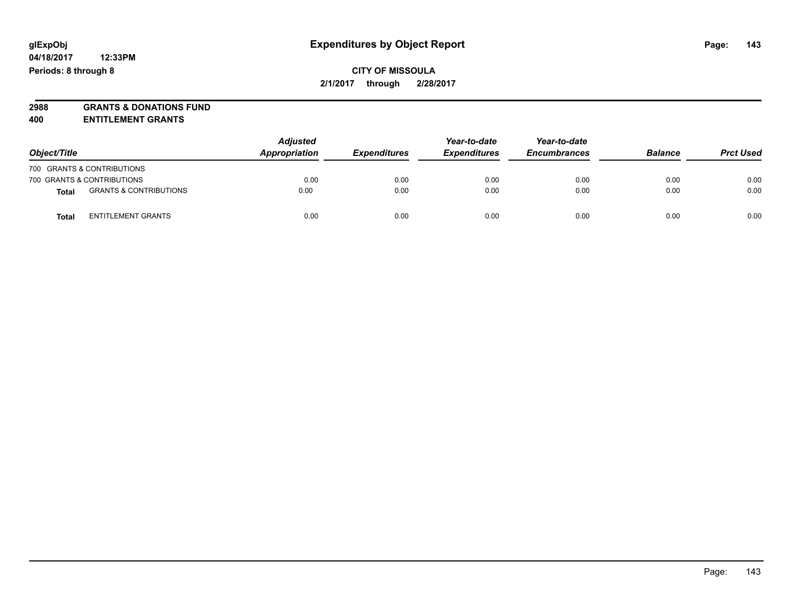**2988 GRANTS & DONATIONS FUND**

**400 ENTITLEMENT GRANTS**

| Object/Title |                                   | <b>Adjusted</b><br>Appropriation | <b>Expenditures</b> | Year-to-date<br><b>Expenditures</b> | Year-to-date<br><b>Encumbrances</b> | <b>Balance</b> | <b>Prct Used</b> |
|--------------|-----------------------------------|----------------------------------|---------------------|-------------------------------------|-------------------------------------|----------------|------------------|
|              | 700 GRANTS & CONTRIBUTIONS        |                                  |                     |                                     |                                     |                |                  |
|              | 700 GRANTS & CONTRIBUTIONS        | 0.00                             | 0.00                | 0.00                                | 0.00                                | 0.00           | 0.00             |
| Total        | <b>GRANTS &amp; CONTRIBUTIONS</b> | 0.00                             | 0.00                | 0.00                                | 0.00                                | 0.00           | 0.00             |
| Total        | <b>ENTITLEMENT GRANTS</b>         | 0.00                             | 0.00                | 0.00                                | 0.00                                | 0.00           | 0.00             |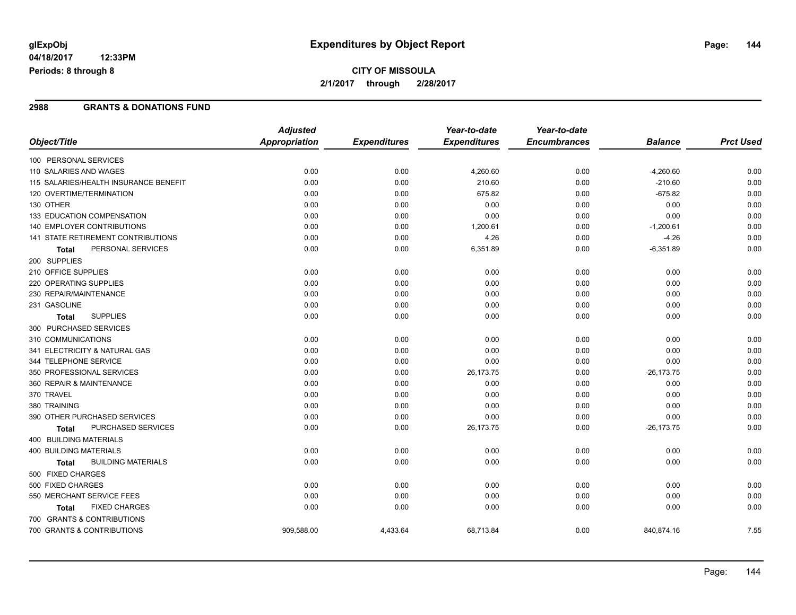## **CITY OF MISSOULA 2/1/2017 through 2/28/2017**

#### **2988 GRANTS & DONATIONS FUND**

|                                           | <b>Adjusted</b>      |                     | Year-to-date        | Year-to-date        |                |                  |
|-------------------------------------------|----------------------|---------------------|---------------------|---------------------|----------------|------------------|
| Object/Title                              | <b>Appropriation</b> | <b>Expenditures</b> | <b>Expenditures</b> | <b>Encumbrances</b> | <b>Balance</b> | <b>Prct Used</b> |
| 100 PERSONAL SERVICES                     |                      |                     |                     |                     |                |                  |
| 110 SALARIES AND WAGES                    | 0.00                 | 0.00                | 4,260.60            | 0.00                | $-4,260.60$    | 0.00             |
| 115 SALARIES/HEALTH INSURANCE BENEFIT     | 0.00                 | 0.00                | 210.60              | 0.00                | $-210.60$      | 0.00             |
| 120 OVERTIME/TERMINATION                  | 0.00                 | 0.00                | 675.82              | 0.00                | $-675.82$      | 0.00             |
| 130 OTHER                                 | 0.00                 | 0.00                | 0.00                | 0.00                | 0.00           | 0.00             |
| 133 EDUCATION COMPENSATION                | 0.00                 | 0.00                | 0.00                | 0.00                | 0.00           | 0.00             |
| 140 EMPLOYER CONTRIBUTIONS                | 0.00                 | 0.00                | 1,200.61            | 0.00                | $-1,200.61$    | 0.00             |
| 141 STATE RETIREMENT CONTRIBUTIONS        | 0.00                 | 0.00                | 4.26                | 0.00                | $-4.26$        | 0.00             |
| PERSONAL SERVICES<br><b>Total</b>         | 0.00                 | 0.00                | 6,351.89            | 0.00                | $-6,351.89$    | 0.00             |
| 200 SUPPLIES                              |                      |                     |                     |                     |                |                  |
| 210 OFFICE SUPPLIES                       | 0.00                 | 0.00                | 0.00                | 0.00                | 0.00           | 0.00             |
| 220 OPERATING SUPPLIES                    | 0.00                 | 0.00                | 0.00                | 0.00                | 0.00           | 0.00             |
| 230 REPAIR/MAINTENANCE                    | 0.00                 | 0.00                | 0.00                | 0.00                | 0.00           | 0.00             |
| 231 GASOLINE                              | 0.00                 | 0.00                | 0.00                | 0.00                | 0.00           | 0.00             |
| <b>SUPPLIES</b><br><b>Total</b>           | 0.00                 | 0.00                | 0.00                | 0.00                | 0.00           | 0.00             |
| 300 PURCHASED SERVICES                    |                      |                     |                     |                     |                |                  |
| 310 COMMUNICATIONS                        | 0.00                 | 0.00                | 0.00                | 0.00                | 0.00           | 0.00             |
| 341 ELECTRICITY & NATURAL GAS             | 0.00                 | 0.00                | 0.00                | 0.00                | 0.00           | 0.00             |
| 344 TELEPHONE SERVICE                     | 0.00                 | 0.00                | 0.00                | 0.00                | 0.00           | 0.00             |
| 350 PROFESSIONAL SERVICES                 | 0.00                 | 0.00                | 26,173.75           | 0.00                | $-26, 173.75$  | 0.00             |
| 360 REPAIR & MAINTENANCE                  | 0.00                 | 0.00                | 0.00                | 0.00                | 0.00           | 0.00             |
| 370 TRAVEL                                | 0.00                 | 0.00                | 0.00                | 0.00                | 0.00           | 0.00             |
| 380 TRAINING                              | 0.00                 | 0.00                | 0.00                | 0.00                | 0.00           | 0.00             |
| 390 OTHER PURCHASED SERVICES              | 0.00                 | 0.00                | 0.00                | 0.00                | 0.00           | 0.00             |
| <b>PURCHASED SERVICES</b><br>Total        | 0.00                 | 0.00                | 26,173.75           | 0.00                | $-26, 173.75$  | 0.00             |
| 400 BUILDING MATERIALS                    |                      |                     |                     |                     |                |                  |
| <b>400 BUILDING MATERIALS</b>             | 0.00                 | 0.00                | 0.00                | 0.00                | 0.00           | 0.00             |
| <b>BUILDING MATERIALS</b><br><b>Total</b> | 0.00                 | 0.00                | 0.00                | 0.00                | 0.00           | 0.00             |
| 500 FIXED CHARGES                         |                      |                     |                     |                     |                |                  |
| 500 FIXED CHARGES                         | 0.00                 | 0.00                | 0.00                | 0.00                | 0.00           | 0.00             |
| 550 MERCHANT SERVICE FEES                 | 0.00                 | 0.00                | 0.00                | 0.00                | 0.00           | 0.00             |
| <b>FIXED CHARGES</b><br>Total             | 0.00                 | 0.00                | 0.00                | 0.00                | 0.00           | 0.00             |
| 700 GRANTS & CONTRIBUTIONS                |                      |                     |                     |                     |                |                  |
| 700 GRANTS & CONTRIBUTIONS                | 909,588.00           | 4,433.64            | 68,713.84           | 0.00                | 840,874.16     | 7.55             |
|                                           |                      |                     |                     |                     |                |                  |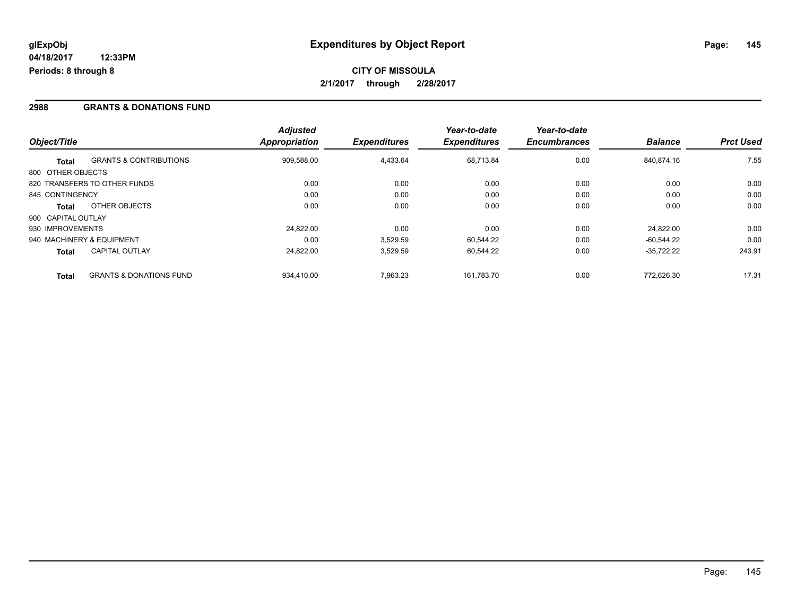# **CITY OF MISSOULA 2/1/2017 through 2/28/2017**

### **2988 GRANTS & DONATIONS FUND**

| Object/Title       |                                    | <b>Adjusted</b><br>Appropriation | <b>Expenditures</b> | Year-to-date<br><b>Expenditures</b> | Year-to-date<br><b>Encumbrances</b> | <b>Balance</b> | <b>Prct Used</b> |
|--------------------|------------------------------------|----------------------------------|---------------------|-------------------------------------|-------------------------------------|----------------|------------------|
|                    |                                    |                                  |                     |                                     |                                     |                |                  |
| <b>Total</b>       | <b>GRANTS &amp; CONTRIBUTIONS</b>  | 909,588.00                       | 4,433.64            | 68.713.84                           | 0.00                                | 840.874.16     | 7.55             |
| 800 OTHER OBJECTS  |                                    |                                  |                     |                                     |                                     |                |                  |
|                    | 820 TRANSFERS TO OTHER FUNDS       | 0.00                             | 0.00                | 0.00                                | 0.00                                | 0.00           | 0.00             |
| 845 CONTINGENCY    |                                    | 0.00                             | 0.00                | 0.00                                | 0.00                                | 0.00           | 0.00             |
| <b>Total</b>       | OTHER OBJECTS                      | 0.00                             | 0.00                | 0.00                                | 0.00                                | 0.00           | 0.00             |
| 900 CAPITAL OUTLAY |                                    |                                  |                     |                                     |                                     |                |                  |
| 930 IMPROVEMENTS   |                                    | 24.822.00                        | 0.00                | 0.00                                | 0.00                                | 24.822.00      | 0.00             |
|                    | 940 MACHINERY & EQUIPMENT          | 0.00                             | 3,529.59            | 60.544.22                           | 0.00                                | $-60.544.22$   | 0.00             |
| <b>Total</b>       | <b>CAPITAL OUTLAY</b>              | 24,822.00                        | 3,529.59            | 60,544.22                           | 0.00                                | $-35,722.22$   | 243.91           |
| <b>Total</b>       | <b>GRANTS &amp; DONATIONS FUND</b> | 934.410.00                       | 7.963.23            | 161.783.70                          | 0.00                                | 772.626.30     | 17.31            |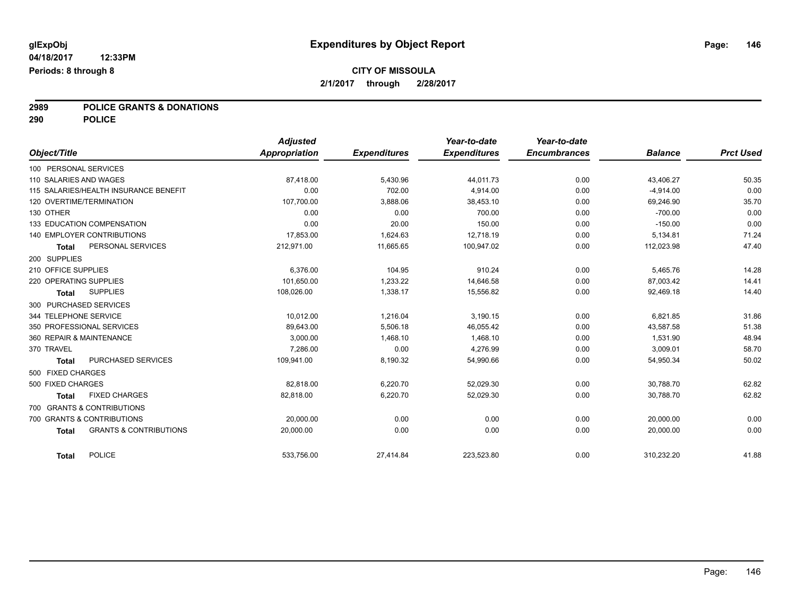### **CITY OF MISSOULA 2/1/2017 through 2/28/2017**

# **2989 POLICE GRANTS & DONATIONS**

**290 POLICE**

|                        |                                       | <b>Adjusted</b> |                     | Year-to-date        | Year-to-date        |                |                  |
|------------------------|---------------------------------------|-----------------|---------------------|---------------------|---------------------|----------------|------------------|
| Object/Title           |                                       | Appropriation   | <b>Expenditures</b> | <b>Expenditures</b> | <b>Encumbrances</b> | <b>Balance</b> | <b>Prct Used</b> |
| 100 PERSONAL SERVICES  |                                       |                 |                     |                     |                     |                |                  |
| 110 SALARIES AND WAGES |                                       | 87,418.00       | 5,430.96            | 44,011.73           | 0.00                | 43,406.27      | 50.35            |
|                        | 115 SALARIES/HEALTH INSURANCE BENEFIT | 0.00            | 702.00              | 4,914.00            | 0.00                | $-4,914.00$    | 0.00             |
|                        | 120 OVERTIME/TERMINATION              | 107,700.00      | 3,888.06            | 38,453.10           | 0.00                | 69,246.90      | 35.70            |
| 130 OTHER              |                                       | 0.00            | 0.00                | 700.00              | 0.00                | $-700.00$      | 0.00             |
|                        | 133 EDUCATION COMPENSATION            | 0.00            | 20.00               | 150.00              | 0.00                | $-150.00$      | 0.00             |
|                        | <b>140 EMPLOYER CONTRIBUTIONS</b>     | 17.853.00       | 1,624.63            | 12.718.19           | 0.00                | 5,134.81       | 71.24            |
| <b>Total</b>           | PERSONAL SERVICES                     | 212,971.00      | 11,665.65           | 100,947.02          | 0.00                | 112,023.98     | 47.40            |
| 200 SUPPLIES           |                                       |                 |                     |                     |                     |                |                  |
| 210 OFFICE SUPPLIES    |                                       | 6.376.00        | 104.95              | 910.24              | 0.00                | 5,465.76       | 14.28            |
| 220 OPERATING SUPPLIES |                                       | 101,650.00      | 1,233.22            | 14,646.58           | 0.00                | 87,003.42      | 14.41            |
| <b>Total</b>           | <b>SUPPLIES</b>                       | 108,026.00      | 1,338.17            | 15,556.82           | 0.00                | 92,469.18      | 14.40            |
|                        | 300 PURCHASED SERVICES                |                 |                     |                     |                     |                |                  |
| 344 TELEPHONE SERVICE  |                                       | 10.012.00       | 1.216.04            | 3,190.15            | 0.00                | 6.821.85       | 31.86            |
|                        | 350 PROFESSIONAL SERVICES             | 89,643.00       | 5,506.18            | 46,055.42           | 0.00                | 43,587.58      | 51.38            |
|                        | 360 REPAIR & MAINTENANCE              | 3,000.00        | 1,468.10            | 1,468.10            | 0.00                | 1,531.90       | 48.94            |
| 370 TRAVEL             |                                       | 7,286.00        | 0.00                | 4,276.99            | 0.00                | 3,009.01       | 58.70            |
| <b>Total</b>           | PURCHASED SERVICES                    | 109,941.00      | 8,190.32            | 54,990.66           | 0.00                | 54,950.34      | 50.02            |
| 500 FIXED CHARGES      |                                       |                 |                     |                     |                     |                |                  |
| 500 FIXED CHARGES      |                                       | 82.818.00       | 6,220.70            | 52,029.30           | 0.00                | 30,788.70      | 62.82            |
| <b>Total</b>           | <b>FIXED CHARGES</b>                  | 82,818.00       | 6,220.70            | 52,029.30           | 0.00                | 30,788.70      | 62.82            |
|                        | 700 GRANTS & CONTRIBUTIONS            |                 |                     |                     |                     |                |                  |
|                        | 700 GRANTS & CONTRIBUTIONS            | 20,000.00       | 0.00                | 0.00                | 0.00                | 20,000.00      | 0.00             |
| <b>Total</b>           | <b>GRANTS &amp; CONTRIBUTIONS</b>     | 20.000.00       | 0.00                | 0.00                | 0.00                | 20,000.00      | 0.00             |
| <b>Total</b>           | <b>POLICE</b>                         | 533.756.00      | 27,414.84           | 223,523.80          | 0.00                | 310,232.20     | 41.88            |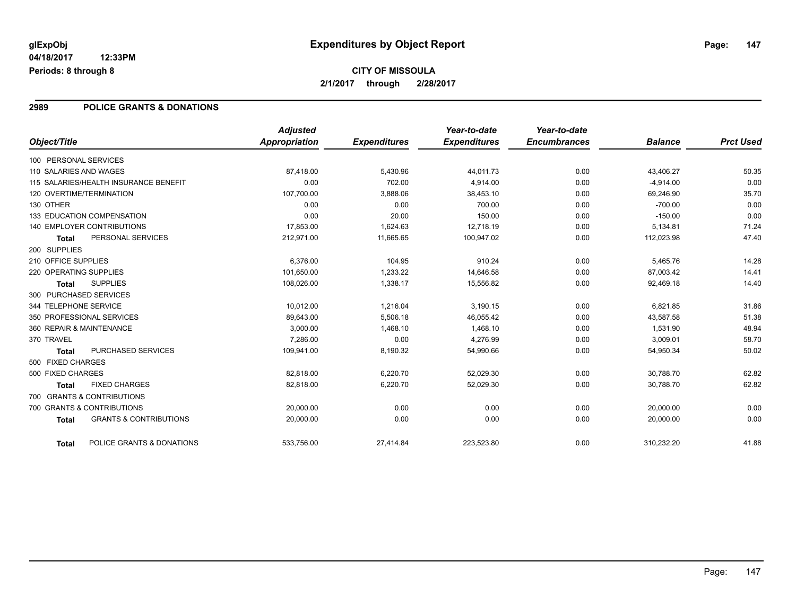# **CITY OF MISSOULA 2/1/2017 through 2/28/2017**

### **2989 POLICE GRANTS & DONATIONS**

| Object/Title           |                                       | <b>Adjusted</b><br><b>Appropriation</b> | <b>Expenditures</b> | Year-to-date<br><b>Expenditures</b> | Year-to-date<br><b>Encumbrances</b> | <b>Balance</b> | <b>Prct Used</b> |
|------------------------|---------------------------------------|-----------------------------------------|---------------------|-------------------------------------|-------------------------------------|----------------|------------------|
| 100 PERSONAL SERVICES  |                                       |                                         |                     |                                     |                                     |                |                  |
| 110 SALARIES AND WAGES |                                       | 87,418.00                               | 5,430.96            | 44,011.73                           | 0.00                                | 43,406.27      | 50.35            |
|                        | 115 SALARIES/HEALTH INSURANCE BENEFIT | 0.00                                    | 702.00              | 4,914.00                            | 0.00                                | $-4,914.00$    | 0.00             |
|                        | 120 OVERTIME/TERMINATION              | 107,700.00                              | 3,888.06            | 38,453.10                           | 0.00                                | 69,246.90      | 35.70            |
| 130 OTHER              |                                       | 0.00                                    | 0.00                | 700.00                              | 0.00                                | $-700.00$      | 0.00             |
|                        | 133 EDUCATION COMPENSATION            | 0.00                                    | 20.00               | 150.00                              | 0.00                                | $-150.00$      | 0.00             |
|                        | 140 EMPLOYER CONTRIBUTIONS            | 17,853.00                               | 1,624.63            | 12,718.19                           | 0.00                                | 5,134.81       | 71.24            |
| <b>Total</b>           | PERSONAL SERVICES                     | 212,971.00                              | 11,665.65           | 100,947.02                          | 0.00                                | 112,023.98     | 47.40            |
| 200 SUPPLIES           |                                       |                                         |                     |                                     |                                     |                |                  |
| 210 OFFICE SUPPLIES    |                                       | 6,376.00                                | 104.95              | 910.24                              | 0.00                                | 5,465.76       | 14.28            |
| 220 OPERATING SUPPLIES |                                       | 101,650.00                              | 1,233.22            | 14,646.58                           | 0.00                                | 87,003.42      | 14.41            |
| <b>Total</b>           | <b>SUPPLIES</b>                       | 108,026.00                              | 1,338.17            | 15,556.82                           | 0.00                                | 92,469.18      | 14.40            |
|                        | 300 PURCHASED SERVICES                |                                         |                     |                                     |                                     |                |                  |
| 344 TELEPHONE SERVICE  |                                       | 10,012.00                               | 1,216.04            | 3,190.15                            | 0.00                                | 6,821.85       | 31.86            |
|                        | 350 PROFESSIONAL SERVICES             | 89,643.00                               | 5,506.18            | 46,055.42                           | 0.00                                | 43,587.58      | 51.38            |
|                        | 360 REPAIR & MAINTENANCE              | 3,000.00                                | 1,468.10            | 1,468.10                            | 0.00                                | 1,531.90       | 48.94            |
| 370 TRAVEL             |                                       | 7.286.00                                | 0.00                | 4.276.99                            | 0.00                                | 3,009.01       | 58.70            |
| <b>Total</b>           | <b>PURCHASED SERVICES</b>             | 109,941.00                              | 8,190.32            | 54,990.66                           | 0.00                                | 54,950.34      | 50.02            |
| 500 FIXED CHARGES      |                                       |                                         |                     |                                     |                                     |                |                  |
| 500 FIXED CHARGES      |                                       | 82,818.00                               | 6,220.70            | 52,029.30                           | 0.00                                | 30,788.70      | 62.82            |
| <b>Total</b>           | <b>FIXED CHARGES</b>                  | 82.818.00                               | 6,220.70            | 52,029.30                           | 0.00                                | 30.788.70      | 62.82            |
|                        | 700 GRANTS & CONTRIBUTIONS            |                                         |                     |                                     |                                     |                |                  |
|                        | 700 GRANTS & CONTRIBUTIONS            | 20,000.00                               | 0.00                | 0.00                                | 0.00                                | 20,000.00      | 0.00             |
| <b>Total</b>           | <b>GRANTS &amp; CONTRIBUTIONS</b>     | 20,000.00                               | 0.00                | 0.00                                | 0.00                                | 20,000.00      | 0.00             |
| <b>Total</b>           | POLICE GRANTS & DONATIONS             | 533,756.00                              | 27,414.84           | 223,523.80                          | 0.00                                | 310,232.20     | 41.88            |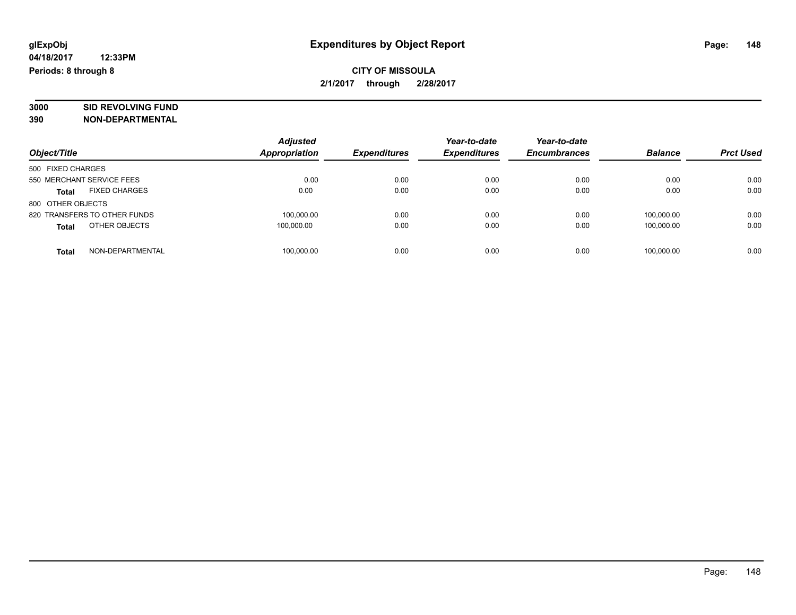## **CITY OF MISSOULA 2/1/2017 through 2/28/2017**

# **3000 SID REVOLVING FUND**

| Object/Title                         | <b>Adjusted</b><br><b>Appropriation</b> | <b>Expenditures</b> | Year-to-date<br><b>Expenditures</b> | Year-to-date<br><b>Encumbrances</b> | <b>Balance</b> | <b>Prct Used</b> |
|--------------------------------------|-----------------------------------------|---------------------|-------------------------------------|-------------------------------------|----------------|------------------|
| 500 FIXED CHARGES                    |                                         |                     |                                     |                                     |                |                  |
| 550 MERCHANT SERVICE FEES            | 0.00                                    | 0.00                | 0.00                                | 0.00                                | 0.00           | 0.00             |
| <b>FIXED CHARGES</b><br><b>Total</b> | 0.00                                    | 0.00                | 0.00                                | 0.00                                | 0.00           | 0.00             |
| 800 OTHER OBJECTS                    |                                         |                     |                                     |                                     |                |                  |
| 820 TRANSFERS TO OTHER FUNDS         | 100,000.00                              | 0.00                | 0.00                                | 0.00                                | 100.000.00     | 0.00             |
| OTHER OBJECTS<br><b>Total</b>        | 100.000.00                              | 0.00                | 0.00                                | 0.00                                | 100,000.00     | 0.00             |
| NON-DEPARTMENTAL<br>Total            | 100,000.00                              | 0.00                | 0.00                                | 0.00                                | 100.000.00     | 0.00             |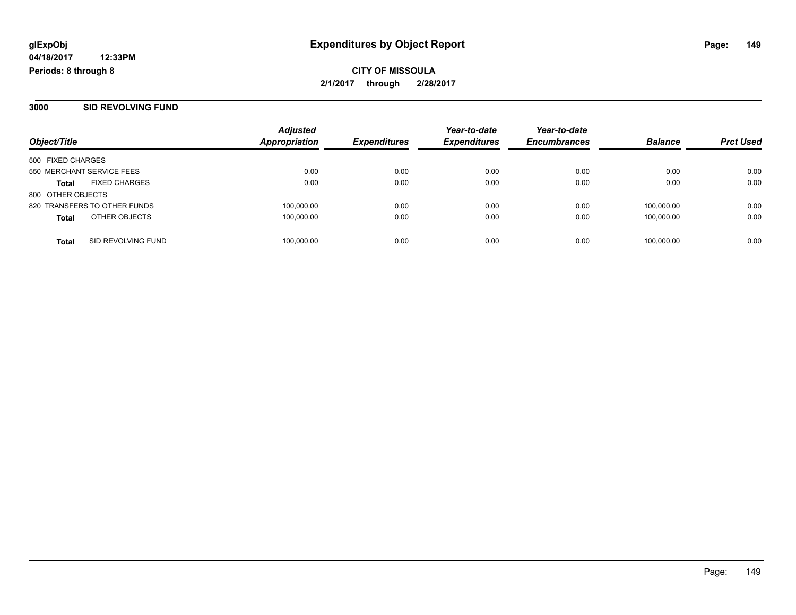**CITY OF MISSOULA 2/1/2017 through 2/28/2017**

**3000 SID REVOLVING FUND**

| Object/Title                         | <b>Adjusted</b><br>Appropriation | <b>Expenditures</b> | Year-to-date<br><b>Expenditures</b> | Year-to-date<br><b>Encumbrances</b> | <b>Balance</b> | <b>Prct Used</b> |
|--------------------------------------|----------------------------------|---------------------|-------------------------------------|-------------------------------------|----------------|------------------|
| 500 FIXED CHARGES                    |                                  |                     |                                     |                                     |                |                  |
| 550 MERCHANT SERVICE FEES            | 0.00                             | 0.00                | 0.00                                | 0.00                                | 0.00           | 0.00             |
| <b>FIXED CHARGES</b><br><b>Total</b> | 0.00                             | 0.00                | 0.00                                | 0.00                                | 0.00           | 0.00             |
| 800 OTHER OBJECTS                    |                                  |                     |                                     |                                     |                |                  |
| 820 TRANSFERS TO OTHER FUNDS         | 100,000.00                       | 0.00                | 0.00                                | 0.00                                | 100.000.00     | 0.00             |
| OTHER OBJECTS<br><b>Total</b>        | 100,000.00                       | 0.00                | 0.00                                | 0.00                                | 100.000.00     | 0.00             |
| SID REVOLVING FUND<br><b>Total</b>   | 100,000.00                       | 0.00                | 0.00                                | 0.00                                | 100,000.00     | 0.00             |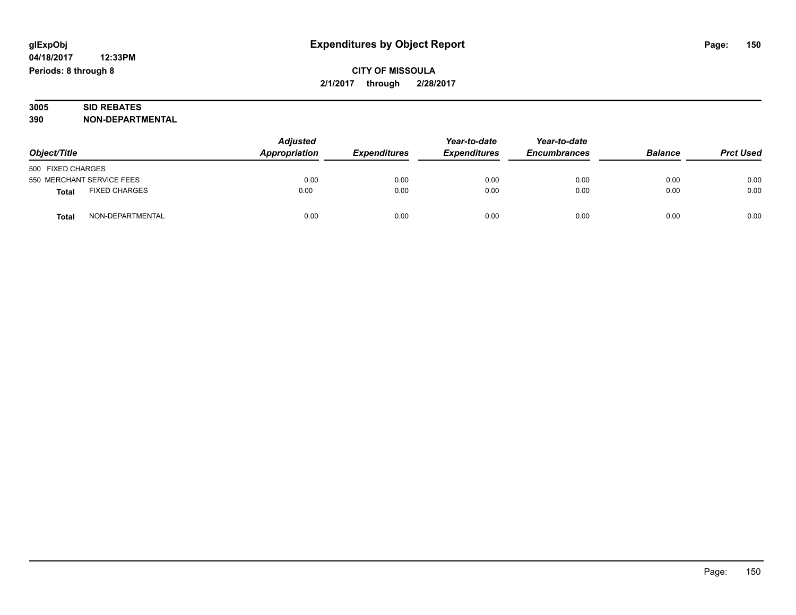# **CITY OF MISSOULA 2/1/2017 through 2/28/2017**

#### **3005 SID REBATES 390 NON-DEPARTMENTAL**

| Object/Title      |                           | <b>Adjusted</b><br>Appropriation | <b>Expenditures</b> | Year-to-date<br><b>Expenditures</b> | Year-to-date<br><b>Encumbrances</b> | <b>Balance</b> | <b>Prct Used</b> |
|-------------------|---------------------------|----------------------------------|---------------------|-------------------------------------|-------------------------------------|----------------|------------------|
| 500 FIXED CHARGES |                           |                                  |                     |                                     |                                     |                |                  |
|                   | 550 MERCHANT SERVICE FEES | 0.00                             | 0.00                | 0.00                                | 0.00                                | 0.00           | 0.00             |
| <b>Total</b>      | <b>FIXED CHARGES</b>      | 0.00                             | 0.00                | 0.00                                | 0.00                                | 0.00           | 0.00             |
| <b>Total</b>      | NON-DEPARTMENTAL          | 0.00                             | 0.00                | 0.00                                | 0.00                                | 0.00           | 0.00             |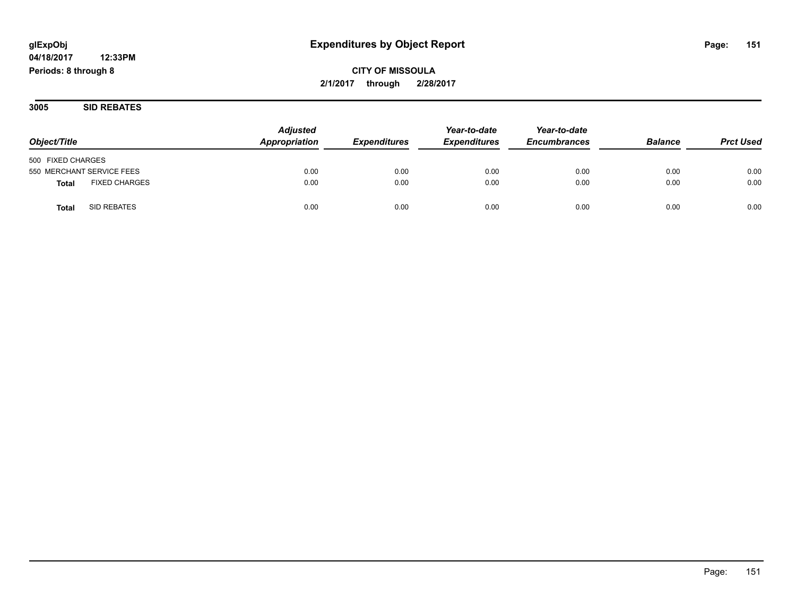# **12:33PM**

**04/18/2017 Periods: 8 through 8**

# **CITY OF MISSOULA 2/1/2017 through 2/28/2017**

**3005 SID REBATES**

| Object/Title                         | <b>Adjusted</b><br>Appropriation | <i><b>Expenditures</b></i> | Year-to-date<br><b>Expenditures</b> | Year-to-date<br><b>Encumbrances</b> | <b>Balance</b> | <b>Prct Used</b> |
|--------------------------------------|----------------------------------|----------------------------|-------------------------------------|-------------------------------------|----------------|------------------|
| 500 FIXED CHARGES                    |                                  |                            |                                     |                                     |                |                  |
| 550 MERCHANT SERVICE FEES            | 0.00                             | 0.00                       | 0.00                                | 0.00                                | 0.00           | 0.00             |
| <b>FIXED CHARGES</b><br><b>Total</b> | 0.00                             | 0.00                       | 0.00                                | 0.00                                | 0.00           | 0.00             |
| SID REBATES<br><b>Total</b>          | 0.00                             | 0.00                       | 0.00                                | 0.00                                | 0.00           | 0.00             |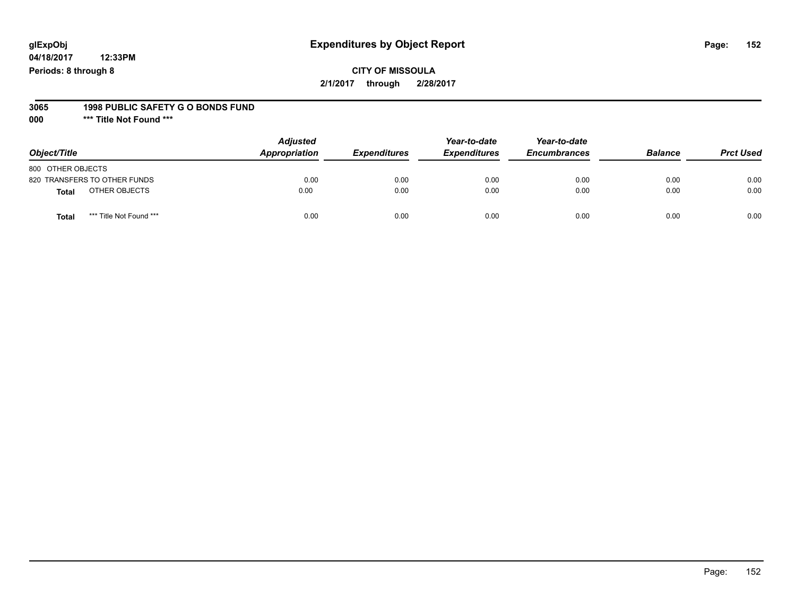**04/18/2017 12:33PM Periods: 8 through 8**

#### **3065 1998 PUBLIC SAFETY G O BONDS FUND**

**000 \*\*\* Title Not Found \*\*\***

| Object/Title                     | <b>Adjusted</b><br>Appropriation | <b>Expenditures</b> | Year-to-date<br><b>Expenditures</b> | Year-to-date<br><b>Encumbrances</b> | <b>Balance</b> | <b>Prct Used</b> |
|----------------------------------|----------------------------------|---------------------|-------------------------------------|-------------------------------------|----------------|------------------|
| 800 OTHER OBJECTS                |                                  |                     |                                     |                                     |                |                  |
| 820 TRANSFERS TO OTHER FUNDS     | 0.00                             | 0.00                | 0.00                                | 0.00                                | 0.00           | 0.00             |
| OTHER OBJECTS<br><b>Total</b>    | 0.00                             | 0.00                | 0.00                                | 0.00                                | 0.00           | 0.00             |
| *** Title Not Found ***<br>Total | 0.00                             | 0.00                | 0.00                                | 0.00                                | 0.00           | 0.00             |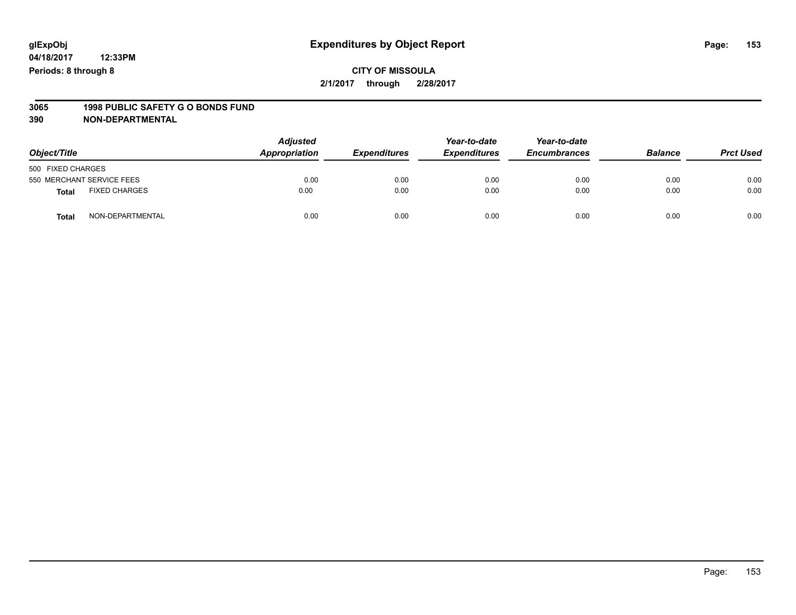### **CITY OF MISSOULA 2/1/2017 through 2/28/2017**

# **3065 1998 PUBLIC SAFETY G O BONDS FUND**

| Object/Title      |                           | <b>Adjusted</b><br>Appropriation<br><b>Expenditures</b> |      | Year-to-date<br><b>Expenditures</b> | Year-to-date<br><b>Encumbrances</b> | <b>Balance</b> | <b>Prct Used</b> |
|-------------------|---------------------------|---------------------------------------------------------|------|-------------------------------------|-------------------------------------|----------------|------------------|
| 500 FIXED CHARGES |                           |                                                         |      |                                     |                                     |                |                  |
|                   | 550 MERCHANT SERVICE FEES | 0.00                                                    | 0.00 | 0.00                                | 0.00                                | 0.00           | 0.00             |
| <b>Total</b>      | <b>FIXED CHARGES</b>      | 0.00                                                    | 0.00 | 0.00                                | 0.00                                | 0.00           | 0.00             |
| <b>Total</b>      | NON-DEPARTMENTAL          | 0.00                                                    | 0.00 | 0.00                                | 0.00                                | 0.00           | 0.00             |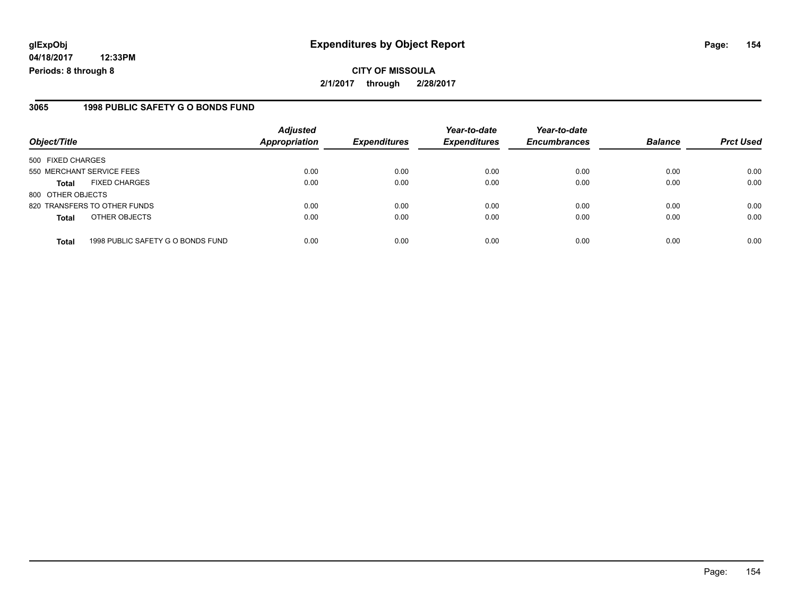**04/18/2017 12:33PM Periods: 8 through 8**

### **3065 1998 PUBLIC SAFETY G O BONDS FUND**

| Object/Title              |                                   | <b>Adjusted</b><br>Appropriation | <b>Expenditures</b> | Year-to-date<br><b>Expenditures</b> | Year-to-date<br><b>Encumbrances</b> | <b>Balance</b> | <b>Prct Used</b> |
|---------------------------|-----------------------------------|----------------------------------|---------------------|-------------------------------------|-------------------------------------|----------------|------------------|
| 500 FIXED CHARGES         |                                   |                                  |                     |                                     |                                     |                |                  |
| 550 MERCHANT SERVICE FEES |                                   | 0.00                             | 0.00                | 0.00                                | 0.00                                | 0.00           | 0.00             |
| <b>Total</b>              | <b>FIXED CHARGES</b>              | 0.00                             | 0.00                | 0.00                                | 0.00                                | 0.00           | 0.00             |
| 800 OTHER OBJECTS         |                                   |                                  |                     |                                     |                                     |                |                  |
|                           | 820 TRANSFERS TO OTHER FUNDS      | 0.00                             | 0.00                | 0.00                                | 0.00                                | 0.00           | 0.00             |
| <b>Total</b>              | OTHER OBJECTS                     | 0.00                             | 0.00                | 0.00                                | 0.00                                | 0.00           | 0.00             |
| <b>Total</b>              | 1998 PUBLIC SAFETY G O BONDS FUND | 0.00                             | 0.00                | 0.00                                | 0.00                                | 0.00           | 0.00             |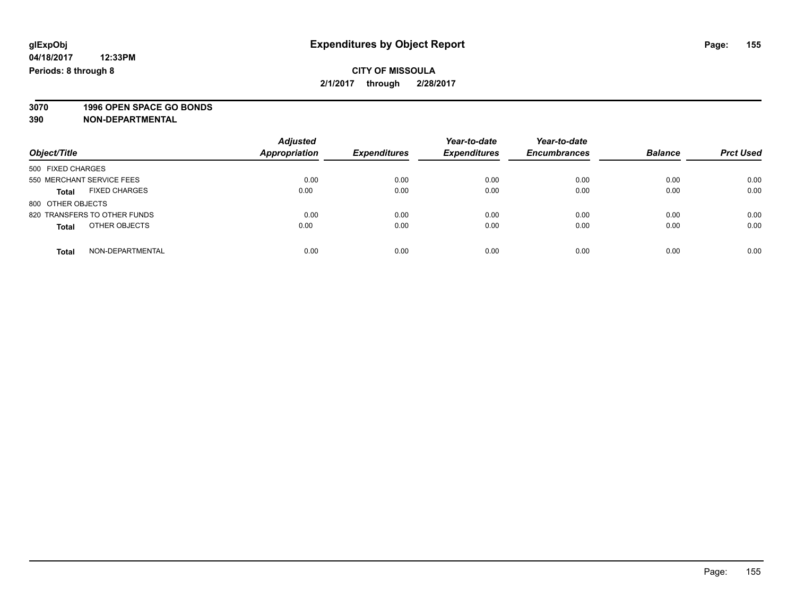### **CITY OF MISSOULA 2/1/2017 through 2/28/2017**

**3070 1996 OPEN SPACE GO BONDS**

|                                      | <b>Adjusted</b>      |                     | Year-to-date        | Year-to-date        |                |                  |
|--------------------------------------|----------------------|---------------------|---------------------|---------------------|----------------|------------------|
| Object/Title                         | <b>Appropriation</b> | <b>Expenditures</b> | <b>Expenditures</b> | <b>Encumbrances</b> | <b>Balance</b> | <b>Prct Used</b> |
| 500 FIXED CHARGES                    |                      |                     |                     |                     |                |                  |
| 550 MERCHANT SERVICE FEES            | 0.00                 | 0.00                | 0.00                | 0.00                | 0.00           | 0.00             |
| <b>FIXED CHARGES</b><br><b>Total</b> | 0.00                 | 0.00                | 0.00                | 0.00                | 0.00           | 0.00             |
| 800 OTHER OBJECTS                    |                      |                     |                     |                     |                |                  |
| 820 TRANSFERS TO OTHER FUNDS         | 0.00                 | 0.00                | 0.00                | 0.00                | 0.00           | 0.00             |
| OTHER OBJECTS<br><b>Total</b>        | 0.00                 | 0.00                | 0.00                | 0.00                | 0.00           | 0.00             |
| NON-DEPARTMENTAL<br>Total            | 0.00                 | 0.00                | 0.00                | 0.00                | 0.00           | 0.00             |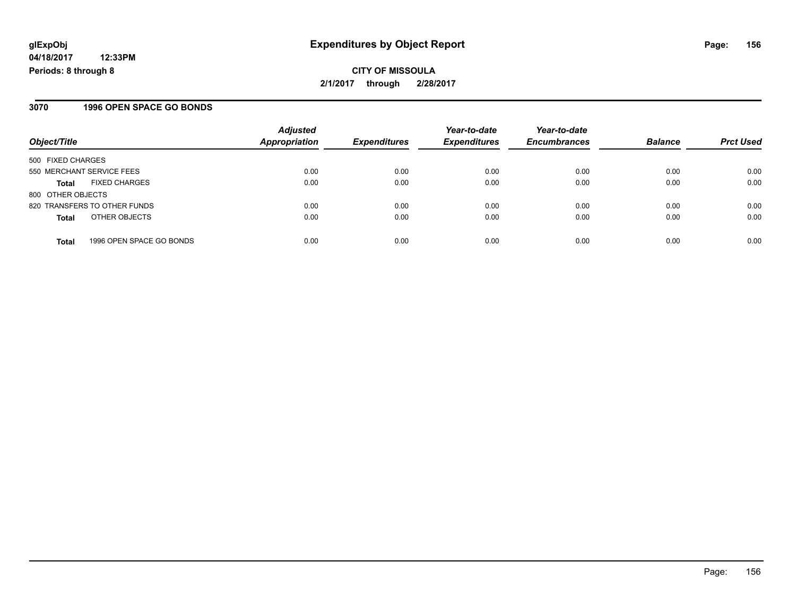# **CITY OF MISSOULA 2/1/2017 through 2/28/2017**

### **3070 1996 OPEN SPACE GO BONDS**

| Object/Title                             | <b>Adjusted</b><br>Appropriation | <b>Expenditures</b> | Year-to-date<br><b>Expenditures</b> | Year-to-date<br><b>Encumbrances</b> | <b>Balance</b> | <b>Prct Used</b> |
|------------------------------------------|----------------------------------|---------------------|-------------------------------------|-------------------------------------|----------------|------------------|
| 500 FIXED CHARGES                        |                                  |                     |                                     |                                     |                |                  |
| 550 MERCHANT SERVICE FEES                | 0.00                             | 0.00                | 0.00                                | 0.00                                | 0.00           | 0.00             |
| <b>FIXED CHARGES</b><br><b>Total</b>     | 0.00                             | 0.00                | 0.00                                | 0.00                                | 0.00           | 0.00             |
| 800 OTHER OBJECTS                        |                                  |                     |                                     |                                     |                |                  |
| 820 TRANSFERS TO OTHER FUNDS             | 0.00                             | 0.00                | 0.00                                | 0.00                                | 0.00           | 0.00             |
| OTHER OBJECTS<br><b>Total</b>            | 0.00                             | 0.00                | 0.00                                | 0.00                                | 0.00           | 0.00             |
| 1996 OPEN SPACE GO BONDS<br><b>Total</b> | 0.00                             | 0.00                | 0.00                                | 0.00                                | 0.00           | 0.00             |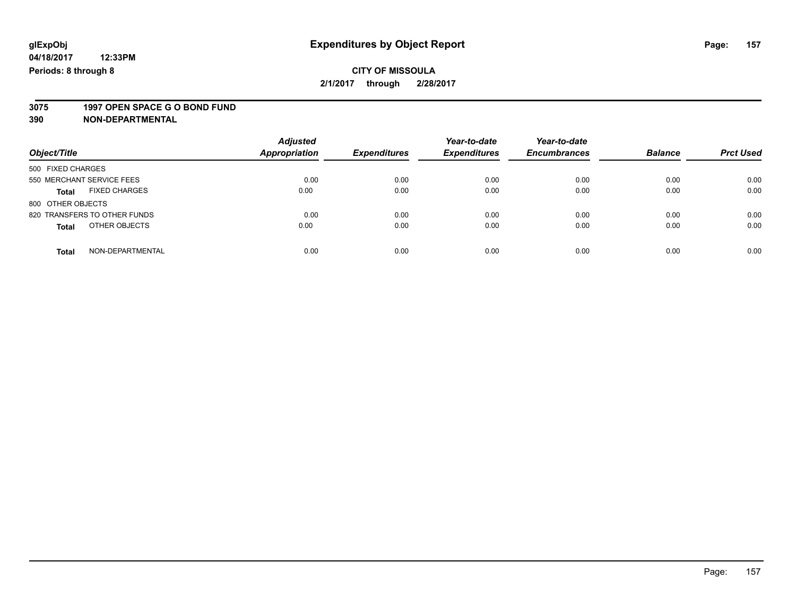### **CITY OF MISSOULA 2/1/2017 through 2/28/2017**

# **3075 1997 OPEN SPACE G O BOND FUND**

| Object/Title                         | <b>Adjusted</b><br><b>Appropriation</b> | <b>Expenditures</b> | Year-to-date<br><b>Expenditures</b> | Year-to-date<br><b>Encumbrances</b> | <b>Balance</b> | <b>Prct Used</b> |
|--------------------------------------|-----------------------------------------|---------------------|-------------------------------------|-------------------------------------|----------------|------------------|
| 500 FIXED CHARGES                    |                                         |                     |                                     |                                     |                |                  |
| 550 MERCHANT SERVICE FEES            | 0.00                                    | 0.00                | 0.00                                | 0.00                                | 0.00           | 0.00             |
| <b>FIXED CHARGES</b><br><b>Total</b> | 0.00                                    | 0.00                | 0.00                                | 0.00                                | 0.00           | 0.00             |
| 800 OTHER OBJECTS                    |                                         |                     |                                     |                                     |                |                  |
| 820 TRANSFERS TO OTHER FUNDS         | 0.00                                    | 0.00                | 0.00                                | 0.00                                | 0.00           | 0.00             |
| OTHER OBJECTS<br><b>Total</b>        | 0.00                                    | 0.00                | 0.00                                | 0.00                                | 0.00           | 0.00             |
| NON-DEPARTMENTAL<br><b>Total</b>     | 0.00                                    | 0.00                | 0.00                                | 0.00                                | 0.00           | 0.00             |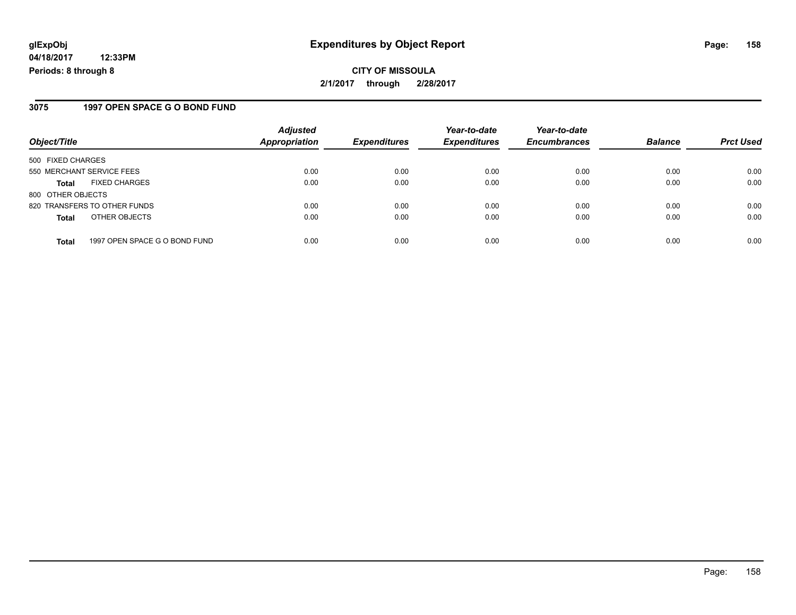**04/18/2017 12:33PM Periods: 8 through 8**

### **3075 1997 OPEN SPACE G O BOND FUND**

| Object/Title                                  | <b>Adjusted</b><br><b>Appropriation</b> | <b>Expenditures</b> | Year-to-date<br><b>Expenditures</b> | Year-to-date<br><b>Encumbrances</b> | <b>Balance</b> | <b>Prct Used</b> |
|-----------------------------------------------|-----------------------------------------|---------------------|-------------------------------------|-------------------------------------|----------------|------------------|
| 500 FIXED CHARGES                             |                                         |                     |                                     |                                     |                |                  |
| 550 MERCHANT SERVICE FEES                     | 0.00                                    | 0.00                | 0.00                                | 0.00                                | 0.00           | 0.00             |
| <b>FIXED CHARGES</b><br><b>Total</b>          | 0.00                                    | 0.00                | 0.00                                | 0.00                                | 0.00           | 0.00             |
| 800 OTHER OBJECTS                             |                                         |                     |                                     |                                     |                |                  |
| 820 TRANSFERS TO OTHER FUNDS                  | 0.00                                    | 0.00                | 0.00                                | 0.00                                | 0.00           | 0.00             |
| OTHER OBJECTS<br><b>Total</b>                 | 0.00                                    | 0.00                | 0.00                                | 0.00                                | 0.00           | 0.00             |
| 1997 OPEN SPACE G O BOND FUND<br><b>Total</b> | 0.00                                    | 0.00                | 0.00                                | 0.00                                | 0.00           | 0.00             |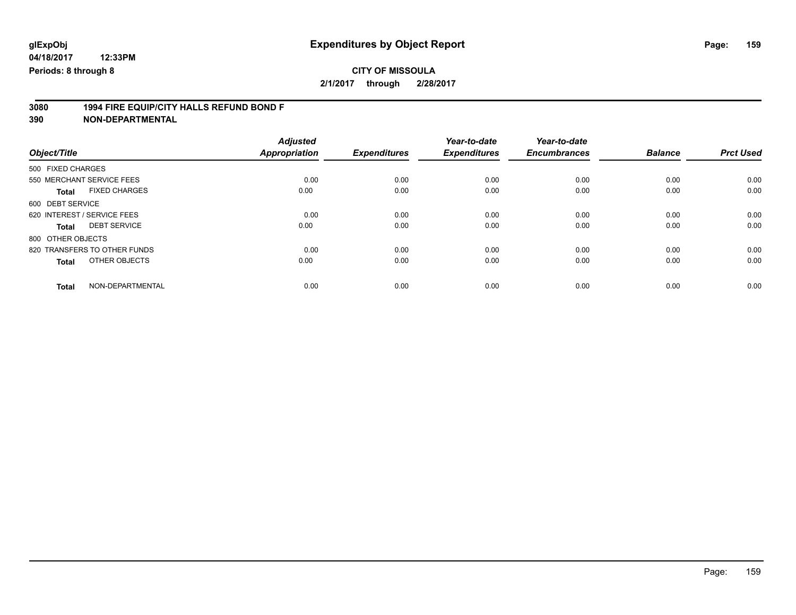# **3080 1994 FIRE EQUIP/CITY HALLS REFUND BOND F**

| Object/Title                         | <b>Adjusted</b><br><b>Appropriation</b> | <b>Expenditures</b> | Year-to-date<br><b>Expenditures</b> | Year-to-date<br><b>Encumbrances</b> | <b>Balance</b> | <b>Prct Used</b> |
|--------------------------------------|-----------------------------------------|---------------------|-------------------------------------|-------------------------------------|----------------|------------------|
| 500 FIXED CHARGES                    |                                         |                     |                                     |                                     |                |                  |
|                                      |                                         |                     |                                     |                                     |                |                  |
| 550 MERCHANT SERVICE FEES            | 0.00                                    | 0.00                | 0.00                                | 0.00                                | 0.00           | 0.00             |
| <b>FIXED CHARGES</b><br><b>Total</b> | 0.00                                    | 0.00                | 0.00                                | 0.00                                | 0.00           | 0.00             |
| 600 DEBT SERVICE                     |                                         |                     |                                     |                                     |                |                  |
| 620 INTEREST / SERVICE FEES          | 0.00                                    | 0.00                | 0.00                                | 0.00                                | 0.00           | 0.00             |
| <b>DEBT SERVICE</b><br>Total         | 0.00                                    | 0.00                | 0.00                                | 0.00                                | 0.00           | 0.00             |
| 800 OTHER OBJECTS                    |                                         |                     |                                     |                                     |                |                  |
| 820 TRANSFERS TO OTHER FUNDS         | 0.00                                    | 0.00                | 0.00                                | 0.00                                | 0.00           | 0.00             |
| OTHER OBJECTS<br><b>Total</b>        | 0.00                                    | 0.00                | 0.00                                | 0.00                                | 0.00           | 0.00             |
|                                      |                                         |                     |                                     |                                     |                |                  |
| NON-DEPARTMENTAL<br><b>Total</b>     | 0.00                                    | 0.00                | 0.00                                | 0.00                                | 0.00           | 0.00             |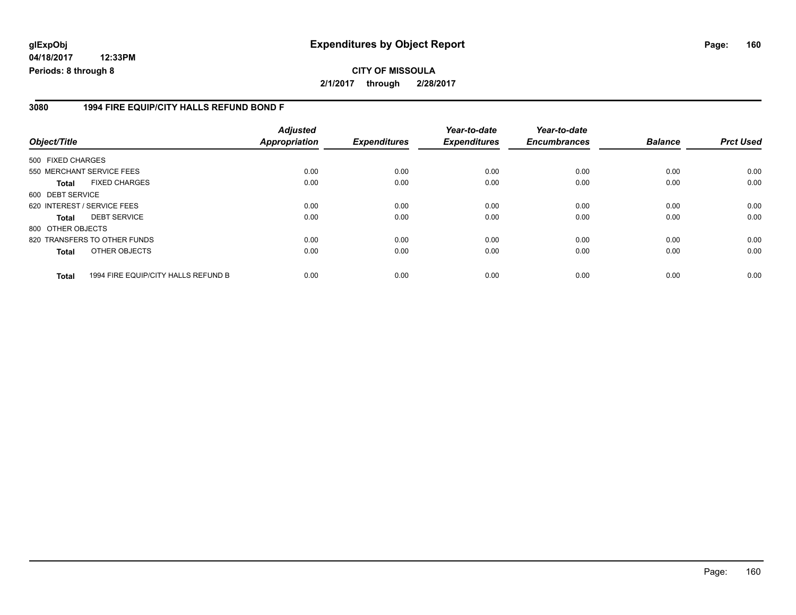**04/18/2017 12:33PM Periods: 8 through 8**

#### **3080 1994 FIRE EQUIP/CITY HALLS REFUND BOND F**

| Object/Title      |                                     | <b>Adjusted</b><br><b>Appropriation</b> | <b>Expenditures</b> | Year-to-date<br><b>Expenditures</b> | Year-to-date<br><b>Encumbrances</b> | <b>Balance</b> | <b>Prct Used</b> |
|-------------------|-------------------------------------|-----------------------------------------|---------------------|-------------------------------------|-------------------------------------|----------------|------------------|
| 500 FIXED CHARGES |                                     |                                         |                     |                                     |                                     |                |                  |
|                   | 550 MERCHANT SERVICE FEES           | 0.00                                    | 0.00                | 0.00                                | 0.00                                | 0.00           | 0.00             |
| Total             | <b>FIXED CHARGES</b>                | 0.00                                    | 0.00                | 0.00                                | 0.00                                | 0.00           | 0.00             |
| 600 DEBT SERVICE  |                                     |                                         |                     |                                     |                                     |                |                  |
|                   | 620 INTEREST / SERVICE FEES         | 0.00                                    | 0.00                | 0.00                                | 0.00                                | 0.00           | 0.00             |
| Total             | <b>DEBT SERVICE</b>                 | 0.00                                    | 0.00                | 0.00                                | 0.00                                | 0.00           | 0.00             |
| 800 OTHER OBJECTS |                                     |                                         |                     |                                     |                                     |                |                  |
|                   | 820 TRANSFERS TO OTHER FUNDS        | 0.00                                    | 0.00                | 0.00                                | 0.00                                | 0.00           | 0.00             |
| <b>Total</b>      | OTHER OBJECTS                       | 0.00                                    | 0.00                | 0.00                                | 0.00                                | 0.00           | 0.00             |
| <b>Total</b>      | 1994 FIRE EQUIP/CITY HALLS REFUND B | 0.00                                    | 0.00                | 0.00                                | 0.00                                | 0.00           | 0.00             |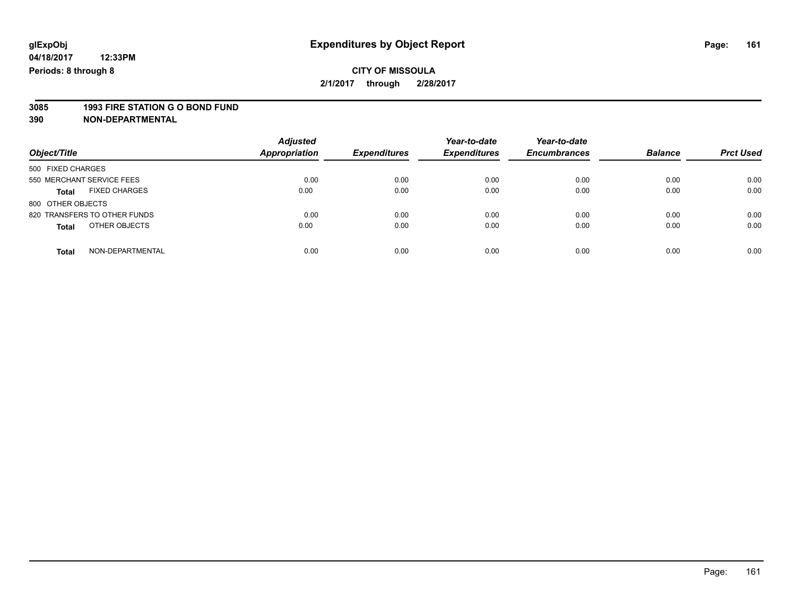**2/1/2017 through 2/28/2017**

# **3085 1993 FIRE STATION G O BOND FUND**

| Object/Title                         | <b>Adjusted</b><br><b>Appropriation</b> | <b>Expenditures</b> | Year-to-date<br><b>Expenditures</b> | Year-to-date<br><b>Encumbrances</b> | <b>Balance</b> | <b>Prct Used</b> |
|--------------------------------------|-----------------------------------------|---------------------|-------------------------------------|-------------------------------------|----------------|------------------|
| 500 FIXED CHARGES                    |                                         |                     |                                     |                                     |                |                  |
| 550 MERCHANT SERVICE FEES            | 0.00                                    | 0.00                | 0.00                                | 0.00                                | 0.00           | 0.00             |
| <b>FIXED CHARGES</b><br><b>Total</b> | 0.00                                    | 0.00                | 0.00                                | 0.00                                | 0.00           | 0.00             |
| 800 OTHER OBJECTS                    |                                         |                     |                                     |                                     |                |                  |
| 820 TRANSFERS TO OTHER FUNDS         | 0.00                                    | 0.00                | 0.00                                | 0.00                                | 0.00           | 0.00             |
| OTHER OBJECTS<br><b>Total</b>        | 0.00                                    | 0.00                | 0.00                                | 0.00                                | 0.00           | 0.00             |
| NON-DEPARTMENTAL<br>Total            | 0.00                                    | 0.00                | 0.00                                | 0.00                                | 0.00           | 0.00             |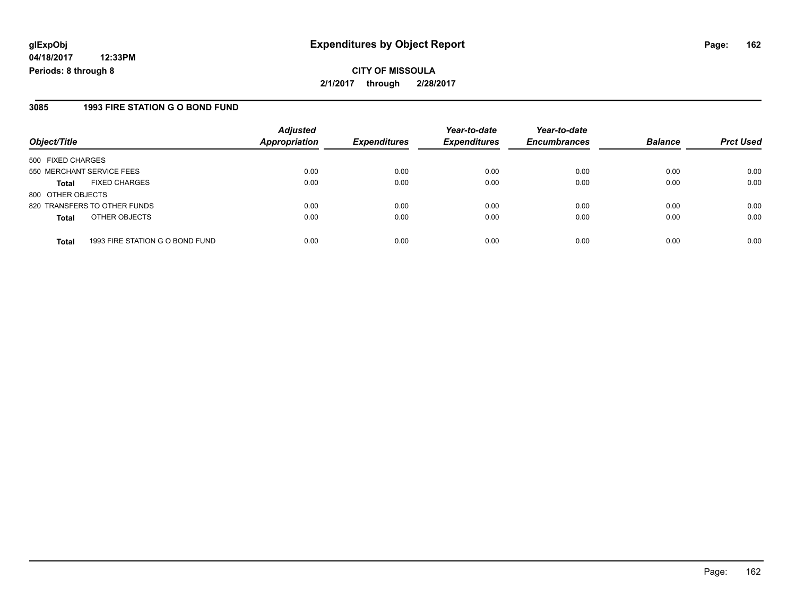**04/18/2017 12:33PM Periods: 8 through 8**

**CITY OF MISSOULA 2/1/2017 through 2/28/2017**

#### **3085 1993 FIRE STATION G O BOND FUND**

|                              | <b>Adjusted</b>                 |                              | Year-to-date                | Year-to-date                |                             | <b>Prct Used</b>       |
|------------------------------|---------------------------------|------------------------------|-----------------------------|-----------------------------|-----------------------------|------------------------|
|                              |                                 |                              |                             |                             |                             |                        |
| 500 FIXED CHARGES            |                                 |                              |                             |                             |                             |                        |
| 550 MERCHANT SERVICE FEES    | 0.00                            | 0.00                         | 0.00                        | 0.00                        | 0.00                        | 0.00                   |
| <b>FIXED CHARGES</b>         | 0.00                            | 0.00                         | 0.00                        | 0.00                        | 0.00                        | 0.00                   |
| 800 OTHER OBJECTS            |                                 |                              |                             |                             |                             |                        |
| 820 TRANSFERS TO OTHER FUNDS | 0.00                            | 0.00                         | 0.00                        | 0.00                        | 0.00                        | 0.00                   |
| OTHER OBJECTS                | 0.00                            | 0.00                         | 0.00                        | 0.00                        | 0.00                        | 0.00                   |
|                              |                                 |                              |                             |                             |                             | 0.00                   |
|                              | 1993 FIRE STATION G O BOND FUND | <b>Appropriation</b><br>0.00 | <b>Expenditures</b><br>0.00 | <b>Expenditures</b><br>0.00 | <b>Encumbrances</b><br>0.00 | <b>Balance</b><br>0.00 |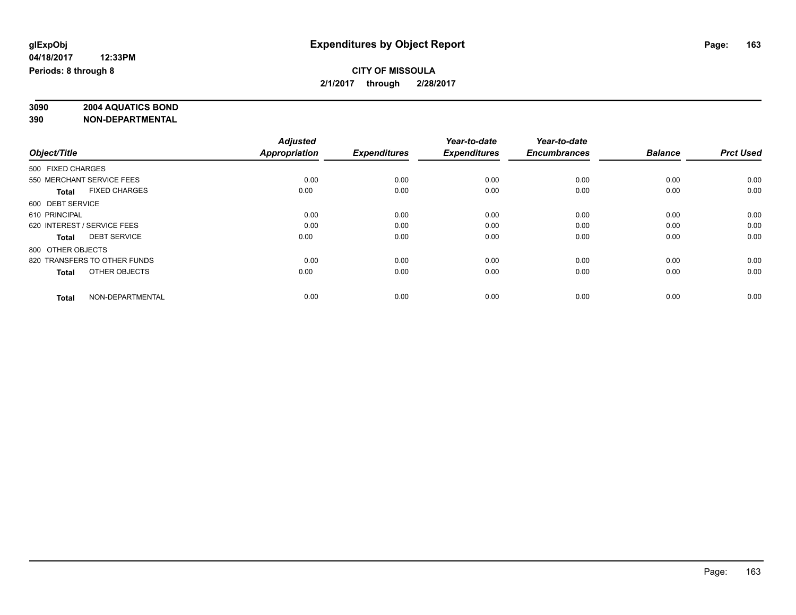### **CITY OF MISSOULA 2/1/2017 through 2/28/2017**

# **3090 2004 AQUATICS BOND**

|                   |                              | <b>Adjusted</b>      |                     | Year-to-date        | Year-to-date        |                |                  |
|-------------------|------------------------------|----------------------|---------------------|---------------------|---------------------|----------------|------------------|
| Object/Title      |                              | <b>Appropriation</b> | <b>Expenditures</b> | <b>Expenditures</b> | <b>Encumbrances</b> | <b>Balance</b> | <b>Prct Used</b> |
| 500 FIXED CHARGES |                              |                      |                     |                     |                     |                |                  |
|                   | 550 MERCHANT SERVICE FEES    | 0.00                 | 0.00                | 0.00                | 0.00                | 0.00           | 0.00             |
| <b>Total</b>      | <b>FIXED CHARGES</b>         | 0.00                 | 0.00                | 0.00                | 0.00                | 0.00           | 0.00             |
| 600 DEBT SERVICE  |                              |                      |                     |                     |                     |                |                  |
| 610 PRINCIPAL     |                              | 0.00                 | 0.00                | 0.00                | 0.00                | 0.00           | 0.00             |
|                   | 620 INTEREST / SERVICE FEES  | 0.00                 | 0.00                | 0.00                | 0.00                | 0.00           | 0.00             |
| <b>Total</b>      | <b>DEBT SERVICE</b>          | 0.00                 | 0.00                | 0.00                | 0.00                | 0.00           | 0.00             |
| 800 OTHER OBJECTS |                              |                      |                     |                     |                     |                |                  |
|                   | 820 TRANSFERS TO OTHER FUNDS | 0.00                 | 0.00                | 0.00                | 0.00                | 0.00           | 0.00             |
| <b>Total</b>      | OTHER OBJECTS                | 0.00                 | 0.00                | 0.00                | 0.00                | 0.00           | 0.00             |
|                   |                              |                      |                     |                     |                     |                |                  |
| <b>Total</b>      | NON-DEPARTMENTAL             | 0.00                 | 0.00                | 0.00                | 0.00                | 0.00           | 0.00             |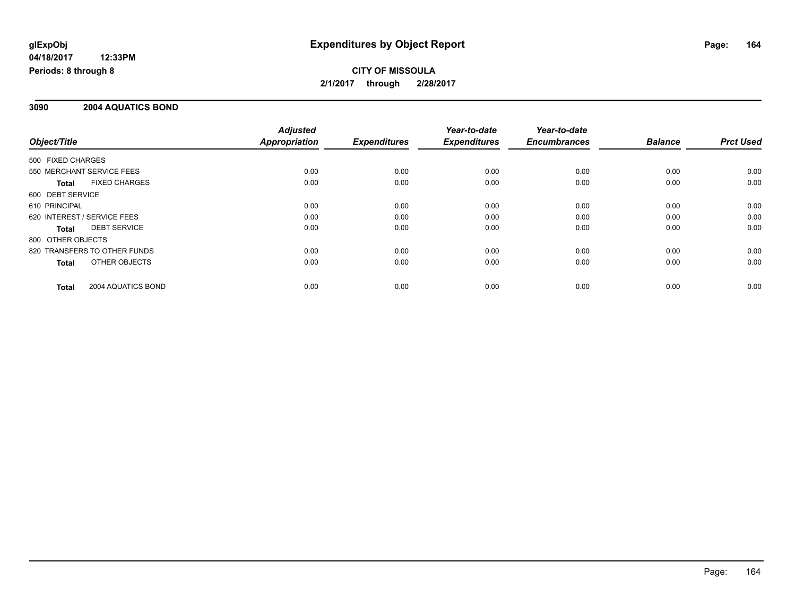**CITY OF MISSOULA 2/1/2017 through 2/28/2017**

### **3090 2004 AQUATICS BOND**

|                                      | <b>Adjusted</b>      |                     | Year-to-date        | Year-to-date        |                |                  |
|--------------------------------------|----------------------|---------------------|---------------------|---------------------|----------------|------------------|
| Object/Title                         | <b>Appropriation</b> | <b>Expenditures</b> | <b>Expenditures</b> | <b>Encumbrances</b> | <b>Balance</b> | <b>Prct Used</b> |
| 500 FIXED CHARGES                    |                      |                     |                     |                     |                |                  |
| 550 MERCHANT SERVICE FEES            | 0.00                 | 0.00                | 0.00                | 0.00                | 0.00           | 0.00             |
| <b>FIXED CHARGES</b><br><b>Total</b> | 0.00                 | 0.00                | 0.00                | 0.00                | 0.00           | 0.00             |
| 600 DEBT SERVICE                     |                      |                     |                     |                     |                |                  |
| 610 PRINCIPAL                        | 0.00                 | 0.00                | 0.00                | 0.00                | 0.00           | 0.00             |
| 620 INTEREST / SERVICE FEES          | 0.00                 | 0.00                | 0.00                | 0.00                | 0.00           | 0.00             |
| <b>DEBT SERVICE</b><br>Total         | 0.00                 | 0.00                | 0.00                | 0.00                | 0.00           | 0.00             |
| 800 OTHER OBJECTS                    |                      |                     |                     |                     |                |                  |
| 820 TRANSFERS TO OTHER FUNDS         | 0.00                 | 0.00                | 0.00                | 0.00                | 0.00           | 0.00             |
| OTHER OBJECTS<br><b>Total</b>        | 0.00                 | 0.00                | 0.00                | 0.00                | 0.00           | 0.00             |
| 2004 AQUATICS BOND<br><b>Total</b>   | 0.00                 | 0.00                | 0.00                | 0.00                | 0.00           | 0.00             |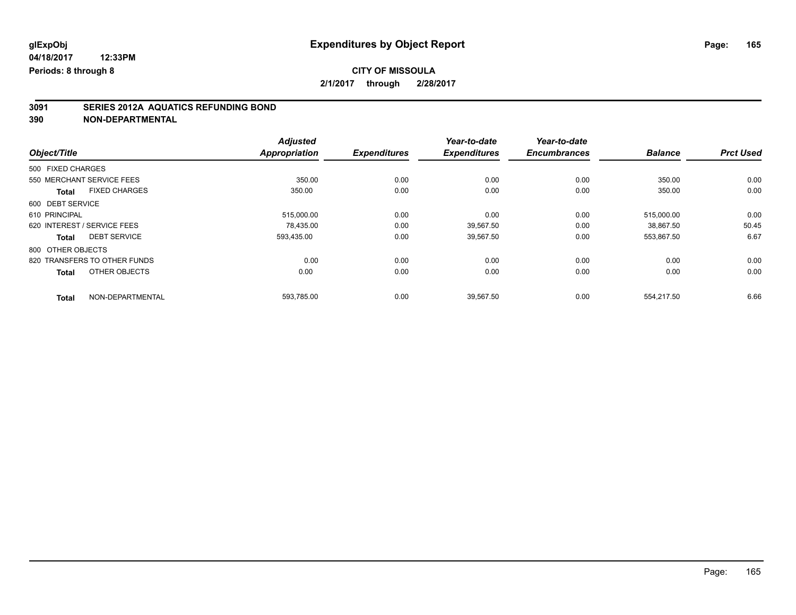# **3091 SERIES 2012A AQUATICS REFUNDING BOND**

|                              |                      | <b>Adjusted</b>      |                     | Year-to-date        | Year-to-date        |                |                  |
|------------------------------|----------------------|----------------------|---------------------|---------------------|---------------------|----------------|------------------|
| Object/Title                 |                      | <b>Appropriation</b> | <b>Expenditures</b> | <b>Expenditures</b> | <b>Encumbrances</b> | <b>Balance</b> | <b>Prct Used</b> |
| 500 FIXED CHARGES            |                      |                      |                     |                     |                     |                |                  |
| 550 MERCHANT SERVICE FEES    |                      | 350.00               | 0.00                | 0.00                | 0.00                | 350.00         | 0.00             |
| <b>Total</b>                 | <b>FIXED CHARGES</b> | 350.00               | 0.00                | 0.00                | 0.00                | 350.00         | 0.00             |
| 600 DEBT SERVICE             |                      |                      |                     |                     |                     |                |                  |
| 610 PRINCIPAL                |                      | 515,000.00           | 0.00                | 0.00                | 0.00                | 515.000.00     | 0.00             |
| 620 INTEREST / SERVICE FEES  |                      | 78.435.00            | 0.00                | 39,567.50           | 0.00                | 38.867.50      | 50.45            |
| <b>Total</b>                 | <b>DEBT SERVICE</b>  | 593,435.00           | 0.00                | 39,567.50           | 0.00                | 553,867.50     | 6.67             |
| 800 OTHER OBJECTS            |                      |                      |                     |                     |                     |                |                  |
| 820 TRANSFERS TO OTHER FUNDS |                      | 0.00                 | 0.00                | 0.00                | 0.00                | 0.00           | 0.00             |
| <b>Total</b>                 | OTHER OBJECTS        | 0.00                 | 0.00                | 0.00                | 0.00                | 0.00           | 0.00             |
| <b>Total</b>                 | NON-DEPARTMENTAL     | 593.785.00           | 0.00                | 39.567.50           | 0.00                | 554.217.50     | 6.66             |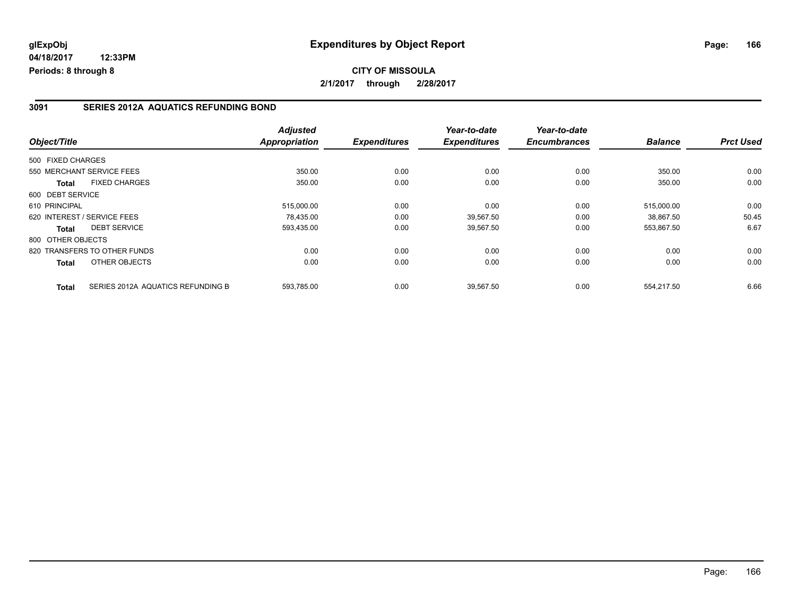### **3091 SERIES 2012A AQUATICS REFUNDING BOND**

| Object/Title                         |                                   | <b>Adjusted</b><br>Appropriation | <b>Expenditures</b> | Year-to-date<br><b>Expenditures</b> | Year-to-date<br><b>Encumbrances</b> | <b>Balance</b> | <b>Prct Used</b> |
|--------------------------------------|-----------------------------------|----------------------------------|---------------------|-------------------------------------|-------------------------------------|----------------|------------------|
|                                      |                                   |                                  |                     |                                     |                                     |                |                  |
| 500 FIXED CHARGES                    |                                   |                                  |                     |                                     |                                     |                |                  |
| 550 MERCHANT SERVICE FEES            |                                   | 350.00                           | 0.00                | 0.00                                | 0.00                                | 350.00         | 0.00             |
| <b>FIXED CHARGES</b><br><b>Total</b> |                                   | 350.00                           | 0.00                | 0.00                                | 0.00                                | 350.00         | 0.00             |
| 600 DEBT SERVICE                     |                                   |                                  |                     |                                     |                                     |                |                  |
| 610 PRINCIPAL                        |                                   | 515,000.00                       | 0.00                | 0.00                                | 0.00                                | 515.000.00     | 0.00             |
| 620 INTEREST / SERVICE FEES          |                                   | 78.435.00                        | 0.00                | 39.567.50                           | 0.00                                | 38.867.50      | 50.45            |
| <b>DEBT SERVICE</b><br>Total         |                                   | 593,435.00                       | 0.00                | 39,567.50                           | 0.00                                | 553,867.50     | 6.67             |
| 800 OTHER OBJECTS                    |                                   |                                  |                     |                                     |                                     |                |                  |
| 820 TRANSFERS TO OTHER FUNDS         |                                   | 0.00                             | 0.00                | 0.00                                | 0.00                                | 0.00           | 0.00             |
| OTHER OBJECTS<br>Total               |                                   | 0.00                             | 0.00                | 0.00                                | 0.00                                | 0.00           | 0.00             |
| <b>Total</b>                         | SERIES 2012A AQUATICS REFUNDING B | 593,785.00                       | 0.00                | 39,567.50                           | 0.00                                | 554,217.50     | 6.66             |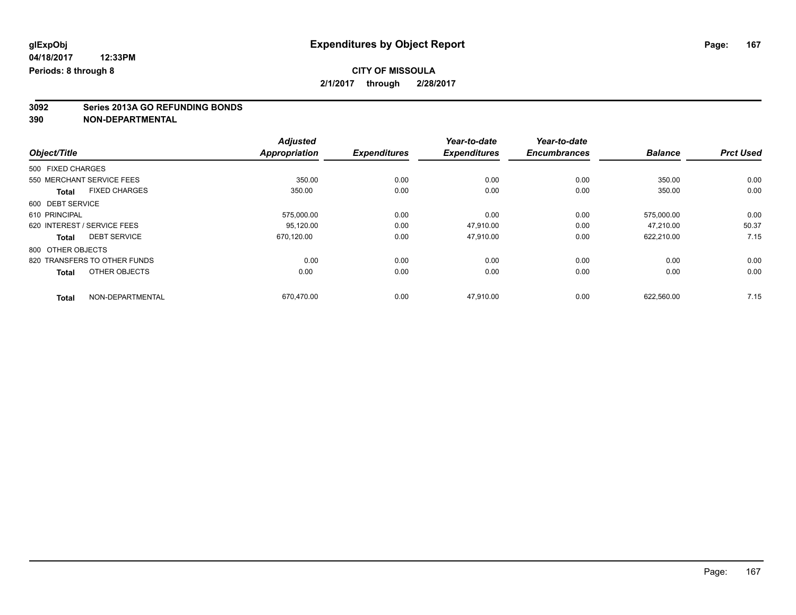# **3092 Series 2013A GO REFUNDING BONDS**

|                              |                      | <b>Adjusted</b>      |                     | Year-to-date        | Year-to-date        |                |                  |
|------------------------------|----------------------|----------------------|---------------------|---------------------|---------------------|----------------|------------------|
| Object/Title                 |                      | <b>Appropriation</b> | <b>Expenditures</b> | <b>Expenditures</b> | <b>Encumbrances</b> | <b>Balance</b> | <b>Prct Used</b> |
| 500 FIXED CHARGES            |                      |                      |                     |                     |                     |                |                  |
| 550 MERCHANT SERVICE FEES    |                      | 350.00               | 0.00                | 0.00                | 0.00                | 350.00         | 0.00             |
| <b>Total</b>                 | <b>FIXED CHARGES</b> | 350.00               | 0.00                | 0.00                | 0.00                | 350.00         | 0.00             |
| 600 DEBT SERVICE             |                      |                      |                     |                     |                     |                |                  |
| 610 PRINCIPAL                |                      | 575,000.00           | 0.00                | 0.00                | 0.00                | 575,000.00     | 0.00             |
| 620 INTEREST / SERVICE FEES  |                      | 95.120.00            | 0.00                | 47.910.00           | 0.00                | 47.210.00      | 50.37            |
| <b>Total</b>                 | <b>DEBT SERVICE</b>  | 670.120.00           | 0.00                | 47,910.00           | 0.00                | 622,210.00     | 7.15             |
| 800 OTHER OBJECTS            |                      |                      |                     |                     |                     |                |                  |
| 820 TRANSFERS TO OTHER FUNDS |                      | 0.00                 | 0.00                | 0.00                | 0.00                | 0.00           | 0.00             |
| <b>Total</b>                 | OTHER OBJECTS        | 0.00                 | 0.00                | 0.00                | 0.00                | 0.00           | 0.00             |
| <b>Total</b>                 | NON-DEPARTMENTAL     | 670.470.00           | 0.00                | 47.910.00           | 0.00                | 622.560.00     | 7.15             |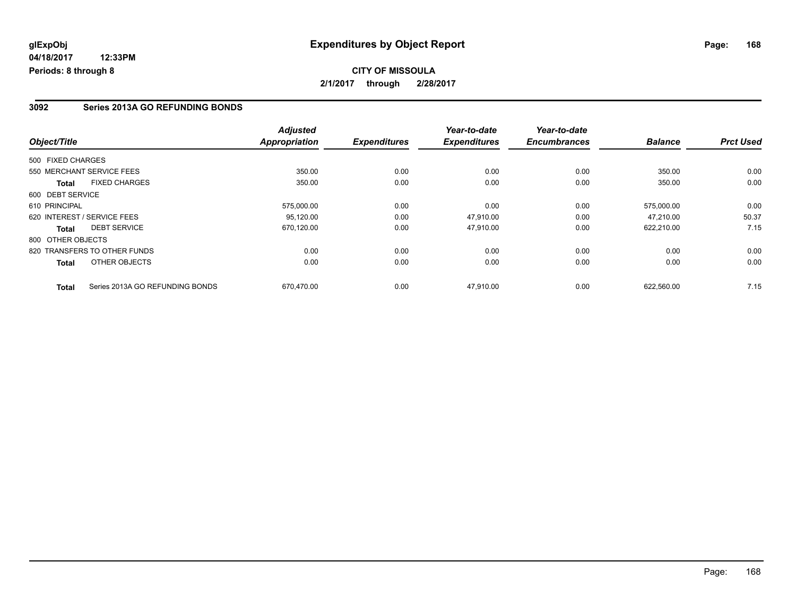### **3092 Series 2013A GO REFUNDING BONDS**

| Object/Title                         |                                 | <b>Adjusted</b><br><b>Appropriation</b> | <b>Expenditures</b> | Year-to-date<br><b>Expenditures</b> | Year-to-date<br><b>Encumbrances</b> | <b>Balance</b> | <b>Prct Used</b> |
|--------------------------------------|---------------------------------|-----------------------------------------|---------------------|-------------------------------------|-------------------------------------|----------------|------------------|
|                                      |                                 |                                         |                     |                                     |                                     |                |                  |
| 500 FIXED CHARGES                    |                                 |                                         |                     |                                     |                                     |                |                  |
| 550 MERCHANT SERVICE FEES            |                                 | 350.00                                  | 0.00                | 0.00                                | 0.00                                | 350.00         | 0.00             |
| <b>FIXED CHARGES</b><br><b>Total</b> |                                 | 350.00                                  | 0.00                | 0.00                                | 0.00                                | 350.00         | 0.00             |
| 600 DEBT SERVICE                     |                                 |                                         |                     |                                     |                                     |                |                  |
| 610 PRINCIPAL                        |                                 | 575,000.00                              | 0.00                | 0.00                                | 0.00                                | 575.000.00     | 0.00             |
| 620 INTEREST / SERVICE FEES          |                                 | 95.120.00                               | 0.00                | 47.910.00                           | 0.00                                | 47.210.00      | 50.37            |
| <b>DEBT SERVICE</b><br>Total         |                                 | 670,120.00                              | 0.00                | 47.910.00                           | 0.00                                | 622,210.00     | 7.15             |
| 800 OTHER OBJECTS                    |                                 |                                         |                     |                                     |                                     |                |                  |
| 820 TRANSFERS TO OTHER FUNDS         |                                 | 0.00                                    | 0.00                | 0.00                                | 0.00                                | 0.00           | 0.00             |
| OTHER OBJECTS<br><b>Total</b>        |                                 | 0.00                                    | 0.00                | 0.00                                | 0.00                                | 0.00           | 0.00             |
| <b>Total</b>                         | Series 2013A GO REFUNDING BONDS | 670.470.00                              | 0.00                | 47.910.00                           | 0.00                                | 622.560.00     | 7.15             |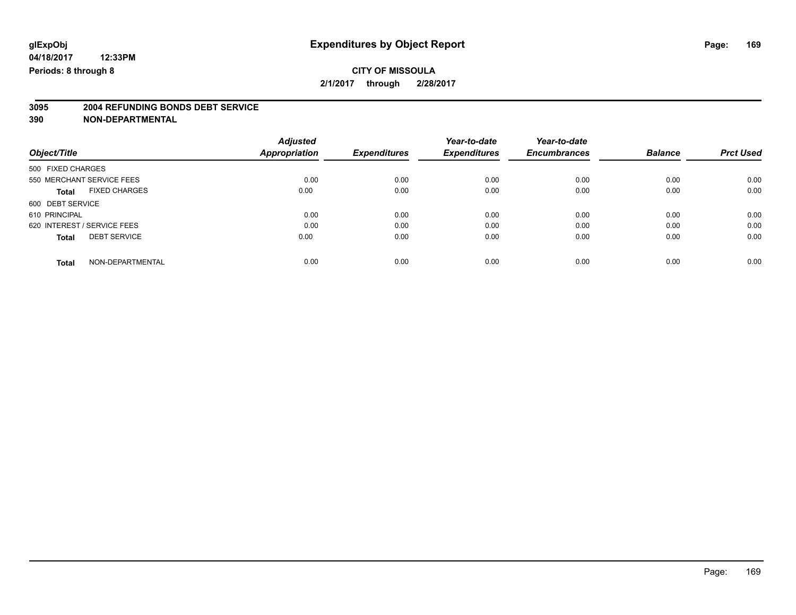# **3095 2004 REFUNDING BONDS DEBT SERVICE**

|                                      | <b>Adjusted</b> |                     | Year-to-date        | Year-to-date        |                |                  |
|--------------------------------------|-----------------|---------------------|---------------------|---------------------|----------------|------------------|
| Object/Title                         | Appropriation   | <b>Expenditures</b> | <b>Expenditures</b> | <b>Encumbrances</b> | <b>Balance</b> | <b>Prct Used</b> |
| 500 FIXED CHARGES                    |                 |                     |                     |                     |                |                  |
| 550 MERCHANT SERVICE FEES            | 0.00            | 0.00                | 0.00                | 0.00                | 0.00           | 0.00             |
| <b>FIXED CHARGES</b><br><b>Total</b> | 0.00            | 0.00                | 0.00                | 0.00                | 0.00           | 0.00             |
| 600 DEBT SERVICE                     |                 |                     |                     |                     |                |                  |
| 610 PRINCIPAL                        | 0.00            | 0.00                | 0.00                | 0.00                | 0.00           | 0.00             |
| 620 INTEREST / SERVICE FEES          | 0.00            | 0.00                | 0.00                | 0.00                | 0.00           | 0.00             |
| <b>DEBT SERVICE</b><br><b>Total</b>  | 0.00            | 0.00                | 0.00                | 0.00                | 0.00           | 0.00             |
| NON-DEPARTMENTAL<br><b>Total</b>     | 0.00            | 0.00                | 0.00                | 0.00                | 0.00           | 0.00             |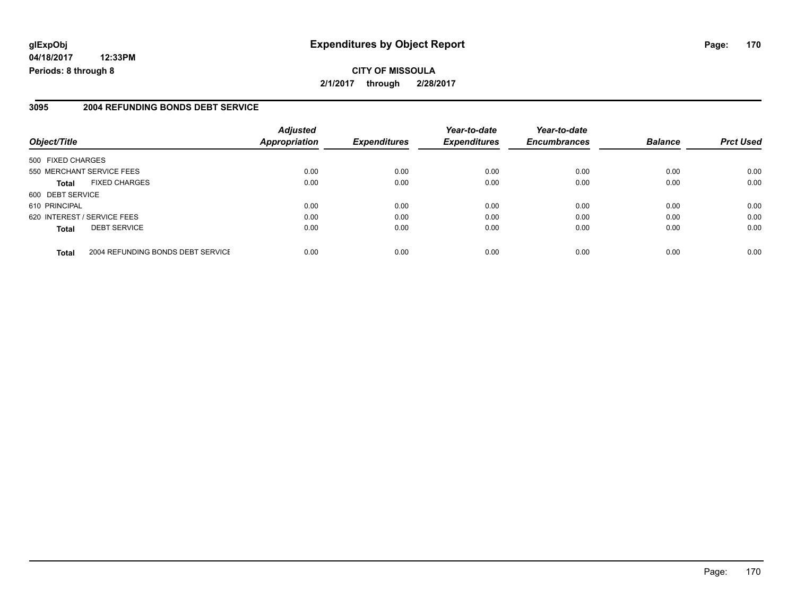**04/18/2017 12:33PM Periods: 8 through 8**

### **3095 2004 REFUNDING BONDS DEBT SERVICE**

| Object/Title                         |                                   | <b>Adjusted</b><br><b>Appropriation</b> | <b>Expenditures</b> | Year-to-date<br><b>Expenditures</b> | Year-to-date<br><b>Encumbrances</b> | <b>Balance</b> | <b>Prct Used</b> |
|--------------------------------------|-----------------------------------|-----------------------------------------|---------------------|-------------------------------------|-------------------------------------|----------------|------------------|
| 500 FIXED CHARGES                    |                                   |                                         |                     |                                     |                                     |                |                  |
| 550 MERCHANT SERVICE FEES            |                                   | 0.00                                    | 0.00                | 0.00                                | 0.00                                | 0.00           | 0.00             |
| <b>FIXED CHARGES</b><br><b>Total</b> |                                   | 0.00                                    | 0.00                | 0.00                                | 0.00                                | 0.00           | 0.00             |
| 600 DEBT SERVICE                     |                                   |                                         |                     |                                     |                                     |                |                  |
| 610 PRINCIPAL                        |                                   | 0.00                                    | 0.00                | 0.00                                | 0.00                                | 0.00           | 0.00             |
| 620 INTEREST / SERVICE FEES          |                                   | 0.00                                    | 0.00                | 0.00                                | 0.00                                | 0.00           | 0.00             |
| <b>DEBT SERVICE</b><br><b>Total</b>  |                                   | 0.00                                    | 0.00                | 0.00                                | 0.00                                | 0.00           | 0.00             |
| <b>Total</b>                         | 2004 REFUNDING BONDS DEBT SERVICE | 0.00                                    | 0.00                | 0.00                                | 0.00                                | 0.00           | 0.00             |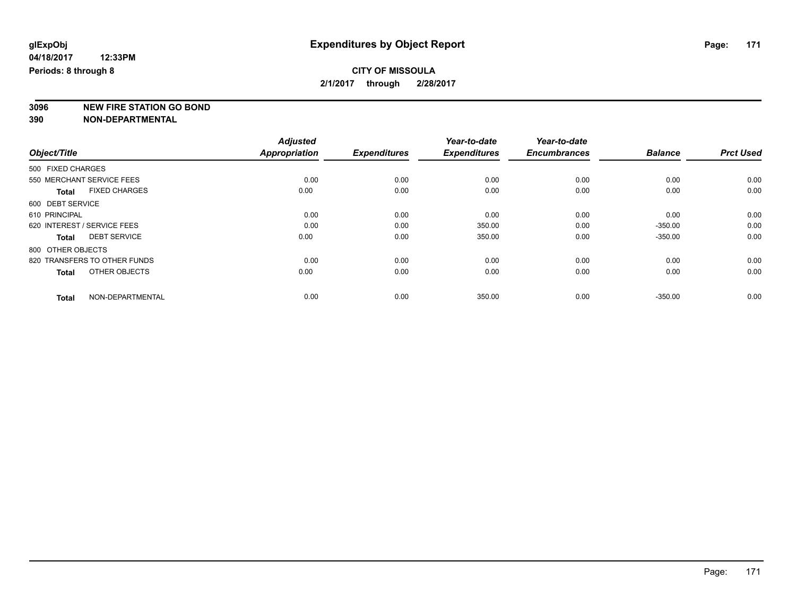**2/1/2017 through 2/28/2017**

**3096 NEW FIRE STATION GO BOND**

|                   |                              | <b>Adjusted</b>      |                     | Year-to-date        | Year-to-date        |                |                  |
|-------------------|------------------------------|----------------------|---------------------|---------------------|---------------------|----------------|------------------|
| Object/Title      |                              | <b>Appropriation</b> | <b>Expenditures</b> | <b>Expenditures</b> | <b>Encumbrances</b> | <b>Balance</b> | <b>Prct Used</b> |
| 500 FIXED CHARGES |                              |                      |                     |                     |                     |                |                  |
|                   | 550 MERCHANT SERVICE FEES    | 0.00                 | 0.00                | 0.00                | 0.00                | 0.00           | 0.00             |
| <b>Total</b>      | <b>FIXED CHARGES</b>         | 0.00                 | 0.00                | 0.00                | 0.00                | 0.00           | 0.00             |
| 600 DEBT SERVICE  |                              |                      |                     |                     |                     |                |                  |
| 610 PRINCIPAL     |                              | 0.00                 | 0.00                | 0.00                | 0.00                | 0.00           | 0.00             |
|                   | 620 INTEREST / SERVICE FEES  | 0.00                 | 0.00                | 350.00              | 0.00                | $-350.00$      | 0.00             |
| <b>Total</b>      | <b>DEBT SERVICE</b>          | 0.00                 | 0.00                | 350.00              | 0.00                | $-350.00$      | 0.00             |
| 800 OTHER OBJECTS |                              |                      |                     |                     |                     |                |                  |
|                   | 820 TRANSFERS TO OTHER FUNDS | 0.00                 | 0.00                | 0.00                | 0.00                | 0.00           | 0.00             |
| <b>Total</b>      | OTHER OBJECTS                | 0.00                 | 0.00                | 0.00                | 0.00                | 0.00           | 0.00             |
| <b>Total</b>      | NON-DEPARTMENTAL             | 0.00                 | 0.00                | 350.00              | 0.00                | $-350.00$      | 0.00             |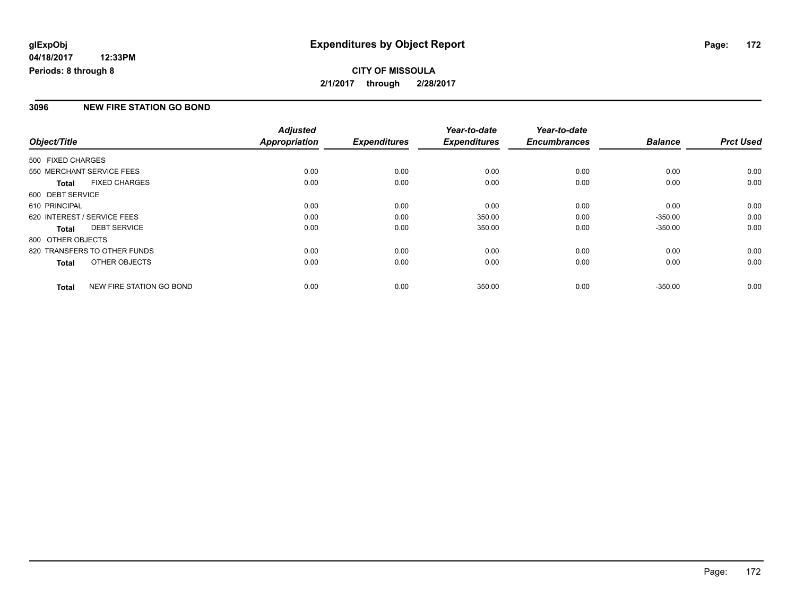# **CITY OF MISSOULA 2/1/2017 through 2/28/2017**

### **3096 NEW FIRE STATION GO BOND**

|                   |                              | <b>Adjusted</b> |                     | Year-to-date        | Year-to-date        |                |                  |
|-------------------|------------------------------|-----------------|---------------------|---------------------|---------------------|----------------|------------------|
| Object/Title      |                              | Appropriation   | <b>Expenditures</b> | <b>Expenditures</b> | <b>Encumbrances</b> | <b>Balance</b> | <b>Prct Used</b> |
| 500 FIXED CHARGES |                              |                 |                     |                     |                     |                |                  |
|                   | 550 MERCHANT SERVICE FEES    | 0.00            | 0.00                | 0.00                | 0.00                | 0.00           | 0.00             |
| <b>Total</b>      | <b>FIXED CHARGES</b>         | 0.00            | 0.00                | 0.00                | 0.00                | 0.00           | 0.00             |
| 600 DEBT SERVICE  |                              |                 |                     |                     |                     |                |                  |
| 610 PRINCIPAL     |                              | 0.00            | 0.00                | 0.00                | 0.00                | 0.00           | 0.00             |
|                   | 620 INTEREST / SERVICE FEES  | 0.00            | 0.00                | 350.00              | 0.00                | $-350.00$      | 0.00             |
| <b>Total</b>      | <b>DEBT SERVICE</b>          | 0.00            | 0.00                | 350.00              | 0.00                | $-350.00$      | 0.00             |
| 800 OTHER OBJECTS |                              |                 |                     |                     |                     |                |                  |
|                   | 820 TRANSFERS TO OTHER FUNDS | 0.00            | 0.00                | 0.00                | 0.00                | 0.00           | 0.00             |
| <b>Total</b>      | OTHER OBJECTS                | 0.00            | 0.00                | 0.00                | 0.00                | 0.00           | 0.00             |
| <b>Total</b>      | NEW FIRE STATION GO BOND     | 0.00            | 0.00                | 350.00              | 0.00                | $-350.00$      | 0.00             |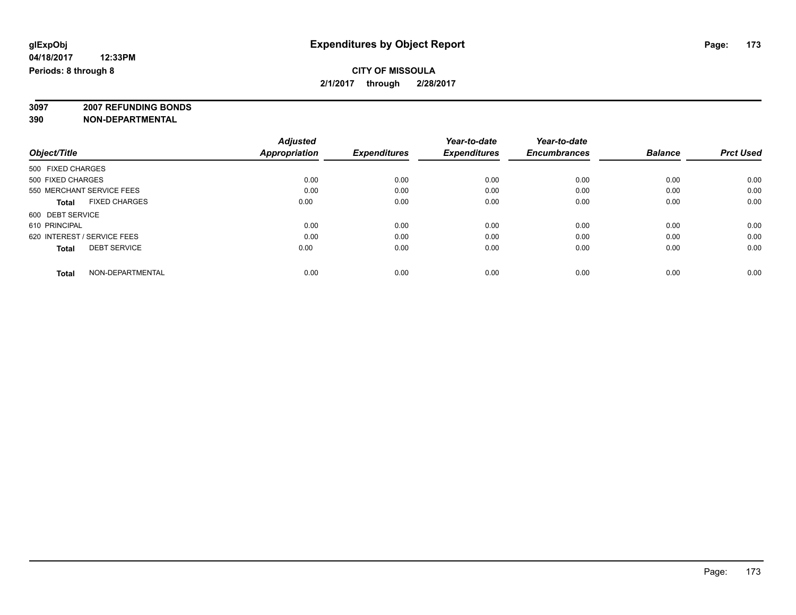### **CITY OF MISSOULA 2/1/2017 through 2/28/2017**

**3097 2007 REFUNDING BONDS**

|                                      | <b>Adjusted</b>      |                     | Year-to-date        | Year-to-date        |                |                  |
|--------------------------------------|----------------------|---------------------|---------------------|---------------------|----------------|------------------|
| Object/Title                         | <b>Appropriation</b> | <b>Expenditures</b> | <b>Expenditures</b> | <b>Encumbrances</b> | <b>Balance</b> | <b>Prct Used</b> |
| 500 FIXED CHARGES                    |                      |                     |                     |                     |                |                  |
| 500 FIXED CHARGES                    | 0.00                 | 0.00                | 0.00                | 0.00                | 0.00           | 0.00             |
| 550 MERCHANT SERVICE FEES            | 0.00                 | 0.00                | 0.00                | 0.00                | 0.00           | 0.00             |
| <b>FIXED CHARGES</b><br><b>Total</b> | 0.00                 | 0.00                | 0.00                | 0.00                | 0.00           | 0.00             |
| 600 DEBT SERVICE                     |                      |                     |                     |                     |                |                  |
| 610 PRINCIPAL                        | 0.00                 | 0.00                | 0.00                | 0.00                | 0.00           | 0.00             |
| 620 INTEREST / SERVICE FEES          | 0.00                 | 0.00                | 0.00                | 0.00                | 0.00           | 0.00             |
| <b>DEBT SERVICE</b><br><b>Total</b>  | 0.00                 | 0.00                | 0.00                | 0.00                | 0.00           | 0.00             |
| NON-DEPARTMENTAL<br><b>Total</b>     | 0.00                 | 0.00                | 0.00                | 0.00                | 0.00           | 0.00             |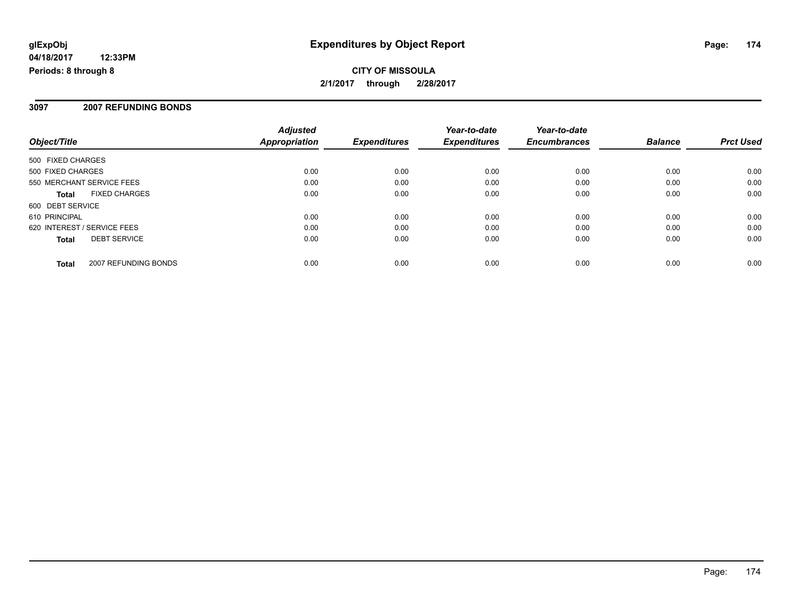#### **3097 2007 REFUNDING BONDS**

| Object/Title                |                      | <b>Adjusted</b><br><b>Appropriation</b> | <b>Expenditures</b> | Year-to-date<br><b>Expenditures</b> | Year-to-date<br><b>Encumbrances</b> | <b>Balance</b> | <b>Prct Used</b> |
|-----------------------------|----------------------|-----------------------------------------|---------------------|-------------------------------------|-------------------------------------|----------------|------------------|
| 500 FIXED CHARGES           |                      |                                         |                     |                                     |                                     |                |                  |
| 500 FIXED CHARGES           |                      | 0.00                                    | 0.00                | 0.00                                | 0.00                                | 0.00           | 0.00             |
| 550 MERCHANT SERVICE FEES   |                      | 0.00                                    | 0.00                | 0.00                                | 0.00                                | 0.00           | 0.00             |
| Total                       | <b>FIXED CHARGES</b> | 0.00                                    | 0.00                | 0.00                                | 0.00                                | 0.00           | 0.00             |
| 600 DEBT SERVICE            |                      |                                         |                     |                                     |                                     |                |                  |
| 610 PRINCIPAL               |                      | 0.00                                    | 0.00                | 0.00                                | 0.00                                | 0.00           | 0.00             |
| 620 INTEREST / SERVICE FEES |                      | 0.00                                    | 0.00                | 0.00                                | 0.00                                | 0.00           | 0.00             |
| <b>Total</b>                | <b>DEBT SERVICE</b>  | 0.00                                    | 0.00                | 0.00                                | 0.00                                | 0.00           | 0.00             |
| <b>Total</b>                | 2007 REFUNDING BONDS | 0.00                                    | 0.00                | 0.00                                | 0.00                                | 0.00           | 0.00             |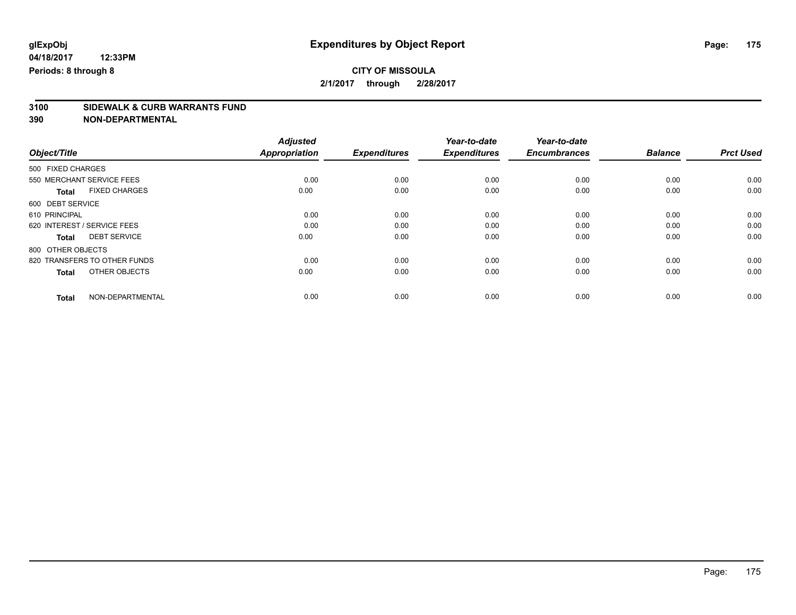# **3100 SIDEWALK & CURB WARRANTS FUND**

|                                      | <b>Adjusted</b>      |                     | Year-to-date        | Year-to-date        |                |                  |
|--------------------------------------|----------------------|---------------------|---------------------|---------------------|----------------|------------------|
| Object/Title                         | <b>Appropriation</b> | <b>Expenditures</b> | <b>Expenditures</b> | <b>Encumbrances</b> | <b>Balance</b> | <b>Prct Used</b> |
| 500 FIXED CHARGES                    |                      |                     |                     |                     |                |                  |
| 550 MERCHANT SERVICE FEES            | 0.00                 | 0.00                | 0.00                | 0.00                | 0.00           | 0.00             |
| <b>FIXED CHARGES</b><br><b>Total</b> | 0.00                 | 0.00                | 0.00                | 0.00                | 0.00           | 0.00             |
| 600 DEBT SERVICE                     |                      |                     |                     |                     |                |                  |
| 610 PRINCIPAL                        | 0.00                 | 0.00                | 0.00                | 0.00                | 0.00           | 0.00             |
| 620 INTEREST / SERVICE FEES          | 0.00                 | 0.00                | 0.00                | 0.00                | 0.00           | 0.00             |
| <b>DEBT SERVICE</b><br>Total         | 0.00                 | 0.00                | 0.00                | 0.00                | 0.00           | 0.00             |
| 800 OTHER OBJECTS                    |                      |                     |                     |                     |                |                  |
| 820 TRANSFERS TO OTHER FUNDS         | 0.00                 | 0.00                | 0.00                | 0.00                | 0.00           | 0.00             |
| OTHER OBJECTS<br><b>Total</b>        | 0.00                 | 0.00                | 0.00                | 0.00                | 0.00           | 0.00             |
|                                      | 0.00                 |                     | 0.00                | 0.00                | 0.00           | 0.00             |
| NON-DEPARTMENTAL<br><b>Total</b>     |                      | 0.00                |                     |                     |                |                  |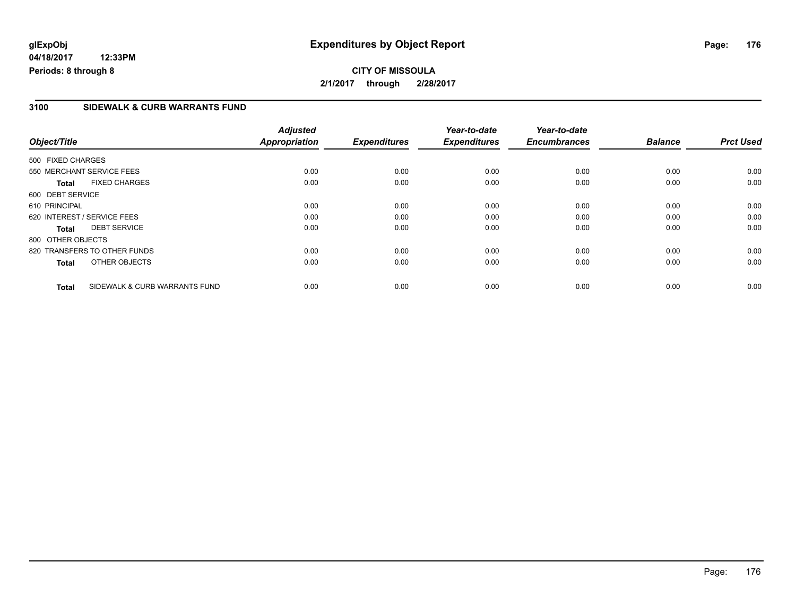**04/18/2017 12:33PM Periods: 8 through 8**

### **3100 SIDEWALK & CURB WARRANTS FUND**

| Object/Title      |                               | <b>Adjusted</b><br>Appropriation | <b>Expenditures</b> | Year-to-date<br><b>Expenditures</b> | Year-to-date<br><b>Encumbrances</b> | <b>Balance</b> | <b>Prct Used</b> |
|-------------------|-------------------------------|----------------------------------|---------------------|-------------------------------------|-------------------------------------|----------------|------------------|
|                   |                               |                                  |                     |                                     |                                     |                |                  |
| 500 FIXED CHARGES |                               |                                  |                     |                                     |                                     |                |                  |
|                   | 550 MERCHANT SERVICE FEES     | 0.00                             | 0.00                | 0.00                                | 0.00                                | 0.00           | 0.00             |
| <b>Total</b>      | <b>FIXED CHARGES</b>          | 0.00                             | 0.00                | 0.00                                | 0.00                                | 0.00           | 0.00             |
| 600 DEBT SERVICE  |                               |                                  |                     |                                     |                                     |                |                  |
| 610 PRINCIPAL     |                               | 0.00                             | 0.00                | 0.00                                | 0.00                                | 0.00           | 0.00             |
|                   | 620 INTEREST / SERVICE FEES   | 0.00                             | 0.00                | 0.00                                | 0.00                                | 0.00           | 0.00             |
| Total             | <b>DEBT SERVICE</b>           | 0.00                             | 0.00                | 0.00                                | 0.00                                | 0.00           | 0.00             |
| 800 OTHER OBJECTS |                               |                                  |                     |                                     |                                     |                |                  |
|                   | 820 TRANSFERS TO OTHER FUNDS  | 0.00                             | 0.00                | 0.00                                | 0.00                                | 0.00           | 0.00             |
| <b>Total</b>      | OTHER OBJECTS                 | 0.00                             | 0.00                | 0.00                                | 0.00                                | 0.00           | 0.00             |
| Total             | SIDEWALK & CURB WARRANTS FUND | 0.00                             | 0.00                | 0.00                                | 0.00                                | 0.00           | 0.00             |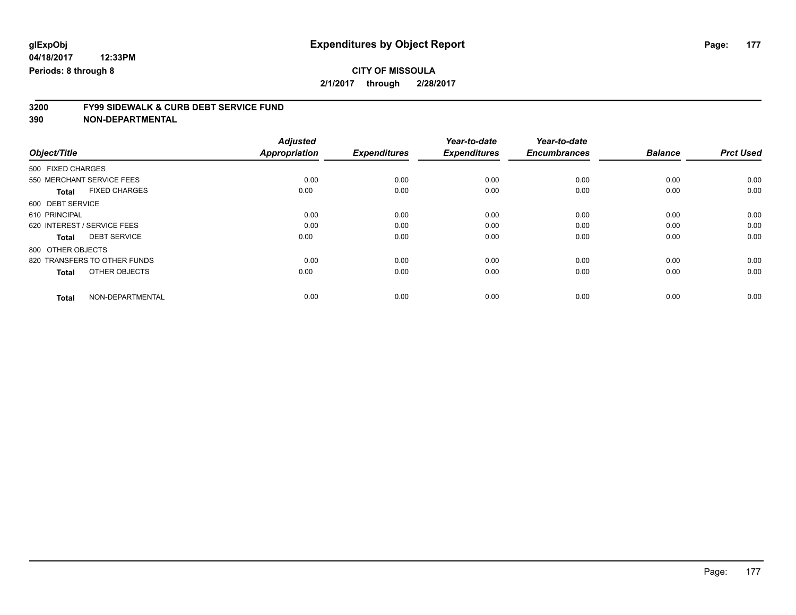# **3200 FY99 SIDEWALK & CURB DEBT SERVICE FUND**

|                              |                      | <b>Adjusted</b>      |                     | Year-to-date        | Year-to-date        |                |                  |
|------------------------------|----------------------|----------------------|---------------------|---------------------|---------------------|----------------|------------------|
| Object/Title                 |                      | <b>Appropriation</b> | <b>Expenditures</b> | <b>Expenditures</b> | <b>Encumbrances</b> | <b>Balance</b> | <b>Prct Used</b> |
| 500 FIXED CHARGES            |                      |                      |                     |                     |                     |                |                  |
| 550 MERCHANT SERVICE FEES    |                      | 0.00                 | 0.00                | 0.00                | 0.00                | 0.00           | 0.00             |
| <b>Total</b>                 | <b>FIXED CHARGES</b> | 0.00                 | 0.00                | 0.00                | 0.00                | 0.00           | 0.00             |
| 600 DEBT SERVICE             |                      |                      |                     |                     |                     |                |                  |
| 610 PRINCIPAL                |                      | 0.00                 | 0.00                | 0.00                | 0.00                | 0.00           | 0.00             |
| 620 INTEREST / SERVICE FEES  |                      | 0.00                 | 0.00                | 0.00                | 0.00                | 0.00           | 0.00             |
| <b>Total</b>                 | <b>DEBT SERVICE</b>  | 0.00                 | 0.00                | 0.00                | 0.00                | 0.00           | 0.00             |
| 800 OTHER OBJECTS            |                      |                      |                     |                     |                     |                |                  |
| 820 TRANSFERS TO OTHER FUNDS |                      | 0.00                 | 0.00                | 0.00                | 0.00                | 0.00           | 0.00             |
| <b>Total</b>                 | OTHER OBJECTS        | 0.00                 | 0.00                | 0.00                | 0.00                | 0.00           | 0.00             |
| <b>Total</b>                 | NON-DEPARTMENTAL     | 0.00                 | 0.00                | 0.00                | 0.00                | 0.00           | 0.00             |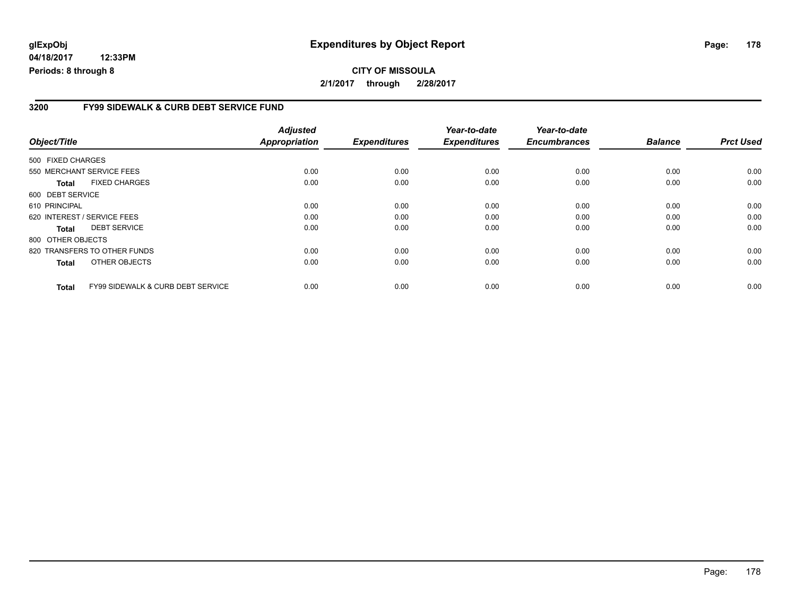**04/18/2017 12:33PM Periods: 8 through 8**

#### **3200 FY99 SIDEWALK & CURB DEBT SERVICE FUND**

| Object/Title                |                                   | <b>Adjusted</b><br><b>Appropriation</b> | <b>Expenditures</b> | Year-to-date<br><b>Expenditures</b> | Year-to-date<br><b>Encumbrances</b> | <b>Balance</b> | <b>Prct Used</b> |
|-----------------------------|-----------------------------------|-----------------------------------------|---------------------|-------------------------------------|-------------------------------------|----------------|------------------|
|                             |                                   |                                         |                     |                                     |                                     |                |                  |
| 500 FIXED CHARGES           |                                   |                                         |                     |                                     |                                     |                |                  |
|                             | 550 MERCHANT SERVICE FEES         | 0.00                                    | 0.00                | 0.00                                | 0.00                                | 0.00           | 0.00             |
| <b>Total</b>                | <b>FIXED CHARGES</b>              | 0.00                                    | 0.00                | 0.00                                | 0.00                                | 0.00           | 0.00             |
| 600 DEBT SERVICE            |                                   |                                         |                     |                                     |                                     |                |                  |
| 610 PRINCIPAL               |                                   | 0.00                                    | 0.00                | 0.00                                | 0.00                                | 0.00           | 0.00             |
| 620 INTEREST / SERVICE FEES |                                   | 0.00                                    | 0.00                | 0.00                                | 0.00                                | 0.00           | 0.00             |
| Total                       | <b>DEBT SERVICE</b>               | 0.00                                    | 0.00                | 0.00                                | 0.00                                | 0.00           | 0.00             |
| 800 OTHER OBJECTS           |                                   |                                         |                     |                                     |                                     |                |                  |
|                             | 820 TRANSFERS TO OTHER FUNDS      | 0.00                                    | 0.00                | 0.00                                | 0.00                                | 0.00           | 0.00             |
| <b>Total</b>                | OTHER OBJECTS                     | 0.00                                    | 0.00                | 0.00                                | 0.00                                | 0.00           | 0.00             |
| <b>Total</b>                | FY99 SIDEWALK & CURB DEBT SERVICE | 0.00                                    | 0.00                | 0.00                                | 0.00                                | 0.00           | 0.00             |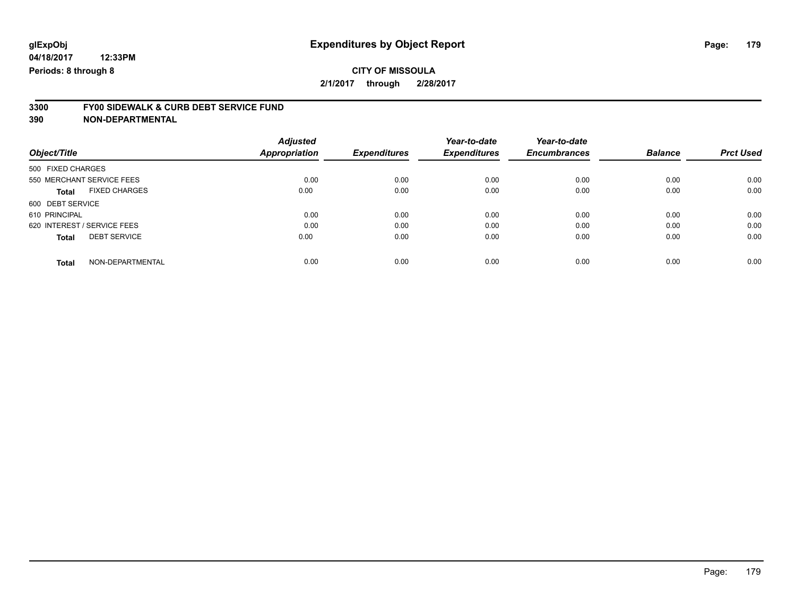# **3300 FY00 SIDEWALK & CURB DEBT SERVICE FUND**

**390 NON-DEPARTMENTAL**

| Object/Title                        | <b>Adjusted</b><br><b>Appropriation</b> | <b>Expenditures</b> | Year-to-date<br><b>Expenditures</b> | Year-to-date<br><b>Encumbrances</b> | <b>Balance</b> | <b>Prct Used</b> |
|-------------------------------------|-----------------------------------------|---------------------|-------------------------------------|-------------------------------------|----------------|------------------|
|                                     |                                         |                     |                                     |                                     |                |                  |
| 500 FIXED CHARGES                   |                                         |                     |                                     |                                     |                |                  |
| 550 MERCHANT SERVICE FEES           | 0.00                                    | 0.00                | 0.00                                | 0.00                                | 0.00           | 0.00             |
| <b>FIXED CHARGES</b><br>Total       | 0.00                                    | 0.00                | 0.00                                | 0.00                                | 0.00           | 0.00             |
| 600 DEBT SERVICE                    |                                         |                     |                                     |                                     |                |                  |
| 610 PRINCIPAL                       | 0.00                                    | 0.00                | 0.00                                | 0.00                                | 0.00           | 0.00             |
| 620 INTEREST / SERVICE FEES         | 0.00                                    | 0.00                | 0.00                                | 0.00                                | 0.00           | 0.00             |
| <b>DEBT SERVICE</b><br><b>Total</b> | 0.00                                    | 0.00                | 0.00                                | 0.00                                | 0.00           | 0.00             |
| NON-DEPARTMENTAL<br><b>Total</b>    | 0.00                                    | 0.00                | 0.00                                | 0.00                                | 0.00           | 0.00             |

Page: 179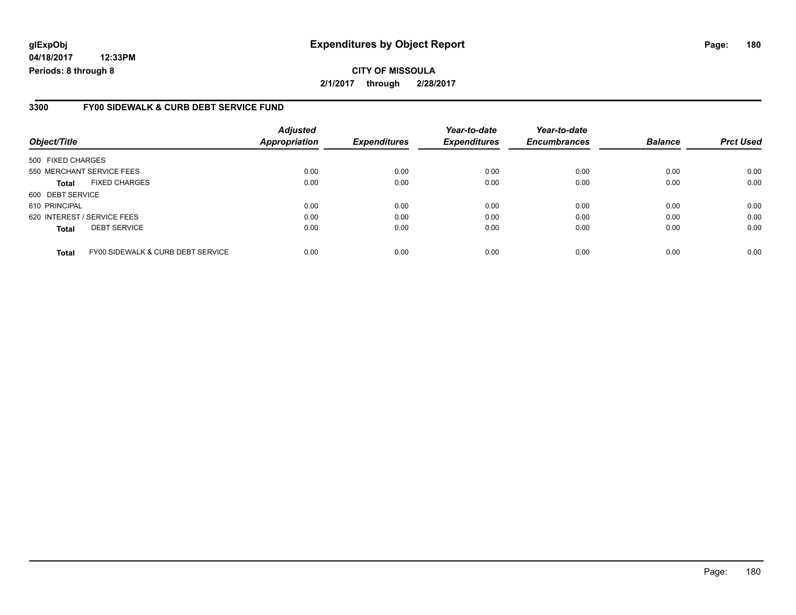**04/18/2017 12:33PM Periods: 8 through 8**

#### **3300 FY00 SIDEWALK & CURB DEBT SERVICE FUND**

| Object/Title                |                                   | <b>Adjusted</b><br><b>Appropriation</b> | <b>Expenditures</b> | Year-to-date<br><b>Expenditures</b> | Year-to-date<br><b>Encumbrances</b> | <b>Balance</b> | <b>Prct Used</b> |
|-----------------------------|-----------------------------------|-----------------------------------------|---------------------|-------------------------------------|-------------------------------------|----------------|------------------|
| 500 FIXED CHARGES           |                                   |                                         |                     |                                     |                                     |                |                  |
| 550 MERCHANT SERVICE FEES   |                                   | 0.00                                    | 0.00                | 0.00                                | 0.00                                | 0.00           | 0.00             |
| Total                       | <b>FIXED CHARGES</b>              | 0.00                                    | 0.00                | 0.00                                | 0.00                                | 0.00           | 0.00             |
| 600 DEBT SERVICE            |                                   |                                         |                     |                                     |                                     |                |                  |
| 610 PRINCIPAL               |                                   | 0.00                                    | 0.00                | 0.00                                | 0.00                                | 0.00           | 0.00             |
| 620 INTEREST / SERVICE FEES |                                   | 0.00                                    | 0.00                | 0.00                                | 0.00                                | 0.00           | 0.00             |
| <b>Total</b>                | <b>DEBT SERVICE</b>               | 0.00                                    | 0.00                | 0.00                                | 0.00                                | 0.00           | 0.00             |
| <b>Total</b>                | FY00 SIDEWALK & CURB DEBT SERVICE | 0.00                                    | 0.00                | 0.00                                | 0.00                                | 0.00           | 0.00             |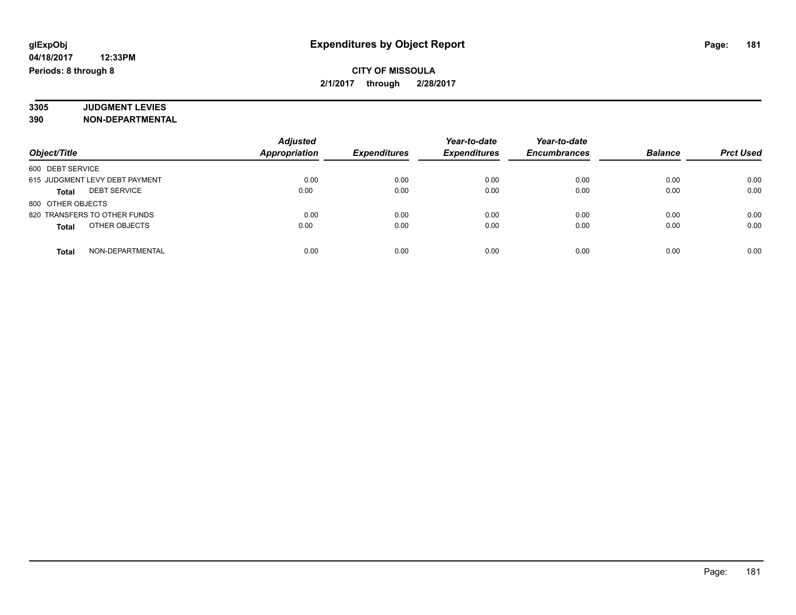### **CITY OF MISSOULA 2/1/2017 through 2/28/2017**

#### **3305 JUDGMENT LEVIES 390 NON-DEPARTMENTAL**

|                                     | <b>Adjusted</b>      |                     | Year-to-date        | Year-to-date        |                |                  |
|-------------------------------------|----------------------|---------------------|---------------------|---------------------|----------------|------------------|
| Object/Title                        | <b>Appropriation</b> | <b>Expenditures</b> | <b>Expenditures</b> | <b>Encumbrances</b> | <b>Balance</b> | <b>Prct Used</b> |
| 600 DEBT SERVICE                    |                      |                     |                     |                     |                |                  |
| 615 JUDGMENT LEVY DEBT PAYMENT      | 0.00                 | 0.00                | 0.00                | 0.00                | 0.00           | 0.00             |
| <b>DEBT SERVICE</b><br><b>Total</b> | 0.00                 | 0.00                | 0.00                | 0.00                | 0.00           | 0.00             |
| 800 OTHER OBJECTS                   |                      |                     |                     |                     |                |                  |
| 820 TRANSFERS TO OTHER FUNDS        | 0.00                 | 0.00                | 0.00                | 0.00                | 0.00           | 0.00             |
| OTHER OBJECTS<br><b>Total</b>       | 0.00                 | 0.00                | 0.00                | 0.00                | 0.00           | 0.00             |
| NON-DEPARTMENTAL<br><b>Total</b>    | 0.00                 | 0.00                | 0.00                | 0.00                | 0.00           | 0.00             |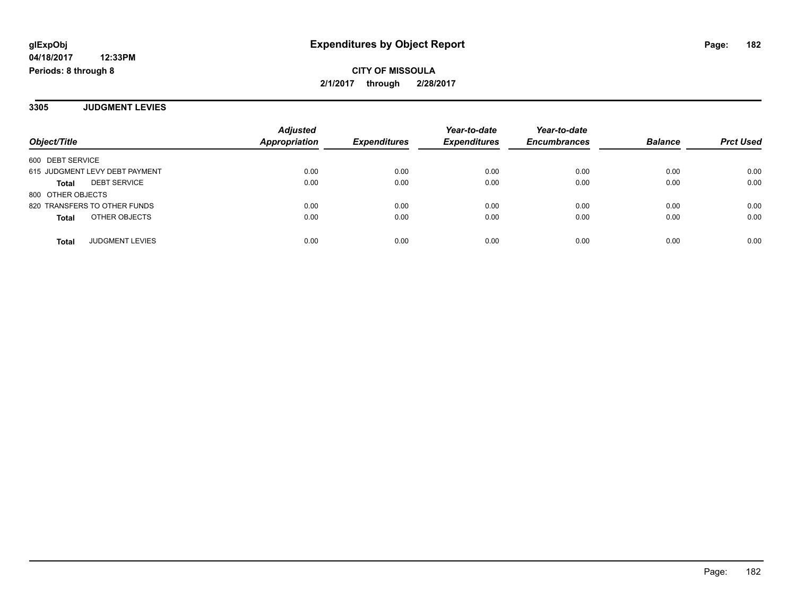**CITY OF MISSOULA 2/1/2017 through 2/28/2017**

**3305 JUDGMENT LEVIES**

| Object/Title                        | <b>Adjusted</b><br>Appropriation | <b>Expenditures</b> | Year-to-date<br><b>Expenditures</b> | Year-to-date<br><b>Encumbrances</b> | <b>Balance</b> | <b>Prct Used</b> |
|-------------------------------------|----------------------------------|---------------------|-------------------------------------|-------------------------------------|----------------|------------------|
| 600 DEBT SERVICE                    |                                  |                     |                                     |                                     |                |                  |
| 615 JUDGMENT LEVY DEBT PAYMENT      | 0.00                             | 0.00                | 0.00                                | 0.00                                | 0.00           | 0.00             |
| <b>DEBT SERVICE</b><br><b>Total</b> | 0.00                             | 0.00                | 0.00                                | 0.00                                | 0.00           | 0.00             |
| 800 OTHER OBJECTS                   |                                  |                     |                                     |                                     |                |                  |
| 820 TRANSFERS TO OTHER FUNDS        | 0.00                             | 0.00                | 0.00                                | 0.00                                | 0.00           | 0.00             |
| OTHER OBJECTS<br><b>Total</b>       | 0.00                             | 0.00                | 0.00                                | 0.00                                | 0.00           | 0.00             |
| <b>JUDGMENT LEVIES</b><br>Total     | 0.00                             | 0.00                | 0.00                                | 0.00                                | 0.00           | 0.00             |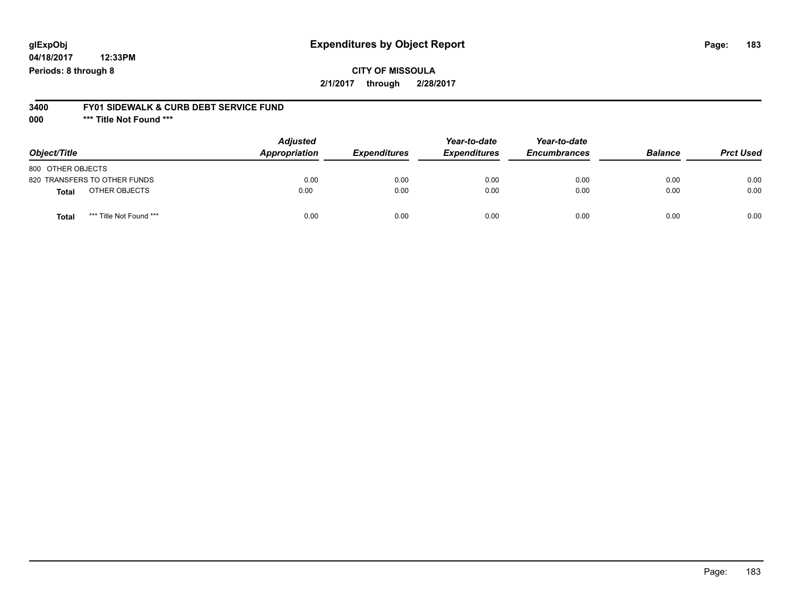**04/18/2017 12:33PM Periods: 8 through 8**

#### **3400 FY01 SIDEWALK & CURB DEBT SERVICE FUND**

**000 \*\*\* Title Not Found \*\*\***

| Object/Title                            | <b>Adjusted</b><br>Appropriation | <b>Expenditures</b> | Year-to-date<br><b>Expenditures</b> | Year-to-date<br><b>Encumbrances</b> | <b>Balance</b> | <b>Prct Used</b> |
|-----------------------------------------|----------------------------------|---------------------|-------------------------------------|-------------------------------------|----------------|------------------|
| 800 OTHER OBJECTS                       |                                  |                     |                                     |                                     |                |                  |
| 820 TRANSFERS TO OTHER FUNDS            | 0.00                             | 0.00                | 0.00                                | 0.00                                | 0.00           | 0.00             |
| OTHER OBJECTS<br><b>Total</b>           | 0.00                             | 0.00                | 0.00                                | 0.00                                | 0.00           | 0.00             |
| *** Title Not Found ***<br><b>Total</b> | 0.00                             | 0.00                | 0.00                                | 0.00                                | 0.00           | 0.00             |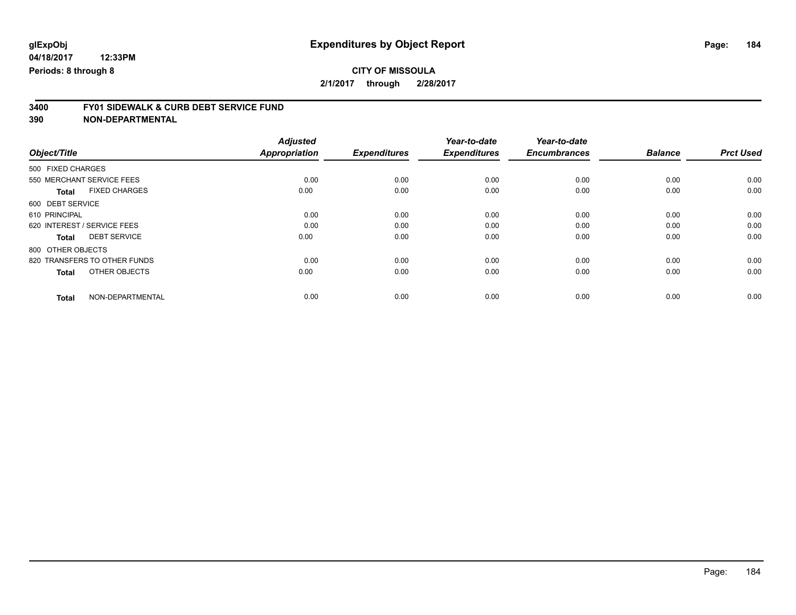# **3400 FY01 SIDEWALK & CURB DEBT SERVICE FUND**

|                              |                      | <b>Adjusted</b>      | <b>Expenditures</b> | Year-to-date<br><b>Expenditures</b> | Year-to-date<br><b>Encumbrances</b> | <b>Balance</b> | <b>Prct Used</b> |
|------------------------------|----------------------|----------------------|---------------------|-------------------------------------|-------------------------------------|----------------|------------------|
| Object/Title                 |                      | <b>Appropriation</b> |                     |                                     |                                     |                |                  |
| 500 FIXED CHARGES            |                      |                      |                     |                                     |                                     |                |                  |
| 550 MERCHANT SERVICE FEES    |                      | 0.00                 | 0.00                | 0.00                                | 0.00                                | 0.00           | 0.00             |
| <b>Total</b>                 | <b>FIXED CHARGES</b> | 0.00                 | 0.00                | 0.00                                | 0.00                                | 0.00           | 0.00             |
| 600 DEBT SERVICE             |                      |                      |                     |                                     |                                     |                |                  |
| 610 PRINCIPAL                |                      | 0.00                 | 0.00                | 0.00                                | 0.00                                | 0.00           | 0.00             |
| 620 INTEREST / SERVICE FEES  |                      | 0.00                 | 0.00                | 0.00                                | 0.00                                | 0.00           | 0.00             |
| <b>Total</b>                 | <b>DEBT SERVICE</b>  | 0.00                 | 0.00                | 0.00                                | 0.00                                | 0.00           | 0.00             |
| 800 OTHER OBJECTS            |                      |                      |                     |                                     |                                     |                |                  |
| 820 TRANSFERS TO OTHER FUNDS |                      | 0.00                 | 0.00                | 0.00                                | 0.00                                | 0.00           | 0.00             |
| <b>Total</b>                 | OTHER OBJECTS        | 0.00                 | 0.00                | 0.00                                | 0.00                                | 0.00           | 0.00             |
| <b>Total</b>                 | NON-DEPARTMENTAL     | 0.00                 | 0.00                | 0.00                                | 0.00                                | 0.00           | 0.00             |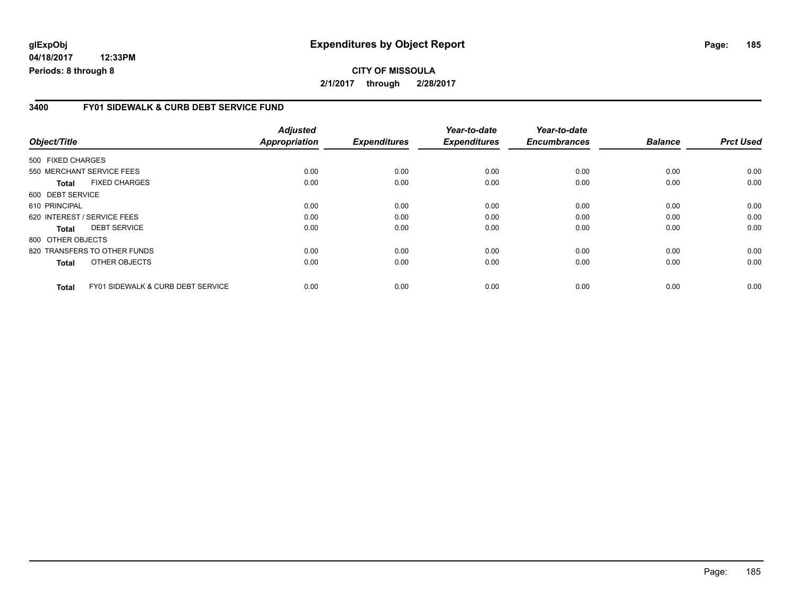**04/18/2017 12:33PM Periods: 8 through 8**

#### **3400 FY01 SIDEWALK & CURB DEBT SERVICE FUND**

| Object/Title      |                                              | <b>Adjusted</b><br><b>Appropriation</b> | <b>Expenditures</b> | Year-to-date<br><b>Expenditures</b> | Year-to-date<br><b>Encumbrances</b> | <b>Balance</b> | <b>Prct Used</b> |
|-------------------|----------------------------------------------|-----------------------------------------|---------------------|-------------------------------------|-------------------------------------|----------------|------------------|
| 500 FIXED CHARGES |                                              |                                         |                     |                                     |                                     |                |                  |
|                   | 550 MERCHANT SERVICE FEES                    | 0.00                                    | 0.00                | 0.00                                | 0.00                                | 0.00           | 0.00             |
| <b>Total</b>      | <b>FIXED CHARGES</b>                         | 0.00                                    | 0.00                | 0.00                                | 0.00                                | 0.00           | 0.00             |
| 600 DEBT SERVICE  |                                              |                                         |                     |                                     |                                     |                |                  |
| 610 PRINCIPAL     |                                              | 0.00                                    | 0.00                | 0.00                                | 0.00                                | 0.00           | 0.00             |
|                   | 620 INTEREST / SERVICE FEES                  | 0.00                                    | 0.00                | 0.00                                | 0.00                                | 0.00           | 0.00             |
| <b>Total</b>      | <b>DEBT SERVICE</b>                          | 0.00                                    | 0.00                | 0.00                                | 0.00                                | 0.00           | 0.00             |
| 800 OTHER OBJECTS |                                              |                                         |                     |                                     |                                     |                |                  |
|                   | 820 TRANSFERS TO OTHER FUNDS                 | 0.00                                    | 0.00                | 0.00                                | 0.00                                | 0.00           | 0.00             |
| <b>Total</b>      | OTHER OBJECTS                                | 0.00                                    | 0.00                | 0.00                                | 0.00                                | 0.00           | 0.00             |
| Total             | <b>FY01 SIDEWALK &amp; CURB DEBT SERVICE</b> | 0.00                                    | 0.00                | 0.00                                | 0.00                                | 0.00           | 0.00             |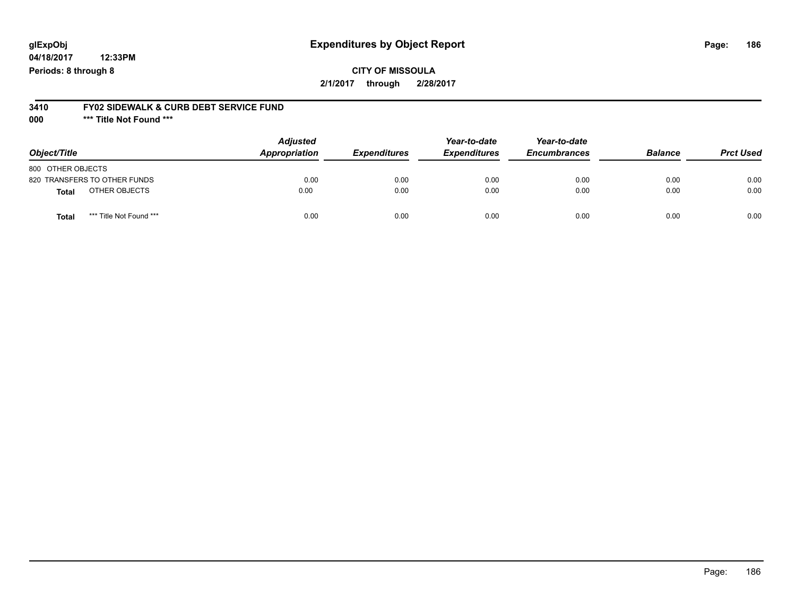**04/18/2017 12:33PM Periods: 8 through 8**

# **3410 FY02 SIDEWALK & CURB DEBT SERVICE FUND**

**000 \*\*\* Title Not Found \*\*\***

| Object/Title                            | <b>Adjusted</b><br>Appropriation | <b>Expenditures</b> | Year-to-date<br><b>Expenditures</b> | Year-to-date<br><b>Encumbrances</b> | <b>Balance</b> | <b>Prct Used</b> |
|-----------------------------------------|----------------------------------|---------------------|-------------------------------------|-------------------------------------|----------------|------------------|
| 800 OTHER OBJECTS                       |                                  |                     |                                     |                                     |                |                  |
| 820 TRANSFERS TO OTHER FUNDS            | 0.00                             | 0.00                | 0.00                                | 0.00                                | 0.00           | 0.00             |
| OTHER OBJECTS<br>Total                  | 0.00                             | 0.00                | 0.00                                | 0.00                                | 0.00           | 0.00             |
| *** Title Not Found ***<br><b>Total</b> | 0.00                             | 0.00                | 0.00                                | 0.00                                | 0.00           | 0.00             |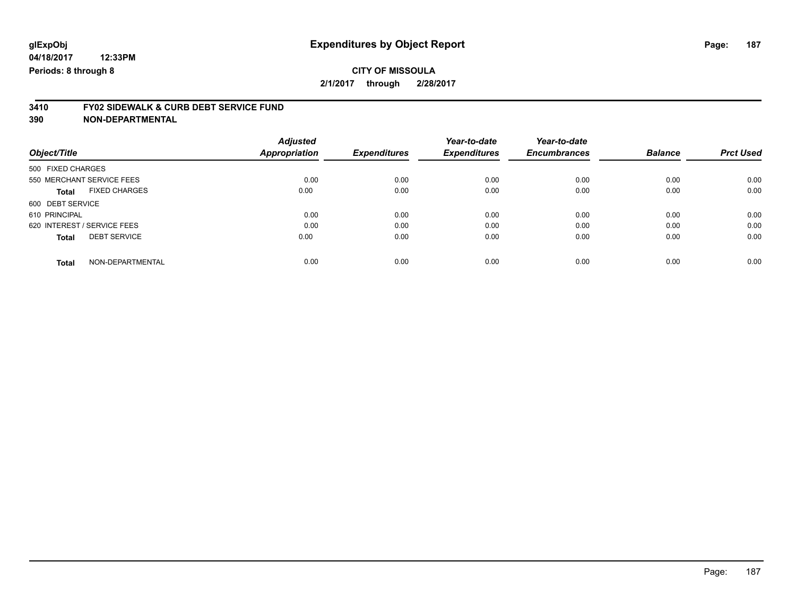# **3410 FY02 SIDEWALK & CURB DEBT SERVICE FUND**

| Object/Title                         | <b>Adjusted</b><br><b>Appropriation</b> | <b>Expenditures</b> | Year-to-date<br><b>Expenditures</b> | Year-to-date<br><b>Encumbrances</b> | <b>Balance</b> | <b>Prct Used</b> |
|--------------------------------------|-----------------------------------------|---------------------|-------------------------------------|-------------------------------------|----------------|------------------|
| 500 FIXED CHARGES                    |                                         |                     |                                     |                                     |                |                  |
| 550 MERCHANT SERVICE FEES            | 0.00                                    | 0.00                | 0.00                                | 0.00                                | 0.00           | 0.00             |
| <b>FIXED CHARGES</b><br><b>Total</b> | 0.00                                    | 0.00                | 0.00                                | 0.00                                | 0.00           | 0.00             |
| 600 DEBT SERVICE                     |                                         |                     |                                     |                                     |                |                  |
| 610 PRINCIPAL                        | 0.00                                    | 0.00                | 0.00                                | 0.00                                | 0.00           | 0.00             |
| 620 INTEREST / SERVICE FEES          | 0.00                                    | 0.00                | 0.00                                | 0.00                                | 0.00           | 0.00             |
| <b>DEBT SERVICE</b><br><b>Total</b>  | 0.00                                    | 0.00                | 0.00                                | 0.00                                | 0.00           | 0.00             |
| NON-DEPARTMENTAL<br><b>Total</b>     | 0.00                                    | 0.00                | 0.00                                | 0.00                                | 0.00           | 0.00             |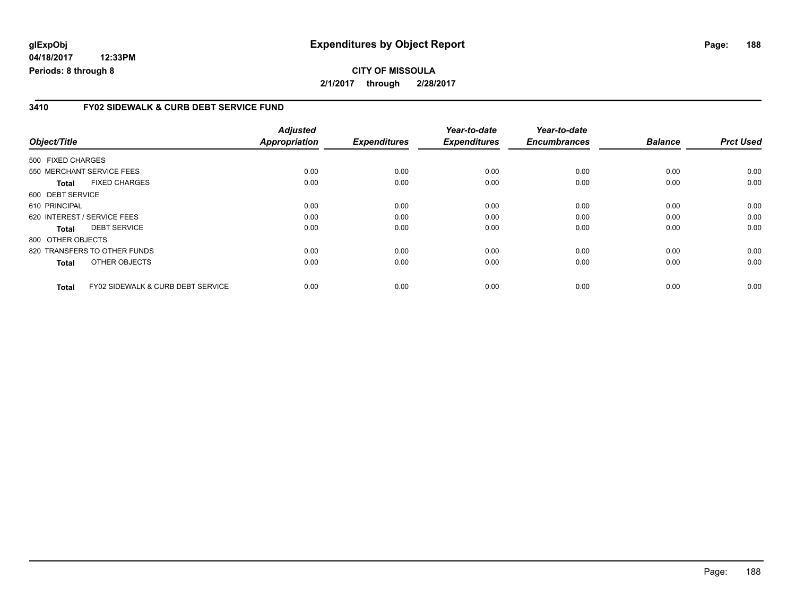**04/18/2017 12:33PM Periods: 8 through 8**

#### **3410 FY02 SIDEWALK & CURB DEBT SERVICE FUND**

| Object/Title      |                                              | <b>Adjusted</b><br><b>Appropriation</b> | <b>Expenditures</b> | Year-to-date<br><b>Expenditures</b> | Year-to-date<br><b>Encumbrances</b> | <b>Balance</b> | <b>Prct Used</b> |
|-------------------|----------------------------------------------|-----------------------------------------|---------------------|-------------------------------------|-------------------------------------|----------------|------------------|
| 500 FIXED CHARGES |                                              |                                         |                     |                                     |                                     |                |                  |
|                   | 550 MERCHANT SERVICE FEES                    | 0.00                                    | 0.00                | 0.00                                | 0.00                                | 0.00           | 0.00             |
| <b>Total</b>      | <b>FIXED CHARGES</b>                         | 0.00                                    | 0.00                | 0.00                                | 0.00                                | 0.00           | 0.00             |
| 600 DEBT SERVICE  |                                              |                                         |                     |                                     |                                     |                |                  |
| 610 PRINCIPAL     |                                              | 0.00                                    | 0.00                | 0.00                                | 0.00                                | 0.00           | 0.00             |
|                   | 620 INTEREST / SERVICE FEES                  | 0.00                                    | 0.00                | 0.00                                | 0.00                                | 0.00           | 0.00             |
| <b>Total</b>      | <b>DEBT SERVICE</b>                          | 0.00                                    | 0.00                | 0.00                                | 0.00                                | 0.00           | 0.00             |
| 800 OTHER OBJECTS |                                              |                                         |                     |                                     |                                     |                |                  |
|                   | 820 TRANSFERS TO OTHER FUNDS                 | 0.00                                    | 0.00                | 0.00                                | 0.00                                | 0.00           | 0.00             |
| <b>Total</b>      | OTHER OBJECTS                                | 0.00                                    | 0.00                | 0.00                                | 0.00                                | 0.00           | 0.00             |
| Total             | <b>FY02 SIDEWALK &amp; CURB DEBT SERVICE</b> | 0.00                                    | 0.00                | 0.00                                | 0.00                                | 0.00           | 0.00             |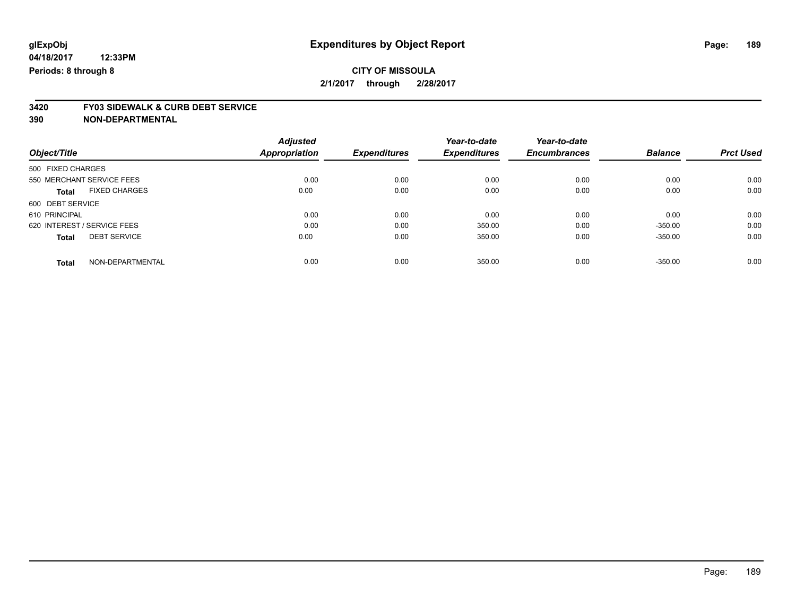# **3420 FY03 SIDEWALK & CURB DEBT SERVICE**

|                                      | <b>Adjusted</b>      |                     | Year-to-date        | Year-to-date        |                |                  |
|--------------------------------------|----------------------|---------------------|---------------------|---------------------|----------------|------------------|
| Object/Title                         | <b>Appropriation</b> | <b>Expenditures</b> | <b>Expenditures</b> | <b>Encumbrances</b> | <b>Balance</b> | <b>Prct Used</b> |
| 500 FIXED CHARGES                    |                      |                     |                     |                     |                |                  |
| 550 MERCHANT SERVICE FEES            | 0.00                 | 0.00                | 0.00                | 0.00                | 0.00           | 0.00             |
| <b>FIXED CHARGES</b><br><b>Total</b> | 0.00                 | 0.00                | 0.00                | 0.00                | 0.00           | 0.00             |
| 600 DEBT SERVICE                     |                      |                     |                     |                     |                |                  |
| 610 PRINCIPAL                        | 0.00                 | 0.00                | 0.00                | 0.00                | 0.00           | 0.00             |
| 620 INTEREST / SERVICE FEES          | 0.00                 | 0.00                | 350.00              | 0.00                | $-350.00$      | 0.00             |
| <b>DEBT SERVICE</b><br><b>Total</b>  | 0.00                 | 0.00                | 350.00              | 0.00                | $-350.00$      | 0.00             |
| NON-DEPARTMENTAL<br><b>Total</b>     | 0.00                 | 0.00                | 350.00              | 0.00                | $-350.00$      | 0.00             |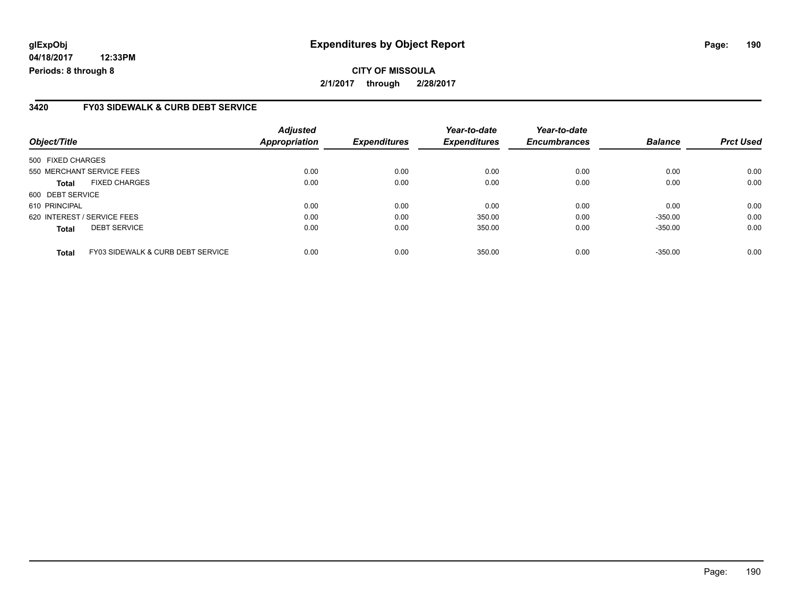**04/18/2017 12:33PM Periods: 8 through 8**

#### **3420 FY03 SIDEWALK & CURB DEBT SERVICE**

| Object/Title                                      | <b>Adjusted</b><br>Appropriation | <b>Expenditures</b> | Year-to-date<br><b>Expenditures</b> | Year-to-date<br><b>Encumbrances</b> | <b>Balance</b> | <b>Prct Used</b> |
|---------------------------------------------------|----------------------------------|---------------------|-------------------------------------|-------------------------------------|----------------|------------------|
| 500 FIXED CHARGES                                 |                                  |                     |                                     |                                     |                |                  |
| 550 MERCHANT SERVICE FEES                         | 0.00                             | 0.00                | 0.00                                | 0.00                                | 0.00           | 0.00             |
| <b>FIXED CHARGES</b><br><b>Total</b>              | 0.00                             | 0.00                | 0.00                                | 0.00                                | 0.00           | 0.00             |
| 600 DEBT SERVICE                                  |                                  |                     |                                     |                                     |                |                  |
| 610 PRINCIPAL                                     | 0.00                             | 0.00                | 0.00                                | 0.00                                | 0.00           | 0.00             |
| 620 INTEREST / SERVICE FEES                       | 0.00                             | 0.00                | 350.00                              | 0.00                                | $-350.00$      | 0.00             |
| <b>DEBT SERVICE</b><br><b>Total</b>               | 0.00                             | 0.00                | 350.00                              | 0.00                                | $-350.00$      | 0.00             |
| FY03 SIDEWALK & CURB DEBT SERVICE<br><b>Total</b> | 0.00                             | 0.00                | 350.00                              | 0.00                                | $-350.00$      | 0.00             |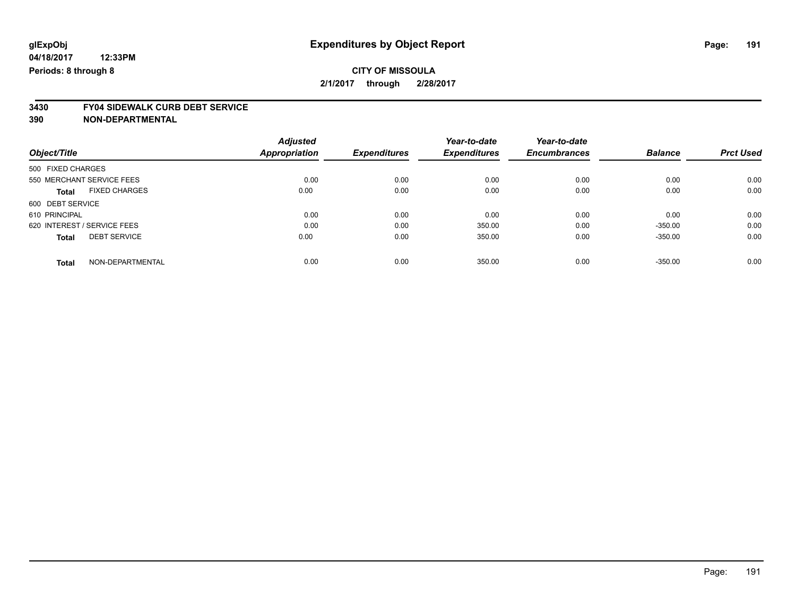### **CITY OF MISSOULA 2/1/2017 through 2/28/2017**

# **3430 FY04 SIDEWALK CURB DEBT SERVICE**

|                                      | <b>Adjusted</b>      |                     | Year-to-date        | Year-to-date        |                |                  |
|--------------------------------------|----------------------|---------------------|---------------------|---------------------|----------------|------------------|
| Object/Title                         | <b>Appropriation</b> | <b>Expenditures</b> | <b>Expenditures</b> | <b>Encumbrances</b> | <b>Balance</b> | <b>Prct Used</b> |
| 500 FIXED CHARGES                    |                      |                     |                     |                     |                |                  |
| 550 MERCHANT SERVICE FEES            | 0.00                 | 0.00                | 0.00                | 0.00                | 0.00           | 0.00             |
| <b>FIXED CHARGES</b><br><b>Total</b> | 0.00                 | 0.00                | 0.00                | 0.00                | 0.00           | 0.00             |
| 600 DEBT SERVICE                     |                      |                     |                     |                     |                |                  |
| 610 PRINCIPAL                        | 0.00                 | 0.00                | 0.00                | 0.00                | 0.00           | 0.00             |
| 620 INTEREST / SERVICE FEES          | 0.00                 | 0.00                | 350.00              | 0.00                | $-350.00$      | 0.00             |
| <b>DEBT SERVICE</b><br><b>Total</b>  | 0.00                 | 0.00                | 350.00              | 0.00                | $-350.00$      | 0.00             |
| NON-DEPARTMENTAL<br>Total            | 0.00                 | 0.00                | 350.00              | 0.00                | $-350.00$      | 0.00             |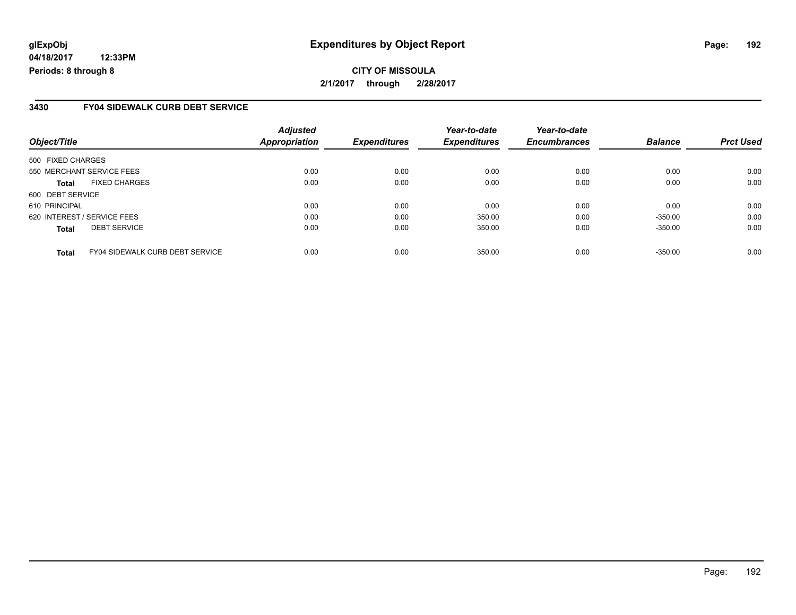**04/18/2017 12:33PM Periods: 8 through 8**

#### **3430 FY04 SIDEWALK CURB DEBT SERVICE**

| Object/Title                                           | <b>Adjusted</b><br>Appropriation | <b>Expenditures</b> | Year-to-date<br><b>Expenditures</b> | Year-to-date<br><b>Encumbrances</b> | <b>Balance</b> | <b>Prct Used</b> |
|--------------------------------------------------------|----------------------------------|---------------------|-------------------------------------|-------------------------------------|----------------|------------------|
| 500 FIXED CHARGES                                      |                                  |                     |                                     |                                     |                |                  |
| 550 MERCHANT SERVICE FEES                              | 0.00                             | 0.00                | 0.00                                | 0.00                                | 0.00           | 0.00             |
| <b>FIXED CHARGES</b><br><b>Total</b>                   | 0.00                             | 0.00                | 0.00                                | 0.00                                | 0.00           | 0.00             |
| 600 DEBT SERVICE                                       |                                  |                     |                                     |                                     |                |                  |
| 610 PRINCIPAL                                          | 0.00                             | 0.00                | 0.00                                | 0.00                                | 0.00           | 0.00             |
| 620 INTEREST / SERVICE FEES                            | 0.00                             | 0.00                | 350.00                              | 0.00                                | $-350.00$      | 0.00             |
| <b>DEBT SERVICE</b><br><b>Total</b>                    | 0.00                             | 0.00                | 350.00                              | 0.00                                | $-350.00$      | 0.00             |
| <b>FY04 SIDEWALK CURB DEBT SERVICE</b><br><b>Total</b> | 0.00                             | 0.00                | 350.00                              | 0.00                                | $-350.00$      | 0.00             |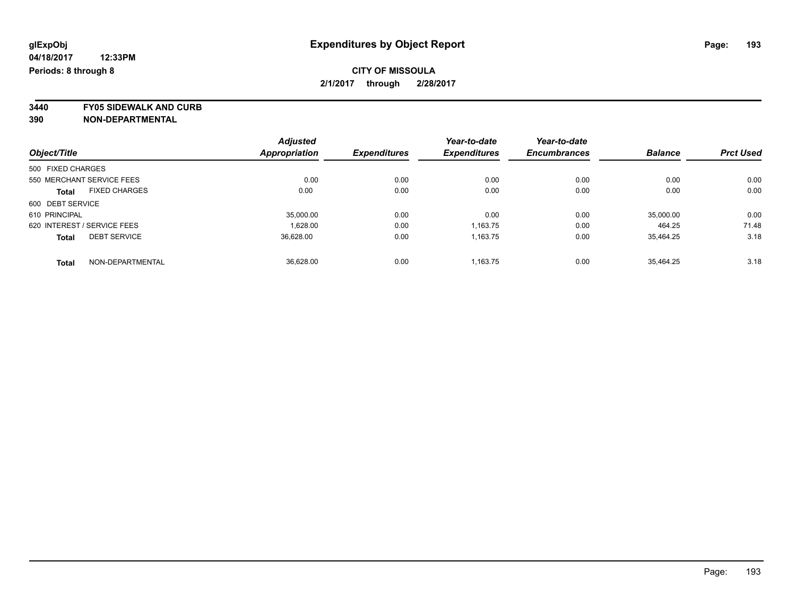### **CITY OF MISSOULA 2/1/2017 through 2/28/2017**

**3440 FY05 SIDEWALK AND CURB**

|                                      | <b>Adjusted</b> |                     | Year-to-date        | Year-to-date        |                |                  |
|--------------------------------------|-----------------|---------------------|---------------------|---------------------|----------------|------------------|
| Object/Title                         | Appropriation   | <b>Expenditures</b> | <b>Expenditures</b> | <b>Encumbrances</b> | <b>Balance</b> | <b>Prct Used</b> |
| 500 FIXED CHARGES                    |                 |                     |                     |                     |                |                  |
| 550 MERCHANT SERVICE FEES            | 0.00            | 0.00                | 0.00                | 0.00                | 0.00           | 0.00             |
| <b>FIXED CHARGES</b><br><b>Total</b> | 0.00            | 0.00                | 0.00                | 0.00                | 0.00           | 0.00             |
| 600 DEBT SERVICE                     |                 |                     |                     |                     |                |                  |
| 610 PRINCIPAL                        | 35,000.00       | 0.00                | 0.00                | 0.00                | 35,000.00      | 0.00             |
| 620 INTEREST / SERVICE FEES          | 1,628.00        | 0.00                | 1,163.75            | 0.00                | 464.25         | 71.48            |
| <b>DEBT SERVICE</b><br><b>Total</b>  | 36.628.00       | 0.00                | 1,163.75            | 0.00                | 35.464.25      | 3.18             |
| NON-DEPARTMENTAL<br><b>Total</b>     | 36.628.00       | 0.00                | 1.163.75            | 0.00                | 35.464.25      | 3.18             |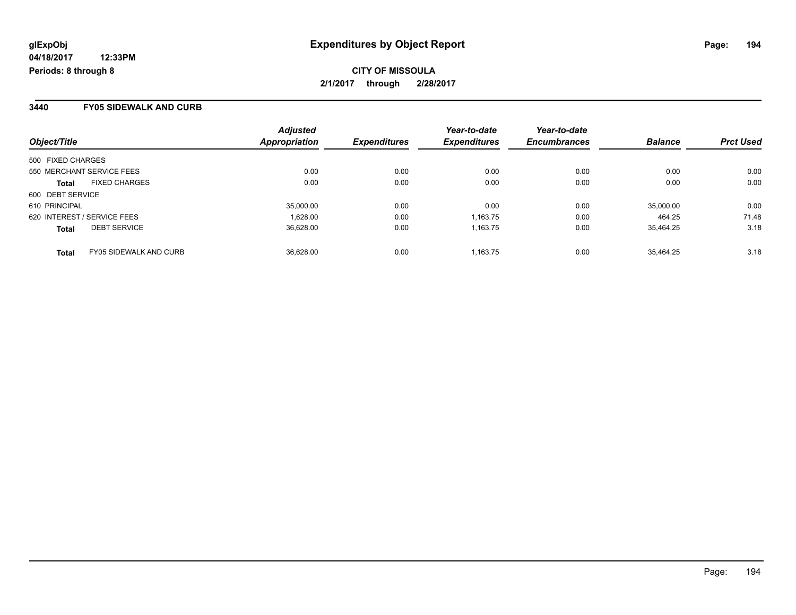**CITY OF MISSOULA 2/1/2017 through 2/28/2017**

#### **3440 FY05 SIDEWALK AND CURB**

| Object/Title                           | <b>Adjusted</b><br>Appropriation | <b>Expenditures</b> | Year-to-date<br><b>Expenditures</b> | Year-to-date<br><b>Encumbrances</b> | <b>Balance</b> | <b>Prct Used</b> |
|----------------------------------------|----------------------------------|---------------------|-------------------------------------|-------------------------------------|----------------|------------------|
| 500 FIXED CHARGES                      |                                  |                     |                                     |                                     |                |                  |
| 550 MERCHANT SERVICE FEES              | 0.00                             | 0.00                | 0.00                                | 0.00                                | 0.00           | 0.00             |
| <b>FIXED CHARGES</b><br><b>Total</b>   | 0.00                             | 0.00                | 0.00                                | 0.00                                | 0.00           | 0.00             |
| 600 DEBT SERVICE                       |                                  |                     |                                     |                                     |                |                  |
| 610 PRINCIPAL                          | 35,000.00                        | 0.00                | 0.00                                | 0.00                                | 35,000.00      | 0.00             |
| 620 INTEREST / SERVICE FEES            | 1.628.00                         | 0.00                | 1,163.75                            | 0.00                                | 464.25         | 71.48            |
| <b>DEBT SERVICE</b><br><b>Total</b>    | 36.628.00                        | 0.00                | 1.163.75                            | 0.00                                | 35.464.25      | 3.18             |
| FY05 SIDEWALK AND CURB<br><b>Total</b> | 36.628.00                        | 0.00                | 1.163.75                            | 0.00                                | 35.464.25      | 3.18             |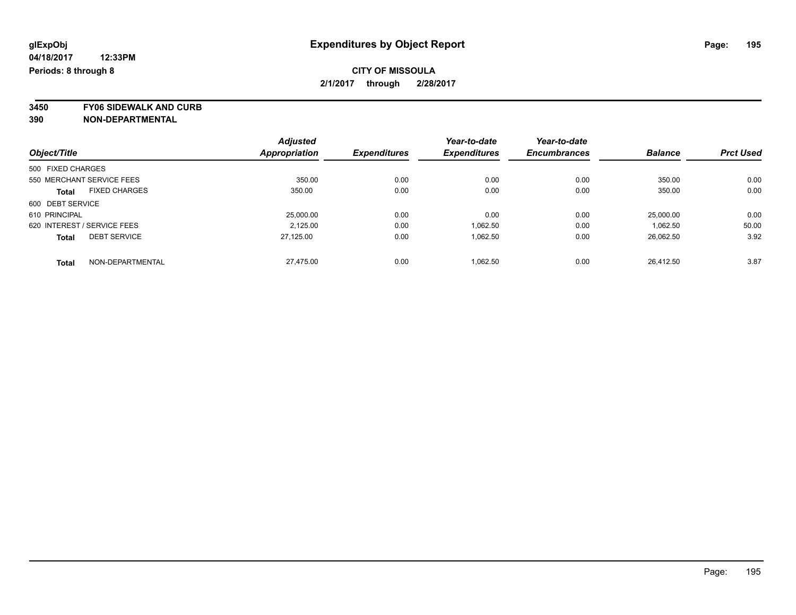### **CITY OF MISSOULA 2/1/2017 through 2/28/2017**

**3450 FY06 SIDEWALK AND CURB**

|                                      | <b>Adjusted</b> |                     | Year-to-date        | Year-to-date        |                |                  |
|--------------------------------------|-----------------|---------------------|---------------------|---------------------|----------------|------------------|
| Object/Title                         | Appropriation   | <b>Expenditures</b> | <b>Expenditures</b> | <b>Encumbrances</b> | <b>Balance</b> | <b>Prct Used</b> |
| 500 FIXED CHARGES                    |                 |                     |                     |                     |                |                  |
| 550 MERCHANT SERVICE FEES            | 350.00          | 0.00                | 0.00                | 0.00                | 350.00         | 0.00             |
| <b>FIXED CHARGES</b><br><b>Total</b> | 350.00          | 0.00                | 0.00                | 0.00                | 350.00         | 0.00             |
| 600 DEBT SERVICE                     |                 |                     |                     |                     |                |                  |
| 610 PRINCIPAL                        | 25,000.00       | 0.00                | 0.00                | 0.00                | 25,000.00      | 0.00             |
| 620 INTEREST / SERVICE FEES          | 2.125.00        | 0.00                | 1,062.50            | 0.00                | 1.062.50       | 50.00            |
| <b>DEBT SERVICE</b><br><b>Total</b>  | 27.125.00       | 0.00                | 1.062.50            | 0.00                | 26,062.50      | 3.92             |
| NON-DEPARTMENTAL<br><b>Total</b>     | 27.475.00       | 0.00                | 1.062.50            | 0.00                | 26.412.50      | 3.87             |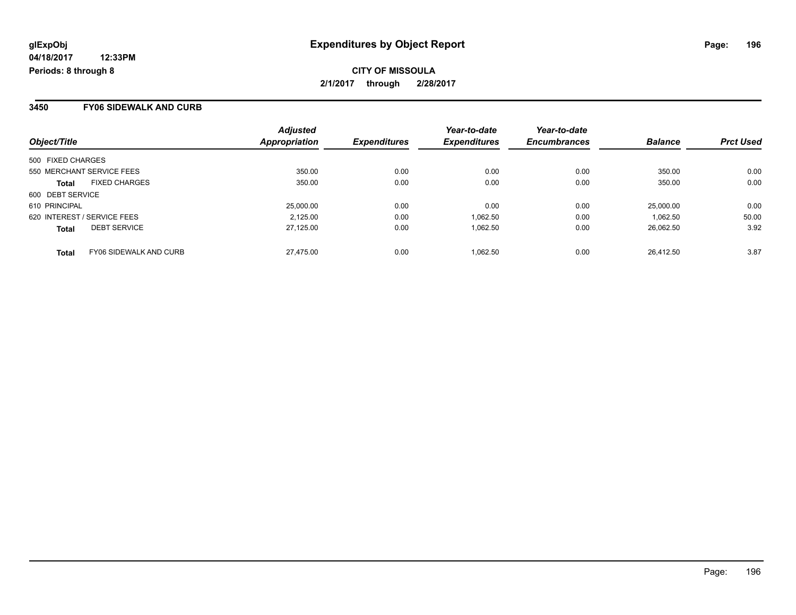**CITY OF MISSOULA 2/1/2017 through 2/28/2017**

#### **3450 FY06 SIDEWALK AND CURB**

| Object/Title                                  | <b>Adjusted</b><br>Appropriation | <b>Expenditures</b> | Year-to-date<br><b>Expenditures</b> | Year-to-date<br><b>Encumbrances</b> | <b>Balance</b> | <b>Prct Used</b> |
|-----------------------------------------------|----------------------------------|---------------------|-------------------------------------|-------------------------------------|----------------|------------------|
| 500 FIXED CHARGES                             |                                  |                     |                                     |                                     |                |                  |
| 550 MERCHANT SERVICE FEES                     | 350.00                           | 0.00                | 0.00                                | 0.00                                | 350.00         | 0.00             |
| <b>FIXED CHARGES</b><br>Total                 | 350.00                           | 0.00                | 0.00                                | 0.00                                | 350.00         | 0.00             |
| 600 DEBT SERVICE                              |                                  |                     |                                     |                                     |                |                  |
| 610 PRINCIPAL                                 | 25,000.00                        | 0.00                | 0.00                                | 0.00                                | 25,000.00      | 0.00             |
| 620 INTEREST / SERVICE FEES                   | 2.125.00                         | 0.00                | 1,062.50                            | 0.00                                | 1.062.50       | 50.00            |
| <b>DEBT SERVICE</b><br><b>Total</b>           | 27.125.00                        | 0.00                | 1.062.50                            | 0.00                                | 26.062.50      | 3.92             |
| <b>FY06 SIDEWALK AND CURB</b><br><b>Total</b> | 27.475.00                        | 0.00                | 1.062.50                            | 0.00                                | 26.412.50      | 3.87             |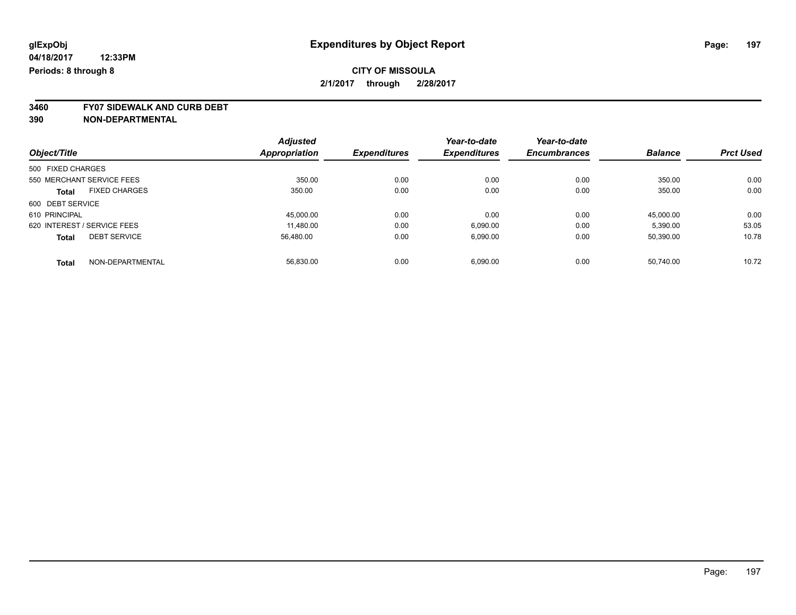**3460 FY07 SIDEWALK AND CURB DEBT**

|                                     | <b>Adjusted</b>      |                     | Year-to-date        | Year-to-date        |                |                  |
|-------------------------------------|----------------------|---------------------|---------------------|---------------------|----------------|------------------|
| Object/Title                        | <b>Appropriation</b> | <b>Expenditures</b> | <b>Expenditures</b> | <b>Encumbrances</b> | <b>Balance</b> | <b>Prct Used</b> |
| 500 FIXED CHARGES                   |                      |                     |                     |                     |                |                  |
| 550 MERCHANT SERVICE FEES           | 350.00               | 0.00                | 0.00                | 0.00                | 350.00         | 0.00             |
| <b>FIXED CHARGES</b><br>Total       | 350.00               | 0.00                | 0.00                | 0.00                | 350.00         | 0.00             |
| 600 DEBT SERVICE                    |                      |                     |                     |                     |                |                  |
| 610 PRINCIPAL                       | 45,000.00            | 0.00                | 0.00                | 0.00                | 45.000.00      | 0.00             |
| 620 INTEREST / SERVICE FEES         | 11.480.00            | 0.00                | 6.090.00            | 0.00                | 5.390.00       | 53.05            |
| <b>DEBT SERVICE</b><br><b>Total</b> | 56.480.00            | 0.00                | 6.090.00            | 0.00                | 50,390.00      | 10.78            |
| NON-DEPARTMENTAL<br>Total           | 56.830.00            | 0.00                | 6.090.00            | 0.00                | 50.740.00      | 10.72            |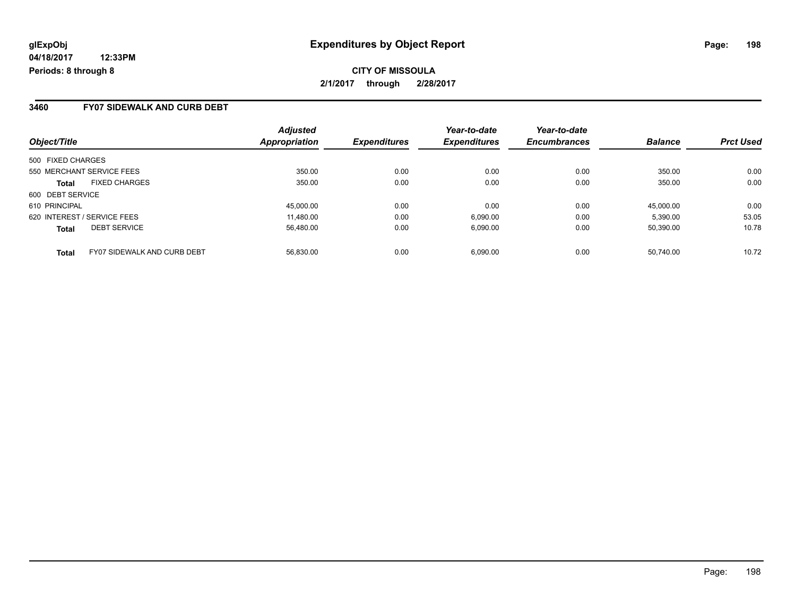**CITY OF MISSOULA 2/1/2017 through 2/28/2017**

#### **3460 FY07 SIDEWALK AND CURB DEBT**

| Object/Title                                       | <b>Adjusted</b><br>Appropriation | <b>Expenditures</b> | Year-to-date<br><b>Expenditures</b> | Year-to-date<br><b>Encumbrances</b> | <b>Balance</b> | <b>Prct Used</b> |
|----------------------------------------------------|----------------------------------|---------------------|-------------------------------------|-------------------------------------|----------------|------------------|
| 500 FIXED CHARGES                                  |                                  |                     |                                     |                                     |                |                  |
| 550 MERCHANT SERVICE FEES                          | 350.00                           | 0.00                | 0.00                                | 0.00                                | 350.00         | 0.00             |
| <b>FIXED CHARGES</b><br><b>Total</b>               | 350.00                           | 0.00                | 0.00                                | 0.00                                | 350.00         | 0.00             |
| 600 DEBT SERVICE                                   |                                  |                     |                                     |                                     |                |                  |
| 610 PRINCIPAL                                      | 45,000.00                        | 0.00                | 0.00                                | 0.00                                | 45.000.00      | 0.00             |
| 620 INTEREST / SERVICE FEES                        | 11.480.00                        | 0.00                | 6.090.00                            | 0.00                                | 5.390.00       | 53.05            |
| <b>DEBT SERVICE</b><br><b>Total</b>                | 56,480.00                        | 0.00                | 6,090.00                            | 0.00                                | 50,390.00      | 10.78            |
| <b>FY07 SIDEWALK AND CURB DEBT</b><br><b>Total</b> | 56.830.00                        | 0.00                | 6.090.00                            | 0.00                                | 50.740.00      | 10.72            |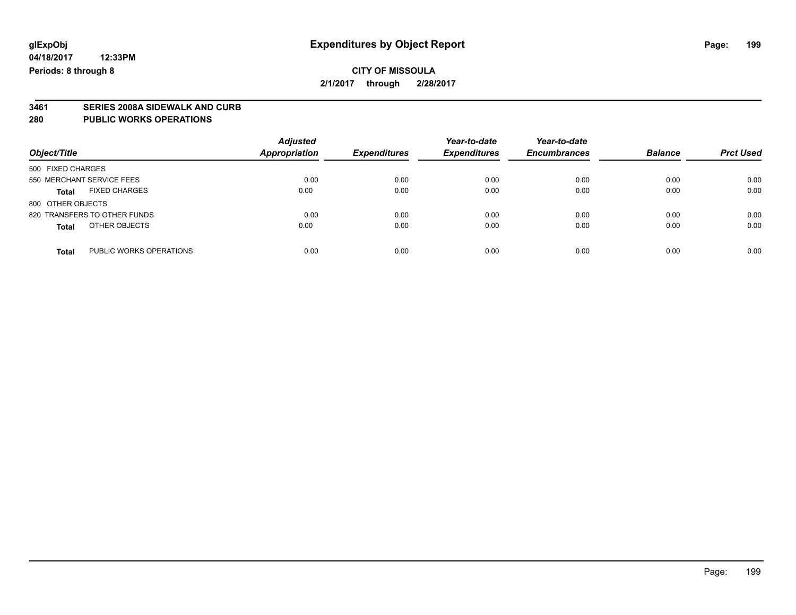**2/1/2017 through 2/28/2017**

# **3461 SERIES 2008A SIDEWALK AND CURB**

#### **280 PUBLIC WORKS OPERATIONS**

| Object/Title                            | <b>Adjusted</b><br><b>Appropriation</b> | <b>Expenditures</b> | Year-to-date<br><b>Expenditures</b> | Year-to-date<br><b>Encumbrances</b> | <b>Balance</b> | <b>Prct Used</b> |
|-----------------------------------------|-----------------------------------------|---------------------|-------------------------------------|-------------------------------------|----------------|------------------|
| 500 FIXED CHARGES                       |                                         |                     |                                     |                                     |                |                  |
| 550 MERCHANT SERVICE FEES               | 0.00                                    | 0.00                | 0.00                                | 0.00                                | 0.00           | 0.00             |
| <b>FIXED CHARGES</b><br><b>Total</b>    | 0.00                                    | 0.00                | 0.00                                | 0.00                                | 0.00           | 0.00             |
| 800 OTHER OBJECTS                       |                                         |                     |                                     |                                     |                |                  |
| 820 TRANSFERS TO OTHER FUNDS            | 0.00                                    | 0.00                | 0.00                                | 0.00                                | 0.00           | 0.00             |
| OTHER OBJECTS<br><b>Total</b>           | 0.00                                    | 0.00                | 0.00                                | 0.00                                | 0.00           | 0.00             |
| PUBLIC WORKS OPERATIONS<br><b>Total</b> | 0.00                                    | 0.00                | 0.00                                | 0.00                                | 0.00           | 0.00             |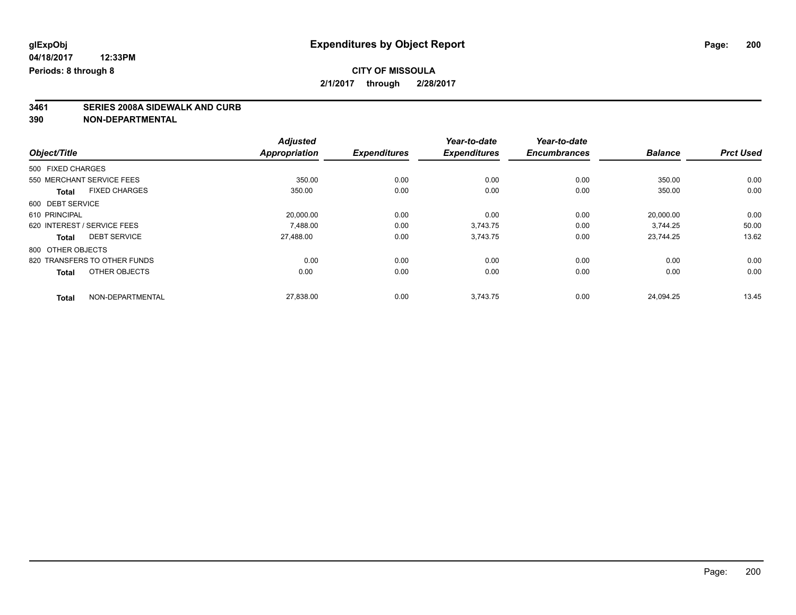# **3461 SERIES 2008A SIDEWALK AND CURB**

|                   |                              | <b>Adjusted</b>      |                     | Year-to-date        | Year-to-date        |                |                  |
|-------------------|------------------------------|----------------------|---------------------|---------------------|---------------------|----------------|------------------|
| Object/Title      |                              | <b>Appropriation</b> | <b>Expenditures</b> | <b>Expenditures</b> | <b>Encumbrances</b> | <b>Balance</b> | <b>Prct Used</b> |
| 500 FIXED CHARGES |                              |                      |                     |                     |                     |                |                  |
|                   | 550 MERCHANT SERVICE FEES    | 350.00               | 0.00                | 0.00                | 0.00                | 350.00         | 0.00             |
| <b>Total</b>      | <b>FIXED CHARGES</b>         | 350.00               | 0.00                | 0.00                | 0.00                | 350.00         | 0.00             |
| 600 DEBT SERVICE  |                              |                      |                     |                     |                     |                |                  |
| 610 PRINCIPAL     |                              | 20,000.00            | 0.00                | 0.00                | 0.00                | 20,000.00      | 0.00             |
|                   | 620 INTEREST / SERVICE FEES  | 7.488.00             | 0.00                | 3.743.75            | 0.00                | 3.744.25       | 50.00            |
| <b>Total</b>      | <b>DEBT SERVICE</b>          | 27,488.00            | 0.00                | 3,743.75            | 0.00                | 23,744.25      | 13.62            |
| 800 OTHER OBJECTS |                              |                      |                     |                     |                     |                |                  |
|                   | 820 TRANSFERS TO OTHER FUNDS | 0.00                 | 0.00                | 0.00                | 0.00                | 0.00           | 0.00             |
| <b>Total</b>      | OTHER OBJECTS                | 0.00                 | 0.00                | 0.00                | 0.00                | 0.00           | 0.00             |
| <b>Total</b>      | NON-DEPARTMENTAL             | 27,838.00            | 0.00                | 3,743.75            | 0.00                | 24,094.25      | 13.45            |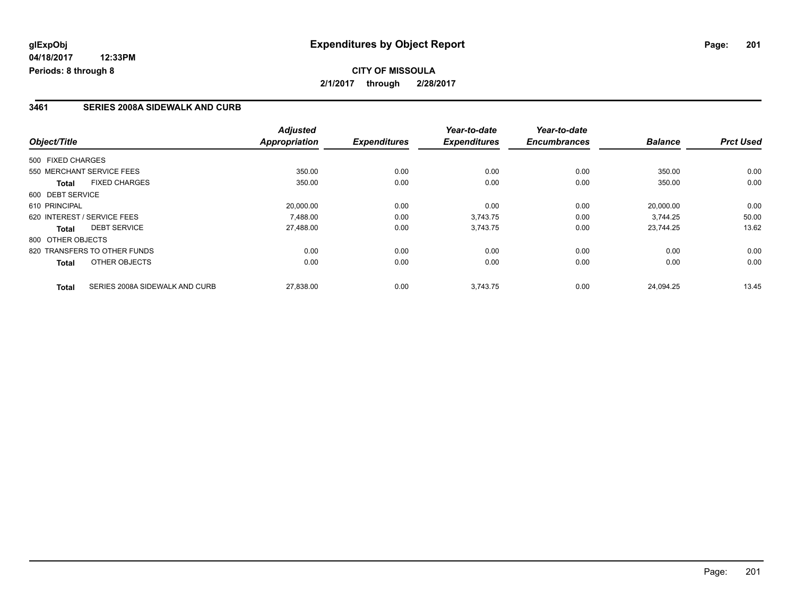### **3461 SERIES 2008A SIDEWALK AND CURB**

|                   |                                | <b>Adjusted</b>      |                     | Year-to-date        | Year-to-date        |                |                  |
|-------------------|--------------------------------|----------------------|---------------------|---------------------|---------------------|----------------|------------------|
| Object/Title      |                                | <b>Appropriation</b> | <b>Expenditures</b> | <b>Expenditures</b> | <b>Encumbrances</b> | <b>Balance</b> | <b>Prct Used</b> |
| 500 FIXED CHARGES |                                |                      |                     |                     |                     |                |                  |
|                   | 550 MERCHANT SERVICE FEES      | 350.00               | 0.00                | 0.00                | 0.00                | 350.00         | 0.00             |
| <b>Total</b>      | <b>FIXED CHARGES</b>           | 350.00               | 0.00                | 0.00                | 0.00                | 350.00         | 0.00             |
| 600 DEBT SERVICE  |                                |                      |                     |                     |                     |                |                  |
| 610 PRINCIPAL     |                                | 20,000.00            | 0.00                | 0.00                | 0.00                | 20.000.00      | 0.00             |
|                   | 620 INTEREST / SERVICE FEES    | 7,488.00             | 0.00                | 3,743.75            | 0.00                | 3,744.25       | 50.00            |
| Total             | <b>DEBT SERVICE</b>            | 27,488.00            | 0.00                | 3,743.75            | 0.00                | 23.744.25      | 13.62            |
| 800 OTHER OBJECTS |                                |                      |                     |                     |                     |                |                  |
|                   | 820 TRANSFERS TO OTHER FUNDS   | 0.00                 | 0.00                | 0.00                | 0.00                | 0.00           | 0.00             |
| Total             | OTHER OBJECTS                  | 0.00                 | 0.00                | 0.00                | 0.00                | 0.00           | 0.00             |
| <b>Total</b>      | SERIES 2008A SIDEWALK AND CURB | 27,838.00            | 0.00                | 3,743.75            | 0.00                | 24.094.25      | 13.45            |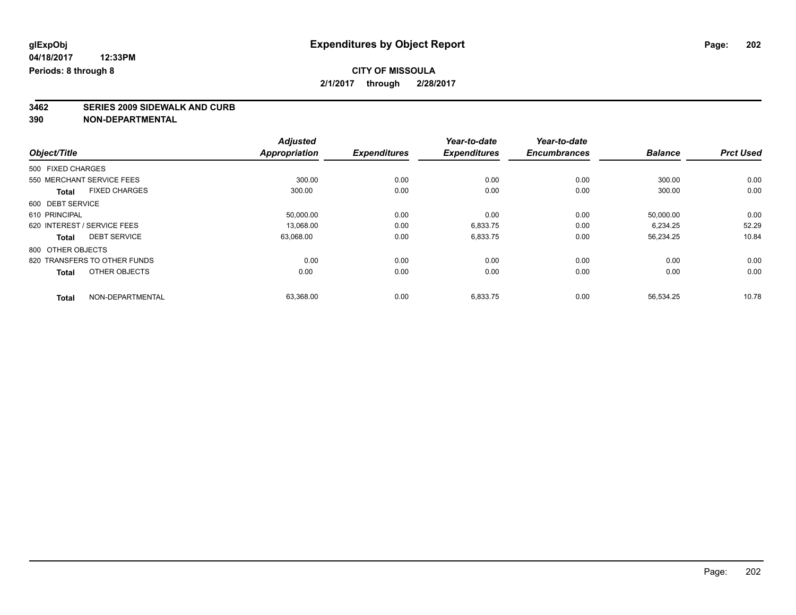### **CITY OF MISSOULA 2/1/2017 through 2/28/2017**

# **3462 SERIES 2009 SIDEWALK AND CURB**

|                   |                              | <b>Adjusted</b>      |                     | Year-to-date        | Year-to-date        |                |                  |
|-------------------|------------------------------|----------------------|---------------------|---------------------|---------------------|----------------|------------------|
| Object/Title      |                              | <b>Appropriation</b> | <b>Expenditures</b> | <b>Expenditures</b> | <b>Encumbrances</b> | <b>Balance</b> | <b>Prct Used</b> |
| 500 FIXED CHARGES |                              |                      |                     |                     |                     |                |                  |
|                   | 550 MERCHANT SERVICE FEES    | 300.00               | 0.00                | 0.00                | 0.00                | 300.00         | 0.00             |
| <b>Total</b>      | <b>FIXED CHARGES</b>         | 300.00               | 0.00                | 0.00                | 0.00                | 300.00         | 0.00             |
| 600 DEBT SERVICE  |                              |                      |                     |                     |                     |                |                  |
| 610 PRINCIPAL     |                              | 50,000.00            | 0.00                | 0.00                | 0.00                | 50,000.00      | 0.00             |
|                   | 620 INTEREST / SERVICE FEES  | 13,068.00            | 0.00                | 6,833.75            | 0.00                | 6,234.25       | 52.29            |
| <b>Total</b>      | <b>DEBT SERVICE</b>          | 63,068.00            | 0.00                | 6,833.75            | 0.00                | 56,234.25      | 10.84            |
| 800 OTHER OBJECTS |                              |                      |                     |                     |                     |                |                  |
|                   | 820 TRANSFERS TO OTHER FUNDS | 0.00                 | 0.00                | 0.00                | 0.00                | 0.00           | 0.00             |
| <b>Total</b>      | OTHER OBJECTS                | 0.00                 | 0.00                | 0.00                | 0.00                | 0.00           | 0.00             |
| <b>Total</b>      | NON-DEPARTMENTAL             | 63,368.00            | 0.00                | 6,833.75            | 0.00                | 56,534.25      | 10.78            |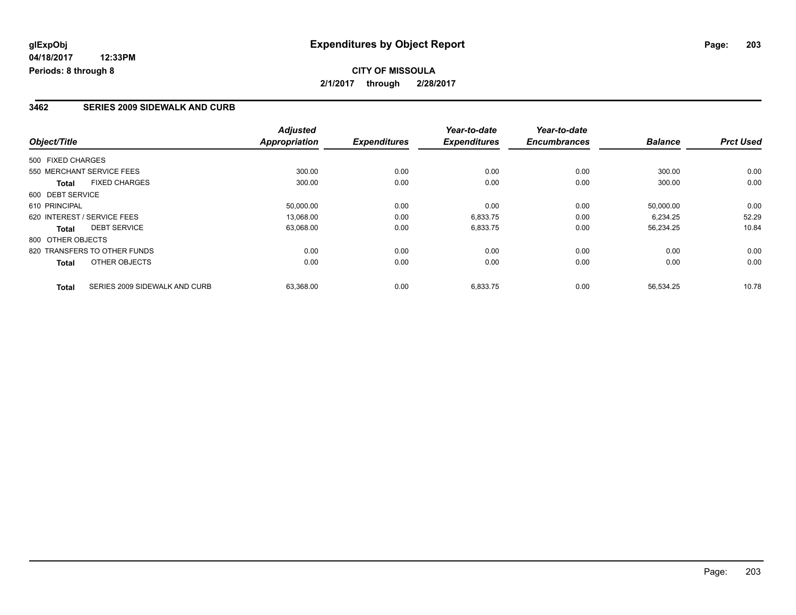#### **3462 SERIES 2009 SIDEWALK AND CURB**

|                   |                               | <b>Adjusted</b>      |                     | Year-to-date        | Year-to-date        |                |                  |
|-------------------|-------------------------------|----------------------|---------------------|---------------------|---------------------|----------------|------------------|
| Object/Title      |                               | <b>Appropriation</b> | <b>Expenditures</b> | <b>Expenditures</b> | <b>Encumbrances</b> | <b>Balance</b> | <b>Prct Used</b> |
| 500 FIXED CHARGES |                               |                      |                     |                     |                     |                |                  |
|                   | 550 MERCHANT SERVICE FEES     | 300.00               | 0.00                | 0.00                | 0.00                | 300.00         | 0.00             |
| <b>Total</b>      | <b>FIXED CHARGES</b>          | 300.00               | 0.00                | 0.00                | 0.00                | 300.00         | 0.00             |
| 600 DEBT SERVICE  |                               |                      |                     |                     |                     |                |                  |
| 610 PRINCIPAL     |                               | 50,000.00            | 0.00                | 0.00                | 0.00                | 50.000.00      | 0.00             |
|                   | 620 INTEREST / SERVICE FEES   | 13,068.00            | 0.00                | 6,833.75            | 0.00                | 6,234.25       | 52.29            |
| Total             | <b>DEBT SERVICE</b>           | 63,068.00            | 0.00                | 6,833.75            | 0.00                | 56,234.25      | 10.84            |
| 800 OTHER OBJECTS |                               |                      |                     |                     |                     |                |                  |
|                   | 820 TRANSFERS TO OTHER FUNDS  | 0.00                 | 0.00                | 0.00                | 0.00                | 0.00           | 0.00             |
| Total             | OTHER OBJECTS                 | 0.00                 | 0.00                | 0.00                | 0.00                | 0.00           | 0.00             |
| <b>Total</b>      | SERIES 2009 SIDEWALK AND CURB | 63,368.00            | 0.00                | 6,833.75            | 0.00                | 56,534.25      | 10.78            |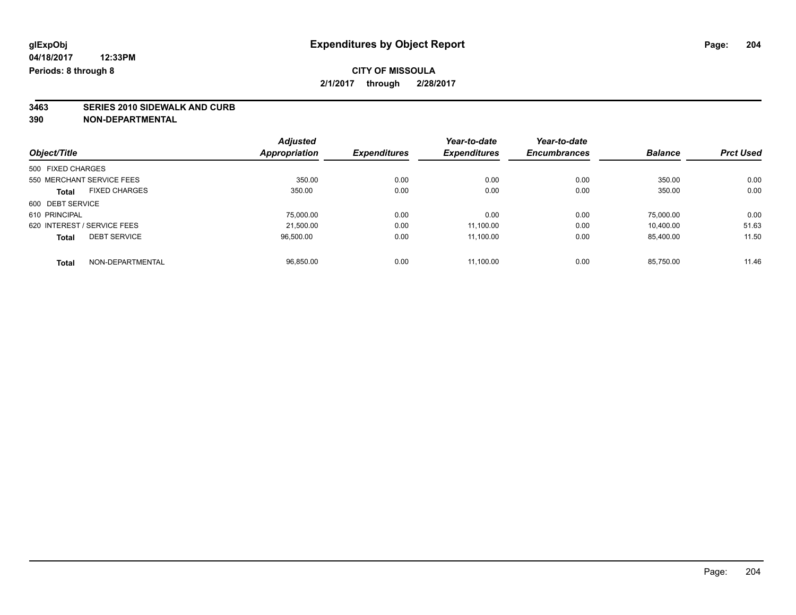**3463 SERIES 2010 SIDEWALK AND CURB**

**390 NON-DEPARTMENTAL**

|                                     | <b>Adjusted</b> |                     | Year-to-date        | Year-to-date        |                |                  |
|-------------------------------------|-----------------|---------------------|---------------------|---------------------|----------------|------------------|
| Object/Title                        | Appropriation   | <b>Expenditures</b> | <b>Expenditures</b> | <b>Encumbrances</b> | <b>Balance</b> | <b>Prct Used</b> |
| 500 FIXED CHARGES                   |                 |                     |                     |                     |                |                  |
| 550 MERCHANT SERVICE FEES           | 350.00          | 0.00                | 0.00                | 0.00                | 350.00         | 0.00             |
| <b>FIXED CHARGES</b><br>Total       | 350.00          | 0.00                | 0.00                | 0.00                | 350.00         | 0.00             |
| 600 DEBT SERVICE                    |                 |                     |                     |                     |                |                  |
| 610 PRINCIPAL                       | 75,000.00       | 0.00                | 0.00                | 0.00                | 75.000.00      | 0.00             |
| 620 INTEREST / SERVICE FEES         | 21.500.00       | 0.00                | 11.100.00           | 0.00                | 10.400.00      | 51.63            |
| <b>DEBT SERVICE</b><br><b>Total</b> | 96,500.00       | 0.00                | 11.100.00           | 0.00                | 85,400.00      | 11.50            |
| NON-DEPARTMENTAL<br><b>Total</b>    | 96.850.00       | 0.00                | 11.100.00           | 0.00                | 85.750.00      | 11.46            |

Page: 204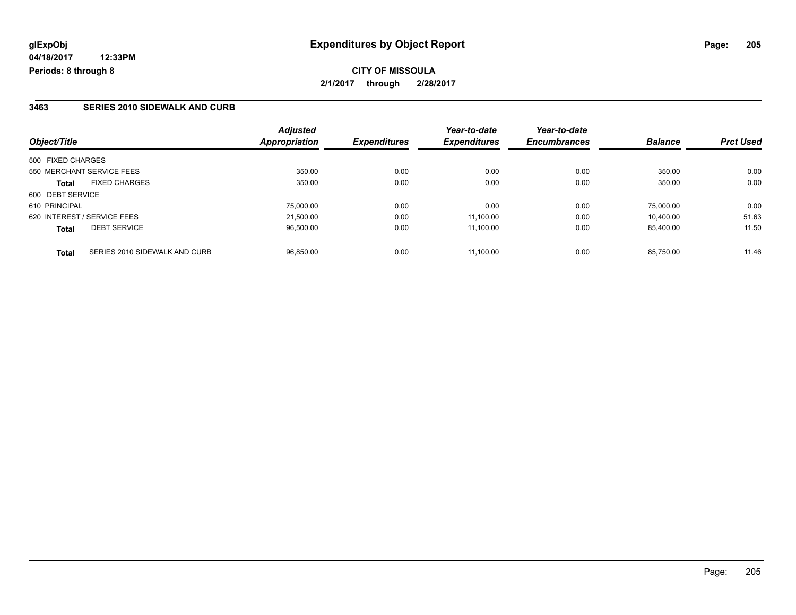### **3463 SERIES 2010 SIDEWALK AND CURB**

| Object/Title                                  | <b>Adjusted</b><br>Appropriation | <b>Expenditures</b> | Year-to-date<br><b>Expenditures</b> | Year-to-date<br><b>Encumbrances</b> | <b>Balance</b> | <b>Prct Used</b> |
|-----------------------------------------------|----------------------------------|---------------------|-------------------------------------|-------------------------------------|----------------|------------------|
| 500 FIXED CHARGES                             |                                  |                     |                                     |                                     |                |                  |
| 550 MERCHANT SERVICE FEES                     | 350.00                           | 0.00                | 0.00                                | 0.00                                | 350.00         | 0.00             |
| <b>FIXED CHARGES</b><br><b>Total</b>          | 350.00                           | 0.00                | 0.00                                | 0.00                                | 350.00         | 0.00             |
| 600 DEBT SERVICE                              |                                  |                     |                                     |                                     |                |                  |
| 610 PRINCIPAL                                 | 75,000.00                        | 0.00                | 0.00                                | 0.00                                | 75.000.00      | 0.00             |
| 620 INTEREST / SERVICE FEES                   | 21.500.00                        | 0.00                | 11.100.00                           | 0.00                                | 10.400.00      | 51.63            |
| <b>DEBT SERVICE</b><br><b>Total</b>           | 96,500.00                        | 0.00                | 11.100.00                           | 0.00                                | 85,400.00      | 11.50            |
| SERIES 2010 SIDEWALK AND CURB<br><b>Total</b> | 96.850.00                        | 0.00                | 11.100.00                           | 0.00                                | 85.750.00      | 11.46            |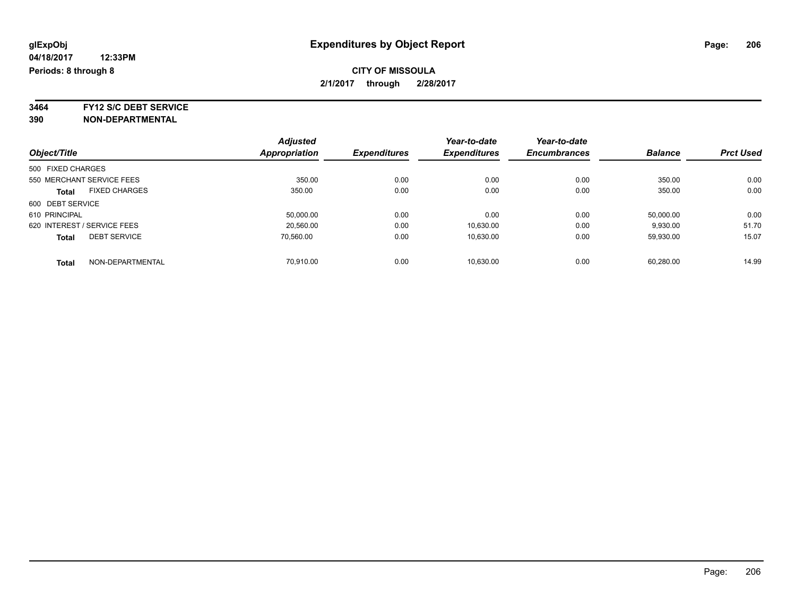### **CITY OF MISSOULA 2/1/2017 through 2/28/2017**

**3464 FY12 S/C DEBT SERVICE**

|                             |                      | <b>Adjusted</b> |                     | Year-to-date        | Year-to-date        |                |                  |
|-----------------------------|----------------------|-----------------|---------------------|---------------------|---------------------|----------------|------------------|
| Object/Title                |                      | Appropriation   | <b>Expenditures</b> | <b>Expenditures</b> | <b>Encumbrances</b> | <b>Balance</b> | <b>Prct Used</b> |
| 500 FIXED CHARGES           |                      |                 |                     |                     |                     |                |                  |
| 550 MERCHANT SERVICE FEES   |                      | 350.00          | 0.00                | 0.00                | 0.00                | 350.00         | 0.00             |
| <b>Total</b>                | <b>FIXED CHARGES</b> | 350.00          | 0.00                | 0.00                | 0.00                | 350.00         | 0.00             |
| 600 DEBT SERVICE            |                      |                 |                     |                     |                     |                |                  |
| 610 PRINCIPAL               |                      | 50.000.00       | 0.00                | 0.00                | 0.00                | 50.000.00      | 0.00             |
| 620 INTEREST / SERVICE FEES |                      | 20.560.00       | 0.00                | 10,630.00           | 0.00                | 9,930.00       | 51.70            |
| <b>Total</b>                | <b>DEBT SERVICE</b>  | 70.560.00       | 0.00                | 10.630.00           | 0.00                | 59.930.00      | 15.07            |
| <b>Total</b>                | NON-DEPARTMENTAL     | 70.910.00       | 0.00                | 10.630.00           | 0.00                | 60.280.00      | 14.99            |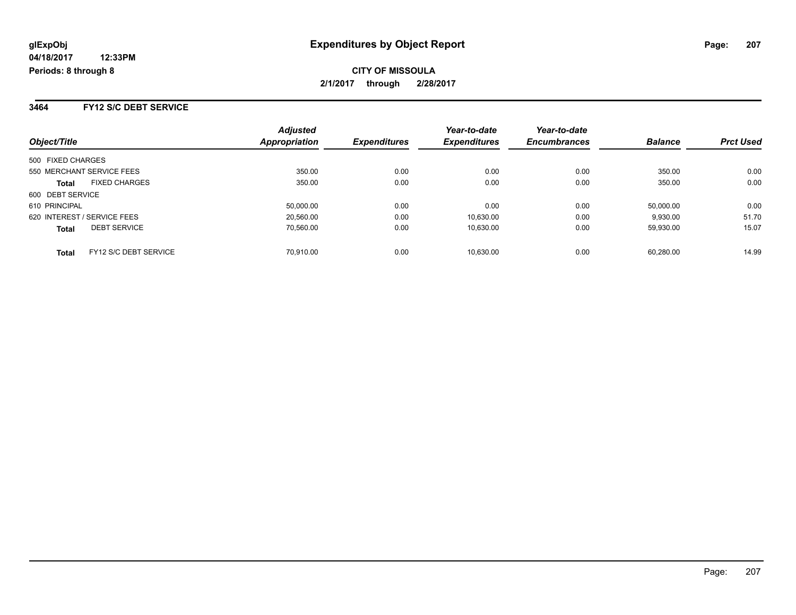**CITY OF MISSOULA 2/1/2017 through 2/28/2017**

**3464 FY12 S/C DEBT SERVICE**

| Object/Title                          | <b>Adjusted</b><br>Appropriation | <b>Expenditures</b> | Year-to-date<br><b>Expenditures</b> | Year-to-date<br><b>Encumbrances</b> | <b>Balance</b> | <b>Prct Used</b> |
|---------------------------------------|----------------------------------|---------------------|-------------------------------------|-------------------------------------|----------------|------------------|
| 500 FIXED CHARGES                     |                                  |                     |                                     |                                     |                |                  |
| 550 MERCHANT SERVICE FEES             | 350.00                           | 0.00                | 0.00                                | 0.00                                | 350.00         | 0.00             |
| <b>FIXED CHARGES</b><br><b>Total</b>  | 350.00                           | 0.00                | 0.00                                | 0.00                                | 350.00         | 0.00             |
| 600 DEBT SERVICE                      |                                  |                     |                                     |                                     |                |                  |
| 610 PRINCIPAL                         | 50,000.00                        | 0.00                | 0.00                                | 0.00                                | 50,000.00      | 0.00             |
| 620 INTEREST / SERVICE FEES           | 20,560.00                        | 0.00                | 10,630.00                           | 0.00                                | 9,930.00       | 51.70            |
| <b>DEBT SERVICE</b><br><b>Total</b>   | 70,560.00                        | 0.00                | 10,630.00                           | 0.00                                | 59,930.00      | 15.07            |
| FY12 S/C DEBT SERVICE<br><b>Total</b> | 70.910.00                        | 0.00                | 10.630.00                           | 0.00                                | 60.280.00      | 14.99            |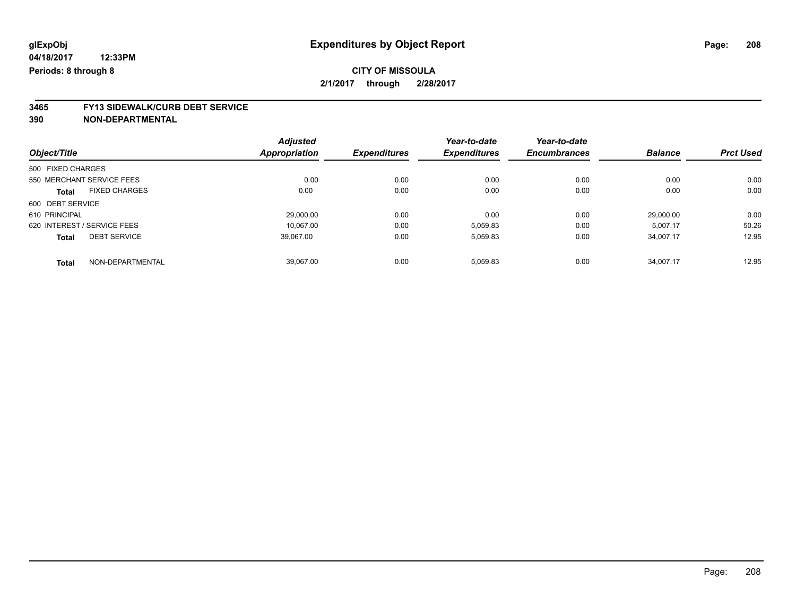# **3465 FY13 SIDEWALK/CURB DEBT SERVICE**

|                                      | <b>Adjusted</b> |                     | Year-to-date        | Year-to-date        |                |                  |
|--------------------------------------|-----------------|---------------------|---------------------|---------------------|----------------|------------------|
| Object/Title                         | Appropriation   | <b>Expenditures</b> | <b>Expenditures</b> | <b>Encumbrances</b> | <b>Balance</b> | <b>Prct Used</b> |
| 500 FIXED CHARGES                    |                 |                     |                     |                     |                |                  |
| 550 MERCHANT SERVICE FEES            | 0.00            | 0.00                | 0.00                | 0.00                | 0.00           | 0.00             |
| <b>FIXED CHARGES</b><br><b>Total</b> | 0.00            | 0.00                | 0.00                | 0.00                | 0.00           | 0.00             |
| 600 DEBT SERVICE                     |                 |                     |                     |                     |                |                  |
| 610 PRINCIPAL                        | 29,000.00       | 0.00                | 0.00                | 0.00                | 29.000.00      | 0.00             |
| 620 INTEREST / SERVICE FEES          | 10.067.00       | 0.00                | 5.059.83            | 0.00                | 5.007.17       | 50.26            |
| <b>DEBT SERVICE</b><br><b>Total</b>  | 39,067.00       | 0.00                | 5,059.83            | 0.00                | 34,007.17      | 12.95            |
| NON-DEPARTMENTAL<br><b>Total</b>     | 39.067.00       | 0.00                | 5.059.83            | 0.00                | 34.007.17      | 12.95            |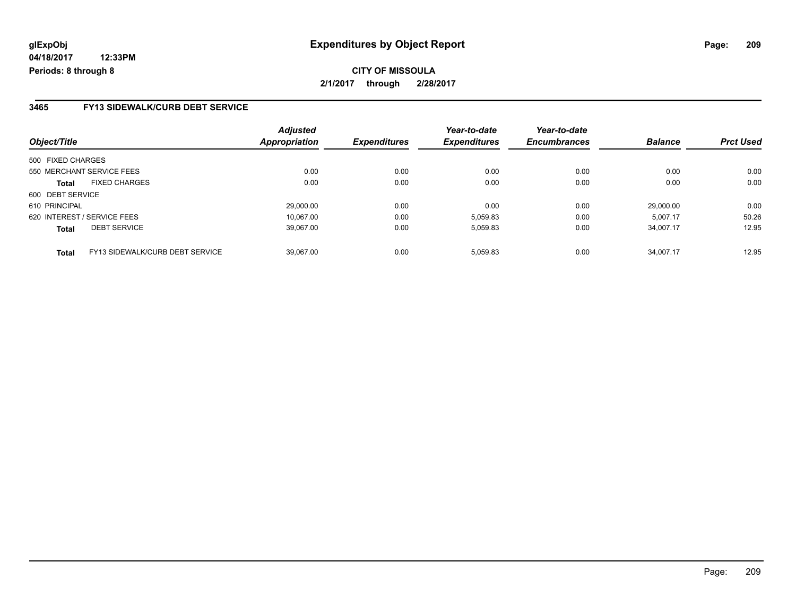### **CITY OF MISSOULA 2/1/2017 through 2/28/2017**

#### **3465 FY13 SIDEWALK/CURB DEBT SERVICE**

| Object/Title                                    | <b>Adjusted</b><br><b>Appropriation</b> | <b>Expenditures</b> | Year-to-date<br><b>Expenditures</b> | Year-to-date<br><b>Encumbrances</b> | <b>Balance</b> | <b>Prct Used</b> |
|-------------------------------------------------|-----------------------------------------|---------------------|-------------------------------------|-------------------------------------|----------------|------------------|
| 500 FIXED CHARGES                               |                                         |                     |                                     |                                     |                |                  |
| 550 MERCHANT SERVICE FEES                       | 0.00                                    | 0.00                | 0.00                                | 0.00                                | 0.00           | 0.00             |
| <b>FIXED CHARGES</b><br><b>Total</b>            | 0.00                                    | 0.00                | 0.00                                | 0.00                                | 0.00           | 0.00             |
| 600 DEBT SERVICE                                |                                         |                     |                                     |                                     |                |                  |
| 610 PRINCIPAL                                   | 29,000.00                               | 0.00                | 0.00                                | 0.00                                | 29.000.00      | 0.00             |
| 620 INTEREST / SERVICE FEES                     | 10.067.00                               | 0.00                | 5.059.83                            | 0.00                                | 5.007.17       | 50.26            |
| <b>DEBT SERVICE</b><br><b>Total</b>             | 39.067.00                               | 0.00                | 5,059.83                            | 0.00                                | 34.007.17      | 12.95            |
| FY13 SIDEWALK/CURB DEBT SERVICE<br><b>Total</b> | 39.067.00                               | 0.00                | 5.059.83                            | 0.00                                | 34.007.17      | 12.95            |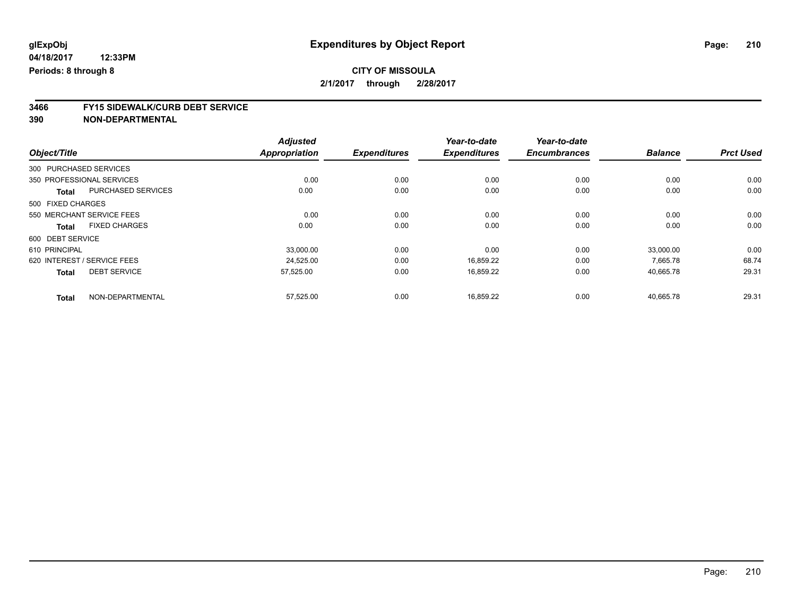# **3466 FY15 SIDEWALK/CURB DEBT SERVICE**

|                                     |                           | <b>Adjusted</b>      |                     | Year-to-date        | Year-to-date        |                |                  |
|-------------------------------------|---------------------------|----------------------|---------------------|---------------------|---------------------|----------------|------------------|
| Object/Title                        |                           | <b>Appropriation</b> | <b>Expenditures</b> | <b>Expenditures</b> | <b>Encumbrances</b> | <b>Balance</b> | <b>Prct Used</b> |
| 300 PURCHASED SERVICES              |                           |                      |                     |                     |                     |                |                  |
| 350 PROFESSIONAL SERVICES           |                           | 0.00                 | 0.00                | 0.00                | 0.00                | 0.00           | 0.00             |
| <b>Total</b>                        | <b>PURCHASED SERVICES</b> | 0.00                 | 0.00                | 0.00                | 0.00                | 0.00           | 0.00             |
| 500 FIXED CHARGES                   |                           |                      |                     |                     |                     |                |                  |
| 550 MERCHANT SERVICE FEES           |                           | 0.00                 | 0.00                | 0.00                | 0.00                | 0.00           | 0.00             |
| <b>Total</b>                        | <b>FIXED CHARGES</b>      | 0.00                 | 0.00                | 0.00                | 0.00                | 0.00           | 0.00             |
| 600 DEBT SERVICE                    |                           |                      |                     |                     |                     |                |                  |
| 610 PRINCIPAL                       |                           | 33,000.00            | 0.00                | 0.00                | 0.00                | 33,000.00      | 0.00             |
| 620 INTEREST / SERVICE FEES         |                           | 24,525.00            | 0.00                | 16,859.22           | 0.00                | 7,665.78       | 68.74            |
| <b>DEBT SERVICE</b><br><b>Total</b> |                           | 57,525.00            | 0.00                | 16,859.22           | 0.00                | 40,665.78      | 29.31            |
| <b>Total</b>                        | NON-DEPARTMENTAL          | 57,525.00            | 0.00                | 16,859.22           | 0.00                | 40,665.78      | 29.31            |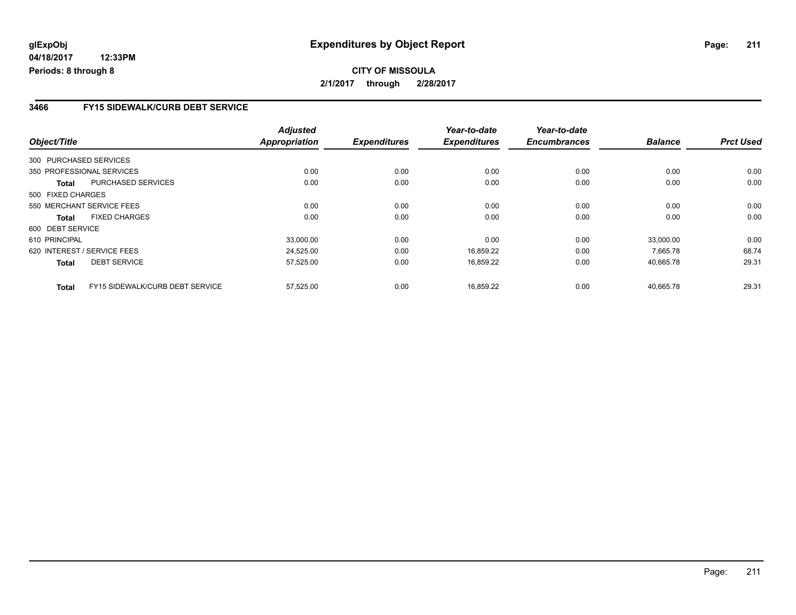### **3466 FY15 SIDEWALK/CURB DEBT SERVICE**

|                        |                                 | <b>Adjusted</b> |                     | Year-to-date        | Year-to-date        |                |                  |
|------------------------|---------------------------------|-----------------|---------------------|---------------------|---------------------|----------------|------------------|
| Object/Title           |                                 | Appropriation   | <b>Expenditures</b> | <b>Expenditures</b> | <b>Encumbrances</b> | <b>Balance</b> | <b>Prct Used</b> |
| 300 PURCHASED SERVICES |                                 |                 |                     |                     |                     |                |                  |
|                        | 350 PROFESSIONAL SERVICES       | 0.00            | 0.00                | 0.00                | 0.00                | 0.00           | 0.00             |
| Total                  | <b>PURCHASED SERVICES</b>       | 0.00            | 0.00                | 0.00                | 0.00                | 0.00           | 0.00             |
| 500 FIXED CHARGES      |                                 |                 |                     |                     |                     |                |                  |
|                        | 550 MERCHANT SERVICE FEES       | 0.00            | 0.00                | 0.00                | 0.00                | 0.00           | 0.00             |
| <b>Total</b>           | <b>FIXED CHARGES</b>            | 0.00            | 0.00                | 0.00                | 0.00                | 0.00           | 0.00             |
| 600 DEBT SERVICE       |                                 |                 |                     |                     |                     |                |                  |
| 610 PRINCIPAL          |                                 | 33,000.00       | 0.00                | 0.00                | 0.00                | 33,000.00      | 0.00             |
|                        | 620 INTEREST / SERVICE FEES     | 24.525.00       | 0.00                | 16.859.22           | 0.00                | 7.665.78       | 68.74            |
| Total                  | <b>DEBT SERVICE</b>             | 57,525.00       | 0.00                | 16,859.22           | 0.00                | 40,665.78      | 29.31            |
| <b>Total</b>           | FY15 SIDEWALK/CURB DEBT SERVICE | 57,525.00       | 0.00                | 16.859.22           | 0.00                | 40.665.78      | 29.31            |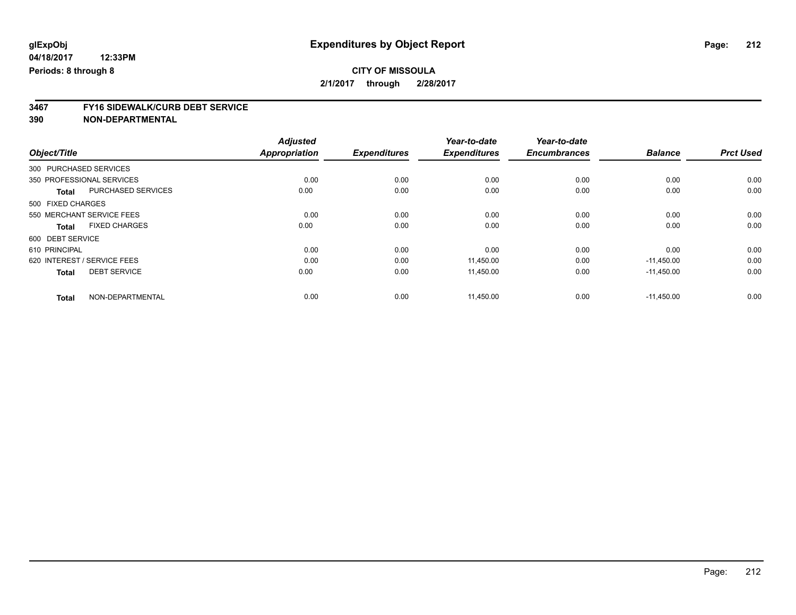# **3467 FY16 SIDEWALK/CURB DEBT SERVICE**

|                                           | <b>Adjusted</b>      |                     | Year-to-date        | Year-to-date        |                |                  |
|-------------------------------------------|----------------------|---------------------|---------------------|---------------------|----------------|------------------|
| Object/Title                              | <b>Appropriation</b> | <b>Expenditures</b> | <b>Expenditures</b> | <b>Encumbrances</b> | <b>Balance</b> | <b>Prct Used</b> |
| 300 PURCHASED SERVICES                    |                      |                     |                     |                     |                |                  |
| 350 PROFESSIONAL SERVICES                 | 0.00                 | 0.00                | 0.00                | 0.00                | 0.00           | 0.00             |
| <b>PURCHASED SERVICES</b><br><b>Total</b> | 0.00                 | 0.00                | 0.00                | 0.00                | 0.00           | 0.00             |
| 500 FIXED CHARGES                         |                      |                     |                     |                     |                |                  |
| 550 MERCHANT SERVICE FEES                 | 0.00                 | 0.00                | 0.00                | 0.00                | 0.00           | 0.00             |
| <b>FIXED CHARGES</b><br><b>Total</b>      | 0.00                 | 0.00                | 0.00                | 0.00                | 0.00           | 0.00             |
| 600 DEBT SERVICE                          |                      |                     |                     |                     |                |                  |
| 610 PRINCIPAL                             | 0.00                 | 0.00                | 0.00                | 0.00                | 0.00           | 0.00             |
| 620 INTEREST / SERVICE FEES               | 0.00                 | 0.00                | 11,450.00           | 0.00                | $-11,450.00$   | 0.00             |
| <b>DEBT SERVICE</b><br><b>Total</b>       | 0.00                 | 0.00                | 11,450.00           | 0.00                | $-11,450.00$   | 0.00             |
| NON-DEPARTMENTAL<br><b>Total</b>          | 0.00                 | 0.00                | 11,450.00           | 0.00                | $-11,450.00$   | 0.00             |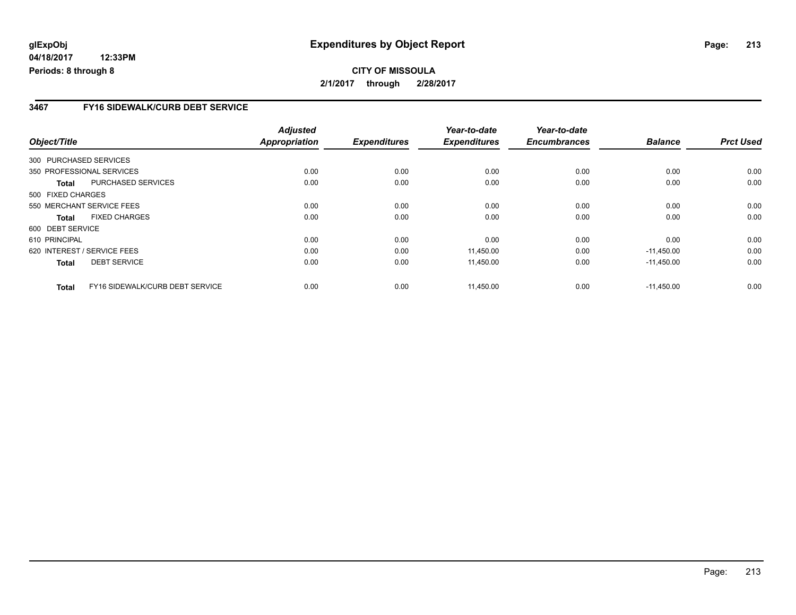**04/18/2017 12:33PM Periods: 8 through 8**

#### **3467 FY16 SIDEWALK/CURB DEBT SERVICE**

| Object/Title           |                                 | <b>Adjusted</b><br>Appropriation | <b>Expenditures</b> | Year-to-date<br><b>Expenditures</b> | Year-to-date<br><b>Encumbrances</b> | <b>Balance</b> | <b>Prct Used</b> |
|------------------------|---------------------------------|----------------------------------|---------------------|-------------------------------------|-------------------------------------|----------------|------------------|
|                        |                                 |                                  |                     |                                     |                                     |                |                  |
| 300 PURCHASED SERVICES |                                 |                                  |                     |                                     |                                     |                |                  |
|                        | 350 PROFESSIONAL SERVICES       | 0.00                             | 0.00                | 0.00                                | 0.00                                | 0.00           | 0.00             |
| Total                  | PURCHASED SERVICES              | 0.00                             | 0.00                | 0.00                                | 0.00                                | 0.00           | 0.00             |
| 500 FIXED CHARGES      |                                 |                                  |                     |                                     |                                     |                |                  |
|                        | 550 MERCHANT SERVICE FEES       | 0.00                             | 0.00                | 0.00                                | 0.00                                | 0.00           | 0.00             |
| <b>Total</b>           | <b>FIXED CHARGES</b>            | 0.00                             | 0.00                | 0.00                                | 0.00                                | 0.00           | 0.00             |
| 600 DEBT SERVICE       |                                 |                                  |                     |                                     |                                     |                |                  |
| 610 PRINCIPAL          |                                 | 0.00                             | 0.00                | 0.00                                | 0.00                                | 0.00           | 0.00             |
|                        | 620 INTEREST / SERVICE FEES     | 0.00                             | 0.00                | 11,450.00                           | 0.00                                | $-11,450.00$   | 0.00             |
| <b>Total</b>           | <b>DEBT SERVICE</b>             | 0.00                             | 0.00                | 11,450.00                           | 0.00                                | $-11,450.00$   | 0.00             |
| <b>Total</b>           | FY16 SIDEWALK/CURB DEBT SERVICE | 0.00                             | 0.00                | 11.450.00                           | 0.00                                | $-11,450.00$   | 0.00             |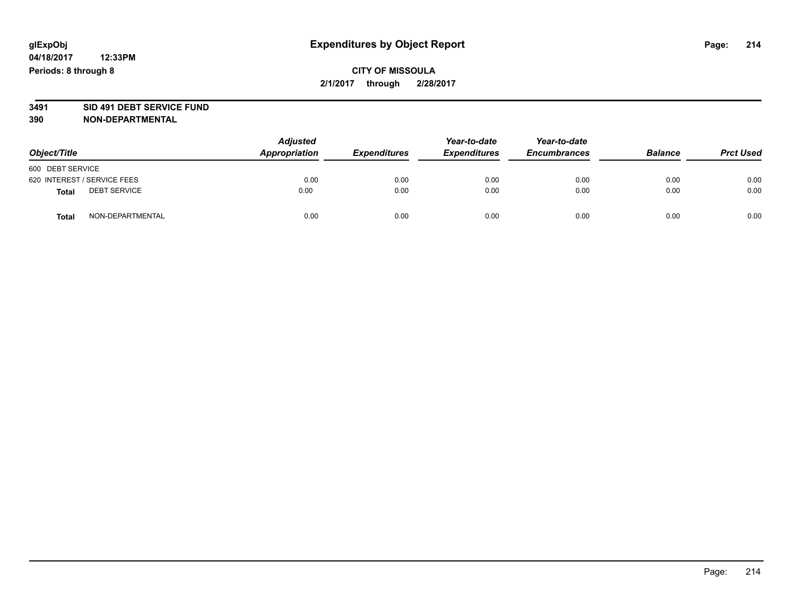### **CITY OF MISSOULA 2/1/2017 through 2/28/2017**

# **3491 SID 491 DEBT SERVICE FUND**

| Object/Title                 | <b>Adjusted</b><br>Appropriation | <b>Expenditures</b> | Year-to-date<br><b>Expenditures</b> | Year-to-date<br><b>Encumbrances</b> | <b>Balance</b> | <b>Prct Used</b> |
|------------------------------|----------------------------------|---------------------|-------------------------------------|-------------------------------------|----------------|------------------|
| 600 DEBT SERVICE             |                                  |                     |                                     |                                     |                |                  |
| 620 INTEREST / SERVICE FEES  | 0.00                             | 0.00                | 0.00                                | 0.00                                | 0.00           | 0.00             |
| <b>DEBT SERVICE</b><br>Total | 0.00                             | 0.00                | 0.00                                | 0.00                                | 0.00           | 0.00             |
| NON-DEPARTMENTAL<br>Total    | 0.00                             | 0.00                | 0.00                                | 0.00                                | 0.00           | 0.00             |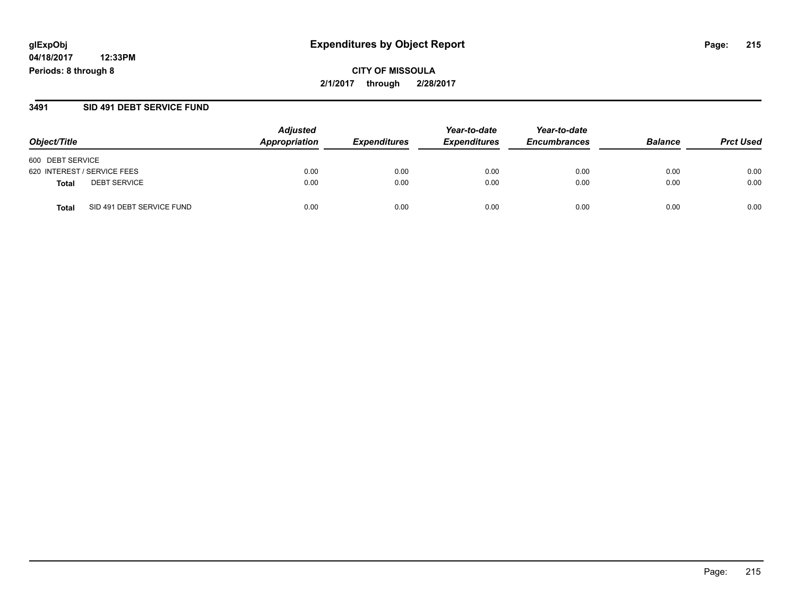**04/18/2017 12:33PM Periods: 8 through 8**

#### **3491 SID 491 DEBT SERVICE FUND**

| Object/Title                       | <b>Adjusted</b><br>Appropriation | <i><b>Expenditures</b></i> | Year-to-date<br><b>Expenditures</b> | Year-to-date<br><b>Encumbrances</b> | <b>Balance</b> | <b>Prct Used</b> |
|------------------------------------|----------------------------------|----------------------------|-------------------------------------|-------------------------------------|----------------|------------------|
| 600 DEBT SERVICE                   |                                  |                            |                                     |                                     |                |                  |
| 620 INTEREST / SERVICE FEES        | 0.00                             | 0.00                       | 0.00                                | 0.00                                | 0.00           | 0.00             |
| <b>DEBT SERVICE</b><br>Total       | 0.00                             | 0.00                       | 0.00                                | 0.00                                | 0.00           | 0.00             |
| SID 491 DEBT SERVICE FUND<br>Total | 0.00                             | 0.00                       | 0.00                                | 0.00                                | 0.00           | 0.00             |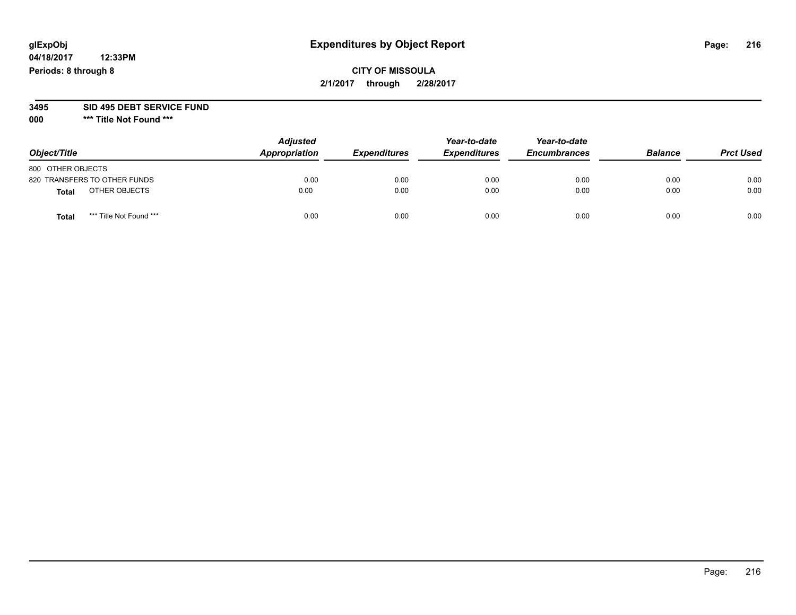**04/18/2017 12:33PM Periods: 8 through 8**

**000 \*\*\* Title Not Found \*\*\***

| Object/Title      |                              | <b>Adjusted</b><br>Appropriation | <b>Expenditures</b> | Year-to-date<br><b>Expenditures</b> | Year-to-date<br><b>Encumbrances</b> | <b>Balance</b> | <b>Prct Used</b> |
|-------------------|------------------------------|----------------------------------|---------------------|-------------------------------------|-------------------------------------|----------------|------------------|
| 800 OTHER OBJECTS |                              |                                  |                     |                                     |                                     |                |                  |
|                   | 820 TRANSFERS TO OTHER FUNDS | 0.00                             | 0.00                | 0.00                                | 0.00                                | 0.00           | 0.00             |
| <b>Total</b>      | OTHER OBJECTS                | 0.00                             | 0.00                | 0.00                                | 0.00                                | 0.00           | 0.00             |
| <b>Total</b>      | *** Title Not Found ***      | 0.00                             | 0.00                | 0.00                                | 0.00                                | 0.00           | 0.00             |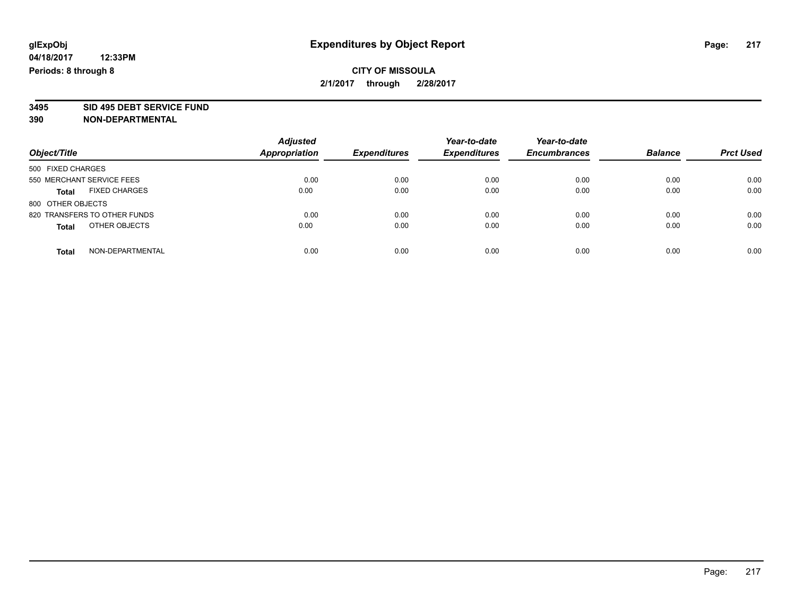## **CITY OF MISSOULA 2/1/2017 through 2/28/2017**

# **3495 SID 495 DEBT SERVICE FUND**

| Object/Title                  | <b>Adjusted</b><br>Appropriation | <b>Expenditures</b> | Year-to-date<br><b>Expenditures</b> | Year-to-date<br><b>Encumbrances</b> | <b>Balance</b> | <b>Prct Used</b> |
|-------------------------------|----------------------------------|---------------------|-------------------------------------|-------------------------------------|----------------|------------------|
| 500 FIXED CHARGES             |                                  |                     |                                     |                                     |                |                  |
| 550 MERCHANT SERVICE FEES     | 0.00                             | 0.00                | 0.00                                | 0.00                                | 0.00           | 0.00             |
| <b>FIXED CHARGES</b><br>Total | 0.00                             | 0.00                | 0.00                                | 0.00                                | 0.00           | 0.00             |
| 800 OTHER OBJECTS             |                                  |                     |                                     |                                     |                |                  |
| 820 TRANSFERS TO OTHER FUNDS  | 0.00                             | 0.00                | 0.00                                | 0.00                                | 0.00           | 0.00             |
| OTHER OBJECTS<br><b>Total</b> | 0.00                             | 0.00                | 0.00                                | 0.00                                | 0.00           | 0.00             |
| NON-DEPARTMENTAL<br>Total     | 0.00                             | 0.00                | 0.00                                | 0.00                                | 0.00           | 0.00             |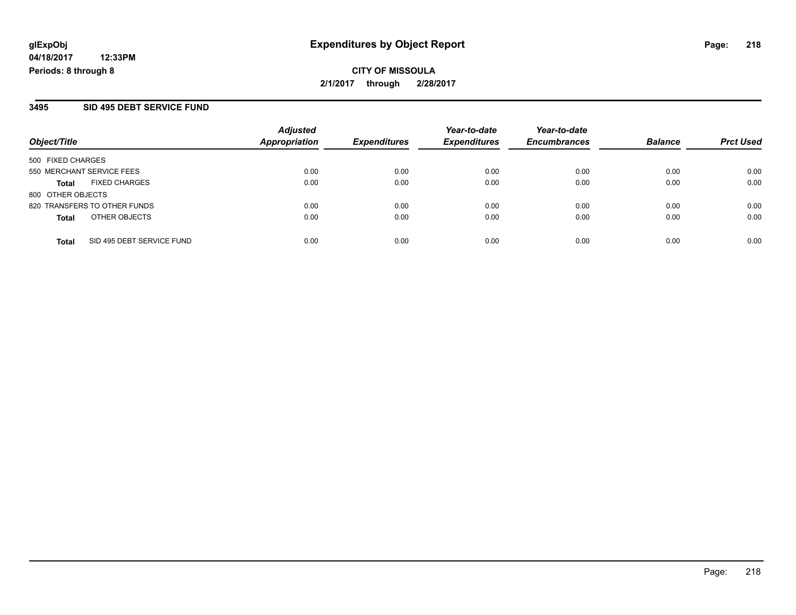**CITY OF MISSOULA 2/1/2017 through 2/28/2017**

#### **3495 SID 495 DEBT SERVICE FUND**

| Object/Title                              | <b>Adjusted</b><br>Appropriation | <b>Expenditures</b> | Year-to-date<br><b>Expenditures</b> | Year-to-date<br><b>Encumbrances</b> | <b>Balance</b> | <b>Prct Used</b> |
|-------------------------------------------|----------------------------------|---------------------|-------------------------------------|-------------------------------------|----------------|------------------|
| 500 FIXED CHARGES                         |                                  |                     |                                     |                                     |                |                  |
| 550 MERCHANT SERVICE FEES                 | 0.00                             | 0.00                | 0.00                                | 0.00                                | 0.00           | 0.00             |
| <b>FIXED CHARGES</b><br><b>Total</b>      | 0.00                             | 0.00                | 0.00                                | 0.00                                | 0.00           | 0.00             |
| 800 OTHER OBJECTS                         |                                  |                     |                                     |                                     |                |                  |
| 820 TRANSFERS TO OTHER FUNDS              | 0.00                             | 0.00                | 0.00                                | 0.00                                | 0.00           | 0.00             |
| OTHER OBJECTS<br><b>Total</b>             | 0.00                             | 0.00                | 0.00                                | 0.00                                | 0.00           | 0.00             |
| SID 495 DEBT SERVICE FUND<br><b>Total</b> | 0.00                             | 0.00                | 0.00                                | 0.00                                | 0.00           | 0.00             |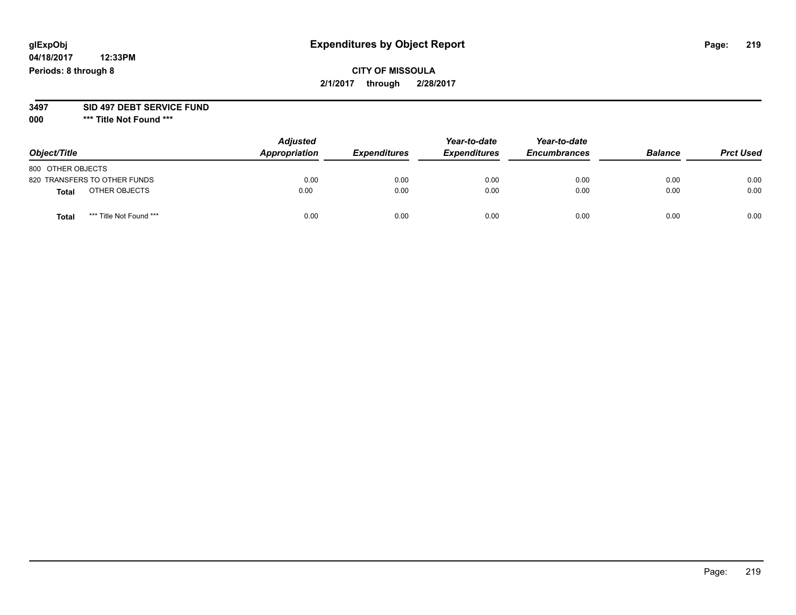**04/18/2017 12:33PM Periods: 8 through 8**

#### **3497 SID 497 DEBT SERVICE FUND**

| Object/Title                     | <b>Adjusted</b><br>Appropriation | <b>Expenditures</b> | Year-to-date<br><b>Expenditures</b> | Year-to-date<br><b>Encumbrances</b> | <b>Balance</b> | <b>Prct Used</b> |
|----------------------------------|----------------------------------|---------------------|-------------------------------------|-------------------------------------|----------------|------------------|
| 800 OTHER OBJECTS                |                                  |                     |                                     |                                     |                |                  |
| 820 TRANSFERS TO OTHER FUNDS     | 0.00                             | 0.00                | 0.00                                | 0.00                                | 0.00           | 0.00             |
| OTHER OBJECTS<br><b>Total</b>    | 0.00                             | 0.00                | 0.00                                | 0.00                                | 0.00           | 0.00             |
| *** Title Not Found ***<br>Total | 0.00                             | 0.00                | 0.00                                | 0.00                                | 0.00           | 0.00             |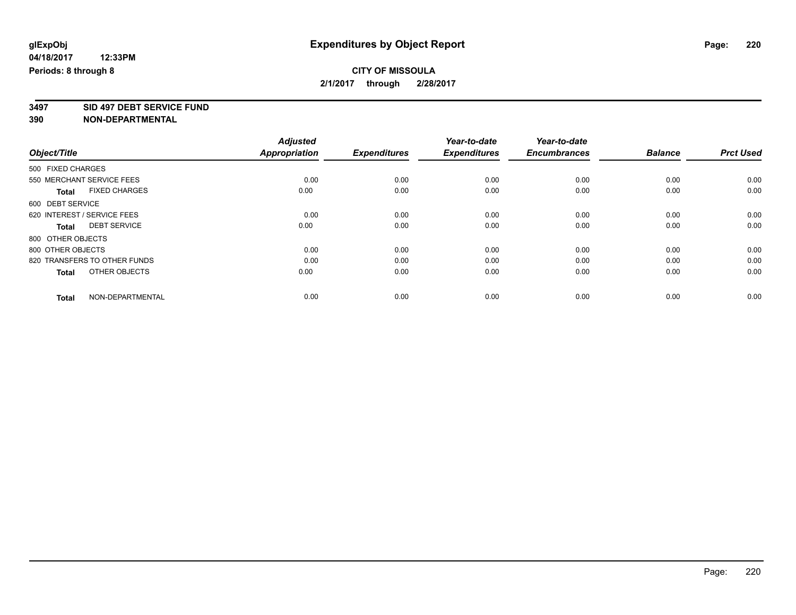## **CITY OF MISSOULA 2/1/2017 through 2/28/2017**

**3497 SID 497 DEBT SERVICE FUND**

|                                      | <b>Adjusted</b>      |                     | Year-to-date        | Year-to-date        |                |                  |
|--------------------------------------|----------------------|---------------------|---------------------|---------------------|----------------|------------------|
| Object/Title                         | <b>Appropriation</b> | <b>Expenditures</b> | <b>Expenditures</b> | <b>Encumbrances</b> | <b>Balance</b> | <b>Prct Used</b> |
| 500 FIXED CHARGES                    |                      |                     |                     |                     |                |                  |
| 550 MERCHANT SERVICE FEES            | 0.00                 | 0.00                | 0.00                | 0.00                | 0.00           | 0.00             |
| <b>FIXED CHARGES</b><br><b>Total</b> | 0.00                 | 0.00                | 0.00                | 0.00                | 0.00           | 0.00             |
| 600 DEBT SERVICE                     |                      |                     |                     |                     |                |                  |
| 620 INTEREST / SERVICE FEES          | 0.00                 | 0.00                | 0.00                | 0.00                | 0.00           | 0.00             |
| <b>DEBT SERVICE</b><br><b>Total</b>  | 0.00                 | 0.00                | 0.00                | 0.00                | 0.00           | 0.00             |
| 800 OTHER OBJECTS                    |                      |                     |                     |                     |                |                  |
| 800 OTHER OBJECTS                    | 0.00                 | 0.00                | 0.00                | 0.00                | 0.00           | 0.00             |
| 820 TRANSFERS TO OTHER FUNDS         | 0.00                 | 0.00                | 0.00                | 0.00                | 0.00           | 0.00             |
| OTHER OBJECTS<br><b>Total</b>        | 0.00                 | 0.00                | 0.00                | 0.00                | 0.00           | 0.00             |
|                                      |                      |                     |                     |                     |                |                  |
| NON-DEPARTMENTAL<br><b>Total</b>     | 0.00                 | 0.00                | 0.00                | 0.00                | 0.00           | 0.00             |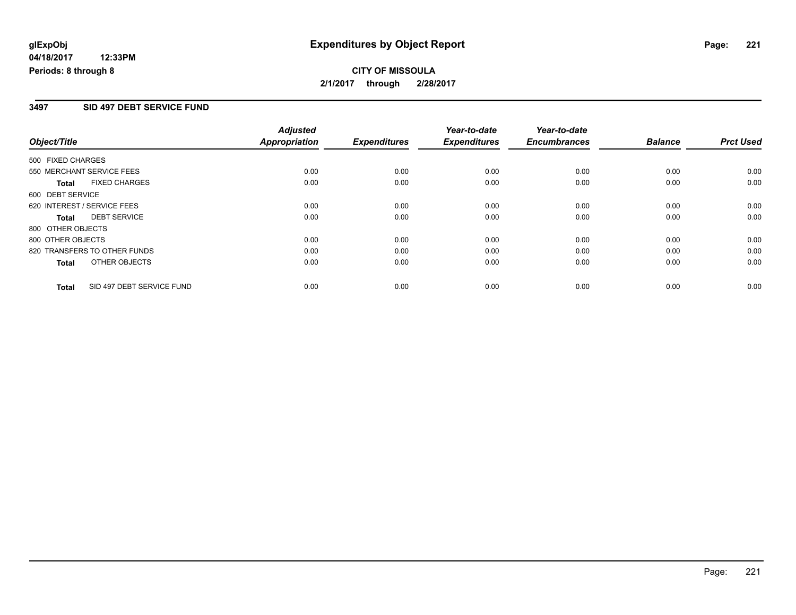## **CITY OF MISSOULA 2/1/2017 through 2/28/2017**

### **3497 SID 497 DEBT SERVICE FUND**

|                                           | <b>Adjusted</b>      |                     | Year-to-date        | Year-to-date        |                |                  |
|-------------------------------------------|----------------------|---------------------|---------------------|---------------------|----------------|------------------|
| Object/Title                              | <b>Appropriation</b> | <b>Expenditures</b> | <b>Expenditures</b> | <b>Encumbrances</b> | <b>Balance</b> | <b>Prct Used</b> |
| 500 FIXED CHARGES                         |                      |                     |                     |                     |                |                  |
| 550 MERCHANT SERVICE FEES                 | 0.00                 | 0.00                | 0.00                | 0.00                | 0.00           | 0.00             |
| <b>FIXED CHARGES</b><br>Total             | 0.00                 | 0.00                | 0.00                | 0.00                | 0.00           | 0.00             |
| 600 DEBT SERVICE                          |                      |                     |                     |                     |                |                  |
| 620 INTEREST / SERVICE FEES               | 0.00                 | 0.00                | 0.00                | 0.00                | 0.00           | 0.00             |
| <b>DEBT SERVICE</b><br><b>Total</b>       | 0.00                 | 0.00                | 0.00                | 0.00                | 0.00           | 0.00             |
| 800 OTHER OBJECTS                         |                      |                     |                     |                     |                |                  |
| 800 OTHER OBJECTS                         | 0.00                 | 0.00                | 0.00                | 0.00                | 0.00           | 0.00             |
| 820 TRANSFERS TO OTHER FUNDS              | 0.00                 | 0.00                | 0.00                | 0.00                | 0.00           | 0.00             |
| OTHER OBJECTS<br><b>Total</b>             | 0.00                 | 0.00                | 0.00                | 0.00                | 0.00           | 0.00             |
| SID 497 DEBT SERVICE FUND<br><b>Total</b> | 0.00                 | 0.00                | 0.00                | 0.00                | 0.00           | 0.00             |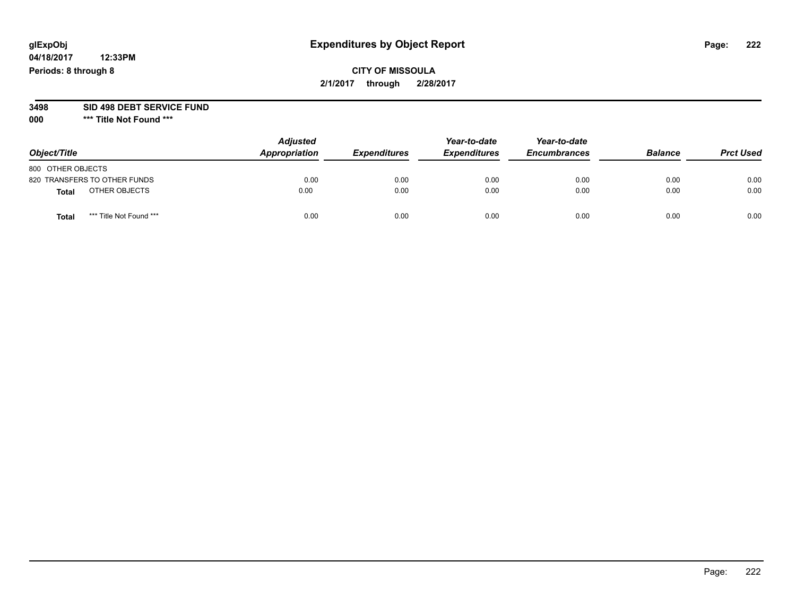**04/18/2017 12:33PM Periods: 8 through 8**

**3498 SID 498 DEBT SERVICE FUND**

| Object/Title                            | <b>Adjusted</b><br>Appropriation | <b>Expenditures</b> | Year-to-date<br><b>Expenditures</b> | Year-to-date<br><b>Encumbrances</b> | <b>Balance</b> | <b>Prct Used</b> |
|-----------------------------------------|----------------------------------|---------------------|-------------------------------------|-------------------------------------|----------------|------------------|
| 800 OTHER OBJECTS                       |                                  |                     |                                     |                                     |                |                  |
| 820 TRANSFERS TO OTHER FUNDS            | 0.00                             | 0.00                | 0.00                                | 0.00                                | 0.00           | 0.00             |
| OTHER OBJECTS<br><b>Total</b>           | 0.00                             | 0.00                | 0.00                                | 0.00                                | 0.00           | 0.00             |
| *** Title Not Found ***<br><b>Total</b> | 0.00                             | 0.00                | 0.00                                | 0.00                                | 0.00           | 0.00             |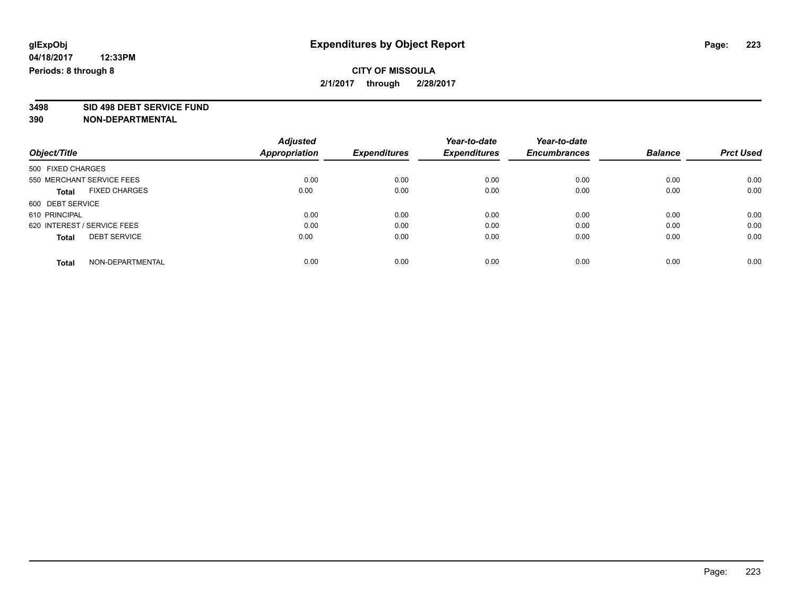## **CITY OF MISSOULA 2/1/2017 through 2/28/2017**

**3498 SID 498 DEBT SERVICE FUND**

|                             |                      | <b>Adjusted</b> |                     | Year-to-date        | Year-to-date        |                |                  |
|-----------------------------|----------------------|-----------------|---------------------|---------------------|---------------------|----------------|------------------|
| Object/Title                |                      | Appropriation   | <b>Expenditures</b> | <b>Expenditures</b> | <b>Encumbrances</b> | <b>Balance</b> | <b>Prct Used</b> |
| 500 FIXED CHARGES           |                      |                 |                     |                     |                     |                |                  |
| 550 MERCHANT SERVICE FEES   |                      | 0.00            | 0.00                | 0.00                | 0.00                | 0.00           | 0.00             |
| <b>Total</b>                | <b>FIXED CHARGES</b> | 0.00            | 0.00                | 0.00                | 0.00                | 0.00           | 0.00             |
| 600 DEBT SERVICE            |                      |                 |                     |                     |                     |                |                  |
| 610 PRINCIPAL               |                      | 0.00            | 0.00                | 0.00                | 0.00                | 0.00           | 0.00             |
| 620 INTEREST / SERVICE FEES |                      | 0.00            | 0.00                | 0.00                | 0.00                | 0.00           | 0.00             |
| <b>Total</b>                | <b>DEBT SERVICE</b>  | 0.00            | 0.00                | 0.00                | 0.00                | 0.00           | 0.00             |
| <b>Total</b>                | NON-DEPARTMENTAL     | 0.00            | 0.00                | 0.00                | 0.00                | 0.00           | 0.00             |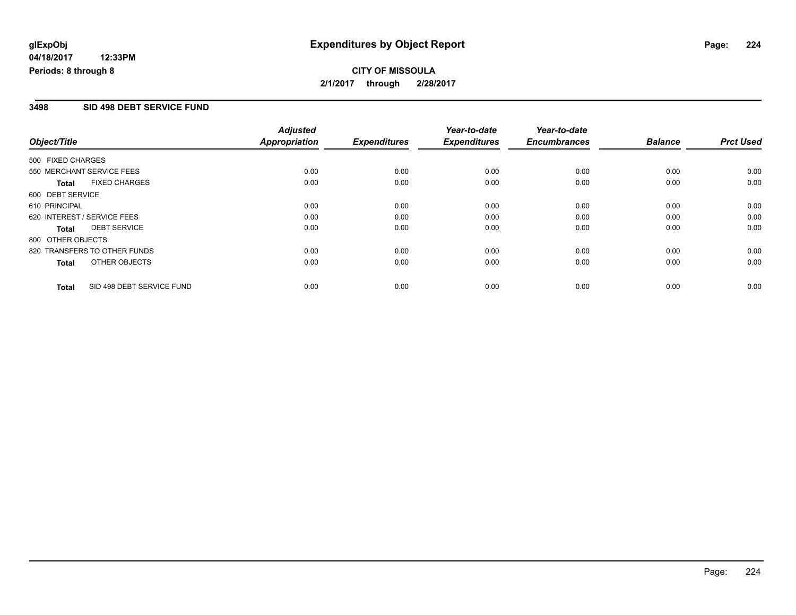#### **3498 SID 498 DEBT SERVICE FUND**

|                   |                              | <b>Adjusted</b>      |                     | Year-to-date        | Year-to-date        |                |                  |
|-------------------|------------------------------|----------------------|---------------------|---------------------|---------------------|----------------|------------------|
| Object/Title      |                              | <b>Appropriation</b> | <b>Expenditures</b> | <b>Expenditures</b> | <b>Encumbrances</b> | <b>Balance</b> | <b>Prct Used</b> |
| 500 FIXED CHARGES |                              |                      |                     |                     |                     |                |                  |
|                   | 550 MERCHANT SERVICE FEES    | 0.00                 | 0.00                | 0.00                | 0.00                | 0.00           | 0.00             |
| Total             | <b>FIXED CHARGES</b>         | 0.00                 | 0.00                | 0.00                | 0.00                | 0.00           | 0.00             |
| 600 DEBT SERVICE  |                              |                      |                     |                     |                     |                |                  |
| 610 PRINCIPAL     |                              | 0.00                 | 0.00                | 0.00                | 0.00                | 0.00           | 0.00             |
|                   | 620 INTEREST / SERVICE FEES  | 0.00                 | 0.00                | 0.00                | 0.00                | 0.00           | 0.00             |
| Total             | <b>DEBT SERVICE</b>          | 0.00                 | 0.00                | 0.00                | 0.00                | 0.00           | 0.00             |
| 800 OTHER OBJECTS |                              |                      |                     |                     |                     |                |                  |
|                   | 820 TRANSFERS TO OTHER FUNDS | 0.00                 | 0.00                | 0.00                | 0.00                | 0.00           | 0.00             |
| Total             | OTHER OBJECTS                | 0.00                 | 0.00                | 0.00                | 0.00                | 0.00           | 0.00             |
| <b>Total</b>      | SID 498 DEBT SERVICE FUND    | 0.00                 | 0.00                | 0.00                | 0.00                | 0.00           | 0.00             |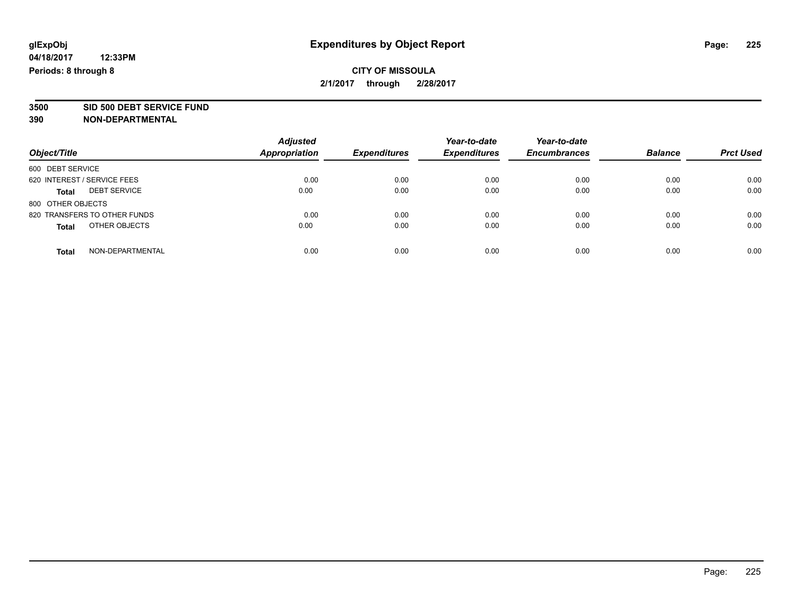## **CITY OF MISSOULA 2/1/2017 through 2/28/2017**

**3500 SID 500 DEBT SERVICE FUND**

| Object/Title                        | <b>Adjusted</b><br><b>Appropriation</b> | <b>Expenditures</b> | Year-to-date<br><b>Expenditures</b> | Year-to-date<br><b>Encumbrances</b> | <b>Balance</b> | <b>Prct Used</b> |
|-------------------------------------|-----------------------------------------|---------------------|-------------------------------------|-------------------------------------|----------------|------------------|
|                                     |                                         |                     |                                     |                                     |                |                  |
| 600 DEBT SERVICE                    |                                         |                     |                                     |                                     |                |                  |
| 620 INTEREST / SERVICE FEES         | 0.00                                    | 0.00                | 0.00                                | 0.00                                | 0.00           | 0.00             |
| <b>DEBT SERVICE</b><br><b>Total</b> | 0.00                                    | 0.00                | 0.00                                | 0.00                                | 0.00           | 0.00             |
| 800 OTHER OBJECTS                   |                                         |                     |                                     |                                     |                |                  |
| 820 TRANSFERS TO OTHER FUNDS        | 0.00                                    | 0.00                | 0.00                                | 0.00                                | 0.00           | 0.00             |
| OTHER OBJECTS<br><b>Total</b>       | 0.00                                    | 0.00                | 0.00                                | 0.00                                | 0.00           | 0.00             |
| NON-DEPARTMENTAL<br>Total           | 0.00                                    | 0.00                | 0.00                                | 0.00                                | 0.00           | 0.00             |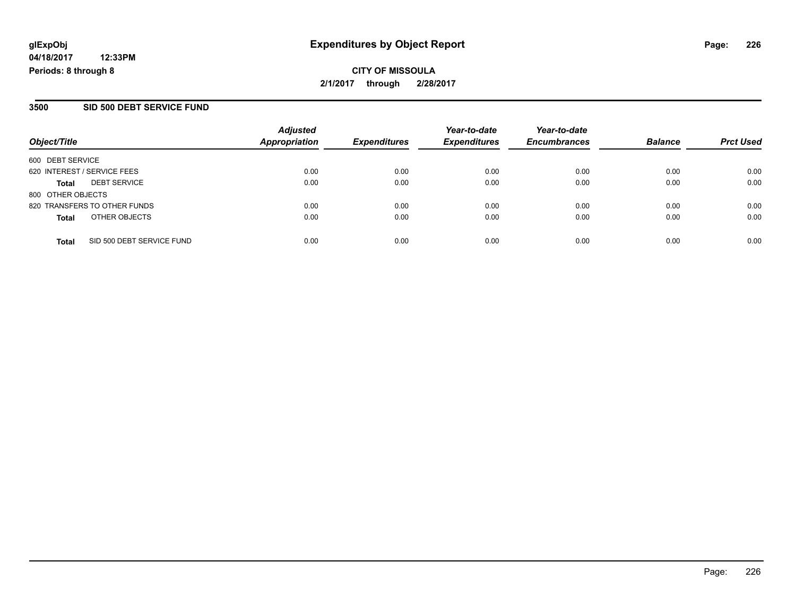## **CITY OF MISSOULA 2/1/2017 through 2/28/2017**

#### **3500 SID 500 DEBT SERVICE FUND**

| Object/Title                              | <b>Adjusted</b><br><b>Appropriation</b> | <b>Expenditures</b> | Year-to-date<br><b>Expenditures</b> | Year-to-date<br><b>Encumbrances</b> | <b>Balance</b> | <b>Prct Used</b> |
|-------------------------------------------|-----------------------------------------|---------------------|-------------------------------------|-------------------------------------|----------------|------------------|
| 600 DEBT SERVICE                          |                                         |                     |                                     |                                     |                |                  |
| 620 INTEREST / SERVICE FEES               | 0.00                                    | 0.00                | 0.00                                | 0.00                                | 0.00           | 0.00             |
| <b>DEBT SERVICE</b><br>Total              | 0.00                                    | 0.00                | 0.00                                | 0.00                                | 0.00           | 0.00             |
| 800 OTHER OBJECTS                         |                                         |                     |                                     |                                     |                |                  |
| 820 TRANSFERS TO OTHER FUNDS              | 0.00                                    | 0.00                | 0.00                                | 0.00                                | 0.00           | 0.00             |
| OTHER OBJECTS<br>Total                    | 0.00                                    | 0.00                | 0.00                                | 0.00                                | 0.00           | 0.00             |
| SID 500 DEBT SERVICE FUND<br><b>Total</b> | 0.00                                    | 0.00                | 0.00                                | 0.00                                | 0.00           | 0.00             |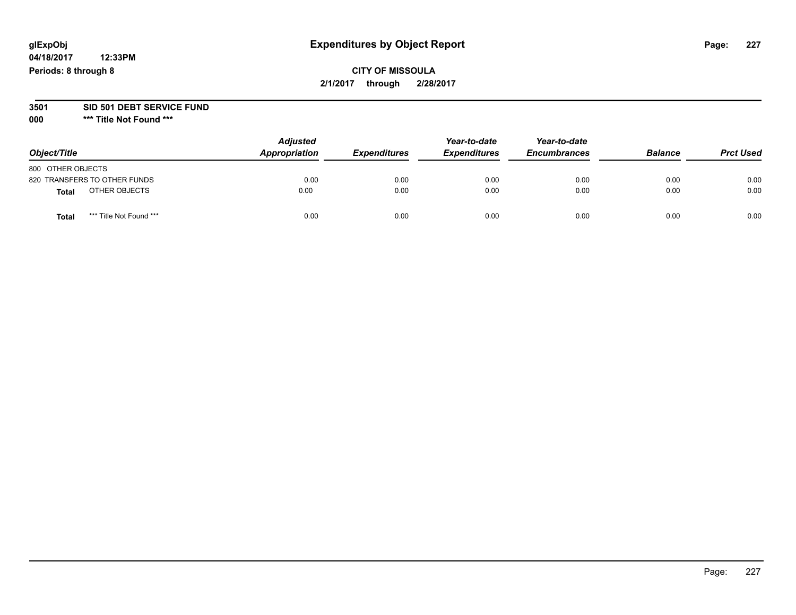**04/18/2017 12:33PM Periods: 8 through 8**

#### **3501 SID 501 DEBT SERVICE FUND**

| Object/Title                     | <b>Adjusted</b><br>Appropriation | <b>Expenditures</b> | Year-to-date<br><b>Expenditures</b> | Year-to-date<br><b>Encumbrances</b> | <b>Balance</b> | <b>Prct Used</b> |
|----------------------------------|----------------------------------|---------------------|-------------------------------------|-------------------------------------|----------------|------------------|
| 800 OTHER OBJECTS                |                                  |                     |                                     |                                     |                |                  |
| 820 TRANSFERS TO OTHER FUNDS     | 0.00                             | 0.00                | 0.00                                | 0.00                                | 0.00           | 0.00             |
| OTHER OBJECTS<br><b>Total</b>    | 0.00                             | 0.00                | 0.00                                | 0.00                                | 0.00           | 0.00             |
| *** Title Not Found ***<br>Total | 0.00                             | 0.00                | 0.00                                | 0.00                                | 0.00           | 0.00             |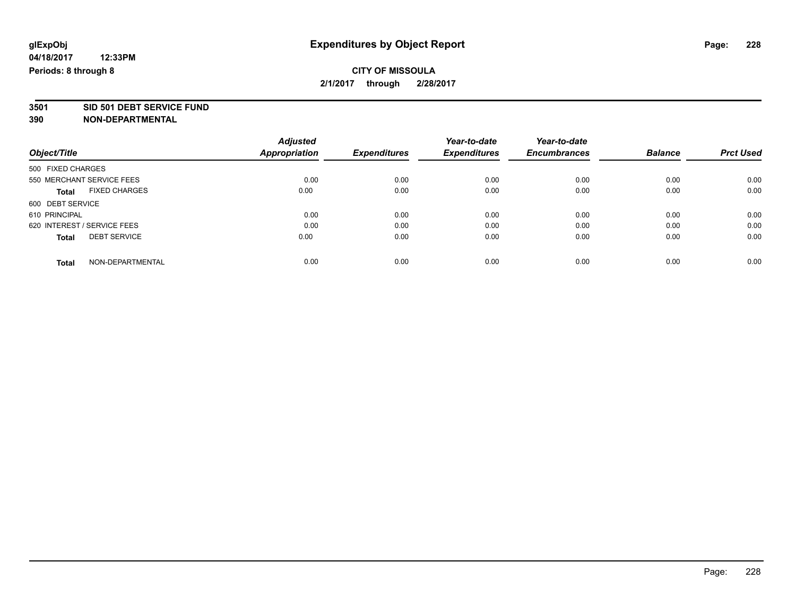**3501 SID 501 DEBT SERVICE FUND**

**390 NON-DEPARTMENTAL**

|                                      | <b>Adjusted</b> |                     | Year-to-date        | Year-to-date        |                |                  |
|--------------------------------------|-----------------|---------------------|---------------------|---------------------|----------------|------------------|
| Object/Title                         | Appropriation   | <b>Expenditures</b> | <b>Expenditures</b> | <b>Encumbrances</b> | <b>Balance</b> | <b>Prct Used</b> |
| 500 FIXED CHARGES                    |                 |                     |                     |                     |                |                  |
| 550 MERCHANT SERVICE FEES            | 0.00            | 0.00                | 0.00                | 0.00                | 0.00           | 0.00             |
| <b>FIXED CHARGES</b><br><b>Total</b> | 0.00            | 0.00                | 0.00                | 0.00                | 0.00           | 0.00             |
| 600 DEBT SERVICE                     |                 |                     |                     |                     |                |                  |
| 610 PRINCIPAL                        | 0.00            | 0.00                | 0.00                | 0.00                | 0.00           | 0.00             |
| 620 INTEREST / SERVICE FEES          | 0.00            | 0.00                | 0.00                | 0.00                | 0.00           | 0.00             |
| <b>DEBT SERVICE</b><br><b>Total</b>  | 0.00            | 0.00                | 0.00                | 0.00                | 0.00           | 0.00             |
| NON-DEPARTMENTAL<br><b>Total</b>     | 0.00            | 0.00                | 0.00                | 0.00                | 0.00           | 0.00             |

Page: 228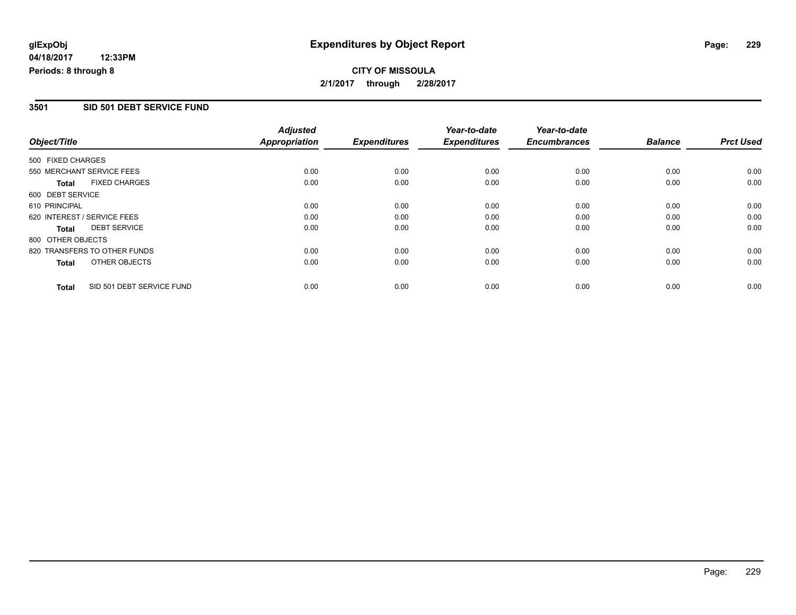## **CITY OF MISSOULA 2/1/2017 through 2/28/2017**

### **3501 SID 501 DEBT SERVICE FUND**

|                   |                              | <b>Adjusted</b>      |                     | Year-to-date        | Year-to-date        |                |                  |
|-------------------|------------------------------|----------------------|---------------------|---------------------|---------------------|----------------|------------------|
| Object/Title      |                              | <b>Appropriation</b> | <b>Expenditures</b> | <b>Expenditures</b> | <b>Encumbrances</b> | <b>Balance</b> | <b>Prct Used</b> |
| 500 FIXED CHARGES |                              |                      |                     |                     |                     |                |                  |
|                   | 550 MERCHANT SERVICE FEES    | 0.00                 | 0.00                | 0.00                | 0.00                | 0.00           | 0.00             |
| <b>Total</b>      | <b>FIXED CHARGES</b>         | 0.00                 | 0.00                | 0.00                | 0.00                | 0.00           | 0.00             |
| 600 DEBT SERVICE  |                              |                      |                     |                     |                     |                |                  |
| 610 PRINCIPAL     |                              | 0.00                 | 0.00                | 0.00                | 0.00                | 0.00           | 0.00             |
|                   | 620 INTEREST / SERVICE FEES  | 0.00                 | 0.00                | 0.00                | 0.00                | 0.00           | 0.00             |
| Total             | <b>DEBT SERVICE</b>          | 0.00                 | 0.00                | 0.00                | 0.00                | 0.00           | 0.00             |
| 800 OTHER OBJECTS |                              |                      |                     |                     |                     |                |                  |
|                   | 820 TRANSFERS TO OTHER FUNDS | 0.00                 | 0.00                | 0.00                | 0.00                | 0.00           | 0.00             |
| Total             | OTHER OBJECTS                | 0.00                 | 0.00                | 0.00                | 0.00                | 0.00           | 0.00             |
| <b>Total</b>      | SID 501 DEBT SERVICE FUND    | 0.00                 | 0.00                | 0.00                | 0.00                | 0.00           | 0.00             |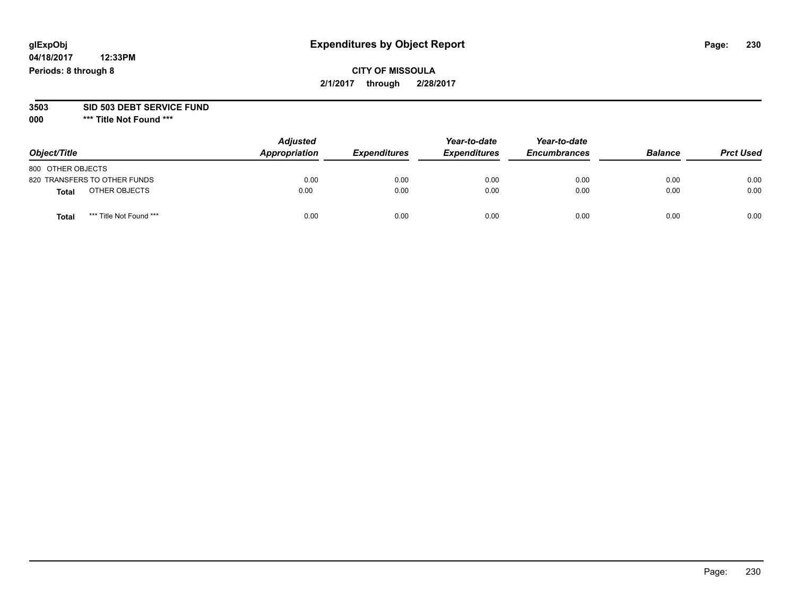**04/18/2017 12:33PM Periods: 8 through 8**

#### **3503 SID 503 DEBT SERVICE FUND**

| Object/Title                     | <b>Adjusted</b><br>Appropriation | <b>Expenditures</b> | Year-to-date<br><b>Expenditures</b> | Year-to-date<br><b>Encumbrances</b> | <b>Balance</b> | <b>Prct Used</b> |
|----------------------------------|----------------------------------|---------------------|-------------------------------------|-------------------------------------|----------------|------------------|
| 800 OTHER OBJECTS                |                                  |                     |                                     |                                     |                |                  |
| 820 TRANSFERS TO OTHER FUNDS     | 0.00                             | 0.00                | 0.00                                | 0.00                                | 0.00           | 0.00             |
| OTHER OBJECTS<br><b>Total</b>    | 0.00                             | 0.00                | 0.00                                | 0.00                                | 0.00           | 0.00             |
| *** Title Not Found ***<br>Total | 0.00                             | 0.00                | 0.00                                | 0.00                                | 0.00           | 0.00             |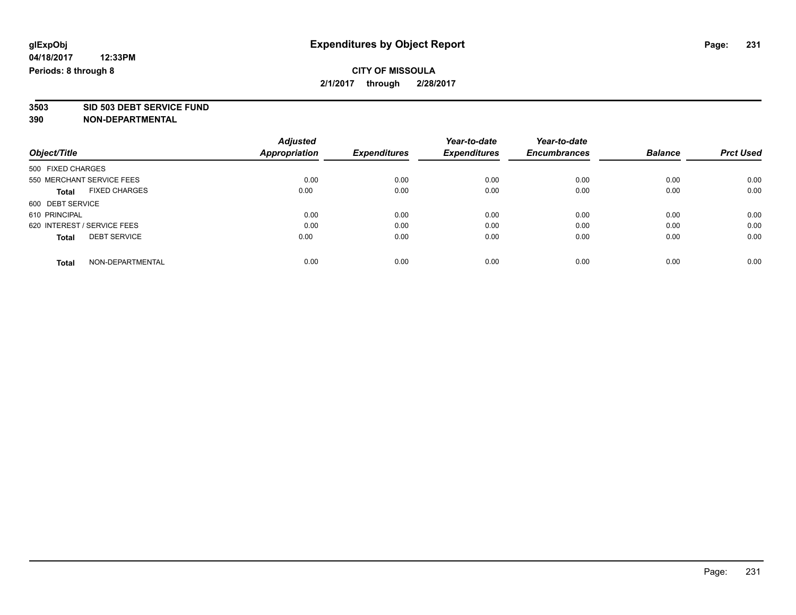# **3503 SID 503 DEBT SERVICE FUND**

|                                     | <b>Adjusted</b>      | <b>Expenditures</b> | Year-to-date<br><b>Expenditures</b> | Year-to-date<br><b>Encumbrances</b> | <b>Balance</b> |                  |
|-------------------------------------|----------------------|---------------------|-------------------------------------|-------------------------------------|----------------|------------------|
| Object/Title                        | <b>Appropriation</b> |                     |                                     |                                     |                | <b>Prct Used</b> |
| 500 FIXED CHARGES                   |                      |                     |                                     |                                     |                |                  |
| 550 MERCHANT SERVICE FEES           | 0.00                 | 0.00                | 0.00                                | 0.00                                | 0.00           | 0.00             |
| <b>FIXED CHARGES</b><br>Total       | 0.00                 | 0.00                | 0.00                                | 0.00                                | 0.00           | 0.00             |
| 600 DEBT SERVICE                    |                      |                     |                                     |                                     |                |                  |
| 610 PRINCIPAL                       | 0.00                 | 0.00                | 0.00                                | 0.00                                | 0.00           | 0.00             |
| 620 INTEREST / SERVICE FEES         | 0.00                 | 0.00                | 0.00                                | 0.00                                | 0.00           | 0.00             |
| <b>DEBT SERVICE</b><br><b>Total</b> | 0.00                 | 0.00                | 0.00                                | 0.00                                | 0.00           | 0.00             |
| NON-DEPARTMENTAL<br><b>Total</b>    | 0.00                 | 0.00                | 0.00                                | 0.00                                | 0.00           | 0.00             |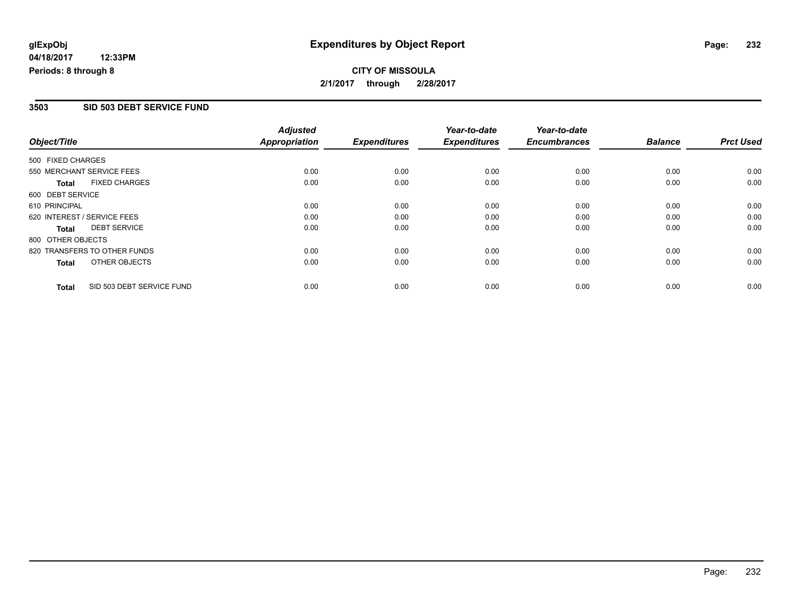## **CITY OF MISSOULA 2/1/2017 through 2/28/2017**

### **3503 SID 503 DEBT SERVICE FUND**

|                             |                              | <b>Adjusted</b>      |                     | Year-to-date        | Year-to-date        |                |                  |
|-----------------------------|------------------------------|----------------------|---------------------|---------------------|---------------------|----------------|------------------|
| Object/Title                |                              | <b>Appropriation</b> | <b>Expenditures</b> | <b>Expenditures</b> | <b>Encumbrances</b> | <b>Balance</b> | <b>Prct Used</b> |
| 500 FIXED CHARGES           |                              |                      |                     |                     |                     |                |                  |
| 550 MERCHANT SERVICE FEES   |                              | 0.00                 | 0.00                | 0.00                | 0.00                | 0.00           | 0.00             |
| <b>Total</b>                | <b>FIXED CHARGES</b>         | 0.00                 | 0.00                | 0.00                | 0.00                | 0.00           | 0.00             |
| 600 DEBT SERVICE            |                              |                      |                     |                     |                     |                |                  |
| 610 PRINCIPAL               |                              | 0.00                 | 0.00                | 0.00                | 0.00                | 0.00           | 0.00             |
| 620 INTEREST / SERVICE FEES |                              | 0.00                 | 0.00                | 0.00                | 0.00                | 0.00           | 0.00             |
| Total                       | <b>DEBT SERVICE</b>          | 0.00                 | 0.00                | 0.00                | 0.00                | 0.00           | 0.00             |
| 800 OTHER OBJECTS           |                              |                      |                     |                     |                     |                |                  |
|                             | 820 TRANSFERS TO OTHER FUNDS | 0.00                 | 0.00                | 0.00                | 0.00                | 0.00           | 0.00             |
| <b>Total</b>                | OTHER OBJECTS                | 0.00                 | 0.00                | 0.00                | 0.00                | 0.00           | 0.00             |
| <b>Total</b>                | SID 503 DEBT SERVICE FUND    | 0.00                 | 0.00                | 0.00                | 0.00                | 0.00           | 0.00             |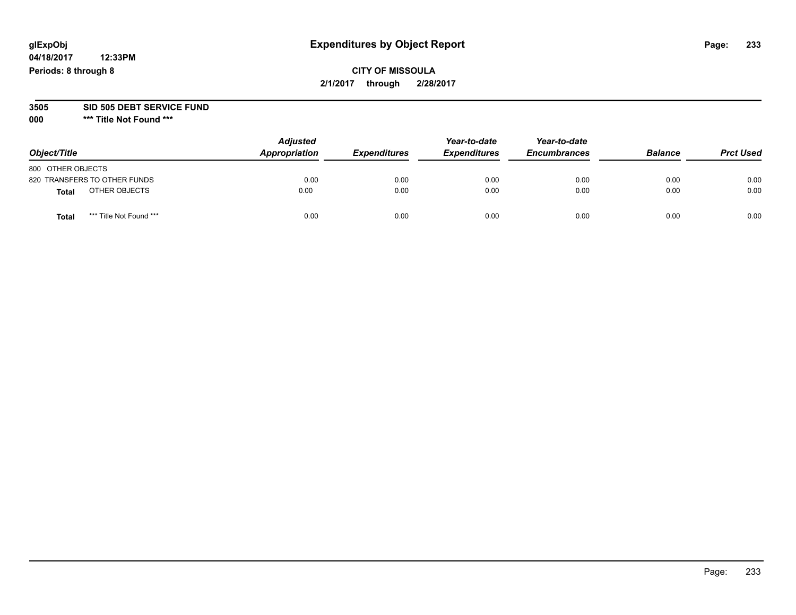**04/18/2017 12:33PM Periods: 8 through 8**

#### **3505 SID 505 DEBT SERVICE FUND**

| Object/Title                     | <b>Adjusted</b><br>Appropriation | <b>Expenditures</b> | Year-to-date<br><b>Expenditures</b> | Year-to-date<br><b>Encumbrances</b> | <b>Balance</b> | <b>Prct Used</b> |
|----------------------------------|----------------------------------|---------------------|-------------------------------------|-------------------------------------|----------------|------------------|
| 800 OTHER OBJECTS                |                                  |                     |                                     |                                     |                |                  |
| 820 TRANSFERS TO OTHER FUNDS     | 0.00                             | 0.00                | 0.00                                | 0.00                                | 0.00           | 0.00             |
| OTHER OBJECTS<br><b>Total</b>    | 0.00                             | 0.00                | 0.00                                | 0.00                                | 0.00           | 0.00             |
| *** Title Not Found ***<br>Total | 0.00                             | 0.00                | 0.00                                | 0.00                                | 0.00           | 0.00             |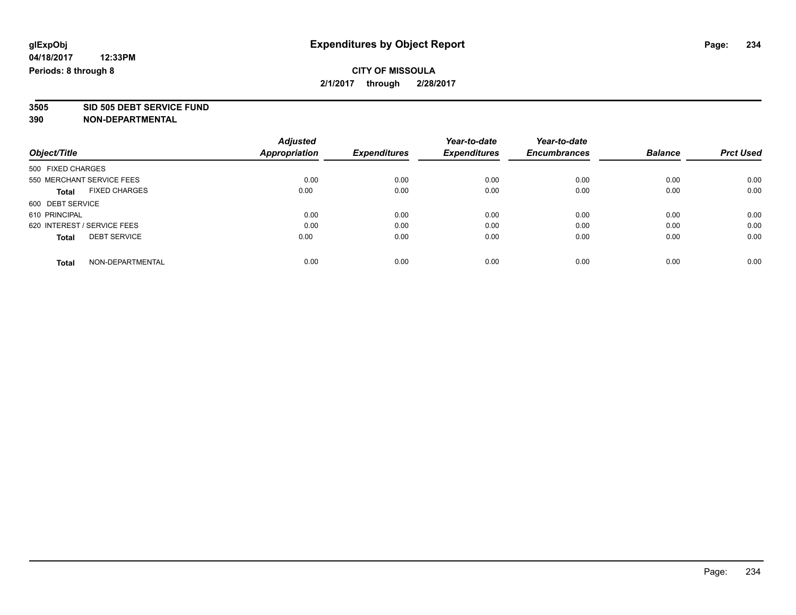## **CITY OF MISSOULA 2/1/2017 through 2/28/2017**

**3505 SID 505 DEBT SERVICE FUND**

|                                      | <b>Adjusted</b>      |                     | Year-to-date        | Year-to-date        |                |                  |
|--------------------------------------|----------------------|---------------------|---------------------|---------------------|----------------|------------------|
| Object/Title                         | <b>Appropriation</b> | <b>Expenditures</b> | <b>Expenditures</b> | <b>Encumbrances</b> | <b>Balance</b> | <b>Prct Used</b> |
| 500 FIXED CHARGES                    |                      |                     |                     |                     |                |                  |
| 550 MERCHANT SERVICE FEES            | 0.00                 | 0.00                | 0.00                | 0.00                | 0.00           | 0.00             |
| <b>FIXED CHARGES</b><br><b>Total</b> | 0.00                 | 0.00                | 0.00                | 0.00                | 0.00           | 0.00             |
| 600 DEBT SERVICE                     |                      |                     |                     |                     |                |                  |
| 610 PRINCIPAL                        | 0.00                 | 0.00                | 0.00                | 0.00                | 0.00           | 0.00             |
| 620 INTEREST / SERVICE FEES          | 0.00                 | 0.00                | 0.00                | 0.00                | 0.00           | 0.00             |
| <b>DEBT SERVICE</b><br><b>Total</b>  | 0.00                 | 0.00                | 0.00                | 0.00                | 0.00           | 0.00             |
| NON-DEPARTMENTAL<br>Total            | 0.00                 | 0.00                | 0.00                | 0.00                | 0.00           | 0.00             |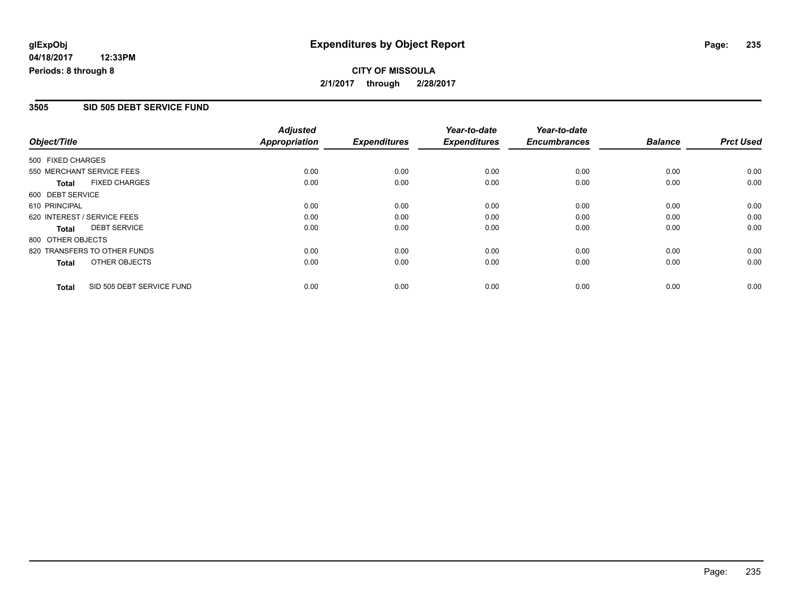## **CITY OF MISSOULA 2/1/2017 through 2/28/2017**

#### **3505 SID 505 DEBT SERVICE FUND**

| Object/Title      |                              | <b>Adjusted</b>      |                     | Year-to-date        | Year-to-date        |                |                  |
|-------------------|------------------------------|----------------------|---------------------|---------------------|---------------------|----------------|------------------|
|                   |                              | <b>Appropriation</b> | <b>Expenditures</b> | <b>Expenditures</b> | <b>Encumbrances</b> | <b>Balance</b> | <b>Prct Used</b> |
| 500 FIXED CHARGES |                              |                      |                     |                     |                     |                |                  |
|                   | 550 MERCHANT SERVICE FEES    | 0.00                 | 0.00                | 0.00                | 0.00                | 0.00           | 0.00             |
| <b>Total</b>      | <b>FIXED CHARGES</b>         | 0.00                 | 0.00                | 0.00                | 0.00                | 0.00           | 0.00             |
| 600 DEBT SERVICE  |                              |                      |                     |                     |                     |                |                  |
| 610 PRINCIPAL     |                              | 0.00                 | 0.00                | 0.00                | 0.00                | 0.00           | 0.00             |
|                   | 620 INTEREST / SERVICE FEES  | 0.00                 | 0.00                | 0.00                | 0.00                | 0.00           | 0.00             |
| Total             | <b>DEBT SERVICE</b>          | 0.00                 | 0.00                | 0.00                | 0.00                | 0.00           | 0.00             |
| 800 OTHER OBJECTS |                              |                      |                     |                     |                     |                |                  |
|                   | 820 TRANSFERS TO OTHER FUNDS | 0.00                 | 0.00                | 0.00                | 0.00                | 0.00           | 0.00             |
| <b>Total</b>      | OTHER OBJECTS                | 0.00                 | 0.00                | 0.00                | 0.00                | 0.00           | 0.00             |
| <b>Total</b>      | SID 505 DEBT SERVICE FUND    | 0.00                 | 0.00                | 0.00                | 0.00                | 0.00           | 0.00             |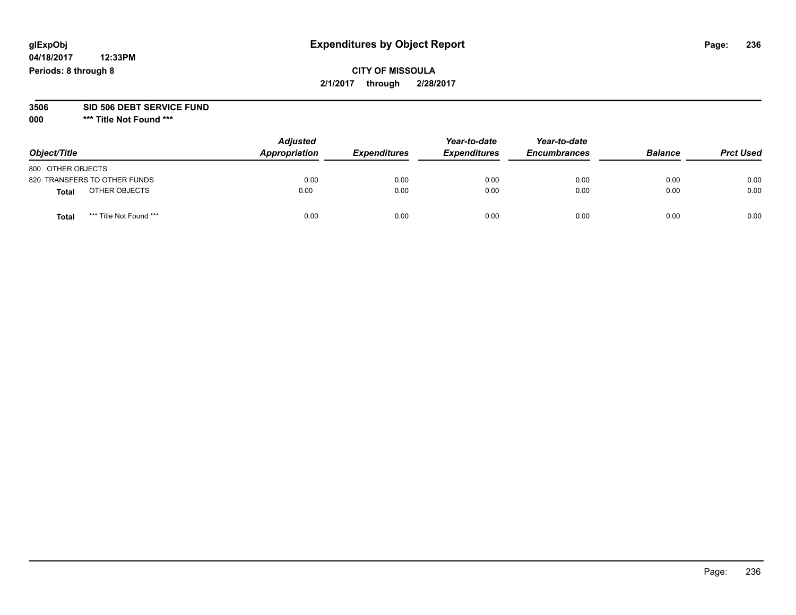**04/18/2017 12:33PM Periods: 8 through 8**

| Object/Title                            | <b>Adjusted</b><br>Appropriation | <b>Expenditures</b> | Year-to-date<br><b>Expenditures</b> | Year-to-date<br><b>Encumbrances</b> | <b>Balance</b> | <b>Prct Used</b> |
|-----------------------------------------|----------------------------------|---------------------|-------------------------------------|-------------------------------------|----------------|------------------|
| 800 OTHER OBJECTS                       |                                  |                     |                                     |                                     |                |                  |
| 820 TRANSFERS TO OTHER FUNDS            | 0.00                             | 0.00                | 0.00                                | 0.00                                | 0.00           | 0.00             |
| OTHER OBJECTS<br>Total                  | 0.00                             | 0.00                | 0.00                                | 0.00                                | 0.00           | 0.00             |
| *** Title Not Found ***<br><b>Total</b> | 0.00                             | 0.00                | 0.00                                | 0.00                                | 0.00           | 0.00             |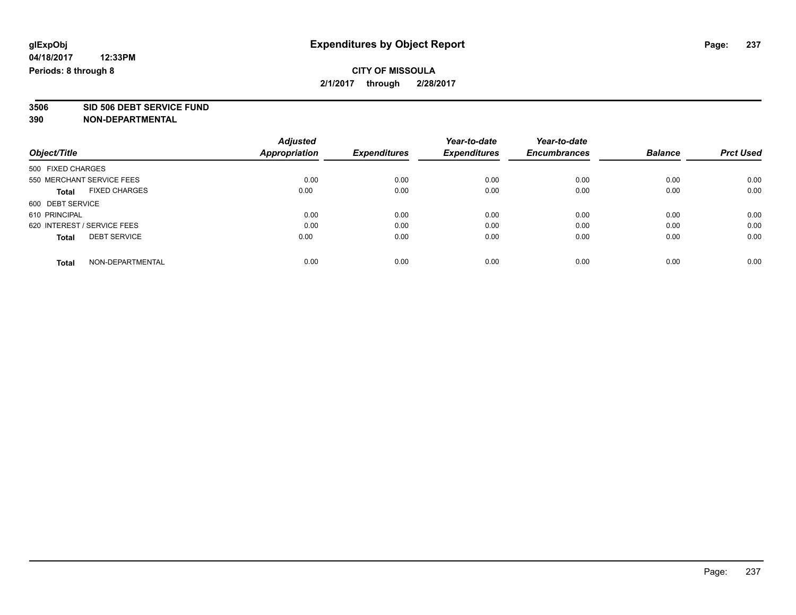## **CITY OF MISSOULA 2/1/2017 through 2/28/2017**

**3506 SID 506 DEBT SERVICE FUND**

|                                      | <b>Adjusted</b> |                     | Year-to-date        | Year-to-date        |                |                  |
|--------------------------------------|-----------------|---------------------|---------------------|---------------------|----------------|------------------|
| Object/Title                         | Appropriation   | <b>Expenditures</b> | <b>Expenditures</b> | <b>Encumbrances</b> | <b>Balance</b> | <b>Prct Used</b> |
| 500 FIXED CHARGES                    |                 |                     |                     |                     |                |                  |
| 550 MERCHANT SERVICE FEES            | 0.00            | 0.00                | 0.00                | 0.00                | 0.00           | 0.00             |
| <b>FIXED CHARGES</b><br><b>Total</b> | 0.00            | 0.00                | 0.00                | 0.00                | 0.00           | 0.00             |
| 600 DEBT SERVICE                     |                 |                     |                     |                     |                |                  |
| 610 PRINCIPAL                        | 0.00            | 0.00                | 0.00                | 0.00                | 0.00           | 0.00             |
| 620 INTEREST / SERVICE FEES          | 0.00            | 0.00                | 0.00                | 0.00                | 0.00           | 0.00             |
| <b>DEBT SERVICE</b><br><b>Total</b>  | 0.00            | 0.00                | 0.00                | 0.00                | 0.00           | 0.00             |
| NON-DEPARTMENTAL<br>Total            | 0.00            | 0.00                | 0.00                | 0.00                | 0.00           | 0.00             |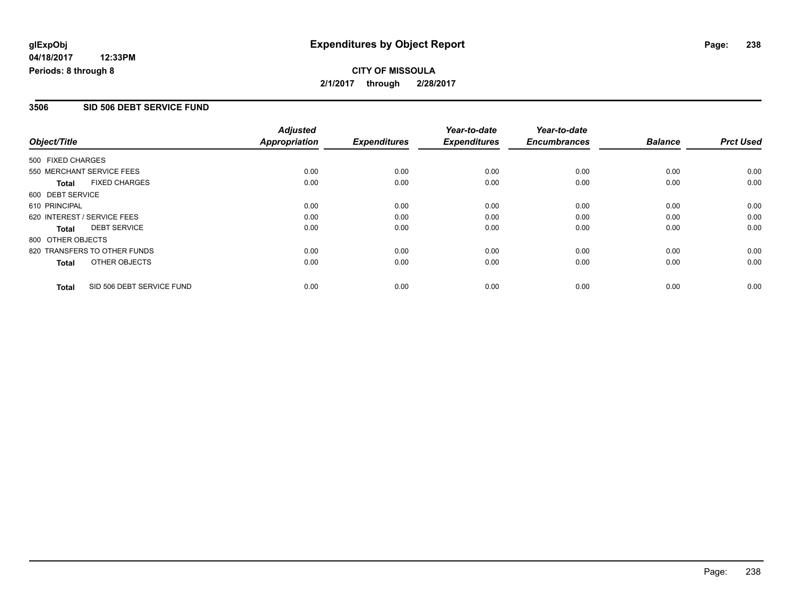## **CITY OF MISSOULA 2/1/2017 through 2/28/2017**

#### **3506 SID 506 DEBT SERVICE FUND**

| Object/Title                |                              | <b>Adjusted</b><br>Appropriation | <b>Expenditures</b> | Year-to-date<br><b>Expenditures</b> | Year-to-date<br><b>Encumbrances</b> | <b>Balance</b> | <b>Prct Used</b> |
|-----------------------------|------------------------------|----------------------------------|---------------------|-------------------------------------|-------------------------------------|----------------|------------------|
|                             |                              |                                  |                     |                                     |                                     |                |                  |
| 500 FIXED CHARGES           |                              |                                  |                     |                                     |                                     |                |                  |
| 550 MERCHANT SERVICE FEES   |                              | 0.00                             | 0.00                | 0.00                                | 0.00                                | 0.00           | 0.00             |
| <b>Total</b>                | <b>FIXED CHARGES</b>         | 0.00                             | 0.00                | 0.00                                | 0.00                                | 0.00           | 0.00             |
| 600 DEBT SERVICE            |                              |                                  |                     |                                     |                                     |                |                  |
| 610 PRINCIPAL               |                              | 0.00                             | 0.00                | 0.00                                | 0.00                                | 0.00           | 0.00             |
| 620 INTEREST / SERVICE FEES |                              | 0.00                             | 0.00                | 0.00                                | 0.00                                | 0.00           | 0.00             |
| <b>Total</b>                | <b>DEBT SERVICE</b>          | 0.00                             | 0.00                | 0.00                                | 0.00                                | 0.00           | 0.00             |
| 800 OTHER OBJECTS           |                              |                                  |                     |                                     |                                     |                |                  |
|                             | 820 TRANSFERS TO OTHER FUNDS | 0.00                             | 0.00                | 0.00                                | 0.00                                | 0.00           | 0.00             |
| <b>Total</b>                | OTHER OBJECTS                | 0.00                             | 0.00                | 0.00                                | 0.00                                | 0.00           | 0.00             |
| <b>Total</b>                | SID 506 DEBT SERVICE FUND    | 0.00                             | 0.00                | 0.00                                | 0.00                                | 0.00           | 0.00             |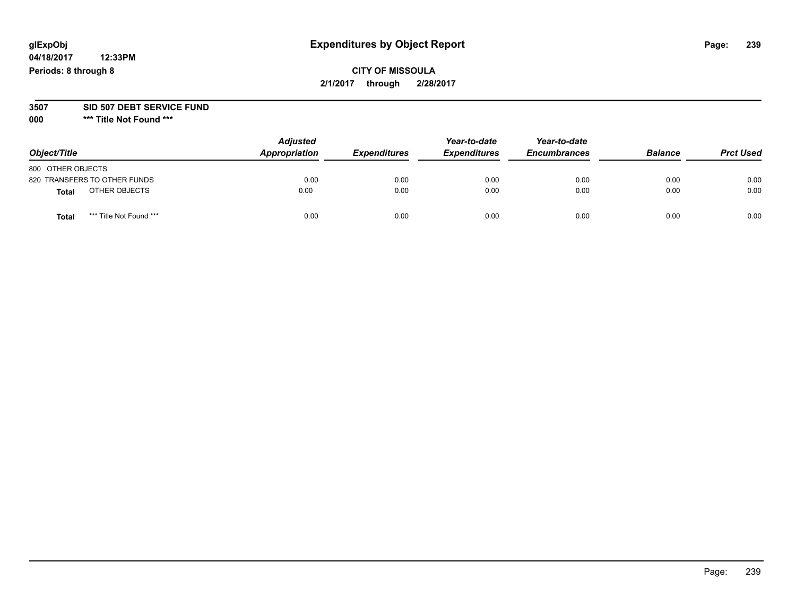**04/18/2017 12:33PM Periods: 8 through 8**

#### **3507 SID 507 DEBT SERVICE FUND**

| Object/Title                     | <b>Adjusted</b><br>Appropriation | <b>Expenditures</b> | Year-to-date<br><b>Expenditures</b> | Year-to-date<br><b>Encumbrances</b> | <b>Balance</b> | <b>Prct Used</b> |
|----------------------------------|----------------------------------|---------------------|-------------------------------------|-------------------------------------|----------------|------------------|
| 800 OTHER OBJECTS                |                                  |                     |                                     |                                     |                |                  |
| 820 TRANSFERS TO OTHER FUNDS     | 0.00                             | 0.00                | 0.00                                | 0.00                                | 0.00           | 0.00             |
| OTHER OBJECTS<br><b>Total</b>    | 0.00                             | 0.00                | 0.00                                | 0.00                                | 0.00           | 0.00             |
| *** Title Not Found ***<br>Total | 0.00                             | 0.00                | 0.00                                | 0.00                                | 0.00           | 0.00             |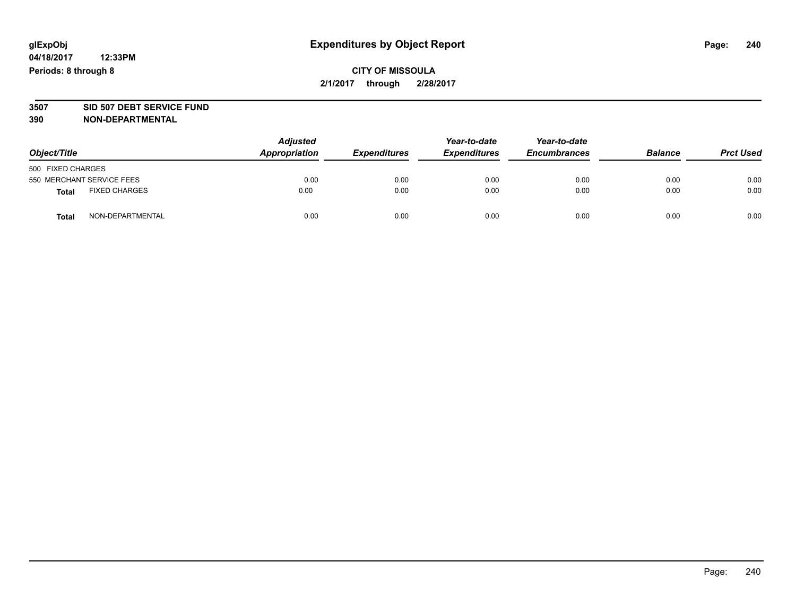## **CITY OF MISSOULA 2/1/2017 through 2/28/2017**

# **3507 SID 507 DEBT SERVICE FUND**

| Object/Title                         |                  | <b>Adjusted</b><br>Appropriation<br><b>Expenditures</b> | Year-to-date<br><b>Expenditures</b> | Year-to-date<br><b>Encumbrances</b> | <b>Balance</b> | <b>Prct Used</b> |      |
|--------------------------------------|------------------|---------------------------------------------------------|-------------------------------------|-------------------------------------|----------------|------------------|------|
| 500 FIXED CHARGES                    |                  |                                                         |                                     |                                     |                |                  |      |
| 550 MERCHANT SERVICE FEES            |                  | 0.00                                                    | 0.00                                | 0.00                                | 0.00           | 0.00             | 0.00 |
| <b>FIXED CHARGES</b><br><b>Total</b> |                  | 0.00                                                    | 0.00                                | 0.00                                | 0.00           | 0.00             | 0.00 |
| <b>Total</b>                         | NON-DEPARTMENTAL | 0.00                                                    | 0.00                                | 0.00                                | 0.00           | 0.00             | 0.00 |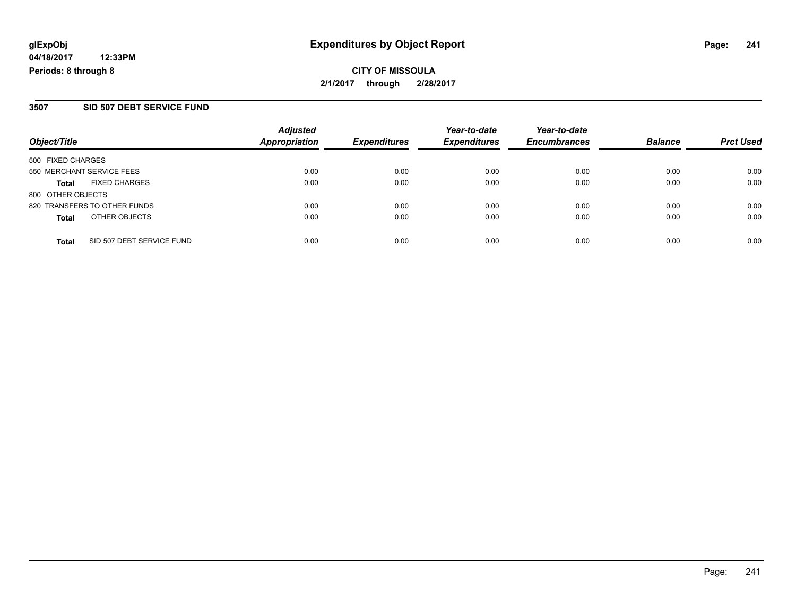## **CITY OF MISSOULA 2/1/2017 through 2/28/2017**

### **3507 SID 507 DEBT SERVICE FUND**

| Object/Title                              | <b>Adjusted</b><br><b>Appropriation</b> | <b>Expenditures</b> | Year-to-date<br><b>Expenditures</b> | Year-to-date<br><b>Encumbrances</b> | <b>Balance</b> | <b>Prct Used</b> |
|-------------------------------------------|-----------------------------------------|---------------------|-------------------------------------|-------------------------------------|----------------|------------------|
| 500 FIXED CHARGES                         |                                         |                     |                                     |                                     |                |                  |
| 550 MERCHANT SERVICE FEES                 | 0.00                                    | 0.00                | 0.00                                | 0.00                                | 0.00           | 0.00             |
| <b>FIXED CHARGES</b><br><b>Total</b>      | 0.00                                    | 0.00                | 0.00                                | 0.00                                | 0.00           | 0.00             |
| 800 OTHER OBJECTS                         |                                         |                     |                                     |                                     |                |                  |
| 820 TRANSFERS TO OTHER FUNDS              | 0.00                                    | 0.00                | 0.00                                | 0.00                                | 0.00           | 0.00             |
| OTHER OBJECTS<br><b>Total</b>             | 0.00                                    | 0.00                | 0.00                                | 0.00                                | 0.00           | 0.00             |
| SID 507 DEBT SERVICE FUND<br><b>Total</b> | 0.00                                    | 0.00                | 0.00                                | 0.00                                | 0.00           | 0.00             |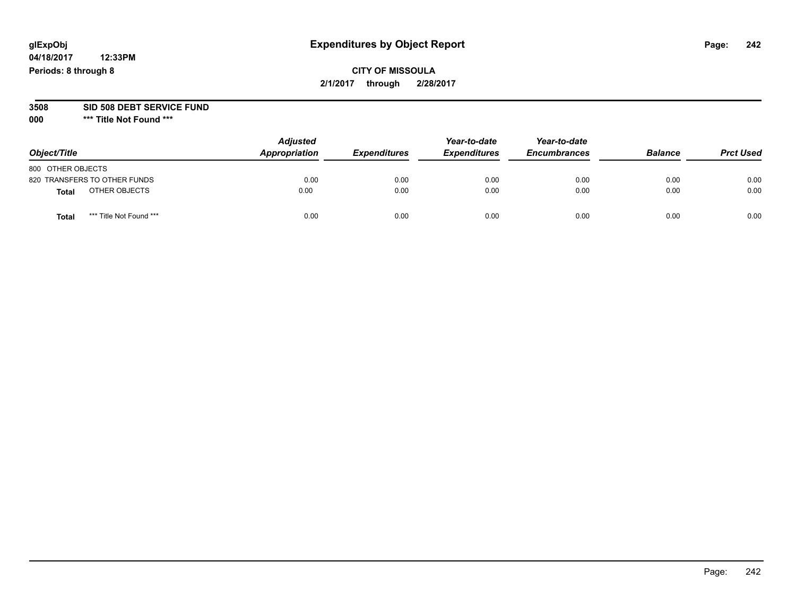**04/18/2017 12:33PM Periods: 8 through 8**

|                                  | <b>Adjusted</b><br>Appropriation<br><i><b>Expenditures</b></i> | Year-to-date | Year-to-date        |                     |                |                  |
|----------------------------------|----------------------------------------------------------------|--------------|---------------------|---------------------|----------------|------------------|
| Object/Title                     |                                                                |              | <b>Expenditures</b> | <b>Encumbrances</b> | <b>Balance</b> | <b>Prct Used</b> |
| 800 OTHER OBJECTS                |                                                                |              |                     |                     |                |                  |
| 820 TRANSFERS TO OTHER FUNDS     | 0.00                                                           | 0.00         | 0.00                | 0.00                | 0.00           | 0.00             |
| OTHER OBJECTS<br><b>Total</b>    | 0.00                                                           | 0.00         | 0.00                | 0.00                | 0.00           | 0.00             |
| *** Title Not Found ***<br>Total | 0.00                                                           | 0.00         | 0.00                | 0.00                | 0.00           | 0.00             |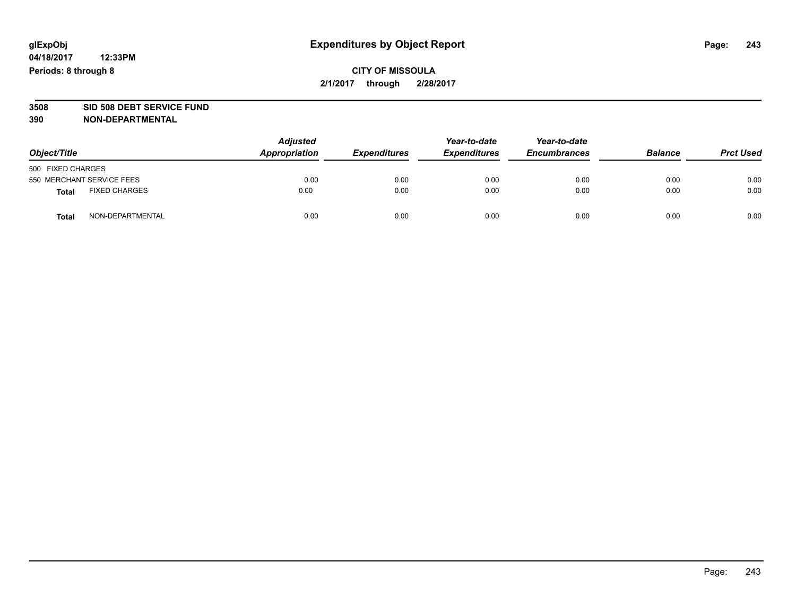## **CITY OF MISSOULA 2/1/2017 through 2/28/2017**

# **3508 SID 508 DEBT SERVICE FUND**

| Object/Title                         |                  | <b>Adjusted</b><br>Appropriation | <b>Expenditures</b> | Year-to-date<br><b>Expenditures</b> | Year-to-date<br><b>Encumbrances</b> | <b>Balance</b> | <b>Prct Used</b> |
|--------------------------------------|------------------|----------------------------------|---------------------|-------------------------------------|-------------------------------------|----------------|------------------|
| 500 FIXED CHARGES                    |                  |                                  |                     |                                     |                                     |                |                  |
| 550 MERCHANT SERVICE FEES            |                  | 0.00                             | 0.00                | 0.00                                | 0.00                                | 0.00           | 0.00             |
| <b>FIXED CHARGES</b><br><b>Total</b> |                  | 0.00                             | 0.00                | 0.00                                | 0.00                                | 0.00           | 0.00             |
| <b>Total</b>                         | NON-DEPARTMENTAL | 0.00                             | 0.00                | 0.00                                | 0.00                                | 0.00           | 0.00             |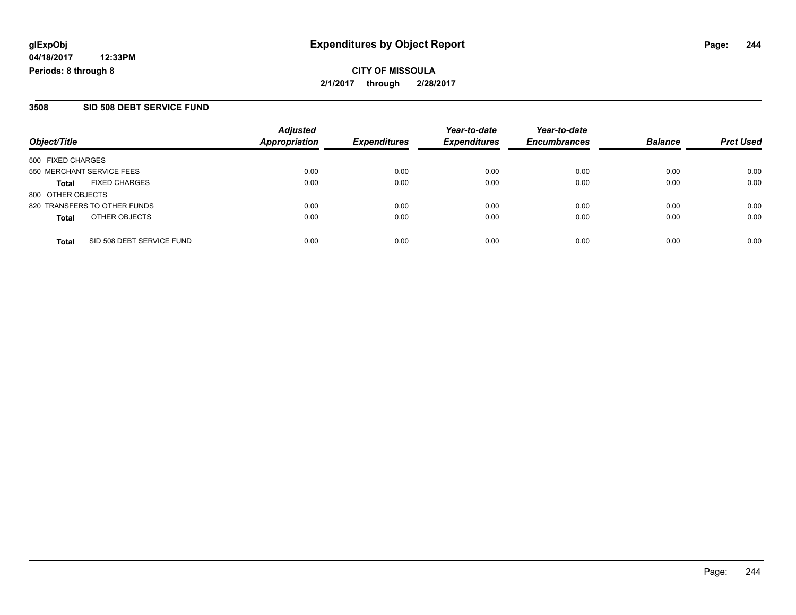## **CITY OF MISSOULA 2/1/2017 through 2/28/2017**

### **3508 SID 508 DEBT SERVICE FUND**

| Object/Title                              | <b>Adjusted</b><br>Appropriation | <b>Expenditures</b> | Year-to-date<br><b>Expenditures</b> | Year-to-date<br><b>Encumbrances</b> | <b>Balance</b> | <b>Prct Used</b> |
|-------------------------------------------|----------------------------------|---------------------|-------------------------------------|-------------------------------------|----------------|------------------|
| 500 FIXED CHARGES                         |                                  |                     |                                     |                                     |                |                  |
| 550 MERCHANT SERVICE FEES                 | 0.00                             | 0.00                | 0.00                                | 0.00                                | 0.00           | 0.00             |
| <b>FIXED CHARGES</b><br><b>Total</b>      | 0.00                             | 0.00                | 0.00                                | 0.00                                | 0.00           | 0.00             |
| 800 OTHER OBJECTS                         |                                  |                     |                                     |                                     |                |                  |
| 820 TRANSFERS TO OTHER FUNDS              | 0.00                             | 0.00                | 0.00                                | 0.00                                | 0.00           | 0.00             |
| OTHER OBJECTS<br><b>Total</b>             | 0.00                             | 0.00                | 0.00                                | 0.00                                | 0.00           | 0.00             |
| SID 508 DEBT SERVICE FUND<br><b>Total</b> | 0.00                             | 0.00                | 0.00                                | 0.00                                | 0.00           | 0.00             |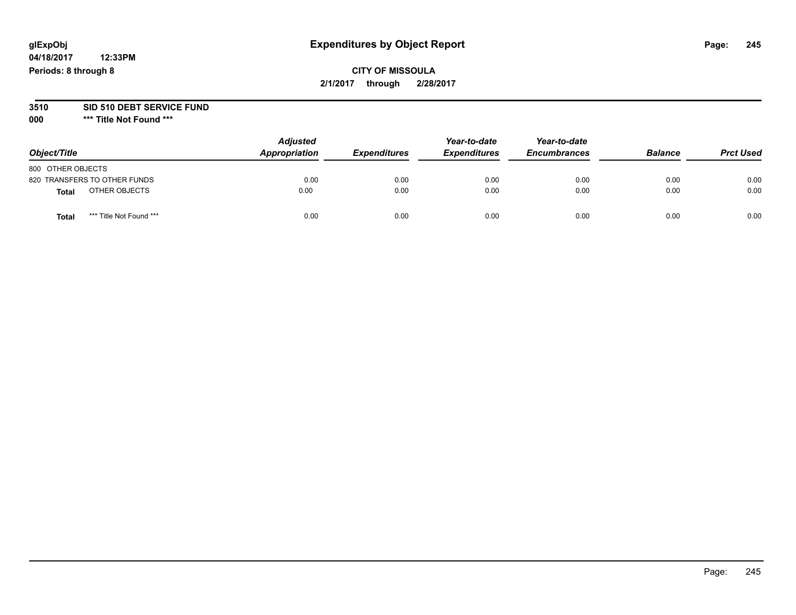**04/18/2017 12:33PM Periods: 8 through 8**

# **3510 SID 510 DEBT SERVICE FUND**

| Object/Title                     | <b>Adjusted</b><br>Appropriation | <b>Expenditures</b> | Year-to-date<br><b>Expenditures</b> | Year-to-date<br><b>Encumbrances</b> | <b>Balance</b> | <b>Prct Used</b> |
|----------------------------------|----------------------------------|---------------------|-------------------------------------|-------------------------------------|----------------|------------------|
| 800 OTHER OBJECTS                |                                  |                     |                                     |                                     |                |                  |
| 820 TRANSFERS TO OTHER FUNDS     | 0.00                             | 0.00                | 0.00                                | 0.00                                | 0.00           | 0.00             |
| OTHER OBJECTS<br><b>Total</b>    | 0.00                             | 0.00                | 0.00                                | 0.00                                | 0.00           | 0.00             |
| *** Title Not Found ***<br>Total | 0.00                             | 0.00                | 0.00                                | 0.00                                | 0.00           | 0.00             |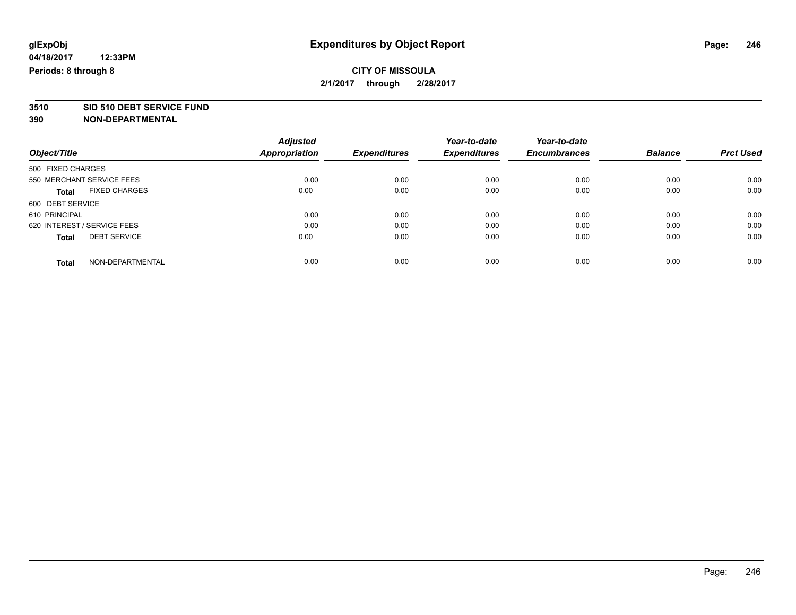# **3510 SID 510 DEBT SERVICE FUND**

|                                      | <b>Adjusted</b>      | <b>Expenditures</b> | Year-to-date<br><b>Expenditures</b> | Year-to-date<br><b>Encumbrances</b> | <b>Balance</b> | <b>Prct Used</b> |
|--------------------------------------|----------------------|---------------------|-------------------------------------|-------------------------------------|----------------|------------------|
| Object/Title                         | <b>Appropriation</b> |                     |                                     |                                     |                |                  |
| 500 FIXED CHARGES                    |                      |                     |                                     |                                     |                |                  |
| 550 MERCHANT SERVICE FEES            | 0.00                 | 0.00                | 0.00                                | 0.00                                | 0.00           | 0.00             |
| <b>FIXED CHARGES</b><br><b>Total</b> | 0.00                 | 0.00                | 0.00                                | 0.00                                | 0.00           | 0.00             |
| 600 DEBT SERVICE                     |                      |                     |                                     |                                     |                |                  |
| 610 PRINCIPAL                        | 0.00                 | 0.00                | 0.00                                | 0.00                                | 0.00           | 0.00             |
| 620 INTEREST / SERVICE FEES          | 0.00                 | 0.00                | 0.00                                | 0.00                                | 0.00           | 0.00             |
| <b>DEBT SERVICE</b><br><b>Total</b>  | 0.00                 | 0.00                | 0.00                                | 0.00                                | 0.00           | 0.00             |
| NON-DEPARTMENTAL<br><b>Total</b>     | 0.00                 | 0.00                | 0.00                                | 0.00                                | 0.00           | 0.00             |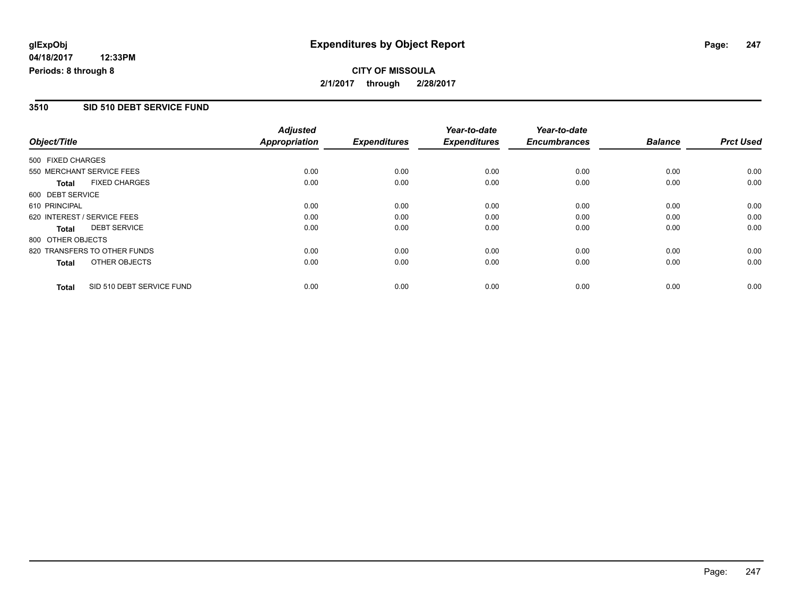## **CITY OF MISSOULA 2/1/2017 through 2/28/2017**

### **3510 SID 510 DEBT SERVICE FUND**

| Object/Title                 |                           | <b>Adjusted</b><br><b>Appropriation</b> | <b>Expenditures</b> | Year-to-date<br><b>Expenditures</b> | Year-to-date<br><b>Encumbrances</b> | <b>Balance</b> | <b>Prct Used</b> |
|------------------------------|---------------------------|-----------------------------------------|---------------------|-------------------------------------|-------------------------------------|----------------|------------------|
| 500 FIXED CHARGES            |                           |                                         |                     |                                     |                                     |                |                  |
| 550 MERCHANT SERVICE FEES    |                           | 0.00                                    | 0.00                | 0.00                                | 0.00                                | 0.00           | 0.00             |
| Total                        | <b>FIXED CHARGES</b>      | 0.00                                    | 0.00                | 0.00                                | 0.00                                | 0.00           | 0.00             |
| 600 DEBT SERVICE             |                           |                                         |                     |                                     |                                     |                |                  |
| 610 PRINCIPAL                |                           | 0.00                                    | 0.00                | 0.00                                | 0.00                                | 0.00           | 0.00             |
| 620 INTEREST / SERVICE FEES  |                           | 0.00                                    | 0.00                | 0.00                                | 0.00                                | 0.00           | 0.00             |
| Total                        | <b>DEBT SERVICE</b>       | 0.00                                    | 0.00                | 0.00                                | 0.00                                | 0.00           | 0.00             |
| 800 OTHER OBJECTS            |                           |                                         |                     |                                     |                                     |                |                  |
| 820 TRANSFERS TO OTHER FUNDS |                           | 0.00                                    | 0.00                | 0.00                                | 0.00                                | 0.00           | 0.00             |
| Total                        | OTHER OBJECTS             | 0.00                                    | 0.00                | 0.00                                | 0.00                                | 0.00           | 0.00             |
| <b>Total</b>                 | SID 510 DEBT SERVICE FUND | 0.00                                    | 0.00                | 0.00                                | 0.00                                | 0.00           | 0.00             |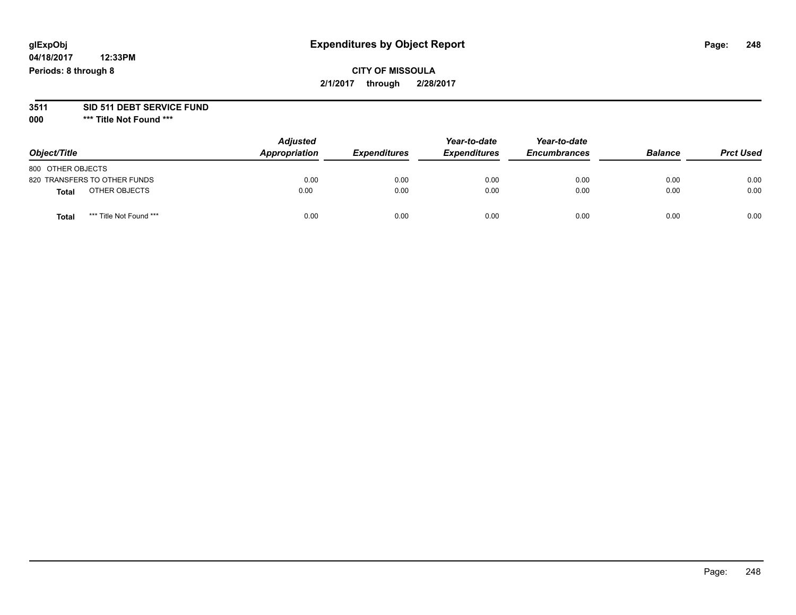**04/18/2017 12:33PM Periods: 8 through 8**

## **CITY OF MISSOULA 2/1/2017 through 2/28/2017**

# **3511 SID 511 DEBT SERVICE FUND**

| Object/Title                 |                         | <b>Adjusted</b><br>Appropriation | <b>Expenditures</b> | Year-to-date<br><b>Expenditures</b> | Year-to-date<br><b>Encumbrances</b> | <b>Balance</b> | <b>Prct Used</b> |
|------------------------------|-------------------------|----------------------------------|---------------------|-------------------------------------|-------------------------------------|----------------|------------------|
| 800 OTHER OBJECTS            |                         |                                  |                     |                                     |                                     |                |                  |
| 820 TRANSFERS TO OTHER FUNDS |                         | 0.00                             | 0.00                | 0.00                                | 0.00                                | 0.00           | 0.00             |
| Total                        | OTHER OBJECTS           | 0.00                             | 0.00                | 0.00                                | 0.00                                | 0.00           | 0.00             |
| Tota                         | *** Title Not Found *** | 0.00                             | 0.00                | 0.00                                | 0.00                                | 0.00           | 0.00             |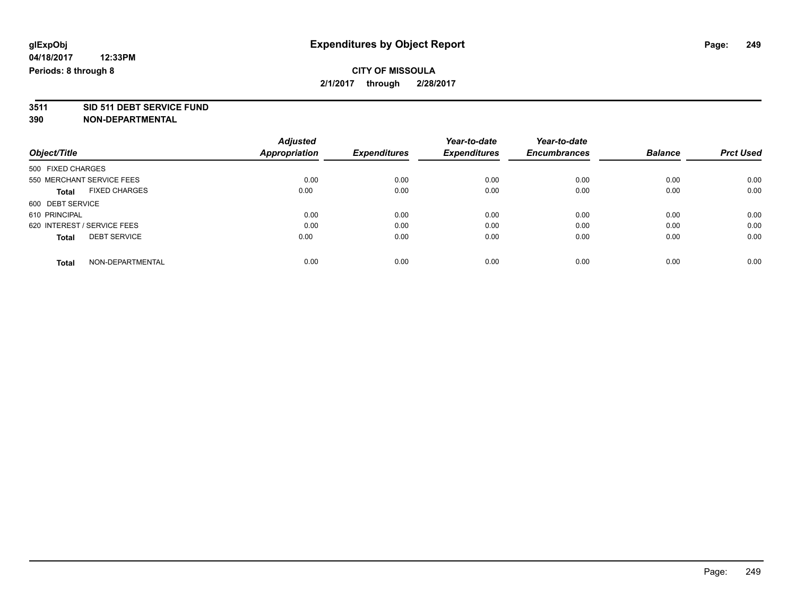## **CITY OF MISSOULA 2/1/2017 through 2/28/2017**

**3511 SID 511 DEBT SERVICE FUND**

| Object/Title                |                      | <b>Adjusted</b> |                     | Year-to-date        | Year-to-date        |                |                  |
|-----------------------------|----------------------|-----------------|---------------------|---------------------|---------------------|----------------|------------------|
|                             |                      | Appropriation   | <b>Expenditures</b> | <b>Expenditures</b> | <b>Encumbrances</b> | <b>Balance</b> | <b>Prct Used</b> |
| 500 FIXED CHARGES           |                      |                 |                     |                     |                     |                |                  |
| 550 MERCHANT SERVICE FEES   |                      | 0.00            | 0.00                | 0.00                | 0.00                | 0.00           | 0.00             |
| <b>Total</b>                | <b>FIXED CHARGES</b> | 0.00            | 0.00                | 0.00                | 0.00                | 0.00           | 0.00             |
| 600 DEBT SERVICE            |                      |                 |                     |                     |                     |                |                  |
| 610 PRINCIPAL               |                      | 0.00            | 0.00                | 0.00                | 0.00                | 0.00           | 0.00             |
| 620 INTEREST / SERVICE FEES |                      | 0.00            | 0.00                | 0.00                | 0.00                | 0.00           | 0.00             |
| <b>Total</b>                | <b>DEBT SERVICE</b>  | 0.00            | 0.00                | 0.00                | 0.00                | 0.00           | 0.00             |
| <b>Total</b>                | NON-DEPARTMENTAL     | 0.00            | 0.00                | 0.00                | 0.00                | 0.00           | 0.00             |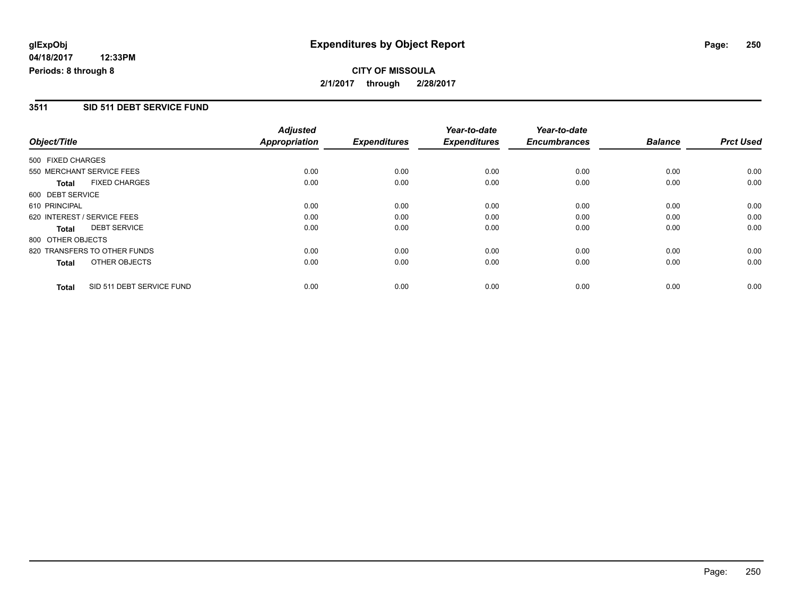## **CITY OF MISSOULA 2/1/2017 through 2/28/2017**

### **3511 SID 511 DEBT SERVICE FUND**

|                             |                              | <b>Adjusted</b>      |                     | Year-to-date        | Year-to-date        |                |                  |
|-----------------------------|------------------------------|----------------------|---------------------|---------------------|---------------------|----------------|------------------|
| Object/Title                |                              | <b>Appropriation</b> | <b>Expenditures</b> | <b>Expenditures</b> | <b>Encumbrances</b> | <b>Balance</b> | <b>Prct Used</b> |
| 500 FIXED CHARGES           |                              |                      |                     |                     |                     |                |                  |
|                             | 550 MERCHANT SERVICE FEES    | 0.00                 | 0.00                | 0.00                | 0.00                | 0.00           | 0.00             |
| <b>Total</b>                | <b>FIXED CHARGES</b>         | 0.00                 | 0.00                | 0.00                | 0.00                | 0.00           | 0.00             |
| 600 DEBT SERVICE            |                              |                      |                     |                     |                     |                |                  |
| 610 PRINCIPAL               |                              | 0.00                 | 0.00                | 0.00                | 0.00                | 0.00           | 0.00             |
| 620 INTEREST / SERVICE FEES |                              | 0.00                 | 0.00                | 0.00                | 0.00                | 0.00           | 0.00             |
| <b>Total</b>                | <b>DEBT SERVICE</b>          | 0.00                 | 0.00                | 0.00                | 0.00                | 0.00           | 0.00             |
| 800 OTHER OBJECTS           |                              |                      |                     |                     |                     |                |                  |
|                             | 820 TRANSFERS TO OTHER FUNDS | 0.00                 | 0.00                | 0.00                | 0.00                | 0.00           | 0.00             |
| <b>Total</b>                | OTHER OBJECTS                | 0.00                 | 0.00                | 0.00                | 0.00                | 0.00           | 0.00             |
| <b>Total</b>                | SID 511 DEBT SERVICE FUND    | 0.00                 | 0.00                | 0.00                | 0.00                | 0.00           | 0.00             |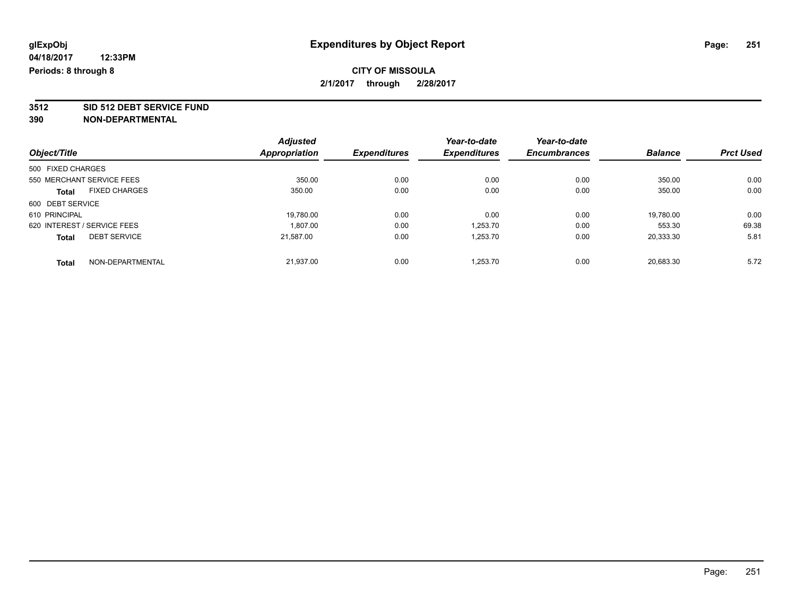## **CITY OF MISSOULA 2/1/2017 through 2/28/2017**

**3512 SID 512 DEBT SERVICE FUND**

|                                      | <b>Adjusted</b> |                     | Year-to-date        | Year-to-date        | <b>Balance</b> | <b>Prct Used</b> |
|--------------------------------------|-----------------|---------------------|---------------------|---------------------|----------------|------------------|
| Object/Title                         | Appropriation   | <b>Expenditures</b> | <b>Expenditures</b> | <b>Encumbrances</b> |                |                  |
| 500 FIXED CHARGES                    |                 |                     |                     |                     |                |                  |
| 550 MERCHANT SERVICE FEES            | 350.00          | 0.00                | 0.00                | 0.00                | 350.00         | 0.00             |
| <b>FIXED CHARGES</b><br><b>Total</b> | 350.00          | 0.00                | 0.00                | 0.00                | 350.00         | 0.00             |
| 600 DEBT SERVICE                     |                 |                     |                     |                     |                |                  |
| 610 PRINCIPAL                        | 19.780.00       | 0.00                | 0.00                | 0.00                | 19.780.00      | 0.00             |
| 620 INTEREST / SERVICE FEES          | 1.807.00        | 0.00                | 1.253.70            | 0.00                | 553.30         | 69.38            |
| <b>DEBT SERVICE</b><br><b>Total</b>  | 21,587.00       | 0.00                | 1,253.70            | 0.00                | 20,333.30      | 5.81             |
| NON-DEPARTMENTAL<br><b>Total</b>     | 21.937.00       | 0.00                | 1.253.70            | 0.00                | 20.683.30      | 5.72             |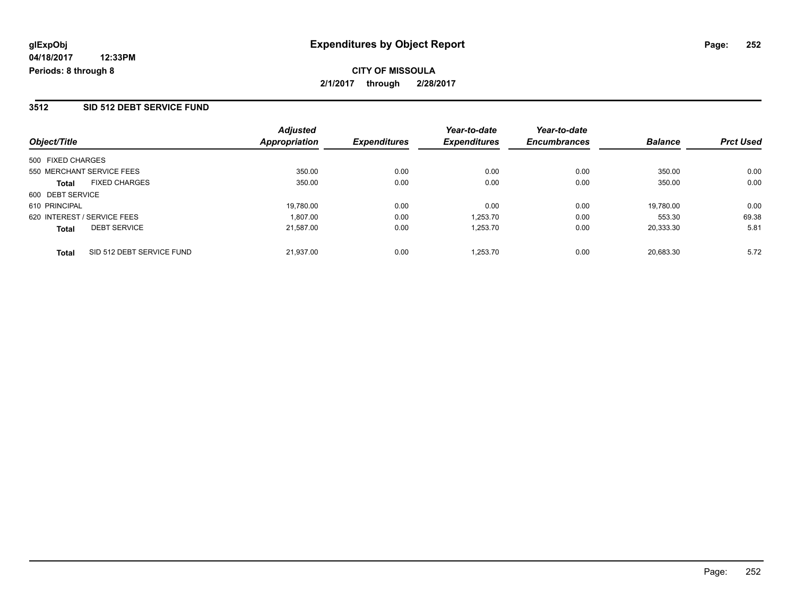**CITY OF MISSOULA 2/1/2017 through 2/28/2017**

#### **3512 SID 512 DEBT SERVICE FUND**

| Object/Title                              | <b>Adjusted</b><br><b>Appropriation</b> | <b>Expenditures</b> | Year-to-date<br><b>Expenditures</b> | Year-to-date<br><b>Encumbrances</b> | <b>Balance</b> | <b>Prct Used</b> |
|-------------------------------------------|-----------------------------------------|---------------------|-------------------------------------|-------------------------------------|----------------|------------------|
| 500 FIXED CHARGES                         |                                         |                     |                                     |                                     |                |                  |
| 550 MERCHANT SERVICE FEES                 | 350.00                                  | 0.00                | 0.00                                | 0.00                                | 350.00         | 0.00             |
| <b>FIXED CHARGES</b><br><b>Total</b>      | 350.00                                  | 0.00                | 0.00                                | 0.00                                | 350.00         | 0.00             |
| 600 DEBT SERVICE                          |                                         |                     |                                     |                                     |                |                  |
| 610 PRINCIPAL                             | 19,780.00                               | 0.00                | 0.00                                | 0.00                                | 19,780.00      | 0.00             |
| 620 INTEREST / SERVICE FEES               | 1.807.00                                | 0.00                | 1,253.70                            | 0.00                                | 553.30         | 69.38            |
| <b>DEBT SERVICE</b><br><b>Total</b>       | 21.587.00                               | 0.00                | 1,253.70                            | 0.00                                | 20,333.30      | 5.81             |
| SID 512 DEBT SERVICE FUND<br><b>Total</b> | 21.937.00                               | 0.00                | 1.253.70                            | 0.00                                | 20.683.30      | 5.72             |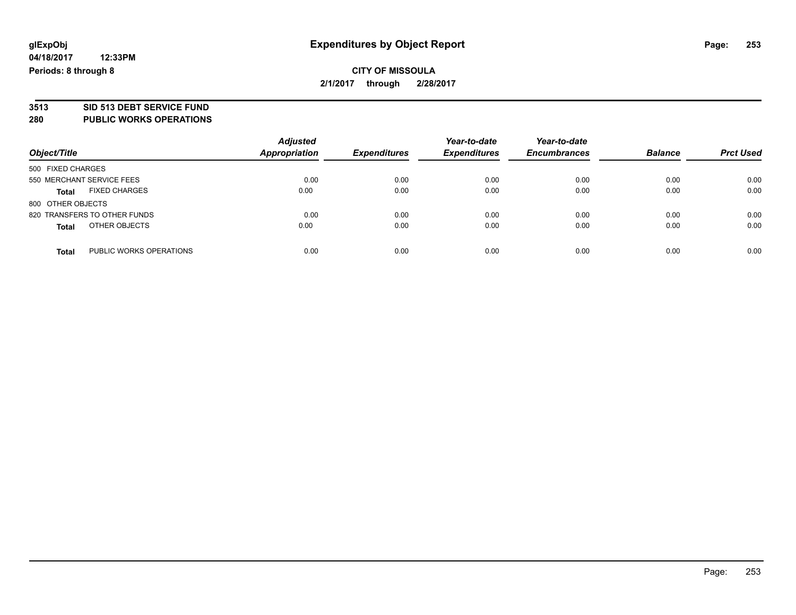# **3513 SID 513 DEBT SERVICE FUND**

**280 PUBLIC WORKS OPERATIONS**

| Object/Title                            | <b>Adjusted</b><br><b>Appropriation</b> | <b>Expenditures</b> | Year-to-date<br><b>Expenditures</b> | Year-to-date<br><b>Encumbrances</b> | <b>Balance</b> | <b>Prct Used</b> |
|-----------------------------------------|-----------------------------------------|---------------------|-------------------------------------|-------------------------------------|----------------|------------------|
| 500 FIXED CHARGES                       |                                         |                     |                                     |                                     |                |                  |
| 550 MERCHANT SERVICE FEES               | 0.00                                    | 0.00                | 0.00                                | 0.00                                | 0.00           | 0.00             |
| <b>FIXED CHARGES</b><br>Total           | 0.00                                    | 0.00                | 0.00                                | 0.00                                | 0.00           | 0.00             |
| 800 OTHER OBJECTS                       |                                         |                     |                                     |                                     |                |                  |
| 820 TRANSFERS TO OTHER FUNDS            | 0.00                                    | 0.00                | 0.00                                | 0.00                                | 0.00           | 0.00             |
| OTHER OBJECTS<br><b>Total</b>           | 0.00                                    | 0.00                | 0.00                                | 0.00                                | 0.00           | 0.00             |
| PUBLIC WORKS OPERATIONS<br><b>Total</b> | 0.00                                    | 0.00                | 0.00                                | 0.00                                | 0.00           | 0.00             |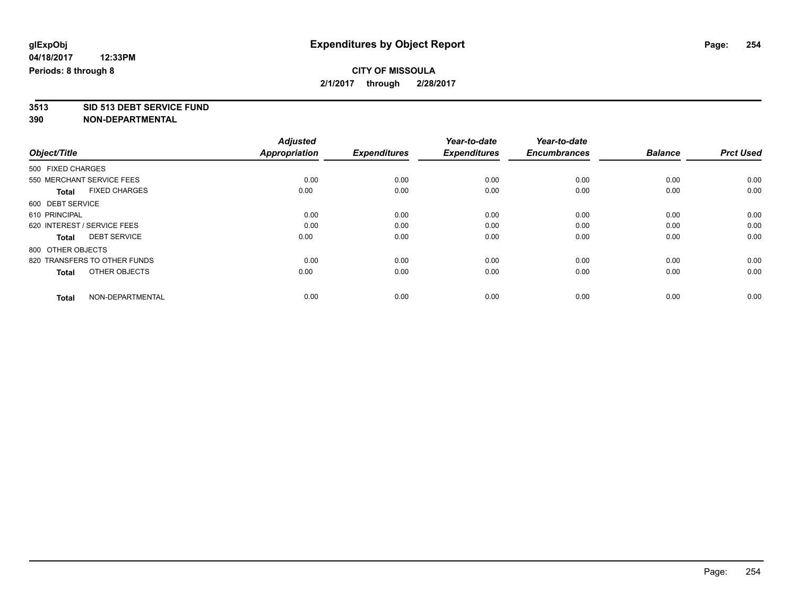## **CITY OF MISSOULA 2/1/2017 through 2/28/2017**

**3513 SID 513 DEBT SERVICE FUND**

|                                      | <b>Adjusted</b>      |                     | Year-to-date        | Year-to-date        |                |                  |
|--------------------------------------|----------------------|---------------------|---------------------|---------------------|----------------|------------------|
| Object/Title                         | <b>Appropriation</b> | <b>Expenditures</b> | <b>Expenditures</b> | <b>Encumbrances</b> | <b>Balance</b> | <b>Prct Used</b> |
| 500 FIXED CHARGES                    |                      |                     |                     |                     |                |                  |
| 550 MERCHANT SERVICE FEES            | 0.00                 | 0.00                | 0.00                | 0.00                | 0.00           | 0.00             |
| <b>FIXED CHARGES</b><br><b>Total</b> | 0.00                 | 0.00                | 0.00                | 0.00                | 0.00           | 0.00             |
| 600 DEBT SERVICE                     |                      |                     |                     |                     |                |                  |
| 610 PRINCIPAL                        | 0.00                 | 0.00                | 0.00                | 0.00                | 0.00           | 0.00             |
| 620 INTEREST / SERVICE FEES          | 0.00                 | 0.00                | 0.00                | 0.00                | 0.00           | 0.00             |
| <b>DEBT SERVICE</b><br>Total         | 0.00                 | 0.00                | 0.00                | 0.00                | 0.00           | 0.00             |
| 800 OTHER OBJECTS                    |                      |                     |                     |                     |                |                  |
| 820 TRANSFERS TO OTHER FUNDS         | 0.00                 | 0.00                | 0.00                | 0.00                | 0.00           | 0.00             |
| OTHER OBJECTS<br><b>Total</b>        | 0.00                 | 0.00                | 0.00                | 0.00                | 0.00           | 0.00             |
|                                      |                      |                     |                     |                     |                |                  |
| NON-DEPARTMENTAL<br><b>Total</b>     | 0.00                 | 0.00                | 0.00                | 0.00                | 0.00           | 0.00             |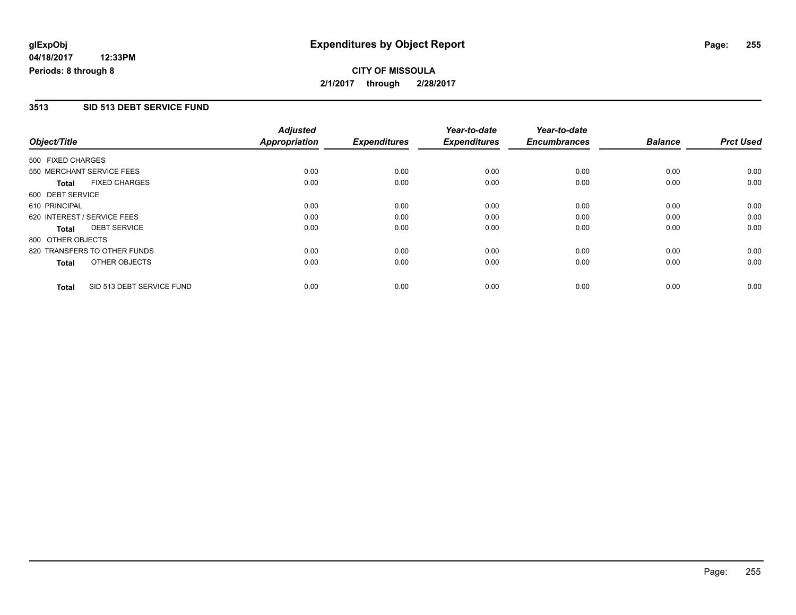## **CITY OF MISSOULA 2/1/2017 through 2/28/2017**

#### **3513 SID 513 DEBT SERVICE FUND**

| Object/Title      |                              | <b>Adjusted</b><br><b>Appropriation</b> | <b>Expenditures</b> | Year-to-date<br><b>Expenditures</b> | Year-to-date<br><b>Encumbrances</b> | <b>Balance</b> | <b>Prct Used</b> |
|-------------------|------------------------------|-----------------------------------------|---------------------|-------------------------------------|-------------------------------------|----------------|------------------|
| 500 FIXED CHARGES |                              |                                         |                     |                                     |                                     |                |                  |
|                   | 550 MERCHANT SERVICE FEES    | 0.00                                    | 0.00                | 0.00                                | 0.00                                | 0.00           | 0.00             |
| <b>Total</b>      | <b>FIXED CHARGES</b>         | 0.00                                    | 0.00                | 0.00                                | 0.00                                | 0.00           | 0.00             |
| 600 DEBT SERVICE  |                              |                                         |                     |                                     |                                     |                |                  |
| 610 PRINCIPAL     |                              | 0.00                                    | 0.00                | 0.00                                | 0.00                                | 0.00           | 0.00             |
|                   | 620 INTEREST / SERVICE FEES  | 0.00                                    | 0.00                | 0.00                                | 0.00                                | 0.00           | 0.00             |
| <b>Total</b>      | <b>DEBT SERVICE</b>          | 0.00                                    | 0.00                | 0.00                                | 0.00                                | 0.00           | 0.00             |
| 800 OTHER OBJECTS |                              |                                         |                     |                                     |                                     |                |                  |
|                   | 820 TRANSFERS TO OTHER FUNDS | 0.00                                    | 0.00                | 0.00                                | 0.00                                | 0.00           | 0.00             |
| <b>Total</b>      | OTHER OBJECTS                | 0.00                                    | 0.00                | 0.00                                | 0.00                                | 0.00           | 0.00             |
| <b>Total</b>      | SID 513 DEBT SERVICE FUND    | 0.00                                    | 0.00                | 0.00                                | 0.00                                | 0.00           | 0.00             |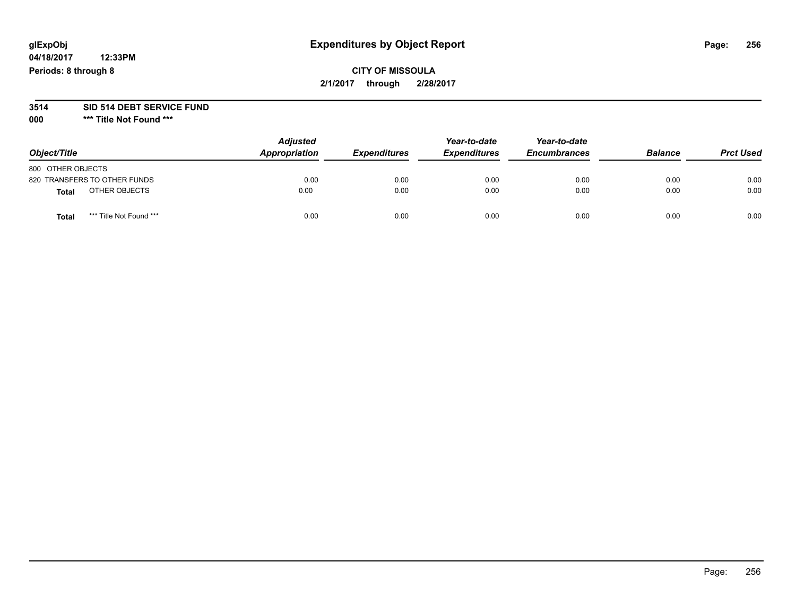# **glExpObj Expenditures by Object Report Page: 256**

**04/18/2017 12:33PM Periods: 8 through 8**

#### **3514 SID 514 DEBT SERVICE FUND**

**000 \*\*\* Title Not Found \*\*\***

| Object/Title                     | <b>Adjusted</b><br>Appropriation | <b>Expenditures</b> | Year-to-date<br><b>Expenditures</b> | Year-to-date<br><b>Encumbrances</b> | <b>Balance</b> | <b>Prct Used</b> |
|----------------------------------|----------------------------------|---------------------|-------------------------------------|-------------------------------------|----------------|------------------|
| 800 OTHER OBJECTS                |                                  |                     |                                     |                                     |                |                  |
| 820 TRANSFERS TO OTHER FUNDS     | 0.00                             | 0.00                | 0.00                                | 0.00                                | 0.00           | 0.00             |
| OTHER OBJECTS<br><b>Total</b>    | 0.00                             | 0.00                | 0.00                                | 0.00                                | 0.00           | 0.00             |
| *** Title Not Found ***<br>Total | 0.00                             | 0.00                | 0.00                                | 0.00                                | 0.00           | 0.00             |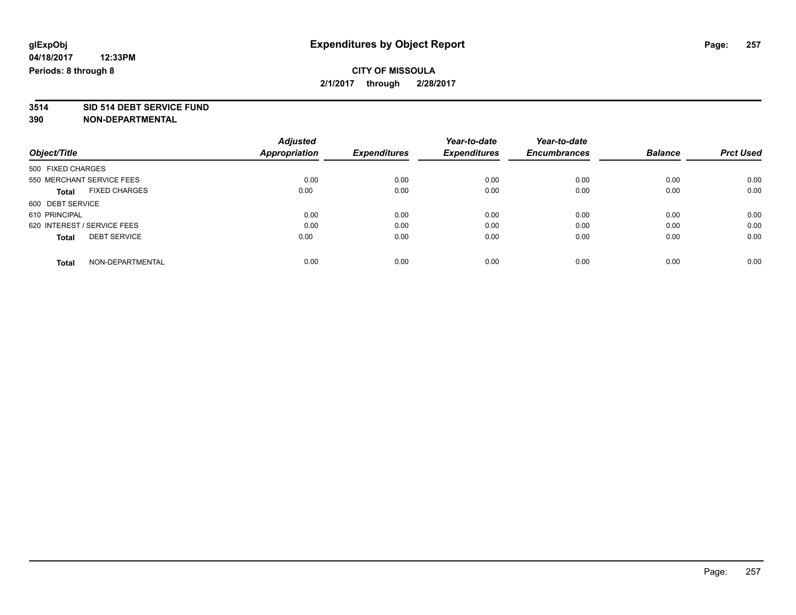**2/1/2017 through 2/28/2017**

# **3514 SID 514 DEBT SERVICE FUND**

**390 NON-DEPARTMENTAL**

|                                      | <b>Adjusted</b> |                     | Year-to-date        | Year-to-date        |                |                  |
|--------------------------------------|-----------------|---------------------|---------------------|---------------------|----------------|------------------|
| Object/Title                         | Appropriation   | <b>Expenditures</b> | <b>Expenditures</b> | <b>Encumbrances</b> | <b>Balance</b> | <b>Prct Used</b> |
| 500 FIXED CHARGES                    |                 |                     |                     |                     |                |                  |
| 550 MERCHANT SERVICE FEES            | 0.00            | 0.00                | 0.00                | 0.00                | 0.00           | 0.00             |
| <b>FIXED CHARGES</b><br><b>Total</b> | 0.00            | 0.00                | 0.00                | 0.00                | 0.00           | 0.00             |
| 600 DEBT SERVICE                     |                 |                     |                     |                     |                |                  |
| 610 PRINCIPAL                        | 0.00            | 0.00                | 0.00                | 0.00                | 0.00           | 0.00             |
| 620 INTEREST / SERVICE FEES          | 0.00            | 0.00                | 0.00                | 0.00                | 0.00           | 0.00             |
| <b>DEBT SERVICE</b><br><b>Total</b>  | 0.00            | 0.00                | 0.00                | 0.00                | 0.00           | 0.00             |
| NON-DEPARTMENTAL<br><b>Total</b>     | 0.00            | 0.00                | 0.00                | 0.00                | 0.00           | 0.00             |

Page: 257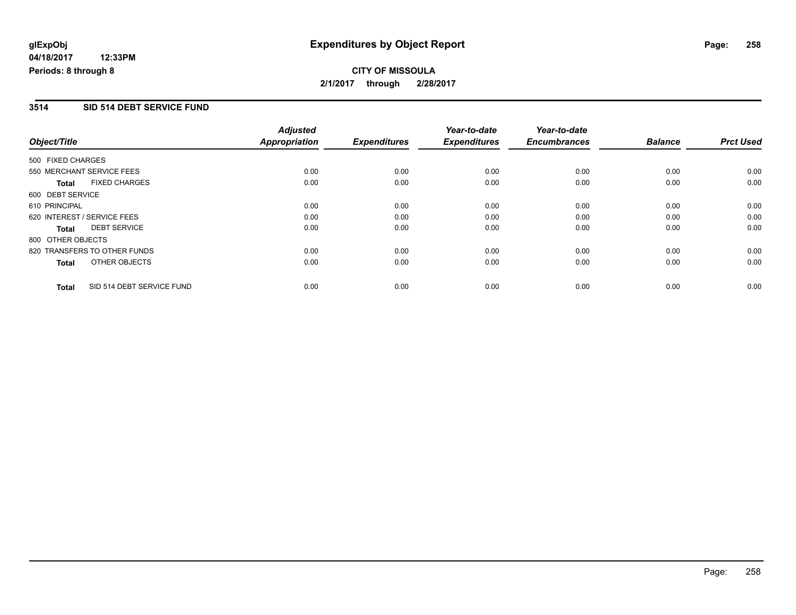## **CITY OF MISSOULA 2/1/2017 through 2/28/2017**

#### **3514 SID 514 DEBT SERVICE FUND**

|                   |                              | <b>Adjusted</b>      |                     | Year-to-date        | Year-to-date        |                |                  |
|-------------------|------------------------------|----------------------|---------------------|---------------------|---------------------|----------------|------------------|
| Object/Title      |                              | <b>Appropriation</b> | <b>Expenditures</b> | <b>Expenditures</b> | <b>Encumbrances</b> | <b>Balance</b> | <b>Prct Used</b> |
| 500 FIXED CHARGES |                              |                      |                     |                     |                     |                |                  |
|                   | 550 MERCHANT SERVICE FEES    | 0.00                 | 0.00                | 0.00                | 0.00                | 0.00           | 0.00             |
| <b>Total</b>      | <b>FIXED CHARGES</b>         | 0.00                 | 0.00                | 0.00                | 0.00                | 0.00           | 0.00             |
| 600 DEBT SERVICE  |                              |                      |                     |                     |                     |                |                  |
| 610 PRINCIPAL     |                              | 0.00                 | 0.00                | 0.00                | 0.00                | 0.00           | 0.00             |
|                   | 620 INTEREST / SERVICE FEES  | 0.00                 | 0.00                | 0.00                | 0.00                | 0.00           | 0.00             |
| <b>Total</b>      | <b>DEBT SERVICE</b>          | 0.00                 | 0.00                | 0.00                | 0.00                | 0.00           | 0.00             |
| 800 OTHER OBJECTS |                              |                      |                     |                     |                     |                |                  |
|                   | 820 TRANSFERS TO OTHER FUNDS | 0.00                 | 0.00                | 0.00                | 0.00                | 0.00           | 0.00             |
| <b>Total</b>      | OTHER OBJECTS                | 0.00                 | 0.00                | 0.00                | 0.00                | 0.00           | 0.00             |
| <b>Total</b>      | SID 514 DEBT SERVICE FUND    | 0.00                 | 0.00                | 0.00                | 0.00                | 0.00           | 0.00             |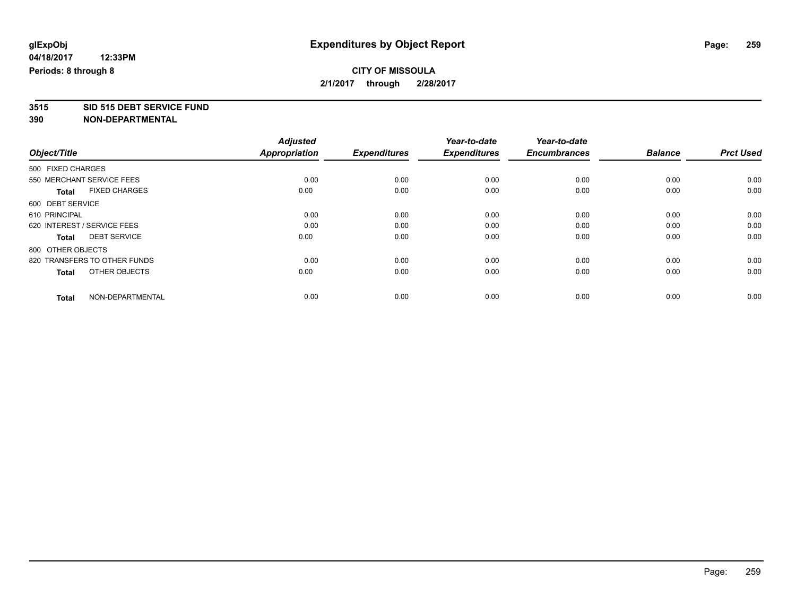## **CITY OF MISSOULA 2/1/2017 through 2/28/2017**

**3515 SID 515 DEBT SERVICE FUND**

|                                      | <b>Adjusted</b>      |                     | Year-to-date        | Year-to-date        |                |                  |
|--------------------------------------|----------------------|---------------------|---------------------|---------------------|----------------|------------------|
| Object/Title                         | <b>Appropriation</b> | <b>Expenditures</b> | <b>Expenditures</b> | <b>Encumbrances</b> | <b>Balance</b> | <b>Prct Used</b> |
| 500 FIXED CHARGES                    |                      |                     |                     |                     |                |                  |
| 550 MERCHANT SERVICE FEES            | 0.00                 | 0.00                | 0.00                | 0.00                | 0.00           | 0.00             |
| <b>FIXED CHARGES</b><br><b>Total</b> | 0.00                 | 0.00                | 0.00                | 0.00                | 0.00           | 0.00             |
| 600 DEBT SERVICE                     |                      |                     |                     |                     |                |                  |
| 610 PRINCIPAL                        | 0.00                 | 0.00                | 0.00                | 0.00                | 0.00           | 0.00             |
| 620 INTEREST / SERVICE FEES          | 0.00                 | 0.00                | 0.00                | 0.00                | 0.00           | 0.00             |
| <b>DEBT SERVICE</b><br>Total         | 0.00                 | 0.00                | 0.00                | 0.00                | 0.00           | 0.00             |
| 800 OTHER OBJECTS                    |                      |                     |                     |                     |                |                  |
| 820 TRANSFERS TO OTHER FUNDS         | 0.00                 | 0.00                | 0.00                | 0.00                | 0.00           | 0.00             |
| OTHER OBJECTS<br><b>Total</b>        | 0.00                 | 0.00                | 0.00                | 0.00                | 0.00           | 0.00             |
|                                      |                      |                     |                     |                     |                |                  |
| NON-DEPARTMENTAL<br><b>Total</b>     | 0.00                 | 0.00                | 0.00                | 0.00                | 0.00           | 0.00             |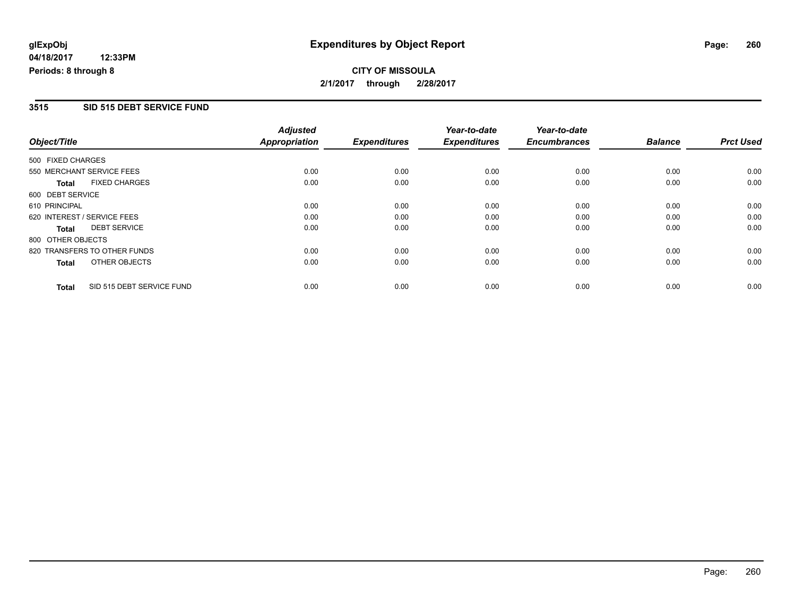## **CITY OF MISSOULA 2/1/2017 through 2/28/2017**

#### **3515 SID 515 DEBT SERVICE FUND**

|                   |                              | <b>Adjusted</b>      |                     | Year-to-date        | Year-to-date        |                |                  |
|-------------------|------------------------------|----------------------|---------------------|---------------------|---------------------|----------------|------------------|
| Object/Title      |                              | <b>Appropriation</b> | <b>Expenditures</b> | <b>Expenditures</b> | <b>Encumbrances</b> | <b>Balance</b> | <b>Prct Used</b> |
| 500 FIXED CHARGES |                              |                      |                     |                     |                     |                |                  |
|                   | 550 MERCHANT SERVICE FEES    | 0.00                 | 0.00                | 0.00                | 0.00                | 0.00           | 0.00             |
| <b>Total</b>      | <b>FIXED CHARGES</b>         | 0.00                 | 0.00                | 0.00                | 0.00                | 0.00           | 0.00             |
| 600 DEBT SERVICE  |                              |                      |                     |                     |                     |                |                  |
| 610 PRINCIPAL     |                              | 0.00                 | 0.00                | 0.00                | 0.00                | 0.00           | 0.00             |
|                   | 620 INTEREST / SERVICE FEES  | 0.00                 | 0.00                | 0.00                | 0.00                | 0.00           | 0.00             |
| Total             | <b>DEBT SERVICE</b>          | 0.00                 | 0.00                | 0.00                | 0.00                | 0.00           | 0.00             |
| 800 OTHER OBJECTS |                              |                      |                     |                     |                     |                |                  |
|                   | 820 TRANSFERS TO OTHER FUNDS | 0.00                 | 0.00                | 0.00                | 0.00                | 0.00           | 0.00             |
| Total             | OTHER OBJECTS                | 0.00                 | 0.00                | 0.00                | 0.00                | 0.00           | 0.00             |
| <b>Total</b>      | SID 515 DEBT SERVICE FUND    | 0.00                 | 0.00                | 0.00                | 0.00                | 0.00           | 0.00             |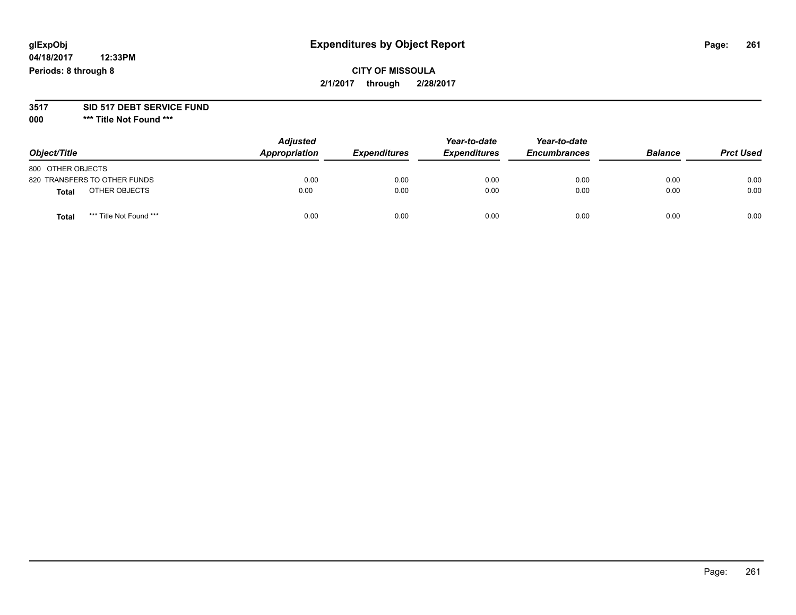# **glExpObj Expenditures by Object Report Page: 261**

**04/18/2017 12:33PM Periods: 8 through 8**

#### **3517 SID 517 DEBT SERVICE FUND**

**000 \*\*\* Title Not Found \*\*\***

| Object/Title                     | <b>Adjusted</b><br>Appropriation | <b>Expenditures</b> | Year-to-date<br><b>Expenditures</b> | Year-to-date<br><b>Encumbrances</b> | <b>Balance</b> | <b>Prct Used</b> |
|----------------------------------|----------------------------------|---------------------|-------------------------------------|-------------------------------------|----------------|------------------|
| 800 OTHER OBJECTS                |                                  |                     |                                     |                                     |                |                  |
| 820 TRANSFERS TO OTHER FUNDS     | 0.00                             | 0.00                | 0.00                                | 0.00                                | 0.00           | 0.00             |
| OTHER OBJECTS<br>Total           | 0.00                             | 0.00                | 0.00                                | 0.00                                | 0.00           | 0.00             |
| *** Title Not Found ***<br>Total | 0.00                             | 0.00                | 0.00                                | 0.00                                | 0.00           | 0.00             |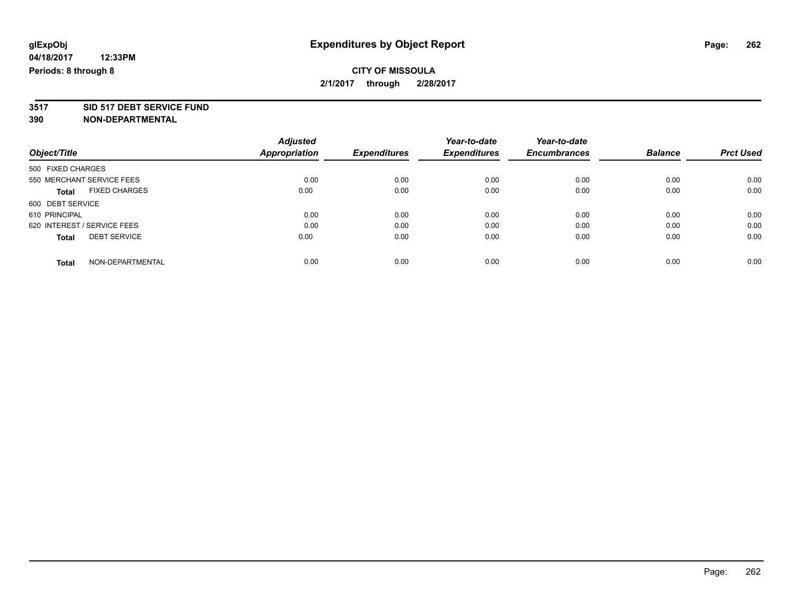## **CITY OF MISSOULA 2/1/2017 through 2/28/2017**

# **3517 SID 517 DEBT SERVICE FUND**

|                                      | <b>Adjusted</b> |                     | Year-to-date        | Year-to-date        |                |                  |
|--------------------------------------|-----------------|---------------------|---------------------|---------------------|----------------|------------------|
| Object/Title                         | Appropriation   | <b>Expenditures</b> | <b>Expenditures</b> | <b>Encumbrances</b> | <b>Balance</b> | <b>Prct Used</b> |
| 500 FIXED CHARGES                    |                 |                     |                     |                     |                |                  |
| 550 MERCHANT SERVICE FEES            | 0.00            | 0.00                | 0.00                | 0.00                | 0.00           | 0.00             |
| <b>FIXED CHARGES</b><br><b>Total</b> | 0.00            | 0.00                | 0.00                | 0.00                | 0.00           | 0.00             |
| 600 DEBT SERVICE                     |                 |                     |                     |                     |                |                  |
| 610 PRINCIPAL                        | 0.00            | 0.00                | 0.00                | 0.00                | 0.00           | 0.00             |
| 620 INTEREST / SERVICE FEES          | 0.00            | 0.00                | 0.00                | 0.00                | 0.00           | 0.00             |
| <b>DEBT SERVICE</b><br><b>Total</b>  | 0.00            | 0.00                | 0.00                | 0.00                | 0.00           | 0.00             |
| NON-DEPARTMENTAL<br>Total            | 0.00            | 0.00                | 0.00                | 0.00                | 0.00           | 0.00             |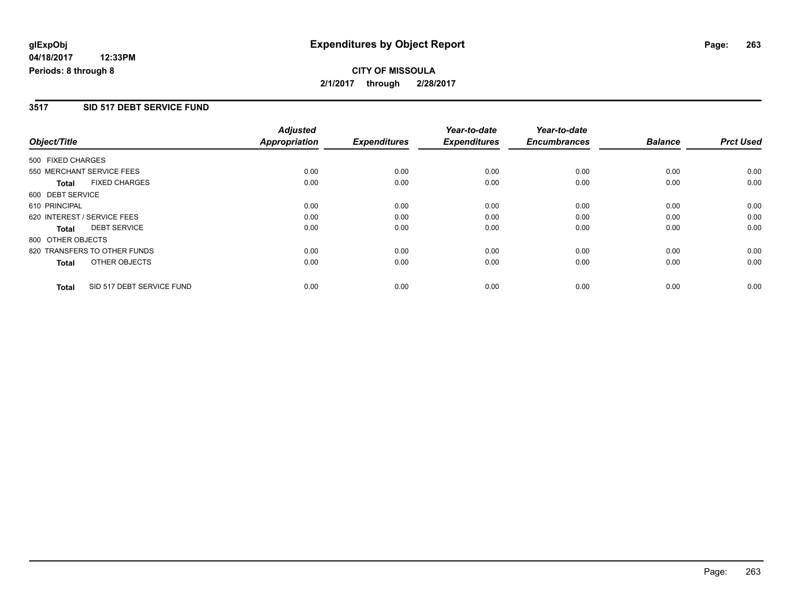**2/1/2017 through 2/28/2017**

#### **3517 SID 517 DEBT SERVICE FUND**

|                             |                              | <b>Adjusted</b> |                     | Year-to-date        | Year-to-date        |                |                  |
|-----------------------------|------------------------------|-----------------|---------------------|---------------------|---------------------|----------------|------------------|
| Object/Title                |                              | Appropriation   | <b>Expenditures</b> | <b>Expenditures</b> | <b>Encumbrances</b> | <b>Balance</b> | <b>Prct Used</b> |
| 500 FIXED CHARGES           |                              |                 |                     |                     |                     |                |                  |
| 550 MERCHANT SERVICE FEES   |                              | 0.00            | 0.00                | 0.00                | 0.00                | 0.00           | 0.00             |
| <b>Total</b>                | <b>FIXED CHARGES</b>         | 0.00            | 0.00                | 0.00                | 0.00                | 0.00           | 0.00             |
| 600 DEBT SERVICE            |                              |                 |                     |                     |                     |                |                  |
| 610 PRINCIPAL               |                              | 0.00            | 0.00                | 0.00                | 0.00                | 0.00           | 0.00             |
| 620 INTEREST / SERVICE FEES |                              | 0.00            | 0.00                | 0.00                | 0.00                | 0.00           | 0.00             |
| <b>Total</b>                | <b>DEBT SERVICE</b>          | 0.00            | 0.00                | 0.00                | 0.00                | 0.00           | 0.00             |
| 800 OTHER OBJECTS           |                              |                 |                     |                     |                     |                |                  |
|                             | 820 TRANSFERS TO OTHER FUNDS | 0.00            | 0.00                | 0.00                | 0.00                | 0.00           | 0.00             |
| <b>Total</b>                | OTHER OBJECTS                | 0.00            | 0.00                | 0.00                | 0.00                | 0.00           | 0.00             |
| <b>Total</b>                | SID 517 DEBT SERVICE FUND    | 0.00            | 0.00                | 0.00                | 0.00                | 0.00           | 0.00             |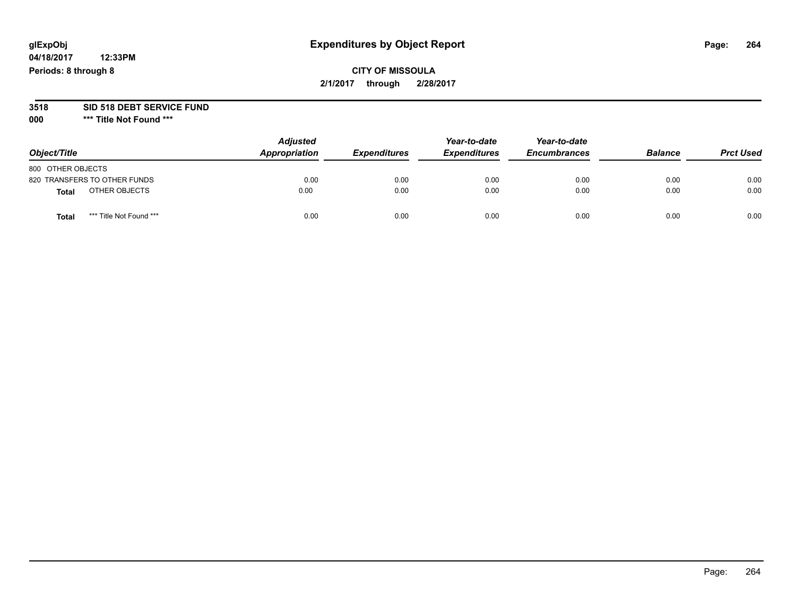# **glExpObj Expenditures by Object Report Page: 264**

**04/18/2017 12:33PM Periods: 8 through 8**

# **3518 SID 518 DEBT SERVICE FUND**

**000 \*\*\* Title Not Found \*\*\***

| Object/Title                     | <b>Adjusted</b><br>Appropriation | <b>Expenditures</b> | Year-to-date<br><b>Expenditures</b> | Year-to-date<br><b>Encumbrances</b> | <b>Balance</b> | <b>Prct Used</b> |
|----------------------------------|----------------------------------|---------------------|-------------------------------------|-------------------------------------|----------------|------------------|
| 800 OTHER OBJECTS                |                                  |                     |                                     |                                     |                |                  |
| 820 TRANSFERS TO OTHER FUNDS     | 0.00                             | 0.00                | 0.00                                | 0.00                                | 0.00           | 0.00             |
| OTHER OBJECTS<br><b>Total</b>    | 0.00                             | 0.00                | 0.00                                | 0.00                                | 0.00           | 0.00             |
| *** Title Not Found ***<br>Total | 0.00                             | 0.00                | 0.00                                | 0.00                                | 0.00           | 0.00             |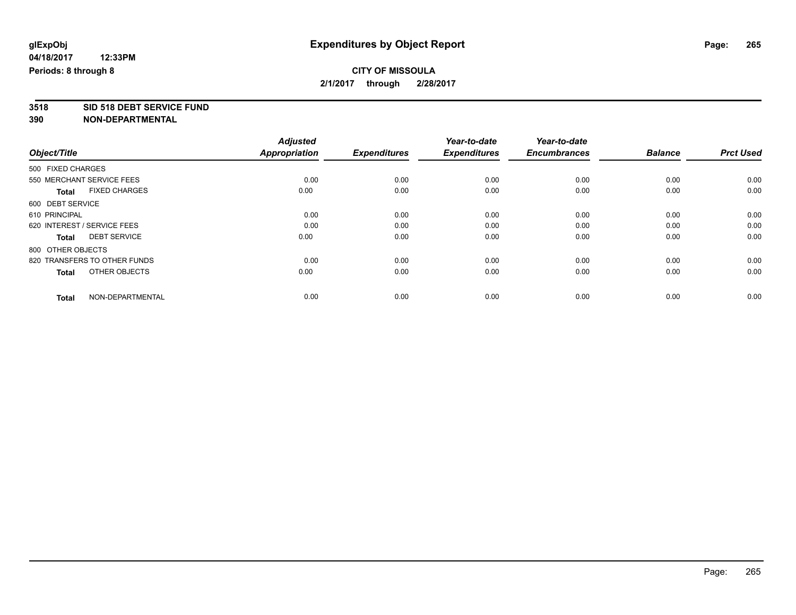## **CITY OF MISSOULA 2/1/2017 through 2/28/2017**

**3518 SID 518 DEBT SERVICE FUND**

|                                      | <b>Adjusted</b>      |                     | Year-to-date        | Year-to-date        |                |                  |
|--------------------------------------|----------------------|---------------------|---------------------|---------------------|----------------|------------------|
| Object/Title                         | <b>Appropriation</b> | <b>Expenditures</b> | <b>Expenditures</b> | <b>Encumbrances</b> | <b>Balance</b> | <b>Prct Used</b> |
| 500 FIXED CHARGES                    |                      |                     |                     |                     |                |                  |
| 550 MERCHANT SERVICE FEES            | 0.00                 | 0.00                | 0.00                | 0.00                | 0.00           | 0.00             |
| <b>FIXED CHARGES</b><br><b>Total</b> | 0.00                 | 0.00                | 0.00                | 0.00                | 0.00           | 0.00             |
| 600 DEBT SERVICE                     |                      |                     |                     |                     |                |                  |
| 610 PRINCIPAL                        | 0.00                 | 0.00                | 0.00                | 0.00                | 0.00           | 0.00             |
| 620 INTEREST / SERVICE FEES          | 0.00                 | 0.00                | 0.00                | 0.00                | 0.00           | 0.00             |
| <b>DEBT SERVICE</b><br>Total         | 0.00                 | 0.00                | 0.00                | 0.00                | 0.00           | 0.00             |
| 800 OTHER OBJECTS                    |                      |                     |                     |                     |                |                  |
| 820 TRANSFERS TO OTHER FUNDS         | 0.00                 | 0.00                | 0.00                | 0.00                | 0.00           | 0.00             |
| OTHER OBJECTS<br><b>Total</b>        | 0.00                 | 0.00                | 0.00                | 0.00                | 0.00           | 0.00             |
|                                      |                      |                     |                     |                     |                |                  |
| NON-DEPARTMENTAL<br><b>Total</b>     | 0.00                 | 0.00                | 0.00                | 0.00                | 0.00           | 0.00             |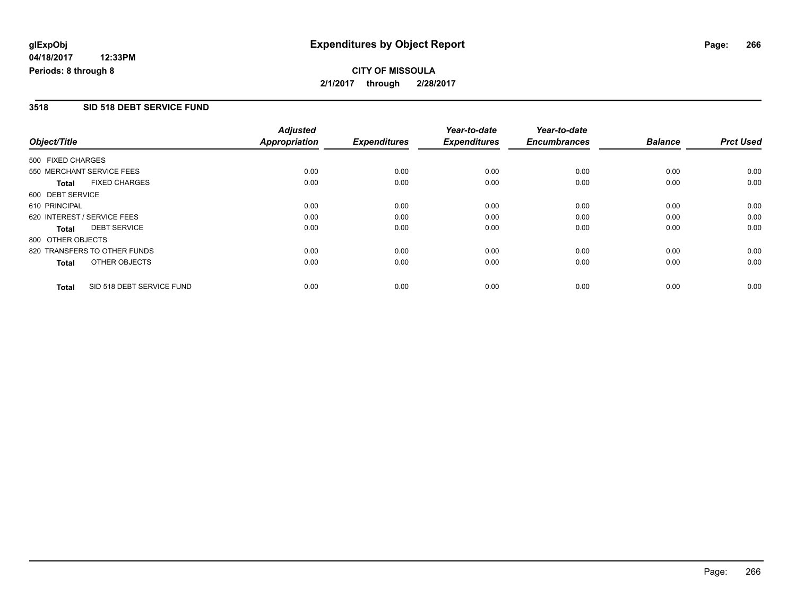#### **3518 SID 518 DEBT SERVICE FUND**

|                             |                              | <b>Adjusted</b> |                     | Year-to-date        | Year-to-date        |                |                  |
|-----------------------------|------------------------------|-----------------|---------------------|---------------------|---------------------|----------------|------------------|
| Object/Title                |                              | Appropriation   | <b>Expenditures</b> | <b>Expenditures</b> | <b>Encumbrances</b> | <b>Balance</b> | <b>Prct Used</b> |
| 500 FIXED CHARGES           |                              |                 |                     |                     |                     |                |                  |
| 550 MERCHANT SERVICE FEES   |                              | 0.00            | 0.00                | 0.00                | 0.00                | 0.00           | 0.00             |
| <b>Total</b>                | <b>FIXED CHARGES</b>         | 0.00            | 0.00                | 0.00                | 0.00                | 0.00           | 0.00             |
| 600 DEBT SERVICE            |                              |                 |                     |                     |                     |                |                  |
| 610 PRINCIPAL               |                              | 0.00            | 0.00                | 0.00                | 0.00                | 0.00           | 0.00             |
| 620 INTEREST / SERVICE FEES |                              | 0.00            | 0.00                | 0.00                | 0.00                | 0.00           | 0.00             |
| <b>Total</b>                | <b>DEBT SERVICE</b>          | 0.00            | 0.00                | 0.00                | 0.00                | 0.00           | 0.00             |
| 800 OTHER OBJECTS           |                              |                 |                     |                     |                     |                |                  |
|                             | 820 TRANSFERS TO OTHER FUNDS | 0.00            | 0.00                | 0.00                | 0.00                | 0.00           | 0.00             |
| <b>Total</b>                | OTHER OBJECTS                | 0.00            | 0.00                | 0.00                | 0.00                | 0.00           | 0.00             |
| <b>Total</b>                | SID 518 DEBT SERVICE FUND    | 0.00            | 0.00                | 0.00                | 0.00                | 0.00           | 0.00             |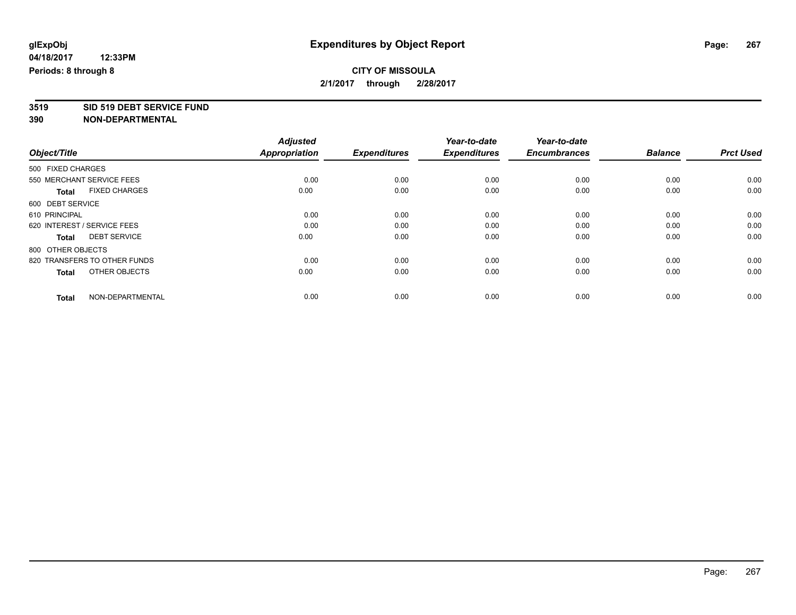## **CITY OF MISSOULA 2/1/2017 through 2/28/2017**

**3519 SID 519 DEBT SERVICE FUND**

|                                      | <b>Adjusted</b>      |                     | Year-to-date        | Year-to-date        |                |                  |
|--------------------------------------|----------------------|---------------------|---------------------|---------------------|----------------|------------------|
| Object/Title                         | <b>Appropriation</b> | <b>Expenditures</b> | <b>Expenditures</b> | <b>Encumbrances</b> | <b>Balance</b> | <b>Prct Used</b> |
| 500 FIXED CHARGES                    |                      |                     |                     |                     |                |                  |
| 550 MERCHANT SERVICE FEES            | 0.00                 | 0.00                | 0.00                | 0.00                | 0.00           | 0.00             |
| <b>FIXED CHARGES</b><br><b>Total</b> | 0.00                 | 0.00                | 0.00                | 0.00                | 0.00           | 0.00             |
| 600 DEBT SERVICE                     |                      |                     |                     |                     |                |                  |
| 610 PRINCIPAL                        | 0.00                 | 0.00                | 0.00                | 0.00                | 0.00           | 0.00             |
| 620 INTEREST / SERVICE FEES          | 0.00                 | 0.00                | 0.00                | 0.00                | 0.00           | 0.00             |
| <b>DEBT SERVICE</b><br>Total         | 0.00                 | 0.00                | 0.00                | 0.00                | 0.00           | 0.00             |
| 800 OTHER OBJECTS                    |                      |                     |                     |                     |                |                  |
| 820 TRANSFERS TO OTHER FUNDS         | 0.00                 | 0.00                | 0.00                | 0.00                | 0.00           | 0.00             |
| OTHER OBJECTS<br><b>Total</b>        | 0.00                 | 0.00                | 0.00                | 0.00                | 0.00           | 0.00             |
|                                      |                      |                     |                     |                     |                |                  |
| NON-DEPARTMENTAL<br><b>Total</b>     | 0.00                 | 0.00                | 0.00                | 0.00                | 0.00           | 0.00             |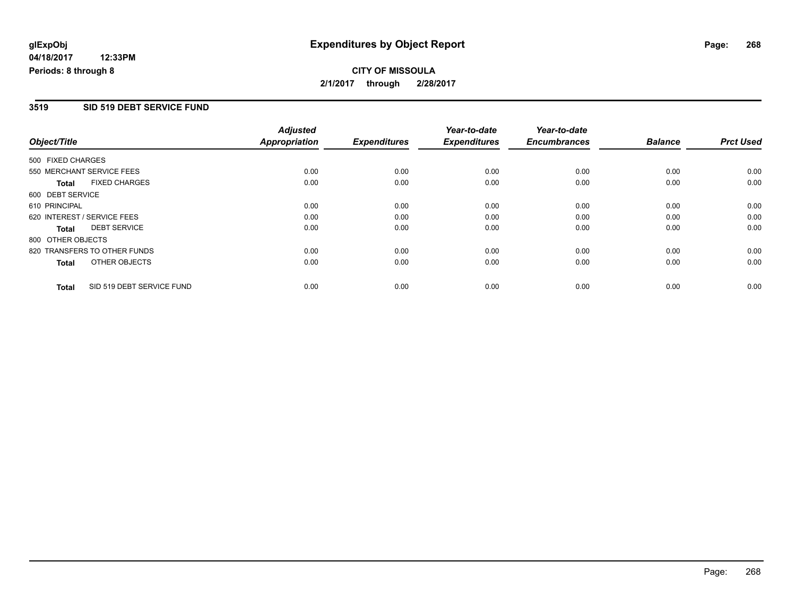## **CITY OF MISSOULA 2/1/2017 through 2/28/2017**

#### **3519 SID 519 DEBT SERVICE FUND**

|                   |                              | <b>Adjusted</b>      |                     | Year-to-date        | Year-to-date        |                |                  |
|-------------------|------------------------------|----------------------|---------------------|---------------------|---------------------|----------------|------------------|
| Object/Title      |                              | <b>Appropriation</b> | <b>Expenditures</b> | <b>Expenditures</b> | <b>Encumbrances</b> | <b>Balance</b> | <b>Prct Used</b> |
| 500 FIXED CHARGES |                              |                      |                     |                     |                     |                |                  |
|                   | 550 MERCHANT SERVICE FEES    | 0.00                 | 0.00                | 0.00                | 0.00                | 0.00           | 0.00             |
| <b>Total</b>      | <b>FIXED CHARGES</b>         | 0.00                 | 0.00                | 0.00                | 0.00                | 0.00           | 0.00             |
| 600 DEBT SERVICE  |                              |                      |                     |                     |                     |                |                  |
| 610 PRINCIPAL     |                              | 0.00                 | 0.00                | 0.00                | 0.00                | 0.00           | 0.00             |
|                   | 620 INTEREST / SERVICE FEES  | 0.00                 | 0.00                | 0.00                | 0.00                | 0.00           | 0.00             |
| <b>Total</b>      | <b>DEBT SERVICE</b>          | 0.00                 | 0.00                | 0.00                | 0.00                | 0.00           | 0.00             |
| 800 OTHER OBJECTS |                              |                      |                     |                     |                     |                |                  |
|                   | 820 TRANSFERS TO OTHER FUNDS | 0.00                 | 0.00                | 0.00                | 0.00                | 0.00           | 0.00             |
| <b>Total</b>      | OTHER OBJECTS                | 0.00                 | 0.00                | 0.00                | 0.00                | 0.00           | 0.00             |
| <b>Total</b>      | SID 519 DEBT SERVICE FUND    | 0.00                 | 0.00                | 0.00                | 0.00                | 0.00           | 0.00             |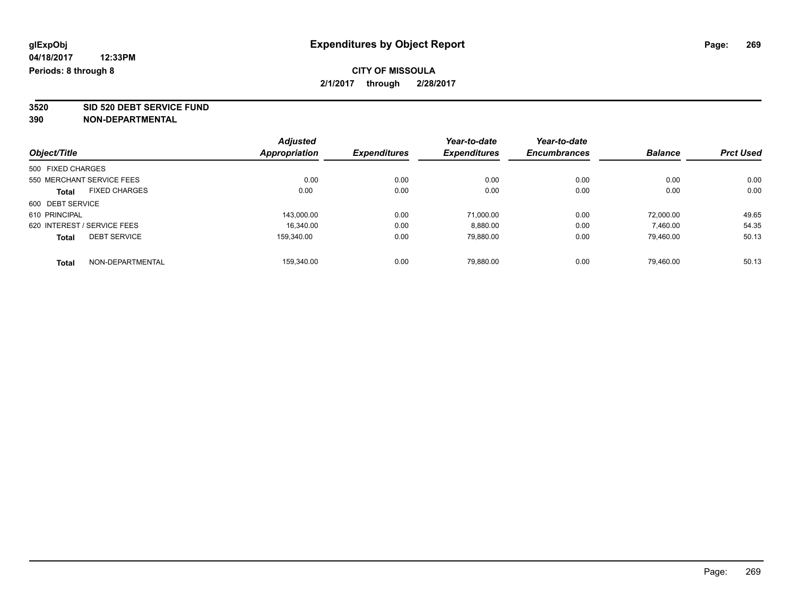## **CITY OF MISSOULA 2/1/2017 through 2/28/2017**

**3520 SID 520 DEBT SERVICE FUND**

|                                      | <b>Adjusted</b>      |                     | Year-to-date        | Year-to-date        |                |                  |
|--------------------------------------|----------------------|---------------------|---------------------|---------------------|----------------|------------------|
| Object/Title                         | <b>Appropriation</b> | <b>Expenditures</b> | <b>Expenditures</b> | <b>Encumbrances</b> | <b>Balance</b> | <b>Prct Used</b> |
| 500 FIXED CHARGES                    |                      |                     |                     |                     |                |                  |
| 550 MERCHANT SERVICE FEES            | 0.00                 | 0.00                | 0.00                | 0.00                | 0.00           | 0.00             |
| <b>FIXED CHARGES</b><br><b>Total</b> | 0.00                 | 0.00                | 0.00                | 0.00                | 0.00           | 0.00             |
| 600 DEBT SERVICE                     |                      |                     |                     |                     |                |                  |
| 610 PRINCIPAL                        | 143.000.00           | 0.00                | 71.000.00           | 0.00                | 72.000.00      | 49.65            |
| 620 INTEREST / SERVICE FEES          | 16.340.00            | 0.00                | 8,880.00            | 0.00                | 7,460.00       | 54.35            |
| <b>DEBT SERVICE</b><br><b>Total</b>  | 159.340.00           | 0.00                | 79,880.00           | 0.00                | 79.460.00      | 50.13            |
| NON-DEPARTMENTAL<br>Total            | 159.340.00           | 0.00                | 79.880.00           | 0.00                | 79.460.00      | 50.13            |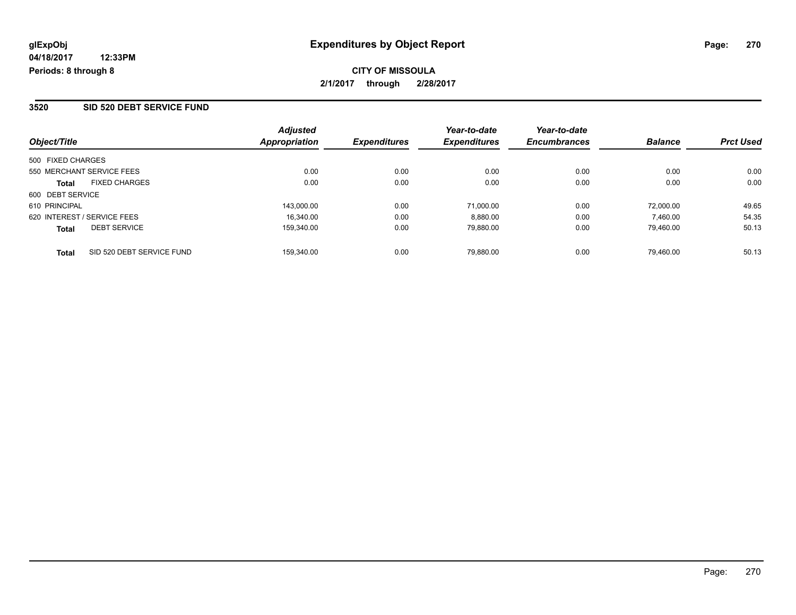## **CITY OF MISSOULA 2/1/2017 through 2/28/2017**

#### **3520 SID 520 DEBT SERVICE FUND**

| Object/Title                              | <b>Adjusted</b><br><b>Appropriation</b> | <b>Expenditures</b> | Year-to-date<br><b>Expenditures</b> | Year-to-date<br><b>Encumbrances</b> | <b>Balance</b> | <b>Prct Used</b> |
|-------------------------------------------|-----------------------------------------|---------------------|-------------------------------------|-------------------------------------|----------------|------------------|
| 500 FIXED CHARGES                         |                                         |                     |                                     |                                     |                |                  |
| 550 MERCHANT SERVICE FEES                 | 0.00                                    | 0.00                | 0.00                                | 0.00                                | 0.00           | 0.00             |
| <b>FIXED CHARGES</b><br>Total             | 0.00                                    | 0.00                | 0.00                                | 0.00                                | 0.00           | 0.00             |
| 600 DEBT SERVICE                          |                                         |                     |                                     |                                     |                |                  |
| 610 PRINCIPAL                             | 143.000.00                              | 0.00                | 71.000.00                           | 0.00                                | 72.000.00      | 49.65            |
| 620 INTEREST / SERVICE FEES               | 16.340.00                               | 0.00                | 8,880.00                            | 0.00                                | 7.460.00       | 54.35            |
| <b>DEBT SERVICE</b><br><b>Total</b>       | 159,340.00                              | 0.00                | 79,880.00                           | 0.00                                | 79,460.00      | 50.13            |
| SID 520 DEBT SERVICE FUND<br><b>Total</b> | 159.340.00                              | 0.00                | 79.880.00                           | 0.00                                | 79.460.00      | 50.13            |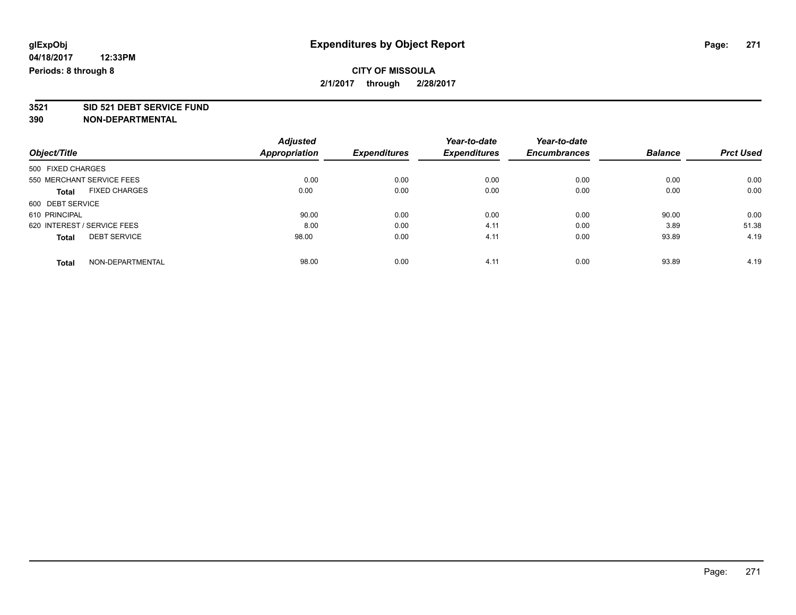## **CITY OF MISSOULA 2/1/2017 through 2/28/2017**

# **3521 SID 521 DEBT SERVICE FUND**

|                                     | <b>Adjusted</b>      | <b>Expenditures</b> | Year-to-date<br><b>Expenditures</b> | Year-to-date        | <b>Balance</b> | <b>Prct Used</b> |
|-------------------------------------|----------------------|---------------------|-------------------------------------|---------------------|----------------|------------------|
| Object/Title                        | <b>Appropriation</b> |                     |                                     | <b>Encumbrances</b> |                |                  |
| 500 FIXED CHARGES                   |                      |                     |                                     |                     |                |                  |
| 550 MERCHANT SERVICE FEES           | 0.00                 | 0.00                | 0.00                                | 0.00                | 0.00           | 0.00             |
| <b>FIXED CHARGES</b><br>Total       | 0.00                 | 0.00                | 0.00                                | 0.00                | 0.00           | 0.00             |
| 600 DEBT SERVICE                    |                      |                     |                                     |                     |                |                  |
| 610 PRINCIPAL                       | 90.00                | 0.00                | 0.00                                | 0.00                | 90.00          | 0.00             |
| 620 INTEREST / SERVICE FEES         | 8.00                 | 0.00                | 4.11                                | 0.00                | 3.89           | 51.38            |
| <b>DEBT SERVICE</b><br><b>Total</b> | 98.00                | 0.00                | 4.11                                | 0.00                | 93.89          | 4.19             |
| NON-DEPARTMENTAL<br><b>Total</b>    | 98.00                | 0.00                | 4.11                                | 0.00                | 93.89          | 4.19             |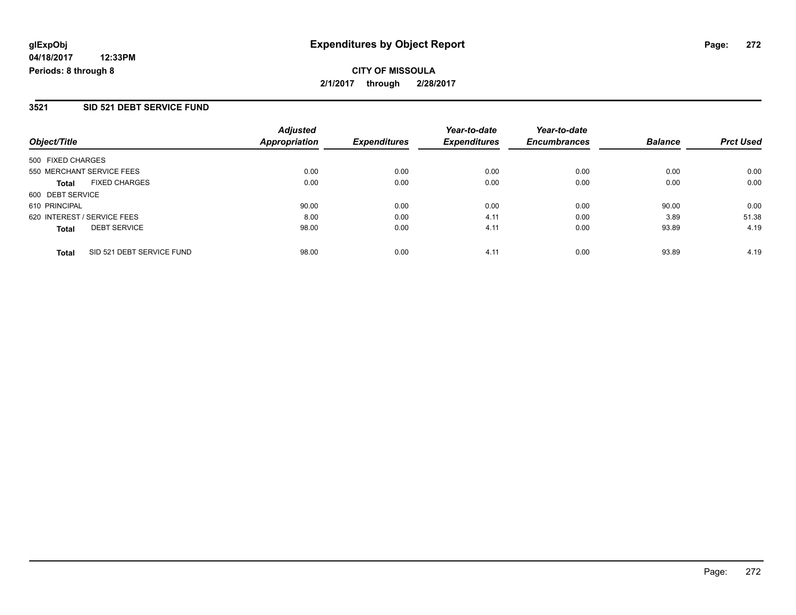## **CITY OF MISSOULA 2/1/2017 through 2/28/2017**

#### **3521 SID 521 DEBT SERVICE FUND**

| Object/Title                |                           | <b>Adjusted</b><br><b>Appropriation</b> | <b>Expenditures</b> | Year-to-date<br><b>Expenditures</b> | Year-to-date<br><b>Encumbrances</b> | <b>Balance</b> | <b>Prct Used</b> |
|-----------------------------|---------------------------|-----------------------------------------|---------------------|-------------------------------------|-------------------------------------|----------------|------------------|
| 500 FIXED CHARGES           |                           |                                         |                     |                                     |                                     |                |                  |
| 550 MERCHANT SERVICE FEES   |                           | 0.00                                    | 0.00                | 0.00                                | 0.00                                | 0.00           | 0.00             |
| <b>Total</b>                | <b>FIXED CHARGES</b>      | 0.00                                    | 0.00                | 0.00                                | 0.00                                | 0.00           | 0.00             |
| 600 DEBT SERVICE            |                           |                                         |                     |                                     |                                     |                |                  |
| 610 PRINCIPAL               |                           | 90.00                                   | 0.00                | 0.00                                | 0.00                                | 90.00          | 0.00             |
| 620 INTEREST / SERVICE FEES |                           | 8.00                                    | 0.00                | 4.11                                | 0.00                                | 3.89           | 51.38            |
| <b>Total</b>                | <b>DEBT SERVICE</b>       | 98.00                                   | 0.00                | 4.11                                | 0.00                                | 93.89          | 4.19             |
| <b>Total</b>                | SID 521 DEBT SERVICE FUND | 98.00                                   | 0.00                | 4.11                                | 0.00                                | 93.89          | 4.19             |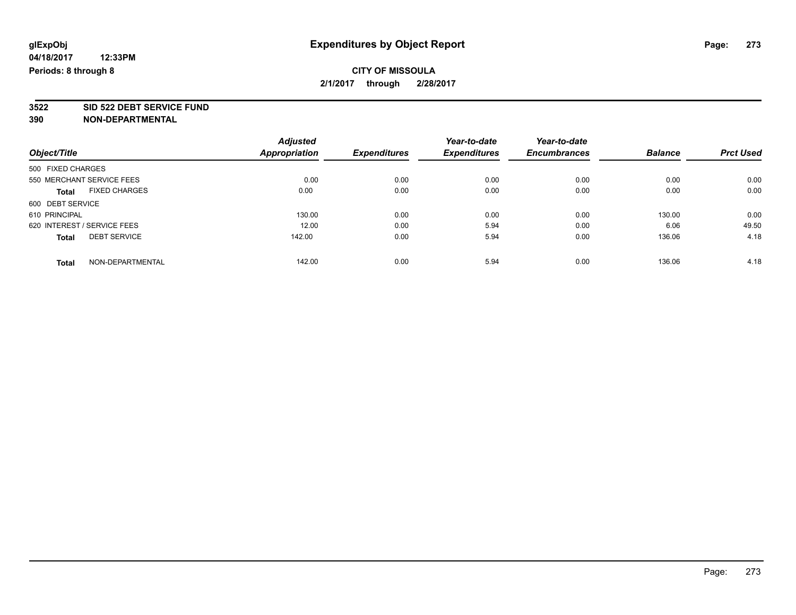## **CITY OF MISSOULA 2/1/2017 through 2/28/2017**

**3522 SID 522 DEBT SERVICE FUND**

|                                      | <b>Adjusted</b> |                     | Year-to-date        | Year-to-date        |                |                  |
|--------------------------------------|-----------------|---------------------|---------------------|---------------------|----------------|------------------|
| Object/Title                         | Appropriation   | <b>Expenditures</b> | <b>Expenditures</b> | <b>Encumbrances</b> | <b>Balance</b> | <b>Prct Used</b> |
| 500 FIXED CHARGES                    |                 |                     |                     |                     |                |                  |
| 550 MERCHANT SERVICE FEES            | 0.00            | 0.00                | 0.00                | 0.00                | 0.00           | 0.00             |
| <b>FIXED CHARGES</b><br><b>Total</b> | 0.00            | 0.00                | 0.00                | 0.00                | 0.00           | 0.00             |
| 600 DEBT SERVICE                     |                 |                     |                     |                     |                |                  |
| 610 PRINCIPAL                        | 130.00          | 0.00                | 0.00                | 0.00                | 130.00         | 0.00             |
| 620 INTEREST / SERVICE FEES          | 12.00           | 0.00                | 5.94                | 0.00                | 6.06           | 49.50            |
| <b>DEBT SERVICE</b><br><b>Total</b>  | 142.00          | 0.00                | 5.94                | 0.00                | 136.06         | 4.18             |
| NON-DEPARTMENTAL<br><b>Total</b>     | 142.00          | 0.00                | 5.94                | 0.00                | 136.06         | 4.18             |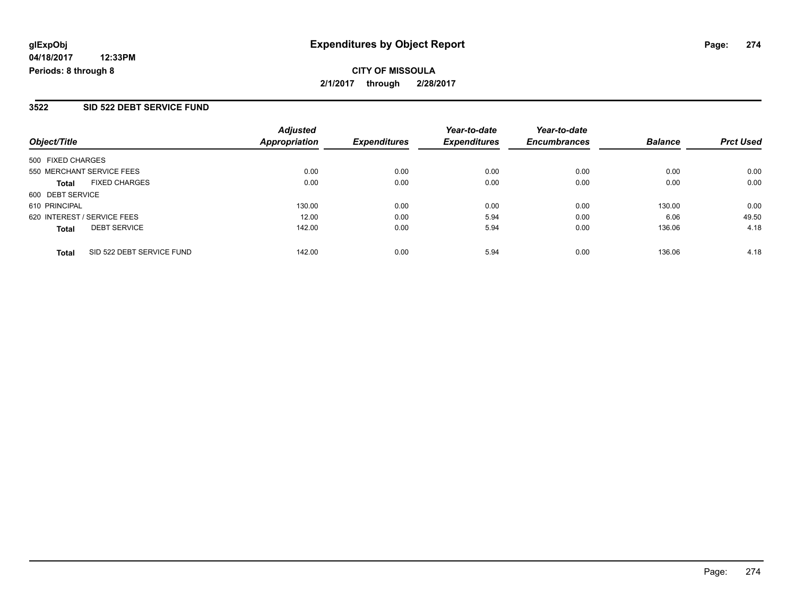## **CITY OF MISSOULA 2/1/2017 through 2/28/2017**

## **3522 SID 522 DEBT SERVICE FUND**

| Object/Title      |                             | <b>Adjusted</b><br><b>Appropriation</b> | <b>Expenditures</b> | Year-to-date<br><b>Expenditures</b> | Year-to-date<br><b>Encumbrances</b> | <b>Balance</b> | <b>Prct Used</b> |
|-------------------|-----------------------------|-----------------------------------------|---------------------|-------------------------------------|-------------------------------------|----------------|------------------|
| 500 FIXED CHARGES |                             |                                         |                     |                                     |                                     |                |                  |
|                   | 550 MERCHANT SERVICE FEES   | 0.00                                    | 0.00                | 0.00                                | 0.00                                | 0.00           | 0.00             |
| <b>Total</b>      | <b>FIXED CHARGES</b>        | 0.00                                    | 0.00                | 0.00                                | 0.00                                | 0.00           | 0.00             |
| 600 DEBT SERVICE  |                             |                                         |                     |                                     |                                     |                |                  |
| 610 PRINCIPAL     |                             | 130.00                                  | 0.00                | 0.00                                | 0.00                                | 130.00         | 0.00             |
|                   | 620 INTEREST / SERVICE FEES | 12.00                                   | 0.00                | 5.94                                | 0.00                                | 6.06           | 49.50            |
| <b>Total</b>      | <b>DEBT SERVICE</b>         | 142.00                                  | 0.00                | 5.94                                | 0.00                                | 136.06         | 4.18             |
| <b>Total</b>      | SID 522 DEBT SERVICE FUND   | 142.00                                  | 0.00                | 5.94                                | 0.00                                | 136.06         | 4.18             |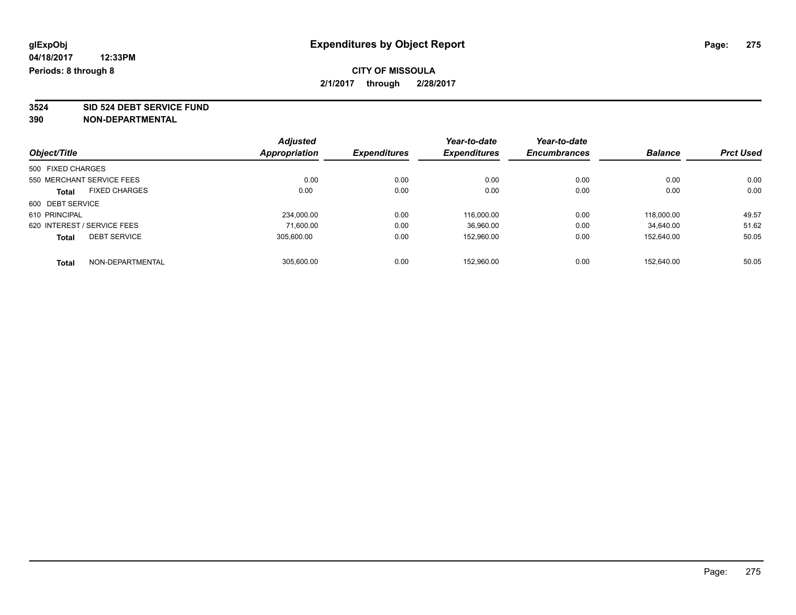## **CITY OF MISSOULA 2/1/2017 through 2/28/2017**

**3524 SID 524 DEBT SERVICE FUND**

|                                      | <b>Adjusted</b> |                     | Year-to-date        | Year-to-date        |                |                  |
|--------------------------------------|-----------------|---------------------|---------------------|---------------------|----------------|------------------|
| Object/Title                         | Appropriation   | <b>Expenditures</b> | <b>Expenditures</b> | <b>Encumbrances</b> | <b>Balance</b> | <b>Prct Used</b> |
| 500 FIXED CHARGES                    |                 |                     |                     |                     |                |                  |
| 550 MERCHANT SERVICE FEES            | 0.00            | 0.00                | 0.00                | 0.00                | 0.00           | 0.00             |
| <b>FIXED CHARGES</b><br><b>Total</b> | 0.00            | 0.00                | 0.00                | 0.00                | 0.00           | 0.00             |
| 600 DEBT SERVICE                     |                 |                     |                     |                     |                |                  |
| 610 PRINCIPAL                        | 234.000.00      | 0.00                | 116.000.00          | 0.00                | 118.000.00     | 49.57            |
| 620 INTEREST / SERVICE FEES          | 71.600.00       | 0.00                | 36.960.00           | 0.00                | 34.640.00      | 51.62            |
| <b>DEBT SERVICE</b><br><b>Total</b>  | 305.600.00      | 0.00                | 152,960.00          | 0.00                | 152.640.00     | 50.05            |
| NON-DEPARTMENTAL<br><b>Total</b>     | 305.600.00      | 0.00                | 152.960.00          | 0.00                | 152.640.00     | 50.05            |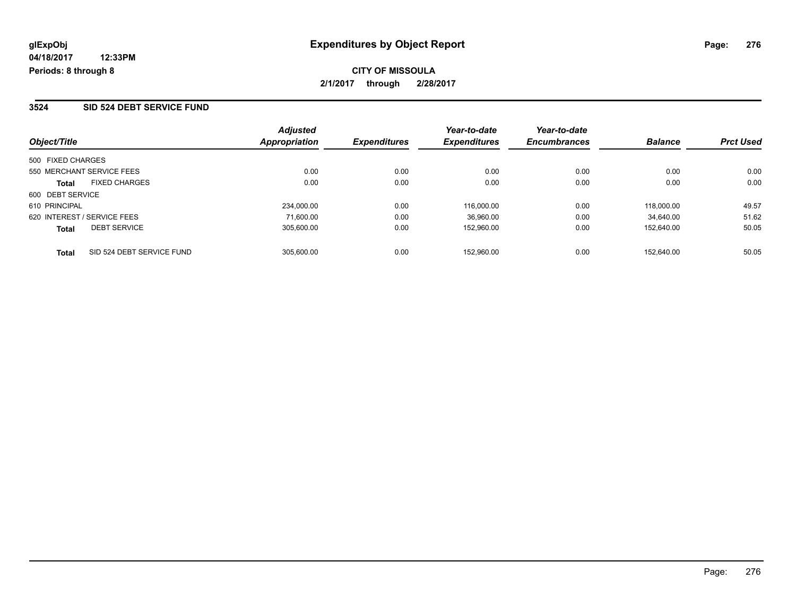## **CITY OF MISSOULA 2/1/2017 through 2/28/2017**

#### **3524 SID 524 DEBT SERVICE FUND**

| Object/Title                        | <b>Adjusted</b><br>Appropriation | <b>Expenditures</b> | Year-to-date<br><b>Expenditures</b> | Year-to-date<br><b>Encumbrances</b> | <b>Balance</b> | <b>Prct Used</b> |
|-------------------------------------|----------------------------------|---------------------|-------------------------------------|-------------------------------------|----------------|------------------|
| 500 FIXED CHARGES                   |                                  |                     |                                     |                                     |                |                  |
| 550 MERCHANT SERVICE FEES           | 0.00                             | 0.00                | 0.00                                | 0.00                                | 0.00           | 0.00             |
| <b>FIXED CHARGES</b><br>Total       | 0.00                             | 0.00                | 0.00                                | 0.00                                | 0.00           | 0.00             |
| 600 DEBT SERVICE                    |                                  |                     |                                     |                                     |                |                  |
| 610 PRINCIPAL                       | 234,000.00                       | 0.00                | 116.000.00                          | 0.00                                | 118,000.00     | 49.57            |
| 620 INTEREST / SERVICE FEES         | 71.600.00                        | 0.00                | 36,960.00                           | 0.00                                | 34.640.00      | 51.62            |
| <b>DEBT SERVICE</b><br><b>Total</b> | 305.600.00                       | 0.00                | 152.960.00                          | 0.00                                | 152.640.00     | 50.05            |
| SID 524 DEBT SERVICE FUND<br>Total  | 305.600.00                       | 0.00                | 152.960.00                          | 0.00                                | 152.640.00     | 50.05            |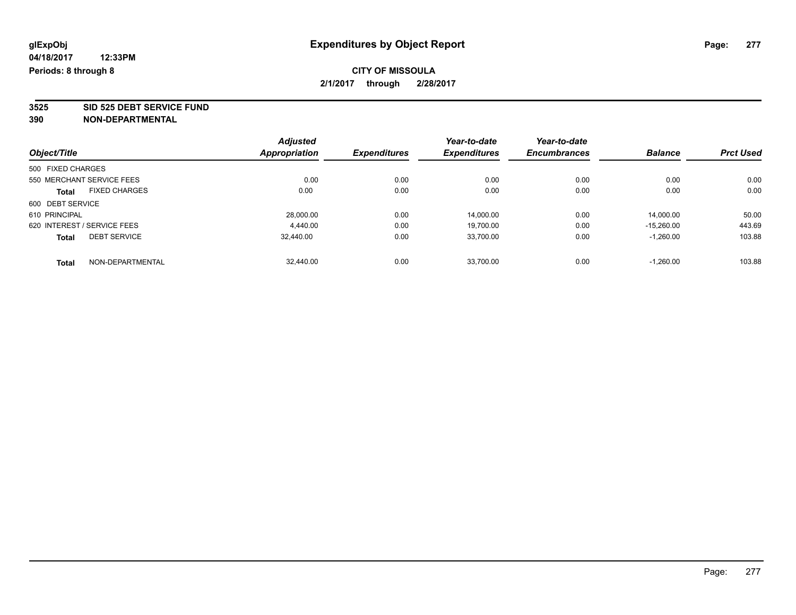## **CITY OF MISSOULA 2/1/2017 through 2/28/2017**

**3525 SID 525 DEBT SERVICE FUND**

|                                      | <b>Adjusted</b> |                     | Year-to-date        | Year-to-date        |                |                  |
|--------------------------------------|-----------------|---------------------|---------------------|---------------------|----------------|------------------|
| Object/Title                         | Appropriation   | <b>Expenditures</b> | <b>Expenditures</b> | <b>Encumbrances</b> | <b>Balance</b> | <b>Prct Used</b> |
| 500 FIXED CHARGES                    |                 |                     |                     |                     |                |                  |
| 550 MERCHANT SERVICE FEES            | 0.00            | 0.00                | 0.00                | 0.00                | 0.00           | 0.00             |
| <b>FIXED CHARGES</b><br><b>Total</b> | 0.00            | 0.00                | 0.00                | 0.00                | 0.00           | 0.00             |
| 600 DEBT SERVICE                     |                 |                     |                     |                     |                |                  |
| 610 PRINCIPAL                        | 28.000.00       | 0.00                | 14.000.00           | 0.00                | 14.000.00      | 50.00            |
| 620 INTEREST / SERVICE FEES          | 4.440.00        | 0.00                | 19.700.00           | 0.00                | $-15.260.00$   | 443.69           |
| <b>DEBT SERVICE</b><br><b>Total</b>  | 32.440.00       | 0.00                | 33,700.00           | 0.00                | $-1,260.00$    | 103.88           |
| NON-DEPARTMENTAL<br>Total            | 32.440.00       | 0.00                | 33.700.00           | 0.00                | $-1.260.00$    | 103.88           |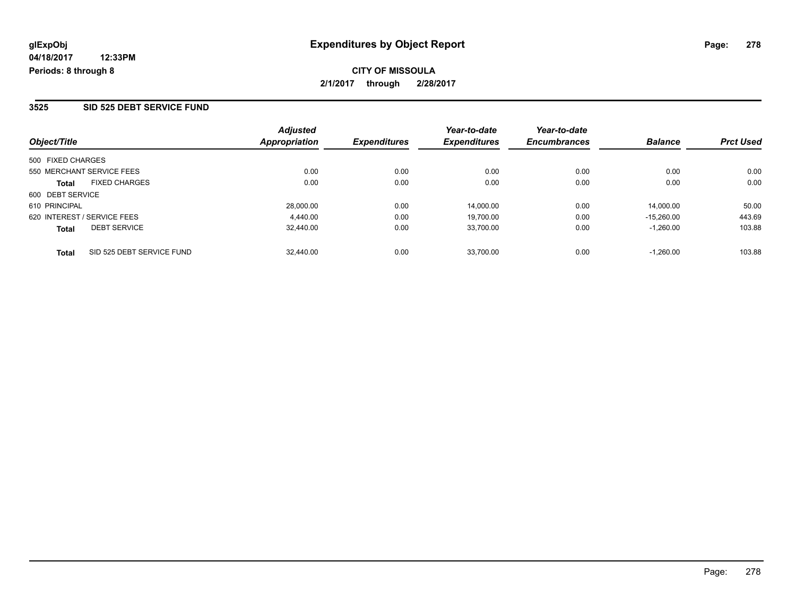**CITY OF MISSOULA 2/1/2017 through 2/28/2017**

#### **3525 SID 525 DEBT SERVICE FUND**

| Object/Title                              | <b>Adjusted</b><br>Appropriation | <b>Expenditures</b> | Year-to-date<br><b>Expenditures</b> | Year-to-date<br><b>Encumbrances</b> | <b>Balance</b> | <b>Prct Used</b> |
|-------------------------------------------|----------------------------------|---------------------|-------------------------------------|-------------------------------------|----------------|------------------|
| 500 FIXED CHARGES                         |                                  |                     |                                     |                                     |                |                  |
| 550 MERCHANT SERVICE FEES                 | 0.00                             | 0.00                | 0.00                                | 0.00                                | 0.00           | 0.00             |
| <b>FIXED CHARGES</b><br><b>Total</b>      | 0.00                             | 0.00                | 0.00                                | 0.00                                | 0.00           | 0.00             |
| 600 DEBT SERVICE                          |                                  |                     |                                     |                                     |                |                  |
| 610 PRINCIPAL                             | 28,000.00                        | 0.00                | 14.000.00                           | 0.00                                | 14.000.00      | 50.00            |
| 620 INTEREST / SERVICE FEES               | 4.440.00                         | 0.00                | 19,700.00                           | 0.00                                | $-15.260.00$   | 443.69           |
| <b>DEBT SERVICE</b><br><b>Total</b>       | 32.440.00                        | 0.00                | 33,700.00                           | 0.00                                | $-1.260.00$    | 103.88           |
| SID 525 DEBT SERVICE FUND<br><b>Total</b> | 32,440.00                        | 0.00                | 33.700.00                           | 0.00                                | $-1.260.00$    | 103.88           |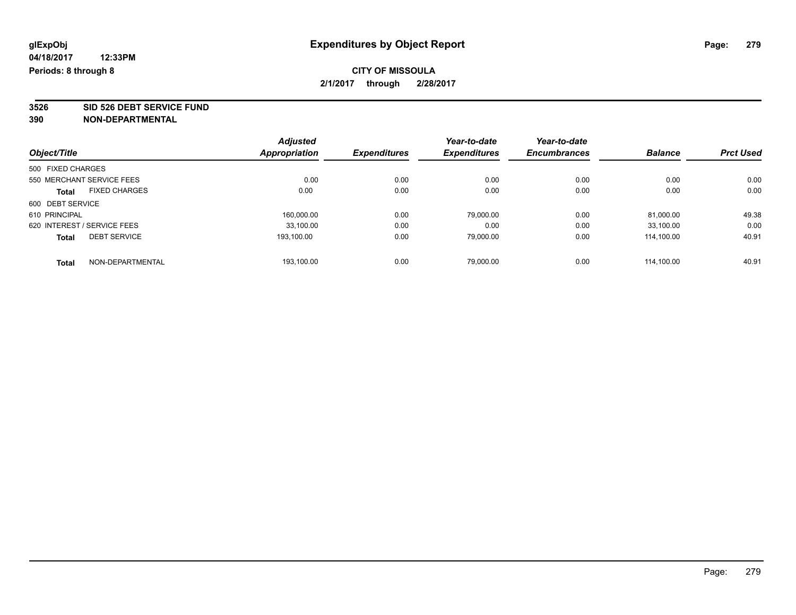## **CITY OF MISSOULA 2/1/2017 through 2/28/2017**

**3526 SID 526 DEBT SERVICE FUND**

|                                     | <b>Adjusted</b> |                     | Year-to-date        | Year-to-date        |                |                  |
|-------------------------------------|-----------------|---------------------|---------------------|---------------------|----------------|------------------|
| Object/Title                        | Appropriation   | <b>Expenditures</b> | <b>Expenditures</b> | <b>Encumbrances</b> | <b>Balance</b> | <b>Prct Used</b> |
| 500 FIXED CHARGES                   |                 |                     |                     |                     |                |                  |
| 550 MERCHANT SERVICE FEES           | 0.00            | 0.00                | 0.00                | 0.00                | 0.00           | 0.00             |
| <b>FIXED CHARGES</b><br>Total       | 0.00            | 0.00                | 0.00                | 0.00                | 0.00           | 0.00             |
| 600 DEBT SERVICE                    |                 |                     |                     |                     |                |                  |
| 610 PRINCIPAL                       | 160,000.00      | 0.00                | 79,000.00           | 0.00                | 81,000.00      | 49.38            |
| 620 INTEREST / SERVICE FEES         | 33.100.00       | 0.00                | 0.00                | 0.00                | 33,100.00      | 0.00             |
| <b>DEBT SERVICE</b><br><b>Total</b> | 193.100.00      | 0.00                | 79,000.00           | 0.00                | 114.100.00     | 40.91            |
| NON-DEPARTMENTAL<br><b>Total</b>    | 193.100.00      | 0.00                | 79.000.00           | 0.00                | 114.100.00     | 40.91            |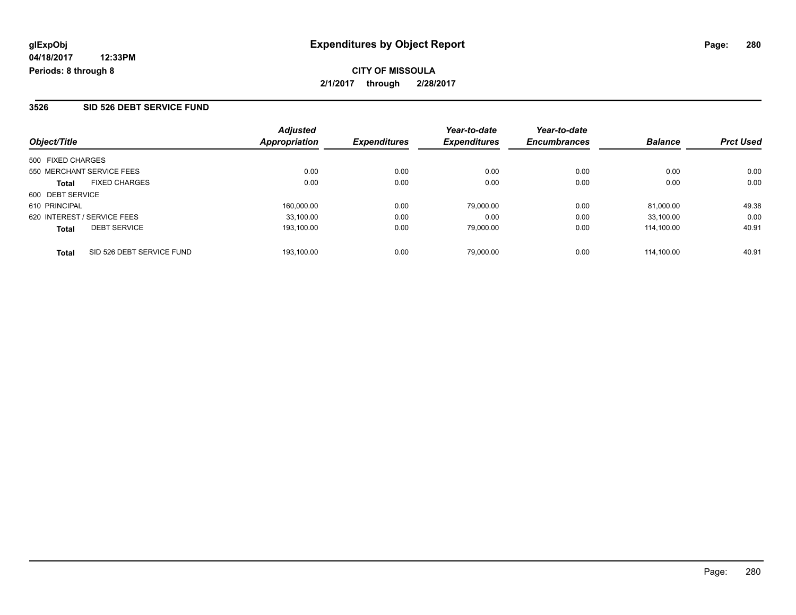**CITY OF MISSOULA 2/1/2017 through 2/28/2017**

#### **3526 SID 526 DEBT SERVICE FUND**

| Object/Title                              | <b>Adjusted</b><br>Appropriation | <b>Expenditures</b> | Year-to-date<br><b>Expenditures</b> | Year-to-date<br><b>Encumbrances</b> | <b>Balance</b> | <b>Prct Used</b> |
|-------------------------------------------|----------------------------------|---------------------|-------------------------------------|-------------------------------------|----------------|------------------|
| 500 FIXED CHARGES                         |                                  |                     |                                     |                                     |                |                  |
| 550 MERCHANT SERVICE FEES                 | 0.00                             | 0.00                | 0.00                                | 0.00                                | 0.00           | 0.00             |
| <b>FIXED CHARGES</b><br><b>Total</b>      | 0.00                             | 0.00                | 0.00                                | 0.00                                | 0.00           | 0.00             |
| 600 DEBT SERVICE                          |                                  |                     |                                     |                                     |                |                  |
| 610 PRINCIPAL                             | 160.000.00                       | 0.00                | 79,000.00                           | 0.00                                | 81.000.00      | 49.38            |
| 620 INTEREST / SERVICE FEES               | 33,100.00                        | 0.00                | 0.00                                | 0.00                                | 33.100.00      | 0.00             |
| <b>DEBT SERVICE</b><br><b>Total</b>       | 193.100.00                       | 0.00                | 79,000.00                           | 0.00                                | 114.100.00     | 40.91            |
| SID 526 DEBT SERVICE FUND<br><b>Total</b> | 193.100.00                       | 0.00                | 79,000.00                           | 0.00                                | 114.100.00     | 40.91            |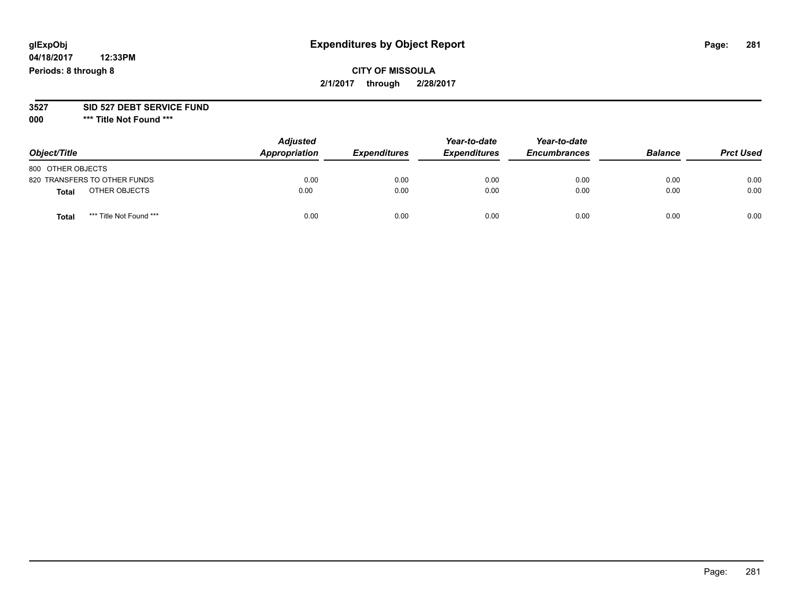# **glExpObj Expenditures by Object Report Page: 281**

**04/18/2017 12:33PM Periods: 8 through 8**

#### **3527 SID 527 DEBT SERVICE FUND**

**000 \*\*\* Title Not Found \*\*\***

| Object/Title                     | <b>Adjusted</b><br>Appropriation | <b>Expenditures</b> | Year-to-date<br><b>Expenditures</b> | Year-to-date<br><b>Encumbrances</b> | <b>Balance</b> | <b>Prct Used</b> |
|----------------------------------|----------------------------------|---------------------|-------------------------------------|-------------------------------------|----------------|------------------|
| 800 OTHER OBJECTS                |                                  |                     |                                     |                                     |                |                  |
| 820 TRANSFERS TO OTHER FUNDS     | 0.00                             | 0.00                | 0.00                                | 0.00                                | 0.00           | 0.00             |
| OTHER OBJECTS<br><b>Total</b>    | 0.00                             | 0.00                | 0.00                                | 0.00                                | 0.00           | 0.00             |
| *** Title Not Found ***<br>Total | 0.00                             | 0.00                | 0.00                                | 0.00                                | 0.00           | 0.00             |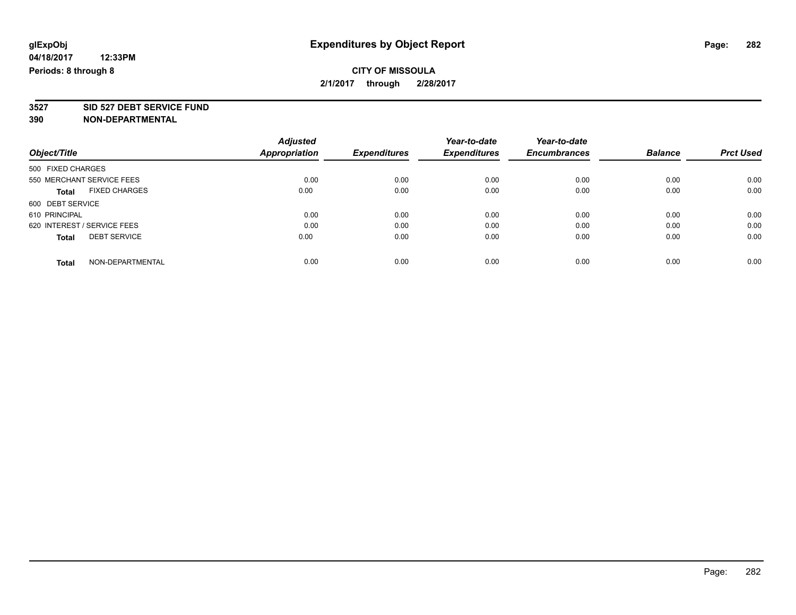## **CITY OF MISSOULA 2/1/2017 through 2/28/2017**

# **3527 SID 527 DEBT SERVICE FUND**

|                                      | <b>Adjusted</b>      |                     | Year-to-date        | Year-to-date        |                |                  |
|--------------------------------------|----------------------|---------------------|---------------------|---------------------|----------------|------------------|
| Object/Title                         | <b>Appropriation</b> | <b>Expenditures</b> | <b>Expenditures</b> | <b>Encumbrances</b> | <b>Balance</b> | <b>Prct Used</b> |
| 500 FIXED CHARGES                    |                      |                     |                     |                     |                |                  |
| 550 MERCHANT SERVICE FEES            | 0.00                 | 0.00                | 0.00                | 0.00                | 0.00           | 0.00             |
| <b>FIXED CHARGES</b><br><b>Total</b> | 0.00                 | 0.00                | 0.00                | 0.00                | 0.00           | 0.00             |
| 600 DEBT SERVICE                     |                      |                     |                     |                     |                |                  |
| 610 PRINCIPAL                        | 0.00                 | 0.00                | 0.00                | 0.00                | 0.00           | 0.00             |
| 620 INTEREST / SERVICE FEES          | 0.00                 | 0.00                | 0.00                | 0.00                | 0.00           | 0.00             |
| <b>DEBT SERVICE</b><br><b>Total</b>  | 0.00                 | 0.00                | 0.00                | 0.00                | 0.00           | 0.00             |
| NON-DEPARTMENTAL<br>Total            | 0.00                 | 0.00                | 0.00                | 0.00                | 0.00           | 0.00             |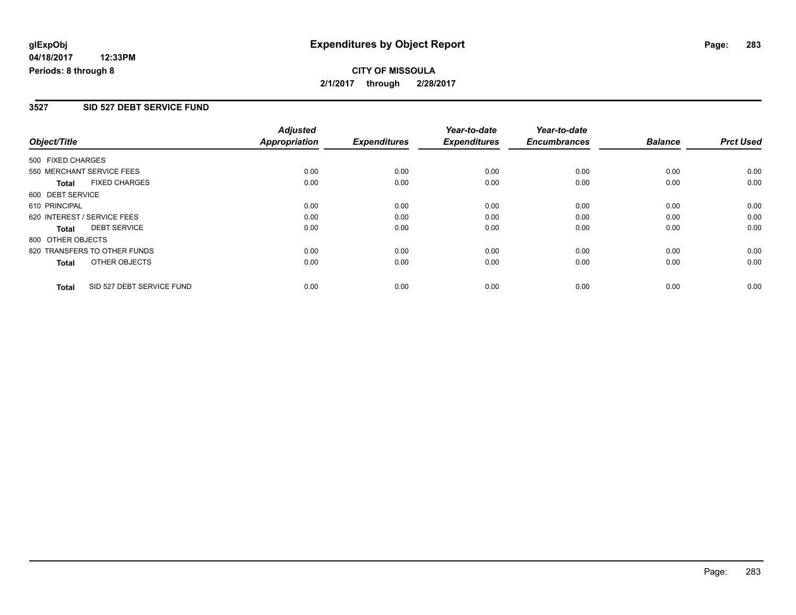## **CITY OF MISSOULA 2/1/2017 through 2/28/2017**

#### **3527 SID 527 DEBT SERVICE FUND**

| Object/Title      |                              | <b>Adjusted</b>      | <b>Expenditures</b> | Year-to-date        | Year-to-date<br><b>Encumbrances</b> | <b>Balance</b> | <b>Prct Used</b> |
|-------------------|------------------------------|----------------------|---------------------|---------------------|-------------------------------------|----------------|------------------|
|                   |                              | <b>Appropriation</b> |                     | <b>Expenditures</b> |                                     |                |                  |
| 500 FIXED CHARGES |                              |                      |                     |                     |                                     |                |                  |
|                   | 550 MERCHANT SERVICE FEES    | 0.00                 | 0.00                | 0.00                | 0.00                                | 0.00           | 0.00             |
| <b>Total</b>      | <b>FIXED CHARGES</b>         | 0.00                 | 0.00                | 0.00                | 0.00                                | 0.00           | 0.00             |
| 600 DEBT SERVICE  |                              |                      |                     |                     |                                     |                |                  |
| 610 PRINCIPAL     |                              | 0.00                 | 0.00                | 0.00                | 0.00                                | 0.00           | 0.00             |
|                   | 620 INTEREST / SERVICE FEES  | 0.00                 | 0.00                | 0.00                | 0.00                                | 0.00           | 0.00             |
| <b>Total</b>      | <b>DEBT SERVICE</b>          | 0.00                 | 0.00                | 0.00                | 0.00                                | 0.00           | 0.00             |
| 800 OTHER OBJECTS |                              |                      |                     |                     |                                     |                |                  |
|                   | 820 TRANSFERS TO OTHER FUNDS | 0.00                 | 0.00                | 0.00                | 0.00                                | 0.00           | 0.00             |
| <b>Total</b>      | OTHER OBJECTS                | 0.00                 | 0.00                | 0.00                | 0.00                                | 0.00           | 0.00             |
| <b>Total</b>      | SID 527 DEBT SERVICE FUND    | 0.00                 | 0.00                | 0.00                | 0.00                                | 0.00           | 0.00             |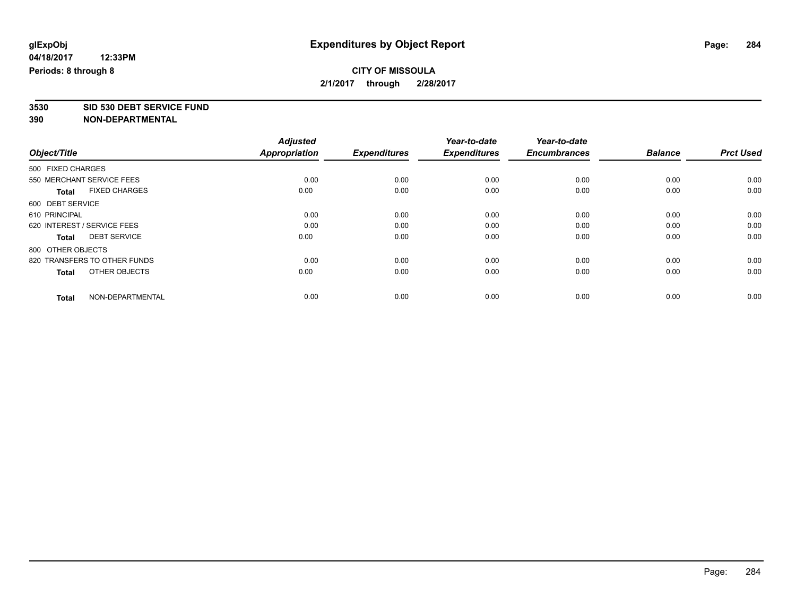## **CITY OF MISSOULA 2/1/2017 through 2/28/2017**

**3530 SID 530 DEBT SERVICE FUND**

|                                      | <b>Adjusted</b>      |                     | Year-to-date        | Year-to-date        |                |                  |
|--------------------------------------|----------------------|---------------------|---------------------|---------------------|----------------|------------------|
| Object/Title                         | <b>Appropriation</b> | <b>Expenditures</b> | <b>Expenditures</b> | <b>Encumbrances</b> | <b>Balance</b> | <b>Prct Used</b> |
| 500 FIXED CHARGES                    |                      |                     |                     |                     |                |                  |
| 550 MERCHANT SERVICE FEES            | 0.00                 | 0.00                | 0.00                | 0.00                | 0.00           | 0.00             |
| <b>FIXED CHARGES</b><br><b>Total</b> | 0.00                 | 0.00                | 0.00                | 0.00                | 0.00           | 0.00             |
| 600 DEBT SERVICE                     |                      |                     |                     |                     |                |                  |
| 610 PRINCIPAL                        | 0.00                 | 0.00                | 0.00                | 0.00                | 0.00           | 0.00             |
| 620 INTEREST / SERVICE FEES          | 0.00                 | 0.00                | 0.00                | 0.00                | 0.00           | 0.00             |
| <b>DEBT SERVICE</b><br>Total         | 0.00                 | 0.00                | 0.00                | 0.00                | 0.00           | 0.00             |
| 800 OTHER OBJECTS                    |                      |                     |                     |                     |                |                  |
| 820 TRANSFERS TO OTHER FUNDS         | 0.00                 | 0.00                | 0.00                | 0.00                | 0.00           | 0.00             |
| OTHER OBJECTS<br><b>Total</b>        | 0.00                 | 0.00                | 0.00                | 0.00                | 0.00           | 0.00             |
|                                      |                      |                     |                     |                     |                |                  |
| NON-DEPARTMENTAL<br><b>Total</b>     | 0.00                 | 0.00                | 0.00                | 0.00                | 0.00           | 0.00             |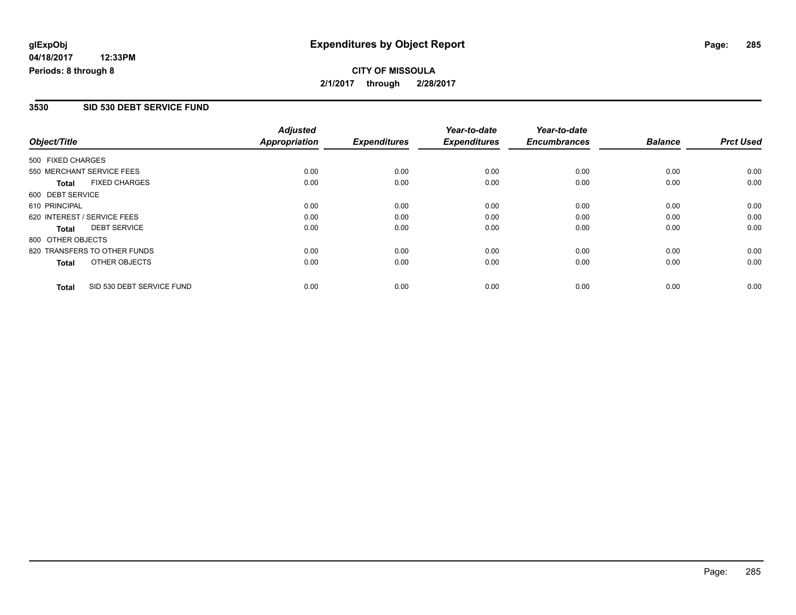## **CITY OF MISSOULA 2/1/2017 through 2/28/2017**

#### **3530 SID 530 DEBT SERVICE FUND**

|                   |                              | <b>Adjusted</b>      |                     | Year-to-date        | Year-to-date        |                |                  |
|-------------------|------------------------------|----------------------|---------------------|---------------------|---------------------|----------------|------------------|
| Object/Title      |                              | <b>Appropriation</b> | <b>Expenditures</b> | <b>Expenditures</b> | <b>Encumbrances</b> | <b>Balance</b> | <b>Prct Used</b> |
| 500 FIXED CHARGES |                              |                      |                     |                     |                     |                |                  |
|                   | 550 MERCHANT SERVICE FEES    | 0.00                 | 0.00                | 0.00                | 0.00                | 0.00           | 0.00             |
| <b>Total</b>      | <b>FIXED CHARGES</b>         | 0.00                 | 0.00                | 0.00                | 0.00                | 0.00           | 0.00             |
| 600 DEBT SERVICE  |                              |                      |                     |                     |                     |                |                  |
| 610 PRINCIPAL     |                              | 0.00                 | 0.00                | 0.00                | 0.00                | 0.00           | 0.00             |
|                   | 620 INTEREST / SERVICE FEES  | 0.00                 | 0.00                | 0.00                | 0.00                | 0.00           | 0.00             |
| Total             | <b>DEBT SERVICE</b>          | 0.00                 | 0.00                | 0.00                | 0.00                | 0.00           | 0.00             |
| 800 OTHER OBJECTS |                              |                      |                     |                     |                     |                |                  |
|                   | 820 TRANSFERS TO OTHER FUNDS | 0.00                 | 0.00                | 0.00                | 0.00                | 0.00           | 0.00             |
| Total             | OTHER OBJECTS                | 0.00                 | 0.00                | 0.00                | 0.00                | 0.00           | 0.00             |
| <b>Total</b>      | SID 530 DEBT SERVICE FUND    | 0.00                 | 0.00                | 0.00                | 0.00                | 0.00           | 0.00             |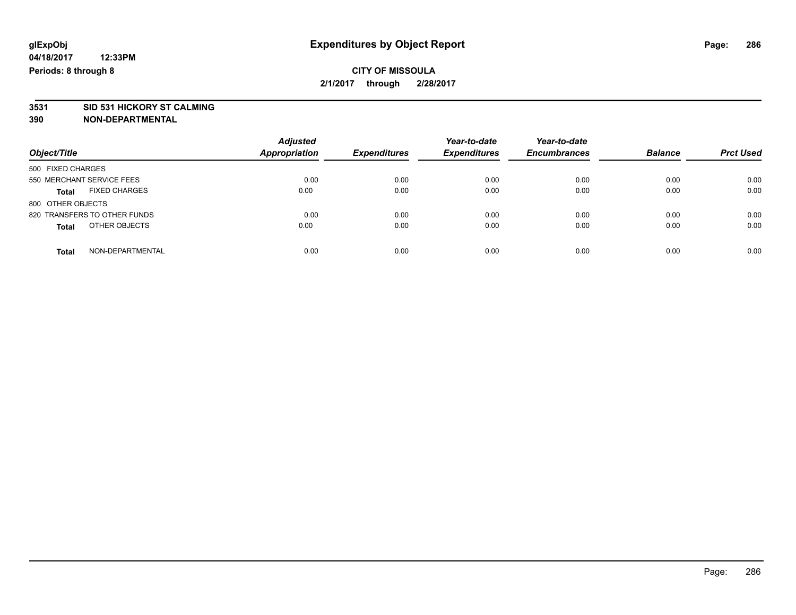## **CITY OF MISSOULA 2/1/2017 through 2/28/2017**

# **3531 SID 531 HICKORY ST CALMING**

| Object/Title                         | <b>Adjusted</b><br><b>Appropriation</b> | <b>Expenditures</b> | Year-to-date<br><b>Expenditures</b> | Year-to-date<br><b>Encumbrances</b> | <b>Balance</b> | <b>Prct Used</b> |
|--------------------------------------|-----------------------------------------|---------------------|-------------------------------------|-------------------------------------|----------------|------------------|
| 500 FIXED CHARGES                    |                                         |                     |                                     |                                     |                |                  |
| 550 MERCHANT SERVICE FEES            | 0.00                                    | 0.00                | 0.00                                | 0.00                                | 0.00           | 0.00             |
| <b>FIXED CHARGES</b><br><b>Total</b> | 0.00                                    | 0.00                | 0.00                                | 0.00                                | 0.00           | 0.00             |
| 800 OTHER OBJECTS                    |                                         |                     |                                     |                                     |                |                  |
| 820 TRANSFERS TO OTHER FUNDS         | 0.00                                    | 0.00                | 0.00                                | 0.00                                | 0.00           | 0.00             |
| OTHER OBJECTS<br><b>Total</b>        | 0.00                                    | 0.00                | 0.00                                | 0.00                                | 0.00           | 0.00             |
| NON-DEPARTMENTAL<br>Total            | 0.00                                    | 0.00                | 0.00                                | 0.00                                | 0.00           | 0.00             |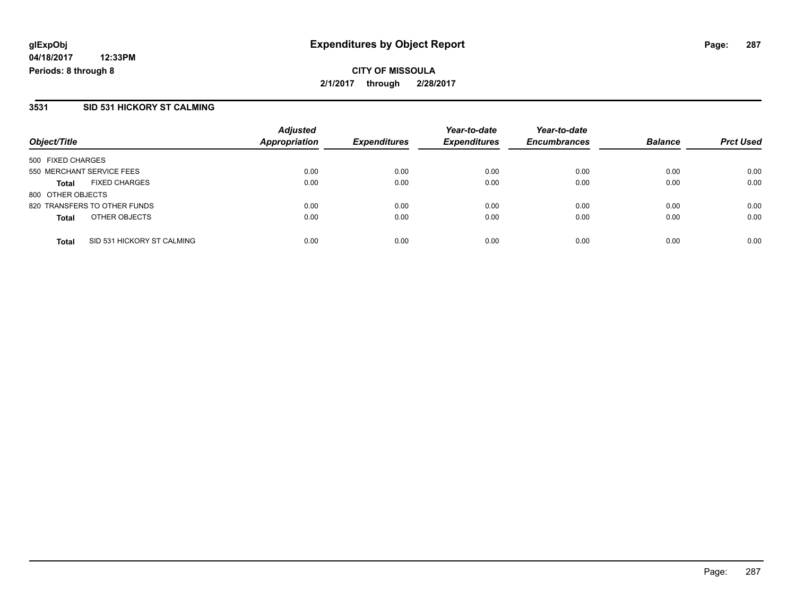## **CITY OF MISSOULA 2/1/2017 through 2/28/2017**

#### **3531 SID 531 HICKORY ST CALMING**

| Object/Title                               | <b>Adjusted</b><br><b>Appropriation</b> | <b>Expenditures</b> | Year-to-date<br><b>Expenditures</b> | Year-to-date<br><b>Encumbrances</b> | <b>Balance</b> | <b>Prct Used</b> |
|--------------------------------------------|-----------------------------------------|---------------------|-------------------------------------|-------------------------------------|----------------|------------------|
| 500 FIXED CHARGES                          |                                         |                     |                                     |                                     |                |                  |
| 550 MERCHANT SERVICE FEES                  | 0.00                                    | 0.00                | 0.00                                | 0.00                                | 0.00           | 0.00             |
| <b>FIXED CHARGES</b><br><b>Total</b>       | 0.00                                    | 0.00                | 0.00                                | 0.00                                | 0.00           | 0.00             |
| 800 OTHER OBJECTS                          |                                         |                     |                                     |                                     |                |                  |
| 820 TRANSFERS TO OTHER FUNDS               | 0.00                                    | 0.00                | 0.00                                | 0.00                                | 0.00           | 0.00             |
| OTHER OBJECTS<br><b>Total</b>              | 0.00                                    | 0.00                | 0.00                                | 0.00                                | 0.00           | 0.00             |
| SID 531 HICKORY ST CALMING<br><b>Total</b> | 0.00                                    | 0.00                | 0.00                                | 0.00                                | 0.00           | 0.00             |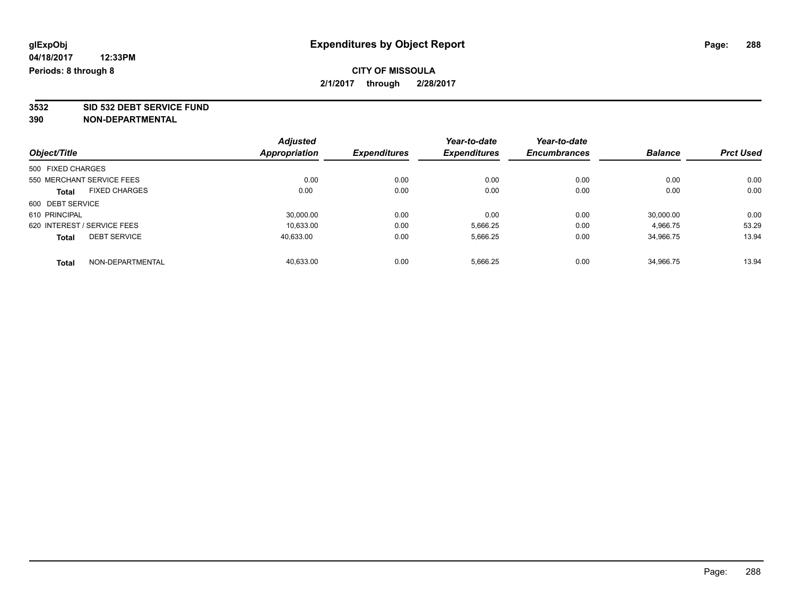## **CITY OF MISSOULA 2/1/2017 through 2/28/2017**

**3532 SID 532 DEBT SERVICE FUND**

|                             |                      | <b>Adjusted</b> |                     | Year-to-date        | Year-to-date        |                |                  |
|-----------------------------|----------------------|-----------------|---------------------|---------------------|---------------------|----------------|------------------|
| Object/Title                |                      | Appropriation   | <b>Expenditures</b> | <b>Expenditures</b> | <b>Encumbrances</b> | <b>Balance</b> | <b>Prct Used</b> |
| 500 FIXED CHARGES           |                      |                 |                     |                     |                     |                |                  |
| 550 MERCHANT SERVICE FEES   |                      | 0.00            | 0.00                | 0.00                | 0.00                | 0.00           | 0.00             |
| <b>Total</b>                | <b>FIXED CHARGES</b> | 0.00            | 0.00                | 0.00                | 0.00                | 0.00           | 0.00             |
| 600 DEBT SERVICE            |                      |                 |                     |                     |                     |                |                  |
| 610 PRINCIPAL               |                      | 30,000.00       | 0.00                | 0.00                | 0.00                | 30,000.00      | 0.00             |
| 620 INTEREST / SERVICE FEES |                      | 10,633.00       | 0.00                | 5,666.25            | 0.00                | 4,966.75       | 53.29            |
| <b>Total</b>                | <b>DEBT SERVICE</b>  | 40.633.00       | 0.00                | 5,666.25            | 0.00                | 34.966.75      | 13.94            |
| <b>Total</b>                | NON-DEPARTMENTAL     | 40.633.00       | 0.00                | 5,666.25            | 0.00                | 34.966.75      | 13.94            |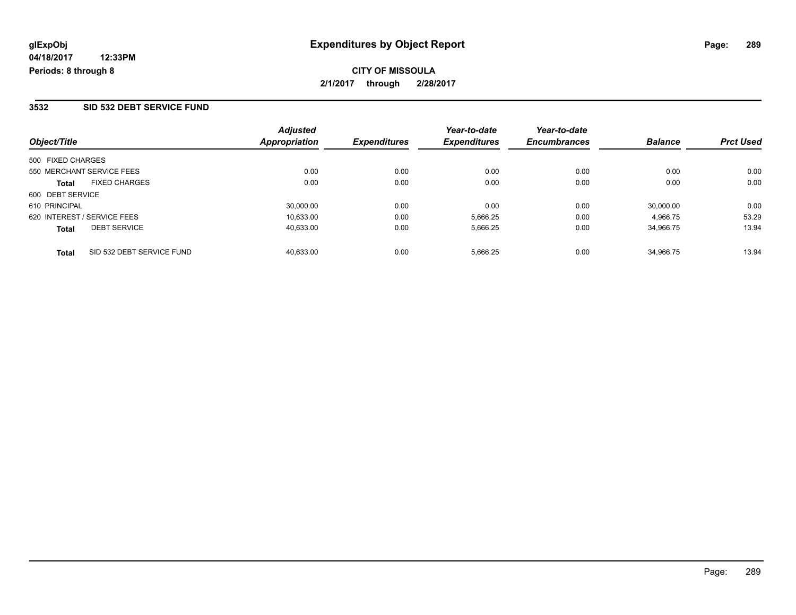**CITY OF MISSOULA 2/1/2017 through 2/28/2017**

### **3532 SID 532 DEBT SERVICE FUND**

| Object/Title                              | <b>Adjusted</b><br><b>Appropriation</b> | <b>Expenditures</b> | Year-to-date<br><b>Expenditures</b> | Year-to-date<br><b>Encumbrances</b> | <b>Balance</b> | <b>Prct Used</b> |
|-------------------------------------------|-----------------------------------------|---------------------|-------------------------------------|-------------------------------------|----------------|------------------|
| 500 FIXED CHARGES                         |                                         |                     |                                     |                                     |                |                  |
| 550 MERCHANT SERVICE FEES                 | 0.00                                    | 0.00                | 0.00                                | 0.00                                | 0.00           | 0.00             |
| <b>FIXED CHARGES</b><br><b>Total</b>      | 0.00                                    | 0.00                | 0.00                                | 0.00                                | 0.00           | 0.00             |
| 600 DEBT SERVICE                          |                                         |                     |                                     |                                     |                |                  |
| 610 PRINCIPAL                             | 30,000.00                               | 0.00                | 0.00                                | 0.00                                | 30.000.00      | 0.00             |
| 620 INTEREST / SERVICE FEES               | 10,633.00                               | 0.00                | 5,666.25                            | 0.00                                | 4.966.75       | 53.29            |
| <b>DEBT SERVICE</b><br><b>Total</b>       | 40,633.00                               | 0.00                | 5,666.25                            | 0.00                                | 34.966.75      | 13.94            |
| SID 532 DEBT SERVICE FUND<br><b>Total</b> | 40.633.00                               | 0.00                | 5,666.25                            | 0.00                                | 34.966.75      | 13.94            |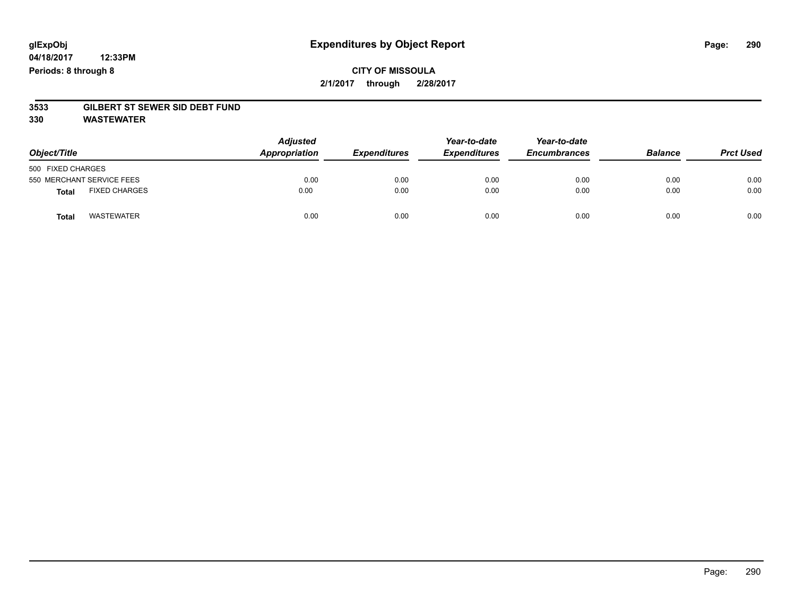## **CITY OF MISSOULA 2/1/2017 through 2/28/2017**

# **3533 GILBERT ST SEWER SID DEBT FUND**

**330 WASTEWATER**

| Object/Title      |                           | <b>Adjusted</b><br>Appropriation | <b>Expenditures</b> | Year-to-date<br><b>Expenditures</b> | Year-to-date<br><b>Encumbrances</b> | <b>Balance</b> | <b>Prct Used</b> |
|-------------------|---------------------------|----------------------------------|---------------------|-------------------------------------|-------------------------------------|----------------|------------------|
| 500 FIXED CHARGES |                           |                                  |                     |                                     |                                     |                |                  |
|                   | 550 MERCHANT SERVICE FEES | 0.00                             | 0.00                | 0.00                                | 0.00                                | 0.00           | 0.00             |
| Total             | <b>FIXED CHARGES</b>      | 0.00                             | 0.00                | 0.00                                | 0.00                                | 0.00           | 0.00             |
| <b>Total</b>      | <b>WASTEWATER</b>         | 0.00                             | 0.00                | 0.00                                | 0.00                                | 0.00           | 0.00             |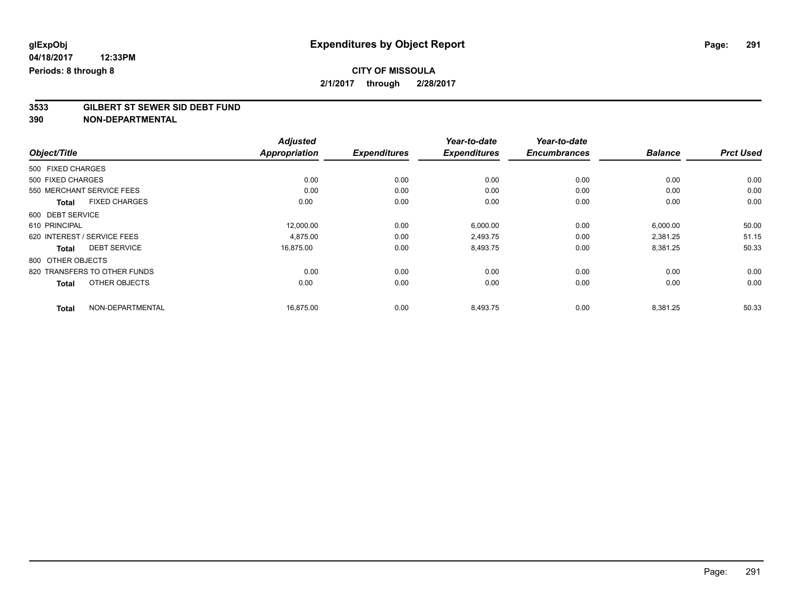# **3533 GILBERT ST SEWER SID DEBT FUND**

| Object/Title                         | <b>Adjusted</b><br><b>Appropriation</b> | <b>Expenditures</b> | Year-to-date<br><b>Expenditures</b> | Year-to-date<br><b>Encumbrances</b> | <b>Balance</b> | <b>Prct Used</b> |
|--------------------------------------|-----------------------------------------|---------------------|-------------------------------------|-------------------------------------|----------------|------------------|
|                                      |                                         |                     |                                     |                                     |                |                  |
| 500 FIXED CHARGES                    |                                         |                     |                                     |                                     |                |                  |
| 500 FIXED CHARGES                    | 0.00                                    | 0.00                | 0.00                                | 0.00                                | 0.00           | 0.00             |
| 550 MERCHANT SERVICE FEES            | 0.00                                    | 0.00                | 0.00                                | 0.00                                | 0.00           | 0.00             |
| <b>FIXED CHARGES</b><br><b>Total</b> | 0.00                                    | 0.00                | 0.00                                | 0.00                                | 0.00           | 0.00             |
| 600 DEBT SERVICE                     |                                         |                     |                                     |                                     |                |                  |
| 610 PRINCIPAL                        | 12,000.00                               | 0.00                | 6,000.00                            | 0.00                                | 6,000.00       | 50.00            |
| 620 INTEREST / SERVICE FEES          | 4,875.00                                | 0.00                | 2,493.75                            | 0.00                                | 2,381.25       | 51.15            |
| <b>DEBT SERVICE</b><br><b>Total</b>  | 16,875.00                               | 0.00                | 8,493.75                            | 0.00                                | 8,381.25       | 50.33            |
| 800 OTHER OBJECTS                    |                                         |                     |                                     |                                     |                |                  |
| 820 TRANSFERS TO OTHER FUNDS         | 0.00                                    | 0.00                | 0.00                                | 0.00                                | 0.00           | 0.00             |
| OTHER OBJECTS<br><b>Total</b>        | 0.00                                    | 0.00                | 0.00                                | 0.00                                | 0.00           | 0.00             |
| NON-DEPARTMENTAL<br><b>Total</b>     | 16,875.00                               | 0.00                | 8,493.75                            | 0.00                                | 8,381.25       | 50.33            |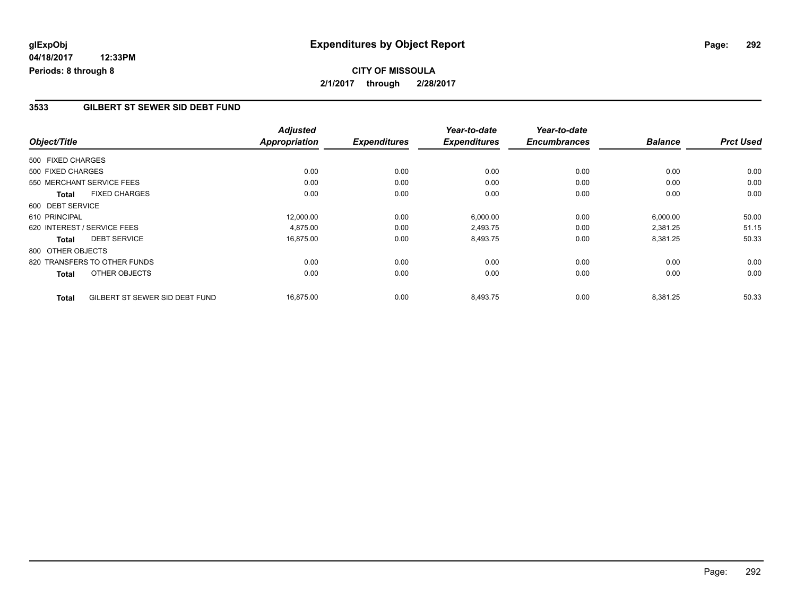### **3533 GILBERT ST SEWER SID DEBT FUND**

|                   |                                | <b>Adjusted</b>      |                     | Year-to-date        | Year-to-date        |                |                  |
|-------------------|--------------------------------|----------------------|---------------------|---------------------|---------------------|----------------|------------------|
| Object/Title      |                                | <b>Appropriation</b> | <b>Expenditures</b> | <b>Expenditures</b> | <b>Encumbrances</b> | <b>Balance</b> | <b>Prct Used</b> |
| 500 FIXED CHARGES |                                |                      |                     |                     |                     |                |                  |
| 500 FIXED CHARGES |                                | 0.00                 | 0.00                | 0.00                | 0.00                | 0.00           | 0.00             |
|                   | 550 MERCHANT SERVICE FEES      | 0.00                 | 0.00                | 0.00                | 0.00                | 0.00           | 0.00             |
| <b>Total</b>      | <b>FIXED CHARGES</b>           | 0.00                 | 0.00                | 0.00                | 0.00                | 0.00           | 0.00             |
| 600 DEBT SERVICE  |                                |                      |                     |                     |                     |                |                  |
| 610 PRINCIPAL     |                                | 12,000.00            | 0.00                | 6,000.00            | 0.00                | 6,000.00       | 50.00            |
|                   | 620 INTEREST / SERVICE FEES    | 4,875.00             | 0.00                | 2,493.75            | 0.00                | 2,381.25       | 51.15            |
| <b>Total</b>      | <b>DEBT SERVICE</b>            | 16,875.00            | 0.00                | 8,493.75            | 0.00                | 8,381.25       | 50.33            |
| 800 OTHER OBJECTS |                                |                      |                     |                     |                     |                |                  |
|                   | 820 TRANSFERS TO OTHER FUNDS   | 0.00                 | 0.00                | 0.00                | 0.00                | 0.00           | 0.00             |
| <b>Total</b>      | OTHER OBJECTS                  | 0.00                 | 0.00                | 0.00                | 0.00                | 0.00           | 0.00             |
| <b>Total</b>      | GILBERT ST SEWER SID DEBT FUND | 16,875.00            | 0.00                | 8,493.75            | 0.00                | 8,381.25       | 50.33            |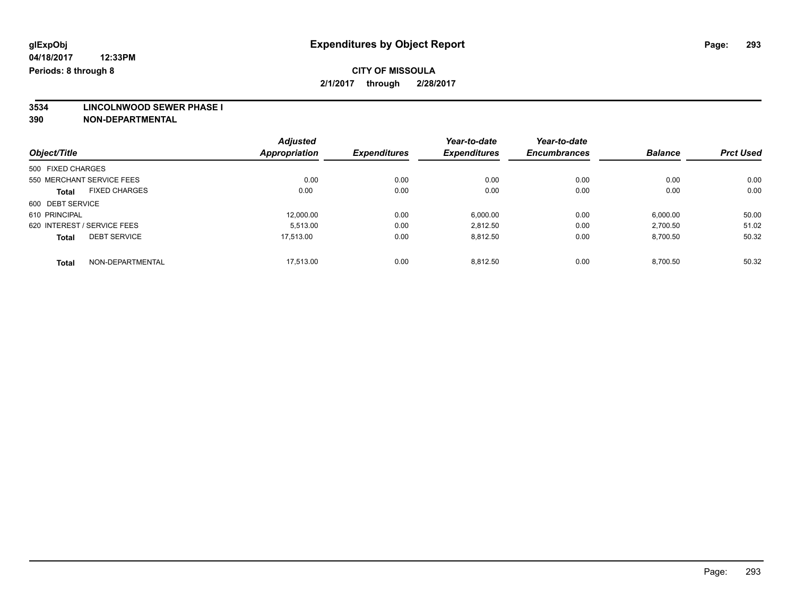## **CITY OF MISSOULA 2/1/2017 through 2/28/2017**

**3534 LINCOLNWOOD SEWER PHASE I**

|                                      | <b>Adjusted</b><br><b>Appropriation</b> |                     | Year-to-date<br><b>Expenditures</b> | Year-to-date        | <b>Balance</b> |                  |
|--------------------------------------|-----------------------------------------|---------------------|-------------------------------------|---------------------|----------------|------------------|
| Object/Title                         |                                         | <b>Expenditures</b> |                                     | <b>Encumbrances</b> |                | <b>Prct Used</b> |
| 500 FIXED CHARGES                    |                                         |                     |                                     |                     |                |                  |
| 550 MERCHANT SERVICE FEES            | 0.00                                    | 0.00                | 0.00                                | 0.00                | 0.00           | 0.00             |
| <b>FIXED CHARGES</b><br><b>Total</b> | 0.00                                    | 0.00                | 0.00                                | 0.00                | 0.00           | 0.00             |
| 600 DEBT SERVICE                     |                                         |                     |                                     |                     |                |                  |
| 610 PRINCIPAL                        | 12.000.00                               | 0.00                | 6,000.00                            | 0.00                | 6,000.00       | 50.00            |
| 620 INTEREST / SERVICE FEES          | 5.513.00                                | 0.00                | 2,812.50                            | 0.00                | 2,700.50       | 51.02            |
| <b>DEBT SERVICE</b><br><b>Total</b>  | 17.513.00                               | 0.00                | 8,812.50                            | 0.00                | 8,700.50       | 50.32            |
| NON-DEPARTMENTAL<br>Total            | 17.513.00                               | 0.00                | 8.812.50                            | 0.00                | 8.700.50       | 50.32            |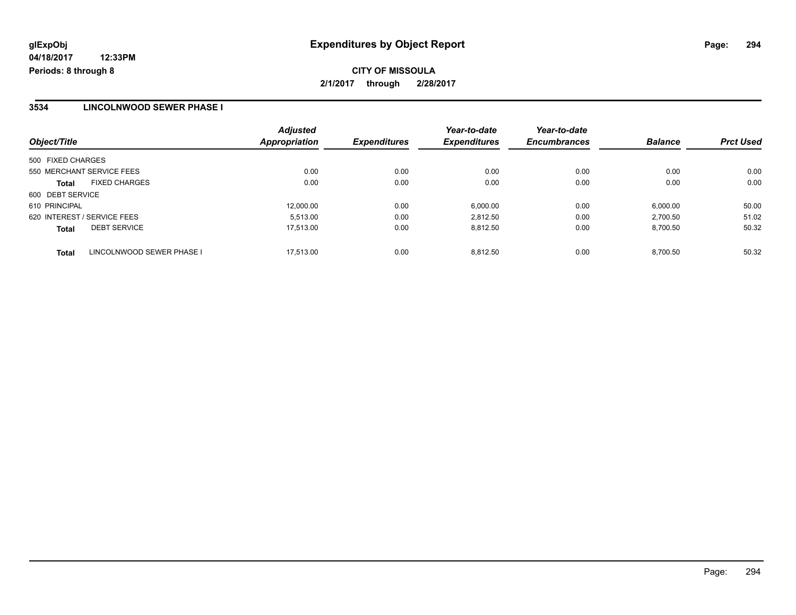**CITY OF MISSOULA 2/1/2017 through 2/28/2017**

### **3534 LINCOLNWOOD SEWER PHASE I**

| Object/Title                              | <b>Adjusted</b><br><b>Appropriation</b> | <b>Expenditures</b> | Year-to-date<br><b>Expenditures</b> | Year-to-date<br><b>Encumbrances</b> | <b>Balance</b> | <b>Prct Used</b> |
|-------------------------------------------|-----------------------------------------|---------------------|-------------------------------------|-------------------------------------|----------------|------------------|
| 500 FIXED CHARGES                         |                                         |                     |                                     |                                     |                |                  |
| 550 MERCHANT SERVICE FEES                 | 0.00                                    | 0.00                | 0.00                                | 0.00                                | 0.00           | 0.00             |
| <b>FIXED CHARGES</b><br><b>Total</b>      | 0.00                                    | 0.00                | 0.00                                | 0.00                                | 0.00           | 0.00             |
| 600 DEBT SERVICE                          |                                         |                     |                                     |                                     |                |                  |
| 610 PRINCIPAL                             | 12,000.00                               | 0.00                | 6,000.00                            | 0.00                                | 6,000.00       | 50.00            |
| 620 INTEREST / SERVICE FEES               | 5.513.00                                | 0.00                | 2.812.50                            | 0.00                                | 2.700.50       | 51.02            |
| <b>DEBT SERVICE</b><br><b>Total</b>       | 17,513.00                               | 0.00                | 8,812.50                            | 0.00                                | 8,700.50       | 50.32            |
| LINCOLNWOOD SEWER PHASE I<br><b>Total</b> | 17.513.00                               | 0.00                | 8.812.50                            | 0.00                                | 8.700.50       | 50.32            |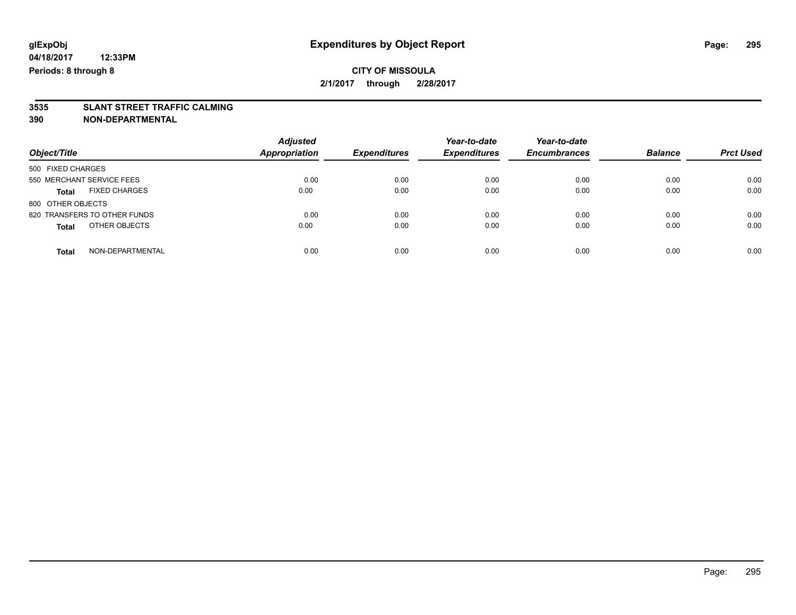## **CITY OF MISSOULA 2/1/2017 through 2/28/2017**

# **3535 SLANT STREET TRAFFIC CALMING**

| Object/Title                         | <b>Adjusted</b><br><b>Appropriation</b> | <b>Expenditures</b> | Year-to-date<br><b>Expenditures</b> | Year-to-date<br><b>Encumbrances</b> | <b>Balance</b> | <b>Prct Used</b> |
|--------------------------------------|-----------------------------------------|---------------------|-------------------------------------|-------------------------------------|----------------|------------------|
| 500 FIXED CHARGES                    |                                         |                     |                                     |                                     |                |                  |
| 550 MERCHANT SERVICE FEES            | 0.00                                    | 0.00                | 0.00                                | 0.00                                | 0.00           | 0.00             |
| <b>FIXED CHARGES</b><br><b>Total</b> | 0.00                                    | 0.00                | 0.00                                | 0.00                                | 0.00           | 0.00             |
| 800 OTHER OBJECTS                    |                                         |                     |                                     |                                     |                |                  |
| 820 TRANSFERS TO OTHER FUNDS         | 0.00                                    | 0.00                | 0.00                                | 0.00                                | 0.00           | 0.00             |
| OTHER OBJECTS<br><b>Total</b>        | 0.00                                    | 0.00                | 0.00                                | 0.00                                | 0.00           | 0.00             |
| NON-DEPARTMENTAL<br>Total            | 0.00                                    | 0.00                | 0.00                                | 0.00                                | 0.00           | 0.00             |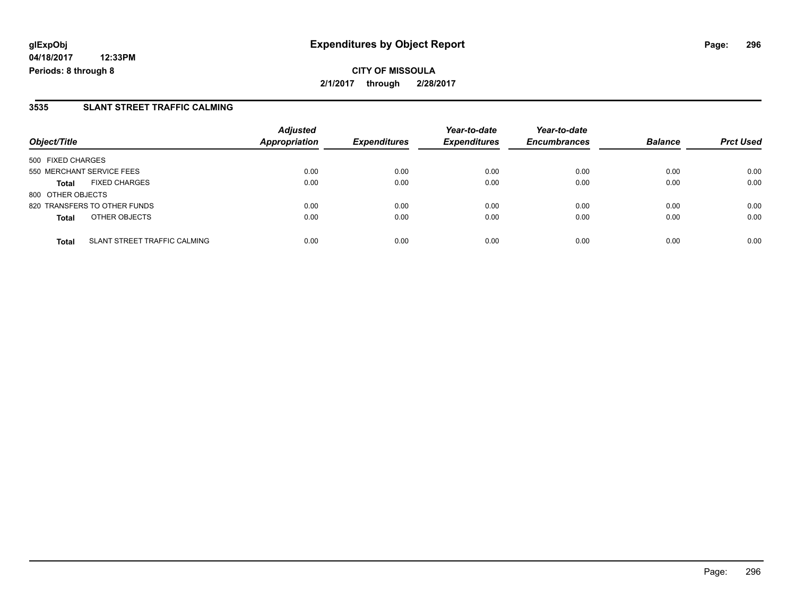**CITY OF MISSOULA 2/1/2017 through 2/28/2017**

### **3535 SLANT STREET TRAFFIC CALMING**

| Object/Title                                 | <b>Adjusted</b><br>Appropriation | <b>Expenditures</b> | Year-to-date<br><b>Expenditures</b> | Year-to-date<br><b>Encumbrances</b> | <b>Balance</b> | <b>Prct Used</b> |
|----------------------------------------------|----------------------------------|---------------------|-------------------------------------|-------------------------------------|----------------|------------------|
| 500 FIXED CHARGES                            |                                  |                     |                                     |                                     |                |                  |
| 550 MERCHANT SERVICE FEES                    | 0.00                             | 0.00                | 0.00                                | 0.00                                | 0.00           | 0.00             |
| <b>FIXED CHARGES</b><br><b>Total</b>         | 0.00                             | 0.00                | 0.00                                | 0.00                                | 0.00           | 0.00             |
| 800 OTHER OBJECTS                            |                                  |                     |                                     |                                     |                |                  |
| 820 TRANSFERS TO OTHER FUNDS                 | 0.00                             | 0.00                | 0.00                                | 0.00                                | 0.00           | 0.00             |
| OTHER OBJECTS<br><b>Total</b>                | 0.00                             | 0.00                | 0.00                                | 0.00                                | 0.00           | 0.00             |
| SLANT STREET TRAFFIC CALMING<br><b>Total</b> | 0.00                             | 0.00                | 0.00                                | 0.00                                | 0.00           | 0.00             |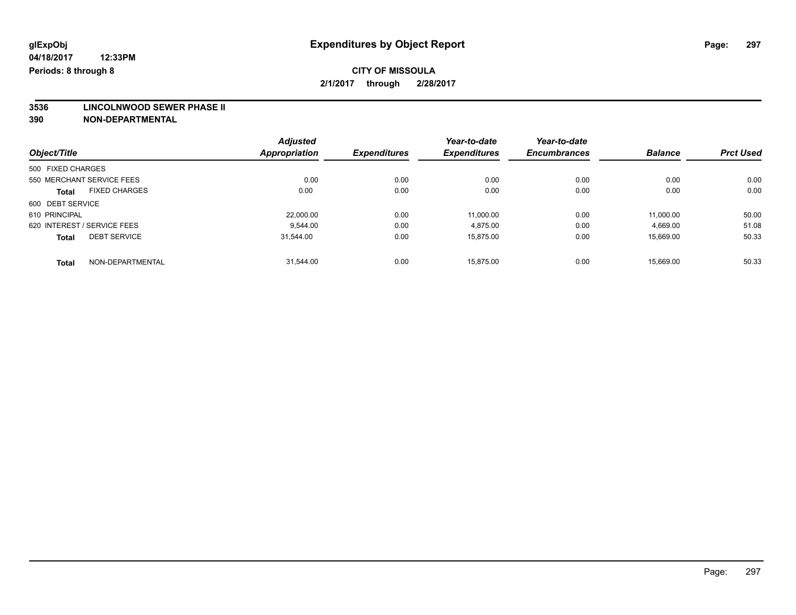**3536 LINCOLNWOOD SEWER PHASE II**

|                                      |                     | <b>Adjusted</b><br><b>Appropriation</b> |                     | Year-to-date        | Year-to-date   |                  |       |
|--------------------------------------|---------------------|-----------------------------------------|---------------------|---------------------|----------------|------------------|-------|
| Object/Title                         | <b>Expenditures</b> |                                         | <b>Expenditures</b> | <b>Encumbrances</b> | <b>Balance</b> | <b>Prct Used</b> |       |
| 500 FIXED CHARGES                    |                     |                                         |                     |                     |                |                  |       |
| 550 MERCHANT SERVICE FEES            |                     | 0.00                                    | 0.00                | 0.00                | 0.00           | 0.00             | 0.00  |
| <b>FIXED CHARGES</b><br><b>Total</b> |                     | 0.00                                    | 0.00                | 0.00                | 0.00           | 0.00             | 0.00  |
| 600 DEBT SERVICE                     |                     |                                         |                     |                     |                |                  |       |
| 610 PRINCIPAL                        |                     | 22,000.00                               | 0.00                | 11.000.00           | 0.00           | 11.000.00        | 50.00 |
| 620 INTEREST / SERVICE FEES          |                     | 9.544.00                                | 0.00                | 4,875.00            | 0.00           | 4,669.00         | 51.08 |
| <b>DEBT SERVICE</b><br><b>Total</b>  |                     | 31,544.00                               | 0.00                | 15,875.00           | 0.00           | 15,669.00        | 50.33 |
| <b>Total</b>                         | NON-DEPARTMENTAL    | 31.544.00                               | 0.00                | 15.875.00           | 0.00           | 15.669.00        | 50.33 |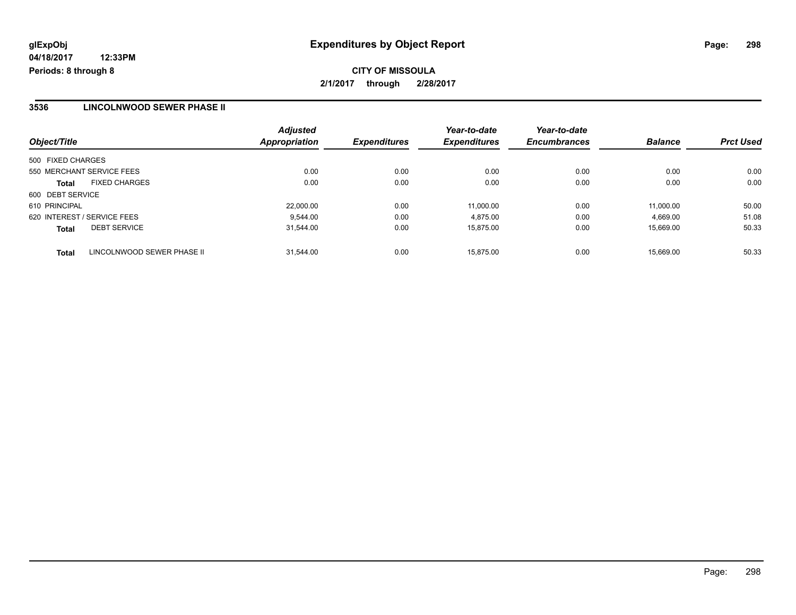**CITY OF MISSOULA 2/1/2017 through 2/28/2017**

### **3536 LINCOLNWOOD SEWER PHASE II**

| Object/Title                               | <b>Adjusted</b><br><b>Appropriation</b> | <b>Expenditures</b> | Year-to-date<br><b>Expenditures</b> | Year-to-date<br><b>Encumbrances</b> | <b>Balance</b> | <b>Prct Used</b> |
|--------------------------------------------|-----------------------------------------|---------------------|-------------------------------------|-------------------------------------|----------------|------------------|
| 500 FIXED CHARGES                          |                                         |                     |                                     |                                     |                |                  |
| 550 MERCHANT SERVICE FEES                  | 0.00                                    | 0.00                | 0.00                                | 0.00                                | 0.00           | 0.00             |
| <b>FIXED CHARGES</b><br><b>Total</b>       | 0.00                                    | 0.00                | 0.00                                | 0.00                                | 0.00           | 0.00             |
| 600 DEBT SERVICE                           |                                         |                     |                                     |                                     |                |                  |
| 610 PRINCIPAL                              | 22.000.00                               | 0.00                | 11,000.00                           | 0.00                                | 11.000.00      | 50.00            |
| 620 INTEREST / SERVICE FEES                | 9.544.00                                | 0.00                | 4.875.00                            | 0.00                                | 4,669.00       | 51.08            |
| <b>DEBT SERVICE</b><br><b>Total</b>        | 31,544.00                               | 0.00                | 15.875.00                           | 0.00                                | 15,669.00      | 50.33            |
| LINCOLNWOOD SEWER PHASE II<br><b>Total</b> | 31.544.00                               | 0.00                | 15.875.00                           | 0.00                                | 15.669.00      | 50.33            |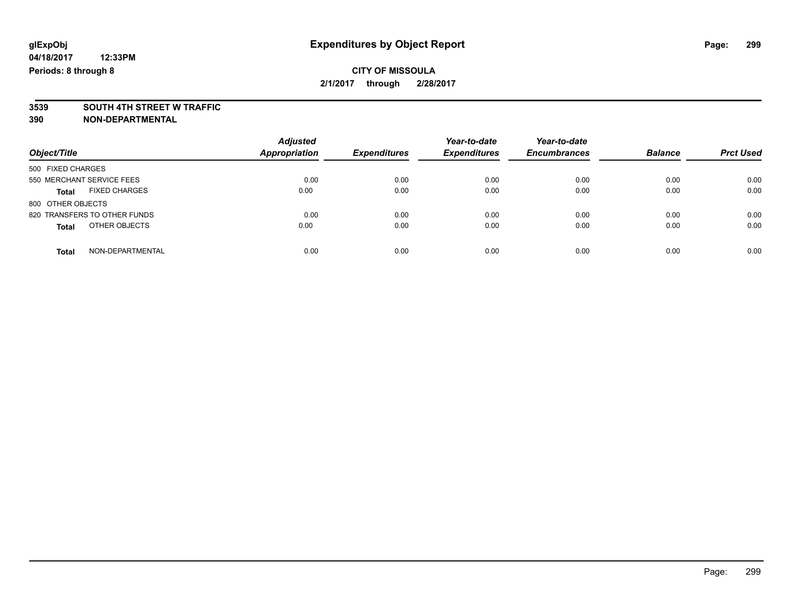# **3539 SOUTH 4TH STREET W TRAFFIC**

| Object/Title                         | <b>Adjusted</b><br>Appropriation | <b>Expenditures</b> | Year-to-date<br><b>Expenditures</b> | Year-to-date<br><b>Encumbrances</b> | <b>Balance</b> | <b>Prct Used</b> |
|--------------------------------------|----------------------------------|---------------------|-------------------------------------|-------------------------------------|----------------|------------------|
| 500 FIXED CHARGES                    |                                  |                     |                                     |                                     |                |                  |
| 550 MERCHANT SERVICE FEES            | 0.00                             | 0.00                | 0.00                                | 0.00                                | 0.00           | 0.00             |
| <b>FIXED CHARGES</b><br><b>Total</b> | 0.00                             | 0.00                | 0.00                                | 0.00                                | 0.00           | 0.00             |
| 800 OTHER OBJECTS                    |                                  |                     |                                     |                                     |                |                  |
| 820 TRANSFERS TO OTHER FUNDS         | 0.00                             | 0.00                | 0.00                                | 0.00                                | 0.00           | 0.00             |
| OTHER OBJECTS<br><b>Total</b>        | 0.00                             | 0.00                | 0.00                                | 0.00                                | 0.00           | 0.00             |
| NON-DEPARTMENTAL<br>Total            | 0.00                             | 0.00                | 0.00                                | 0.00                                | 0.00           | 0.00             |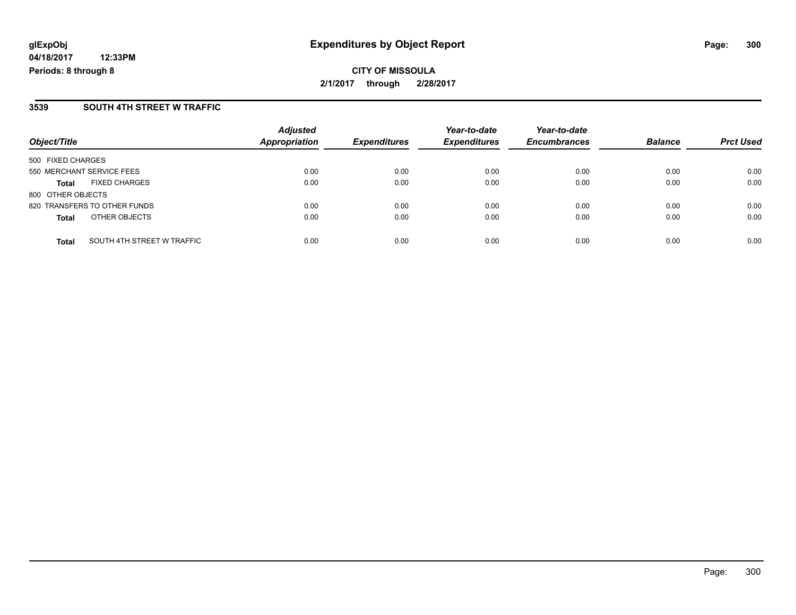**CITY OF MISSOULA 2/1/2017 through 2/28/2017**

### **3539 SOUTH 4TH STREET W TRAFFIC**

| Object/Title                               | <b>Adjusted</b><br>Appropriation | <b>Expenditures</b> | Year-to-date<br><b>Expenditures</b> | Year-to-date<br><b>Encumbrances</b> | <b>Balance</b> | <b>Prct Used</b> |
|--------------------------------------------|----------------------------------|---------------------|-------------------------------------|-------------------------------------|----------------|------------------|
| 500 FIXED CHARGES                          |                                  |                     |                                     |                                     |                |                  |
| 550 MERCHANT SERVICE FEES                  | 0.00                             | 0.00                | 0.00                                | 0.00                                | 0.00           | 0.00             |
| <b>FIXED CHARGES</b><br><b>Total</b>       | 0.00                             | 0.00                | 0.00                                | 0.00                                | 0.00           | 0.00             |
| 800 OTHER OBJECTS                          |                                  |                     |                                     |                                     |                |                  |
| 820 TRANSFERS TO OTHER FUNDS               | 0.00                             | 0.00                | 0.00                                | 0.00                                | 0.00           | 0.00             |
| OTHER OBJECTS<br><b>Total</b>              | 0.00                             | 0.00                | 0.00                                | 0.00                                | 0.00           | 0.00             |
| SOUTH 4TH STREET W TRAFFIC<br><b>Total</b> | 0.00                             | 0.00                | 0.00                                | 0.00                                | 0.00           | 0.00             |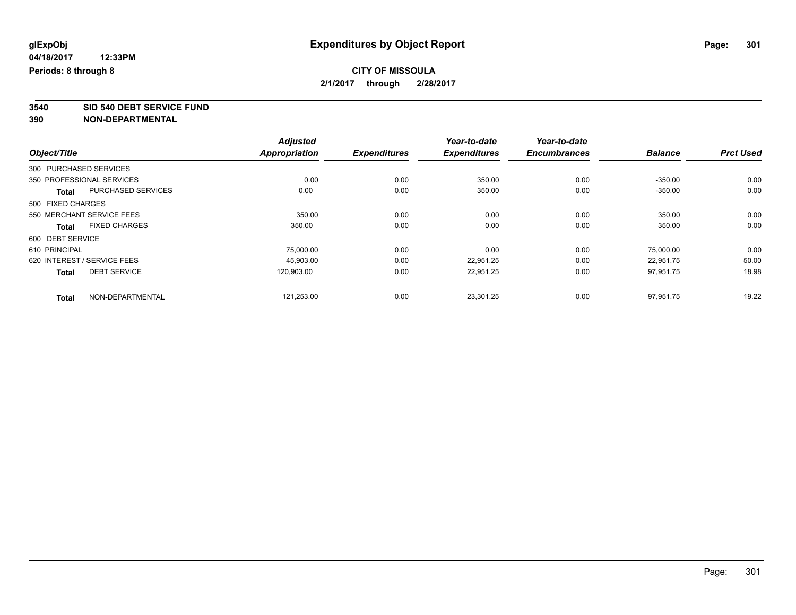**3540 SID 540 DEBT SERVICE FUND**

|                                      |                    | <b>Adjusted</b>      |                     | Year-to-date        | Year-to-date        |                |                  |
|--------------------------------------|--------------------|----------------------|---------------------|---------------------|---------------------|----------------|------------------|
| Object/Title                         |                    | <b>Appropriation</b> | <b>Expenditures</b> | <b>Expenditures</b> | <b>Encumbrances</b> | <b>Balance</b> | <b>Prct Used</b> |
| 300 PURCHASED SERVICES               |                    |                      |                     |                     |                     |                |                  |
| 350 PROFESSIONAL SERVICES            |                    | 0.00                 | 0.00                | 350.00              | 0.00                | $-350.00$      | 0.00             |
| <b>Total</b>                         | PURCHASED SERVICES | 0.00                 | 0.00                | 350.00              | 0.00                | $-350.00$      | 0.00             |
| 500 FIXED CHARGES                    |                    |                      |                     |                     |                     |                |                  |
| 550 MERCHANT SERVICE FEES            |                    | 350.00               | 0.00                | 0.00                | 0.00                | 350.00         | 0.00             |
| <b>FIXED CHARGES</b><br><b>Total</b> |                    | 350.00               | 0.00                | 0.00                | 0.00                | 350.00         | 0.00             |
| 600 DEBT SERVICE                     |                    |                      |                     |                     |                     |                |                  |
| 610 PRINCIPAL                        |                    | 75,000.00            | 0.00                | 0.00                | 0.00                | 75,000.00      | 0.00             |
| 620 INTEREST / SERVICE FEES          |                    | 45,903.00            | 0.00                | 22,951.25           | 0.00                | 22,951.75      | 50.00            |
| <b>DEBT SERVICE</b><br><b>Total</b>  |                    | 120,903.00           | 0.00                | 22,951.25           | 0.00                | 97,951.75      | 18.98            |
| <b>Total</b>                         | NON-DEPARTMENTAL   | 121,253.00           | 0.00                | 23,301.25           | 0.00                | 97,951.75      | 19.22            |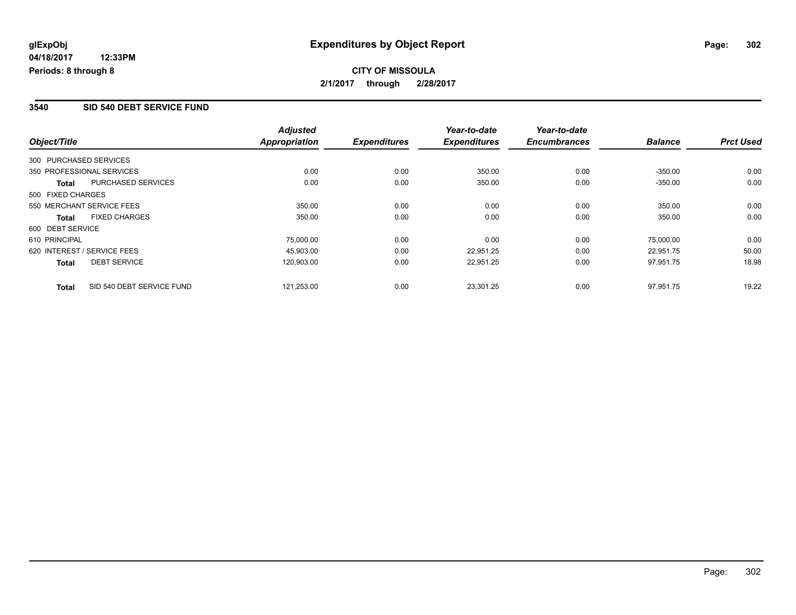## **CITY OF MISSOULA 2/1/2017 through 2/28/2017**

#### **3540 SID 540 DEBT SERVICE FUND**

|                   |                             | <b>Adjusted</b>      |                     | Year-to-date        | Year-to-date        |                |                  |
|-------------------|-----------------------------|----------------------|---------------------|---------------------|---------------------|----------------|------------------|
| Object/Title      |                             | <b>Appropriation</b> | <b>Expenditures</b> | <b>Expenditures</b> | <b>Encumbrances</b> | <b>Balance</b> | <b>Prct Used</b> |
|                   | 300 PURCHASED SERVICES      |                      |                     |                     |                     |                |                  |
|                   | 350 PROFESSIONAL SERVICES   | 0.00                 | 0.00                | 350.00              | 0.00                | $-350.00$      | 0.00             |
| Total             | PURCHASED SERVICES          | 0.00                 | 0.00                | 350.00              | 0.00                | $-350.00$      | 0.00             |
| 500 FIXED CHARGES |                             |                      |                     |                     |                     |                |                  |
|                   | 550 MERCHANT SERVICE FEES   | 350.00               | 0.00                | 0.00                | 0.00                | 350.00         | 0.00             |
| <b>Total</b>      | <b>FIXED CHARGES</b>        | 350.00               | 0.00                | 0.00                | 0.00                | 350.00         | 0.00             |
| 600 DEBT SERVICE  |                             |                      |                     |                     |                     |                |                  |
| 610 PRINCIPAL     |                             | 75,000.00            | 0.00                | 0.00                | 0.00                | 75,000.00      | 0.00             |
|                   | 620 INTEREST / SERVICE FEES | 45.903.00            | 0.00                | 22.951.25           | 0.00                | 22,951.75      | 50.00            |
| <b>Total</b>      | <b>DEBT SERVICE</b>         | 120,903.00           | 0.00                | 22,951.25           | 0.00                | 97,951.75      | 18.98            |
| <b>Total</b>      | SID 540 DEBT SERVICE FUND   | 121.253.00           | 0.00                | 23.301.25           | 0.00                | 97.951.75      | 19.22            |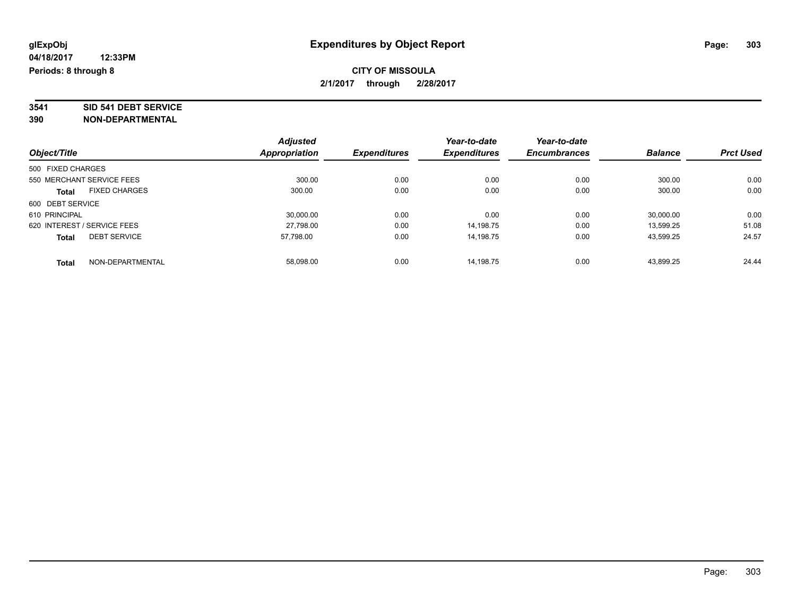# **3541 SID 541 DEBT SERVICE**

|                             |                           | <b>Adjusted</b> |                     | Year-to-date        | Year-to-date        |                |                  |
|-----------------------------|---------------------------|-----------------|---------------------|---------------------|---------------------|----------------|------------------|
| Object/Title                |                           | Appropriation   | <b>Expenditures</b> | <b>Expenditures</b> | <b>Encumbrances</b> | <b>Balance</b> | <b>Prct Used</b> |
| 500 FIXED CHARGES           |                           |                 |                     |                     |                     |                |                  |
|                             | 550 MERCHANT SERVICE FEES | 300.00          | 0.00                | 0.00                | 0.00                | 300.00         | 0.00             |
| <b>Total</b>                | <b>FIXED CHARGES</b>      | 300.00          | 0.00                | 0.00                | 0.00                | 300.00         | 0.00             |
| 600 DEBT SERVICE            |                           |                 |                     |                     |                     |                |                  |
| 610 PRINCIPAL               |                           | 30.000.00       | 0.00                | 0.00                | 0.00                | 30,000.00      | 0.00             |
| 620 INTEREST / SERVICE FEES |                           | 27,798.00       | 0.00                | 14,198.75           | 0.00                | 13,599.25      | 51.08            |
| <b>Total</b>                | <b>DEBT SERVICE</b>       | 57.798.00       | 0.00                | 14.198.75           | 0.00                | 43,599.25      | 24.57            |
| <b>Total</b>                | NON-DEPARTMENTAL          | 58.098.00       | 0.00                | 14.198.75           | 0.00                | 43.899.25      | 24.44            |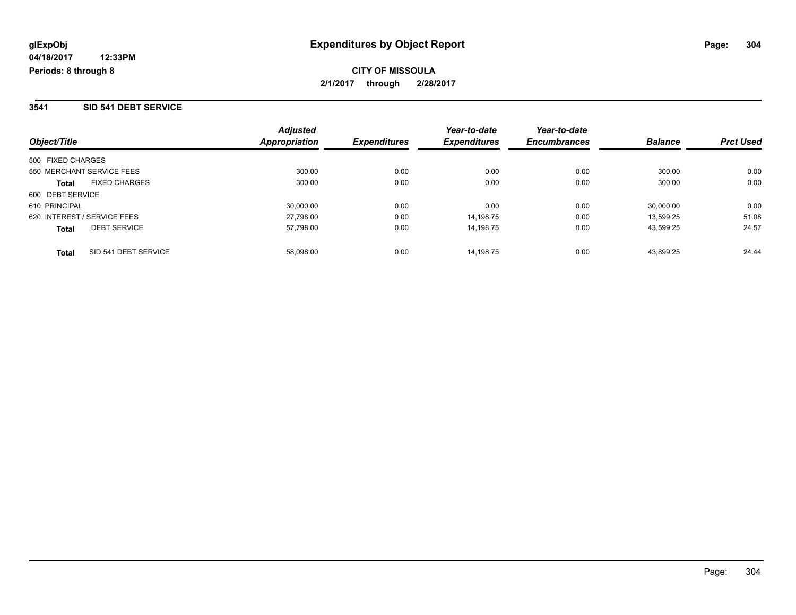### **3541 SID 541 DEBT SERVICE**

| Object/Title                        | <b>Adjusted</b><br>Appropriation | <b>Expenditures</b> | Year-to-date<br><b>Expenditures</b> | Year-to-date<br><b>Encumbrances</b> | <b>Balance</b> | <b>Prct Used</b> |
|-------------------------------------|----------------------------------|---------------------|-------------------------------------|-------------------------------------|----------------|------------------|
| 500 FIXED CHARGES                   |                                  |                     |                                     |                                     |                |                  |
| 550 MERCHANT SERVICE FEES           | 300.00                           | 0.00                | 0.00                                | 0.00                                | 300.00         | 0.00             |
| <b>FIXED CHARGES</b><br>Total       | 300.00                           | 0.00                | 0.00                                | 0.00                                | 300.00         | 0.00             |
| 600 DEBT SERVICE                    |                                  |                     |                                     |                                     |                |                  |
| 610 PRINCIPAL                       | 30,000.00                        | 0.00                | 0.00                                | 0.00                                | 30.000.00      | 0.00             |
| 620 INTEREST / SERVICE FEES         | 27,798.00                        | 0.00                | 14.198.75                           | 0.00                                | 13.599.25      | 51.08            |
| <b>DEBT SERVICE</b><br><b>Total</b> | 57,798.00                        | 0.00                | 14.198.75                           | 0.00                                | 43.599.25      | 24.57            |
| SID 541 DEBT SERVICE<br>Total       | 58.098.00                        | 0.00                | 14.198.75                           | 0.00                                | 43.899.25      | 24.44            |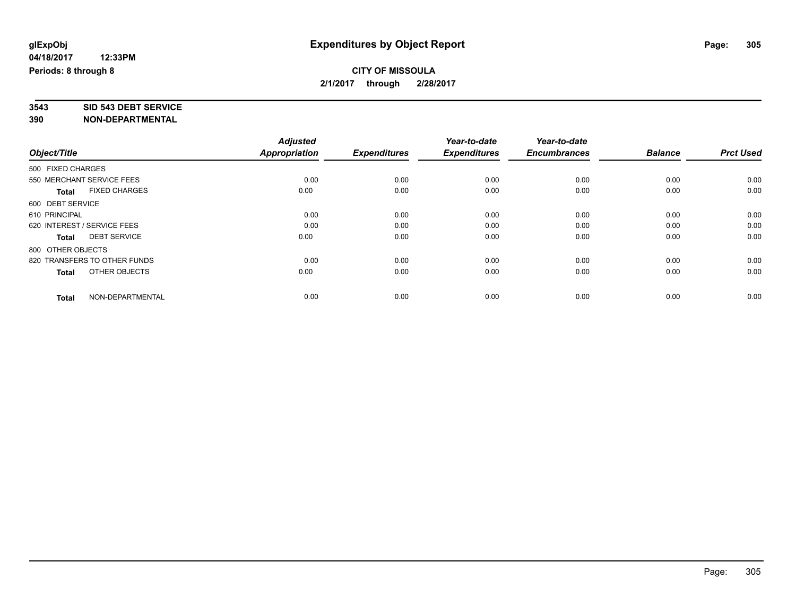# **3543 SID 543 DEBT SERVICE**

|                              |                      | <b>Adjusted</b> |                     | Year-to-date        | Year-to-date        |                |                  |
|------------------------------|----------------------|-----------------|---------------------|---------------------|---------------------|----------------|------------------|
| Object/Title                 |                      | Appropriation   | <b>Expenditures</b> | <b>Expenditures</b> | <b>Encumbrances</b> | <b>Balance</b> | <b>Prct Used</b> |
| 500 FIXED CHARGES            |                      |                 |                     |                     |                     |                |                  |
| 550 MERCHANT SERVICE FEES    |                      | 0.00            | 0.00                | 0.00                | 0.00                | 0.00           | 0.00             |
| <b>Total</b>                 | <b>FIXED CHARGES</b> | 0.00            | 0.00                | 0.00                | 0.00                | 0.00           | 0.00             |
| 600 DEBT SERVICE             |                      |                 |                     |                     |                     |                |                  |
| 610 PRINCIPAL                |                      | 0.00            | 0.00                | 0.00                | 0.00                | 0.00           | 0.00             |
| 620 INTEREST / SERVICE FEES  |                      | 0.00            | 0.00                | 0.00                | 0.00                | 0.00           | 0.00             |
| <b>Total</b>                 | <b>DEBT SERVICE</b>  | 0.00            | 0.00                | 0.00                | 0.00                | 0.00           | 0.00             |
| 800 OTHER OBJECTS            |                      |                 |                     |                     |                     |                |                  |
| 820 TRANSFERS TO OTHER FUNDS |                      | 0.00            | 0.00                | 0.00                | 0.00                | 0.00           | 0.00             |
| <b>Total</b>                 | OTHER OBJECTS        | 0.00            | 0.00                | 0.00                | 0.00                | 0.00           | 0.00             |
|                              |                      |                 |                     |                     |                     |                |                  |
| <b>Total</b>                 | NON-DEPARTMENTAL     | 0.00            | 0.00                | 0.00                | 0.00                | 0.00           | 0.00             |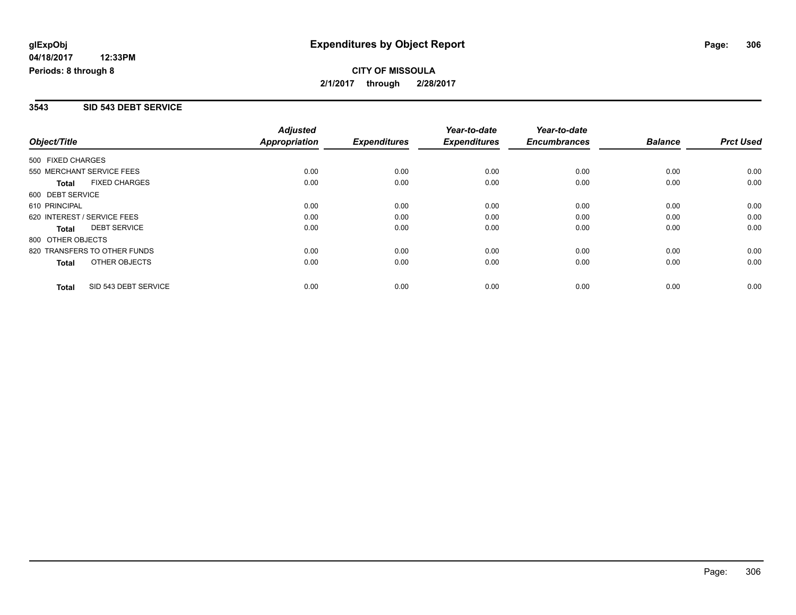## **CITY OF MISSOULA 2/1/2017 through 2/28/2017**

### **3543 SID 543 DEBT SERVICE**

|                             |                              | <b>Adjusted</b>      |                     | Year-to-date        | Year-to-date        |                |                  |
|-----------------------------|------------------------------|----------------------|---------------------|---------------------|---------------------|----------------|------------------|
| Object/Title                |                              | <b>Appropriation</b> | <b>Expenditures</b> | <b>Expenditures</b> | <b>Encumbrances</b> | <b>Balance</b> | <b>Prct Used</b> |
| 500 FIXED CHARGES           |                              |                      |                     |                     |                     |                |                  |
| 550 MERCHANT SERVICE FEES   |                              | 0.00                 | 0.00                | 0.00                | 0.00                | 0.00           | 0.00             |
| Total                       | <b>FIXED CHARGES</b>         | 0.00                 | 0.00                | 0.00                | 0.00                | 0.00           | 0.00             |
| 600 DEBT SERVICE            |                              |                      |                     |                     |                     |                |                  |
| 610 PRINCIPAL               |                              | 0.00                 | 0.00                | 0.00                | 0.00                | 0.00           | 0.00             |
| 620 INTEREST / SERVICE FEES |                              | 0.00                 | 0.00                | 0.00                | 0.00                | 0.00           | 0.00             |
| Total                       | <b>DEBT SERVICE</b>          | 0.00                 | 0.00                | 0.00                | 0.00                | 0.00           | 0.00             |
| 800 OTHER OBJECTS           |                              |                      |                     |                     |                     |                |                  |
|                             | 820 TRANSFERS TO OTHER FUNDS | 0.00                 | 0.00                | 0.00                | 0.00                | 0.00           | 0.00             |
| Total                       | OTHER OBJECTS                | 0.00                 | 0.00                | 0.00                | 0.00                | 0.00           | 0.00             |
| <b>Total</b>                | SID 543 DEBT SERVICE         | 0.00                 | 0.00                | 0.00                | 0.00                | 0.00           | 0.00             |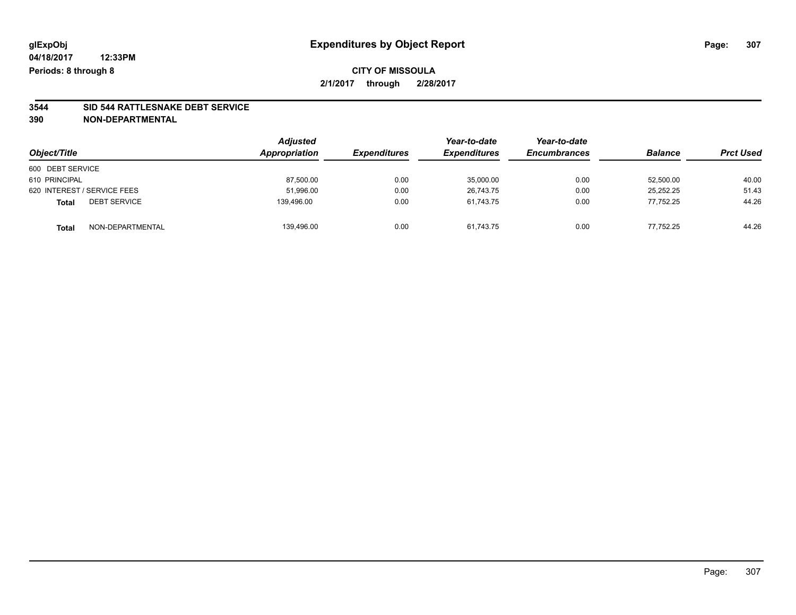## **CITY OF MISSOULA 2/1/2017 through 2/28/2017**

# **3544 SID 544 RATTLESNAKE DEBT SERVICE**

|                                     | <b>Adjusted</b> |                     | Year-to-date        | Year-to-date        | <b>Balance</b> | <b>Prct Used</b> |
|-------------------------------------|-----------------|---------------------|---------------------|---------------------|----------------|------------------|
| Object/Title                        | Appropriation   | <b>Expenditures</b> | <b>Expenditures</b> | <b>Encumbrances</b> |                |                  |
| 600 DEBT SERVICE                    |                 |                     |                     |                     |                |                  |
| 610 PRINCIPAL                       | 87,500.00       | 0.00                | 35,000.00           | 0.00                | 52,500.00      | 40.00            |
| 620 INTEREST / SERVICE FEES         | 51,996.00       | 0.00                | 26.743.75           | 0.00                | 25.252.25      | 51.43            |
| <b>DEBT SERVICE</b><br><b>Total</b> | 139.496.00      | 0.00                | 61.743.75           | 0.00                | 77.752.25      | 44.26            |
| NON-DEPARTMENTAL<br><b>Total</b>    | 139,496.00      | 0.00                | 61,743.75           | 0.00                | 77.752.25      | 44.26            |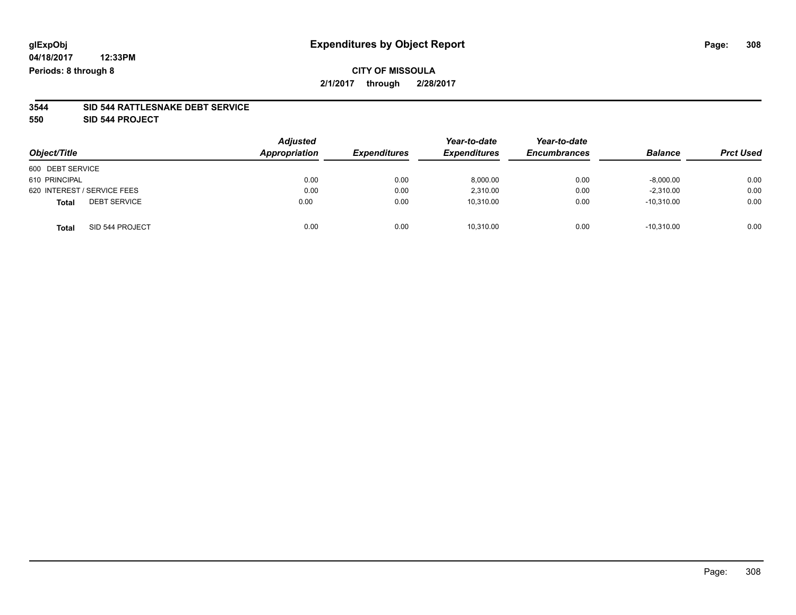## **CITY OF MISSOULA 2/1/2017 through 2/28/2017**

#### **3544 SID 544 RATTLESNAKE DEBT SERVICE**

**550 SID 544 PROJECT**

| Object/Title                        | <b>Adjusted</b><br>Appropriation | <b>Expenditures</b> | Year-to-date<br><b>Expenditures</b> | Year-to-date<br><b>Encumbrances</b> | <b>Balance</b> | <b>Prct Used</b> |
|-------------------------------------|----------------------------------|---------------------|-------------------------------------|-------------------------------------|----------------|------------------|
| 600 DEBT SERVICE                    |                                  |                     |                                     |                                     |                |                  |
| 610 PRINCIPAL                       | 0.00                             | 0.00                | 8,000.00                            | 0.00                                | $-8,000.00$    | 0.00             |
| 620 INTEREST / SERVICE FEES         | 0.00                             | 0.00                | 2,310.00                            | 0.00                                | $-2,310.00$    | 0.00             |
| <b>DEBT SERVICE</b><br><b>Total</b> | 0.00                             | 0.00                | 10,310.00                           | 0.00                                | $-10,310.00$   | 0.00             |
| SID 544 PROJECT<br><b>Total</b>     | 0.00                             | 0.00                | 10,310.00                           | 0.00                                | $-10.310.00$   | 0.00             |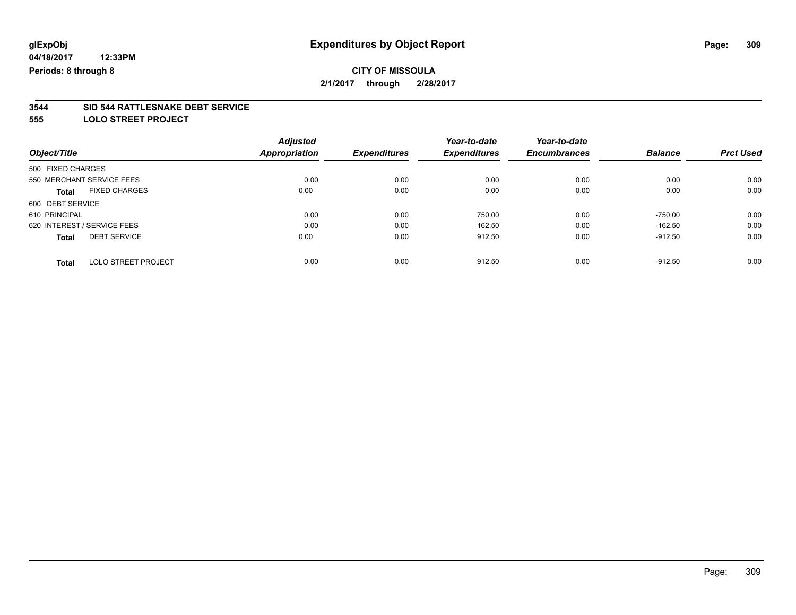**2/1/2017 through 2/28/2017**

# **3544 SID 544 RATTLESNAKE DEBT SERVICE**

**555 LOLO STREET PROJECT**

|                                            |                      | <b>Adjusted</b> |                     | Year-to-date        | Year-to-date        |                |                  |
|--------------------------------------------|----------------------|-----------------|---------------------|---------------------|---------------------|----------------|------------------|
| Object/Title                               | <b>Appropriation</b> |                 | <b>Expenditures</b> | <b>Expenditures</b> | <b>Encumbrances</b> | <b>Balance</b> | <b>Prct Used</b> |
| 500 FIXED CHARGES                          |                      |                 |                     |                     |                     |                |                  |
| 550 MERCHANT SERVICE FEES                  |                      | 0.00            | 0.00                | 0.00                | 0.00                | 0.00           | 0.00             |
| <b>FIXED CHARGES</b><br><b>Total</b>       |                      | 0.00            | 0.00                | 0.00                | 0.00                | 0.00           | 0.00             |
| 600 DEBT SERVICE                           |                      |                 |                     |                     |                     |                |                  |
| 610 PRINCIPAL                              |                      | 0.00            | 0.00                | 750.00              | 0.00                | $-750.00$      | 0.00             |
| 620 INTEREST / SERVICE FEES                |                      | 0.00            | 0.00                | 162.50              | 0.00                | $-162.50$      | 0.00             |
| <b>DEBT SERVICE</b><br><b>Total</b>        |                      | 0.00            | 0.00                | 912.50              | 0.00                | $-912.50$      | 0.00             |
| <b>LOLO STREET PROJECT</b><br><b>Total</b> |                      | 0.00            | 0.00                | 912.50              | 0.00                | $-912.50$      | 0.00             |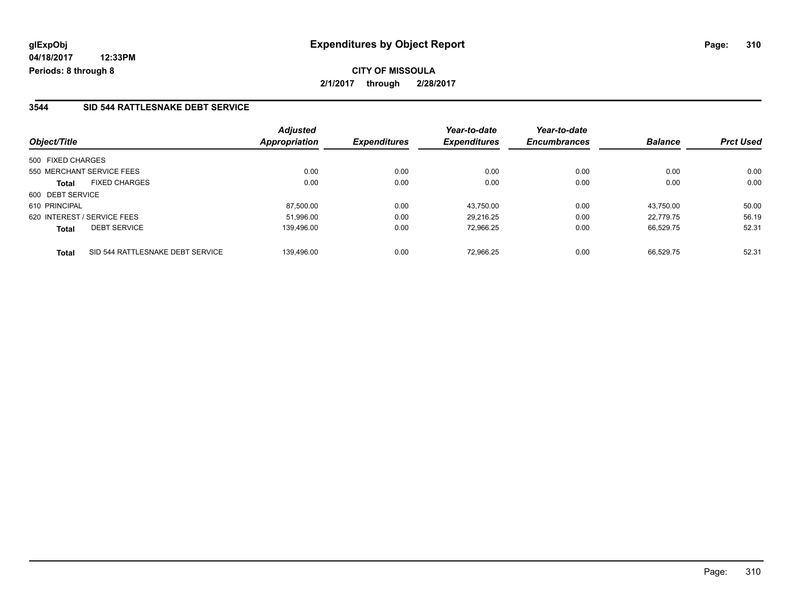**CITY OF MISSOULA 2/1/2017 through 2/28/2017**

### **3544 SID 544 RATTLESNAKE DEBT SERVICE**

| Object/Title                                     | <b>Adjusted</b><br><b>Appropriation</b> | <b>Expenditures</b> | Year-to-date<br><b>Expenditures</b> | Year-to-date<br><b>Encumbrances</b> | <b>Balance</b> | <b>Prct Used</b> |
|--------------------------------------------------|-----------------------------------------|---------------------|-------------------------------------|-------------------------------------|----------------|------------------|
| 500 FIXED CHARGES                                |                                         |                     |                                     |                                     |                |                  |
| 550 MERCHANT SERVICE FEES                        | 0.00                                    | 0.00                | 0.00                                | 0.00                                | 0.00           | 0.00             |
| <b>FIXED CHARGES</b><br><b>Total</b>             | 0.00                                    | 0.00                | 0.00                                | 0.00                                | 0.00           | 0.00             |
| 600 DEBT SERVICE                                 |                                         |                     |                                     |                                     |                |                  |
| 610 PRINCIPAL                                    | 87.500.00                               | 0.00                | 43.750.00                           | 0.00                                | 43.750.00      | 50.00            |
| 620 INTEREST / SERVICE FEES                      | 51.996.00                               | 0.00                | 29.216.25                           | 0.00                                | 22.779.75      | 56.19            |
| <b>DEBT SERVICE</b><br><b>Total</b>              | 139,496.00                              | 0.00                | 72,966.25                           | 0.00                                | 66,529.75      | 52.31            |
| SID 544 RATTLESNAKE DEBT SERVICE<br><b>Total</b> | 139.496.00                              | 0.00                | 72.966.25                           | 0.00                                | 66.529.75      | 52.31            |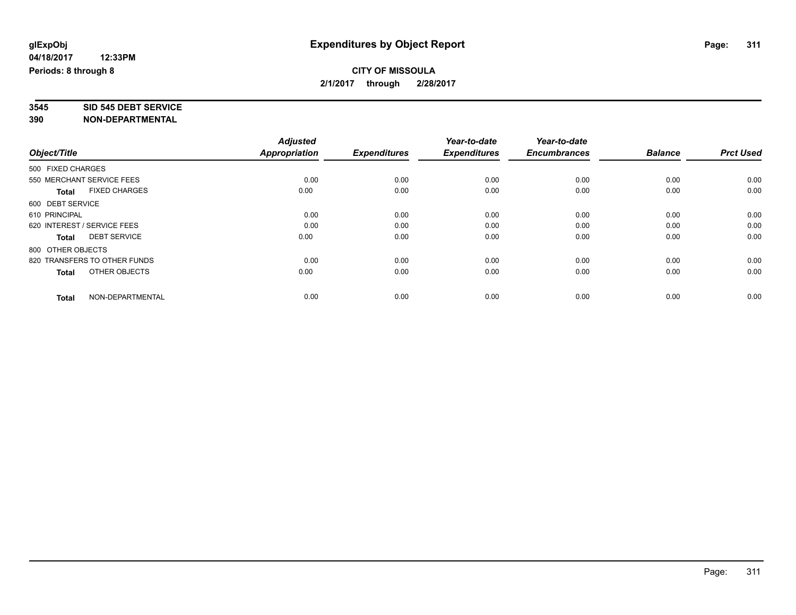# **3545 SID 545 DEBT SERVICE**

|                              |                      | <b>Adjusted</b> |                     | Year-to-date        | Year-to-date        |                |                  |
|------------------------------|----------------------|-----------------|---------------------|---------------------|---------------------|----------------|------------------|
| Object/Title                 |                      | Appropriation   | <b>Expenditures</b> | <b>Expenditures</b> | <b>Encumbrances</b> | <b>Balance</b> | <b>Prct Used</b> |
| 500 FIXED CHARGES            |                      |                 |                     |                     |                     |                |                  |
| 550 MERCHANT SERVICE FEES    |                      | 0.00            | 0.00                | 0.00                | 0.00                | 0.00           | 0.00             |
| <b>Total</b>                 | <b>FIXED CHARGES</b> | 0.00            | 0.00                | 0.00                | 0.00                | 0.00           | 0.00             |
| 600 DEBT SERVICE             |                      |                 |                     |                     |                     |                |                  |
| 610 PRINCIPAL                |                      | 0.00            | 0.00                | 0.00                | 0.00                | 0.00           | 0.00             |
| 620 INTEREST / SERVICE FEES  |                      | 0.00            | 0.00                | 0.00                | 0.00                | 0.00           | 0.00             |
| <b>Total</b>                 | <b>DEBT SERVICE</b>  | 0.00            | 0.00                | 0.00                | 0.00                | 0.00           | 0.00             |
| 800 OTHER OBJECTS            |                      |                 |                     |                     |                     |                |                  |
| 820 TRANSFERS TO OTHER FUNDS |                      | 0.00            | 0.00                | 0.00                | 0.00                | 0.00           | 0.00             |
| <b>Total</b>                 | OTHER OBJECTS        | 0.00            | 0.00                | 0.00                | 0.00                | 0.00           | 0.00             |
|                              |                      |                 |                     |                     |                     |                |                  |
| <b>Total</b>                 | NON-DEPARTMENTAL     | 0.00            | 0.00                | 0.00                | 0.00                | 0.00           | 0.00             |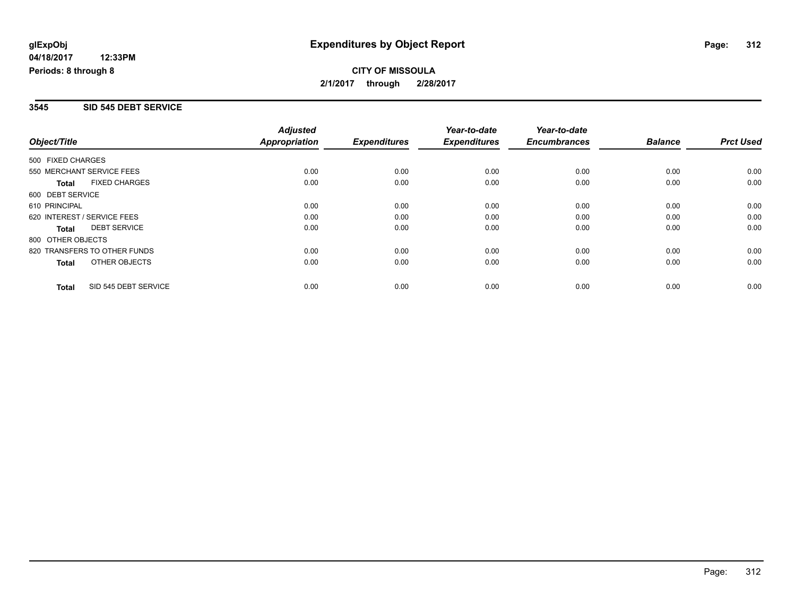## **CITY OF MISSOULA 2/1/2017 through 2/28/2017**

### **3545 SID 545 DEBT SERVICE**

|                              |                      | <b>Adjusted</b>      |                     | Year-to-date        | Year-to-date        |                |                  |
|------------------------------|----------------------|----------------------|---------------------|---------------------|---------------------|----------------|------------------|
| Object/Title                 |                      | <b>Appropriation</b> | <b>Expenditures</b> | <b>Expenditures</b> | <b>Encumbrances</b> | <b>Balance</b> | <b>Prct Used</b> |
| 500 FIXED CHARGES            |                      |                      |                     |                     |                     |                |                  |
| 550 MERCHANT SERVICE FEES    |                      | 0.00                 | 0.00                | 0.00                | 0.00                | 0.00           | 0.00             |
| Total                        | <b>FIXED CHARGES</b> | 0.00                 | 0.00                | 0.00                | 0.00                | 0.00           | 0.00             |
| 600 DEBT SERVICE             |                      |                      |                     |                     |                     |                |                  |
| 610 PRINCIPAL                |                      | 0.00                 | 0.00                | 0.00                | 0.00                | 0.00           | 0.00             |
| 620 INTEREST / SERVICE FEES  |                      | 0.00                 | 0.00                | 0.00                | 0.00                | 0.00           | 0.00             |
| Total                        | <b>DEBT SERVICE</b>  | 0.00                 | 0.00                | 0.00                | 0.00                | 0.00           | 0.00             |
| 800 OTHER OBJECTS            |                      |                      |                     |                     |                     |                |                  |
| 820 TRANSFERS TO OTHER FUNDS |                      | 0.00                 | 0.00                | 0.00                | 0.00                | 0.00           | 0.00             |
| Total                        | OTHER OBJECTS        | 0.00                 | 0.00                | 0.00                | 0.00                | 0.00           | 0.00             |
| Total                        | SID 545 DEBT SERVICE | 0.00                 | 0.00                | 0.00                | 0.00                | 0.00           | 0.00             |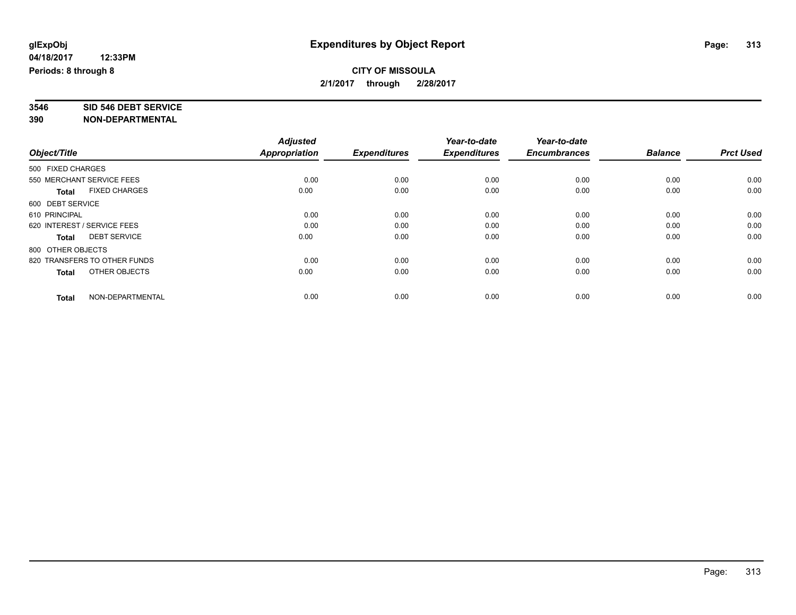# **3546 SID 546 DEBT SERVICE**

|                              |                      | <b>Adjusted</b> |                     | Year-to-date        | Year-to-date        |                |                  |
|------------------------------|----------------------|-----------------|---------------------|---------------------|---------------------|----------------|------------------|
| Object/Title                 |                      | Appropriation   | <b>Expenditures</b> | <b>Expenditures</b> | <b>Encumbrances</b> | <b>Balance</b> | <b>Prct Used</b> |
| 500 FIXED CHARGES            |                      |                 |                     |                     |                     |                |                  |
| 550 MERCHANT SERVICE FEES    |                      | 0.00            | 0.00                | 0.00                | 0.00                | 0.00           | 0.00             |
| <b>Total</b>                 | <b>FIXED CHARGES</b> | 0.00            | 0.00                | 0.00                | 0.00                | 0.00           | 0.00             |
| 600 DEBT SERVICE             |                      |                 |                     |                     |                     |                |                  |
| 610 PRINCIPAL                |                      | 0.00            | 0.00                | 0.00                | 0.00                | 0.00           | 0.00             |
| 620 INTEREST / SERVICE FEES  |                      | 0.00            | 0.00                | 0.00                | 0.00                | 0.00           | 0.00             |
| <b>Total</b>                 | <b>DEBT SERVICE</b>  | 0.00            | 0.00                | 0.00                | 0.00                | 0.00           | 0.00             |
| 800 OTHER OBJECTS            |                      |                 |                     |                     |                     |                |                  |
| 820 TRANSFERS TO OTHER FUNDS |                      | 0.00            | 0.00                | 0.00                | 0.00                | 0.00           | 0.00             |
| <b>Total</b>                 | OTHER OBJECTS        | 0.00            | 0.00                | 0.00                | 0.00                | 0.00           | 0.00             |
|                              |                      |                 |                     |                     |                     |                |                  |
| <b>Total</b>                 | NON-DEPARTMENTAL     | 0.00            | 0.00                | 0.00                | 0.00                | 0.00           | 0.00             |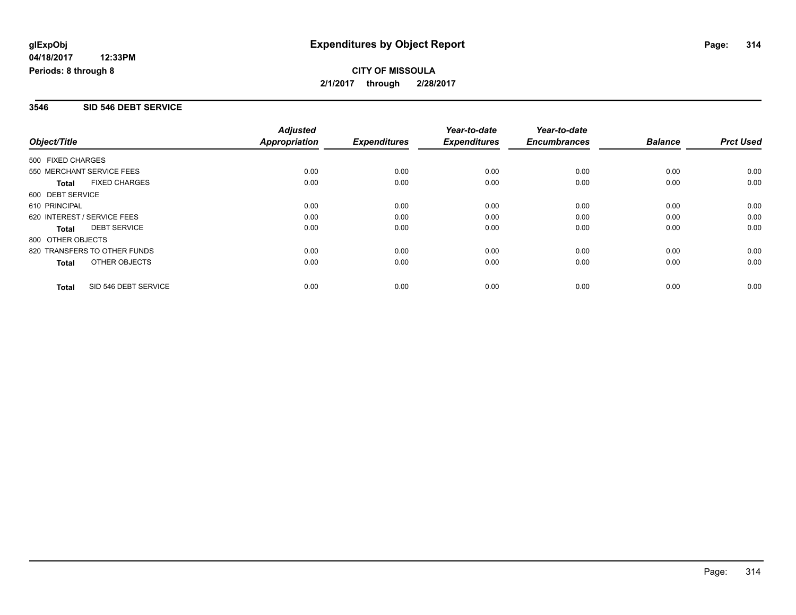## **CITY OF MISSOULA 2/1/2017 through 2/28/2017**

### **3546 SID 546 DEBT SERVICE**

| Object/Title                |                              | <b>Adjusted</b><br><b>Appropriation</b> | <b>Expenditures</b> | Year-to-date<br><b>Expenditures</b> | Year-to-date<br><b>Encumbrances</b> | <b>Balance</b> | <b>Prct Used</b> |
|-----------------------------|------------------------------|-----------------------------------------|---------------------|-------------------------------------|-------------------------------------|----------------|------------------|
| 500 FIXED CHARGES           |                              |                                         |                     |                                     |                                     |                |                  |
|                             | 550 MERCHANT SERVICE FEES    | 0.00                                    | 0.00                | 0.00                                | 0.00                                | 0.00           | 0.00             |
| Total                       | <b>FIXED CHARGES</b>         | 0.00                                    | 0.00                | 0.00                                | 0.00                                | 0.00           | 0.00             |
| 600 DEBT SERVICE            |                              |                                         |                     |                                     |                                     |                |                  |
| 610 PRINCIPAL               |                              | 0.00                                    | 0.00                | 0.00                                | 0.00                                | 0.00           | 0.00             |
| 620 INTEREST / SERVICE FEES |                              | 0.00                                    | 0.00                | 0.00                                | 0.00                                | 0.00           | 0.00             |
| Total                       | <b>DEBT SERVICE</b>          | 0.00                                    | 0.00                | 0.00                                | 0.00                                | 0.00           | 0.00             |
| 800 OTHER OBJECTS           |                              |                                         |                     |                                     |                                     |                |                  |
|                             | 820 TRANSFERS TO OTHER FUNDS | 0.00                                    | 0.00                | 0.00                                | 0.00                                | 0.00           | 0.00             |
| Total                       | OTHER OBJECTS                | 0.00                                    | 0.00                | 0.00                                | 0.00                                | 0.00           | 0.00             |
| Total                       | SID 546 DEBT SERVICE         | 0.00                                    | 0.00                | 0.00                                | 0.00                                | 0.00           | 0.00             |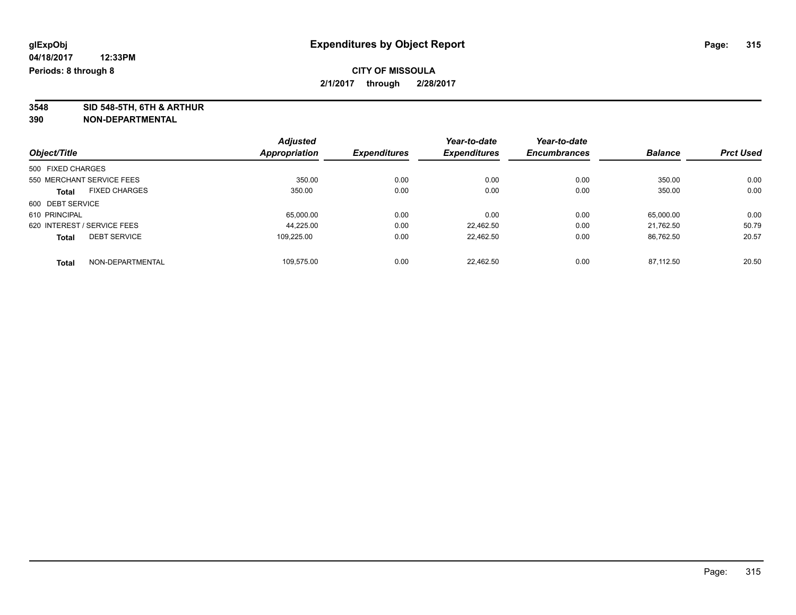**3548 SID 548-5TH, 6TH & ARTHUR**

|                                      | <b>Adjusted</b> |                     | Year-to-date        | Year-to-date        |                |                  |
|--------------------------------------|-----------------|---------------------|---------------------|---------------------|----------------|------------------|
| Object/Title                         | Appropriation   | <b>Expenditures</b> | <b>Expenditures</b> | <b>Encumbrances</b> | <b>Balance</b> | <b>Prct Used</b> |
| 500 FIXED CHARGES                    |                 |                     |                     |                     |                |                  |
| 550 MERCHANT SERVICE FEES            | 350.00          | 0.00                | 0.00                | 0.00                | 350.00         | 0.00             |
| <b>FIXED CHARGES</b><br><b>Total</b> | 350.00          | 0.00                | 0.00                | 0.00                | 350.00         | 0.00             |
| 600 DEBT SERVICE                     |                 |                     |                     |                     |                |                  |
| 610 PRINCIPAL                        | 65,000.00       | 0.00                | 0.00                | 0.00                | 65,000.00      | 0.00             |
| 620 INTEREST / SERVICE FEES          | 44.225.00       | 0.00                | 22.462.50           | 0.00                | 21.762.50      | 50.79            |
| <b>DEBT SERVICE</b><br><b>Total</b>  | 109.225.00      | 0.00                | 22.462.50           | 0.00                | 86.762.50      | 20.57            |
| NON-DEPARTMENTAL<br><b>Total</b>     | 109.575.00      | 0.00                | 22.462.50           | 0.00                | 87.112.50      | 20.50            |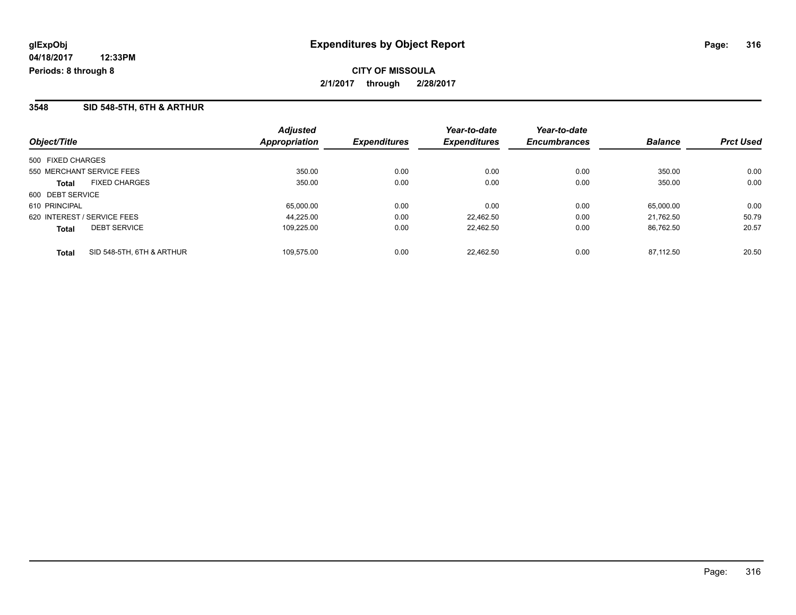**CITY OF MISSOULA 2/1/2017 through 2/28/2017**

## **3548 SID 548-5TH, 6TH & ARTHUR**

| Object/Title                              | <b>Adjusted</b><br><b>Appropriation</b> | <b>Expenditures</b> | Year-to-date<br><b>Expenditures</b> | Year-to-date<br><b>Encumbrances</b> | <b>Balance</b> | <b>Prct Used</b> |
|-------------------------------------------|-----------------------------------------|---------------------|-------------------------------------|-------------------------------------|----------------|------------------|
| 500 FIXED CHARGES                         |                                         |                     |                                     |                                     |                |                  |
| 550 MERCHANT SERVICE FEES                 | 350.00                                  | 0.00                | 0.00                                | 0.00                                | 350.00         | 0.00             |
| <b>FIXED CHARGES</b><br>Total             | 350.00                                  | 0.00                | 0.00                                | 0.00                                | 350.00         | 0.00             |
| 600 DEBT SERVICE                          |                                         |                     |                                     |                                     |                |                  |
| 610 PRINCIPAL                             | 65,000.00                               | 0.00                | 0.00                                | 0.00                                | 65.000.00      | 0.00             |
| 620 INTEREST / SERVICE FEES               | 44.225.00                               | 0.00                | 22.462.50                           | 0.00                                | 21.762.50      | 50.79            |
| <b>DEBT SERVICE</b><br><b>Total</b>       | 109,225.00                              | 0.00                | 22,462.50                           | 0.00                                | 86,762.50      | 20.57            |
| SID 548-5TH, 6TH & ARTHUR<br><b>Total</b> | 109.575.00                              | 0.00                | 22.462.50                           | 0.00                                | 87.112.50      | 20.50            |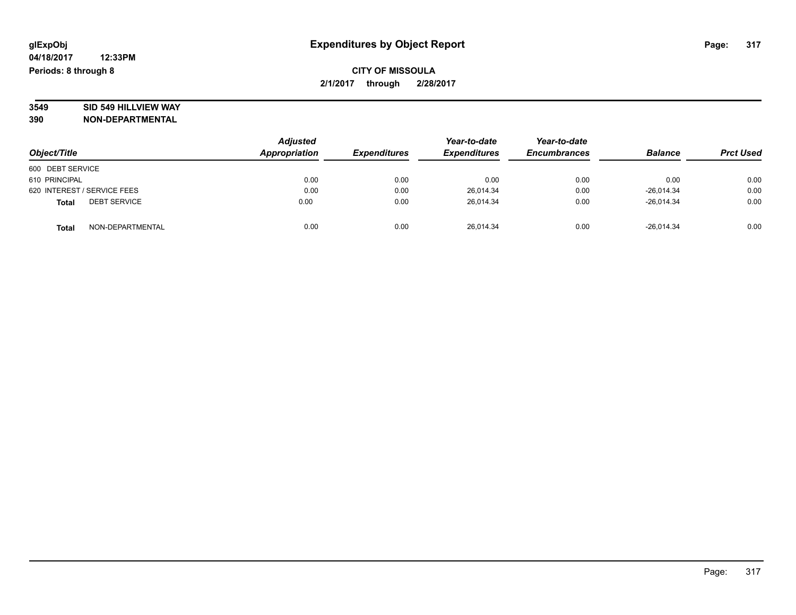# **3549 SID 549 HILLVIEW WAY**

|                                     | <b>Adjusted</b><br>Appropriation |                     | Year-to-date        | Year-to-date        | <b>Balance</b> |                  |
|-------------------------------------|----------------------------------|---------------------|---------------------|---------------------|----------------|------------------|
| Object/Title                        |                                  | <b>Expenditures</b> | <b>Expenditures</b> | <b>Encumbrances</b> |                | <b>Prct Used</b> |
| 600 DEBT SERVICE                    |                                  |                     |                     |                     |                |                  |
| 610 PRINCIPAL                       | 0.00                             | 0.00                | 0.00                | 0.00                | 0.00           | 0.00             |
| 620 INTEREST / SERVICE FEES         | 0.00                             | 0.00                | 26.014.34           | 0.00                | $-26.014.34$   | 0.00             |
| <b>DEBT SERVICE</b><br><b>Total</b> | 0.00                             | 0.00                | 26,014.34           | 0.00                | $-26,014.34$   | 0.00             |
| NON-DEPARTMENTAL<br><b>Total</b>    | 0.00                             | 0.00                | 26,014.34           | 0.00                | $-26,014.34$   | 0.00             |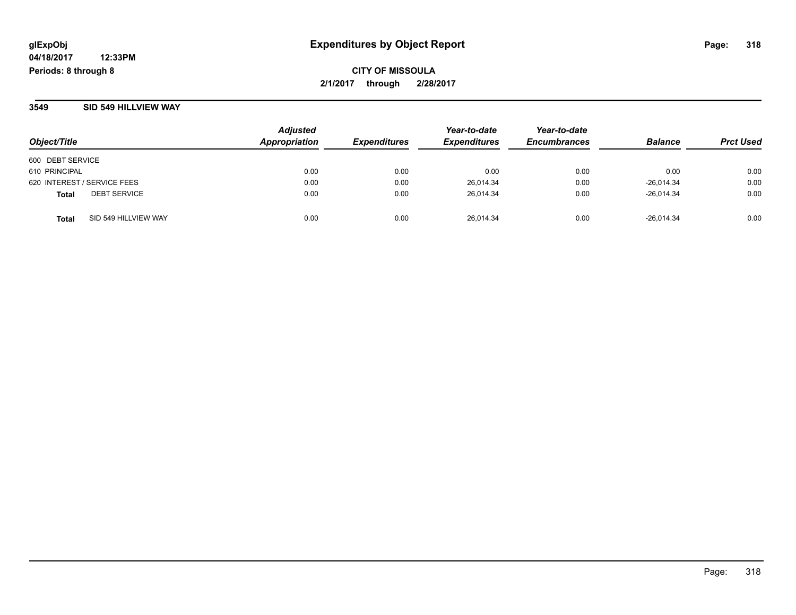**CITY OF MISSOULA 2/1/2017 through 2/28/2017**

#### **3549 SID 549 HILLVIEW WAY**

| Object/Title                         | <b>Adjusted</b><br>Appropriation | <b>Expenditures</b> | Year-to-date<br><b>Expenditures</b> | Year-to-date<br><b>Encumbrances</b> | <b>Balance</b> | <b>Prct Used</b> |
|--------------------------------------|----------------------------------|---------------------|-------------------------------------|-------------------------------------|----------------|------------------|
| 600 DEBT SERVICE                     |                                  |                     |                                     |                                     |                |                  |
| 610 PRINCIPAL                        | 0.00                             | 0.00                | 0.00                                | 0.00                                | 0.00           | 0.00             |
| 620 INTEREST / SERVICE FEES          | 0.00                             | 0.00                | 26,014.34                           | 0.00                                | $-26,014.34$   | 0.00             |
| <b>DEBT SERVICE</b><br><b>Total</b>  | 0.00                             | 0.00                | 26,014.34                           | 0.00                                | $-26.014.34$   | 0.00             |
| SID 549 HILLVIEW WAY<br><b>Total</b> | 0.00                             | 0.00                | 26.014.34                           | 0.00                                | $-26.014.34$   | 0.00             |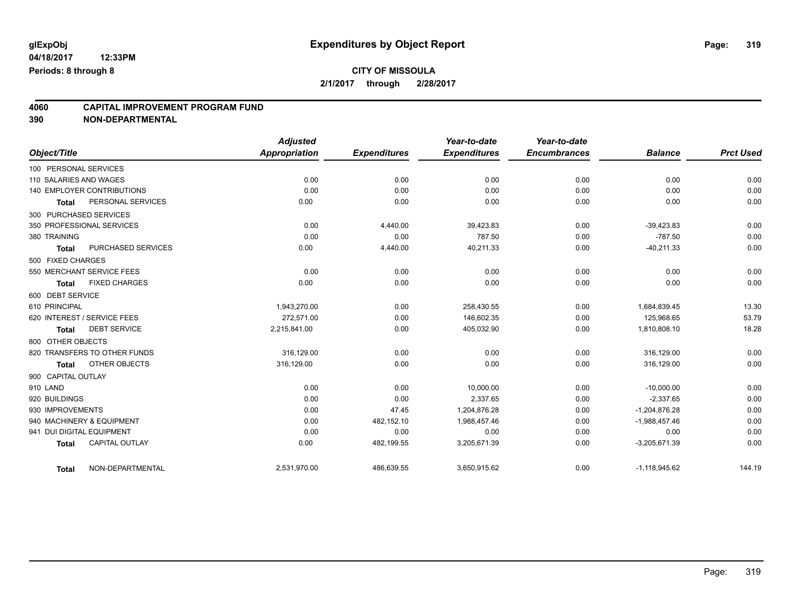## **CITY OF MISSOULA 2/1/2017 through 2/28/2017**

# **4060 CAPITAL IMPROVEMENT PROGRAM FUND**

| Object/Title              |                                   | <b>Adjusted</b><br>Appropriation | <b>Expenditures</b> | Year-to-date<br><b>Expenditures</b> | Year-to-date<br><b>Encumbrances</b> | <b>Balance</b>  | <b>Prct Used</b> |
|---------------------------|-----------------------------------|----------------------------------|---------------------|-------------------------------------|-------------------------------------|-----------------|------------------|
|                           |                                   |                                  |                     |                                     |                                     |                 |                  |
| 100 PERSONAL SERVICES     |                                   |                                  |                     |                                     |                                     |                 |                  |
| 110 SALARIES AND WAGES    |                                   | 0.00                             | 0.00                | 0.00                                | 0.00                                | 0.00            | 0.00             |
|                           | <b>140 EMPLOYER CONTRIBUTIONS</b> | 0.00                             | 0.00                | 0.00                                | 0.00                                | 0.00            | 0.00             |
| Total                     | PERSONAL SERVICES                 | 0.00                             | 0.00                | 0.00                                | 0.00                                | 0.00            | 0.00             |
| 300 PURCHASED SERVICES    |                                   |                                  |                     |                                     |                                     |                 |                  |
|                           | 350 PROFESSIONAL SERVICES         | 0.00                             | 4,440.00            | 39,423.83                           | 0.00                                | $-39,423.83$    | 0.00             |
| 380 TRAINING              |                                   | 0.00                             | 0.00                | 787.50                              | 0.00                                | $-787.50$       | 0.00             |
| <b>Total</b>              | PURCHASED SERVICES                | 0.00                             | 4,440.00            | 40,211.33                           | 0.00                                | $-40,211.33$    | 0.00             |
| 500 FIXED CHARGES         |                                   |                                  |                     |                                     |                                     |                 |                  |
|                           | 550 MERCHANT SERVICE FEES         | 0.00                             | 0.00                | 0.00                                | 0.00                                | 0.00            | 0.00             |
| <b>Total</b>              | <b>FIXED CHARGES</b>              | 0.00                             | 0.00                | 0.00                                | 0.00                                | 0.00            | 0.00             |
| 600 DEBT SERVICE          |                                   |                                  |                     |                                     |                                     |                 |                  |
| 610 PRINCIPAL             |                                   | 1,943,270.00                     | 0.00                | 258,430.55                          | 0.00                                | 1,684,839.45    | 13.30            |
|                           | 620 INTEREST / SERVICE FEES       | 272,571.00                       | 0.00                | 146,602.35                          | 0.00                                | 125,968.65      | 53.79            |
| Total                     | <b>DEBT SERVICE</b>               | 2,215,841.00                     | 0.00                | 405,032.90                          | 0.00                                | 1,810,808.10    | 18.28            |
| 800 OTHER OBJECTS         |                                   |                                  |                     |                                     |                                     |                 |                  |
|                           | 820 TRANSFERS TO OTHER FUNDS      | 316,129.00                       | 0.00                | 0.00                                | 0.00                                | 316,129.00      | 0.00             |
| <b>Total</b>              | OTHER OBJECTS                     | 316,129.00                       | 0.00                | 0.00                                | 0.00                                | 316,129.00      | 0.00             |
| 900 CAPITAL OUTLAY        |                                   |                                  |                     |                                     |                                     |                 |                  |
| 910 LAND                  |                                   | 0.00                             | 0.00                | 10,000.00                           | 0.00                                | $-10,000.00$    | 0.00             |
| 920 BUILDINGS             |                                   | 0.00                             | 0.00                | 2,337.65                            | 0.00                                | $-2,337.65$     | 0.00             |
| 930 IMPROVEMENTS          |                                   | 0.00                             | 47.45               | 1.204.876.28                        | 0.00                                | $-1,204,876.28$ | 0.00             |
|                           | 940 MACHINERY & EQUIPMENT         | 0.00                             | 482,152.10          | 1,988,457.46                        | 0.00                                | $-1,988,457.46$ | 0.00             |
| 941 DUI DIGITAL EQUIPMENT |                                   | 0.00                             | 0.00                | 0.00                                | 0.00                                | 0.00            | 0.00             |
| <b>Total</b>              | <b>CAPITAL OUTLAY</b>             | 0.00                             | 482,199.55          | 3,205,671.39                        | 0.00                                | $-3,205,671.39$ | 0.00             |
| Total                     | NON-DEPARTMENTAL                  | 2,531,970.00                     | 486,639.55          | 3,650,915.62                        | 0.00                                | $-1,118,945.62$ | 144.19           |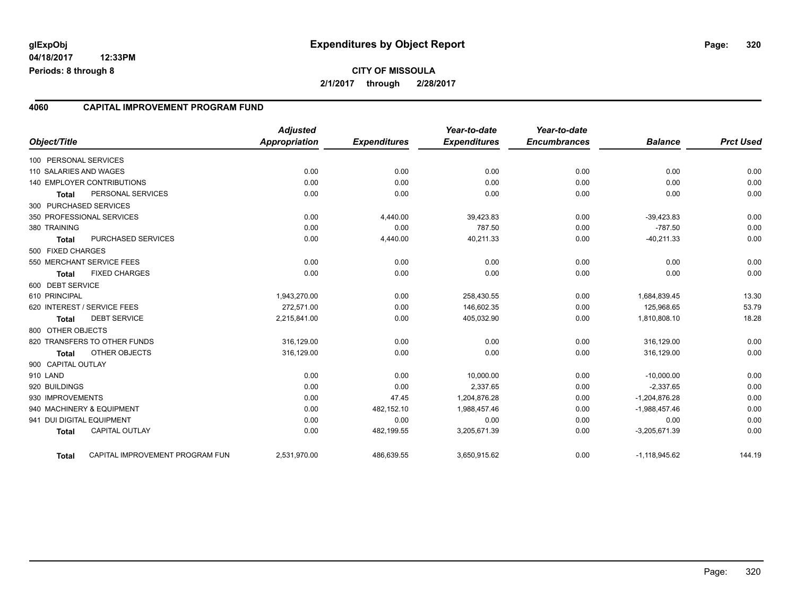#### **4060 CAPITAL IMPROVEMENT PROGRAM FUND**

| Object/Title              |                                 | <b>Adjusted</b><br><b>Appropriation</b> | <b>Expenditures</b> | Year-to-date<br><b>Expenditures</b> | Year-to-date<br><b>Encumbrances</b> | <b>Balance</b>  | <b>Prct Used</b> |
|---------------------------|---------------------------------|-----------------------------------------|---------------------|-------------------------------------|-------------------------------------|-----------------|------------------|
| 100 PERSONAL SERVICES     |                                 |                                         |                     |                                     |                                     |                 |                  |
| 110 SALARIES AND WAGES    |                                 | 0.00                                    | 0.00                | 0.00                                | 0.00                                | 0.00            | 0.00             |
|                           | 140 EMPLOYER CONTRIBUTIONS      | 0.00                                    | 0.00                | 0.00                                | 0.00                                | 0.00            | 0.00             |
| Total                     | PERSONAL SERVICES               | 0.00                                    | 0.00                | 0.00                                | 0.00                                | 0.00            | 0.00             |
| 300 PURCHASED SERVICES    |                                 |                                         |                     |                                     |                                     |                 |                  |
|                           | 350 PROFESSIONAL SERVICES       | 0.00                                    | 4,440.00            | 39,423.83                           | 0.00                                | $-39,423.83$    | 0.00             |
| 380 TRAINING              |                                 | 0.00                                    | 0.00                | 787.50                              | 0.00                                | $-787.50$       | 0.00             |
| <b>Total</b>              | PURCHASED SERVICES              | 0.00                                    | 4,440.00            | 40,211.33                           | 0.00                                | $-40,211.33$    | 0.00             |
| 500 FIXED CHARGES         |                                 |                                         |                     |                                     |                                     |                 |                  |
|                           | 550 MERCHANT SERVICE FEES       | 0.00                                    | 0.00                | 0.00                                | 0.00                                | 0.00            | 0.00             |
| <b>Total</b>              | <b>FIXED CHARGES</b>            | 0.00                                    | 0.00                | 0.00                                | 0.00                                | 0.00            | 0.00             |
| 600 DEBT SERVICE          |                                 |                                         |                     |                                     |                                     |                 |                  |
| 610 PRINCIPAL             |                                 | 1,943,270.00                            | 0.00                | 258,430.55                          | 0.00                                | 1,684,839.45    | 13.30            |
|                           | 620 INTEREST / SERVICE FEES     | 272,571.00                              | 0.00                | 146,602.35                          | 0.00                                | 125,968.65      | 53.79            |
| <b>Total</b>              | <b>DEBT SERVICE</b>             | 2,215,841.00                            | 0.00                | 405,032.90                          | 0.00                                | 1,810,808.10    | 18.28            |
| 800 OTHER OBJECTS         |                                 |                                         |                     |                                     |                                     |                 |                  |
|                           | 820 TRANSFERS TO OTHER FUNDS    | 316,129.00                              | 0.00                | 0.00                                | 0.00                                | 316,129.00      | 0.00             |
| Total                     | OTHER OBJECTS                   | 316,129.00                              | 0.00                | 0.00                                | 0.00                                | 316,129.00      | 0.00             |
| 900 CAPITAL OUTLAY        |                                 |                                         |                     |                                     |                                     |                 |                  |
| 910 LAND                  |                                 | 0.00                                    | 0.00                | 10,000.00                           | 0.00                                | $-10,000.00$    | 0.00             |
| 920 BUILDINGS             |                                 | 0.00                                    | 0.00                | 2,337.65                            | 0.00                                | $-2,337.65$     | 0.00             |
| 930 IMPROVEMENTS          |                                 | 0.00                                    | 47.45               | 1,204,876.28                        | 0.00                                | $-1,204,876.28$ | 0.00             |
|                           | 940 MACHINERY & EQUIPMENT       | 0.00                                    | 482,152.10          | 1,988,457.46                        | 0.00                                | $-1,988,457.46$ | 0.00             |
| 941 DUI DIGITAL EQUIPMENT |                                 | 0.00                                    | 0.00                | 0.00                                | 0.00                                | 0.00            | 0.00             |
| <b>Total</b>              | CAPITAL OUTLAY                  | 0.00                                    | 482,199.55          | 3,205,671.39                        | 0.00                                | $-3,205,671.39$ | 0.00             |
| <b>Total</b>              | CAPITAL IMPROVEMENT PROGRAM FUN | 2,531,970.00                            | 486,639.55          | 3,650,915.62                        | 0.00                                | $-1,118,945.62$ | 144.19           |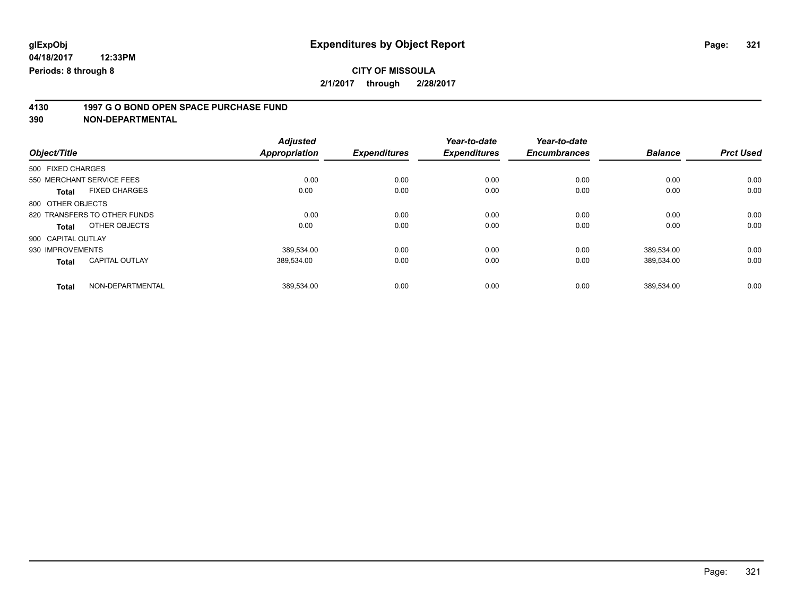# **4130 1997 G O BOND OPEN SPACE PURCHASE FUND**

| Object/Title                          | <b>Adjusted</b><br>Appropriation | <b>Expenditures</b> | Year-to-date<br><b>Expenditures</b> | Year-to-date<br><b>Encumbrances</b> | <b>Balance</b> | <b>Prct Used</b> |
|---------------------------------------|----------------------------------|---------------------|-------------------------------------|-------------------------------------|----------------|------------------|
|                                       |                                  |                     |                                     |                                     |                |                  |
| 500 FIXED CHARGES                     |                                  |                     |                                     |                                     |                |                  |
| 550 MERCHANT SERVICE FEES             | 0.00                             | 0.00                | 0.00                                | 0.00                                | 0.00           | 0.00             |
| <b>FIXED CHARGES</b><br><b>Total</b>  | 0.00                             | 0.00                | 0.00                                | 0.00                                | 0.00           | 0.00             |
| 800 OTHER OBJECTS                     |                                  |                     |                                     |                                     |                |                  |
| 820 TRANSFERS TO OTHER FUNDS          | 0.00                             | 0.00                | 0.00                                | 0.00                                | 0.00           | 0.00             |
| OTHER OBJECTS<br>Total                | 0.00                             | 0.00                | 0.00                                | 0.00                                | 0.00           | 0.00             |
| 900 CAPITAL OUTLAY                    |                                  |                     |                                     |                                     |                |                  |
| 930 IMPROVEMENTS                      | 389,534.00                       | 0.00                | 0.00                                | 0.00                                | 389.534.00     | 0.00             |
| <b>CAPITAL OUTLAY</b><br><b>Total</b> | 389.534.00                       | 0.00                | 0.00                                | 0.00                                | 389,534.00     | 0.00             |
| NON-DEPARTMENTAL<br><b>Total</b>      | 389.534.00                       | 0.00                | 0.00                                | 0.00                                | 389.534.00     | 0.00             |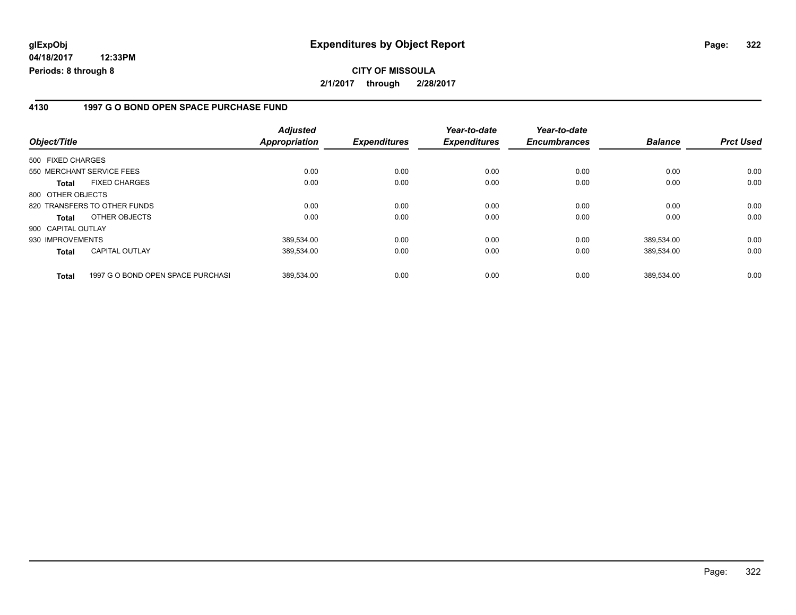### **4130 1997 G O BOND OPEN SPACE PURCHASE FUND**

| Object/Title       |                                   | <b>Adjusted</b><br><b>Appropriation</b> | <b>Expenditures</b> | Year-to-date<br><b>Expenditures</b> | Year-to-date<br><b>Encumbrances</b> | <b>Balance</b> | <b>Prct Used</b> |
|--------------------|-----------------------------------|-----------------------------------------|---------------------|-------------------------------------|-------------------------------------|----------------|------------------|
| 500 FIXED CHARGES  |                                   |                                         |                     |                                     |                                     |                |                  |
|                    | 550 MERCHANT SERVICE FEES         | 0.00                                    | 0.00                | 0.00                                | 0.00                                | 0.00           | 0.00             |
| <b>Total</b>       | <b>FIXED CHARGES</b>              | 0.00                                    | 0.00                | 0.00                                | 0.00                                | 0.00           | 0.00             |
| 800 OTHER OBJECTS  |                                   |                                         |                     |                                     |                                     |                |                  |
|                    | 820 TRANSFERS TO OTHER FUNDS      | 0.00                                    | 0.00                | 0.00                                | 0.00                                | 0.00           | 0.00             |
| <b>Total</b>       | OTHER OBJECTS                     | 0.00                                    | 0.00                | 0.00                                | 0.00                                | 0.00           | 0.00             |
| 900 CAPITAL OUTLAY |                                   |                                         |                     |                                     |                                     |                |                  |
| 930 IMPROVEMENTS   |                                   | 389.534.00                              | 0.00                | 0.00                                | 0.00                                | 389.534.00     | 0.00             |
| <b>Total</b>       | <b>CAPITAL OUTLAY</b>             | 389,534.00                              | 0.00                | 0.00                                | 0.00                                | 389,534.00     | 0.00             |
| <b>Total</b>       | 1997 G O BOND OPEN SPACE PURCHASI | 389.534.00                              | 0.00                | 0.00                                | 0.00                                | 389,534.00     | 0.00             |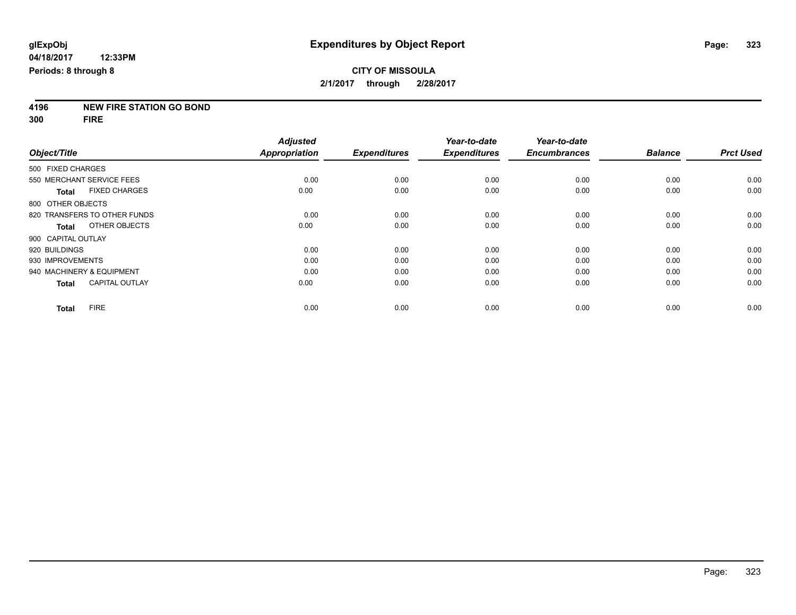# **4196 NEW FIRE STATION GO BOND**

**300 FIRE**

|                              |                       | <b>Adjusted</b>      |                     | Year-to-date        | Year-to-date        |                |                  |
|------------------------------|-----------------------|----------------------|---------------------|---------------------|---------------------|----------------|------------------|
| Object/Title                 |                       | <b>Appropriation</b> | <b>Expenditures</b> | <b>Expenditures</b> | <b>Encumbrances</b> | <b>Balance</b> | <b>Prct Used</b> |
| 500 FIXED CHARGES            |                       |                      |                     |                     |                     |                |                  |
| 550 MERCHANT SERVICE FEES    |                       | 0.00                 | 0.00                | 0.00                | 0.00                | 0.00           | 0.00             |
| <b>Total</b>                 | <b>FIXED CHARGES</b>  | 0.00                 | 0.00                | 0.00                | 0.00                | 0.00           | 0.00             |
| 800 OTHER OBJECTS            |                       |                      |                     |                     |                     |                |                  |
| 820 TRANSFERS TO OTHER FUNDS |                       | 0.00                 | 0.00                | 0.00                | 0.00                | 0.00           | 0.00             |
| Total                        | OTHER OBJECTS         | 0.00                 | 0.00                | 0.00                | 0.00                | 0.00           | 0.00             |
| 900 CAPITAL OUTLAY           |                       |                      |                     |                     |                     |                |                  |
| 920 BUILDINGS                |                       | 0.00                 | 0.00                | 0.00                | 0.00                | 0.00           | 0.00             |
| 930 IMPROVEMENTS             |                       | 0.00                 | 0.00                | 0.00                | 0.00                | 0.00           | 0.00             |
| 940 MACHINERY & EQUIPMENT    |                       | 0.00                 | 0.00                | 0.00                | 0.00                | 0.00           | 0.00             |
| <b>Total</b>                 | <b>CAPITAL OUTLAY</b> | 0.00                 | 0.00                | 0.00                | 0.00                | 0.00           | 0.00             |
| <b>FIRE</b><br><b>Total</b>  |                       | 0.00                 | 0.00                | 0.00                | 0.00                | 0.00           | 0.00             |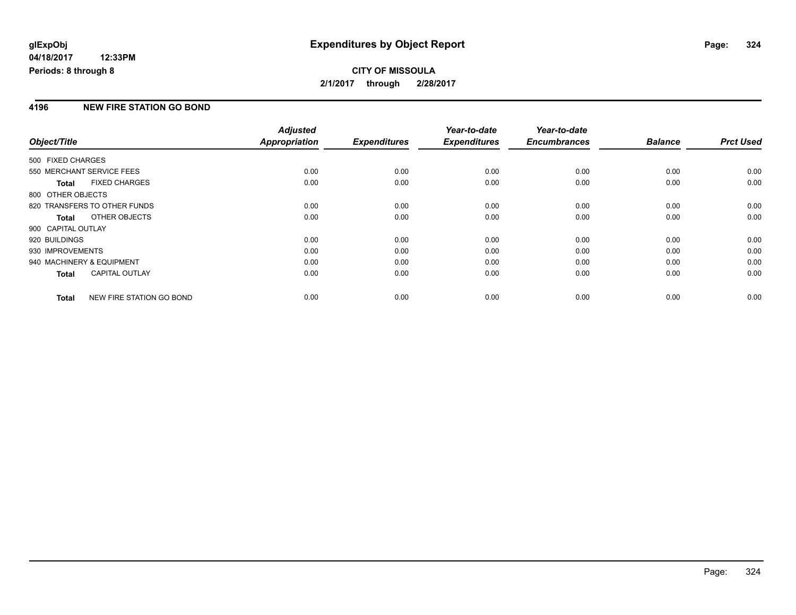## **CITY OF MISSOULA 2/1/2017 through 2/28/2017**

### **4196 NEW FIRE STATION GO BOND**

|                           |                              | <b>Adjusted</b>      |                     | Year-to-date        | Year-to-date        |                |                  |
|---------------------------|------------------------------|----------------------|---------------------|---------------------|---------------------|----------------|------------------|
| Object/Title              |                              | <b>Appropriation</b> | <b>Expenditures</b> | <b>Expenditures</b> | <b>Encumbrances</b> | <b>Balance</b> | <b>Prct Used</b> |
| 500 FIXED CHARGES         |                              |                      |                     |                     |                     |                |                  |
| 550 MERCHANT SERVICE FEES |                              | 0.00                 | 0.00                | 0.00                | 0.00                | 0.00           | 0.00             |
| <b>Total</b>              | <b>FIXED CHARGES</b>         | 0.00                 | 0.00                | 0.00                | 0.00                | 0.00           | 0.00             |
| 800 OTHER OBJECTS         |                              |                      |                     |                     |                     |                |                  |
|                           | 820 TRANSFERS TO OTHER FUNDS | 0.00                 | 0.00                | 0.00                | 0.00                | 0.00           | 0.00             |
| Total                     | OTHER OBJECTS                | 0.00                 | 0.00                | 0.00                | 0.00                | 0.00           | 0.00             |
| 900 CAPITAL OUTLAY        |                              |                      |                     |                     |                     |                |                  |
| 920 BUILDINGS             |                              | 0.00                 | 0.00                | 0.00                | 0.00                | 0.00           | 0.00             |
| 930 IMPROVEMENTS          |                              | 0.00                 | 0.00                | 0.00                | 0.00                | 0.00           | 0.00             |
| 940 MACHINERY & EQUIPMENT |                              | 0.00                 | 0.00                | 0.00                | 0.00                | 0.00           | 0.00             |
| <b>Total</b>              | <b>CAPITAL OUTLAY</b>        | 0.00                 | 0.00                | 0.00                | 0.00                | 0.00           | 0.00             |
| Total                     | NEW FIRE STATION GO BOND     | 0.00                 | 0.00                | 0.00                | 0.00                | 0.00           | 0.00             |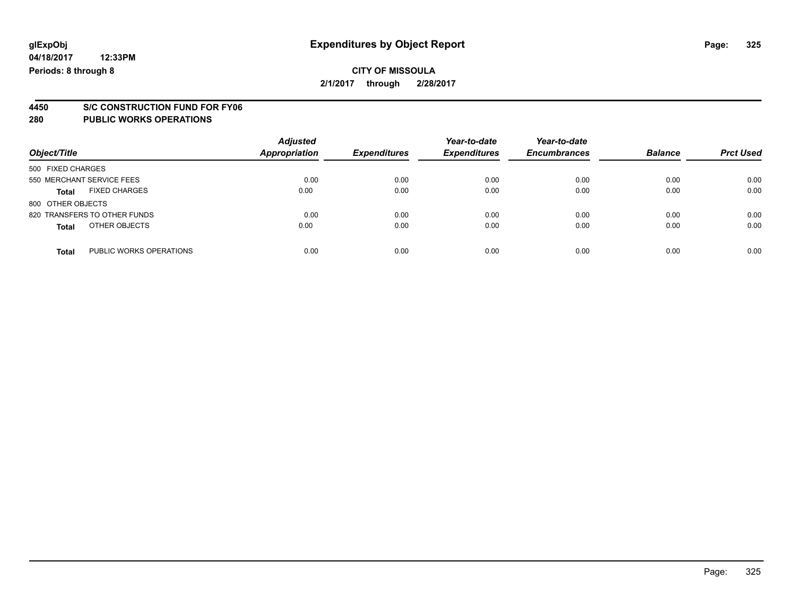# **4450 S/C CONSTRUCTION FUND FOR FY06**

| Object/Title                            | <b>Adjusted</b><br>Appropriation | <b>Expenditures</b> | Year-to-date<br><b>Expenditures</b> | Year-to-date<br><b>Encumbrances</b> | <b>Balance</b> | <b>Prct Used</b> |
|-----------------------------------------|----------------------------------|---------------------|-------------------------------------|-------------------------------------|----------------|------------------|
| 500 FIXED CHARGES                       |                                  |                     |                                     |                                     |                |                  |
| 550 MERCHANT SERVICE FEES               | 0.00                             | 0.00                | 0.00                                | 0.00                                | 0.00           | 0.00             |
| <b>FIXED CHARGES</b><br><b>Total</b>    | 0.00                             | 0.00                | 0.00                                | 0.00                                | 0.00           | 0.00             |
| 800 OTHER OBJECTS                       |                                  |                     |                                     |                                     |                |                  |
| 820 TRANSFERS TO OTHER FUNDS            | 0.00                             | 0.00                | 0.00                                | 0.00                                | 0.00           | 0.00             |
| OTHER OBJECTS<br><b>Total</b>           | 0.00                             | 0.00                | 0.00                                | 0.00                                | 0.00           | 0.00             |
| PUBLIC WORKS OPERATIONS<br><b>Total</b> | 0.00                             | 0.00                | 0.00                                | 0.00                                | 0.00           | 0.00             |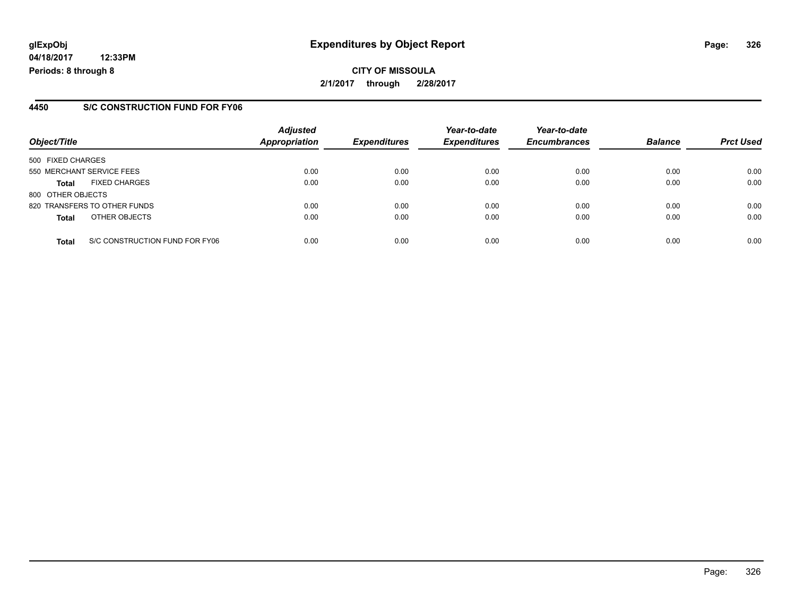**04/18/2017 12:33PM Periods: 8 through 8**

### **4450 S/C CONSTRUCTION FUND FOR FY06**

| Object/Title              |                                | <b>Adjusted</b><br><b>Appropriation</b> | <b>Expenditures</b> | Year-to-date<br><b>Expenditures</b> | Year-to-date<br><b>Encumbrances</b> | <b>Balance</b> | <b>Prct Used</b> |
|---------------------------|--------------------------------|-----------------------------------------|---------------------|-------------------------------------|-------------------------------------|----------------|------------------|
| 500 FIXED CHARGES         |                                |                                         |                     |                                     |                                     |                |                  |
| 550 MERCHANT SERVICE FEES |                                | 0.00                                    | 0.00                | 0.00                                | 0.00                                | 0.00           | 0.00             |
| <b>Total</b>              | <b>FIXED CHARGES</b>           | 0.00                                    | 0.00                | 0.00                                | 0.00                                | 0.00           | 0.00             |
| 800 OTHER OBJECTS         |                                |                                         |                     |                                     |                                     |                |                  |
|                           | 820 TRANSFERS TO OTHER FUNDS   | 0.00                                    | 0.00                | 0.00                                | 0.00                                | 0.00           | 0.00             |
| <b>Total</b>              | OTHER OBJECTS                  | 0.00                                    | 0.00                | 0.00                                | 0.00                                | 0.00           | 0.00             |
| <b>Total</b>              | S/C CONSTRUCTION FUND FOR FY06 | 0.00                                    | 0.00                | 0.00                                | 0.00                                | 0.00           | 0.00             |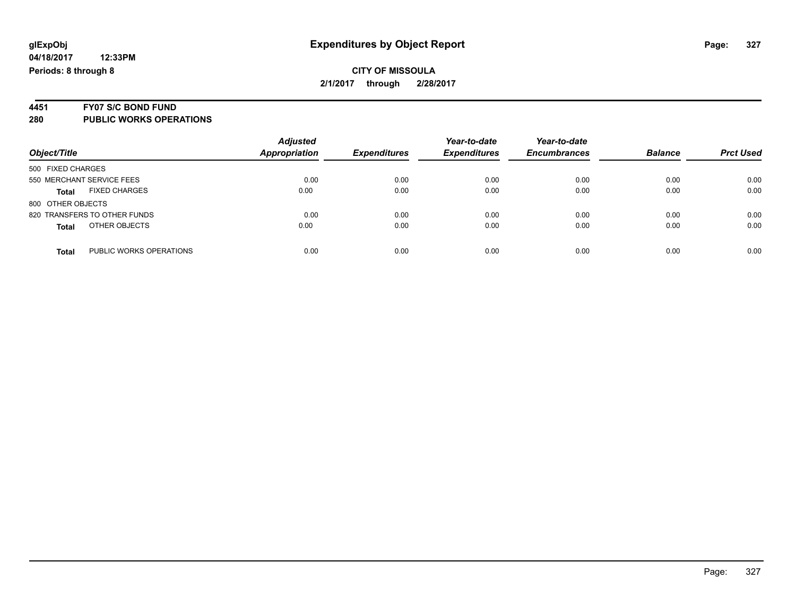### **CITY OF MISSOULA 2/1/2017 through 2/28/2017**

# **4451 FY07 S/C BOND FUND**

| Object/Title                            | <b>Adjusted</b><br><b>Appropriation</b> | <b>Expenditures</b> | Year-to-date<br><b>Expenditures</b> | Year-to-date<br><b>Encumbrances</b> | <b>Balance</b> | <b>Prct Used</b> |
|-----------------------------------------|-----------------------------------------|---------------------|-------------------------------------|-------------------------------------|----------------|------------------|
| 500 FIXED CHARGES                       |                                         |                     |                                     |                                     |                |                  |
| 550 MERCHANT SERVICE FEES               | 0.00                                    | 0.00                | 0.00                                | 0.00                                | 0.00           | 0.00             |
| <b>FIXED CHARGES</b><br><b>Total</b>    | 0.00                                    | 0.00                | 0.00                                | 0.00                                | 0.00           | 0.00             |
| 800 OTHER OBJECTS                       |                                         |                     |                                     |                                     |                |                  |
| 820 TRANSFERS TO OTHER FUNDS            | 0.00                                    | 0.00                | 0.00                                | 0.00                                | 0.00           | 0.00             |
| OTHER OBJECTS<br><b>Total</b>           | 0.00                                    | 0.00                | 0.00                                | 0.00                                | 0.00           | 0.00             |
| PUBLIC WORKS OPERATIONS<br><b>Total</b> | 0.00                                    | 0.00                | 0.00                                | 0.00                                | 0.00           | 0.00             |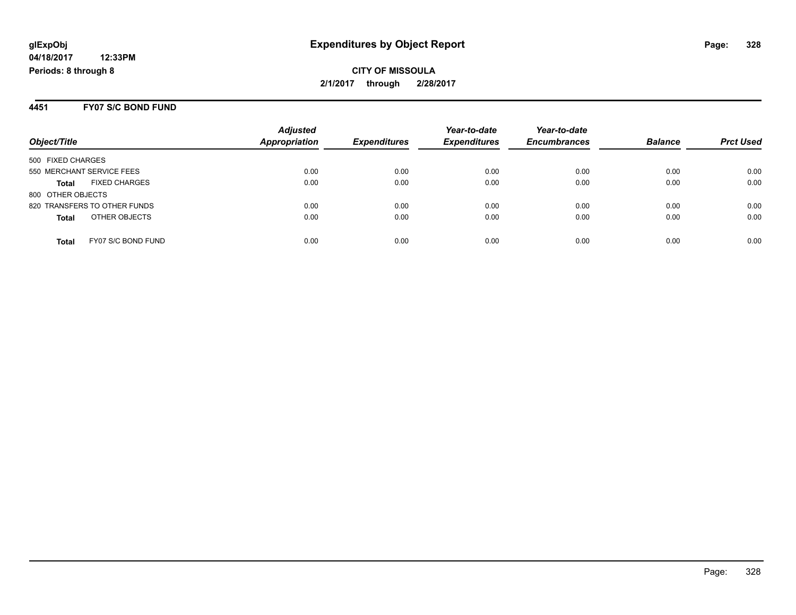**CITY OF MISSOULA 2/1/2017 through 2/28/2017**

#### **4451 FY07 S/C BOND FUND**

| Object/Title                         | <b>Adjusted</b><br><b>Appropriation</b> | <b>Expenditures</b> | Year-to-date<br><b>Expenditures</b> | Year-to-date<br><b>Encumbrances</b> | <b>Balance</b> | <b>Prct Used</b> |
|--------------------------------------|-----------------------------------------|---------------------|-------------------------------------|-------------------------------------|----------------|------------------|
| 500 FIXED CHARGES                    |                                         |                     |                                     |                                     |                |                  |
| 550 MERCHANT SERVICE FEES            | 0.00                                    | 0.00                | 0.00                                | 0.00                                | 0.00           | 0.00             |
| <b>FIXED CHARGES</b><br><b>Total</b> | 0.00                                    | 0.00                | 0.00                                | 0.00                                | 0.00           | 0.00             |
| 800 OTHER OBJECTS                    |                                         |                     |                                     |                                     |                |                  |
| 820 TRANSFERS TO OTHER FUNDS         | 0.00                                    | 0.00                | 0.00                                | 0.00                                | 0.00           | 0.00             |
| OTHER OBJECTS<br><b>Total</b>        | 0.00                                    | 0.00                | 0.00                                | 0.00                                | 0.00           | 0.00             |
| FY07 S/C BOND FUND<br><b>Total</b>   | 0.00                                    | 0.00                | 0.00                                | 0.00                                | 0.00           | 0.00             |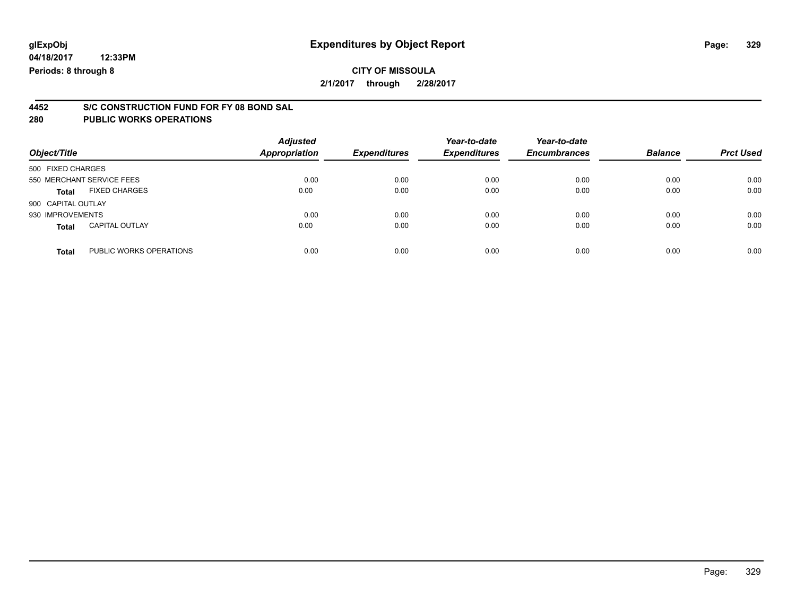### **CITY OF MISSOULA 2/1/2017 through 2/28/2017**

# **4452 S/C CONSTRUCTION FUND FOR FY 08 BOND SAL**

| Object/Title              |                         | <b>Adjusted</b><br>Appropriation | <b>Expenditures</b> | Year-to-date<br><b>Expenditures</b> | Year-to-date<br><b>Encumbrances</b> | <b>Balance</b> | <b>Prct Used</b> |
|---------------------------|-------------------------|----------------------------------|---------------------|-------------------------------------|-------------------------------------|----------------|------------------|
| 500 FIXED CHARGES         |                         |                                  |                     |                                     |                                     |                |                  |
| 550 MERCHANT SERVICE FEES |                         | 0.00                             | 0.00                | 0.00                                | 0.00                                | 0.00           | 0.00             |
| <b>Total</b>              | <b>FIXED CHARGES</b>    | 0.00                             | 0.00                | 0.00                                | 0.00                                | 0.00           | 0.00             |
| 900 CAPITAL OUTLAY        |                         |                                  |                     |                                     |                                     |                |                  |
| 930 IMPROVEMENTS          |                         | 0.00                             | 0.00                | 0.00                                | 0.00                                | 0.00           | 0.00             |
| <b>Total</b>              | <b>CAPITAL OUTLAY</b>   | 0.00                             | 0.00                | 0.00                                | 0.00                                | 0.00           | 0.00             |
| <b>Total</b>              | PUBLIC WORKS OPERATIONS | 0.00                             | 0.00                | 0.00                                | 0.00                                | 0.00           | 0.00             |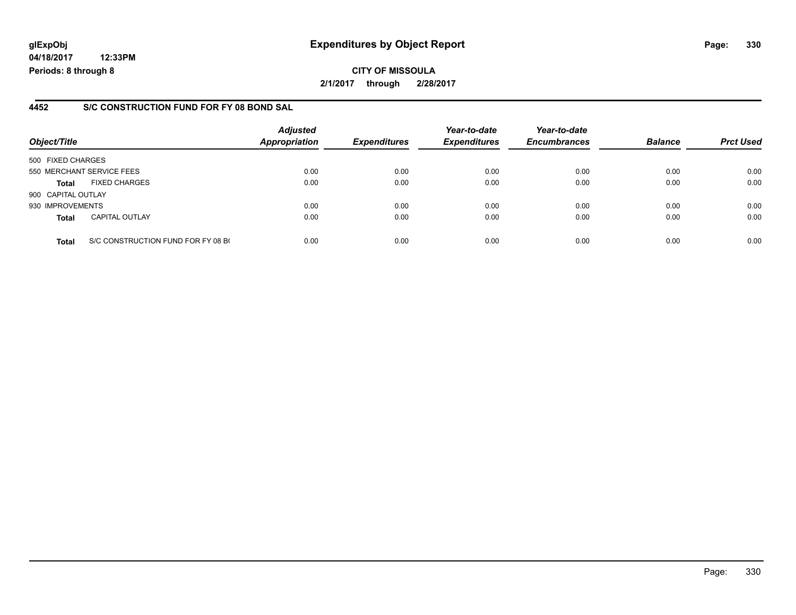**04/18/2017 12:33PM Periods: 8 through 8**

### **4452 S/C CONSTRUCTION FUND FOR FY 08 BOND SAL**

| Object/Title              |                                    | <b>Adjusted</b><br><b>Appropriation</b> | <b>Expenditures</b> | Year-to-date<br><b>Expenditures</b> | Year-to-date<br><b>Encumbrances</b> | <b>Balance</b> | <b>Prct Used</b> |
|---------------------------|------------------------------------|-----------------------------------------|---------------------|-------------------------------------|-------------------------------------|----------------|------------------|
| 500 FIXED CHARGES         |                                    |                                         |                     |                                     |                                     |                |                  |
| 550 MERCHANT SERVICE FEES |                                    | 0.00                                    | 0.00                | 0.00                                | 0.00                                | 0.00           | 0.00             |
| <b>Total</b>              | <b>FIXED CHARGES</b>               | 0.00                                    | 0.00                | 0.00                                | 0.00                                | 0.00           | 0.00             |
| 900 CAPITAL OUTLAY        |                                    |                                         |                     |                                     |                                     |                |                  |
| 930 IMPROVEMENTS          |                                    | 0.00                                    | 0.00                | 0.00                                | 0.00                                | 0.00           | 0.00             |
| <b>Total</b>              | <b>CAPITAL OUTLAY</b>              | 0.00                                    | 0.00                | 0.00                                | 0.00                                | 0.00           | 0.00             |
| <b>Total</b>              | S/C CONSTRUCTION FUND FOR FY 08 BO | 0.00                                    | 0.00                | 0.00                                | 0.00                                | 0.00           | 0.00             |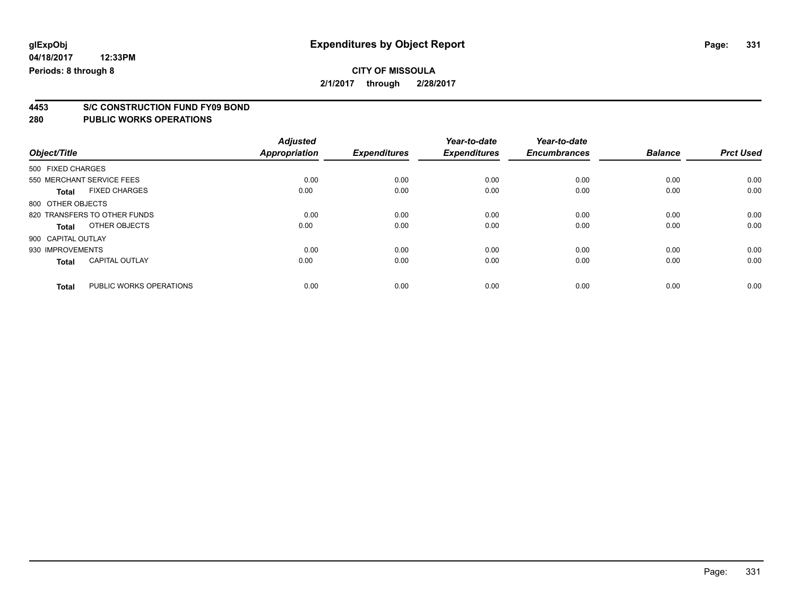# **CITY OF MISSOULA**

**2/1/2017 through 2/28/2017**

# **4453 S/C CONSTRUCTION FUND FY09 BOND**

| Object/Title       |                              | <b>Adjusted</b><br><b>Appropriation</b> | <b>Expenditures</b> | Year-to-date<br><b>Expenditures</b> | Year-to-date<br><b>Encumbrances</b> | <b>Balance</b> | <b>Prct Used</b> |
|--------------------|------------------------------|-----------------------------------------|---------------------|-------------------------------------|-------------------------------------|----------------|------------------|
| 500 FIXED CHARGES  |                              |                                         |                     |                                     |                                     |                |                  |
|                    | 550 MERCHANT SERVICE FEES    | 0.00                                    | 0.00                | 0.00                                | 0.00                                | 0.00           | 0.00             |
| <b>Total</b>       | <b>FIXED CHARGES</b>         | 0.00                                    | 0.00                | 0.00                                | 0.00                                | 0.00           | 0.00             |
| 800 OTHER OBJECTS  |                              |                                         |                     |                                     |                                     |                |                  |
|                    | 820 TRANSFERS TO OTHER FUNDS | 0.00                                    | 0.00                | 0.00                                | 0.00                                | 0.00           | 0.00             |
| Total              | OTHER OBJECTS                | 0.00                                    | 0.00                | 0.00                                | 0.00                                | 0.00           | 0.00             |
| 900 CAPITAL OUTLAY |                              |                                         |                     |                                     |                                     |                |                  |
| 930 IMPROVEMENTS   |                              | 0.00                                    | 0.00                | 0.00                                | 0.00                                | 0.00           | 0.00             |
| <b>Total</b>       | <b>CAPITAL OUTLAY</b>        | 0.00                                    | 0.00                | 0.00                                | 0.00                                | 0.00           | 0.00             |
| <b>Total</b>       | PUBLIC WORKS OPERATIONS      | 0.00                                    | 0.00                | 0.00                                | 0.00                                | 0.00           | 0.00             |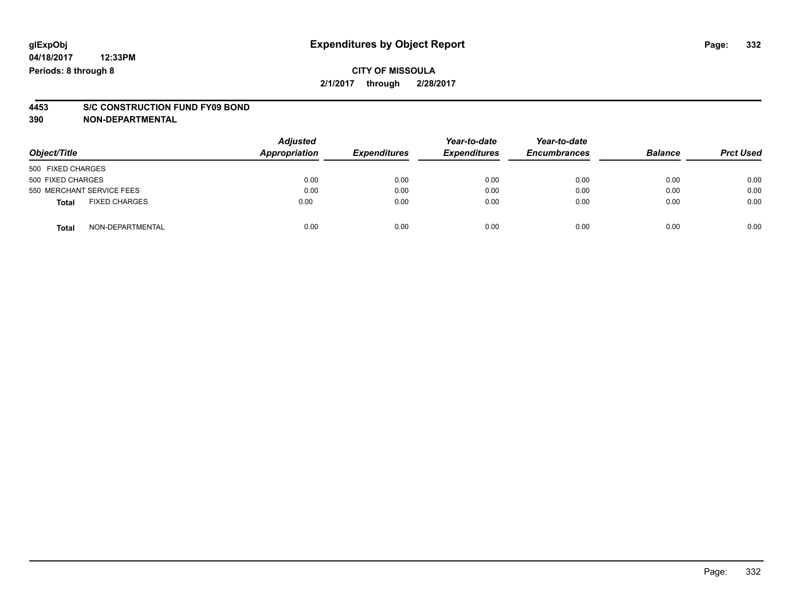### **CITY OF MISSOULA 2/1/2017 through 2/28/2017**

# **4453 S/C CONSTRUCTION FUND FY09 BOND**

**390 NON-DEPARTMENTAL**

| Object/Title      |                           | <b>Adjusted</b><br><b>Appropriation</b> | <b>Expenditures</b> | Year-to-date<br><b>Expenditures</b> | Year-to-date<br><b>Encumbrances</b> | <b>Balance</b> | <b>Prct Used</b> |
|-------------------|---------------------------|-----------------------------------------|---------------------|-------------------------------------|-------------------------------------|----------------|------------------|
| 500 FIXED CHARGES |                           |                                         |                     |                                     |                                     |                |                  |
| 500 FIXED CHARGES |                           | 0.00                                    | 0.00                | 0.00                                | 0.00                                | 0.00           | 0.00             |
|                   | 550 MERCHANT SERVICE FEES | 0.00                                    | 0.00                | 0.00                                | 0.00                                | 0.00           | 0.00             |
| <b>Total</b>      | <b>FIXED CHARGES</b>      | 0.00                                    | 0.00                | 0.00                                | 0.00                                | 0.00           | 0.00             |
| <b>Total</b>      | NON-DEPARTMENTAL          | 0.00                                    | 0.00                | 0.00                                | 0.00                                | 0.00           | 0.00             |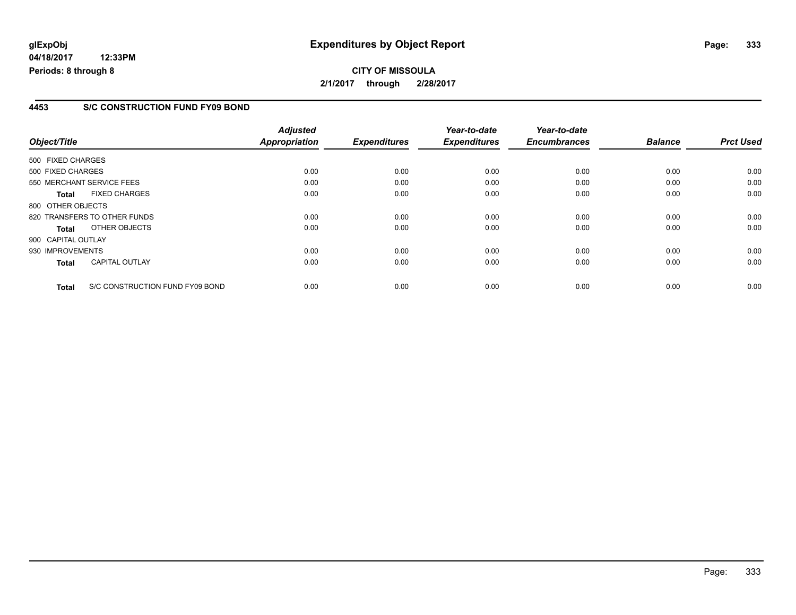**04/18/2017 12:33PM Periods: 8 through 8**

### **4453 S/C CONSTRUCTION FUND FY09 BOND**

| Object/Title                                    | <b>Adjusted</b><br>Appropriation | <b>Expenditures</b> | Year-to-date<br><b>Expenditures</b> | Year-to-date<br><b>Encumbrances</b> | <b>Balance</b> | <b>Prct Used</b> |
|-------------------------------------------------|----------------------------------|---------------------|-------------------------------------|-------------------------------------|----------------|------------------|
|                                                 |                                  |                     |                                     |                                     |                |                  |
| 500 FIXED CHARGES                               |                                  |                     |                                     |                                     |                |                  |
| 500 FIXED CHARGES                               | 0.00                             | 0.00                | 0.00                                | 0.00                                | 0.00           | 0.00             |
| 550 MERCHANT SERVICE FEES                       | 0.00                             | 0.00                | 0.00                                | 0.00                                | 0.00           | 0.00             |
| <b>FIXED CHARGES</b><br><b>Total</b>            | 0.00                             | 0.00                | 0.00                                | 0.00                                | 0.00           | 0.00             |
| 800 OTHER OBJECTS                               |                                  |                     |                                     |                                     |                |                  |
| 820 TRANSFERS TO OTHER FUNDS                    | 0.00                             | 0.00                | 0.00                                | 0.00                                | 0.00           | 0.00             |
| OTHER OBJECTS<br>Total                          | 0.00                             | 0.00                | 0.00                                | 0.00                                | 0.00           | 0.00             |
| 900 CAPITAL OUTLAY                              |                                  |                     |                                     |                                     |                |                  |
| 930 IMPROVEMENTS                                | 0.00                             | 0.00                | 0.00                                | 0.00                                | 0.00           | 0.00             |
| <b>CAPITAL OUTLAY</b><br><b>Total</b>           | 0.00                             | 0.00                | 0.00                                | 0.00                                | 0.00           | 0.00             |
|                                                 |                                  |                     |                                     |                                     |                |                  |
| S/C CONSTRUCTION FUND FY09 BOND<br><b>Total</b> | 0.00                             | 0.00                | 0.00                                | 0.00                                | 0.00           | 0.00             |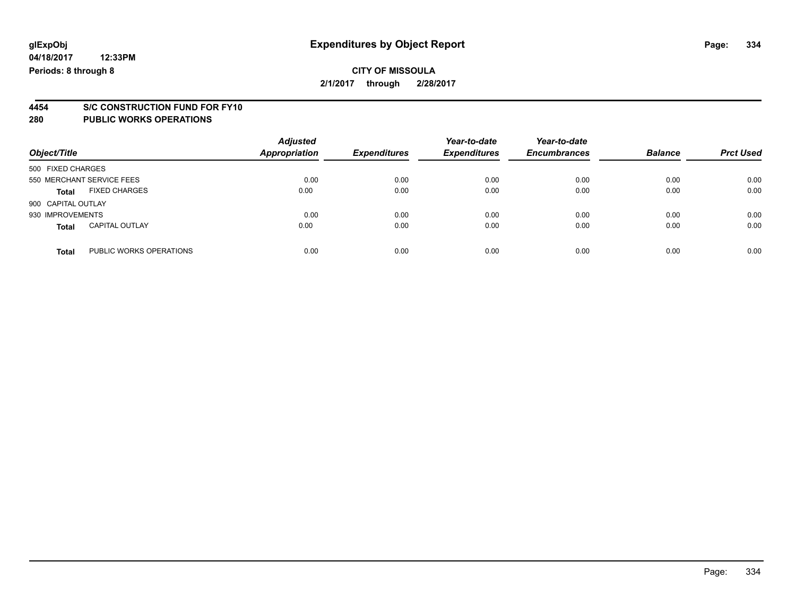# **4454 S/C CONSTRUCTION FUND FOR FY10**

| Object/Title       |                           | <b>Adjusted</b><br><b>Appropriation</b> | <b>Expenditures</b> | Year-to-date<br><b>Expenditures</b> | Year-to-date<br><b>Encumbrances</b> | <b>Balance</b> | <b>Prct Used</b> |
|--------------------|---------------------------|-----------------------------------------|---------------------|-------------------------------------|-------------------------------------|----------------|------------------|
| 500 FIXED CHARGES  |                           |                                         |                     |                                     |                                     |                |                  |
|                    | 550 MERCHANT SERVICE FEES | 0.00                                    | 0.00                | 0.00                                | 0.00                                | 0.00           | 0.00             |
| <b>Total</b>       | <b>FIXED CHARGES</b>      | 0.00                                    | 0.00                | 0.00                                | 0.00                                | 0.00           | 0.00             |
| 900 CAPITAL OUTLAY |                           |                                         |                     |                                     |                                     |                |                  |
| 930 IMPROVEMENTS   |                           | 0.00                                    | 0.00                | 0.00                                | 0.00                                | 0.00           | 0.00             |
| Total              | <b>CAPITAL OUTLAY</b>     | 0.00                                    | 0.00                | 0.00                                | 0.00                                | 0.00           | 0.00             |
| <b>Total</b>       | PUBLIC WORKS OPERATIONS   | 0.00                                    | 0.00                | 0.00                                | 0.00                                | 0.00           | 0.00             |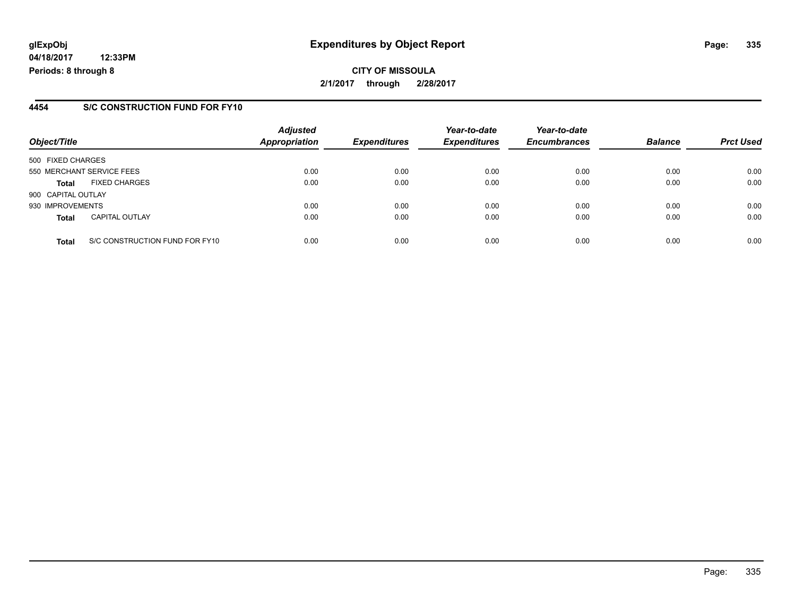**04/18/2017 12:33PM Periods: 8 through 8**

### **4454 S/C CONSTRUCTION FUND FOR FY10**

| Object/Title       |                                | <b>Adjusted</b><br><b>Appropriation</b> | <b>Expenditures</b> | Year-to-date<br><b>Expenditures</b> | Year-to-date<br><b>Encumbrances</b> | <b>Balance</b> | <b>Prct Used</b> |
|--------------------|--------------------------------|-----------------------------------------|---------------------|-------------------------------------|-------------------------------------|----------------|------------------|
| 500 FIXED CHARGES  |                                |                                         |                     |                                     |                                     |                |                  |
|                    | 550 MERCHANT SERVICE FEES      | 0.00                                    | 0.00                | 0.00                                | 0.00                                | 0.00           | 0.00             |
| <b>Total</b>       | <b>FIXED CHARGES</b>           | 0.00                                    | 0.00                | 0.00                                | 0.00                                | 0.00           | 0.00             |
| 900 CAPITAL OUTLAY |                                |                                         |                     |                                     |                                     |                |                  |
| 930 IMPROVEMENTS   |                                | 0.00                                    | 0.00                | 0.00                                | 0.00                                | 0.00           | 0.00             |
| <b>Total</b>       | <b>CAPITAL OUTLAY</b>          | 0.00                                    | 0.00                | 0.00                                | 0.00                                | 0.00           | 0.00             |
| <b>Total</b>       | S/C CONSTRUCTION FUND FOR FY10 | 0.00                                    | 0.00                | 0.00                                | 0.00                                | 0.00           | 0.00             |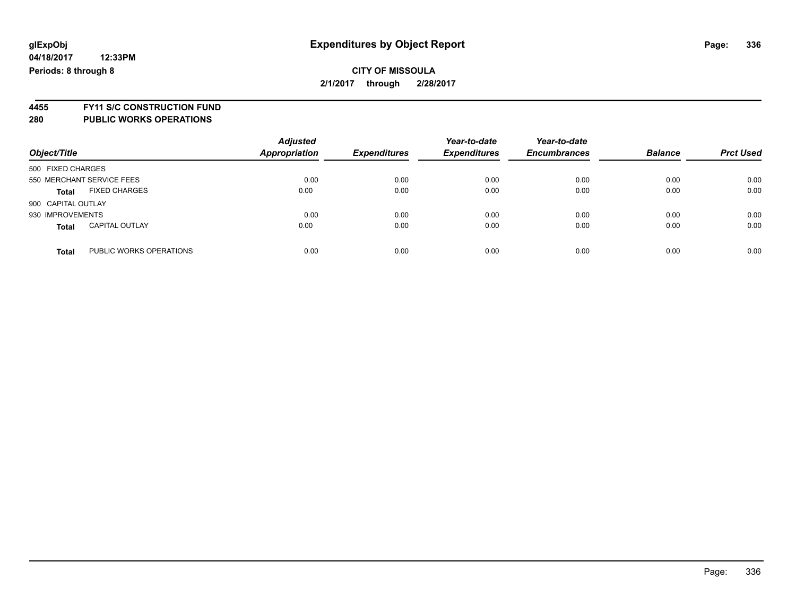**4455 FY11 S/C CONSTRUCTION FUND**

| Object/Title       |                           | <b>Adjusted</b><br><b>Appropriation</b> | <b>Expenditures</b> | Year-to-date<br><b>Expenditures</b> | Year-to-date<br><b>Encumbrances</b> | <b>Balance</b> | <b>Prct Used</b> |
|--------------------|---------------------------|-----------------------------------------|---------------------|-------------------------------------|-------------------------------------|----------------|------------------|
| 500 FIXED CHARGES  |                           |                                         |                     |                                     |                                     |                |                  |
|                    | 550 MERCHANT SERVICE FEES | 0.00                                    | 0.00                | 0.00                                | 0.00                                | 0.00           | 0.00             |
| <b>Total</b>       | <b>FIXED CHARGES</b>      | 0.00                                    | 0.00                | 0.00                                | 0.00                                | 0.00           | 0.00             |
| 900 CAPITAL OUTLAY |                           |                                         |                     |                                     |                                     |                |                  |
| 930 IMPROVEMENTS   |                           | 0.00                                    | 0.00                | 0.00                                | 0.00                                | 0.00           | 0.00             |
| <b>Total</b>       | <b>CAPITAL OUTLAY</b>     | 0.00                                    | 0.00                | 0.00                                | 0.00                                | 0.00           | 0.00             |
| <b>Total</b>       | PUBLIC WORKS OPERATIONS   | 0.00                                    | 0.00                | 0.00                                | 0.00                                | 0.00           | 0.00             |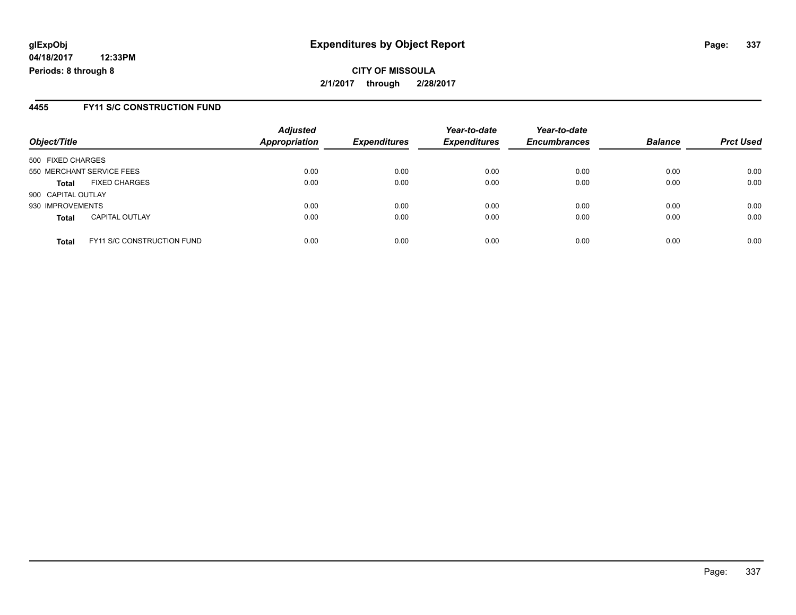**04/18/2017 12:33PM Periods: 8 through 8**

#### **4455 FY11 S/C CONSTRUCTION FUND**

| Object/Title       |                                   | <b>Adjusted</b><br><b>Appropriation</b> | <b>Expenditures</b> | Year-to-date<br><b>Expenditures</b> | Year-to-date<br><b>Encumbrances</b> | <b>Balance</b> | <b>Prct Used</b> |
|--------------------|-----------------------------------|-----------------------------------------|---------------------|-------------------------------------|-------------------------------------|----------------|------------------|
| 500 FIXED CHARGES  |                                   |                                         |                     |                                     |                                     |                |                  |
|                    | 550 MERCHANT SERVICE FEES         | 0.00                                    | 0.00                | 0.00                                | 0.00                                | 0.00           | 0.00             |
| <b>Total</b>       | <b>FIXED CHARGES</b>              | 0.00                                    | 0.00                | 0.00                                | 0.00                                | 0.00           | 0.00             |
| 900 CAPITAL OUTLAY |                                   |                                         |                     |                                     |                                     |                |                  |
| 930 IMPROVEMENTS   |                                   | 0.00                                    | 0.00                | 0.00                                | 0.00                                | 0.00           | 0.00             |
| <b>Total</b>       | <b>CAPITAL OUTLAY</b>             | 0.00                                    | 0.00                | 0.00                                | 0.00                                | 0.00           | 0.00             |
| <b>Total</b>       | <b>FY11 S/C CONSTRUCTION FUND</b> | 0.00                                    | 0.00                | 0.00                                | 0.00                                | 0.00           | 0.00             |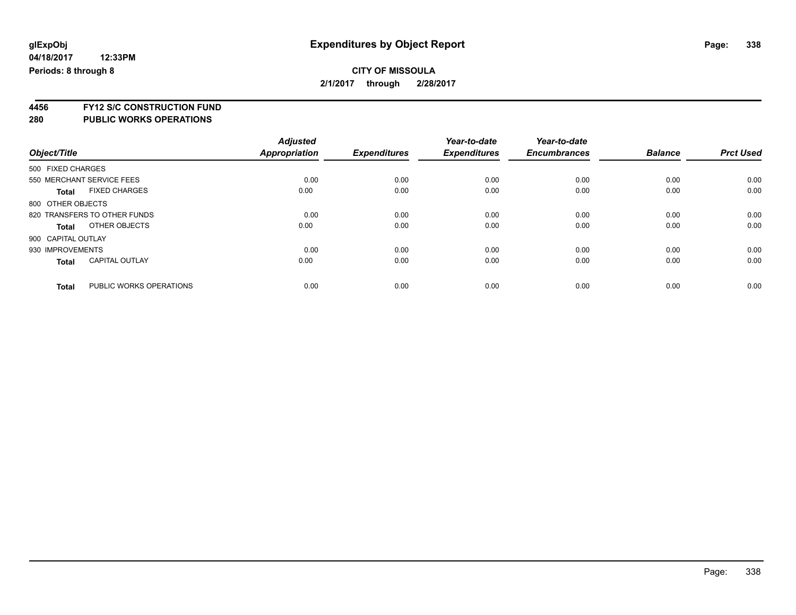**4456 FY12 S/C CONSTRUCTION FUND**

|                    |                              | <b>Adjusted</b><br>Appropriation | <b>Expenditures</b> | Year-to-date<br><b>Expenditures</b> | Year-to-date<br><b>Encumbrances</b> | <b>Balance</b> | <b>Prct Used</b> |
|--------------------|------------------------------|----------------------------------|---------------------|-------------------------------------|-------------------------------------|----------------|------------------|
| Object/Title       |                              |                                  |                     |                                     |                                     |                |                  |
| 500 FIXED CHARGES  |                              |                                  |                     |                                     |                                     |                |                  |
|                    | 550 MERCHANT SERVICE FEES    | 0.00                             | 0.00                | 0.00                                | 0.00                                | 0.00           | 0.00             |
| <b>Total</b>       | <b>FIXED CHARGES</b>         | 0.00                             | 0.00                | 0.00                                | 0.00                                | 0.00           | 0.00             |
| 800 OTHER OBJECTS  |                              |                                  |                     |                                     |                                     |                |                  |
|                    | 820 TRANSFERS TO OTHER FUNDS | 0.00                             | 0.00                | 0.00                                | 0.00                                | 0.00           | 0.00             |
| Total              | OTHER OBJECTS                | 0.00                             | 0.00                | 0.00                                | 0.00                                | 0.00           | 0.00             |
| 900 CAPITAL OUTLAY |                              |                                  |                     |                                     |                                     |                |                  |
| 930 IMPROVEMENTS   |                              | 0.00                             | 0.00                | 0.00                                | 0.00                                | 0.00           | 0.00             |
| <b>Total</b>       | <b>CAPITAL OUTLAY</b>        | 0.00                             | 0.00                | 0.00                                | 0.00                                | 0.00           | 0.00             |
| <b>Total</b>       | PUBLIC WORKS OPERATIONS      | 0.00                             | 0.00                | 0.00                                | 0.00                                | 0.00           | 0.00             |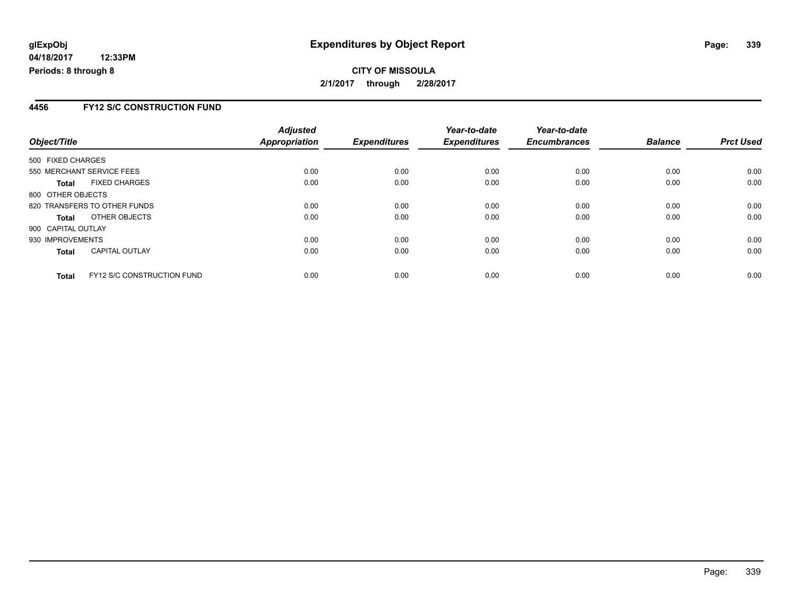### **CITY OF MISSOULA 2/1/2017 through 2/28/2017**

### **4456 FY12 S/C CONSTRUCTION FUND**

|                    |                                   | <b>Adjusted</b> |                     | Year-to-date        | Year-to-date        |                |                  |
|--------------------|-----------------------------------|-----------------|---------------------|---------------------|---------------------|----------------|------------------|
| Object/Title       |                                   | Appropriation   | <b>Expenditures</b> | <b>Expenditures</b> | <b>Encumbrances</b> | <b>Balance</b> | <b>Prct Used</b> |
| 500 FIXED CHARGES  |                                   |                 |                     |                     |                     |                |                  |
|                    | 550 MERCHANT SERVICE FEES         | 0.00            | 0.00                | 0.00                | 0.00                | 0.00           | 0.00             |
| <b>Total</b>       | <b>FIXED CHARGES</b>              | 0.00            | 0.00                | 0.00                | 0.00                | 0.00           | 0.00             |
| 800 OTHER OBJECTS  |                                   |                 |                     |                     |                     |                |                  |
|                    | 820 TRANSFERS TO OTHER FUNDS      | 0.00            | 0.00                | 0.00                | 0.00                | 0.00           | 0.00             |
| <b>Total</b>       | OTHER OBJECTS                     | 0.00            | 0.00                | 0.00                | 0.00                | 0.00           | 0.00             |
| 900 CAPITAL OUTLAY |                                   |                 |                     |                     |                     |                |                  |
| 930 IMPROVEMENTS   |                                   | 0.00            | 0.00                | 0.00                | 0.00                | 0.00           | 0.00             |
| <b>Total</b>       | <b>CAPITAL OUTLAY</b>             | 0.00            | 0.00                | 0.00                | 0.00                | 0.00           | 0.00             |
| <b>Total</b>       | <b>FY12 S/C CONSTRUCTION FUND</b> | 0.00            | 0.00                | 0.00                | 0.00                | 0.00           | 0.00             |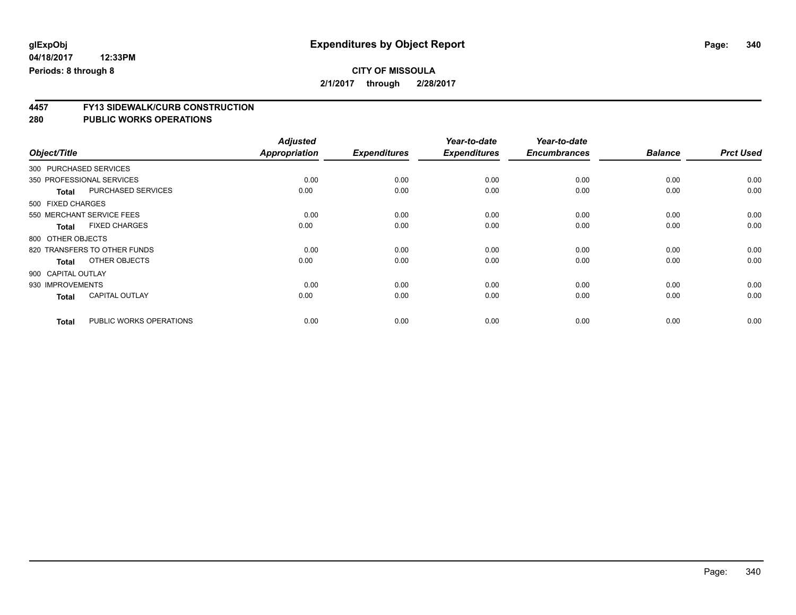# **CITY OF MISSOULA**

**2/1/2017 through 2/28/2017**

# **4457 FY13 SIDEWALK/CURB CONSTRUCTION**

|                        |                              | <b>Adjusted</b>      |                     | Year-to-date        | Year-to-date        |                |                  |
|------------------------|------------------------------|----------------------|---------------------|---------------------|---------------------|----------------|------------------|
| Object/Title           |                              | <b>Appropriation</b> | <b>Expenditures</b> | <b>Expenditures</b> | <b>Encumbrances</b> | <b>Balance</b> | <b>Prct Used</b> |
| 300 PURCHASED SERVICES |                              |                      |                     |                     |                     |                |                  |
|                        | 350 PROFESSIONAL SERVICES    | 0.00                 | 0.00                | 0.00                | 0.00                | 0.00           | 0.00             |
| <b>Total</b>           | <b>PURCHASED SERVICES</b>    | 0.00                 | 0.00                | 0.00                | 0.00                | 0.00           | 0.00             |
| 500 FIXED CHARGES      |                              |                      |                     |                     |                     |                |                  |
|                        | 550 MERCHANT SERVICE FEES    | 0.00                 | 0.00                | 0.00                | 0.00                | 0.00           | 0.00             |
| <b>Total</b>           | <b>FIXED CHARGES</b>         | 0.00                 | 0.00                | 0.00                | 0.00                | 0.00           | 0.00             |
| 800 OTHER OBJECTS      |                              |                      |                     |                     |                     |                |                  |
|                        | 820 TRANSFERS TO OTHER FUNDS | 0.00                 | 0.00                | 0.00                | 0.00                | 0.00           | 0.00             |
| <b>Total</b>           | OTHER OBJECTS                | 0.00                 | 0.00                | 0.00                | 0.00                | 0.00           | 0.00             |
| 900 CAPITAL OUTLAY     |                              |                      |                     |                     |                     |                |                  |
| 930 IMPROVEMENTS       |                              | 0.00                 | 0.00                | 0.00                | 0.00                | 0.00           | 0.00             |
| <b>Total</b>           | <b>CAPITAL OUTLAY</b>        | 0.00                 | 0.00                | 0.00                | 0.00                | 0.00           | 0.00             |
| <b>Total</b>           | PUBLIC WORKS OPERATIONS      | 0.00                 | 0.00                | 0.00                | 0.00                | 0.00           | 0.00             |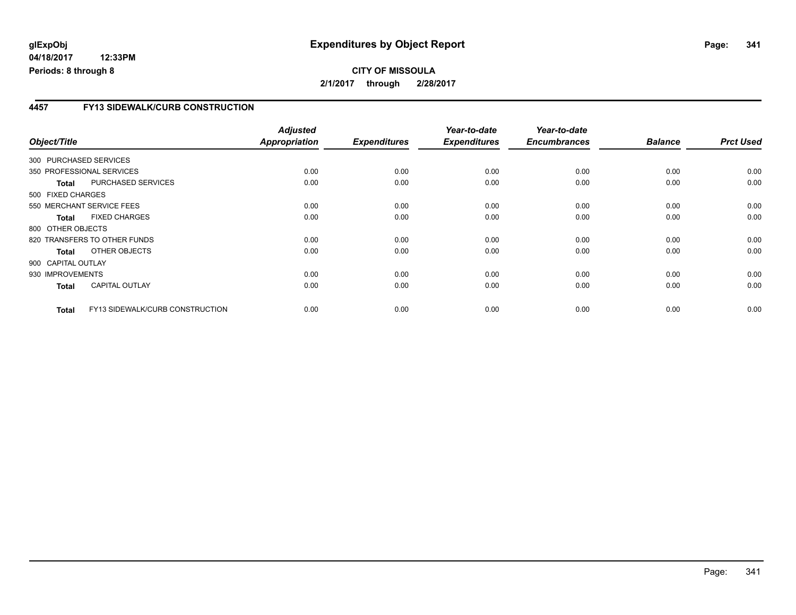#### **04/18/2017 12:33PM Periods: 8 through 8**

### **CITY OF MISSOULA 2/1/2017 through 2/28/2017**

### **4457 FY13 SIDEWALK/CURB CONSTRUCTION**

| Object/Title       |              |                                 | <b>Adjusted</b><br>Appropriation | <b>Expenditures</b> | Year-to-date<br><b>Expenditures</b> | Year-to-date<br><b>Encumbrances</b> | <b>Balance</b> | <b>Prct Used</b> |
|--------------------|--------------|---------------------------------|----------------------------------|---------------------|-------------------------------------|-------------------------------------|----------------|------------------|
|                    |              | 300 PURCHASED SERVICES          |                                  |                     |                                     |                                     |                |                  |
|                    |              | 350 PROFESSIONAL SERVICES       | 0.00                             | 0.00                | 0.00                                | 0.00                                | 0.00           | 0.00             |
|                    | <b>Total</b> | PURCHASED SERVICES              | 0.00                             | 0.00                | 0.00                                | 0.00                                | 0.00           | 0.00             |
| 500 FIXED CHARGES  |              |                                 |                                  |                     |                                     |                                     |                |                  |
|                    |              | 550 MERCHANT SERVICE FEES       | 0.00                             | 0.00                | 0.00                                | 0.00                                | 0.00           | 0.00             |
|                    | <b>Total</b> | <b>FIXED CHARGES</b>            | 0.00                             | 0.00                | 0.00                                | 0.00                                | 0.00           | 0.00             |
| 800 OTHER OBJECTS  |              |                                 |                                  |                     |                                     |                                     |                |                  |
|                    |              | 820 TRANSFERS TO OTHER FUNDS    | 0.00                             | 0.00                | 0.00                                | 0.00                                | 0.00           | 0.00             |
|                    | Total        | OTHER OBJECTS                   | 0.00                             | 0.00                | 0.00                                | 0.00                                | 0.00           | 0.00             |
| 900 CAPITAL OUTLAY |              |                                 |                                  |                     |                                     |                                     |                |                  |
| 930 IMPROVEMENTS   |              |                                 | 0.00                             | 0.00                | 0.00                                | 0.00                                | 0.00           | 0.00             |
|                    | <b>Total</b> | <b>CAPITAL OUTLAY</b>           | 0.00                             | 0.00                | 0.00                                | 0.00                                | 0.00           | 0.00             |
|                    | <b>Total</b> | FY13 SIDEWALK/CURB CONSTRUCTION | 0.00                             | 0.00                | 0.00                                | 0.00                                | 0.00           | 0.00             |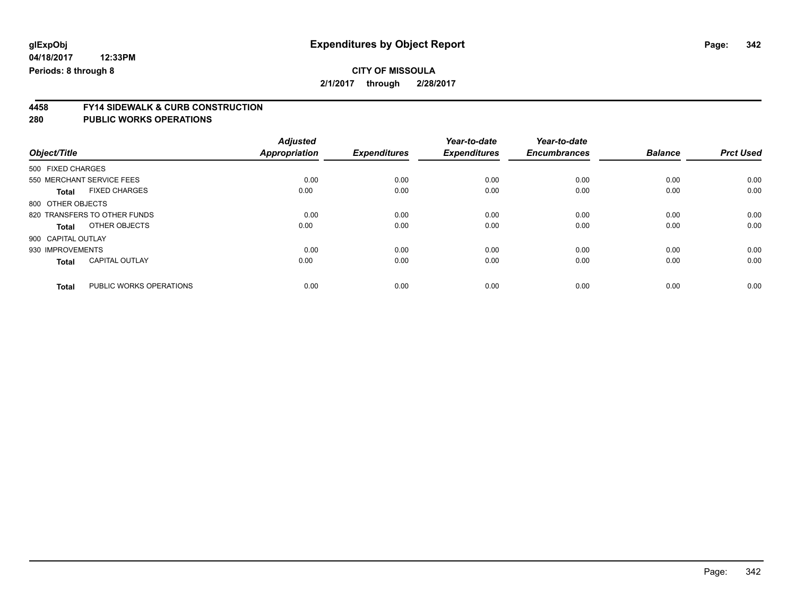# **CITY OF MISSOULA**

**2/1/2017 through 2/28/2017**

# **4458 FY14 SIDEWALK & CURB CONSTRUCTION**

|                    |                              | <b>Adjusted</b>      | <b>Expenditures</b> | Year-to-date<br><b>Expenditures</b> | Year-to-date<br><b>Encumbrances</b> | <b>Balance</b> | <b>Prct Used</b> |
|--------------------|------------------------------|----------------------|---------------------|-------------------------------------|-------------------------------------|----------------|------------------|
| Object/Title       |                              | <b>Appropriation</b> |                     |                                     |                                     |                |                  |
| 500 FIXED CHARGES  |                              |                      |                     |                                     |                                     |                |                  |
|                    | 550 MERCHANT SERVICE FEES    | 0.00                 | 0.00                | 0.00                                | 0.00                                | 0.00           | 0.00             |
| <b>Total</b>       | <b>FIXED CHARGES</b>         | 0.00                 | 0.00                | 0.00                                | 0.00                                | 0.00           | 0.00             |
| 800 OTHER OBJECTS  |                              |                      |                     |                                     |                                     |                |                  |
|                    | 820 TRANSFERS TO OTHER FUNDS | 0.00                 | 0.00                | 0.00                                | 0.00                                | 0.00           | 0.00             |
| <b>Total</b>       | OTHER OBJECTS                | 0.00                 | 0.00                | 0.00                                | 0.00                                | 0.00           | 0.00             |
| 900 CAPITAL OUTLAY |                              |                      |                     |                                     |                                     |                |                  |
| 930 IMPROVEMENTS   |                              | 0.00                 | 0.00                | 0.00                                | 0.00                                | 0.00           | 0.00             |
| <b>Total</b>       | <b>CAPITAL OUTLAY</b>        | 0.00                 | 0.00                | 0.00                                | 0.00                                | 0.00           | 0.00             |
| <b>Total</b>       | PUBLIC WORKS OPERATIONS      | 0.00                 | 0.00                | 0.00                                | 0.00                                | 0.00           | 0.00             |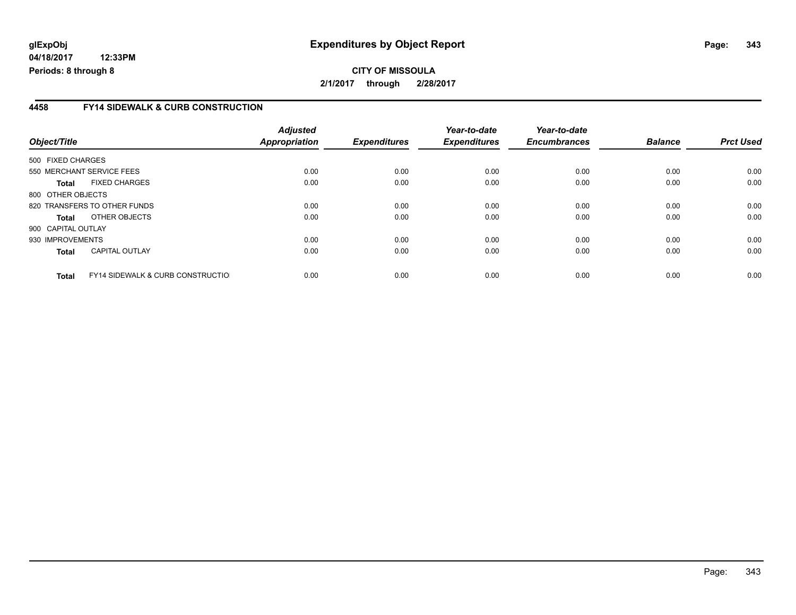**04/18/2017 12:33PM Periods: 8 through 8**

### **4458 FY14 SIDEWALK & CURB CONSTRUCTION**

| Object/Title       |                                              | <b>Adjusted</b><br>Appropriation | <b>Expenditures</b> | Year-to-date<br><b>Expenditures</b> | Year-to-date<br><b>Encumbrances</b> | <b>Balance</b> | <b>Prct Used</b> |
|--------------------|----------------------------------------------|----------------------------------|---------------------|-------------------------------------|-------------------------------------|----------------|------------------|
| 500 FIXED CHARGES  |                                              |                                  |                     |                                     |                                     |                |                  |
|                    | 550 MERCHANT SERVICE FEES                    | 0.00                             | 0.00                | 0.00                                | 0.00                                | 0.00           | 0.00             |
| Total              | <b>FIXED CHARGES</b>                         | 0.00                             | 0.00                | 0.00                                | 0.00                                | 0.00           | 0.00             |
| 800 OTHER OBJECTS  |                                              |                                  |                     |                                     |                                     |                |                  |
|                    | 820 TRANSFERS TO OTHER FUNDS                 | 0.00                             | 0.00                | 0.00                                | 0.00                                | 0.00           | 0.00             |
| Total              | OTHER OBJECTS                                | 0.00                             | 0.00                | 0.00                                | 0.00                                | 0.00           | 0.00             |
| 900 CAPITAL OUTLAY |                                              |                                  |                     |                                     |                                     |                |                  |
| 930 IMPROVEMENTS   |                                              | 0.00                             | 0.00                | 0.00                                | 0.00                                | 0.00           | 0.00             |
| <b>Total</b>       | <b>CAPITAL OUTLAY</b>                        | 0.00                             | 0.00                | 0.00                                | 0.00                                | 0.00           | 0.00             |
| <b>Total</b>       | <b>FY14 SIDEWALK &amp; CURB CONSTRUCTIOL</b> | 0.00                             | 0.00                | 0.00                                | 0.00                                | 0.00           | 0.00             |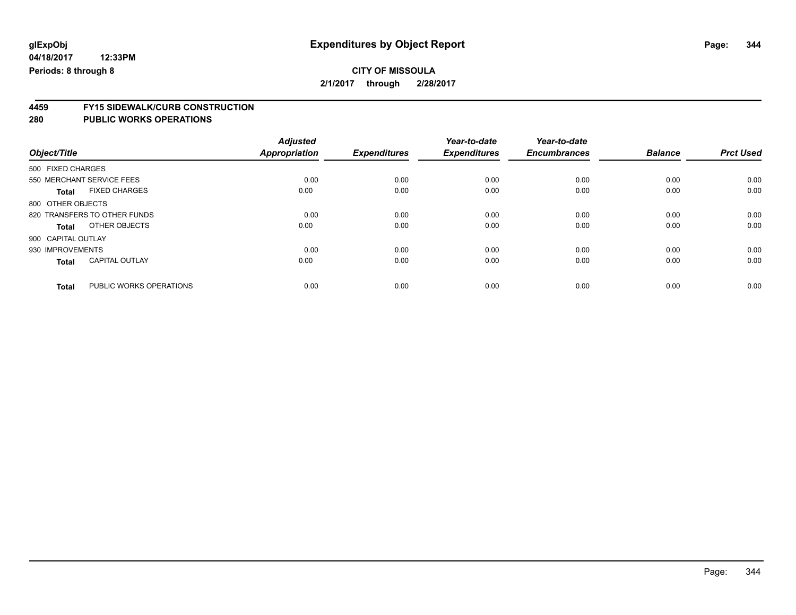**4459 FY15 SIDEWALK/CURB CONSTRUCTION**

|                                         | <b>Adjusted</b>      |                     | Year-to-date        | Year-to-date        |                |                  |
|-----------------------------------------|----------------------|---------------------|---------------------|---------------------|----------------|------------------|
| Object/Title                            | <b>Appropriation</b> | <b>Expenditures</b> | <b>Expenditures</b> | <b>Encumbrances</b> | <b>Balance</b> | <b>Prct Used</b> |
| 500 FIXED CHARGES                       |                      |                     |                     |                     |                |                  |
| 550 MERCHANT SERVICE FEES               | 0.00                 | 0.00                | 0.00                | 0.00                | 0.00           | 0.00             |
| <b>FIXED CHARGES</b><br><b>Total</b>    | 0.00                 | 0.00                | 0.00                | 0.00                | 0.00           | 0.00             |
| 800 OTHER OBJECTS                       |                      |                     |                     |                     |                |                  |
| 820 TRANSFERS TO OTHER FUNDS            | 0.00                 | 0.00                | 0.00                | 0.00                | 0.00           | 0.00             |
| OTHER OBJECTS<br>Total                  | 0.00                 | 0.00                | 0.00                | 0.00                | 0.00           | 0.00             |
| 900 CAPITAL OUTLAY                      |                      |                     |                     |                     |                |                  |
| 930 IMPROVEMENTS                        | 0.00                 | 0.00                | 0.00                | 0.00                | 0.00           | 0.00             |
| <b>CAPITAL OUTLAY</b><br><b>Total</b>   | 0.00                 | 0.00                | 0.00                | 0.00                | 0.00           | 0.00             |
|                                         |                      |                     |                     |                     |                |                  |
| PUBLIC WORKS OPERATIONS<br><b>Total</b> | 0.00                 | 0.00                | 0.00                | 0.00                | 0.00           | 0.00             |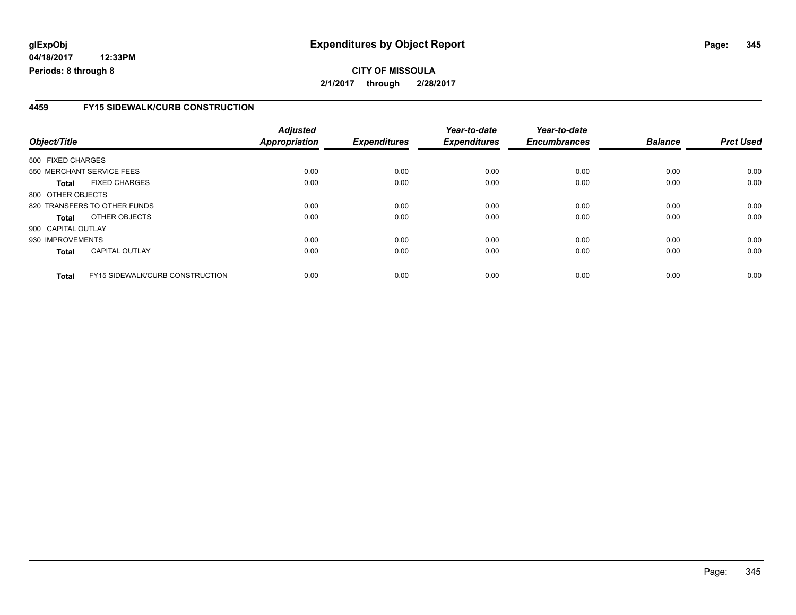**04/18/2017 12:33PM Periods: 8 through 8**

### **CITY OF MISSOULA 2/1/2017 through 2/28/2017**

### **4459 FY15 SIDEWALK/CURB CONSTRUCTION**

| Object/Title       |                                        | <b>Adjusted</b><br>Appropriation | <b>Expenditures</b> | Year-to-date<br><b>Expenditures</b> | Year-to-date<br><b>Encumbrances</b> | <b>Balance</b> | <b>Prct Used</b> |
|--------------------|----------------------------------------|----------------------------------|---------------------|-------------------------------------|-------------------------------------|----------------|------------------|
| 500 FIXED CHARGES  |                                        |                                  |                     |                                     |                                     |                |                  |
|                    | 550 MERCHANT SERVICE FEES              | 0.00                             | 0.00                | 0.00                                | 0.00                                | 0.00           | 0.00             |
| Total              | <b>FIXED CHARGES</b>                   | 0.00                             | 0.00                | 0.00                                | 0.00                                | 0.00           | 0.00             |
| 800 OTHER OBJECTS  |                                        |                                  |                     |                                     |                                     |                |                  |
|                    | 820 TRANSFERS TO OTHER FUNDS           | 0.00                             | 0.00                | 0.00                                | 0.00                                | 0.00           | 0.00             |
| Total              | OTHER OBJECTS                          | 0.00                             | 0.00                | 0.00                                | 0.00                                | 0.00           | 0.00             |
| 900 CAPITAL OUTLAY |                                        |                                  |                     |                                     |                                     |                |                  |
| 930 IMPROVEMENTS   |                                        | 0.00                             | 0.00                | 0.00                                | 0.00                                | 0.00           | 0.00             |
| <b>Total</b>       | <b>CAPITAL OUTLAY</b>                  | 0.00                             | 0.00                | 0.00                                | 0.00                                | 0.00           | 0.00             |
| <b>Total</b>       | <b>FY15 SIDEWALK/CURB CONSTRUCTION</b> | 0.00                             | 0.00                | 0.00                                | 0.00                                | 0.00           | 0.00             |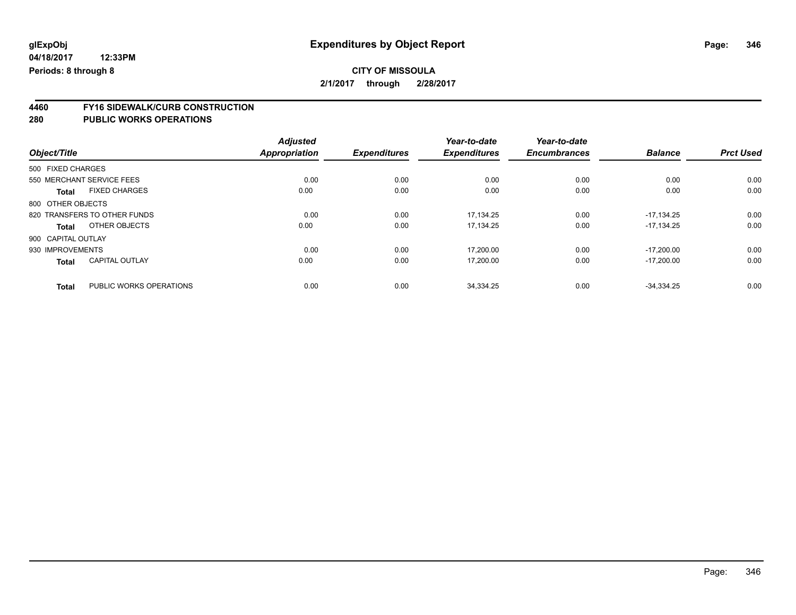**4460 FY16 SIDEWALK/CURB CONSTRUCTION**

| Object/Title                            | <b>Adjusted</b><br><b>Appropriation</b> | <b>Expenditures</b> | Year-to-date<br><b>Expenditures</b> | Year-to-date<br><b>Encumbrances</b> | <b>Balance</b> | <b>Prct Used</b> |
|-----------------------------------------|-----------------------------------------|---------------------|-------------------------------------|-------------------------------------|----------------|------------------|
|                                         |                                         |                     |                                     |                                     |                |                  |
| 500 FIXED CHARGES                       |                                         |                     |                                     |                                     |                |                  |
| 550 MERCHANT SERVICE FEES               | 0.00                                    | 0.00                | 0.00                                | 0.00                                | 0.00           | 0.00             |
| <b>FIXED CHARGES</b><br><b>Total</b>    | 0.00                                    | 0.00                | 0.00                                | 0.00                                | 0.00           | 0.00             |
| 800 OTHER OBJECTS                       |                                         |                     |                                     |                                     |                |                  |
| 820 TRANSFERS TO OTHER FUNDS            | 0.00                                    | 0.00                | 17.134.25                           | 0.00                                | $-17.134.25$   | 0.00             |
| OTHER OBJECTS<br><b>Total</b>           | 0.00                                    | 0.00                | 17,134.25                           | 0.00                                | $-17,134.25$   | 0.00             |
| 900 CAPITAL OUTLAY                      |                                         |                     |                                     |                                     |                |                  |
| 930 IMPROVEMENTS                        | 0.00                                    | 0.00                | 17,200.00                           | 0.00                                | $-17.200.00$   | 0.00             |
| <b>CAPITAL OUTLAY</b><br><b>Total</b>   | 0.00                                    | 0.00                | 17,200.00                           | 0.00                                | $-17,200.00$   | 0.00             |
| PUBLIC WORKS OPERATIONS<br><b>Total</b> | 0.00                                    | 0.00                | 34,334.25                           | 0.00                                | $-34,334.25$   | 0.00             |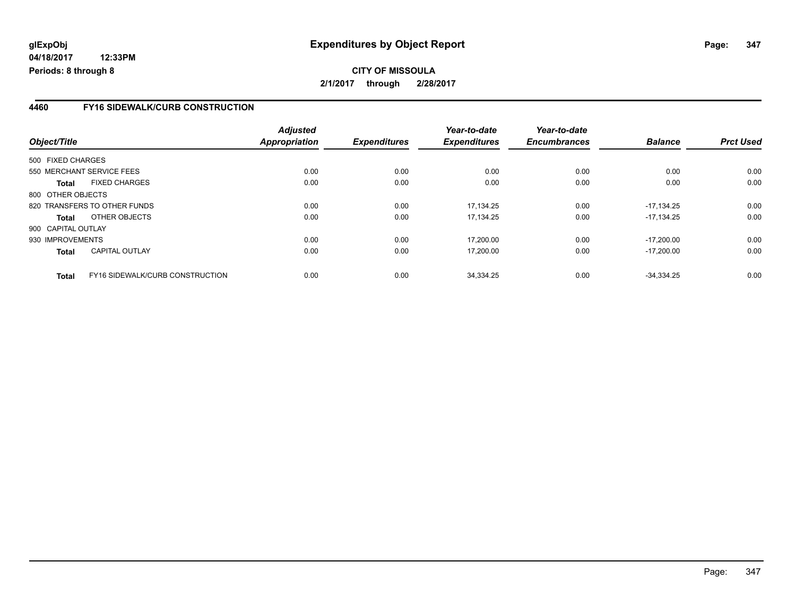**04/18/2017 12:33PM Periods: 8 through 8**

### **CITY OF MISSOULA 2/1/2017 through 2/28/2017**

### **4460 FY16 SIDEWALK/CURB CONSTRUCTION**

| Object/Title       |                                 | <b>Adjusted</b><br>Appropriation | <b>Expenditures</b> | Year-to-date<br><b>Expenditures</b> | Year-to-date<br><b>Encumbrances</b> | <b>Balance</b> | <b>Prct Used</b> |
|--------------------|---------------------------------|----------------------------------|---------------------|-------------------------------------|-------------------------------------|----------------|------------------|
| 500 FIXED CHARGES  |                                 |                                  |                     |                                     |                                     |                |                  |
|                    | 550 MERCHANT SERVICE FEES       | 0.00                             | 0.00                | 0.00                                | 0.00                                | 0.00           | 0.00             |
| <b>Total</b>       | <b>FIXED CHARGES</b>            | 0.00                             | 0.00                | 0.00                                | 0.00                                | 0.00           | 0.00             |
| 800 OTHER OBJECTS  |                                 |                                  |                     |                                     |                                     |                |                  |
|                    | 820 TRANSFERS TO OTHER FUNDS    | 0.00                             | 0.00                | 17.134.25                           | 0.00                                | $-17.134.25$   | 0.00             |
| Total              | OTHER OBJECTS                   | 0.00                             | 0.00                | 17.134.25                           | 0.00                                | $-17.134.25$   | 0.00             |
| 900 CAPITAL OUTLAY |                                 |                                  |                     |                                     |                                     |                |                  |
| 930 IMPROVEMENTS   |                                 | 0.00                             | 0.00                | 17,200.00                           | 0.00                                | $-17.200.00$   | 0.00             |
| <b>Total</b>       | <b>CAPITAL OUTLAY</b>           | 0.00                             | 0.00                | 17,200.00                           | 0.00                                | $-17,200.00$   | 0.00             |
| <b>Total</b>       | FY16 SIDEWALK/CURB CONSTRUCTION | 0.00                             | 0.00                | 34.334.25                           | 0.00                                | $-34.334.25$   | 0.00             |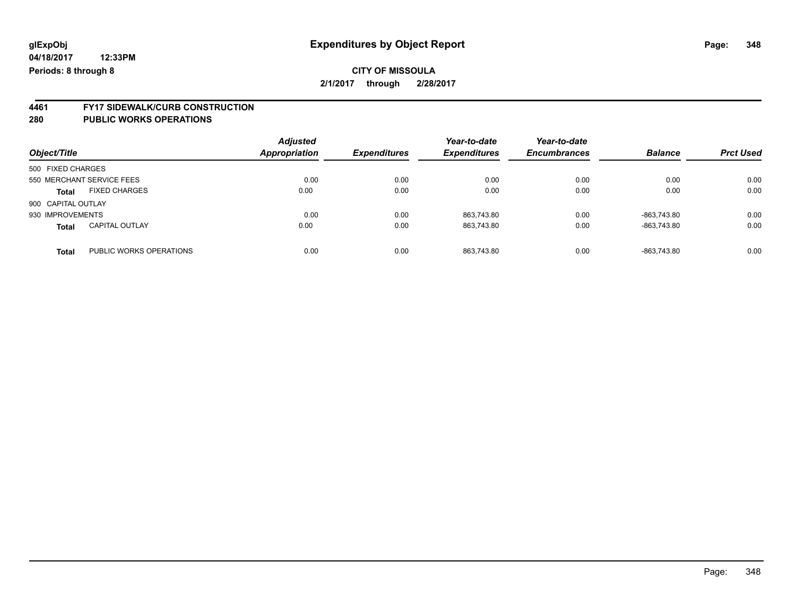# **4461 FY17 SIDEWALK/CURB CONSTRUCTION**

| Object/Title       |                           | <b>Adjusted</b><br>Appropriation | <b>Expenditures</b> | Year-to-date<br><b>Expenditures</b> | Year-to-date<br><b>Encumbrances</b> | <b>Balance</b> | <b>Prct Used</b> |
|--------------------|---------------------------|----------------------------------|---------------------|-------------------------------------|-------------------------------------|----------------|------------------|
| 500 FIXED CHARGES  |                           |                                  |                     |                                     |                                     |                |                  |
|                    | 550 MERCHANT SERVICE FEES | 0.00                             | 0.00                | 0.00                                | 0.00                                | 0.00           | 0.00             |
| <b>Total</b>       | <b>FIXED CHARGES</b>      | 0.00                             | 0.00                | 0.00                                | 0.00                                | 0.00           | 0.00             |
| 900 CAPITAL OUTLAY |                           |                                  |                     |                                     |                                     |                |                  |
| 930 IMPROVEMENTS   |                           | 0.00                             | 0.00                | 863.743.80                          | 0.00                                | -863.743.80    | 0.00             |
| <b>Total</b>       | <b>CAPITAL OUTLAY</b>     | 0.00                             | 0.00                | 863.743.80                          | 0.00                                | -863.743.80    | 0.00             |
| <b>Total</b>       | PUBLIC WORKS OPERATIONS   | 0.00                             | 0.00                | 863.743.80                          | 0.00                                | -863.743.80    | 0.00             |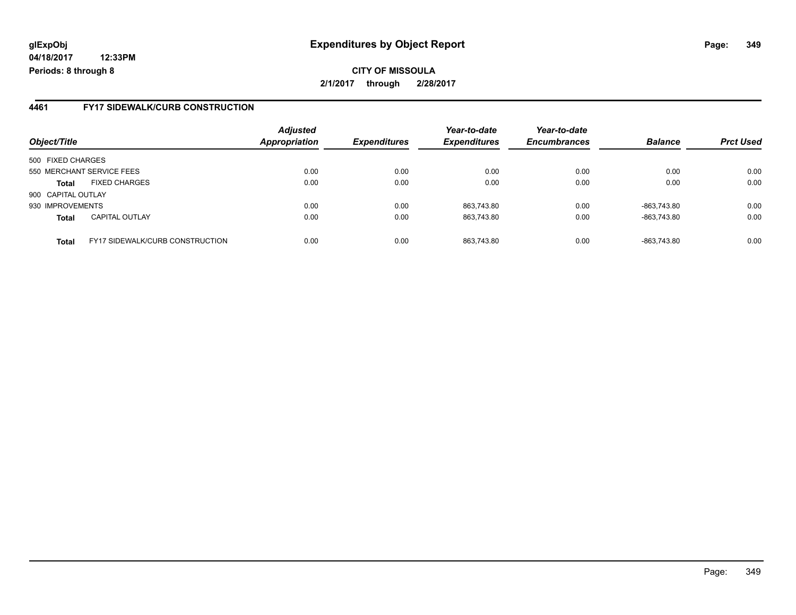**04/18/2017 12:33PM Periods: 8 through 8**

**CITY OF MISSOULA 2/1/2017 through 2/28/2017**

### **4461 FY17 SIDEWALK/CURB CONSTRUCTION**

| Object/Title       |                                        | <b>Adjusted</b><br>Appropriation | <b>Expenditures</b> | Year-to-date<br><b>Expenditures</b> | Year-to-date<br><b>Encumbrances</b> | <b>Balance</b> | <b>Prct Used</b> |
|--------------------|----------------------------------------|----------------------------------|---------------------|-------------------------------------|-------------------------------------|----------------|------------------|
| 500 FIXED CHARGES  |                                        |                                  |                     |                                     |                                     |                |                  |
|                    | 550 MERCHANT SERVICE FEES              | 0.00                             | 0.00                | 0.00                                | 0.00                                | 0.00           | 0.00             |
| <b>Total</b>       | <b>FIXED CHARGES</b>                   | 0.00                             | 0.00                | 0.00                                | 0.00                                | 0.00           | 0.00             |
| 900 CAPITAL OUTLAY |                                        |                                  |                     |                                     |                                     |                |                  |
| 930 IMPROVEMENTS   |                                        | 0.00                             | 0.00                | 863,743.80                          | 0.00                                | -863,743.80    | 0.00             |
| <b>Total</b>       | <b>CAPITAL OUTLAY</b>                  | 0.00                             | 0.00                | 863.743.80                          | 0.00                                | -863,743.80    | 0.00             |
| <b>Total</b>       | <b>FY17 SIDEWALK/CURB CONSTRUCTION</b> | 0.00                             | 0.00                | 863.743.80                          | 0.00                                | -863,743.80    | 0.00             |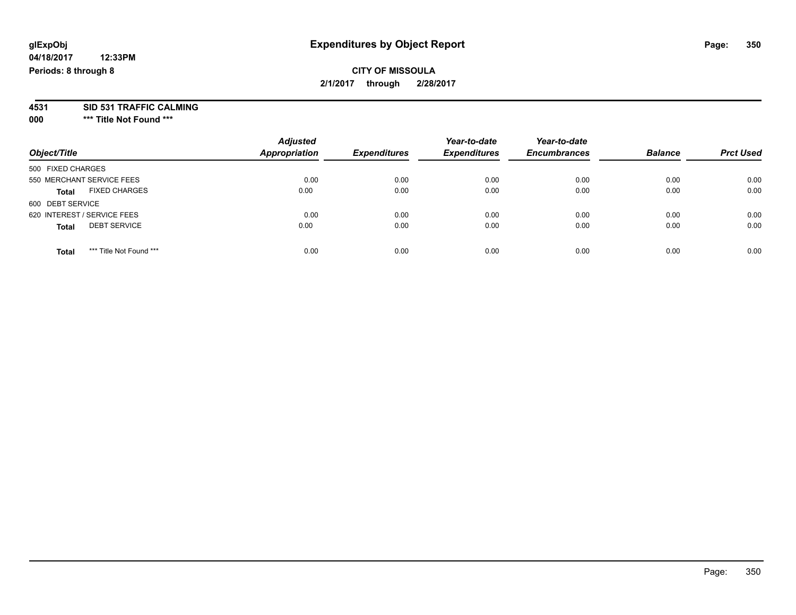### **CITY OF MISSOULA 2/1/2017 through 2/28/2017**

**4531 SID 531 TRAFFIC CALMING**

**000 \*\*\* Title Not Found \*\*\***

| Object/Title                            | <b>Adjusted</b><br><b>Appropriation</b> | <b>Expenditures</b> | Year-to-date<br><b>Expenditures</b> | Year-to-date<br><b>Encumbrances</b> | <b>Balance</b> | <b>Prct Used</b> |
|-----------------------------------------|-----------------------------------------|---------------------|-------------------------------------|-------------------------------------|----------------|------------------|
| 500 FIXED CHARGES                       |                                         |                     |                                     |                                     |                |                  |
| 550 MERCHANT SERVICE FEES               | 0.00                                    | 0.00                | 0.00                                | 0.00                                | 0.00           | 0.00             |
| <b>FIXED CHARGES</b><br><b>Total</b>    | 0.00                                    | 0.00                | 0.00                                | 0.00                                | 0.00           | 0.00             |
| 600 DEBT SERVICE                        |                                         |                     |                                     |                                     |                |                  |
| 620 INTEREST / SERVICE FEES             | 0.00                                    | 0.00                | 0.00                                | 0.00                                | 0.00           | 0.00             |
| <b>DEBT SERVICE</b><br><b>Total</b>     | 0.00                                    | 0.00                | 0.00                                | 0.00                                | 0.00           | 0.00             |
| *** Title Not Found ***<br><b>Total</b> | 0.00                                    | 0.00                | 0.00                                | 0.00                                | 0.00           | 0.00             |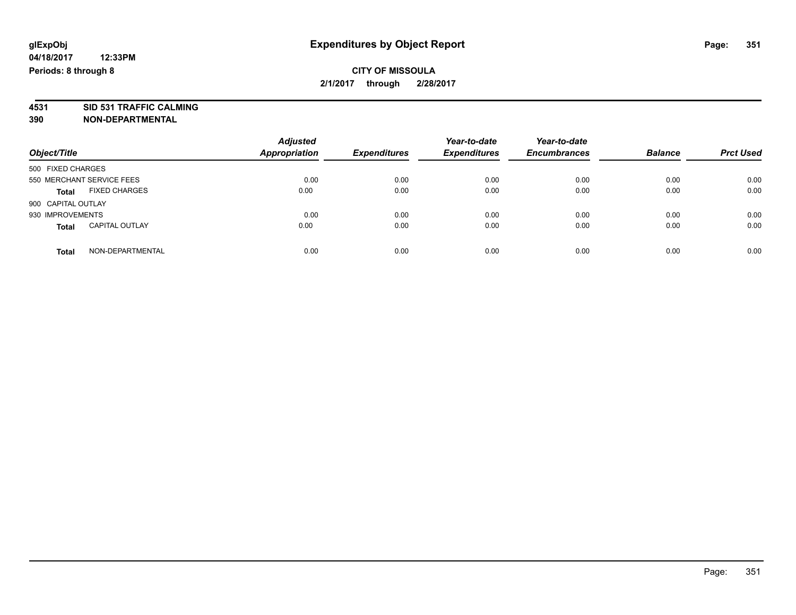### **CITY OF MISSOULA 2/1/2017 through 2/28/2017**

**4531 SID 531 TRAFFIC CALMING 390 NON-DEPARTMENTAL**

| Object/Title                          | <b>Adjusted</b><br><b>Appropriation</b> | <b>Expenditures</b> | Year-to-date<br><b>Expenditures</b> | Year-to-date<br><b>Encumbrances</b> | <b>Balance</b> | <b>Prct Used</b> |
|---------------------------------------|-----------------------------------------|---------------------|-------------------------------------|-------------------------------------|----------------|------------------|
| 500 FIXED CHARGES                     |                                         |                     |                                     |                                     |                |                  |
| 550 MERCHANT SERVICE FEES             | 0.00                                    | 0.00                | 0.00                                | 0.00                                | 0.00           | 0.00             |
| <b>FIXED CHARGES</b><br><b>Total</b>  | 0.00                                    | 0.00                | 0.00                                | 0.00                                | 0.00           | 0.00             |
| 900 CAPITAL OUTLAY                    |                                         |                     |                                     |                                     |                |                  |
| 930 IMPROVEMENTS                      | 0.00                                    | 0.00                | 0.00                                | 0.00                                | 0.00           | 0.00             |
| <b>CAPITAL OUTLAY</b><br><b>Total</b> | 0.00                                    | 0.00                | 0.00                                | 0.00                                | 0.00           | 0.00             |
| NON-DEPARTMENTAL<br><b>Total</b>      | 0.00                                    | 0.00                | 0.00                                | 0.00                                | 0.00           | 0.00             |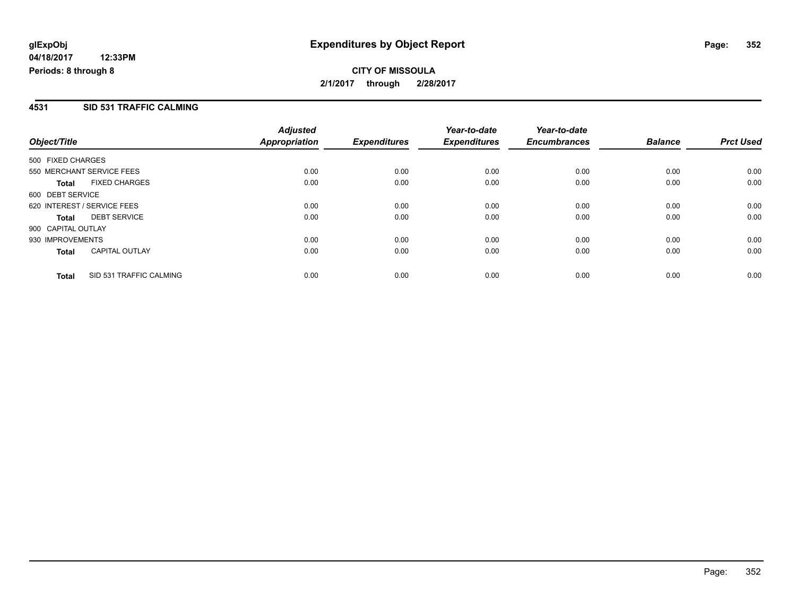### **CITY OF MISSOULA 2/1/2017 through 2/28/2017**

### **4531 SID 531 TRAFFIC CALMING**

| Object/Title       |                             | <b>Adjusted</b><br>Appropriation | <b>Expenditures</b> | Year-to-date<br><b>Expenditures</b> | Year-to-date<br><b>Encumbrances</b> | <b>Balance</b> | <b>Prct Used</b> |
|--------------------|-----------------------------|----------------------------------|---------------------|-------------------------------------|-------------------------------------|----------------|------------------|
| 500 FIXED CHARGES  |                             |                                  |                     |                                     |                                     |                |                  |
|                    | 550 MERCHANT SERVICE FEES   | 0.00                             | 0.00                | 0.00                                | 0.00                                | 0.00           | 0.00             |
| Total              | <b>FIXED CHARGES</b>        | 0.00                             | 0.00                | 0.00                                | 0.00                                | 0.00           | 0.00             |
| 600 DEBT SERVICE   |                             |                                  |                     |                                     |                                     |                |                  |
|                    | 620 INTEREST / SERVICE FEES | 0.00                             | 0.00                | 0.00                                | 0.00                                | 0.00           | 0.00             |
| <b>Total</b>       | <b>DEBT SERVICE</b>         | 0.00                             | 0.00                | 0.00                                | 0.00                                | 0.00           | 0.00             |
| 900 CAPITAL OUTLAY |                             |                                  |                     |                                     |                                     |                |                  |
| 930 IMPROVEMENTS   |                             | 0.00                             | 0.00                | 0.00                                | 0.00                                | 0.00           | 0.00             |
| Total              | <b>CAPITAL OUTLAY</b>       | 0.00                             | 0.00                | 0.00                                | 0.00                                | 0.00           | 0.00             |
| <b>Total</b>       | SID 531 TRAFFIC CALMING     | 0.00                             | 0.00                | 0.00                                | 0.00                                | 0.00           | 0.00             |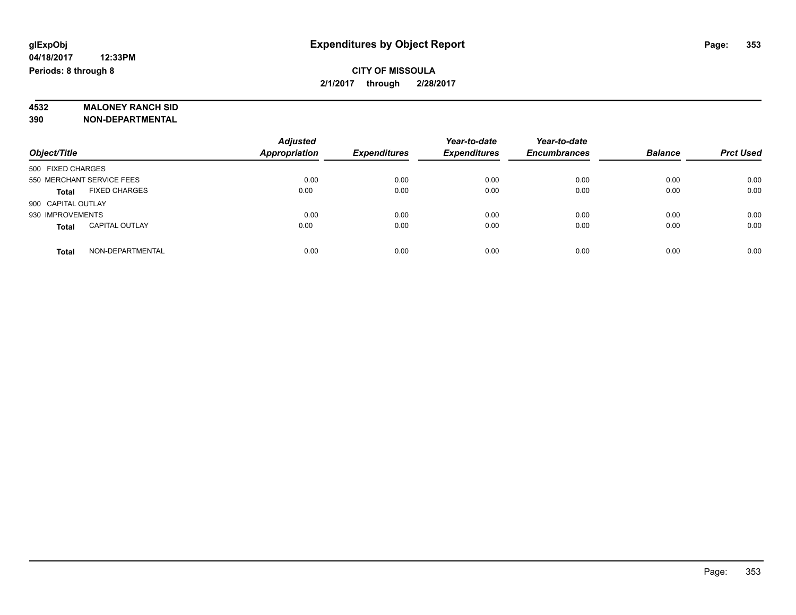### **CITY OF MISSOULA 2/1/2017 through 2/28/2017**

# **4532 MALONEY RANCH SID**

**390 NON-DEPARTMENTAL**

|                                       | <b>Adjusted</b>      |                     | Year-to-date        | Year-to-date        |                |                  |
|---------------------------------------|----------------------|---------------------|---------------------|---------------------|----------------|------------------|
| Object/Title                          | <b>Appropriation</b> | <b>Expenditures</b> | <b>Expenditures</b> | <b>Encumbrances</b> | <b>Balance</b> | <b>Prct Used</b> |
| 500 FIXED CHARGES                     |                      |                     |                     |                     |                |                  |
| 550 MERCHANT SERVICE FEES             | 0.00                 | 0.00                | 0.00                | 0.00                | 0.00           | 0.00             |
| <b>FIXED CHARGES</b><br><b>Total</b>  | 0.00                 | 0.00                | 0.00                | 0.00                | 0.00           | 0.00             |
| 900 CAPITAL OUTLAY                    |                      |                     |                     |                     |                |                  |
| 930 IMPROVEMENTS                      | 0.00                 | 0.00                | 0.00                | 0.00                | 0.00           | 0.00             |
| <b>CAPITAL OUTLAY</b><br><b>Total</b> | 0.00                 | 0.00                | 0.00                | 0.00                | 0.00           | 0.00             |
| NON-DEPARTMENTAL<br><b>Total</b>      | 0.00                 | 0.00                | 0.00                | 0.00                | 0.00           | 0.00             |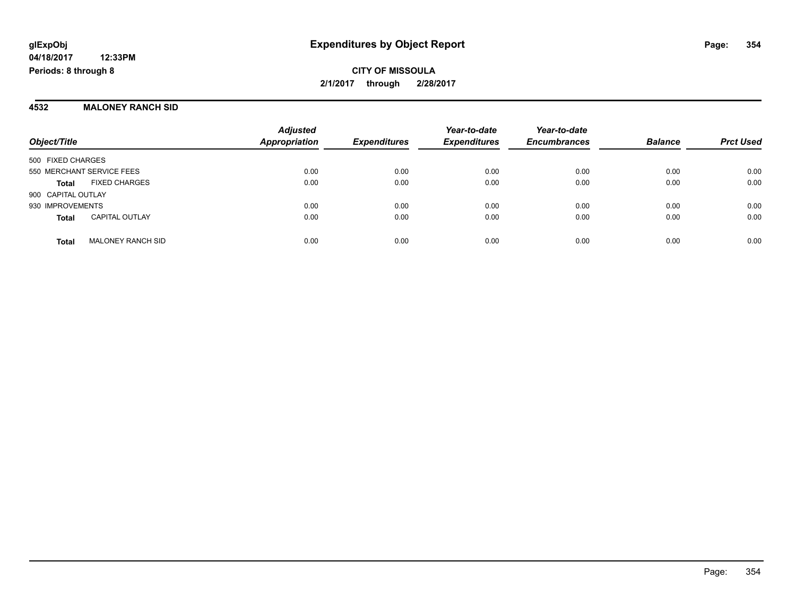**CITY OF MISSOULA 2/1/2017 through 2/28/2017**

#### **4532 MALONEY RANCH SID**

| Object/Title                             | <b>Adjusted</b><br><b>Appropriation</b> | <b>Expenditures</b> | Year-to-date<br><b>Expenditures</b> | Year-to-date<br><b>Encumbrances</b> | <b>Balance</b> | <b>Prct Used</b> |
|------------------------------------------|-----------------------------------------|---------------------|-------------------------------------|-------------------------------------|----------------|------------------|
| 500 FIXED CHARGES                        |                                         |                     |                                     |                                     |                |                  |
| 550 MERCHANT SERVICE FEES                | 0.00                                    | 0.00                | 0.00                                | 0.00                                | 0.00           | 0.00             |
| <b>FIXED CHARGES</b><br><b>Total</b>     | 0.00                                    | 0.00                | 0.00                                | 0.00                                | 0.00           | 0.00             |
| 900 CAPITAL OUTLAY                       |                                         |                     |                                     |                                     |                |                  |
| 930 IMPROVEMENTS                         | 0.00                                    | 0.00                | 0.00                                | 0.00                                | 0.00           | 0.00             |
| <b>CAPITAL OUTLAY</b><br><b>Total</b>    | 0.00                                    | 0.00                | 0.00                                | 0.00                                | 0.00           | 0.00             |
| <b>MALONEY RANCH SID</b><br><b>Total</b> | 0.00                                    | 0.00                | 0.00                                | 0.00                                | 0.00           | 0.00             |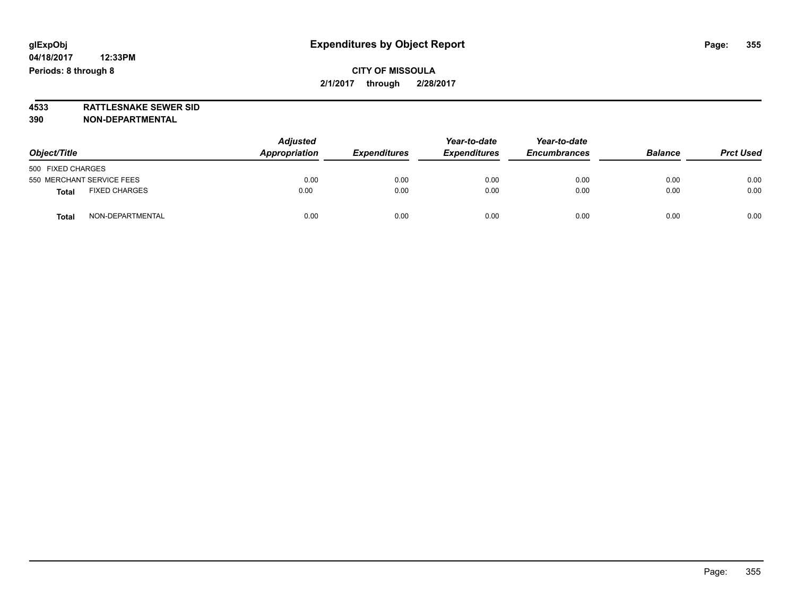### **CITY OF MISSOULA 2/1/2017 through 2/28/2017**

**4533 RATTLESNAKE SEWER SID 390 NON-DEPARTMENTAL**

| Object/Title                         | <b>Adjusted</b><br>Appropriation | <b>Expenditures</b> | Year-to-date<br><b>Expenditures</b> | Year-to-date<br><b>Encumbrances</b> | <b>Balance</b> | <b>Prct Used</b> |
|--------------------------------------|----------------------------------|---------------------|-------------------------------------|-------------------------------------|----------------|------------------|
| 500 FIXED CHARGES                    |                                  |                     |                                     |                                     |                |                  |
| 550 MERCHANT SERVICE FEES            | 0.00                             | 0.00                | 0.00                                | 0.00                                | 0.00           | 0.00             |
| <b>FIXED CHARGES</b><br><b>Total</b> | 0.00                             | 0.00                | 0.00                                | 0.00                                | 0.00           | 0.00             |
| NON-DEPARTMENTAL<br><b>Total</b>     | 0.00                             | 0.00                | 0.00                                | 0.00                                | 0.00           | 0.00             |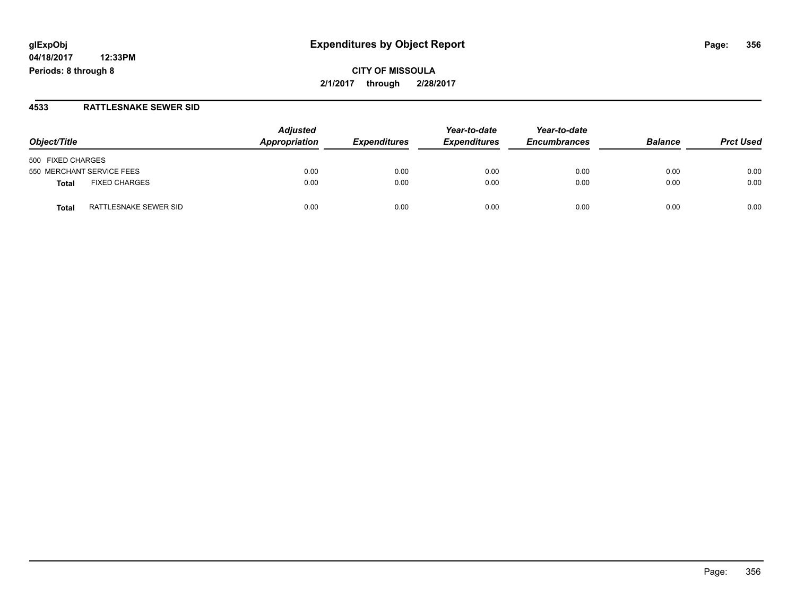**04/18/2017 12:33PM Periods: 8 through 8**

**CITY OF MISSOULA 2/1/2017 through 2/28/2017**

#### **4533 RATTLESNAKE SEWER SID**

| Object/Title                   | <b>Adjusted</b><br>Appropriation | <b>Expenditures</b> | Year-to-date<br><b>Expenditures</b> | Year-to-date<br><b>Encumbrances</b> | <b>Balance</b> | <b>Prct Used</b> |
|--------------------------------|----------------------------------|---------------------|-------------------------------------|-------------------------------------|----------------|------------------|
| 500 FIXED CHARGES              |                                  |                     |                                     |                                     |                |                  |
| 550 MERCHANT SERVICE FEES      | 0.00                             | 0.00                | 0.00                                | 0.00                                | 0.00           | 0.00             |
| <b>FIXED CHARGES</b><br>Total  | 0.00                             | 0.00                | 0.00                                | 0.00                                | 0.00           | 0.00             |
| RATTLESNAKE SEWER SID<br>Total | 0.00                             | 0.00                | 0.00                                | 0.00                                | 0.00           | 0.00             |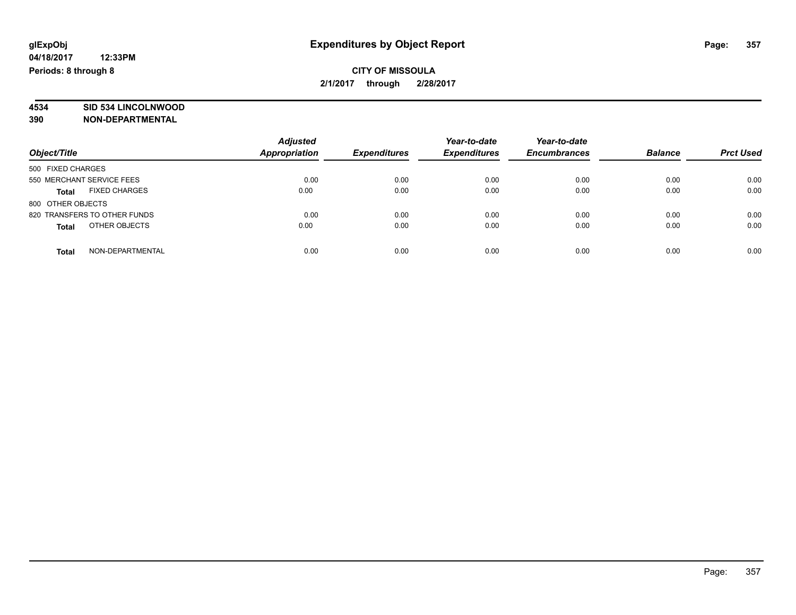### **CITY OF MISSOULA 2/1/2017 through 2/28/2017**

# **4534 SID 534 LINCOLNWOOD**

**390 NON-DEPARTMENTAL**

|                                      | <b>Adjusted</b>      |                     | Year-to-date        | Year-to-date        |                |                  |
|--------------------------------------|----------------------|---------------------|---------------------|---------------------|----------------|------------------|
| Object/Title                         | <b>Appropriation</b> | <b>Expenditures</b> | <b>Expenditures</b> | <b>Encumbrances</b> | <b>Balance</b> | <b>Prct Used</b> |
| 500 FIXED CHARGES                    |                      |                     |                     |                     |                |                  |
| 550 MERCHANT SERVICE FEES            | 0.00                 | 0.00                | 0.00                | 0.00                | 0.00           | 0.00             |
| <b>FIXED CHARGES</b><br><b>Total</b> | 0.00                 | 0.00                | 0.00                | 0.00                | 0.00           | 0.00             |
| 800 OTHER OBJECTS                    |                      |                     |                     |                     |                |                  |
| 820 TRANSFERS TO OTHER FUNDS         | 0.00                 | 0.00                | 0.00                | 0.00                | 0.00           | 0.00             |
| OTHER OBJECTS<br><b>Total</b>        | 0.00                 | 0.00                | 0.00                | 0.00                | 0.00           | 0.00             |
| NON-DEPARTMENTAL<br>Total            | 0.00                 | 0.00                | 0.00                | 0.00                | 0.00           | 0.00             |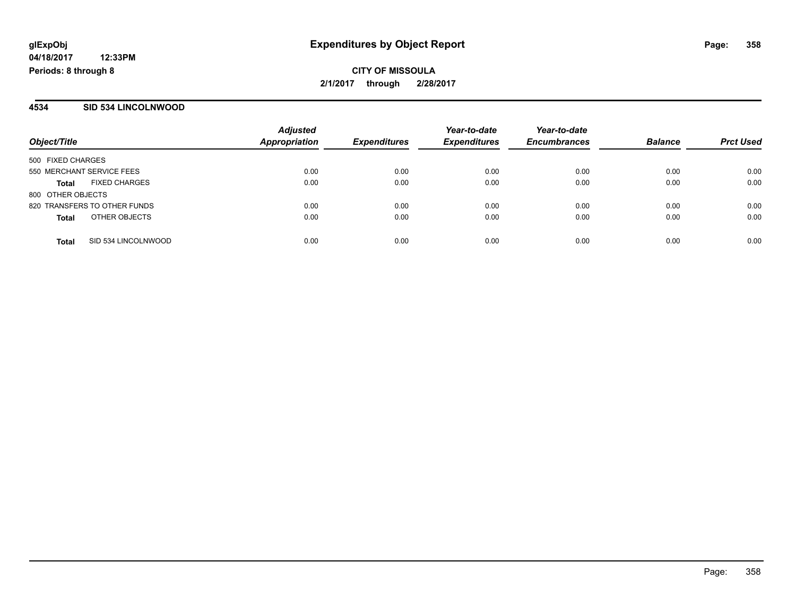**CITY OF MISSOULA 2/1/2017 through 2/28/2017**

### **4534 SID 534 LINCOLNWOOD**

| Object/Title                         | <b>Adjusted</b><br><b>Appropriation</b> | <b>Expenditures</b> | Year-to-date<br><b>Expenditures</b> | Year-to-date<br><b>Encumbrances</b> | <b>Balance</b> | <b>Prct Used</b> |
|--------------------------------------|-----------------------------------------|---------------------|-------------------------------------|-------------------------------------|----------------|------------------|
| 500 FIXED CHARGES                    |                                         |                     |                                     |                                     |                |                  |
| 550 MERCHANT SERVICE FEES            | 0.00                                    | 0.00                | 0.00                                | 0.00                                | 0.00           | 0.00             |
| <b>FIXED CHARGES</b><br><b>Total</b> | 0.00                                    | 0.00                | 0.00                                | 0.00                                | 0.00           | 0.00             |
| 800 OTHER OBJECTS                    |                                         |                     |                                     |                                     |                |                  |
| 820 TRANSFERS TO OTHER FUNDS         | 0.00                                    | 0.00                | 0.00                                | 0.00                                | 0.00           | 0.00             |
| OTHER OBJECTS<br><b>Total</b>        | 0.00                                    | 0.00                | 0.00                                | 0.00                                | 0.00           | 0.00             |
| SID 534 LINCOLNWOOD<br><b>Total</b>  | 0.00                                    | 0.00                | 0.00                                | 0.00                                | 0.00           | 0.00             |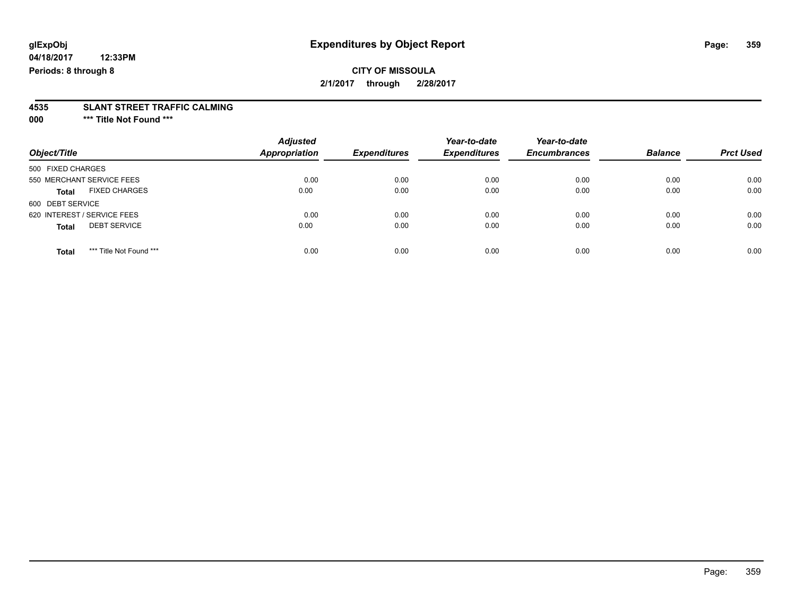**04/18/2017 12:33PM Periods: 8 through 8**

### **CITY OF MISSOULA 2/1/2017 through 2/28/2017**

# **4535 SLANT STREET TRAFFIC CALMING**

**000 \*\*\* Title Not Found \*\*\***

| Object/Title                            | <b>Adjusted</b><br><b>Appropriation</b> | <b>Expenditures</b> | Year-to-date<br><b>Expenditures</b> | Year-to-date<br><b>Encumbrances</b> | <b>Balance</b> | <b>Prct Used</b> |
|-----------------------------------------|-----------------------------------------|---------------------|-------------------------------------|-------------------------------------|----------------|------------------|
| 500 FIXED CHARGES                       |                                         |                     |                                     |                                     |                |                  |
| 550 MERCHANT SERVICE FEES               | 0.00                                    | 0.00                | 0.00                                | 0.00                                | 0.00           | 0.00             |
| <b>FIXED CHARGES</b><br><b>Total</b>    | 0.00                                    | 0.00                | 0.00                                | 0.00                                | 0.00           | 0.00             |
| 600 DEBT SERVICE                        |                                         |                     |                                     |                                     |                |                  |
| 620 INTEREST / SERVICE FEES             | 0.00                                    | 0.00                | 0.00                                | 0.00                                | 0.00           | 0.00             |
| <b>DEBT SERVICE</b><br><b>Total</b>     | 0.00                                    | 0.00                | 0.00                                | 0.00                                | 0.00           | 0.00             |
| *** Title Not Found ***<br><b>Total</b> | 0.00                                    | 0.00                | 0.00                                | 0.00                                | 0.00           | 0.00             |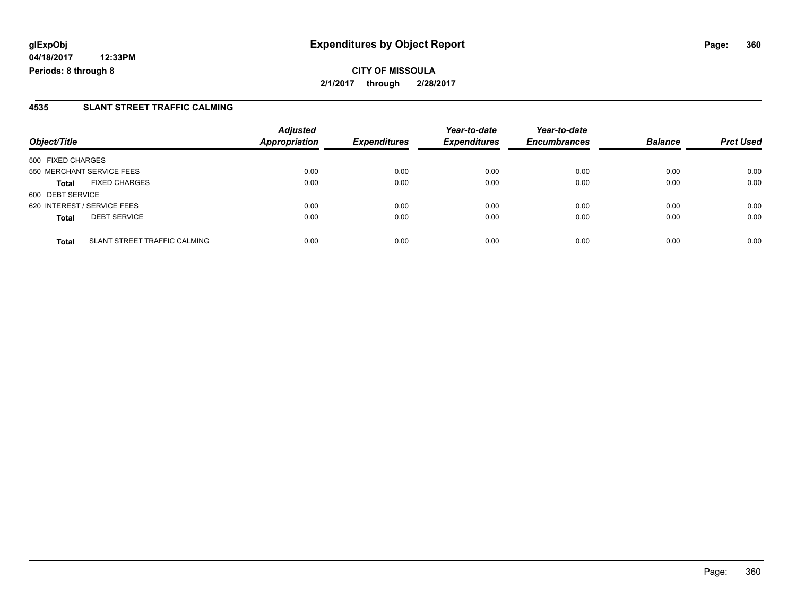**CITY OF MISSOULA 2/1/2017 through 2/28/2017**

### **4535 SLANT STREET TRAFFIC CALMING**

| Object/Title      |                              | <b>Adjusted</b><br><b>Appropriation</b> | <b>Expenditures</b> | Year-to-date<br><b>Expenditures</b> | Year-to-date<br><b>Encumbrances</b> | <b>Balance</b> | <b>Prct Used</b> |
|-------------------|------------------------------|-----------------------------------------|---------------------|-------------------------------------|-------------------------------------|----------------|------------------|
| 500 FIXED CHARGES |                              |                                         |                     |                                     |                                     |                |                  |
|                   | 550 MERCHANT SERVICE FEES    | 0.00                                    | 0.00                | 0.00                                | 0.00                                | 0.00           | 0.00             |
| <b>Total</b>      | <b>FIXED CHARGES</b>         | 0.00                                    | 0.00                | 0.00                                | 0.00                                | 0.00           | 0.00             |
| 600 DEBT SERVICE  |                              |                                         |                     |                                     |                                     |                |                  |
|                   | 620 INTEREST / SERVICE FEES  | 0.00                                    | 0.00                | 0.00                                | 0.00                                | 0.00           | 0.00             |
| <b>Total</b>      | <b>DEBT SERVICE</b>          | 0.00                                    | 0.00                | 0.00                                | 0.00                                | 0.00           | 0.00             |
| <b>Total</b>      | SLANT STREET TRAFFIC CALMING | 0.00                                    | 0.00                | 0.00                                | 0.00                                | 0.00           | 0.00             |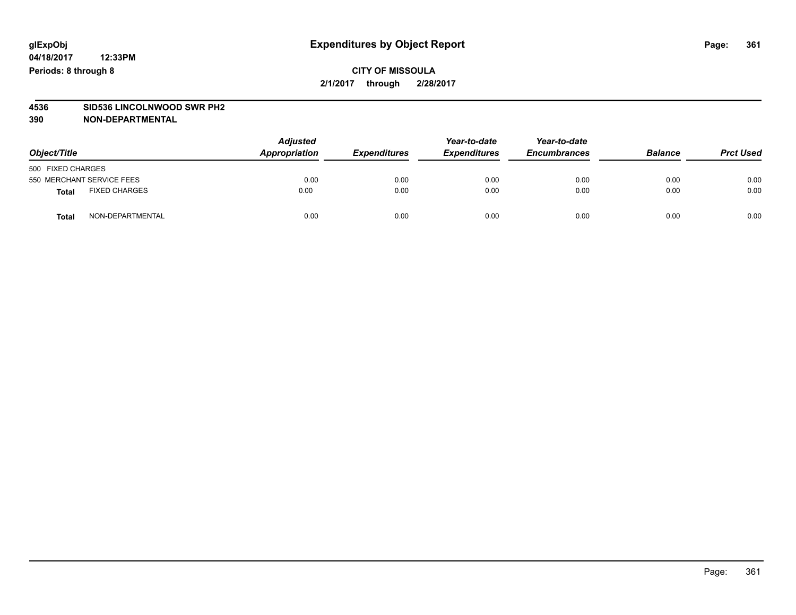## **CITY OF MISSOULA 2/1/2017 through 2/28/2017**

# **4536 SID536 LINCOLNWOOD SWR PH2**

| Object/Title                     | <b>Adjusted</b><br>Appropriation | <b>Expenditures</b> | Year-to-date<br><b>Expenditures</b> | Year-to-date<br><b>Encumbrances</b> | <b>Balance</b> | <b>Prct Used</b> |
|----------------------------------|----------------------------------|---------------------|-------------------------------------|-------------------------------------|----------------|------------------|
| 500 FIXED CHARGES                |                                  |                     |                                     |                                     |                |                  |
| 550 MERCHANT SERVICE FEES        | 0.00                             | 0.00                | 0.00                                | 0.00                                | 0.00           | 0.00             |
| <b>FIXED CHARGES</b><br>Total    | 0.00                             | 0.00                | 0.00                                | 0.00                                | 0.00           | 0.00             |
| NON-DEPARTMENTAL<br><b>Total</b> | 0.00                             | 0.00                | 0.00                                | 0.00                                | 0.00           | 0.00             |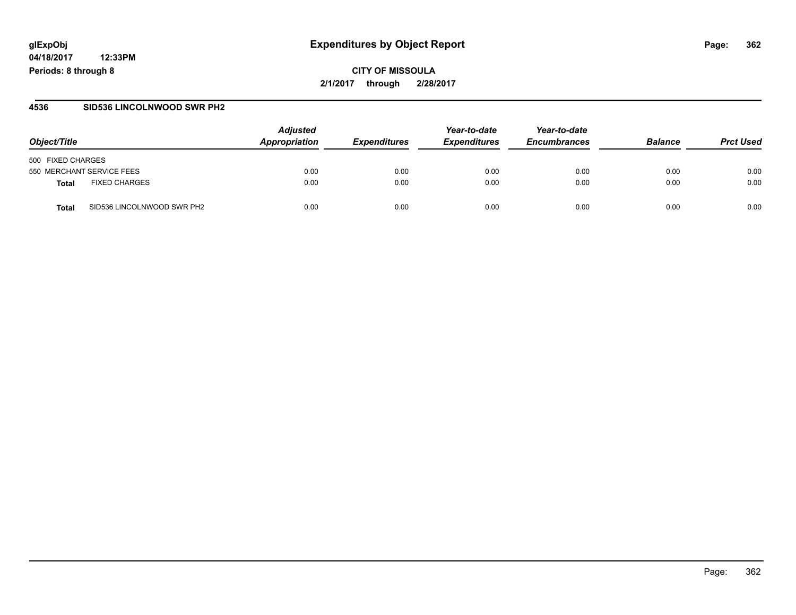# **glExpObj Expenditures by Object Report Page: 362**

**04/18/2017 12:33PM Periods: 8 through 8**

#### **4536 SID536 LINCOLNWOOD SWR PH2**

| Object/Title                        | <b>Adjusted</b><br>Appropriation | <i><b>Expenditures</b></i> | Year-to-date<br><b>Expenditures</b> | Year-to-date<br><b>Encumbrances</b> | <b>Balance</b> | <b>Prct Used</b> |
|-------------------------------------|----------------------------------|----------------------------|-------------------------------------|-------------------------------------|----------------|------------------|
| 500 FIXED CHARGES                   |                                  |                            |                                     |                                     |                |                  |
| 550 MERCHANT SERVICE FEES           | 0.00                             | 0.00                       | 0.00                                | 0.00                                | 0.00           | 0.00             |
| <b>FIXED CHARGES</b><br>Total       | 0.00                             | 0.00                       | 0.00                                | 0.00                                | 0.00           | 0.00             |
| SID536 LINCOLNWOOD SWR PH2<br>Total | 0.00                             | 0.00                       | 0.00                                | 0.00                                | 0.00           | 0.00             |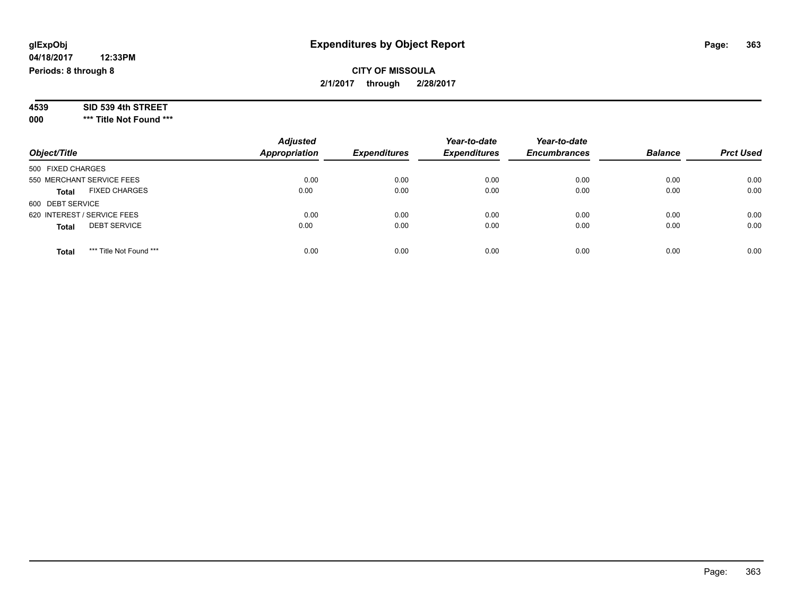## **CITY OF MISSOULA 2/1/2017 through 2/28/2017**

| SID 539 4th STREET<br>4539 |  |
|----------------------------|--|
|----------------------------|--|

**000 \*\*\* Title Not Found \*\*\***

| Object/Title                            | <b>Adjusted</b><br>Appropriation | <b>Expenditures</b> | Year-to-date<br><b>Expenditures</b> | Year-to-date<br><b>Encumbrances</b> | <b>Balance</b> | <b>Prct Used</b> |
|-----------------------------------------|----------------------------------|---------------------|-------------------------------------|-------------------------------------|----------------|------------------|
| 500 FIXED CHARGES                       |                                  |                     |                                     |                                     |                |                  |
| 550 MERCHANT SERVICE FEES               | 0.00                             | 0.00                | 0.00                                | 0.00                                | 0.00           | 0.00             |
| <b>FIXED CHARGES</b><br><b>Total</b>    | 0.00                             | 0.00                | 0.00                                | 0.00                                | 0.00           | 0.00             |
| 600 DEBT SERVICE                        |                                  |                     |                                     |                                     |                |                  |
| 620 INTEREST / SERVICE FEES             | 0.00                             | 0.00                | 0.00                                | 0.00                                | 0.00           | 0.00             |
| <b>DEBT SERVICE</b><br><b>Total</b>     | 0.00                             | 0.00                | 0.00                                | 0.00                                | 0.00           | 0.00             |
| *** Title Not Found ***<br><b>Total</b> | 0.00                             | 0.00                | 0.00                                | 0.00                                | 0.00           | 0.00             |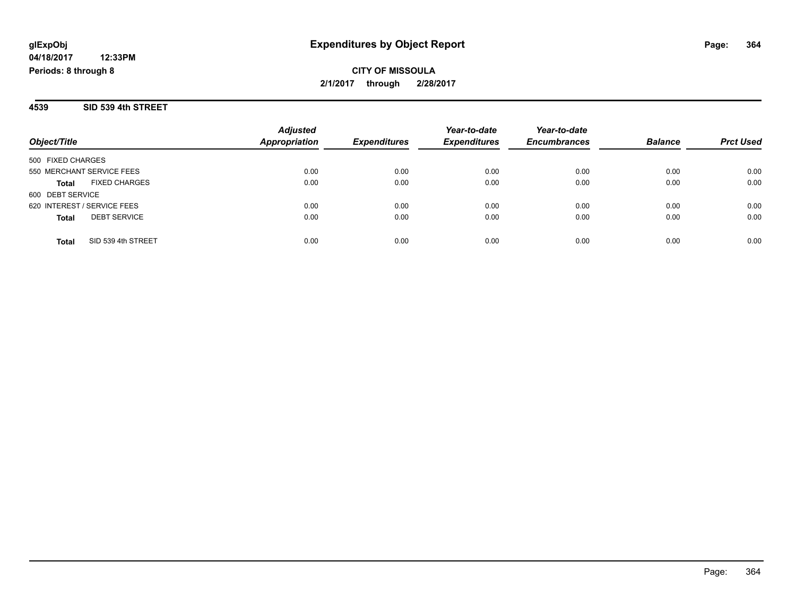## **CITY OF MISSOULA 2/1/2017 through 2/28/2017**

#### **4539 SID 539 4th STREET**

| Object/Title                         | <b>Adjusted</b><br><b>Appropriation</b> | <b>Expenditures</b> | Year-to-date<br><b>Expenditures</b> | Year-to-date<br><b>Encumbrances</b> | <b>Balance</b> | <b>Prct Used</b> |
|--------------------------------------|-----------------------------------------|---------------------|-------------------------------------|-------------------------------------|----------------|------------------|
| 500 FIXED CHARGES                    |                                         |                     |                                     |                                     |                |                  |
| 550 MERCHANT SERVICE FEES            | 0.00                                    | 0.00                | 0.00                                | 0.00                                | 0.00           | 0.00             |
| <b>FIXED CHARGES</b><br><b>Total</b> | 0.00                                    | 0.00                | 0.00                                | 0.00                                | 0.00           | 0.00             |
| 600 DEBT SERVICE                     |                                         |                     |                                     |                                     |                |                  |
| 620 INTEREST / SERVICE FEES          | 0.00                                    | 0.00                | 0.00                                | 0.00                                | 0.00           | 0.00             |
| <b>DEBT SERVICE</b><br><b>Total</b>  | 0.00                                    | 0.00                | 0.00                                | 0.00                                | 0.00           | 0.00             |
| SID 539 4th STREET<br><b>Total</b>   | 0.00                                    | 0.00                | 0.00                                | 0.00                                | 0.00           | 0.00             |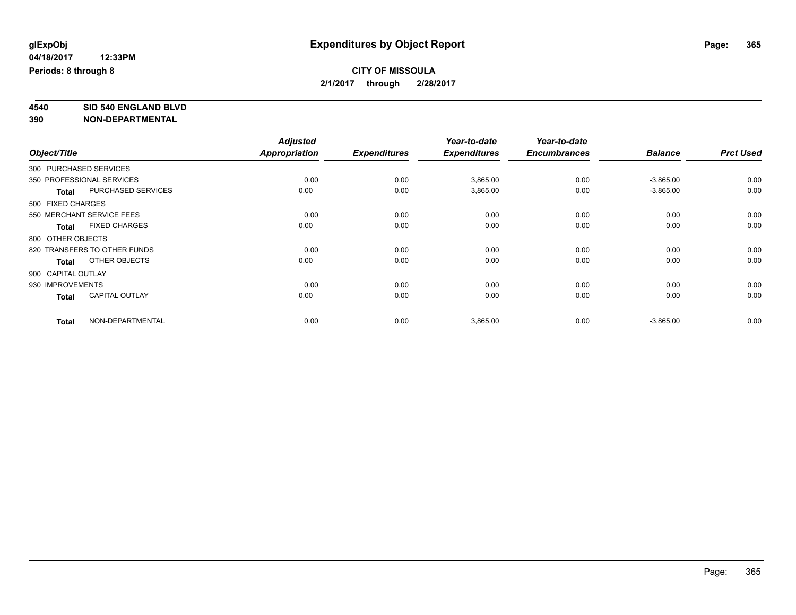### **CITY OF MISSOULA 2/1/2017 through 2/28/2017**

**4540 SID 540 ENGLAND BLVD**

|                    |                              | <b>Adjusted</b>      |                     | Year-to-date        | Year-to-date        |                |                  |
|--------------------|------------------------------|----------------------|---------------------|---------------------|---------------------|----------------|------------------|
| Object/Title       |                              | <b>Appropriation</b> | <b>Expenditures</b> | <b>Expenditures</b> | <b>Encumbrances</b> | <b>Balance</b> | <b>Prct Used</b> |
|                    | 300 PURCHASED SERVICES       |                      |                     |                     |                     |                |                  |
|                    | 350 PROFESSIONAL SERVICES    | 0.00                 | 0.00                | 3,865.00            | 0.00                | $-3,865.00$    | 0.00             |
| <b>Total</b>       | PURCHASED SERVICES           | 0.00                 | 0.00                | 3,865.00            | 0.00                | $-3,865.00$    | 0.00             |
| 500 FIXED CHARGES  |                              |                      |                     |                     |                     |                |                  |
|                    | 550 MERCHANT SERVICE FEES    | 0.00                 | 0.00                | 0.00                | 0.00                | 0.00           | 0.00             |
| <b>Total</b>       | <b>FIXED CHARGES</b>         | 0.00                 | 0.00                | 0.00                | 0.00                | 0.00           | 0.00             |
| 800 OTHER OBJECTS  |                              |                      |                     |                     |                     |                |                  |
|                    | 820 TRANSFERS TO OTHER FUNDS | 0.00                 | 0.00                | 0.00                | 0.00                | 0.00           | 0.00             |
| <b>Total</b>       | OTHER OBJECTS                | 0.00                 | 0.00                | 0.00                | 0.00                | 0.00           | 0.00             |
| 900 CAPITAL OUTLAY |                              |                      |                     |                     |                     |                |                  |
| 930 IMPROVEMENTS   |                              | 0.00                 | 0.00                | 0.00                | 0.00                | 0.00           | 0.00             |
| <b>Total</b>       | <b>CAPITAL OUTLAY</b>        | 0.00                 | 0.00                | 0.00                | 0.00                | 0.00           | 0.00             |
| <b>Total</b>       | NON-DEPARTMENTAL             | 0.00                 | 0.00                | 3,865.00            | 0.00                | $-3,865.00$    | 0.00             |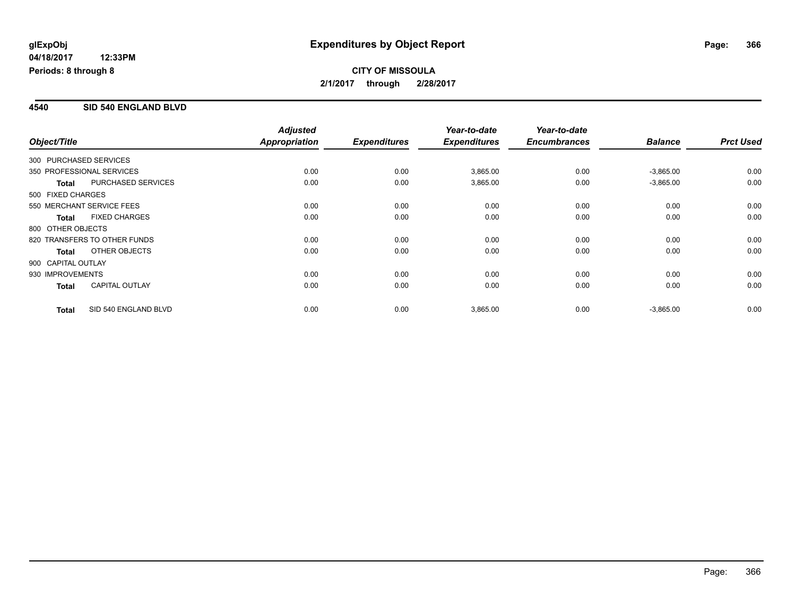#### **4540 SID 540 ENGLAND BLVD**

| Object/Title                 |                       | <b>Adjusted</b><br>Appropriation | <b>Expenditures</b> | Year-to-date<br><b>Expenditures</b> | Year-to-date<br><b>Encumbrances</b> | <b>Balance</b> | <b>Prct Used</b> |
|------------------------------|-----------------------|----------------------------------|---------------------|-------------------------------------|-------------------------------------|----------------|------------------|
| 300 PURCHASED SERVICES       |                       |                                  |                     |                                     |                                     |                |                  |
| 350 PROFESSIONAL SERVICES    |                       | 0.00                             | 0.00                | 3,865.00                            | 0.00                                | $-3,865.00$    | 0.00             |
| <b>Total</b>                 | PURCHASED SERVICES    | 0.00                             | 0.00                | 3,865.00                            | 0.00                                | $-3,865.00$    | 0.00             |
| 500 FIXED CHARGES            |                       |                                  |                     |                                     |                                     |                |                  |
| 550 MERCHANT SERVICE FEES    |                       | 0.00                             | 0.00                | 0.00                                | 0.00                                | 0.00           | 0.00             |
| <b>Total</b>                 | <b>FIXED CHARGES</b>  | 0.00                             | 0.00                | 0.00                                | 0.00                                | 0.00           | 0.00             |
| 800 OTHER OBJECTS            |                       |                                  |                     |                                     |                                     |                |                  |
| 820 TRANSFERS TO OTHER FUNDS |                       | 0.00                             | 0.00                | 0.00                                | 0.00                                | 0.00           | 0.00             |
| <b>Total</b>                 | OTHER OBJECTS         | 0.00                             | 0.00                | 0.00                                | 0.00                                | 0.00           | 0.00             |
| 900 CAPITAL OUTLAY           |                       |                                  |                     |                                     |                                     |                |                  |
| 930 IMPROVEMENTS             |                       | 0.00                             | 0.00                | 0.00                                | 0.00                                | 0.00           | 0.00             |
| <b>Total</b>                 | <b>CAPITAL OUTLAY</b> | 0.00                             | 0.00                | 0.00                                | 0.00                                | 0.00           | 0.00             |
| <b>Total</b>                 | SID 540 ENGLAND BLVD  | 0.00                             | 0.00                | 3,865.00                            | 0.00                                | $-3,865.00$    | 0.00             |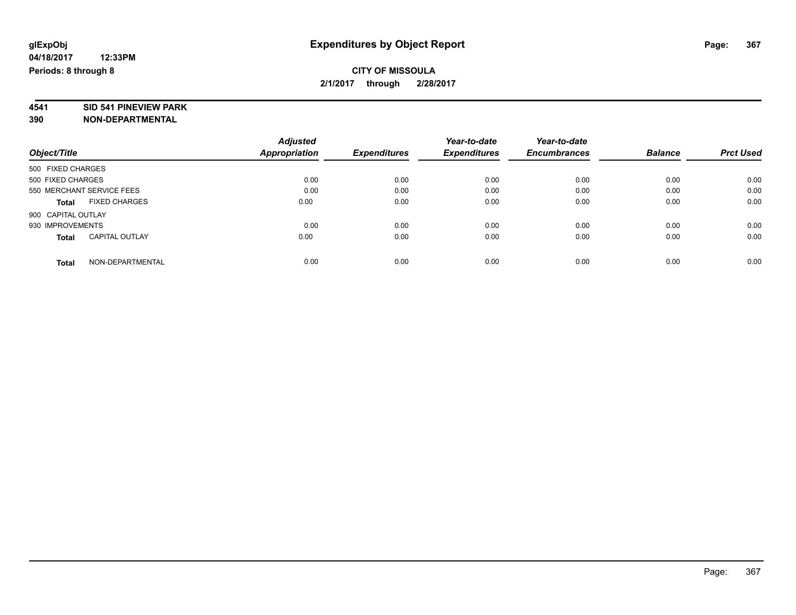## **CITY OF MISSOULA 2/1/2017 through 2/28/2017**

# **4541 SID 541 PINEVIEW PARK**

|                                       | <b>Adjusted</b> |                     | Year-to-date        | Year-to-date        |                |                  |
|---------------------------------------|-----------------|---------------------|---------------------|---------------------|----------------|------------------|
| Object/Title                          | Appropriation   | <b>Expenditures</b> | <b>Expenditures</b> | <b>Encumbrances</b> | <b>Balance</b> | <b>Prct Used</b> |
| 500 FIXED CHARGES                     |                 |                     |                     |                     |                |                  |
| 500 FIXED CHARGES                     | 0.00            | 0.00                | 0.00                | 0.00                | 0.00           | 0.00             |
| 550 MERCHANT SERVICE FEES             | 0.00            | 0.00                | 0.00                | 0.00                | 0.00           | 0.00             |
| <b>FIXED CHARGES</b><br><b>Total</b>  | 0.00            | 0.00                | 0.00                | 0.00                | 0.00           | 0.00             |
| 900 CAPITAL OUTLAY                    |                 |                     |                     |                     |                |                  |
| 930 IMPROVEMENTS                      | 0.00            | 0.00                | 0.00                | 0.00                | 0.00           | 0.00             |
| <b>CAPITAL OUTLAY</b><br><b>Total</b> | 0.00            | 0.00                | 0.00                | 0.00                | 0.00           | 0.00             |
| NON-DEPARTMENTAL<br>Total             | 0.00            | 0.00                | 0.00                | 0.00                | 0.00           | 0.00             |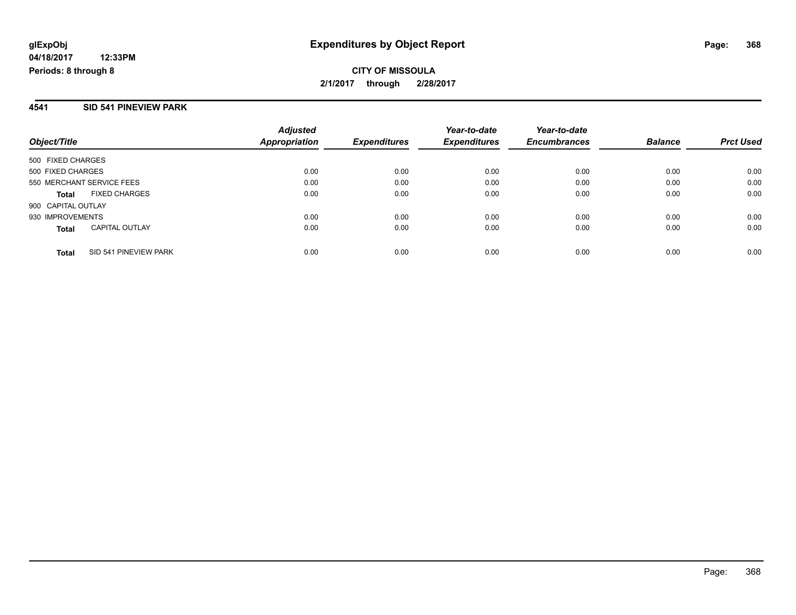## **CITY OF MISSOULA 2/1/2017 through 2/28/2017**

#### **4541 SID 541 PINEVIEW PARK**

| Object/Title                          | <b>Adjusted</b><br><b>Appropriation</b> | <i><b>Expenditures</b></i> | Year-to-date<br><b>Expenditures</b> | Year-to-date<br><b>Encumbrances</b> | <b>Balance</b> | <b>Prct Used</b> |
|---------------------------------------|-----------------------------------------|----------------------------|-------------------------------------|-------------------------------------|----------------|------------------|
| 500 FIXED CHARGES                     |                                         |                            |                                     |                                     |                |                  |
| 500 FIXED CHARGES                     | 0.00                                    | 0.00                       | 0.00                                | 0.00                                | 0.00           | 0.00             |
| 550 MERCHANT SERVICE FEES             | 0.00                                    | 0.00                       | 0.00                                | 0.00                                | 0.00           | 0.00             |
| <b>FIXED CHARGES</b><br><b>Total</b>  | 0.00                                    | 0.00                       | 0.00                                | 0.00                                | 0.00           | 0.00             |
| 900 CAPITAL OUTLAY                    |                                         |                            |                                     |                                     |                |                  |
| 930 IMPROVEMENTS                      | 0.00                                    | 0.00                       | 0.00                                | 0.00                                | 0.00           | 0.00             |
| <b>CAPITAL OUTLAY</b><br><b>Total</b> | 0.00                                    | 0.00                       | 0.00                                | 0.00                                | 0.00           | 0.00             |
| SID 541 PINEVIEW PARK<br><b>Total</b> | 0.00                                    | 0.00                       | 0.00                                | 0.00                                | 0.00           | 0.00             |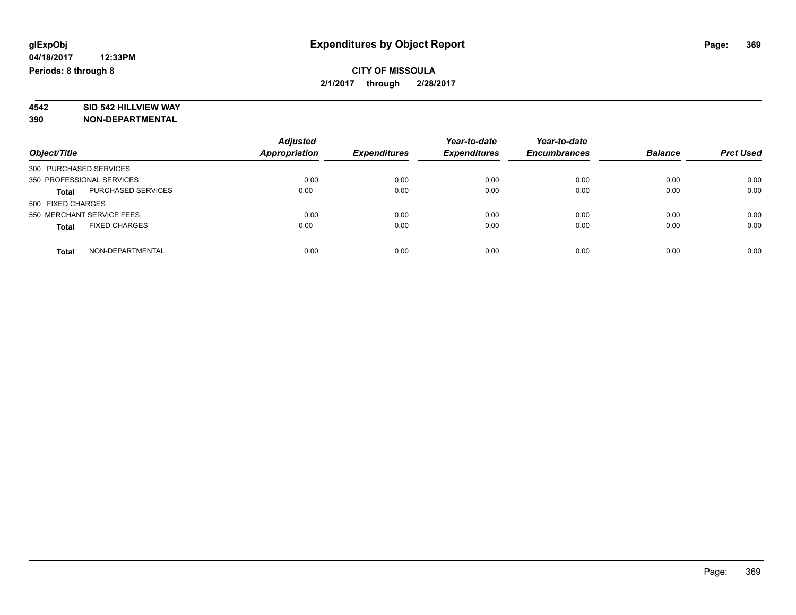## **CITY OF MISSOULA 2/1/2017 through 2/28/2017**

# **4542 SID 542 HILLVIEW WAY**

|                                      | <b>Adjusted</b>      |                     | Year-to-date        | Year-to-date        |                |                  |
|--------------------------------------|----------------------|---------------------|---------------------|---------------------|----------------|------------------|
| Object/Title                         | <b>Appropriation</b> | <b>Expenditures</b> | <b>Expenditures</b> | <b>Encumbrances</b> | <b>Balance</b> | <b>Prct Used</b> |
| 300 PURCHASED SERVICES               |                      |                     |                     |                     |                |                  |
| 350 PROFESSIONAL SERVICES            | 0.00                 | 0.00                | 0.00                | 0.00                | 0.00           | 0.00             |
| PURCHASED SERVICES<br><b>Total</b>   | 0.00                 | 0.00                | 0.00                | 0.00                | 0.00           | 0.00             |
| 500 FIXED CHARGES                    |                      |                     |                     |                     |                |                  |
| 550 MERCHANT SERVICE FEES            | 0.00                 | 0.00                | 0.00                | 0.00                | 0.00           | 0.00             |
| <b>FIXED CHARGES</b><br><b>Total</b> | 0.00                 | 0.00                | 0.00                | 0.00                | 0.00           | 0.00             |
| NON-DEPARTMENTAL<br><b>Total</b>     | 0.00                 | 0.00                | 0.00                | 0.00                | 0.00           | 0.00             |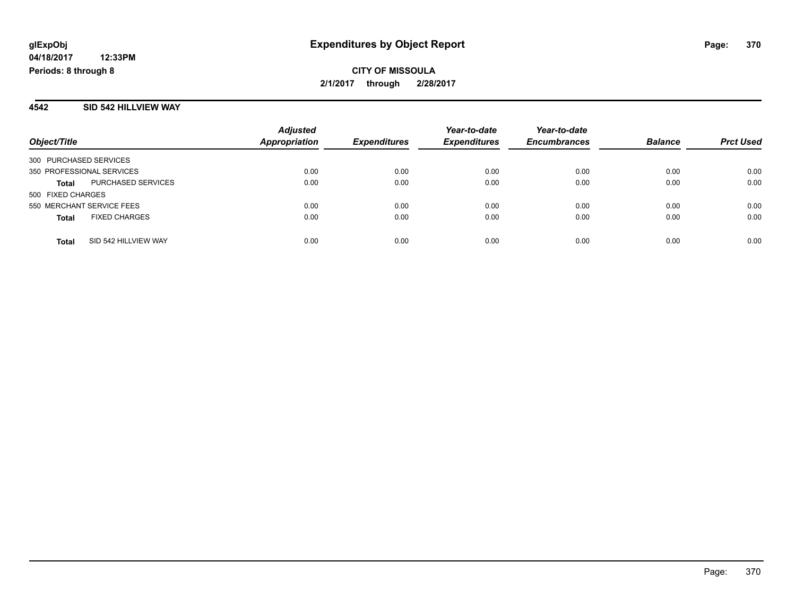**CITY OF MISSOULA 2/1/2017 through 2/28/2017**

#### **4542 SID 542 HILLVIEW WAY**

| Object/Title                         | <b>Adjusted</b><br><b>Appropriation</b> | <b>Expenditures</b> | Year-to-date<br><b>Expenditures</b> | Year-to-date<br><b>Encumbrances</b> | <b>Balance</b> | <b>Prct Used</b> |
|--------------------------------------|-----------------------------------------|---------------------|-------------------------------------|-------------------------------------|----------------|------------------|
| 300 PURCHASED SERVICES               |                                         |                     |                                     |                                     |                |                  |
| 350 PROFESSIONAL SERVICES            | 0.00                                    | 0.00                | 0.00                                | 0.00                                | 0.00           | 0.00             |
| PURCHASED SERVICES<br><b>Total</b>   | 0.00                                    | 0.00                | 0.00                                | 0.00                                | 0.00           | 0.00             |
| 500 FIXED CHARGES                    |                                         |                     |                                     |                                     |                |                  |
| 550 MERCHANT SERVICE FEES            | 0.00                                    | 0.00                | 0.00                                | 0.00                                | 0.00           | 0.00             |
| <b>FIXED CHARGES</b><br><b>Total</b> | 0.00                                    | 0.00                | 0.00                                | 0.00                                | 0.00           | 0.00             |
| SID 542 HILLVIEW WAY<br><b>Total</b> | 0.00                                    | 0.00                | 0.00                                | 0.00                                | 0.00           | 0.00             |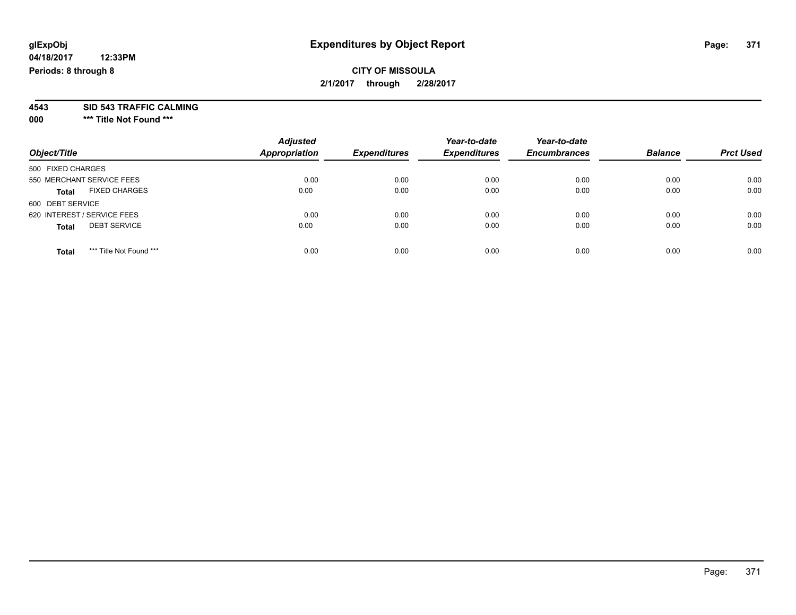## **CITY OF MISSOULA 2/1/2017 through 2/28/2017**

**4543 SID 543 TRAFFIC CALMING**

**000 \*\*\* Title Not Found \*\*\***

| Object/Title                            | <b>Adjusted</b><br><b>Appropriation</b> | <b>Expenditures</b> | Year-to-date<br><b>Expenditures</b> | Year-to-date<br><b>Encumbrances</b> | <b>Balance</b> | <b>Prct Used</b> |
|-----------------------------------------|-----------------------------------------|---------------------|-------------------------------------|-------------------------------------|----------------|------------------|
| 500 FIXED CHARGES                       |                                         |                     |                                     |                                     |                |                  |
| 550 MERCHANT SERVICE FEES               | 0.00                                    | 0.00                | 0.00                                | 0.00                                | 0.00           | 0.00             |
| <b>FIXED CHARGES</b><br><b>Total</b>    | 0.00                                    | 0.00                | 0.00                                | 0.00                                | 0.00           | 0.00             |
| 600 DEBT SERVICE                        |                                         |                     |                                     |                                     |                |                  |
| 620 INTEREST / SERVICE FEES             | 0.00                                    | 0.00                | 0.00                                | 0.00                                | 0.00           | 0.00             |
| <b>DEBT SERVICE</b><br><b>Total</b>     | 0.00                                    | 0.00                | 0.00                                | 0.00                                | 0.00           | 0.00             |
| *** Title Not Found ***<br><b>Total</b> | 0.00                                    | 0.00                | 0.00                                | 0.00                                | 0.00           | 0.00             |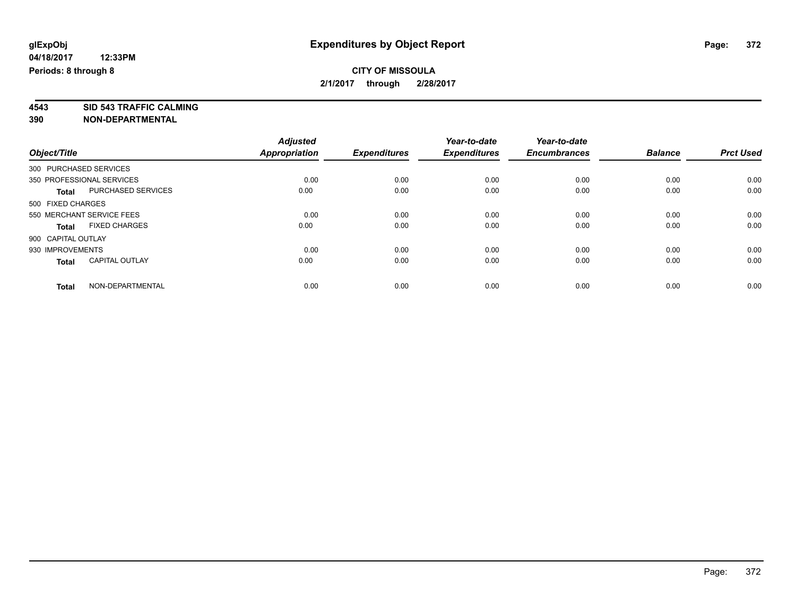### **CITY OF MISSOULA 2/1/2017 through 2/28/2017**

**4543 SID 543 TRAFFIC CALMING**

|                                       | <b>Adjusted</b>      |                     | Year-to-date        | Year-to-date<br><b>Encumbrances</b> | <b>Balance</b> | <b>Prct Used</b> |
|---------------------------------------|----------------------|---------------------|---------------------|-------------------------------------|----------------|------------------|
| Object/Title                          | <b>Appropriation</b> | <b>Expenditures</b> | <b>Expenditures</b> |                                     |                |                  |
| 300 PURCHASED SERVICES                |                      |                     |                     |                                     |                |                  |
| 350 PROFESSIONAL SERVICES             | 0.00                 | 0.00                | 0.00                | 0.00                                | 0.00           | 0.00             |
| PURCHASED SERVICES<br>Total           | 0.00                 | 0.00                | 0.00                | 0.00                                | 0.00           | 0.00             |
| 500 FIXED CHARGES                     |                      |                     |                     |                                     |                |                  |
| 550 MERCHANT SERVICE FEES             | 0.00                 | 0.00                | 0.00                | 0.00                                | 0.00           | 0.00             |
| <b>FIXED CHARGES</b><br><b>Total</b>  | 0.00                 | 0.00                | 0.00                | 0.00                                | 0.00           | 0.00             |
| 900 CAPITAL OUTLAY                    |                      |                     |                     |                                     |                |                  |
| 930 IMPROVEMENTS                      | 0.00                 | 0.00                | 0.00                | 0.00                                | 0.00           | 0.00             |
| <b>CAPITAL OUTLAY</b><br><b>Total</b> | 0.00                 | 0.00                | 0.00                | 0.00                                | 0.00           | 0.00             |
| NON-DEPARTMENTAL<br><b>Total</b>      | 0.00                 | 0.00                | 0.00                | 0.00                                | 0.00           | 0.00             |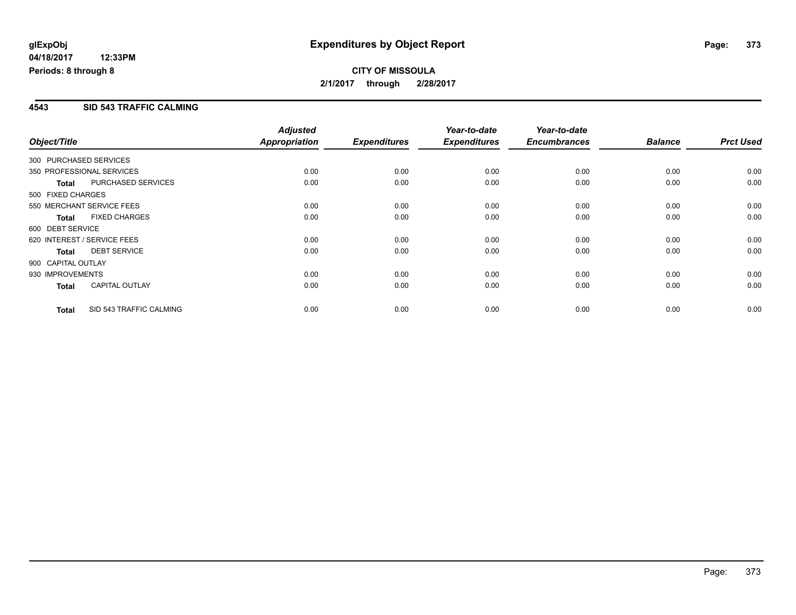## **CITY OF MISSOULA 2/1/2017 through 2/28/2017**

#### **4543 SID 543 TRAFFIC CALMING**

| Object/Title                |                           | <b>Adjusted</b><br>Appropriation | <b>Expenditures</b> | Year-to-date<br><b>Expenditures</b> | Year-to-date<br><b>Encumbrances</b> | <b>Balance</b> | <b>Prct Used</b> |
|-----------------------------|---------------------------|----------------------------------|---------------------|-------------------------------------|-------------------------------------|----------------|------------------|
| 300 PURCHASED SERVICES      |                           |                                  |                     |                                     |                                     |                |                  |
| 350 PROFESSIONAL SERVICES   |                           | 0.00                             | 0.00                | 0.00                                | 0.00                                | 0.00           | 0.00             |
| <b>Total</b>                | <b>PURCHASED SERVICES</b> | 0.00                             | 0.00                | 0.00                                | 0.00                                | 0.00           | 0.00             |
| 500 FIXED CHARGES           |                           |                                  |                     |                                     |                                     |                |                  |
| 550 MERCHANT SERVICE FEES   |                           | 0.00                             | 0.00                | 0.00                                | 0.00                                | 0.00           | 0.00             |
| <b>Total</b>                | <b>FIXED CHARGES</b>      | 0.00                             | 0.00                | 0.00                                | 0.00                                | 0.00           | 0.00             |
| 600 DEBT SERVICE            |                           |                                  |                     |                                     |                                     |                |                  |
| 620 INTEREST / SERVICE FEES |                           | 0.00                             | 0.00                | 0.00                                | 0.00                                | 0.00           | 0.00             |
| <b>Total</b>                | <b>DEBT SERVICE</b>       | 0.00                             | 0.00                | 0.00                                | 0.00                                | 0.00           | 0.00             |
| 900 CAPITAL OUTLAY          |                           |                                  |                     |                                     |                                     |                |                  |
| 930 IMPROVEMENTS            |                           | 0.00                             | 0.00                | 0.00                                | 0.00                                | 0.00           | 0.00             |
| <b>Total</b>                | <b>CAPITAL OUTLAY</b>     | 0.00                             | 0.00                | 0.00                                | 0.00                                | 0.00           | 0.00             |
| <b>Total</b>                | SID 543 TRAFFIC CALMING   | 0.00                             | 0.00                | 0.00                                | 0.00                                | 0.00           | 0.00             |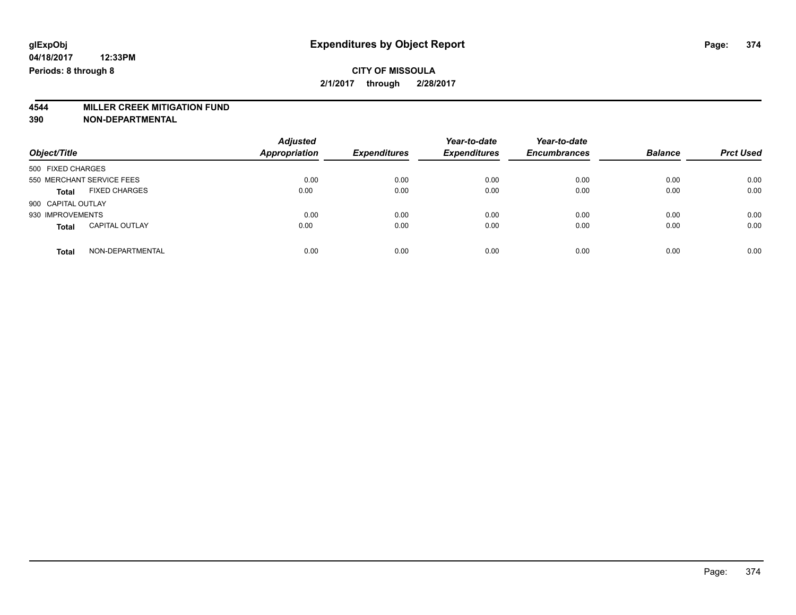### **CITY OF MISSOULA 2/1/2017 through 2/28/2017**

# **4544 MILLER CREEK MITIGATION FUND**

| Object/Title                          | <b>Adjusted</b><br><b>Appropriation</b> | <b>Expenditures</b> | Year-to-date<br><b>Expenditures</b> | Year-to-date<br><b>Encumbrances</b> | <b>Balance</b> | <b>Prct Used</b> |
|---------------------------------------|-----------------------------------------|---------------------|-------------------------------------|-------------------------------------|----------------|------------------|
| 500 FIXED CHARGES                     |                                         |                     |                                     |                                     |                |                  |
| 550 MERCHANT SERVICE FEES             | 0.00                                    | 0.00                | 0.00                                | 0.00                                | 0.00           | 0.00             |
| <b>FIXED CHARGES</b><br><b>Total</b>  | 0.00                                    | 0.00                | 0.00                                | 0.00                                | 0.00           | 0.00             |
| 900 CAPITAL OUTLAY                    |                                         |                     |                                     |                                     |                |                  |
| 930 IMPROVEMENTS                      | 0.00                                    | 0.00                | 0.00                                | 0.00                                | 0.00           | 0.00             |
| <b>CAPITAL OUTLAY</b><br><b>Total</b> | 0.00                                    | 0.00                | 0.00                                | 0.00                                | 0.00           | 0.00             |
| NON-DEPARTMENTAL<br><b>Total</b>      | 0.00                                    | 0.00                | 0.00                                | 0.00                                | 0.00           | 0.00             |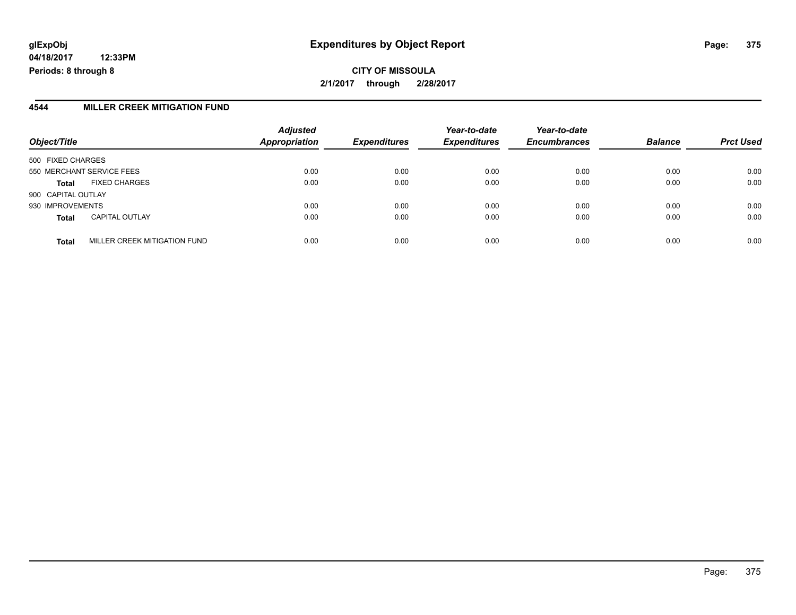# **glExpObj Expenditures by Object Report Page: 375**

**04/18/2017 12:33PM Periods: 8 through 8**

**CITY OF MISSOULA 2/1/2017 through 2/28/2017**

#### **4544 MILLER CREEK MITIGATION FUND**

| Object/Title                                 | <b>Adjusted</b><br>Appropriation | <b>Expenditures</b> | Year-to-date<br><b>Expenditures</b> | Year-to-date<br><b>Encumbrances</b> | <b>Balance</b> | <b>Prct Used</b> |
|----------------------------------------------|----------------------------------|---------------------|-------------------------------------|-------------------------------------|----------------|------------------|
| 500 FIXED CHARGES                            |                                  |                     |                                     |                                     |                |                  |
| 550 MERCHANT SERVICE FEES                    | 0.00                             | 0.00                | 0.00                                | 0.00                                | 0.00           | 0.00             |
| <b>FIXED CHARGES</b><br><b>Total</b>         | 0.00                             | 0.00                | 0.00                                | 0.00                                | 0.00           | 0.00             |
| 900 CAPITAL OUTLAY                           |                                  |                     |                                     |                                     |                |                  |
| 930 IMPROVEMENTS                             | 0.00                             | 0.00                | 0.00                                | 0.00                                | 0.00           | 0.00             |
| <b>CAPITAL OUTLAY</b><br><b>Total</b>        | 0.00                             | 0.00                | 0.00                                | 0.00                                | 0.00           | 0.00             |
| MILLER CREEK MITIGATION FUND<br><b>Total</b> | 0.00                             | 0.00                | 0.00                                | 0.00                                | 0.00           | 0.00             |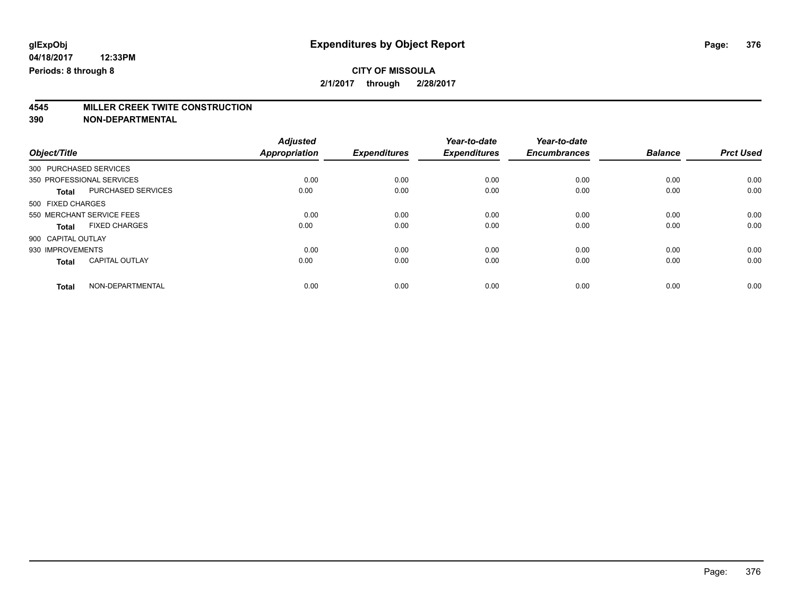# **4545 MILLER CREEK TWITE CONSTRUCTION**

|                                       | <b>Adjusted</b>      |                     | Year-to-date<br><b>Expenditures</b> | Year-to-date<br><b>Encumbrances</b> |                | <b>Prct Used</b> |
|---------------------------------------|----------------------|---------------------|-------------------------------------|-------------------------------------|----------------|------------------|
| Object/Title                          | <b>Appropriation</b> | <b>Expenditures</b> |                                     |                                     | <b>Balance</b> |                  |
| 300 PURCHASED SERVICES                |                      |                     |                                     |                                     |                |                  |
| 350 PROFESSIONAL SERVICES             | 0.00                 | 0.00                | 0.00                                | 0.00                                | 0.00           | 0.00             |
| PURCHASED SERVICES<br><b>Total</b>    | 0.00                 | 0.00                | 0.00                                | 0.00                                | 0.00           | 0.00             |
| 500 FIXED CHARGES                     |                      |                     |                                     |                                     |                |                  |
| 550 MERCHANT SERVICE FEES             | 0.00                 | 0.00                | 0.00                                | 0.00                                | 0.00           | 0.00             |
| <b>FIXED CHARGES</b><br>Total         | 0.00                 | 0.00                | 0.00                                | 0.00                                | 0.00           | 0.00             |
| 900 CAPITAL OUTLAY                    |                      |                     |                                     |                                     |                |                  |
| 930 IMPROVEMENTS                      | 0.00                 | 0.00                | 0.00                                | 0.00                                | 0.00           | 0.00             |
| <b>CAPITAL OUTLAY</b><br><b>Total</b> | 0.00                 | 0.00                | 0.00                                | 0.00                                | 0.00           | 0.00             |
| NON-DEPARTMENTAL<br><b>Total</b>      | 0.00                 | 0.00                | 0.00                                | 0.00                                | 0.00           | 0.00             |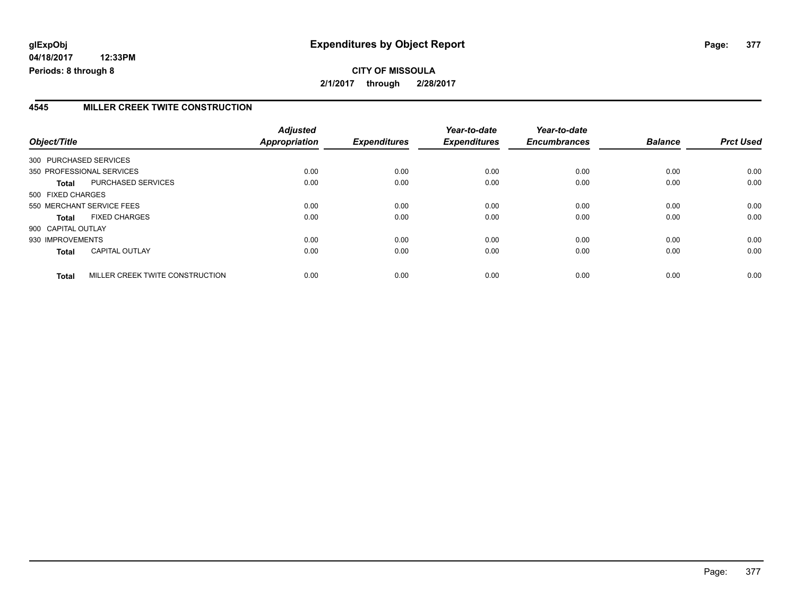**CITY OF MISSOULA 2/1/2017 through 2/28/2017**

#### **4545 MILLER CREEK TWITE CONSTRUCTION**

| Object/Title           |                                 | <b>Adjusted</b><br>Appropriation | <b>Expenditures</b> | Year-to-date<br><b>Expenditures</b> | Year-to-date<br><b>Encumbrances</b> | <b>Balance</b> | <b>Prct Used</b> |
|------------------------|---------------------------------|----------------------------------|---------------------|-------------------------------------|-------------------------------------|----------------|------------------|
| 300 PURCHASED SERVICES |                                 |                                  |                     |                                     |                                     |                |                  |
|                        | 350 PROFESSIONAL SERVICES       | 0.00                             | 0.00                | 0.00                                | 0.00                                | 0.00           | 0.00             |
| <b>Total</b>           | <b>PURCHASED SERVICES</b>       | 0.00                             | 0.00                | 0.00                                | 0.00                                | 0.00           | 0.00             |
| 500 FIXED CHARGES      |                                 |                                  |                     |                                     |                                     |                |                  |
|                        | 550 MERCHANT SERVICE FEES       | 0.00                             | 0.00                | 0.00                                | 0.00                                | 0.00           | 0.00             |
| <b>Total</b>           | <b>FIXED CHARGES</b>            | 0.00                             | 0.00                | 0.00                                | 0.00                                | 0.00           | 0.00             |
| 900 CAPITAL OUTLAY     |                                 |                                  |                     |                                     |                                     |                |                  |
| 930 IMPROVEMENTS       |                                 | 0.00                             | 0.00                | 0.00                                | 0.00                                | 0.00           | 0.00             |
| <b>Total</b>           | <b>CAPITAL OUTLAY</b>           | 0.00                             | 0.00                | 0.00                                | 0.00                                | 0.00           | 0.00             |
| <b>Total</b>           | MILLER CREEK TWITE CONSTRUCTION | 0.00                             | 0.00                | 0.00                                | 0.00                                | 0.00           | 0.00             |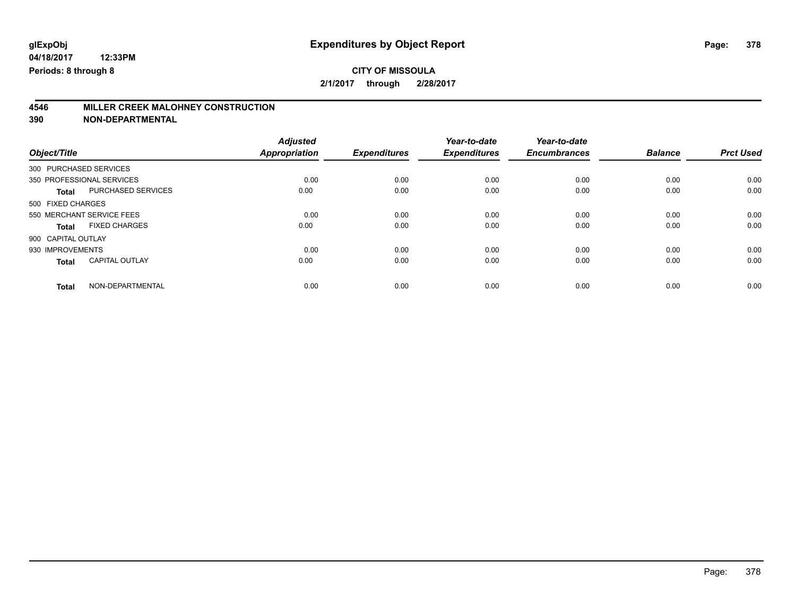### **CITY OF MISSOULA 2/1/2017 through 2/28/2017**

# **4546 MILLER CREEK MALOHNEY CONSTRUCTION**

|                                           | <b>Adjusted</b>      |                     | Year-to-date        | Year-to-date        |                |                  |
|-------------------------------------------|----------------------|---------------------|---------------------|---------------------|----------------|------------------|
| Object/Title                              | <b>Appropriation</b> | <b>Expenditures</b> | <b>Expenditures</b> | <b>Encumbrances</b> | <b>Balance</b> | <b>Prct Used</b> |
| 300 PURCHASED SERVICES                    |                      |                     |                     |                     |                |                  |
| 350 PROFESSIONAL SERVICES                 | 0.00                 | 0.00                | 0.00                | 0.00                | 0.00           | 0.00             |
| <b>PURCHASED SERVICES</b><br><b>Total</b> | 0.00                 | 0.00                | 0.00                | 0.00                | 0.00           | 0.00             |
| 500 FIXED CHARGES                         |                      |                     |                     |                     |                |                  |
| 550 MERCHANT SERVICE FEES                 | 0.00                 | 0.00                | 0.00                | 0.00                | 0.00           | 0.00             |
| <b>FIXED CHARGES</b><br><b>Total</b>      | 0.00                 | 0.00                | 0.00                | 0.00                | 0.00           | 0.00             |
| 900 CAPITAL OUTLAY                        |                      |                     |                     |                     |                |                  |
| 930 IMPROVEMENTS                          | 0.00                 | 0.00                | 0.00                | 0.00                | 0.00           | 0.00             |
| <b>CAPITAL OUTLAY</b><br><b>Total</b>     | 0.00                 | 0.00                | 0.00                | 0.00                | 0.00           | 0.00             |
| NON-DEPARTMENTAL<br><b>Total</b>          | 0.00                 | 0.00                | 0.00                | 0.00                | 0.00           | 0.00             |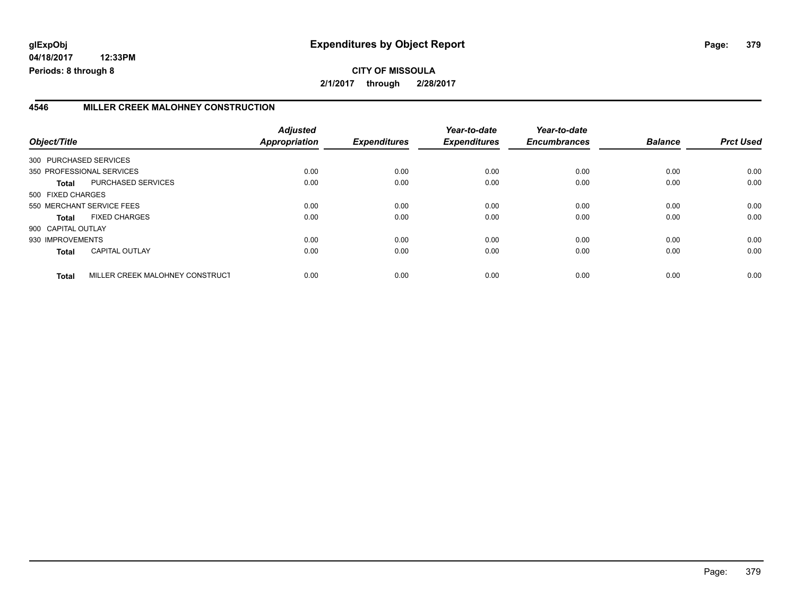# **glExpObj Expenditures by Object Report Page: 379**

**04/18/2017 12:33PM Periods: 8 through 8**

## **CITY OF MISSOULA 2/1/2017 through 2/28/2017**

#### **4546 MILLER CREEK MALOHNEY CONSTRUCTION**

| Object/Title           |                                 | <b>Adjusted</b><br>Appropriation | <b>Expenditures</b> | Year-to-date<br><b>Expenditures</b> | Year-to-date<br><b>Encumbrances</b> | <b>Balance</b> | <b>Prct Used</b> |
|------------------------|---------------------------------|----------------------------------|---------------------|-------------------------------------|-------------------------------------|----------------|------------------|
| 300 PURCHASED SERVICES |                                 |                                  |                     |                                     |                                     |                |                  |
|                        | 350 PROFESSIONAL SERVICES       | 0.00                             | 0.00                | 0.00                                | 0.00                                | 0.00           | 0.00             |
| Total                  | PURCHASED SERVICES              | 0.00                             | 0.00                | 0.00                                | 0.00                                | 0.00           | 0.00             |
| 500 FIXED CHARGES      |                                 |                                  |                     |                                     |                                     |                |                  |
|                        | 550 MERCHANT SERVICE FEES       | 0.00                             | 0.00                | 0.00                                | 0.00                                | 0.00           | 0.00             |
| <b>Total</b>           | <b>FIXED CHARGES</b>            | 0.00                             | 0.00                | 0.00                                | 0.00                                | 0.00           | 0.00             |
| 900 CAPITAL OUTLAY     |                                 |                                  |                     |                                     |                                     |                |                  |
| 930 IMPROVEMENTS       |                                 | 0.00                             | 0.00                | 0.00                                | 0.00                                | 0.00           | 0.00             |
| <b>Total</b>           | <b>CAPITAL OUTLAY</b>           | 0.00                             | 0.00                | 0.00                                | 0.00                                | 0.00           | 0.00             |
| <b>Total</b>           | MILLER CREEK MALOHNEY CONSTRUCT | 0.00                             | 0.00                | 0.00                                | 0.00                                | 0.00           | 0.00             |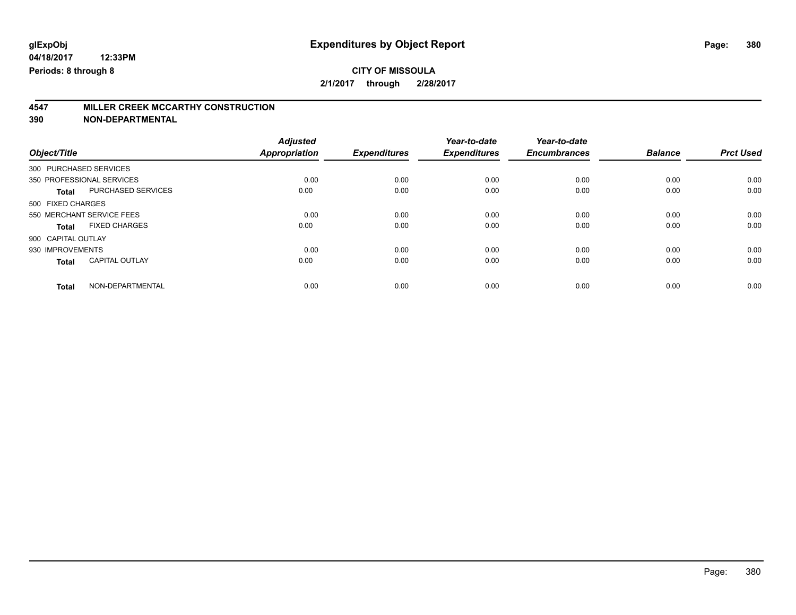### **CITY OF MISSOULA 2/1/2017 through 2/28/2017**

# **4547 MILLER CREEK MCCARTHY CONSTRUCTION**

| Object/Title                              | <b>Adjusted</b><br><b>Appropriation</b> | <b>Expenditures</b> | Year-to-date<br><b>Expenditures</b> | Year-to-date<br><b>Encumbrances</b> | <b>Balance</b> | <b>Prct Used</b> |
|-------------------------------------------|-----------------------------------------|---------------------|-------------------------------------|-------------------------------------|----------------|------------------|
|                                           |                                         |                     |                                     |                                     |                |                  |
| 300 PURCHASED SERVICES                    |                                         |                     |                                     |                                     |                |                  |
| 350 PROFESSIONAL SERVICES                 | 0.00                                    | 0.00                | 0.00                                | 0.00                                | 0.00           | 0.00             |
| <b>PURCHASED SERVICES</b><br><b>Total</b> | 0.00                                    | 0.00                | 0.00                                | 0.00                                | 0.00           | 0.00             |
| 500 FIXED CHARGES                         |                                         |                     |                                     |                                     |                |                  |
| 550 MERCHANT SERVICE FEES                 | 0.00                                    | 0.00                | 0.00                                | 0.00                                | 0.00           | 0.00             |
| <b>FIXED CHARGES</b><br><b>Total</b>      | 0.00                                    | 0.00                | 0.00                                | 0.00                                | 0.00           | 0.00             |
| 900 CAPITAL OUTLAY                        |                                         |                     |                                     |                                     |                |                  |
| 930 IMPROVEMENTS                          | 0.00                                    | 0.00                | 0.00                                | 0.00                                | 0.00           | 0.00             |
| <b>CAPITAL OUTLAY</b><br><b>Total</b>     | 0.00                                    | 0.00                | 0.00                                | 0.00                                | 0.00           | 0.00             |
| NON-DEPARTMENTAL<br><b>Total</b>          | 0.00                                    | 0.00                | 0.00                                | 0.00                                | 0.00           | 0.00             |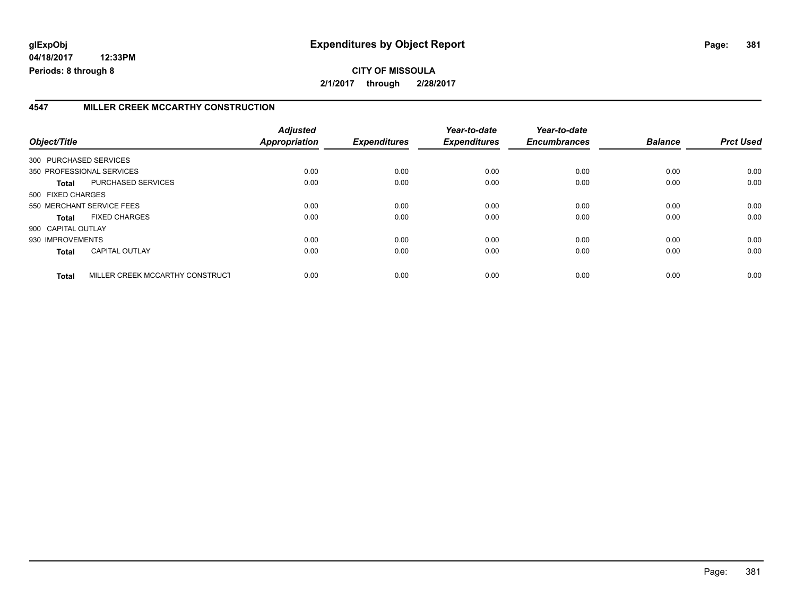# **glExpObj Expenditures by Object Report Page: 381**

**04/18/2017 12:33PM Periods: 8 through 8**

## **CITY OF MISSOULA 2/1/2017 through 2/28/2017**

### **4547 MILLER CREEK MCCARTHY CONSTRUCTION**

| Object/Title           |                                 | <b>Adjusted</b><br>Appropriation | <b>Expenditures</b> | Year-to-date<br><b>Expenditures</b> | Year-to-date<br><b>Encumbrances</b> | <b>Balance</b> | <b>Prct Used</b> |
|------------------------|---------------------------------|----------------------------------|---------------------|-------------------------------------|-------------------------------------|----------------|------------------|
| 300 PURCHASED SERVICES |                                 |                                  |                     |                                     |                                     |                |                  |
|                        | 350 PROFESSIONAL SERVICES       | 0.00                             | 0.00                | 0.00                                | 0.00                                | 0.00           | 0.00             |
| Total                  | PURCHASED SERVICES              | 0.00                             | 0.00                | 0.00                                | 0.00                                | 0.00           | 0.00             |
| 500 FIXED CHARGES      |                                 |                                  |                     |                                     |                                     |                |                  |
|                        | 550 MERCHANT SERVICE FEES       | 0.00                             | 0.00                | 0.00                                | 0.00                                | 0.00           | 0.00             |
| Total                  | <b>FIXED CHARGES</b>            | 0.00                             | 0.00                | 0.00                                | 0.00                                | 0.00           | 0.00             |
| 900 CAPITAL OUTLAY     |                                 |                                  |                     |                                     |                                     |                |                  |
| 930 IMPROVEMENTS       |                                 | 0.00                             | 0.00                | 0.00                                | 0.00                                | 0.00           | 0.00             |
| <b>Total</b>           | <b>CAPITAL OUTLAY</b>           | 0.00                             | 0.00                | 0.00                                | 0.00                                | 0.00           | 0.00             |
| <b>Total</b>           | MILLER CREEK MCCARTHY CONSTRUCT | 0.00                             | 0.00                | 0.00                                | 0.00                                | 0.00           | 0.00             |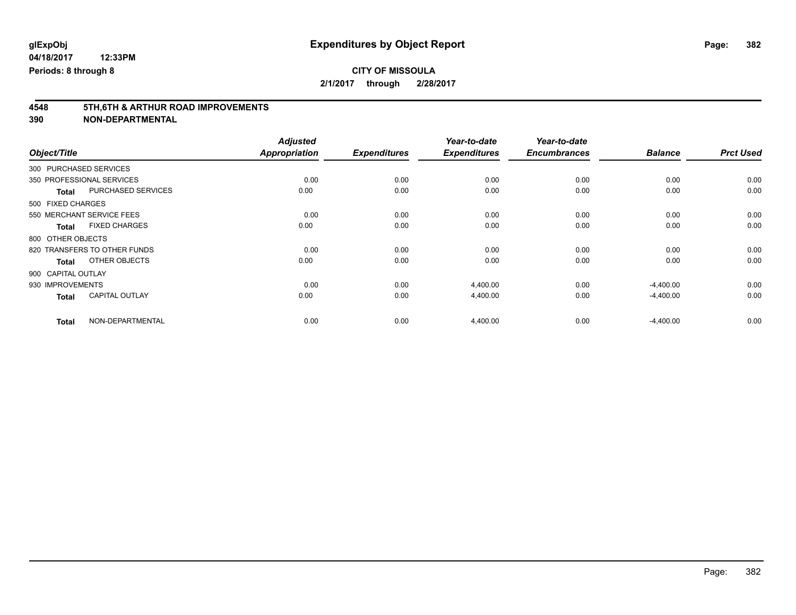| Object/Title                              | <b>Adjusted</b><br><b>Appropriation</b> | <b>Expenditures</b> | Year-to-date<br><b>Expenditures</b> | Year-to-date<br><b>Encumbrances</b> | <b>Balance</b> | <b>Prct Used</b> |
|-------------------------------------------|-----------------------------------------|---------------------|-------------------------------------|-------------------------------------|----------------|------------------|
| 300 PURCHASED SERVICES                    |                                         |                     |                                     |                                     |                |                  |
| 350 PROFESSIONAL SERVICES                 | 0.00                                    | 0.00                | 0.00                                | 0.00                                | 0.00           | 0.00             |
| <b>PURCHASED SERVICES</b><br><b>Total</b> | 0.00                                    | 0.00                | 0.00                                | 0.00                                | 0.00           | 0.00             |
| 500 FIXED CHARGES                         |                                         |                     |                                     |                                     |                |                  |
| 550 MERCHANT SERVICE FEES                 | 0.00                                    | 0.00                | 0.00                                | 0.00                                | 0.00           | 0.00             |
| <b>FIXED CHARGES</b><br><b>Total</b>      | 0.00                                    | 0.00                | 0.00                                | 0.00                                | 0.00           | 0.00             |
| 800 OTHER OBJECTS                         |                                         |                     |                                     |                                     |                |                  |
| 820 TRANSFERS TO OTHER FUNDS              | 0.00                                    | 0.00                | 0.00                                | 0.00                                | 0.00           | 0.00             |
| OTHER OBJECTS<br><b>Total</b>             | 0.00                                    | 0.00                | 0.00                                | 0.00                                | 0.00           | 0.00             |
| 900 CAPITAL OUTLAY                        |                                         |                     |                                     |                                     |                |                  |
| 930 IMPROVEMENTS                          | 0.00                                    | 0.00                | 4,400.00                            | 0.00                                | $-4,400.00$    | 0.00             |
| <b>CAPITAL OUTLAY</b><br><b>Total</b>     | 0.00                                    | 0.00                | 4,400.00                            | 0.00                                | $-4,400.00$    | 0.00             |
| NON-DEPARTMENTAL<br><b>Total</b>          | 0.00                                    | 0.00                | 4,400.00                            | 0.00                                | $-4,400.00$    | 0.00             |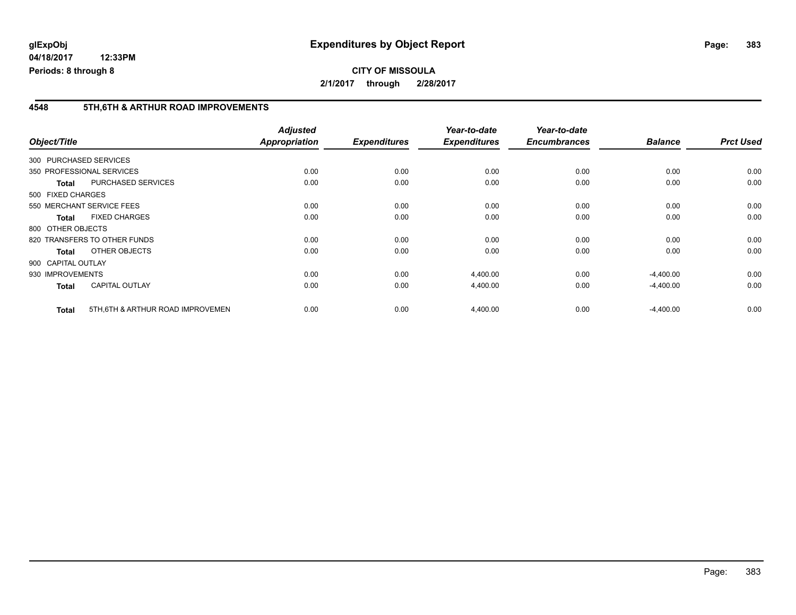#### **4548 5TH,6TH & ARTHUR ROAD IMPROVEMENTS**

| Object/Title       |                                   | <b>Adjusted</b><br>Appropriation | <b>Expenditures</b> | Year-to-date<br><b>Expenditures</b> | Year-to-date<br><b>Encumbrances</b> | <b>Balance</b> | <b>Prct Used</b> |
|--------------------|-----------------------------------|----------------------------------|---------------------|-------------------------------------|-------------------------------------|----------------|------------------|
|                    | 300 PURCHASED SERVICES            |                                  |                     |                                     |                                     |                |                  |
|                    | 350 PROFESSIONAL SERVICES         | 0.00                             | 0.00                | 0.00                                | 0.00                                | 0.00           | 0.00             |
| <b>Total</b>       | PURCHASED SERVICES                | 0.00                             | 0.00                | 0.00                                | 0.00                                | 0.00           | 0.00             |
| 500 FIXED CHARGES  |                                   |                                  |                     |                                     |                                     |                |                  |
|                    | 550 MERCHANT SERVICE FEES         | 0.00                             | 0.00                | 0.00                                | 0.00                                | 0.00           | 0.00             |
| <b>Total</b>       | <b>FIXED CHARGES</b>              | 0.00                             | 0.00                | 0.00                                | 0.00                                | 0.00           | 0.00             |
| 800 OTHER OBJECTS  |                                   |                                  |                     |                                     |                                     |                |                  |
|                    | 820 TRANSFERS TO OTHER FUNDS      | 0.00                             | 0.00                | 0.00                                | 0.00                                | 0.00           | 0.00             |
| <b>Total</b>       | OTHER OBJECTS                     | 0.00                             | 0.00                | 0.00                                | 0.00                                | 0.00           | 0.00             |
| 900 CAPITAL OUTLAY |                                   |                                  |                     |                                     |                                     |                |                  |
| 930 IMPROVEMENTS   |                                   | 0.00                             | 0.00                | 4,400.00                            | 0.00                                | $-4,400.00$    | 0.00             |
| <b>Total</b>       | <b>CAPITAL OUTLAY</b>             | 0.00                             | 0.00                | 4,400.00                            | 0.00                                | $-4,400.00$    | 0.00             |
| <b>Total</b>       | 5TH, 6TH & ARTHUR ROAD IMPROVEMEN | 0.00                             | 0.00                | 4,400.00                            | 0.00                                | $-4,400.00$    | 0.00             |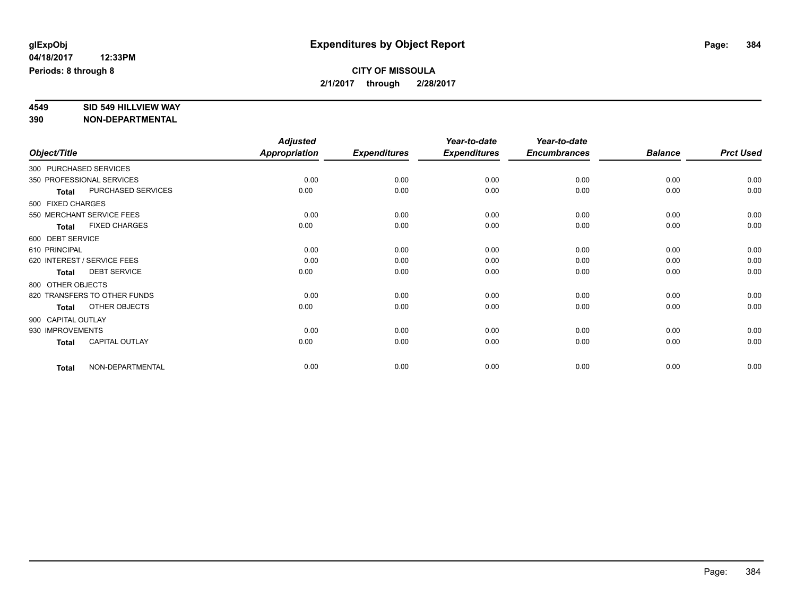## **CITY OF MISSOULA 2/1/2017 through 2/28/2017**

# **4549 SID 549 HILLVIEW WAY**

|                    |                              | <b>Adjusted</b>      |                     | Year-to-date        | Year-to-date        |                |                  |
|--------------------|------------------------------|----------------------|---------------------|---------------------|---------------------|----------------|------------------|
| Object/Title       |                              | <b>Appropriation</b> | <b>Expenditures</b> | <b>Expenditures</b> | <b>Encumbrances</b> | <b>Balance</b> | <b>Prct Used</b> |
|                    | 300 PURCHASED SERVICES       |                      |                     |                     |                     |                |                  |
|                    | 350 PROFESSIONAL SERVICES    | 0.00                 | 0.00                | 0.00                | 0.00                | 0.00           | 0.00             |
| <b>Total</b>       | PURCHASED SERVICES           | 0.00                 | 0.00                | 0.00                | 0.00                | 0.00           | 0.00             |
| 500 FIXED CHARGES  |                              |                      |                     |                     |                     |                |                  |
|                    | 550 MERCHANT SERVICE FEES    | 0.00                 | 0.00                | 0.00                | 0.00                | 0.00           | 0.00             |
| <b>Total</b>       | <b>FIXED CHARGES</b>         | 0.00                 | 0.00                | 0.00                | 0.00                | 0.00           | 0.00             |
| 600 DEBT SERVICE   |                              |                      |                     |                     |                     |                |                  |
| 610 PRINCIPAL      |                              | 0.00                 | 0.00                | 0.00                | 0.00                | 0.00           | 0.00             |
|                    | 620 INTEREST / SERVICE FEES  | 0.00                 | 0.00                | 0.00                | 0.00                | 0.00           | 0.00             |
| <b>Total</b>       | <b>DEBT SERVICE</b>          | 0.00                 | 0.00                | 0.00                | 0.00                | 0.00           | 0.00             |
| 800 OTHER OBJECTS  |                              |                      |                     |                     |                     |                |                  |
|                    | 820 TRANSFERS TO OTHER FUNDS | 0.00                 | 0.00                | 0.00                | 0.00                | 0.00           | 0.00             |
| <b>Total</b>       | OTHER OBJECTS                | 0.00                 | 0.00                | 0.00                | 0.00                | 0.00           | 0.00             |
| 900 CAPITAL OUTLAY |                              |                      |                     |                     |                     |                |                  |
| 930 IMPROVEMENTS   |                              | 0.00                 | 0.00                | 0.00                | 0.00                | 0.00           | 0.00             |
| <b>Total</b>       | <b>CAPITAL OUTLAY</b>        | 0.00                 | 0.00                | 0.00                | 0.00                | 0.00           | 0.00             |
| <b>Total</b>       | NON-DEPARTMENTAL             | 0.00                 | 0.00                | 0.00                | 0.00                | 0.00           | 0.00             |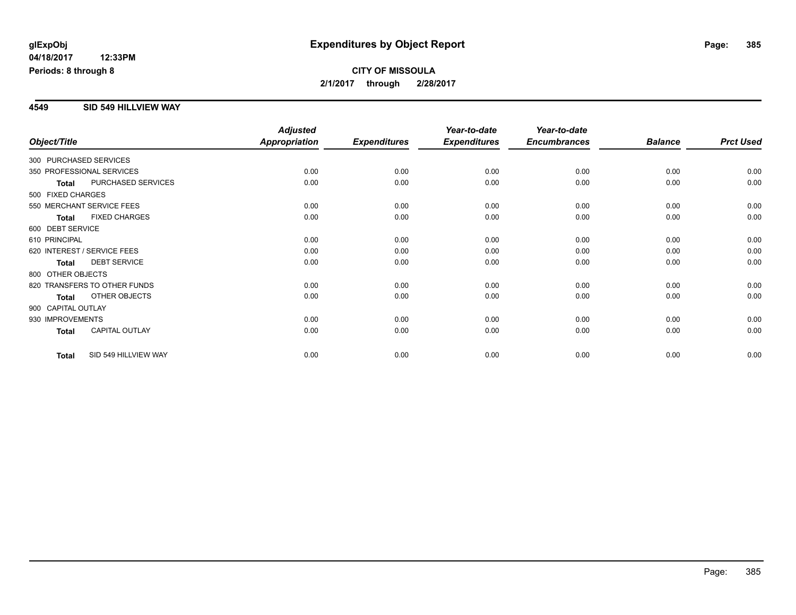## **CITY OF MISSOULA 2/1/2017 through 2/28/2017**

#### **4549 SID 549 HILLVIEW WAY**

|                        |                              | <b>Adjusted</b>      |                     | Year-to-date        | Year-to-date        |                |                  |
|------------------------|------------------------------|----------------------|---------------------|---------------------|---------------------|----------------|------------------|
| Object/Title           |                              | <b>Appropriation</b> | <b>Expenditures</b> | <b>Expenditures</b> | <b>Encumbrances</b> | <b>Balance</b> | <b>Prct Used</b> |
| 300 PURCHASED SERVICES |                              |                      |                     |                     |                     |                |                  |
|                        | 350 PROFESSIONAL SERVICES    | 0.00                 | 0.00                | 0.00                | 0.00                | 0.00           | 0.00             |
| <b>Total</b>           | PURCHASED SERVICES           | 0.00                 | 0.00                | 0.00                | 0.00                | 0.00           | 0.00             |
| 500 FIXED CHARGES      |                              |                      |                     |                     |                     |                |                  |
|                        | 550 MERCHANT SERVICE FEES    | 0.00                 | 0.00                | 0.00                | 0.00                | 0.00           | 0.00             |
| <b>Total</b>           | <b>FIXED CHARGES</b>         | 0.00                 | 0.00                | 0.00                | 0.00                | 0.00           | 0.00             |
| 600 DEBT SERVICE       |                              |                      |                     |                     |                     |                |                  |
| 610 PRINCIPAL          |                              | 0.00                 | 0.00                | 0.00                | 0.00                | 0.00           | 0.00             |
|                        | 620 INTEREST / SERVICE FEES  | 0.00                 | 0.00                | 0.00                | 0.00                | 0.00           | 0.00             |
| <b>Total</b>           | <b>DEBT SERVICE</b>          | 0.00                 | 0.00                | 0.00                | 0.00                | 0.00           | 0.00             |
| 800 OTHER OBJECTS      |                              |                      |                     |                     |                     |                |                  |
|                        | 820 TRANSFERS TO OTHER FUNDS | 0.00                 | 0.00                | 0.00                | 0.00                | 0.00           | 0.00             |
| <b>Total</b>           | OTHER OBJECTS                | 0.00                 | 0.00                | 0.00                | 0.00                | 0.00           | 0.00             |
| 900 CAPITAL OUTLAY     |                              |                      |                     |                     |                     |                |                  |
| 930 IMPROVEMENTS       |                              | 0.00                 | 0.00                | 0.00                | 0.00                | 0.00           | 0.00             |
| <b>Total</b>           | <b>CAPITAL OUTLAY</b>        | 0.00                 | 0.00                | 0.00                | 0.00                | 0.00           | 0.00             |
| <b>Total</b>           | SID 549 HILLVIEW WAY         | 0.00                 | 0.00                | 0.00                | 0.00                | 0.00           | 0.00             |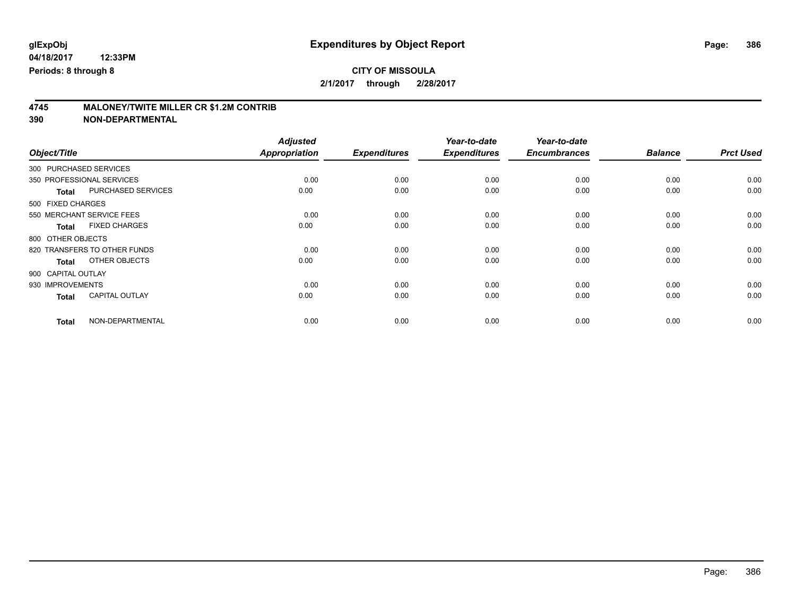# **4745 MALONEY/TWITE MILLER CR \$1.2M CONTRIB**

| Object/Title                              | <b>Adjusted</b><br><b>Appropriation</b> | <b>Expenditures</b> | Year-to-date<br><b>Expenditures</b> | Year-to-date<br><b>Encumbrances</b> | <b>Balance</b> | <b>Prct Used</b> |
|-------------------------------------------|-----------------------------------------|---------------------|-------------------------------------|-------------------------------------|----------------|------------------|
| 300 PURCHASED SERVICES                    |                                         |                     |                                     |                                     |                |                  |
| 350 PROFESSIONAL SERVICES                 | 0.00                                    | 0.00                | 0.00                                | 0.00                                | 0.00           | 0.00             |
| <b>PURCHASED SERVICES</b><br><b>Total</b> | 0.00                                    | 0.00                | 0.00                                | 0.00                                | 0.00           | 0.00             |
| 500 FIXED CHARGES                         |                                         |                     |                                     |                                     |                |                  |
| 550 MERCHANT SERVICE FEES                 | 0.00                                    | 0.00                | 0.00                                | 0.00                                | 0.00           | 0.00             |
| <b>FIXED CHARGES</b><br><b>Total</b>      | 0.00                                    | 0.00                | 0.00                                | 0.00                                | 0.00           | 0.00             |
| 800 OTHER OBJECTS                         |                                         |                     |                                     |                                     |                |                  |
| 820 TRANSFERS TO OTHER FUNDS              | 0.00                                    | 0.00                | 0.00                                | 0.00                                | 0.00           | 0.00             |
| OTHER OBJECTS<br><b>Total</b>             | 0.00                                    | 0.00                | 0.00                                | 0.00                                | 0.00           | 0.00             |
| 900 CAPITAL OUTLAY                        |                                         |                     |                                     |                                     |                |                  |
| 930 IMPROVEMENTS                          | 0.00                                    | 0.00                | 0.00                                | 0.00                                | 0.00           | 0.00             |
| <b>CAPITAL OUTLAY</b><br><b>Total</b>     | 0.00                                    | 0.00                | 0.00                                | 0.00                                | 0.00           | 0.00             |
| NON-DEPARTMENTAL<br><b>Total</b>          | 0.00                                    | 0.00                | 0.00                                | 0.00                                | 0.00           | 0.00             |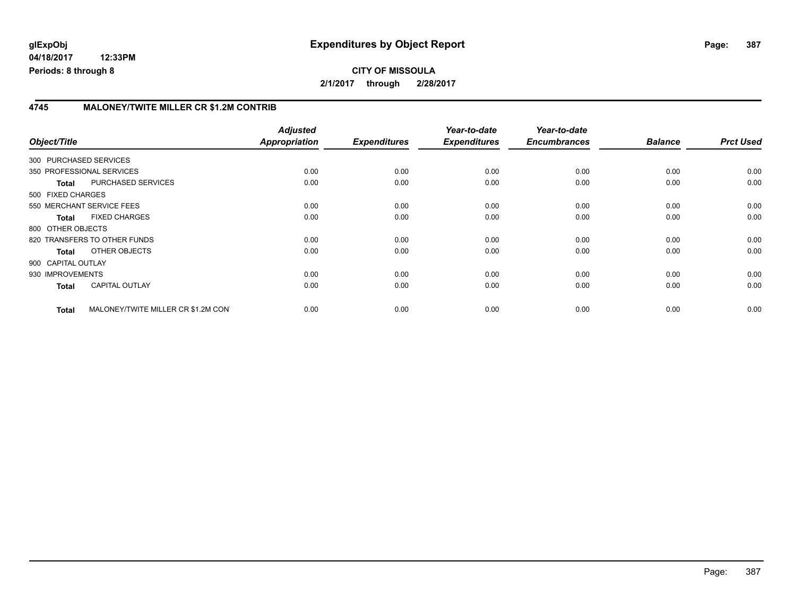## **CITY OF MISSOULA 2/1/2017 through 2/28/2017**

#### **4745 MALONEY/TWITE MILLER CR \$1.2M CONTRIB**

| Object/Title           |                                     | <b>Adjusted</b><br>Appropriation | <b>Expenditures</b> | Year-to-date<br><b>Expenditures</b> | Year-to-date<br><b>Encumbrances</b> | <b>Balance</b> | <b>Prct Used</b> |
|------------------------|-------------------------------------|----------------------------------|---------------------|-------------------------------------|-------------------------------------|----------------|------------------|
| 300 PURCHASED SERVICES |                                     |                                  |                     |                                     |                                     |                |                  |
|                        | 350 PROFESSIONAL SERVICES           | 0.00                             | 0.00                | 0.00                                | 0.00                                | 0.00           | 0.00             |
| <b>Total</b>           | PURCHASED SERVICES                  | 0.00                             | 0.00                | 0.00                                | 0.00                                | 0.00           | 0.00             |
| 500 FIXED CHARGES      |                                     |                                  |                     |                                     |                                     |                |                  |
|                        | 550 MERCHANT SERVICE FEES           | 0.00                             | 0.00                | 0.00                                | 0.00                                | 0.00           | 0.00             |
| <b>Total</b>           | <b>FIXED CHARGES</b>                | 0.00                             | 0.00                | 0.00                                | 0.00                                | 0.00           | 0.00             |
| 800 OTHER OBJECTS      |                                     |                                  |                     |                                     |                                     |                |                  |
|                        | 820 TRANSFERS TO OTHER FUNDS        | 0.00                             | 0.00                | 0.00                                | 0.00                                | 0.00           | 0.00             |
| Total                  | OTHER OBJECTS                       | 0.00                             | 0.00                | 0.00                                | 0.00                                | 0.00           | 0.00             |
| 900 CAPITAL OUTLAY     |                                     |                                  |                     |                                     |                                     |                |                  |
| 930 IMPROVEMENTS       |                                     | 0.00                             | 0.00                | 0.00                                | 0.00                                | 0.00           | 0.00             |
| <b>Total</b>           | <b>CAPITAL OUTLAY</b>               | 0.00                             | 0.00                | 0.00                                | 0.00                                | 0.00           | 0.00             |
| <b>Total</b>           | MALONEY/TWITE MILLER CR \$1.2M CONT | 0.00                             | 0.00                | 0.00                                | 0.00                                | 0.00           | 0.00             |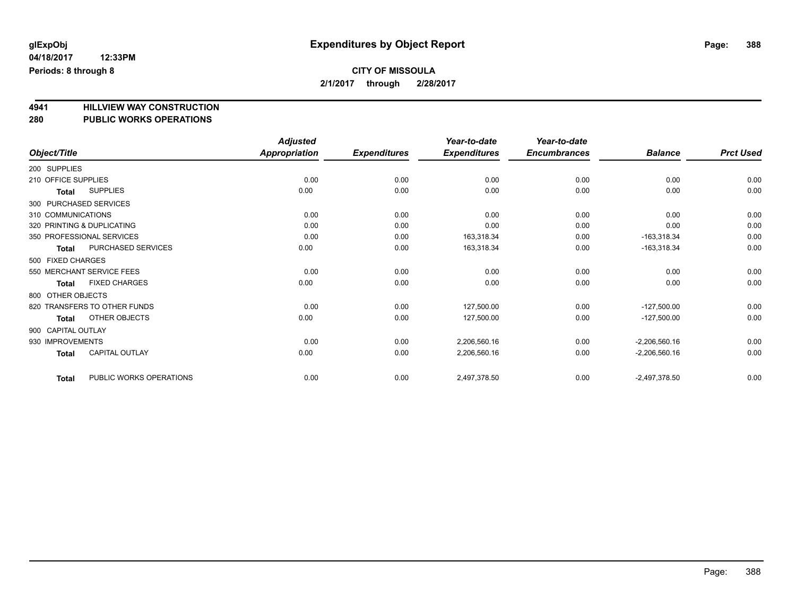**2/1/2017 through 2/28/2017**

**4941 HILLVIEW WAY CONSTRUCTION**

## **280 PUBLIC WORKS OPERATIONS**

|                                         | <b>Adjusted</b>      |                     | Year-to-date        | Year-to-date        |                 |                  |
|-----------------------------------------|----------------------|---------------------|---------------------|---------------------|-----------------|------------------|
| Object/Title                            | <b>Appropriation</b> | <b>Expenditures</b> | <b>Expenditures</b> | <b>Encumbrances</b> | <b>Balance</b>  | <b>Prct Used</b> |
| 200 SUPPLIES                            |                      |                     |                     |                     |                 |                  |
| 210 OFFICE SUPPLIES                     | 0.00                 | 0.00                | 0.00                | 0.00                | 0.00            | 0.00             |
| <b>SUPPLIES</b><br><b>Total</b>         | 0.00                 | 0.00                | 0.00                | 0.00                | 0.00            | 0.00             |
| 300 PURCHASED SERVICES                  |                      |                     |                     |                     |                 |                  |
| 310 COMMUNICATIONS                      | 0.00                 | 0.00                | 0.00                | 0.00                | 0.00            | 0.00             |
| 320 PRINTING & DUPLICATING              | 0.00                 | 0.00                | 0.00                | 0.00                | 0.00            | 0.00             |
| 350 PROFESSIONAL SERVICES               | 0.00                 | 0.00                | 163,318.34          | 0.00                | $-163,318.34$   | 0.00             |
| PURCHASED SERVICES<br>Total             | 0.00                 | 0.00                | 163,318.34          | 0.00                | $-163,318.34$   | 0.00             |
| 500 FIXED CHARGES                       |                      |                     |                     |                     |                 |                  |
| 550 MERCHANT SERVICE FEES               | 0.00                 | 0.00                | 0.00                | 0.00                | 0.00            | 0.00             |
| <b>FIXED CHARGES</b><br><b>Total</b>    | 0.00                 | 0.00                | 0.00                | 0.00                | 0.00            | 0.00             |
| 800 OTHER OBJECTS                       |                      |                     |                     |                     |                 |                  |
| 820 TRANSFERS TO OTHER FUNDS            | 0.00                 | 0.00                | 127,500.00          | 0.00                | $-127,500.00$   | 0.00             |
| OTHER OBJECTS<br>Total                  | 0.00                 | 0.00                | 127,500.00          | 0.00                | $-127,500.00$   | 0.00             |
| 900 CAPITAL OUTLAY                      |                      |                     |                     |                     |                 |                  |
| 930 IMPROVEMENTS                        | 0.00                 | 0.00                | 2,206,560.16        | 0.00                | $-2,206,560.16$ | 0.00             |
| CAPITAL OUTLAY<br>Total                 | 0.00                 | 0.00                | 2,206,560.16        | 0.00                | $-2,206,560.16$ | 0.00             |
| PUBLIC WORKS OPERATIONS<br><b>Total</b> | 0.00                 | 0.00                | 2,497,378.50        | 0.00                | $-2,497,378.50$ | 0.00             |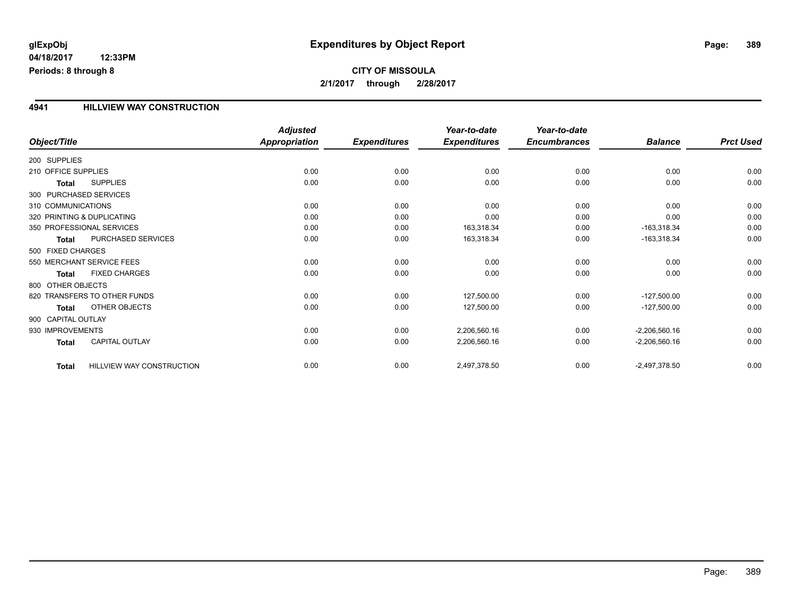# **glExpObj Expenditures by Object Report Page: 389**

**04/18/2017 12:33PM Periods: 8 through 8**

#### **4941 HILLVIEW WAY CONSTRUCTION**

|                            |                              | <b>Adjusted</b>      |                     | Year-to-date        | Year-to-date        |                 |                  |
|----------------------------|------------------------------|----------------------|---------------------|---------------------|---------------------|-----------------|------------------|
| Object/Title               |                              | <b>Appropriation</b> | <b>Expenditures</b> | <b>Expenditures</b> | <b>Encumbrances</b> | <b>Balance</b>  | <b>Prct Used</b> |
| 200 SUPPLIES               |                              |                      |                     |                     |                     |                 |                  |
| 210 OFFICE SUPPLIES        |                              | 0.00                 | 0.00                | 0.00                | 0.00                | 0.00            | 0.00             |
| <b>Total</b>               | <b>SUPPLIES</b>              | 0.00                 | 0.00                | 0.00                | 0.00                | 0.00            | 0.00             |
| 300 PURCHASED SERVICES     |                              |                      |                     |                     |                     |                 |                  |
| 310 COMMUNICATIONS         |                              | 0.00                 | 0.00                | 0.00                | 0.00                | 0.00            | 0.00             |
| 320 PRINTING & DUPLICATING |                              | 0.00                 | 0.00                | 0.00                | 0.00                | 0.00            | 0.00             |
| 350 PROFESSIONAL SERVICES  |                              | 0.00                 | 0.00                | 163,318.34          | 0.00                | $-163,318.34$   | 0.00             |
| <b>Total</b>               | PURCHASED SERVICES           | 0.00                 | 0.00                | 163,318.34          | 0.00                | $-163,318.34$   | 0.00             |
| 500 FIXED CHARGES          |                              |                      |                     |                     |                     |                 |                  |
| 550 MERCHANT SERVICE FEES  |                              | 0.00                 | 0.00                | 0.00                | 0.00                | 0.00            | 0.00             |
| <b>Total</b>               | <b>FIXED CHARGES</b>         | 0.00                 | 0.00                | 0.00                | 0.00                | 0.00            | 0.00             |
| 800 OTHER OBJECTS          |                              |                      |                     |                     |                     |                 |                  |
|                            | 820 TRANSFERS TO OTHER FUNDS | 0.00                 | 0.00                | 127,500.00          | 0.00                | $-127,500.00$   | 0.00             |
| <b>Total</b>               | <b>OTHER OBJECTS</b>         | 0.00                 | 0.00                | 127,500.00          | 0.00                | $-127,500.00$   | 0.00             |
| 900 CAPITAL OUTLAY         |                              |                      |                     |                     |                     |                 |                  |
| 930 IMPROVEMENTS           |                              | 0.00                 | 0.00                | 2,206,560.16        | 0.00                | $-2,206,560.16$ | 0.00             |
| <b>Total</b>               | <b>CAPITAL OUTLAY</b>        | 0.00                 | 0.00                | 2,206,560.16        | 0.00                | $-2,206,560.16$ | 0.00             |
| <b>Total</b>               | HILLVIEW WAY CONSTRUCTION    | 0.00                 | 0.00                | 2,497,378.50        | 0.00                | $-2,497,378.50$ | 0.00             |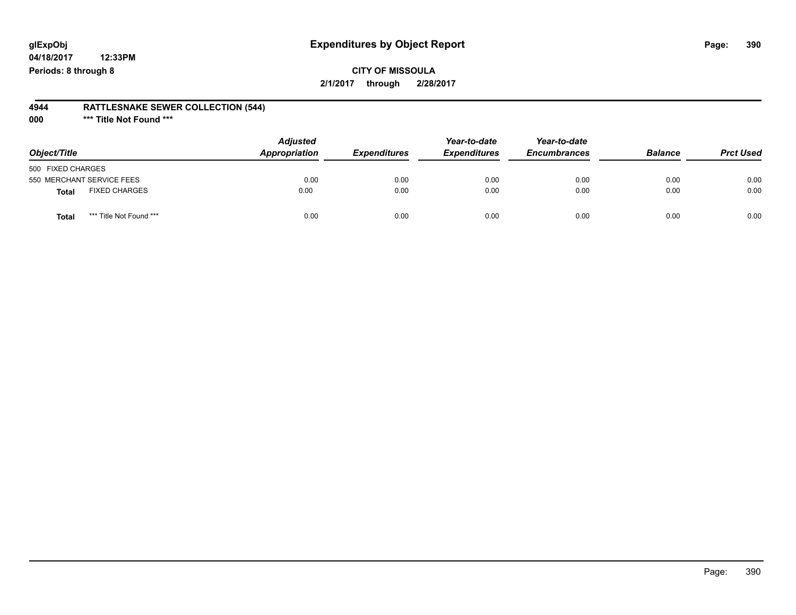## **glExpObj Expenditures by Object Report Page: 390**

**04/18/2017 12:33PM Periods: 8 through 8**

#### **4944 RATTLESNAKE SEWER COLLECTION (544)**

**000 \*\*\* Title Not Found \*\*\***

| Object/Title                            | <b>Adjusted</b><br>Appropriation | <b>Expenditures</b> | Year-to-date<br><b>Expenditures</b> | Year-to-date<br><b>Encumbrances</b> | <b>Balance</b> | <b>Prct Used</b> |
|-----------------------------------------|----------------------------------|---------------------|-------------------------------------|-------------------------------------|----------------|------------------|
| 500 FIXED CHARGES                       |                                  |                     |                                     |                                     |                |                  |
| 550 MERCHANT SERVICE FEES               | 0.00                             | 0.00                | 0.00                                | 0.00                                | 0.00           | 0.00             |
| <b>FIXED CHARGES</b><br><b>Total</b>    | 0.00                             | 0.00                | 0.00                                | 0.00                                | 0.00           | 0.00             |
| *** Title Not Found ***<br><b>Total</b> | 0.00                             | 0.00                | 0.00                                | 0.00                                | 0.00           | 0.00             |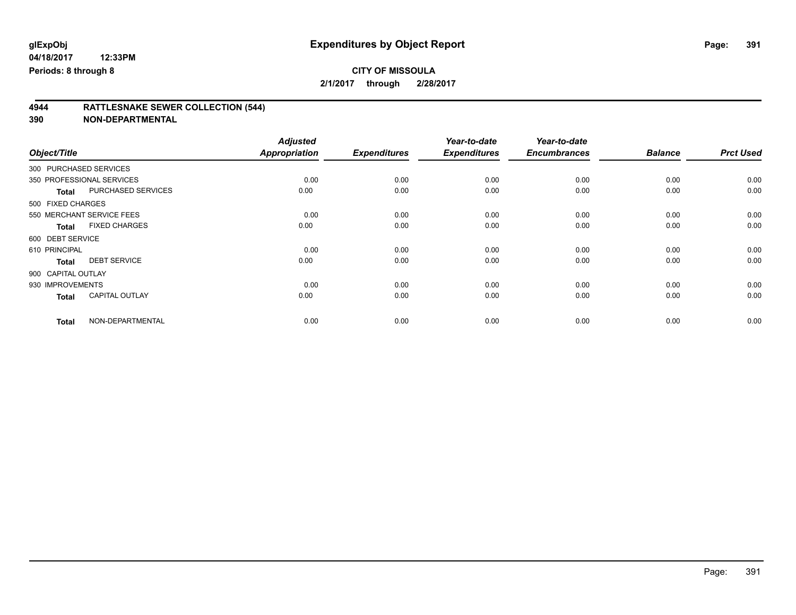|                    |                           | <b>Adjusted</b>      |                     | Year-to-date        | Year-to-date        |                |                  |
|--------------------|---------------------------|----------------------|---------------------|---------------------|---------------------|----------------|------------------|
| Object/Title       |                           | <b>Appropriation</b> | <b>Expenditures</b> | <b>Expenditures</b> | <b>Encumbrances</b> | <b>Balance</b> | <b>Prct Used</b> |
|                    | 300 PURCHASED SERVICES    |                      |                     |                     |                     |                |                  |
|                    | 350 PROFESSIONAL SERVICES | 0.00                 | 0.00                | 0.00                | 0.00                | 0.00           | 0.00             |
| <b>Total</b>       | PURCHASED SERVICES        | 0.00                 | 0.00                | 0.00                | 0.00                | 0.00           | 0.00             |
| 500 FIXED CHARGES  |                           |                      |                     |                     |                     |                |                  |
|                    | 550 MERCHANT SERVICE FEES | 0.00                 | 0.00                | 0.00                | 0.00                | 0.00           | 0.00             |
| <b>Total</b>       | <b>FIXED CHARGES</b>      | 0.00                 | 0.00                | 0.00                | 0.00                | 0.00           | 0.00             |
| 600 DEBT SERVICE   |                           |                      |                     |                     |                     |                |                  |
| 610 PRINCIPAL      |                           | 0.00                 | 0.00                | 0.00                | 0.00                | 0.00           | 0.00             |
| <b>Total</b>       | <b>DEBT SERVICE</b>       | 0.00                 | 0.00                | 0.00                | 0.00                | 0.00           | 0.00             |
| 900 CAPITAL OUTLAY |                           |                      |                     |                     |                     |                |                  |
| 930 IMPROVEMENTS   |                           | 0.00                 | 0.00                | 0.00                | 0.00                | 0.00           | 0.00             |
| <b>Total</b>       | <b>CAPITAL OUTLAY</b>     | 0.00                 | 0.00                | 0.00                | 0.00                | 0.00           | 0.00             |
| <b>Total</b>       | NON-DEPARTMENTAL          | 0.00                 | 0.00                | 0.00                | 0.00                | 0.00           | 0.00             |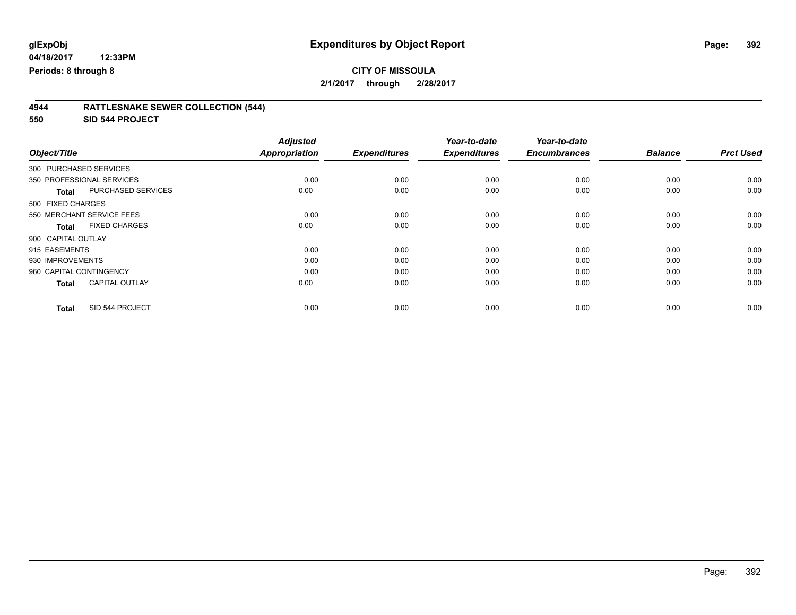# **CITY OF MISSOULA**

**2/1/2017 through 2/28/2017**

#### **4944 RATTLESNAKE SEWER COLLECTION (544)**

**550 SID 544 PROJECT**

| Object/Title                              | <b>Adjusted</b><br><b>Appropriation</b> | <b>Expenditures</b> | Year-to-date<br><b>Expenditures</b> | Year-to-date<br><b>Encumbrances</b> | <b>Balance</b> | <b>Prct Used</b> |
|-------------------------------------------|-----------------------------------------|---------------------|-------------------------------------|-------------------------------------|----------------|------------------|
| 300 PURCHASED SERVICES                    |                                         |                     |                                     |                                     |                |                  |
|                                           |                                         |                     |                                     |                                     |                |                  |
| 350 PROFESSIONAL SERVICES                 | 0.00                                    | 0.00                | 0.00                                | 0.00                                | 0.00           | 0.00             |
| <b>PURCHASED SERVICES</b><br><b>Total</b> | 0.00                                    | 0.00                | 0.00                                | 0.00                                | 0.00           | 0.00             |
| 500 FIXED CHARGES                         |                                         |                     |                                     |                                     |                |                  |
| 550 MERCHANT SERVICE FEES                 | 0.00                                    | 0.00                | 0.00                                | 0.00                                | 0.00           | 0.00             |
| <b>FIXED CHARGES</b><br><b>Total</b>      | 0.00                                    | 0.00                | 0.00                                | 0.00                                | 0.00           | 0.00             |
| 900 CAPITAL OUTLAY                        |                                         |                     |                                     |                                     |                |                  |
| 915 EASEMENTS                             | 0.00                                    | 0.00                | 0.00                                | 0.00                                | 0.00           | 0.00             |
| 930 IMPROVEMENTS                          | 0.00                                    | 0.00                | 0.00                                | 0.00                                | 0.00           | 0.00             |
| 960 CAPITAL CONTINGENCY                   | 0.00                                    | 0.00                | 0.00                                | 0.00                                | 0.00           | 0.00             |
| <b>CAPITAL OUTLAY</b><br><b>Total</b>     | 0.00                                    | 0.00                | 0.00                                | 0.00                                | 0.00           | 0.00             |
|                                           |                                         |                     |                                     |                                     |                |                  |
| SID 544 PROJECT<br><b>Total</b>           | 0.00                                    | 0.00                | 0.00                                | 0.00                                | 0.00           | 0.00             |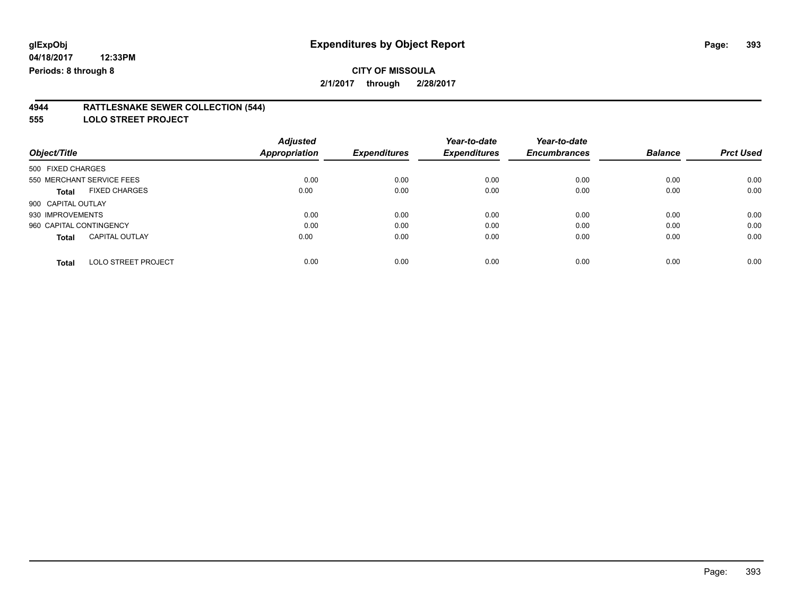#### **4944 RATTLESNAKE SEWER COLLECTION (544)**

**555 LOLO STREET PROJECT**

|                                            | <b>Adjusted</b> |                     | Year-to-date        | Year-to-date        |                |                  |
|--------------------------------------------|-----------------|---------------------|---------------------|---------------------|----------------|------------------|
| Object/Title                               | Appropriation   | <b>Expenditures</b> | <b>Expenditures</b> | <b>Encumbrances</b> | <b>Balance</b> | <b>Prct Used</b> |
| 500 FIXED CHARGES                          |                 |                     |                     |                     |                |                  |
| 550 MERCHANT SERVICE FEES                  | 0.00            | 0.00                | 0.00                | 0.00                | 0.00           | 0.00             |
| <b>FIXED CHARGES</b><br><b>Total</b>       | 0.00            | 0.00                | 0.00                | 0.00                | 0.00           | 0.00             |
| 900 CAPITAL OUTLAY                         |                 |                     |                     |                     |                |                  |
| 930 IMPROVEMENTS                           | 0.00            | 0.00                | 0.00                | 0.00                | 0.00           | 0.00             |
| 960 CAPITAL CONTINGENCY                    | 0.00            | 0.00                | 0.00                | 0.00                | 0.00           | 0.00             |
| <b>CAPITAL OUTLAY</b><br><b>Total</b>      | 0.00            | 0.00                | 0.00                | 0.00                | 0.00           | 0.00             |
| <b>LOLO STREET PROJECT</b><br><b>Total</b> | 0.00            | 0.00                | 0.00                | 0.00                | 0.00           | 0.00             |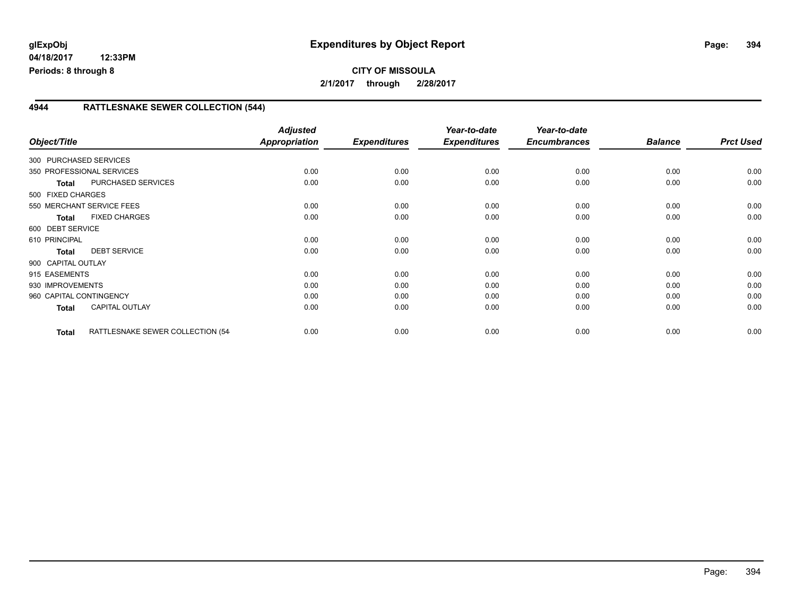### **4944 RATTLESNAKE SEWER COLLECTION (544)**

| Object/Title            |                                  | <b>Adjusted</b><br>Appropriation | <b>Expenditures</b> | Year-to-date<br><b>Expenditures</b> | Year-to-date<br><b>Encumbrances</b> | <b>Balance</b> | <b>Prct Used</b> |
|-------------------------|----------------------------------|----------------------------------|---------------------|-------------------------------------|-------------------------------------|----------------|------------------|
| 300 PURCHASED SERVICES  |                                  |                                  |                     |                                     |                                     |                |                  |
|                         | 350 PROFESSIONAL SERVICES        | 0.00                             | 0.00                | 0.00                                | 0.00                                | 0.00           | 0.00             |
| <b>Total</b>            | PURCHASED SERVICES               | 0.00                             | 0.00                | 0.00                                | 0.00                                | 0.00           | 0.00             |
| 500 FIXED CHARGES       |                                  |                                  |                     |                                     |                                     |                |                  |
|                         | 550 MERCHANT SERVICE FEES        | 0.00                             | 0.00                | 0.00                                | 0.00                                | 0.00           | 0.00             |
| <b>Total</b>            | <b>FIXED CHARGES</b>             | 0.00                             | 0.00                | 0.00                                | 0.00                                | 0.00           | 0.00             |
| 600 DEBT SERVICE        |                                  |                                  |                     |                                     |                                     |                |                  |
| 610 PRINCIPAL           |                                  | 0.00                             | 0.00                | 0.00                                | 0.00                                | 0.00           | 0.00             |
| <b>Total</b>            | <b>DEBT SERVICE</b>              | 0.00                             | 0.00                | 0.00                                | 0.00                                | 0.00           | 0.00             |
| 900 CAPITAL OUTLAY      |                                  |                                  |                     |                                     |                                     |                |                  |
| 915 EASEMENTS           |                                  | 0.00                             | 0.00                | 0.00                                | 0.00                                | 0.00           | 0.00             |
| 930 IMPROVEMENTS        |                                  | 0.00                             | 0.00                | 0.00                                | 0.00                                | 0.00           | 0.00             |
| 960 CAPITAL CONTINGENCY |                                  | 0.00                             | 0.00                | 0.00                                | 0.00                                | 0.00           | 0.00             |
| <b>Total</b>            | <b>CAPITAL OUTLAY</b>            | 0.00                             | 0.00                | 0.00                                | 0.00                                | 0.00           | 0.00             |
| <b>Total</b>            | RATTLESNAKE SEWER COLLECTION (54 | 0.00                             | 0.00                | 0.00                                | 0.00                                | 0.00           | 0.00             |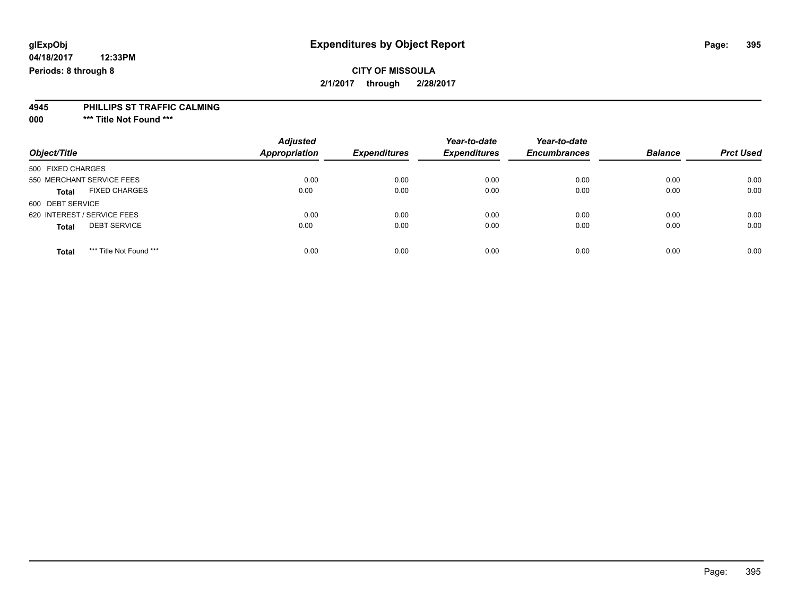# **glExpObj Expenditures by Object Report Page: 395**

**04/18/2017 12:33PM Periods: 8 through 8**

#### **4945 PHILLIPS ST TRAFFIC CALMING**

**000 \*\*\* Title Not Found \*\*\***

| Object/Title                            | <b>Adjusted</b><br>Appropriation | <b>Expenditures</b> | Year-to-date<br><b>Expenditures</b> | Year-to-date<br><b>Encumbrances</b> | <b>Balance</b> | <b>Prct Used</b> |
|-----------------------------------------|----------------------------------|---------------------|-------------------------------------|-------------------------------------|----------------|------------------|
| 500 FIXED CHARGES                       |                                  |                     |                                     |                                     |                |                  |
| 550 MERCHANT SERVICE FEES               | 0.00                             | 0.00                | 0.00                                | 0.00                                | 0.00           | 0.00             |
| <b>FIXED CHARGES</b><br><b>Total</b>    | 0.00                             | 0.00                | 0.00                                | 0.00                                | 0.00           | 0.00             |
| 600 DEBT SERVICE                        |                                  |                     |                                     |                                     |                |                  |
| 620 INTEREST / SERVICE FEES             | 0.00                             | 0.00                | 0.00                                | 0.00                                | 0.00           | 0.00             |
| <b>DEBT SERVICE</b><br><b>Total</b>     | 0.00                             | 0.00                | 0.00                                | 0.00                                | 0.00           | 0.00             |
| *** Title Not Found ***<br><b>Total</b> | 0.00                             | 0.00                | 0.00                                | 0.00                                | 0.00           | 0.00             |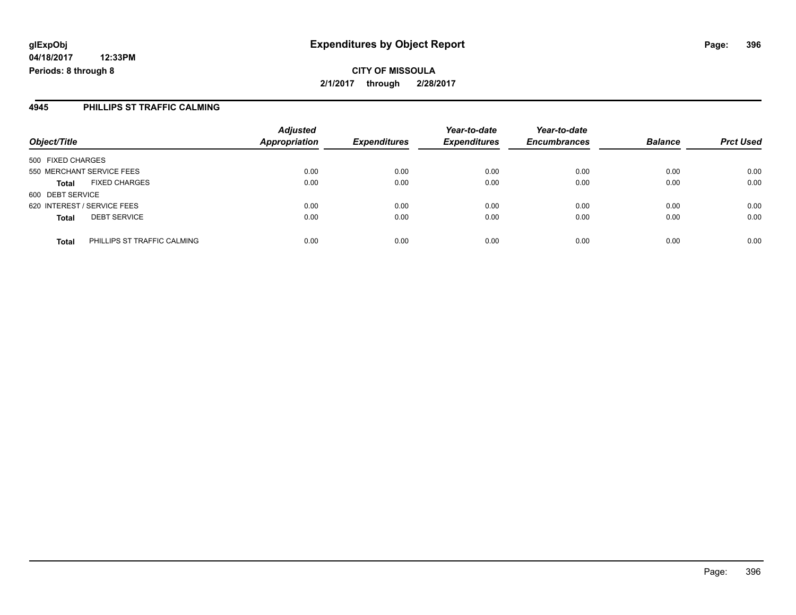#### **4945 PHILLIPS ST TRAFFIC CALMING**

| Object/Title                                | <b>Adjusted</b><br><b>Appropriation</b> | <b>Expenditures</b> | Year-to-date<br><b>Expenditures</b> | Year-to-date<br><b>Encumbrances</b> | <b>Balance</b> | <b>Prct Used</b> |
|---------------------------------------------|-----------------------------------------|---------------------|-------------------------------------|-------------------------------------|----------------|------------------|
| 500 FIXED CHARGES                           |                                         |                     |                                     |                                     |                |                  |
| 550 MERCHANT SERVICE FEES                   | 0.00                                    | 0.00                | 0.00                                | 0.00                                | 0.00           | 0.00             |
| <b>FIXED CHARGES</b><br><b>Total</b>        | 0.00                                    | 0.00                | 0.00                                | 0.00                                | 0.00           | 0.00             |
| 600 DEBT SERVICE                            |                                         |                     |                                     |                                     |                |                  |
| 620 INTEREST / SERVICE FEES                 | 0.00                                    | 0.00                | 0.00                                | 0.00                                | 0.00           | 0.00             |
| <b>DEBT SERVICE</b><br><b>Total</b>         | 0.00                                    | 0.00                | 0.00                                | 0.00                                | 0.00           | 0.00             |
| PHILLIPS ST TRAFFIC CALMING<br><b>Total</b> | 0.00                                    | 0.00                | 0.00                                | 0.00                                | 0.00           | 0.00             |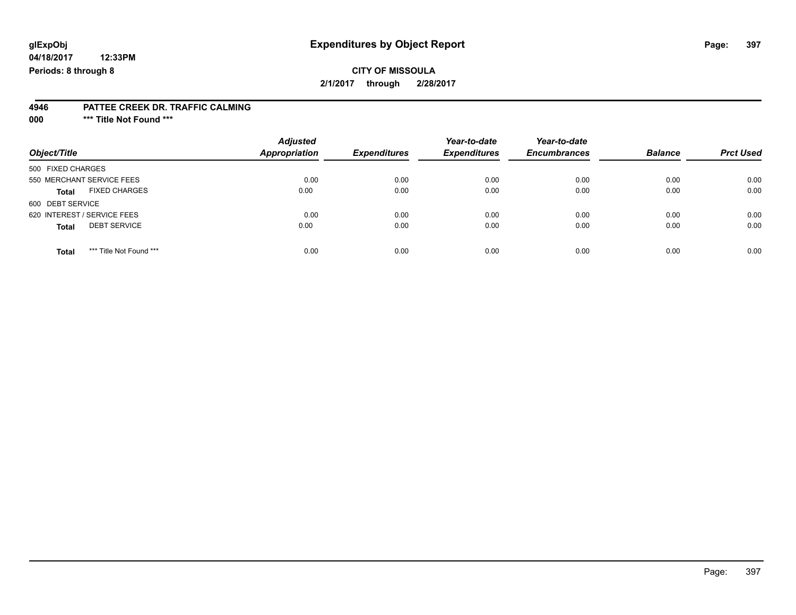# **glExpObj Expenditures by Object Report Page: 397**

**04/18/2017 12:33PM Periods: 8 through 8**

#### **4946 PATTEE CREEK DR. TRAFFIC CALMING**

**000 \*\*\* Title Not Found \*\*\***

| Object/Title                            | <b>Adjusted</b><br>Appropriation | <b>Expenditures</b> | Year-to-date<br><b>Expenditures</b> | Year-to-date<br><b>Encumbrances</b> | <b>Balance</b> | <b>Prct Used</b> |
|-----------------------------------------|----------------------------------|---------------------|-------------------------------------|-------------------------------------|----------------|------------------|
| 500 FIXED CHARGES                       |                                  |                     |                                     |                                     |                |                  |
| 550 MERCHANT SERVICE FEES               | 0.00                             | 0.00                | 0.00                                | 0.00                                | 0.00           | 0.00             |
| <b>FIXED CHARGES</b><br><b>Total</b>    | 0.00                             | 0.00                | 0.00                                | 0.00                                | 0.00           | 0.00             |
| 600 DEBT SERVICE                        |                                  |                     |                                     |                                     |                |                  |
| 620 INTEREST / SERVICE FEES             | 0.00                             | 0.00                | 0.00                                | 0.00                                | 0.00           | 0.00             |
| <b>DEBT SERVICE</b><br><b>Total</b>     | 0.00                             | 0.00                | 0.00                                | 0.00                                | 0.00           | 0.00             |
| *** Title Not Found ***<br><b>Total</b> | 0.00                             | 0.00                | 0.00                                | 0.00                                | 0.00           | 0.00             |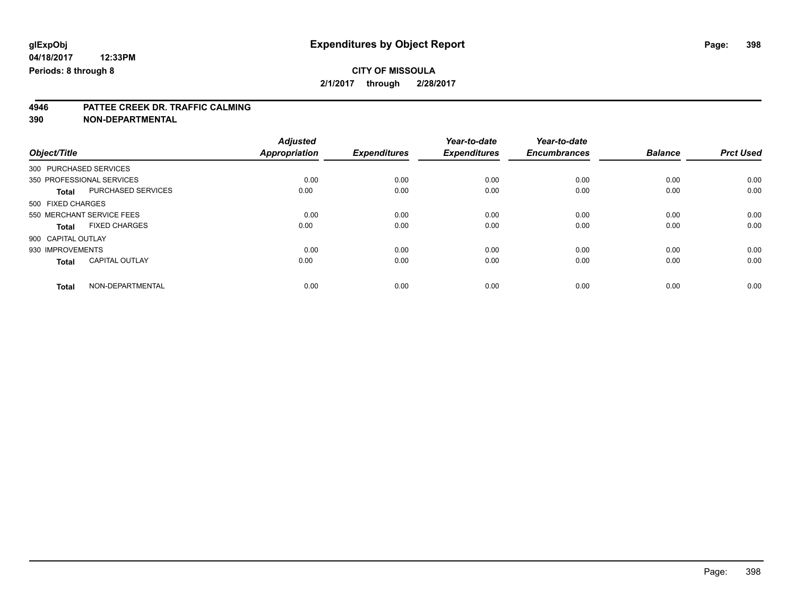#### **CITY OF MISSOULA 2/1/2017 through 2/28/2017**

# **4946 PATTEE CREEK DR. TRAFFIC CALMING**

**390 NON-DEPARTMENTAL**

|                                       | <b>Adjusted</b> |                     | Year-to-date        | Year-to-date        |                |                  |
|---------------------------------------|-----------------|---------------------|---------------------|---------------------|----------------|------------------|
| Object/Title                          | Appropriation   | <b>Expenditures</b> | <b>Expenditures</b> | <b>Encumbrances</b> | <b>Balance</b> | <b>Prct Used</b> |
| 300 PURCHASED SERVICES                |                 |                     |                     |                     |                |                  |
| 350 PROFESSIONAL SERVICES             | 0.00            | 0.00                | 0.00                | 0.00                | 0.00           | 0.00             |
| PURCHASED SERVICES<br><b>Total</b>    | 0.00            | 0.00                | 0.00                | 0.00                | 0.00           | 0.00             |
| 500 FIXED CHARGES                     |                 |                     |                     |                     |                |                  |
| 550 MERCHANT SERVICE FEES             | 0.00            | 0.00                | 0.00                | 0.00                | 0.00           | 0.00             |
| <b>FIXED CHARGES</b><br><b>Total</b>  | 0.00            | 0.00                | 0.00                | 0.00                | 0.00           | 0.00             |
| 900 CAPITAL OUTLAY                    |                 |                     |                     |                     |                |                  |
| 930 IMPROVEMENTS                      | 0.00            | 0.00                | 0.00                | 0.00                | 0.00           | 0.00             |
| <b>CAPITAL OUTLAY</b><br><b>Total</b> | 0.00            | 0.00                | 0.00                | 0.00                | 0.00           | 0.00             |
| NON-DEPARTMENTAL<br><b>Total</b>      | 0.00            | 0.00                | 0.00                | 0.00                | 0.00           | 0.00             |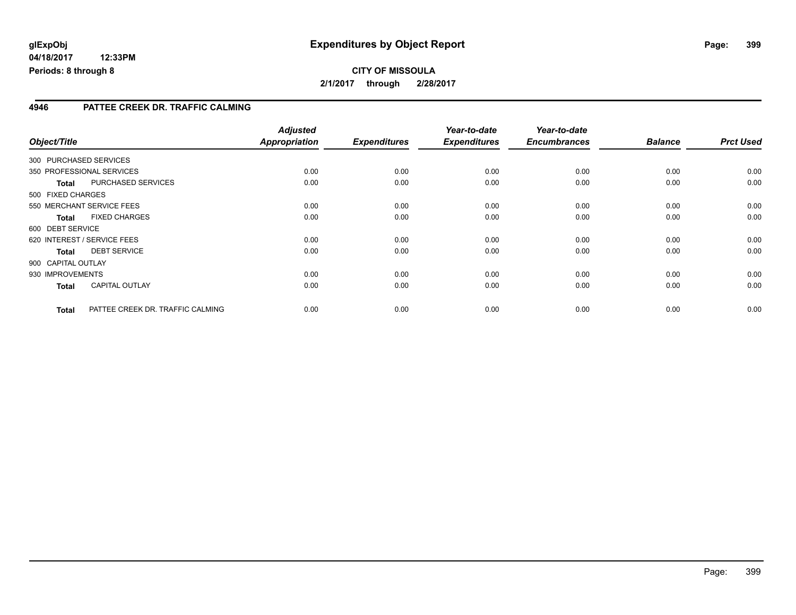**2/1/2017 through 2/28/2017**

#### **4946 PATTEE CREEK DR. TRAFFIC CALMING**

| Object/Title       |              |                                  | <b>Adjusted</b><br><b>Appropriation</b> | <b>Expenditures</b> | Year-to-date<br><b>Expenditures</b> | Year-to-date<br><b>Encumbrances</b> | <b>Balance</b> | <b>Prct Used</b> |
|--------------------|--------------|----------------------------------|-----------------------------------------|---------------------|-------------------------------------|-------------------------------------|----------------|------------------|
|                    |              | 300 PURCHASED SERVICES           |                                         |                     |                                     |                                     |                |                  |
|                    |              | 350 PROFESSIONAL SERVICES        | 0.00                                    | 0.00                | 0.00                                | 0.00                                | 0.00           | 0.00             |
|                    | <b>Total</b> | PURCHASED SERVICES               | 0.00                                    | 0.00                | 0.00                                | 0.00                                | 0.00           | 0.00             |
| 500 FIXED CHARGES  |              |                                  |                                         |                     |                                     |                                     |                |                  |
|                    |              | 550 MERCHANT SERVICE FEES        | 0.00                                    | 0.00                | 0.00                                | 0.00                                | 0.00           | 0.00             |
|                    | <b>Total</b> | <b>FIXED CHARGES</b>             | 0.00                                    | 0.00                | 0.00                                | 0.00                                | 0.00           | 0.00             |
| 600 DEBT SERVICE   |              |                                  |                                         |                     |                                     |                                     |                |                  |
|                    |              | 620 INTEREST / SERVICE FEES      | 0.00                                    | 0.00                | 0.00                                | 0.00                                | 0.00           | 0.00             |
|                    | <b>Total</b> | <b>DEBT SERVICE</b>              | 0.00                                    | 0.00                | 0.00                                | 0.00                                | 0.00           | 0.00             |
| 900 CAPITAL OUTLAY |              |                                  |                                         |                     |                                     |                                     |                |                  |
| 930 IMPROVEMENTS   |              |                                  | 0.00                                    | 0.00                | 0.00                                | 0.00                                | 0.00           | 0.00             |
|                    | <b>Total</b> | <b>CAPITAL OUTLAY</b>            | 0.00                                    | 0.00                | 0.00                                | 0.00                                | 0.00           | 0.00             |
|                    | <b>Total</b> | PATTEE CREEK DR. TRAFFIC CALMING | 0.00                                    | 0.00                | 0.00                                | 0.00                                | 0.00           | 0.00             |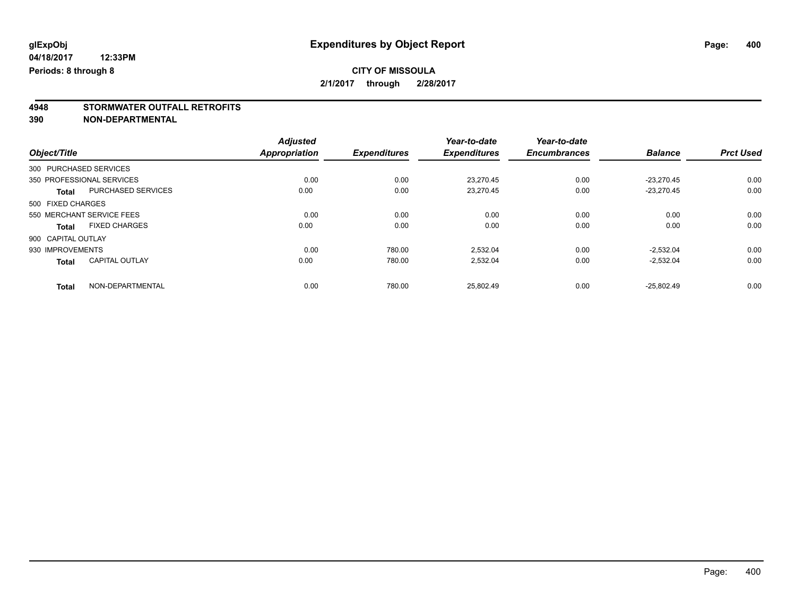# **4948 STORMWATER OUTFALL RETROFITS**

**390 NON-DEPARTMENTAL**

|                                       | <b>Adjusted</b>      |                     | Year-to-date        | Year-to-date        |                |                  |
|---------------------------------------|----------------------|---------------------|---------------------|---------------------|----------------|------------------|
| Object/Title                          | <b>Appropriation</b> | <b>Expenditures</b> | <b>Expenditures</b> | <b>Encumbrances</b> | <b>Balance</b> | <b>Prct Used</b> |
| 300 PURCHASED SERVICES                |                      |                     |                     |                     |                |                  |
| 350 PROFESSIONAL SERVICES             | 0.00                 | 0.00                | 23.270.45           | 0.00                | $-23.270.45$   | 0.00             |
| PURCHASED SERVICES<br><b>Total</b>    | 0.00                 | 0.00                | 23.270.45           | 0.00                | $-23.270.45$   | 0.00             |
| 500 FIXED CHARGES                     |                      |                     |                     |                     |                |                  |
| 550 MERCHANT SERVICE FEES             | 0.00                 | 0.00                | 0.00                | 0.00                | 0.00           | 0.00             |
| <b>FIXED CHARGES</b><br><b>Total</b>  | 0.00                 | 0.00                | 0.00                | 0.00                | 0.00           | 0.00             |
| 900 CAPITAL OUTLAY                    |                      |                     |                     |                     |                |                  |
| 930 IMPROVEMENTS                      | 0.00                 | 780.00              | 2,532.04            | 0.00                | $-2,532.04$    | 0.00             |
| <b>CAPITAL OUTLAY</b><br><b>Total</b> | 0.00                 | 780.00              | 2,532.04            | 0.00                | $-2,532.04$    | 0.00             |
| NON-DEPARTMENTAL<br><b>Total</b>      | 0.00                 | 780.00              | 25.802.49           | 0.00                | $-25.802.49$   | 0.00             |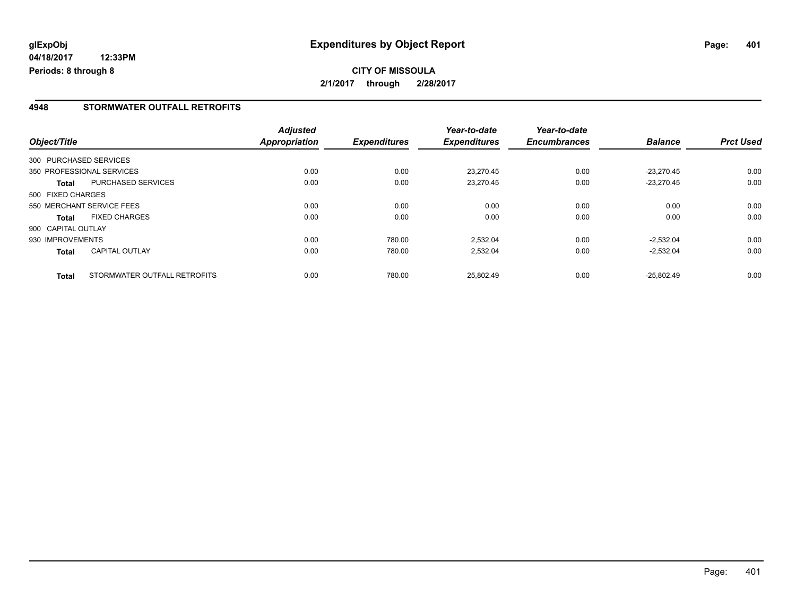# **CITY OF MISSOULA 2/1/2017 through 2/28/2017**

#### **4948 STORMWATER OUTFALL RETROFITS**

| Object/Title       |                              | <b>Adjusted</b><br><b>Appropriation</b> | <b>Expenditures</b> | Year-to-date<br><b>Expenditures</b> | Year-to-date<br><b>Encumbrances</b> | <b>Balance</b> | <b>Prct Used</b> |
|--------------------|------------------------------|-----------------------------------------|---------------------|-------------------------------------|-------------------------------------|----------------|------------------|
|                    | 300 PURCHASED SERVICES       |                                         |                     |                                     |                                     |                |                  |
|                    | 350 PROFESSIONAL SERVICES    | 0.00                                    | 0.00                | 23.270.45                           | 0.00                                | $-23.270.45$   | 0.00             |
| Total              | PURCHASED SERVICES           | 0.00                                    | 0.00                | 23.270.45                           | 0.00                                | $-23.270.45$   | 0.00             |
| 500 FIXED CHARGES  |                              |                                         |                     |                                     |                                     |                |                  |
|                    | 550 MERCHANT SERVICE FEES    | 0.00                                    | 0.00                | 0.00                                | 0.00                                | 0.00           | 0.00             |
| <b>Total</b>       | <b>FIXED CHARGES</b>         | 0.00                                    | 0.00                | 0.00                                | 0.00                                | 0.00           | 0.00             |
| 900 CAPITAL OUTLAY |                              |                                         |                     |                                     |                                     |                |                  |
| 930 IMPROVEMENTS   |                              | 0.00                                    | 780.00              | 2,532.04                            | 0.00                                | $-2.532.04$    | 0.00             |
| <b>Total</b>       | <b>CAPITAL OUTLAY</b>        | 0.00                                    | 780.00              | 2,532.04                            | 0.00                                | $-2,532.04$    | 0.00             |
| <b>Total</b>       | STORMWATER OUTFALL RETROFITS | 0.00                                    | 780.00              | 25.802.49                           | 0.00                                | $-25.802.49$   | 0.00             |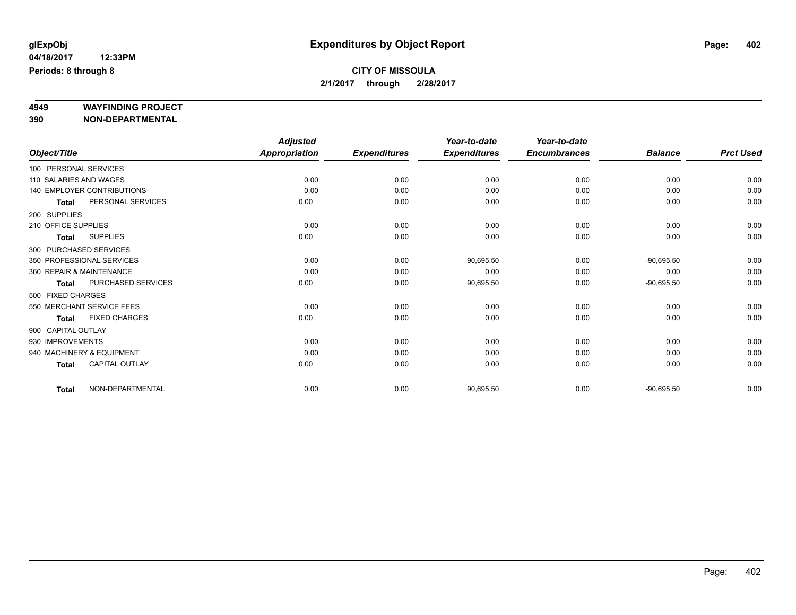# **4949 WAYFINDING PROJECT**

**390 NON-DEPARTMENTAL**

|                          |                            | <b>Adjusted</b> |                     | Year-to-date        | Year-to-date        |                |                  |
|--------------------------|----------------------------|-----------------|---------------------|---------------------|---------------------|----------------|------------------|
| Object/Title             |                            | Appropriation   | <b>Expenditures</b> | <b>Expenditures</b> | <b>Encumbrances</b> | <b>Balance</b> | <b>Prct Used</b> |
| 100 PERSONAL SERVICES    |                            |                 |                     |                     |                     |                |                  |
| 110 SALARIES AND WAGES   |                            | 0.00            | 0.00                | 0.00                | 0.00                | 0.00           | 0.00             |
|                          | 140 EMPLOYER CONTRIBUTIONS | 0.00            | 0.00                | 0.00                | 0.00                | 0.00           | 0.00             |
| <b>Total</b>             | PERSONAL SERVICES          | 0.00            | 0.00                | 0.00                | 0.00                | 0.00           | 0.00             |
| 200 SUPPLIES             |                            |                 |                     |                     |                     |                |                  |
| 210 OFFICE SUPPLIES      |                            | 0.00            | 0.00                | 0.00                | 0.00                | 0.00           | 0.00             |
| <b>Total</b>             | <b>SUPPLIES</b>            | 0.00            | 0.00                | 0.00                | 0.00                | 0.00           | 0.00             |
| 300 PURCHASED SERVICES   |                            |                 |                     |                     |                     |                |                  |
|                          | 350 PROFESSIONAL SERVICES  | 0.00            | 0.00                | 90,695.50           | 0.00                | $-90,695.50$   | 0.00             |
| 360 REPAIR & MAINTENANCE |                            | 0.00            | 0.00                | 0.00                | 0.00                | 0.00           | 0.00             |
| <b>Total</b>             | PURCHASED SERVICES         | 0.00            | 0.00                | 90,695.50           | 0.00                | $-90,695.50$   | 0.00             |
| 500 FIXED CHARGES        |                            |                 |                     |                     |                     |                |                  |
|                          | 550 MERCHANT SERVICE FEES  | 0.00            | 0.00                | 0.00                | 0.00                | 0.00           | 0.00             |
| <b>Total</b>             | <b>FIXED CHARGES</b>       | 0.00            | 0.00                | 0.00                | 0.00                | 0.00           | 0.00             |
| 900 CAPITAL OUTLAY       |                            |                 |                     |                     |                     |                |                  |
| 930 IMPROVEMENTS         |                            | 0.00            | 0.00                | 0.00                | 0.00                | 0.00           | 0.00             |
|                          | 940 MACHINERY & EQUIPMENT  | 0.00            | 0.00                | 0.00                | 0.00                | 0.00           | 0.00             |
| <b>Total</b>             | CAPITAL OUTLAY             | 0.00            | 0.00                | 0.00                | 0.00                | 0.00           | 0.00             |
| <b>Total</b>             | NON-DEPARTMENTAL           | 0.00            | 0.00                | 90,695.50           | 0.00                | $-90,695.50$   | 0.00             |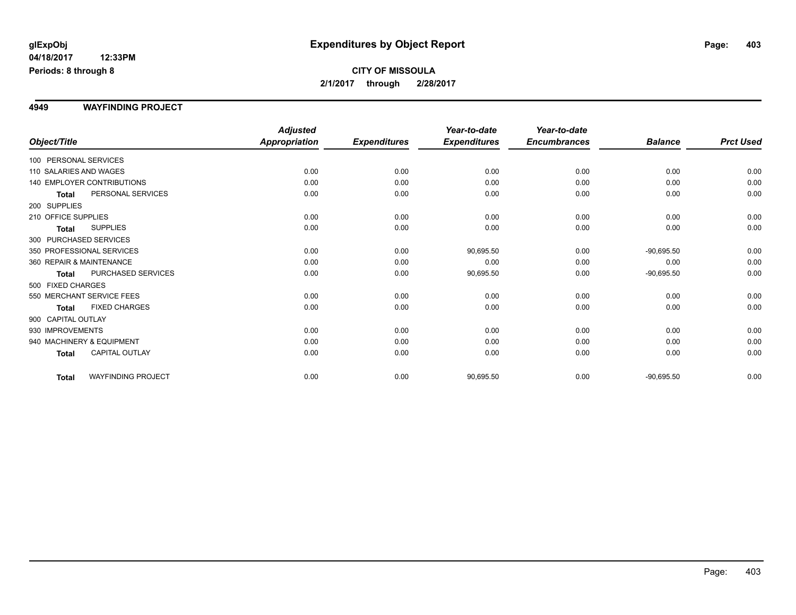# **CITY OF MISSOULA 2/1/2017 through 2/28/2017**

#### **4949 WAYFINDING PROJECT**

|                          |                                   | <b>Adjusted</b>      |                     | Year-to-date        | Year-to-date        |                |                  |
|--------------------------|-----------------------------------|----------------------|---------------------|---------------------|---------------------|----------------|------------------|
| Object/Title             |                                   | <b>Appropriation</b> | <b>Expenditures</b> | <b>Expenditures</b> | <b>Encumbrances</b> | <b>Balance</b> | <b>Prct Used</b> |
| 100 PERSONAL SERVICES    |                                   |                      |                     |                     |                     |                |                  |
| 110 SALARIES AND WAGES   |                                   | 0.00                 | 0.00                | 0.00                | 0.00                | 0.00           | 0.00             |
|                          | <b>140 EMPLOYER CONTRIBUTIONS</b> | 0.00                 | 0.00                | 0.00                | 0.00                | 0.00           | 0.00             |
| <b>Total</b>             | PERSONAL SERVICES                 | 0.00                 | 0.00                | 0.00                | 0.00                | 0.00           | 0.00             |
| 200 SUPPLIES             |                                   |                      |                     |                     |                     |                |                  |
| 210 OFFICE SUPPLIES      |                                   | 0.00                 | 0.00                | 0.00                | 0.00                | 0.00           | 0.00             |
| <b>Total</b>             | <b>SUPPLIES</b>                   | 0.00                 | 0.00                | 0.00                | 0.00                | 0.00           | 0.00             |
| 300 PURCHASED SERVICES   |                                   |                      |                     |                     |                     |                |                  |
|                          | 350 PROFESSIONAL SERVICES         | 0.00                 | 0.00                | 90,695.50           | 0.00                | $-90,695.50$   | 0.00             |
| 360 REPAIR & MAINTENANCE |                                   | 0.00                 | 0.00                | 0.00                | 0.00                | 0.00           | 0.00             |
| <b>Total</b>             | PURCHASED SERVICES                | 0.00                 | 0.00                | 90,695.50           | 0.00                | $-90,695.50$   | 0.00             |
| 500 FIXED CHARGES        |                                   |                      |                     |                     |                     |                |                  |
|                          | 550 MERCHANT SERVICE FEES         | 0.00                 | 0.00                | 0.00                | 0.00                | 0.00           | 0.00             |
| <b>Total</b>             | <b>FIXED CHARGES</b>              | 0.00                 | 0.00                | 0.00                | 0.00                | 0.00           | 0.00             |
| 900 CAPITAL OUTLAY       |                                   |                      |                     |                     |                     |                |                  |
| 930 IMPROVEMENTS         |                                   | 0.00                 | 0.00                | 0.00                | 0.00                | 0.00           | 0.00             |
|                          | 940 MACHINERY & EQUIPMENT         | 0.00                 | 0.00                | 0.00                | 0.00                | 0.00           | 0.00             |
| Total                    | <b>CAPITAL OUTLAY</b>             | 0.00                 | 0.00                | 0.00                | 0.00                | 0.00           | 0.00             |
| Total                    | <b>WAYFINDING PROJECT</b>         | 0.00                 | 0.00                | 90,695.50           | 0.00                | $-90,695.50$   | 0.00             |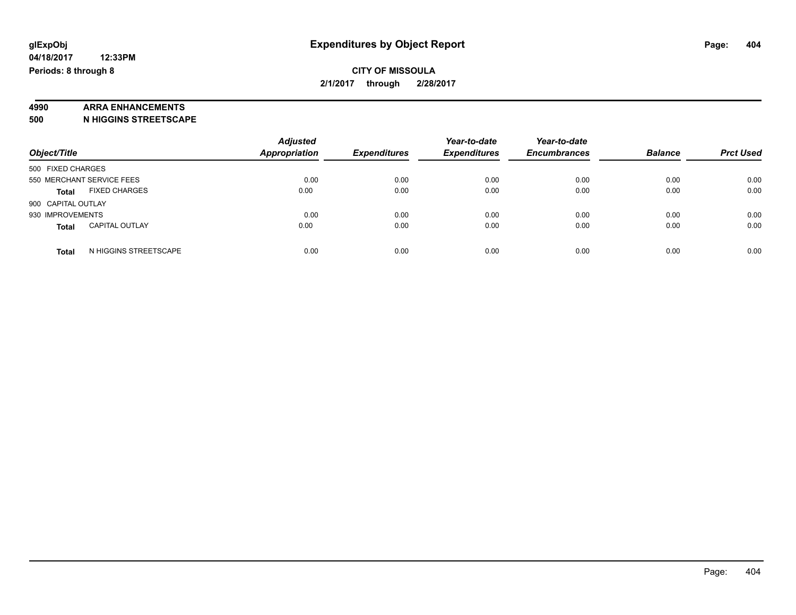### **CITY OF MISSOULA 2/1/2017 through 2/28/2017**

# **4990 ARRA ENHANCEMENTS**

**500 N HIGGINS STREETSCAPE**

| Object/Title                          | <b>Adjusted</b><br><b>Appropriation</b> | <b>Expenditures</b> | Year-to-date<br><b>Expenditures</b> | Year-to-date<br><b>Encumbrances</b> | <b>Balance</b> | <b>Prct Used</b> |
|---------------------------------------|-----------------------------------------|---------------------|-------------------------------------|-------------------------------------|----------------|------------------|
|                                       |                                         |                     |                                     |                                     |                |                  |
| 500 FIXED CHARGES                     |                                         |                     |                                     |                                     |                |                  |
| 550 MERCHANT SERVICE FEES             | 0.00                                    | 0.00                | 0.00                                | 0.00                                | 0.00           | 0.00             |
| <b>FIXED CHARGES</b><br><b>Total</b>  | 0.00                                    | 0.00                | 0.00                                | 0.00                                | 0.00           | 0.00             |
| 900 CAPITAL OUTLAY                    |                                         |                     |                                     |                                     |                |                  |
| 930 IMPROVEMENTS                      | 0.00                                    | 0.00                | 0.00                                | 0.00                                | 0.00           | 0.00             |
| <b>CAPITAL OUTLAY</b><br><b>Total</b> | 0.00                                    | 0.00                | 0.00                                | 0.00                                | 0.00           | 0.00             |
| N HIGGINS STREETSCAPE<br><b>Total</b> | 0.00                                    | 0.00                | 0.00                                | 0.00                                | 0.00           | 0.00             |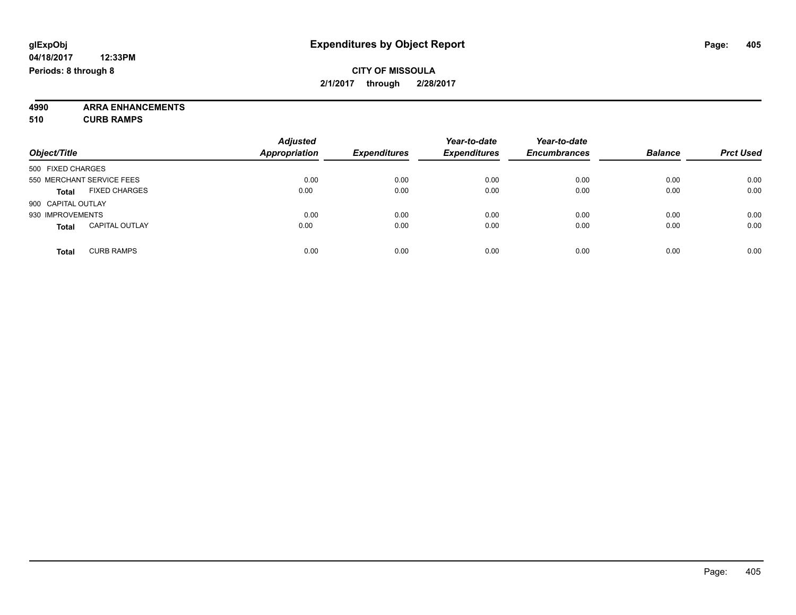**4990 ARRA ENHANCEMENTS 510 CURB RAMPS**

| Object/Title                          | <b>Adjusted</b><br>Appropriation | <b>Expenditures</b> | Year-to-date<br><b>Expenditures</b> | Year-to-date<br><b>Encumbrances</b> | <b>Balance</b> | <b>Prct Used</b> |
|---------------------------------------|----------------------------------|---------------------|-------------------------------------|-------------------------------------|----------------|------------------|
| 500 FIXED CHARGES                     |                                  |                     |                                     |                                     |                |                  |
| 550 MERCHANT SERVICE FEES             | 0.00                             | 0.00                | 0.00                                | 0.00                                | 0.00           | 0.00             |
| <b>FIXED CHARGES</b><br><b>Total</b>  | 0.00                             | 0.00                | 0.00                                | 0.00                                | 0.00           | 0.00             |
| 900 CAPITAL OUTLAY                    |                                  |                     |                                     |                                     |                |                  |
| 930 IMPROVEMENTS                      | 0.00                             | 0.00                | 0.00                                | 0.00                                | 0.00           | 0.00             |
| <b>CAPITAL OUTLAY</b><br><b>Total</b> | 0.00                             | 0.00                | 0.00                                | 0.00                                | 0.00           | 0.00             |
| <b>CURB RAMPS</b><br><b>Total</b>     | 0.00                             | 0.00                | 0.00                                | 0.00                                | 0.00           | 0.00             |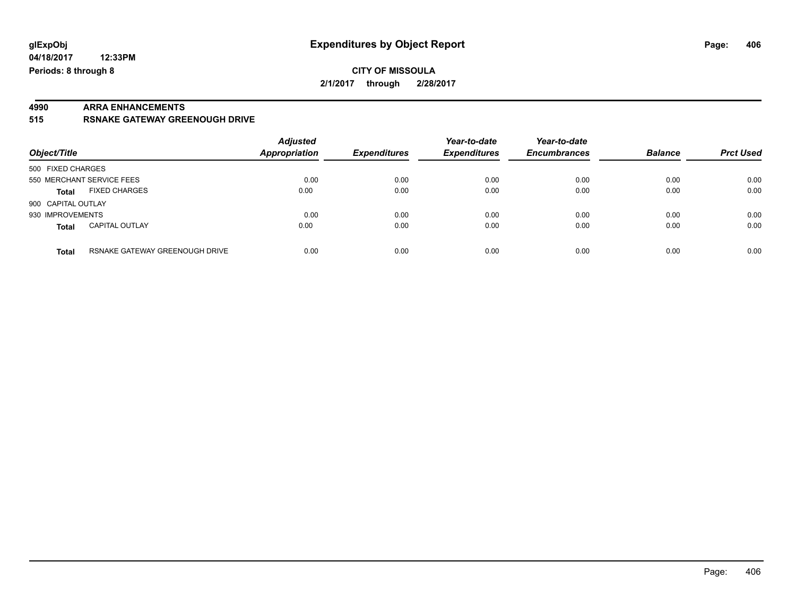# **4990 ARRA ENHANCEMENTS**

**515 RSNAKE GATEWAY GREENOUGH DRIVE**

| Object/Title                          |                                | <b>Adjusted</b><br><b>Appropriation</b> | <b>Expenditures</b> | Year-to-date<br><b>Expenditures</b> | Year-to-date<br><b>Encumbrances</b> | <b>Balance</b> | <b>Prct Used</b> |
|---------------------------------------|--------------------------------|-----------------------------------------|---------------------|-------------------------------------|-------------------------------------|----------------|------------------|
| 500 FIXED CHARGES                     |                                |                                         |                     |                                     |                                     |                |                  |
| 550 MERCHANT SERVICE FEES             |                                | 0.00                                    | 0.00                | 0.00                                | 0.00                                | 0.00           | 0.00             |
| <b>FIXED CHARGES</b><br><b>Total</b>  |                                | 0.00                                    | 0.00                | 0.00                                | 0.00                                | 0.00           | 0.00             |
| 900 CAPITAL OUTLAY                    |                                |                                         |                     |                                     |                                     |                |                  |
| 930 IMPROVEMENTS                      |                                | 0.00                                    | 0.00                | 0.00                                | 0.00                                | 0.00           | 0.00             |
| <b>CAPITAL OUTLAY</b><br><b>Total</b> |                                | 0.00                                    | 0.00                | 0.00                                | 0.00                                | 0.00           | 0.00             |
| <b>Total</b>                          | RSNAKE GATEWAY GREENOUGH DRIVE | 0.00                                    | 0.00                | 0.00                                | 0.00                                | 0.00           | 0.00             |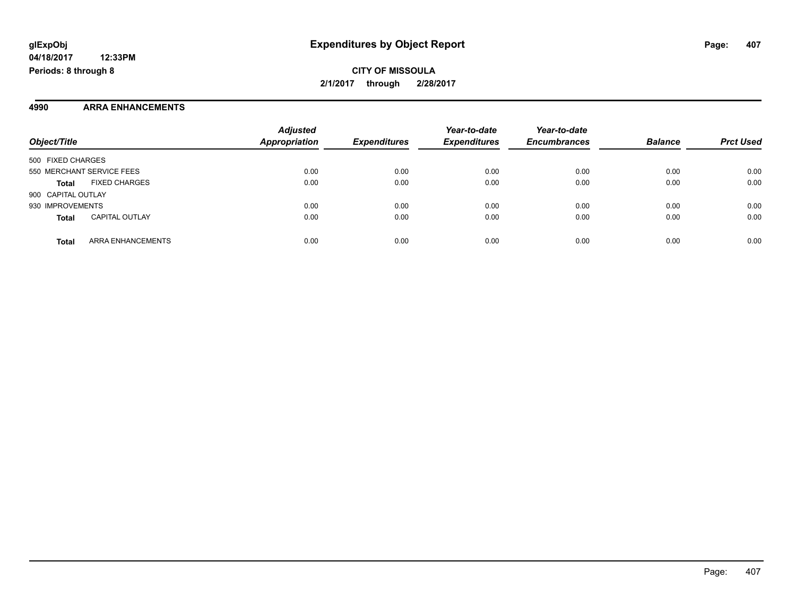**CITY OF MISSOULA 2/1/2017 through 2/28/2017**

#### **4990 ARRA ENHANCEMENTS**

| Object/Title                          | <b>Adjusted</b><br>Appropriation | <b>Expenditures</b> | Year-to-date<br><b>Expenditures</b> | Year-to-date<br><b>Encumbrances</b> | <b>Balance</b> | <b>Prct Used</b> |
|---------------------------------------|----------------------------------|---------------------|-------------------------------------|-------------------------------------|----------------|------------------|
| 500 FIXED CHARGES                     |                                  |                     |                                     |                                     |                |                  |
| 550 MERCHANT SERVICE FEES             | 0.00                             | 0.00                | 0.00                                | 0.00                                | 0.00           | 0.00             |
| <b>FIXED CHARGES</b><br><b>Total</b>  | 0.00                             | 0.00                | 0.00                                | 0.00                                | 0.00           | 0.00             |
| 900 CAPITAL OUTLAY                    |                                  |                     |                                     |                                     |                |                  |
| 930 IMPROVEMENTS                      | 0.00                             | 0.00                | 0.00                                | 0.00                                | 0.00           | 0.00             |
| <b>CAPITAL OUTLAY</b><br><b>Total</b> | 0.00                             | 0.00                | 0.00                                | 0.00                                | 0.00           | 0.00             |
| ARRA ENHANCEMENTS<br><b>Total</b>     | 0.00                             | 0.00                | 0.00                                | 0.00                                | 0.00           | 0.00             |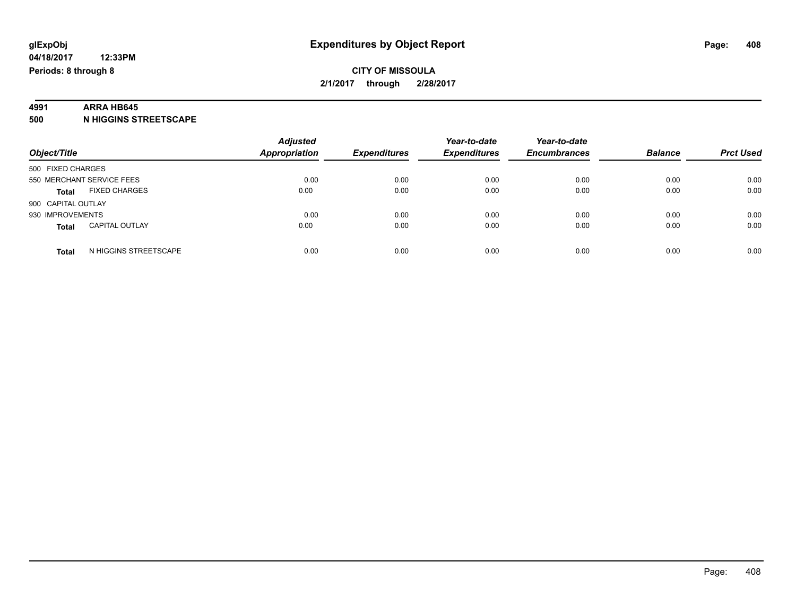# **4991 ARRA HB645**

**500 N HIGGINS STREETSCAPE**

| Object/Title                          | <b>Adjusted</b><br><b>Appropriation</b> | <b>Expenditures</b> | Year-to-date<br><b>Expenditures</b> | Year-to-date<br><b>Encumbrances</b> | <b>Balance</b> | <b>Prct Used</b> |
|---------------------------------------|-----------------------------------------|---------------------|-------------------------------------|-------------------------------------|----------------|------------------|
| 500 FIXED CHARGES                     |                                         |                     |                                     |                                     |                |                  |
| 550 MERCHANT SERVICE FEES             | 0.00                                    | 0.00                | 0.00                                | 0.00                                | 0.00           | 0.00             |
| <b>FIXED CHARGES</b><br><b>Total</b>  | 0.00                                    | 0.00                | 0.00                                | 0.00                                | 0.00           | 0.00             |
| 900 CAPITAL OUTLAY                    |                                         |                     |                                     |                                     |                |                  |
| 930 IMPROVEMENTS                      | 0.00                                    | 0.00                | 0.00                                | 0.00                                | 0.00           | 0.00             |
| <b>CAPITAL OUTLAY</b><br><b>Total</b> | 0.00                                    | 0.00                | 0.00                                | 0.00                                | 0.00           | 0.00             |
| N HIGGINS STREETSCAPE<br>Total        | 0.00                                    | 0.00                | 0.00                                | 0.00                                | 0.00           | 0.00             |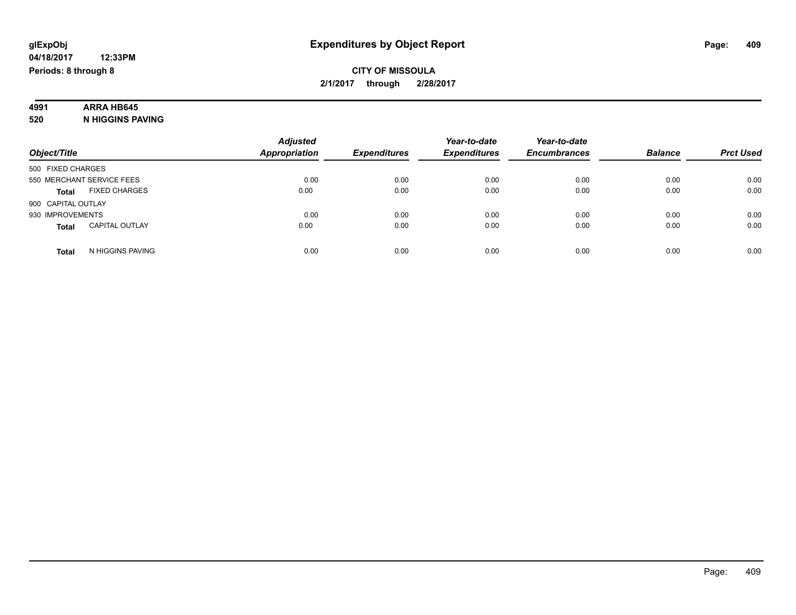# **4991 ARRA HB645**

**520 N HIGGINS PAVING**

| Object/Title                          | <b>Adjusted</b><br><b>Appropriation</b> | <b>Expenditures</b> | Year-to-date<br><b>Expenditures</b> | Year-to-date<br><b>Encumbrances</b> | <b>Balance</b> | <b>Prct Used</b> |
|---------------------------------------|-----------------------------------------|---------------------|-------------------------------------|-------------------------------------|----------------|------------------|
| 500 FIXED CHARGES                     |                                         |                     |                                     |                                     |                |                  |
| 550 MERCHANT SERVICE FEES             | 0.00                                    | 0.00                | 0.00                                | 0.00                                | 0.00           | 0.00             |
| <b>FIXED CHARGES</b><br><b>Total</b>  | 0.00                                    | 0.00                | 0.00                                | 0.00                                | 0.00           | 0.00             |
| 900 CAPITAL OUTLAY                    |                                         |                     |                                     |                                     |                |                  |
| 930 IMPROVEMENTS                      | 0.00                                    | 0.00                | 0.00                                | 0.00                                | 0.00           | 0.00             |
| <b>CAPITAL OUTLAY</b><br><b>Total</b> | 0.00                                    | 0.00                | 0.00                                | 0.00                                | 0.00           | 0.00             |
| N HIGGINS PAVING<br><b>Total</b>      | 0.00                                    | 0.00                | 0.00                                | 0.00                                | 0.00           | 0.00             |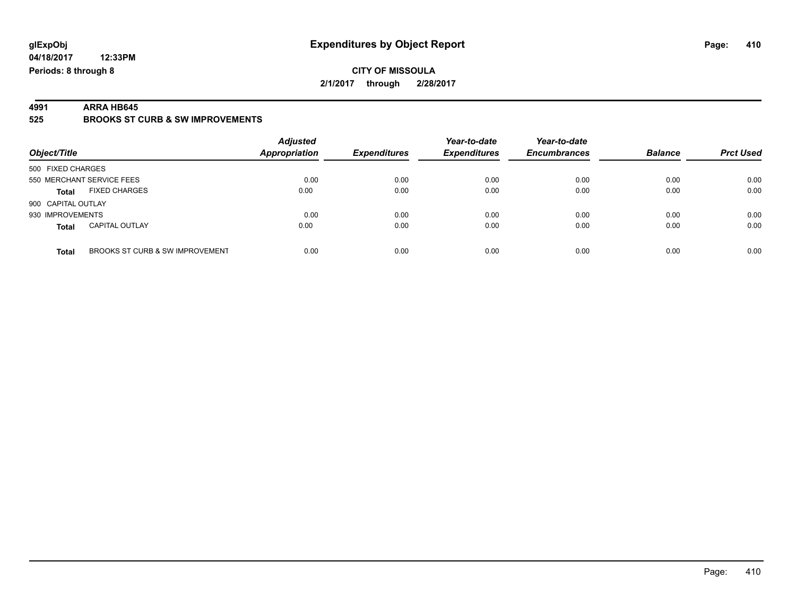**4991 ARRA HB645 525 BROOKS ST CURB & SW IMPROVEMENTS**

| Object/Title                                    | <b>Adjusted</b><br><b>Appropriation</b> | <b>Expenditures</b> | Year-to-date<br><b>Expenditures</b> | Year-to-date<br><b>Encumbrances</b> | <b>Balance</b> | <b>Prct Used</b> |
|-------------------------------------------------|-----------------------------------------|---------------------|-------------------------------------|-------------------------------------|----------------|------------------|
| 500 FIXED CHARGES                               |                                         |                     |                                     |                                     |                |                  |
| 550 MERCHANT SERVICE FEES                       | 0.00                                    | 0.00                | 0.00                                | 0.00                                | 0.00           | 0.00             |
| <b>FIXED CHARGES</b><br>Total                   | 0.00                                    | 0.00                | 0.00                                | 0.00                                | 0.00           | 0.00             |
| 900 CAPITAL OUTLAY                              |                                         |                     |                                     |                                     |                |                  |
| 930 IMPROVEMENTS                                | 0.00                                    | 0.00                | 0.00                                | 0.00                                | 0.00           | 0.00             |
| <b>CAPITAL OUTLAY</b><br><b>Total</b>           | 0.00                                    | 0.00                | 0.00                                | 0.00                                | 0.00           | 0.00             |
| BROOKS ST CURB & SW IMPROVEMENT<br><b>Total</b> | 0.00                                    | 0.00                | 0.00                                | 0.00                                | 0.00           | 0.00             |

Page: 410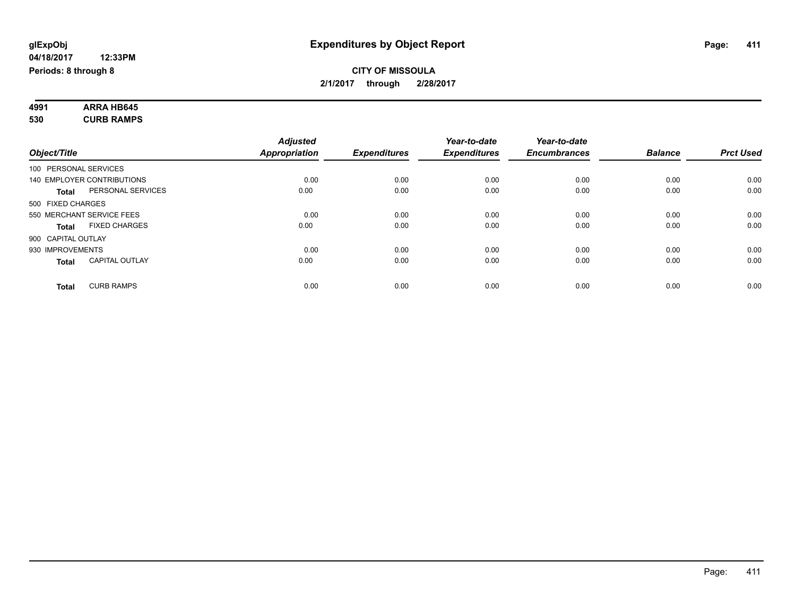#### **4991 ARRA HB645 530 CURB RAMPS**

| Object/Title       |                            | <b>Adjusted</b><br><b>Appropriation</b> | <b>Expenditures</b> | Year-to-date<br><b>Expenditures</b> | Year-to-date<br><b>Encumbrances</b> | <b>Balance</b> | <b>Prct Used</b> |
|--------------------|----------------------------|-----------------------------------------|---------------------|-------------------------------------|-------------------------------------|----------------|------------------|
|                    | 100 PERSONAL SERVICES      |                                         |                     |                                     |                                     |                |                  |
|                    | 140 EMPLOYER CONTRIBUTIONS | 0.00                                    | 0.00                | 0.00                                | 0.00                                | 0.00           | 0.00             |
| <b>Total</b>       | PERSONAL SERVICES          | 0.00                                    | 0.00                | 0.00                                | 0.00                                | 0.00           | 0.00             |
| 500 FIXED CHARGES  |                            |                                         |                     |                                     |                                     |                |                  |
|                    | 550 MERCHANT SERVICE FEES  | 0.00                                    | 0.00                | 0.00                                | 0.00                                | 0.00           | 0.00             |
| <b>Total</b>       | <b>FIXED CHARGES</b>       | 0.00                                    | 0.00                | 0.00                                | 0.00                                | 0.00           | 0.00             |
| 900 CAPITAL OUTLAY |                            |                                         |                     |                                     |                                     |                |                  |
| 930 IMPROVEMENTS   |                            | 0.00                                    | 0.00                | 0.00                                | 0.00                                | 0.00           | 0.00             |
| <b>Total</b>       | <b>CAPITAL OUTLAY</b>      | 0.00                                    | 0.00                | 0.00                                | 0.00                                | 0.00           | 0.00             |
| <b>Total</b>       | <b>CURB RAMPS</b>          | 0.00                                    | 0.00                | 0.00                                | 0.00                                | 0.00           | 0.00             |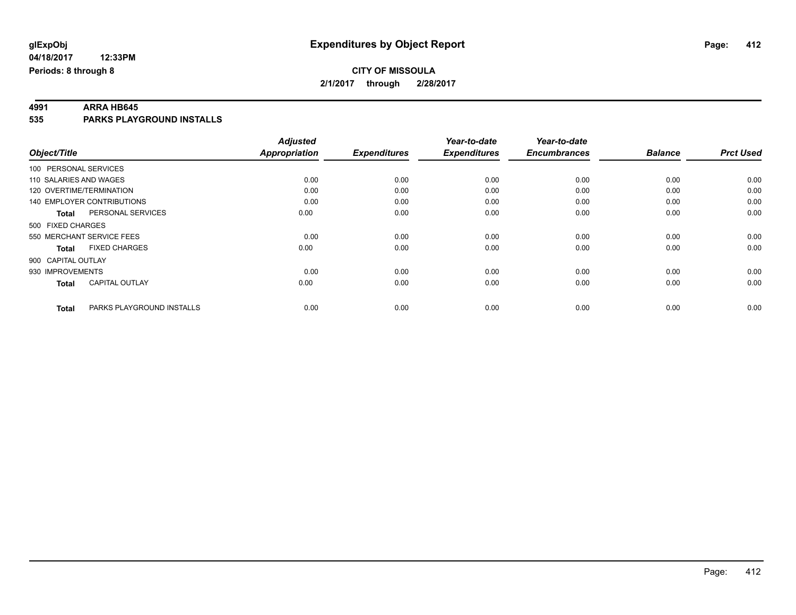**4991 ARRA HB645 535 PARKS PLAYGROUND INSTALLS**

|                          |                            | <b>Adjusted</b>      |                     | Year-to-date        | Year-to-date        |                |                  |
|--------------------------|----------------------------|----------------------|---------------------|---------------------|---------------------|----------------|------------------|
| Object/Title             |                            | <b>Appropriation</b> | <b>Expenditures</b> | <b>Expenditures</b> | <b>Encumbrances</b> | <b>Balance</b> | <b>Prct Used</b> |
| 100 PERSONAL SERVICES    |                            |                      |                     |                     |                     |                |                  |
| 110 SALARIES AND WAGES   |                            | 0.00                 | 0.00                | 0.00                | 0.00                | 0.00           | 0.00             |
| 120 OVERTIME/TERMINATION |                            | 0.00                 | 0.00                | 0.00                | 0.00                | 0.00           | 0.00             |
|                          | 140 EMPLOYER CONTRIBUTIONS | 0.00                 | 0.00                | 0.00                | 0.00                | 0.00           | 0.00             |
| Total                    | PERSONAL SERVICES          | 0.00                 | 0.00                | 0.00                | 0.00                | 0.00           | 0.00             |
| 500 FIXED CHARGES        |                            |                      |                     |                     |                     |                |                  |
|                          | 550 MERCHANT SERVICE FEES  | 0.00                 | 0.00                | 0.00                | 0.00                | 0.00           | 0.00             |
| <b>Total</b>             | <b>FIXED CHARGES</b>       | 0.00                 | 0.00                | 0.00                | 0.00                | 0.00           | 0.00             |
| 900 CAPITAL OUTLAY       |                            |                      |                     |                     |                     |                |                  |
| 930 IMPROVEMENTS         |                            | 0.00                 | 0.00                | 0.00                | 0.00                | 0.00           | 0.00             |
| <b>Total</b>             | <b>CAPITAL OUTLAY</b>      | 0.00                 | 0.00                | 0.00                | 0.00                | 0.00           | 0.00             |
| <b>Total</b>             | PARKS PLAYGROUND INSTALLS  | 0.00                 | 0.00                | 0.00                | 0.00                | 0.00           | 0.00             |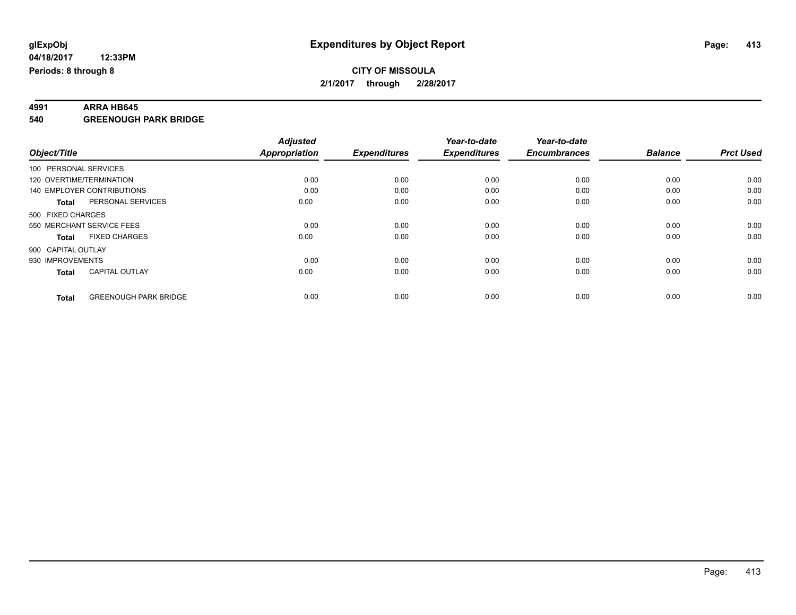**Periods: 8 through 8**

**04/18/2017**

**4991 ARRA HB645 540 GREENOUGH PARK BRIDGE**

|                       |                              | <b>Adjusted</b>      |                     | Year-to-date        | Year-to-date        |                |                  |
|-----------------------|------------------------------|----------------------|---------------------|---------------------|---------------------|----------------|------------------|
| Object/Title          |                              | <b>Appropriation</b> | <b>Expenditures</b> | <b>Expenditures</b> | <b>Encumbrances</b> | <b>Balance</b> | <b>Prct Used</b> |
| 100 PERSONAL SERVICES |                              |                      |                     |                     |                     |                |                  |
|                       | 120 OVERTIME/TERMINATION     | 0.00                 | 0.00                | 0.00                | 0.00                | 0.00           | 0.00             |
|                       | 140 EMPLOYER CONTRIBUTIONS   | 0.00                 | 0.00                | 0.00                | 0.00                | 0.00           | 0.00             |
| <b>Total</b>          | PERSONAL SERVICES            | 0.00                 | 0.00                | 0.00                | 0.00                | 0.00           | 0.00             |
| 500 FIXED CHARGES     |                              |                      |                     |                     |                     |                |                  |
|                       | 550 MERCHANT SERVICE FEES    | 0.00                 | 0.00                | 0.00                | 0.00                | 0.00           | 0.00             |
| <b>Total</b>          | <b>FIXED CHARGES</b>         | 0.00                 | 0.00                | 0.00                | 0.00                | 0.00           | 0.00             |
| 900 CAPITAL OUTLAY    |                              |                      |                     |                     |                     |                |                  |
| 930 IMPROVEMENTS      |                              | 0.00                 | 0.00                | 0.00                | 0.00                | 0.00           | 0.00             |
| <b>Total</b>          | <b>CAPITAL OUTLAY</b>        | 0.00                 | 0.00                | 0.00                | 0.00                | 0.00           | 0.00             |
|                       |                              |                      |                     |                     |                     |                |                  |
| <b>Total</b>          | <b>GREENOUGH PARK BRIDGE</b> | 0.00                 | 0.00                | 0.00                | 0.00                | 0.00           | 0.00             |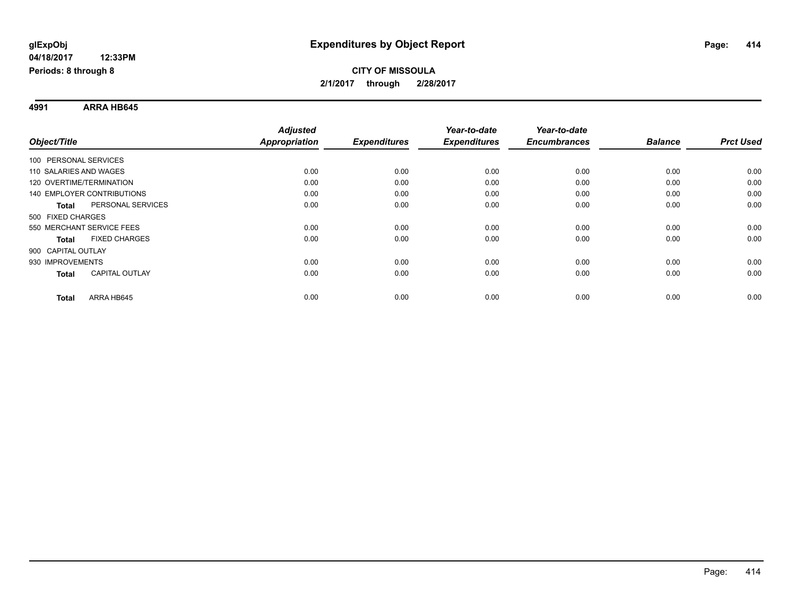## **CITY OF MISSOULA 2/1/2017 through 2/28/2017**

**4991 ARRA HB645**

|                                       | <b>Adjusted</b>      |      |                     | Year-to-date        | Year-to-date        |                |                  |
|---------------------------------------|----------------------|------|---------------------|---------------------|---------------------|----------------|------------------|
| Object/Title                          | <b>Appropriation</b> |      | <b>Expenditures</b> | <b>Expenditures</b> | <b>Encumbrances</b> | <b>Balance</b> | <b>Prct Used</b> |
| 100 PERSONAL SERVICES                 |                      |      |                     |                     |                     |                |                  |
| 110 SALARIES AND WAGES                |                      | 0.00 | 0.00                | 0.00                | 0.00                | 0.00           | 0.00             |
| 120 OVERTIME/TERMINATION              |                      | 0.00 | 0.00                | 0.00                | 0.00                | 0.00           | 0.00             |
| <b>140 EMPLOYER CONTRIBUTIONS</b>     |                      | 0.00 | 0.00                | 0.00                | 0.00                | 0.00           | 0.00             |
| PERSONAL SERVICES<br><b>Total</b>     |                      | 0.00 | 0.00                | 0.00                | 0.00                | 0.00           | 0.00             |
| 500 FIXED CHARGES                     |                      |      |                     |                     |                     |                |                  |
| 550 MERCHANT SERVICE FEES             |                      | 0.00 | 0.00                | 0.00                | 0.00                | 0.00           | 0.00             |
| <b>FIXED CHARGES</b><br>Total         |                      | 0.00 | 0.00                | 0.00                | 0.00                | 0.00           | 0.00             |
| 900 CAPITAL OUTLAY                    |                      |      |                     |                     |                     |                |                  |
| 930 IMPROVEMENTS                      |                      | 0.00 | 0.00                | 0.00                | 0.00                | 0.00           | 0.00             |
| <b>CAPITAL OUTLAY</b><br><b>Total</b> |                      | 0.00 | 0.00                | 0.00                | 0.00                | 0.00           | 0.00             |
| ARRA HB645<br><b>Total</b>            |                      | 0.00 | 0.00                | 0.00                | 0.00                | 0.00           | 0.00             |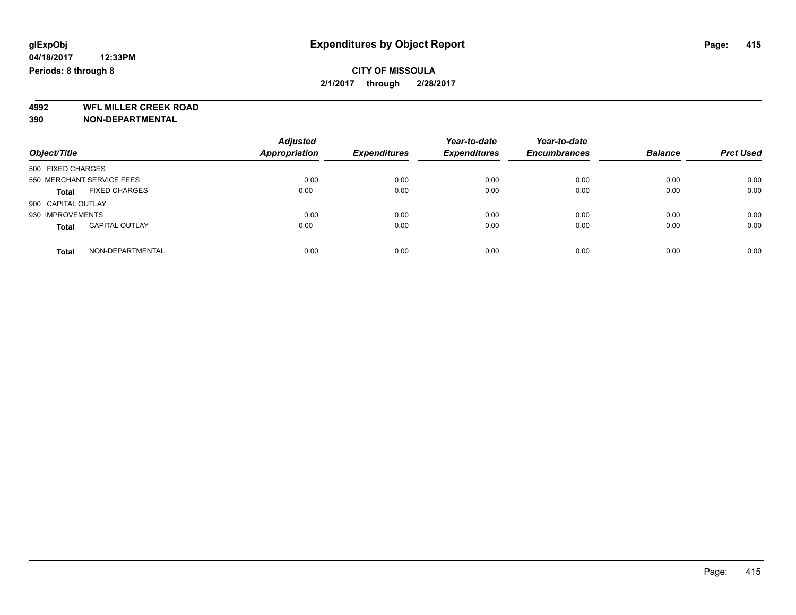**4992 WFL MILLER CREEK ROAD 390 NON-DEPARTMENTAL**

| Object/Title                          | <b>Adjusted</b><br><b>Appropriation</b> | <b>Expenditures</b> | Year-to-date<br><b>Expenditures</b> | Year-to-date<br><b>Encumbrances</b> | <b>Balance</b> | <b>Prct Used</b> |
|---------------------------------------|-----------------------------------------|---------------------|-------------------------------------|-------------------------------------|----------------|------------------|
| 500 FIXED CHARGES                     |                                         |                     |                                     |                                     |                |                  |
| 550 MERCHANT SERVICE FEES             | 0.00                                    | 0.00                | 0.00                                | 0.00                                | 0.00           | 0.00             |
| <b>FIXED CHARGES</b><br><b>Total</b>  | 0.00                                    | 0.00                | 0.00                                | 0.00                                | 0.00           | 0.00             |
| 900 CAPITAL OUTLAY                    |                                         |                     |                                     |                                     |                |                  |
| 930 IMPROVEMENTS                      | 0.00                                    | 0.00                | 0.00                                | 0.00                                | 0.00           | 0.00             |
| <b>CAPITAL OUTLAY</b><br><b>Total</b> | 0.00                                    | 0.00                | 0.00                                | 0.00                                | 0.00           | 0.00             |
| NON-DEPARTMENTAL<br><b>Total</b>      | 0.00                                    | 0.00                | 0.00                                | 0.00                                | 0.00           | 0.00             |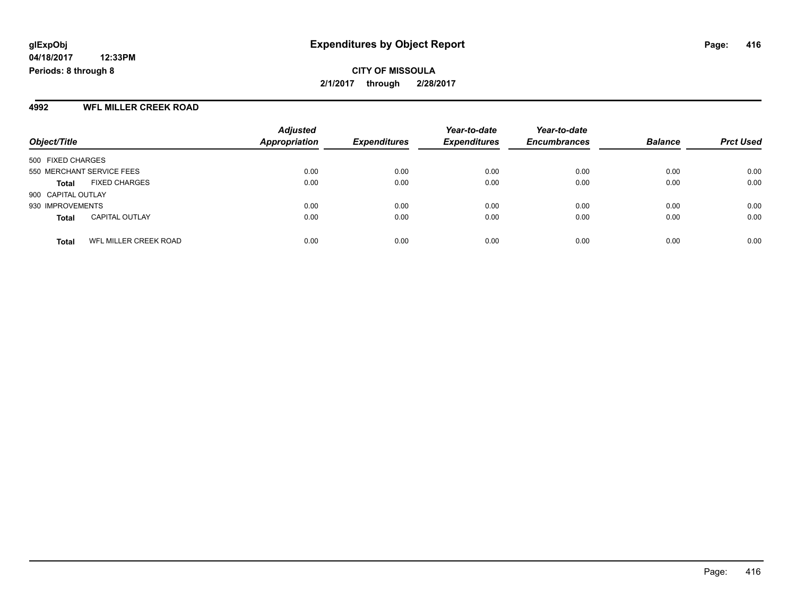**CITY OF MISSOULA 2/1/2017 through 2/28/2017**

#### **4992 WFL MILLER CREEK ROAD**

| Object/Title                          | <b>Adjusted</b><br>Appropriation | <b>Expenditures</b> | Year-to-date<br><b>Expenditures</b> | Year-to-date<br><b>Encumbrances</b> | <b>Balance</b> | <b>Prct Used</b> |
|---------------------------------------|----------------------------------|---------------------|-------------------------------------|-------------------------------------|----------------|------------------|
| 500 FIXED CHARGES                     |                                  |                     |                                     |                                     |                |                  |
|                                       |                                  |                     |                                     |                                     |                |                  |
| 550 MERCHANT SERVICE FEES             | 0.00                             | 0.00                | 0.00                                | 0.00                                | 0.00           | 0.00             |
| <b>FIXED CHARGES</b><br><b>Total</b>  | 0.00                             | 0.00                | 0.00                                | 0.00                                | 0.00           | 0.00             |
| 900 CAPITAL OUTLAY                    |                                  |                     |                                     |                                     |                |                  |
| 930 IMPROVEMENTS                      | 0.00                             | 0.00                | 0.00                                | 0.00                                | 0.00           | 0.00             |
| <b>CAPITAL OUTLAY</b><br><b>Total</b> | 0.00                             | 0.00                | 0.00                                | 0.00                                | 0.00           | 0.00             |
|                                       |                                  |                     |                                     |                                     |                |                  |
| WFL MILLER CREEK ROAD<br><b>Total</b> | 0.00                             | 0.00                | 0.00                                | 0.00                                | 0.00           | 0.00             |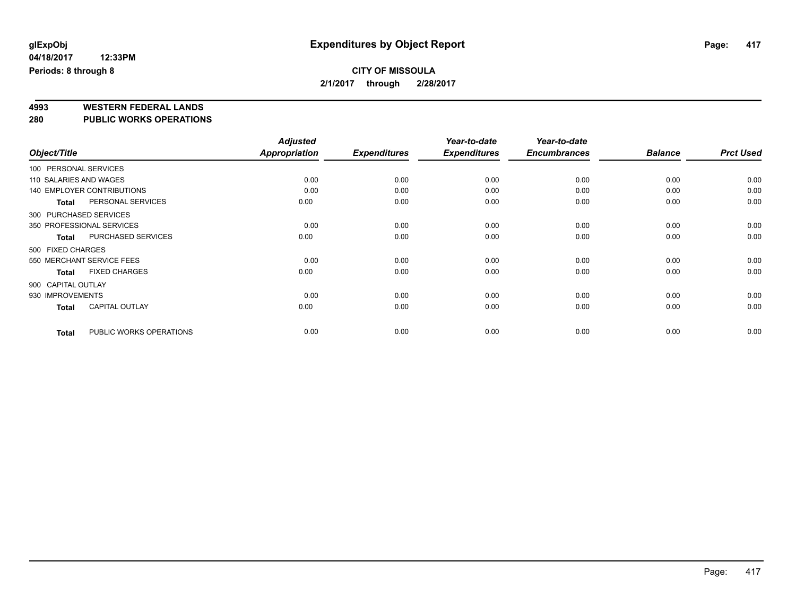# **4993 WESTERN FEDERAL LANDS**

**280 PUBLIC WORKS OPERATIONS**

| Object/Title              |                                   | <b>Adjusted</b><br>Appropriation | <b>Expenditures</b> | Year-to-date<br><b>Expenditures</b> | Year-to-date<br><b>Encumbrances</b> | <b>Balance</b> | <b>Prct Used</b> |
|---------------------------|-----------------------------------|----------------------------------|---------------------|-------------------------------------|-------------------------------------|----------------|------------------|
|                           |                                   |                                  |                     |                                     |                                     |                |                  |
| 100 PERSONAL SERVICES     |                                   |                                  |                     |                                     |                                     |                |                  |
| 110 SALARIES AND WAGES    |                                   | 0.00                             | 0.00                | 0.00                                | 0.00                                | 0.00           | 0.00             |
|                           | <b>140 EMPLOYER CONTRIBUTIONS</b> | 0.00                             | 0.00                | 0.00                                | 0.00                                | 0.00           | 0.00             |
| <b>Total</b>              | PERSONAL SERVICES                 | 0.00                             | 0.00                | 0.00                                | 0.00                                | 0.00           | 0.00             |
| 300 PURCHASED SERVICES    |                                   |                                  |                     |                                     |                                     |                |                  |
| 350 PROFESSIONAL SERVICES |                                   | 0.00                             | 0.00                | 0.00                                | 0.00                                | 0.00           | 0.00             |
| <b>Total</b>              | PURCHASED SERVICES                | 0.00                             | 0.00                | 0.00                                | 0.00                                | 0.00           | 0.00             |
| 500 FIXED CHARGES         |                                   |                                  |                     |                                     |                                     |                |                  |
|                           | 550 MERCHANT SERVICE FEES         | 0.00                             | 0.00                | 0.00                                | 0.00                                | 0.00           | 0.00             |
| Total                     | <b>FIXED CHARGES</b>              | 0.00                             | 0.00                | 0.00                                | 0.00                                | 0.00           | 0.00             |
| 900 CAPITAL OUTLAY        |                                   |                                  |                     |                                     |                                     |                |                  |
| 930 IMPROVEMENTS          |                                   | 0.00                             | 0.00                | 0.00                                | 0.00                                | 0.00           | 0.00             |
| <b>Total</b>              | <b>CAPITAL OUTLAY</b>             | 0.00                             | 0.00                | 0.00                                | 0.00                                | 0.00           | 0.00             |
| <b>Total</b>              | PUBLIC WORKS OPERATIONS           | 0.00                             | 0.00                | 0.00                                | 0.00                                | 0.00           | 0.00             |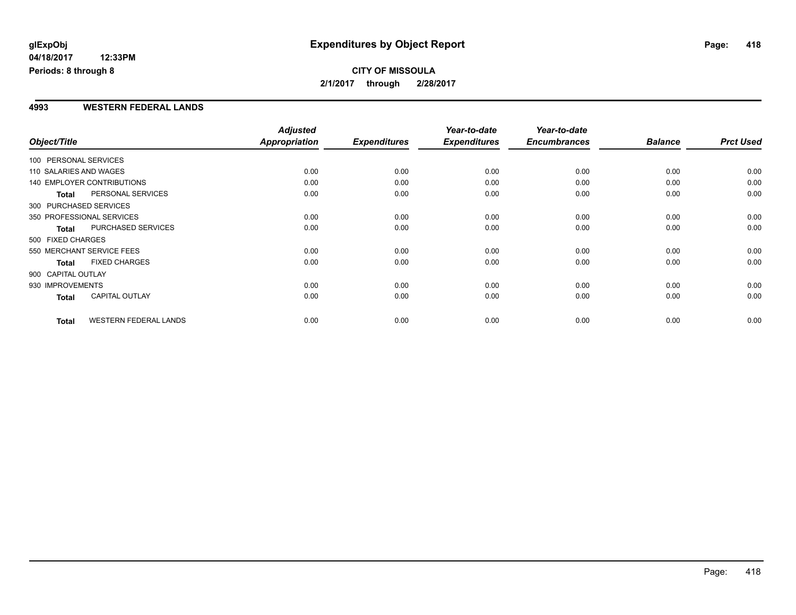**CITY OF MISSOULA 2/1/2017 through 2/28/2017**

#### **4993 WESTERN FEDERAL LANDS**

|                        |                              | <b>Adjusted</b> |                     | Year-to-date        | Year-to-date        |                |                  |
|------------------------|------------------------------|-----------------|---------------------|---------------------|---------------------|----------------|------------------|
| Object/Title           |                              | Appropriation   | <b>Expenditures</b> | <b>Expenditures</b> | <b>Encumbrances</b> | <b>Balance</b> | <b>Prct Used</b> |
| 100 PERSONAL SERVICES  |                              |                 |                     |                     |                     |                |                  |
| 110 SALARIES AND WAGES |                              | 0.00            | 0.00                | 0.00                | 0.00                | 0.00           | 0.00             |
|                        | 140 EMPLOYER CONTRIBUTIONS   | 0.00            | 0.00                | 0.00                | 0.00                | 0.00           | 0.00             |
| <b>Total</b>           | PERSONAL SERVICES            | 0.00            | 0.00                | 0.00                | 0.00                | 0.00           | 0.00             |
|                        | 300 PURCHASED SERVICES       |                 |                     |                     |                     |                |                  |
|                        | 350 PROFESSIONAL SERVICES    | 0.00            | 0.00                | 0.00                | 0.00                | 0.00           | 0.00             |
| <b>Total</b>           | PURCHASED SERVICES           | 0.00            | 0.00                | 0.00                | 0.00                | 0.00           | 0.00             |
| 500 FIXED CHARGES      |                              |                 |                     |                     |                     |                |                  |
|                        | 550 MERCHANT SERVICE FEES    | 0.00            | 0.00                | 0.00                | 0.00                | 0.00           | 0.00             |
| <b>Total</b>           | <b>FIXED CHARGES</b>         | 0.00            | 0.00                | 0.00                | 0.00                | 0.00           | 0.00             |
| 900 CAPITAL OUTLAY     |                              |                 |                     |                     |                     |                |                  |
| 930 IMPROVEMENTS       |                              | 0.00            | 0.00                | 0.00                | 0.00                | 0.00           | 0.00             |
| Total                  | CAPITAL OUTLAY               | 0.00            | 0.00                | 0.00                | 0.00                | 0.00           | 0.00             |
| <b>Total</b>           | <b>WESTERN FEDERAL LANDS</b> | 0.00            | 0.00                | 0.00                | 0.00                | 0.00           | 0.00             |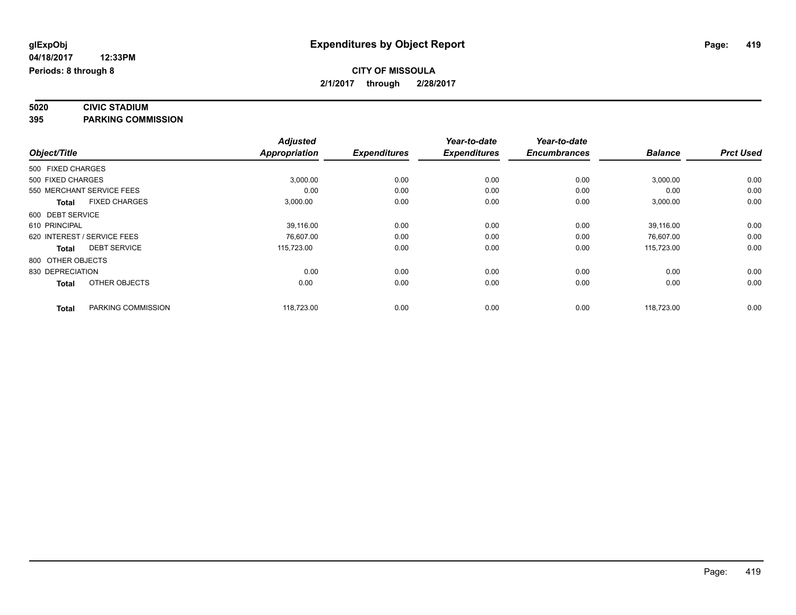# **5020 CIVIC STADIUM**

**395 PARKING COMMISSION**

|                                      | <b>Adjusted</b>      |                     | Year-to-date        | Year-to-date        |                |                  |
|--------------------------------------|----------------------|---------------------|---------------------|---------------------|----------------|------------------|
| Object/Title                         | <b>Appropriation</b> | <b>Expenditures</b> | <b>Expenditures</b> | <b>Encumbrances</b> | <b>Balance</b> | <b>Prct Used</b> |
| 500 FIXED CHARGES                    |                      |                     |                     |                     |                |                  |
| 500 FIXED CHARGES                    | 3,000.00             | 0.00                | 0.00                | 0.00                | 3,000.00       | 0.00             |
| 550 MERCHANT SERVICE FEES            | 0.00                 | 0.00                | 0.00                | 0.00                | 0.00           | 0.00             |
| <b>FIXED CHARGES</b><br><b>Total</b> | 3,000.00             | 0.00                | 0.00                | 0.00                | 3,000.00       | 0.00             |
| 600 DEBT SERVICE                     |                      |                     |                     |                     |                |                  |
| 610 PRINCIPAL                        | 39,116.00            | 0.00                | 0.00                | 0.00                | 39,116.00      | 0.00             |
| 620 INTEREST / SERVICE FEES          | 76,607.00            | 0.00                | 0.00                | 0.00                | 76,607.00      | 0.00             |
| <b>DEBT SERVICE</b><br><b>Total</b>  | 115,723.00           | 0.00                | 0.00                | 0.00                | 115,723.00     | 0.00             |
| 800 OTHER OBJECTS                    |                      |                     |                     |                     |                |                  |
| 830 DEPRECIATION                     | 0.00                 | 0.00                | 0.00                | 0.00                | 0.00           | 0.00             |
| OTHER OBJECTS<br><b>Total</b>        | 0.00                 | 0.00                | 0.00                | 0.00                | 0.00           | 0.00             |
| PARKING COMMISSION<br><b>Total</b>   | 118,723.00           | 0.00                | 0.00                | 0.00                | 118,723.00     | 0.00             |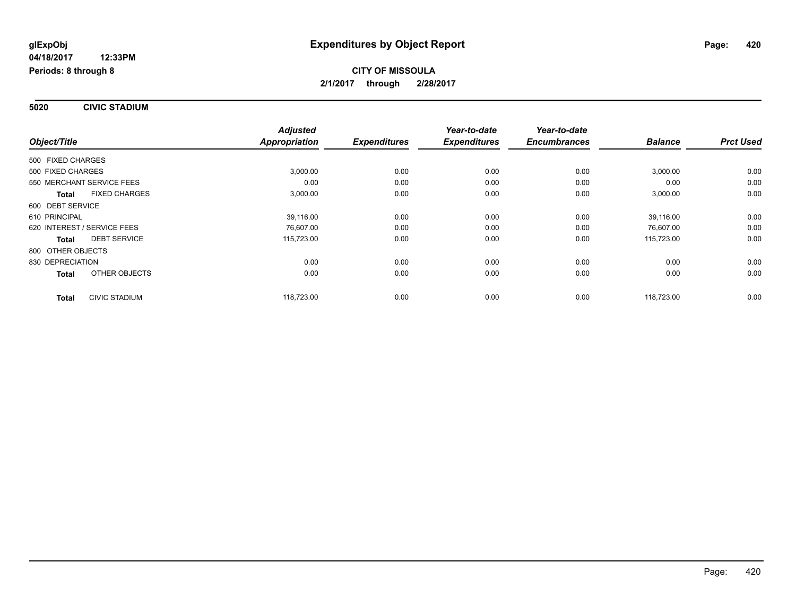**5020 CIVIC STADIUM**

|                                      | <b>Adjusted</b>      |                     | Year-to-date        | Year-to-date        |                |                  |
|--------------------------------------|----------------------|---------------------|---------------------|---------------------|----------------|------------------|
| Object/Title                         | <b>Appropriation</b> | <b>Expenditures</b> | <b>Expenditures</b> | <b>Encumbrances</b> | <b>Balance</b> | <b>Prct Used</b> |
| 500 FIXED CHARGES                    |                      |                     |                     |                     |                |                  |
| 500 FIXED CHARGES                    | 3,000.00             | 0.00                | 0.00                | 0.00                | 3,000.00       | 0.00             |
| 550 MERCHANT SERVICE FEES            | 0.00                 | 0.00                | 0.00                | 0.00                | 0.00           | 0.00             |
| <b>FIXED CHARGES</b><br><b>Total</b> | 3,000.00             | 0.00                | 0.00                | 0.00                | 3,000.00       | 0.00             |
| 600 DEBT SERVICE                     |                      |                     |                     |                     |                |                  |
| 610 PRINCIPAL                        | 39,116.00            | 0.00                | 0.00                | 0.00                | 39,116.00      | 0.00             |
| 620 INTEREST / SERVICE FEES          | 76,607.00            | 0.00                | 0.00                | 0.00                | 76,607.00      | 0.00             |
| <b>DEBT SERVICE</b><br><b>Total</b>  | 115,723.00           | 0.00                | 0.00                | 0.00                | 115,723.00     | 0.00             |
| 800 OTHER OBJECTS                    |                      |                     |                     |                     |                |                  |
| 830 DEPRECIATION                     | 0.00                 | 0.00                | 0.00                | 0.00                | 0.00           | 0.00             |
| OTHER OBJECTS<br><b>Total</b>        | 0.00                 | 0.00                | 0.00                | 0.00                | 0.00           | 0.00             |
| CIVIC STADIUM<br><b>Total</b>        | 118,723.00           | 0.00                | 0.00                | 0.00                | 118,723.00     | 0.00             |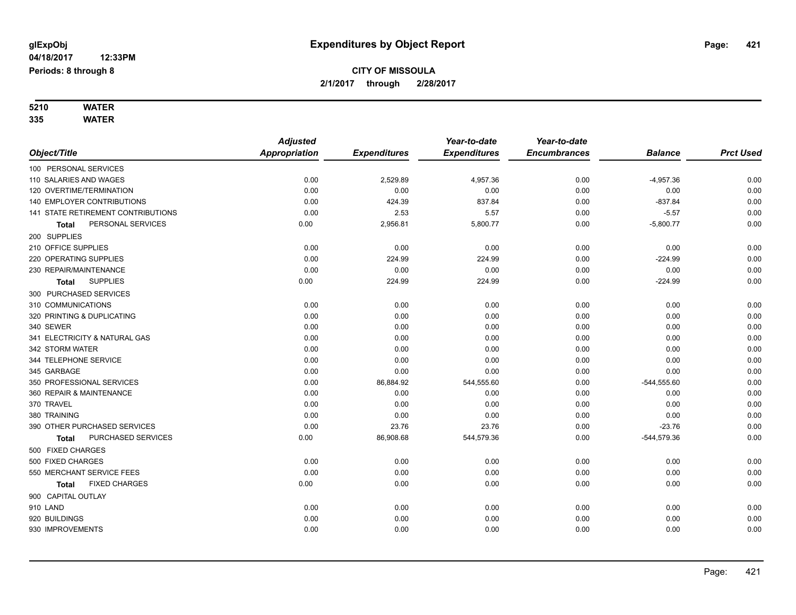# **5210 WATER**

|                                    | <b>Adjusted</b> |                     | Year-to-date        | Year-to-date        |                |                  |
|------------------------------------|-----------------|---------------------|---------------------|---------------------|----------------|------------------|
| Object/Title                       | Appropriation   | <b>Expenditures</b> | <b>Expenditures</b> | <b>Encumbrances</b> | <b>Balance</b> | <b>Prct Used</b> |
| 100 PERSONAL SERVICES              |                 |                     |                     |                     |                |                  |
| 110 SALARIES AND WAGES             | 0.00            | 2,529.89            | 4,957.36            | 0.00                | $-4,957.36$    | 0.00             |
| 120 OVERTIME/TERMINATION           | 0.00            | 0.00                | 0.00                | 0.00                | 0.00           | 0.00             |
| 140 EMPLOYER CONTRIBUTIONS         | 0.00            | 424.39              | 837.84              | 0.00                | $-837.84$      | 0.00             |
| 141 STATE RETIREMENT CONTRIBUTIONS | 0.00            | 2.53                | 5.57                | 0.00                | $-5.57$        | 0.00             |
| PERSONAL SERVICES<br>Total         | 0.00            | 2,956.81            | 5,800.77            | 0.00                | $-5,800.77$    | 0.00             |
| 200 SUPPLIES                       |                 |                     |                     |                     |                |                  |
| 210 OFFICE SUPPLIES                | 0.00            | 0.00                | 0.00                | 0.00                | 0.00           | 0.00             |
| 220 OPERATING SUPPLIES             | 0.00            | 224.99              | 224.99              | 0.00                | $-224.99$      | 0.00             |
| 230 REPAIR/MAINTENANCE             | 0.00            | 0.00                | 0.00                | 0.00                | 0.00           | 0.00             |
| <b>SUPPLIES</b><br><b>Total</b>    | 0.00            | 224.99              | 224.99              | 0.00                | $-224.99$      | 0.00             |
| 300 PURCHASED SERVICES             |                 |                     |                     |                     |                |                  |
| 310 COMMUNICATIONS                 | 0.00            | 0.00                | 0.00                | 0.00                | 0.00           | 0.00             |
| 320 PRINTING & DUPLICATING         | 0.00            | 0.00                | 0.00                | 0.00                | 0.00           | 0.00             |
| 340 SEWER                          | 0.00            | 0.00                | 0.00                | 0.00                | 0.00           | 0.00             |
| 341 ELECTRICITY & NATURAL GAS      | 0.00            | 0.00                | 0.00                | 0.00                | 0.00           | 0.00             |
| 342 STORM WATER                    | 0.00            | 0.00                | 0.00                | 0.00                | 0.00           | 0.00             |
| 344 TELEPHONE SERVICE              | 0.00            | 0.00                | 0.00                | 0.00                | 0.00           | 0.00             |
| 345 GARBAGE                        | 0.00            | 0.00                | 0.00                | 0.00                | 0.00           | 0.00             |
| 350 PROFESSIONAL SERVICES          | 0.00            | 86,884.92           | 544,555.60          | 0.00                | $-544,555.60$  | 0.00             |
| 360 REPAIR & MAINTENANCE           | 0.00            | 0.00                | 0.00                | 0.00                | 0.00           | 0.00             |
| 370 TRAVEL                         | 0.00            | 0.00                | 0.00                | 0.00                | 0.00           | 0.00             |
| 380 TRAINING                       | 0.00            | 0.00                | 0.00                | 0.00                | 0.00           | 0.00             |
| 390 OTHER PURCHASED SERVICES       | 0.00            | 23.76               | 23.76               | 0.00                | $-23.76$       | 0.00             |
| PURCHASED SERVICES<br>Total        | 0.00            | 86,908.68           | 544,579.36          | 0.00                | -544,579.36    | 0.00             |
| 500 FIXED CHARGES                  |                 |                     |                     |                     |                |                  |
| 500 FIXED CHARGES                  | 0.00            | 0.00                | 0.00                | 0.00                | 0.00           | 0.00             |
| 550 MERCHANT SERVICE FEES          | 0.00            | 0.00                | 0.00                | 0.00                | 0.00           | 0.00             |
| <b>FIXED CHARGES</b><br>Total      | 0.00            | 0.00                | 0.00                | 0.00                | 0.00           | 0.00             |
| 900 CAPITAL OUTLAY                 |                 |                     |                     |                     |                |                  |
| 910 LAND                           | 0.00            | 0.00                | 0.00                | 0.00                | 0.00           | 0.00             |
| 920 BUILDINGS                      | 0.00            | 0.00                | 0.00                | 0.00                | 0.00           | 0.00             |
| 930 IMPROVEMENTS                   | 0.00            | 0.00                | 0.00                | 0.00                | 0.00           | 0.00             |
|                                    |                 |                     |                     |                     |                |                  |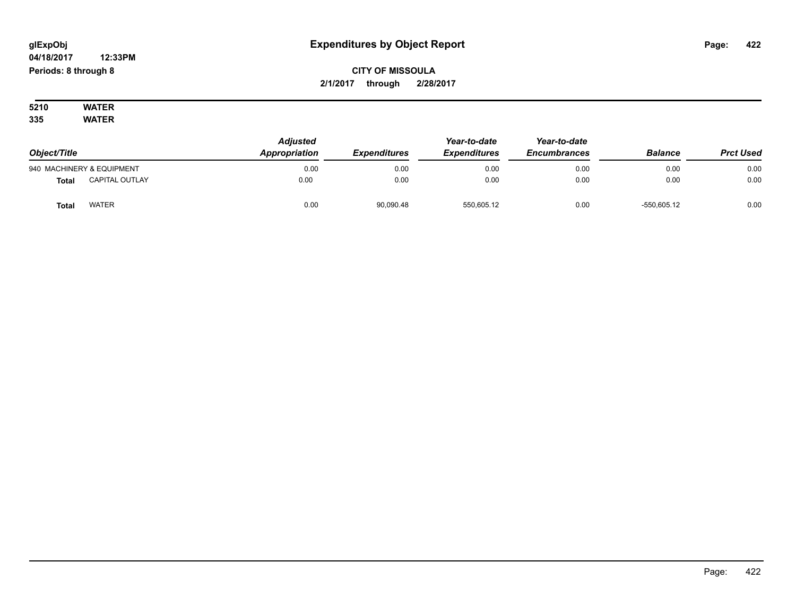# **CITY OF MISSOULA 2/1/2017 through 2/28/2017**

**5210 WATER 335 WATER**

| Object/Title |                           | <b>Adjusted</b><br>Appropriation | <i><b>Expenditures</b></i> | Year-to-date<br><b>Expenditures</b> | Year-to-date<br><b>Encumbrances</b> | <b>Balance</b> | <b>Prct Used</b> |
|--------------|---------------------------|----------------------------------|----------------------------|-------------------------------------|-------------------------------------|----------------|------------------|
|              | 940 MACHINERY & EQUIPMENT | 0.00                             | 0.00                       | 0.00                                | 0.00                                | 0.00           | 0.00             |
| <b>Total</b> | <b>CAPITAL OUTLAY</b>     | 0.00                             | 0.00                       | 0.00                                | 0.00                                | 0.00           | 0.00             |
| <b>Tota</b>  | <b>WATER</b>              | 0.00                             | 90,090.48                  | 550,605.12                          | 0.00                                | $-550,605.12$  | 0.00             |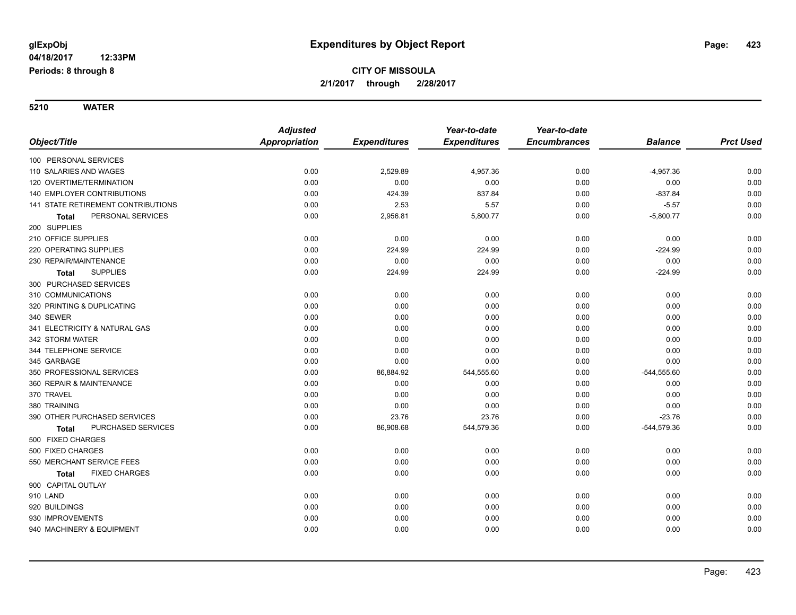# **CITY OF MISSOULA 2/1/2017 through 2/28/2017**

|                                           | <b>Adjusted</b> |                     | Year-to-date        | Year-to-date        |                |                  |
|-------------------------------------------|-----------------|---------------------|---------------------|---------------------|----------------|------------------|
| Object/Title                              | Appropriation   | <b>Expenditures</b> | <b>Expenditures</b> | <b>Encumbrances</b> | <b>Balance</b> | <b>Prct Used</b> |
| 100 PERSONAL SERVICES                     |                 |                     |                     |                     |                |                  |
| 110 SALARIES AND WAGES                    | 0.00            | 2,529.89            | 4,957.36            | 0.00                | $-4,957.36$    | 0.00             |
| 120 OVERTIME/TERMINATION                  | 0.00            | 0.00                | 0.00                | 0.00                | 0.00           | 0.00             |
| <b>140 EMPLOYER CONTRIBUTIONS</b>         | 0.00            | 424.39              | 837.84              | 0.00                | $-837.84$      | 0.00             |
| <b>141 STATE RETIREMENT CONTRIBUTIONS</b> | 0.00            | 2.53                | 5.57                | 0.00                | $-5.57$        | 0.00             |
| PERSONAL SERVICES<br>Total                | 0.00            | 2,956.81            | 5,800.77            | 0.00                | $-5,800.77$    | 0.00             |
| 200 SUPPLIES                              |                 |                     |                     |                     |                |                  |
| 210 OFFICE SUPPLIES                       | 0.00            | 0.00                | 0.00                | 0.00                | 0.00           | 0.00             |
| 220 OPERATING SUPPLIES                    | 0.00            | 224.99              | 224.99              | 0.00                | $-224.99$      | 0.00             |
| 230 REPAIR/MAINTENANCE                    | 0.00            | 0.00                | 0.00                | 0.00                | 0.00           | 0.00             |
| <b>SUPPLIES</b><br><b>Total</b>           | 0.00            | 224.99              | 224.99              | 0.00                | $-224.99$      | 0.00             |
| 300 PURCHASED SERVICES                    |                 |                     |                     |                     |                |                  |
| 310 COMMUNICATIONS                        | 0.00            | 0.00                | 0.00                | 0.00                | 0.00           | 0.00             |
| 320 PRINTING & DUPLICATING                | 0.00            | 0.00                | 0.00                | 0.00                | 0.00           | 0.00             |
| 340 SEWER                                 | 0.00            | 0.00                | 0.00                | 0.00                | 0.00           | 0.00             |
| 341 ELECTRICITY & NATURAL GAS             | 0.00            | 0.00                | 0.00                | 0.00                | 0.00           | 0.00             |
| 342 STORM WATER                           | 0.00            | 0.00                | 0.00                | 0.00                | 0.00           | 0.00             |
| 344 TELEPHONE SERVICE                     | 0.00            | 0.00                | 0.00                | 0.00                | 0.00           | 0.00             |
| 345 GARBAGE                               | 0.00            | 0.00                | 0.00                | 0.00                | 0.00           | 0.00             |
| 350 PROFESSIONAL SERVICES                 | 0.00            | 86,884.92           | 544,555.60          | 0.00                | $-544,555.60$  | 0.00             |
| 360 REPAIR & MAINTENANCE                  | 0.00            | 0.00                | 0.00                | 0.00                | 0.00           | 0.00             |
| 370 TRAVEL                                | 0.00            | 0.00                | 0.00                | 0.00                | 0.00           | 0.00             |
| 380 TRAINING                              | 0.00            | 0.00                | 0.00                | 0.00                | 0.00           | 0.00             |
| 390 OTHER PURCHASED SERVICES              | 0.00            | 23.76               | 23.76               | 0.00                | $-23.76$       | 0.00             |
| PURCHASED SERVICES<br>Total               | 0.00            | 86,908.68           | 544,579.36          | 0.00                | $-544,579.36$  | 0.00             |
| 500 FIXED CHARGES                         |                 |                     |                     |                     |                |                  |
| 500 FIXED CHARGES                         | 0.00            | 0.00                | 0.00                | 0.00                | 0.00           | 0.00             |
| 550 MERCHANT SERVICE FEES                 | 0.00            | 0.00                | 0.00                | 0.00                | 0.00           | 0.00             |
| <b>FIXED CHARGES</b><br>Total             | 0.00            | 0.00                | 0.00                | 0.00                | 0.00           | 0.00             |
| 900 CAPITAL OUTLAY                        |                 |                     |                     |                     |                |                  |
| 910 LAND                                  | 0.00            | 0.00                | 0.00                | 0.00                | 0.00           | 0.00             |
| 920 BUILDINGS                             | 0.00            | 0.00                | 0.00                | 0.00                | 0.00           | 0.00             |
| 930 IMPROVEMENTS                          | 0.00            | 0.00                | 0.00                | 0.00                | 0.00           | 0.00             |
| 940 MACHINERY & EQUIPMENT                 | 0.00            | 0.00                | 0.00                | 0.00                | 0.00           | 0.00             |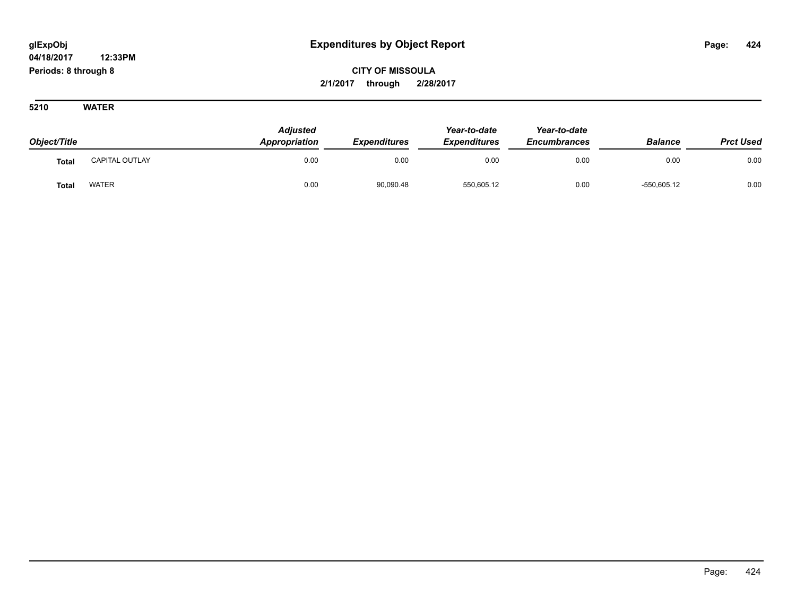**CITY OF MISSOULA 2/1/2017 through 2/28/2017**

| Object/Title |                | <b>Adjusted</b><br>Appropriation | <b>Expenditures</b> | Year-to-date<br><b>Expenditures</b> | Year-to-date<br><b>Encumbrances</b> | <b>Balance</b> | <b>Prct Used</b> |
|--------------|----------------|----------------------------------|---------------------|-------------------------------------|-------------------------------------|----------------|------------------|
| Total        | CAPITAL OUTLAY | 0.00                             | 0.00                | 0.00                                | 0.00                                | 0.00           | 0.00             |
| <b>Total</b> | <b>WATER</b>   | 0.00                             | 90,090.48           | 550,605.12                          | 0.00                                | $-550,605.12$  | 0.00             |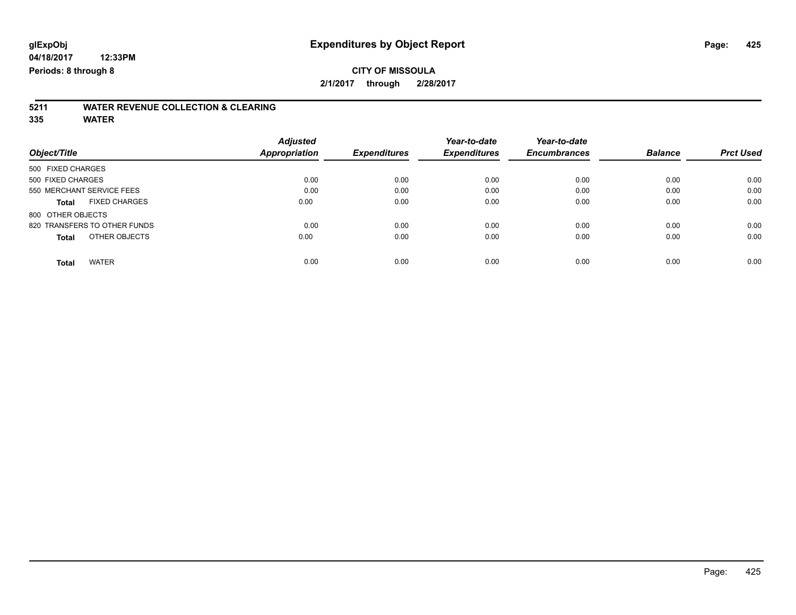# **5211 WATER REVENUE COLLECTION & CLEARING**

|                               | <b>Adjusted</b>      |                     | Year-to-date        | Year-to-date        |                |                  |
|-------------------------------|----------------------|---------------------|---------------------|---------------------|----------------|------------------|
| Object/Title                  | <b>Appropriation</b> | <b>Expenditures</b> | <b>Expenditures</b> | <b>Encumbrances</b> | <b>Balance</b> | <b>Prct Used</b> |
| 500 FIXED CHARGES             |                      |                     |                     |                     |                |                  |
| 500 FIXED CHARGES             | 0.00                 | 0.00                | 0.00                | 0.00                | 0.00           | 0.00             |
| 550 MERCHANT SERVICE FEES     | 0.00                 | 0.00                | 0.00                | 0.00                | 0.00           | 0.00             |
| <b>FIXED CHARGES</b><br>Total | 0.00                 | 0.00                | 0.00                | 0.00                | 0.00           | 0.00             |
| 800 OTHER OBJECTS             |                      |                     |                     |                     |                |                  |
| 820 TRANSFERS TO OTHER FUNDS  | 0.00                 | 0.00                | 0.00                | 0.00                | 0.00           | 0.00             |
| OTHER OBJECTS<br><b>Total</b> | 0.00                 | 0.00                | 0.00                | 0.00                | 0.00           | 0.00             |
| <b>WATER</b><br><b>Total</b>  | 0.00                 | 0.00                | 0.00                | 0.00                | 0.00           | 0.00             |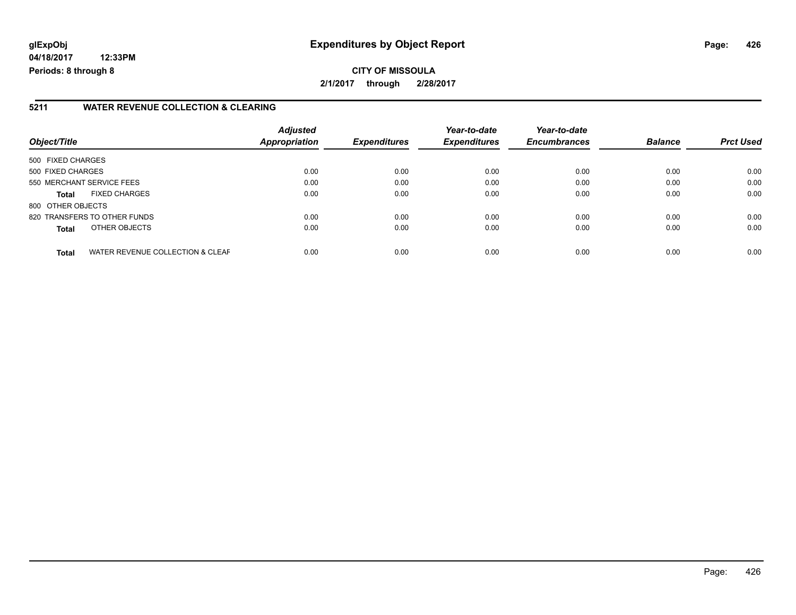# **glExpObj Expenditures by Object Report Page: 426**

**04/18/2017 12:33PM Periods: 8 through 8**

#### **5211 WATER REVENUE COLLECTION & CLEARING**

| Object/Title      |                                  | <b>Adjusted</b><br>Appropriation | <b>Expenditures</b> | Year-to-date<br><b>Expenditures</b> | Year-to-date<br><b>Encumbrances</b> | <b>Balance</b> | <b>Prct Used</b> |
|-------------------|----------------------------------|----------------------------------|---------------------|-------------------------------------|-------------------------------------|----------------|------------------|
| 500 FIXED CHARGES |                                  |                                  |                     |                                     |                                     |                |                  |
| 500 FIXED CHARGES |                                  | 0.00                             | 0.00                | 0.00                                | 0.00                                | 0.00           | 0.00             |
|                   | 550 MERCHANT SERVICE FEES        | 0.00                             | 0.00                | 0.00                                | 0.00                                | 0.00           | 0.00             |
| <b>Total</b>      | <b>FIXED CHARGES</b>             | 0.00                             | 0.00                | 0.00                                | 0.00                                | 0.00           | 0.00             |
| 800 OTHER OBJECTS |                                  |                                  |                     |                                     |                                     |                |                  |
|                   | 820 TRANSFERS TO OTHER FUNDS     | 0.00                             | 0.00                | 0.00                                | 0.00                                | 0.00           | 0.00             |
| Total             | OTHER OBJECTS                    | 0.00                             | 0.00                | 0.00                                | 0.00                                | 0.00           | 0.00             |
| <b>Total</b>      | WATER REVENUE COLLECTION & CLEAF | 0.00                             | 0.00                | 0.00                                | 0.00                                | 0.00           | 0.00             |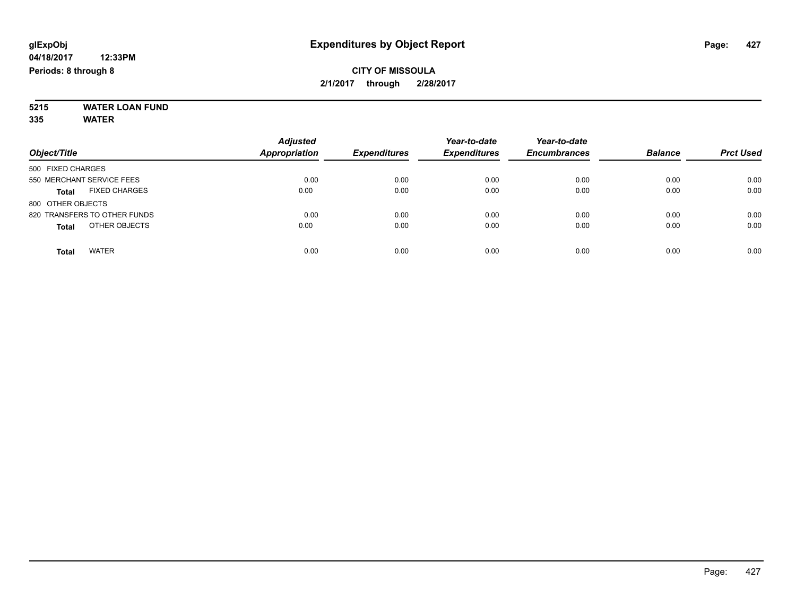#### **5215 WATER LOAN FUND 335 WATER**

| Object/Title                         | <b>Adjusted</b><br><b>Appropriation</b> | <b>Expenditures</b> | Year-to-date<br><b>Expenditures</b> | Year-to-date<br><b>Encumbrances</b> | <b>Balance</b> | <b>Prct Used</b> |
|--------------------------------------|-----------------------------------------|---------------------|-------------------------------------|-------------------------------------|----------------|------------------|
| 500 FIXED CHARGES                    |                                         |                     |                                     |                                     |                |                  |
| 550 MERCHANT SERVICE FEES            | 0.00                                    | 0.00                | 0.00                                | 0.00                                | 0.00           | 0.00             |
| <b>FIXED CHARGES</b><br><b>Total</b> | 0.00                                    | 0.00                | 0.00                                | 0.00                                | 0.00           | 0.00             |
| 800 OTHER OBJECTS                    |                                         |                     |                                     |                                     |                |                  |
| 820 TRANSFERS TO OTHER FUNDS         | 0.00                                    | 0.00                | 0.00                                | 0.00                                | 0.00           | 0.00             |
| OTHER OBJECTS<br><b>Total</b>        | 0.00                                    | 0.00                | 0.00                                | 0.00                                | 0.00           | 0.00             |
| <b>WATER</b><br>Total                | 0.00                                    | 0.00                | 0.00                                | 0.00                                | 0.00           | 0.00             |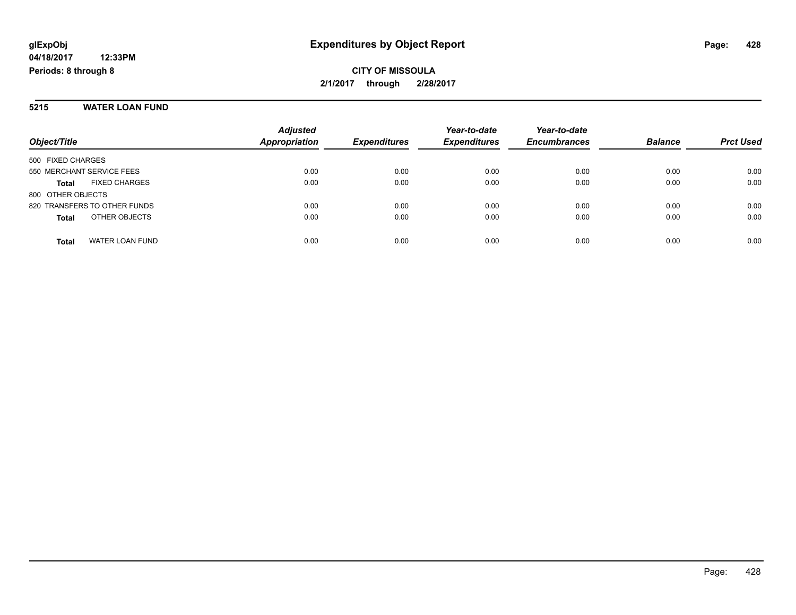#### **5215 WATER LOAN FUND**

| Object/Title                         | <b>Adjusted</b><br>Appropriation | <b>Expenditures</b> | Year-to-date<br><b>Expenditures</b> | Year-to-date<br><b>Encumbrances</b> | <b>Balance</b> | <b>Prct Used</b> |
|--------------------------------------|----------------------------------|---------------------|-------------------------------------|-------------------------------------|----------------|------------------|
| 500 FIXED CHARGES                    |                                  |                     |                                     |                                     |                |                  |
| 550 MERCHANT SERVICE FEES            | 0.00                             | 0.00                | 0.00                                | 0.00                                | 0.00           | 0.00             |
| <b>FIXED CHARGES</b><br><b>Total</b> | 0.00                             | 0.00                | 0.00                                | 0.00                                | 0.00           | 0.00             |
| 800 OTHER OBJECTS                    |                                  |                     |                                     |                                     |                |                  |
| 820 TRANSFERS TO OTHER FUNDS         | 0.00                             | 0.00                | 0.00                                | 0.00                                | 0.00           | 0.00             |
| OTHER OBJECTS<br><b>Total</b>        | 0.00                             | 0.00                | 0.00                                | 0.00                                | 0.00           | 0.00             |
| WATER LOAN FUND<br><b>Total</b>      | 0.00                             | 0.00                | 0.00                                | 0.00                                | 0.00           | 0.00             |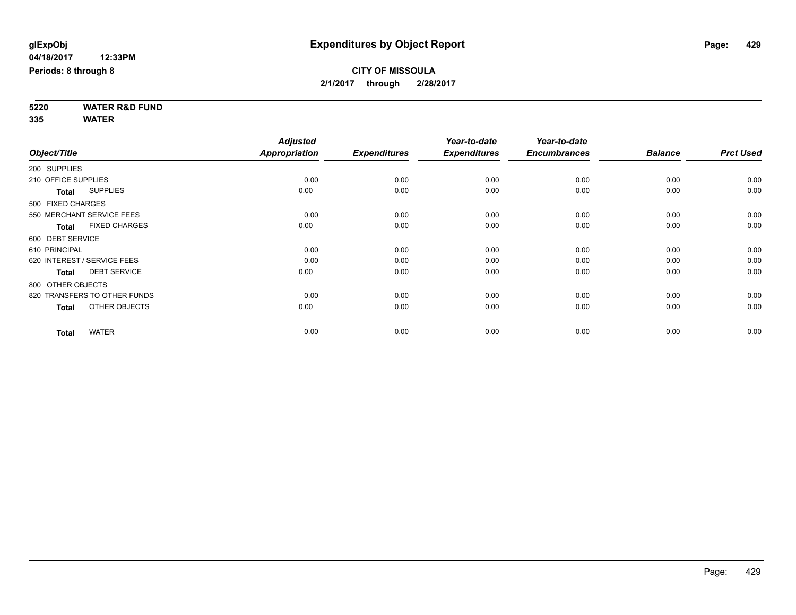**5220 WATER R&D FUND 335 WATER**

|                     |                              | <b>Adjusted</b>      |                     | Year-to-date        | Year-to-date        |                |                  |
|---------------------|------------------------------|----------------------|---------------------|---------------------|---------------------|----------------|------------------|
| Object/Title        |                              | <b>Appropriation</b> | <b>Expenditures</b> | <b>Expenditures</b> | <b>Encumbrances</b> | <b>Balance</b> | <b>Prct Used</b> |
| 200 SUPPLIES        |                              |                      |                     |                     |                     |                |                  |
| 210 OFFICE SUPPLIES |                              | 0.00                 | 0.00                | 0.00                | 0.00                | 0.00           | 0.00             |
| <b>Total</b>        | <b>SUPPLIES</b>              | 0.00                 | 0.00                | 0.00                | 0.00                | 0.00           | 0.00             |
| 500 FIXED CHARGES   |                              |                      |                     |                     |                     |                |                  |
|                     | 550 MERCHANT SERVICE FEES    | 0.00                 | 0.00                | 0.00                | 0.00                | 0.00           | 0.00             |
| <b>Total</b>        | <b>FIXED CHARGES</b>         | 0.00                 | 0.00                | 0.00                | 0.00                | 0.00           | 0.00             |
| 600 DEBT SERVICE    |                              |                      |                     |                     |                     |                |                  |
| 610 PRINCIPAL       |                              | 0.00                 | 0.00                | 0.00                | 0.00                | 0.00           | 0.00             |
|                     | 620 INTEREST / SERVICE FEES  | 0.00                 | 0.00                | 0.00                | 0.00                | 0.00           | 0.00             |
| <b>Total</b>        | <b>DEBT SERVICE</b>          | 0.00                 | 0.00                | 0.00                | 0.00                | 0.00           | 0.00             |
| 800 OTHER OBJECTS   |                              |                      |                     |                     |                     |                |                  |
|                     | 820 TRANSFERS TO OTHER FUNDS | 0.00                 | 0.00                | 0.00                | 0.00                | 0.00           | 0.00             |
| <b>Total</b>        | OTHER OBJECTS                | 0.00                 | 0.00                | 0.00                | 0.00                | 0.00           | 0.00             |
| <b>Total</b>        | <b>WATER</b>                 | 0.00                 | 0.00                | 0.00                | 0.00                | 0.00           | 0.00             |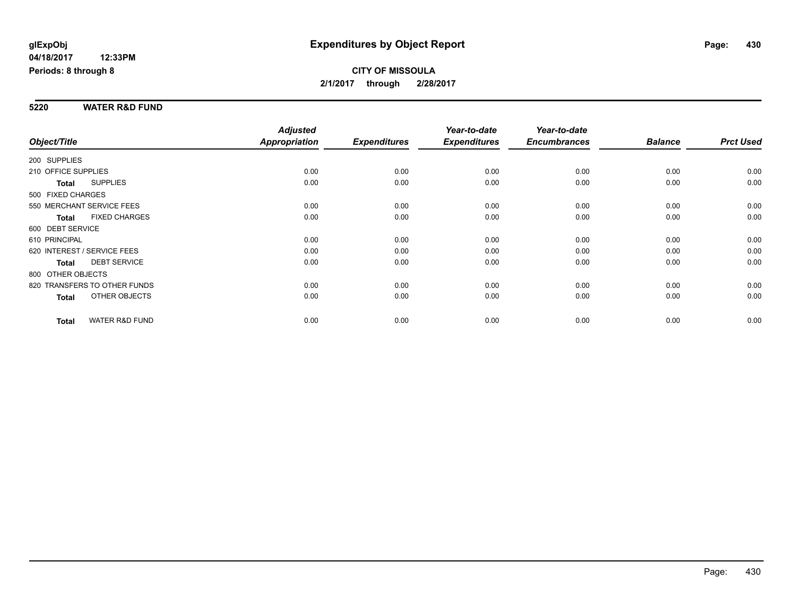#### **5220 WATER R&D FUND**

|                                           | <b>Adjusted</b>      |                     | Year-to-date        | Year-to-date        |                |                  |
|-------------------------------------------|----------------------|---------------------|---------------------|---------------------|----------------|------------------|
| Object/Title                              | <b>Appropriation</b> | <b>Expenditures</b> | <b>Expenditures</b> | <b>Encumbrances</b> | <b>Balance</b> | <b>Prct Used</b> |
| 200 SUPPLIES                              |                      |                     |                     |                     |                |                  |
| 210 OFFICE SUPPLIES                       | 0.00                 | 0.00                | 0.00                | 0.00                | 0.00           | 0.00             |
| <b>SUPPLIES</b><br>Total                  | 0.00                 | 0.00                | 0.00                | 0.00                | 0.00           | 0.00             |
| 500 FIXED CHARGES                         |                      |                     |                     |                     |                |                  |
| 550 MERCHANT SERVICE FEES                 | 0.00                 | 0.00                | 0.00                | 0.00                | 0.00           | 0.00             |
| <b>FIXED CHARGES</b><br><b>Total</b>      | 0.00                 | 0.00                | 0.00                | 0.00                | 0.00           | 0.00             |
| 600 DEBT SERVICE                          |                      |                     |                     |                     |                |                  |
| 610 PRINCIPAL                             | 0.00                 | 0.00                | 0.00                | 0.00                | 0.00           | 0.00             |
| 620 INTEREST / SERVICE FEES               | 0.00                 | 0.00                | 0.00                | 0.00                | 0.00           | 0.00             |
| <b>DEBT SERVICE</b><br><b>Total</b>       | 0.00                 | 0.00                | 0.00                | 0.00                | 0.00           | 0.00             |
| 800 OTHER OBJECTS                         |                      |                     |                     |                     |                |                  |
| 820 TRANSFERS TO OTHER FUNDS              | 0.00                 | 0.00                | 0.00                | 0.00                | 0.00           | 0.00             |
| OTHER OBJECTS<br>Total                    | 0.00                 | 0.00                | 0.00                | 0.00                | 0.00           | 0.00             |
|                                           |                      |                     |                     |                     |                |                  |
| <b>WATER R&amp;D FUND</b><br><b>Total</b> | 0.00                 | 0.00                | 0.00                | 0.00                | 0.00           | 0.00             |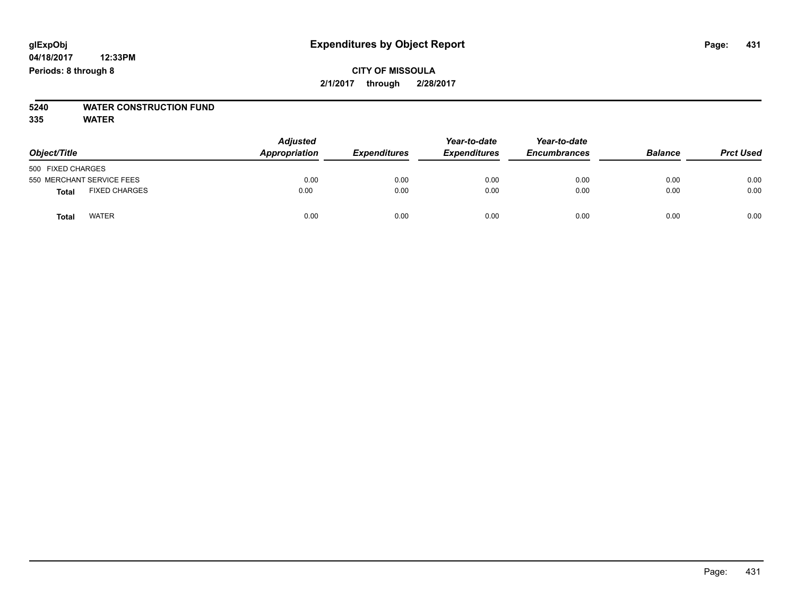# **CITY OF MISSOULA 2/1/2017 through 2/28/2017**

# **5240 WATER CONSTRUCTION FUND**

| Object/Title                         | <b>Adjusted</b><br>Appropriation | <b>Expenditures</b> | Year-to-date<br><b>Expenditures</b> | Year-to-date<br><b>Encumbrances</b> | <b>Balance</b> | <b>Prct Used</b> |
|--------------------------------------|----------------------------------|---------------------|-------------------------------------|-------------------------------------|----------------|------------------|
| 500 FIXED CHARGES                    |                                  |                     |                                     |                                     |                |                  |
| 550 MERCHANT SERVICE FEES            | 0.00                             | 0.00                | 0.00                                | 0.00                                | 0.00           | 0.00             |
| <b>FIXED CHARGES</b><br><b>Total</b> | 0.00                             | 0.00                | 0.00                                | 0.00                                | 0.00           | 0.00             |
| <b>WATER</b><br>Total                | 0.00                             | 0.00                | 0.00                                | 0.00                                | 0.00           | 0.00             |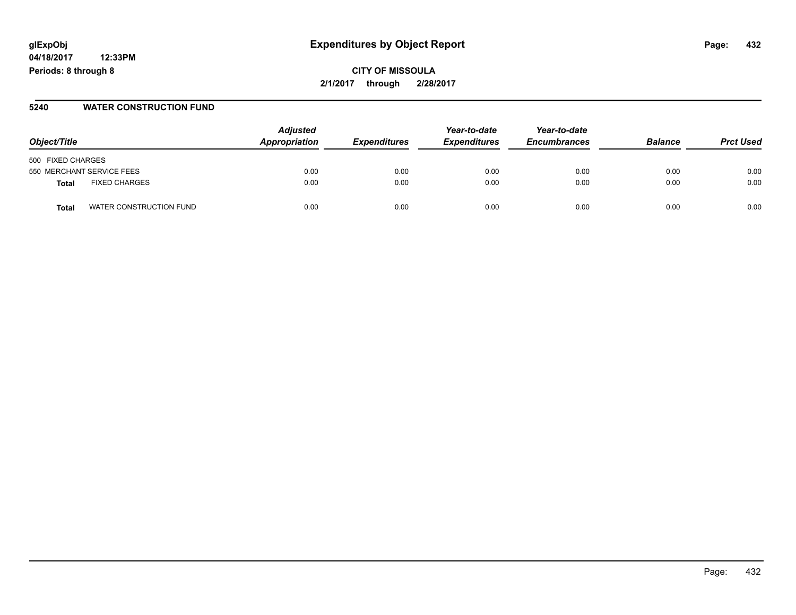# **glExpObj Expenditures by Object Report Page: 432**

**04/18/2017 12:33PM Periods: 8 through 8**

#### **5240 WATER CONSTRUCTION FUND**

| Object/Title                    | <b>Adjusted</b><br>Appropriation | <i><b>Expenditures</b></i> | Year-to-date<br><b>Expenditures</b> | Year-to-date<br><b>Encumbrances</b> | <b>Balance</b> | <b>Prct Used</b> |
|---------------------------------|----------------------------------|----------------------------|-------------------------------------|-------------------------------------|----------------|------------------|
| 500 FIXED CHARGES               |                                  |                            |                                     |                                     |                |                  |
| 550 MERCHANT SERVICE FEES       | 0.00                             | 0.00                       | 0.00                                | 0.00                                | 0.00           | 0.00             |
| <b>FIXED CHARGES</b><br>Total   | 0.00                             | 0.00                       | 0.00                                | 0.00                                | 0.00           | 0.00             |
| WATER CONSTRUCTION FUND<br>Tota | 0.00                             | 0.00                       | 0.00                                | 0.00                                | 0.00           | 0.00             |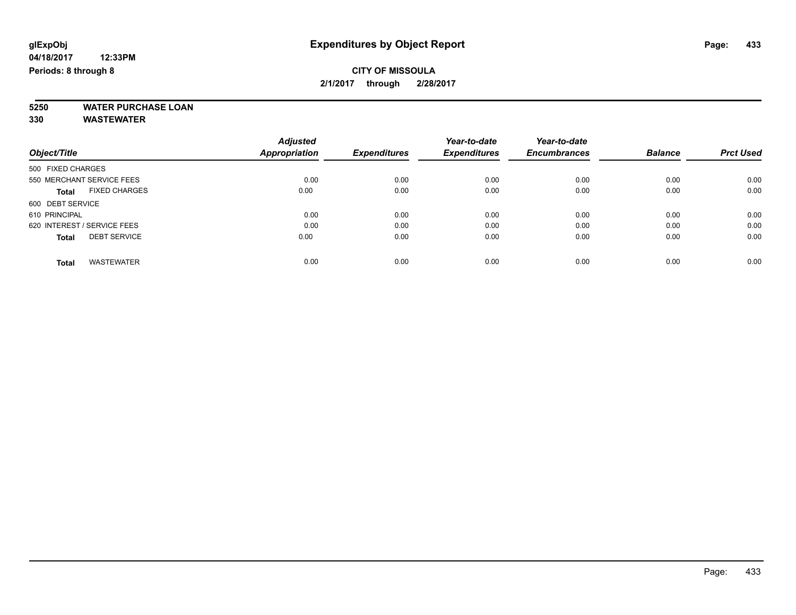# **5250 WATER PURCHASE LOAN**

|                                      | <b>Adjusted</b> |                     | Year-to-date        | Year-to-date        |                |                  |
|--------------------------------------|-----------------|---------------------|---------------------|---------------------|----------------|------------------|
| Object/Title                         | Appropriation   | <b>Expenditures</b> | <b>Expenditures</b> | <b>Encumbrances</b> | <b>Balance</b> | <b>Prct Used</b> |
| 500 FIXED CHARGES                    |                 |                     |                     |                     |                |                  |
| 550 MERCHANT SERVICE FEES            | 0.00            | 0.00                | 0.00                | 0.00                | 0.00           | 0.00             |
| <b>FIXED CHARGES</b><br><b>Total</b> | 0.00            | 0.00                | 0.00                | 0.00                | 0.00           | 0.00             |
| 600 DEBT SERVICE                     |                 |                     |                     |                     |                |                  |
| 610 PRINCIPAL                        | 0.00            | 0.00                | 0.00                | 0.00                | 0.00           | 0.00             |
| 620 INTEREST / SERVICE FEES          | 0.00            | 0.00                | 0.00                | 0.00                | 0.00           | 0.00             |
| <b>DEBT SERVICE</b><br><b>Total</b>  | 0.00            | 0.00                | 0.00                | 0.00                | 0.00           | 0.00             |
| <b>WASTEWATER</b><br><b>Total</b>    | 0.00            | 0.00                | 0.00                | 0.00                | 0.00           | 0.00             |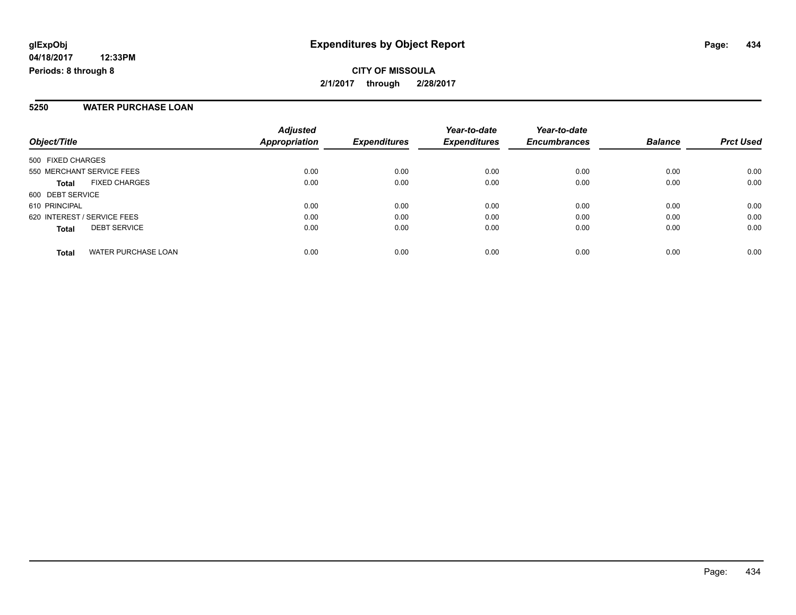**CITY OF MISSOULA 2/1/2017 through 2/28/2017**

#### **5250 WATER PURCHASE LOAN**

| Object/Title                               | <b>Adjusted</b><br><b>Appropriation</b> | <b>Expenditures</b> | Year-to-date<br><b>Expenditures</b> | Year-to-date<br><b>Encumbrances</b> | <b>Balance</b> | <b>Prct Used</b> |
|--------------------------------------------|-----------------------------------------|---------------------|-------------------------------------|-------------------------------------|----------------|------------------|
| 500 FIXED CHARGES                          |                                         |                     |                                     |                                     |                |                  |
| 550 MERCHANT SERVICE FEES                  | 0.00                                    | 0.00                | 0.00                                | 0.00                                | 0.00           | 0.00             |
| <b>FIXED CHARGES</b><br><b>Total</b>       | 0.00                                    | 0.00                | 0.00                                | 0.00                                | 0.00           | 0.00             |
| 600 DEBT SERVICE                           |                                         |                     |                                     |                                     |                |                  |
| 610 PRINCIPAL                              | 0.00                                    | 0.00                | 0.00                                | 0.00                                | 0.00           | 0.00             |
| 620 INTEREST / SERVICE FEES                | 0.00                                    | 0.00                | 0.00                                | 0.00                                | 0.00           | 0.00             |
| <b>DEBT SERVICE</b><br><b>Total</b>        | 0.00                                    | 0.00                | 0.00                                | 0.00                                | 0.00           | 0.00             |
| <b>WATER PURCHASE LOAN</b><br><b>Total</b> | 0.00                                    | 0.00                | 0.00                                | 0.00                                | 0.00           | 0.00             |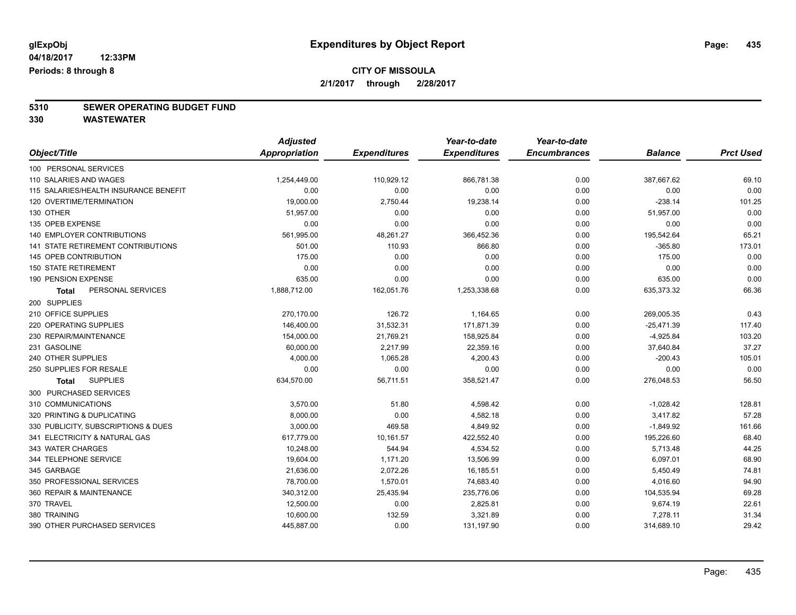# **5310 SEWER OPERATING BUDGET FUND**

|                                       | <b>Adjusted</b>      |                     | Year-to-date        | Year-to-date        |                |                  |
|---------------------------------------|----------------------|---------------------|---------------------|---------------------|----------------|------------------|
| Object/Title                          | <b>Appropriation</b> | <b>Expenditures</b> | <b>Expenditures</b> | <b>Encumbrances</b> | <b>Balance</b> | <b>Prct Used</b> |
| 100 PERSONAL SERVICES                 |                      |                     |                     |                     |                |                  |
| 110 SALARIES AND WAGES                | 1,254,449.00         | 110,929.12          | 866,781.38          | 0.00                | 387,667.62     | 69.10            |
| 115 SALARIES/HEALTH INSURANCE BENEFIT | 0.00                 | 0.00                | 0.00                | 0.00                | 0.00           | 0.00             |
| 120 OVERTIME/TERMINATION              | 19,000.00            | 2,750.44            | 19,238.14           | 0.00                | $-238.14$      | 101.25           |
| 130 OTHER                             | 51,957.00            | 0.00                | 0.00                | 0.00                | 51,957.00      | 0.00             |
| 135 OPEB EXPENSE                      | 0.00                 | 0.00                | 0.00                | 0.00                | 0.00           | 0.00             |
| <b>140 EMPLOYER CONTRIBUTIONS</b>     | 561,995.00           | 48,261.27           | 366,452.36          | 0.00                | 195,542.64     | 65.21            |
| 141 STATE RETIREMENT CONTRIBUTIONS    | 501.00               | 110.93              | 866.80              | 0.00                | $-365.80$      | 173.01           |
| <b>145 OPEB CONTRIBUTION</b>          | 175.00               | 0.00                | 0.00                | 0.00                | 175.00         | 0.00             |
| <b>150 STATE RETIREMENT</b>           | 0.00                 | 0.00                | 0.00                | 0.00                | 0.00           | 0.00             |
| 190 PENSION EXPENSE                   | 635.00               | 0.00                | 0.00                | 0.00                | 635.00         | 0.00             |
| PERSONAL SERVICES<br><b>Total</b>     | 1,888,712.00         | 162,051.76          | 1,253,338.68        | 0.00                | 635,373.32     | 66.36            |
| 200 SUPPLIES                          |                      |                     |                     |                     |                |                  |
| 210 OFFICE SUPPLIES                   | 270,170.00           | 126.72              | 1,164.65            | 0.00                | 269,005.35     | 0.43             |
| 220 OPERATING SUPPLIES                | 146,400.00           | 31,532.31           | 171,871.39          | 0.00                | $-25,471.39$   | 117.40           |
| 230 REPAIR/MAINTENANCE                | 154,000.00           | 21,769.21           | 158,925.84          | 0.00                | $-4,925.84$    | 103.20           |
| 231 GASOLINE                          | 60,000.00            | 2,217.99            | 22,359.16           | 0.00                | 37,640.84      | 37.27            |
| 240 OTHER SUPPLIES                    | 4,000.00             | 1,065.28            | 4,200.43            | 0.00                | $-200.43$      | 105.01           |
| 250 SUPPLIES FOR RESALE               | 0.00                 | 0.00                | 0.00                | 0.00                | 0.00           | 0.00             |
| <b>SUPPLIES</b><br>Total              | 634,570.00           | 56,711.51           | 358,521.47          | 0.00                | 276,048.53     | 56.50            |
| 300 PURCHASED SERVICES                |                      |                     |                     |                     |                |                  |
| 310 COMMUNICATIONS                    | 3,570.00             | 51.80               | 4,598.42            | 0.00                | $-1,028.42$    | 128.81           |
| 320 PRINTING & DUPLICATING            | 8,000.00             | 0.00                | 4,582.18            | 0.00                | 3,417.82       | 57.28            |
| 330 PUBLICITY, SUBSCRIPTIONS & DUES   | 3,000.00             | 469.58              | 4,849.92            | 0.00                | $-1,849.92$    | 161.66           |
| 341 ELECTRICITY & NATURAL GAS         | 617,779.00           | 10,161.57           | 422,552.40          | 0.00                | 195,226.60     | 68.40            |
| 343 WATER CHARGES                     | 10,248.00            | 544.94              | 4,534.52            | 0.00                | 5,713.48       | 44.25            |
| 344 TELEPHONE SERVICE                 | 19,604.00            | 1,171.20            | 13,506.99           | 0.00                | 6,097.01       | 68.90            |
| 345 GARBAGE                           | 21,636.00            | 2,072.26            | 16,185.51           | 0.00                | 5,450.49       | 74.81            |
| 350 PROFESSIONAL SERVICES             | 78,700.00            | 1,570.01            | 74,683.40           | 0.00                | 4,016.60       | 94.90            |
| 360 REPAIR & MAINTENANCE              | 340,312.00           | 25,435.94           | 235,776.06          | 0.00                | 104,535.94     | 69.28            |
| 370 TRAVEL                            | 12,500.00            | 0.00                | 2,825.81            | 0.00                | 9,674.19       | 22.61            |
| 380 TRAINING                          | 10,600.00            | 132.59              | 3,321.89            | 0.00                | 7,278.11       | 31.34            |
| 390 OTHER PURCHASED SERVICES          | 445,887.00           | 0.00                | 131,197.90          | 0.00                | 314,689.10     | 29.42            |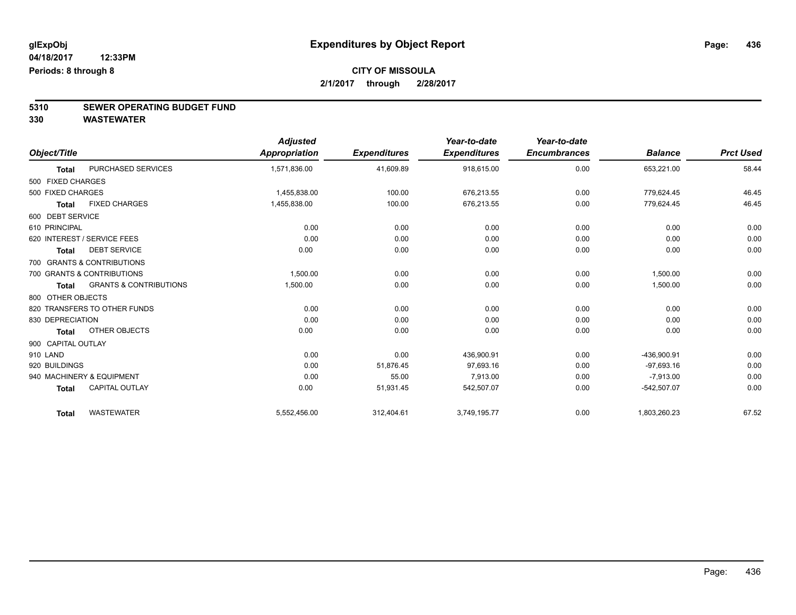# **5310 SEWER OPERATING BUDGET FUND**

|                    |                                   | <b>Adjusted</b> |                     | Year-to-date        | Year-to-date        |                |                  |
|--------------------|-----------------------------------|-----------------|---------------------|---------------------|---------------------|----------------|------------------|
| Object/Title       |                                   | Appropriation   | <b>Expenditures</b> | <b>Expenditures</b> | <b>Encumbrances</b> | <b>Balance</b> | <b>Prct Used</b> |
| <b>Total</b>       | PURCHASED SERVICES                | 1,571,836.00    | 41,609.89           | 918,615.00          | 0.00                | 653,221.00     | 58.44            |
| 500 FIXED CHARGES  |                                   |                 |                     |                     |                     |                |                  |
| 500 FIXED CHARGES  |                                   | 1,455,838.00    | 100.00              | 676,213.55          | 0.00                | 779,624.45     | 46.45            |
| <b>Total</b>       | <b>FIXED CHARGES</b>              | 1,455,838.00    | 100.00              | 676,213.55          | 0.00                | 779,624.45     | 46.45            |
| 600 DEBT SERVICE   |                                   |                 |                     |                     |                     |                |                  |
| 610 PRINCIPAL      |                                   | 0.00            | 0.00                | 0.00                | 0.00                | 0.00           | 0.00             |
|                    | 620 INTEREST / SERVICE FEES       | 0.00            | 0.00                | 0.00                | 0.00                | 0.00           | 0.00             |
| <b>Total</b>       | <b>DEBT SERVICE</b>               | 0.00            | 0.00                | 0.00                | 0.00                | 0.00           | 0.00             |
|                    | 700 GRANTS & CONTRIBUTIONS        |                 |                     |                     |                     |                |                  |
|                    | 700 GRANTS & CONTRIBUTIONS        | 1,500.00        | 0.00                | 0.00                | 0.00                | 1,500.00       | 0.00             |
| <b>Total</b>       | <b>GRANTS &amp; CONTRIBUTIONS</b> | 1,500.00        | 0.00                | 0.00                | 0.00                | 1,500.00       | 0.00             |
| 800 OTHER OBJECTS  |                                   |                 |                     |                     |                     |                |                  |
|                    | 820 TRANSFERS TO OTHER FUNDS      | 0.00            | 0.00                | 0.00                | 0.00                | 0.00           | 0.00             |
| 830 DEPRECIATION   |                                   | 0.00            | 0.00                | 0.00                | 0.00                | 0.00           | 0.00             |
| <b>Total</b>       | OTHER OBJECTS                     | 0.00            | 0.00                | 0.00                | 0.00                | 0.00           | 0.00             |
| 900 CAPITAL OUTLAY |                                   |                 |                     |                     |                     |                |                  |
| 910 LAND           |                                   | 0.00            | 0.00                | 436,900.91          | 0.00                | -436,900.91    | 0.00             |
| 920 BUILDINGS      |                                   | 0.00            | 51,876.45           | 97,693.16           | 0.00                | $-97,693.16$   | 0.00             |
|                    | 940 MACHINERY & EQUIPMENT         | 0.00            | 55.00               | 7,913.00            | 0.00                | $-7,913.00$    | 0.00             |
| <b>Total</b>       | <b>CAPITAL OUTLAY</b>             | 0.00            | 51,931.45           | 542,507.07          | 0.00                | $-542,507.07$  | 0.00             |
| <b>Total</b>       | <b>WASTEWATER</b>                 | 5,552,456.00    | 312,404.61          | 3,749,195.77        | 0.00                | 1,803,260.23   | 67.52            |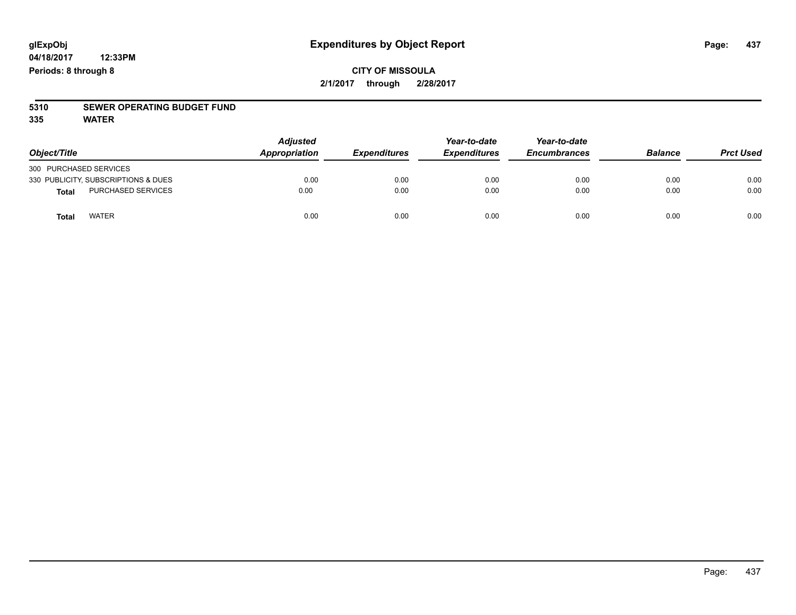**04/18/2017 12:33PM Periods: 8 through 8**

# **5310 SEWER OPERATING BUDGET FUND**

**335 WATER**

| Object/Title                        | <b>Adjusted</b><br>Appropriation | <b>Expenditures</b> | Year-to-date<br><b>Expenditures</b> | Year-to-date<br><b>Encumbrances</b> | <b>Balance</b> | <b>Prct Used</b> |
|-------------------------------------|----------------------------------|---------------------|-------------------------------------|-------------------------------------|----------------|------------------|
| 300 PURCHASED SERVICES              |                                  |                     |                                     |                                     |                |                  |
| 330 PUBLICITY, SUBSCRIPTIONS & DUES | 0.00                             | 0.00                | 0.00                                | 0.00                                | 0.00           | 0.00             |
| <b>PURCHASED SERVICES</b><br>Total  | 0.00                             | 0.00                | 0.00                                | 0.00                                | 0.00           | 0.00             |
| <b>WATER</b><br>Total               | 0.00                             | 0.00                | 0.00                                | 0.00                                | 0.00           | 0.00             |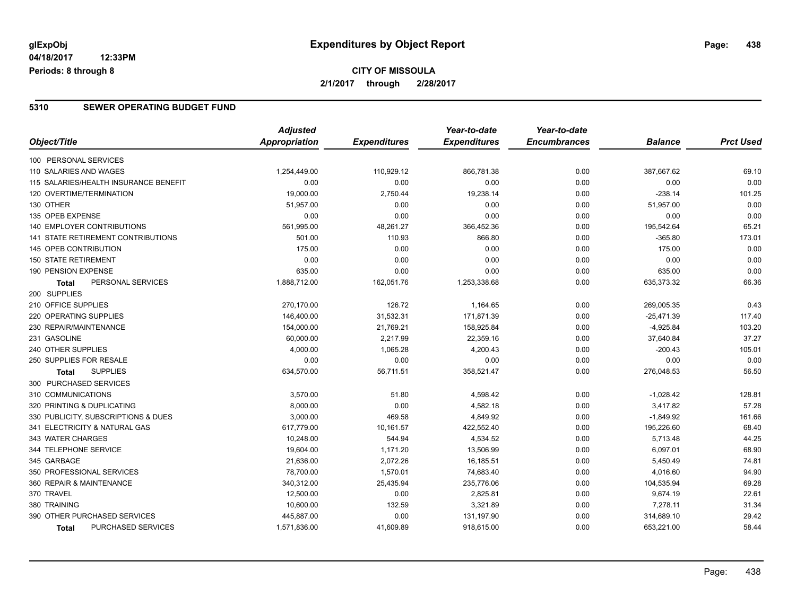### **CITY OF MISSOULA 2/1/2017 through 2/28/2017**

#### **5310 SEWER OPERATING BUDGET FUND**

|                                       | <b>Adjusted</b> |                     | Year-to-date        | Year-to-date        |                |                  |
|---------------------------------------|-----------------|---------------------|---------------------|---------------------|----------------|------------------|
| Object/Title                          | Appropriation   | <b>Expenditures</b> | <b>Expenditures</b> | <b>Encumbrances</b> | <b>Balance</b> | <b>Prct Used</b> |
| 100 PERSONAL SERVICES                 |                 |                     |                     |                     |                |                  |
| 110 SALARIES AND WAGES                | 1,254,449.00    | 110,929.12          | 866,781.38          | 0.00                | 387,667.62     | 69.10            |
| 115 SALARIES/HEALTH INSURANCE BENEFIT | 0.00            | 0.00                | 0.00                | 0.00                | 0.00           | 0.00             |
| 120 OVERTIME/TERMINATION              | 19,000.00       | 2,750.44            | 19,238.14           | 0.00                | $-238.14$      | 101.25           |
| 130 OTHER                             | 51,957.00       | 0.00                | 0.00                | 0.00                | 51,957.00      | 0.00             |
| 135 OPEB EXPENSE                      | 0.00            | 0.00                | 0.00                | 0.00                | 0.00           | 0.00             |
| <b>140 EMPLOYER CONTRIBUTIONS</b>     | 561,995.00      | 48,261.27           | 366,452.36          | 0.00                | 195,542.64     | 65.21            |
| 141 STATE RETIREMENT CONTRIBUTIONS    | 501.00          | 110.93              | 866.80              | 0.00                | $-365.80$      | 173.01           |
| 145 OPEB CONTRIBUTION                 | 175.00          | 0.00                | 0.00                | 0.00                | 175.00         | 0.00             |
| <b>150 STATE RETIREMENT</b>           | 0.00            | 0.00                | 0.00                | 0.00                | 0.00           | 0.00             |
| 190 PENSION EXPENSE                   | 635.00          | 0.00                | 0.00                | 0.00                | 635.00         | 0.00             |
| PERSONAL SERVICES<br>Total            | 1,888,712.00    | 162,051.76          | 1,253,338.68        | 0.00                | 635,373.32     | 66.36            |
| 200 SUPPLIES                          |                 |                     |                     |                     |                |                  |
| 210 OFFICE SUPPLIES                   | 270,170.00      | 126.72              | 1,164.65            | 0.00                | 269,005.35     | 0.43             |
| <b>220 OPERATING SUPPLIES</b>         | 146,400.00      | 31,532.31           | 171,871.39          | 0.00                | $-25,471.39$   | 117.40           |
| 230 REPAIR/MAINTENANCE                | 154,000.00      | 21,769.21           | 158,925.84          | 0.00                | $-4,925.84$    | 103.20           |
| 231 GASOLINE                          | 60,000.00       | 2,217.99            | 22,359.16           | 0.00                | 37,640.84      | 37.27            |
| 240 OTHER SUPPLIES                    | 4,000.00        | 1,065.28            | 4,200.43            | 0.00                | $-200.43$      | 105.01           |
| 250 SUPPLIES FOR RESALE               | 0.00            | 0.00                | 0.00                | 0.00                | 0.00           | 0.00             |
| <b>SUPPLIES</b><br><b>Total</b>       | 634,570.00      | 56,711.51           | 358,521.47          | 0.00                | 276,048.53     | 56.50            |
| 300 PURCHASED SERVICES                |                 |                     |                     |                     |                |                  |
| 310 COMMUNICATIONS                    | 3,570.00        | 51.80               | 4,598.42            | 0.00                | $-1,028.42$    | 128.81           |
| 320 PRINTING & DUPLICATING            | 8,000.00        | 0.00                | 4,582.18            | 0.00                | 3,417.82       | 57.28            |
| 330 PUBLICITY, SUBSCRIPTIONS & DUES   | 3,000.00        | 469.58              | 4,849.92            | 0.00                | $-1,849.92$    | 161.66           |
| 341 ELECTRICITY & NATURAL GAS         | 617,779.00      | 10,161.57           | 422,552.40          | 0.00                | 195,226.60     | 68.40            |
| 343 WATER CHARGES                     | 10,248.00       | 544.94              | 4,534.52            | 0.00                | 5,713.48       | 44.25            |
| 344 TELEPHONE SERVICE                 | 19,604.00       | 1,171.20            | 13,506.99           | 0.00                | 6,097.01       | 68.90            |
| 345 GARBAGE                           | 21,636.00       | 2,072.26            | 16,185.51           | 0.00                | 5,450.49       | 74.81            |
| 350 PROFESSIONAL SERVICES             | 78,700.00       | 1,570.01            | 74,683.40           | 0.00                | 4,016.60       | 94.90            |
| 360 REPAIR & MAINTENANCE              | 340,312.00      | 25,435.94           | 235,776.06          | 0.00                | 104,535.94     | 69.28            |
| 370 TRAVEL                            | 12,500.00       | 0.00                | 2,825.81            | 0.00                | 9,674.19       | 22.61            |
| 380 TRAINING                          | 10,600.00       | 132.59              | 3,321.89            | 0.00                | 7,278.11       | 31.34            |
| 390 OTHER PURCHASED SERVICES          | 445,887.00      | 0.00                | 131,197.90          | 0.00                | 314,689.10     | 29.42            |
| PURCHASED SERVICES<br><b>Total</b>    | 1,571,836.00    | 41,609.89           | 918,615.00          | 0.00                | 653,221.00     | 58.44            |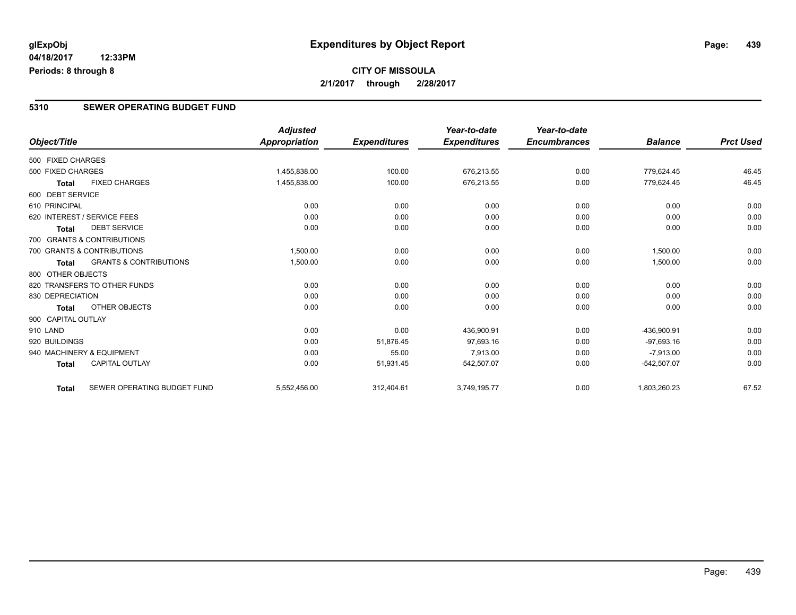### **CITY OF MISSOULA 2/1/2017 through 2/28/2017**

#### **5310 SEWER OPERATING BUDGET FUND**

|                    |                                   | <b>Adjusted</b> |                     | Year-to-date        | Year-to-date        |                |                  |
|--------------------|-----------------------------------|-----------------|---------------------|---------------------|---------------------|----------------|------------------|
| Object/Title       |                                   | Appropriation   | <b>Expenditures</b> | <b>Expenditures</b> | <b>Encumbrances</b> | <b>Balance</b> | <b>Prct Used</b> |
| 500 FIXED CHARGES  |                                   |                 |                     |                     |                     |                |                  |
| 500 FIXED CHARGES  |                                   | 1,455,838.00    | 100.00              | 676,213.55          | 0.00                | 779,624.45     | 46.45            |
| <b>Total</b>       | <b>FIXED CHARGES</b>              | 1,455,838.00    | 100.00              | 676,213.55          | 0.00                | 779,624.45     | 46.45            |
| 600 DEBT SERVICE   |                                   |                 |                     |                     |                     |                |                  |
| 610 PRINCIPAL      |                                   | 0.00            | 0.00                | 0.00                | 0.00                | 0.00           | 0.00             |
|                    | 620 INTEREST / SERVICE FEES       | 0.00            | 0.00                | 0.00                | 0.00                | 0.00           | 0.00             |
| <b>Total</b>       | <b>DEBT SERVICE</b>               | 0.00            | 0.00                | 0.00                | 0.00                | 0.00           | 0.00             |
|                    | 700 GRANTS & CONTRIBUTIONS        |                 |                     |                     |                     |                |                  |
|                    | 700 GRANTS & CONTRIBUTIONS        | 1,500.00        | 0.00                | 0.00                | 0.00                | 1,500.00       | 0.00             |
| <b>Total</b>       | <b>GRANTS &amp; CONTRIBUTIONS</b> | 1,500.00        | 0.00                | 0.00                | 0.00                | 1,500.00       | 0.00             |
| 800 OTHER OBJECTS  |                                   |                 |                     |                     |                     |                |                  |
|                    | 820 TRANSFERS TO OTHER FUNDS      | 0.00            | 0.00                | 0.00                | 0.00                | 0.00           | 0.00             |
| 830 DEPRECIATION   |                                   | 0.00            | 0.00                | 0.00                | 0.00                | 0.00           | 0.00             |
| Total              | OTHER OBJECTS                     | 0.00            | 0.00                | 0.00                | 0.00                | 0.00           | 0.00             |
| 900 CAPITAL OUTLAY |                                   |                 |                     |                     |                     |                |                  |
| 910 LAND           |                                   | 0.00            | 0.00                | 436,900.91          | 0.00                | -436,900.91    | 0.00             |
| 920 BUILDINGS      |                                   | 0.00            | 51,876.45           | 97.693.16           | 0.00                | $-97,693.16$   | 0.00             |
|                    | 940 MACHINERY & EQUIPMENT         | 0.00            | 55.00               | 7,913.00            | 0.00                | $-7,913.00$    | 0.00             |
| <b>Total</b>       | <b>CAPITAL OUTLAY</b>             | 0.00            | 51,931.45           | 542,507.07          | 0.00                | $-542,507.07$  | 0.00             |
| <b>Total</b>       | SEWER OPERATING BUDGET FUND       | 5,552,456.00    | 312,404.61          | 3,749,195.77        | 0.00                | 1,803,260.23   | 67.52            |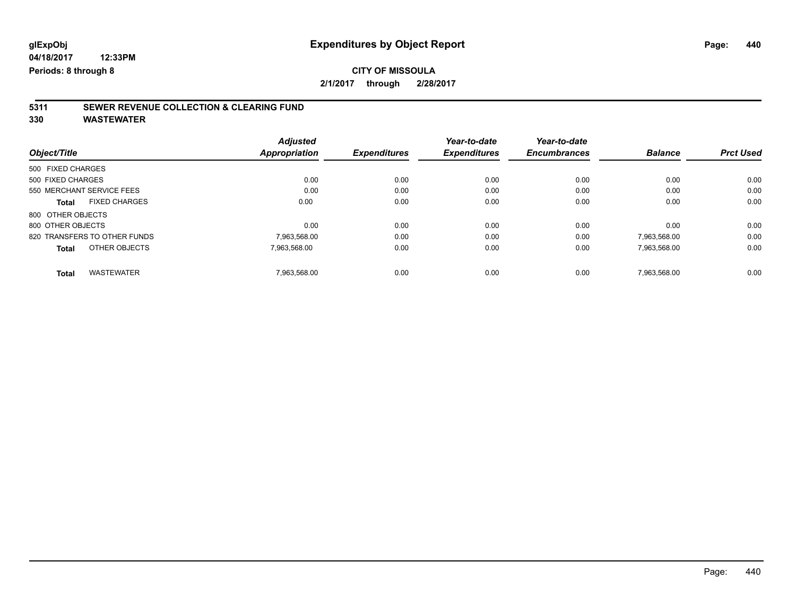### **CITY OF MISSOULA 2/1/2017 through 2/28/2017**

# **5311 SEWER REVENUE COLLECTION & CLEARING FUND**

| Object/Title                         | <b>Adjusted</b><br><b>Appropriation</b> | <b>Expenditures</b> | Year-to-date<br><b>Expenditures</b> | Year-to-date<br><b>Encumbrances</b> | <b>Balance</b> | <b>Prct Used</b> |
|--------------------------------------|-----------------------------------------|---------------------|-------------------------------------|-------------------------------------|----------------|------------------|
| 500 FIXED CHARGES                    |                                         |                     |                                     |                                     |                |                  |
| 500 FIXED CHARGES                    | 0.00                                    | 0.00                | 0.00                                | 0.00                                | 0.00           | 0.00             |
| 550 MERCHANT SERVICE FEES            | 0.00                                    | 0.00                | 0.00                                | 0.00                                | 0.00           | 0.00             |
| <b>FIXED CHARGES</b><br><b>Total</b> | 0.00                                    | 0.00                | 0.00                                | 0.00                                | 0.00           | 0.00             |
| 800 OTHER OBJECTS                    |                                         |                     |                                     |                                     |                |                  |
| 800 OTHER OBJECTS                    | 0.00                                    | 0.00                | 0.00                                | 0.00                                | 0.00           | 0.00             |
| 820 TRANSFERS TO OTHER FUNDS         | 7.963.568.00                            | 0.00                | 0.00                                | 0.00                                | 7.963.568.00   | 0.00             |
| OTHER OBJECTS<br><b>Total</b>        | 7,963,568.00                            | 0.00                | 0.00                                | 0.00                                | 7,963,568.00   | 0.00             |
| <b>WASTEWATER</b><br><b>Total</b>    | 7.963.568.00                            | 0.00                | 0.00                                | 0.00                                | 7.963.568.00   | 0.00             |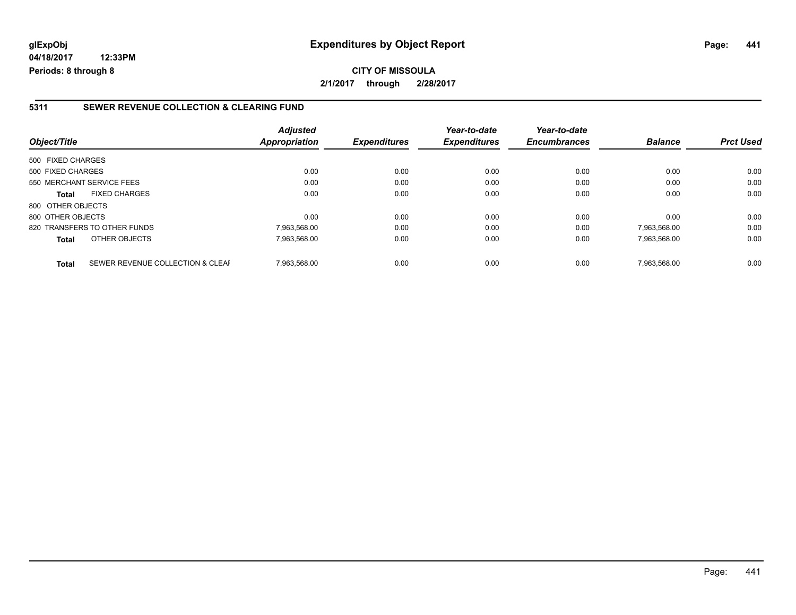**04/18/2017 12:33PM Periods: 8 through 8**

#### **5311 SEWER REVENUE COLLECTION & CLEARING FUND**

| Object/Title              |                                  | <b>Adjusted</b><br>Appropriation | <b>Expenditures</b> | Year-to-date<br><b>Expenditures</b> | Year-to-date<br><b>Encumbrances</b> | <b>Balance</b> | <b>Prct Used</b> |
|---------------------------|----------------------------------|----------------------------------|---------------------|-------------------------------------|-------------------------------------|----------------|------------------|
| 500 FIXED CHARGES         |                                  |                                  |                     |                                     |                                     |                |                  |
| 500 FIXED CHARGES         |                                  | 0.00                             | 0.00                | 0.00                                | 0.00                                | 0.00           | 0.00             |
| 550 MERCHANT SERVICE FEES |                                  | 0.00                             | 0.00                | 0.00                                | 0.00                                | 0.00           | 0.00             |
| <b>Total</b>              | <b>FIXED CHARGES</b>             | 0.00                             | 0.00                | 0.00                                | 0.00                                | 0.00           | 0.00             |
| 800 OTHER OBJECTS         |                                  |                                  |                     |                                     |                                     |                |                  |
| 800 OTHER OBJECTS         |                                  | 0.00                             | 0.00                | 0.00                                | 0.00                                | 0.00           | 0.00             |
|                           | 820 TRANSFERS TO OTHER FUNDS     | 7,963,568.00                     | 0.00                | 0.00                                | 0.00                                | 7,963,568.00   | 0.00             |
| <b>Total</b>              | OTHER OBJECTS                    | 7,963,568.00                     | 0.00                | 0.00                                | 0.00                                | 7,963,568.00   | 0.00             |
| <b>Total</b>              | SEWER REVENUE COLLECTION & CLEAF | 7.963.568.00                     | 0.00                | 0.00                                | 0.00                                | 7.963.568.00   | 0.00             |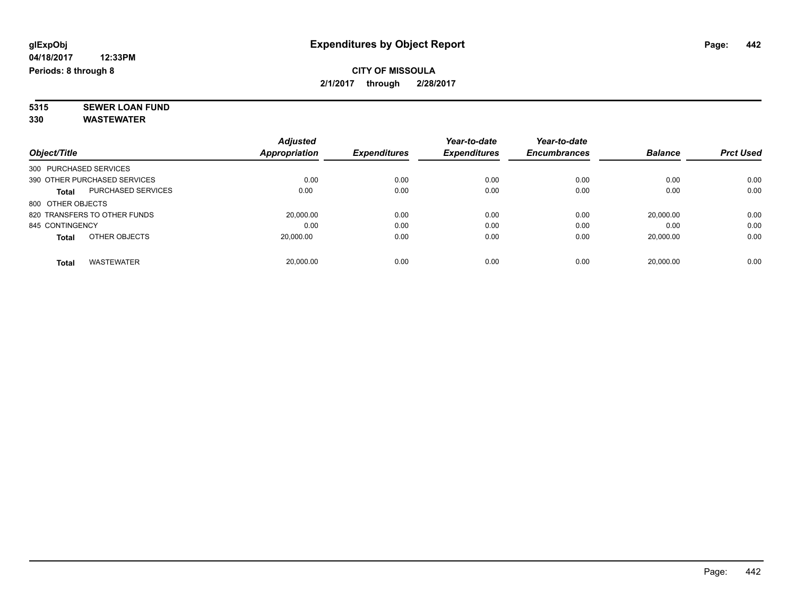**5315 SEWER LOAN FUND 330 WASTEWATER**

|                        |                              | <b>Adjusted</b> |                     | Year-to-date        | Year-to-date        |                |                  |
|------------------------|------------------------------|-----------------|---------------------|---------------------|---------------------|----------------|------------------|
| Object/Title           |                              | Appropriation   | <b>Expenditures</b> | <b>Expenditures</b> | <b>Encumbrances</b> | <b>Balance</b> | <b>Prct Used</b> |
| 300 PURCHASED SERVICES |                              |                 |                     |                     |                     |                |                  |
|                        | 390 OTHER PURCHASED SERVICES | 0.00            | 0.00                | 0.00                | 0.00                | 0.00           | 0.00             |
| <b>Total</b>           | <b>PURCHASED SERVICES</b>    | 0.00            | 0.00                | 0.00                | 0.00                | 0.00           | 0.00             |
| 800 OTHER OBJECTS      |                              |                 |                     |                     |                     |                |                  |
|                        | 820 TRANSFERS TO OTHER FUNDS | 20,000.00       | 0.00                | 0.00                | 0.00                | 20.000.00      | 0.00             |
| 845 CONTINGENCY        |                              | 0.00            | 0.00                | 0.00                | 0.00                | 0.00           | 0.00             |
| <b>Total</b>           | OTHER OBJECTS                | 20,000.00       | 0.00                | 0.00                | 0.00                | 20,000.00      | 0.00             |
| Total                  | <b>WASTEWATER</b>            | 20.000.00       | 0.00                | 0.00                | 0.00                | 20.000.00      | 0.00             |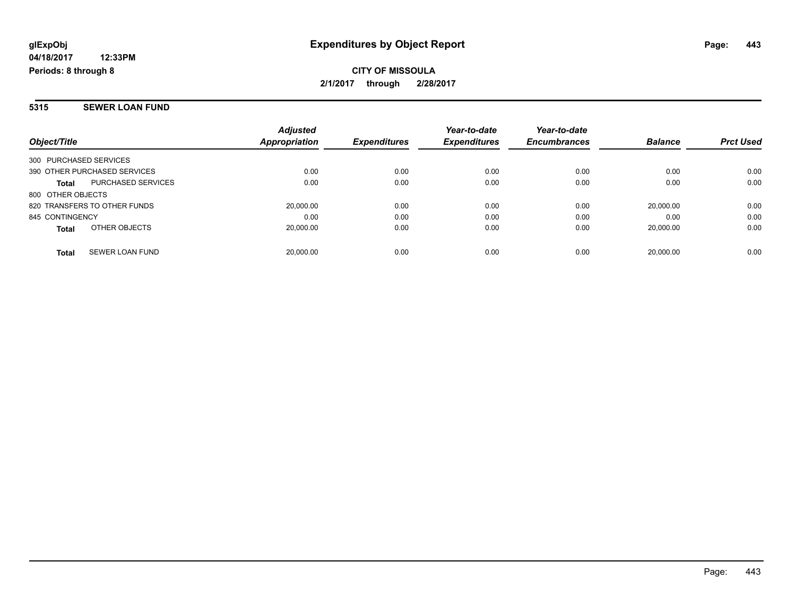**2/1/2017 through 2/28/2017**

#### **5315 SEWER LOAN FUND**

| Object/Title                           | <b>Adjusted</b><br>Appropriation | <b>Expenditures</b> | Year-to-date<br><b>Expenditures</b> | Year-to-date<br><b>Encumbrances</b> | <b>Balance</b> | <b>Prct Used</b> |
|----------------------------------------|----------------------------------|---------------------|-------------------------------------|-------------------------------------|----------------|------------------|
| 300 PURCHASED SERVICES                 |                                  |                     |                                     |                                     |                |                  |
| 390 OTHER PURCHASED SERVICES           | 0.00                             | 0.00                | 0.00                                | 0.00                                | 0.00           | 0.00             |
| PURCHASED SERVICES<br><b>Total</b>     | 0.00                             | 0.00                | 0.00                                | 0.00                                | 0.00           | 0.00             |
| 800 OTHER OBJECTS                      |                                  |                     |                                     |                                     |                |                  |
| 820 TRANSFERS TO OTHER FUNDS           | 20,000.00                        | 0.00                | 0.00                                | 0.00                                | 20.000.00      | 0.00             |
| 845 CONTINGENCY                        | 0.00                             | 0.00                | 0.00                                | 0.00                                | 0.00           | 0.00             |
| OTHER OBJECTS<br><b>Total</b>          | 20,000.00                        | 0.00                | 0.00                                | 0.00                                | 20.000.00      | 0.00             |
| <b>SEWER LOAN FUND</b><br><b>Total</b> | 20.000.00                        | 0.00                | 0.00                                | 0.00                                | 20.000.00      | 0.00             |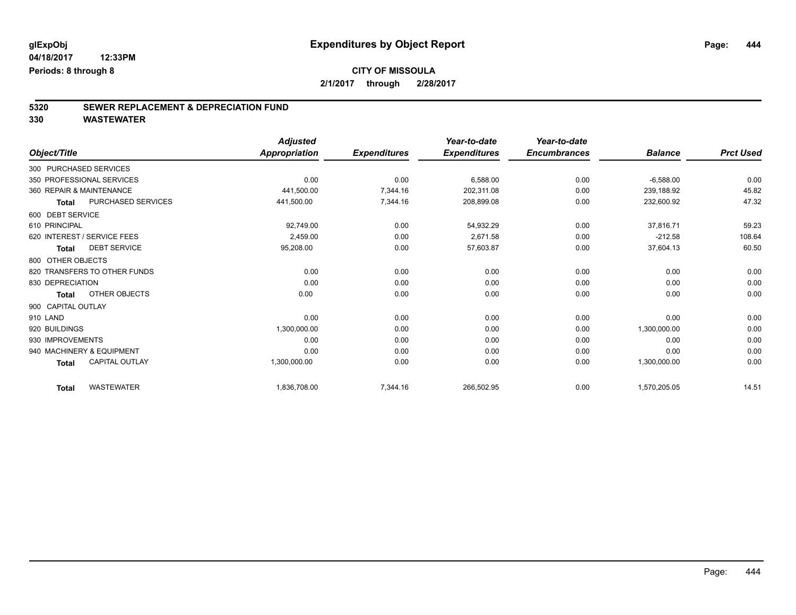# **5320 SEWER REPLACEMENT & DEPRECIATION FUND**

|                                       | <b>Adjusted</b>      |                     | Year-to-date        | Year-to-date        |                |                  |
|---------------------------------------|----------------------|---------------------|---------------------|---------------------|----------------|------------------|
| Object/Title                          | <b>Appropriation</b> | <b>Expenditures</b> | <b>Expenditures</b> | <b>Encumbrances</b> | <b>Balance</b> | <b>Prct Used</b> |
| 300 PURCHASED SERVICES                |                      |                     |                     |                     |                |                  |
| 350 PROFESSIONAL SERVICES             | 0.00                 | 0.00                | 6,588.00            | 0.00                | $-6,588.00$    | 0.00             |
| 360 REPAIR & MAINTENANCE              | 441,500.00           | 7,344.16            | 202.311.08          | 0.00                | 239,188.92     | 45.82            |
| PURCHASED SERVICES<br><b>Total</b>    | 441,500.00           | 7,344.16            | 208,899.08          | 0.00                | 232,600.92     | 47.32            |
| 600 DEBT SERVICE                      |                      |                     |                     |                     |                |                  |
| 610 PRINCIPAL                         | 92.749.00            | 0.00                | 54,932.29           | 0.00                | 37.816.71      | 59.23            |
| 620 INTEREST / SERVICE FEES           | 2,459.00             | 0.00                | 2,671.58            | 0.00                | $-212.58$      | 108.64           |
| <b>DEBT SERVICE</b><br><b>Total</b>   | 95,208.00            | 0.00                | 57,603.87           | 0.00                | 37,604.13      | 60.50            |
| 800 OTHER OBJECTS                     |                      |                     |                     |                     |                |                  |
| 820 TRANSFERS TO OTHER FUNDS          | 0.00                 | 0.00                | 0.00                | 0.00                | 0.00           | 0.00             |
| 830 DEPRECIATION                      | 0.00                 | 0.00                | 0.00                | 0.00                | 0.00           | 0.00             |
| OTHER OBJECTS<br><b>Total</b>         | 0.00                 | 0.00                | 0.00                | 0.00                | 0.00           | 0.00             |
| 900 CAPITAL OUTLAY                    |                      |                     |                     |                     |                |                  |
| 910 LAND                              | 0.00                 | 0.00                | 0.00                | 0.00                | 0.00           | 0.00             |
| 920 BUILDINGS                         | 1,300,000.00         | 0.00                | 0.00                | 0.00                | 1,300,000.00   | 0.00             |
| 930 IMPROVEMENTS                      | 0.00                 | 0.00                | 0.00                | 0.00                | 0.00           | 0.00             |
| 940 MACHINERY & EQUIPMENT             | 0.00                 | 0.00                | 0.00                | 0.00                | 0.00           | 0.00             |
| <b>CAPITAL OUTLAY</b><br><b>Total</b> | 1,300,000.00         | 0.00                | 0.00                | 0.00                | 1,300,000.00   | 0.00             |
| <b>WASTEWATER</b><br><b>Total</b>     | 1,836,708.00         | 7,344.16            | 266,502.95          | 0.00                | 1,570,205.05   | 14.51            |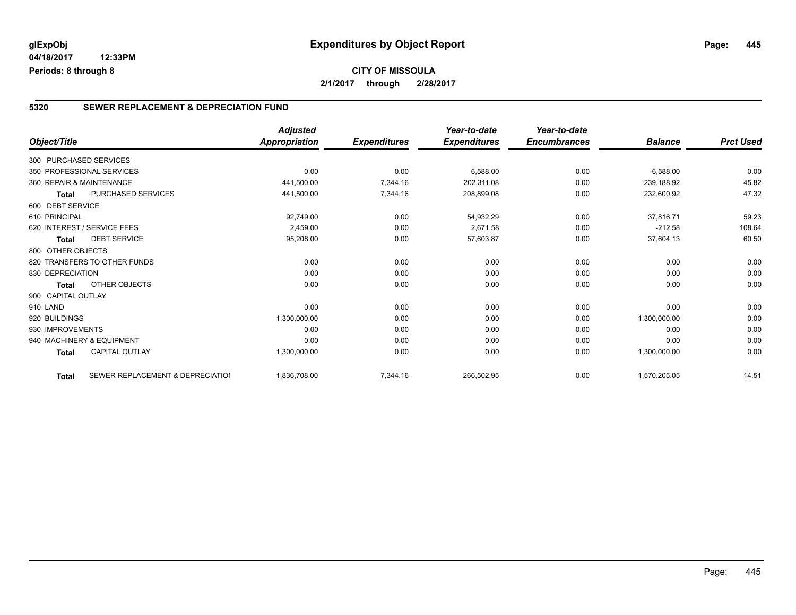### **5320 SEWER REPLACEMENT & DEPRECIATION FUND**

|                        |                                  | <b>Adjusted</b>      |                     | Year-to-date        | Year-to-date        |                |                  |
|------------------------|----------------------------------|----------------------|---------------------|---------------------|---------------------|----------------|------------------|
| Object/Title           |                                  | <b>Appropriation</b> | <b>Expenditures</b> | <b>Expenditures</b> | <b>Encumbrances</b> | <b>Balance</b> | <b>Prct Used</b> |
| 300 PURCHASED SERVICES |                                  |                      |                     |                     |                     |                |                  |
|                        | 350 PROFESSIONAL SERVICES        | 0.00                 | 0.00                | 6,588.00            | 0.00                | $-6,588.00$    | 0.00             |
|                        | 360 REPAIR & MAINTENANCE         | 441,500.00           | 7,344.16            | 202,311.08          | 0.00                | 239,188.92     | 45.82            |
| <b>Total</b>           | PURCHASED SERVICES               | 441,500.00           | 7,344.16            | 208,899.08          | 0.00                | 232,600.92     | 47.32            |
| 600 DEBT SERVICE       |                                  |                      |                     |                     |                     |                |                  |
| 610 PRINCIPAL          |                                  | 92,749.00            | 0.00                | 54,932.29           | 0.00                | 37,816.71      | 59.23            |
|                        | 620 INTEREST / SERVICE FEES      | 2,459.00             | 0.00                | 2,671.58            | 0.00                | $-212.58$      | 108.64           |
| <b>Total</b>           | <b>DEBT SERVICE</b>              | 95,208.00            | 0.00                | 57,603.87           | 0.00                | 37,604.13      | 60.50            |
| 800 OTHER OBJECTS      |                                  |                      |                     |                     |                     |                |                  |
|                        | 820 TRANSFERS TO OTHER FUNDS     | 0.00                 | 0.00                | 0.00                | 0.00                | 0.00           | 0.00             |
| 830 DEPRECIATION       |                                  | 0.00                 | 0.00                | 0.00                | 0.00                | 0.00           | 0.00             |
| <b>Total</b>           | OTHER OBJECTS                    | 0.00                 | 0.00                | 0.00                | 0.00                | 0.00           | 0.00             |
| 900 CAPITAL OUTLAY     |                                  |                      |                     |                     |                     |                |                  |
| 910 LAND               |                                  | 0.00                 | 0.00                | 0.00                | 0.00                | 0.00           | 0.00             |
| 920 BUILDINGS          |                                  | 1,300,000.00         | 0.00                | 0.00                | 0.00                | 1,300,000.00   | 0.00             |
| 930 IMPROVEMENTS       |                                  | 0.00                 | 0.00                | 0.00                | 0.00                | 0.00           | 0.00             |
|                        | 940 MACHINERY & EQUIPMENT        | 0.00                 | 0.00                | 0.00                | 0.00                | 0.00           | 0.00             |
| <b>Total</b>           | <b>CAPITAL OUTLAY</b>            | 1,300,000.00         | 0.00                | 0.00                | 0.00                | 1,300,000.00   | 0.00             |
| <b>Total</b>           | SEWER REPLACEMENT & DEPRECIATIOI | 1,836,708.00         | 7,344.16            | 266,502.95          | 0.00                | 1,570,205.05   | 14.51            |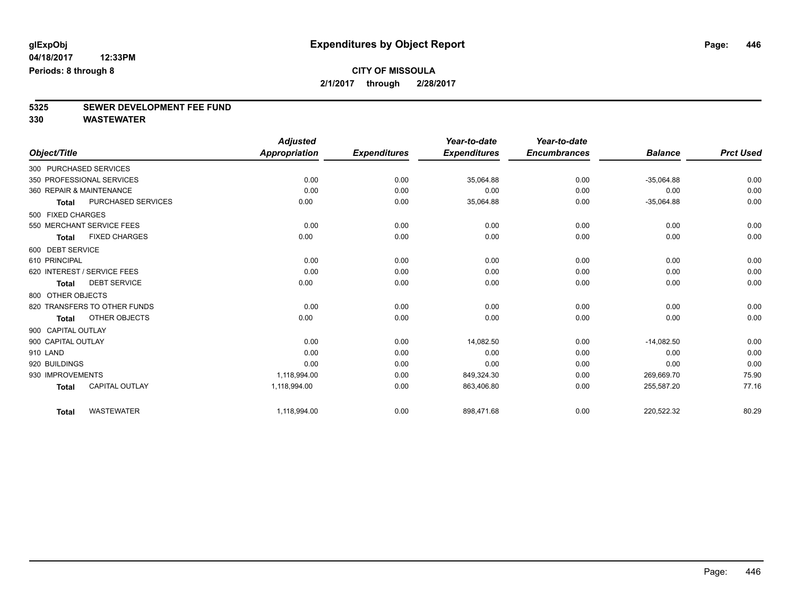# **5325 SEWER DEVELOPMENT FEE FUND**

|                    |                              | <b>Adjusted</b>      |                     | Year-to-date        | Year-to-date        |                |                  |
|--------------------|------------------------------|----------------------|---------------------|---------------------|---------------------|----------------|------------------|
| Object/Title       |                              | <b>Appropriation</b> | <b>Expenditures</b> | <b>Expenditures</b> | <b>Encumbrances</b> | <b>Balance</b> | <b>Prct Used</b> |
|                    | 300 PURCHASED SERVICES       |                      |                     |                     |                     |                |                  |
|                    | 350 PROFESSIONAL SERVICES    | 0.00                 | 0.00                | 35,064.88           | 0.00                | $-35,064.88$   | 0.00             |
|                    | 360 REPAIR & MAINTENANCE     | 0.00                 | 0.00                | 0.00                | 0.00                | 0.00           | 0.00             |
| Total              | PURCHASED SERVICES           | 0.00                 | 0.00                | 35,064.88           | 0.00                | $-35,064.88$   | 0.00             |
| 500 FIXED CHARGES  |                              |                      |                     |                     |                     |                |                  |
|                    | 550 MERCHANT SERVICE FEES    | 0.00                 | 0.00                | 0.00                | 0.00                | 0.00           | 0.00             |
| Total              | <b>FIXED CHARGES</b>         | 0.00                 | 0.00                | 0.00                | 0.00                | 0.00           | 0.00             |
| 600 DEBT SERVICE   |                              |                      |                     |                     |                     |                |                  |
| 610 PRINCIPAL      |                              | 0.00                 | 0.00                | 0.00                | 0.00                | 0.00           | 0.00             |
|                    | 620 INTEREST / SERVICE FEES  | 0.00                 | 0.00                | 0.00                | 0.00                | 0.00           | 0.00             |
| <b>Total</b>       | <b>DEBT SERVICE</b>          | 0.00                 | 0.00                | 0.00                | 0.00                | 0.00           | 0.00             |
| 800 OTHER OBJECTS  |                              |                      |                     |                     |                     |                |                  |
|                    | 820 TRANSFERS TO OTHER FUNDS | 0.00                 | 0.00                | 0.00                | 0.00                | 0.00           | 0.00             |
| Total              | OTHER OBJECTS                | 0.00                 | 0.00                | 0.00                | 0.00                | 0.00           | 0.00             |
| 900 CAPITAL OUTLAY |                              |                      |                     |                     |                     |                |                  |
| 900 CAPITAL OUTLAY |                              | 0.00                 | 0.00                | 14,082.50           | 0.00                | $-14,082.50$   | 0.00             |
| 910 LAND           |                              | 0.00                 | 0.00                | 0.00                | 0.00                | 0.00           | 0.00             |
| 920 BUILDINGS      |                              | 0.00                 | 0.00                | 0.00                | 0.00                | 0.00           | 0.00             |
| 930 IMPROVEMENTS   |                              | 1.118.994.00         | 0.00                | 849,324.30          | 0.00                | 269,669.70     | 75.90            |
| <b>Total</b>       | <b>CAPITAL OUTLAY</b>        | 1,118,994.00         | 0.00                | 863,406.80          | 0.00                | 255,587.20     | 77.16            |
| <b>Total</b>       | <b>WASTEWATER</b>            | 1,118,994.00         | 0.00                | 898,471.68          | 0.00                | 220,522.32     | 80.29            |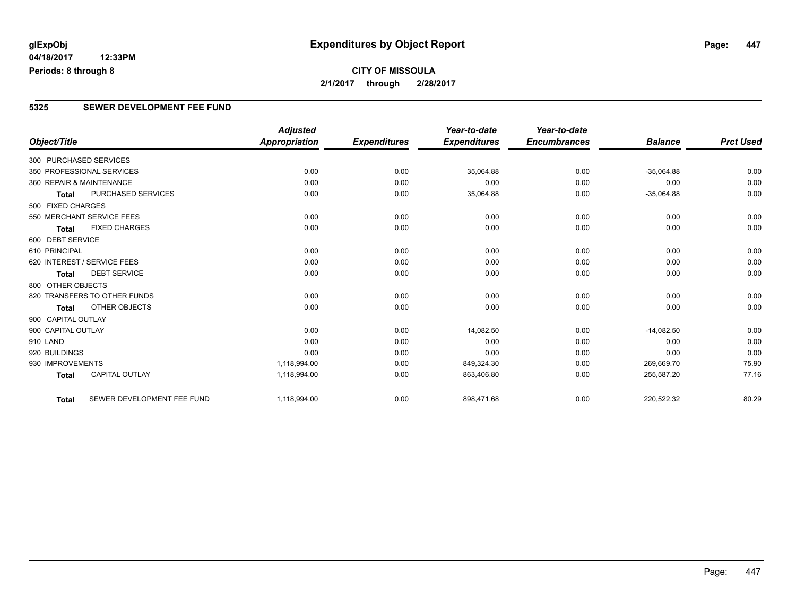### **CITY OF MISSOULA 2/1/2017 through 2/28/2017**

#### **5325 SEWER DEVELOPMENT FEE FUND**

|                        |                              | <b>Adjusted</b> |                     | Year-to-date        | Year-to-date        |                |                  |
|------------------------|------------------------------|-----------------|---------------------|---------------------|---------------------|----------------|------------------|
| Object/Title           |                              | Appropriation   | <b>Expenditures</b> | <b>Expenditures</b> | <b>Encumbrances</b> | <b>Balance</b> | <b>Prct Used</b> |
| 300 PURCHASED SERVICES |                              |                 |                     |                     |                     |                |                  |
|                        | 350 PROFESSIONAL SERVICES    | 0.00            | 0.00                | 35,064.88           | 0.00                | $-35,064.88$   | 0.00             |
|                        | 360 REPAIR & MAINTENANCE     | 0.00            | 0.00                | 0.00                | 0.00                | 0.00           | 0.00             |
| Total                  | PURCHASED SERVICES           | 0.00            | 0.00                | 35,064.88           | 0.00                | $-35,064.88$   | 0.00             |
| 500 FIXED CHARGES      |                              |                 |                     |                     |                     |                |                  |
|                        | 550 MERCHANT SERVICE FEES    | 0.00            | 0.00                | 0.00                | 0.00                | 0.00           | 0.00             |
| <b>Total</b>           | <b>FIXED CHARGES</b>         | 0.00            | 0.00                | 0.00                | 0.00                | 0.00           | 0.00             |
| 600 DEBT SERVICE       |                              |                 |                     |                     |                     |                |                  |
| 610 PRINCIPAL          |                              | 0.00            | 0.00                | 0.00                | 0.00                | 0.00           | 0.00             |
|                        | 620 INTEREST / SERVICE FEES  | 0.00            | 0.00                | 0.00                | 0.00                | 0.00           | 0.00             |
| <b>Total</b>           | <b>DEBT SERVICE</b>          | 0.00            | 0.00                | 0.00                | 0.00                | 0.00           | 0.00             |
| 800 OTHER OBJECTS      |                              |                 |                     |                     |                     |                |                  |
|                        | 820 TRANSFERS TO OTHER FUNDS | 0.00            | 0.00                | 0.00                | 0.00                | 0.00           | 0.00             |
| Total                  | OTHER OBJECTS                | 0.00            | 0.00                | 0.00                | 0.00                | 0.00           | 0.00             |
| 900 CAPITAL OUTLAY     |                              |                 |                     |                     |                     |                |                  |
| 900 CAPITAL OUTLAY     |                              | 0.00            | 0.00                | 14,082.50           | 0.00                | $-14,082.50$   | 0.00             |
| 910 LAND               |                              | 0.00            | 0.00                | 0.00                | 0.00                | 0.00           | 0.00             |
| 920 BUILDINGS          |                              | 0.00            | 0.00                | 0.00                | 0.00                | 0.00           | 0.00             |
| 930 IMPROVEMENTS       |                              | 1,118,994.00    | 0.00                | 849,324.30          | 0.00                | 269,669.70     | 75.90            |
| <b>Total</b>           | <b>CAPITAL OUTLAY</b>        | 1,118,994.00    | 0.00                | 863,406.80          | 0.00                | 255,587.20     | 77.16            |
| <b>Total</b>           | SEWER DEVELOPMENT FEE FUND   | 1,118,994.00    | 0.00                | 898,471.68          | 0.00                | 220,522.32     | 80.29            |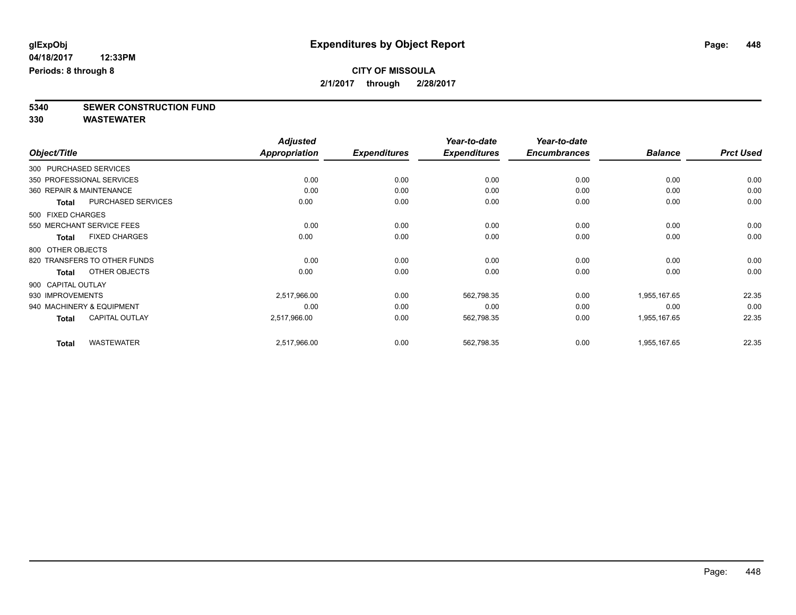**5340 SEWER CONSTRUCTION FUND**

|                    |                              | <b>Adjusted</b>      |                     | Year-to-date        | Year-to-date        |                |                  |
|--------------------|------------------------------|----------------------|---------------------|---------------------|---------------------|----------------|------------------|
| Object/Title       |                              | <b>Appropriation</b> | <b>Expenditures</b> | <b>Expenditures</b> | <b>Encumbrances</b> | <b>Balance</b> | <b>Prct Used</b> |
|                    | 300 PURCHASED SERVICES       |                      |                     |                     |                     |                |                  |
|                    | 350 PROFESSIONAL SERVICES    | 0.00                 | 0.00                | 0.00                | 0.00                | 0.00           | 0.00             |
|                    | 360 REPAIR & MAINTENANCE     | 0.00                 | 0.00                | 0.00                | 0.00                | 0.00           | 0.00             |
| <b>Total</b>       | PURCHASED SERVICES           | 0.00                 | 0.00                | 0.00                | 0.00                | 0.00           | 0.00             |
| 500 FIXED CHARGES  |                              |                      |                     |                     |                     |                |                  |
|                    | 550 MERCHANT SERVICE FEES    | 0.00                 | 0.00                | 0.00                | 0.00                | 0.00           | 0.00             |
| Total              | <b>FIXED CHARGES</b>         | 0.00                 | 0.00                | 0.00                | 0.00                | 0.00           | 0.00             |
| 800 OTHER OBJECTS  |                              |                      |                     |                     |                     |                |                  |
|                    | 820 TRANSFERS TO OTHER FUNDS | 0.00                 | 0.00                | 0.00                | 0.00                | 0.00           | 0.00             |
| <b>Total</b>       | OTHER OBJECTS                | 0.00                 | 0.00                | 0.00                | 0.00                | 0.00           | 0.00             |
| 900 CAPITAL OUTLAY |                              |                      |                     |                     |                     |                |                  |
| 930 IMPROVEMENTS   |                              | 2,517,966.00         | 0.00                | 562,798.35          | 0.00                | 1,955,167.65   | 22.35            |
|                    | 940 MACHINERY & EQUIPMENT    | 0.00                 | 0.00                | 0.00                | 0.00                | 0.00           | 0.00             |
| <b>Total</b>       | <b>CAPITAL OUTLAY</b>        | 2,517,966.00         | 0.00                | 562,798.35          | 0.00                | 1,955,167.65   | 22.35            |
| <b>Total</b>       | <b>WASTEWATER</b>            | 2,517,966.00         | 0.00                | 562,798.35          | 0.00                | 1,955,167.65   | 22.35            |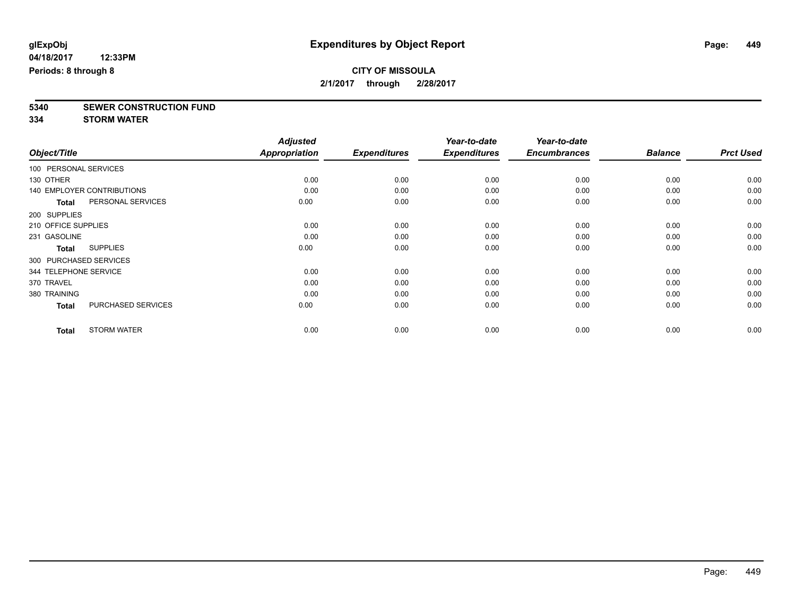# **5340 SEWER CONSTRUCTION FUND**

**334 STORM WATER**

|                        |                                   | <b>Adjusted</b> |                     | Year-to-date        | Year-to-date        |                |                  |
|------------------------|-----------------------------------|-----------------|---------------------|---------------------|---------------------|----------------|------------------|
| Object/Title           |                                   | Appropriation   | <b>Expenditures</b> | <b>Expenditures</b> | <b>Encumbrances</b> | <b>Balance</b> | <b>Prct Used</b> |
| 100 PERSONAL SERVICES  |                                   |                 |                     |                     |                     |                |                  |
| 130 OTHER              |                                   | 0.00            | 0.00                | 0.00                | 0.00                | 0.00           | 0.00             |
|                        | <b>140 EMPLOYER CONTRIBUTIONS</b> | 0.00            | 0.00                | 0.00                | 0.00                | 0.00           | 0.00             |
| <b>Total</b>           | PERSONAL SERVICES                 | 0.00            | 0.00                | 0.00                | 0.00                | 0.00           | 0.00             |
| 200 SUPPLIES           |                                   |                 |                     |                     |                     |                |                  |
| 210 OFFICE SUPPLIES    |                                   | 0.00            | 0.00                | 0.00                | 0.00                | 0.00           | 0.00             |
| 231 GASOLINE           |                                   | 0.00            | 0.00                | 0.00                | 0.00                | 0.00           | 0.00             |
| <b>Total</b>           | <b>SUPPLIES</b>                   | 0.00            | 0.00                | 0.00                | 0.00                | 0.00           | 0.00             |
| 300 PURCHASED SERVICES |                                   |                 |                     |                     |                     |                |                  |
| 344 TELEPHONE SERVICE  |                                   | 0.00            | 0.00                | 0.00                | 0.00                | 0.00           | 0.00             |
| 370 TRAVEL             |                                   | 0.00            | 0.00                | 0.00                | 0.00                | 0.00           | 0.00             |
| 380 TRAINING           |                                   | 0.00            | 0.00                | 0.00                | 0.00                | 0.00           | 0.00             |
| <b>Total</b>           | PURCHASED SERVICES                | 0.00            | 0.00                | 0.00                | 0.00                | 0.00           | 0.00             |
| <b>Total</b>           | <b>STORM WATER</b>                | 0.00            | 0.00                | 0.00                | 0.00                | 0.00           | 0.00             |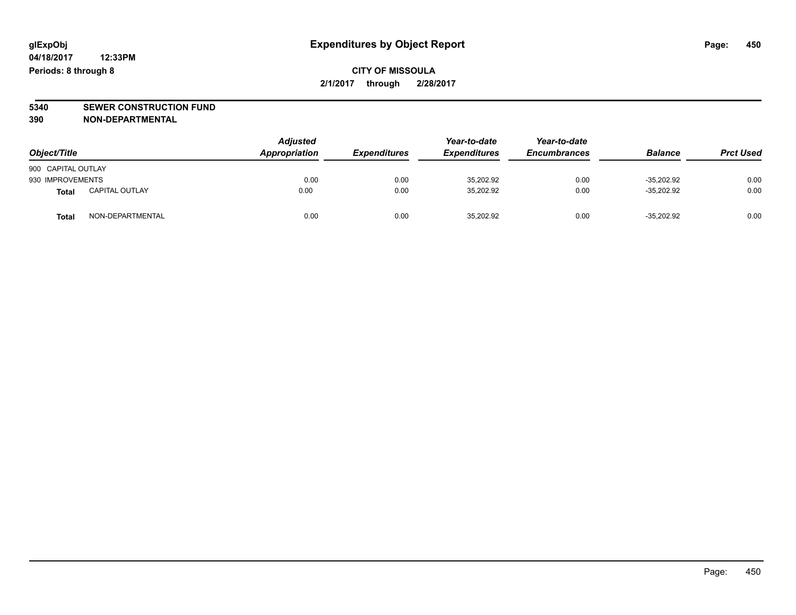# **5340 SEWER CONSTRUCTION FUND**

**390 NON-DEPARTMENTAL**

| Object/Title       |                       | <b>Adjusted</b><br>Appropriation | <b>Expenditures</b> | Year-to-date<br><b>Expenditures</b> | Year-to-date<br><b>Encumbrances</b> | <b>Balance</b> | <b>Prct Used</b> |
|--------------------|-----------------------|----------------------------------|---------------------|-------------------------------------|-------------------------------------|----------------|------------------|
| 900 CAPITAL OUTLAY |                       |                                  |                     |                                     |                                     |                |                  |
| 930 IMPROVEMENTS   |                       | 0.00                             | 0.00                | 35,202.92                           | 0.00                                | $-35.202.92$   | 0.00             |
| Total              | <b>CAPITAL OUTLAY</b> | 0.00                             | 0.00                | 35,202.92                           | 0.00                                | $-35.202.92$   | 0.00             |
| <b>Total</b>       | NON-DEPARTMENTAL      | 0.00                             | 0.00                | 35,202.92                           | 0.00                                | $-35,202.92$   | 0.00             |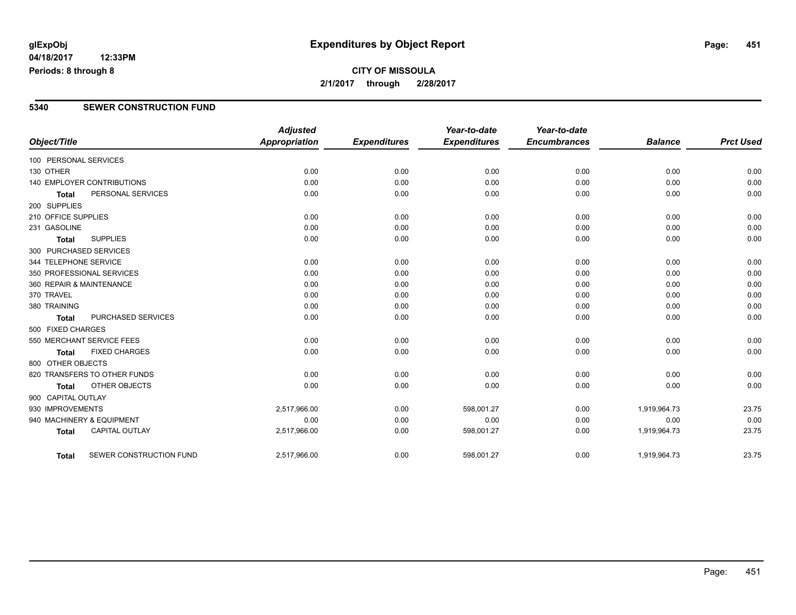#### **04/18/2017 12:33PM Periods: 8 through 8**

### **CITY OF MISSOULA 2/1/2017 through 2/28/2017**

#### **5340 SEWER CONSTRUCTION FUND**

|                          |                              | <b>Adjusted</b>      |                     | Year-to-date        | Year-to-date        |                |                  |
|--------------------------|------------------------------|----------------------|---------------------|---------------------|---------------------|----------------|------------------|
| Object/Title             |                              | <b>Appropriation</b> | <b>Expenditures</b> | <b>Expenditures</b> | <b>Encumbrances</b> | <b>Balance</b> | <b>Prct Used</b> |
| 100 PERSONAL SERVICES    |                              |                      |                     |                     |                     |                |                  |
| 130 OTHER                |                              | 0.00                 | 0.00                | 0.00                | 0.00                | 0.00           | 0.00             |
|                          | 140 EMPLOYER CONTRIBUTIONS   | 0.00                 | 0.00                | 0.00                | 0.00                | 0.00           | 0.00             |
| <b>Total</b>             | PERSONAL SERVICES            | 0.00                 | 0.00                | 0.00                | 0.00                | 0.00           | 0.00             |
| 200 SUPPLIES             |                              |                      |                     |                     |                     |                |                  |
| 210 OFFICE SUPPLIES      |                              | 0.00                 | 0.00                | 0.00                | 0.00                | 0.00           | 0.00             |
| 231 GASOLINE             |                              | 0.00                 | 0.00                | 0.00                | 0.00                | 0.00           | 0.00             |
| <b>Total</b>             | <b>SUPPLIES</b>              | 0.00                 | 0.00                | 0.00                | 0.00                | 0.00           | 0.00             |
| 300 PURCHASED SERVICES   |                              |                      |                     |                     |                     |                |                  |
| 344 TELEPHONE SERVICE    |                              | 0.00                 | 0.00                | 0.00                | 0.00                | 0.00           | 0.00             |
|                          | 350 PROFESSIONAL SERVICES    | 0.00                 | 0.00                | 0.00                | 0.00                | 0.00           | 0.00             |
| 360 REPAIR & MAINTENANCE |                              | 0.00                 | 0.00                | 0.00                | 0.00                | 0.00           | 0.00             |
| 370 TRAVEL               |                              | 0.00                 | 0.00                | 0.00                | 0.00                | 0.00           | 0.00             |
| 380 TRAINING             |                              | 0.00                 | 0.00                | 0.00                | 0.00                | 0.00           | 0.00             |
| <b>Total</b>             | PURCHASED SERVICES           | 0.00                 | 0.00                | 0.00                | 0.00                | 0.00           | 0.00             |
| 500 FIXED CHARGES        |                              |                      |                     |                     |                     |                |                  |
|                          | 550 MERCHANT SERVICE FEES    | 0.00                 | 0.00                | 0.00                | 0.00                | 0.00           | 0.00             |
| <b>Total</b>             | <b>FIXED CHARGES</b>         | 0.00                 | 0.00                | 0.00                | 0.00                | 0.00           | 0.00             |
| 800 OTHER OBJECTS        |                              |                      |                     |                     |                     |                |                  |
|                          | 820 TRANSFERS TO OTHER FUNDS | 0.00                 | 0.00                | 0.00                | 0.00                | 0.00           | 0.00             |
| <b>Total</b>             | <b>OTHER OBJECTS</b>         | 0.00                 | 0.00                | 0.00                | 0.00                | 0.00           | 0.00             |
| 900 CAPITAL OUTLAY       |                              |                      |                     |                     |                     |                |                  |
| 930 IMPROVEMENTS         |                              | 2,517,966.00         | 0.00                | 598,001.27          | 0.00                | 1,919,964.73   | 23.75            |
|                          | 940 MACHINERY & EQUIPMENT    | 0.00                 | 0.00                | 0.00                | 0.00                | 0.00           | 0.00             |
| <b>Total</b>             | <b>CAPITAL OUTLAY</b>        | 2,517,966.00         | 0.00                | 598,001.27          | 0.00                | 1,919,964.73   | 23.75            |
| <b>Total</b>             | SEWER CONSTRUCTION FUND      | 2,517,966.00         | 0.00                | 598,001.27          | 0.00                | 1,919,964.73   | 23.75            |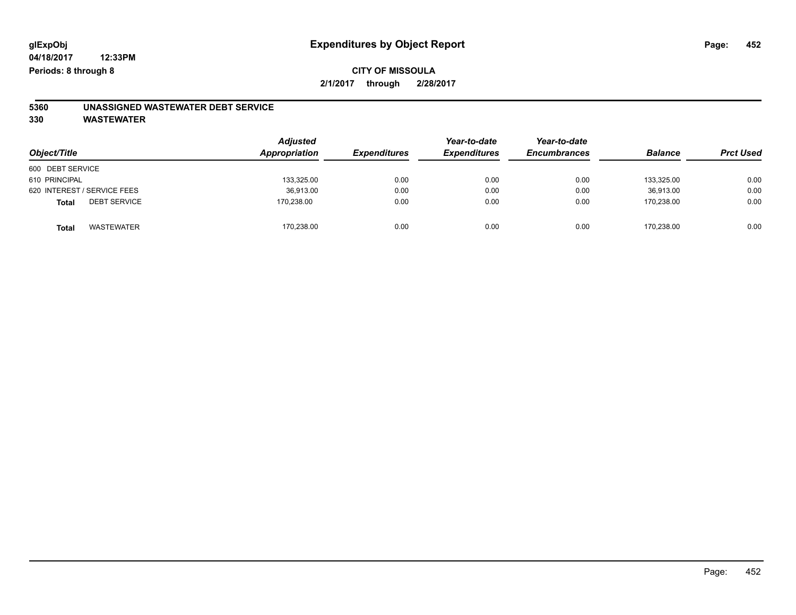### **CITY OF MISSOULA 2/1/2017 through 2/28/2017**

# **5360 UNASSIGNED WASTEWATER DEBT SERVICE**

| Object/Title                        | <b>Adjusted</b><br>Appropriation | <b>Expenditures</b> | Year-to-date<br><b>Expenditures</b> | Year-to-date<br><b>Encumbrances</b> | <b>Balance</b> | <b>Prct Used</b> |
|-------------------------------------|----------------------------------|---------------------|-------------------------------------|-------------------------------------|----------------|------------------|
| 600 DEBT SERVICE                    |                                  |                     |                                     |                                     |                |                  |
| 610 PRINCIPAL                       | 133,325.00                       | 0.00                | 0.00                                | 0.00                                | 133.325.00     | 0.00             |
| 620 INTEREST / SERVICE FEES         | 36,913.00                        | 0.00                | 0.00                                | 0.00                                | 36.913.00      | 0.00             |
| <b>DEBT SERVICE</b><br><b>Total</b> | 170,238.00                       | 0.00                | 0.00                                | 0.00                                | 170,238.00     | 0.00             |
| <b>WASTEWATER</b><br><b>Total</b>   | 170,238.00                       | 0.00                | 0.00                                | 0.00                                | 170,238.00     | 0.00             |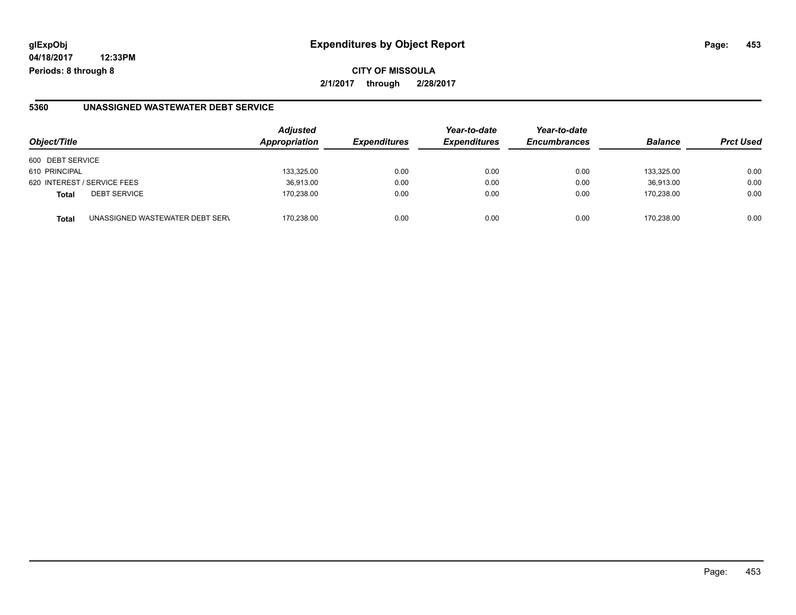**04/18/2017 12:33PM Periods: 8 through 8**

**CITY OF MISSOULA 2/1/2017 through 2/28/2017**

#### **5360 UNASSIGNED WASTEWATER DEBT SERVICE**

| Object/Title                                    | <b>Adjusted</b><br>Appropriation | <b>Expenditures</b> | Year-to-date<br><b>Expenditures</b> | Year-to-date<br><b>Encumbrances</b> | <b>Balance</b> | <b>Prct Used</b> |
|-------------------------------------------------|----------------------------------|---------------------|-------------------------------------|-------------------------------------|----------------|------------------|
| 600 DEBT SERVICE                                |                                  |                     |                                     |                                     |                |                  |
| 610 PRINCIPAL                                   | 133,325.00                       | 0.00                | 0.00                                | 0.00                                | 133.325.00     | 0.00             |
| 620 INTEREST / SERVICE FEES                     | 36,913.00                        | 0.00                | 0.00                                | 0.00                                | 36,913.00      | 0.00             |
| <b>DEBT SERVICE</b><br><b>Total</b>             | 170.238.00                       | 0.00                | 0.00                                | 0.00                                | 170.238.00     | 0.00             |
| UNASSIGNED WASTEWATER DEBT SERV<br><b>Total</b> | 170.238.00                       | 0.00                | 0.00                                | 0.00                                | 170.238.00     | 0.00             |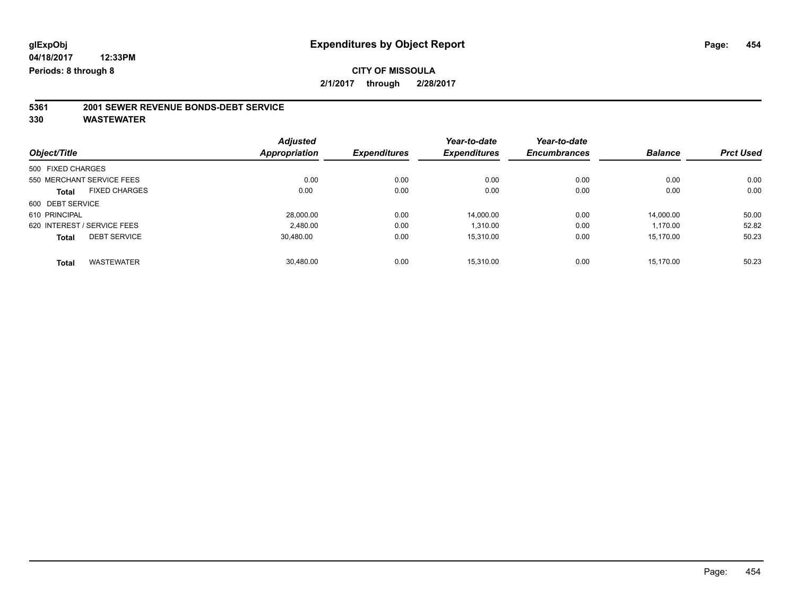# **5361 2001 SEWER REVENUE BONDS-DEBT SERVICE**

|                   |                             | <b>Adjusted</b>      |                     | Year-to-date        | Year-to-date        |                |                  |
|-------------------|-----------------------------|----------------------|---------------------|---------------------|---------------------|----------------|------------------|
| Object/Title      |                             | <b>Appropriation</b> | <b>Expenditures</b> | <b>Expenditures</b> | <b>Encumbrances</b> | <b>Balance</b> | <b>Prct Used</b> |
| 500 FIXED CHARGES |                             |                      |                     |                     |                     |                |                  |
|                   | 550 MERCHANT SERVICE FEES   | 0.00                 | 0.00                | 0.00                | 0.00                | 0.00           | 0.00             |
| <b>Total</b>      | <b>FIXED CHARGES</b>        | 0.00                 | 0.00                | 0.00                | 0.00                | 0.00           | 0.00             |
| 600 DEBT SERVICE  |                             |                      |                     |                     |                     |                |                  |
| 610 PRINCIPAL     |                             | 28.000.00            | 0.00                | 14.000.00           | 0.00                | 14.000.00      | 50.00            |
|                   | 620 INTEREST / SERVICE FEES | 2.480.00             | 0.00                | 1.310.00            | 0.00                | 1.170.00       | 52.82            |
| <b>Total</b>      | <b>DEBT SERVICE</b>         | 30.480.00            | 0.00                | 15.310.00           | 0.00                | 15.170.00      | 50.23            |
| <b>Total</b>      | <b>WASTEWATER</b>           | 30.480.00            | 0.00                | 15.310.00           | 0.00                | 15.170.00      | 50.23            |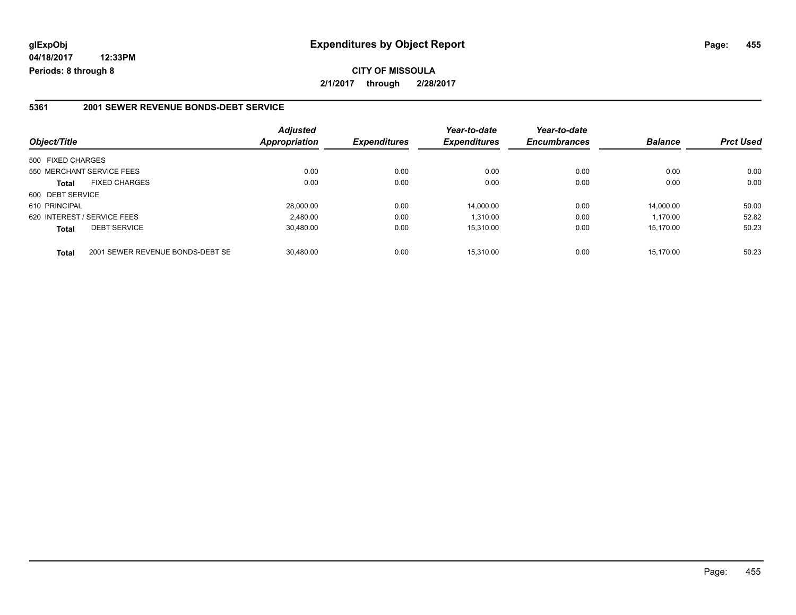**04/18/2017 12:33PM Periods: 8 through 8**

#### **5361 2001 SEWER REVENUE BONDS-DEBT SERVICE**

| Object/Title                        |                                  | <b>Adjusted</b><br>Appropriation | <b>Expenditures</b> | Year-to-date<br><b>Expenditures</b> | Year-to-date<br><b>Encumbrances</b> | <b>Balance</b> | <b>Prct Used</b> |
|-------------------------------------|----------------------------------|----------------------------------|---------------------|-------------------------------------|-------------------------------------|----------------|------------------|
| 500 FIXED CHARGES                   |                                  |                                  |                     |                                     |                                     |                |                  |
| 550 MERCHANT SERVICE FEES           |                                  | 0.00                             | 0.00                | 0.00                                | 0.00                                | 0.00           | 0.00             |
| <b>Total</b>                        | <b>FIXED CHARGES</b>             | 0.00                             | 0.00                | 0.00                                | 0.00                                | 0.00           | 0.00             |
| 600 DEBT SERVICE                    |                                  |                                  |                     |                                     |                                     |                |                  |
| 610 PRINCIPAL                       |                                  | 28,000.00                        | 0.00                | 14.000.00                           | 0.00                                | 14.000.00      | 50.00            |
| 620 INTEREST / SERVICE FEES         |                                  | 2.480.00                         | 0.00                | 1.310.00                            | 0.00                                | 1.170.00       | 52.82            |
| <b>DEBT SERVICE</b><br><b>Total</b> |                                  | 30.480.00                        | 0.00                | 15.310.00                           | 0.00                                | 15.170.00      | 50.23            |
| <b>Total</b>                        | 2001 SEWER REVENUE BONDS-DEBT SE | 30.480.00                        | 0.00                | 15.310.00                           | 0.00                                | 15.170.00      | 50.23            |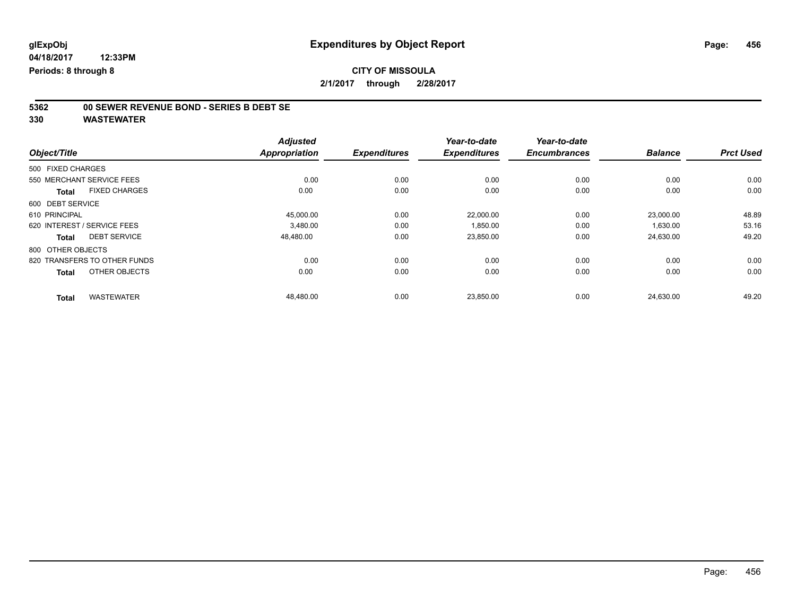# **5362 00 SEWER REVENUE BOND - SERIES B DEBT SE**

|                                      | <b>Adjusted</b>      |                     | Year-to-date        | Year-to-date        |                |                  |
|--------------------------------------|----------------------|---------------------|---------------------|---------------------|----------------|------------------|
| Object/Title                         | <b>Appropriation</b> | <b>Expenditures</b> | <b>Expenditures</b> | <b>Encumbrances</b> | <b>Balance</b> | <b>Prct Used</b> |
| 500 FIXED CHARGES                    |                      |                     |                     |                     |                |                  |
| 550 MERCHANT SERVICE FEES            | 0.00                 | 0.00                | 0.00                | 0.00                | 0.00           | 0.00             |
| <b>FIXED CHARGES</b><br><b>Total</b> | 0.00                 | 0.00                | 0.00                | 0.00                | 0.00           | 0.00             |
| 600 DEBT SERVICE                     |                      |                     |                     |                     |                |                  |
| 610 PRINCIPAL                        | 45,000.00            | 0.00                | 22,000.00           | 0.00                | 23,000.00      | 48.89            |
| 620 INTEREST / SERVICE FEES          | 3.480.00             | 0.00                | 1.850.00            | 0.00                | 1.630.00       | 53.16            |
| <b>DEBT SERVICE</b><br><b>Total</b>  | 48,480.00            | 0.00                | 23,850.00           | 0.00                | 24,630.00      | 49.20            |
| 800 OTHER OBJECTS                    |                      |                     |                     |                     |                |                  |
| 820 TRANSFERS TO OTHER FUNDS         | 0.00                 | 0.00                | 0.00                | 0.00                | 0.00           | 0.00             |
| OTHER OBJECTS<br><b>Total</b>        | 0.00                 | 0.00                | 0.00                | 0.00                | 0.00           | 0.00             |
| <b>WASTEWATER</b><br><b>Total</b>    | 48,480.00            | 0.00                | 23,850.00           | 0.00                | 24,630.00      | 49.20            |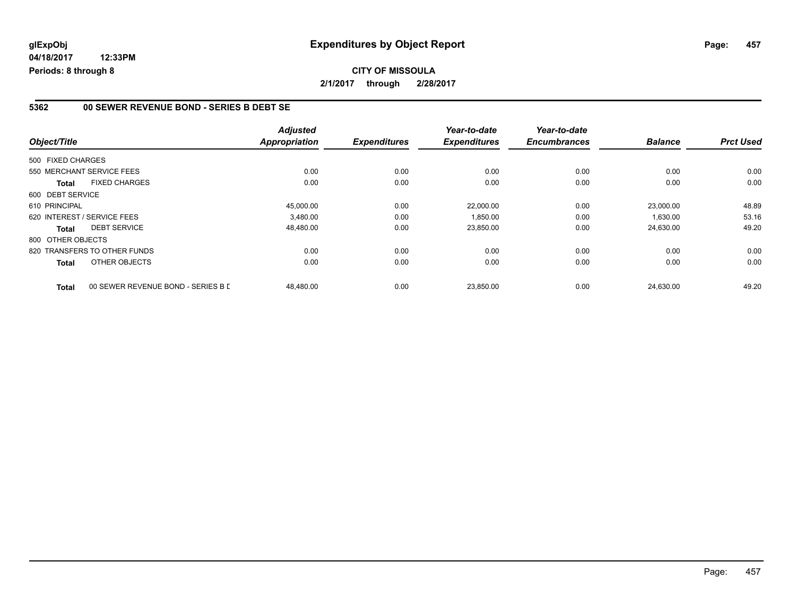**04/18/2017 12:33PM Periods: 8 through 8**

#### **5362 00 SEWER REVENUE BOND - SERIES B DEBT SE**

| Object/Title                         |                                    | <b>Adjusted</b><br><b>Appropriation</b> | <b>Expenditures</b> | Year-to-date<br><b>Expenditures</b> | Year-to-date<br><b>Encumbrances</b> | <b>Balance</b> | <b>Prct Used</b> |
|--------------------------------------|------------------------------------|-----------------------------------------|---------------------|-------------------------------------|-------------------------------------|----------------|------------------|
| 500 FIXED CHARGES                    |                                    |                                         |                     |                                     |                                     |                |                  |
| 550 MERCHANT SERVICE FEES            |                                    | 0.00                                    | 0.00                | 0.00                                | 0.00                                | 0.00           | 0.00             |
| <b>FIXED CHARGES</b><br><b>Total</b> |                                    | 0.00                                    | 0.00                | 0.00                                | 0.00                                | 0.00           | 0.00             |
| 600 DEBT SERVICE                     |                                    |                                         |                     |                                     |                                     |                |                  |
| 610 PRINCIPAL                        |                                    | 45,000.00                               | 0.00                | 22,000.00                           | 0.00                                | 23.000.00      | 48.89            |
| 620 INTEREST / SERVICE FEES          |                                    | 3.480.00                                | 0.00                | 1,850.00                            | 0.00                                | 1,630.00       | 53.16            |
| <b>DEBT SERVICE</b><br>Total         |                                    | 48,480.00                               | 0.00                | 23,850.00                           | 0.00                                | 24,630.00      | 49.20            |
| 800 OTHER OBJECTS                    |                                    |                                         |                     |                                     |                                     |                |                  |
| 820 TRANSFERS TO OTHER FUNDS         |                                    | 0.00                                    | 0.00                | 0.00                                | 0.00                                | 0.00           | 0.00             |
| OTHER OBJECTS<br>Total               |                                    | 0.00                                    | 0.00                | 0.00                                | 0.00                                | 0.00           | 0.00             |
| <b>Total</b>                         | 00 SEWER REVENUE BOND - SERIES B D | 48,480.00                               | 0.00                | 23,850.00                           | 0.00                                | 24,630.00      | 49.20            |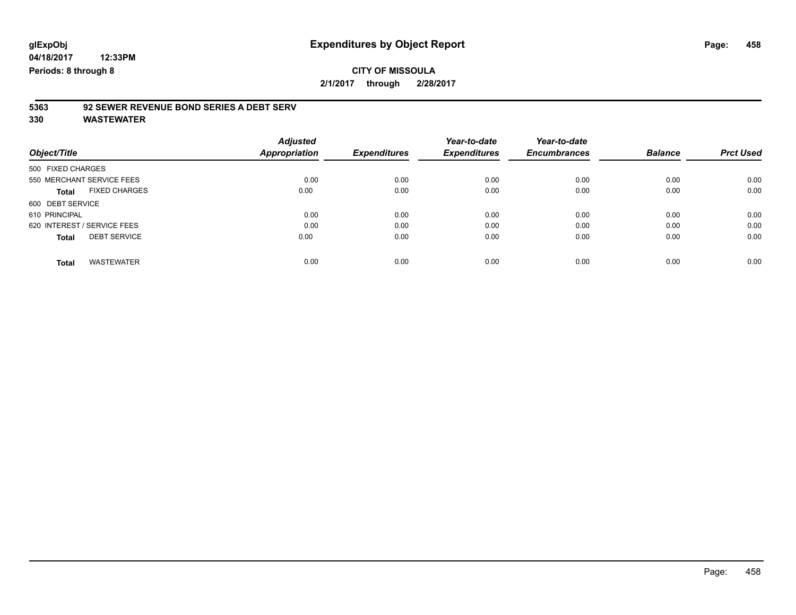### **CITY OF MISSOULA 2/1/2017 through 2/28/2017**

# **5363 92 SEWER REVENUE BOND SERIES A DEBT SERV**

| Object/Title                         | <b>Adjusted</b><br><b>Appropriation</b> | <b>Expenditures</b> | Year-to-date<br><b>Expenditures</b> | Year-to-date<br><b>Encumbrances</b> | <b>Balance</b> | <b>Prct Used</b> |
|--------------------------------------|-----------------------------------------|---------------------|-------------------------------------|-------------------------------------|----------------|------------------|
| 500 FIXED CHARGES                    |                                         |                     |                                     |                                     |                |                  |
| 550 MERCHANT SERVICE FEES            | 0.00                                    | 0.00                | 0.00                                | 0.00                                | 0.00           | 0.00             |
| <b>FIXED CHARGES</b><br><b>Total</b> | 0.00                                    | 0.00                | 0.00                                | 0.00                                | 0.00           | 0.00             |
| 600 DEBT SERVICE                     |                                         |                     |                                     |                                     |                |                  |
| 610 PRINCIPAL                        | 0.00                                    | 0.00                | 0.00                                | 0.00                                | 0.00           | 0.00             |
| 620 INTEREST / SERVICE FEES          | 0.00                                    | 0.00                | 0.00                                | 0.00                                | 0.00           | 0.00             |
| <b>DEBT SERVICE</b><br><b>Total</b>  | 0.00                                    | 0.00                | 0.00                                | 0.00                                | 0.00           | 0.00             |
| <b>WASTEWATER</b><br>Total           | 0.00                                    | 0.00                | 0.00                                | 0.00                                | 0.00           | 0.00             |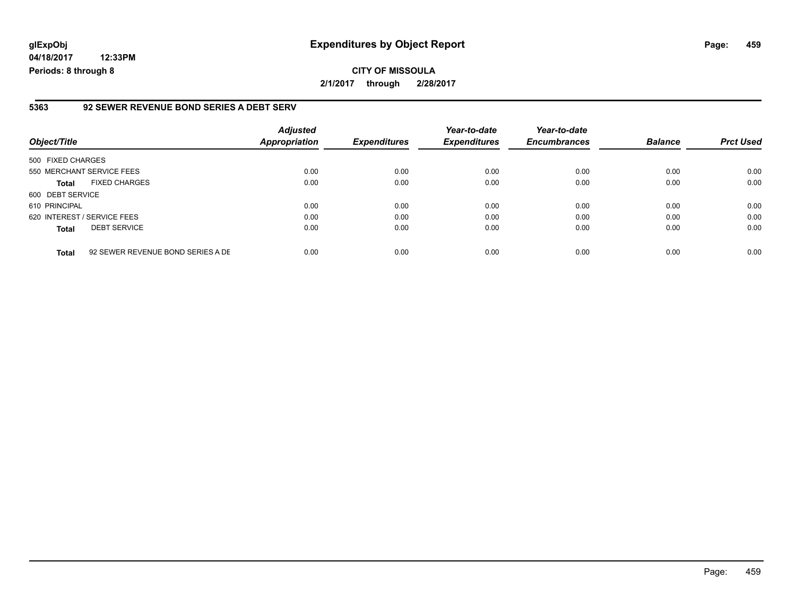**04/18/2017 12:33PM Periods: 8 through 8**

#### **5363 92 SEWER REVENUE BOND SERIES A DEBT SERV**

| Object/Title      |                                   | <b>Adjusted</b><br><b>Appropriation</b> | <b>Expenditures</b> | Year-to-date<br><b>Expenditures</b> | Year-to-date<br><b>Encumbrances</b> | <b>Balance</b> | <b>Prct Used</b> |
|-------------------|-----------------------------------|-----------------------------------------|---------------------|-------------------------------------|-------------------------------------|----------------|------------------|
| 500 FIXED CHARGES |                                   |                                         |                     |                                     |                                     |                |                  |
|                   | 550 MERCHANT SERVICE FEES         | 0.00                                    | 0.00                | 0.00                                | 0.00                                | 0.00           | 0.00             |
| <b>Total</b>      | <b>FIXED CHARGES</b>              | 0.00                                    | 0.00                | 0.00                                | 0.00                                | 0.00           | 0.00             |
| 600 DEBT SERVICE  |                                   |                                         |                     |                                     |                                     |                |                  |
| 610 PRINCIPAL     |                                   | 0.00                                    | 0.00                | 0.00                                | 0.00                                | 0.00           | 0.00             |
|                   | 620 INTEREST / SERVICE FEES       | 0.00                                    | 0.00                | 0.00                                | 0.00                                | 0.00           | 0.00             |
| <b>Total</b>      | <b>DEBT SERVICE</b>               | 0.00                                    | 0.00                | 0.00                                | 0.00                                | 0.00           | 0.00             |
| <b>Total</b>      | 92 SEWER REVENUE BOND SERIES A DE | 0.00                                    | 0.00                | 0.00                                | 0.00                                | 0.00           | 0.00             |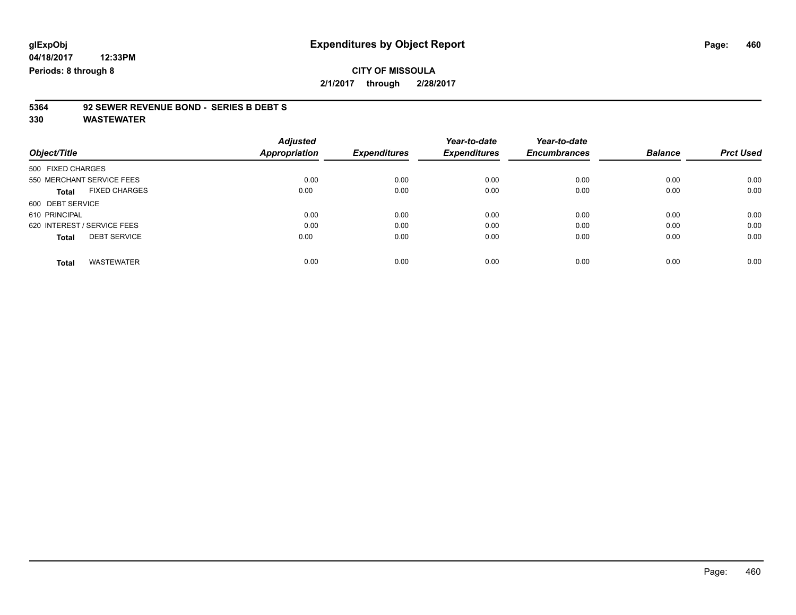# **5364 92 SEWER REVENUE BOND - SERIES B DEBT S**

|                   |                             | <b>Adjusted</b> |                     | Year-to-date        | Year-to-date        |                |                  |
|-------------------|-----------------------------|-----------------|---------------------|---------------------|---------------------|----------------|------------------|
| Object/Title      |                             | Appropriation   | <b>Expenditures</b> | <b>Expenditures</b> | <b>Encumbrances</b> | <b>Balance</b> | <b>Prct Used</b> |
| 500 FIXED CHARGES |                             |                 |                     |                     |                     |                |                  |
|                   | 550 MERCHANT SERVICE FEES   | 0.00            | 0.00                | 0.00                | 0.00                | 0.00           | 0.00             |
| <b>Total</b>      | <b>FIXED CHARGES</b>        | 0.00            | 0.00                | 0.00                | 0.00                | 0.00           | 0.00             |
| 600 DEBT SERVICE  |                             |                 |                     |                     |                     |                |                  |
| 610 PRINCIPAL     |                             | 0.00            | 0.00                | 0.00                | 0.00                | 0.00           | 0.00             |
|                   | 620 INTEREST / SERVICE FEES | 0.00            | 0.00                | 0.00                | 0.00                | 0.00           | 0.00             |
| <b>Total</b>      | <b>DEBT SERVICE</b>         | 0.00            | 0.00                | 0.00                | 0.00                | 0.00           | 0.00             |
| <b>Total</b>      | <b>WASTEWATER</b>           | 0.00            | 0.00                | 0.00                | 0.00                | 0.00           | 0.00             |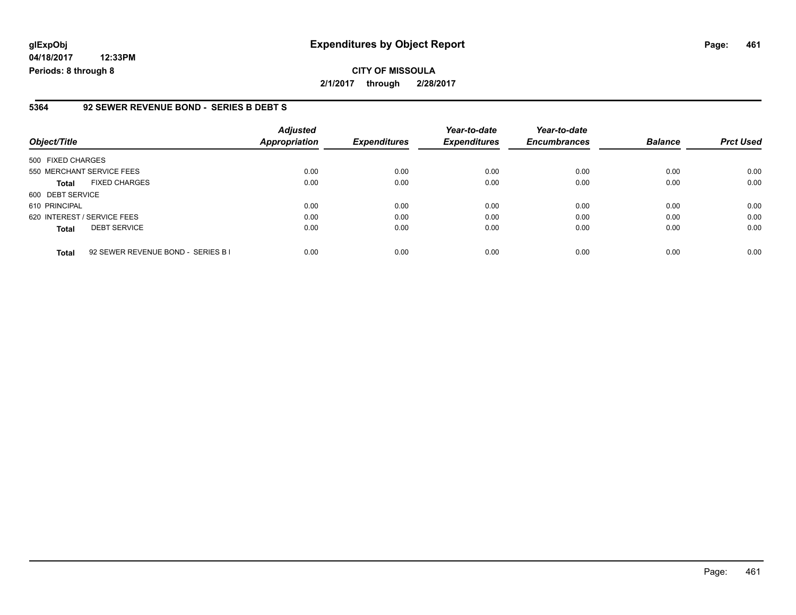**04/18/2017 12:33PM Periods: 8 through 8**

#### **5364 92 SEWER REVENUE BOND - SERIES B DEBT S**

| Object/Title                                       | <b>Adjusted</b><br><b>Appropriation</b> | <b>Expenditures</b> | Year-to-date<br><b>Expenditures</b> | Year-to-date<br><b>Encumbrances</b> | <b>Balance</b> | <b>Prct Used</b> |
|----------------------------------------------------|-----------------------------------------|---------------------|-------------------------------------|-------------------------------------|----------------|------------------|
| 500 FIXED CHARGES                                  |                                         |                     |                                     |                                     |                |                  |
| 550 MERCHANT SERVICE FEES                          | 0.00                                    | 0.00                | 0.00                                | 0.00                                | 0.00           | 0.00             |
| <b>FIXED CHARGES</b><br><b>Total</b>               | 0.00                                    | 0.00                | 0.00                                | 0.00                                | 0.00           | 0.00             |
| 600 DEBT SERVICE                                   |                                         |                     |                                     |                                     |                |                  |
| 610 PRINCIPAL                                      | 0.00                                    | 0.00                | 0.00                                | 0.00                                | 0.00           | 0.00             |
| 620 INTEREST / SERVICE FEES                        | 0.00                                    | 0.00                | 0.00                                | 0.00                                | 0.00           | 0.00             |
| <b>DEBT SERVICE</b><br>Total                       | 0.00                                    | 0.00                | 0.00                                | 0.00                                | 0.00           | 0.00             |
| 92 SEWER REVENUE BOND - SERIES B I<br><b>Total</b> | 0.00                                    | 0.00                | 0.00                                | 0.00                                | 0.00           | 0.00             |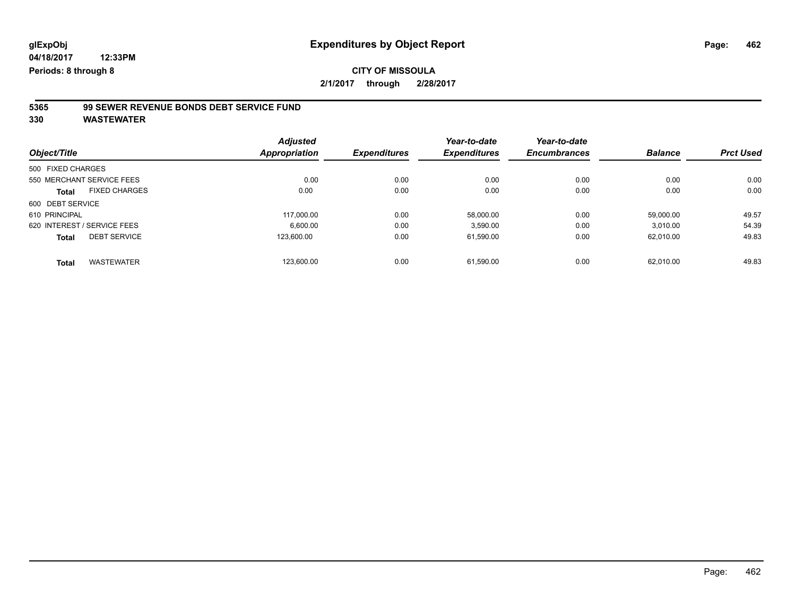# **5365 99 SEWER REVENUE BONDS DEBT SERVICE FUND**

|                                      | <b>Adjusted</b> |                     | Year-to-date        | Year-to-date        |                |                  |
|--------------------------------------|-----------------|---------------------|---------------------|---------------------|----------------|------------------|
| Object/Title                         | Appropriation   | <b>Expenditures</b> | <b>Expenditures</b> | <b>Encumbrances</b> | <b>Balance</b> | <b>Prct Used</b> |
| 500 FIXED CHARGES                    |                 |                     |                     |                     |                |                  |
| 550 MERCHANT SERVICE FEES            | 0.00            | 0.00                | 0.00                | 0.00                | 0.00           | 0.00             |
| <b>FIXED CHARGES</b><br><b>Total</b> | 0.00            | 0.00                | 0.00                | 0.00                | 0.00           | 0.00             |
| 600 DEBT SERVICE                     |                 |                     |                     |                     |                |                  |
| 610 PRINCIPAL                        | 117.000.00      | 0.00                | 58.000.00           | 0.00                | 59.000.00      | 49.57            |
| 620 INTEREST / SERVICE FEES          | 6,600.00        | 0.00                | 3,590.00            | 0.00                | 3,010.00       | 54.39            |
| <b>DEBT SERVICE</b><br><b>Total</b>  | 123.600.00      | 0.00                | 61,590.00           | 0.00                | 62.010.00      | 49.83            |
| <b>WASTEWATER</b><br><b>Total</b>    | 123,600.00      | 0.00                | 61.590.00           | 0.00                | 62.010.00      | 49.83            |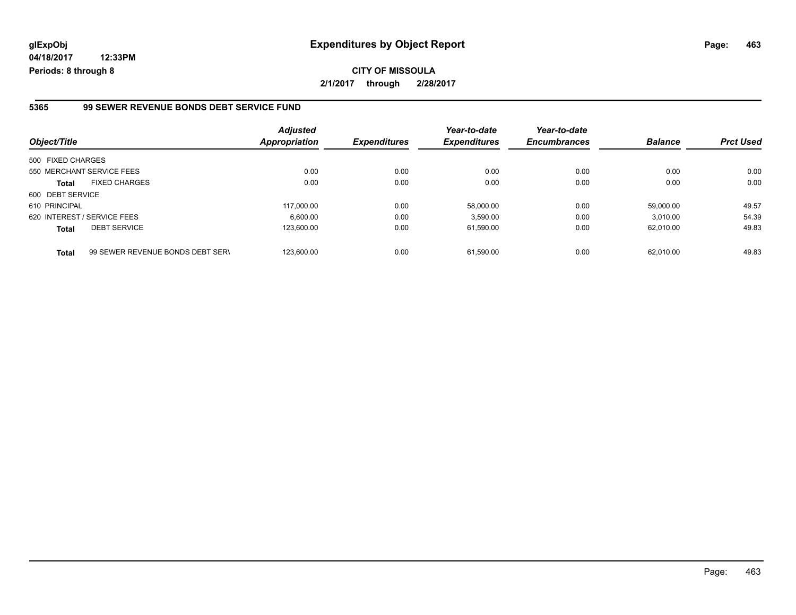**04/18/2017 12:33PM Periods: 8 through 8**

#### **5365 99 SEWER REVENUE BONDS DEBT SERVICE FUND**

| Object/Title      |                                  | <b>Adjusted</b><br>Appropriation | <b>Expenditures</b> | Year-to-date<br><b>Expenditures</b> | Year-to-date<br><b>Encumbrances</b> | <b>Balance</b> | <b>Prct Used</b> |
|-------------------|----------------------------------|----------------------------------|---------------------|-------------------------------------|-------------------------------------|----------------|------------------|
| 500 FIXED CHARGES |                                  |                                  |                     |                                     |                                     |                |                  |
|                   | 550 MERCHANT SERVICE FEES        | 0.00                             | 0.00                | 0.00                                | 0.00                                | 0.00           | 0.00             |
| <b>Total</b>      | <b>FIXED CHARGES</b>             | 0.00                             | 0.00                | 0.00                                | 0.00                                | 0.00           | 0.00             |
| 600 DEBT SERVICE  |                                  |                                  |                     |                                     |                                     |                |                  |
| 610 PRINCIPAL     |                                  | 117.000.00                       | 0.00                | 58.000.00                           | 0.00                                | 59.000.00      | 49.57            |
|                   | 620 INTEREST / SERVICE FEES      | 6.600.00                         | 0.00                | 3.590.00                            | 0.00                                | 3.010.00       | 54.39            |
| <b>Total</b>      | <b>DEBT SERVICE</b>              | 123.600.00                       | 0.00                | 61,590.00                           | 0.00                                | 62.010.00      | 49.83            |
| <b>Total</b>      | 99 SEWER REVENUE BONDS DEBT SERV | 123.600.00                       | 0.00                | 61.590.00                           | 0.00                                | 62.010.00      | 49.83            |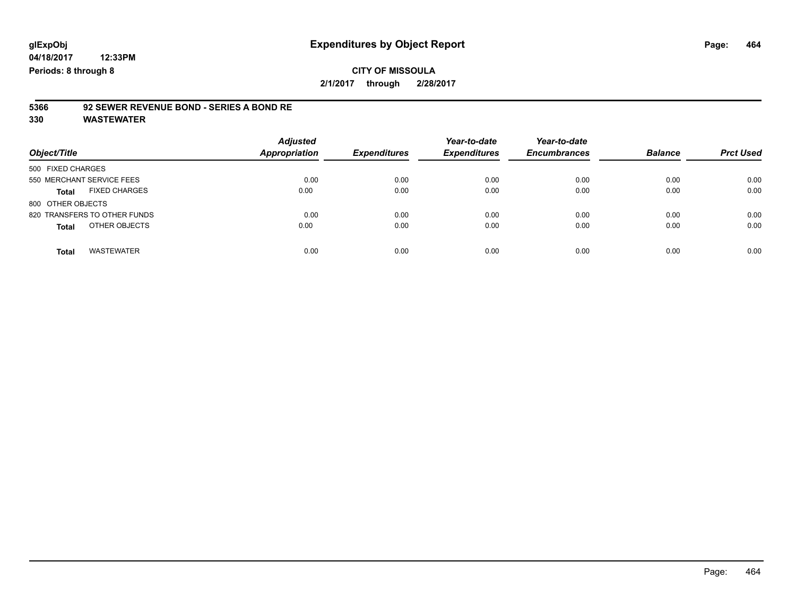# **5366 92 SEWER REVENUE BOND - SERIES A BOND RE**

| Object/Title                         | <b>Adjusted</b><br><b>Appropriation</b> | <b>Expenditures</b> | Year-to-date<br><b>Expenditures</b> | Year-to-date<br><b>Encumbrances</b> | <b>Balance</b> | <b>Prct Used</b> |
|--------------------------------------|-----------------------------------------|---------------------|-------------------------------------|-------------------------------------|----------------|------------------|
| 500 FIXED CHARGES                    |                                         |                     |                                     |                                     |                |                  |
| 550 MERCHANT SERVICE FEES            | 0.00                                    | 0.00                | 0.00                                | 0.00                                | 0.00           | 0.00             |
| <b>FIXED CHARGES</b><br><b>Total</b> | 0.00                                    | 0.00                | 0.00                                | 0.00                                | 0.00           | 0.00             |
| 800 OTHER OBJECTS                    |                                         |                     |                                     |                                     |                |                  |
| 820 TRANSFERS TO OTHER FUNDS         | 0.00                                    | 0.00                | 0.00                                | 0.00                                | 0.00           | 0.00             |
| OTHER OBJECTS<br><b>Total</b>        | 0.00                                    | 0.00                | 0.00                                | 0.00                                | 0.00           | 0.00             |
| <b>WASTEWATER</b><br><b>Total</b>    | 0.00                                    | 0.00                | 0.00                                | 0.00                                | 0.00           | 0.00             |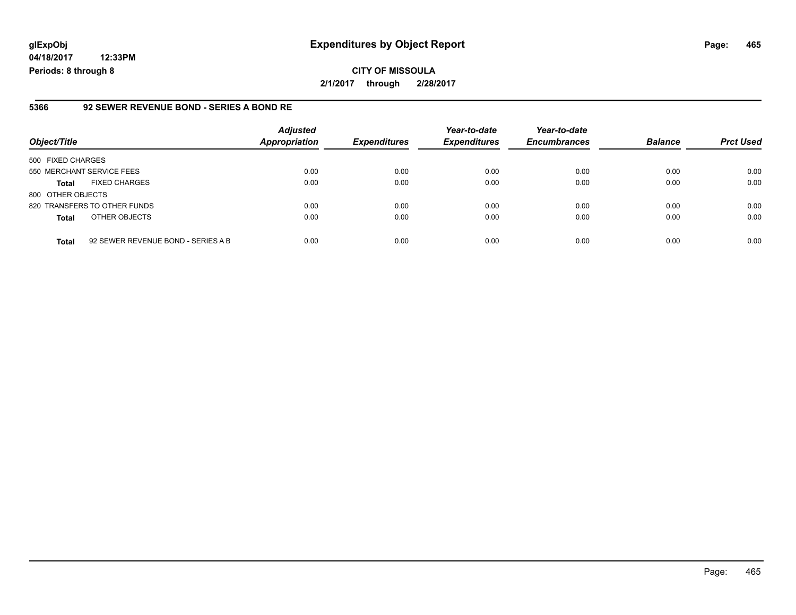**04/18/2017 12:33PM Periods: 8 through 8**

#### **5366 92 SEWER REVENUE BOND - SERIES A BOND RE**

| Object/Title              |                                    | <b>Adjusted</b><br><b>Appropriation</b> | <b>Expenditures</b> | Year-to-date<br><b>Expenditures</b> | Year-to-date<br><b>Encumbrances</b> | <b>Balance</b> | <b>Prct Used</b> |
|---------------------------|------------------------------------|-----------------------------------------|---------------------|-------------------------------------|-------------------------------------|----------------|------------------|
| 500 FIXED CHARGES         |                                    |                                         |                     |                                     |                                     |                |                  |
| 550 MERCHANT SERVICE FEES |                                    | 0.00                                    | 0.00                | 0.00                                | 0.00                                | 0.00           | 0.00             |
| <b>Total</b>              | <b>FIXED CHARGES</b>               | 0.00                                    | 0.00                | 0.00                                | 0.00                                | 0.00           | 0.00             |
| 800 OTHER OBJECTS         |                                    |                                         |                     |                                     |                                     |                |                  |
|                           | 820 TRANSFERS TO OTHER FUNDS       | 0.00                                    | 0.00                | 0.00                                | 0.00                                | 0.00           | 0.00             |
| <b>Total</b>              | OTHER OBJECTS                      | 0.00                                    | 0.00                | 0.00                                | 0.00                                | 0.00           | 0.00             |
| <b>Total</b>              | 92 SEWER REVENUE BOND - SERIES A B | 0.00                                    | 0.00                | 0.00                                | 0.00                                | 0.00           | 0.00             |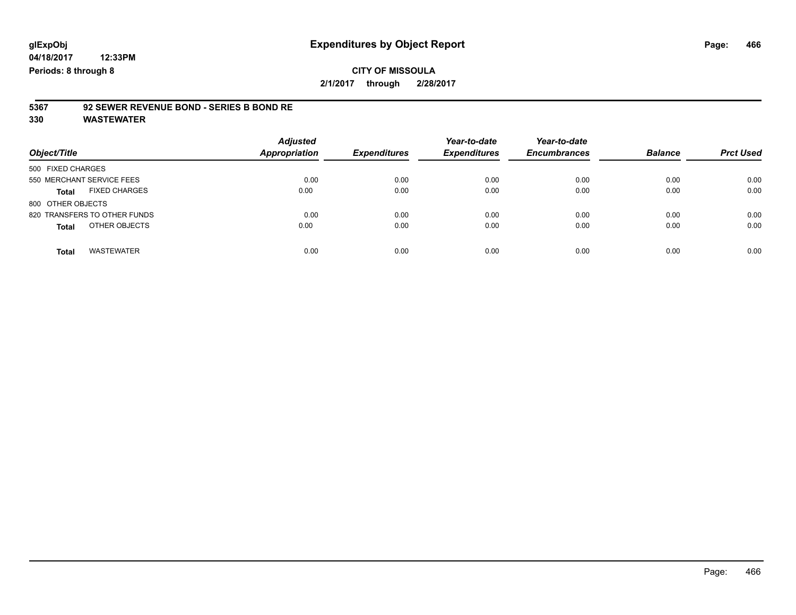# **5367 92 SEWER REVENUE BOND - SERIES B BOND RE**

| Object/Title                         | <b>Adjusted</b><br><b>Appropriation</b> | <b>Expenditures</b> | Year-to-date<br><b>Expenditures</b> | Year-to-date<br><b>Encumbrances</b> | <b>Balance</b> | <b>Prct Used</b> |
|--------------------------------------|-----------------------------------------|---------------------|-------------------------------------|-------------------------------------|----------------|------------------|
| 500 FIXED CHARGES                    |                                         |                     |                                     |                                     |                |                  |
| 550 MERCHANT SERVICE FEES            | 0.00                                    | 0.00                | 0.00                                | 0.00                                | 0.00           | 0.00             |
| <b>FIXED CHARGES</b><br><b>Total</b> | 0.00                                    | 0.00                | 0.00                                | 0.00                                | 0.00           | 0.00             |
| 800 OTHER OBJECTS                    |                                         |                     |                                     |                                     |                |                  |
| 820 TRANSFERS TO OTHER FUNDS         | 0.00                                    | 0.00                | 0.00                                | 0.00                                | 0.00           | 0.00             |
| OTHER OBJECTS<br><b>Total</b>        | 0.00                                    | 0.00                | 0.00                                | 0.00                                | 0.00           | 0.00             |
| <b>WASTEWATER</b><br>Total           | 0.00                                    | 0.00                | 0.00                                | 0.00                                | 0.00           | 0.00             |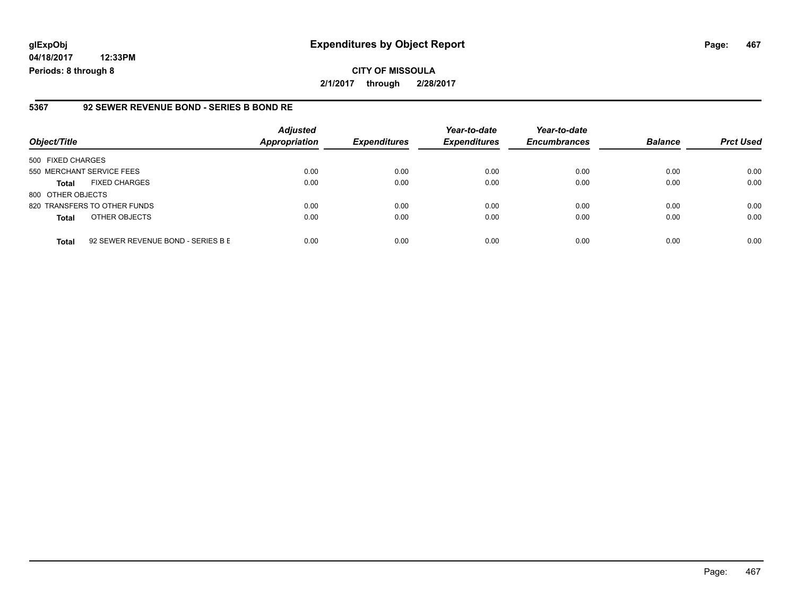**04/18/2017 12:33PM Periods: 8 through 8**

#### **5367 92 SEWER REVENUE BOND - SERIES B BOND RE**

| Object/Title              |                                    | <b>Adjusted</b><br><b>Appropriation</b> | <b>Expenditures</b> | Year-to-date<br><b>Expenditures</b> | Year-to-date<br><b>Encumbrances</b> | <b>Balance</b> | <b>Prct Used</b> |
|---------------------------|------------------------------------|-----------------------------------------|---------------------|-------------------------------------|-------------------------------------|----------------|------------------|
| 500 FIXED CHARGES         |                                    |                                         |                     |                                     |                                     |                |                  |
| 550 MERCHANT SERVICE FEES |                                    | 0.00                                    | 0.00                | 0.00                                | 0.00                                | 0.00           | 0.00             |
| <b>Total</b>              | <b>FIXED CHARGES</b>               | 0.00                                    | 0.00                | 0.00                                | 0.00                                | 0.00           | 0.00             |
| 800 OTHER OBJECTS         |                                    |                                         |                     |                                     |                                     |                |                  |
|                           | 820 TRANSFERS TO OTHER FUNDS       | 0.00                                    | 0.00                | 0.00                                | 0.00                                | 0.00           | 0.00             |
| <b>Total</b>              | OTHER OBJECTS                      | 0.00                                    | 0.00                | 0.00                                | 0.00                                | 0.00           | 0.00             |
| <b>Total</b>              | 92 SEWER REVENUE BOND - SERIES B E | 0.00                                    | 0.00                | 0.00                                | 0.00                                | 0.00           | 0.00             |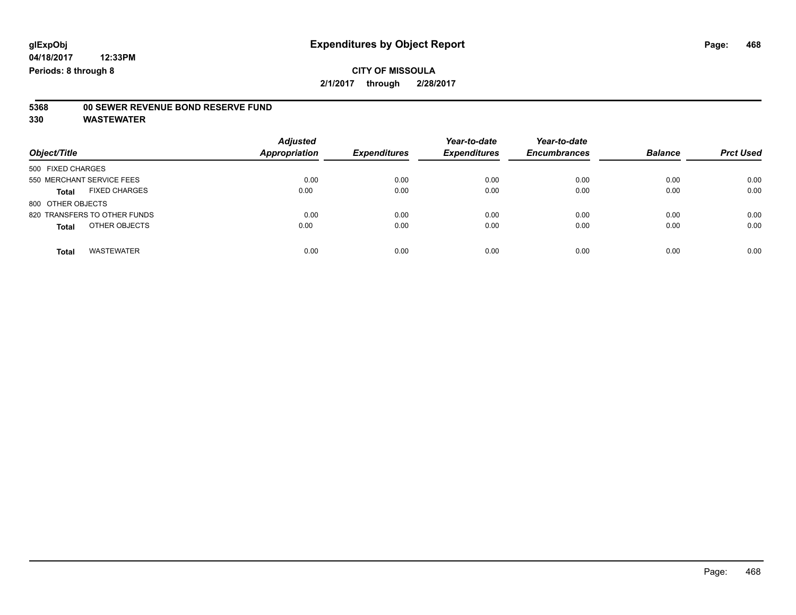# **5368 00 SEWER REVENUE BOND RESERVE FUND**

| Object/Title                         | <b>Adjusted</b><br><b>Appropriation</b> | <b>Expenditures</b> | Year-to-date<br><b>Expenditures</b> | Year-to-date<br><b>Encumbrances</b> | <b>Balance</b> | <b>Prct Used</b> |
|--------------------------------------|-----------------------------------------|---------------------|-------------------------------------|-------------------------------------|----------------|------------------|
| 500 FIXED CHARGES                    |                                         |                     |                                     |                                     |                |                  |
| 550 MERCHANT SERVICE FEES            | 0.00                                    | 0.00                | 0.00                                | 0.00                                | 0.00           | 0.00             |
| <b>FIXED CHARGES</b><br><b>Total</b> | 0.00                                    | 0.00                | 0.00                                | 0.00                                | 0.00           | 0.00             |
| 800 OTHER OBJECTS                    |                                         |                     |                                     |                                     |                |                  |
| 820 TRANSFERS TO OTHER FUNDS         | 0.00                                    | 0.00                | 0.00                                | 0.00                                | 0.00           | 0.00             |
| OTHER OBJECTS<br><b>Total</b>        | 0.00                                    | 0.00                | 0.00                                | 0.00                                | 0.00           | 0.00             |
| <b>WASTEWATER</b><br><b>Total</b>    | 0.00                                    | 0.00                | 0.00                                | 0.00                                | 0.00           | 0.00             |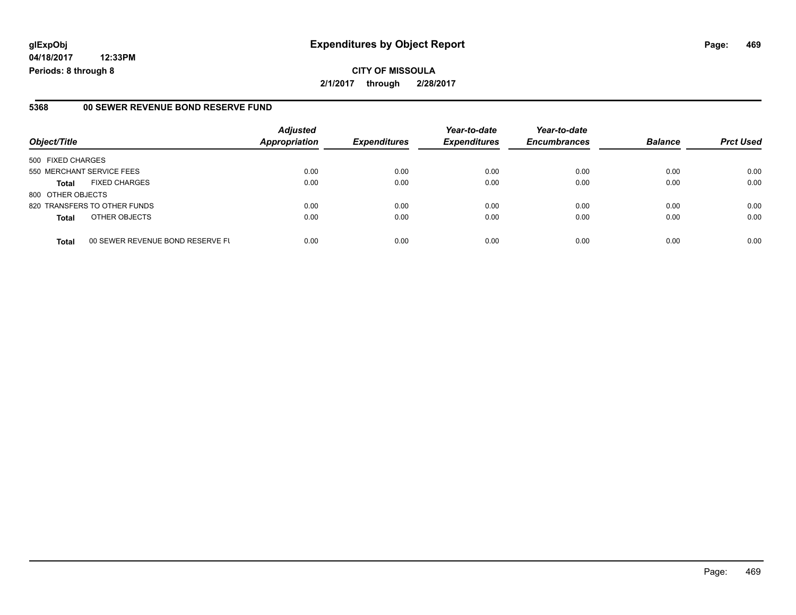# **glExpObj Expenditures by Object Report Page: 469**

**04/18/2017 12:33PM Periods: 8 through 8**

#### **5368 00 SEWER REVENUE BOND RESERVE FUND**

| Object/Title                                     | <b>Adjusted</b><br><b>Appropriation</b> | <b>Expenditures</b> | Year-to-date<br><b>Expenditures</b> | Year-to-date<br><b>Encumbrances</b> | <b>Balance</b> | <b>Prct Used</b> |
|--------------------------------------------------|-----------------------------------------|---------------------|-------------------------------------|-------------------------------------|----------------|------------------|
| 500 FIXED CHARGES                                |                                         |                     |                                     |                                     |                |                  |
| 550 MERCHANT SERVICE FEES                        | 0.00                                    | 0.00                | 0.00                                | 0.00                                | 0.00           | 0.00             |
| <b>FIXED CHARGES</b><br><b>Total</b>             | 0.00                                    | 0.00                | 0.00                                | 0.00                                | 0.00           | 0.00             |
| 800 OTHER OBJECTS                                |                                         |                     |                                     |                                     |                |                  |
| 820 TRANSFERS TO OTHER FUNDS                     | 0.00                                    | 0.00                | 0.00                                | 0.00                                | 0.00           | 0.00             |
| OTHER OBJECTS<br><b>Total</b>                    | 0.00                                    | 0.00                | 0.00                                | 0.00                                | 0.00           | 0.00             |
| 00 SEWER REVENUE BOND RESERVE FL<br><b>Total</b> | 0.00                                    | 0.00                | 0.00                                | 0.00                                | 0.00           | 0.00             |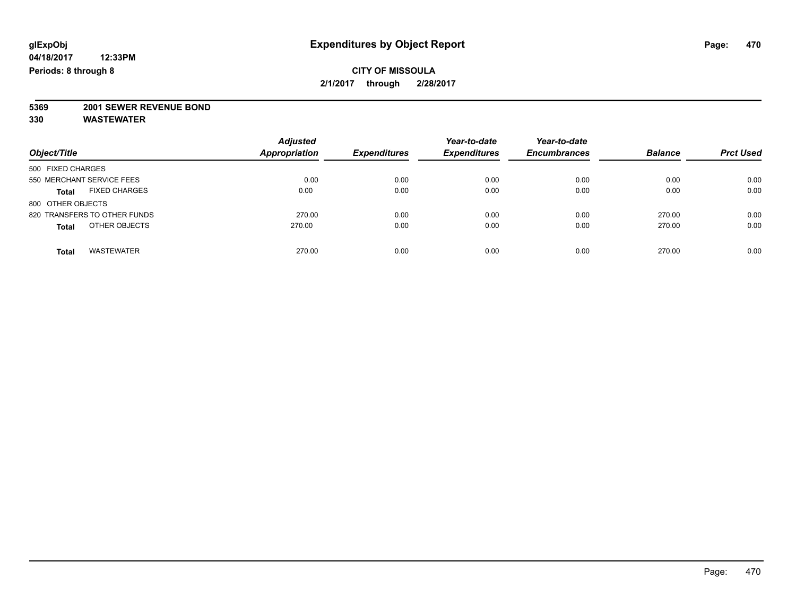# **5369 2001 SEWER REVENUE BOND**

| Object/Title                         | <b>Adjusted</b><br><b>Appropriation</b> | <b>Expenditures</b> | Year-to-date<br><b>Expenditures</b> | Year-to-date<br><b>Encumbrances</b> | <b>Balance</b> | <b>Prct Used</b> |
|--------------------------------------|-----------------------------------------|---------------------|-------------------------------------|-------------------------------------|----------------|------------------|
| 500 FIXED CHARGES                    |                                         |                     |                                     |                                     |                |                  |
| 550 MERCHANT SERVICE FEES            | 0.00                                    | 0.00                | 0.00                                | 0.00                                | 0.00           | 0.00             |
| <b>FIXED CHARGES</b><br><b>Total</b> | 0.00                                    | 0.00                | 0.00                                | 0.00                                | 0.00           | 0.00             |
| 800 OTHER OBJECTS                    |                                         |                     |                                     |                                     |                |                  |
| 820 TRANSFERS TO OTHER FUNDS         | 270.00                                  | 0.00                | 0.00                                | 0.00                                | 270.00         | 0.00             |
| OTHER OBJECTS<br><b>Total</b>        | 270.00                                  | 0.00                | 0.00                                | 0.00                                | 270.00         | 0.00             |
| <b>WASTEWATER</b><br><b>Total</b>    | 270.00                                  | 0.00                | 0.00                                | 0.00                                | 270.00         | 0.00             |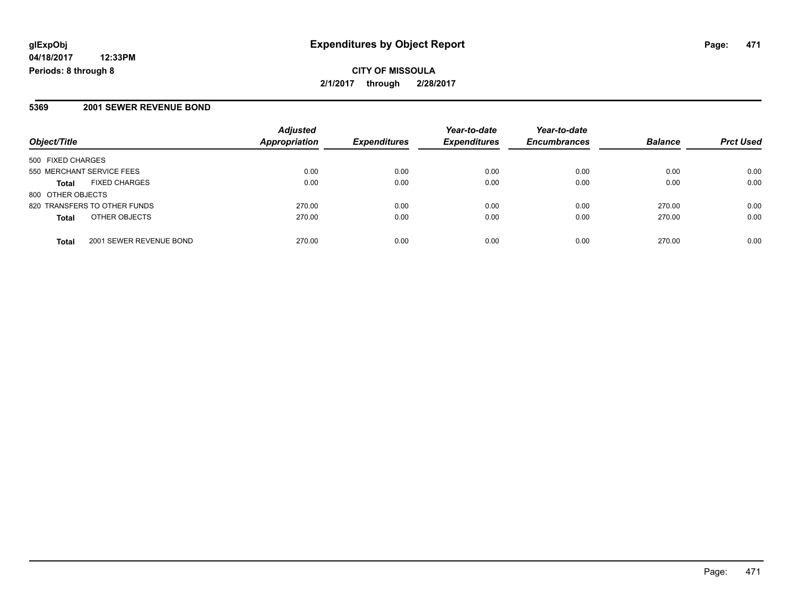**CITY OF MISSOULA 2/1/2017 through 2/28/2017**

#### **5369 2001 SEWER REVENUE BOND**

| Object/Title                            | <b>Adjusted</b><br>Appropriation | <b>Expenditures</b> | Year-to-date<br><b>Expenditures</b> | Year-to-date<br><b>Encumbrances</b> | <b>Balance</b> | <b>Prct Used</b> |
|-----------------------------------------|----------------------------------|---------------------|-------------------------------------|-------------------------------------|----------------|------------------|
| 500 FIXED CHARGES                       |                                  |                     |                                     |                                     |                |                  |
| 550 MERCHANT SERVICE FEES               | 0.00                             | 0.00                | 0.00                                | 0.00                                | 0.00           | 0.00             |
| <b>FIXED CHARGES</b><br><b>Total</b>    | 0.00                             | 0.00                | 0.00                                | 0.00                                | 0.00           | 0.00             |
| 800 OTHER OBJECTS                       |                                  |                     |                                     |                                     |                |                  |
| 820 TRANSFERS TO OTHER FUNDS            | 270.00                           | 0.00                | 0.00                                | 0.00                                | 270.00         | 0.00             |
| OTHER OBJECTS<br><b>Total</b>           | 270.00                           | 0.00                | 0.00                                | 0.00                                | 270.00         | 0.00             |
| 2001 SEWER REVENUE BOND<br><b>Total</b> | 270.00                           | 0.00                | 0.00                                | 0.00                                | 270.00         | 0.00             |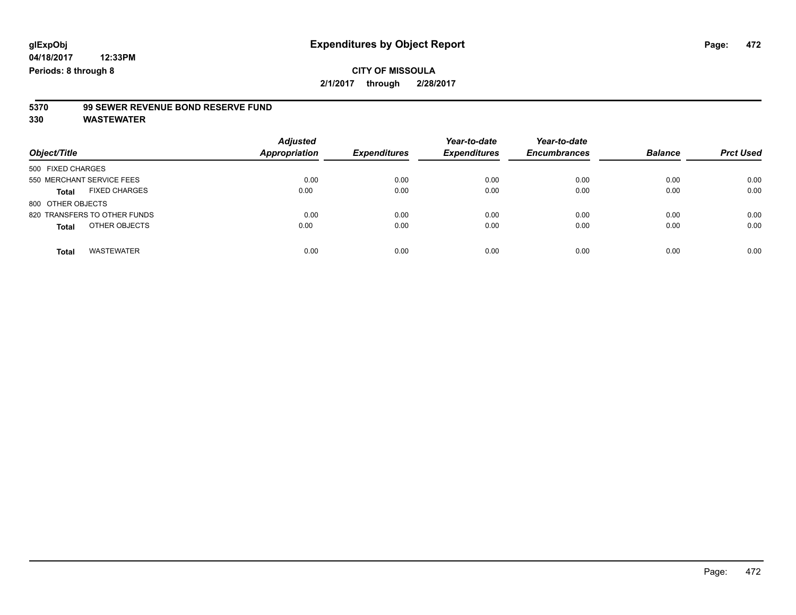# **5370 99 SEWER REVENUE BOND RESERVE FUND**

| Object/Title                         | <b>Adjusted</b><br><b>Appropriation</b> | <b>Expenditures</b> | Year-to-date<br><b>Expenditures</b> | Year-to-date<br><b>Encumbrances</b> | <b>Balance</b> | <b>Prct Used</b> |
|--------------------------------------|-----------------------------------------|---------------------|-------------------------------------|-------------------------------------|----------------|------------------|
| 500 FIXED CHARGES                    |                                         |                     |                                     |                                     |                |                  |
| 550 MERCHANT SERVICE FEES            | 0.00                                    | 0.00                | 0.00                                | 0.00                                | 0.00           | 0.00             |
| <b>FIXED CHARGES</b><br><b>Total</b> | 0.00                                    | 0.00                | 0.00                                | 0.00                                | 0.00           | 0.00             |
| 800 OTHER OBJECTS                    |                                         |                     |                                     |                                     |                |                  |
| 820 TRANSFERS TO OTHER FUNDS         | 0.00                                    | 0.00                | 0.00                                | 0.00                                | 0.00           | 0.00             |
| OTHER OBJECTS<br><b>Total</b>        | 0.00                                    | 0.00                | 0.00                                | 0.00                                | 0.00           | 0.00             |
| <b>WASTEWATER</b><br><b>Total</b>    | 0.00                                    | 0.00                | 0.00                                | 0.00                                | 0.00           | 0.00             |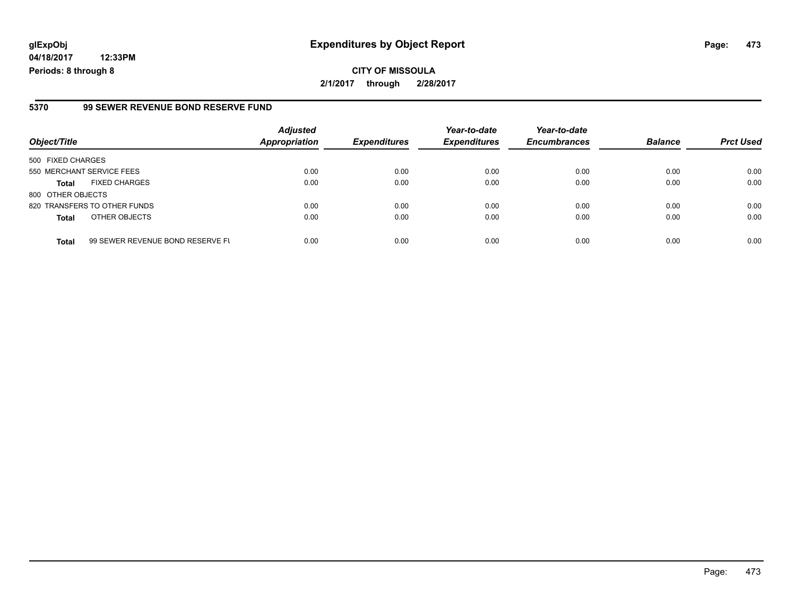# **glExpObj Expenditures by Object Report Page: 473**

**04/18/2017 12:33PM Periods: 8 through 8**

#### **5370 99 SEWER REVENUE BOND RESERVE FUND**

| Object/Title              |                                  | <b>Adjusted</b><br><b>Appropriation</b> | <b>Expenditures</b> | Year-to-date<br><b>Expenditures</b> | Year-to-date<br><b>Encumbrances</b> | <b>Balance</b> | <b>Prct Used</b> |
|---------------------------|----------------------------------|-----------------------------------------|---------------------|-------------------------------------|-------------------------------------|----------------|------------------|
| 500 FIXED CHARGES         |                                  |                                         |                     |                                     |                                     |                |                  |
| 550 MERCHANT SERVICE FEES |                                  | 0.00                                    | 0.00                | 0.00                                | 0.00                                | 0.00           | 0.00             |
| <b>Total</b>              | <b>FIXED CHARGES</b>             | 0.00                                    | 0.00                | 0.00                                | 0.00                                | 0.00           | 0.00             |
| 800 OTHER OBJECTS         |                                  |                                         |                     |                                     |                                     |                |                  |
|                           | 820 TRANSFERS TO OTHER FUNDS     | 0.00                                    | 0.00                | 0.00                                | 0.00                                | 0.00           | 0.00             |
| <b>Total</b>              | OTHER OBJECTS                    | 0.00                                    | 0.00                | 0.00                                | 0.00                                | 0.00           | 0.00             |
| <b>Total</b>              | 99 SEWER REVENUE BOND RESERVE FU | 0.00                                    | 0.00                | 0.00                                | 0.00                                | 0.00           | 0.00             |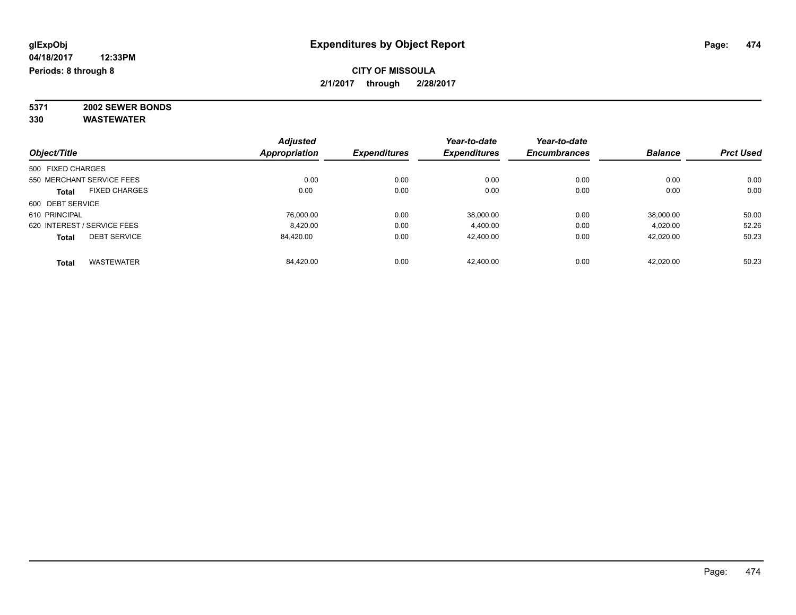**5371 2002 SEWER BONDS 330 WASTEWATER**

|                   |                             | <b>Adjusted</b> |                     | Year-to-date        | Year-to-date        |                |                  |
|-------------------|-----------------------------|-----------------|---------------------|---------------------|---------------------|----------------|------------------|
| Object/Title      |                             | Appropriation   | <b>Expenditures</b> | <b>Expenditures</b> | <b>Encumbrances</b> | <b>Balance</b> | <b>Prct Used</b> |
| 500 FIXED CHARGES |                             |                 |                     |                     |                     |                |                  |
|                   | 550 MERCHANT SERVICE FEES   | 0.00            | 0.00                | 0.00                | 0.00                | 0.00           | 0.00             |
| Total             | <b>FIXED CHARGES</b>        | 0.00            | 0.00                | 0.00                | 0.00                | 0.00           | 0.00             |
| 600 DEBT SERVICE  |                             |                 |                     |                     |                     |                |                  |
| 610 PRINCIPAL     |                             | 76.000.00       | 0.00                | 38,000.00           | 0.00                | 38.000.00      | 50.00            |
|                   | 620 INTEREST / SERVICE FEES | 8.420.00        | 0.00                | 4,400.00            | 0.00                | 4,020.00       | 52.26            |
| <b>Total</b>      | <b>DEBT SERVICE</b>         | 84.420.00       | 0.00                | 42.400.00           | 0.00                | 42.020.00      | 50.23            |
| <b>Total</b>      | <b>WASTEWATER</b>           | 84.420.00       | 0.00                | 42.400.00           | 0.00                | 42.020.00      | 50.23            |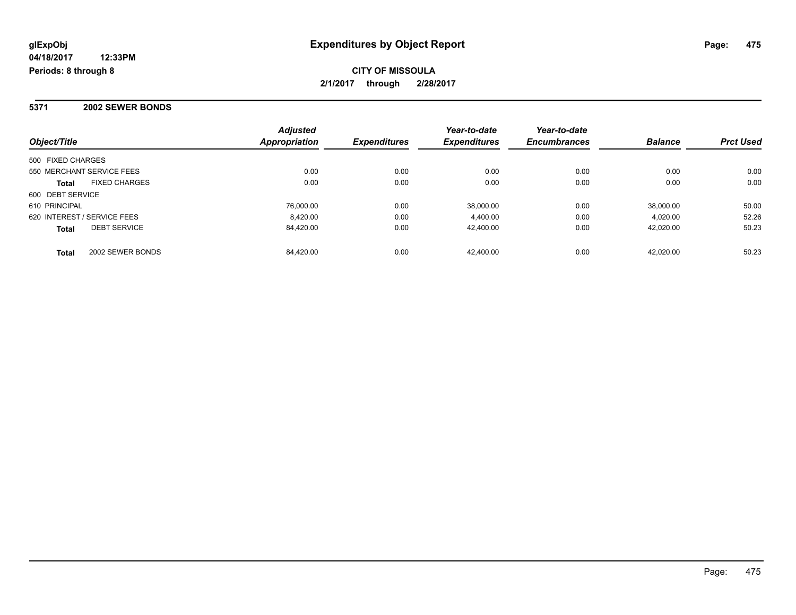**CITY OF MISSOULA 2/1/2017 through 2/28/2017**

**5371 2002 SEWER BONDS**

| Object/Title                         | <b>Adjusted</b><br><b>Appropriation</b> | <b>Expenditures</b> | Year-to-date<br><b>Expenditures</b> | Year-to-date<br><b>Encumbrances</b> | <b>Balance</b> | <b>Prct Used</b> |
|--------------------------------------|-----------------------------------------|---------------------|-------------------------------------|-------------------------------------|----------------|------------------|
| 500 FIXED CHARGES                    |                                         |                     |                                     |                                     |                |                  |
| 550 MERCHANT SERVICE FEES            | 0.00                                    | 0.00                | 0.00                                | 0.00                                | 0.00           | 0.00             |
| <b>FIXED CHARGES</b><br><b>Total</b> | 0.00                                    | 0.00                | 0.00                                | 0.00                                | 0.00           | 0.00             |
| 600 DEBT SERVICE                     |                                         |                     |                                     |                                     |                |                  |
| 610 PRINCIPAL                        | 76.000.00                               | 0.00                | 38.000.00                           | 0.00                                | 38,000.00      | 50.00            |
| 620 INTEREST / SERVICE FEES          | 8.420.00                                | 0.00                | 4.400.00                            | 0.00                                | 4.020.00       | 52.26            |
| <b>DEBT SERVICE</b><br><b>Total</b>  | 84,420.00                               | 0.00                | 42,400.00                           | 0.00                                | 42,020.00      | 50.23            |
| 2002 SEWER BONDS<br><b>Total</b>     | 84.420.00                               | 0.00                | 42.400.00                           | 0.00                                | 42.020.00      | 50.23            |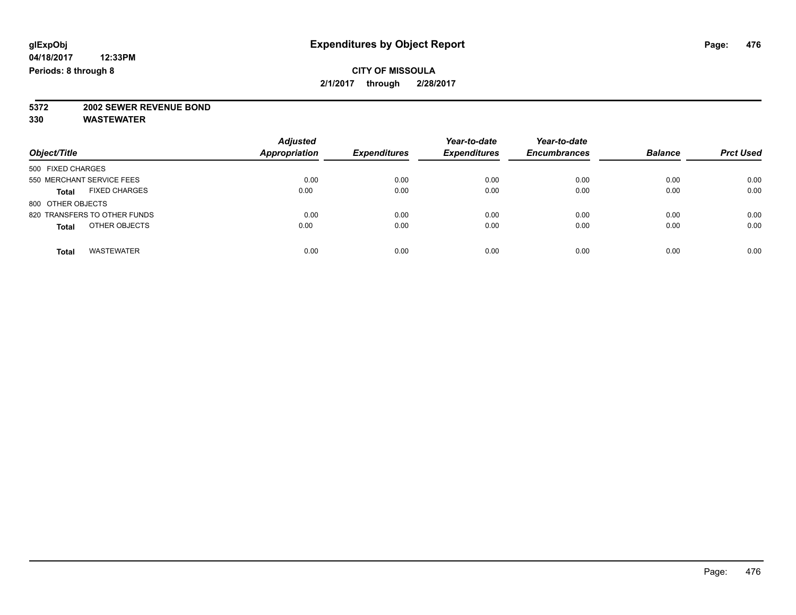# **5372 2002 SEWER REVENUE BOND**

| Object/Title                         | <b>Adjusted</b><br><b>Appropriation</b> | <b>Expenditures</b> | Year-to-date<br><b>Expenditures</b> | Year-to-date<br><b>Encumbrances</b> | <b>Balance</b> | <b>Prct Used</b> |
|--------------------------------------|-----------------------------------------|---------------------|-------------------------------------|-------------------------------------|----------------|------------------|
| 500 FIXED CHARGES                    |                                         |                     |                                     |                                     |                |                  |
| 550 MERCHANT SERVICE FEES            | 0.00                                    | 0.00                | 0.00                                | 0.00                                | 0.00           | 0.00             |
| <b>FIXED CHARGES</b><br><b>Total</b> | 0.00                                    | 0.00                | 0.00                                | 0.00                                | 0.00           | 0.00             |
| 800 OTHER OBJECTS                    |                                         |                     |                                     |                                     |                |                  |
| 820 TRANSFERS TO OTHER FUNDS         | 0.00                                    | 0.00                | 0.00                                | 0.00                                | 0.00           | 0.00             |
| OTHER OBJECTS<br><b>Total</b>        | 0.00                                    | 0.00                | 0.00                                | 0.00                                | 0.00           | 0.00             |
| <b>WASTEWATER</b><br>Total           | 0.00                                    | 0.00                | 0.00                                | 0.00                                | 0.00           | 0.00             |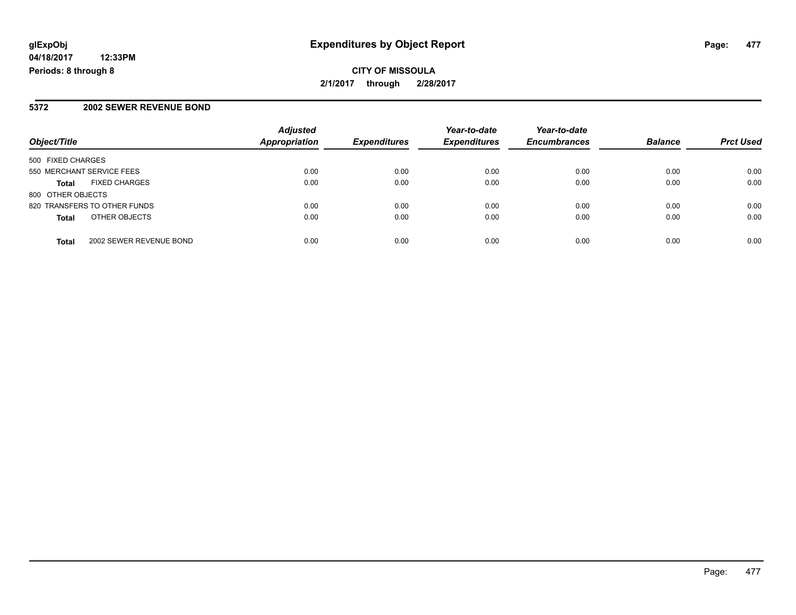**CITY OF MISSOULA 2/1/2017 through 2/28/2017**

#### **5372 2002 SEWER REVENUE BOND**

| Object/Title                            | <b>Adjusted</b><br><b>Appropriation</b> | <b>Expenditures</b> | Year-to-date<br><b>Expenditures</b> | Year-to-date<br><b>Encumbrances</b> | <b>Balance</b> | <b>Prct Used</b> |
|-----------------------------------------|-----------------------------------------|---------------------|-------------------------------------|-------------------------------------|----------------|------------------|
| 500 FIXED CHARGES                       |                                         |                     |                                     |                                     |                |                  |
| 550 MERCHANT SERVICE FEES               | 0.00                                    | 0.00                | 0.00                                | 0.00                                | 0.00           | 0.00             |
| <b>FIXED CHARGES</b><br><b>Total</b>    | 0.00                                    | 0.00                | 0.00                                | 0.00                                | 0.00           | 0.00             |
| 800 OTHER OBJECTS                       |                                         |                     |                                     |                                     |                |                  |
| 820 TRANSFERS TO OTHER FUNDS            | 0.00                                    | 0.00                | 0.00                                | 0.00                                | 0.00           | 0.00             |
| OTHER OBJECTS<br><b>Total</b>           | 0.00                                    | 0.00                | 0.00                                | 0.00                                | 0.00           | 0.00             |
| 2002 SEWER REVENUE BOND<br><b>Total</b> | 0.00                                    | 0.00                | 0.00                                | 0.00                                | 0.00           | 0.00             |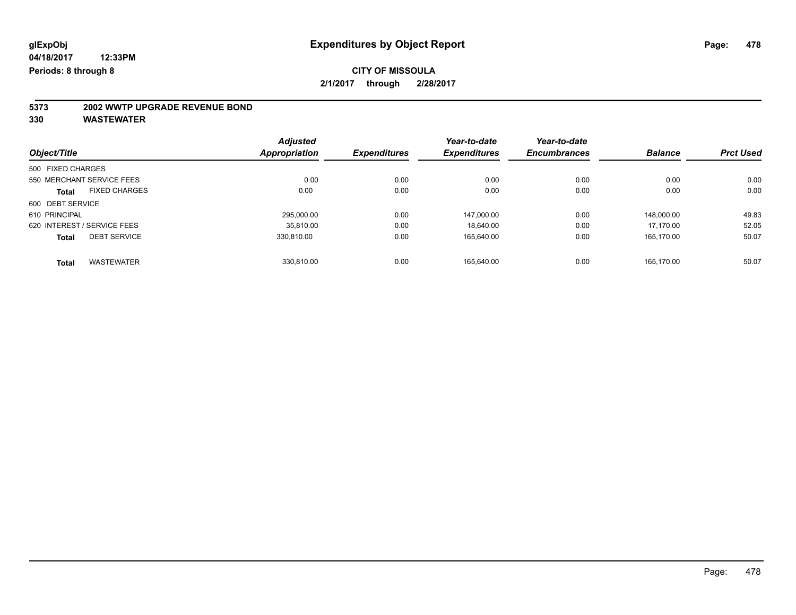# **5373 2002 WWTP UPGRADE REVENUE BOND**

|                             |                           | <b>Adjusted</b>     | <b>Expenditures</b> | Year-to-date<br><b>Expenditures</b> | Year-to-date     | <b>Balance</b> |       |
|-----------------------------|---------------------------|---------------------|---------------------|-------------------------------------|------------------|----------------|-------|
| Object/Title                | <b>Appropriation</b>      | <b>Encumbrances</b> |                     |                                     | <b>Prct Used</b> |                |       |
| 500 FIXED CHARGES           |                           |                     |                     |                                     |                  |                |       |
|                             | 550 MERCHANT SERVICE FEES | 0.00                | 0.00                | 0.00                                | 0.00             | 0.00           | 0.00  |
| Total                       | <b>FIXED CHARGES</b>      | 0.00                | 0.00                | 0.00                                | 0.00             | 0.00           | 0.00  |
| 600 DEBT SERVICE            |                           |                     |                     |                                     |                  |                |       |
| 610 PRINCIPAL               |                           | 295.000.00          | 0.00                | 147.000.00                          | 0.00             | 148.000.00     | 49.83 |
| 620 INTEREST / SERVICE FEES |                           | 35.810.00           | 0.00                | 18.640.00                           | 0.00             | 17.170.00      | 52.05 |
| <b>Total</b>                | <b>DEBT SERVICE</b>       | 330.810.00          | 0.00                | 165,640.00                          | 0.00             | 165.170.00     | 50.07 |
| <b>Total</b>                | <b>WASTEWATER</b>         | 330.810.00          | 0.00                | 165.640.00                          | 0.00             | 165.170.00     | 50.07 |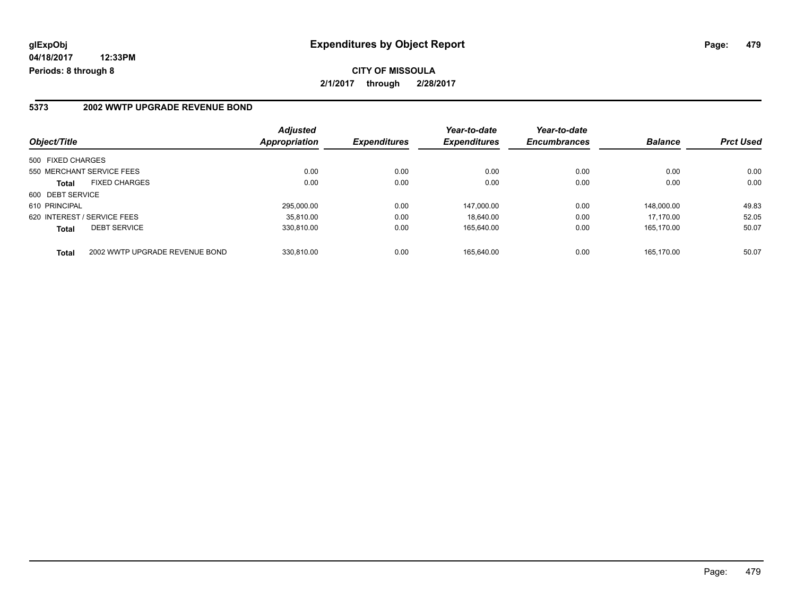**CITY OF MISSOULA 2/1/2017 through 2/28/2017**

#### **5373 2002 WWTP UPGRADE REVENUE BOND**

| Object/Title                                   | <b>Adjusted</b><br>Appropriation | <b>Expenditures</b> | Year-to-date<br><b>Expenditures</b> | Year-to-date<br><b>Encumbrances</b> | <b>Balance</b> | <b>Prct Used</b> |
|------------------------------------------------|----------------------------------|---------------------|-------------------------------------|-------------------------------------|----------------|------------------|
| 500 FIXED CHARGES                              |                                  |                     |                                     |                                     |                |                  |
| 550 MERCHANT SERVICE FEES                      | 0.00                             | 0.00                | 0.00                                | 0.00                                | 0.00           | 0.00             |
| <b>FIXED CHARGES</b><br>Total                  | 0.00                             | 0.00                | 0.00                                | 0.00                                | 0.00           | 0.00             |
| 600 DEBT SERVICE                               |                                  |                     |                                     |                                     |                |                  |
| 610 PRINCIPAL                                  | 295.000.00                       | 0.00                | 147.000.00                          | 0.00                                | 148.000.00     | 49.83            |
| 620 INTEREST / SERVICE FEES                    | 35.810.00                        | 0.00                | 18.640.00                           | 0.00                                | 17.170.00      | 52.05            |
| <b>DEBT SERVICE</b><br><b>Total</b>            | 330,810.00                       | 0.00                | 165,640.00                          | 0.00                                | 165,170.00     | 50.07            |
| 2002 WWTP UPGRADE REVENUE BOND<br><b>Total</b> | 330.810.00                       | 0.00                | 165.640.00                          | 0.00                                | 165.170.00     | 50.07            |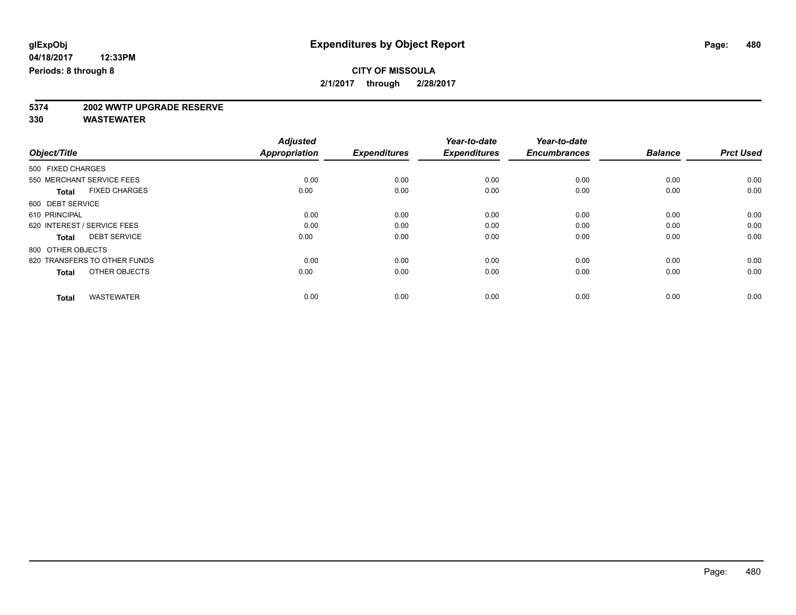# **5374 2002 WWTP UPGRADE RESERVE**

|                                      | <b>Adjusted</b>      |                     | Year-to-date        | Year-to-date        |                |                  |
|--------------------------------------|----------------------|---------------------|---------------------|---------------------|----------------|------------------|
| Object/Title                         | <b>Appropriation</b> | <b>Expenditures</b> | <b>Expenditures</b> | <b>Encumbrances</b> | <b>Balance</b> | <b>Prct Used</b> |
| 500 FIXED CHARGES                    |                      |                     |                     |                     |                |                  |
| 550 MERCHANT SERVICE FEES            | 0.00                 | 0.00                | 0.00                | 0.00                | 0.00           | 0.00             |
| <b>FIXED CHARGES</b><br><b>Total</b> | 0.00                 | 0.00                | 0.00                | 0.00                | 0.00           | 0.00             |
| 600 DEBT SERVICE                     |                      |                     |                     |                     |                |                  |
| 610 PRINCIPAL                        | 0.00                 | 0.00                | 0.00                | 0.00                | 0.00           | 0.00             |
| 620 INTEREST / SERVICE FEES          | 0.00                 | 0.00                | 0.00                | 0.00                | 0.00           | 0.00             |
| <b>DEBT SERVICE</b><br><b>Total</b>  | 0.00                 | 0.00                | 0.00                | 0.00                | 0.00           | 0.00             |
| 800 OTHER OBJECTS                    |                      |                     |                     |                     |                |                  |
| 820 TRANSFERS TO OTHER FUNDS         | 0.00                 | 0.00                | 0.00                | 0.00                | 0.00           | 0.00             |
| OTHER OBJECTS<br><b>Total</b>        | 0.00                 | 0.00                | 0.00                | 0.00                | 0.00           | 0.00             |
|                                      |                      |                     |                     |                     |                |                  |
| <b>WASTEWATER</b><br><b>Total</b>    | 0.00                 | 0.00                | 0.00                | 0.00                | 0.00           | 0.00             |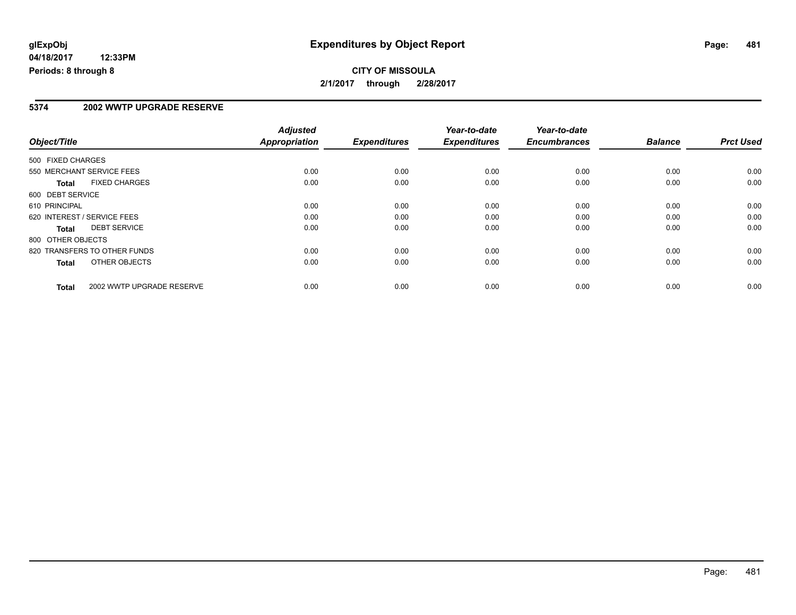## **CITY OF MISSOULA 2/1/2017 through 2/28/2017**

#### **5374 2002 WWTP UPGRADE RESERVE**

|                   |                              | <b>Adjusted</b> |                     | Year-to-date        | Year-to-date        |                |                  |
|-------------------|------------------------------|-----------------|---------------------|---------------------|---------------------|----------------|------------------|
| Object/Title      |                              | Appropriation   | <b>Expenditures</b> | <b>Expenditures</b> | <b>Encumbrances</b> | <b>Balance</b> | <b>Prct Used</b> |
| 500 FIXED CHARGES |                              |                 |                     |                     |                     |                |                  |
|                   | 550 MERCHANT SERVICE FEES    | 0.00            | 0.00                | 0.00                | 0.00                | 0.00           | 0.00             |
| <b>Total</b>      | <b>FIXED CHARGES</b>         | 0.00            | 0.00                | 0.00                | 0.00                | 0.00           | 0.00             |
| 600 DEBT SERVICE  |                              |                 |                     |                     |                     |                |                  |
| 610 PRINCIPAL     |                              | 0.00            | 0.00                | 0.00                | 0.00                | 0.00           | 0.00             |
|                   | 620 INTEREST / SERVICE FEES  | 0.00            | 0.00                | 0.00                | 0.00                | 0.00           | 0.00             |
| Total             | <b>DEBT SERVICE</b>          | 0.00            | 0.00                | 0.00                | 0.00                | 0.00           | 0.00             |
| 800 OTHER OBJECTS |                              |                 |                     |                     |                     |                |                  |
|                   | 820 TRANSFERS TO OTHER FUNDS | 0.00            | 0.00                | 0.00                | 0.00                | 0.00           | 0.00             |
| <b>Total</b>      | OTHER OBJECTS                | 0.00            | 0.00                | 0.00                | 0.00                | 0.00           | 0.00             |
| <b>Total</b>      | 2002 WWTP UPGRADE RESERVE    | 0.00            | 0.00                | 0.00                | 0.00                | 0.00           | 0.00             |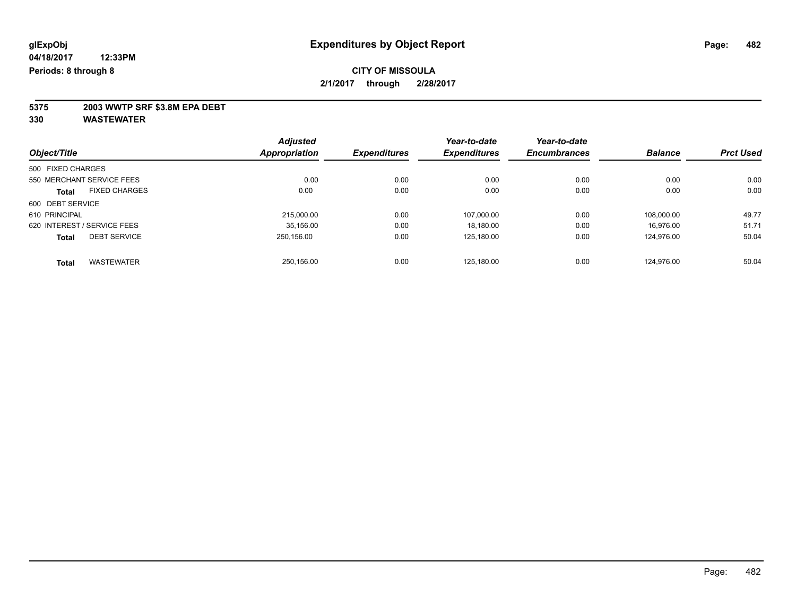**5375 2003 WWTP SRF \$3.8M EPA DEBT**

|                                      | <b>Adjusted</b>      |                     | Year-to-date        | Year-to-date        |                |                  |
|--------------------------------------|----------------------|---------------------|---------------------|---------------------|----------------|------------------|
| Object/Title                         | <b>Appropriation</b> | <b>Expenditures</b> | <b>Expenditures</b> | <b>Encumbrances</b> | <b>Balance</b> | <b>Prct Used</b> |
| 500 FIXED CHARGES                    |                      |                     |                     |                     |                |                  |
| 550 MERCHANT SERVICE FEES            | 0.00                 | 0.00                | 0.00                | 0.00                | 0.00           | 0.00             |
| <b>FIXED CHARGES</b><br><b>Total</b> | 0.00                 | 0.00                | 0.00                | 0.00                | 0.00           | 0.00             |
| 600 DEBT SERVICE                     |                      |                     |                     |                     |                |                  |
| 610 PRINCIPAL                        | 215,000.00           | 0.00                | 107.000.00          | 0.00                | 108.000.00     | 49.77            |
| 620 INTEREST / SERVICE FEES          | 35.156.00            | 0.00                | 18.180.00           | 0.00                | 16.976.00      | 51.71            |
| <b>DEBT SERVICE</b><br><b>Total</b>  | 250.156.00           | 0.00                | 125,180.00          | 0.00                | 124,976.00     | 50.04            |
| <b>WASTEWATER</b><br><b>Total</b>    | 250.156.00           | 0.00                | 125.180.00          | 0.00                | 124.976.00     | 50.04            |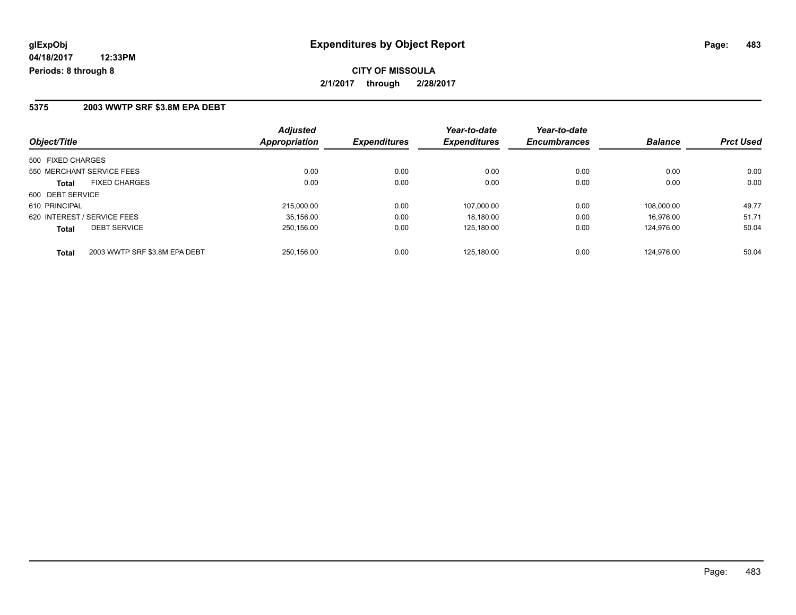**CITY OF MISSOULA 2/1/2017 through 2/28/2017**

#### **5375 2003 WWTP SRF \$3.8M EPA DEBT**

| Object/Title                |                               | <b>Adjusted</b><br>Appropriation | <b>Expenditures</b> | Year-to-date<br><b>Expenditures</b> | Year-to-date<br><b>Encumbrances</b> | <b>Balance</b> | <b>Prct Used</b> |
|-----------------------------|-------------------------------|----------------------------------|---------------------|-------------------------------------|-------------------------------------|----------------|------------------|
| 500 FIXED CHARGES           |                               |                                  |                     |                                     |                                     |                |                  |
| 550 MERCHANT SERVICE FEES   |                               | 0.00                             | 0.00                | 0.00                                | 0.00                                | 0.00           | 0.00             |
| <b>Total</b>                | <b>FIXED CHARGES</b>          | 0.00                             | 0.00                | 0.00                                | 0.00                                | 0.00           | 0.00             |
| 600 DEBT SERVICE            |                               |                                  |                     |                                     |                                     |                |                  |
| 610 PRINCIPAL               |                               | 215.000.00                       | 0.00                | 107.000.00                          | 0.00                                | 108.000.00     | 49.77            |
| 620 INTEREST / SERVICE FEES |                               | 35,156.00                        | 0.00                | 18.180.00                           | 0.00                                | 16.976.00      | 51.71            |
| <b>Total</b>                | <b>DEBT SERVICE</b>           | 250,156.00                       | 0.00                | 125.180.00                          | 0.00                                | 124.976.00     | 50.04            |
| <b>Total</b>                | 2003 WWTP SRF \$3.8M EPA DEBT | 250.156.00                       | 0.00                | 125.180.00                          | 0.00                                | 124.976.00     | 50.04            |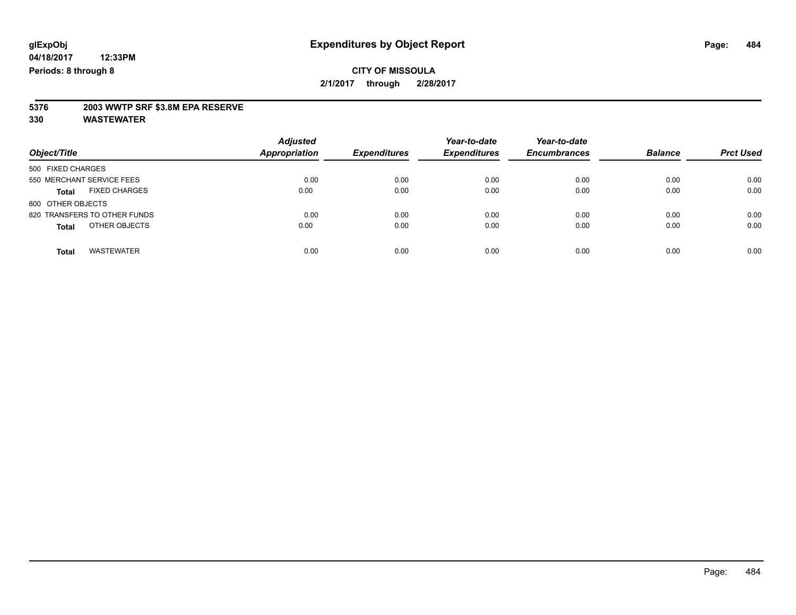# **5376 2003 WWTP SRF \$3.8M EPA RESERVE**

| Object/Title                         | <b>Adjusted</b><br><b>Appropriation</b> | <b>Expenditures</b> | Year-to-date<br><b>Expenditures</b> | Year-to-date<br><b>Encumbrances</b> | <b>Balance</b> | <b>Prct Used</b> |
|--------------------------------------|-----------------------------------------|---------------------|-------------------------------------|-------------------------------------|----------------|------------------|
| 500 FIXED CHARGES                    |                                         |                     |                                     |                                     |                |                  |
| 550 MERCHANT SERVICE FEES            | 0.00                                    | 0.00                | 0.00                                | 0.00                                | 0.00           | 0.00             |
| <b>FIXED CHARGES</b><br><b>Total</b> | 0.00                                    | 0.00                | 0.00                                | 0.00                                | 0.00           | 0.00             |
| 800 OTHER OBJECTS                    |                                         |                     |                                     |                                     |                |                  |
| 820 TRANSFERS TO OTHER FUNDS         | 0.00                                    | 0.00                | 0.00                                | 0.00                                | 0.00           | 0.00             |
| OTHER OBJECTS<br><b>Total</b>        | 0.00                                    | 0.00                | 0.00                                | 0.00                                | 0.00           | 0.00             |
| <b>WASTEWATER</b><br><b>Total</b>    | 0.00                                    | 0.00                | 0.00                                | 0.00                                | 0.00           | 0.00             |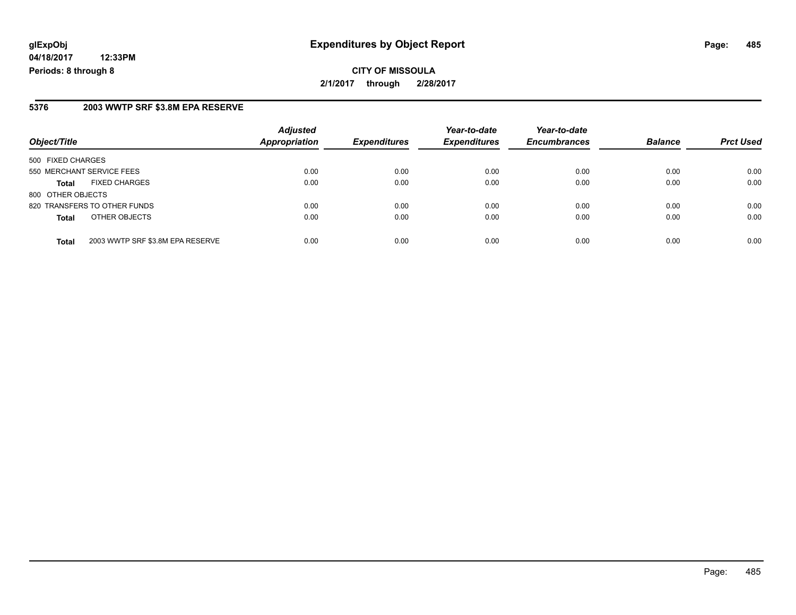# **glExpObj Expenditures by Object Report Page: 485**

**04/18/2017 12:33PM Periods: 8 through 8**

#### **5376 2003 WWTP SRF \$3.8M EPA RESERVE**

| Object/Title                                     | <b>Adjusted</b><br>Appropriation | <b>Expenditures</b> | Year-to-date<br><b>Expenditures</b> | Year-to-date<br><b>Encumbrances</b> | <b>Balance</b> | <b>Prct Used</b> |
|--------------------------------------------------|----------------------------------|---------------------|-------------------------------------|-------------------------------------|----------------|------------------|
| 500 FIXED CHARGES                                |                                  |                     |                                     |                                     |                |                  |
| 550 MERCHANT SERVICE FEES                        | 0.00                             | 0.00                | 0.00                                | 0.00                                | 0.00           | 0.00             |
| <b>FIXED CHARGES</b><br><b>Total</b>             | 0.00                             | 0.00                | 0.00                                | 0.00                                | 0.00           | 0.00             |
| 800 OTHER OBJECTS                                |                                  |                     |                                     |                                     |                |                  |
| 820 TRANSFERS TO OTHER FUNDS                     | 0.00                             | 0.00                | 0.00                                | 0.00                                | 0.00           | 0.00             |
| OTHER OBJECTS<br><b>Total</b>                    | 0.00                             | 0.00                | 0.00                                | 0.00                                | 0.00           | 0.00             |
| 2003 WWTP SRF \$3.8M EPA RESERVE<br><b>Total</b> | 0.00                             | 0.00                | 0.00                                | 0.00                                | 0.00           | 0.00             |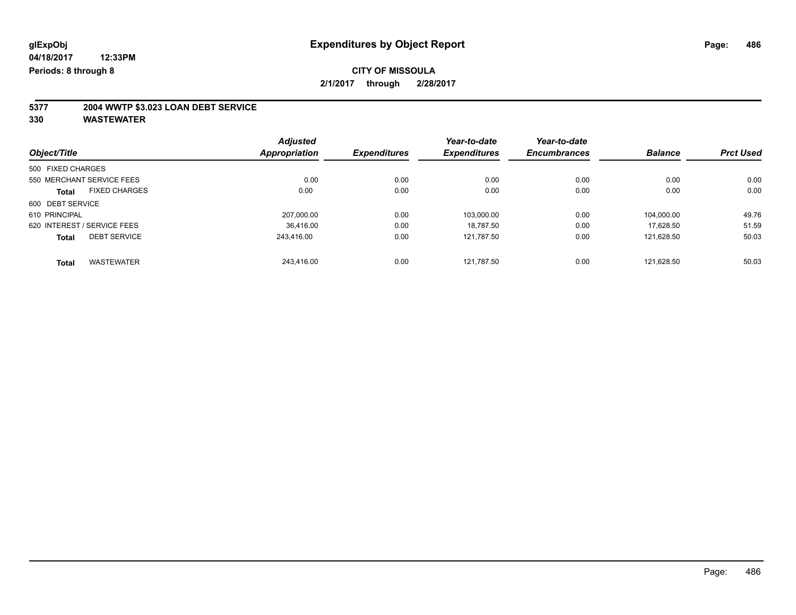# **5377 2004 WWTP \$3.023 LOAN DEBT SERVICE**

| Object/Title                |                      | <b>Adjusted</b> |                     | Year-to-date        | Year-to-date<br><b>Encumbrances</b> |                |                  |
|-----------------------------|----------------------|-----------------|---------------------|---------------------|-------------------------------------|----------------|------------------|
|                             |                      | Appropriation   | <b>Expenditures</b> | <b>Expenditures</b> |                                     | <b>Balance</b> | <b>Prct Used</b> |
| 500 FIXED CHARGES           |                      |                 |                     |                     |                                     |                |                  |
| 550 MERCHANT SERVICE FEES   |                      | 0.00            | 0.00                | 0.00                | 0.00                                | 0.00           | 0.00             |
| <b>Total</b>                | <b>FIXED CHARGES</b> | 0.00            | 0.00                | 0.00                | 0.00                                | 0.00           | 0.00             |
| 600 DEBT SERVICE            |                      |                 |                     |                     |                                     |                |                  |
| 610 PRINCIPAL               |                      | 207.000.00      | 0.00                | 103,000.00          | 0.00                                | 104.000.00     | 49.76            |
| 620 INTEREST / SERVICE FEES |                      | 36,416.00       | 0.00                | 18.787.50           | 0.00                                | 17.628.50      | 51.59            |
| <b>Total</b>                | <b>DEBT SERVICE</b>  | 243.416.00      | 0.00                | 121,787.50          | 0.00                                | 121.628.50     | 50.03            |
| <b>Total</b>                | <b>WASTEWATER</b>    | 243.416.00      | 0.00                | 121.787.50          | 0.00                                | 121.628.50     | 50.03            |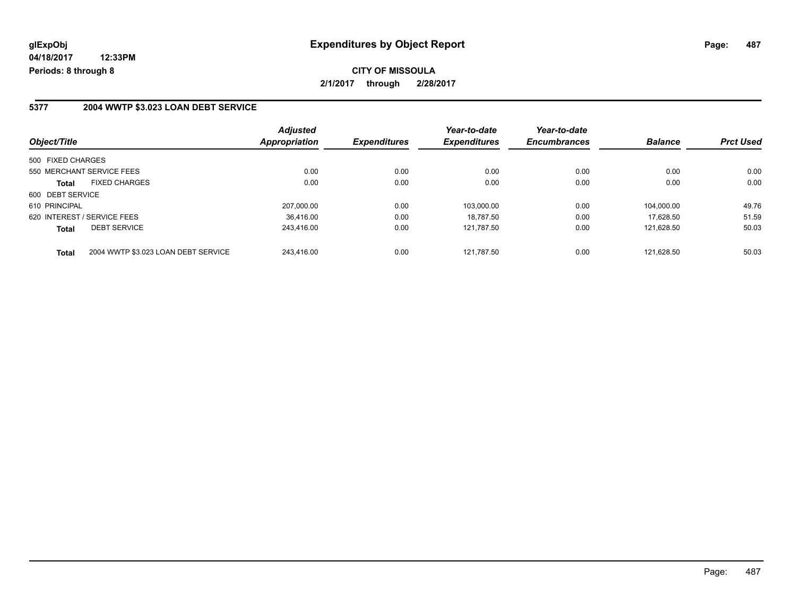**CITY OF MISSOULA 2/1/2017 through 2/28/2017**

#### **5377 2004 WWTP \$3.023 LOAN DEBT SERVICE**

| Object/Title                                        | <b>Adjusted</b><br>Appropriation | <b>Expenditures</b> | Year-to-date<br><b>Expenditures</b> | Year-to-date<br><b>Encumbrances</b> | <b>Balance</b> | <b>Prct Used</b> |
|-----------------------------------------------------|----------------------------------|---------------------|-------------------------------------|-------------------------------------|----------------|------------------|
| 500 FIXED CHARGES                                   |                                  |                     |                                     |                                     |                |                  |
| 550 MERCHANT SERVICE FEES                           | 0.00                             | 0.00                | 0.00                                | 0.00                                | 0.00           | 0.00             |
| <b>FIXED CHARGES</b><br>Total                       | 0.00                             | 0.00                | 0.00                                | 0.00                                | 0.00           | 0.00             |
| 600 DEBT SERVICE                                    |                                  |                     |                                     |                                     |                |                  |
| 610 PRINCIPAL                                       | 207.000.00                       | 0.00                | 103.000.00                          | 0.00                                | 104.000.00     | 49.76            |
| 620 INTEREST / SERVICE FEES                         | 36.416.00                        | 0.00                | 18.787.50                           | 0.00                                | 17.628.50      | 51.59            |
| <b>DEBT SERVICE</b><br><b>Total</b>                 | 243,416.00                       | 0.00                | 121,787.50                          | 0.00                                | 121.628.50     | 50.03            |
| 2004 WWTP \$3.023 LOAN DEBT SERVICE<br><b>Total</b> | 243.416.00                       | 0.00                | 121.787.50                          | 0.00                                | 121.628.50     | 50.03            |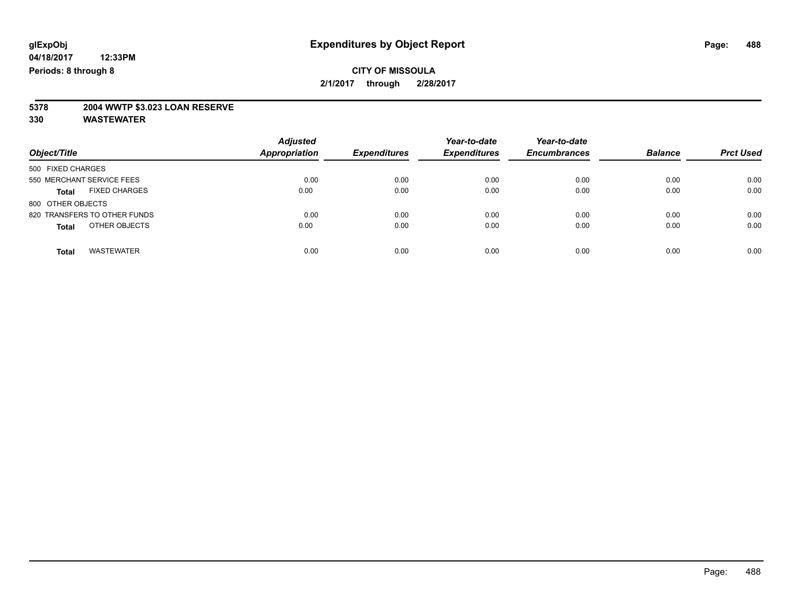# **5378 2004 WWTP \$3.023 LOAN RESERVE**

| Object/Title                         | <b>Adjusted</b><br><b>Appropriation</b> | <b>Expenditures</b> | Year-to-date<br><b>Expenditures</b> | Year-to-date<br><b>Encumbrances</b> | <b>Balance</b> | <b>Prct Used</b> |
|--------------------------------------|-----------------------------------------|---------------------|-------------------------------------|-------------------------------------|----------------|------------------|
| 500 FIXED CHARGES                    |                                         |                     |                                     |                                     |                |                  |
| 550 MERCHANT SERVICE FEES            | 0.00                                    | 0.00                | 0.00                                | 0.00                                | 0.00           | 0.00             |
| <b>FIXED CHARGES</b><br><b>Total</b> | 0.00                                    | 0.00                | 0.00                                | 0.00                                | 0.00           | 0.00             |
| 800 OTHER OBJECTS                    |                                         |                     |                                     |                                     |                |                  |
| 820 TRANSFERS TO OTHER FUNDS         | 0.00                                    | 0.00                | 0.00                                | 0.00                                | 0.00           | 0.00             |
| OTHER OBJECTS<br><b>Total</b>        | 0.00                                    | 0.00                | 0.00                                | 0.00                                | 0.00           | 0.00             |
| <b>WASTEWATER</b><br>Total           | 0.00                                    | 0.00                | 0.00                                | 0.00                                | 0.00           | 0.00             |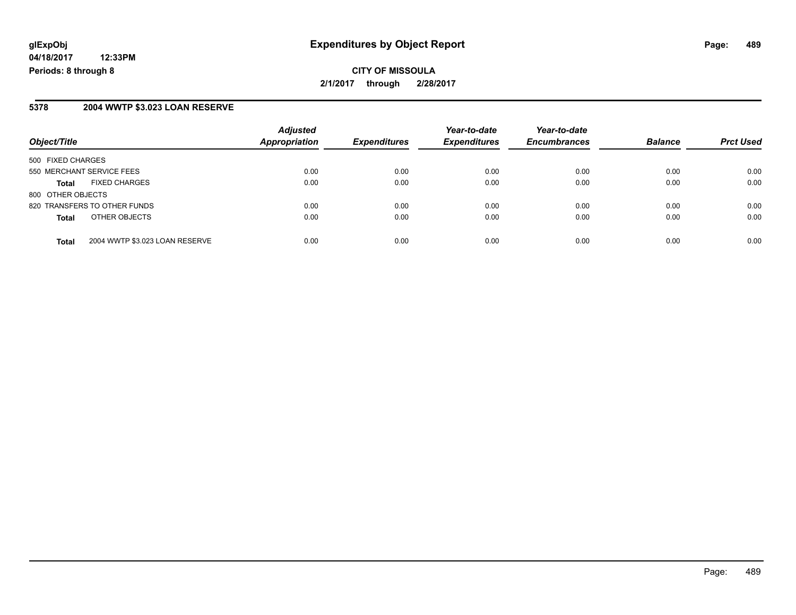#### **5378 2004 WWTP \$3.023 LOAN RESERVE**

| Object/Title              |                                | <b>Adjusted</b><br><b>Appropriation</b> | <b>Expenditures</b> | Year-to-date<br><b>Expenditures</b> | Year-to-date<br><b>Encumbrances</b> | <b>Balance</b> | <b>Prct Used</b> |
|---------------------------|--------------------------------|-----------------------------------------|---------------------|-------------------------------------|-------------------------------------|----------------|------------------|
| 500 FIXED CHARGES         |                                |                                         |                     |                                     |                                     |                |                  |
| 550 MERCHANT SERVICE FEES |                                | 0.00                                    | 0.00                | 0.00                                | 0.00                                | 0.00           | 0.00             |
| <b>Total</b>              | <b>FIXED CHARGES</b>           | 0.00                                    | 0.00                | 0.00                                | 0.00                                | 0.00           | 0.00             |
| 800 OTHER OBJECTS         |                                |                                         |                     |                                     |                                     |                |                  |
|                           | 820 TRANSFERS TO OTHER FUNDS   | 0.00                                    | 0.00                | 0.00                                | 0.00                                | 0.00           | 0.00             |
| <b>Total</b>              | OTHER OBJECTS                  | 0.00                                    | 0.00                | 0.00                                | 0.00                                | 0.00           | 0.00             |
| <b>Total</b>              | 2004 WWTP \$3.023 LOAN RESERVE | 0.00                                    | 0.00                | 0.00                                | 0.00                                | 0.00           | 0.00             |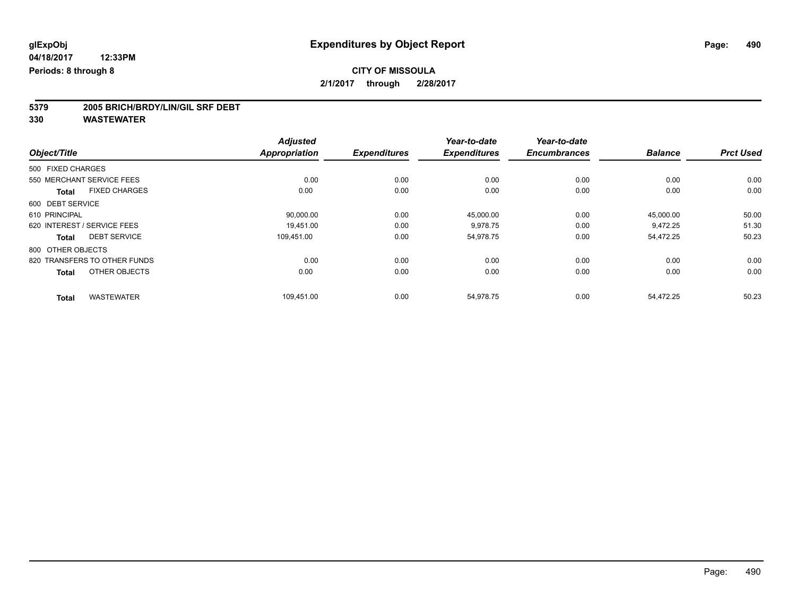# **5379 2005 BRICH/BRDY/LIN/GIL SRF DEBT**

| Object/Title                        |                      | <b>Adjusted</b><br><b>Appropriation</b> | <b>Expenditures</b> | Year-to-date<br><b>Expenditures</b> | Year-to-date<br><b>Encumbrances</b> | <b>Balance</b> | <b>Prct Used</b> |
|-------------------------------------|----------------------|-----------------------------------------|---------------------|-------------------------------------|-------------------------------------|----------------|------------------|
|                                     |                      |                                         |                     |                                     |                                     |                |                  |
| 550 MERCHANT SERVICE FEES           |                      | 0.00                                    | 0.00                | 0.00                                | 0.00                                | 0.00           | 0.00             |
| <b>Total</b>                        | <b>FIXED CHARGES</b> | 0.00                                    | 0.00                | 0.00                                | 0.00                                | 0.00           | 0.00             |
| 600 DEBT SERVICE                    |                      |                                         |                     |                                     |                                     |                |                  |
| 610 PRINCIPAL                       |                      | 90,000.00                               | 0.00                | 45,000.00                           | 0.00                                | 45,000.00      | 50.00            |
| 620 INTEREST / SERVICE FEES         |                      | 19.451.00                               | 0.00                | 9,978.75                            | 0.00                                | 9,472.25       | 51.30            |
| <b>DEBT SERVICE</b><br><b>Total</b> |                      | 109.451.00                              | 0.00                | 54.978.75                           | 0.00                                | 54.472.25      | 50.23            |
| 800 OTHER OBJECTS                   |                      |                                         |                     |                                     |                                     |                |                  |
| 820 TRANSFERS TO OTHER FUNDS        |                      | 0.00                                    | 0.00                | 0.00                                | 0.00                                | 0.00           | 0.00             |
| <b>Total</b>                        | OTHER OBJECTS        | 0.00                                    | 0.00                | 0.00                                | 0.00                                | 0.00           | 0.00             |
| <b>WASTEWATER</b><br><b>Total</b>   |                      | 109,451.00                              | 0.00                | 54,978.75                           | 0.00                                | 54,472.25      | 50.23            |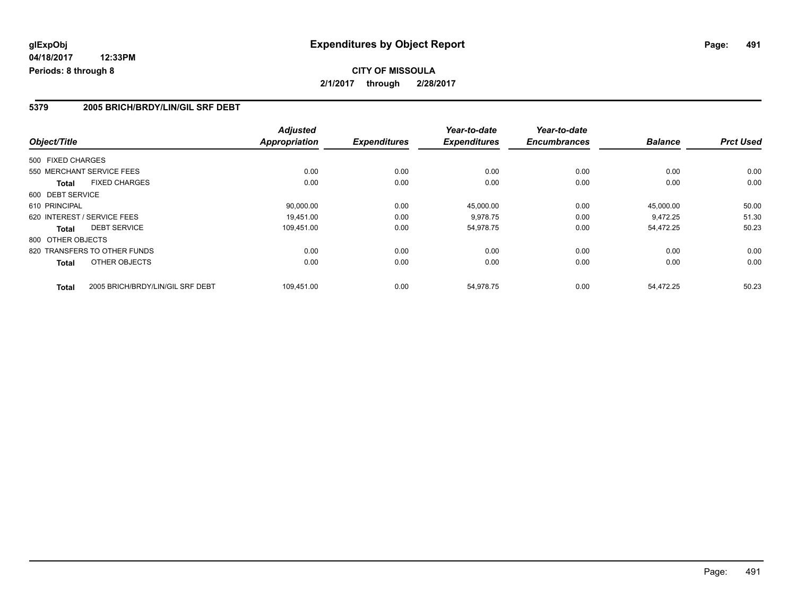## **CITY OF MISSOULA 2/1/2017 through 2/28/2017**

#### **5379 2005 BRICH/BRDY/LIN/GIL SRF DEBT**

| Object/Title                         |                                  | <b>Adjusted</b><br><b>Appropriation</b> | <b>Expenditures</b> | Year-to-date<br><b>Expenditures</b> | Year-to-date<br><b>Encumbrances</b> | <b>Balance</b> | <b>Prct Used</b> |
|--------------------------------------|----------------------------------|-----------------------------------------|---------------------|-------------------------------------|-------------------------------------|----------------|------------------|
| 500 FIXED CHARGES                    |                                  |                                         |                     |                                     |                                     |                |                  |
| 550 MERCHANT SERVICE FEES            |                                  | 0.00                                    | 0.00                | 0.00                                | 0.00                                | 0.00           | 0.00             |
| <b>FIXED CHARGES</b><br><b>Total</b> |                                  | 0.00                                    | 0.00                | 0.00                                | 0.00                                | 0.00           | 0.00             |
| 600 DEBT SERVICE                     |                                  |                                         |                     |                                     |                                     |                |                  |
| 610 PRINCIPAL                        |                                  | 90,000.00                               | 0.00                | 45,000.00                           | 0.00                                | 45,000.00      | 50.00            |
| 620 INTEREST / SERVICE FEES          |                                  | 19.451.00                               | 0.00                | 9,978.75                            | 0.00                                | 9.472.25       | 51.30            |
| <b>DEBT SERVICE</b><br>Total         |                                  | 109,451.00                              | 0.00                | 54,978.75                           | 0.00                                | 54,472.25      | 50.23            |
| 800 OTHER OBJECTS                    |                                  |                                         |                     |                                     |                                     |                |                  |
| 820 TRANSFERS TO OTHER FUNDS         |                                  | 0.00                                    | 0.00                | 0.00                                | 0.00                                | 0.00           | 0.00             |
| OTHER OBJECTS<br>Total               |                                  | 0.00                                    | 0.00                | 0.00                                | 0.00                                | 0.00           | 0.00             |
| <b>Total</b>                         | 2005 BRICH/BRDY/LIN/GIL SRF DEBT | 109,451.00                              | 0.00                | 54,978.75                           | 0.00                                | 54.472.25      | 50.23            |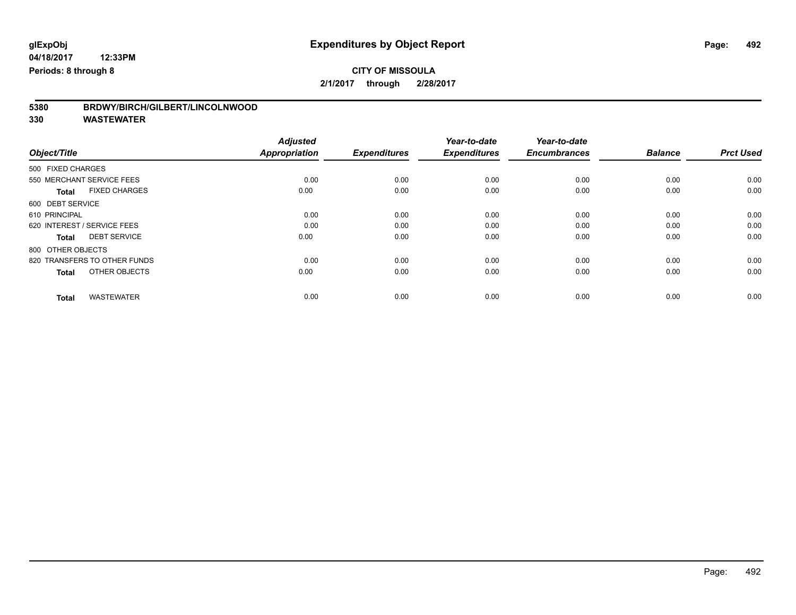# **5380 BRDWY/BIRCH/GILBERT/LINCOLNWOOD**

|                                      | <b>Adjusted</b>      |                     | Year-to-date        | Year-to-date        |                |                  |
|--------------------------------------|----------------------|---------------------|---------------------|---------------------|----------------|------------------|
| Object/Title                         | <b>Appropriation</b> | <b>Expenditures</b> | <b>Expenditures</b> | <b>Encumbrances</b> | <b>Balance</b> | <b>Prct Used</b> |
| 500 FIXED CHARGES                    |                      |                     |                     |                     |                |                  |
| 550 MERCHANT SERVICE FEES            | 0.00                 | 0.00                | 0.00                | 0.00                | 0.00           | 0.00             |
| <b>FIXED CHARGES</b><br><b>Total</b> | 0.00                 | 0.00                | 0.00                | 0.00                | 0.00           | 0.00             |
| 600 DEBT SERVICE                     |                      |                     |                     |                     |                |                  |
| 610 PRINCIPAL                        | 0.00                 | 0.00                | 0.00                | 0.00                | 0.00           | 0.00             |
| 620 INTEREST / SERVICE FEES          | 0.00                 | 0.00                | 0.00                | 0.00                | 0.00           | 0.00             |
| <b>DEBT SERVICE</b><br><b>Total</b>  | 0.00                 | 0.00                | 0.00                | 0.00                | 0.00           | 0.00             |
| 800 OTHER OBJECTS                    |                      |                     |                     |                     |                |                  |
| 820 TRANSFERS TO OTHER FUNDS         | 0.00                 | 0.00                | 0.00                | 0.00                | 0.00           | 0.00             |
| OTHER OBJECTS<br><b>Total</b>        | 0.00                 | 0.00                | 0.00                | 0.00                | 0.00           | 0.00             |
|                                      |                      |                     |                     |                     |                |                  |
| <b>WASTEWATER</b><br><b>Total</b>    | 0.00                 | 0.00                | 0.00                | 0.00                | 0.00           | 0.00             |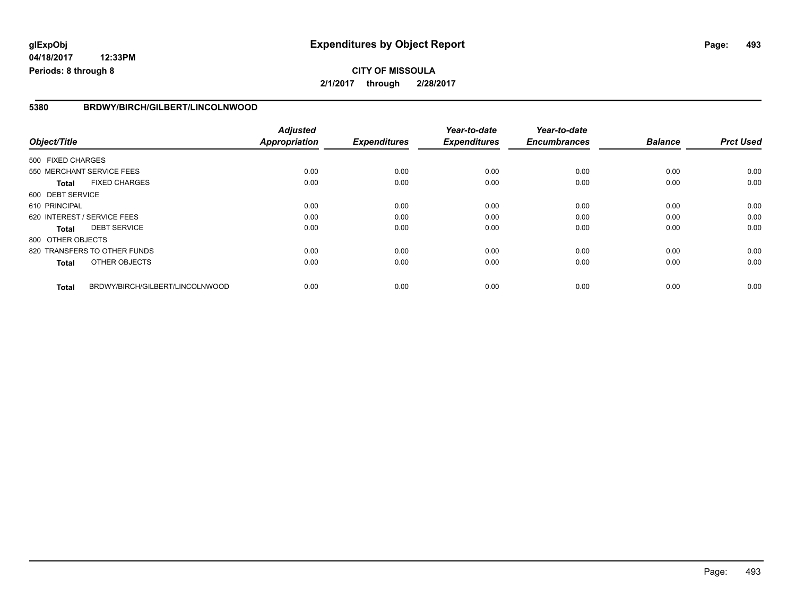# **glExpObj Expenditures by Object Report Page: 493**

**04/18/2017 12:33PM Periods: 8 through 8**

#### **5380 BRDWY/BIRCH/GILBERT/LINCOLNWOOD**

| Object/Title                |                                 | <b>Adjusted</b><br><b>Appropriation</b> | <b>Expenditures</b> | Year-to-date<br><b>Expenditures</b> | Year-to-date<br><b>Encumbrances</b> | <b>Balance</b> | <b>Prct Used</b> |
|-----------------------------|---------------------------------|-----------------------------------------|---------------------|-------------------------------------|-------------------------------------|----------------|------------------|
| 500 FIXED CHARGES           |                                 |                                         |                     |                                     |                                     |                |                  |
|                             | 550 MERCHANT SERVICE FEES       | 0.00                                    | 0.00                | 0.00                                | 0.00                                | 0.00           | 0.00             |
| <b>Total</b>                | <b>FIXED CHARGES</b>            | 0.00                                    | 0.00                | 0.00                                | 0.00                                | 0.00           | 0.00             |
| 600 DEBT SERVICE            |                                 |                                         |                     |                                     |                                     |                |                  |
| 610 PRINCIPAL               |                                 | 0.00                                    | 0.00                | 0.00                                | 0.00                                | 0.00           | 0.00             |
| 620 INTEREST / SERVICE FEES |                                 | 0.00                                    | 0.00                | 0.00                                | 0.00                                | 0.00           | 0.00             |
| <b>Total</b>                | <b>DEBT SERVICE</b>             | 0.00                                    | 0.00                | 0.00                                | 0.00                                | 0.00           | 0.00             |
| 800 OTHER OBJECTS           |                                 |                                         |                     |                                     |                                     |                |                  |
|                             | 820 TRANSFERS TO OTHER FUNDS    | 0.00                                    | 0.00                | 0.00                                | 0.00                                | 0.00           | 0.00             |
| <b>Total</b>                | OTHER OBJECTS                   | 0.00                                    | 0.00                | 0.00                                | 0.00                                | 0.00           | 0.00             |
| <b>Total</b>                | BRDWY/BIRCH/GILBERT/LINCOLNWOOD | 0.00                                    | 0.00                | 0.00                                | 0.00                                | 0.00           | 0.00             |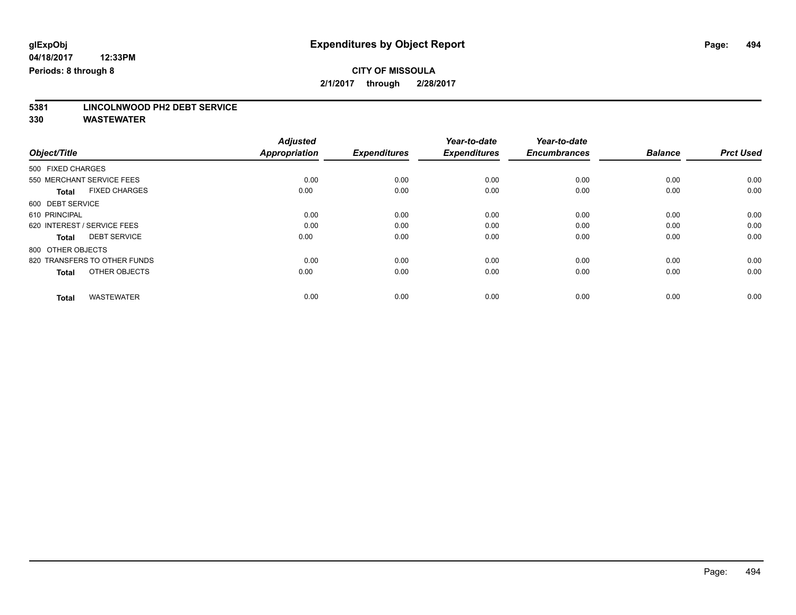# **5381 LINCOLNWOOD PH2 DEBT SERVICE**

|                                      | <b>Adjusted</b>      |                     | Year-to-date        | Year-to-date        |                |                  |
|--------------------------------------|----------------------|---------------------|---------------------|---------------------|----------------|------------------|
| Object/Title                         | <b>Appropriation</b> | <b>Expenditures</b> | <b>Expenditures</b> | <b>Encumbrances</b> | <b>Balance</b> | <b>Prct Used</b> |
| 500 FIXED CHARGES                    |                      |                     |                     |                     |                |                  |
| 550 MERCHANT SERVICE FEES            | 0.00                 | 0.00                | 0.00                | 0.00                | 0.00           | 0.00             |
| <b>FIXED CHARGES</b><br><b>Total</b> | 0.00                 | 0.00                | 0.00                | 0.00                | 0.00           | 0.00             |
| 600 DEBT SERVICE                     |                      |                     |                     |                     |                |                  |
| 610 PRINCIPAL                        | 0.00                 | 0.00                | 0.00                | 0.00                | 0.00           | 0.00             |
| 620 INTEREST / SERVICE FEES          | 0.00                 | 0.00                | 0.00                | 0.00                | 0.00           | 0.00             |
| <b>DEBT SERVICE</b><br><b>Total</b>  | 0.00                 | 0.00                | 0.00                | 0.00                | 0.00           | 0.00             |
| 800 OTHER OBJECTS                    |                      |                     |                     |                     |                |                  |
| 820 TRANSFERS TO OTHER FUNDS         | 0.00                 | 0.00                | 0.00                | 0.00                | 0.00           | 0.00             |
| OTHER OBJECTS<br><b>Total</b>        | 0.00                 | 0.00                | 0.00                | 0.00                | 0.00           | 0.00             |
|                                      |                      |                     |                     |                     |                |                  |
| <b>WASTEWATER</b><br><b>Total</b>    | 0.00                 | 0.00                | 0.00                | 0.00                | 0.00           | 0.00             |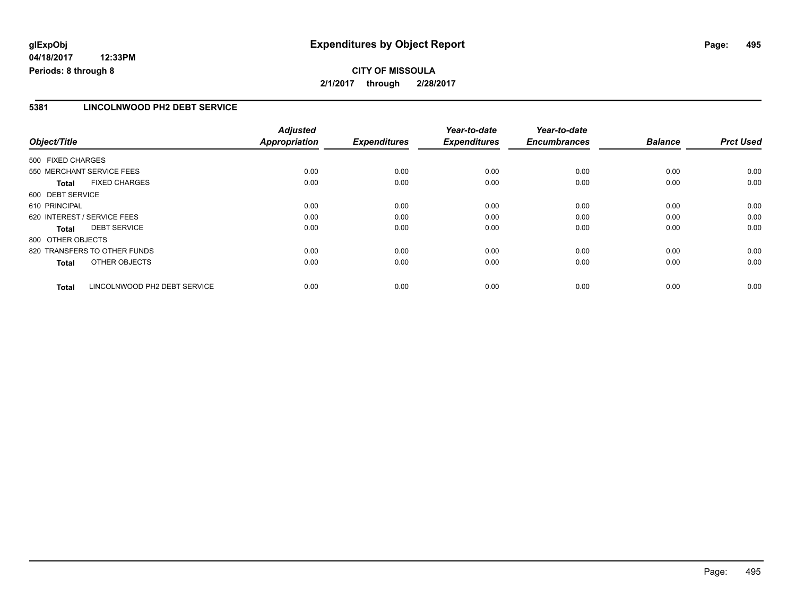# **glExpObj Expenditures by Object Report Page: 495**

**04/18/2017 12:33PM Periods: 8 through 8**

#### **5381 LINCOLNWOOD PH2 DEBT SERVICE**

| Object/Title                                 | <b>Adjusted</b><br><b>Appropriation</b> | <b>Expenditures</b> | Year-to-date<br><b>Expenditures</b> | Year-to-date<br><b>Encumbrances</b> | <b>Balance</b> | <b>Prct Used</b> |
|----------------------------------------------|-----------------------------------------|---------------------|-------------------------------------|-------------------------------------|----------------|------------------|
| 500 FIXED CHARGES                            |                                         |                     |                                     |                                     |                |                  |
| 550 MERCHANT SERVICE FEES                    | 0.00                                    | 0.00                | 0.00                                | 0.00                                | 0.00           | 0.00             |
| <b>FIXED CHARGES</b><br><b>Total</b>         | 0.00                                    | 0.00                | 0.00                                | 0.00                                | 0.00           | 0.00             |
| 600 DEBT SERVICE                             |                                         |                     |                                     |                                     |                |                  |
| 610 PRINCIPAL                                | 0.00                                    | 0.00                | 0.00                                | 0.00                                | 0.00           | 0.00             |
| 620 INTEREST / SERVICE FEES                  | 0.00                                    | 0.00                | 0.00                                | 0.00                                | 0.00           | 0.00             |
| <b>DEBT SERVICE</b><br>Total                 | 0.00                                    | 0.00                | 0.00                                | 0.00                                | 0.00           | 0.00             |
| 800 OTHER OBJECTS                            |                                         |                     |                                     |                                     |                |                  |
| 820 TRANSFERS TO OTHER FUNDS                 | 0.00                                    | 0.00                | 0.00                                | 0.00                                | 0.00           | 0.00             |
| OTHER OBJECTS<br><b>Total</b>                | 0.00                                    | 0.00                | 0.00                                | 0.00                                | 0.00           | 0.00             |
| LINCOLNWOOD PH2 DEBT SERVICE<br><b>Total</b> | 0.00                                    | 0.00                | 0.00                                | 0.00                                | 0.00           | 0.00             |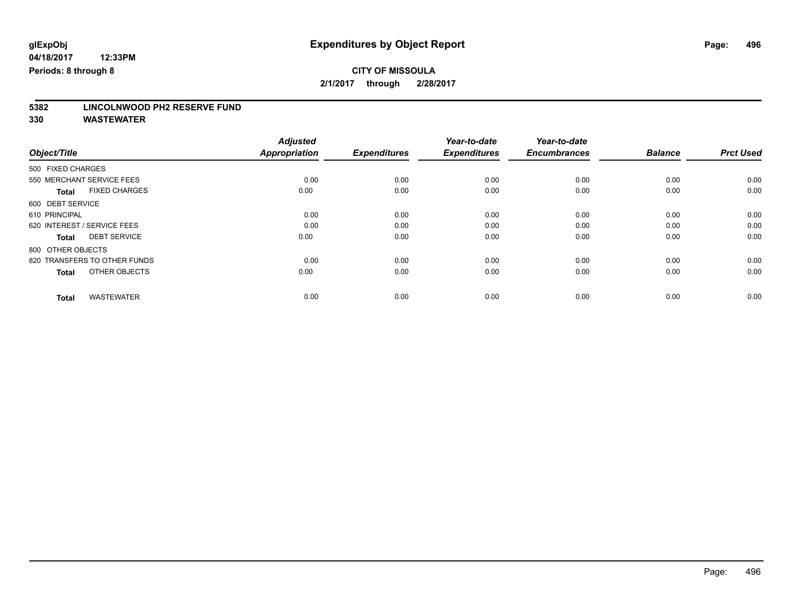# **5382 LINCOLNWOOD PH2 RESERVE FUND**

|                                      | <b>Adjusted</b> |                     | Year-to-date        | Year-to-date        |                |                  |
|--------------------------------------|-----------------|---------------------|---------------------|---------------------|----------------|------------------|
| Object/Title                         | Appropriation   | <b>Expenditures</b> | <b>Expenditures</b> | <b>Encumbrances</b> | <b>Balance</b> | <b>Prct Used</b> |
| 500 FIXED CHARGES                    |                 |                     |                     |                     |                |                  |
| 550 MERCHANT SERVICE FEES            | 0.00            | 0.00                | 0.00                | 0.00                | 0.00           | 0.00             |
| <b>FIXED CHARGES</b><br><b>Total</b> | 0.00            | 0.00                | 0.00                | 0.00                | 0.00           | 0.00             |
| 600 DEBT SERVICE                     |                 |                     |                     |                     |                |                  |
| 610 PRINCIPAL                        | 0.00            | 0.00                | 0.00                | 0.00                | 0.00           | 0.00             |
| 620 INTEREST / SERVICE FEES          | 0.00            | 0.00                | 0.00                | 0.00                | 0.00           | 0.00             |
| <b>DEBT SERVICE</b><br><b>Total</b>  | 0.00            | 0.00                | 0.00                | 0.00                | 0.00           | 0.00             |
| 800 OTHER OBJECTS                    |                 |                     |                     |                     |                |                  |
| 820 TRANSFERS TO OTHER FUNDS         | 0.00            | 0.00                | 0.00                | 0.00                | 0.00           | 0.00             |
| OTHER OBJECTS<br><b>Total</b>        | 0.00            | 0.00                | 0.00                | 0.00                | 0.00           | 0.00             |
|                                      |                 |                     |                     |                     |                |                  |
| <b>WASTEWATER</b><br><b>Total</b>    | 0.00            | 0.00                | 0.00                | 0.00                | 0.00           | 0.00             |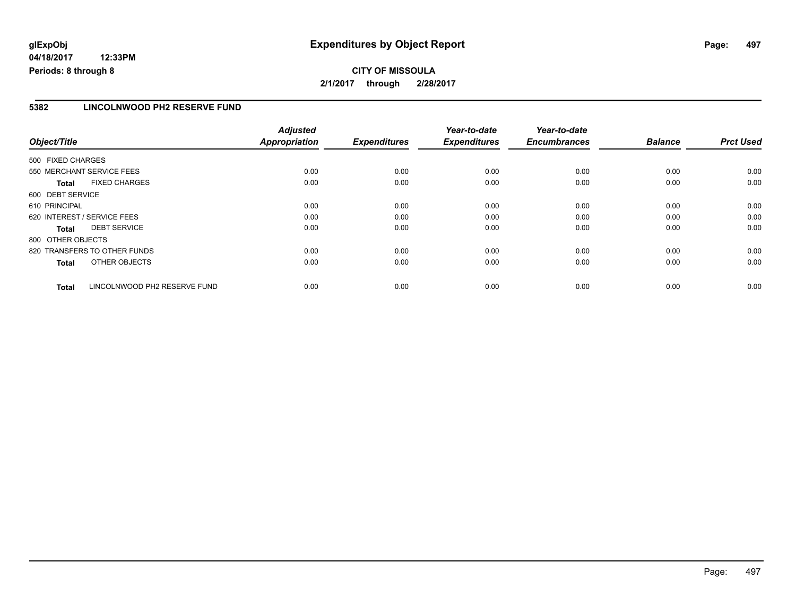# **glExpObj Expenditures by Object Report Page: 497**

**04/18/2017 12:33PM Periods: 8 through 8**

## **CITY OF MISSOULA 2/1/2017 through 2/28/2017**

#### **5382 LINCOLNWOOD PH2 RESERVE FUND**

| Object/Title                                 | <b>Adjusted</b><br><b>Appropriation</b> | <b>Expenditures</b> | Year-to-date<br><b>Expenditures</b> | Year-to-date<br><b>Encumbrances</b> | <b>Balance</b> | <b>Prct Used</b> |
|----------------------------------------------|-----------------------------------------|---------------------|-------------------------------------|-------------------------------------|----------------|------------------|
| 500 FIXED CHARGES                            |                                         |                     |                                     |                                     |                |                  |
| 550 MERCHANT SERVICE FEES                    | 0.00                                    | 0.00                | 0.00                                | 0.00                                | 0.00           | 0.00             |
| <b>FIXED CHARGES</b><br><b>Total</b>         | 0.00                                    | 0.00                | 0.00                                | 0.00                                | 0.00           | 0.00             |
| 600 DEBT SERVICE                             |                                         |                     |                                     |                                     |                |                  |
| 610 PRINCIPAL                                | 0.00                                    | 0.00                | 0.00                                | 0.00                                | 0.00           | 0.00             |
| 620 INTEREST / SERVICE FEES                  | 0.00                                    | 0.00                | 0.00                                | 0.00                                | 0.00           | 0.00             |
| <b>DEBT SERVICE</b><br>Total                 | 0.00                                    | 0.00                | 0.00                                | 0.00                                | 0.00           | 0.00             |
| 800 OTHER OBJECTS                            |                                         |                     |                                     |                                     |                |                  |
| 820 TRANSFERS TO OTHER FUNDS                 | 0.00                                    | 0.00                | 0.00                                | 0.00                                | 0.00           | 0.00             |
| OTHER OBJECTS<br><b>Total</b>                | 0.00                                    | 0.00                | 0.00                                | 0.00                                | 0.00           | 0.00             |
| LINCOLNWOOD PH2 RESERVE FUND<br><b>Total</b> | 0.00                                    | 0.00                | 0.00                                | 0.00                                | 0.00           | 0.00             |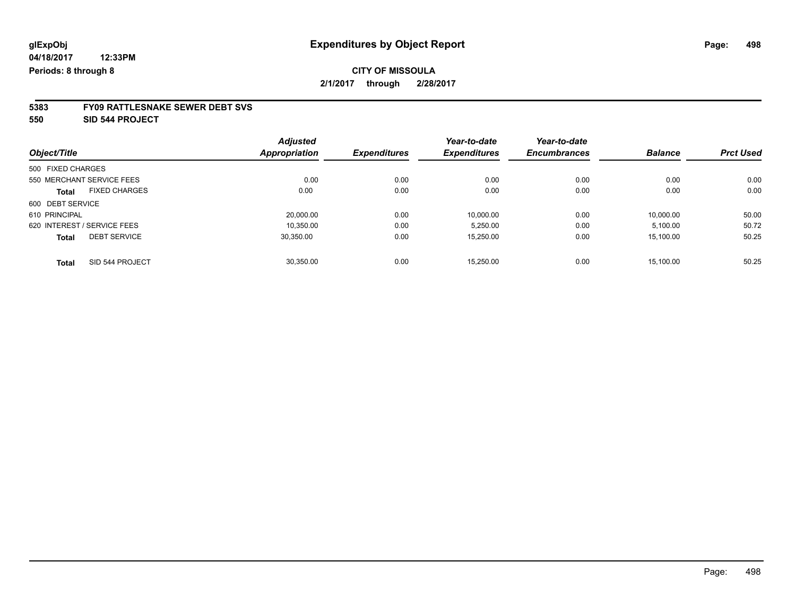# **5383 FY09 RATTLESNAKE SEWER DEBT SVS**

**550 SID 544 PROJECT**

|                                      | <b>Adjusted</b> |                     | Year-to-date        | Year-to-date        |                |                  |
|--------------------------------------|-----------------|---------------------|---------------------|---------------------|----------------|------------------|
| Object/Title                         | Appropriation   | <b>Expenditures</b> | <b>Expenditures</b> | <b>Encumbrances</b> | <b>Balance</b> | <b>Prct Used</b> |
| 500 FIXED CHARGES                    |                 |                     |                     |                     |                |                  |
| 550 MERCHANT SERVICE FEES            | 0.00            | 0.00                | 0.00                | 0.00                | 0.00           | 0.00             |
| <b>FIXED CHARGES</b><br><b>Total</b> | 0.00            | 0.00                | 0.00                | 0.00                | 0.00           | 0.00             |
| 600 DEBT SERVICE                     |                 |                     |                     |                     |                |                  |
| 610 PRINCIPAL                        | 20.000.00       | 0.00                | 10.000.00           | 0.00                | 10.000.00      | 50.00            |
| 620 INTEREST / SERVICE FEES          | 10.350.00       | 0.00                | 5,250.00            | 0.00                | 5,100.00       | 50.72            |
| <b>DEBT SERVICE</b><br><b>Total</b>  | 30.350.00       | 0.00                | 15,250.00           | 0.00                | 15.100.00      | 50.25            |
| Total<br>SID 544 PROJECT             | 30.350.00       | 0.00                | 15.250.00           | 0.00                | 15.100.00      | 50.25            |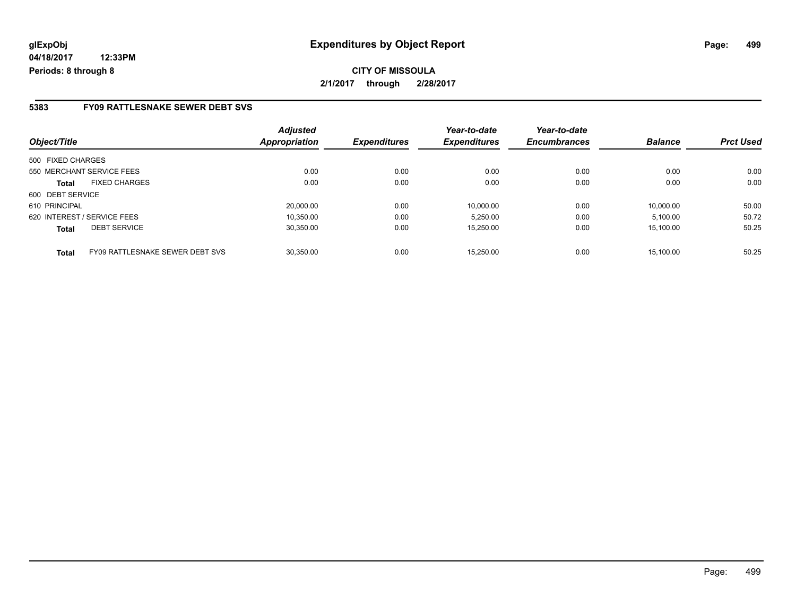#### **5383 FY09 RATTLESNAKE SEWER DEBT SVS**

| Object/Title                                    | <b>Adjusted</b><br>Appropriation | <b>Expenditures</b> | Year-to-date<br><b>Expenditures</b> | Year-to-date<br><b>Encumbrances</b> | <b>Balance</b> | <b>Prct Used</b> |
|-------------------------------------------------|----------------------------------|---------------------|-------------------------------------|-------------------------------------|----------------|------------------|
| 500 FIXED CHARGES                               |                                  |                     |                                     |                                     |                |                  |
| 550 MERCHANT SERVICE FEES                       | 0.00                             | 0.00                | 0.00                                | 0.00                                | 0.00           | 0.00             |
| <b>FIXED CHARGES</b><br><b>Total</b>            | 0.00                             | 0.00                | 0.00                                | 0.00                                | 0.00           | 0.00             |
| 600 DEBT SERVICE                                |                                  |                     |                                     |                                     |                |                  |
| 610 PRINCIPAL                                   | 20.000.00                        | 0.00                | 10.000.00                           | 0.00                                | 10.000.00      | 50.00            |
| 620 INTEREST / SERVICE FEES                     | 10,350.00                        | 0.00                | 5,250.00                            | 0.00                                | 5,100.00       | 50.72            |
| <b>DEBT SERVICE</b><br><b>Total</b>             | 30,350.00                        | 0.00                | 15,250.00                           | 0.00                                | 15.100.00      | 50.25            |
| FY09 RATTLESNAKE SEWER DEBT SVS<br><b>Total</b> | 30.350.00                        | 0.00                | 15.250.00                           | 0.00                                | 15.100.00      | 50.25            |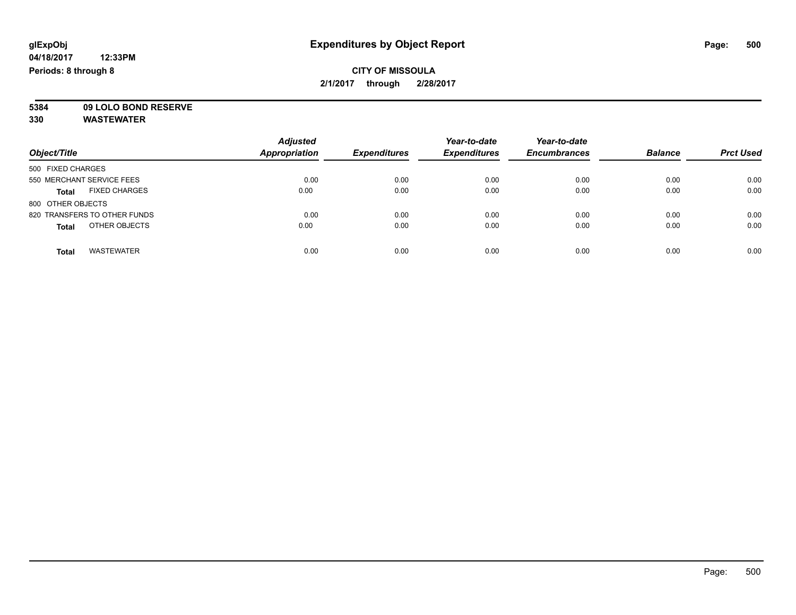**5384 09 LOLO BOND RESERVE**

| Object/Title                         | <b>Adjusted</b><br><b>Appropriation</b> | <b>Expenditures</b> | Year-to-date<br><b>Expenditures</b> | Year-to-date<br><b>Encumbrances</b> | <b>Balance</b> | <b>Prct Used</b> |
|--------------------------------------|-----------------------------------------|---------------------|-------------------------------------|-------------------------------------|----------------|------------------|
| 500 FIXED CHARGES                    |                                         |                     |                                     |                                     |                |                  |
| 550 MERCHANT SERVICE FEES            | 0.00                                    | 0.00                | 0.00                                | 0.00                                | 0.00           | 0.00             |
| <b>FIXED CHARGES</b><br><b>Total</b> | 0.00                                    | 0.00                | 0.00                                | 0.00                                | 0.00           | 0.00             |
| 800 OTHER OBJECTS                    |                                         |                     |                                     |                                     |                |                  |
| 820 TRANSFERS TO OTHER FUNDS         | 0.00                                    | 0.00                | 0.00                                | 0.00                                | 0.00           | 0.00             |
| OTHER OBJECTS<br><b>Total</b>        | 0.00                                    | 0.00                | 0.00                                | 0.00                                | 0.00           | 0.00             |
| <b>WASTEWATER</b><br>Total           | 0.00                                    | 0.00                | 0.00                                | 0.00                                | 0.00           | 0.00             |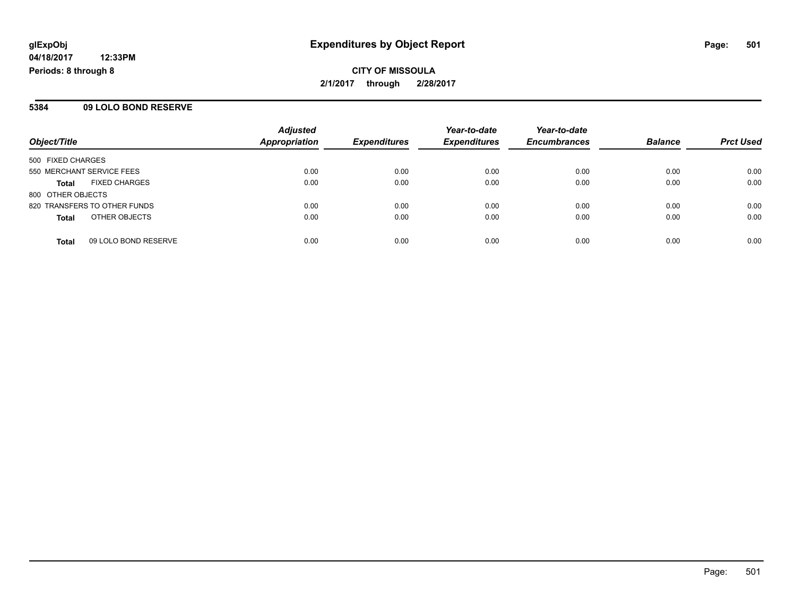**CITY OF MISSOULA 2/1/2017 through 2/28/2017**

#### **5384 09 LOLO BOND RESERVE**

| Object/Title                         | <b>Adjusted</b><br><b>Appropriation</b> | <b>Expenditures</b> | Year-to-date<br><b>Expenditures</b> | Year-to-date<br><b>Encumbrances</b> | <b>Balance</b> | <b>Prct Used</b> |
|--------------------------------------|-----------------------------------------|---------------------|-------------------------------------|-------------------------------------|----------------|------------------|
| 500 FIXED CHARGES                    |                                         |                     |                                     |                                     |                |                  |
| 550 MERCHANT SERVICE FEES            | 0.00                                    | 0.00                | 0.00                                | 0.00                                | 0.00           | 0.00             |
| <b>FIXED CHARGES</b><br><b>Total</b> | 0.00                                    | 0.00                | 0.00                                | 0.00                                | 0.00           | 0.00             |
| 800 OTHER OBJECTS                    |                                         |                     |                                     |                                     |                |                  |
| 820 TRANSFERS TO OTHER FUNDS         | 0.00                                    | 0.00                | 0.00                                | 0.00                                | 0.00           | 0.00             |
| OTHER OBJECTS<br><b>Total</b>        | 0.00                                    | 0.00                | 0.00                                | 0.00                                | 0.00           | 0.00             |
| 09 LOLO BOND RESERVE<br><b>Total</b> | 0.00                                    | 0.00                | 0.00                                | 0.00                                | 0.00           | 0.00             |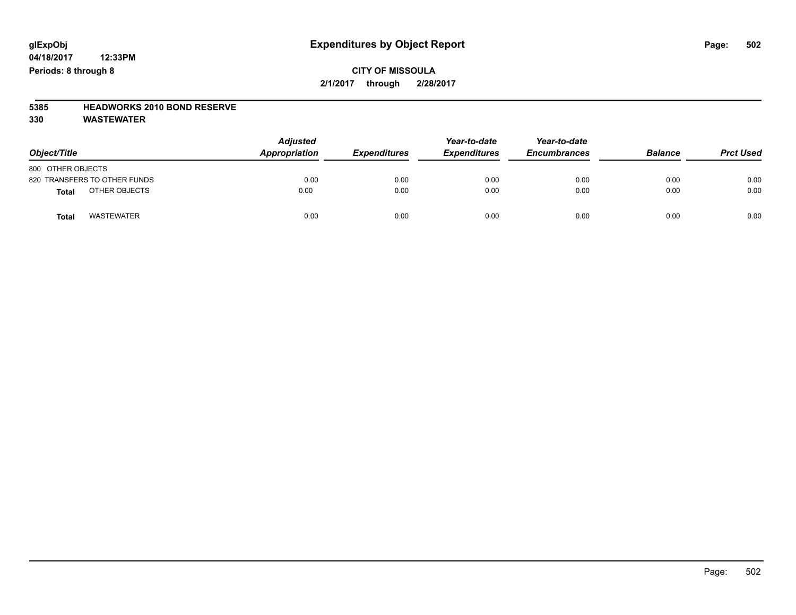### **CITY OF MISSOULA 2/1/2017 through 2/28/2017**

# **5385 HEADWORKS 2010 BOND RESERVE**

| Object/Title                 | <b>Adjusted</b><br>Appropriation<br><b>Expenditures</b> |      | Year-to-date<br><b>Expenditures</b> | Year-to-date<br><b>Encumbrances</b> | <b>Balance</b> | <b>Prct Used</b> |
|------------------------------|---------------------------------------------------------|------|-------------------------------------|-------------------------------------|----------------|------------------|
| 800 OTHER OBJECTS            |                                                         |      |                                     |                                     |                |                  |
| 820 TRANSFERS TO OTHER FUNDS | 0.00                                                    | 0.00 | 0.00                                | 0.00                                | 0.00           | 0.00             |
| OTHER OBJECTS<br>Total       | 0.00                                                    | 0.00 | 0.00                                | 0.00                                | 0.00           | 0.00             |
| <b>WASTEWATER</b><br>Total   | 0.00                                                    | 0.00 | 0.00                                | 0.00                                | 0.00           | 0.00             |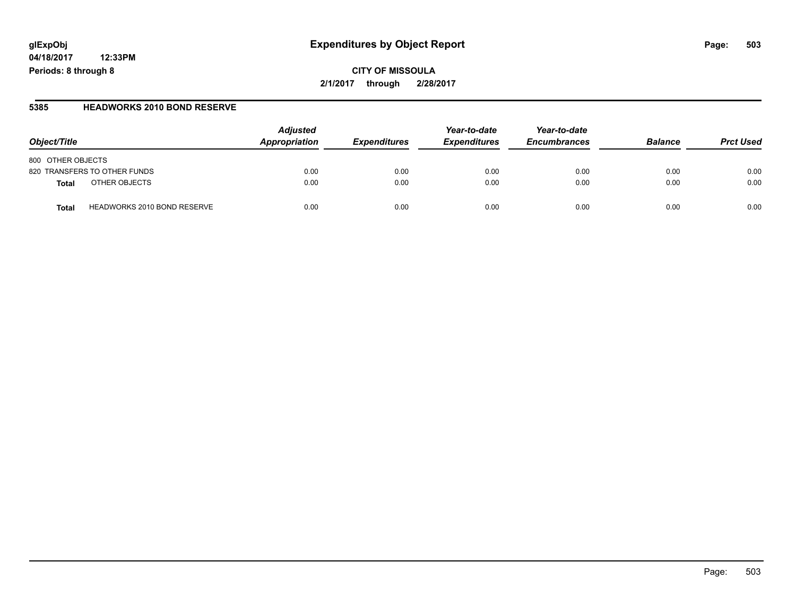# **glExpObj Expenditures by Object Report Page: 503**

**04/18/2017 12:33PM Periods: 8 through 8**

#### **5385 HEADWORKS 2010 BOND RESERVE**

| Object/Title                                | <b>Adjusted</b><br>Appropriation | <i><b>Expenditures</b></i> | Year-to-date<br><b>Expenditures</b> | Year-to-date<br><b>Encumbrances</b> | <b>Balance</b> | <b>Prct Used</b> |
|---------------------------------------------|----------------------------------|----------------------------|-------------------------------------|-------------------------------------|----------------|------------------|
| 800 OTHER OBJECTS                           |                                  |                            |                                     |                                     |                |                  |
| 820 TRANSFERS TO OTHER FUNDS                | 0.00                             | 0.00                       | 0.00                                | 0.00                                | 0.00           | 0.00             |
| OTHER OBJECTS<br>Total                      | 0.00                             | 0.00                       | 0.00                                | 0.00                                | 0.00           | 0.00             |
| <b>HEADWORKS 2010 BOND RESERVE</b><br>Total | 0.00                             | 0.00                       | 0.00                                | 0.00                                | 0.00           | 0.00             |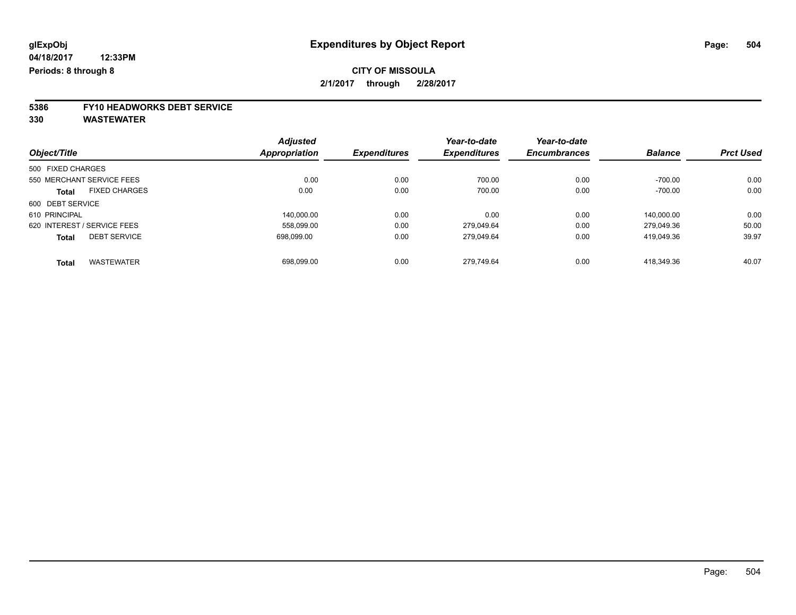# **5386 FY10 HEADWORKS DEBT SERVICE**

|                                      | <b>Adjusted</b> |      | Year-to-date        | Year-to-date        |                |                  |
|--------------------------------------|-----------------|------|---------------------|---------------------|----------------|------------------|
| Object/Title                         | Appropriation   |      | <b>Expenditures</b> | <b>Encumbrances</b> | <b>Balance</b> | <b>Prct Used</b> |
| 500 FIXED CHARGES                    |                 |      |                     |                     |                |                  |
| 550 MERCHANT SERVICE FEES            | 0.00            | 0.00 | 700.00              | 0.00                | $-700.00$      | 0.00             |
| <b>FIXED CHARGES</b><br><b>Total</b> | 0.00            | 0.00 | 700.00              | 0.00                | $-700.00$      | 0.00             |
| 600 DEBT SERVICE                     |                 |      |                     |                     |                |                  |
| 610 PRINCIPAL                        | 140.000.00      | 0.00 | 0.00                | 0.00                | 140.000.00     | 0.00             |
| 620 INTEREST / SERVICE FEES          | 558,099.00      | 0.00 | 279.049.64          | 0.00                | 279.049.36     | 50.00            |
| <b>DEBT SERVICE</b><br><b>Total</b>  | 698.099.00      | 0.00 | 279.049.64          | 0.00                | 419.049.36     | 39.97            |
| <b>WASTEWATER</b><br><b>Total</b>    | 698,099.00      | 0.00 | 279.749.64          | 0.00                | 418.349.36     | 40.07            |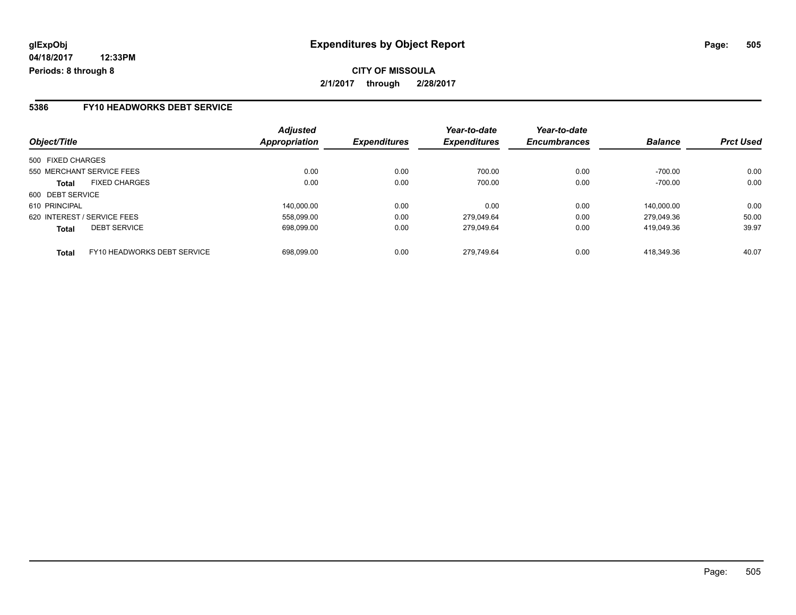**CITY OF MISSOULA 2/1/2017 through 2/28/2017**

### **5386 FY10 HEADWORKS DEBT SERVICE**

| Object/Title                                | <b>Adjusted</b><br>Appropriation | <b>Expenditures</b> | Year-to-date<br><b>Expenditures</b> | Year-to-date<br><b>Encumbrances</b> | <b>Balance</b> | <b>Prct Used</b> |
|---------------------------------------------|----------------------------------|---------------------|-------------------------------------|-------------------------------------|----------------|------------------|
| 500 FIXED CHARGES                           |                                  |                     |                                     |                                     |                |                  |
| 550 MERCHANT SERVICE FEES                   | 0.00                             | 0.00                | 700.00                              | 0.00                                | $-700.00$      | 0.00             |
| <b>FIXED CHARGES</b><br><b>Total</b>        | 0.00                             | 0.00                | 700.00                              | 0.00                                | $-700.00$      | 0.00             |
| 600 DEBT SERVICE                            |                                  |                     |                                     |                                     |                |                  |
| 610 PRINCIPAL                               | 140.000.00                       | 0.00                | 0.00                                | 0.00                                | 140.000.00     | 0.00             |
| 620 INTEREST / SERVICE FEES                 | 558,099.00                       | 0.00                | 279,049.64                          | 0.00                                | 279.049.36     | 50.00            |
| <b>DEBT SERVICE</b><br><b>Total</b>         | 698,099.00                       | 0.00                | 279.049.64                          | 0.00                                | 419.049.36     | 39.97            |
| FY10 HEADWORKS DEBT SERVICE<br><b>Total</b> | 698.099.00                       | 0.00                | 279.749.64                          | 0.00                                | 418.349.36     | 40.07            |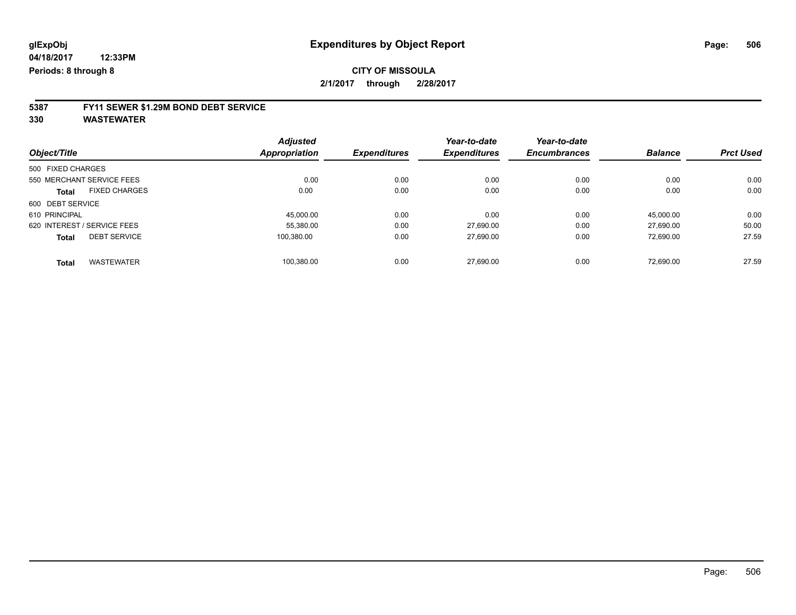# **5387 FY11 SEWER \$1.29M BOND DEBT SERVICE**

**330 WASTEWATER**

|                                      | <b>Adjusted</b> |                     | Year-to-date        | Year-to-date        |                |                  |
|--------------------------------------|-----------------|---------------------|---------------------|---------------------|----------------|------------------|
| Object/Title                         | Appropriation   | <b>Expenditures</b> | <b>Expenditures</b> | <b>Encumbrances</b> | <b>Balance</b> | <b>Prct Used</b> |
| 500 FIXED CHARGES                    |                 |                     |                     |                     |                |                  |
| 550 MERCHANT SERVICE FEES            | 0.00            | 0.00                | 0.00                | 0.00                | 0.00           | 0.00             |
| <b>FIXED CHARGES</b><br><b>Total</b> | 0.00            | 0.00                | 0.00                | 0.00                | 0.00           | 0.00             |
| 600 DEBT SERVICE                     |                 |                     |                     |                     |                |                  |
| 610 PRINCIPAL                        | 45.000.00       | 0.00                | 0.00                | 0.00                | 45.000.00      | 0.00             |
| 620 INTEREST / SERVICE FEES          | 55,380.00       | 0.00                | 27,690.00           | 0.00                | 27.690.00      | 50.00            |
| <b>DEBT SERVICE</b><br><b>Total</b>  | 100.380.00      | 0.00                | 27.690.00           | 0.00                | 72.690.00      | 27.59            |
|                                      |                 |                     |                     |                     |                |                  |
| <b>WASTEWATER</b><br><b>Total</b>    | 100,380.00      | 0.00                | 27.690.00           | 0.00                | 72.690.00      | 27.59            |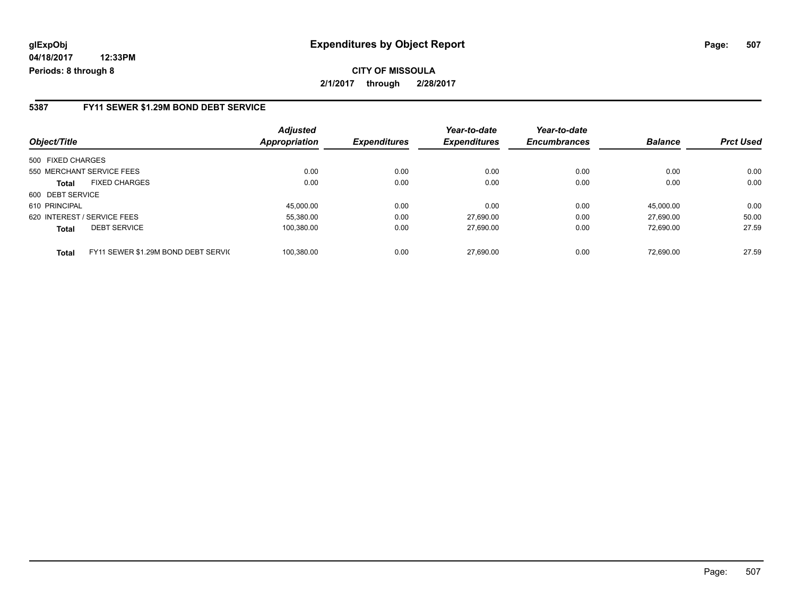**CITY OF MISSOULA 2/1/2017 through 2/28/2017**

### **5387 FY11 SEWER \$1.29M BOND DEBT SERVICE**

| Object/Title                         | <b>Adjusted</b><br>Appropriation                  | <b>Expenditures</b> | Year-to-date<br><b>Expenditures</b> | Year-to-date<br><b>Encumbrances</b> | <b>Balance</b> | <b>Prct Used</b> |
|--------------------------------------|---------------------------------------------------|---------------------|-------------------------------------|-------------------------------------|----------------|------------------|
| 500 FIXED CHARGES                    |                                                   |                     |                                     |                                     |                |                  |
| 550 MERCHANT SERVICE FEES            | 0.00                                              | 0.00                | 0.00                                | 0.00                                | 0.00           | 0.00             |
| <b>FIXED CHARGES</b><br><b>Total</b> | 0.00                                              | 0.00                | 0.00                                | 0.00                                | 0.00           | 0.00             |
| 600 DEBT SERVICE                     |                                                   |                     |                                     |                                     |                |                  |
| 610 PRINCIPAL                        | 45.000.00                                         | 0.00                | 0.00                                | 0.00                                | 45.000.00      | 0.00             |
| 620 INTEREST / SERVICE FEES          | 55.380.00                                         | 0.00                | 27.690.00                           | 0.00                                | 27.690.00      | 50.00            |
| <b>DEBT SERVICE</b><br><b>Total</b>  | 100,380.00                                        | 0.00                | 27,690.00                           | 0.00                                | 72.690.00      | 27.59            |
| <b>Total</b>                         | 100.380.00<br>FY11 SEWER \$1.29M BOND DEBT SERVIC | 0.00                | 27.690.00                           | 0.00                                | 72.690.00      | 27.59            |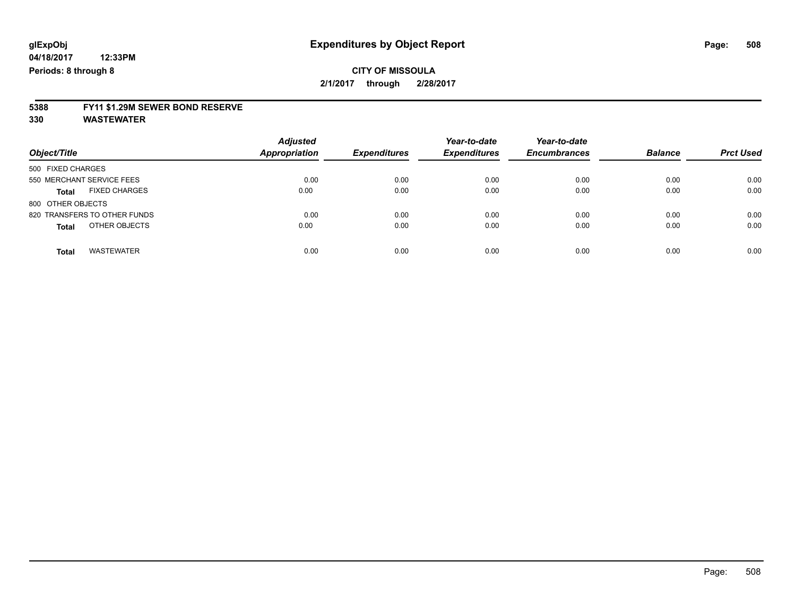# **5388 FY11 \$1.29M SEWER BOND RESERVE**

**330 WASTEWATER**

| Object/Title                         | <b>Adjusted</b><br><b>Appropriation</b> | <b>Expenditures</b> | Year-to-date<br><b>Expenditures</b> | Year-to-date<br><b>Encumbrances</b> | <b>Balance</b> | <b>Prct Used</b> |
|--------------------------------------|-----------------------------------------|---------------------|-------------------------------------|-------------------------------------|----------------|------------------|
| 500 FIXED CHARGES                    |                                         |                     |                                     |                                     |                |                  |
| 550 MERCHANT SERVICE FEES            | 0.00                                    | 0.00                | 0.00                                | 0.00                                | 0.00           | 0.00             |
| <b>FIXED CHARGES</b><br><b>Total</b> | 0.00                                    | 0.00                | 0.00                                | 0.00                                | 0.00           | 0.00             |
| 800 OTHER OBJECTS                    |                                         |                     |                                     |                                     |                |                  |
| 820 TRANSFERS TO OTHER FUNDS         | 0.00                                    | 0.00                | 0.00                                | 0.00                                | 0.00           | 0.00             |
| OTHER OBJECTS<br><b>Total</b>        | 0.00                                    | 0.00                | 0.00                                | 0.00                                | 0.00           | 0.00             |
| <b>WASTEWATER</b><br><b>Total</b>    | 0.00                                    | 0.00                | 0.00                                | 0.00                                | 0.00           | 0.00             |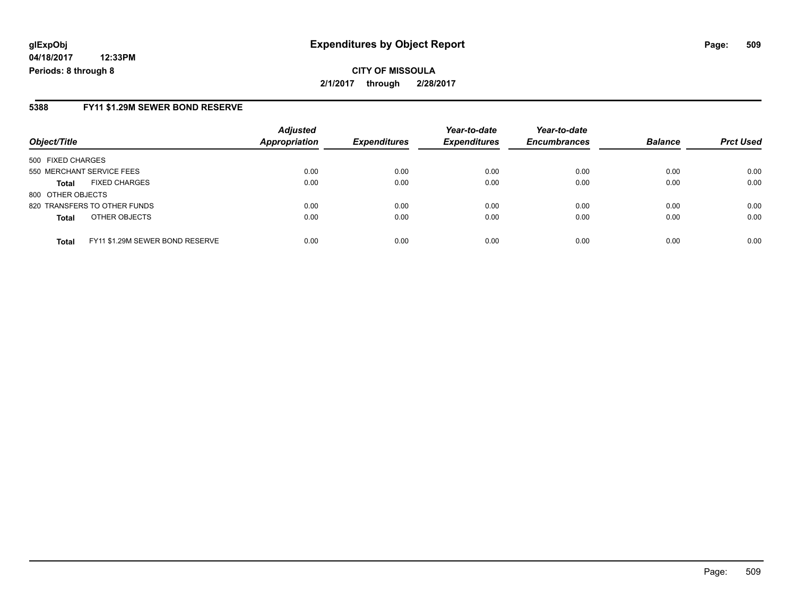# **glExpObj Expenditures by Object Report Page: 509**

**04/18/2017 12:33PM Periods: 8 through 8**

#### **5388 FY11 \$1.29M SEWER BOND RESERVE**

| Object/Title                 |                                 | <b>Adjusted</b><br><b>Appropriation</b> | <b>Expenditures</b> | Year-to-date<br><b>Expenditures</b> | Year-to-date<br><b>Encumbrances</b> | <b>Balance</b> | <b>Prct Used</b> |
|------------------------------|---------------------------------|-----------------------------------------|---------------------|-------------------------------------|-------------------------------------|----------------|------------------|
| 500 FIXED CHARGES            |                                 |                                         |                     |                                     |                                     |                |                  |
| 550 MERCHANT SERVICE FEES    |                                 | 0.00                                    | 0.00                | 0.00                                | 0.00                                | 0.00           | 0.00             |
| <b>Total</b>                 | <b>FIXED CHARGES</b>            | 0.00                                    | 0.00                | 0.00                                | 0.00                                | 0.00           | 0.00             |
| 800 OTHER OBJECTS            |                                 |                                         |                     |                                     |                                     |                |                  |
| 820 TRANSFERS TO OTHER FUNDS |                                 | 0.00                                    | 0.00                | 0.00                                | 0.00                                | 0.00           | 0.00             |
| <b>Total</b>                 | OTHER OBJECTS                   | 0.00                                    | 0.00                | 0.00                                | 0.00                                | 0.00           | 0.00             |
| <b>Total</b>                 | FY11 \$1.29M SEWER BOND RESERVE | 0.00                                    | 0.00                | 0.00                                | 0.00                                | 0.00           | 0.00             |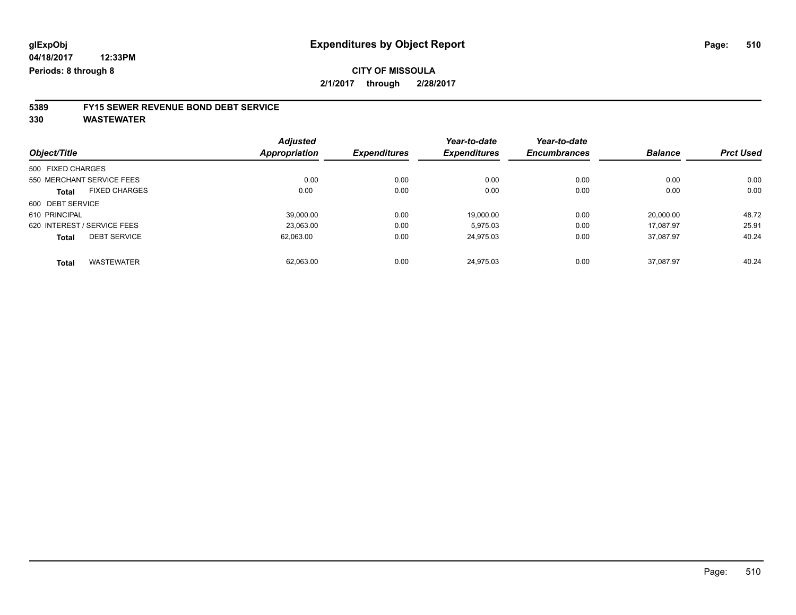# **5389 FY15 SEWER REVENUE BOND DEBT SERVICE**

**330 WASTEWATER**

|                                      | <b>Adjusted</b> |                     | Year-to-date        | Year-to-date        | <b>Balance</b> | <b>Prct Used</b> |
|--------------------------------------|-----------------|---------------------|---------------------|---------------------|----------------|------------------|
| Object/Title                         | Appropriation   | <b>Expenditures</b> | <b>Expenditures</b> | <b>Encumbrances</b> |                |                  |
| 500 FIXED CHARGES                    |                 |                     |                     |                     |                |                  |
| 550 MERCHANT SERVICE FEES            | 0.00            | 0.00                | 0.00                | 0.00                | 0.00           | 0.00             |
| <b>FIXED CHARGES</b><br><b>Total</b> | 0.00            | 0.00                | 0.00                | 0.00                | 0.00           | 0.00             |
| 600 DEBT SERVICE                     |                 |                     |                     |                     |                |                  |
| 610 PRINCIPAL                        | 39.000.00       | 0.00                | 19.000.00           | 0.00                | 20,000.00      | 48.72            |
| 620 INTEREST / SERVICE FEES          | 23.063.00       | 0.00                | 5.975.03            | 0.00                | 17.087.97      | 25.91            |
| <b>DEBT SERVICE</b><br><b>Total</b>  | 62,063.00       | 0.00                | 24,975.03           | 0.00                | 37,087.97      | 40.24            |
| <b>WASTEWATER</b><br>Total           | 62.063.00       | 0.00                | 24.975.03           | 0.00                | 37.087.97      | 40.24            |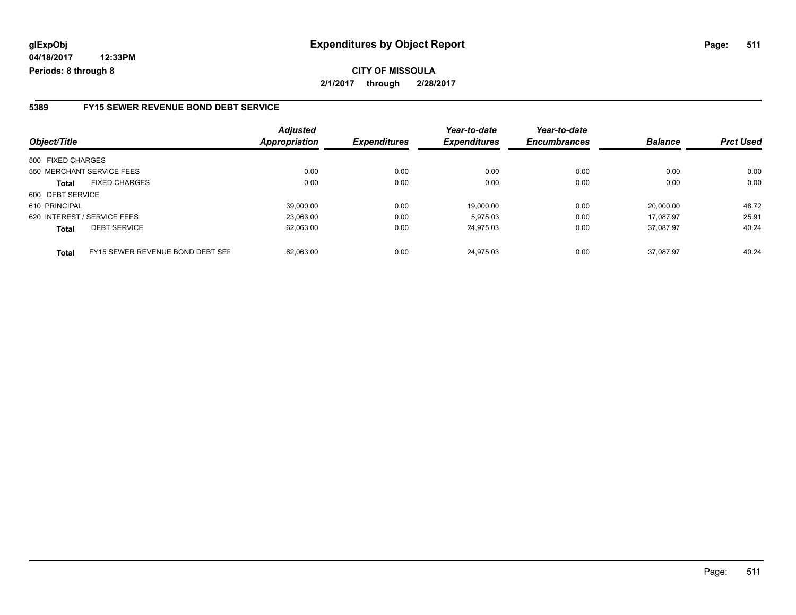# **glExpObj Expenditures by Object Report Page: 511**

**04/18/2017 12:33PM Periods: 8 through 8**

#### **5389 FY15 SEWER REVENUE BOND DEBT SERVICE**

| Object/Title                |                                  | <b>Adjusted</b><br><b>Appropriation</b> | <b>Expenditures</b> | Year-to-date<br><b>Expenditures</b> | Year-to-date<br><b>Encumbrances</b> | <b>Balance</b> | <b>Prct Used</b> |
|-----------------------------|----------------------------------|-----------------------------------------|---------------------|-------------------------------------|-------------------------------------|----------------|------------------|
| 500 FIXED CHARGES           |                                  |                                         |                     |                                     |                                     |                |                  |
| 550 MERCHANT SERVICE FEES   |                                  | 0.00                                    | 0.00                | 0.00                                | 0.00                                | 0.00           | 0.00             |
| <b>Total</b>                | <b>FIXED CHARGES</b>             | 0.00                                    | 0.00                | 0.00                                | 0.00                                | 0.00           | 0.00             |
| 600 DEBT SERVICE            |                                  |                                         |                     |                                     |                                     |                |                  |
| 610 PRINCIPAL               |                                  | 39.000.00                               | 0.00                | 19.000.00                           | 0.00                                | 20.000.00      | 48.72            |
| 620 INTEREST / SERVICE FEES |                                  | 23.063.00                               | 0.00                | 5.975.03                            | 0.00                                | 17.087.97      | 25.91            |
| <b>Total</b>                | <b>DEBT SERVICE</b>              | 62,063.00                               | 0.00                | 24,975.03                           | 0.00                                | 37.087.97      | 40.24            |
| <b>Total</b>                | FY15 SEWER REVENUE BOND DEBT SEF | 62.063.00                               | 0.00                | 24.975.03                           | 0.00                                | 37.087.97      | 40.24            |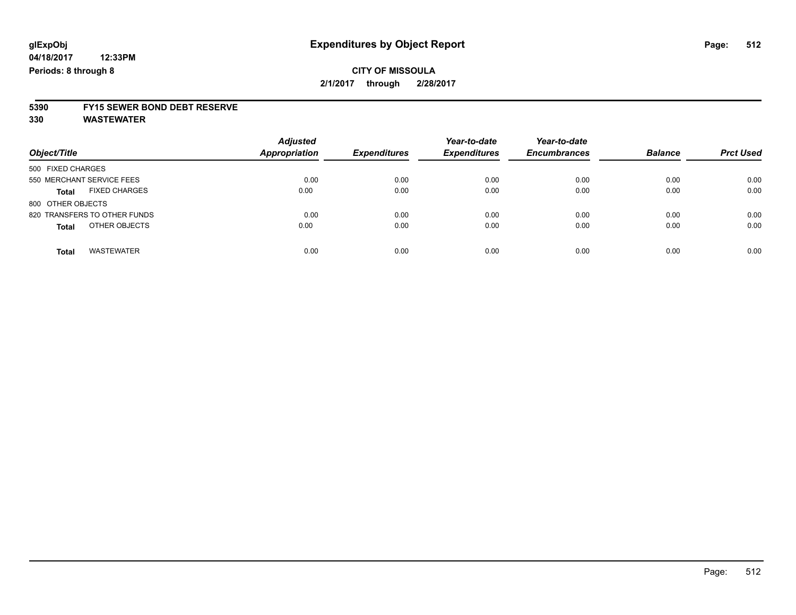# **5390 FY15 SEWER BOND DEBT RESERVE**

**330 WASTEWATER**

| Object/Title                         | <b>Adjusted</b><br><b>Appropriation</b> | <b>Expenditures</b> | Year-to-date<br><b>Expenditures</b> | Year-to-date<br><b>Encumbrances</b> | <b>Balance</b> | <b>Prct Used</b> |
|--------------------------------------|-----------------------------------------|---------------------|-------------------------------------|-------------------------------------|----------------|------------------|
| 500 FIXED CHARGES                    |                                         |                     |                                     |                                     |                |                  |
| 550 MERCHANT SERVICE FEES            | 0.00                                    | 0.00                | 0.00                                | 0.00                                | 0.00           | 0.00             |
| <b>FIXED CHARGES</b><br><b>Total</b> | 0.00                                    | 0.00                | 0.00                                | 0.00                                | 0.00           | 0.00             |
| 800 OTHER OBJECTS                    |                                         |                     |                                     |                                     |                |                  |
| 820 TRANSFERS TO OTHER FUNDS         | 0.00                                    | 0.00                | 0.00                                | 0.00                                | 0.00           | 0.00             |
| OTHER OBJECTS<br><b>Total</b>        | 0.00                                    | 0.00                | 0.00                                | 0.00                                | 0.00           | 0.00             |
| <b>WASTEWATER</b><br>Total           | 0.00                                    | 0.00                | 0.00                                | 0.00                                | 0.00           | 0.00             |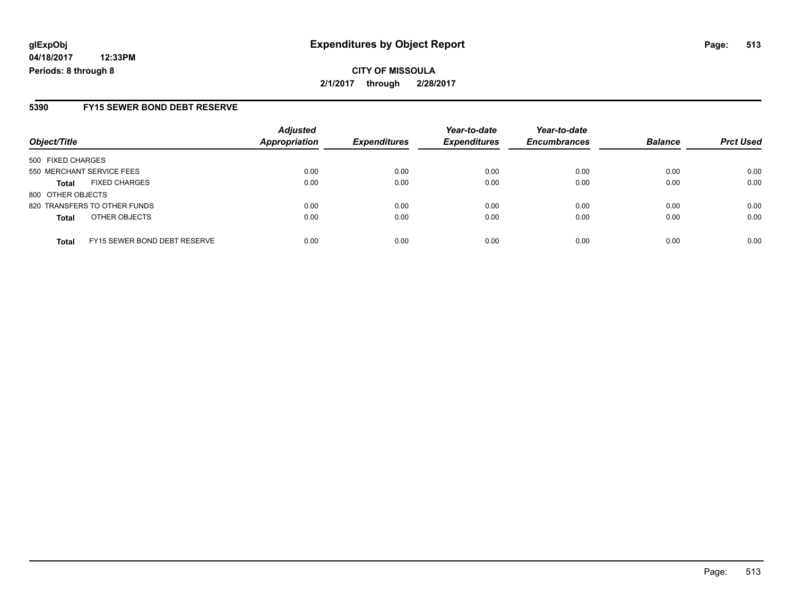### **5390 FY15 SEWER BOND DEBT RESERVE**

| Object/Title              |                              | <b>Adjusted</b><br><b>Appropriation</b> | <b>Expenditures</b> | Year-to-date<br><b>Expenditures</b> | Year-to-date<br><b>Encumbrances</b> | <b>Balance</b> | <b>Prct Used</b> |
|---------------------------|------------------------------|-----------------------------------------|---------------------|-------------------------------------|-------------------------------------|----------------|------------------|
| 500 FIXED CHARGES         |                              |                                         |                     |                                     |                                     |                |                  |
| 550 MERCHANT SERVICE FEES |                              | 0.00                                    | 0.00                | 0.00                                | 0.00                                | 0.00           | 0.00             |
| <b>Total</b>              | <b>FIXED CHARGES</b>         | 0.00                                    | 0.00                | 0.00                                | 0.00                                | 0.00           | 0.00             |
| 800 OTHER OBJECTS         |                              |                                         |                     |                                     |                                     |                |                  |
|                           | 820 TRANSFERS TO OTHER FUNDS | 0.00                                    | 0.00                | 0.00                                | 0.00                                | 0.00           | 0.00             |
| <b>Total</b>              | OTHER OBJECTS                | 0.00                                    | 0.00                | 0.00                                | 0.00                                | 0.00           | 0.00             |
| <b>Total</b>              | FY15 SEWER BOND DEBT RESERVE | 0.00                                    | 0.00                | 0.00                                | 0.00                                | 0.00           | 0.00             |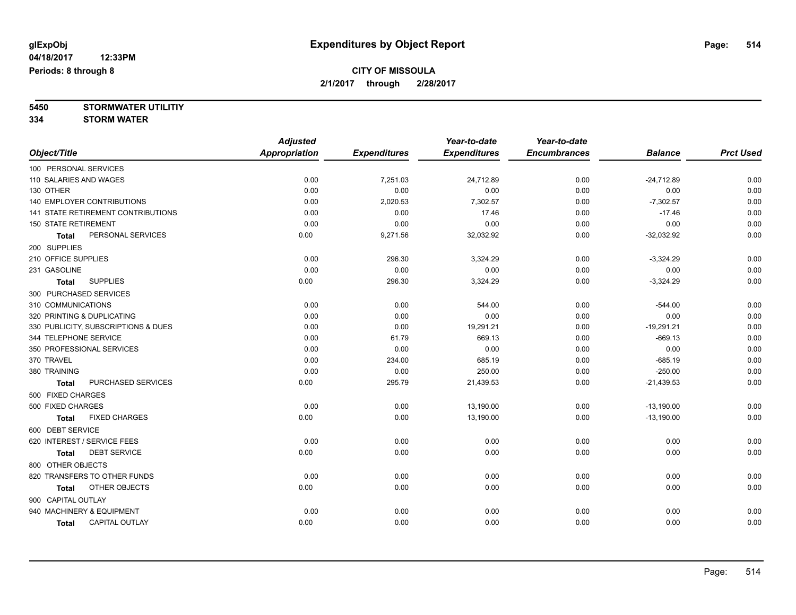**5450 STORMWATER UTILITIY 334 STORM WATER**

|                                      | <b>Adjusted</b>      |                     | Year-to-date        | Year-to-date        |                |                  |
|--------------------------------------|----------------------|---------------------|---------------------|---------------------|----------------|------------------|
| Object/Title                         | <b>Appropriation</b> | <b>Expenditures</b> | <b>Expenditures</b> | <b>Encumbrances</b> | <b>Balance</b> | <b>Prct Used</b> |
| 100 PERSONAL SERVICES                |                      |                     |                     |                     |                |                  |
| 110 SALARIES AND WAGES               | 0.00                 | 7,251.03            | 24,712.89           | 0.00                | $-24,712.89$   | 0.00             |
| 130 OTHER                            | 0.00                 | 0.00                | 0.00                | 0.00                | 0.00           | 0.00             |
| <b>140 EMPLOYER CONTRIBUTIONS</b>    | 0.00                 | 2,020.53            | 7,302.57            | 0.00                | $-7,302.57$    | 0.00             |
| 141 STATE RETIREMENT CONTRIBUTIONS   | 0.00                 | 0.00                | 17.46               | 0.00                | $-17.46$       | 0.00             |
| <b>150 STATE RETIREMENT</b>          | 0.00                 | 0.00                | 0.00                | 0.00                | 0.00           | 0.00             |
| PERSONAL SERVICES<br><b>Total</b>    | 0.00                 | 9,271.56            | 32,032.92           | 0.00                | $-32,032.92$   | 0.00             |
| 200 SUPPLIES                         |                      |                     |                     |                     |                |                  |
| 210 OFFICE SUPPLIES                  | 0.00                 | 296.30              | 3,324.29            | 0.00                | $-3,324.29$    | 0.00             |
| 231 GASOLINE                         | 0.00                 | 0.00                | 0.00                | 0.00                | 0.00           | 0.00             |
| <b>SUPPLIES</b><br><b>Total</b>      | 0.00                 | 296.30              | 3,324.29            | 0.00                | $-3,324.29$    | 0.00             |
| 300 PURCHASED SERVICES               |                      |                     |                     |                     |                |                  |
| 310 COMMUNICATIONS                   | 0.00                 | 0.00                | 544.00              | 0.00                | $-544.00$      | 0.00             |
| 320 PRINTING & DUPLICATING           | 0.00                 | 0.00                | 0.00                | 0.00                | 0.00           | 0.00             |
| 330 PUBLICITY, SUBSCRIPTIONS & DUES  | 0.00                 | 0.00                | 19,291.21           | 0.00                | $-19,291.21$   | 0.00             |
| 344 TELEPHONE SERVICE                | 0.00                 | 61.79               | 669.13              | 0.00                | $-669.13$      | 0.00             |
| 350 PROFESSIONAL SERVICES            | 0.00                 | 0.00                | 0.00                | 0.00                | 0.00           | 0.00             |
| 370 TRAVEL                           | 0.00                 | 234.00              | 685.19              | 0.00                | $-685.19$      | 0.00             |
| 380 TRAINING                         | 0.00                 | 0.00                | 250.00              | 0.00                | $-250.00$      | 0.00             |
| PURCHASED SERVICES<br><b>Total</b>   | 0.00                 | 295.79              | 21,439.53           | 0.00                | $-21,439.53$   | 0.00             |
| 500 FIXED CHARGES                    |                      |                     |                     |                     |                |                  |
| 500 FIXED CHARGES                    | 0.00                 | 0.00                | 13,190.00           | 0.00                | $-13,190.00$   | 0.00             |
| <b>FIXED CHARGES</b><br><b>Total</b> | 0.00                 | 0.00                | 13,190.00           | 0.00                | $-13,190.00$   | 0.00             |
| 600 DEBT SERVICE                     |                      |                     |                     |                     |                |                  |
| 620 INTEREST / SERVICE FEES          | 0.00                 | 0.00                | 0.00                | 0.00                | 0.00           | 0.00             |
| <b>DEBT SERVICE</b><br><b>Total</b>  | 0.00                 | 0.00                | 0.00                | 0.00                | 0.00           | 0.00             |
| 800 OTHER OBJECTS                    |                      |                     |                     |                     |                |                  |
| 820 TRANSFERS TO OTHER FUNDS         | 0.00                 | 0.00                | 0.00                | 0.00                | 0.00           | 0.00             |
| OTHER OBJECTS<br><b>Total</b>        | 0.00                 | 0.00                | 0.00                | 0.00                | 0.00           | 0.00             |
| 900 CAPITAL OUTLAY                   |                      |                     |                     |                     |                |                  |
| 940 MACHINERY & EQUIPMENT            | 0.00                 | 0.00                | 0.00                | 0.00                | 0.00           | 0.00             |
| CAPITAL OUTLAY<br><b>Total</b>       | 0.00                 | 0.00                | 0.00                | 0.00                | 0.00           | 0.00             |
|                                      |                      |                     |                     |                     |                |                  |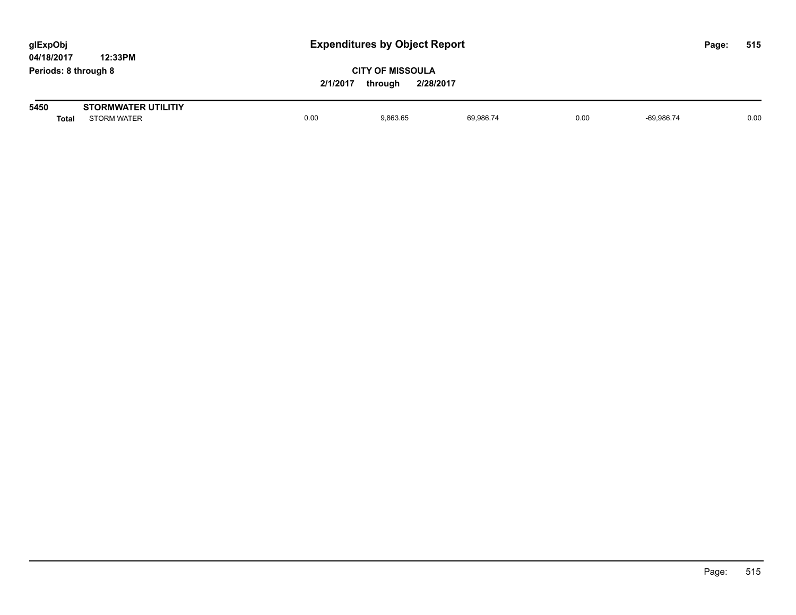| glExpObj<br>04/18/2017 | 12:33PM                                          |          | <b>Expenditures by Object Report</b>            |           |      |              |  |      |
|------------------------|--------------------------------------------------|----------|-------------------------------------------------|-----------|------|--------------|--|------|
| Periods: 8 through 8   |                                                  | 2/1/2017 | <b>CITY OF MISSOULA</b><br>2/28/2017<br>through |           |      |              |  |      |
| 5450<br><b>Total</b>   | <b>STORMWATER UTILITIY</b><br><b>STORM WATER</b> | 0.00     | 9.863.65                                        | 69.986.74 | 0.00 | $-69.986.74$ |  | 0.00 |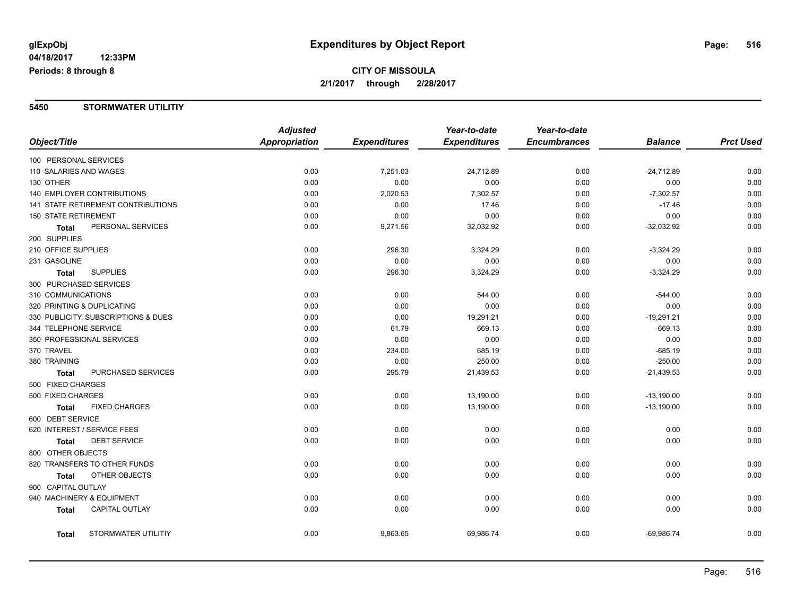# **CITY OF MISSOULA 2/1/2017 through 2/28/2017**

#### **5450 STORMWATER UTILITIY**

|                             |                                     | <b>Adjusted</b> |                     | Year-to-date        | Year-to-date        |                |                  |
|-----------------------------|-------------------------------------|-----------------|---------------------|---------------------|---------------------|----------------|------------------|
| Object/Title                |                                     | Appropriation   | <b>Expenditures</b> | <b>Expenditures</b> | <b>Encumbrances</b> | <b>Balance</b> | <b>Prct Used</b> |
| 100 PERSONAL SERVICES       |                                     |                 |                     |                     |                     |                |                  |
| 110 SALARIES AND WAGES      |                                     | 0.00            | 7,251.03            | 24,712.89           | 0.00                | $-24,712.89$   | 0.00             |
| 130 OTHER                   |                                     | 0.00            | 0.00                | 0.00                | 0.00                | 0.00           | 0.00             |
|                             | 140 EMPLOYER CONTRIBUTIONS          | 0.00            | 2,020.53            | 7,302.57            | 0.00                | $-7,302.57$    | 0.00             |
|                             | 141 STATE RETIREMENT CONTRIBUTIONS  | 0.00            | 0.00                | 17.46               | 0.00                | $-17.46$       | 0.00             |
| <b>150 STATE RETIREMENT</b> |                                     | 0.00            | 0.00                | 0.00                | 0.00                | 0.00           | 0.00             |
| <b>Total</b>                | PERSONAL SERVICES                   | 0.00            | 9,271.56            | 32,032.92           | 0.00                | $-32,032.92$   | 0.00             |
| 200 SUPPLIES                |                                     |                 |                     |                     |                     |                |                  |
| 210 OFFICE SUPPLIES         |                                     | 0.00            | 296.30              | 3,324.29            | 0.00                | $-3,324.29$    | 0.00             |
| 231 GASOLINE                |                                     | 0.00            | 0.00                | 0.00                | 0.00                | 0.00           | 0.00             |
| <b>Total</b>                | <b>SUPPLIES</b>                     | 0.00            | 296.30              | 3,324.29            | 0.00                | $-3,324.29$    | 0.00             |
| 300 PURCHASED SERVICES      |                                     |                 |                     |                     |                     |                |                  |
| 310 COMMUNICATIONS          |                                     | 0.00            | 0.00                | 544.00              | 0.00                | $-544.00$      | 0.00             |
| 320 PRINTING & DUPLICATING  |                                     | 0.00            | 0.00                | 0.00                | 0.00                | 0.00           | 0.00             |
|                             | 330 PUBLICITY, SUBSCRIPTIONS & DUES | 0.00            | 0.00                | 19,291.21           | 0.00                | $-19,291.21$   | 0.00             |
| 344 TELEPHONE SERVICE       |                                     | 0.00            | 61.79               | 669.13              | 0.00                | $-669.13$      | 0.00             |
|                             | 350 PROFESSIONAL SERVICES           | 0.00            | 0.00                | 0.00                | 0.00                | 0.00           | 0.00             |
| 370 TRAVEL                  |                                     | 0.00            | 234.00              | 685.19              | 0.00                | $-685.19$      | 0.00             |
| 380 TRAINING                |                                     | 0.00            | 0.00                | 250.00              | 0.00                | $-250.00$      | 0.00             |
| Total                       | PURCHASED SERVICES                  | 0.00            | 295.79              | 21,439.53           | 0.00                | $-21,439.53$   | 0.00             |
| 500 FIXED CHARGES           |                                     |                 |                     |                     |                     |                |                  |
| 500 FIXED CHARGES           |                                     | 0.00            | 0.00                | 13,190.00           | 0.00                | $-13,190.00$   | 0.00             |
| Total                       | <b>FIXED CHARGES</b>                | 0.00            | 0.00                | 13,190.00           | 0.00                | $-13,190.00$   | 0.00             |
| 600 DEBT SERVICE            |                                     |                 |                     |                     |                     |                |                  |
|                             | 620 INTEREST / SERVICE FEES         | 0.00            | 0.00                | 0.00                | 0.00                | 0.00           | 0.00             |
| Total                       | <b>DEBT SERVICE</b>                 | 0.00            | 0.00                | 0.00                | 0.00                | 0.00           | 0.00             |
| 800 OTHER OBJECTS           |                                     |                 |                     |                     |                     |                |                  |
|                             | 820 TRANSFERS TO OTHER FUNDS        | 0.00            | 0.00                | 0.00                | 0.00                | 0.00           | 0.00             |
| Total                       | OTHER OBJECTS                       | 0.00            | 0.00                | 0.00                | 0.00                | 0.00           | 0.00             |
| 900 CAPITAL OUTLAY          |                                     |                 |                     |                     |                     |                |                  |
|                             | 940 MACHINERY & EQUIPMENT           | 0.00            | 0.00                | 0.00                | 0.00                | 0.00           | 0.00             |
| <b>Total</b>                | <b>CAPITAL OUTLAY</b>               | 0.00            | 0.00                | 0.00                | 0.00                | 0.00           | 0.00             |
| Total                       | STORMWATER UTILITIY                 | 0.00            | 9,863.65            | 69,986.74           | 0.00                | $-69,986.74$   | 0.00             |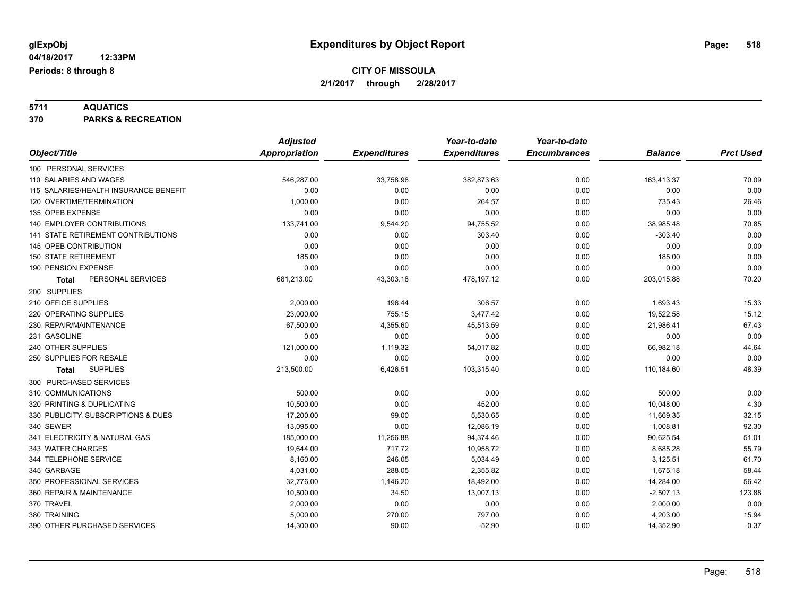**5711 AQUATICS 370 PARKS & RECREATION**

|                                       | <b>Adjusted</b>      |                     | Year-to-date        | Year-to-date        |                |                  |
|---------------------------------------|----------------------|---------------------|---------------------|---------------------|----------------|------------------|
| Object/Title                          | <b>Appropriation</b> | <b>Expenditures</b> | <b>Expenditures</b> | <b>Encumbrances</b> | <b>Balance</b> | <b>Prct Used</b> |
| 100 PERSONAL SERVICES                 |                      |                     |                     |                     |                |                  |
| 110 SALARIES AND WAGES                | 546,287.00           | 33,758.98           | 382,873.63          | 0.00                | 163,413.37     | 70.09            |
| 115 SALARIES/HEALTH INSURANCE BENEFIT | 0.00                 | 0.00                | 0.00                | 0.00                | 0.00           | 0.00             |
| 120 OVERTIME/TERMINATION              | 1,000.00             | 0.00                | 264.57              | 0.00                | 735.43         | 26.46            |
| 135 OPEB EXPENSE                      | 0.00                 | 0.00                | 0.00                | 0.00                | 0.00           | 0.00             |
| 140 EMPLOYER CONTRIBUTIONS            | 133,741.00           | 9,544.20            | 94,755.52           | 0.00                | 38,985.48      | 70.85            |
| 141 STATE RETIREMENT CONTRIBUTIONS    | 0.00                 | 0.00                | 303.40              | 0.00                | $-303.40$      | 0.00             |
| 145 OPEB CONTRIBUTION                 | 0.00                 | 0.00                | 0.00                | 0.00                | 0.00           | 0.00             |
| <b>150 STATE RETIREMENT</b>           | 185.00               | 0.00                | 0.00                | 0.00                | 185.00         | 0.00             |
| 190 PENSION EXPENSE                   | 0.00                 | 0.00                | 0.00                | 0.00                | 0.00           | 0.00             |
| PERSONAL SERVICES<br>Total            | 681,213.00           | 43,303.18           | 478,197.12          | 0.00                | 203,015.88     | 70.20            |
| 200 SUPPLIES                          |                      |                     |                     |                     |                |                  |
| 210 OFFICE SUPPLIES                   | 2,000.00             | 196.44              | 306.57              | 0.00                | 1,693.43       | 15.33            |
| 220 OPERATING SUPPLIES                | 23,000.00            | 755.15              | 3,477.42            | 0.00                | 19,522.58      | 15.12            |
| 230 REPAIR/MAINTENANCE                | 67,500.00            | 4,355.60            | 45,513.59           | 0.00                | 21,986.41      | 67.43            |
| 231 GASOLINE                          | 0.00                 | 0.00                | 0.00                | 0.00                | 0.00           | 0.00             |
| 240 OTHER SUPPLIES                    | 121,000.00           | 1,119.32            | 54,017.82           | 0.00                | 66,982.18      | 44.64            |
| 250 SUPPLIES FOR RESALE               | 0.00                 | 0.00                | 0.00                | 0.00                | 0.00           | 0.00             |
| <b>SUPPLIES</b><br><b>Total</b>       | 213,500.00           | 6,426.51            | 103,315.40          | 0.00                | 110,184.60     | 48.39            |
| 300 PURCHASED SERVICES                |                      |                     |                     |                     |                |                  |
| 310 COMMUNICATIONS                    | 500.00               | 0.00                | 0.00                | 0.00                | 500.00         | 0.00             |
| 320 PRINTING & DUPLICATING            | 10,500.00            | 0.00                | 452.00              | 0.00                | 10,048.00      | 4.30             |
| 330 PUBLICITY, SUBSCRIPTIONS & DUES   | 17,200.00            | 99.00               | 5,530.65            | 0.00                | 11,669.35      | 32.15            |
| 340 SEWER                             | 13,095.00            | 0.00                | 12,086.19           | 0.00                | 1,008.81       | 92.30            |
| 341 ELECTRICITY & NATURAL GAS         | 185,000.00           | 11,256.88           | 94,374.46           | 0.00                | 90,625.54      | 51.01            |
| 343 WATER CHARGES                     | 19,644.00            | 717.72              | 10,958.72           | 0.00                | 8,685.28       | 55.79            |
| 344 TELEPHONE SERVICE                 | 8,160.00             | 246.05              | 5,034.49            | 0.00                | 3,125.51       | 61.70            |
| 345 GARBAGE                           | 4,031.00             | 288.05              | 2,355.82            | 0.00                | 1,675.18       | 58.44            |
| 350 PROFESSIONAL SERVICES             | 32,776.00            | 1,146.20            | 18,492.00           | 0.00                | 14,284.00      | 56.42            |
| 360 REPAIR & MAINTENANCE              | 10,500.00            | 34.50               | 13,007.13           | 0.00                | $-2,507.13$    | 123.88           |
| 370 TRAVEL                            | 2,000.00             | 0.00                | 0.00                | 0.00                | 2,000.00       | 0.00             |
| 380 TRAINING                          | 5,000.00             | 270.00              | 797.00              | 0.00                | 4,203.00       | 15.94            |
| 390 OTHER PURCHASED SERVICES          | 14,300.00            | 90.00               | $-52.90$            | 0.00                | 14,352.90      | $-0.37$          |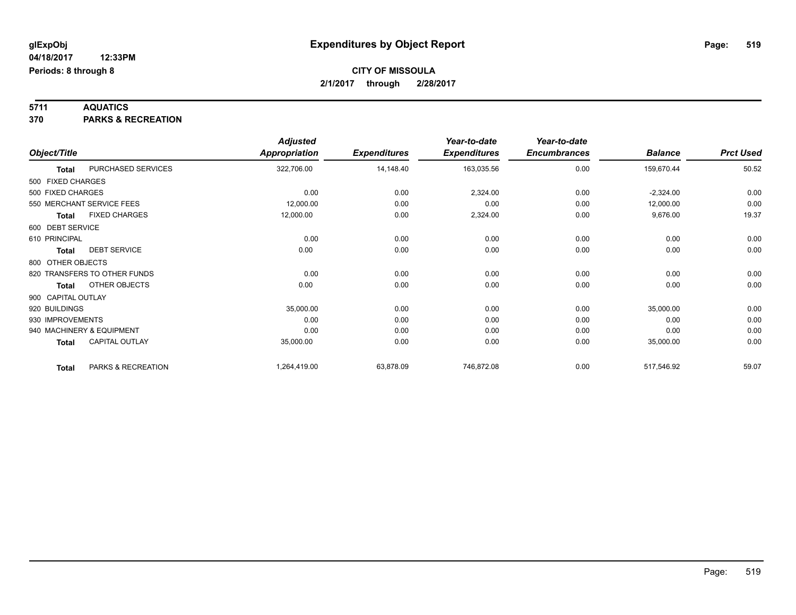**5711 AQUATICS 370 PARKS & RECREATION**

|                    |                              | <b>Adjusted</b>      |                     | Year-to-date        | Year-to-date        |                |                  |
|--------------------|------------------------------|----------------------|---------------------|---------------------|---------------------|----------------|------------------|
| Object/Title       |                              | <b>Appropriation</b> | <b>Expenditures</b> | <b>Expenditures</b> | <b>Encumbrances</b> | <b>Balance</b> | <b>Prct Used</b> |
| <b>Total</b>       | PURCHASED SERVICES           | 322,706.00           | 14,148.40           | 163,035.56          | 0.00                | 159,670.44     | 50.52            |
| 500 FIXED CHARGES  |                              |                      |                     |                     |                     |                |                  |
| 500 FIXED CHARGES  |                              | 0.00                 | 0.00                | 2,324.00            | 0.00                | $-2,324.00$    | 0.00             |
|                    | 550 MERCHANT SERVICE FEES    | 12,000.00            | 0.00                | 0.00                | 0.00                | 12,000.00      | 0.00             |
| <b>Total</b>       | <b>FIXED CHARGES</b>         | 12,000.00            | 0.00                | 2,324.00            | 0.00                | 9,676.00       | 19.37            |
| 600 DEBT SERVICE   |                              |                      |                     |                     |                     |                |                  |
| 610 PRINCIPAL      |                              | 0.00                 | 0.00                | 0.00                | 0.00                | 0.00           | 0.00             |
| <b>Total</b>       | <b>DEBT SERVICE</b>          | 0.00                 | 0.00                | 0.00                | 0.00                | 0.00           | 0.00             |
| 800 OTHER OBJECTS  |                              |                      |                     |                     |                     |                |                  |
|                    | 820 TRANSFERS TO OTHER FUNDS | 0.00                 | 0.00                | 0.00                | 0.00                | 0.00           | 0.00             |
| <b>Total</b>       | OTHER OBJECTS                | 0.00                 | 0.00                | 0.00                | 0.00                | 0.00           | 0.00             |
| 900 CAPITAL OUTLAY |                              |                      |                     |                     |                     |                |                  |
| 920 BUILDINGS      |                              | 35,000.00            | 0.00                | 0.00                | 0.00                | 35,000.00      | 0.00             |
| 930 IMPROVEMENTS   |                              | 0.00                 | 0.00                | 0.00                | 0.00                | 0.00           | 0.00             |
|                    | 940 MACHINERY & EQUIPMENT    | 0.00                 | 0.00                | 0.00                | 0.00                | 0.00           | 0.00             |
| <b>Total</b>       | CAPITAL OUTLAY               | 35,000.00            | 0.00                | 0.00                | 0.00                | 35,000.00      | 0.00             |
| <b>Total</b>       | PARKS & RECREATION           | 1,264,419.00         | 63,878.09           | 746,872.08          | 0.00                | 517,546.92     | 59.07            |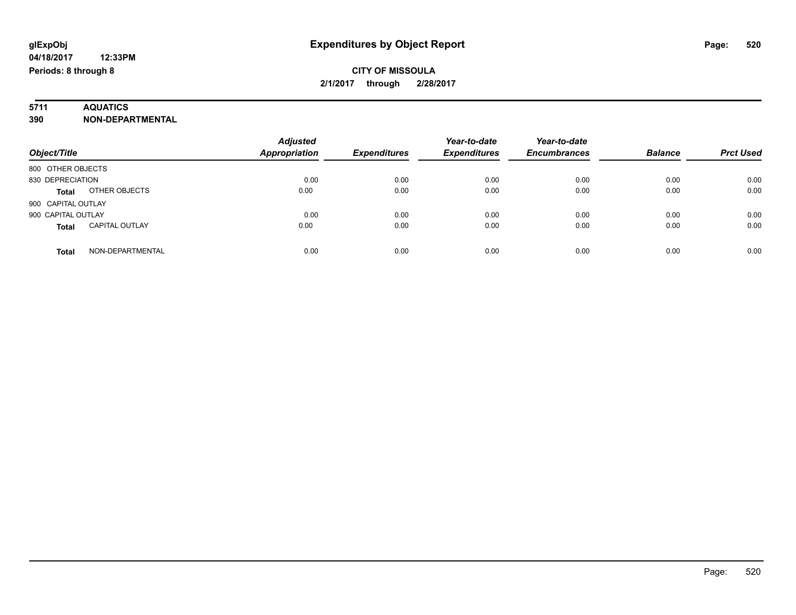# **5711 AQUATICS**

**390 NON-DEPARTMENTAL**

| Object/Title                          | <b>Adjusted</b><br><b>Appropriation</b> | <b>Expenditures</b> | Year-to-date<br><b>Expenditures</b> | Year-to-date<br><b>Encumbrances</b> | <b>Balance</b> | <b>Prct Used</b> |
|---------------------------------------|-----------------------------------------|---------------------|-------------------------------------|-------------------------------------|----------------|------------------|
| 800 OTHER OBJECTS                     |                                         |                     |                                     |                                     |                |                  |
| 830 DEPRECIATION                      | 0.00                                    | 0.00                | 0.00                                | 0.00                                | 0.00           | 0.00             |
| OTHER OBJECTS<br><b>Total</b>         | 0.00                                    | 0.00                | 0.00                                | 0.00                                | 0.00           | 0.00             |
| 900 CAPITAL OUTLAY                    |                                         |                     |                                     |                                     |                |                  |
| 900 CAPITAL OUTLAY                    | 0.00                                    | 0.00                | 0.00                                | 0.00                                | 0.00           | 0.00             |
| <b>CAPITAL OUTLAY</b><br><b>Total</b> | 0.00                                    | 0.00                | 0.00                                | 0.00                                | 0.00           | 0.00             |
| NON-DEPARTMENTAL<br><b>Total</b>      | 0.00                                    | 0.00                | 0.00                                | 0.00                                | 0.00           | 0.00             |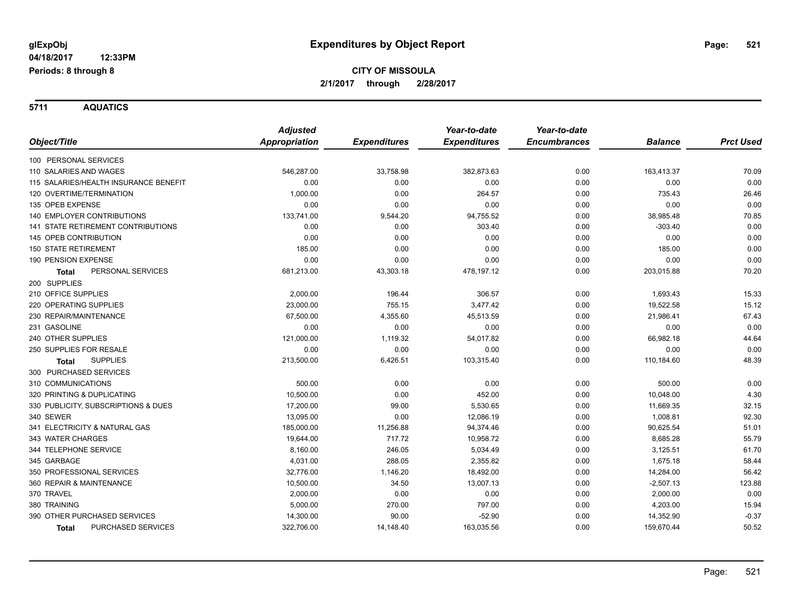**5711 AQUATICS**

|                                           | <b>Adjusted</b> |                     | Year-to-date        | Year-to-date        |                |                  |
|-------------------------------------------|-----------------|---------------------|---------------------|---------------------|----------------|------------------|
| Object/Title                              | Appropriation   | <b>Expenditures</b> | <b>Expenditures</b> | <b>Encumbrances</b> | <b>Balance</b> | <b>Prct Used</b> |
| 100 PERSONAL SERVICES                     |                 |                     |                     |                     |                |                  |
| 110 SALARIES AND WAGES                    | 546,287.00      | 33,758.98           | 382,873.63          | 0.00                | 163,413.37     | 70.09            |
| 115 SALARIES/HEALTH INSURANCE BENEFIT     | 0.00            | 0.00                | 0.00                | 0.00                | 0.00           | 0.00             |
| 120 OVERTIME/TERMINATION                  | 1,000.00        | 0.00                | 264.57              | 0.00                | 735.43         | 26.46            |
| 135 OPEB EXPENSE                          | 0.00            | 0.00                | 0.00                | 0.00                | 0.00           | 0.00             |
| <b>140 EMPLOYER CONTRIBUTIONS</b>         | 133,741.00      | 9,544.20            | 94,755.52           | 0.00                | 38,985.48      | 70.85            |
| <b>141 STATE RETIREMENT CONTRIBUTIONS</b> | 0.00            | 0.00                | 303.40              | 0.00                | $-303.40$      | 0.00             |
| 145 OPEB CONTRIBUTION                     | 0.00            | 0.00                | 0.00                | 0.00                | 0.00           | 0.00             |
| <b>150 STATE RETIREMENT</b>               | 185.00          | 0.00                | 0.00                | 0.00                | 185.00         | 0.00             |
| 190 PENSION EXPENSE                       | 0.00            | 0.00                | 0.00                | 0.00                | 0.00           | 0.00             |
| PERSONAL SERVICES<br><b>Total</b>         | 681,213.00      | 43,303.18           | 478,197.12          | 0.00                | 203,015.88     | 70.20            |
| 200 SUPPLIES                              |                 |                     |                     |                     |                |                  |
| 210 OFFICE SUPPLIES                       | 2,000.00        | 196.44              | 306.57              | 0.00                | 1,693.43       | 15.33            |
| 220 OPERATING SUPPLIES                    | 23,000.00       | 755.15              | 3,477.42            | 0.00                | 19,522.58      | 15.12            |
| 230 REPAIR/MAINTENANCE                    | 67,500.00       | 4,355.60            | 45,513.59           | 0.00                | 21,986.41      | 67.43            |
| 231 GASOLINE                              | 0.00            | 0.00                | 0.00                | 0.00                | 0.00           | 0.00             |
| 240 OTHER SUPPLIES                        | 121,000.00      | 1,119.32            | 54,017.82           | 0.00                | 66,982.18      | 44.64            |
| 250 SUPPLIES FOR RESALE                   | 0.00            | 0.00                | 0.00                | 0.00                | 0.00           | 0.00             |
| <b>SUPPLIES</b><br><b>Total</b>           | 213,500.00      | 6,426.51            | 103,315.40          | 0.00                | 110,184.60     | 48.39            |
| 300 PURCHASED SERVICES                    |                 |                     |                     |                     |                |                  |
| 310 COMMUNICATIONS                        | 500.00          | 0.00                | 0.00                | 0.00                | 500.00         | 0.00             |
| 320 PRINTING & DUPLICATING                | 10,500.00       | 0.00                | 452.00              | 0.00                | 10,048.00      | 4.30             |
| 330 PUBLICITY, SUBSCRIPTIONS & DUES       | 17,200.00       | 99.00               | 5,530.65            | 0.00                | 11,669.35      | 32.15            |
| 340 SEWER                                 | 13,095.00       | 0.00                | 12,086.19           | 0.00                | 1,008.81       | 92.30            |
| 341 ELECTRICITY & NATURAL GAS             | 185,000.00      | 11,256.88           | 94,374.46           | 0.00                | 90,625.54      | 51.01            |
| 343 WATER CHARGES                         | 19,644.00       | 717.72              | 10,958.72           | 0.00                | 8,685.28       | 55.79            |
| 344 TELEPHONE SERVICE                     | 8,160.00        | 246.05              | 5,034.49            | 0.00                | 3,125.51       | 61.70            |
| 345 GARBAGE                               | 4,031.00        | 288.05              | 2,355.82            | 0.00                | 1,675.18       | 58.44            |
| 350 PROFESSIONAL SERVICES                 | 32,776.00       | 1,146.20            | 18,492.00           | 0.00                | 14,284.00      | 56.42            |
| 360 REPAIR & MAINTENANCE                  | 10,500.00       | 34.50               | 13,007.13           | 0.00                | $-2,507.13$    | 123.88           |
| 370 TRAVEL                                | 2,000.00        | 0.00                | 0.00                | 0.00                | 2,000.00       | 0.00             |
| 380 TRAINING                              | 5,000.00        | 270.00              | 797.00              | 0.00                | 4,203.00       | 15.94            |
| 390 OTHER PURCHASED SERVICES              | 14,300.00       | 90.00               | $-52.90$            | 0.00                | 14,352.90      | $-0.37$          |
| PURCHASED SERVICES<br><b>Total</b>        | 322,706.00      | 14,148.40           | 163,035.56          | 0.00                | 159,670.44     | 50.52            |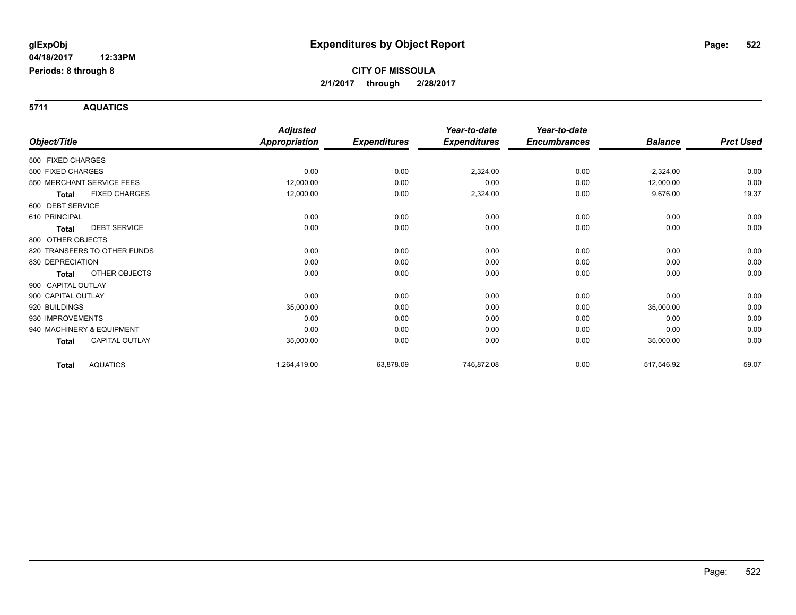**5711 AQUATICS**

|                                      | <b>Adjusted</b>      |                     | Year-to-date        | Year-to-date        |                |                  |
|--------------------------------------|----------------------|---------------------|---------------------|---------------------|----------------|------------------|
| Object/Title                         | <b>Appropriation</b> | <b>Expenditures</b> | <b>Expenditures</b> | <b>Encumbrances</b> | <b>Balance</b> | <b>Prct Used</b> |
| 500 FIXED CHARGES                    |                      |                     |                     |                     |                |                  |
| 500 FIXED CHARGES                    | 0.00                 | 0.00                | 2,324.00            | 0.00                | $-2,324.00$    | 0.00             |
| 550 MERCHANT SERVICE FEES            | 12,000.00            | 0.00                | 0.00                | 0.00                | 12,000.00      | 0.00             |
| <b>FIXED CHARGES</b><br><b>Total</b> | 12,000.00            | 0.00                | 2,324.00            | 0.00                | 9,676.00       | 19.37            |
| 600 DEBT SERVICE                     |                      |                     |                     |                     |                |                  |
| 610 PRINCIPAL                        | 0.00                 | 0.00                | 0.00                | 0.00                | 0.00           | 0.00             |
| <b>DEBT SERVICE</b><br><b>Total</b>  | 0.00                 | 0.00                | 0.00                | 0.00                | 0.00           | 0.00             |
| 800 OTHER OBJECTS                    |                      |                     |                     |                     |                |                  |
| 820 TRANSFERS TO OTHER FUNDS         | 0.00                 | 0.00                | 0.00                | 0.00                | 0.00           | 0.00             |
| 830 DEPRECIATION                     | 0.00                 | 0.00                | 0.00                | 0.00                | 0.00           | 0.00             |
| OTHER OBJECTS<br><b>Total</b>        | 0.00                 | 0.00                | 0.00                | 0.00                | 0.00           | 0.00             |
| 900 CAPITAL OUTLAY                   |                      |                     |                     |                     |                |                  |
| 900 CAPITAL OUTLAY                   | 0.00                 | 0.00                | 0.00                | 0.00                | 0.00           | 0.00             |
| 920 BUILDINGS                        | 35,000.00            | 0.00                | 0.00                | 0.00                | 35,000.00      | 0.00             |
| 930 IMPROVEMENTS                     | 0.00                 | 0.00                | 0.00                | 0.00                | 0.00           | 0.00             |
| 940 MACHINERY & EQUIPMENT            | 0.00                 | 0.00                | 0.00                | 0.00                | 0.00           | 0.00             |
| <b>CAPITAL OUTLAY</b><br>Total       | 35,000.00            | 0.00                | 0.00                | 0.00                | 35,000.00      | 0.00             |
| <b>AQUATICS</b><br><b>Total</b>      | 1,264,419.00         | 63,878.09           | 746,872.08          | 0.00                | 517,546.92     | 59.07            |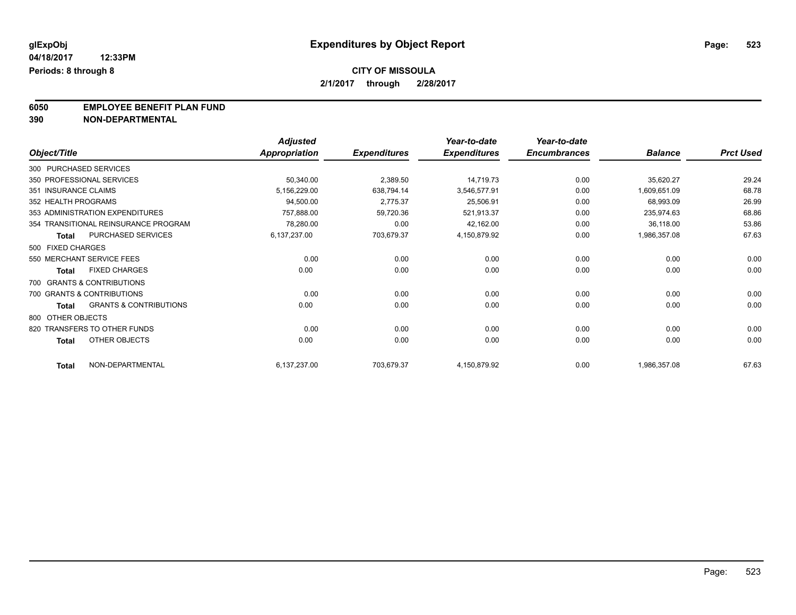**6050 EMPLOYEE BENEFIT PLAN FUND**<br>390 NON-DEPARTMENTAL

**390 NON-DEPARTMENTAL**

|                        |                                      | <b>Adjusted</b>      |                     | Year-to-date        | Year-to-date        |                |                  |
|------------------------|--------------------------------------|----------------------|---------------------|---------------------|---------------------|----------------|------------------|
| Object/Title           |                                      | <b>Appropriation</b> | <b>Expenditures</b> | <b>Expenditures</b> | <b>Encumbrances</b> | <b>Balance</b> | <b>Prct Used</b> |
| 300 PURCHASED SERVICES |                                      |                      |                     |                     |                     |                |                  |
|                        | 350 PROFESSIONAL SERVICES            | 50,340.00            | 2,389.50            | 14,719.73           | 0.00                | 35,620.27      | 29.24            |
| 351 INSURANCE CLAIMS   |                                      | 5,156,229.00         | 638,794.14          | 3,546,577.91        | 0.00                | 1,609,651.09   | 68.78            |
| 352 HEALTH PROGRAMS    |                                      | 94,500.00            | 2,775.37            | 25,506.91           | 0.00                | 68,993.09      | 26.99            |
|                        | 353 ADMINISTRATION EXPENDITURES      | 757,888.00           | 59,720.36           | 521,913.37          | 0.00                | 235,974.63     | 68.86            |
|                        | 354 TRANSITIONAL REINSURANCE PROGRAM | 78,280.00            | 0.00                | 42,162.00           | 0.00                | 36,118.00      | 53.86            |
| <b>Total</b>           | PURCHASED SERVICES                   | 6,137,237.00         | 703,679.37          | 4,150,879.92        | 0.00                | 1,986,357.08   | 67.63            |
| 500 FIXED CHARGES      |                                      |                      |                     |                     |                     |                |                  |
|                        | 550 MERCHANT SERVICE FEES            | 0.00                 | 0.00                | 0.00                | 0.00                | 0.00           | 0.00             |
| <b>Total</b>           | <b>FIXED CHARGES</b>                 | 0.00                 | 0.00                | 0.00                | 0.00                | 0.00           | 0.00             |
|                        | 700 GRANTS & CONTRIBUTIONS           |                      |                     |                     |                     |                |                  |
|                        | 700 GRANTS & CONTRIBUTIONS           | 0.00                 | 0.00                | 0.00                | 0.00                | 0.00           | 0.00             |
| <b>Total</b>           | <b>GRANTS &amp; CONTRIBUTIONS</b>    | 0.00                 | 0.00                | 0.00                | 0.00                | 0.00           | 0.00             |
| 800 OTHER OBJECTS      |                                      |                      |                     |                     |                     |                |                  |
|                        | 820 TRANSFERS TO OTHER FUNDS         | 0.00                 | 0.00                | 0.00                | 0.00                | 0.00           | 0.00             |
| <b>Total</b>           | <b>OTHER OBJECTS</b>                 | 0.00                 | 0.00                | 0.00                | 0.00                | 0.00           | 0.00             |
| <b>Total</b>           | NON-DEPARTMENTAL                     | 6,137,237.00         | 703,679.37          | 4,150,879.92        | 0.00                | 1,986,357.08   | 67.63            |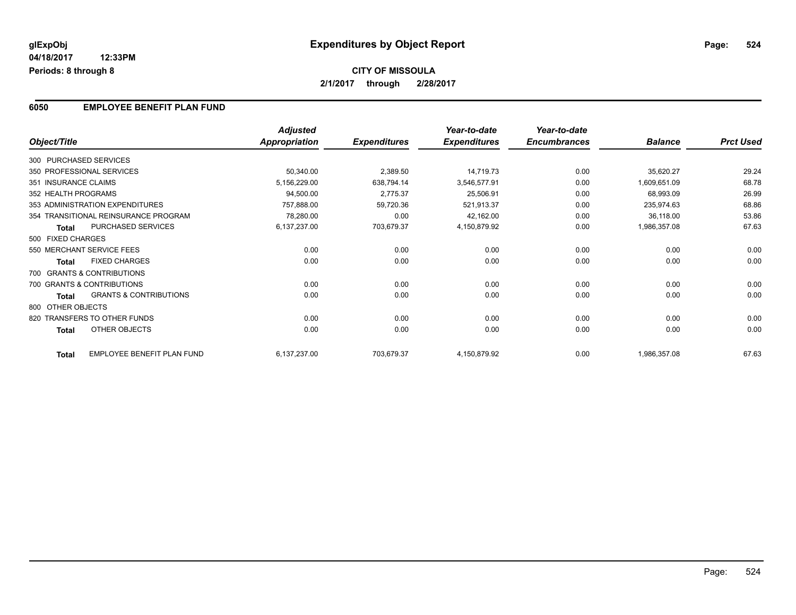### **6050 EMPLOYEE BENEFIT PLAN FUND**

|                        |                                      | <b>Adjusted</b>      |                     | Year-to-date        | Year-to-date        |                |                  |
|------------------------|--------------------------------------|----------------------|---------------------|---------------------|---------------------|----------------|------------------|
| Object/Title           |                                      | <b>Appropriation</b> | <b>Expenditures</b> | <b>Expenditures</b> | <b>Encumbrances</b> | <b>Balance</b> | <b>Prct Used</b> |
| 300 PURCHASED SERVICES |                                      |                      |                     |                     |                     |                |                  |
|                        | 350 PROFESSIONAL SERVICES            | 50,340.00            | 2,389.50            | 14,719.73           | 0.00                | 35,620.27      | 29.24            |
| 351 INSURANCE CLAIMS   |                                      | 5,156,229.00         | 638,794.14          | 3,546,577.91        | 0.00                | 1,609,651.09   | 68.78            |
| 352 HEALTH PROGRAMS    |                                      | 94,500.00            | 2,775.37            | 25,506.91           | 0.00                | 68,993.09      | 26.99            |
|                        | 353 ADMINISTRATION EXPENDITURES      | 757,888.00           | 59,720.36           | 521,913.37          | 0.00                | 235,974.63     | 68.86            |
|                        | 354 TRANSITIONAL REINSURANCE PROGRAM | 78,280.00            | 0.00                | 42,162.00           | 0.00                | 36,118.00      | 53.86            |
| <b>Total</b>           | <b>PURCHASED SERVICES</b>            | 6,137,237.00         | 703,679.37          | 4,150,879.92        | 0.00                | 1,986,357.08   | 67.63            |
| 500 FIXED CHARGES      |                                      |                      |                     |                     |                     |                |                  |
|                        | 550 MERCHANT SERVICE FEES            | 0.00                 | 0.00                | 0.00                | 0.00                | 0.00           | 0.00             |
| <b>Total</b>           | <b>FIXED CHARGES</b>                 | 0.00                 | 0.00                | 0.00                | 0.00                | 0.00           | 0.00             |
|                        | 700 GRANTS & CONTRIBUTIONS           |                      |                     |                     |                     |                |                  |
|                        | 700 GRANTS & CONTRIBUTIONS           | 0.00                 | 0.00                | 0.00                | 0.00                | 0.00           | 0.00             |
| <b>Total</b>           | <b>GRANTS &amp; CONTRIBUTIONS</b>    | 0.00                 | 0.00                | 0.00                | 0.00                | 0.00           | 0.00             |
| 800 OTHER OBJECTS      |                                      |                      |                     |                     |                     |                |                  |
|                        | 820 TRANSFERS TO OTHER FUNDS         | 0.00                 | 0.00                | 0.00                | 0.00                | 0.00           | 0.00             |
| <b>Total</b>           | OTHER OBJECTS                        | 0.00                 | 0.00                | 0.00                | 0.00                | 0.00           | 0.00             |
| <b>Total</b>           | <b>EMPLOYEE BENEFIT PLAN FUND</b>    | 6,137,237.00         | 703,679.37          | 4,150,879.92        | 0.00                | 1,986,357.08   | 67.63            |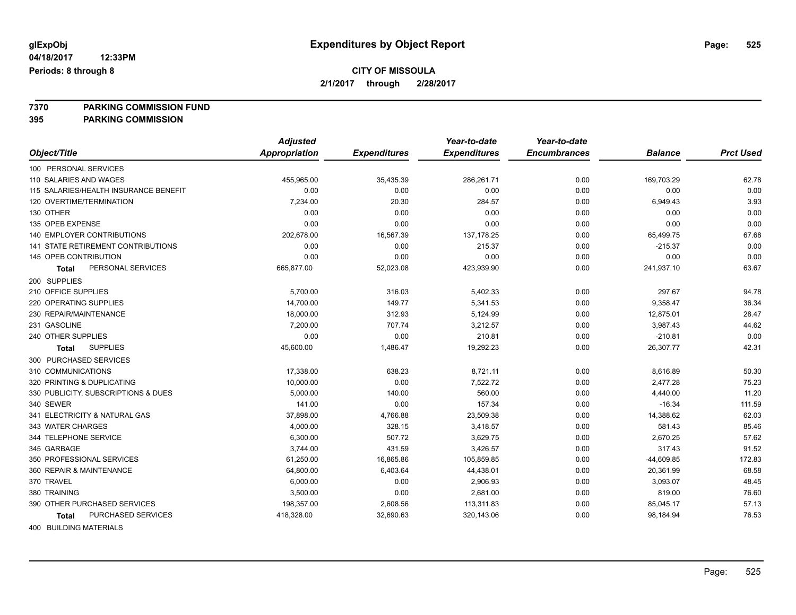**7370 PARKING COMMISSION FUND**

**395 PARKING COMMISSION**

|                                       | <b>Adjusted</b> |                     | Year-to-date        | Year-to-date        |                |                  |
|---------------------------------------|-----------------|---------------------|---------------------|---------------------|----------------|------------------|
| Object/Title                          | Appropriation   | <b>Expenditures</b> | <b>Expenditures</b> | <b>Encumbrances</b> | <b>Balance</b> | <b>Prct Used</b> |
| 100 PERSONAL SERVICES                 |                 |                     |                     |                     |                |                  |
| 110 SALARIES AND WAGES                | 455,965.00      | 35,435.39           | 286,261.71          | 0.00                | 169,703.29     | 62.78            |
| 115 SALARIES/HEALTH INSURANCE BENEFIT | 0.00            | 0.00                | 0.00                | 0.00                | 0.00           | 0.00             |
| 120 OVERTIME/TERMINATION              | 7,234.00        | 20.30               | 284.57              | 0.00                | 6,949.43       | 3.93             |
| 130 OTHER                             | 0.00            | 0.00                | 0.00                | 0.00                | 0.00           | 0.00             |
| 135 OPEB EXPENSE                      | 0.00            | 0.00                | 0.00                | 0.00                | 0.00           | 0.00             |
| 140 EMPLOYER CONTRIBUTIONS            | 202,678.00      | 16,567.39           | 137, 178.25         | 0.00                | 65,499.75      | 67.68            |
| 141 STATE RETIREMENT CONTRIBUTIONS    | 0.00            | 0.00                | 215.37              | 0.00                | $-215.37$      | 0.00             |
| 145 OPEB CONTRIBUTION                 | 0.00            | 0.00                | 0.00                | 0.00                | 0.00           | 0.00             |
| PERSONAL SERVICES<br>Total            | 665,877.00      | 52,023.08           | 423,939.90          | 0.00                | 241,937.10     | 63.67            |
| 200 SUPPLIES                          |                 |                     |                     |                     |                |                  |
| 210 OFFICE SUPPLIES                   | 5,700.00        | 316.03              | 5,402.33            | 0.00                | 297.67         | 94.78            |
| 220 OPERATING SUPPLIES                | 14,700.00       | 149.77              | 5,341.53            | 0.00                | 9,358.47       | 36.34            |
| 230 REPAIR/MAINTENANCE                | 18,000.00       | 312.93              | 5,124.99            | 0.00                | 12,875.01      | 28.47            |
| 231 GASOLINE                          | 7,200.00        | 707.74              | 3,212.57            | 0.00                | 3,987.43       | 44.62            |
| 240 OTHER SUPPLIES                    | 0.00            | 0.00                | 210.81              | 0.00                | $-210.81$      | 0.00             |
| <b>SUPPLIES</b><br><b>Total</b>       | 45,600.00       | 1,486.47            | 19,292.23           | 0.00                | 26,307.77      | 42.31            |
| 300 PURCHASED SERVICES                |                 |                     |                     |                     |                |                  |
| 310 COMMUNICATIONS                    | 17,338.00       | 638.23              | 8,721.11            | 0.00                | 8,616.89       | 50.30            |
| 320 PRINTING & DUPLICATING            | 10,000.00       | 0.00                | 7,522.72            | 0.00                | 2,477.28       | 75.23            |
| 330 PUBLICITY, SUBSCRIPTIONS & DUES   | 5,000.00        | 140.00              | 560.00              | 0.00                | 4,440.00       | 11.20            |
| 340 SEWER                             | 141.00          | 0.00                | 157.34              | 0.00                | $-16.34$       | 111.59           |
| 341 ELECTRICITY & NATURAL GAS         | 37,898.00       | 4,766.88            | 23,509.38           | 0.00                | 14,388.62      | 62.03            |
| 343 WATER CHARGES                     | 4,000.00        | 328.15              | 3,418.57            | 0.00                | 581.43         | 85.46            |
| 344 TELEPHONE SERVICE                 | 6,300.00        | 507.72              | 3,629.75            | 0.00                | 2,670.25       | 57.62            |
| 345 GARBAGE                           | 3,744.00        | 431.59              | 3,426.57            | 0.00                | 317.43         | 91.52            |
| 350 PROFESSIONAL SERVICES             | 61,250.00       | 16,865.86           | 105,859.85          | 0.00                | $-44,609.85$   | 172.83           |
| 360 REPAIR & MAINTENANCE              | 64,800.00       | 6,403.64            | 44,438.01           | 0.00                | 20,361.99      | 68.58            |
| 370 TRAVEL                            | 6,000.00        | 0.00                | 2,906.93            | 0.00                | 3,093.07       | 48.45            |
| 380 TRAINING                          | 3,500.00        | 0.00                | 2,681.00            | 0.00                | 819.00         | 76.60            |
| 390 OTHER PURCHASED SERVICES          | 198,357.00      | 2,608.56            | 113,311.83          | 0.00                | 85,045.17      | 57.13            |
| <b>PURCHASED SERVICES</b><br>Total    | 418,328.00      | 32,690.63           | 320,143.06          | 0.00                | 98,184.94      | 76.53            |
|                                       |                 |                     |                     |                     |                |                  |

400 BUILDING MATERIALS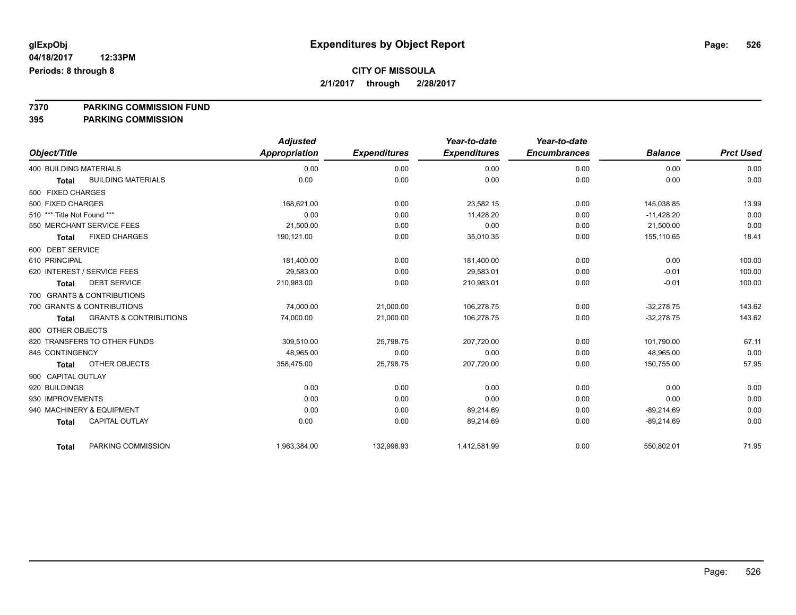**7370 PARKING COMMISSION FUND**

**395 PARKING COMMISSION**

|                                            | <b>Adjusted</b>      |                     | Year-to-date        | Year-to-date        |                |                  |
|--------------------------------------------|----------------------|---------------------|---------------------|---------------------|----------------|------------------|
| Object/Title                               | <b>Appropriation</b> | <b>Expenditures</b> | <b>Expenditures</b> | <b>Encumbrances</b> | <b>Balance</b> | <b>Prct Used</b> |
| <b>400 BUILDING MATERIALS</b>              | 0.00                 | 0.00                | 0.00                | 0.00                | 0.00           | 0.00             |
| <b>BUILDING MATERIALS</b><br><b>Total</b>  | 0.00                 | 0.00                | 0.00                | 0.00                | 0.00           | 0.00             |
| 500 FIXED CHARGES                          |                      |                     |                     |                     |                |                  |
| 500 FIXED CHARGES                          | 168,621.00           | 0.00                | 23,582.15           | 0.00                | 145,038.85     | 13.99            |
| 510 *** Title Not Found ***                | 0.00                 | 0.00                | 11.428.20           | 0.00                | $-11,428.20$   | 0.00             |
| 550 MERCHANT SERVICE FEES                  | 21,500.00            | 0.00                | 0.00                | 0.00                | 21,500.00      | 0.00             |
| <b>FIXED CHARGES</b><br><b>Total</b>       | 190,121.00           | 0.00                | 35,010.35           | 0.00                | 155,110.65     | 18.41            |
| 600 DEBT SERVICE                           |                      |                     |                     |                     |                |                  |
| 610 PRINCIPAL                              | 181,400.00           | 0.00                | 181,400.00          | 0.00                | 0.00           | 100.00           |
| 620 INTEREST / SERVICE FEES                | 29,583.00            | 0.00                | 29,583.01           | 0.00                | $-0.01$        | 100.00           |
| <b>DEBT SERVICE</b><br><b>Total</b>        | 210,983.00           | 0.00                | 210,983.01          | 0.00                | $-0.01$        | 100.00           |
| 700 GRANTS & CONTRIBUTIONS                 |                      |                     |                     |                     |                |                  |
| 700 GRANTS & CONTRIBUTIONS                 | 74,000.00            | 21,000.00           | 106,278.75          | 0.00                | $-32,278.75$   | 143.62           |
| <b>GRANTS &amp; CONTRIBUTIONS</b><br>Total | 74,000.00            | 21,000.00           | 106,278.75          | 0.00                | $-32,278.75$   | 143.62           |
| 800 OTHER OBJECTS                          |                      |                     |                     |                     |                |                  |
| 820 TRANSFERS TO OTHER FUNDS               | 309,510.00           | 25,798.75           | 207,720.00          | 0.00                | 101,790.00     | 67.11            |
| 845 CONTINGENCY                            | 48,965.00            | 0.00                | 0.00                | 0.00                | 48,965.00      | 0.00             |
| OTHER OBJECTS<br><b>Total</b>              | 358,475.00           | 25,798.75           | 207,720.00          | 0.00                | 150,755.00     | 57.95            |
| 900 CAPITAL OUTLAY                         |                      |                     |                     |                     |                |                  |
| 920 BUILDINGS                              | 0.00                 | 0.00                | 0.00                | 0.00                | 0.00           | 0.00             |
| 930 IMPROVEMENTS                           | 0.00                 | 0.00                | 0.00                | 0.00                | 0.00           | 0.00             |
| 940 MACHINERY & EQUIPMENT                  | 0.00                 | 0.00                | 89,214.69           | 0.00                | $-89,214.69$   | 0.00             |
| <b>CAPITAL OUTLAY</b><br><b>Total</b>      | 0.00                 | 0.00                | 89,214.69           | 0.00                | $-89,214.69$   | 0.00             |
| PARKING COMMISSION<br>Total                | 1,963,384.00         | 132,998.93          | 1,412,581.99        | 0.00                | 550,802.01     | 71.95            |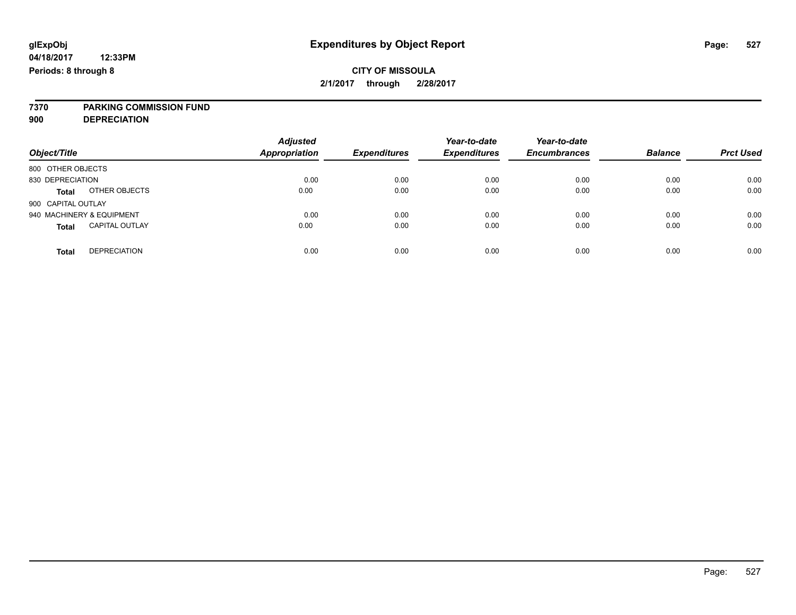# **7370 PARKING COMMISSION FUND**

**900 DEPRECIATION**

| Object/Title                          | <b>Adjusted</b><br><b>Appropriation</b> | <b>Expenditures</b> | Year-to-date<br><b>Expenditures</b> | Year-to-date<br><b>Encumbrances</b> | <b>Balance</b> | <b>Prct Used</b> |
|---------------------------------------|-----------------------------------------|---------------------|-------------------------------------|-------------------------------------|----------------|------------------|
| 800 OTHER OBJECTS                     |                                         |                     |                                     |                                     |                |                  |
| 830 DEPRECIATION                      | 0.00                                    | 0.00                | 0.00                                | 0.00                                | 0.00           | 0.00             |
| OTHER OBJECTS<br><b>Total</b>         | 0.00                                    | 0.00                | 0.00                                | 0.00                                | 0.00           | 0.00             |
| 900 CAPITAL OUTLAY                    |                                         |                     |                                     |                                     |                |                  |
| 940 MACHINERY & EQUIPMENT             | 0.00                                    | 0.00                | 0.00                                | 0.00                                | 0.00           | 0.00             |
| <b>CAPITAL OUTLAY</b><br><b>Total</b> | 0.00                                    | 0.00                | 0.00                                | 0.00                                | 0.00           | 0.00             |
|                                       |                                         |                     |                                     |                                     |                |                  |
| <b>DEPRECIATION</b><br>Total          | 0.00                                    | 0.00                | 0.00                                | 0.00                                | 0.00           | 0.00             |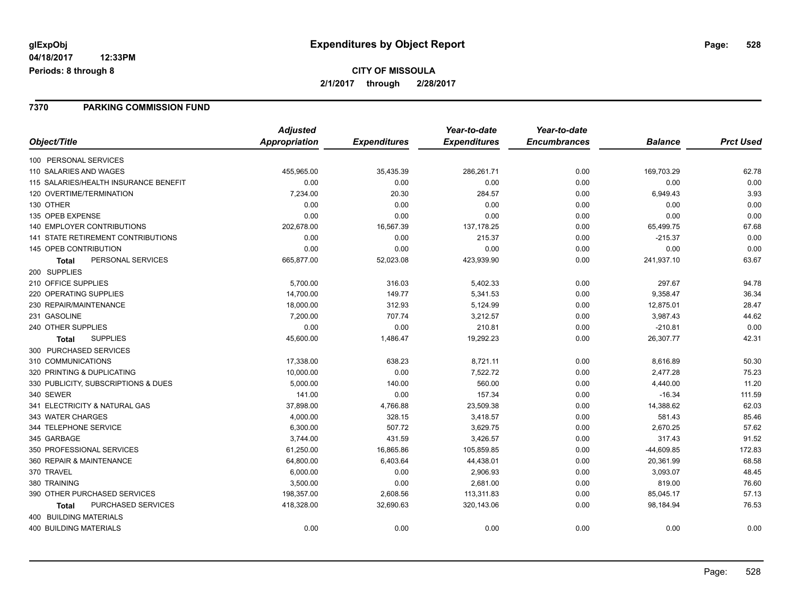# **CITY OF MISSOULA 2/1/2017 through 2/28/2017**

### **7370 PARKING COMMISSION FUND**

|                                       | <b>Adjusted</b> |                     | Year-to-date        | Year-to-date        |                |                  |
|---------------------------------------|-----------------|---------------------|---------------------|---------------------|----------------|------------------|
| Object/Title                          | Appropriation   | <b>Expenditures</b> | <b>Expenditures</b> | <b>Encumbrances</b> | <b>Balance</b> | <b>Prct Used</b> |
| 100 PERSONAL SERVICES                 |                 |                     |                     |                     |                |                  |
| 110 SALARIES AND WAGES                | 455,965.00      | 35,435.39           | 286,261.71          | 0.00                | 169,703.29     | 62.78            |
| 115 SALARIES/HEALTH INSURANCE BENEFIT | 0.00            | 0.00                | 0.00                | 0.00                | 0.00           | 0.00             |
| 120 OVERTIME/TERMINATION              | 7,234.00        | 20.30               | 284.57              | 0.00                | 6,949.43       | 3.93             |
| 130 OTHER                             | 0.00            | 0.00                | 0.00                | 0.00                | 0.00           | 0.00             |
| 135 OPEB EXPENSE                      | 0.00            | 0.00                | 0.00                | 0.00                | 0.00           | 0.00             |
| 140 EMPLOYER CONTRIBUTIONS            | 202,678.00      | 16,567.39           | 137, 178.25         | 0.00                | 65,499.75      | 67.68            |
| 141 STATE RETIREMENT CONTRIBUTIONS    | 0.00            | 0.00                | 215.37              | 0.00                | $-215.37$      | 0.00             |
| 145 OPEB CONTRIBUTION                 | 0.00            | 0.00                | 0.00                | 0.00                | 0.00           | 0.00             |
| PERSONAL SERVICES<br><b>Total</b>     | 665,877.00      | 52,023.08           | 423,939.90          | 0.00                | 241,937.10     | 63.67            |
| 200 SUPPLIES                          |                 |                     |                     |                     |                |                  |
| 210 OFFICE SUPPLIES                   | 5,700.00        | 316.03              | 5,402.33            | 0.00                | 297.67         | 94.78            |
| 220 OPERATING SUPPLIES                | 14,700.00       | 149.77              | 5,341.53            | 0.00                | 9,358.47       | 36.34            |
| 230 REPAIR/MAINTENANCE                | 18,000.00       | 312.93              | 5,124.99            | 0.00                | 12,875.01      | 28.47            |
| 231 GASOLINE                          | 7,200.00        | 707.74              | 3,212.57            | 0.00                | 3,987.43       | 44.62            |
| 240 OTHER SUPPLIES                    | 0.00            | 0.00                | 210.81              | 0.00                | $-210.81$      | 0.00             |
| <b>SUPPLIES</b><br>Total              | 45,600.00       | 1,486.47            | 19,292.23           | 0.00                | 26,307.77      | 42.31            |
| 300 PURCHASED SERVICES                |                 |                     |                     |                     |                |                  |
| 310 COMMUNICATIONS                    | 17,338.00       | 638.23              | 8,721.11            | 0.00                | 8,616.89       | 50.30            |
| 320 PRINTING & DUPLICATING            | 10,000.00       | 0.00                | 7,522.72            | 0.00                | 2,477.28       | 75.23            |
| 330 PUBLICITY, SUBSCRIPTIONS & DUES   | 5,000.00        | 140.00              | 560.00              | 0.00                | 4,440.00       | 11.20            |
| 340 SEWER                             | 141.00          | 0.00                | 157.34              | 0.00                | $-16.34$       | 111.59           |
| 341 ELECTRICITY & NATURAL GAS         | 37,898.00       | 4,766.88            | 23,509.38           | 0.00                | 14,388.62      | 62.03            |
| 343 WATER CHARGES                     | 4,000.00        | 328.15              | 3,418.57            | 0.00                | 581.43         | 85.46            |
| 344 TELEPHONE SERVICE                 | 6,300.00        | 507.72              | 3,629.75            | 0.00                | 2,670.25       | 57.62            |
| 345 GARBAGE                           | 3,744.00        | 431.59              | 3,426.57            | 0.00                | 317.43         | 91.52            |
| 350 PROFESSIONAL SERVICES             | 61,250.00       | 16,865.86           | 105,859.85          | 0.00                | $-44,609.85$   | 172.83           |
| 360 REPAIR & MAINTENANCE              | 64,800.00       | 6,403.64            | 44,438.01           | 0.00                | 20,361.99      | 68.58            |
| 370 TRAVEL                            | 6,000.00        | 0.00                | 2,906.93            | 0.00                | 3,093.07       | 48.45            |
| 380 TRAINING                          | 3,500.00        | 0.00                | 2,681.00            | 0.00                | 819.00         | 76.60            |
| 390 OTHER PURCHASED SERVICES          | 198,357.00      | 2,608.56            | 113,311.83          | 0.00                | 85,045.17      | 57.13            |
| PURCHASED SERVICES<br>Total           | 418,328.00      | 32,690.63           | 320,143.06          | 0.00                | 98,184.94      | 76.53            |
| 400 BUILDING MATERIALS                |                 |                     |                     |                     |                |                  |
| <b>400 BUILDING MATERIALS</b>         | 0.00            | 0.00                | 0.00                | 0.00                | 0.00           | 0.00             |
|                                       |                 |                     |                     |                     |                |                  |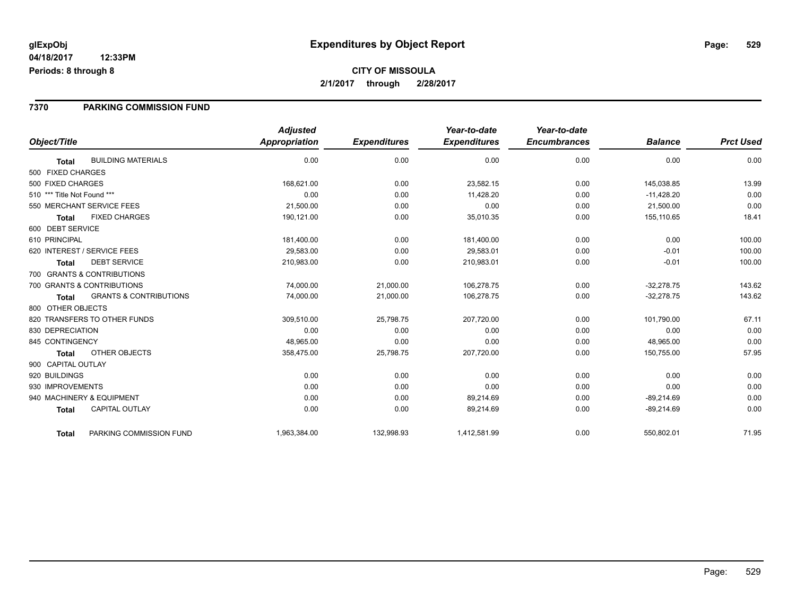# **CITY OF MISSOULA 2/1/2017 through 2/28/2017**

### **7370 PARKING COMMISSION FUND**

|                                                   | <b>Adjusted</b>      |                     | Year-to-date        | Year-to-date        |                |                  |
|---------------------------------------------------|----------------------|---------------------|---------------------|---------------------|----------------|------------------|
| Object/Title                                      | <b>Appropriation</b> | <b>Expenditures</b> | <b>Expenditures</b> | <b>Encumbrances</b> | <b>Balance</b> | <b>Prct Used</b> |
| <b>BUILDING MATERIALS</b><br><b>Total</b>         | 0.00                 | 0.00                | 0.00                | 0.00                | 0.00           | 0.00             |
| 500 FIXED CHARGES                                 |                      |                     |                     |                     |                |                  |
| 500 FIXED CHARGES                                 | 168,621.00           | 0.00                | 23,582.15           | 0.00                | 145,038.85     | 13.99            |
| 510 *** Title Not Found ***                       | 0.00                 | 0.00                | 11.428.20           | 0.00                | $-11,428.20$   | 0.00             |
| 550 MERCHANT SERVICE FEES                         | 21,500.00            | 0.00                | 0.00                | 0.00                | 21,500.00      | 0.00             |
| <b>FIXED CHARGES</b><br><b>Total</b>              | 190,121.00           | 0.00                | 35,010.35           | 0.00                | 155,110.65     | 18.41            |
| 600 DEBT SERVICE                                  |                      |                     |                     |                     |                |                  |
| 610 PRINCIPAL                                     | 181,400.00           | 0.00                | 181,400.00          | 0.00                | 0.00           | 100.00           |
| 620 INTEREST / SERVICE FEES                       | 29,583.00            | 0.00                | 29,583.01           | 0.00                | $-0.01$        | 100.00           |
| <b>DEBT SERVICE</b><br><b>Total</b>               | 210,983.00           | 0.00                | 210,983.01          | 0.00                | $-0.01$        | 100.00           |
| 700 GRANTS & CONTRIBUTIONS                        |                      |                     |                     |                     |                |                  |
| 700 GRANTS & CONTRIBUTIONS                        | 74,000.00            | 21,000.00           | 106,278.75          | 0.00                | $-32,278.75$   | 143.62           |
| <b>GRANTS &amp; CONTRIBUTIONS</b><br><b>Total</b> | 74,000.00            | 21,000.00           | 106,278.75          | 0.00                | $-32,278.75$   | 143.62           |
| 800 OTHER OBJECTS                                 |                      |                     |                     |                     |                |                  |
| 820 TRANSFERS TO OTHER FUNDS                      | 309,510.00           | 25,798.75           | 207,720.00          | 0.00                | 101,790.00     | 67.11            |
| 830 DEPRECIATION                                  | 0.00                 | 0.00                | 0.00                | 0.00                | 0.00           | 0.00             |
| 845 CONTINGENCY                                   | 48,965.00            | 0.00                | 0.00                | 0.00                | 48,965.00      | 0.00             |
| OTHER OBJECTS<br><b>Total</b>                     | 358,475.00           | 25,798.75           | 207,720.00          | 0.00                | 150,755.00     | 57.95            |
| 900 CAPITAL OUTLAY                                |                      |                     |                     |                     |                |                  |
| 920 BUILDINGS                                     | 0.00                 | 0.00                | 0.00                | 0.00                | 0.00           | 0.00             |
| 930 IMPROVEMENTS                                  | 0.00                 | 0.00                | 0.00                | 0.00                | 0.00           | 0.00             |
| 940 MACHINERY & EQUIPMENT                         | 0.00                 | 0.00                | 89,214.69           | 0.00                | $-89,214.69$   | 0.00             |
| <b>CAPITAL OUTLAY</b><br><b>Total</b>             | 0.00                 | 0.00                | 89,214.69           | 0.00                | $-89,214.69$   | 0.00             |
| PARKING COMMISSION FUND<br><b>Total</b>           | 1,963,384.00         | 132,998.93          | 1,412,581.99        | 0.00                | 550,802.01     | 71.95            |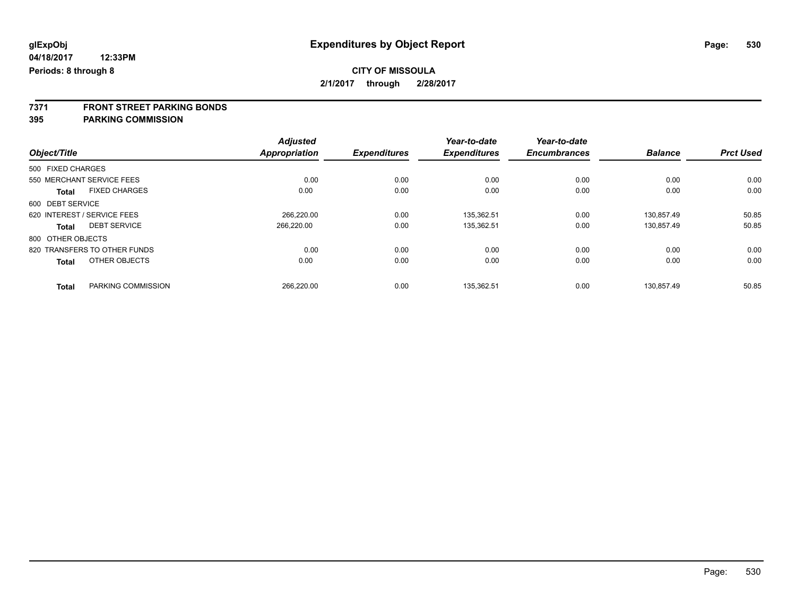**7371 FRONT STREET PARKING BONDS**

**395 PARKING COMMISSION**

|                   |                              | <b>Adjusted</b> |                     | Year-to-date        | Year-to-date        |                |                  |
|-------------------|------------------------------|-----------------|---------------------|---------------------|---------------------|----------------|------------------|
| Object/Title      |                              | Appropriation   | <b>Expenditures</b> | <b>Expenditures</b> | <b>Encumbrances</b> | <b>Balance</b> | <b>Prct Used</b> |
| 500 FIXED CHARGES |                              |                 |                     |                     |                     |                |                  |
|                   | 550 MERCHANT SERVICE FEES    | 0.00            | 0.00                | 0.00                | 0.00                | 0.00           | 0.00             |
| <b>Total</b>      | <b>FIXED CHARGES</b>         | 0.00            | 0.00                | 0.00                | 0.00                | 0.00           | 0.00             |
| 600 DEBT SERVICE  |                              |                 |                     |                     |                     |                |                  |
|                   | 620 INTEREST / SERVICE FEES  | 266.220.00      | 0.00                | 135.362.51          | 0.00                | 130.857.49     | 50.85            |
| Total             | <b>DEBT SERVICE</b>          | 266.220.00      | 0.00                | 135,362.51          | 0.00                | 130,857.49     | 50.85            |
| 800 OTHER OBJECTS |                              |                 |                     |                     |                     |                |                  |
|                   | 820 TRANSFERS TO OTHER FUNDS | 0.00            | 0.00                | 0.00                | 0.00                | 0.00           | 0.00             |
| Total             | OTHER OBJECTS                | 0.00            | 0.00                | 0.00                | 0.00                | 0.00           | 0.00             |
| <b>Total</b>      | PARKING COMMISSION           | 266.220.00      | 0.00                | 135.362.51          | 0.00                | 130.857.49     | 50.85            |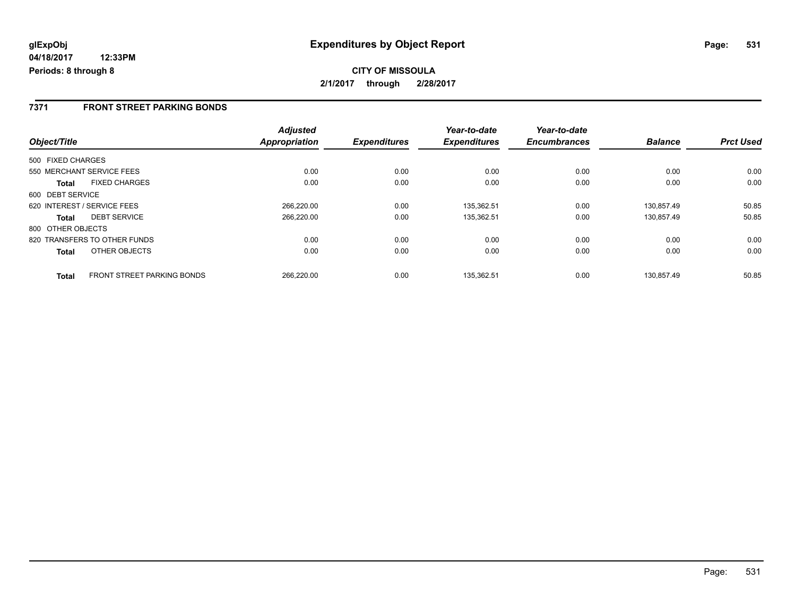**CITY OF MISSOULA 2/1/2017 through 2/28/2017**

### **7371 FRONT STREET PARKING BONDS**

|                              |                            | <b>Adjusted</b>      |                     | Year-to-date        | Year-to-date        |                |                  |
|------------------------------|----------------------------|----------------------|---------------------|---------------------|---------------------|----------------|------------------|
| Object/Title                 |                            | <b>Appropriation</b> | <b>Expenditures</b> | <b>Expenditures</b> | <b>Encumbrances</b> | <b>Balance</b> | <b>Prct Used</b> |
| 500 FIXED CHARGES            |                            |                      |                     |                     |                     |                |                  |
| 550 MERCHANT SERVICE FEES    |                            | 0.00                 | 0.00                | 0.00                | 0.00                | 0.00           | 0.00             |
| Total                        | <b>FIXED CHARGES</b>       | 0.00                 | 0.00                | 0.00                | 0.00                | 0.00           | 0.00             |
| 600 DEBT SERVICE             |                            |                      |                     |                     |                     |                |                  |
| 620 INTEREST / SERVICE FEES  |                            | 266,220.00           | 0.00                | 135,362.51          | 0.00                | 130.857.49     | 50.85            |
| <b>Total</b>                 | <b>DEBT SERVICE</b>        | 266.220.00           | 0.00                | 135,362.51          | 0.00                | 130.857.49     | 50.85            |
| 800 OTHER OBJECTS            |                            |                      |                     |                     |                     |                |                  |
| 820 TRANSFERS TO OTHER FUNDS |                            | 0.00                 | 0.00                | 0.00                | 0.00                | 0.00           | 0.00             |
| <b>Total</b>                 | OTHER OBJECTS              | 0.00                 | 0.00                | 0.00                | 0.00                | 0.00           | 0.00             |
| <b>Total</b>                 | FRONT STREET PARKING BONDS | 266.220.00           | 0.00                | 135.362.51          | 0.00                | 130.857.49     | 50.85            |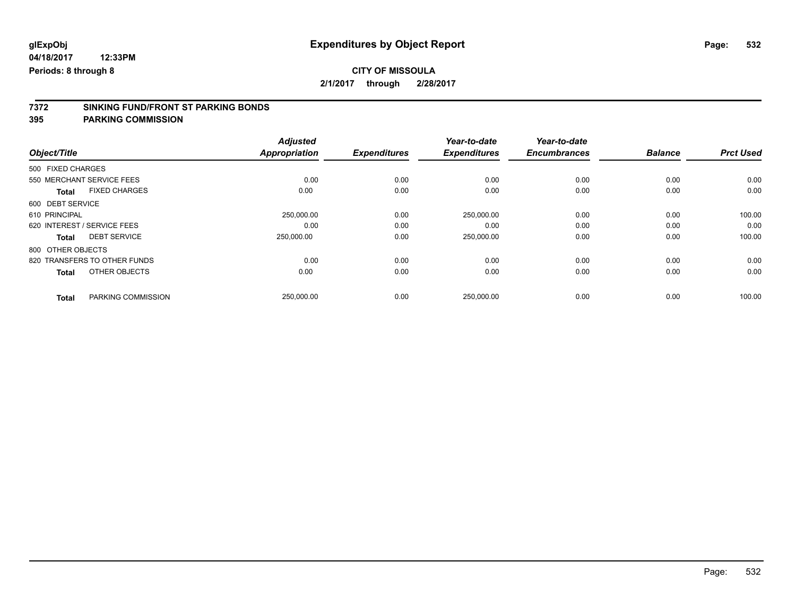# **CITY OF MISSOULA**

**2/1/2017 through 2/28/2017**

# **7372 SINKING FUND/FRONT ST PARKING BONDS**

**395 PARKING COMMISSION**

|                              |                      | <b>Adjusted</b>      |                     | Year-to-date        | Year-to-date        |                |                  |
|------------------------------|----------------------|----------------------|---------------------|---------------------|---------------------|----------------|------------------|
| Object/Title                 |                      | <b>Appropriation</b> | <b>Expenditures</b> | <b>Expenditures</b> | <b>Encumbrances</b> | <b>Balance</b> | <b>Prct Used</b> |
| 500 FIXED CHARGES            |                      |                      |                     |                     |                     |                |                  |
| 550 MERCHANT SERVICE FEES    |                      | 0.00                 | 0.00                | 0.00                | 0.00                | 0.00           | 0.00             |
| <b>Total</b>                 | <b>FIXED CHARGES</b> | 0.00                 | 0.00                | 0.00                | 0.00                | 0.00           | 0.00             |
| 600 DEBT SERVICE             |                      |                      |                     |                     |                     |                |                  |
| 610 PRINCIPAL                |                      | 250,000.00           | 0.00                | 250,000.00          | 0.00                | 0.00           | 100.00           |
| 620 INTEREST / SERVICE FEES  |                      | 0.00                 | 0.00                | 0.00                | 0.00                | 0.00           | 0.00             |
| <b>Total</b>                 | <b>DEBT SERVICE</b>  | 250.000.00           | 0.00                | 250,000.00          | 0.00                | 0.00           | 100.00           |
| 800 OTHER OBJECTS            |                      |                      |                     |                     |                     |                |                  |
| 820 TRANSFERS TO OTHER FUNDS |                      | 0.00                 | 0.00                | 0.00                | 0.00                | 0.00           | 0.00             |
| <b>Total</b>                 | OTHER OBJECTS        | 0.00                 | 0.00                | 0.00                | 0.00                | 0.00           | 0.00             |
| <b>Total</b>                 | PARKING COMMISSION   | 250,000.00           | 0.00                | 250,000.00          | 0.00                | 0.00           | 100.00           |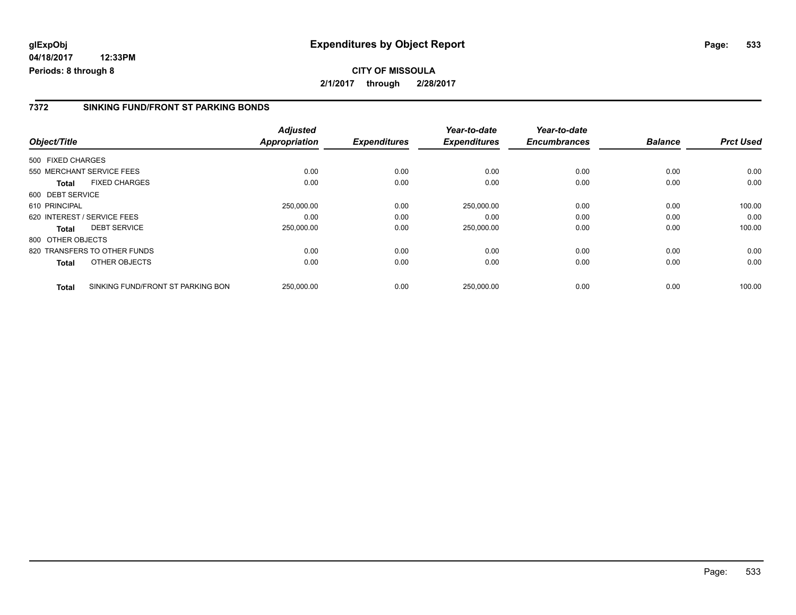### **7372 SINKING FUND/FRONT ST PARKING BONDS**

| Object/Title      |                                   | <b>Adjusted</b><br>Appropriation | <b>Expenditures</b> | Year-to-date<br><b>Expenditures</b> | Year-to-date<br><b>Encumbrances</b> | <b>Balance</b> | <b>Prct Used</b> |
|-------------------|-----------------------------------|----------------------------------|---------------------|-------------------------------------|-------------------------------------|----------------|------------------|
|                   |                                   |                                  |                     |                                     |                                     |                |                  |
| 500 FIXED CHARGES |                                   |                                  |                     |                                     |                                     |                |                  |
|                   | 550 MERCHANT SERVICE FEES         | 0.00                             | 0.00                | 0.00                                | 0.00                                | 0.00           | 0.00             |
| <b>Total</b>      | <b>FIXED CHARGES</b>              | 0.00                             | 0.00                | 0.00                                | 0.00                                | 0.00           | 0.00             |
| 600 DEBT SERVICE  |                                   |                                  |                     |                                     |                                     |                |                  |
| 610 PRINCIPAL     |                                   | 250,000.00                       | 0.00                | 250,000.00                          | 0.00                                | 0.00           | 100.00           |
|                   | 620 INTEREST / SERVICE FEES       | 0.00                             | 0.00                | 0.00                                | 0.00                                | 0.00           | 0.00             |
| Total             | <b>DEBT SERVICE</b>               | 250,000.00                       | 0.00                | 250,000.00                          | 0.00                                | 0.00           | 100.00           |
| 800 OTHER OBJECTS |                                   |                                  |                     |                                     |                                     |                |                  |
|                   | 820 TRANSFERS TO OTHER FUNDS      | 0.00                             | 0.00                | 0.00                                | 0.00                                | 0.00           | 0.00             |
| Total             | OTHER OBJECTS                     | 0.00                             | 0.00                | 0.00                                | 0.00                                | 0.00           | 0.00             |
| <b>Total</b>      | SINKING FUND/FRONT ST PARKING BON | 250,000.00                       | 0.00                | 250.000.00                          | 0.00                                | 0.00           | 100.00           |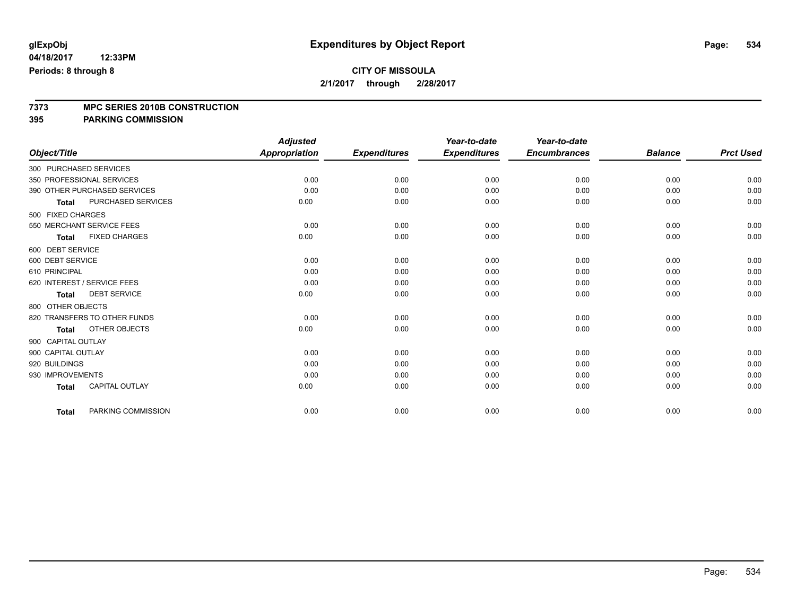# **7373 MPC SERIES 2010B CONSTRUCTION**

**395 PARKING COMMISSION**

|                        |                              | <b>Adjusted</b>      |                     | Year-to-date        | Year-to-date        |                |                  |
|------------------------|------------------------------|----------------------|---------------------|---------------------|---------------------|----------------|------------------|
| Object/Title           |                              | <b>Appropriation</b> | <b>Expenditures</b> | <b>Expenditures</b> | <b>Encumbrances</b> | <b>Balance</b> | <b>Prct Used</b> |
| 300 PURCHASED SERVICES |                              |                      |                     |                     |                     |                |                  |
|                        | 350 PROFESSIONAL SERVICES    | 0.00                 | 0.00                | 0.00                | 0.00                | 0.00           | 0.00             |
|                        | 390 OTHER PURCHASED SERVICES | 0.00                 | 0.00                | 0.00                | 0.00                | 0.00           | 0.00             |
| <b>Total</b>           | PURCHASED SERVICES           | 0.00                 | 0.00                | 0.00                | 0.00                | 0.00           | 0.00             |
| 500 FIXED CHARGES      |                              |                      |                     |                     |                     |                |                  |
|                        | 550 MERCHANT SERVICE FEES    | 0.00                 | 0.00                | 0.00                | 0.00                | 0.00           | 0.00             |
| <b>Total</b>           | <b>FIXED CHARGES</b>         | 0.00                 | 0.00                | 0.00                | 0.00                | 0.00           | 0.00             |
| 600 DEBT SERVICE       |                              |                      |                     |                     |                     |                |                  |
| 600 DEBT SERVICE       |                              | 0.00                 | 0.00                | 0.00                | 0.00                | 0.00           | 0.00             |
| 610 PRINCIPAL          |                              | 0.00                 | 0.00                | 0.00                | 0.00                | 0.00           | 0.00             |
|                        | 620 INTEREST / SERVICE FEES  | 0.00                 | 0.00                | 0.00                | 0.00                | 0.00           | 0.00             |
| <b>Total</b>           | <b>DEBT SERVICE</b>          | 0.00                 | 0.00                | 0.00                | 0.00                | 0.00           | 0.00             |
| 800 OTHER OBJECTS      |                              |                      |                     |                     |                     |                |                  |
|                        | 820 TRANSFERS TO OTHER FUNDS | 0.00                 | 0.00                | 0.00                | 0.00                | 0.00           | 0.00             |
| <b>Total</b>           | OTHER OBJECTS                | 0.00                 | 0.00                | 0.00                | 0.00                | 0.00           | 0.00             |
| 900 CAPITAL OUTLAY     |                              |                      |                     |                     |                     |                |                  |
| 900 CAPITAL OUTLAY     |                              | 0.00                 | 0.00                | 0.00                | 0.00                | 0.00           | 0.00             |
| 920 BUILDINGS          |                              | 0.00                 | 0.00                | 0.00                | 0.00                | 0.00           | 0.00             |
| 930 IMPROVEMENTS       |                              | 0.00                 | 0.00                | 0.00                | 0.00                | 0.00           | 0.00             |
| <b>Total</b>           | CAPITAL OUTLAY               | 0.00                 | 0.00                | 0.00                | 0.00                | 0.00           | 0.00             |
| <b>Total</b>           | PARKING COMMISSION           | 0.00                 | 0.00                | 0.00                | 0.00                | 0.00           | 0.00             |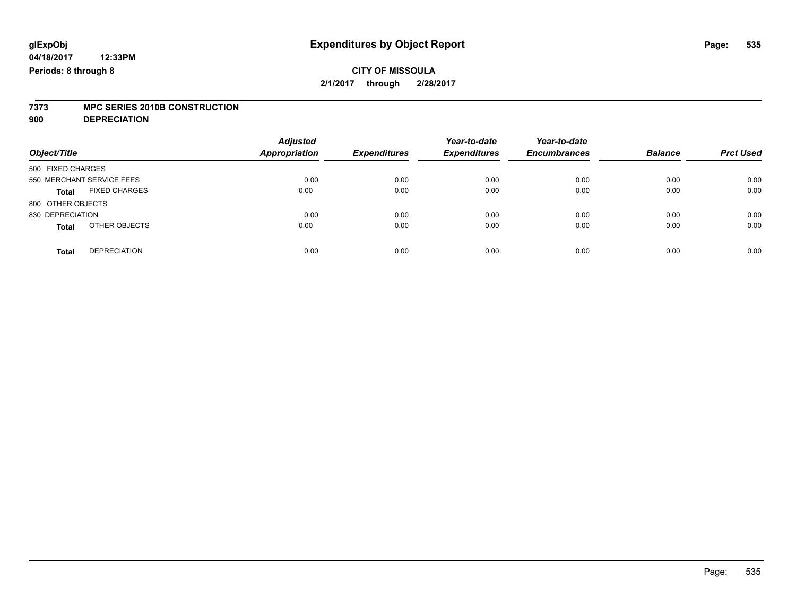### **CITY OF MISSOULA 2/1/2017 through 2/28/2017**

# **7373 MPC SERIES 2010B CONSTRUCTION**

**900 DEPRECIATION**

| Object/Title                         | <b>Adjusted</b><br><b>Appropriation</b> | <b>Expenditures</b> | Year-to-date<br><b>Expenditures</b> | Year-to-date<br><b>Encumbrances</b> | <b>Balance</b> | <b>Prct Used</b> |
|--------------------------------------|-----------------------------------------|---------------------|-------------------------------------|-------------------------------------|----------------|------------------|
|                                      |                                         |                     |                                     |                                     |                |                  |
| 500 FIXED CHARGES                    |                                         |                     |                                     |                                     |                |                  |
| 550 MERCHANT SERVICE FEES            | 0.00                                    | 0.00                | 0.00                                | 0.00                                | 0.00           | 0.00             |
| <b>FIXED CHARGES</b><br><b>Total</b> | 0.00                                    | 0.00                | 0.00                                | 0.00                                | 0.00           | 0.00             |
| 800 OTHER OBJECTS                    |                                         |                     |                                     |                                     |                |                  |
| 830 DEPRECIATION                     | 0.00                                    | 0.00                | 0.00                                | 0.00                                | 0.00           | 0.00             |
| OTHER OBJECTS<br><b>Total</b>        | 0.00                                    | 0.00                | 0.00                                | 0.00                                | 0.00           | 0.00             |
| <b>DEPRECIATION</b><br><b>Total</b>  | 0.00                                    | 0.00                | 0.00                                | 0.00                                | 0.00           | 0.00             |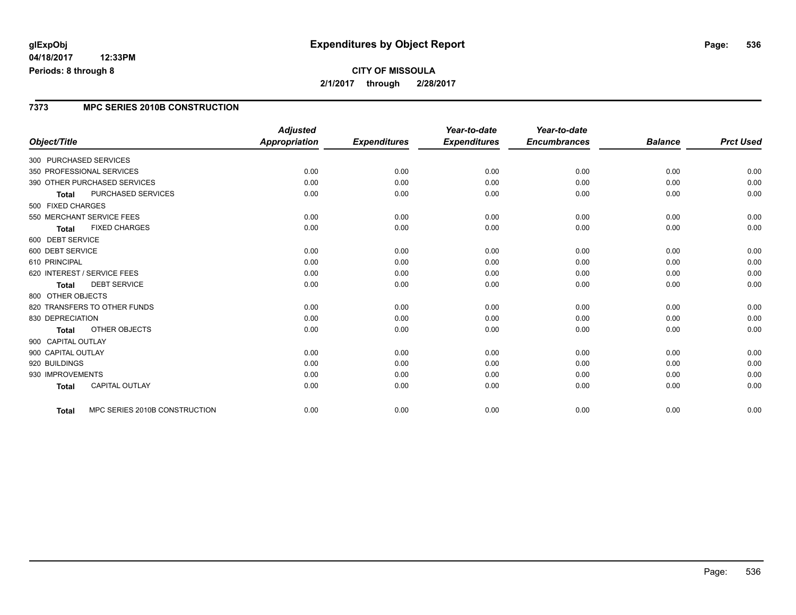# **glExpObj Expenditures by Object Report Page: 536**

#### **04/18/2017 12:33PM Periods: 8 through 8**

# **CITY OF MISSOULA 2/1/2017 through 2/28/2017**

#### **7373 MPC SERIES 2010B CONSTRUCTION**

| Object/Title           |                               | <b>Adjusted</b><br><b>Appropriation</b> | <b>Expenditures</b> | Year-to-date<br><b>Expenditures</b> | Year-to-date<br><b>Encumbrances</b> | <b>Balance</b> | <b>Prct Used</b> |
|------------------------|-------------------------------|-----------------------------------------|---------------------|-------------------------------------|-------------------------------------|----------------|------------------|
|                        |                               |                                         |                     |                                     |                                     |                |                  |
| 300 PURCHASED SERVICES |                               |                                         |                     |                                     |                                     |                |                  |
|                        | 350 PROFESSIONAL SERVICES     | 0.00                                    | 0.00                | 0.00                                | 0.00                                | 0.00           | 0.00             |
|                        | 390 OTHER PURCHASED SERVICES  | 0.00                                    | 0.00                | 0.00                                | 0.00                                | 0.00           | 0.00             |
| <b>Total</b>           | PURCHASED SERVICES            | 0.00                                    | 0.00                | 0.00                                | 0.00                                | 0.00           | 0.00             |
| 500 FIXED CHARGES      |                               |                                         |                     |                                     |                                     |                |                  |
|                        | 550 MERCHANT SERVICE FEES     | 0.00                                    | 0.00                | 0.00                                | 0.00                                | 0.00           | 0.00             |
| <b>Total</b>           | <b>FIXED CHARGES</b>          | 0.00                                    | 0.00                | 0.00                                | 0.00                                | 0.00           | 0.00             |
| 600 DEBT SERVICE       |                               |                                         |                     |                                     |                                     |                |                  |
| 600 DEBT SERVICE       |                               | 0.00                                    | 0.00                | 0.00                                | 0.00                                | 0.00           | 0.00             |
| 610 PRINCIPAL          |                               | 0.00                                    | 0.00                | 0.00                                | 0.00                                | 0.00           | 0.00             |
|                        | 620 INTEREST / SERVICE FEES   | 0.00                                    | 0.00                | 0.00                                | 0.00                                | 0.00           | 0.00             |
| <b>Total</b>           | <b>DEBT SERVICE</b>           | 0.00                                    | 0.00                | 0.00                                | 0.00                                | 0.00           | 0.00             |
| 800 OTHER OBJECTS      |                               |                                         |                     |                                     |                                     |                |                  |
|                        | 820 TRANSFERS TO OTHER FUNDS  | 0.00                                    | 0.00                | 0.00                                | 0.00                                | 0.00           | 0.00             |
| 830 DEPRECIATION       |                               | 0.00                                    | 0.00                | 0.00                                | 0.00                                | 0.00           | 0.00             |
| <b>Total</b>           | OTHER OBJECTS                 | 0.00                                    | 0.00                | 0.00                                | 0.00                                | 0.00           | 0.00             |
| 900 CAPITAL OUTLAY     |                               |                                         |                     |                                     |                                     |                |                  |
| 900 CAPITAL OUTLAY     |                               | 0.00                                    | 0.00                | 0.00                                | 0.00                                | 0.00           | 0.00             |
| 920 BUILDINGS          |                               | 0.00                                    | 0.00                | 0.00                                | 0.00                                | 0.00           | 0.00             |
| 930 IMPROVEMENTS       |                               | 0.00                                    | 0.00                | 0.00                                | 0.00                                | 0.00           | 0.00             |
| <b>Total</b>           | CAPITAL OUTLAY                | 0.00                                    | 0.00                | 0.00                                | 0.00                                | 0.00           | 0.00             |
| <b>Total</b>           | MPC SERIES 2010B CONSTRUCTION | 0.00                                    | 0.00                | 0.00                                | 0.00                                | 0.00           | 0.00             |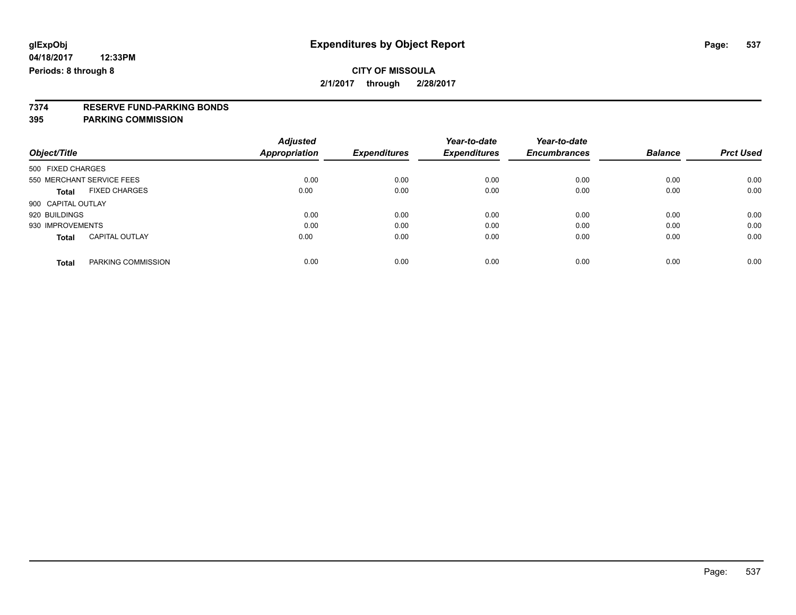### **CITY OF MISSOULA 2/1/2017 through 2/28/2017**

# **7374 RESERVE FUND-PARKING BONDS**

### **395 PARKING COMMISSION**

|                           |                       | <b>Adjusted</b>      |                     | Year-to-date        | Year-to-date        |                |                  |
|---------------------------|-----------------------|----------------------|---------------------|---------------------|---------------------|----------------|------------------|
| Object/Title              |                       | <b>Appropriation</b> | <b>Expenditures</b> | <b>Expenditures</b> | <b>Encumbrances</b> | <b>Balance</b> | <b>Prct Used</b> |
| 500 FIXED CHARGES         |                       |                      |                     |                     |                     |                |                  |
| 550 MERCHANT SERVICE FEES |                       | 0.00                 | 0.00                | 0.00                | 0.00                | 0.00           | 0.00             |
| Total                     | <b>FIXED CHARGES</b>  | 0.00                 | 0.00                | 0.00                | 0.00                | 0.00           | 0.00             |
| 900 CAPITAL OUTLAY        |                       |                      |                     |                     |                     |                |                  |
| 920 BUILDINGS             |                       | 0.00                 | 0.00                | 0.00                | 0.00                | 0.00           | 0.00             |
| 930 IMPROVEMENTS          |                       | 0.00                 | 0.00                | 0.00                | 0.00                | 0.00           | 0.00             |
| <b>Total</b>              | <b>CAPITAL OUTLAY</b> | 0.00                 | 0.00                | 0.00                | 0.00                | 0.00           | 0.00             |
| <b>Total</b>              | PARKING COMMISSION    | 0.00                 | 0.00                | 0.00                | 0.00                | 0.00           | 0.00             |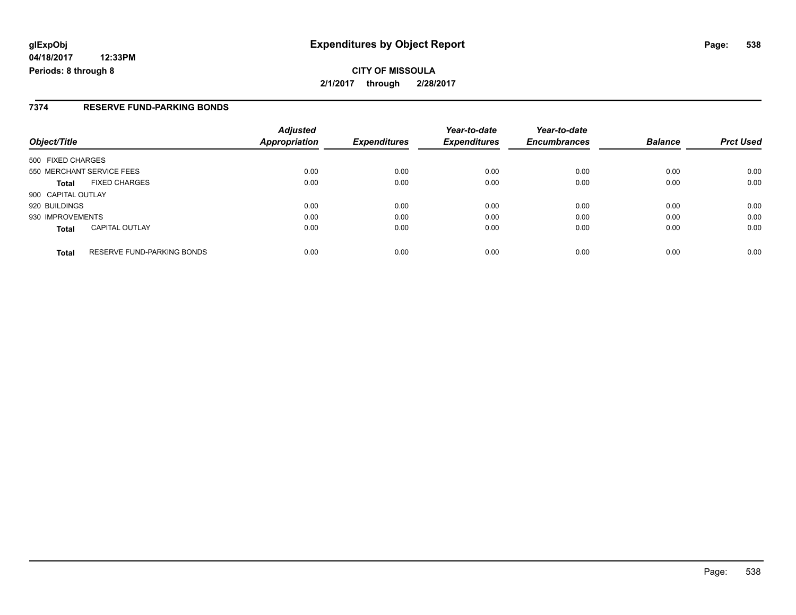# **glExpObj Expenditures by Object Report Page: 538**

**04/18/2017 12:33PM Periods: 8 through 8**

### **7374 RESERVE FUND-PARKING BONDS**

| Object/Title                                      | <b>Adjusted</b><br>Appropriation | <b>Expenditures</b> | Year-to-date<br><b>Expenditures</b> | Year-to-date<br><b>Encumbrances</b> | <b>Balance</b> | <b>Prct Used</b> |
|---------------------------------------------------|----------------------------------|---------------------|-------------------------------------|-------------------------------------|----------------|------------------|
| 500 FIXED CHARGES                                 |                                  |                     |                                     |                                     |                |                  |
| 550 MERCHANT SERVICE FEES                         | 0.00                             | 0.00                | 0.00                                | 0.00                                | 0.00           | 0.00             |
| <b>FIXED CHARGES</b><br>Total                     | 0.00                             | 0.00                | 0.00                                | 0.00                                | 0.00           | 0.00             |
| 900 CAPITAL OUTLAY                                |                                  |                     |                                     |                                     |                |                  |
| 920 BUILDINGS                                     | 0.00                             | 0.00                | 0.00                                | 0.00                                | 0.00           | 0.00             |
| 930 IMPROVEMENTS                                  | 0.00                             | 0.00                | 0.00                                | 0.00                                | 0.00           | 0.00             |
| <b>CAPITAL OUTLAY</b><br><b>Total</b>             | 0.00                             | 0.00                | 0.00                                | 0.00                                | 0.00           | 0.00             |
| <b>RESERVE FUND-PARKING BONDS</b><br><b>Total</b> | 0.00                             | 0.00                | 0.00                                | 0.00                                | 0.00           | 0.00             |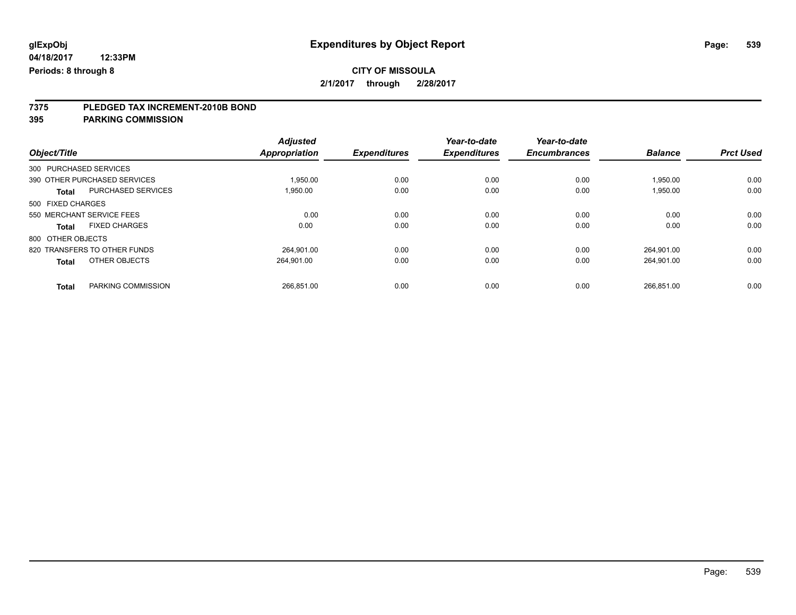# **CITY OF MISSOULA**

**2/1/2017 through 2/28/2017**

# **7375 PLEDGED TAX INCREMENT-2010B BOND**

**395 PARKING COMMISSION**

| Object/Title           |                              | <b>Adjusted</b><br><b>Appropriation</b> | <b>Expenditures</b> | Year-to-date<br><b>Expenditures</b> | Year-to-date<br><b>Encumbrances</b> | <b>Balance</b> | <b>Prct Used</b> |
|------------------------|------------------------------|-----------------------------------------|---------------------|-------------------------------------|-------------------------------------|----------------|------------------|
|                        |                              |                                         |                     |                                     |                                     |                |                  |
| 300 PURCHASED SERVICES |                              |                                         |                     |                                     |                                     |                |                  |
|                        | 390 OTHER PURCHASED SERVICES | 1.950.00                                | 0.00                | 0.00                                | 0.00                                | 1,950.00       | 0.00             |
| <b>Total</b>           | <b>PURCHASED SERVICES</b>    | 1.950.00                                | 0.00                | 0.00                                | 0.00                                | 1,950.00       | 0.00             |
| 500 FIXED CHARGES      |                              |                                         |                     |                                     |                                     |                |                  |
|                        | 550 MERCHANT SERVICE FEES    | 0.00                                    | 0.00                | 0.00                                | 0.00                                | 0.00           | 0.00             |
| Total                  | <b>FIXED CHARGES</b>         | 0.00                                    | 0.00                | 0.00                                | 0.00                                | 0.00           | 0.00             |
| 800 OTHER OBJECTS      |                              |                                         |                     |                                     |                                     |                |                  |
|                        | 820 TRANSFERS TO OTHER FUNDS | 264.901.00                              | 0.00                | 0.00                                | 0.00                                | 264.901.00     | 0.00             |
| <b>Total</b>           | OTHER OBJECTS                | 264.901.00                              | 0.00                | 0.00                                | 0.00                                | 264.901.00     | 0.00             |
| <b>Total</b>           | PARKING COMMISSION           | 266,851.00                              | 0.00                | 0.00                                | 0.00                                | 266,851.00     | 0.00             |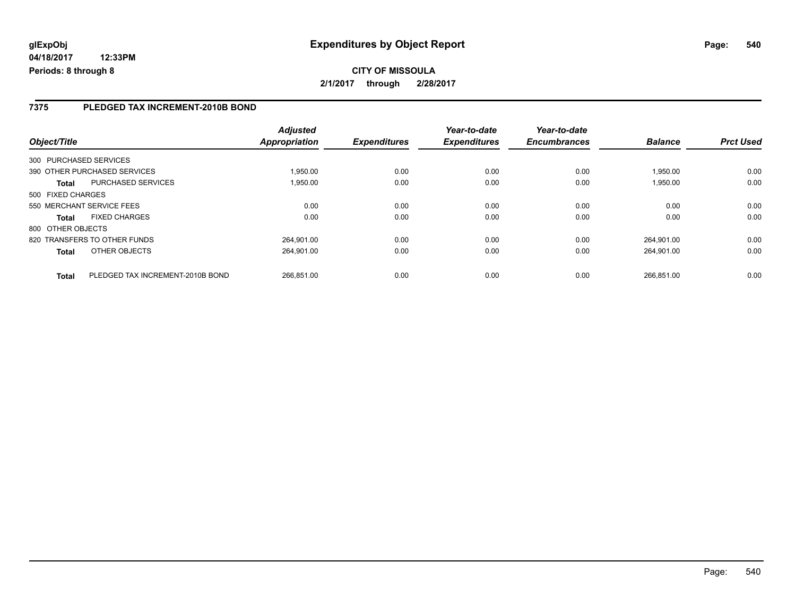### **7375 PLEDGED TAX INCREMENT-2010B BOND**

| Object/Title      |                                  | <b>Adjusted</b><br>Appropriation | <b>Expenditures</b> | Year-to-date<br><b>Expenditures</b> | Year-to-date<br><b>Encumbrances</b> | <b>Balance</b> | <b>Prct Used</b> |
|-------------------|----------------------------------|----------------------------------|---------------------|-------------------------------------|-------------------------------------|----------------|------------------|
|                   | 300 PURCHASED SERVICES           |                                  |                     |                                     |                                     |                |                  |
|                   | 390 OTHER PURCHASED SERVICES     | 1.950.00                         | 0.00                | 0.00                                | 0.00                                | 1.950.00       | 0.00             |
| <b>Total</b>      | PURCHASED SERVICES               | 1,950.00                         | 0.00                | 0.00                                | 0.00                                | 1,950.00       | 0.00             |
| 500 FIXED CHARGES |                                  |                                  |                     |                                     |                                     |                |                  |
|                   | 550 MERCHANT SERVICE FEES        | 0.00                             | 0.00                | 0.00                                | 0.00                                | 0.00           | 0.00             |
| <b>Total</b>      | <b>FIXED CHARGES</b>             | 0.00                             | 0.00                | 0.00                                | 0.00                                | 0.00           | 0.00             |
| 800 OTHER OBJECTS |                                  |                                  |                     |                                     |                                     |                |                  |
|                   | 820 TRANSFERS TO OTHER FUNDS     | 264.901.00                       | 0.00                | 0.00                                | 0.00                                | 264.901.00     | 0.00             |
| <b>Total</b>      | OTHER OBJECTS                    | 264.901.00                       | 0.00                | 0.00                                | 0.00                                | 264.901.00     | 0.00             |
| <b>Total</b>      | PLEDGED TAX INCREMENT-2010B BOND | 266.851.00                       | 0.00                | 0.00                                | 0.00                                | 266.851.00     | 0.00             |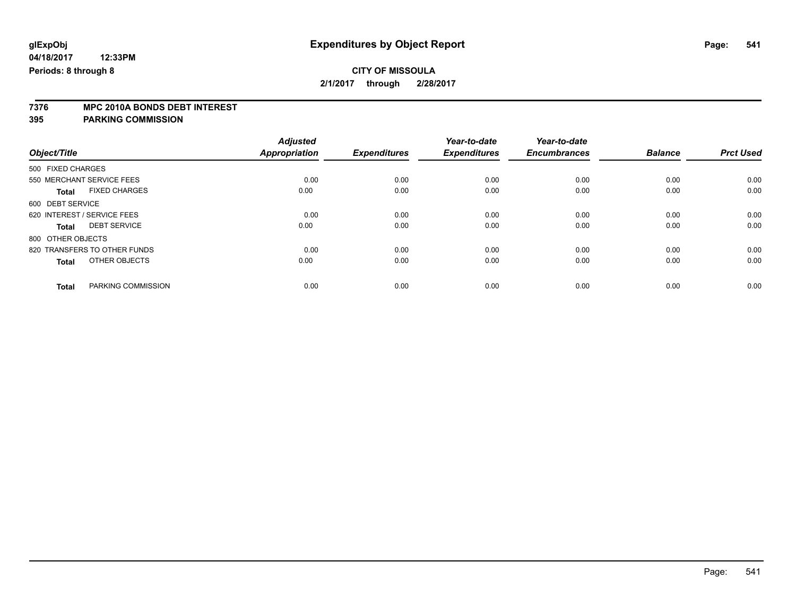# **7376 MPC 2010A BONDS DEBT INTEREST**

#### **395 PARKING COMMISSION**

|              |                              | <b>Adjusted</b>                                                                                                                                                              |                              | Year-to-date                | Year-to-date<br><b>Encumbrances</b> | <b>Balance</b> | <b>Prct Used</b> |
|--------------|------------------------------|------------------------------------------------------------------------------------------------------------------------------------------------------------------------------|------------------------------|-----------------------------|-------------------------------------|----------------|------------------|
|              |                              |                                                                                                                                                                              |                              |                             |                                     |                |                  |
|              |                              | 0.00                                                                                                                                                                         | 0.00                         | 0.00                        | 0.00                                | 0.00           | 0.00             |
| <b>Total</b> | <b>FIXED CHARGES</b>         | 0.00                                                                                                                                                                         | 0.00                         | 0.00                        | 0.00                                | 0.00           | 0.00             |
|              |                              |                                                                                                                                                                              |                              |                             |                                     |                |                  |
|              |                              | 0.00                                                                                                                                                                         | 0.00                         | 0.00                        | 0.00                                | 0.00           | 0.00             |
| Total        | <b>DEBT SERVICE</b>          | 0.00                                                                                                                                                                         | 0.00                         | 0.00                        | 0.00                                | 0.00           | 0.00             |
|              |                              |                                                                                                                                                                              |                              |                             |                                     |                |                  |
|              |                              | 0.00                                                                                                                                                                         | 0.00                         | 0.00                        | 0.00                                | 0.00           | 0.00             |
| <b>Total</b> | OTHER OBJECTS                | 0.00                                                                                                                                                                         | 0.00                         | 0.00                        | 0.00                                | 0.00           | 0.00             |
|              |                              |                                                                                                                                                                              |                              |                             |                                     |                | 0.00             |
|              | Object/Title<br><b>Total</b> | 500 FIXED CHARGES<br>550 MERCHANT SERVICE FEES<br>600 DEBT SERVICE<br>620 INTEREST / SERVICE FEES<br>800 OTHER OBJECTS<br>820 TRANSFERS TO OTHER FUNDS<br>PARKING COMMISSION | <b>Appropriation</b><br>0.00 | <b>Expenditures</b><br>0.00 | <b>Expenditures</b><br>0.00         | 0.00           | 0.00             |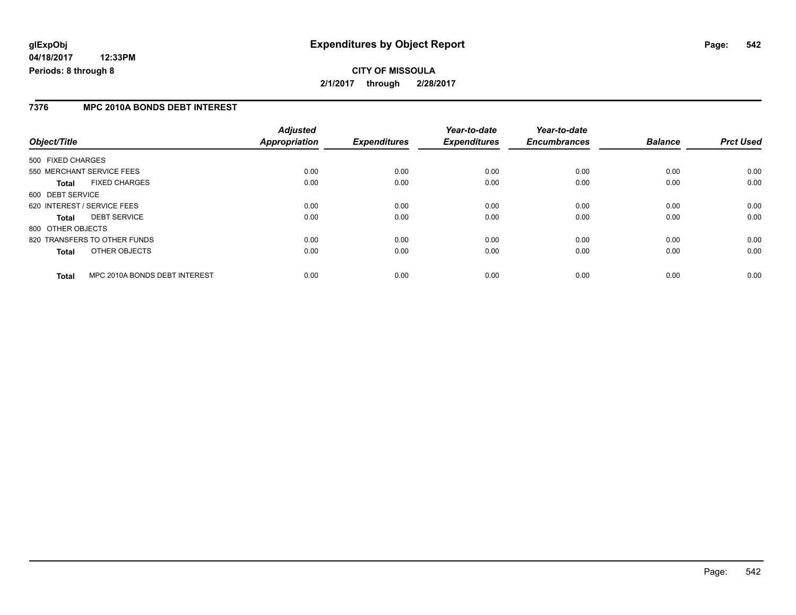## **CITY OF MISSOULA 2/1/2017 through 2/28/2017**

#### **7376 MPC 2010A BONDS DEBT INTEREST**

| Object/Title      |                               | <b>Adjusted</b><br><b>Appropriation</b> | <b>Expenditures</b> | Year-to-date<br><b>Expenditures</b> | Year-to-date<br><b>Encumbrances</b> | <b>Balance</b> | <b>Prct Used</b> |
|-------------------|-------------------------------|-----------------------------------------|---------------------|-------------------------------------|-------------------------------------|----------------|------------------|
| 500 FIXED CHARGES |                               |                                         |                     |                                     |                                     |                |                  |
|                   |                               |                                         |                     |                                     |                                     |                |                  |
|                   | 550 MERCHANT SERVICE FEES     | 0.00                                    | 0.00                | 0.00                                | 0.00                                | 0.00           | 0.00             |
| <b>Total</b>      | <b>FIXED CHARGES</b>          | 0.00                                    | 0.00                | 0.00                                | 0.00                                | 0.00           | 0.00             |
| 600 DEBT SERVICE  |                               |                                         |                     |                                     |                                     |                |                  |
|                   | 620 INTEREST / SERVICE FEES   | 0.00                                    | 0.00                | 0.00                                | 0.00                                | 0.00           | 0.00             |
| Total             | <b>DEBT SERVICE</b>           | 0.00                                    | 0.00                | 0.00                                | 0.00                                | 0.00           | 0.00             |
| 800 OTHER OBJECTS |                               |                                         |                     |                                     |                                     |                |                  |
|                   | 820 TRANSFERS TO OTHER FUNDS  | 0.00                                    | 0.00                | 0.00                                | 0.00                                | 0.00           | 0.00             |
| <b>Total</b>      | OTHER OBJECTS                 | 0.00                                    | 0.00                | 0.00                                | 0.00                                | 0.00           | 0.00             |
| <b>Total</b>      | MPC 2010A BONDS DEBT INTEREST | 0.00                                    | 0.00                | 0.00                                | 0.00                                | 0.00           | 0.00             |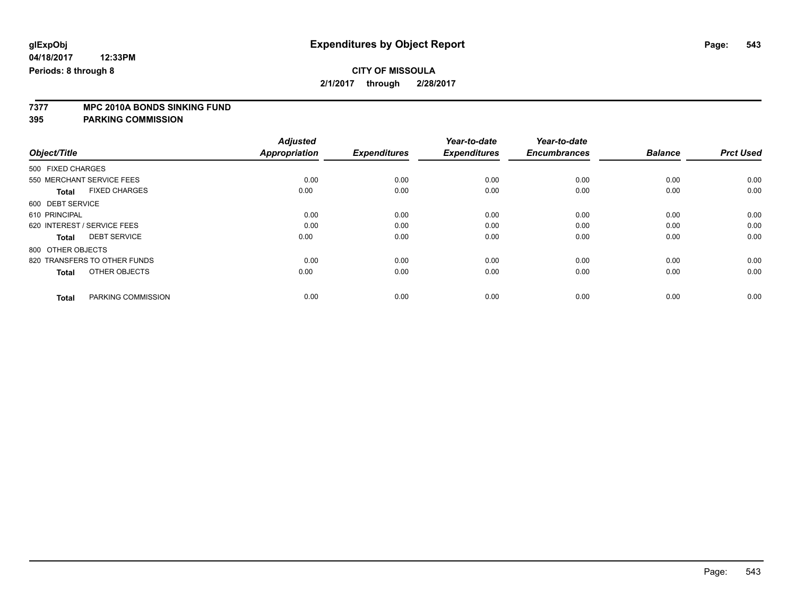# **7377 MPC 2010A BONDS SINKING FUND**

**395 PARKING COMMISSION**

| Object/Title                         | <b>Adjusted</b><br><b>Appropriation</b> | <b>Expenditures</b> | Year-to-date<br><b>Expenditures</b> | Year-to-date<br><b>Encumbrances</b> | <b>Balance</b> | <b>Prct Used</b> |
|--------------------------------------|-----------------------------------------|---------------------|-------------------------------------|-------------------------------------|----------------|------------------|
|                                      |                                         |                     |                                     |                                     |                |                  |
| 500 FIXED CHARGES                    |                                         |                     |                                     |                                     |                |                  |
| 550 MERCHANT SERVICE FEES            | 0.00                                    | 0.00                | 0.00                                | 0.00                                | 0.00           | 0.00             |
| <b>FIXED CHARGES</b><br><b>Total</b> | 0.00                                    | 0.00                | 0.00                                | 0.00                                | 0.00           | 0.00             |
| 600 DEBT SERVICE                     |                                         |                     |                                     |                                     |                |                  |
| 610 PRINCIPAL                        | 0.00                                    | 0.00                | 0.00                                | 0.00                                | 0.00           | 0.00             |
| 620 INTEREST / SERVICE FEES          | 0.00                                    | 0.00                | 0.00                                | 0.00                                | 0.00           | 0.00             |
| <b>DEBT SERVICE</b><br><b>Total</b>  | 0.00                                    | 0.00                | 0.00                                | 0.00                                | 0.00           | 0.00             |
| 800 OTHER OBJECTS                    |                                         |                     |                                     |                                     |                |                  |
| 820 TRANSFERS TO OTHER FUNDS         | 0.00                                    | 0.00                | 0.00                                | 0.00                                | 0.00           | 0.00             |
| OTHER OBJECTS<br><b>Total</b>        | 0.00                                    | 0.00                | 0.00                                | 0.00                                | 0.00           | 0.00             |
|                                      |                                         |                     |                                     |                                     |                |                  |
| PARKING COMMISSION<br><b>Total</b>   | 0.00                                    | 0.00                | 0.00                                | 0.00                                | 0.00           | 0.00             |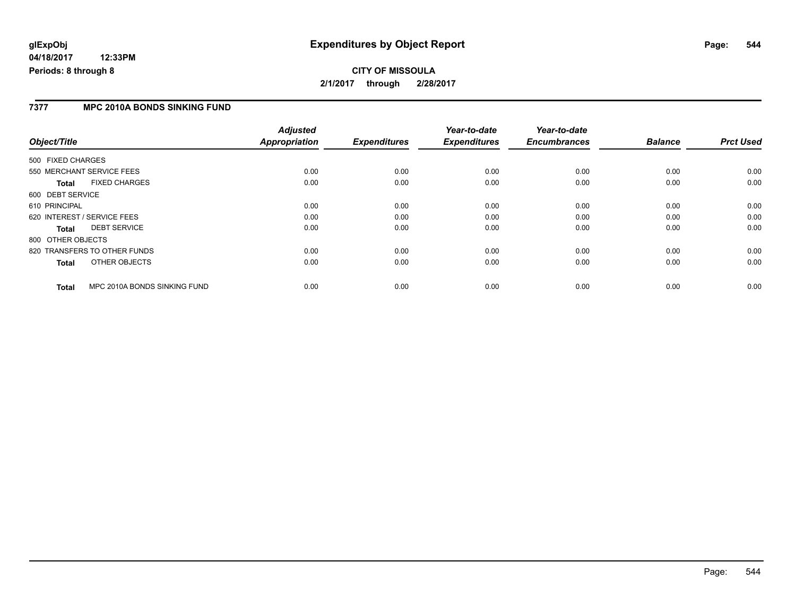## **glExpObj Expenditures by Object Report Page: 544**

**04/18/2017 12:33PM Periods: 8 through 8**

#### **7377 MPC 2010A BONDS SINKING FUND**

| Object/Title                                 | <b>Adjusted</b><br><b>Appropriation</b> | <b>Expenditures</b> | Year-to-date<br><b>Expenditures</b> | Year-to-date<br><b>Encumbrances</b> | <b>Balance</b> | <b>Prct Used</b> |
|----------------------------------------------|-----------------------------------------|---------------------|-------------------------------------|-------------------------------------|----------------|------------------|
| 500 FIXED CHARGES                            |                                         |                     |                                     |                                     |                |                  |
| 550 MERCHANT SERVICE FEES                    | 0.00                                    | 0.00                | 0.00                                | 0.00                                | 0.00           | 0.00             |
| <b>FIXED CHARGES</b><br>Total                | 0.00                                    | 0.00                | 0.00                                | 0.00                                | 0.00           | 0.00             |
| 600 DEBT SERVICE                             |                                         |                     |                                     |                                     |                |                  |
| 610 PRINCIPAL                                | 0.00                                    | 0.00                | 0.00                                | 0.00                                | 0.00           | 0.00             |
| 620 INTEREST / SERVICE FEES                  | 0.00                                    | 0.00                | 0.00                                | 0.00                                | 0.00           | 0.00             |
| <b>DEBT SERVICE</b><br>Total                 | 0.00                                    | 0.00                | 0.00                                | 0.00                                | 0.00           | 0.00             |
| 800 OTHER OBJECTS                            |                                         |                     |                                     |                                     |                |                  |
| 820 TRANSFERS TO OTHER FUNDS                 | 0.00                                    | 0.00                | 0.00                                | 0.00                                | 0.00           | 0.00             |
| OTHER OBJECTS<br>Total                       | 0.00                                    | 0.00                | 0.00                                | 0.00                                | 0.00           | 0.00             |
| MPC 2010A BONDS SINKING FUND<br><b>Total</b> | 0.00                                    | 0.00                | 0.00                                | 0.00                                | 0.00           | 0.00             |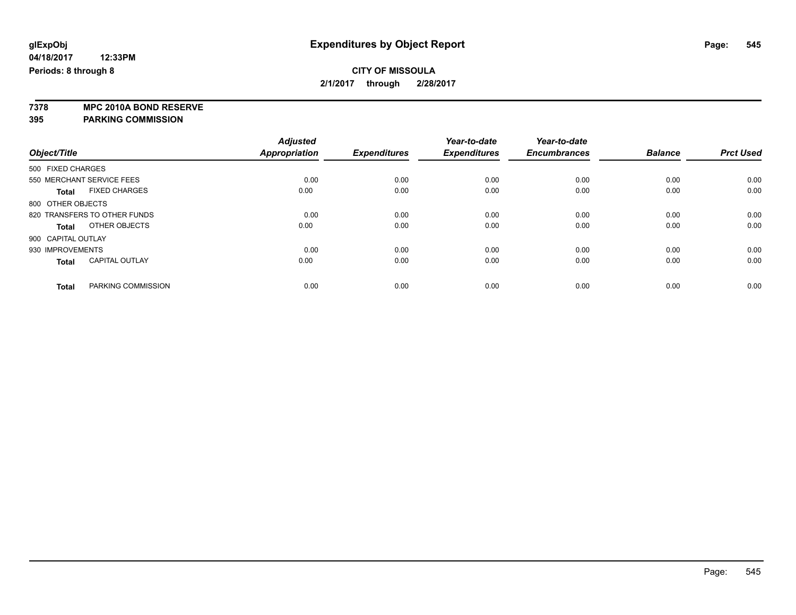**7378 MPC 2010A BOND RESERVE 395 PARKING COMMISSION**

|                                       | <b>Adjusted</b><br>Appropriation | <b>Expenditures</b> | Year-to-date<br><b>Expenditures</b> | Year-to-date<br><b>Encumbrances</b> | <b>Balance</b> | <b>Prct Used</b> |
|---------------------------------------|----------------------------------|---------------------|-------------------------------------|-------------------------------------|----------------|------------------|
| Object/Title                          |                                  |                     |                                     |                                     |                |                  |
| 500 FIXED CHARGES                     |                                  |                     |                                     |                                     |                |                  |
| 550 MERCHANT SERVICE FEES             | 0.00                             | 0.00                | 0.00                                | 0.00                                | 0.00           | 0.00             |
| <b>FIXED CHARGES</b><br><b>Total</b>  | 0.00                             | 0.00                | 0.00                                | 0.00                                | 0.00           | 0.00             |
| 800 OTHER OBJECTS                     |                                  |                     |                                     |                                     |                |                  |
| 820 TRANSFERS TO OTHER FUNDS          | 0.00                             | 0.00                | 0.00                                | 0.00                                | 0.00           | 0.00             |
| OTHER OBJECTS<br>Total                | 0.00                             | 0.00                | 0.00                                | 0.00                                | 0.00           | 0.00             |
| 900 CAPITAL OUTLAY                    |                                  |                     |                                     |                                     |                |                  |
| 930 IMPROVEMENTS                      | 0.00                             | 0.00                | 0.00                                | 0.00                                | 0.00           | 0.00             |
| <b>CAPITAL OUTLAY</b><br><b>Total</b> | 0.00                             | 0.00                | 0.00                                | 0.00                                | 0.00           | 0.00             |
| PARKING COMMISSION<br><b>Total</b>    | 0.00                             | 0.00                | 0.00                                | 0.00                                | 0.00           | 0.00             |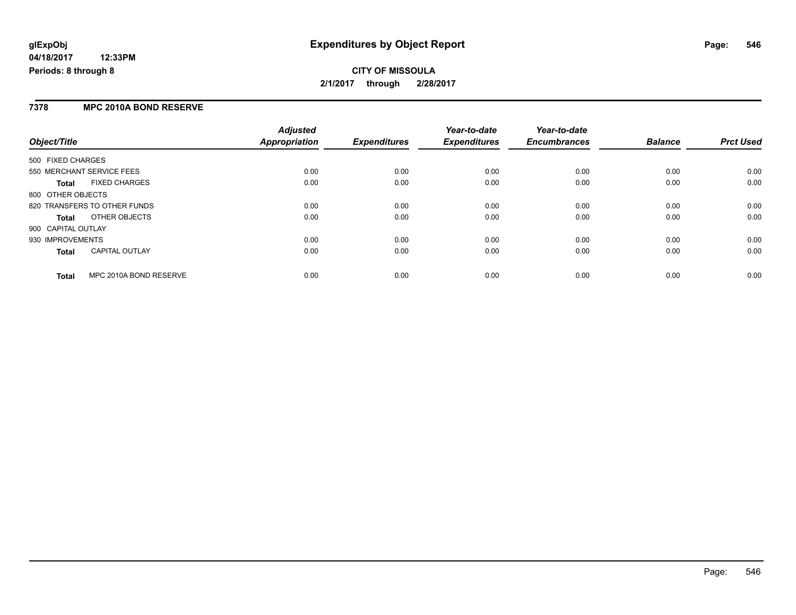## **CITY OF MISSOULA 2/1/2017 through 2/28/2017**

#### **7378 MPC 2010A BOND RESERVE**

|                                        | <b>Adjusted</b>      | <b>Expenditures</b> | Year-to-date<br><b>Expenditures</b> | Year-to-date<br><b>Encumbrances</b> | <b>Balance</b> |                  |
|----------------------------------------|----------------------|---------------------|-------------------------------------|-------------------------------------|----------------|------------------|
| Object/Title                           | <b>Appropriation</b> |                     |                                     |                                     |                | <b>Prct Used</b> |
| 500 FIXED CHARGES                      |                      |                     |                                     |                                     |                |                  |
| 550 MERCHANT SERVICE FEES              | 0.00                 | 0.00                | 0.00                                | 0.00                                | 0.00           | 0.00             |
| <b>FIXED CHARGES</b><br><b>Total</b>   | 0.00                 | 0.00                | 0.00                                | 0.00                                | 0.00           | 0.00             |
| 800 OTHER OBJECTS                      |                      |                     |                                     |                                     |                |                  |
| 820 TRANSFERS TO OTHER FUNDS           | 0.00                 | 0.00                | 0.00                                | 0.00                                | 0.00           | 0.00             |
| OTHER OBJECTS<br>Total                 | 0.00                 | 0.00                | 0.00                                | 0.00                                | 0.00           | 0.00             |
| 900 CAPITAL OUTLAY                     |                      |                     |                                     |                                     |                |                  |
| 930 IMPROVEMENTS                       | 0.00                 | 0.00                | 0.00                                | 0.00                                | 0.00           | 0.00             |
| CAPITAL OUTLAY<br><b>Total</b>         | 0.00                 | 0.00                | 0.00                                | 0.00                                | 0.00           | 0.00             |
| MPC 2010A BOND RESERVE<br><b>Total</b> | 0.00                 | 0.00                | 0.00                                | 0.00                                | 0.00           | 0.00             |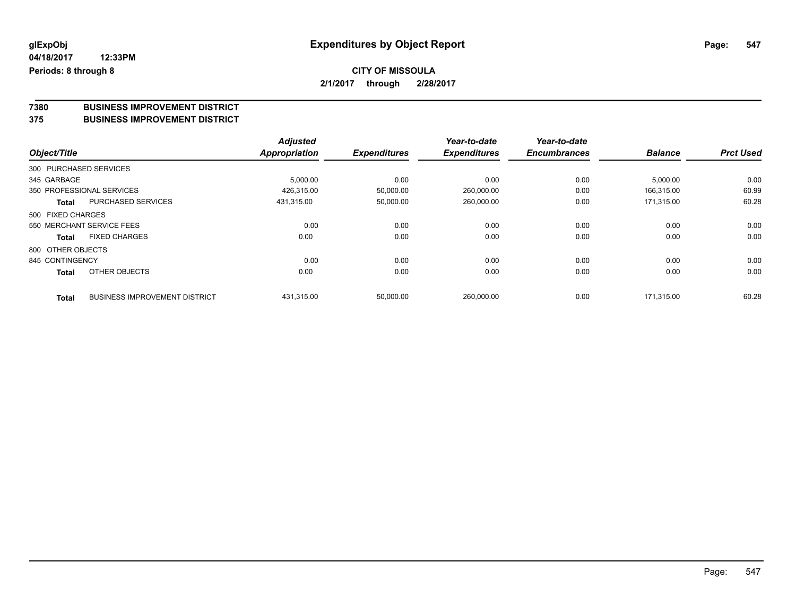### **CITY OF MISSOULA 2/1/2017 through 2/28/2017**

# **7380 BUSINESS IMPROVEMENT DISTRICT**

#### **375 BUSINESS IMPROVEMENT DISTRICT**

|                        |                                      | <b>Adjusted</b>      |                     | Year-to-date        | Year-to-date        |                |                  |
|------------------------|--------------------------------------|----------------------|---------------------|---------------------|---------------------|----------------|------------------|
| Object/Title           |                                      | <b>Appropriation</b> | <b>Expenditures</b> | <b>Expenditures</b> | <b>Encumbrances</b> | <b>Balance</b> | <b>Prct Used</b> |
| 300 PURCHASED SERVICES |                                      |                      |                     |                     |                     |                |                  |
| 345 GARBAGE            |                                      | 5,000.00             | 0.00                | 0.00                | 0.00                | 5,000.00       | 0.00             |
|                        | 350 PROFESSIONAL SERVICES            | 426,315.00           | 50,000.00           | 260,000.00          | 0.00                | 166.315.00     | 60.99            |
| <b>Total</b>           | <b>PURCHASED SERVICES</b>            | 431.315.00           | 50,000.00           | 260,000.00          | 0.00                | 171.315.00     | 60.28            |
| 500 FIXED CHARGES      |                                      |                      |                     |                     |                     |                |                  |
|                        | 550 MERCHANT SERVICE FEES            | 0.00                 | 0.00                | 0.00                | 0.00                | 0.00           | 0.00             |
| <b>Total</b>           | <b>FIXED CHARGES</b>                 | 0.00                 | 0.00                | 0.00                | 0.00                | 0.00           | 0.00             |
| 800 OTHER OBJECTS      |                                      |                      |                     |                     |                     |                |                  |
| 845 CONTINGENCY        |                                      | 0.00                 | 0.00                | 0.00                | 0.00                | 0.00           | 0.00             |
| <b>Total</b>           | OTHER OBJECTS                        | 0.00                 | 0.00                | 0.00                | 0.00                | 0.00           | 0.00             |
| <b>Total</b>           | <b>BUSINESS IMPROVEMENT DISTRICT</b> | 431,315.00           | 50,000.00           | 260,000.00          | 0.00                | 171.315.00     | 60.28            |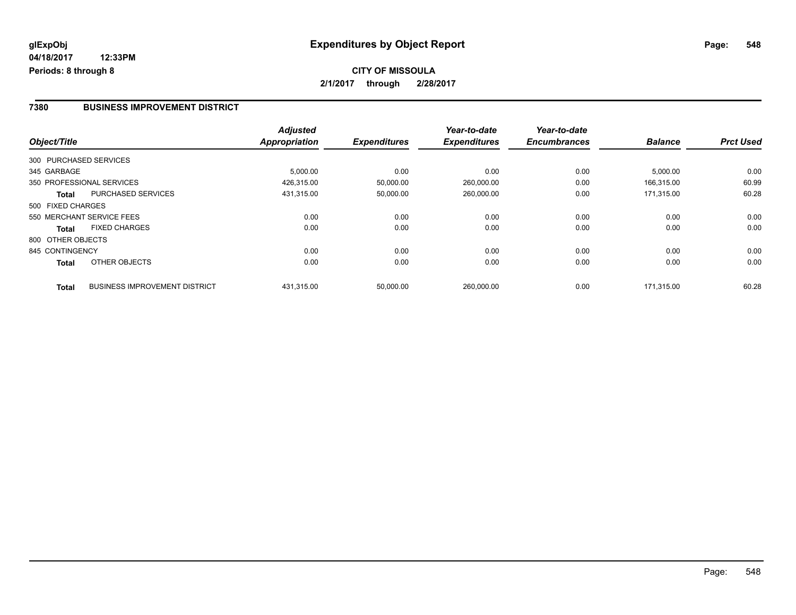#### **7380 BUSINESS IMPROVEMENT DISTRICT**

|                        |                                      | <b>Adjusted</b> |                     | Year-to-date        | Year-to-date        |                |                  |
|------------------------|--------------------------------------|-----------------|---------------------|---------------------|---------------------|----------------|------------------|
| Object/Title           |                                      | Appropriation   | <b>Expenditures</b> | <b>Expenditures</b> | <b>Encumbrances</b> | <b>Balance</b> | <b>Prct Used</b> |
| 300 PURCHASED SERVICES |                                      |                 |                     |                     |                     |                |                  |
| 345 GARBAGE            |                                      | 5,000.00        | 0.00                | 0.00                | 0.00                | 5,000.00       | 0.00             |
|                        | 350 PROFESSIONAL SERVICES            | 426,315.00      | 50,000.00           | 260,000.00          | 0.00                | 166,315.00     | 60.99            |
| <b>Total</b>           | <b>PURCHASED SERVICES</b>            | 431,315.00      | 50,000.00           | 260,000.00          | 0.00                | 171.315.00     | 60.28            |
| 500 FIXED CHARGES      |                                      |                 |                     |                     |                     |                |                  |
|                        | 550 MERCHANT SERVICE FEES            | 0.00            | 0.00                | 0.00                | 0.00                | 0.00           | 0.00             |
| <b>Total</b>           | <b>FIXED CHARGES</b>                 | 0.00            | 0.00                | 0.00                | 0.00                | 0.00           | 0.00             |
| 800 OTHER OBJECTS      |                                      |                 |                     |                     |                     |                |                  |
| 845 CONTINGENCY        |                                      | 0.00            | 0.00                | 0.00                | 0.00                | 0.00           | 0.00             |
| Total                  | OTHER OBJECTS                        | 0.00            | 0.00                | 0.00                | 0.00                | 0.00           | 0.00             |
| <b>Total</b>           | <b>BUSINESS IMPROVEMENT DISTRICT</b> | 431,315.00      | 50,000.00           | 260.000.00          | 0.00                | 171.315.00     | 60.28            |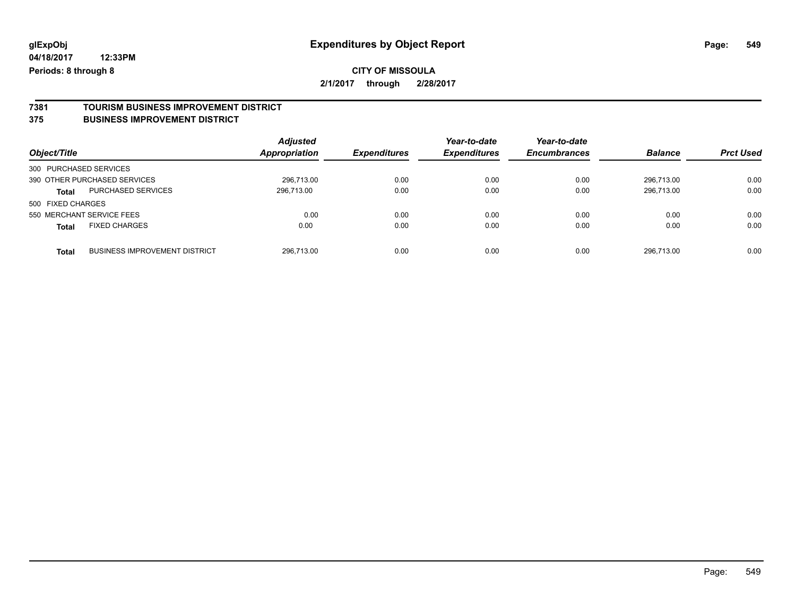### **CITY OF MISSOULA 2/1/2017 through 2/28/2017**

## **7381 TOURISM BUSINESS IMPROVEMENT DISTRICT**

#### **375 BUSINESS IMPROVEMENT DISTRICT**

| Object/Title                                         | <b>Adjusted</b><br><b>Appropriation</b> | <b>Expenditures</b> | Year-to-date<br><b>Expenditures</b> | Year-to-date<br><b>Encumbrances</b> | <b>Balance</b> | <b>Prct Used</b> |
|------------------------------------------------------|-----------------------------------------|---------------------|-------------------------------------|-------------------------------------|----------------|------------------|
| 300 PURCHASED SERVICES                               |                                         |                     |                                     |                                     |                |                  |
| 390 OTHER PURCHASED SERVICES                         | 296.713.00                              | 0.00                | 0.00                                | 0.00                                | 296.713.00     | 0.00             |
| PURCHASED SERVICES<br>Total                          | 296,713.00                              | 0.00                | 0.00                                | 0.00                                | 296,713.00     | 0.00             |
| 500 FIXED CHARGES                                    |                                         |                     |                                     |                                     |                |                  |
| 550 MERCHANT SERVICE FEES                            | 0.00                                    | 0.00                | 0.00                                | 0.00                                | 0.00           | 0.00             |
| <b>FIXED CHARGES</b><br><b>Total</b>                 | 0.00                                    | 0.00                | 0.00                                | 0.00                                | 0.00           | 0.00             |
| <b>BUSINESS IMPROVEMENT DISTRICT</b><br><b>Total</b> | 296.713.00                              | 0.00                | 0.00                                | 0.00                                | 296.713.00     | 0.00             |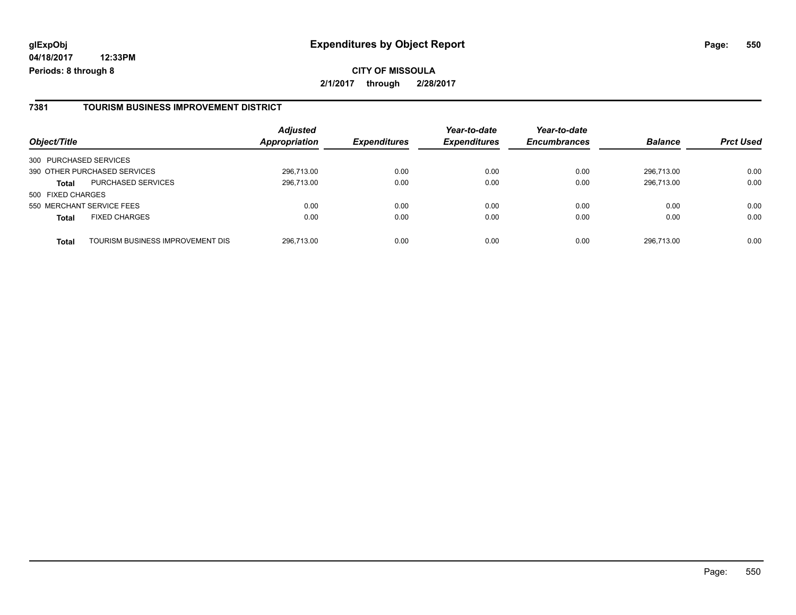**CITY OF MISSOULA 2/1/2017 through 2/28/2017**

#### **7381 TOURISM BUSINESS IMPROVEMENT DISTRICT**

| Object/Title              |                                  | <b>Adjusted</b><br>Appropriation | <b>Expenditures</b> | Year-to-date<br><b>Expenditures</b> | Year-to-date<br><b>Encumbrances</b> | <b>Balance</b> | <b>Prct Used</b> |
|---------------------------|----------------------------------|----------------------------------|---------------------|-------------------------------------|-------------------------------------|----------------|------------------|
| 300 PURCHASED SERVICES    |                                  |                                  |                     |                                     |                                     |                |                  |
|                           | 390 OTHER PURCHASED SERVICES     | 296,713.00                       | 0.00                | 0.00                                | 0.00                                | 296.713.00     | 0.00             |
| <b>Total</b>              | <b>PURCHASED SERVICES</b>        | 296,713.00                       | 0.00                | 0.00                                | 0.00                                | 296.713.00     | 0.00             |
| 500 FIXED CHARGES         |                                  |                                  |                     |                                     |                                     |                |                  |
| 550 MERCHANT SERVICE FEES |                                  | 0.00                             | 0.00                | 0.00                                | 0.00                                | 0.00           | 0.00             |
| <b>Total</b>              | <b>FIXED CHARGES</b>             | 0.00                             | 0.00                | 0.00                                | 0.00                                | 0.00           | 0.00             |
| <b>Total</b>              | TOURISM BUSINESS IMPROVEMENT DIS | 296,713.00                       | 0.00                | 0.00                                | 0.00                                | 296.713.00     | 0.00             |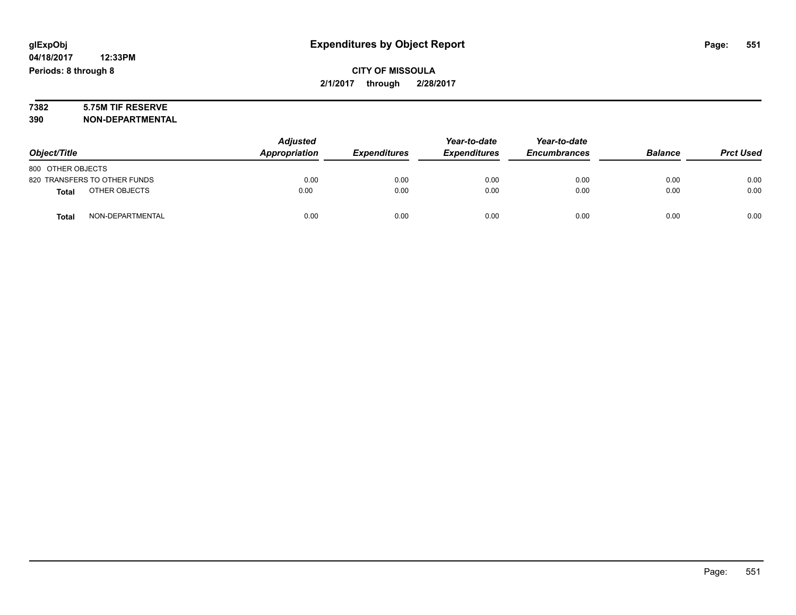# **7382 5.75M TIF RESERVE**

**390 NON-DEPARTMENTAL**

|                               | <b>Adjusted</b> |                     | Year-to-date        | Year-to-date        |                |                  |
|-------------------------------|-----------------|---------------------|---------------------|---------------------|----------------|------------------|
| Object/Title                  | Appropriation   | <b>Expenditures</b> | <b>Expenditures</b> | <b>Encumbrances</b> | <b>Balance</b> | <b>Prct Used</b> |
| 800 OTHER OBJECTS             |                 |                     |                     |                     |                |                  |
| 820 TRANSFERS TO OTHER FUNDS  | 0.00            | 0.00                | 0.00                | 0.00                | 0.00           | 0.00             |
| OTHER OBJECTS<br><b>Total</b> | 0.00            | 0.00                | 0.00                | 0.00                | 0.00           | 0.00             |
| NON-DEPARTMENTAL<br>Total     | 0.00            | 0.00                | 0.00                | 0.00                | 0.00           | 0.00             |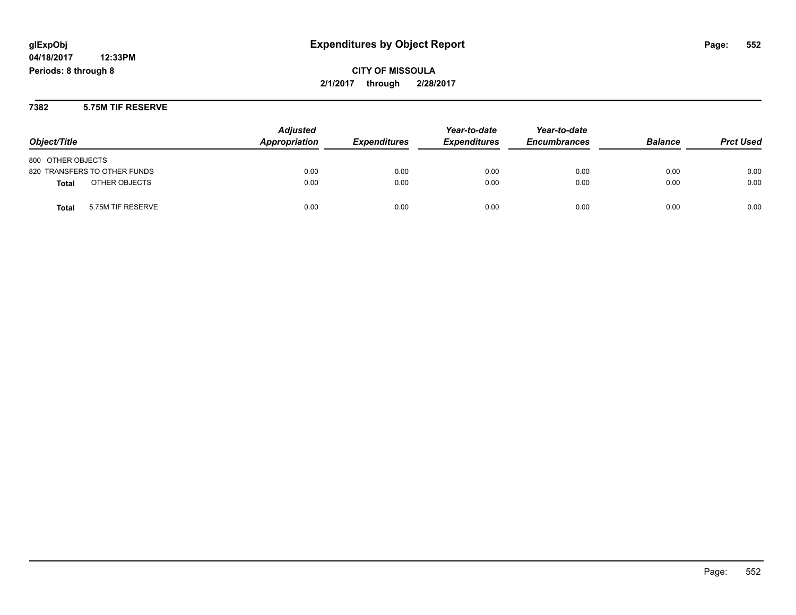**CITY OF MISSOULA 2/1/2017 through 2/28/2017**

**7382 5.75M TIF RESERVE**

| Object/Title                  | <b>Adjusted</b><br>Appropriation | <b>Expenditures</b> | Year-to-date<br><b>Expenditures</b> | Year-to-date<br><b>Encumbrances</b> | <b>Balance</b> | <b>Prct Used</b> |
|-------------------------------|----------------------------------|---------------------|-------------------------------------|-------------------------------------|----------------|------------------|
| 800 OTHER OBJECTS             |                                  |                     |                                     |                                     |                |                  |
| 820 TRANSFERS TO OTHER FUNDS  | 0.00                             | 0.00                | 0.00                                | 0.00                                | 0.00           | 0.00             |
| OTHER OBJECTS<br><b>Total</b> | 0.00                             | 0.00                | 0.00                                | 0.00                                | 0.00           | 0.00             |
| 5.75M TIF RESERVE<br>Total    | 0.00                             | 0.00                | 0.00                                | 0.00                                | 0.00           | 0.00             |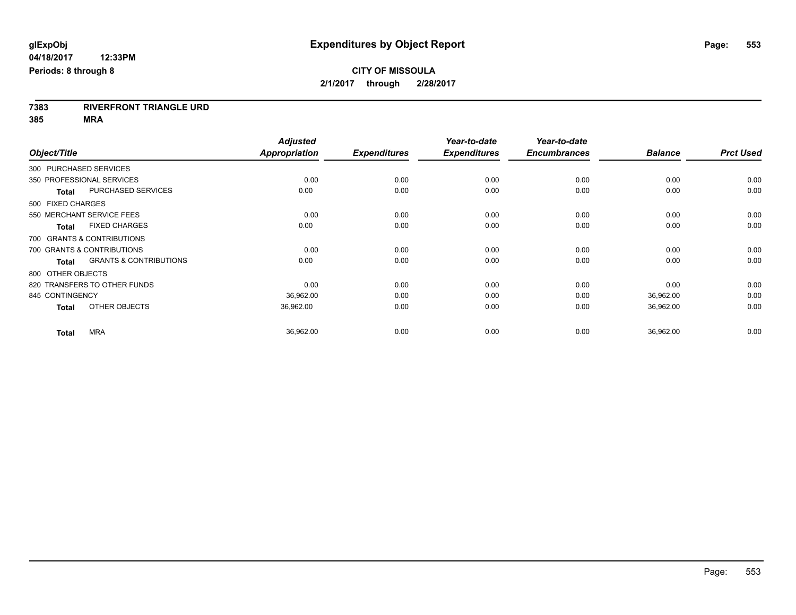**7383 RIVERFRONT TRIANGLE URD**

**385 MRA**

|                                                   | <b>Adjusted</b>      |                     | Year-to-date        | Year-to-date        |                |                  |
|---------------------------------------------------|----------------------|---------------------|---------------------|---------------------|----------------|------------------|
| Object/Title                                      | <b>Appropriation</b> | <b>Expenditures</b> | <b>Expenditures</b> | <b>Encumbrances</b> | <b>Balance</b> | <b>Prct Used</b> |
| 300 PURCHASED SERVICES                            |                      |                     |                     |                     |                |                  |
| 350 PROFESSIONAL SERVICES                         | 0.00                 | 0.00                | 0.00                | 0.00                | 0.00           | 0.00             |
| <b>PURCHASED SERVICES</b><br><b>Total</b>         | 0.00                 | 0.00                | 0.00                | 0.00                | 0.00           | 0.00             |
| 500 FIXED CHARGES                                 |                      |                     |                     |                     |                |                  |
| 550 MERCHANT SERVICE FEES                         | 0.00                 | 0.00                | 0.00                | 0.00                | 0.00           | 0.00             |
| <b>FIXED CHARGES</b><br><b>Total</b>              | 0.00                 | 0.00                | 0.00                | 0.00                | 0.00           | 0.00             |
| 700 GRANTS & CONTRIBUTIONS                        |                      |                     |                     |                     |                |                  |
| 700 GRANTS & CONTRIBUTIONS                        | 0.00                 | 0.00                | 0.00                | 0.00                | 0.00           | 0.00             |
| <b>GRANTS &amp; CONTRIBUTIONS</b><br><b>Total</b> | 0.00                 | 0.00                | 0.00                | 0.00                | 0.00           | 0.00             |
| 800 OTHER OBJECTS                                 |                      |                     |                     |                     |                |                  |
| 820 TRANSFERS TO OTHER FUNDS                      | 0.00                 | 0.00                | 0.00                | 0.00                | 0.00           | 0.00             |
| 845 CONTINGENCY                                   | 36,962.00            | 0.00                | 0.00                | 0.00                | 36,962.00      | 0.00             |
| OTHER OBJECTS<br><b>Total</b>                     | 36,962.00            | 0.00                | 0.00                | 0.00                | 36,962.00      | 0.00             |
| <b>MRA</b><br><b>Total</b>                        | 36,962.00            | 0.00                | 0.00                | 0.00                | 36,962.00      | 0.00             |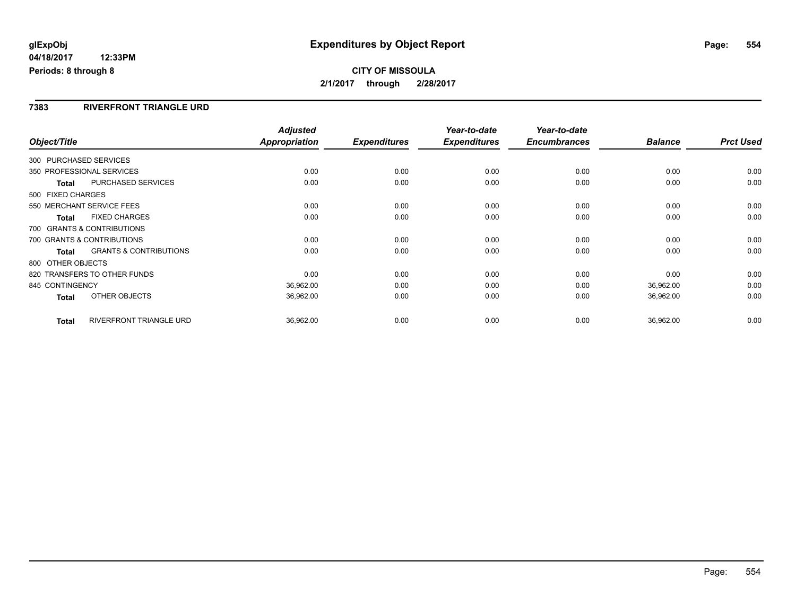#### **7383 RIVERFRONT TRIANGLE URD**

| Object/Title                 |                                   | <b>Adjusted</b><br><b>Appropriation</b> | <b>Expenditures</b> | Year-to-date<br><b>Expenditures</b> | Year-to-date<br><b>Encumbrances</b> | <b>Balance</b> | <b>Prct Used</b> |
|------------------------------|-----------------------------------|-----------------------------------------|---------------------|-------------------------------------|-------------------------------------|----------------|------------------|
| 300 PURCHASED SERVICES       |                                   |                                         |                     |                                     |                                     |                |                  |
| 350 PROFESSIONAL SERVICES    |                                   | 0.00                                    | 0.00                | 0.00                                | 0.00                                | 0.00           | 0.00             |
| <b>Total</b>                 | <b>PURCHASED SERVICES</b>         | 0.00                                    | 0.00                | 0.00                                | 0.00                                | 0.00           | 0.00             |
| 500 FIXED CHARGES            |                                   |                                         |                     |                                     |                                     |                |                  |
| 550 MERCHANT SERVICE FEES    |                                   | 0.00                                    | 0.00                | 0.00                                | 0.00                                | 0.00           | 0.00             |
| <b>Total</b>                 | <b>FIXED CHARGES</b>              | 0.00                                    | 0.00                | 0.00                                | 0.00                                | 0.00           | 0.00             |
| 700 GRANTS & CONTRIBUTIONS   |                                   |                                         |                     |                                     |                                     |                |                  |
| 700 GRANTS & CONTRIBUTIONS   |                                   | 0.00                                    | 0.00                | 0.00                                | 0.00                                | 0.00           | 0.00             |
| Total                        | <b>GRANTS &amp; CONTRIBUTIONS</b> | 0.00                                    | 0.00                | 0.00                                | 0.00                                | 0.00           | 0.00             |
| 800 OTHER OBJECTS            |                                   |                                         |                     |                                     |                                     |                |                  |
| 820 TRANSFERS TO OTHER FUNDS |                                   | 0.00                                    | 0.00                | 0.00                                | 0.00                                | 0.00           | 0.00             |
| 845 CONTINGENCY              |                                   | 36,962.00                               | 0.00                | 0.00                                | 0.00                                | 36,962.00      | 0.00             |
| <b>Total</b>                 | OTHER OBJECTS                     | 36,962.00                               | 0.00                | 0.00                                | 0.00                                | 36,962.00      | 0.00             |
| <b>Total</b>                 | RIVERFRONT TRIANGLE URD           | 36,962.00                               | 0.00                | 0.00                                | 0.00                                | 36,962.00      | 0.00             |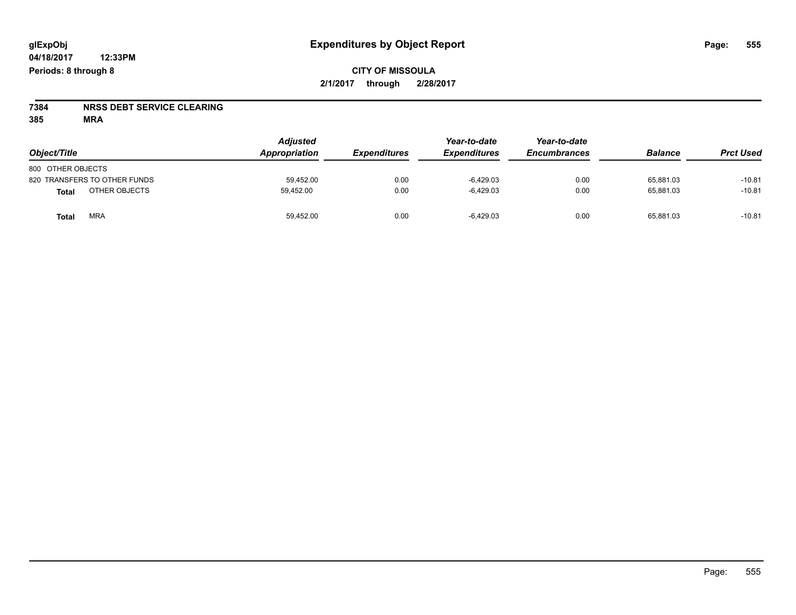# **7384 NRSS DEBT SERVICE CLEARING**

**385 MRA**

| Object/Title                 | <b>Adjusted</b><br>Appropriation | <i><b>Expenditures</b></i> | Year-to-date<br><b>Expenditures</b> | Year-to-date<br><b>Encumbrances</b> | <b>Balance</b> | <b>Prct Used</b> |
|------------------------------|----------------------------------|----------------------------|-------------------------------------|-------------------------------------|----------------|------------------|
| 800 OTHER OBJECTS            |                                  |                            |                                     |                                     |                |                  |
| 820 TRANSFERS TO OTHER FUNDS | 59.452.00                        | 0.00                       | $-6.429.03$                         | 0.00                                | 65.881.03      | $-10.81$         |
| OTHER OBJECTS<br>Total       | 59.452.00                        | 0.00                       | $-6.429.03$                         | 0.00                                | 65.881.03      | $-10.81$         |
| <b>MRA</b><br>Total          | 59,452.00                        | 0.00                       | $-6,429.03$                         | 0.00                                | 65,881.03      | $-10.81$         |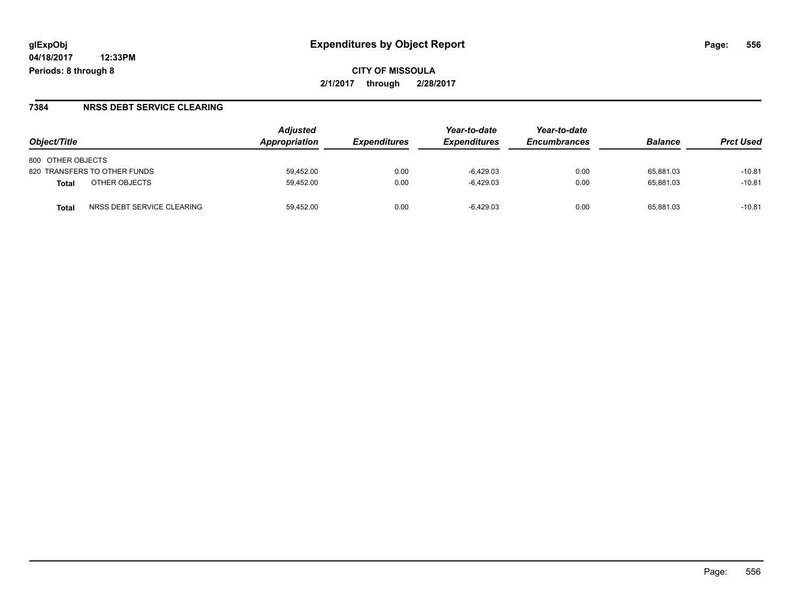**CITY OF MISSOULA 2/1/2017 through 2/28/2017**

#### **7384 NRSS DEBT SERVICE CLEARING**

| Object/Title                        | <b>Adjusted</b><br>Appropriation | <b>Expenditures</b> | Year-to-date<br><b>Expenditures</b> | Year-to-date<br><b>Encumbrances</b> | <b>Balance</b> | <b>Prct Used</b> |
|-------------------------------------|----------------------------------|---------------------|-------------------------------------|-------------------------------------|----------------|------------------|
| 800 OTHER OBJECTS                   |                                  |                     |                                     |                                     |                |                  |
| 820 TRANSFERS TO OTHER FUNDS        | 59,452.00                        | 0.00                | $-6,429.03$                         | 0.00                                | 65.881.03      | $-10.81$         |
| OTHER OBJECTS<br>Total              | 59.452.00                        | 0.00                | $-6.429.03$                         | 0.00                                | 65.881.03      | $-10.81$         |
| NRSS DEBT SERVICE CLEARING<br>Total | 59.452.00                        | 0.00                | $-6.429.03$                         | 0.00                                | 65.881.03      | $-10.81$         |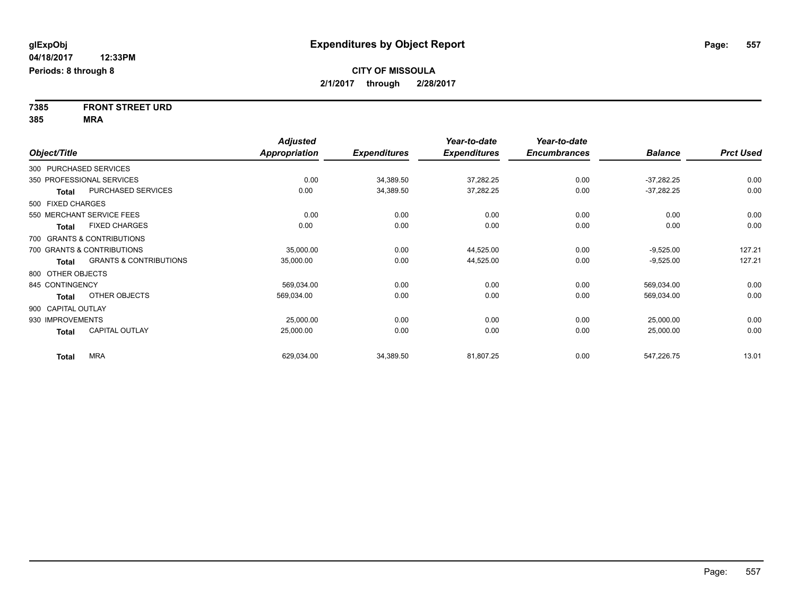**7385 FRONT STREET URD 385 MRA**

|                    |                                   | <b>Adjusted</b>      |                     | Year-to-date        | Year-to-date        |                |                  |
|--------------------|-----------------------------------|----------------------|---------------------|---------------------|---------------------|----------------|------------------|
| Object/Title       |                                   | <b>Appropriation</b> | <b>Expenditures</b> | <b>Expenditures</b> | <b>Encumbrances</b> | <b>Balance</b> | <b>Prct Used</b> |
|                    | 300 PURCHASED SERVICES            |                      |                     |                     |                     |                |                  |
|                    | 350 PROFESSIONAL SERVICES         | 0.00                 | 34,389.50           | 37,282.25           | 0.00                | $-37,282.25$   | 0.00             |
| <b>Total</b>       | PURCHASED SERVICES                | 0.00                 | 34,389.50           | 37,282.25           | 0.00                | $-37,282.25$   | 0.00             |
| 500 FIXED CHARGES  |                                   |                      |                     |                     |                     |                |                  |
|                    | 550 MERCHANT SERVICE FEES         | 0.00                 | 0.00                | 0.00                | 0.00                | 0.00           | 0.00             |
| <b>Total</b>       | <b>FIXED CHARGES</b>              | 0.00                 | 0.00                | 0.00                | 0.00                | 0.00           | 0.00             |
|                    | 700 GRANTS & CONTRIBUTIONS        |                      |                     |                     |                     |                |                  |
|                    | 700 GRANTS & CONTRIBUTIONS        | 35,000.00            | 0.00                | 44,525.00           | 0.00                | $-9,525.00$    | 127.21           |
| <b>Total</b>       | <b>GRANTS &amp; CONTRIBUTIONS</b> | 35,000.00            | 0.00                | 44,525.00           | 0.00                | $-9,525.00$    | 127.21           |
| 800 OTHER OBJECTS  |                                   |                      |                     |                     |                     |                |                  |
| 845 CONTINGENCY    |                                   | 569,034.00           | 0.00                | 0.00                | 0.00                | 569,034.00     | 0.00             |
| Total              | OTHER OBJECTS                     | 569,034.00           | 0.00                | 0.00                | 0.00                | 569,034.00     | 0.00             |
| 900 CAPITAL OUTLAY |                                   |                      |                     |                     |                     |                |                  |
| 930 IMPROVEMENTS   |                                   | 25,000.00            | 0.00                | 0.00                | 0.00                | 25,000.00      | 0.00             |
| <b>Total</b>       | <b>CAPITAL OUTLAY</b>             | 25,000.00            | 0.00                | 0.00                | 0.00                | 25,000.00      | 0.00             |
| <b>Total</b>       | <b>MRA</b>                        | 629,034.00           | 34,389.50           | 81,807.25           | 0.00                | 547,226.75     | 13.01            |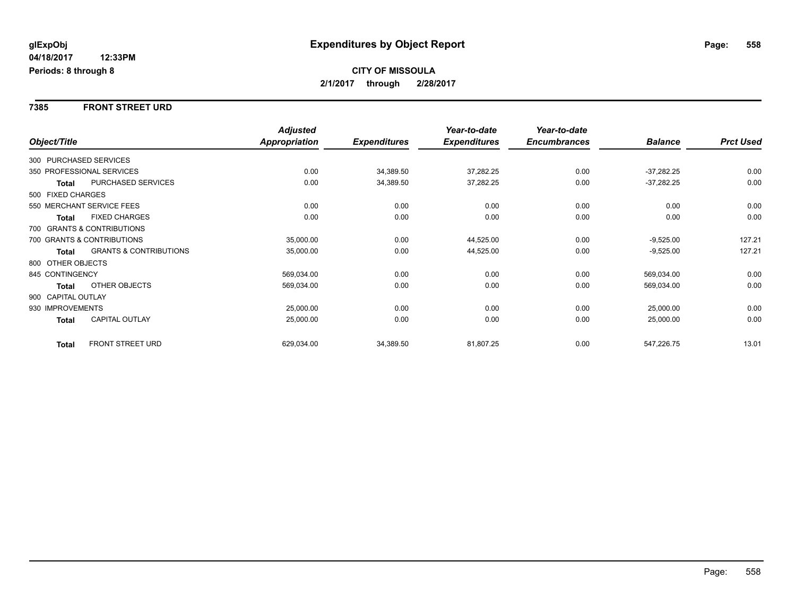#### **7385 FRONT STREET URD**

|                        |                                   | <b>Adjusted</b>      |                     | Year-to-date        | Year-to-date        |                |                  |
|------------------------|-----------------------------------|----------------------|---------------------|---------------------|---------------------|----------------|------------------|
| Object/Title           |                                   | <b>Appropriation</b> | <b>Expenditures</b> | <b>Expenditures</b> | <b>Encumbrances</b> | <b>Balance</b> | <b>Prct Used</b> |
| 300 PURCHASED SERVICES |                                   |                      |                     |                     |                     |                |                  |
|                        | 350 PROFESSIONAL SERVICES         | 0.00                 | 34,389.50           | 37,282.25           | 0.00                | $-37,282.25$   | 0.00             |
| <b>Total</b>           | PURCHASED SERVICES                | 0.00                 | 34,389.50           | 37,282.25           | 0.00                | $-37,282.25$   | 0.00             |
| 500 FIXED CHARGES      |                                   |                      |                     |                     |                     |                |                  |
|                        | 550 MERCHANT SERVICE FEES         | 0.00                 | 0.00                | 0.00                | 0.00                | 0.00           | 0.00             |
| <b>Total</b>           | <b>FIXED CHARGES</b>              | 0.00                 | 0.00                | 0.00                | 0.00                | 0.00           | 0.00             |
|                        | 700 GRANTS & CONTRIBUTIONS        |                      |                     |                     |                     |                |                  |
|                        | 700 GRANTS & CONTRIBUTIONS        | 35,000.00            | 0.00                | 44,525.00           | 0.00                | $-9,525.00$    | 127.21           |
| <b>Total</b>           | <b>GRANTS &amp; CONTRIBUTIONS</b> | 35,000.00            | 0.00                | 44,525.00           | 0.00                | $-9,525.00$    | 127.21           |
| 800 OTHER OBJECTS      |                                   |                      |                     |                     |                     |                |                  |
| 845 CONTINGENCY        |                                   | 569,034.00           | 0.00                | 0.00                | 0.00                | 569,034.00     | 0.00             |
| <b>Total</b>           | OTHER OBJECTS                     | 569,034.00           | 0.00                | 0.00                | 0.00                | 569,034.00     | 0.00             |
| 900 CAPITAL OUTLAY     |                                   |                      |                     |                     |                     |                |                  |
| 930 IMPROVEMENTS       |                                   | 25,000.00            | 0.00                | 0.00                | 0.00                | 25,000.00      | 0.00             |
| Total                  | <b>CAPITAL OUTLAY</b>             | 25,000.00            | 0.00                | 0.00                | 0.00                | 25,000.00      | 0.00             |
| <b>Total</b>           | <b>FRONT STREET URD</b>           | 629,034.00           | 34,389.50           | 81,807.25           | 0.00                | 547,226.75     | 13.01            |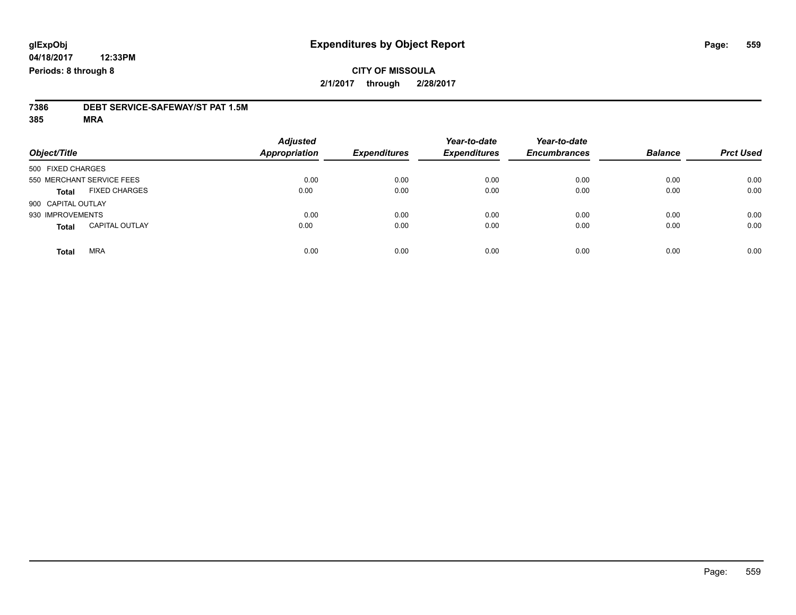### **CITY OF MISSOULA 2/1/2017 through 2/28/2017**

# **7386 DEBT SERVICE-SAFEWAY/ST PAT 1.5M**

**385 MRA**

| Object/Title                          | <b>Adjusted</b><br><b>Appropriation</b> | <b>Expenditures</b> | Year-to-date<br><b>Expenditures</b> | Year-to-date<br><b>Encumbrances</b> | <b>Balance</b> | <b>Prct Used</b> |
|---------------------------------------|-----------------------------------------|---------------------|-------------------------------------|-------------------------------------|----------------|------------------|
| 500 FIXED CHARGES                     |                                         |                     |                                     |                                     |                |                  |
| 550 MERCHANT SERVICE FEES             | 0.00                                    | 0.00                | 0.00                                | 0.00                                | 0.00           | 0.00             |
| <b>FIXED CHARGES</b><br><b>Total</b>  | 0.00                                    | 0.00                | 0.00                                | 0.00                                | 0.00           | 0.00             |
| 900 CAPITAL OUTLAY                    |                                         |                     |                                     |                                     |                |                  |
| 930 IMPROVEMENTS                      | 0.00                                    | 0.00                | 0.00                                | 0.00                                | 0.00           | 0.00             |
| <b>CAPITAL OUTLAY</b><br><b>Total</b> | 0.00                                    | 0.00                | 0.00                                | 0.00                                | 0.00           | 0.00             |
| <b>MRA</b><br><b>Total</b>            | 0.00                                    | 0.00                | 0.00                                | 0.00                                | 0.00           | 0.00             |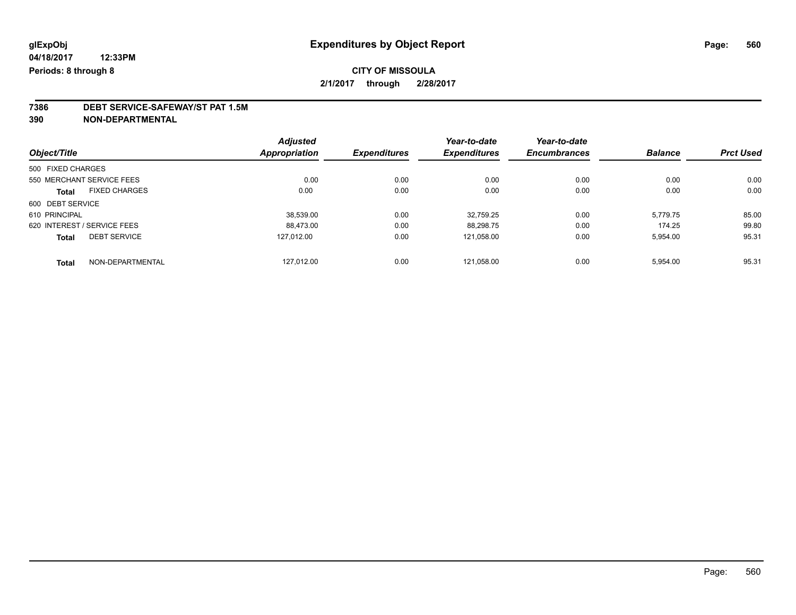## **7386 DEBT SERVICE-SAFEWAY/ST PAT 1.5M**

**390 NON-DEPARTMENTAL**

|                                     | <b>Adjusted</b> |                     | Year-to-date        | Year-to-date        |                |                  |
|-------------------------------------|-----------------|---------------------|---------------------|---------------------|----------------|------------------|
| Object/Title                        | Appropriation   | <b>Expenditures</b> | <b>Expenditures</b> | <b>Encumbrances</b> | <b>Balance</b> | <b>Prct Used</b> |
| 500 FIXED CHARGES                   |                 |                     |                     |                     |                |                  |
| 550 MERCHANT SERVICE FEES           | 0.00            | 0.00                | 0.00                | 0.00                | 0.00           | 0.00             |
| <b>FIXED CHARGES</b><br>Total       | 0.00            | 0.00                | 0.00                | 0.00                | 0.00           | 0.00             |
| 600 DEBT SERVICE                    |                 |                     |                     |                     |                |                  |
| 610 PRINCIPAL                       | 38,539.00       | 0.00                | 32.759.25           | 0.00                | 5,779.75       | 85.00            |
| 620 INTEREST / SERVICE FEES         | 88.473.00       | 0.00                | 88.298.75           | 0.00                | 174.25         | 99.80            |
| <b>DEBT SERVICE</b><br><b>Total</b> | 127.012.00      | 0.00                | 121,058.00          | 0.00                | 5,954.00       | 95.31            |
| NON-DEPARTMENTAL<br><b>Total</b>    | 127.012.00      | 0.00                | 121.058.00          | 0.00                | 5.954.00       | 95.31            |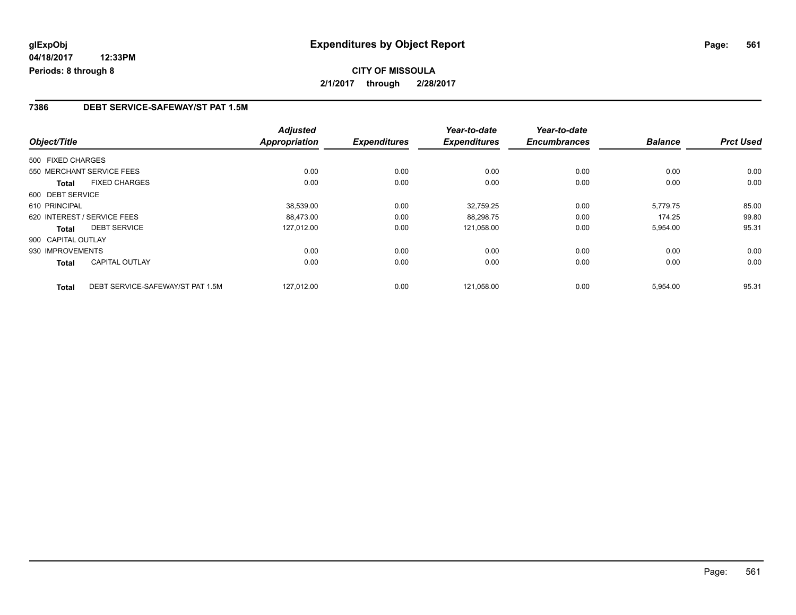#### **7386 DEBT SERVICE-SAFEWAY/ST PAT 1.5M**

| Object/Title       |                                  | <b>Adjusted</b><br><b>Appropriation</b> | <b>Expenditures</b> | Year-to-date<br><b>Expenditures</b> | Year-to-date<br><b>Encumbrances</b> | <b>Balance</b> | <b>Prct Used</b> |
|--------------------|----------------------------------|-----------------------------------------|---------------------|-------------------------------------|-------------------------------------|----------------|------------------|
|                    |                                  |                                         |                     |                                     |                                     |                |                  |
| 500 FIXED CHARGES  |                                  |                                         |                     |                                     |                                     |                |                  |
|                    | 550 MERCHANT SERVICE FEES        | 0.00                                    | 0.00                | 0.00                                | 0.00                                | 0.00           | 0.00             |
| Total              | <b>FIXED CHARGES</b>             | 0.00                                    | 0.00                | 0.00                                | 0.00                                | 0.00           | 0.00             |
| 600 DEBT SERVICE   |                                  |                                         |                     |                                     |                                     |                |                  |
| 610 PRINCIPAL      |                                  | 38.539.00                               | 0.00                | 32.759.25                           | 0.00                                | 5.779.75       | 85.00            |
|                    | 620 INTEREST / SERVICE FEES      | 88,473.00                               | 0.00                | 88,298.75                           | 0.00                                | 174.25         | 99.80            |
| <b>Total</b>       | <b>DEBT SERVICE</b>              | 127.012.00                              | 0.00                | 121,058.00                          | 0.00                                | 5,954.00       | 95.31            |
| 900 CAPITAL OUTLAY |                                  |                                         |                     |                                     |                                     |                |                  |
| 930 IMPROVEMENTS   |                                  | 0.00                                    | 0.00                | 0.00                                | 0.00                                | 0.00           | 0.00             |
| Total              | <b>CAPITAL OUTLAY</b>            | 0.00                                    | 0.00                | 0.00                                | 0.00                                | 0.00           | 0.00             |
| <b>Total</b>       | DEBT SERVICE-SAFEWAY/ST PAT 1.5M | 127.012.00                              | 0.00                | 121.058.00                          | 0.00                                | 5,954.00       | 95.31            |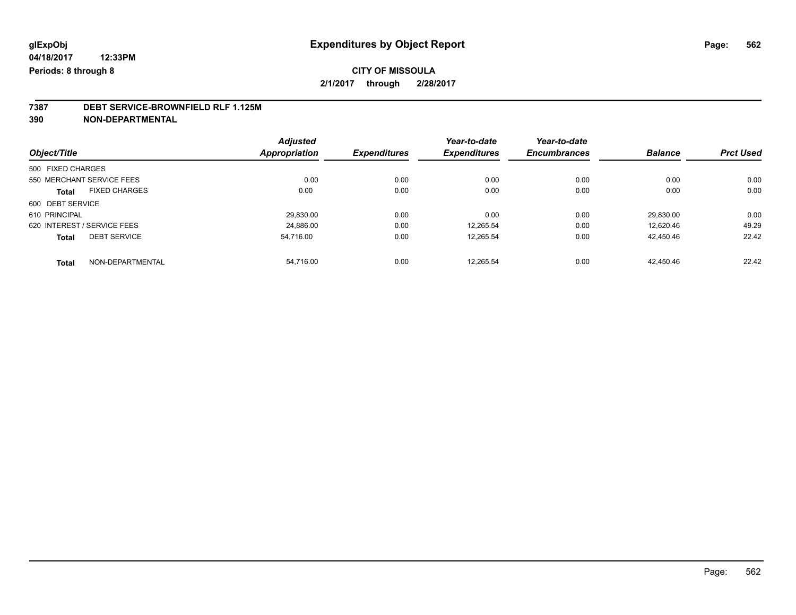## **7387 DEBT SERVICE-BROWNFIELD RLF 1.125M**

**390 NON-DEPARTMENTAL**

|                                      | <b>Adjusted</b> |                     | Year-to-date        | Year-to-date        |                |                  |
|--------------------------------------|-----------------|---------------------|---------------------|---------------------|----------------|------------------|
| Object/Title                         | Appropriation   | <b>Expenditures</b> | <b>Expenditures</b> | <b>Encumbrances</b> | <b>Balance</b> | <b>Prct Used</b> |
| 500 FIXED CHARGES                    |                 |                     |                     |                     |                |                  |
| 550 MERCHANT SERVICE FEES            | 0.00            | 0.00                | 0.00                | 0.00                | 0.00           | 0.00             |
| <b>FIXED CHARGES</b><br><b>Total</b> | 0.00            | 0.00                | 0.00                | 0.00                | 0.00           | 0.00             |
| 600 DEBT SERVICE                     |                 |                     |                     |                     |                |                  |
| 610 PRINCIPAL                        | 29,830.00       | 0.00                | 0.00                | 0.00                | 29.830.00      | 0.00             |
| 620 INTEREST / SERVICE FEES          | 24.886.00       | 0.00                | 12.265.54           | 0.00                | 12.620.46      | 49.29            |
| <b>DEBT SERVICE</b><br><b>Total</b>  | 54.716.00       | 0.00                | 12.265.54           | 0.00                | 42,450.46      | 22.42            |
| NON-DEPARTMENTAL<br><b>Total</b>     | 54.716.00       | 0.00                | 12.265.54           | 0.00                | 42.450.46      | 22.42            |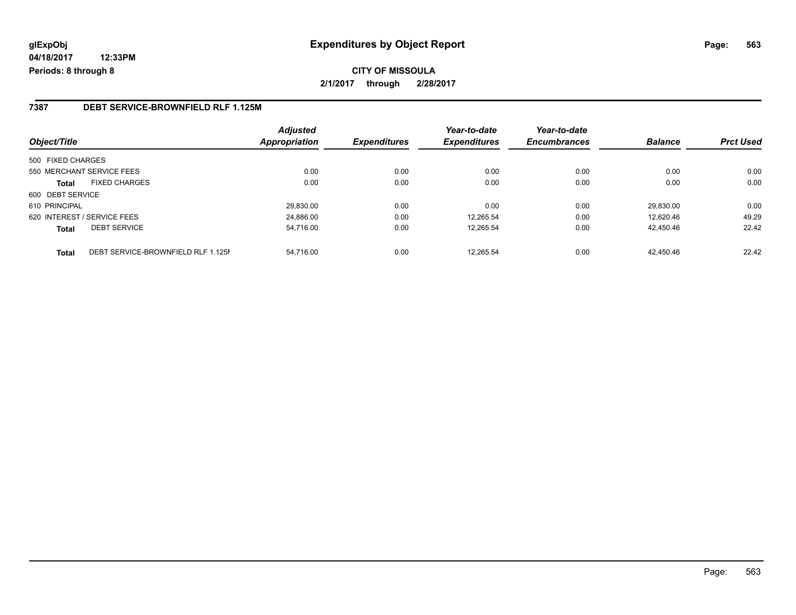## **glExpObj Expenditures by Object Report Page: 563**

**04/18/2017 12:33PM Periods: 8 through 8**

#### **7387 DEBT SERVICE-BROWNFIELD RLF 1.125M**

| Object/Title      |                                    | <b>Adjusted</b><br><b>Appropriation</b> | <b>Expenditures</b> | Year-to-date<br><b>Expenditures</b> | Year-to-date<br><b>Encumbrances</b> | <b>Balance</b> | <b>Prct Used</b> |
|-------------------|------------------------------------|-----------------------------------------|---------------------|-------------------------------------|-------------------------------------|----------------|------------------|
| 500 FIXED CHARGES |                                    |                                         |                     |                                     |                                     |                |                  |
|                   | 550 MERCHANT SERVICE FEES          | 0.00                                    | 0.00                | 0.00                                | 0.00                                | 0.00           | 0.00             |
| <b>Total</b>      | <b>FIXED CHARGES</b>               | 0.00                                    | 0.00                | 0.00                                | 0.00                                | 0.00           | 0.00             |
| 600 DEBT SERVICE  |                                    |                                         |                     |                                     |                                     |                |                  |
| 610 PRINCIPAL     |                                    | 29.830.00                               | 0.00                | 0.00                                | 0.00                                | 29.830.00      | 0.00             |
|                   | 620 INTEREST / SERVICE FEES        | 24.886.00                               | 0.00                | 12,265.54                           | 0.00                                | 12.620.46      | 49.29            |
| <b>Total</b>      | <b>DEBT SERVICE</b>                | 54,716.00                               | 0.00                | 12,265.54                           | 0.00                                | 42.450.46      | 22.42            |
| <b>Total</b>      | DEBT SERVICE-BROWNFIELD RLF 1.125M | 54.716.00                               | 0.00                | 12.265.54                           | 0.00                                | 42.450.46      | 22.42            |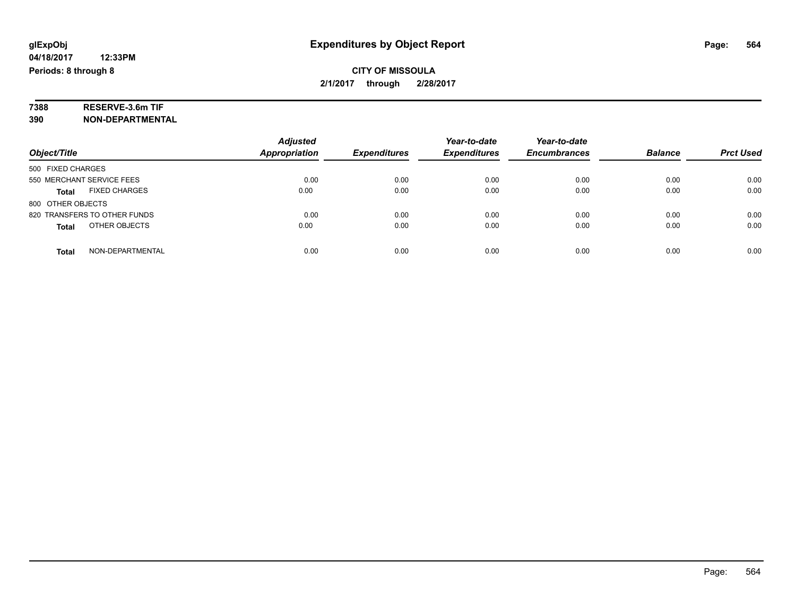# **7388 RESERVE-3.6m TIF**

**390 NON-DEPARTMENTAL**

|                                      | <b>Adjusted</b>      |                     | Year-to-date        | Year-to-date        |                |                  |
|--------------------------------------|----------------------|---------------------|---------------------|---------------------|----------------|------------------|
| Object/Title                         | <b>Appropriation</b> | <b>Expenditures</b> | <b>Expenditures</b> | <b>Encumbrances</b> | <b>Balance</b> | <b>Prct Used</b> |
| 500 FIXED CHARGES                    |                      |                     |                     |                     |                |                  |
| 550 MERCHANT SERVICE FEES            | 0.00                 | 0.00                | 0.00                | 0.00                | 0.00           | 0.00             |
| <b>FIXED CHARGES</b><br><b>Total</b> | 0.00                 | 0.00                | 0.00                | 0.00                | 0.00           | 0.00             |
| 800 OTHER OBJECTS                    |                      |                     |                     |                     |                |                  |
| 820 TRANSFERS TO OTHER FUNDS         | 0.00                 | 0.00                | 0.00                | 0.00                | 0.00           | 0.00             |
| OTHER OBJECTS<br><b>Total</b>        | 0.00                 | 0.00                | 0.00                | 0.00                | 0.00           | 0.00             |
| NON-DEPARTMENTAL<br>Total            | 0.00                 | 0.00                | 0.00                | 0.00                | 0.00           | 0.00             |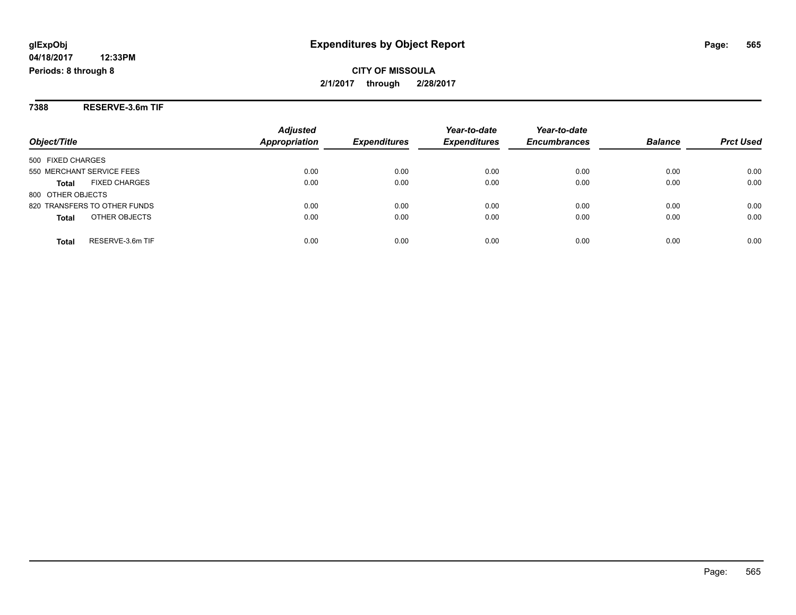**CITY OF MISSOULA 2/1/2017 through 2/28/2017**

**7388 RESERVE-3.6m TIF**

| Object/Title                         | <b>Adjusted</b><br><b>Appropriation</b> | <b>Expenditures</b> | Year-to-date<br><b>Expenditures</b> | Year-to-date<br><b>Encumbrances</b> | <b>Balance</b> | <b>Prct Used</b> |
|--------------------------------------|-----------------------------------------|---------------------|-------------------------------------|-------------------------------------|----------------|------------------|
| 500 FIXED CHARGES                    |                                         |                     |                                     |                                     |                |                  |
| 550 MERCHANT SERVICE FEES            | 0.00                                    | 0.00                | 0.00                                | 0.00                                | 0.00           | 0.00             |
| <b>FIXED CHARGES</b><br><b>Total</b> | 0.00                                    | 0.00                | 0.00                                | 0.00                                | 0.00           | 0.00             |
| 800 OTHER OBJECTS                    |                                         |                     |                                     |                                     |                |                  |
| 820 TRANSFERS TO OTHER FUNDS         | 0.00                                    | 0.00                | 0.00                                | 0.00                                | 0.00           | 0.00             |
| OTHER OBJECTS<br><b>Total</b>        | 0.00                                    | 0.00                | 0.00                                | 0.00                                | 0.00           | 0.00             |
| RESERVE-3.6m TIF<br>Total            | 0.00                                    | 0.00                | 0.00                                | 0.00                                | 0.00           | 0.00             |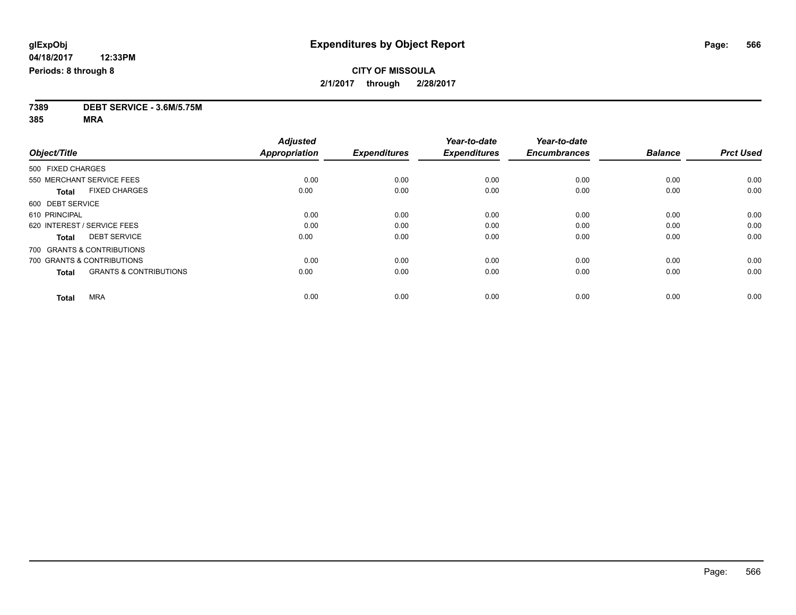**7389 DEBT SERVICE - 3.6M/5.75M**

**385 MRA**

|                                                   | <b>Adjusted</b>      |                     | Year-to-date        | Year-to-date        |                |                  |
|---------------------------------------------------|----------------------|---------------------|---------------------|---------------------|----------------|------------------|
| Object/Title                                      | <b>Appropriation</b> | <b>Expenditures</b> | <b>Expenditures</b> | <b>Encumbrances</b> | <b>Balance</b> | <b>Prct Used</b> |
| 500 FIXED CHARGES                                 |                      |                     |                     |                     |                |                  |
| 550 MERCHANT SERVICE FEES                         | 0.00                 | 0.00                | 0.00                | 0.00                | 0.00           | 0.00             |
| <b>FIXED CHARGES</b><br><b>Total</b>              | 0.00                 | 0.00                | 0.00                | 0.00                | 0.00           | 0.00             |
| 600 DEBT SERVICE                                  |                      |                     |                     |                     |                |                  |
| 610 PRINCIPAL                                     | 0.00                 | 0.00                | 0.00                | 0.00                | 0.00           | 0.00             |
| 620 INTEREST / SERVICE FEES                       | 0.00                 | 0.00                | 0.00                | 0.00                | 0.00           | 0.00             |
| <b>DEBT SERVICE</b><br><b>Total</b>               | 0.00                 | 0.00                | 0.00                | 0.00                | 0.00           | 0.00             |
| 700 GRANTS & CONTRIBUTIONS                        |                      |                     |                     |                     |                |                  |
| 700 GRANTS & CONTRIBUTIONS                        | 0.00                 | 0.00                | 0.00                | 0.00                | 0.00           | 0.00             |
| <b>GRANTS &amp; CONTRIBUTIONS</b><br><b>Total</b> | 0.00                 | 0.00                | 0.00                | 0.00                | 0.00           | 0.00             |
|                                                   |                      |                     |                     |                     |                |                  |
| <b>MRA</b><br><b>Total</b>                        | 0.00                 | 0.00                | 0.00                | 0.00                | 0.00           | 0.00             |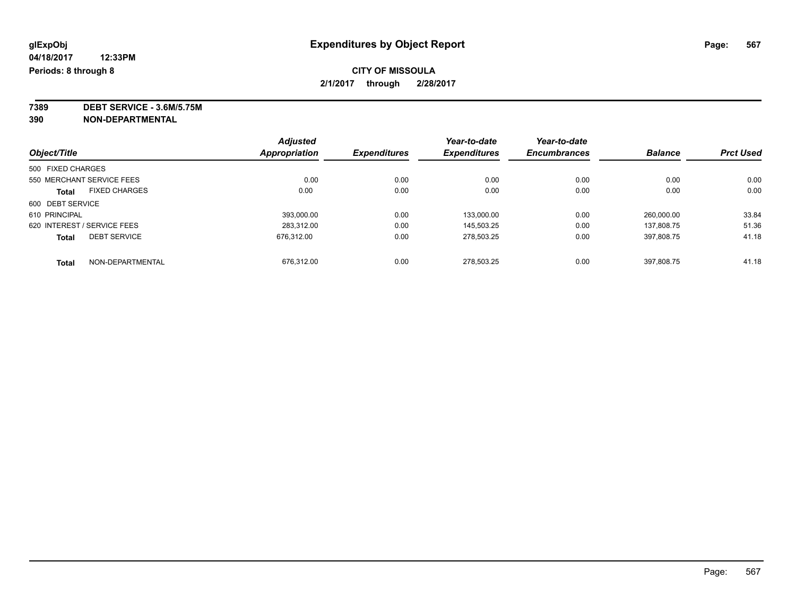**7389 DEBT SERVICE - 3.6M/5.75M**

**390 NON-DEPARTMENTAL**

|                             |                      | <b>Adjusted</b> | <b>Expenditures</b> | Year-to-date<br><b>Expenditures</b> | Year-to-date<br><b>Encumbrances</b> | <b>Balance</b> | <b>Prct Used</b> |
|-----------------------------|----------------------|-----------------|---------------------|-------------------------------------|-------------------------------------|----------------|------------------|
| Object/Title                | Appropriation        |                 |                     |                                     |                                     |                |                  |
| 500 FIXED CHARGES           |                      |                 |                     |                                     |                                     |                |                  |
| 550 MERCHANT SERVICE FEES   |                      | 0.00            | 0.00                | 0.00                                | 0.00                                | 0.00           | 0.00             |
| <b>Total</b>                | <b>FIXED CHARGES</b> | 0.00            | 0.00                | 0.00                                | 0.00                                | 0.00           | 0.00             |
| 600 DEBT SERVICE            |                      |                 |                     |                                     |                                     |                |                  |
| 610 PRINCIPAL               |                      | 393.000.00      | 0.00                | 133.000.00                          | 0.00                                | 260.000.00     | 33.84            |
| 620 INTEREST / SERVICE FEES |                      | 283.312.00      | 0.00                | 145,503.25                          | 0.00                                | 137.808.75     | 51.36            |
| <b>Total</b>                | <b>DEBT SERVICE</b>  | 676.312.00      | 0.00                | 278,503.25                          | 0.00                                | 397.808.75     | 41.18            |
| <b>Total</b>                | NON-DEPARTMENTAL     | 676.312.00      | 0.00                | 278.503.25                          | 0.00                                | 397.808.75     | 41.18            |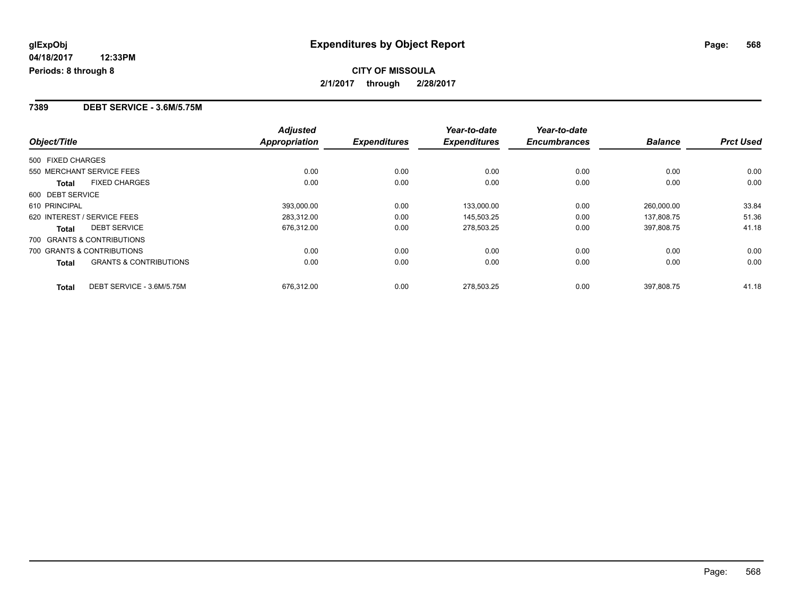## **CITY OF MISSOULA 2/1/2017 through 2/28/2017**

#### **7389 DEBT SERVICE - 3.6M/5.75M**

|                                            | <b>Adjusted</b>      |                     | Year-to-date        | Year-to-date        |                |                  |
|--------------------------------------------|----------------------|---------------------|---------------------|---------------------|----------------|------------------|
| Object/Title                               | <b>Appropriation</b> | <b>Expenditures</b> | <b>Expenditures</b> | <b>Encumbrances</b> | <b>Balance</b> | <b>Prct Used</b> |
| 500 FIXED CHARGES                          |                      |                     |                     |                     |                |                  |
| 550 MERCHANT SERVICE FEES                  | 0.00                 | 0.00                | 0.00                | 0.00                | 0.00           | 0.00             |
| <b>FIXED CHARGES</b><br>Total              | 0.00                 | 0.00                | 0.00                | 0.00                | 0.00           | 0.00             |
| 600 DEBT SERVICE                           |                      |                     |                     |                     |                |                  |
| 610 PRINCIPAL                              | 393.000.00           | 0.00                | 133,000.00          | 0.00                | 260.000.00     | 33.84            |
| 620 INTEREST / SERVICE FEES                | 283,312.00           | 0.00                | 145,503.25          | 0.00                | 137,808.75     | 51.36            |
| <b>DEBT SERVICE</b><br>Total               | 676,312.00           | 0.00                | 278,503.25          | 0.00                | 397.808.75     | 41.18            |
| 700 GRANTS & CONTRIBUTIONS                 |                      |                     |                     |                     |                |                  |
| 700 GRANTS & CONTRIBUTIONS                 | 0.00                 | 0.00                | 0.00                | 0.00                | 0.00           | 0.00             |
| <b>GRANTS &amp; CONTRIBUTIONS</b><br>Total | 0.00                 | 0.00                | 0.00                | 0.00                | 0.00           | 0.00             |
| DEBT SERVICE - 3.6M/5.75M<br><b>Total</b>  | 676,312.00           | 0.00                | 278.503.25          | 0.00                | 397.808.75     | 41.18            |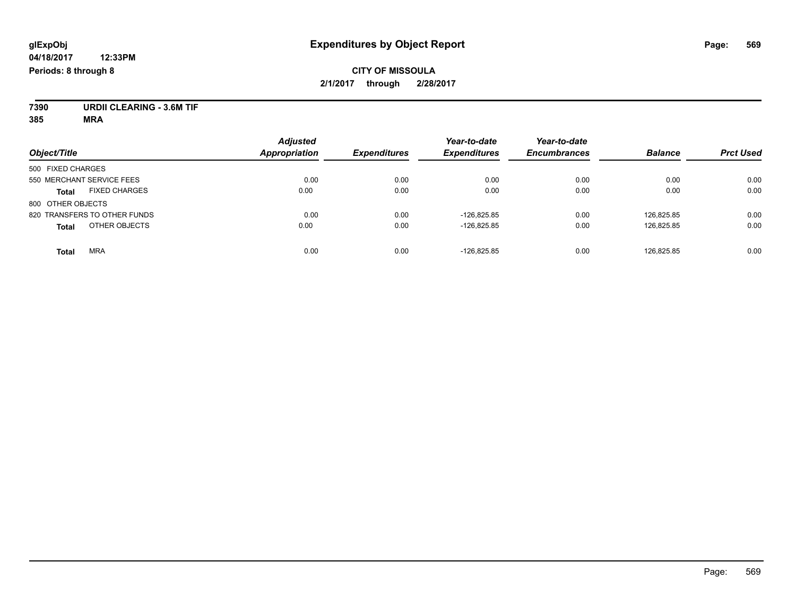## **CITY OF MISSOULA 2/1/2017 through 2/28/2017**

**7390 URDII CLEARING - 3.6M TIF**

**385 MRA**

| Object/Title                         | <b>Adjusted</b><br><b>Appropriation</b> | <b>Expenditures</b> | Year-to-date<br><b>Expenditures</b> | Year-to-date<br><b>Encumbrances</b> | <b>Balance</b> | <b>Prct Used</b> |
|--------------------------------------|-----------------------------------------|---------------------|-------------------------------------|-------------------------------------|----------------|------------------|
|                                      |                                         |                     |                                     |                                     |                |                  |
| 500 FIXED CHARGES                    |                                         |                     |                                     |                                     |                |                  |
| 550 MERCHANT SERVICE FEES            | 0.00                                    | 0.00                | 0.00                                | 0.00                                | 0.00           | 0.00             |
| <b>FIXED CHARGES</b><br><b>Total</b> | 0.00                                    | 0.00                | 0.00                                | 0.00                                | 0.00           | 0.00             |
| 800 OTHER OBJECTS                    |                                         |                     |                                     |                                     |                |                  |
| 820 TRANSFERS TO OTHER FUNDS         | 0.00                                    | 0.00                | $-126.825.85$                       | 0.00                                | 126.825.85     | 0.00             |
| OTHER OBJECTS<br><b>Total</b>        | 0.00                                    | 0.00                | $-126.825.85$                       | 0.00                                | 126,825.85     | 0.00             |
| <b>MRA</b><br><b>Total</b>           | 0.00                                    | 0.00                | $-126.825.85$                       | 0.00                                | 126.825.85     | 0.00             |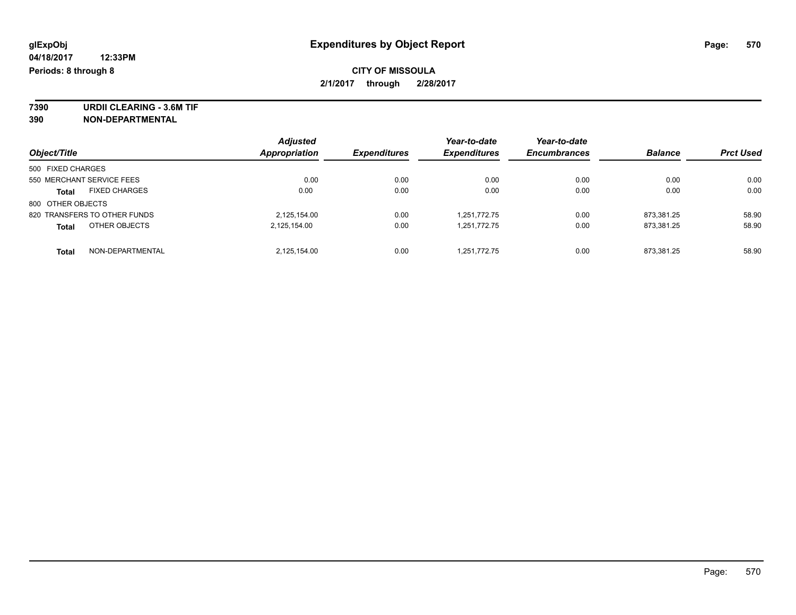**7390 URDII CLEARING - 3.6M TIF 390 NON-DEPARTMENTAL**

|                                      | <b>Adjusted</b> |                     | Year-to-date        | Year-to-date        |                |                  |
|--------------------------------------|-----------------|---------------------|---------------------|---------------------|----------------|------------------|
| Object/Title                         | Appropriation   | <b>Expenditures</b> | <b>Expenditures</b> | <b>Encumbrances</b> | <b>Balance</b> | <b>Prct Used</b> |
| 500 FIXED CHARGES                    |                 |                     |                     |                     |                |                  |
| 550 MERCHANT SERVICE FEES            | 0.00            | 0.00                | 0.00                | 0.00                | 0.00           | 0.00             |
| <b>FIXED CHARGES</b><br><b>Total</b> | 0.00            | 0.00                | 0.00                | 0.00                | 0.00           | 0.00             |
| 800 OTHER OBJECTS                    |                 |                     |                     |                     |                |                  |
| 820 TRANSFERS TO OTHER FUNDS         | 2,125,154.00    | 0.00                | 1,251,772.75        | 0.00                | 873.381.25     | 58.90            |
| OTHER OBJECTS<br><b>Total</b>        | 2,125,154.00    | 0.00                | 1,251,772.75        | 0.00                | 873,381.25     | 58.90            |
| NON-DEPARTMENTAL<br><b>Total</b>     | 2,125,154.00    | 0.00                | 1,251,772.75        | 0.00                | 873.381.25     | 58.90            |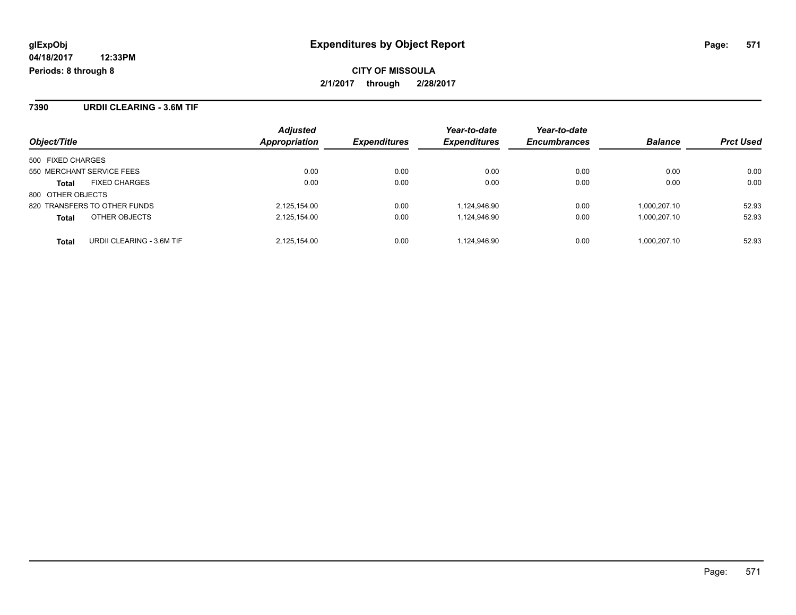**7390 URDII CLEARING - 3.6M TIF**

|                                      | <b>Adjusted</b> | <b>Expenditures</b> | Year-to-date<br><b>Expenditures</b> | Year-to-date        | <b>Balance</b> |                  |
|--------------------------------------|-----------------|---------------------|-------------------------------------|---------------------|----------------|------------------|
| Object/Title                         | Appropriation   |                     |                                     | <b>Encumbrances</b> |                | <b>Prct Used</b> |
| 500 FIXED CHARGES                    |                 |                     |                                     |                     |                |                  |
| 550 MERCHANT SERVICE FEES            | 0.00            | 0.00                | 0.00                                | 0.00                | 0.00           | 0.00             |
| <b>FIXED CHARGES</b><br><b>Total</b> | 0.00            | 0.00                | 0.00                                | 0.00                | 0.00           | 0.00             |
| 800 OTHER OBJECTS                    |                 |                     |                                     |                     |                |                  |
| 820 TRANSFERS TO OTHER FUNDS         | 2,125,154.00    | 0.00                | 1,124,946.90                        | 0.00                | 1.000.207.10   | 52.93            |
| OTHER OBJECTS<br><b>Total</b>        | 2,125,154.00    | 0.00                | 1,124,946.90                        | 0.00                | 1,000,207.10   | 52.93            |
| Total<br>URDII CLEARING - 3.6M TIF   | 2.125.154.00    | 0.00                | 1.124.946.90                        | 0.00                | 1.000.207.10   | 52.93            |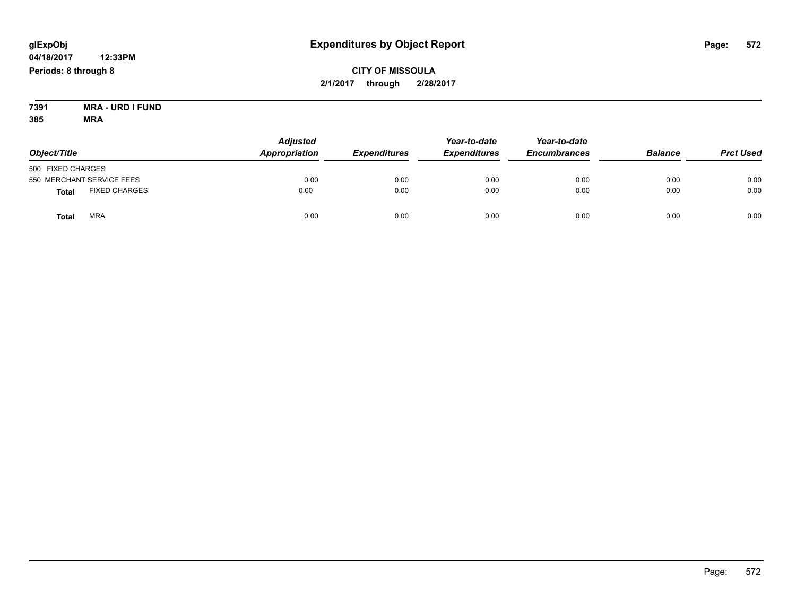## **CITY OF MISSOULA 2/1/2017 through 2/28/2017**

**7391 MRA - URD I FUND 385 MRA**

| Object/Title      |                           | <b>Adjusted</b><br>Appropriation | <b>Expenditures</b> | Year-to-date<br><b>Expenditures</b> | Year-to-date<br><b>Encumbrances</b> | <b>Balance</b> | <b>Prct Used</b> |
|-------------------|---------------------------|----------------------------------|---------------------|-------------------------------------|-------------------------------------|----------------|------------------|
| 500 FIXED CHARGES |                           |                                  |                     |                                     |                                     |                |                  |
|                   | 550 MERCHANT SERVICE FEES | 0.00                             | 0.00                | 0.00                                | 0.00                                | 0.00           | 0.00             |
| <b>Total</b>      | <b>FIXED CHARGES</b>      | 0.00                             | 0.00                | 0.00                                | 0.00                                | 0.00           | 0.00             |
| Total             | <b>MRA</b>                | 0.00                             | 0.00                | 0.00                                | 0.00                                | 0.00           | 0.00             |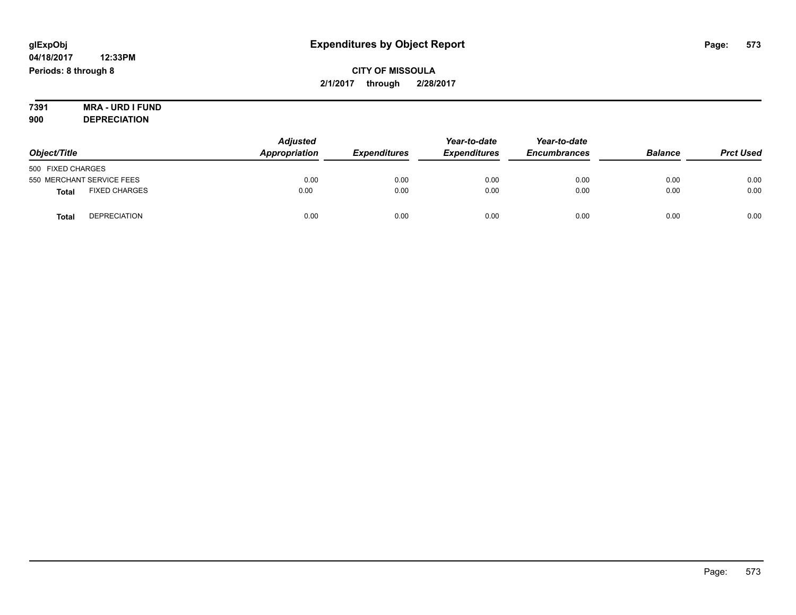## **CITY OF MISSOULA 2/1/2017 through 2/28/2017**

#### **7391 MRA - URD I FUND 900 DEPRECIATION**

|                                      | <b>Adjusted</b> |                     | Year-to-date        | Year-to-date<br><b>Encumbrances</b> |                |                  |
|--------------------------------------|-----------------|---------------------|---------------------|-------------------------------------|----------------|------------------|
| Object/Title                         | Appropriation   | <b>Expenditures</b> | <b>Expenditures</b> |                                     | <b>Balance</b> | <b>Prct Used</b> |
| 500 FIXED CHARGES                    |                 |                     |                     |                                     |                |                  |
| 550 MERCHANT SERVICE FEES            | 0.00            | 0.00                | 0.00                | 0.00                                | 0.00           | 0.00             |
| <b>FIXED CHARGES</b><br><b>Total</b> | 0.00            | 0.00                | 0.00                | 0.00                                | 0.00           | 0.00             |
| <b>DEPRECIATION</b><br><b>Total</b>  | 0.00            | 0.00                | 0.00                | 0.00                                | 0.00           | 0.00             |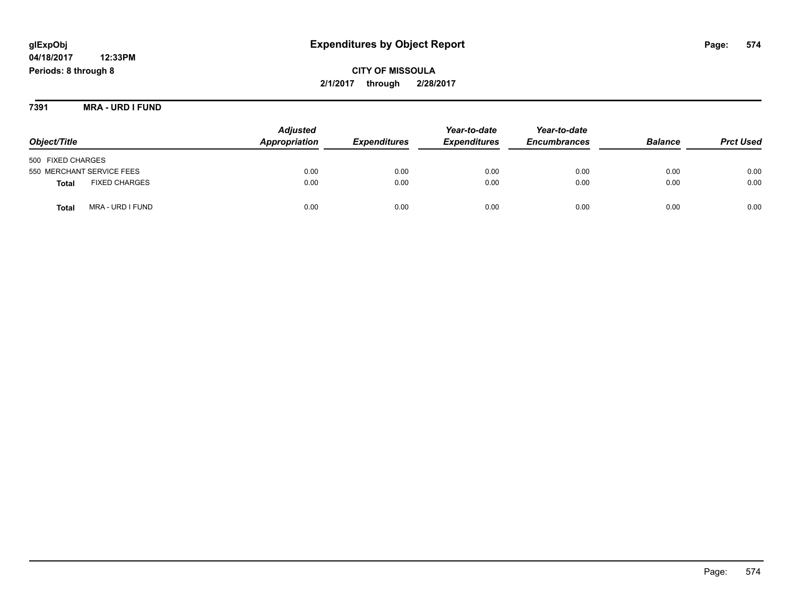## **glExpObj Expenditures by Object Report Page: 574**

**04/18/2017 12:33PM Periods: 8 through 8**

**7391 MRA - URD I FUND**

| Object/Title                         | <b>Adjusted</b><br>Appropriation | <b>Expenditures</b> | Year-to-date<br><b>Expenditures</b> | Year-to-date<br><b>Encumbrances</b> | <b>Balance</b> | <b>Prct Used</b> |
|--------------------------------------|----------------------------------|---------------------|-------------------------------------|-------------------------------------|----------------|------------------|
| 500 FIXED CHARGES                    |                                  |                     |                                     |                                     |                |                  |
| 550 MERCHANT SERVICE FEES            | 0.00                             | 0.00                | 0.00                                | 0.00                                | 0.00           | 0.00             |
| <b>FIXED CHARGES</b><br><b>Total</b> | 0.00                             | 0.00                | 0.00                                | 0.00                                | 0.00           | 0.00             |
| MRA - URD I FUND<br><b>Total</b>     | 0.00                             | 0.00                | 0.00                                | 0.00                                | 0.00           | 0.00             |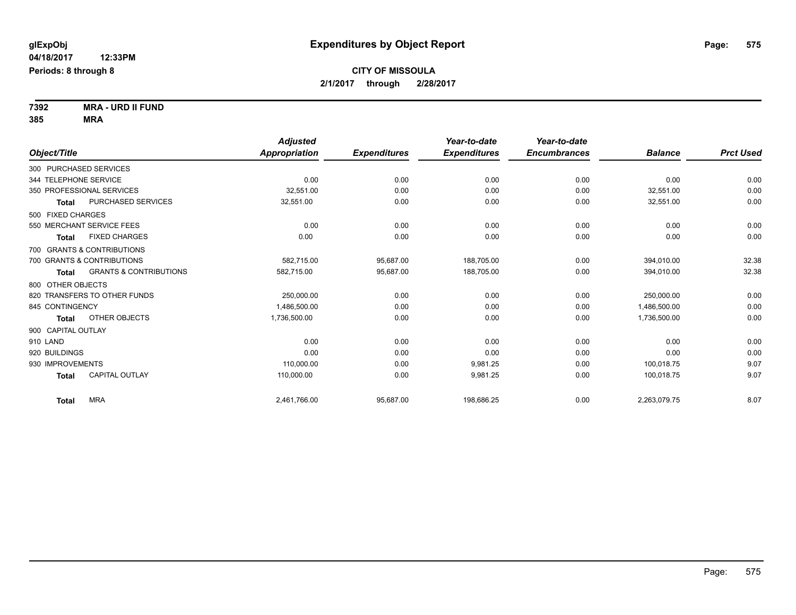**7392 MRA - URD II FUND 385 MRA**

|                                                   | <b>Adjusted</b>      |                     | Year-to-date        | Year-to-date        |                |                  |
|---------------------------------------------------|----------------------|---------------------|---------------------|---------------------|----------------|------------------|
| Object/Title                                      | <b>Appropriation</b> | <b>Expenditures</b> | <b>Expenditures</b> | <b>Encumbrances</b> | <b>Balance</b> | <b>Prct Used</b> |
| 300 PURCHASED SERVICES                            |                      |                     |                     |                     |                |                  |
| 344 TELEPHONE SERVICE                             | 0.00                 | 0.00                | 0.00                | 0.00                | 0.00           | 0.00             |
| 350 PROFESSIONAL SERVICES                         | 32.551.00            | 0.00                | 0.00                | 0.00                | 32.551.00      | 0.00             |
| PURCHASED SERVICES<br><b>Total</b>                | 32,551.00            | 0.00                | 0.00                | 0.00                | 32,551.00      | 0.00             |
| 500 FIXED CHARGES                                 |                      |                     |                     |                     |                |                  |
| 550 MERCHANT SERVICE FEES                         | 0.00                 | 0.00                | 0.00                | 0.00                | 0.00           | 0.00             |
| <b>FIXED CHARGES</b><br><b>Total</b>              | 0.00                 | 0.00                | 0.00                | 0.00                | 0.00           | 0.00             |
| 700 GRANTS & CONTRIBUTIONS                        |                      |                     |                     |                     |                |                  |
| 700 GRANTS & CONTRIBUTIONS                        | 582,715.00           | 95.687.00           | 188.705.00          | 0.00                | 394.010.00     | 32.38            |
| <b>GRANTS &amp; CONTRIBUTIONS</b><br><b>Total</b> | 582,715.00           | 95,687.00           | 188,705.00          | 0.00                | 394.010.00     | 32.38            |
| 800 OTHER OBJECTS                                 |                      |                     |                     |                     |                |                  |
| 820 TRANSFERS TO OTHER FUNDS                      | 250.000.00           | 0.00                | 0.00                | 0.00                | 250.000.00     | 0.00             |
| 845 CONTINGENCY                                   | 1.486.500.00         | 0.00                | 0.00                | 0.00                | 1,486,500.00   | 0.00             |
| OTHER OBJECTS<br><b>Total</b>                     | 1,736,500.00         | 0.00                | 0.00                | 0.00                | 1,736,500.00   | 0.00             |
| 900 CAPITAL OUTLAY                                |                      |                     |                     |                     |                |                  |
| 910 LAND                                          | 0.00                 | 0.00                | 0.00                | 0.00                | 0.00           | 0.00             |
| 920 BUILDINGS                                     | 0.00                 | 0.00                | 0.00                | 0.00                | 0.00           | 0.00             |
| 930 IMPROVEMENTS                                  | 110.000.00           | 0.00                | 9.981.25            | 0.00                | 100.018.75     | 9.07             |
| <b>CAPITAL OUTLAY</b><br>Total                    | 110.000.00           | 0.00                | 9.981.25            | 0.00                | 100.018.75     | 9.07             |
| <b>MRA</b><br><b>Total</b>                        | 2,461,766.00         | 95,687.00           | 198,686.25          | 0.00                | 2,263,079.75   | 8.07             |
|                                                   |                      |                     |                     |                     |                |                  |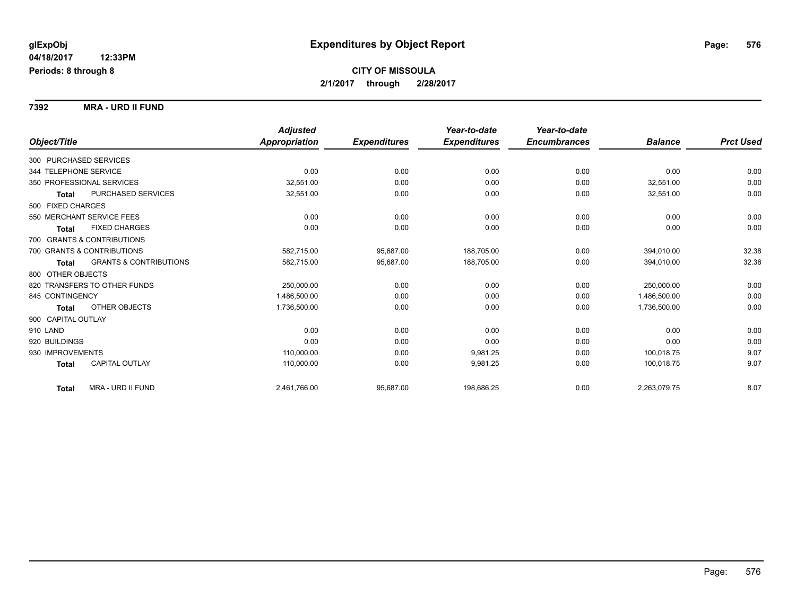**7392 MRA - URD II FUND**

|                                            | <b>Adjusted</b> |                     | Year-to-date        | Year-to-date        |                |                  |
|--------------------------------------------|-----------------|---------------------|---------------------|---------------------|----------------|------------------|
| Object/Title                               | Appropriation   | <b>Expenditures</b> | <b>Expenditures</b> | <b>Encumbrances</b> | <b>Balance</b> | <b>Prct Used</b> |
| 300 PURCHASED SERVICES                     |                 |                     |                     |                     |                |                  |
| 344 TELEPHONE SERVICE                      | 0.00            | 0.00                | 0.00                | 0.00                | 0.00           | 0.00             |
| 350 PROFESSIONAL SERVICES                  | 32,551.00       | 0.00                | 0.00                | 0.00                | 32,551.00      | 0.00             |
| PURCHASED SERVICES<br><b>Total</b>         | 32,551.00       | 0.00                | 0.00                | 0.00                | 32,551.00      | 0.00             |
| 500 FIXED CHARGES                          |                 |                     |                     |                     |                |                  |
| 550 MERCHANT SERVICE FEES                  | 0.00            | 0.00                | 0.00                | 0.00                | 0.00           | 0.00             |
| <b>FIXED CHARGES</b><br><b>Total</b>       | 0.00            | 0.00                | 0.00                | 0.00                | 0.00           | 0.00             |
| 700 GRANTS & CONTRIBUTIONS                 |                 |                     |                     |                     |                |                  |
| 700 GRANTS & CONTRIBUTIONS                 | 582,715.00      | 95,687.00           | 188,705.00          | 0.00                | 394,010.00     | 32.38            |
| <b>GRANTS &amp; CONTRIBUTIONS</b><br>Total | 582,715.00      | 95,687.00           | 188,705.00          | 0.00                | 394,010.00     | 32.38            |
| 800 OTHER OBJECTS                          |                 |                     |                     |                     |                |                  |
| 820 TRANSFERS TO OTHER FUNDS               | 250,000.00      | 0.00                | 0.00                | 0.00                | 250.000.00     | 0.00             |
| 845 CONTINGENCY                            | 1,486,500.00    | 0.00                | 0.00                | 0.00                | 1,486,500.00   | 0.00             |
| <b>OTHER OBJECTS</b><br><b>Total</b>       | 1,736,500.00    | 0.00                | 0.00                | 0.00                | 1,736,500.00   | 0.00             |
| 900 CAPITAL OUTLAY                         |                 |                     |                     |                     |                |                  |
| 910 LAND                                   | 0.00            | 0.00                | 0.00                | 0.00                | 0.00           | 0.00             |
| 920 BUILDINGS                              | 0.00            | 0.00                | 0.00                | 0.00                | 0.00           | 0.00             |
| 930 IMPROVEMENTS                           | 110,000.00      | 0.00                | 9,981.25            | 0.00                | 100,018.75     | 9.07             |
| CAPITAL OUTLAY<br><b>Total</b>             | 110,000.00      | 0.00                | 9,981.25            | 0.00                | 100,018.75     | 9.07             |
| MRA - URD II FUND<br><b>Total</b>          | 2,461,766.00    | 95,687.00           | 198,686.25          | 0.00                | 2,263,079.75   | 8.07             |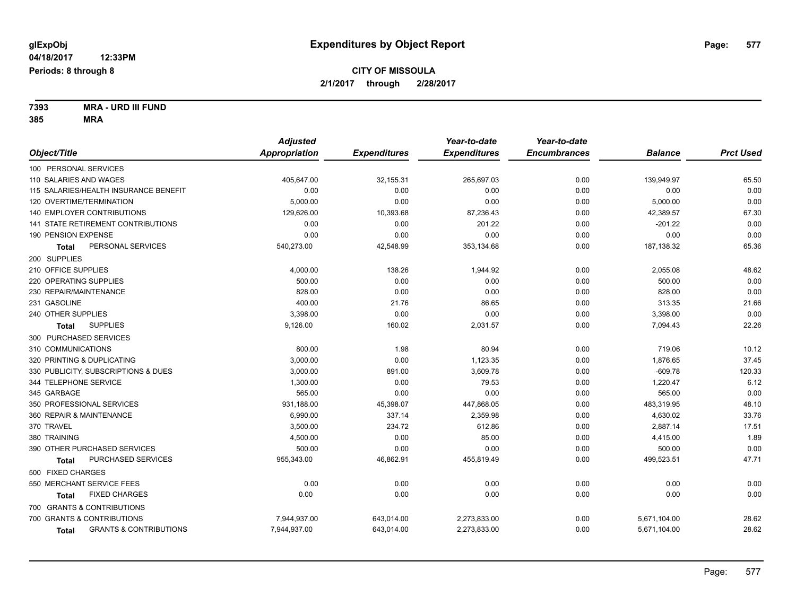**7393 MRA - URD III FUND 385 MRA**

|                                            | <b>Adjusted</b>      |                     | Year-to-date        | Year-to-date        |                |                  |
|--------------------------------------------|----------------------|---------------------|---------------------|---------------------|----------------|------------------|
| Object/Title                               | <b>Appropriation</b> | <b>Expenditures</b> | <b>Expenditures</b> | <b>Encumbrances</b> | <b>Balance</b> | <b>Prct Used</b> |
| 100 PERSONAL SERVICES                      |                      |                     |                     |                     |                |                  |
| 110 SALARIES AND WAGES                     | 405,647.00           | 32,155.31           | 265,697.03          | 0.00                | 139,949.97     | 65.50            |
| 115 SALARIES/HEALTH INSURANCE BENEFIT      | 0.00                 | 0.00                | 0.00                | 0.00                | 0.00           | 0.00             |
| 120 OVERTIME/TERMINATION                   | 5,000.00             | 0.00                | 0.00                | 0.00                | 5,000.00       | 0.00             |
| 140 EMPLOYER CONTRIBUTIONS                 | 129,626.00           | 10,393.68           | 87,236.43           | 0.00                | 42,389.57      | 67.30            |
| 141 STATE RETIREMENT CONTRIBUTIONS         | 0.00                 | 0.00                | 201.22              | 0.00                | $-201.22$      | 0.00             |
| 190 PENSION EXPENSE                        | 0.00                 | 0.00                | 0.00                | 0.00                | 0.00           | 0.00             |
| PERSONAL SERVICES<br>Total                 | 540,273.00           | 42,548.99           | 353,134.68          | 0.00                | 187, 138.32    | 65.36            |
| 200 SUPPLIES                               |                      |                     |                     |                     |                |                  |
| 210 OFFICE SUPPLIES                        | 4,000.00             | 138.26              | 1,944.92            | 0.00                | 2,055.08       | 48.62            |
| 220 OPERATING SUPPLIES                     | 500.00               | 0.00                | 0.00                | 0.00                | 500.00         | 0.00             |
| 230 REPAIR/MAINTENANCE                     | 828.00               | 0.00                | 0.00                | 0.00                | 828.00         | 0.00             |
| 231 GASOLINE                               | 400.00               | 21.76               | 86.65               | 0.00                | 313.35         | 21.66            |
| 240 OTHER SUPPLIES                         | 3,398.00             | 0.00                | 0.00                | 0.00                | 3,398.00       | 0.00             |
| <b>SUPPLIES</b><br><b>Total</b>            | 9,126.00             | 160.02              | 2,031.57            | 0.00                | 7,094.43       | 22.26            |
| 300 PURCHASED SERVICES                     |                      |                     |                     |                     |                |                  |
| 310 COMMUNICATIONS                         | 800.00               | 1.98                | 80.94               | 0.00                | 719.06         | 10.12            |
| 320 PRINTING & DUPLICATING                 | 3,000.00             | 0.00                | 1,123.35            | 0.00                | 1,876.65       | 37.45            |
| 330 PUBLICITY, SUBSCRIPTIONS & DUES        | 3,000.00             | 891.00              | 3,609.78            | 0.00                | $-609.78$      | 120.33           |
| 344 TELEPHONE SERVICE                      | 1,300.00             | 0.00                | 79.53               | 0.00                | 1,220.47       | 6.12             |
| 345 GARBAGE                                | 565.00               | 0.00                | 0.00                | 0.00                | 565.00         | 0.00             |
| 350 PROFESSIONAL SERVICES                  | 931,188.00           | 45,398.07           | 447,868.05          | 0.00                | 483,319.95     | 48.10            |
| 360 REPAIR & MAINTENANCE                   | 6,990.00             | 337.14              | 2,359.98            | 0.00                | 4,630.02       | 33.76            |
| 370 TRAVEL                                 | 3,500.00             | 234.72              | 612.86              | 0.00                | 2,887.14       | 17.51            |
| 380 TRAINING                               | 4,500.00             | 0.00                | 85.00               | 0.00                | 4,415.00       | 1.89             |
| 390 OTHER PURCHASED SERVICES               | 500.00               | 0.00                | 0.00                | 0.00                | 500.00         | 0.00             |
| PURCHASED SERVICES<br><b>Total</b>         | 955,343.00           | 46,862.91           | 455,819.49          | 0.00                | 499,523.51     | 47.71            |
| 500 FIXED CHARGES                          |                      |                     |                     |                     |                |                  |
| 550 MERCHANT SERVICE FEES                  | 0.00                 | 0.00                | 0.00                | 0.00                | 0.00           | 0.00             |
| <b>FIXED CHARGES</b><br>Total              | 0.00                 | 0.00                | 0.00                | 0.00                | 0.00           | 0.00             |
| 700 GRANTS & CONTRIBUTIONS                 |                      |                     |                     |                     |                |                  |
| 700 GRANTS & CONTRIBUTIONS                 | 7,944,937.00         | 643,014.00          | 2,273,833.00        | 0.00                | 5,671,104.00   | 28.62            |
| <b>GRANTS &amp; CONTRIBUTIONS</b><br>Total | 7,944,937.00         | 643,014.00          | 2,273,833.00        | 0.00                | 5,671,104.00   | 28.62            |
|                                            |                      |                     |                     |                     |                |                  |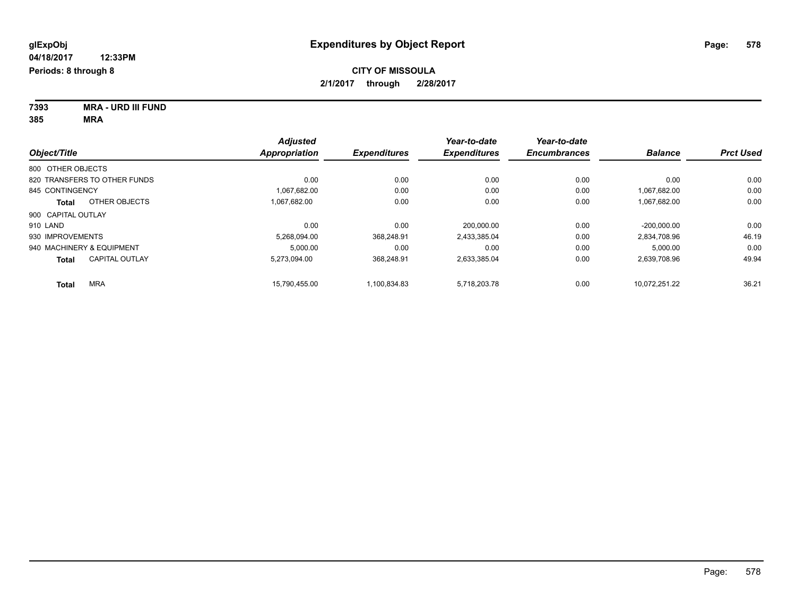**7393 MRA - URD III FUND 385 MRA**

|                                       | <b>Adjusted</b> |                     | Year-to-date        | Year-to-date        |                |                  |
|---------------------------------------|-----------------|---------------------|---------------------|---------------------|----------------|------------------|
| Object/Title                          | Appropriation   | <b>Expenditures</b> | <b>Expenditures</b> | <b>Encumbrances</b> | <b>Balance</b> | <b>Prct Used</b> |
| 800 OTHER OBJECTS                     |                 |                     |                     |                     |                |                  |
| 820 TRANSFERS TO OTHER FUNDS          | 0.00            | 0.00                | 0.00                | 0.00                | 0.00           | 0.00             |
| 845 CONTINGENCY                       | 1.067.682.00    | 0.00                | 0.00                | 0.00                | 1,067,682.00   | 0.00             |
| OTHER OBJECTS<br>Total                | 1.067.682.00    | 0.00                | 0.00                | 0.00                | 1,067,682.00   | 0.00             |
| 900 CAPITAL OUTLAY                    |                 |                     |                     |                     |                |                  |
| 910 LAND                              | 0.00            | 0.00                | 200.000.00          | 0.00                | $-200.000.00$  | 0.00             |
| 930 IMPROVEMENTS                      | 5,268,094.00    | 368.248.91          | 2,433,385.04        | 0.00                | 2,834,708.96   | 46.19            |
| 940 MACHINERY & EQUIPMENT             | 5.000.00        | 0.00                | 0.00                | 0.00                | 5.000.00       | 0.00             |
| <b>CAPITAL OUTLAY</b><br><b>Total</b> | 5,273,094.00    | 368,248.91          | 2,633,385.04        | 0.00                | 2,639,708.96   | 49.94            |
| <b>MRA</b><br>Total                   | 15.790.455.00   | 1.100.834.83        | 5.718.203.78        | 0.00                | 10.072.251.22  | 36.21            |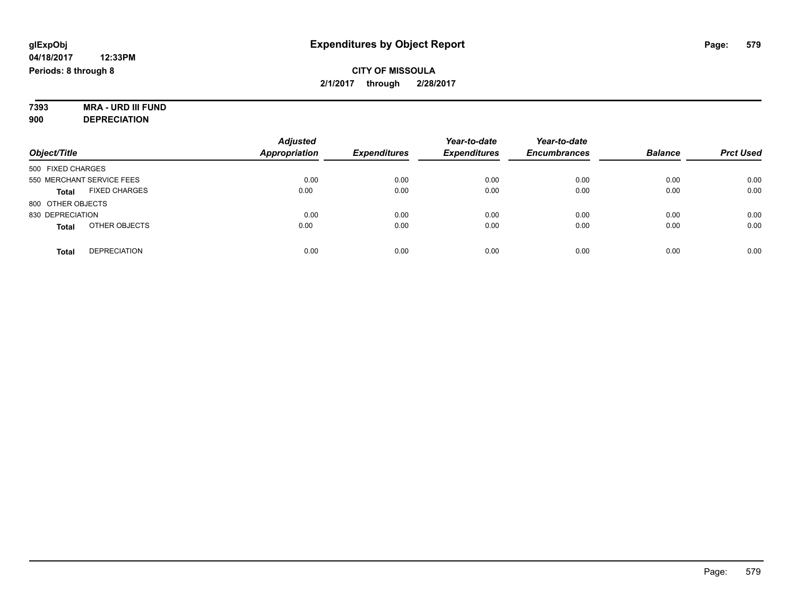#### **7393 MRA - URD III FUND 900 DEPRECIATION**

|                                      | <b>Adjusted</b>      |                     | Year-to-date        | Year-to-date        |                |                  |
|--------------------------------------|----------------------|---------------------|---------------------|---------------------|----------------|------------------|
| Object/Title                         | <b>Appropriation</b> | <b>Expenditures</b> | <b>Expenditures</b> | <b>Encumbrances</b> | <b>Balance</b> | <b>Prct Used</b> |
| 500 FIXED CHARGES                    |                      |                     |                     |                     |                |                  |
| 550 MERCHANT SERVICE FEES            | 0.00                 | 0.00                | 0.00                | 0.00                | 0.00           | 0.00             |
| <b>FIXED CHARGES</b><br><b>Total</b> | 0.00                 | 0.00                | 0.00                | 0.00                | 0.00           | 0.00             |
| 800 OTHER OBJECTS                    |                      |                     |                     |                     |                |                  |
| 830 DEPRECIATION                     | 0.00                 | 0.00                | 0.00                | 0.00                | 0.00           | 0.00             |
| OTHER OBJECTS<br><b>Total</b>        | 0.00                 | 0.00                | 0.00                | 0.00                | 0.00           | 0.00             |
| <b>DEPRECIATION</b><br><b>Total</b>  | 0.00                 | 0.00                | 0.00                | 0.00                | 0.00           | 0.00             |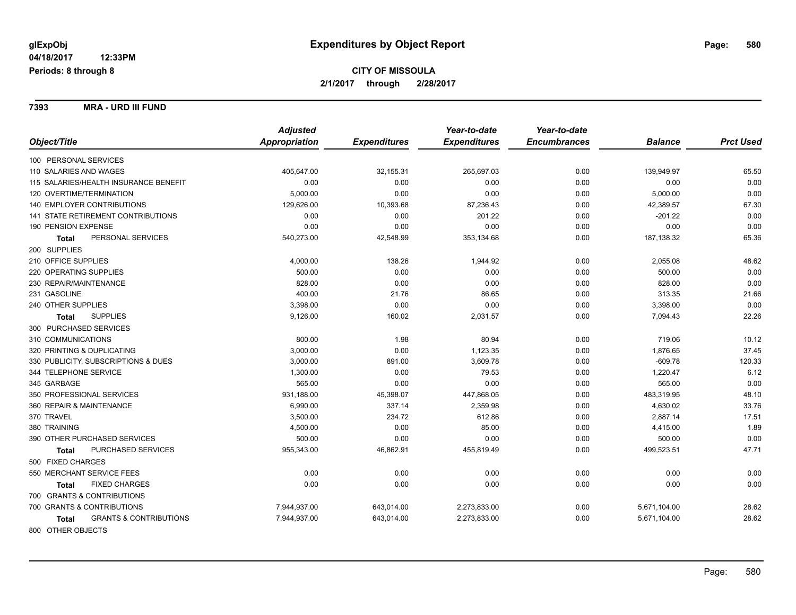**7393 MRA - URD III FUND**

|                                            | <b>Adjusted</b> |                     | Year-to-date        | Year-to-date        |                |                  |
|--------------------------------------------|-----------------|---------------------|---------------------|---------------------|----------------|------------------|
| Object/Title                               | Appropriation   | <b>Expenditures</b> | <b>Expenditures</b> | <b>Encumbrances</b> | <b>Balance</b> | <b>Prct Used</b> |
| 100 PERSONAL SERVICES                      |                 |                     |                     |                     |                |                  |
| 110 SALARIES AND WAGES                     | 405,647.00      | 32,155.31           | 265,697.03          | 0.00                | 139,949.97     | 65.50            |
| 115 SALARIES/HEALTH INSURANCE BENEFIT      | 0.00            | 0.00                | 0.00                | 0.00                | 0.00           | 0.00             |
| 120 OVERTIME/TERMINATION                   | 5,000.00        | 0.00                | 0.00                | 0.00                | 5,000.00       | 0.00             |
| 140 EMPLOYER CONTRIBUTIONS                 | 129,626.00      | 10,393.68           | 87,236.43           | 0.00                | 42,389.57      | 67.30            |
| 141 STATE RETIREMENT CONTRIBUTIONS         | 0.00            | 0.00                | 201.22              | 0.00                | $-201.22$      | 0.00             |
| 190 PENSION EXPENSE                        | 0.00            | 0.00                | 0.00                | 0.00                | 0.00           | 0.00             |
| PERSONAL SERVICES<br><b>Total</b>          | 540,273.00      | 42,548.99           | 353,134.68          | 0.00                | 187,138.32     | 65.36            |
| 200 SUPPLIES                               |                 |                     |                     |                     |                |                  |
| 210 OFFICE SUPPLIES                        | 4,000.00        | 138.26              | 1,944.92            | 0.00                | 2,055.08       | 48.62            |
| 220 OPERATING SUPPLIES                     | 500.00          | 0.00                | 0.00                | 0.00                | 500.00         | 0.00             |
| 230 REPAIR/MAINTENANCE                     | 828.00          | 0.00                | 0.00                | 0.00                | 828.00         | 0.00             |
| 231 GASOLINE                               | 400.00          | 21.76               | 86.65               | 0.00                | 313.35         | 21.66            |
| 240 OTHER SUPPLIES                         | 3,398.00        | 0.00                | 0.00                | 0.00                | 3,398.00       | 0.00             |
| <b>SUPPLIES</b><br><b>Total</b>            | 9,126.00        | 160.02              | 2,031.57            | 0.00                | 7,094.43       | 22.26            |
| 300 PURCHASED SERVICES                     |                 |                     |                     |                     |                |                  |
| 310 COMMUNICATIONS                         | 800.00          | 1.98                | 80.94               | 0.00                | 719.06         | 10.12            |
| 320 PRINTING & DUPLICATING                 | 3,000.00        | 0.00                | 1,123.35            | 0.00                | 1,876.65       | 37.45            |
| 330 PUBLICITY, SUBSCRIPTIONS & DUES        | 3,000.00        | 891.00              | 3,609.78            | 0.00                | $-609.78$      | 120.33           |
| 344 TELEPHONE SERVICE                      | 1,300.00        | 0.00                | 79.53               | 0.00                | 1,220.47       | 6.12             |
| 345 GARBAGE                                | 565.00          | 0.00                | 0.00                | 0.00                | 565.00         | 0.00             |
| 350 PROFESSIONAL SERVICES                  | 931,188.00      | 45,398.07           | 447,868.05          | 0.00                | 483,319.95     | 48.10            |
| 360 REPAIR & MAINTENANCE                   | 6,990.00        | 337.14              | 2,359.98            | 0.00                | 4,630.02       | 33.76            |
| 370 TRAVEL                                 | 3,500.00        | 234.72              | 612.86              | 0.00                | 2,887.14       | 17.51            |
| 380 TRAINING                               | 4,500.00        | 0.00                | 85.00               | 0.00                | 4,415.00       | 1.89             |
| 390 OTHER PURCHASED SERVICES               | 500.00          | 0.00                | 0.00                | 0.00                | 500.00         | 0.00             |
| PURCHASED SERVICES<br><b>Total</b>         | 955,343.00      | 46,862.91           | 455,819.49          | 0.00                | 499,523.51     | 47.71            |
| 500 FIXED CHARGES                          |                 |                     |                     |                     |                |                  |
| 550 MERCHANT SERVICE FEES                  | 0.00            | 0.00                | 0.00                | 0.00                | 0.00           | 0.00             |
| <b>FIXED CHARGES</b><br>Total              | 0.00            | 0.00                | 0.00                | 0.00                | 0.00           | 0.00             |
| 700 GRANTS & CONTRIBUTIONS                 |                 |                     |                     |                     |                |                  |
| 700 GRANTS & CONTRIBUTIONS                 | 7,944,937.00    | 643,014.00          | 2,273,833.00        | 0.00                | 5,671,104.00   | 28.62            |
| <b>GRANTS &amp; CONTRIBUTIONS</b><br>Total | 7,944,937.00    | 643,014.00          | 2,273,833.00        | 0.00                | 5,671,104.00   | 28.62            |
| 800 OTHER OBJECTS                          |                 |                     |                     |                     |                |                  |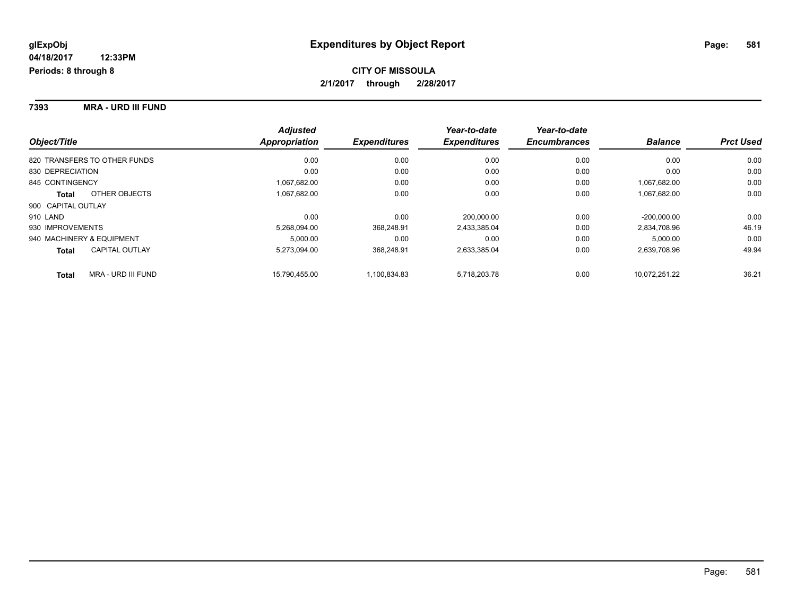**7393 MRA - URD III FUND**

|                                       | <b>Adjusted</b> |                     | Year-to-date        | Year-to-date        |                |                  |
|---------------------------------------|-----------------|---------------------|---------------------|---------------------|----------------|------------------|
| Object/Title                          | Appropriation   | <b>Expenditures</b> | <b>Expenditures</b> | <b>Encumbrances</b> | <b>Balance</b> | <b>Prct Used</b> |
| 820 TRANSFERS TO OTHER FUNDS          | 0.00            | 0.00                | 0.00                | 0.00                | 0.00           | 0.00             |
| 830 DEPRECIATION                      | 0.00            | 0.00                | 0.00                | 0.00                | 0.00           | 0.00             |
| 845 CONTINGENCY                       | 1,067,682.00    | 0.00                | 0.00                | 0.00                | 1.067.682.00   | 0.00             |
| OTHER OBJECTS<br><b>Total</b>         | 1,067,682.00    | 0.00                | 0.00                | 0.00                | 1,067,682.00   | 0.00             |
| 900 CAPITAL OUTLAY                    |                 |                     |                     |                     |                |                  |
| 910 LAND                              | 0.00            | 0.00                | 200.000.00          | 0.00                | $-200.000.00$  | 0.00             |
| 930 IMPROVEMENTS                      | 5,268,094.00    | 368.248.91          | 2,433,385.04        | 0.00                | 2,834,708.96   | 46.19            |
| 940 MACHINERY & EQUIPMENT             | 5.000.00        | 0.00                | 0.00                | 0.00                | 5,000.00       | 0.00             |
| <b>CAPITAL OUTLAY</b><br><b>Total</b> | 5,273,094.00    | 368.248.91          | 2,633,385.04        | 0.00                | 2,639,708.96   | 49.94            |
| MRA - URD III FUND<br><b>Total</b>    | 15.790.455.00   | 1,100,834.83        | 5,718,203.78        | 0.00                | 10.072.251.22  | 36.21            |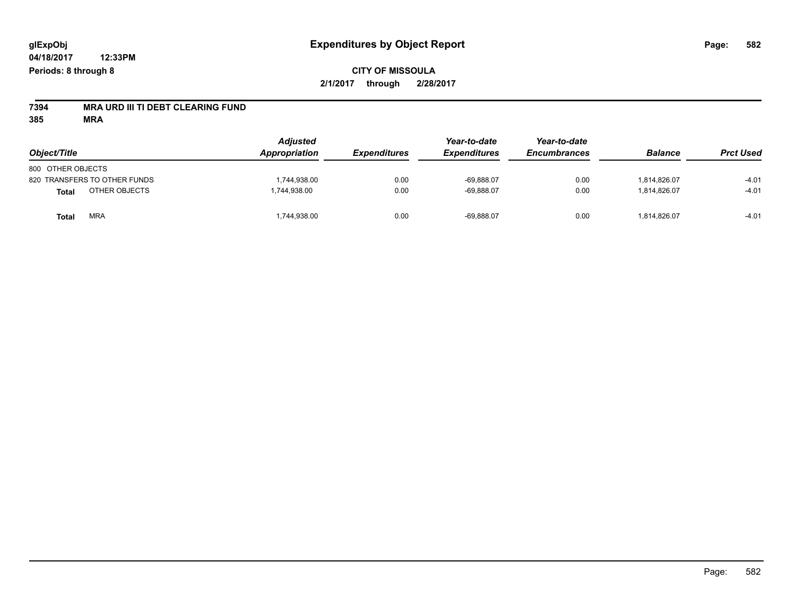# **7394 MRA URD III TI DEBT CLEARING FUND**

**385 MRA**

| Object/Title                  | <b>Adjusted</b><br>Appropriation | <b>Expenditures</b> | Year-to-date<br><b>Expenditures</b> | Year-to-date<br><b>Encumbrances</b> | <b>Balance</b> | <b>Prct Used</b> |
|-------------------------------|----------------------------------|---------------------|-------------------------------------|-------------------------------------|----------------|------------------|
|                               |                                  |                     |                                     |                                     |                |                  |
| 800 OTHER OBJECTS             |                                  |                     |                                     |                                     |                |                  |
| 820 TRANSFERS TO OTHER FUNDS  | ,744,938.00                      | 0.00                | $-69,888.07$                        | 0.00                                | 1.814.826.07   | $-4.01$          |
| OTHER OBJECTS<br><b>Total</b> | 1,744,938.00                     | 0.00                | $-69,888.07$                        | 0.00                                | 1,814,826.07   | $-4.01$          |
| <b>MRA</b><br><b>Total</b>    | ,744,938.00                      | 0.00                | $-69,888.07$                        | 0.00                                | 1,814,826.07   | $-4.01$          |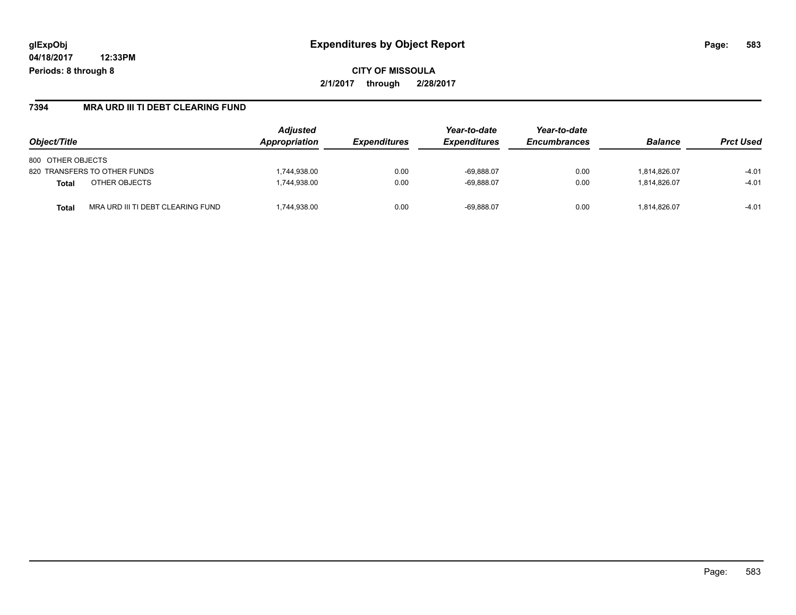## **glExpObj Expenditures by Object Report Page: 583**

**04/18/2017 12:33PM Periods: 8 through 8**

#### **7394 MRA URD III TI DEBT CLEARING FUND**

| Object/Title                                      | <b>Adjusted</b><br>Appropriation | <i><b>Expenditures</b></i> | Year-to-date<br><b>Expenditures</b> | Year-to-date<br><b>Encumbrances</b> | <b>Balance</b> | <b>Prct Used</b> |
|---------------------------------------------------|----------------------------------|----------------------------|-------------------------------------|-------------------------------------|----------------|------------------|
| 800 OTHER OBJECTS                                 |                                  |                            |                                     |                                     |                |                  |
| 820 TRANSFERS TO OTHER FUNDS                      | 1,744,938.00                     | 0.00                       | $-69,888.07$                        | 0.00                                | 1,814,826.07   | $-4.01$          |
| OTHER OBJECTS<br><b>Total</b>                     | 1,744,938.00                     | 0.00                       | $-69.888.07$                        | 0.00                                | 1.814.826.07   | $-4.01$          |
| MRA URD III TI DEBT CLEARING FUND<br><b>Total</b> | 1,744,938.00                     | 0.00                       | $-69.888.07$                        | 0.00                                | 1.814.826.07   | $-4.01$          |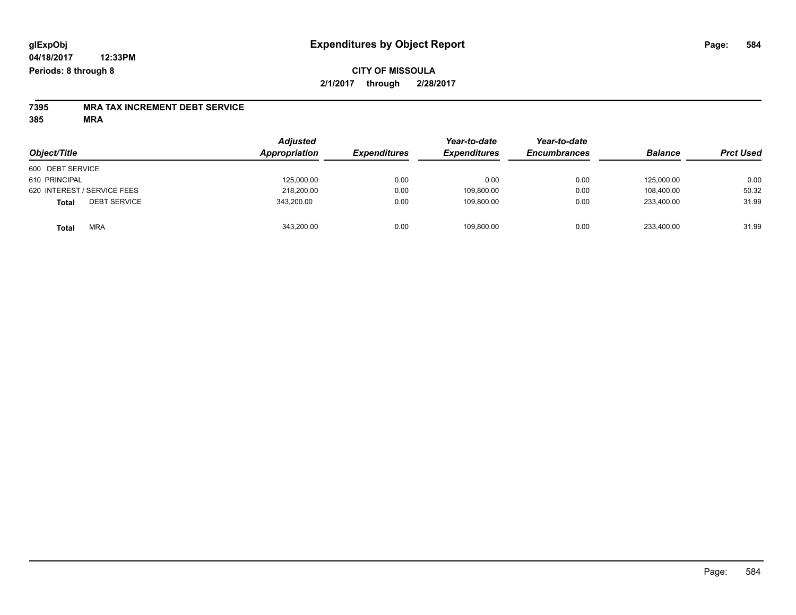### **CITY OF MISSOULA 2/1/2017 through 2/28/2017**

# **7395 MRA TAX INCREMENT DEBT SERVICE**

**385 MRA**

| Object/Title                        | <b>Adjusted</b><br>Appropriation | <b>Expenditures</b> | Year-to-date<br><b>Expenditures</b> | Year-to-date<br><b>Encumbrances</b> | <b>Balance</b> | <b>Prct Used</b> |
|-------------------------------------|----------------------------------|---------------------|-------------------------------------|-------------------------------------|----------------|------------------|
| 600 DEBT SERVICE                    |                                  |                     |                                     |                                     |                |                  |
| 610 PRINCIPAL                       | 125,000.00                       | 0.00                | 0.00                                | 0.00                                | 125.000.00     | 0.00             |
| 620 INTEREST / SERVICE FEES         | 218,200.00                       | 0.00                | 109,800.00                          | 0.00                                | 108.400.00     | 50.32            |
| <b>DEBT SERVICE</b><br><b>Total</b> | 343,200.00                       | 0.00                | 109.800.00                          | 0.00                                | 233.400.00     | 31.99            |
| <b>MRA</b><br><b>Total</b>          | 343,200.00                       | 0.00                | 109,800.00                          | 0.00                                | 233,400.00     | 31.99            |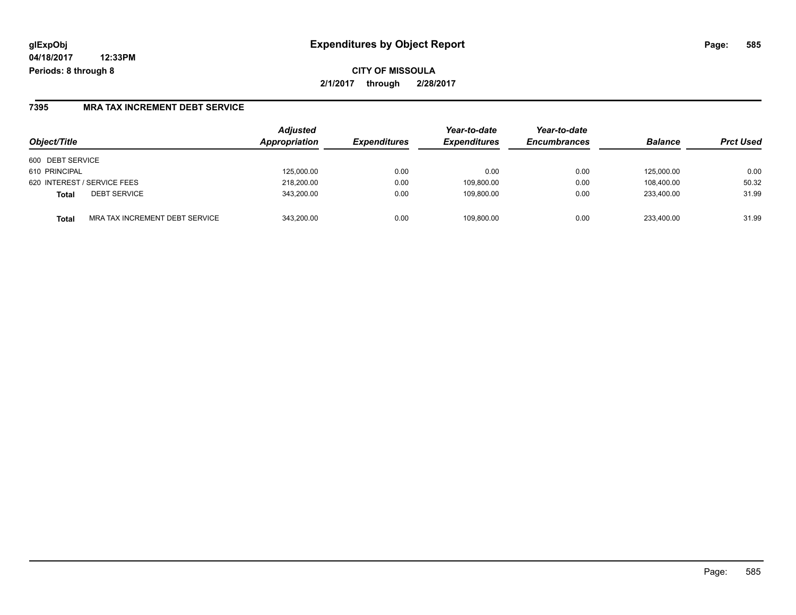## **glExpObj Expenditures by Object Report Page: 585**

**04/18/2017 12:33PM Periods: 8 through 8**

**CITY OF MISSOULA 2/1/2017 through 2/28/2017**

### **7395 MRA TAX INCREMENT DEBT SERVICE**

| Object/Title                            | <b>Adjusted</b><br>Appropriation | <b>Expenditures</b> | Year-to-date<br><b>Expenditures</b> | Year-to-date<br><b>Encumbrances</b> | <b>Balance</b> | <b>Prct Used</b> |
|-----------------------------------------|----------------------------------|---------------------|-------------------------------------|-------------------------------------|----------------|------------------|
| 600 DEBT SERVICE                        |                                  |                     |                                     |                                     |                |                  |
| 610 PRINCIPAL                           | 125,000.00                       | 0.00                | 0.00                                | 0.00                                | 125.000.00     | 0.00             |
| 620 INTEREST / SERVICE FEES             | 218,200.00                       | 0.00                | 109,800.00                          | 0.00                                | 108,400.00     | 50.32            |
| <b>DEBT SERVICE</b><br><b>Total</b>     | 343.200.00                       | 0.00                | 109.800.00                          | 0.00                                | 233.400.00     | 31.99            |
| MRA TAX INCREMENT DEBT SERVICE<br>Total | 343.200.00                       | 0.00                | 109.800.00                          | 0.00                                | 233.400.00     | 31.99            |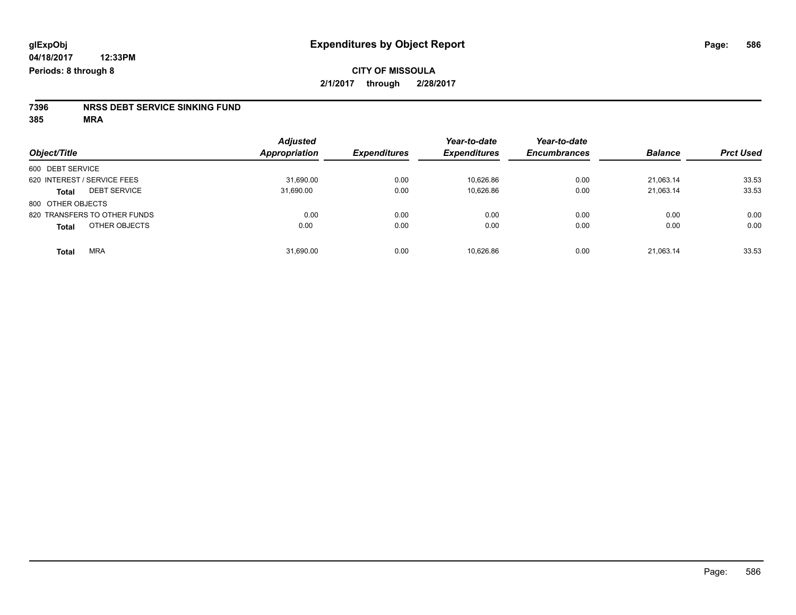# **7396 NRSS DEBT SERVICE SINKING FUND**

**385 MRA**

| Object/Title                        | <b>Adjusted</b><br><b>Appropriation</b> | <b>Expenditures</b> | Year-to-date<br><b>Expenditures</b> | Year-to-date<br><b>Encumbrances</b> | <b>Balance</b> | <b>Prct Used</b> |
|-------------------------------------|-----------------------------------------|---------------------|-------------------------------------|-------------------------------------|----------------|------------------|
| 600 DEBT SERVICE                    |                                         |                     |                                     |                                     |                |                  |
| 620 INTEREST / SERVICE FEES         | 31,690.00                               | 0.00                | 10,626.86                           | 0.00                                | 21.063.14      | 33.53            |
| <b>DEBT SERVICE</b><br><b>Total</b> | 31,690.00                               | 0.00                | 10,626.86                           | 0.00                                | 21,063.14      | 33.53            |
| 800 OTHER OBJECTS                   |                                         |                     |                                     |                                     |                |                  |
| 820 TRANSFERS TO OTHER FUNDS        | 0.00                                    | 0.00                | 0.00                                | 0.00                                | 0.00           | 0.00             |
| OTHER OBJECTS<br><b>Total</b>       | 0.00                                    | 0.00                | 0.00                                | 0.00                                | 0.00           | 0.00             |
| <b>MRA</b><br><b>Total</b>          | 31,690.00                               | 0.00                | 10,626.86                           | 0.00                                | 21,063.14      | 33.53            |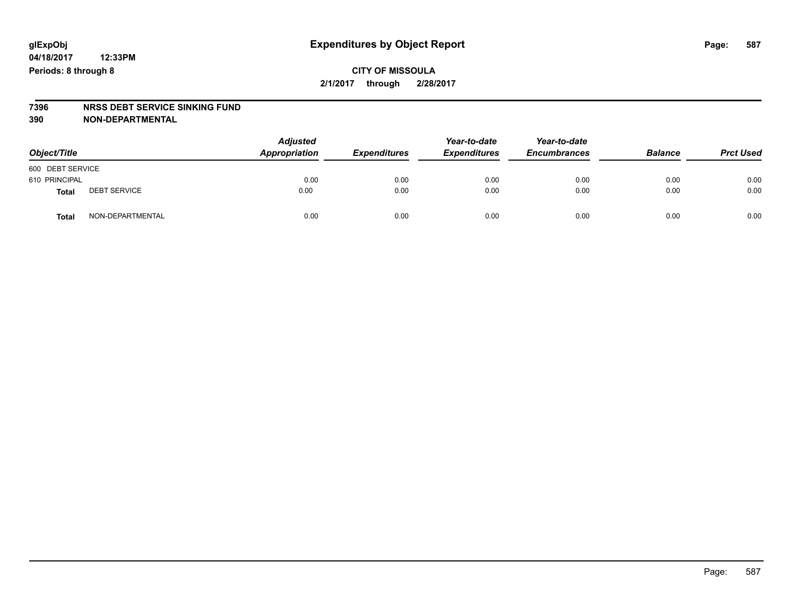### **CITY OF MISSOULA 2/1/2017 through 2/28/2017**

# **7396 NRSS DEBT SERVICE SINKING FUND**

**390 NON-DEPARTMENTAL**

| Object/Title     |                     | <b>Adjusted</b><br>Appropriation | <b>Expenditures</b> | Year-to-date<br><b>Expenditures</b> | Year-to-date<br><b>Encumbrances</b> | <b>Balance</b> | <b>Prct Used</b> |
|------------------|---------------------|----------------------------------|---------------------|-------------------------------------|-------------------------------------|----------------|------------------|
| 600 DEBT SERVICE |                     |                                  |                     |                                     |                                     |                |                  |
| 610 PRINCIPAL    |                     | 0.00                             | 0.00                | 0.00                                | 0.00                                | 0.00           | 0.00             |
| <b>Total</b>     | <b>DEBT SERVICE</b> | 0.00                             | 0.00                | 0.00                                | 0.00                                | 0.00           | 0.00             |
| Total            | NON-DEPARTMENTAL    | 0.00                             | 0.00                | 0.00                                | 0.00                                | 0.00           | 0.00             |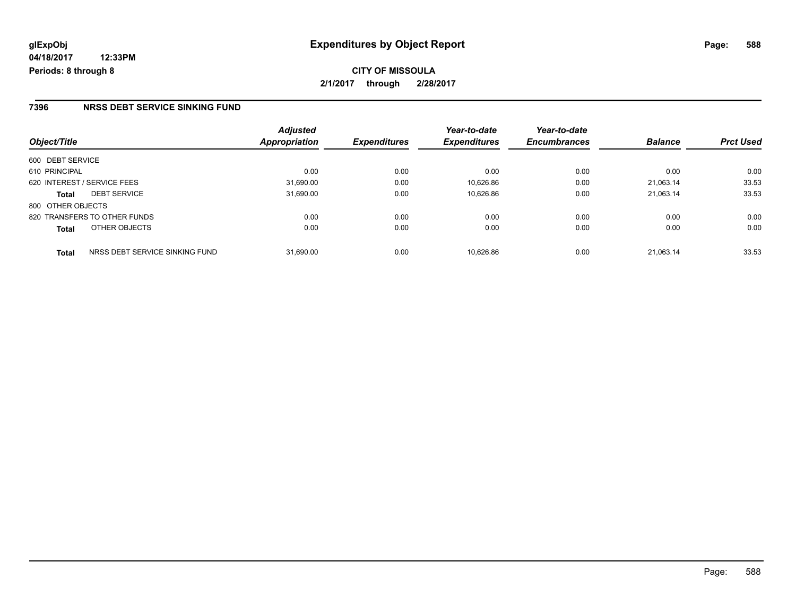**CITY OF MISSOULA 2/1/2017 through 2/28/2017**

#### **7396 NRSS DEBT SERVICE SINKING FUND**

| Object/Title                                   | <b>Adjusted</b><br>Appropriation | <b>Expenditures</b> | Year-to-date<br><b>Expenditures</b> | Year-to-date<br><b>Encumbrances</b> | <b>Balance</b> | <b>Prct Used</b> |
|------------------------------------------------|----------------------------------|---------------------|-------------------------------------|-------------------------------------|----------------|------------------|
| 600 DEBT SERVICE                               |                                  |                     |                                     |                                     |                |                  |
| 610 PRINCIPAL                                  | 0.00                             | 0.00                | 0.00                                | 0.00                                | 0.00           | 0.00             |
| 620 INTEREST / SERVICE FEES                    | 31,690.00                        | 0.00                | 10,626.86                           | 0.00                                | 21.063.14      | 33.53            |
| <b>DEBT SERVICE</b><br><b>Total</b>            | 31,690.00                        | 0.00                | 10.626.86                           | 0.00                                | 21.063.14      | 33.53            |
| 800 OTHER OBJECTS                              |                                  |                     |                                     |                                     |                |                  |
| 820 TRANSFERS TO OTHER FUNDS                   | 0.00                             | 0.00                | 0.00                                | 0.00                                | 0.00           | 0.00             |
| OTHER OBJECTS<br><b>Total</b>                  | 0.00                             | 0.00                | 0.00                                | 0.00                                | 0.00           | 0.00             |
| NRSS DEBT SERVICE SINKING FUND<br><b>Total</b> | 31.690.00                        | 0.00                | 10.626.86                           | 0.00                                | 21.063.14      | 33.53            |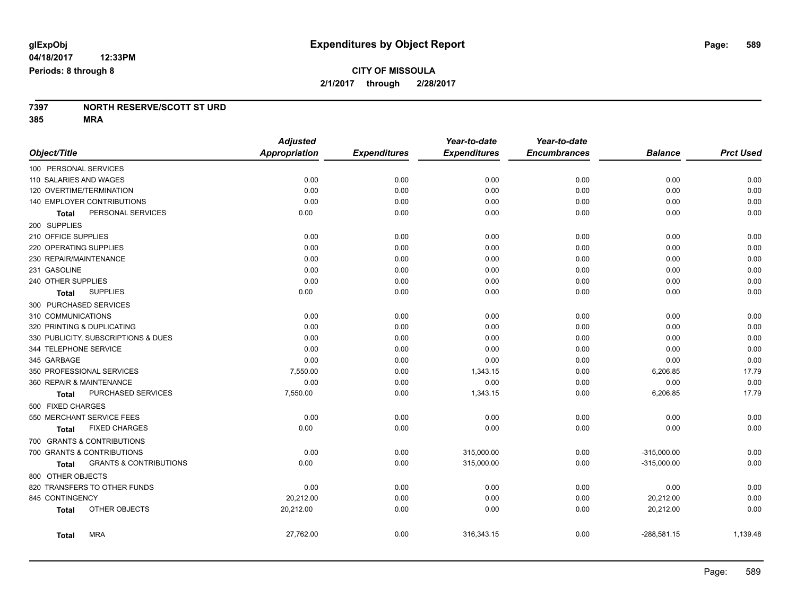#### **7397 NORTH RESERVE/SCOTT ST URD 385 MRA**

|                                                   | <b>Adjusted</b>      |                     | Year-to-date        | Year-to-date        |                |                  |
|---------------------------------------------------|----------------------|---------------------|---------------------|---------------------|----------------|------------------|
| Object/Title                                      | <b>Appropriation</b> | <b>Expenditures</b> | <b>Expenditures</b> | <b>Encumbrances</b> | <b>Balance</b> | <b>Prct Used</b> |
| 100 PERSONAL SERVICES                             |                      |                     |                     |                     |                |                  |
| 110 SALARIES AND WAGES                            | 0.00                 | 0.00                | 0.00                | 0.00                | 0.00           | 0.00             |
| 120 OVERTIME/TERMINATION                          | 0.00                 | 0.00                | 0.00                | 0.00                | 0.00           | 0.00             |
| 140 EMPLOYER CONTRIBUTIONS                        | 0.00                 | 0.00                | 0.00                | 0.00                | 0.00           | 0.00             |
| PERSONAL SERVICES<br>Total                        | 0.00                 | 0.00                | 0.00                | 0.00                | 0.00           | 0.00             |
| 200 SUPPLIES                                      |                      |                     |                     |                     |                |                  |
| 210 OFFICE SUPPLIES                               | 0.00                 | 0.00                | 0.00                | 0.00                | 0.00           | 0.00             |
| 220 OPERATING SUPPLIES                            | 0.00                 | 0.00                | 0.00                | 0.00                | 0.00           | 0.00             |
| 230 REPAIR/MAINTENANCE                            | 0.00                 | 0.00                | 0.00                | 0.00                | 0.00           | 0.00             |
| 231 GASOLINE                                      | 0.00                 | 0.00                | 0.00                | 0.00                | 0.00           | 0.00             |
| 240 OTHER SUPPLIES                                | 0.00                 | 0.00                | 0.00                | 0.00                | 0.00           | 0.00             |
| <b>SUPPLIES</b><br>Total                          | 0.00                 | 0.00                | 0.00                | 0.00                | 0.00           | 0.00             |
| 300 PURCHASED SERVICES                            |                      |                     |                     |                     |                |                  |
| 310 COMMUNICATIONS                                | 0.00                 | 0.00                | 0.00                | 0.00                | 0.00           | 0.00             |
| 320 PRINTING & DUPLICATING                        | 0.00                 | 0.00                | 0.00                | 0.00                | 0.00           | 0.00             |
| 330 PUBLICITY, SUBSCRIPTIONS & DUES               | 0.00                 | 0.00                | 0.00                | 0.00                | 0.00           | 0.00             |
| 344 TELEPHONE SERVICE                             | 0.00                 | 0.00                | 0.00                | 0.00                | 0.00           | 0.00             |
| 345 GARBAGE                                       | 0.00                 | 0.00                | 0.00                | 0.00                | 0.00           | 0.00             |
| 350 PROFESSIONAL SERVICES                         | 7,550.00             | 0.00                | 1,343.15            | 0.00                | 6,206.85       | 17.79            |
| 360 REPAIR & MAINTENANCE                          | 0.00                 | 0.00                | 0.00                | 0.00                | 0.00           | 0.00             |
| PURCHASED SERVICES<br><b>Total</b>                | 7,550.00             | 0.00                | 1,343.15            | 0.00                | 6,206.85       | 17.79            |
| 500 FIXED CHARGES                                 |                      |                     |                     |                     |                |                  |
| 550 MERCHANT SERVICE FEES                         | 0.00                 | 0.00                | 0.00                | 0.00                | 0.00           | 0.00             |
| <b>FIXED CHARGES</b><br>Total                     | 0.00                 | 0.00                | 0.00                | 0.00                | 0.00           | 0.00             |
| 700 GRANTS & CONTRIBUTIONS                        |                      |                     |                     |                     |                |                  |
| 700 GRANTS & CONTRIBUTIONS                        | 0.00                 | 0.00                | 315,000.00          | 0.00                | $-315,000.00$  | 0.00             |
| <b>GRANTS &amp; CONTRIBUTIONS</b><br><b>Total</b> | 0.00                 | 0.00                | 315,000.00          | 0.00                | $-315,000.00$  | 0.00             |
| 800 OTHER OBJECTS                                 |                      |                     |                     |                     |                |                  |
| 820 TRANSFERS TO OTHER FUNDS                      | 0.00                 | 0.00                | 0.00                | 0.00                | 0.00           | 0.00             |
| 845 CONTINGENCY                                   | 20,212.00            | 0.00                | 0.00                | 0.00                | 20,212.00      | 0.00             |
| OTHER OBJECTS<br><b>Total</b>                     | 20,212.00            | 0.00                | 0.00                | 0.00                | 20,212.00      | 0.00             |
| <b>MRA</b><br><b>Total</b>                        | 27,762.00            | 0.00                | 316,343.15          | 0.00                | $-288,581.15$  | 1,139.48         |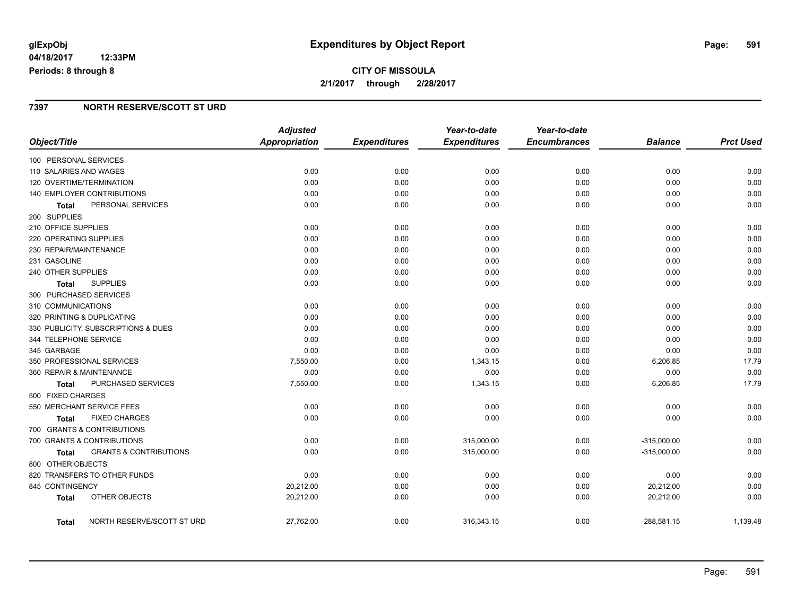## **CITY OF MISSOULA 2/1/2017 through 2/28/2017**

### **7397 NORTH RESERVE/SCOTT ST URD**

|                                                   | <b>Adjusted</b>      |                     | Year-to-date        | Year-to-date        |                |                  |
|---------------------------------------------------|----------------------|---------------------|---------------------|---------------------|----------------|------------------|
| Object/Title                                      | <b>Appropriation</b> | <b>Expenditures</b> | <b>Expenditures</b> | <b>Encumbrances</b> | <b>Balance</b> | <b>Prct Used</b> |
| 100 PERSONAL SERVICES                             |                      |                     |                     |                     |                |                  |
| 110 SALARIES AND WAGES                            | 0.00                 | 0.00                | 0.00                | 0.00                | 0.00           | 0.00             |
| 120 OVERTIME/TERMINATION                          | 0.00                 | 0.00                | 0.00                | 0.00                | 0.00           | 0.00             |
| 140 EMPLOYER CONTRIBUTIONS                        | 0.00                 | 0.00                | 0.00                | 0.00                | 0.00           | 0.00             |
| PERSONAL SERVICES<br>Total                        | 0.00                 | 0.00                | 0.00                | 0.00                | 0.00           | 0.00             |
| 200 SUPPLIES                                      |                      |                     |                     |                     |                |                  |
| 210 OFFICE SUPPLIES                               | 0.00                 | 0.00                | 0.00                | 0.00                | 0.00           | 0.00             |
| 220 OPERATING SUPPLIES                            | 0.00                 | 0.00                | 0.00                | 0.00                | 0.00           | 0.00             |
| 230 REPAIR/MAINTENANCE                            | 0.00                 | 0.00                | 0.00                | 0.00                | 0.00           | 0.00             |
| 231 GASOLINE                                      | 0.00                 | 0.00                | 0.00                | 0.00                | 0.00           | 0.00             |
| 240 OTHER SUPPLIES                                | 0.00                 | 0.00                | 0.00                | 0.00                | 0.00           | 0.00             |
| <b>SUPPLIES</b><br>Total                          | 0.00                 | 0.00                | 0.00                | 0.00                | 0.00           | 0.00             |
| 300 PURCHASED SERVICES                            |                      |                     |                     |                     |                |                  |
| 310 COMMUNICATIONS                                | 0.00                 | 0.00                | 0.00                | 0.00                | 0.00           | 0.00             |
| 320 PRINTING & DUPLICATING                        | 0.00                 | 0.00                | 0.00                | 0.00                | 0.00           | 0.00             |
| 330 PUBLICITY, SUBSCRIPTIONS & DUES               | 0.00                 | 0.00                | 0.00                | 0.00                | 0.00           | 0.00             |
| 344 TELEPHONE SERVICE                             | 0.00                 | 0.00                | 0.00                | 0.00                | 0.00           | 0.00             |
| 345 GARBAGE                                       | 0.00                 | 0.00                | 0.00                | 0.00                | 0.00           | 0.00             |
| 350 PROFESSIONAL SERVICES                         | 7,550.00             | 0.00                | 1,343.15            | 0.00                | 6,206.85       | 17.79            |
| 360 REPAIR & MAINTENANCE                          | 0.00                 | 0.00                | 0.00                | 0.00                | 0.00           | 0.00             |
| PURCHASED SERVICES<br>Total                       | 7,550.00             | 0.00                | 1,343.15            | 0.00                | 6,206.85       | 17.79            |
| 500 FIXED CHARGES                                 |                      |                     |                     |                     |                |                  |
| 550 MERCHANT SERVICE FEES                         | 0.00                 | 0.00                | 0.00                | 0.00                | 0.00           | 0.00             |
| <b>FIXED CHARGES</b><br><b>Total</b>              | 0.00                 | 0.00                | 0.00                | 0.00                | 0.00           | 0.00             |
| 700 GRANTS & CONTRIBUTIONS                        |                      |                     |                     |                     |                |                  |
| 700 GRANTS & CONTRIBUTIONS                        | 0.00                 | 0.00                | 315,000.00          | 0.00                | $-315,000.00$  | 0.00             |
| <b>GRANTS &amp; CONTRIBUTIONS</b><br><b>Total</b> | 0.00                 | 0.00                | 315,000.00          | 0.00                | $-315,000.00$  | 0.00             |
| 800 OTHER OBJECTS                                 |                      |                     |                     |                     |                |                  |
| 820 TRANSFERS TO OTHER FUNDS                      | 0.00                 | 0.00                | 0.00                | 0.00                | 0.00           | 0.00             |
| 845 CONTINGENCY                                   | 20,212.00            | 0.00                | 0.00                | 0.00                | 20,212.00      | 0.00             |
| OTHER OBJECTS<br><b>Total</b>                     | 20,212.00            | 0.00                | 0.00                | 0.00                | 20,212.00      | 0.00             |
| NORTH RESERVE/SCOTT ST URD<br>Total               | 27,762.00            | 0.00                | 316,343.15          | 0.00                | $-288,581.15$  | 1,139.48         |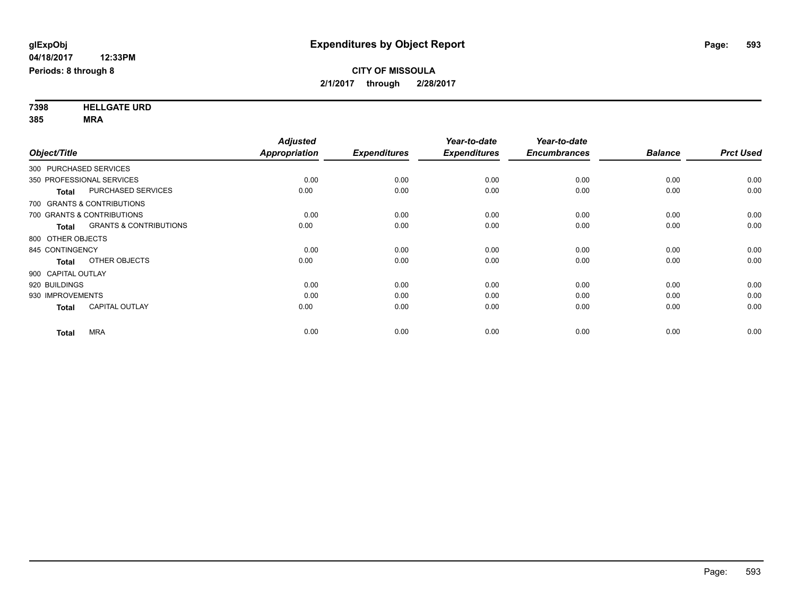**7398 HELLGATE URD 385 MRA**

| Object/Title              |                                   | <b>Adjusted</b><br>Appropriation | <b>Expenditures</b> | Year-to-date<br><b>Expenditures</b> | Year-to-date<br><b>Encumbrances</b> | <b>Balance</b> | <b>Prct Used</b> |
|---------------------------|-----------------------------------|----------------------------------|---------------------|-------------------------------------|-------------------------------------|----------------|------------------|
| 300 PURCHASED SERVICES    |                                   |                                  |                     |                                     |                                     |                |                  |
| 350 PROFESSIONAL SERVICES |                                   | 0.00                             | 0.00                | 0.00                                | 0.00                                | 0.00           | 0.00             |
| <b>Total</b>              | PURCHASED SERVICES                | 0.00                             | 0.00                | 0.00                                | 0.00                                | 0.00           | 0.00             |
|                           | 700 GRANTS & CONTRIBUTIONS        |                                  |                     |                                     |                                     |                |                  |
|                           | 700 GRANTS & CONTRIBUTIONS        | 0.00                             | 0.00                | 0.00                                | 0.00                                | 0.00           | 0.00             |
| <b>Total</b>              | <b>GRANTS &amp; CONTRIBUTIONS</b> | 0.00                             | 0.00                | 0.00                                | 0.00                                | 0.00           | 0.00             |
| 800 OTHER OBJECTS         |                                   |                                  |                     |                                     |                                     |                |                  |
| 845 CONTINGENCY           |                                   | 0.00                             | 0.00                | 0.00                                | 0.00                                | 0.00           | 0.00             |
| <b>Total</b>              | OTHER OBJECTS                     | 0.00                             | 0.00                | 0.00                                | 0.00                                | 0.00           | 0.00             |
| 900 CAPITAL OUTLAY        |                                   |                                  |                     |                                     |                                     |                |                  |
| 920 BUILDINGS             |                                   | 0.00                             | 0.00                | 0.00                                | 0.00                                | 0.00           | 0.00             |
| 930 IMPROVEMENTS          |                                   | 0.00                             | 0.00                | 0.00                                | 0.00                                | 0.00           | 0.00             |
| <b>Total</b>              | <b>CAPITAL OUTLAY</b>             | 0.00                             | 0.00                | 0.00                                | 0.00                                | 0.00           | 0.00             |
| <b>Total</b>              | <b>MRA</b>                        | 0.00                             | 0.00                | 0.00                                | 0.00                                | 0.00           | 0.00             |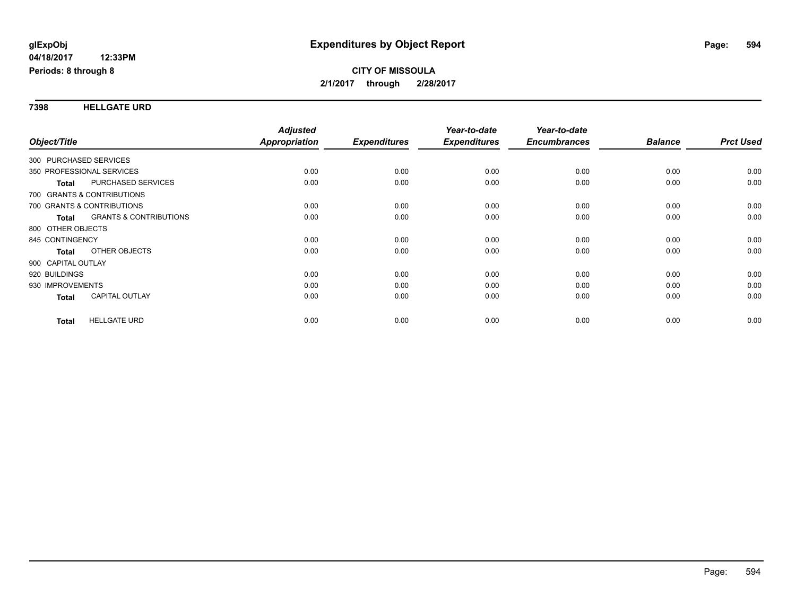#### **7398 HELLGATE URD**

| Object/Title                                      | <b>Adjusted</b><br>Appropriation | <b>Expenditures</b> | Year-to-date<br><b>Expenditures</b> | Year-to-date<br><b>Encumbrances</b> | <b>Balance</b> | <b>Prct Used</b> |
|---------------------------------------------------|----------------------------------|---------------------|-------------------------------------|-------------------------------------|----------------|------------------|
|                                                   |                                  |                     |                                     |                                     |                |                  |
| 300 PURCHASED SERVICES                            |                                  |                     |                                     |                                     |                |                  |
| 350 PROFESSIONAL SERVICES                         | 0.00                             | 0.00                | 0.00                                | 0.00                                | 0.00           | 0.00             |
| <b>PURCHASED SERVICES</b><br><b>Total</b>         | 0.00                             | 0.00                | 0.00                                | 0.00                                | 0.00           | 0.00             |
| 700 GRANTS & CONTRIBUTIONS                        |                                  |                     |                                     |                                     |                |                  |
| 700 GRANTS & CONTRIBUTIONS                        | 0.00                             | 0.00                | 0.00                                | 0.00                                | 0.00           | 0.00             |
| <b>GRANTS &amp; CONTRIBUTIONS</b><br><b>Total</b> | 0.00                             | 0.00                | 0.00                                | 0.00                                | 0.00           | 0.00             |
| 800 OTHER OBJECTS                                 |                                  |                     |                                     |                                     |                |                  |
| 845 CONTINGENCY                                   | 0.00                             | 0.00                | 0.00                                | 0.00                                | 0.00           | 0.00             |
| OTHER OBJECTS<br><b>Total</b>                     | 0.00                             | 0.00                | 0.00                                | 0.00                                | 0.00           | 0.00             |
| 900 CAPITAL OUTLAY                                |                                  |                     |                                     |                                     |                |                  |
| 920 BUILDINGS                                     | 0.00                             | 0.00                | 0.00                                | 0.00                                | 0.00           | 0.00             |
| 930 IMPROVEMENTS                                  | 0.00                             | 0.00                | 0.00                                | 0.00                                | 0.00           | 0.00             |
| <b>CAPITAL OUTLAY</b><br>Total                    | 0.00                             | 0.00                | 0.00                                | 0.00                                | 0.00           | 0.00             |
|                                                   |                                  |                     |                                     |                                     |                |                  |
| <b>HELLGATE URD</b><br><b>Total</b>               | 0.00                             | 0.00                | 0.00                                | 0.00                                | 0.00           | 0.00             |
|                                                   |                                  |                     |                                     |                                     |                |                  |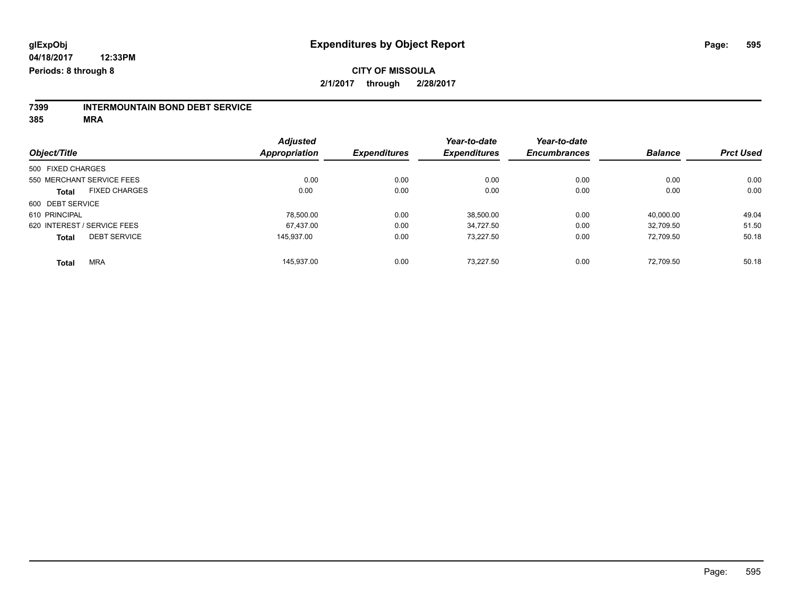# **7399 INTERMOUNTAIN BOND DEBT SERVICE**

**385 MRA**

|                                      | <b>Adjusted</b> |                     | Year-to-date        | Year-to-date        |                |                  |
|--------------------------------------|-----------------|---------------------|---------------------|---------------------|----------------|------------------|
| Object/Title                         | Appropriation   | <b>Expenditures</b> | <b>Expenditures</b> | <b>Encumbrances</b> | <b>Balance</b> | <b>Prct Used</b> |
| 500 FIXED CHARGES                    |                 |                     |                     |                     |                |                  |
| 550 MERCHANT SERVICE FEES            | 0.00            | 0.00                | 0.00                | 0.00                | 0.00           | 0.00             |
| <b>FIXED CHARGES</b><br><b>Total</b> | 0.00            | 0.00                | 0.00                | 0.00                | 0.00           | 0.00             |
| 600 DEBT SERVICE                     |                 |                     |                     |                     |                |                  |
| 610 PRINCIPAL                        | 78.500.00       | 0.00                | 38,500.00           | 0.00                | 40.000.00      | 49.04            |
| 620 INTEREST / SERVICE FEES          | 67.437.00       | 0.00                | 34.727.50           | 0.00                | 32.709.50      | 51.50            |
| <b>DEBT SERVICE</b><br><b>Total</b>  | 145.937.00      | 0.00                | 73.227.50           | 0.00                | 72.709.50      | 50.18            |
| <b>MRA</b><br><b>Total</b>           | 145.937.00      | 0.00                | 73.227.50           | 0.00                | 72.709.50      | 50.18            |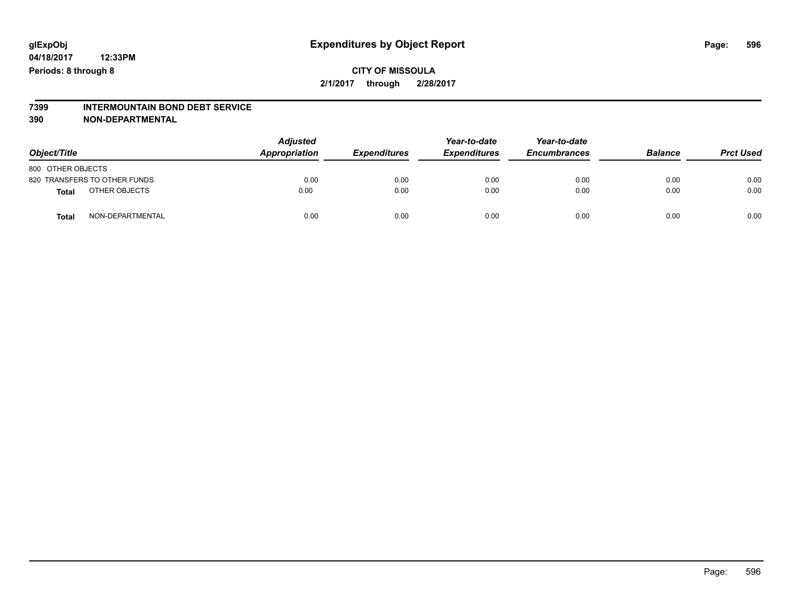# **7399 INTERMOUNTAIN BOND DEBT SERVICE**

**390 NON-DEPARTMENTAL**

| Object/Title      |                              | <b>Adjusted</b><br>Appropriation | <b>Expenditures</b> | Year-to-date<br><b>Expenditures</b> | Year-to-date<br><b>Encumbrances</b> | <b>Balance</b> | <b>Prct Used</b> |
|-------------------|------------------------------|----------------------------------|---------------------|-------------------------------------|-------------------------------------|----------------|------------------|
| 800 OTHER OBJECTS |                              |                                  |                     |                                     |                                     |                |                  |
|                   | 820 TRANSFERS TO OTHER FUNDS | 0.00                             | 0.00                | 0.00                                | 0.00                                | 0.00           | 0.00             |
| <b>Total</b>      | OTHER OBJECTS                | 0.00                             | 0.00                | 0.00                                | 0.00                                | 0.00           | 0.00             |
| <b>Total</b>      | NON-DEPARTMENTAL             | 0.00                             | 0.00                | 0.00                                | 0.00                                | 0.00           | 0.00             |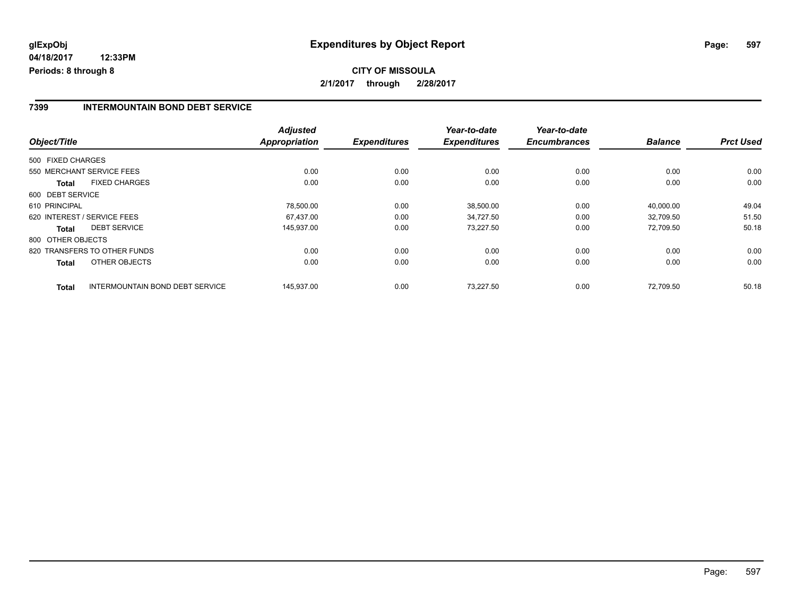#### **7399 INTERMOUNTAIN BOND DEBT SERVICE**

| Object/Title                                           | <b>Adjusted</b><br><b>Appropriation</b> | <b>Expenditures</b> | Year-to-date<br><b>Expenditures</b> | Year-to-date<br><b>Encumbrances</b> | <b>Balance</b> | <b>Prct Used</b> |
|--------------------------------------------------------|-----------------------------------------|---------------------|-------------------------------------|-------------------------------------|----------------|------------------|
|                                                        |                                         |                     |                                     |                                     |                |                  |
| 500 FIXED CHARGES                                      |                                         |                     |                                     |                                     |                |                  |
| 550 MERCHANT SERVICE FEES                              | 0.00                                    | 0.00                | 0.00                                | 0.00                                | 0.00           | 0.00             |
| <b>FIXED CHARGES</b><br><b>Total</b>                   | 0.00                                    | 0.00                | 0.00                                | 0.00                                | 0.00           | 0.00             |
| 600 DEBT SERVICE                                       |                                         |                     |                                     |                                     |                |                  |
| 610 PRINCIPAL                                          | 78.500.00                               | 0.00                | 38,500.00                           | 0.00                                | 40.000.00      | 49.04            |
| 620 INTEREST / SERVICE FEES                            | 67.437.00                               | 0.00                | 34.727.50                           | 0.00                                | 32.709.50      | 51.50            |
| <b>DEBT SERVICE</b><br><b>Total</b>                    | 145,937.00                              | 0.00                | 73,227.50                           | 0.00                                | 72,709.50      | 50.18            |
| 800 OTHER OBJECTS                                      |                                         |                     |                                     |                                     |                |                  |
| 820 TRANSFERS TO OTHER FUNDS                           | 0.00                                    | 0.00                | 0.00                                | 0.00                                | 0.00           | 0.00             |
| OTHER OBJECTS<br>Total                                 | 0.00                                    | 0.00                | 0.00                                | 0.00                                | 0.00           | 0.00             |
| <b>INTERMOUNTAIN BOND DEBT SERVICE</b><br><b>Total</b> | 145,937.00                              | 0.00                | 73.227.50                           | 0.00                                | 72.709.50      | 50.18            |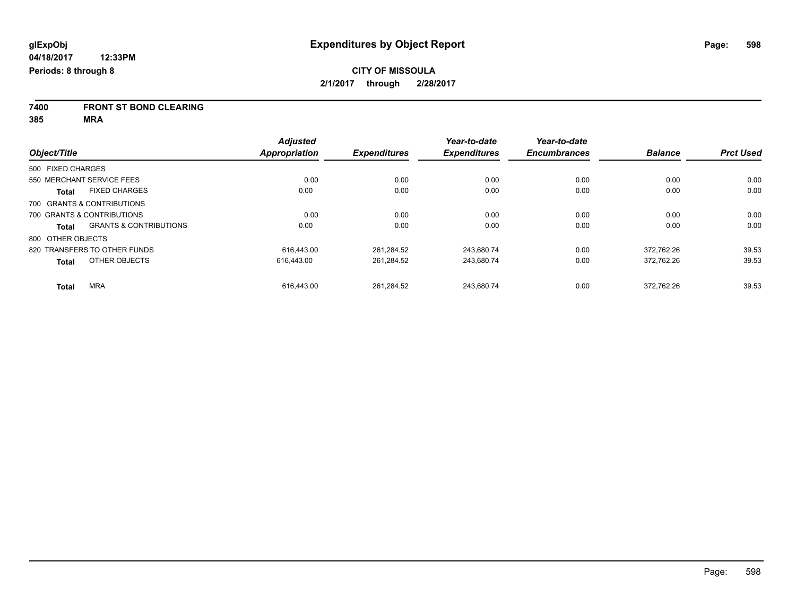**7400 FRONT ST BOND CLEARING**

**385 MRA**

|                   |                                   | <b>Adjusted</b>      |                     | Year-to-date        | Year-to-date        |                |                  |
|-------------------|-----------------------------------|----------------------|---------------------|---------------------|---------------------|----------------|------------------|
| Object/Title      |                                   | <b>Appropriation</b> | <b>Expenditures</b> | <b>Expenditures</b> | <b>Encumbrances</b> | <b>Balance</b> | <b>Prct Used</b> |
| 500 FIXED CHARGES |                                   |                      |                     |                     |                     |                |                  |
|                   | 550 MERCHANT SERVICE FEES         | 0.00                 | 0.00                | 0.00                | 0.00                | 0.00           | 0.00             |
| <b>Total</b>      | <b>FIXED CHARGES</b>              | 0.00                 | 0.00                | 0.00                | 0.00                | 0.00           | 0.00             |
|                   | 700 GRANTS & CONTRIBUTIONS        |                      |                     |                     |                     |                |                  |
|                   | 700 GRANTS & CONTRIBUTIONS        | 0.00                 | 0.00                | 0.00                | 0.00                | 0.00           | 0.00             |
| <b>Total</b>      | <b>GRANTS &amp; CONTRIBUTIONS</b> | 0.00                 | 0.00                | 0.00                | 0.00                | 0.00           | 0.00             |
| 800 OTHER OBJECTS |                                   |                      |                     |                     |                     |                |                  |
|                   | 820 TRANSFERS TO OTHER FUNDS      | 616.443.00           | 261.284.52          | 243.680.74          | 0.00                | 372.762.26     | 39.53            |
| <b>Total</b>      | OTHER OBJECTS                     | 616,443.00           | 261,284.52          | 243,680.74          | 0.00                | 372,762.26     | 39.53            |
| <b>Total</b>      | <b>MRA</b>                        | 616.443.00           | 261.284.52          | 243.680.74          | 0.00                | 372.762.26     | 39.53            |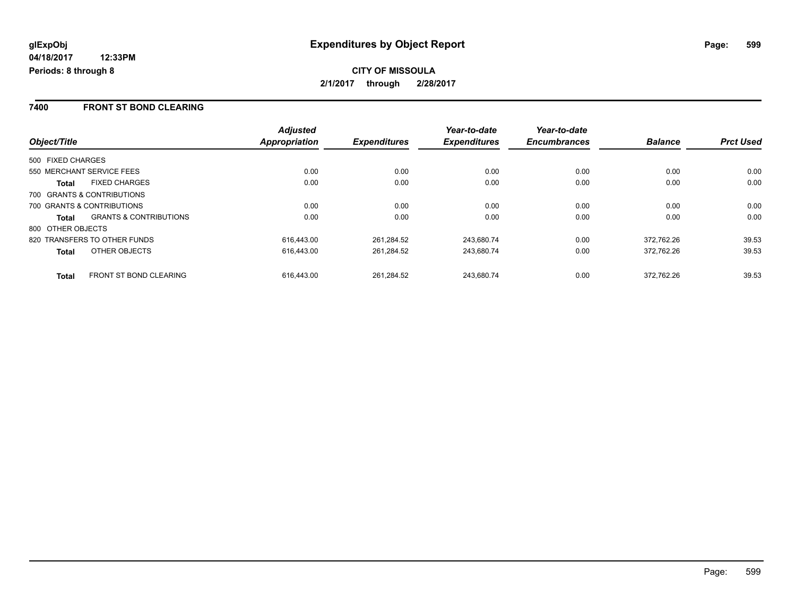### **7400 FRONT ST BOND CLEARING**

|                                                   | <b>Adjusted</b><br><b>Appropriation</b> |                     | Year-to-date        | Year-to-date<br><b>Encumbrances</b> | <b>Balance</b> | <b>Prct Used</b> |
|---------------------------------------------------|-----------------------------------------|---------------------|---------------------|-------------------------------------|----------------|------------------|
| Object/Title                                      |                                         | <b>Expenditures</b> | <b>Expenditures</b> |                                     |                |                  |
| 500 FIXED CHARGES                                 |                                         |                     |                     |                                     |                |                  |
| 550 MERCHANT SERVICE FEES                         | 0.00                                    | 0.00                | 0.00                | 0.00                                | 0.00           | 0.00             |
| <b>FIXED CHARGES</b><br><b>Total</b>              | 0.00                                    | 0.00                | 0.00                | 0.00                                | 0.00           | 0.00             |
| 700 GRANTS & CONTRIBUTIONS                        |                                         |                     |                     |                                     |                |                  |
| 700 GRANTS & CONTRIBUTIONS                        | 0.00                                    | 0.00                | 0.00                | 0.00                                | 0.00           | 0.00             |
| <b>GRANTS &amp; CONTRIBUTIONS</b><br><b>Total</b> | 0.00                                    | 0.00                | 0.00                | 0.00                                | 0.00           | 0.00             |
| 800 OTHER OBJECTS                                 |                                         |                     |                     |                                     |                |                  |
| 820 TRANSFERS TO OTHER FUNDS                      | 616.443.00                              | 261.284.52          | 243.680.74          | 0.00                                | 372.762.26     | 39.53            |
| OTHER OBJECTS<br><b>Total</b>                     | 616.443.00                              | 261.284.52          | 243,680.74          | 0.00                                | 372.762.26     | 39.53            |
| <b>FRONT ST BOND CLEARING</b><br><b>Total</b>     | 616.443.00                              | 261.284.52          | 243.680.74          | 0.00                                | 372.762.26     | 39.53            |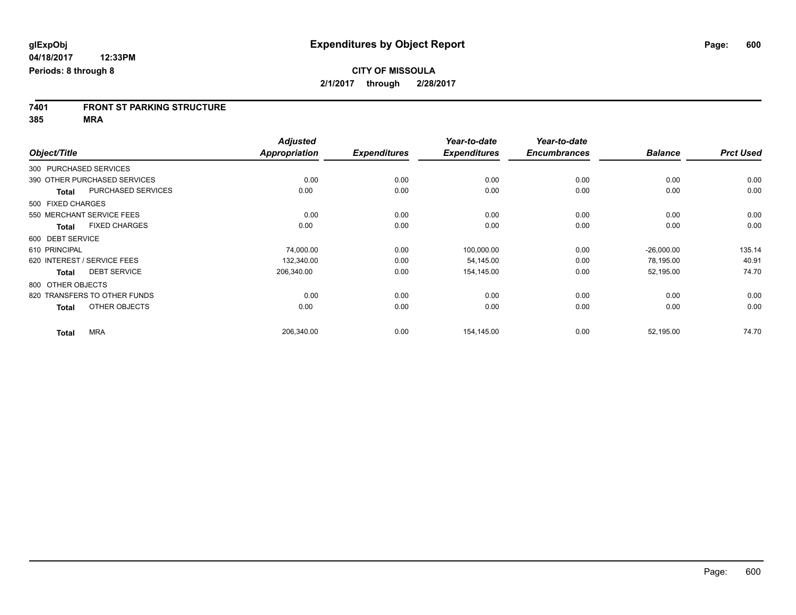# **7401 FRONT ST PARKING STRUCTURE**

**385 MRA**

|                   |                              | <b>Adjusted</b>      |                     | Year-to-date        | Year-to-date        |                |                  |
|-------------------|------------------------------|----------------------|---------------------|---------------------|---------------------|----------------|------------------|
| Object/Title      |                              | <b>Appropriation</b> | <b>Expenditures</b> | <b>Expenditures</b> | <b>Encumbrances</b> | <b>Balance</b> | <b>Prct Used</b> |
|                   | 300 PURCHASED SERVICES       |                      |                     |                     |                     |                |                  |
|                   | 390 OTHER PURCHASED SERVICES | 0.00                 | 0.00                | 0.00                | 0.00                | 0.00           | 0.00             |
| <b>Total</b>      | PURCHASED SERVICES           | 0.00                 | 0.00                | 0.00                | 0.00                | 0.00           | 0.00             |
| 500 FIXED CHARGES |                              |                      |                     |                     |                     |                |                  |
|                   | 550 MERCHANT SERVICE FEES    | 0.00                 | 0.00                | 0.00                | 0.00                | 0.00           | 0.00             |
| Total             | <b>FIXED CHARGES</b>         | 0.00                 | 0.00                | 0.00                | 0.00                | 0.00           | 0.00             |
| 600 DEBT SERVICE  |                              |                      |                     |                     |                     |                |                  |
| 610 PRINCIPAL     |                              | 74,000.00            | 0.00                | 100,000.00          | 0.00                | $-26,000.00$   | 135.14           |
|                   | 620 INTEREST / SERVICE FEES  | 132,340.00           | 0.00                | 54,145.00           | 0.00                | 78,195.00      | 40.91            |
| <b>Total</b>      | <b>DEBT SERVICE</b>          | 206,340.00           | 0.00                | 154,145.00          | 0.00                | 52,195.00      | 74.70            |
| 800 OTHER OBJECTS |                              |                      |                     |                     |                     |                |                  |
|                   | 820 TRANSFERS TO OTHER FUNDS | 0.00                 | 0.00                | 0.00                | 0.00                | 0.00           | 0.00             |
| <b>Total</b>      | OTHER OBJECTS                | 0.00                 | 0.00                | 0.00                | 0.00                | 0.00           | 0.00             |
| <b>Total</b>      | <b>MRA</b>                   | 206,340.00           | 0.00                | 154,145.00          | 0.00                | 52,195.00      | 74.70            |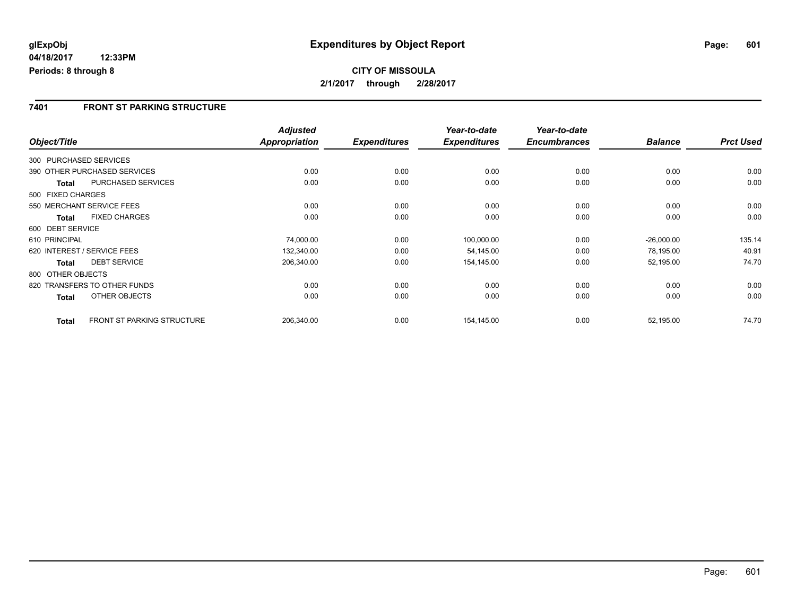### **7401 FRONT ST PARKING STRUCTURE**

|                        |                              | <b>Adjusted</b>      |                     | Year-to-date        | Year-to-date        |                |                  |
|------------------------|------------------------------|----------------------|---------------------|---------------------|---------------------|----------------|------------------|
| Object/Title           |                              | <b>Appropriation</b> | <b>Expenditures</b> | <b>Expenditures</b> | <b>Encumbrances</b> | <b>Balance</b> | <b>Prct Used</b> |
| 300 PURCHASED SERVICES |                              |                      |                     |                     |                     |                |                  |
|                        | 390 OTHER PURCHASED SERVICES | 0.00                 | 0.00                | 0.00                | 0.00                | 0.00           | 0.00             |
| Total                  | <b>PURCHASED SERVICES</b>    | 0.00                 | 0.00                | 0.00                | 0.00                | 0.00           | 0.00             |
| 500 FIXED CHARGES      |                              |                      |                     |                     |                     |                |                  |
|                        | 550 MERCHANT SERVICE FEES    | 0.00                 | 0.00                | 0.00                | 0.00                | 0.00           | 0.00             |
| <b>Total</b>           | <b>FIXED CHARGES</b>         | 0.00                 | 0.00                | 0.00                | 0.00                | 0.00           | 0.00             |
| 600 DEBT SERVICE       |                              |                      |                     |                     |                     |                |                  |
| 610 PRINCIPAL          |                              | 74,000.00            | 0.00                | 100,000.00          | 0.00                | $-26,000.00$   | 135.14           |
|                        | 620 INTEREST / SERVICE FEES  | 132,340.00           | 0.00                | 54.145.00           | 0.00                | 78,195.00      | 40.91            |
| <b>Total</b>           | <b>DEBT SERVICE</b>          | 206,340.00           | 0.00                | 154,145.00          | 0.00                | 52,195.00      | 74.70            |
| 800 OTHER OBJECTS      |                              |                      |                     |                     |                     |                |                  |
|                        | 820 TRANSFERS TO OTHER FUNDS | 0.00                 | 0.00                | 0.00                | 0.00                | 0.00           | 0.00             |
| <b>Total</b>           | OTHER OBJECTS                | 0.00                 | 0.00                | 0.00                | 0.00                | 0.00           | 0.00             |
| <b>Total</b>           | FRONT ST PARKING STRUCTURE   | 206,340.00           | 0.00                | 154,145.00          | 0.00                | 52,195.00      | 74.70            |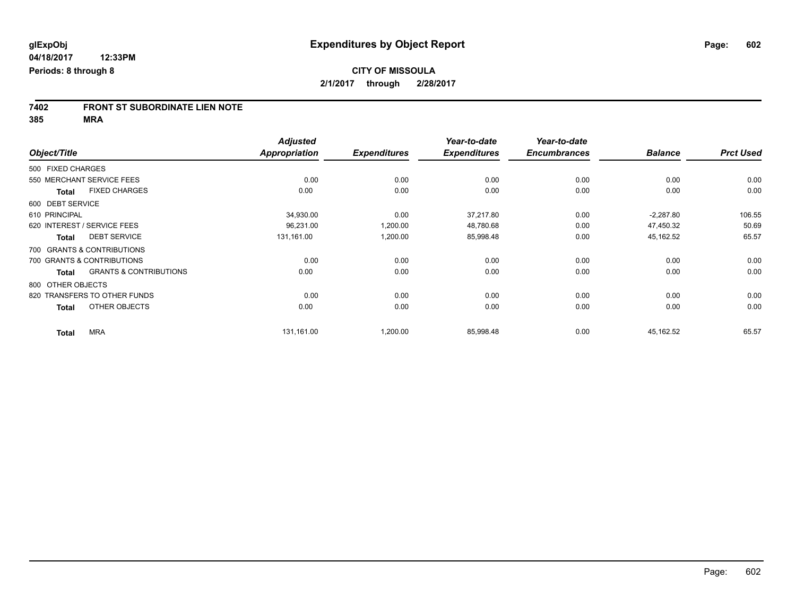# **7402 FRONT ST SUBORDINATE LIEN NOTE**

**385 MRA**

|                   |                                   | <b>Adjusted</b>      |                     | Year-to-date        | Year-to-date        |                |                  |
|-------------------|-----------------------------------|----------------------|---------------------|---------------------|---------------------|----------------|------------------|
| Object/Title      |                                   | <b>Appropriation</b> | <b>Expenditures</b> | <b>Expenditures</b> | <b>Encumbrances</b> | <b>Balance</b> | <b>Prct Used</b> |
| 500 FIXED CHARGES |                                   |                      |                     |                     |                     |                |                  |
|                   | 550 MERCHANT SERVICE FEES         | 0.00                 | 0.00                | 0.00                | 0.00                | 0.00           | 0.00             |
| <b>Total</b>      | <b>FIXED CHARGES</b>              | 0.00                 | 0.00                | 0.00                | 0.00                | 0.00           | 0.00             |
| 600 DEBT SERVICE  |                                   |                      |                     |                     |                     |                |                  |
| 610 PRINCIPAL     |                                   | 34,930.00            | 0.00                | 37,217.80           | 0.00                | $-2,287.80$    | 106.55           |
|                   | 620 INTEREST / SERVICE FEES       | 96,231.00            | 1,200.00            | 48,780.68           | 0.00                | 47,450.32      | 50.69            |
| <b>Total</b>      | <b>DEBT SERVICE</b>               | 131,161.00           | 1,200.00            | 85,998.48           | 0.00                | 45,162.52      | 65.57            |
|                   | 700 GRANTS & CONTRIBUTIONS        |                      |                     |                     |                     |                |                  |
|                   | 700 GRANTS & CONTRIBUTIONS        | 0.00                 | 0.00                | 0.00                | 0.00                | 0.00           | 0.00             |
| <b>Total</b>      | <b>GRANTS &amp; CONTRIBUTIONS</b> | 0.00                 | 0.00                | 0.00                | 0.00                | 0.00           | 0.00             |
| 800 OTHER OBJECTS |                                   |                      |                     |                     |                     |                |                  |
|                   | 820 TRANSFERS TO OTHER FUNDS      | 0.00                 | 0.00                | 0.00                | 0.00                | 0.00           | 0.00             |
| <b>Total</b>      | OTHER OBJECTS                     | 0.00                 | 0.00                | 0.00                | 0.00                | 0.00           | 0.00             |
| <b>Total</b>      | <b>MRA</b>                        | 131,161.00           | 1,200.00            | 85,998.48           | 0.00                | 45,162.52      | 65.57            |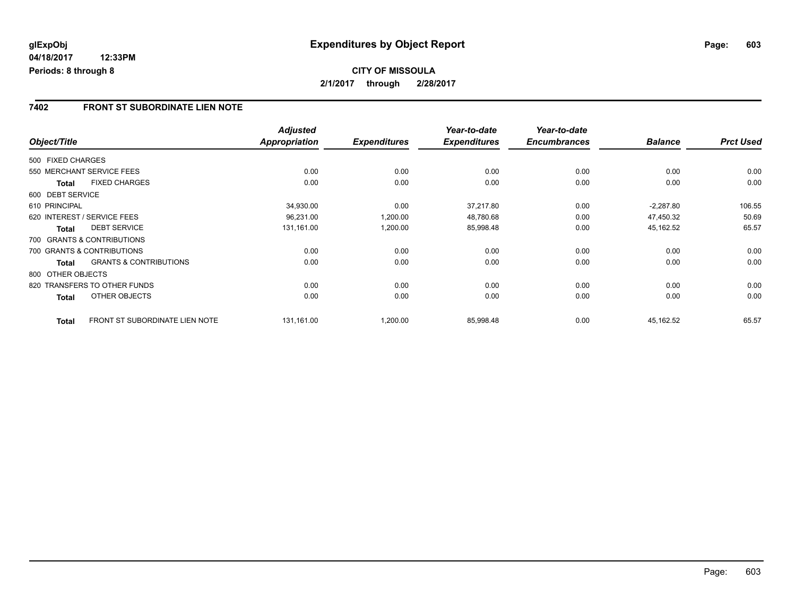### **7402 FRONT ST SUBORDINATE LIEN NOTE**

|                   |                                       | <b>Adjusted</b> |                     | Year-to-date        | Year-to-date        |                |                  |
|-------------------|---------------------------------------|-----------------|---------------------|---------------------|---------------------|----------------|------------------|
| Object/Title      |                                       | Appropriation   | <b>Expenditures</b> | <b>Expenditures</b> | <b>Encumbrances</b> | <b>Balance</b> | <b>Prct Used</b> |
| 500 FIXED CHARGES |                                       |                 |                     |                     |                     |                |                  |
|                   | 550 MERCHANT SERVICE FEES             | 0.00            | 0.00                | 0.00                | 0.00                | 0.00           | 0.00             |
| <b>Total</b>      | <b>FIXED CHARGES</b>                  | 0.00            | 0.00                | 0.00                | 0.00                | 0.00           | 0.00             |
| 600 DEBT SERVICE  |                                       |                 |                     |                     |                     |                |                  |
| 610 PRINCIPAL     |                                       | 34,930.00       | 0.00                | 37,217.80           | 0.00                | $-2,287.80$    | 106.55           |
|                   | 620 INTEREST / SERVICE FEES           | 96,231.00       | 1,200.00            | 48,780.68           | 0.00                | 47,450.32      | 50.69            |
| <b>Total</b>      | <b>DEBT SERVICE</b>                   | 131,161.00      | 1,200.00            | 85,998.48           | 0.00                | 45,162.52      | 65.57            |
|                   | 700 GRANTS & CONTRIBUTIONS            |                 |                     |                     |                     |                |                  |
|                   | 700 GRANTS & CONTRIBUTIONS            | 0.00            | 0.00                | 0.00                | 0.00                | 0.00           | 0.00             |
| <b>Total</b>      | <b>GRANTS &amp; CONTRIBUTIONS</b>     | 0.00            | 0.00                | 0.00                | 0.00                | 0.00           | 0.00             |
| 800 OTHER OBJECTS |                                       |                 |                     |                     |                     |                |                  |
|                   | 820 TRANSFERS TO OTHER FUNDS          | 0.00            | 0.00                | 0.00                | 0.00                | 0.00           | 0.00             |
| <b>Total</b>      | OTHER OBJECTS                         | 0.00            | 0.00                | 0.00                | 0.00                | 0.00           | 0.00             |
| <b>Total</b>      | <b>FRONT ST SUBORDINATE LIEN NOTE</b> | 131,161.00      | 1,200.00            | 85,998.48           | 0.00                | 45,162.52      | 65.57            |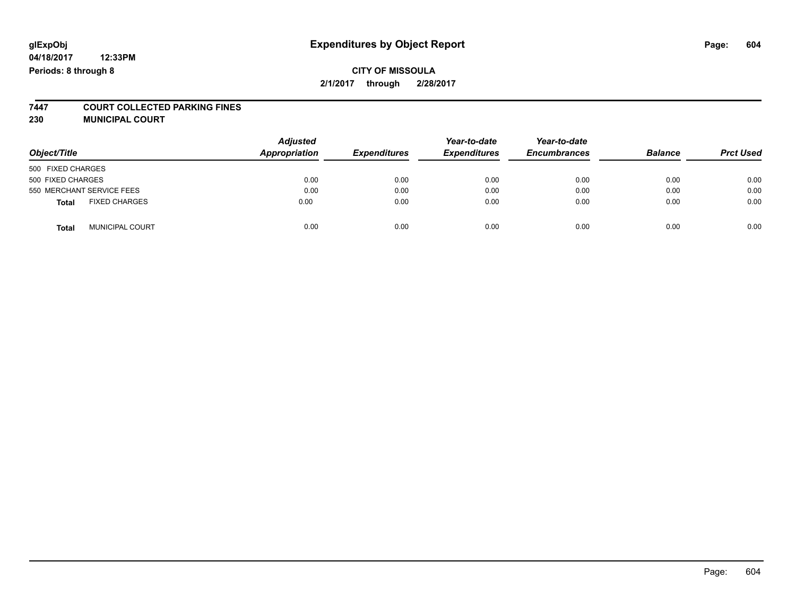## **glExpObj Expenditures by Object Report Page: 604**

**04/18/2017 12:33PM Periods: 8 through 8**

# **7447 COURT COLLECTED PARKING FINES**

**230 MUNICIPAL COURT**

| Object/Title                           | <b>Adjusted</b><br>Appropriation | <b>Expenditures</b> | Year-to-date<br><b>Expenditures</b> | Year-to-date<br><b>Encumbrances</b> | <b>Balance</b> | <b>Prct Used</b> |
|----------------------------------------|----------------------------------|---------------------|-------------------------------------|-------------------------------------|----------------|------------------|
| 500 FIXED CHARGES                      |                                  |                     |                                     |                                     |                |                  |
| 500 FIXED CHARGES                      | 0.00                             | 0.00                | 0.00                                | 0.00                                | 0.00           | 0.00             |
| 550 MERCHANT SERVICE FEES              | 0.00                             | 0.00                | 0.00                                | 0.00                                | 0.00           | 0.00             |
| <b>FIXED CHARGES</b><br><b>Total</b>   | 0.00                             | 0.00                | 0.00                                | 0.00                                | 0.00           | 0.00             |
| <b>MUNICIPAL COURT</b><br><b>Total</b> | 0.00                             | 0.00                | 0.00                                | 0.00                                | 0.00           | 0.00             |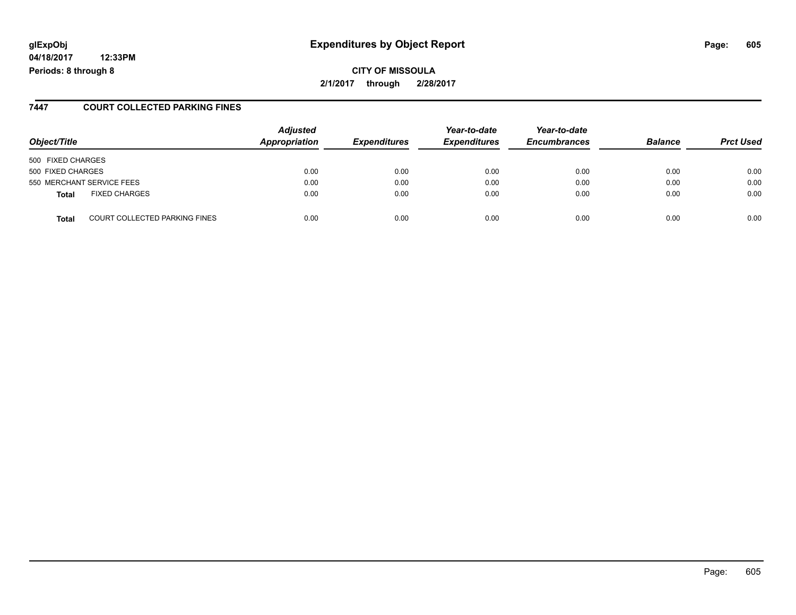## **glExpObj Expenditures by Object Report Page: 605**

**04/18/2017 12:33PM Periods: 8 through 8**

**2/1/2017 through 2/28/2017**

#### **7447 COURT COLLECTED PARKING FINES**

| Object/Title                                  | <b>Adjusted</b><br>Appropriation | <b>Expenditures</b> | Year-to-date<br><b>Expenditures</b> | Year-to-date<br><b>Encumbrances</b> | <b>Balance</b> | <b>Prct Used</b> |
|-----------------------------------------------|----------------------------------|---------------------|-------------------------------------|-------------------------------------|----------------|------------------|
| 500 FIXED CHARGES                             |                                  |                     |                                     |                                     |                |                  |
| 500 FIXED CHARGES                             | 0.00                             | 0.00                | 0.00                                | 0.00                                | 0.00           | 0.00             |
| 550 MERCHANT SERVICE FEES                     | 0.00                             | 0.00                | 0.00                                | 0.00                                | 0.00           | 0.00             |
| <b>FIXED CHARGES</b><br>Total                 | 0.00                             | 0.00                | 0.00                                | 0.00                                | 0.00           | 0.00             |
| <b>COURT COLLECTED PARKING FINES</b><br>Total | 0.00                             | 0.00                | 0.00                                | 0.00                                | 0.00           | 0.00             |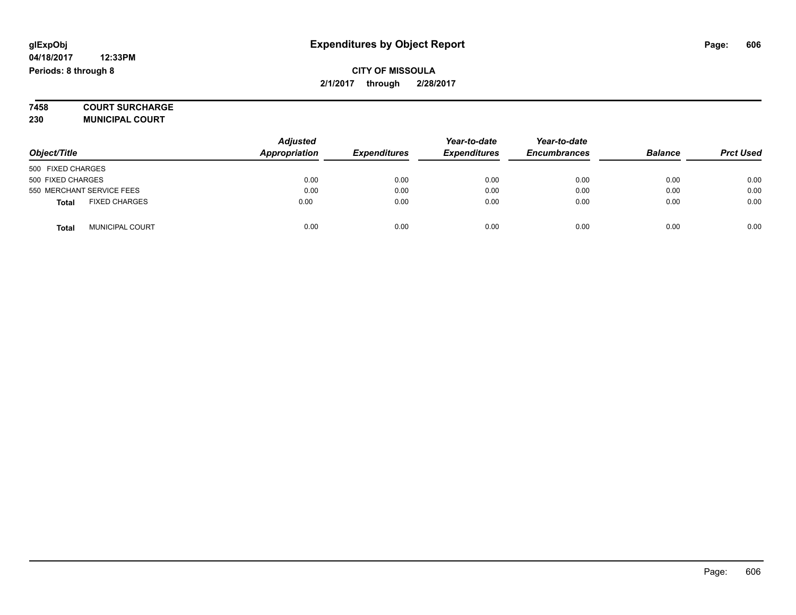# **7458 COURT SURCHARGE**

**230 MUNICIPAL COURT**

|                                        | <b>Adjusted</b> |                     | Year-to-date        | Year-to-date        |                |                  |
|----------------------------------------|-----------------|---------------------|---------------------|---------------------|----------------|------------------|
| Object/Title                           | Appropriation   | <b>Expenditures</b> | <b>Expenditures</b> | <b>Encumbrances</b> | <b>Balance</b> | <b>Prct Used</b> |
| 500 FIXED CHARGES                      |                 |                     |                     |                     |                |                  |
| 500 FIXED CHARGES                      | 0.00            | 0.00                | 0.00                | 0.00                | 0.00           | 0.00             |
| 550 MERCHANT SERVICE FEES              | 0.00            | 0.00                | 0.00                | 0.00                | 0.00           | 0.00             |
| <b>FIXED CHARGES</b><br><b>Total</b>   | 0.00            | 0.00                | 0.00                | 0.00                | 0.00           | 0.00             |
| <b>MUNICIPAL COURT</b><br><b>Total</b> | 0.00            | 0.00                | 0.00                | 0.00                | 0.00           | 0.00             |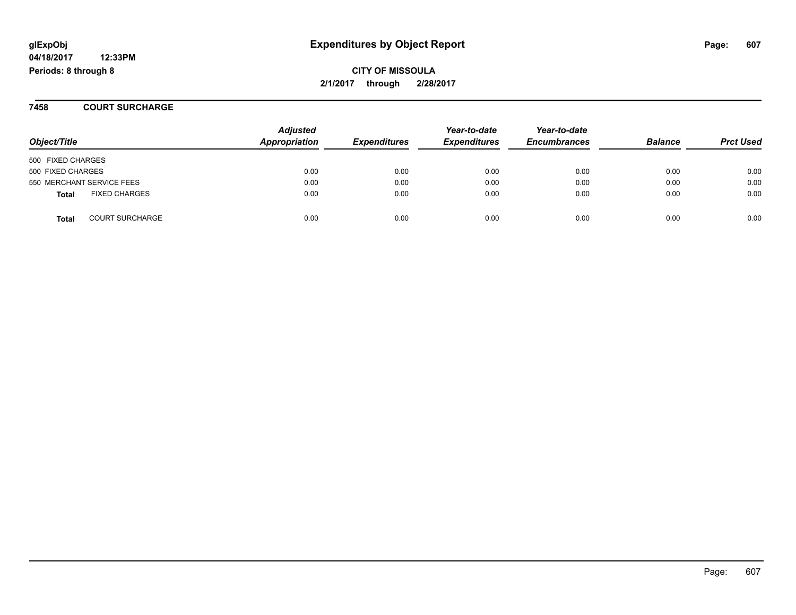## **glExpObj Expenditures by Object Report Page: 607**

**04/18/2017 12:33PM Periods: 8 through 8**

**CITY OF MISSOULA 2/1/2017 through 2/28/2017**

**7458 COURT SURCHARGE**

| Object/Title                           | <b>Adjusted</b><br>Appropriation | <b>Expenditures</b> | Year-to-date<br><b>Expenditures</b> | Year-to-date<br><b>Encumbrances</b> | <b>Balance</b> | <b>Prct Used</b> |
|----------------------------------------|----------------------------------|---------------------|-------------------------------------|-------------------------------------|----------------|------------------|
| 500 FIXED CHARGES                      |                                  |                     |                                     |                                     |                |                  |
| 500 FIXED CHARGES                      | 0.00                             | 0.00                | 0.00                                | 0.00                                | 0.00           | 0.00             |
| 550 MERCHANT SERVICE FEES              | 0.00                             | 0.00                | 0.00                                | 0.00                                | 0.00           | 0.00             |
| <b>FIXED CHARGES</b><br><b>Total</b>   | 0.00                             | 0.00                | 0.00                                | 0.00                                | 0.00           | 0.00             |
| <b>COURT SURCHARGE</b><br><b>Total</b> | 0.00                             | 0.00                | 0.00                                | 0.00                                | 0.00           | 0.00             |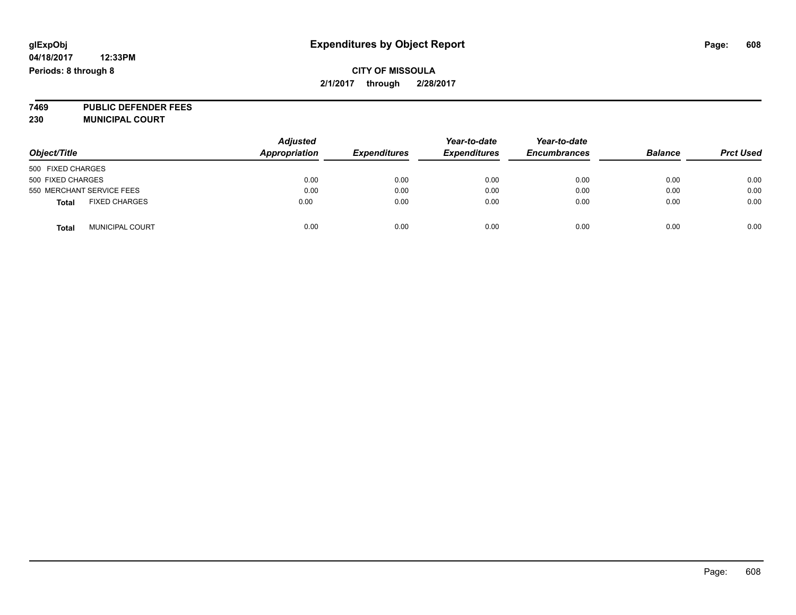**7469 PUBLIC DEFENDER FEES 230 MUNICIPAL COURT**

| Object/Title                           | <b>Adjusted</b><br><b>Appropriation</b> | <b>Expenditures</b> | Year-to-date<br><b>Expenditures</b> | Year-to-date<br><b>Encumbrances</b> | <b>Balance</b> | <b>Prct Used</b> |
|----------------------------------------|-----------------------------------------|---------------------|-------------------------------------|-------------------------------------|----------------|------------------|
| 500 FIXED CHARGES                      |                                         |                     |                                     |                                     |                |                  |
| 500 FIXED CHARGES                      | 0.00                                    | 0.00                | 0.00                                | 0.00                                | 0.00           | 0.00             |
| 550 MERCHANT SERVICE FEES              | 0.00                                    | 0.00                | 0.00                                | 0.00                                | 0.00           | 0.00             |
| <b>FIXED CHARGES</b><br><b>Total</b>   | 0.00                                    | 0.00                | 0.00                                | 0.00                                | 0.00           | 0.00             |
| <b>MUNICIPAL COURT</b><br><b>Total</b> | 0.00                                    | 0.00                | 0.00                                | 0.00                                | 0.00           | 0.00             |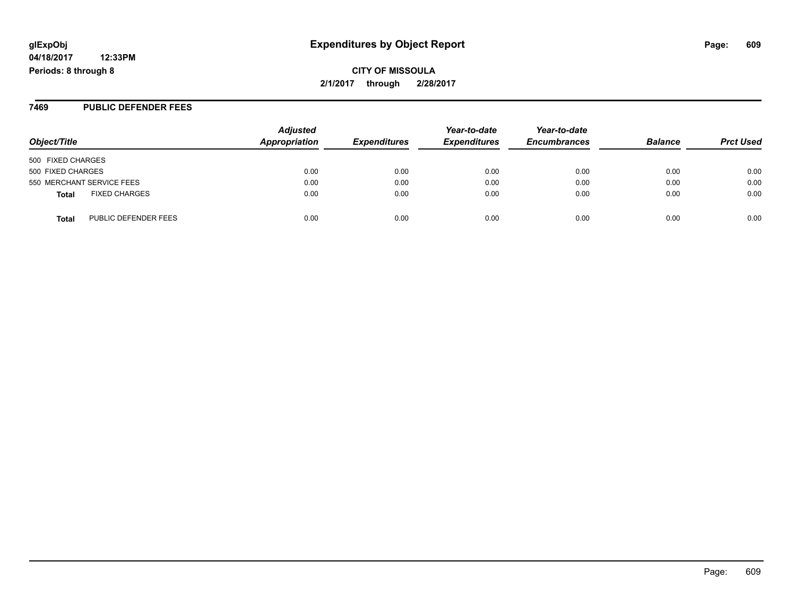## **glExpObj Expenditures by Object Report Page: 609**

**04/18/2017 12:33PM Periods: 8 through 8**

**CITY OF MISSOULA 2/1/2017 through 2/28/2017**

#### **7469 PUBLIC DEFENDER FEES**

| Object/Title                         | <b>Adjusted</b><br>Appropriation | <b>Expenditures</b> | Year-to-date<br><b>Expenditures</b> | Year-to-date<br><b>Encumbrances</b> | <b>Balance</b> | <b>Prct Used</b> |
|--------------------------------------|----------------------------------|---------------------|-------------------------------------|-------------------------------------|----------------|------------------|
| 500 FIXED CHARGES                    |                                  |                     |                                     |                                     |                |                  |
| 500 FIXED CHARGES                    | 0.00                             | 0.00                | 0.00                                | 0.00                                | 0.00           | 0.00             |
| 550 MERCHANT SERVICE FEES            | 0.00                             | 0.00                | 0.00                                | 0.00                                | 0.00           | 0.00             |
| <b>FIXED CHARGES</b><br><b>Total</b> | 0.00                             | 0.00                | 0.00                                | 0.00                                | 0.00           | 0.00             |
| PUBLIC DEFENDER FEES<br><b>Total</b> | 0.00                             | 0.00                | 0.00                                | 0.00                                | 0.00           | 0.00             |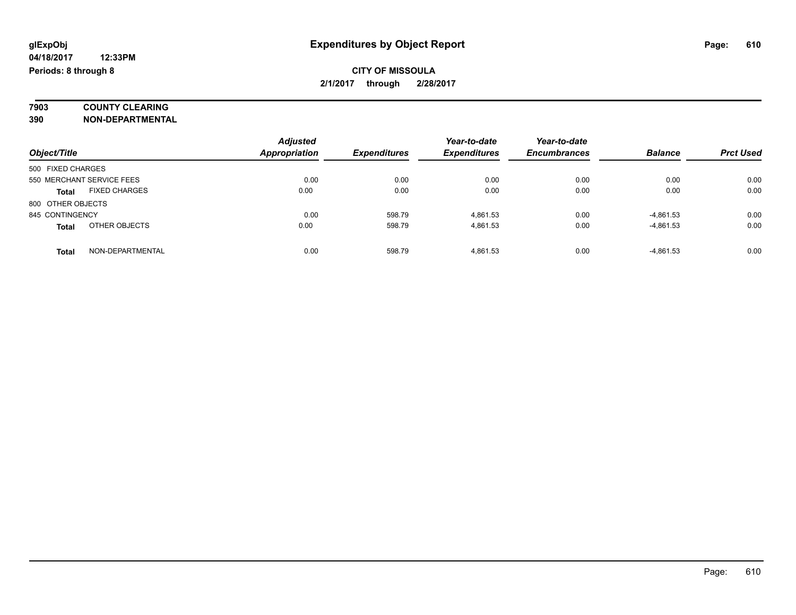# **7903 COUNTY CLEARING**

**390 NON-DEPARTMENTAL**

|                                      | <b>Adjusted</b>      |                     | Year-to-date        | Year-to-date        |                |                  |
|--------------------------------------|----------------------|---------------------|---------------------|---------------------|----------------|------------------|
| Object/Title                         | <b>Appropriation</b> | <b>Expenditures</b> | <b>Expenditures</b> | <b>Encumbrances</b> | <b>Balance</b> | <b>Prct Used</b> |
| 500 FIXED CHARGES                    |                      |                     |                     |                     |                |                  |
| 550 MERCHANT SERVICE FEES            | 0.00                 | 0.00                | 0.00                | 0.00                | 0.00           | 0.00             |
| <b>FIXED CHARGES</b><br><b>Total</b> | 0.00                 | 0.00                | 0.00                | 0.00                | 0.00           | 0.00             |
| 800 OTHER OBJECTS                    |                      |                     |                     |                     |                |                  |
| 845 CONTINGENCY                      | 0.00                 | 598.79              | 4.861.53            | 0.00                | $-4,861.53$    | 0.00             |
| OTHER OBJECTS<br><b>Total</b>        | 0.00                 | 598.79              | 4.861.53            | 0.00                | $-4,861.53$    | 0.00             |
| NON-DEPARTMENTAL<br><b>Total</b>     | 0.00                 | 598.79              | 4.861.53            | 0.00                | $-4,861.53$    | 0.00             |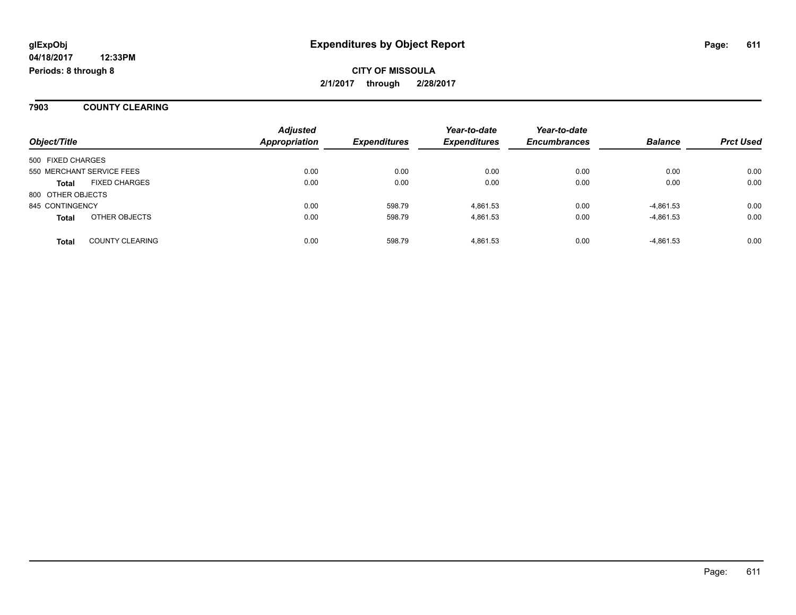**7903 COUNTY CLEARING**

| Object/Title      |                           | <b>Adjusted</b><br><b>Appropriation</b> | <b>Expenditures</b> | Year-to-date<br><b>Expenditures</b> | Year-to-date<br><b>Encumbrances</b> | <b>Balance</b> | <b>Prct Used</b> |
|-------------------|---------------------------|-----------------------------------------|---------------------|-------------------------------------|-------------------------------------|----------------|------------------|
| 500 FIXED CHARGES |                           |                                         |                     |                                     |                                     |                |                  |
|                   | 550 MERCHANT SERVICE FEES | 0.00                                    | 0.00                | 0.00                                | 0.00                                | 0.00           | 0.00             |
| <b>Total</b>      | <b>FIXED CHARGES</b>      | 0.00                                    | 0.00                | 0.00                                | 0.00                                | 0.00           | 0.00             |
| 800 OTHER OBJECTS |                           |                                         |                     |                                     |                                     |                |                  |
| 845 CONTINGENCY   |                           | 0.00                                    | 598.79              | 4.861.53                            | 0.00                                | $-4.861.53$    | 0.00             |
| <b>Total</b>      | OTHER OBJECTS             | 0.00                                    | 598.79              | 4.861.53                            | 0.00                                | $-4.861.53$    | 0.00             |
| <b>Total</b>      | <b>COUNTY CLEARING</b>    | 0.00                                    | 598.79              | 4.861.53                            | 0.00                                | $-4,861.53$    | 0.00             |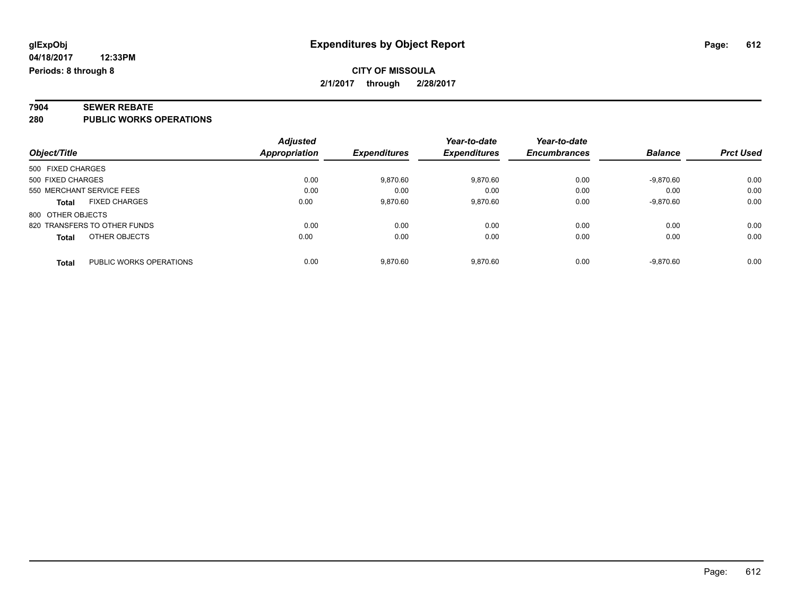# **7904 SEWER REBATE**

**280 PUBLIC WORKS OPERATIONS**

|                                         | <b>Adjusted</b> |                     | Year-to-date        | Year-to-date        |                |                  |
|-----------------------------------------|-----------------|---------------------|---------------------|---------------------|----------------|------------------|
| Object/Title                            | Appropriation   | <b>Expenditures</b> | <b>Expenditures</b> | <b>Encumbrances</b> | <b>Balance</b> | <b>Prct Used</b> |
| 500 FIXED CHARGES                       |                 |                     |                     |                     |                |                  |
| 500 FIXED CHARGES                       | 0.00            | 9,870.60            | 9,870.60            | 0.00                | $-9,870.60$    | 0.00             |
| 550 MERCHANT SERVICE FEES               | 0.00            | 0.00                | 0.00                | 0.00                | 0.00           | 0.00             |
| <b>FIXED CHARGES</b><br>Total           | 0.00            | 9,870.60            | 9,870.60            | 0.00                | $-9,870.60$    | 0.00             |
| 800 OTHER OBJECTS                       |                 |                     |                     |                     |                |                  |
| 820 TRANSFERS TO OTHER FUNDS            | 0.00            | 0.00                | 0.00                | 0.00                | 0.00           | 0.00             |
| OTHER OBJECTS<br><b>Total</b>           | 0.00            | 0.00                | 0.00                | 0.00                | 0.00           | 0.00             |
| PUBLIC WORKS OPERATIONS<br><b>Total</b> | 0.00            | 9.870.60            | 9.870.60            | 0.00                | $-9.870.60$    | 0.00             |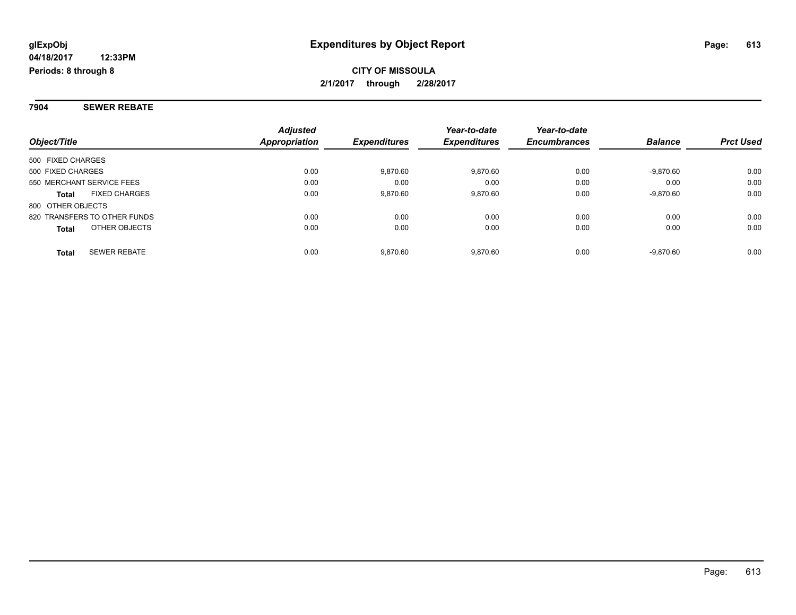### **7904 SEWER REBATE**

| Object/Title                         | <b>Adjusted</b><br><b>Appropriation</b> | <b>Expenditures</b> | Year-to-date<br><b>Expenditures</b> | Year-to-date<br><b>Encumbrances</b> | <b>Balance</b> | <b>Prct Used</b> |
|--------------------------------------|-----------------------------------------|---------------------|-------------------------------------|-------------------------------------|----------------|------------------|
| 500 FIXED CHARGES                    |                                         |                     |                                     |                                     |                |                  |
| 500 FIXED CHARGES                    | 0.00                                    | 9.870.60            | 9,870.60                            | 0.00                                | $-9,870.60$    | 0.00             |
| 550 MERCHANT SERVICE FEES            | 0.00                                    | 0.00                | 0.00                                | 0.00                                | 0.00           | 0.00             |
| <b>FIXED CHARGES</b><br><b>Total</b> | 0.00                                    | 9.870.60            | 9,870.60                            | 0.00                                | $-9,870.60$    | 0.00             |
| 800 OTHER OBJECTS                    |                                         |                     |                                     |                                     |                |                  |
| 820 TRANSFERS TO OTHER FUNDS         | 0.00                                    | 0.00                | 0.00                                | 0.00                                | 0.00           | 0.00             |
| OTHER OBJECTS<br><b>Total</b>        | 0.00                                    | 0.00                | 0.00                                | 0.00                                | 0.00           | 0.00             |
| <b>SEWER REBATE</b><br><b>Total</b>  | 0.00                                    | 9.870.60            | 9.870.60                            | 0.00                                | $-9.870.60$    | 0.00             |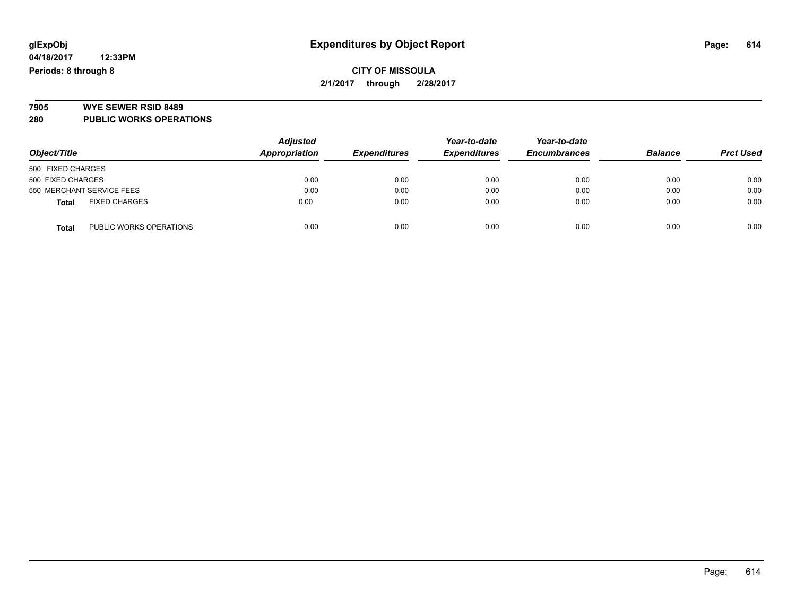### **CITY OF MISSOULA 2/1/2017 through 2/28/2017**

# **7905 WYE SEWER RSID 8489**

**280 PUBLIC WORKS OPERATIONS**

| Object/Title                            | <b>Adjusted</b><br><b>Appropriation</b> | <b>Expenditures</b> | Year-to-date<br><b>Expenditures</b> | Year-to-date<br><b>Encumbrances</b> | <b>Balance</b> | <b>Prct Used</b> |
|-----------------------------------------|-----------------------------------------|---------------------|-------------------------------------|-------------------------------------|----------------|------------------|
| 500 FIXED CHARGES                       |                                         |                     |                                     |                                     |                |                  |
| 500 FIXED CHARGES                       | 0.00                                    | 0.00                | 0.00                                | 0.00                                | 0.00           | 0.00             |
| 550 MERCHANT SERVICE FEES               | 0.00                                    | 0.00                | 0.00                                | 0.00                                | 0.00           | 0.00             |
| <b>FIXED CHARGES</b><br><b>Total</b>    | 0.00                                    | 0.00                | 0.00                                | 0.00                                | 0.00           | 0.00             |
| PUBLIC WORKS OPERATIONS<br><b>Total</b> | 0.00                                    | 0.00                | 0.00                                | 0.00                                | 0.00           | 0.00             |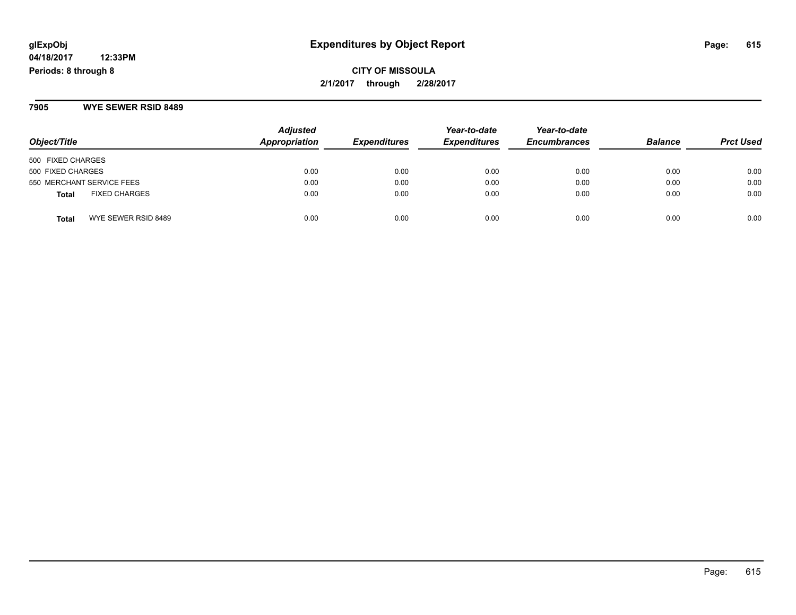**CITY OF MISSOULA 2/1/2017 through 2/28/2017**

**7905 WYE SEWER RSID 8489**

| Object/Title                         | <b>Adjusted</b><br><b>Appropriation</b> | <b>Expenditures</b> | Year-to-date<br><b>Expenditures</b> | Year-to-date<br><b>Encumbrances</b> | <b>Balance</b> | <b>Prct Used</b> |
|--------------------------------------|-----------------------------------------|---------------------|-------------------------------------|-------------------------------------|----------------|------------------|
| 500 FIXED CHARGES                    |                                         |                     |                                     |                                     |                |                  |
| 500 FIXED CHARGES                    | 0.00                                    | 0.00                | 0.00                                | 0.00                                | 0.00           | 0.00             |
| 550 MERCHANT SERVICE FEES            | 0.00                                    | 0.00                | 0.00                                | 0.00                                | 0.00           | 0.00             |
| <b>FIXED CHARGES</b><br><b>Total</b> | 0.00                                    | 0.00                | 0.00                                | 0.00                                | 0.00           | 0.00             |
| WYE SEWER RSID 8489<br><b>Total</b>  | 0.00                                    | 0.00                | 0.00                                | 0.00                                | 0.00           | 0.00             |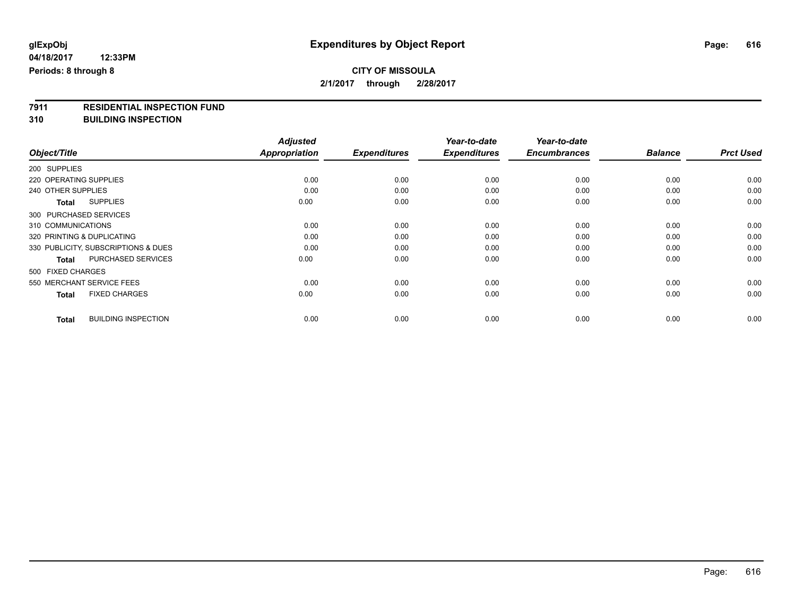**7911 RESIDENTIAL INSPECTION FUND**

**310 BUILDING INSPECTION**

|                                            | <b>Adjusted</b>      |                     | Year-to-date        | Year-to-date        |                |                  |
|--------------------------------------------|----------------------|---------------------|---------------------|---------------------|----------------|------------------|
| Object/Title                               | <b>Appropriation</b> | <b>Expenditures</b> | <b>Expenditures</b> | <b>Encumbrances</b> | <b>Balance</b> | <b>Prct Used</b> |
| 200 SUPPLIES                               |                      |                     |                     |                     |                |                  |
| 220 OPERATING SUPPLIES                     | 0.00                 | 0.00                | 0.00                | 0.00                | 0.00           | 0.00             |
| 240 OTHER SUPPLIES                         | 0.00                 | 0.00                | 0.00                | 0.00                | 0.00           | 0.00             |
| <b>SUPPLIES</b><br><b>Total</b>            | 0.00                 | 0.00                | 0.00                | 0.00                | 0.00           | 0.00             |
| 300 PURCHASED SERVICES                     |                      |                     |                     |                     |                |                  |
| 310 COMMUNICATIONS                         | 0.00                 | 0.00                | 0.00                | 0.00                | 0.00           | 0.00             |
| 320 PRINTING & DUPLICATING                 | 0.00                 | 0.00                | 0.00                | 0.00                | 0.00           | 0.00             |
| 330 PUBLICITY, SUBSCRIPTIONS & DUES        | 0.00                 | 0.00                | 0.00                | 0.00                | 0.00           | 0.00             |
| <b>PURCHASED SERVICES</b><br><b>Total</b>  | 0.00                 | 0.00                | 0.00                | 0.00                | 0.00           | 0.00             |
| 500 FIXED CHARGES                          |                      |                     |                     |                     |                |                  |
| 550 MERCHANT SERVICE FEES                  | 0.00                 | 0.00                | 0.00                | 0.00                | 0.00           | 0.00             |
| <b>FIXED CHARGES</b><br><b>Total</b>       | 0.00                 | 0.00                | 0.00                | 0.00                | 0.00           | 0.00             |
| <b>BUILDING INSPECTION</b><br><b>Total</b> | 0.00                 | 0.00                | 0.00                | 0.00                | 0.00           | 0.00             |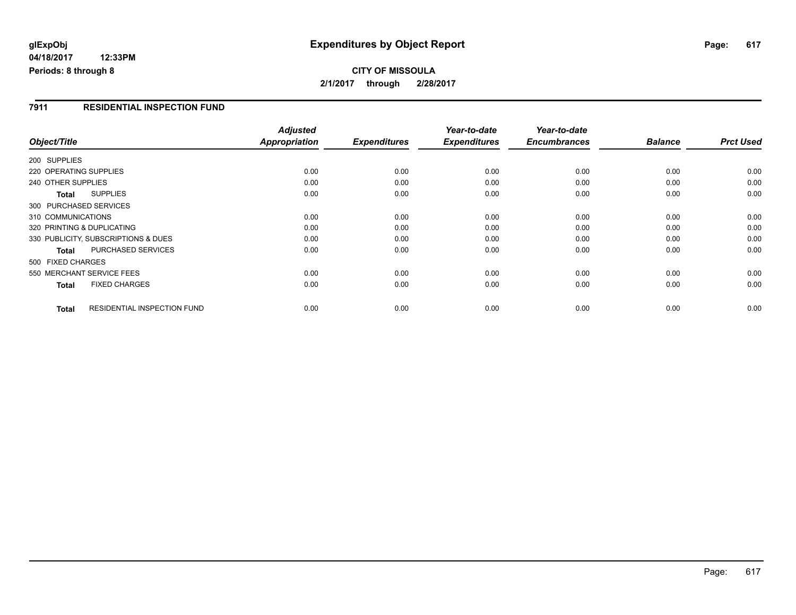# **glExpObj Expenditures by Object Report Page: 617**

**04/18/2017 12:33PM Periods: 8 through 8**

### **7911 RESIDENTIAL INSPECTION FUND**

| Object/Title               |                                     | <b>Adjusted</b><br><b>Appropriation</b> | <b>Expenditures</b> | Year-to-date<br><b>Expenditures</b> | Year-to-date<br><b>Encumbrances</b> | <b>Balance</b> | <b>Prct Used</b> |
|----------------------------|-------------------------------------|-----------------------------------------|---------------------|-------------------------------------|-------------------------------------|----------------|------------------|
| 200 SUPPLIES               |                                     |                                         |                     |                                     |                                     |                |                  |
| 220 OPERATING SUPPLIES     |                                     | 0.00                                    | 0.00                | 0.00                                | 0.00                                | 0.00           | 0.00             |
| 240 OTHER SUPPLIES         |                                     | 0.00                                    | 0.00                | 0.00                                | 0.00                                | 0.00           | 0.00             |
|                            |                                     |                                         |                     |                                     |                                     |                |                  |
| <b>Total</b>               | <b>SUPPLIES</b>                     | 0.00                                    | 0.00                | 0.00                                | 0.00                                | 0.00           | 0.00             |
| 300 PURCHASED SERVICES     |                                     |                                         |                     |                                     |                                     |                |                  |
| 310 COMMUNICATIONS         |                                     | 0.00                                    | 0.00                | 0.00                                | 0.00                                | 0.00           | 0.00             |
| 320 PRINTING & DUPLICATING |                                     | 0.00                                    | 0.00                | 0.00                                | 0.00                                | 0.00           | 0.00             |
|                            | 330 PUBLICITY, SUBSCRIPTIONS & DUES | 0.00                                    | 0.00                | 0.00                                | 0.00                                | 0.00           | 0.00             |
| <b>Total</b>               | <b>PURCHASED SERVICES</b>           | 0.00                                    | 0.00                | 0.00                                | 0.00                                | 0.00           | 0.00             |
| 500 FIXED CHARGES          |                                     |                                         |                     |                                     |                                     |                |                  |
|                            | 550 MERCHANT SERVICE FEES           | 0.00                                    | 0.00                | 0.00                                | 0.00                                | 0.00           | 0.00             |
| <b>Total</b>               | <b>FIXED CHARGES</b>                | 0.00                                    | 0.00                | 0.00                                | 0.00                                | 0.00           | 0.00             |
| <b>Total</b>               | <b>RESIDENTIAL INSPECTION FUND</b>  | 0.00                                    | 0.00                | 0.00                                | 0.00                                | 0.00           | 0.00             |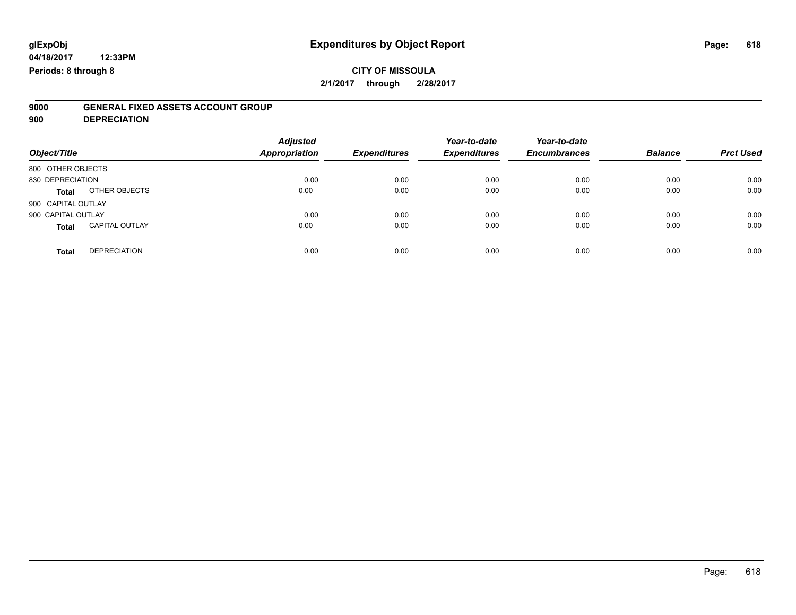# **9000 GENERAL FIXED ASSETS ACCOUNT GROUP**

**900 DEPRECIATION**

| Object/Title       |                       | <b>Adjusted</b><br><b>Appropriation</b> | <b>Expenditures</b> | Year-to-date<br><b>Expenditures</b> | Year-to-date<br><b>Encumbrances</b> | <b>Balance</b> | <b>Prct Used</b> |
|--------------------|-----------------------|-----------------------------------------|---------------------|-------------------------------------|-------------------------------------|----------------|------------------|
| 800 OTHER OBJECTS  |                       |                                         |                     |                                     |                                     |                |                  |
| 830 DEPRECIATION   |                       | 0.00                                    | 0.00                | 0.00                                | 0.00                                | 0.00           | 0.00             |
| <b>Total</b>       | OTHER OBJECTS         | 0.00                                    | 0.00                | 0.00                                | 0.00                                | 0.00           | 0.00             |
| 900 CAPITAL OUTLAY |                       |                                         |                     |                                     |                                     |                |                  |
| 900 CAPITAL OUTLAY |                       | 0.00                                    | 0.00                | 0.00                                | 0.00                                | 0.00           | 0.00             |
| <b>Total</b>       | <b>CAPITAL OUTLAY</b> | 0.00                                    | 0.00                | 0.00                                | 0.00                                | 0.00           | 0.00             |
| <b>Total</b>       | <b>DEPRECIATION</b>   | 0.00                                    | 0.00                | 0.00                                | 0.00                                | 0.00           | 0.00             |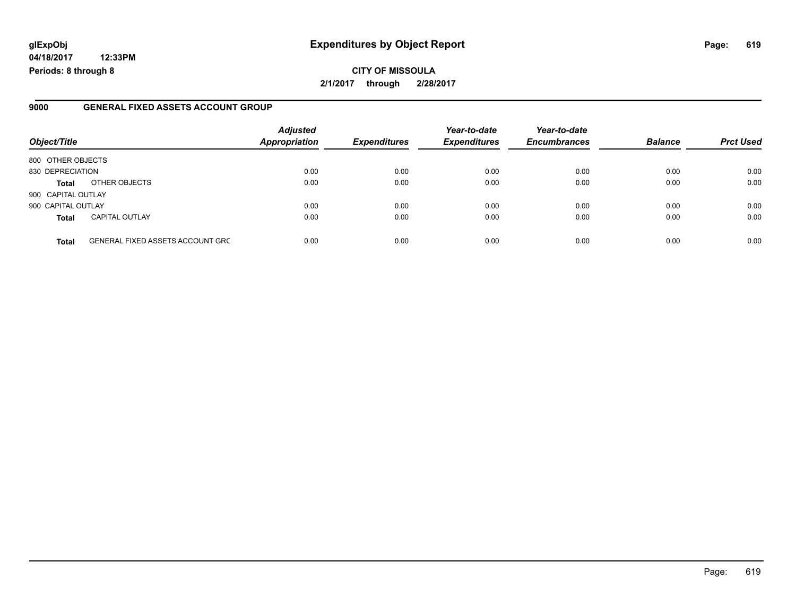# **glExpObj Expenditures by Object Report Page: 619**

**04/18/2017 12:33PM Periods: 8 through 8**

### **9000 GENERAL FIXED ASSETS ACCOUNT GROUP**

| Object/Title       |                                         | <b>Adjusted</b><br><b>Appropriation</b> | <b>Expenditures</b> | Year-to-date<br><b>Expenditures</b> | Year-to-date<br><b>Encumbrances</b> | <b>Balance</b> | <b>Prct Used</b> |
|--------------------|-----------------------------------------|-----------------------------------------|---------------------|-------------------------------------|-------------------------------------|----------------|------------------|
| 800 OTHER OBJECTS  |                                         |                                         |                     |                                     |                                     |                |                  |
| 830 DEPRECIATION   |                                         | 0.00                                    | 0.00                | 0.00                                | 0.00                                | 0.00           | 0.00             |
| <b>Total</b>       | OTHER OBJECTS                           | 0.00                                    | 0.00                | 0.00                                | 0.00                                | 0.00           | 0.00             |
| 900 CAPITAL OUTLAY |                                         |                                         |                     |                                     |                                     |                |                  |
| 900 CAPITAL OUTLAY |                                         | 0.00                                    | 0.00                | 0.00                                | 0.00                                | 0.00           | 0.00             |
| <b>Total</b>       | <b>CAPITAL OUTLAY</b>                   | 0.00                                    | 0.00                | 0.00                                | 0.00                                | 0.00           | 0.00             |
| <b>Total</b>       | <b>GENERAL FIXED ASSETS ACCOUNT GRC</b> | 0.00                                    | 0.00                | 0.00                                | 0.00                                | 0.00           | 0.00             |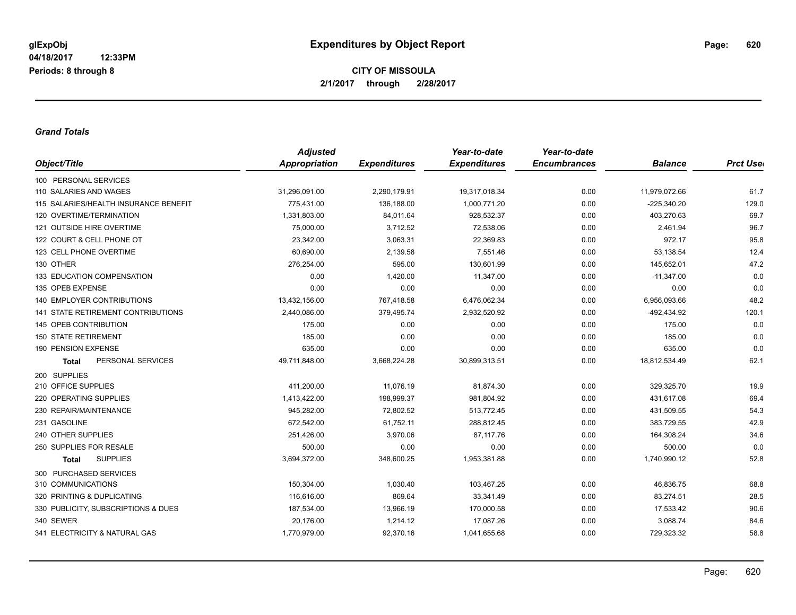#### *Grand Totals*

|                                       | <b>Adjusted</b> |                     | Year-to-date        | Year-to-date        |                |                  |
|---------------------------------------|-----------------|---------------------|---------------------|---------------------|----------------|------------------|
| Object/Title                          | Appropriation   | <b>Expenditures</b> | <b>Expenditures</b> | <b>Encumbrances</b> | <b>Balance</b> | <b>Prct Uset</b> |
| 100 PERSONAL SERVICES                 |                 |                     |                     |                     |                |                  |
| 110 SALARIES AND WAGES                | 31,296,091.00   | 2,290,179.91        | 19,317,018.34       | 0.00                | 11,979,072.66  | 61.7             |
| 115 SALARIES/HEALTH INSURANCE BENEFIT | 775,431.00      | 136,188.00          | 1,000,771.20        | 0.00                | $-225,340.20$  | 129.0            |
| 120 OVERTIME/TERMINATION              | 1,331,803.00    | 84,011.64           | 928,532.37          | 0.00                | 403,270.63     | 69.7             |
| 121 OUTSIDE HIRE OVERTIME             | 75,000.00       | 3,712.52            | 72,538.06           | 0.00                | 2,461.94       | 96.7             |
| 122 COURT & CELL PHONE OT             | 23,342.00       | 3,063.31            | 22,369.83           | 0.00                | 972.17         | 95.8             |
| 123 CELL PHONE OVERTIME               | 60,690.00       | 2,139.58            | 7.551.46            | 0.00                | 53,138.54      | 12.4             |
| 130 OTHER                             | 276,254.00      | 595.00              | 130,601.99          | 0.00                | 145,652.01     | 47.2             |
| 133 EDUCATION COMPENSATION            | 0.00            | 1,420.00            | 11,347.00           | 0.00                | $-11,347.00$   | 0.0              |
| 135 OPEB EXPENSE                      | 0.00            | 0.00                | 0.00                | 0.00                | 0.00           | 0.0              |
| <b>140 EMPLOYER CONTRIBUTIONS</b>     | 13,432,156.00   | 767,418.58          | 6,476,062.34        | 0.00                | 6,956,093.66   | 48.2             |
| 141 STATE RETIREMENT CONTRIBUTIONS    | 2,440,086.00    | 379,495.74          | 2,932,520.92        | 0.00                | -492,434.92    | 120.1            |
| 145 OPEB CONTRIBUTION                 | 175.00          | 0.00                | 0.00                | 0.00                | 175.00         | 0.0              |
| <b>150 STATE RETIREMENT</b>           | 185.00          | 0.00                | 0.00                | 0.00                | 185.00         | 0.0              |
| 190 PENSION EXPENSE                   | 635.00          | 0.00                | 0.00                | 0.00                | 635.00         | 0.0              |
| PERSONAL SERVICES<br><b>Total</b>     | 49,711,848.00   | 3,668,224.28        | 30,899,313.51       | 0.00                | 18,812,534.49  | 62.1             |
| 200 SUPPLIES                          |                 |                     |                     |                     |                |                  |
| 210 OFFICE SUPPLIES                   | 411,200.00      | 11,076.19           | 81,874.30           | 0.00                | 329,325.70     | 19.9             |
| 220 OPERATING SUPPLIES                | 1,413,422.00    | 198,999.37          | 981,804.92          | 0.00                | 431,617.08     | 69.4             |
| 230 REPAIR/MAINTENANCE                | 945,282.00      | 72,802.52           | 513,772.45          | 0.00                | 431,509.55     | 54.3             |
| 231 GASOLINE                          | 672,542.00      | 61,752.11           | 288,812.45          | 0.00                | 383,729.55     | 42.9             |
| 240 OTHER SUPPLIES                    | 251,426.00      | 3,970.06            | 87,117.76           | 0.00                | 164,308.24     | 34.6             |
| 250 SUPPLIES FOR RESALE               | 500.00          | 0.00                | 0.00                | 0.00                | 500.00         | 0.0              |
| <b>SUPPLIES</b><br><b>Total</b>       | 3,694,372.00    | 348,600.25          | 1,953,381.88        | 0.00                | 1,740,990.12   | 52.8             |
| 300 PURCHASED SERVICES                |                 |                     |                     |                     |                |                  |
| 310 COMMUNICATIONS                    | 150,304.00      | 1,030.40            | 103,467.25          | 0.00                | 46,836.75      | 68.8             |
| 320 PRINTING & DUPLICATING            | 116,616.00      | 869.64              | 33,341.49           | 0.00                | 83,274.51      | 28.5             |
| 330 PUBLICITY, SUBSCRIPTIONS & DUES   | 187,534.00      | 13,966.19           | 170,000.58          | 0.00                | 17,533.42      | 90.6             |
| 340 SEWER                             | 20,176.00       | 1,214.12            | 17,087.26           | 0.00                | 3,088.74       | 84.6             |
| 341 ELECTRICITY & NATURAL GAS         | 1,770,979.00    | 92,370.16           | 1,041,655.68        | 0.00                | 729,323.32     | 58.8             |
|                                       |                 |                     |                     |                     |                |                  |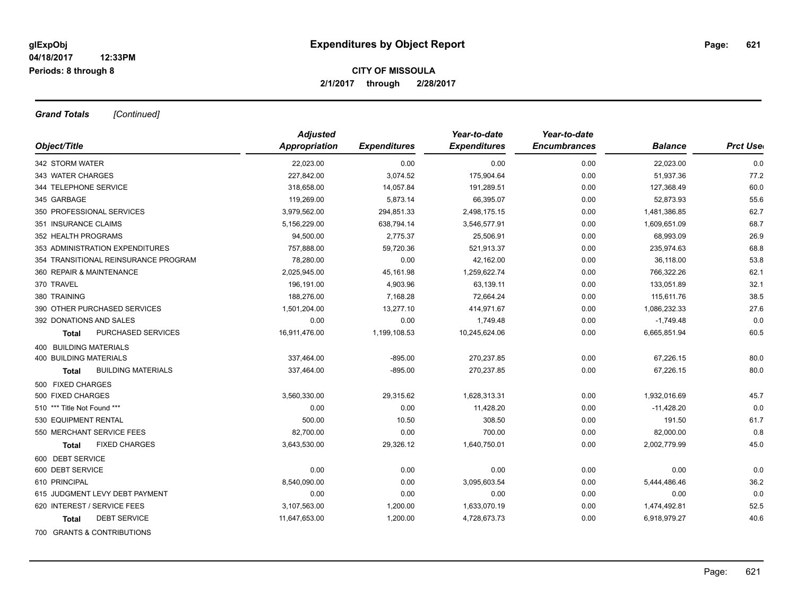*Grand Totals [Continued]*

|                                      | <b>Adjusted</b> |                     | Year-to-date        | Year-to-date        |                |                  |
|--------------------------------------|-----------------|---------------------|---------------------|---------------------|----------------|------------------|
| Object/Title                         | Appropriation   | <b>Expenditures</b> | <b>Expenditures</b> | <b>Encumbrances</b> | <b>Balance</b> | <b>Prct User</b> |
| 342 STORM WATER                      | 22,023.00       | 0.00                | 0.00                | 0.00                | 22,023.00      | 0.0              |
| 343 WATER CHARGES                    | 227,842.00      | 3,074.52            | 175,904.64          | 0.00                | 51,937.36      | 77.2             |
| 344 TELEPHONE SERVICE                | 318,658.00      | 14,057.84           | 191,289.51          | 0.00                | 127,368.49     | 60.0             |
| 345 GARBAGE                          | 119,269.00      | 5,873.14            | 66,395.07           | 0.00                | 52,873.93      | 55.6             |
| 350 PROFESSIONAL SERVICES            | 3,979,562.00    | 294,851.33          | 2,498,175.15        | 0.00                | 1,481,386.85   | 62.7             |
| 351 INSURANCE CLAIMS                 | 5,156,229.00    | 638,794.14          | 3,546,577.91        | 0.00                | 1,609,651.09   | 68.7             |
| 352 HEALTH PROGRAMS                  | 94,500.00       | 2,775.37            | 25.506.91           | 0.00                | 68,993.09      | 26.9             |
| 353 ADMINISTRATION EXPENDITURES      | 757,888.00      | 59,720.36           | 521,913.37          | 0.00                | 235,974.63     | 68.8             |
| 354 TRANSITIONAL REINSURANCE PROGRAM | 78,280.00       | 0.00                | 42,162.00           | 0.00                | 36,118.00      | 53.8             |
| 360 REPAIR & MAINTENANCE             | 2,025,945.00    | 45,161.98           | 1,259,622.74        | 0.00                | 766,322.26     | 62.1             |
| 370 TRAVEL                           | 196,191.00      | 4,903.96            | 63,139.11           | 0.00                | 133,051.89     | 32.1             |
| 380 TRAINING                         | 188,276.00      | 7,168.28            | 72,664.24           | 0.00                | 115,611.76     | 38.5             |
| 390 OTHER PURCHASED SERVICES         | 1,501,204.00    | 13,277.10           | 414,971.67          | 0.00                | 1,086,232.33   | 27.6             |
| 392 DONATIONS AND SALES              | 0.00            | 0.00                | 1,749.48            | 0.00                | $-1,749.48$    | 0.0              |
| PURCHASED SERVICES<br><b>Total</b>   | 16,911,476.00   | 1,199,108.53        | 10,245,624.06       | 0.00                | 6,665,851.94   | 60.5             |
| 400 BUILDING MATERIALS               |                 |                     |                     |                     |                |                  |
| <b>400 BUILDING MATERIALS</b>        | 337,464.00      | $-895.00$           | 270,237.85          | 0.00                | 67,226.15      | 80.0             |
| <b>BUILDING MATERIALS</b><br>Total   | 337,464.00      | $-895.00$           | 270,237.85          | 0.00                | 67,226.15      | 80.0             |
| 500 FIXED CHARGES                    |                 |                     |                     |                     |                |                  |
| 500 FIXED CHARGES                    | 3,560,330.00    | 29,315.62           | 1,628,313.31        | 0.00                | 1,932,016.69   | 45.7             |
| 510 *** Title Not Found ***          | 0.00            | 0.00                | 11,428.20           | 0.00                | $-11,428.20$   | 0.0              |
| 530 EQUIPMENT RENTAL                 | 500.00          | 10.50               | 308.50              | 0.00                | 191.50         | 61.7             |
| 550 MERCHANT SERVICE FEES            | 82,700.00       | 0.00                | 700.00              | 0.00                | 82,000.00      | 0.8              |
| <b>FIXED CHARGES</b><br>Total        | 3,643,530.00    | 29,326.12           | 1,640,750.01        | 0.00                | 2,002,779.99   | 45.0             |
| 600 DEBT SERVICE                     |                 |                     |                     |                     |                |                  |
| 600 DEBT SERVICE                     | 0.00            | 0.00                | 0.00                | 0.00                | 0.00           | 0.0              |
| 610 PRINCIPAL                        | 8,540,090.00    | 0.00                | 3,095,603.54        | 0.00                | 5,444,486.46   | 36.2             |
| 615 JUDGMENT LEVY DEBT PAYMENT       | 0.00            | 0.00                | 0.00                | 0.00                | 0.00           | 0.0              |
| 620 INTEREST / SERVICE FEES          | 3,107,563.00    | 1,200.00            | 1,633,070.19        | 0.00                | 1,474,492.81   | 52.5             |
| <b>DEBT SERVICE</b><br>Total         | 11,647,653.00   | 1,200.00            | 4,728,673.73        | 0.00                | 6,918,979.27   | 40.6             |
| 700 GRANTS & CONTRIBUTIONS           |                 |                     |                     |                     |                |                  |